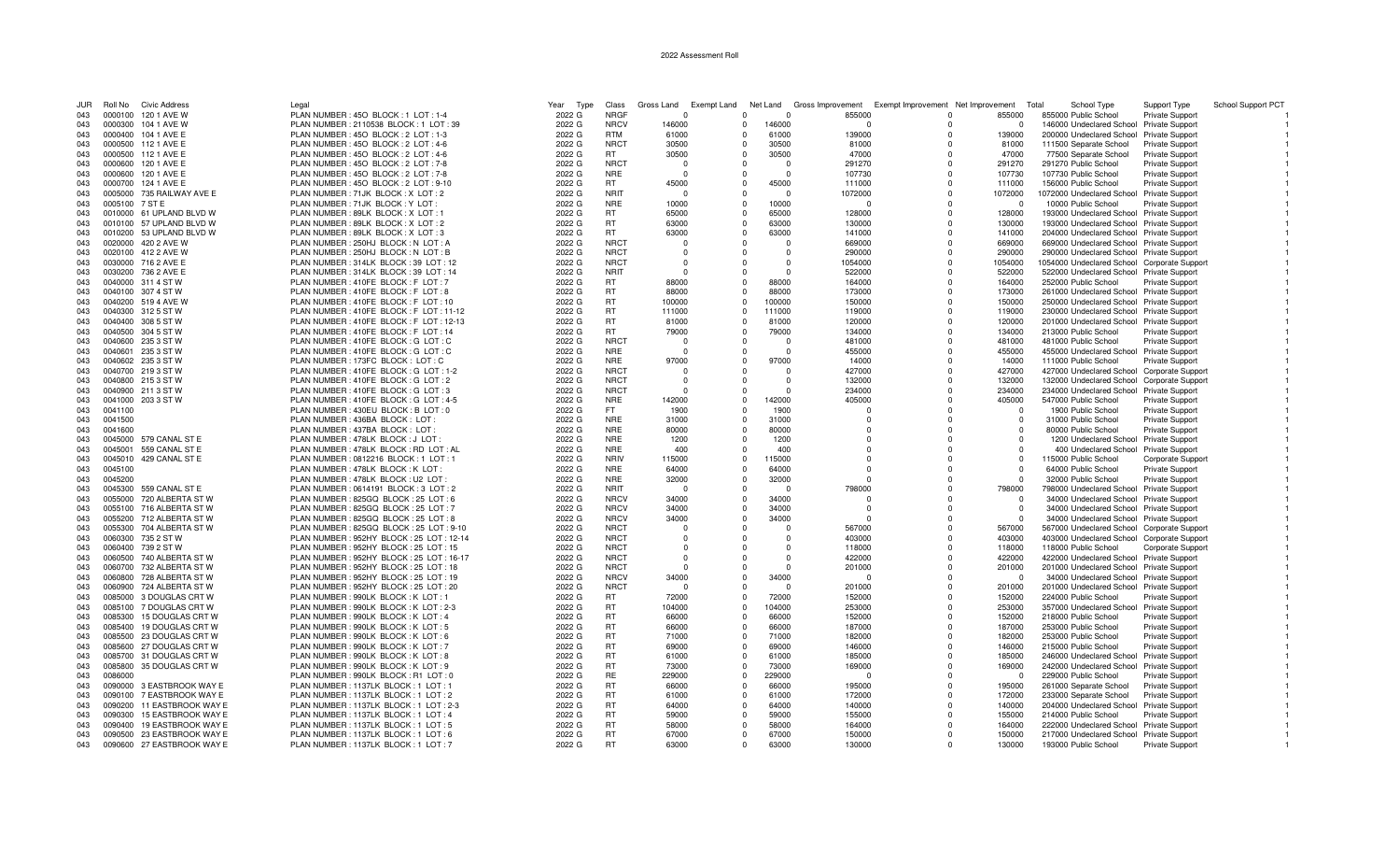## 2022 Assessment Roll

| JUR        | Roll No            | Civic Address                                | Legal                                                                            | Year<br>Type     | Class                      | Gross Land           |                      |                      | Exempt Land Net Land Gross Improvement | Exempt Improvement Net Improvement |                                               | School Type<br>Total                                                                | Support Type                                     | School Support PCT |
|------------|--------------------|----------------------------------------------|----------------------------------------------------------------------------------|------------------|----------------------------|----------------------|----------------------|----------------------|----------------------------------------|------------------------------------|-----------------------------------------------|-------------------------------------------------------------------------------------|--------------------------------------------------|--------------------|
| 043        |                    | 0000100 120 1 AVE W                          | PLAN NUMBER: 450 BLOCK: 1 LOT: 1-4                                               | 2022 G           | <b>NRGF</b>                | $\Omega$             | $\Omega$             | $\Omega$             | 855000                                 |                                    | 855000<br>$\Omega$                            | 855000 Public School                                                                | <b>Private Support</b>                           |                    |
| 043        |                    | 0000300 104 1 AVE W                          | PLAN NUMBER : 2110538 BLOCK : 1 LOT : 39                                         | 2022 G           | <b>NRCV</b>                | 146000               | $\Omega$             | 146000               |                                        |                                    | $\Omega$                                      | 146000 Undeclared School Private Support                                            |                                                  |                    |
| 043        |                    | 0000400 104 1 AVE E                          | PLAN NUMBER : 450 BLOCK : 2 LOT : 1-3                                            | 2022 G           | <b>RTM</b>                 | 61000                | $\Omega$             | 61000                | 139000                                 |                                    | 139000<br>$\Omega$                            | 200000 Undeclared School Private Support                                            |                                                  |                    |
| 043        |                    | 0000500 112 1 AVE E                          | PLAN NUMBER: 450 BLOCK: 2 LOT: 4-6                                               | 2022 G           | <b>NRCT</b>                | 30500                | $\Omega$             | 30500                | 81000                                  |                                    | 81000<br>$\Omega$                             | 111500 Separate School                                                              | Private Support                                  |                    |
| 043        |                    | 0000500 112 1 AVE E                          | PLAN NUMBER : 450 BLOCK : 2 LOT : 4-6                                            | 2022 G           | <b>RT</b>                  | 30500                | $\Omega$             | 30500                | 47000                                  |                                    | $\Omega$<br>47000                             | 77500 Separate School                                                               | Private Support                                  |                    |
| 043        | 0000600            | 120 1 AVE E                                  | PLAN NUMBER: 450 BLOCK: 2 LOT: 7-8                                               | 2022 G           | <b>NRCT</b>                | - 0                  |                      | $\Omega$             | 291270                                 |                                    | 291270<br>$\Omega$                            | 291270 Public School                                                                | Private Support                                  |                    |
| 043        | 0000600            | 120 1 AVE E                                  | PLAN NUMBER : 450 BLOCK : 2 LOT : 7-8                                            | 2022 G           | <b>NRE</b>                 | - 0                  | $\cap$               | $\Omega$             | 107730                                 |                                    | 107730<br>$\Omega$                            | 107730 Public School                                                                | <b>Private Support</b>                           |                    |
| 043        | 0000700            | 124 1 AVE E                                  | PLAN NUMBER : 450 BLOCK : 2 LOT : 9-10                                           | 2022 G           | RT.<br><b>NRIT</b>         | 45000<br>$\Omega$    | $\Omega$<br>$\Omega$ | 45000<br>$\Omega$    | 111000                                 |                                    | $\Omega$<br>111000<br>$\Omega$                | 156000 Public School                                                                | <b>Private Support</b>                           |                    |
| 043<br>043 | 0005100 7 ST E     | 0005000 735 RAILWAY AVE E                    | PLAN NUMBER: 71JK BLOCK: X LOT: 2<br>PLAN NUMBER : 71JK BLOCK : Y LOT            | 2022 G<br>2022 G | <b>NRE</b>                 | 10000                |                      | 10000                | 1072000<br>$\Omega$                    |                                    | 1072000<br>O<br>$\Omega$                      | 1072000 Undeclared School Private Support<br>10000 Public School                    | <b>Private Support</b>                           |                    |
| 043        |                    | 0010000 61 UPLAND BLVD W                     | PLAN NUMBER : 89LK BLOCK : X LOT :                                               | 2022 G           | <b>RT</b>                  | 65000                | $\Omega$             | 65000                | 128000                                 |                                    | 128000<br>$\Omega$                            | 193000 Undeclared School Private Support                                            |                                                  |                    |
| 043        |                    | 0010100 57 UPLAND BLVD W                     | PLAN NUMBER: 89LK BLOCK: X LOT: 2                                                | 2022 G           | RT                         | 63000                | $\Omega$             | 63000                | 130000                                 |                                    | 130000<br>$\Omega$                            | 193000 Undeclared School Private Support                                            |                                                  |                    |
| 043        |                    | 0010200 53 UPLAND BLVD W                     | PLAN NUMBER : 89LK BLOCK : X LOT : 3                                             | 2022 G           | <b>RT</b>                  | 63000                | $\Omega$             | 63000                | 141000                                 |                                    | $\Omega$<br>141000                            | 204000 Undeclared School Private Support                                            |                                                  |                    |
| 043        |                    | 0020000 420 2 AVE W                          | PLAN NUMBER : 250HJ BLOCK : N LOT : A                                            | 2022 G           | <b>NRCT</b>                | $\Omega$             |                      | $\Omega$             | 669000                                 |                                    | 669000<br>$\Omega$                            | 669000 Undeclared School Private Support                                            |                                                  |                    |
| 043        |                    | 0020100 412 2 AVE W                          | PLAN NUMBER : 250HJ BLOCK : N LOT : B                                            | 2022 G           | <b>NRCT</b>                | - 0                  |                      | $\Omega$             | 290000                                 |                                    | 290000<br>$\Omega$                            | 290000 Undeclared School Private Support                                            |                                                  |                    |
| 043        |                    | 0030000 716 2 AVE E                          | PLAN NUMBER: 314LK BLOCK: 39 LOT: 12                                             | 2022 G           | <b>NRCT</b>                | - 0                  |                      | $\Omega$             | 1054000                                |                                    | $\Omega$<br>1054000                           | 1054000 Undeclared School Corporate Support                                         |                                                  |                    |
| 043        |                    | 0030200 736 2 AVE E                          | PLAN NUMBER: 314LK BLOCK: 39 LOT: 14                                             | 2022 G           | <b>NRIT</b>                | $\Omega$             | $\cap$               | $\Omega$             | 522000                                 |                                    | 522000<br>$\Omega$                            | 522000 Undeclared School Private Support                                            |                                                  |                    |
| 043        |                    | 0040000 311 4 ST W                           | PLAN NUMBER : 410FE BLOCK : F LOT : 7                                            | 2022 G           | <b>RT</b>                  | 88000                |                      | 88000                | 164000                                 |                                    | 164000<br>$\Omega$                            | 252000 Public School                                                                | Private Support                                  |                    |
| 043        |                    | 0040100 307 4 ST W                           | PLAN NUMBER : 410FE BLOCK : F LOT : 8                                            | 2022 G           | <b>RT</b>                  | 88000                | $\Omega$             | 88000                | 173000                                 |                                    | 173000<br>$\Omega$                            | 261000 Undeclared School Private Support                                            |                                                  |                    |
| 043        |                    | 0040200 519 4 AVE W                          | PLAN NUMBER : 410FE BLOCK : F LOT : 10                                           | 2022 G           | RT                         | 100000               | $\Omega$             | 100000               | 150000                                 |                                    | 150000<br>$\Omega$                            | 250000 Undeclared School Private Support                                            |                                                  |                    |
| 043        |                    | 0040300 312 5 ST W                           | PLAN NUMBER : 410FE BLOCK : F LOT : 11-12                                        | 2022 G           | <b>RT</b>                  | 111000               | $\Omega$             | 111000               | 119000                                 |                                    | $\Omega$<br>119000                            | 230000 Undeclared School Private Support                                            |                                                  |                    |
| 043        |                    | 0040400 308 5 ST W                           | PLAN NUMBER : 410FE BLOCK : F LOT : 12-13                                        | 2022 G           | <b>RT</b>                  | 81000                | $\Omega$             | 81000                | 120000                                 |                                    | 120000<br>$\Omega$                            | 201000 Undeclared School Private Support                                            |                                                  |                    |
| 043        |                    | 0040500 304 5 ST W                           | PLAN NUMBER : 410FE BLOCK : F LOT : 14                                           | 2022 G           | <b>RT</b>                  | 79000                | $\Omega$             | 79000                | 134000                                 |                                    | 134000<br>$\Omega$                            | 213000 Public School                                                                | Private Support                                  |                    |
| 043        |                    | 0040600 235 3 ST W                           | PLAN NUMBER : 410FE BLOCK : G LOT : C                                            | 2022 G           | <b>NRCT</b>                | - 0                  |                      | $\Omega$             | 481000                                 |                                    | 481000<br>$\Omega$                            | 481000 Public School                                                                | Private Support                                  |                    |
| 043        |                    | 0040601 235 3 ST W                           | PLAN NUMBER : 410FE BLOCK : G LOT : C                                            | 2022 G           | <b>NRE</b>                 | $\Omega$             | $\Omega$             | $\Omega$             | 455000                                 |                                    | 455000<br>$\Omega$                            | 455000 Undeclared School Private Support                                            |                                                  |                    |
| 043        |                    | 0040602 235 3 ST W                           | PLAN NUMBER: 173FC BLOCK: LOT: C                                                 | 2022 G           | <b>NRE</b>                 | 97000                |                      | 97000                | 14000                                  |                                    | 14000<br>$\Omega$                             | 111000 Public School                                                                | Private Support                                  |                    |
| 043        |                    | 0040700 219 3 ST W                           | PLAN NUMBER : 410FE BLOCK : G LOT : 1-2                                          | 2022 G           | <b>NRCT</b>                | $\Omega$             |                      | $\Omega$             | 427000                                 |                                    | 427000<br>$\Omega$                            | 427000 Undeclared School Corporate Support                                          |                                                  |                    |
| 043        |                    | 0040800 215 3 ST W                           | PLAN NUMBER : 410FE BLOCK : G LOT : 2                                            | 2022 G           | <b>NRCT</b><br><b>NRCT</b> | $\Omega$<br>$\cap$   |                      | $\Omega$<br>$\Omega$ | 132000                                 |                                    | 132000<br>$\Omega$<br>$\Omega$                | 132000 Undeclared School Corporate Support                                          |                                                  |                    |
| 043<br>043 | 0041000            | 0040900 211 3 ST W<br>203 3 ST W             | PLAN NUMBER : 410FE BLOCK : G LOT : 3<br>PLAN NUMBER : 410FE BLOCK : G LOT : 4-5 | 2022 G<br>2022 G | <b>NRE</b>                 | 142000               | $\Omega$             | 142000               | 234000<br>405000                       |                                    | 234000<br>405000<br>$\Omega$                  | 234000 Undeclared School Private Support<br>547000 Public School                    |                                                  |                    |
| 043        | 0041100            |                                              | PLAN NUMBER : 430EU BLOCK : B LOT : 0                                            | 2022 G           | FT.                        | 1900                 | $\Omega$             | 1900                 | $\Omega$                               |                                    | $\Omega$<br>$\Omega$                          | 1900 Public School                                                                  | <b>Private Support</b><br><b>Private Support</b> |                    |
| 043        | 0041500            |                                              | PLAN NUMBER : 436BA BLOCK : LOT                                                  | 2022 G           | <b>NRE</b>                 | 31000                | $\Omega$             | 31000                | $\Omega$                               |                                    | $\Omega$<br>$\mathbf{0}$                      | 31000 Public School                                                                 | Private Support                                  |                    |
| 043        | 0041600            |                                              | PLAN NUMBER : 437BA BLOCK : LOT                                                  | 2022 G           | <b>NRE</b>                 | 80000                | $\Omega$             | 80000                | $\Omega$                               |                                    | $\Omega$<br>$\Omega$                          | 80000 Public School                                                                 | Private Support                                  |                    |
| 043        | 0045000            | 579 CANAL ST E                               | PLAN NUMBER : 478LK BLOCK : J LOT                                                | 2022 G           | <b>NRE</b>                 | 1200                 | $\Omega$             | 1200                 | $\Omega$                               |                                    | $\Omega$                                      | 1200 Undeclared School Private Support                                              |                                                  |                    |
| 043        | 0045001            | 559 CANAL ST E                               | PLAN NUMBER : 478LK BLOCK : RD LOT : AL                                          | 2022 G           | <b>NRE</b>                 | 400                  | $\Omega$             | 400                  | $\Omega$                               |                                    | $\Omega$<br>$\Omega$                          | 400 Undeclared School Private Support                                               |                                                  |                    |
| 043        |                    | 0045010 429 CANAL ST E                       | PLAN NUMBER : 0812216 BLOCK : 1 LOT : 1                                          | 2022 G           | <b>NRIV</b>                | 115000               | $\Omega$             | 115000               | $\Omega$                               |                                    | $\Omega$                                      | 115000 Public School                                                                | Corporate Support                                |                    |
| 043        | 0045100            |                                              | PLAN NUMBER : 478LK BLOCK : K LOT                                                | 2022 G           | <b>NRE</b>                 | 64000                | $\cap$               | 64000                | $\Omega$                               |                                    | $\Omega$<br>$\Omega$                          | 64000 Public School                                                                 | <b>Private Support</b>                           |                    |
| 043        | 0045200            |                                              | PLAN NUMBER : 478LK BLOCK : U2 LOT                                               | 2022 G           | <b>NRE</b>                 | 32000                | $\Omega$             | 32000                | $\Omega$                               |                                    | $\Omega$                                      | 32000 Public School                                                                 | <b>Private Support</b>                           |                    |
| 043        | 0045300            | 559 CANAL ST E                               | PLAN NUMBER: 0614191 BLOCK: 3 LOT: 2                                             | 2022 G           | <b>NRIT</b>                | - 0                  | $\Omega$             | $\Omega$             | 798000                                 |                                    | 798000<br>$\Omega$                            | 798000 Undeclared School Private Support                                            |                                                  |                    |
| 043        | 0055000            | 720 ALBERTA ST W                             | PLAN NUMBER: 825GQ BLOCK: 25 LOT: 6                                              | 2022 G           | <b>NRCV</b>                | 34000                | $\Omega$             | 34000                | $\Omega$                               |                                    | $\mathbf{0}$<br>$\Omega$                      | 34000 Undeclared School Private Support                                             |                                                  |                    |
| 043        |                    | 0055100 716 ALBERTA ST W                     | PLAN NUMBER: 825GQ BLOCK: 25 LOT: 7                                              | 2022 G           | <b>NRCV</b>                | 34000                | $\Omega$             | 34000                | $\Omega$                               |                                    | $\Omega$<br>$\Omega$                          | 34000 Undeclared School Private Support                                             |                                                  |                    |
| 043        |                    | 0055200 712 ALBERTA ST W                     | PLAN NUMBER : 825GQ BLOCK : 25 LOT : 8                                           | 2022 G           | <b>NRCV</b>                | 34000                | $\Omega$             | 34000                | $\Omega$                               |                                    | $\Omega$                                      | 34000 Undeclared School Private Support                                             |                                                  |                    |
| 043        |                    | 0055300 704 ALBERTA ST W                     | PLAN NUMBER: 825GQ BLOCK: 25 LOT: 9-10                                           | 2022 G           | <b>NRCT</b>                | $\Omega$             |                      | $\Omega$             | 567000                                 |                                    | 567000<br>$\Omega$                            | 567000 Undeclared School Corporate Support                                          |                                                  |                    |
| 043        |                    | 0060300 735 2 ST W                           | PLAN NUMBER: 952HY BLOCK: 25 LOT: 12-14                                          | 2022 G           | <b>NRCT</b>                | $\Omega$             |                      | $\Omega$             | 403000                                 |                                    | $\Omega$<br>403000                            | 403000 Undeclared School Corporate Support                                          |                                                  |                    |
| 043        |                    | 0060400 739 2 ST W                           | PLAN NUMBER: 952HY BLOCK: 25 LOT: 15                                             | 2022 G           | <b>NRCT</b>                | - 0                  |                      | $\Omega$             | 118000                                 |                                    | $\Omega$<br>118000                            | 118000 Public School                                                                | <b>Corporate Support</b>                         |                    |
| 043        |                    | 0060500 740 ALBERTA ST W<br>732 ALBERTA ST W | PLAN NUMBER: 952HY BLOCK: 25 LOT: 16-17<br>PLAN NUMBER: 952HY BLOCK: 25 LOT: 18  | 2022 G           | <b>NRCT</b><br><b>NRCT</b> | $\Omega$<br>$\Omega$ |                      | $\Omega$<br>$\Omega$ | 422000                                 |                                    | $\Omega$<br>422000                            | 422000 Undeclared School Private Support                                            |                                                  |                    |
| 043<br>043 | 0060700<br>0060800 | 728 ALBERTA STW                              | PLAN NUMBER : 952HY BLOCK : 25 LOT : 19                                          | 2022 G<br>2022 G | <b>NRCV</b>                | 34000                | $\Omega$             | 34000                | 201000<br>$\sqrt{ }$                   |                                    | 201000<br>$\mathbf 0$<br>$\Omega$<br>$\Omega$ | 201000 Undeclared School Private Support<br>34000 Undeclared School Private Support |                                                  |                    |
| 043        |                    | 0060900 724 ALBERTA ST W                     | PLAN NUMBER : 952HY BLOCK : 25 LOT : 20                                          | 2022 G           | <b>NRCT</b>                | - 0                  | $\cap$               | $\Omega$             | 201000                                 |                                    | $\Omega$<br>201000                            | 201000 Undeclared School Private Support                                            |                                                  |                    |
| 043        |                    | 0085000 3 DOUGLAS CRT W                      | PLAN NUMBER : 990LK BLOCK : K LOT : 1                                            | 2022 G           | RT.                        | 72000                | $\Omega$             | 72000                | 152000                                 |                                    | 152000<br>$\Omega$                            | 224000 Public School                                                                | Private Support                                  |                    |
| 043        |                    | 0085100 7 DOUGLAS CRT W                      | PLAN NUMBER: 990LK BLOCK: K LOT: 2-3                                             | 2022 G           | RT                         | 104000               | $\Omega$             | 104000               | 253000                                 |                                    | $\Omega$<br>253000                            | 357000 Undeclared School Private Support                                            |                                                  |                    |
| 043        |                    | 0085300 15 DOUGLAS CRT W                     | PLAN NUMBER : 990LK BLOCK : K LOT : 4                                            | 2022 G           | <b>RT</b>                  | 66000                | $\Omega$             | 66000                | 152000                                 |                                    | $\Omega$<br>152000                            | 218000 Public School                                                                | Private Support                                  |                    |
| 043        | 0085400            | 19 DOUGLAS CRT W                             | PLAN NUMBER: 990LK BLOCK: K LOT: 5                                               | 2022 G           | <b>RT</b>                  | 66000                |                      | 66000                | 187000                                 |                                    | 187000<br>$\Omega$                            | 253000 Public School                                                                | Private Support                                  |                    |
| 043        |                    | 0085500 23 DOUGLAS CRT W                     | PLAN NUMBER : 990LK BLOCK : K LOT : 6                                            | 2022 G           | <b>RT</b>                  | 71000                | $\Omega$             | 71000                | 182000                                 |                                    | $\Omega$<br>182000                            | 253000 Public School                                                                | Private Support                                  |                    |
| 043        |                    | 0085600 27 DOUGLAS CRT W                     | PLAN NUMBER: 990LK BLOCK: K LOT: 7                                               | 2022 G           | <b>RT</b>                  | 69000                | $\Omega$             | 69000                | 146000                                 |                                    | $\mathbf 0$<br>146000                         | 215000 Public School                                                                | <b>Private Support</b>                           |                    |
| 043        |                    | 0085700 31 DOUGLAS CRT W                     | PLAN NUMBER : 990LK BLOCK : K LOT : 8                                            | 2022 G           | <b>RT</b>                  | 61000                | $\Omega$             | 61000                | 185000                                 |                                    | 185000<br>$\Omega$                            | 246000 Undeclared School Private Support                                            |                                                  |                    |
| 043        |                    | 0085800 35 DOUGLAS CRT W                     | PLAN NUMBER : 990LK BLOCK : K LOT : 9                                            | 2022 G           | <b>RT</b>                  | 73000                | $\Omega$             | 73000                | 169000                                 |                                    | $\Omega$<br>169000                            | 242000 Undeclared School Private Support                                            |                                                  |                    |
| 043        | 0086000            |                                              | PLAN NUMBER : 990LK BLOCK : R1 LOT : 0                                           | 2022 G           | <b>RE</b>                  | 229000               | $\Omega$             | 229000               | - 0                                    |                                    | $\Omega$                                      | 229000 Public School                                                                | <b>Private Support</b>                           |                    |
| 043        |                    | 0090000 3 EASTBROOK WAY E                    | PLAN NUMBER: 1137LK BLOCK: 1 LOT: 1                                              | 2022 G           | <b>RT</b>                  | 66000                | $\Omega$             | 66000                | 195000                                 |                                    | 195000<br>$\Omega$                            | 261000 Separate School                                                              | Private Support                                  |                    |
| 043        |                    | 0090100 7 EASTBROOK WAY E                    | PLAN NUMBER: 1137LK BLOCK: 1 LOT: 2                                              | 2022 G           | <b>RT</b>                  | 61000                | $\Omega$             | 61000                | 172000                                 |                                    | $\Omega$<br>172000                            | 233000 Separate School                                                              | Private Support                                  |                    |
| 043        |                    | 0090200 11 EASTBROOK WAY E                   | PLAN NUMBER: 1137LK BLOCK: 1 LOT: 2-3                                            | 2022 G           | <b>RT</b>                  | 64000                | $\Omega$             | 64000                | 140000                                 |                                    | $\Omega$<br>140000                            | 204000 Undeclared School Private Support                                            |                                                  |                    |
| 043        | 0090300            | 15 EASTBROOK WAY E                           | PLAN NUMBER: 1137LK BLOCK: 1 LOT: 4                                              | 2022 G           | <b>RT</b>                  | 59000                | $\Omega$             | 59000                | 155000                                 |                                    | 155000<br>$\Omega$                            | 214000 Public School                                                                | Private Support                                  |                    |
| 043        | 0090400            | 19 EASTBROOK WAY E                           | PLAN NUMBER: 1137LK BLOCK: 1 LOT: 5                                              | 2022 G           | <b>RT</b>                  | 58000                | $\Omega$             | 58000                | 164000                                 |                                    | $\Omega$<br>164000                            | 222000 Undeclared School Private Support                                            |                                                  |                    |
| 043        |                    | 0090500 23 EASTBROOK WAY E                   | PLAN NUMBER: 1137LK BLOCK: 1 LOT: 6                                              | 2022 G           | <b>RT</b>                  | 67000                | $\Omega$             | 67000                | 150000                                 |                                    | 150000<br>$\Omega$                            | 217000 Undeclared School Private Support                                            |                                                  |                    |
| 043        |                    | 0090600 27 EASTBROOK WAY E                   | PLAN NUMBER: 1137LK BLOCK: 1 LOT: 7                                              | 2022 G           | <b>RT</b>                  | 63000                | $\Omega$             | 63000                | 130000                                 |                                    | $\Omega$<br>130000                            | 193000 Public School                                                                | <b>Private Support</b>                           |                    |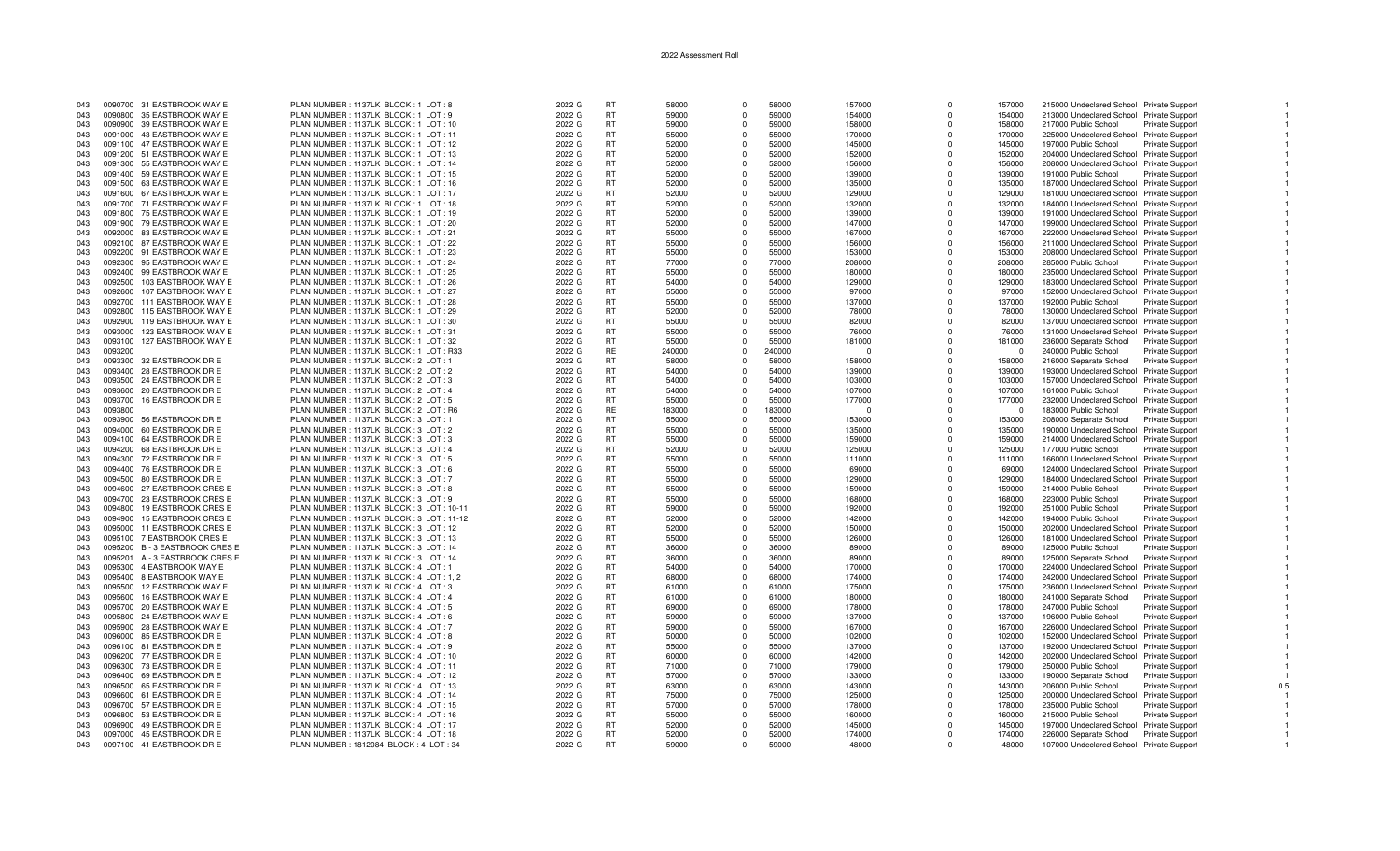| 043 |         | 0090700 31 EASTBROOK WAY E  | PLAN NUMBER: 1137LK BLOCK: 1 LOT: 8      | 2022 G | <b>RT</b> | 58000  | $\Omega$   | 58000  | 157000   | $\Omega$    | 157000   | 215000 Undeclared School Private Support |                        |     |
|-----|---------|-----------------------------|------------------------------------------|--------|-----------|--------|------------|--------|----------|-------------|----------|------------------------------------------|------------------------|-----|
| 043 |         | 0090800 35 EASTBROOK WAY E  | PLAN NUMBER: 1137LK BLOCK: 1 LOT: 9      | 2022 G | <b>RT</b> | 59000  | $\Omega$   | 59000  | 154000   | $\Omega$    | 154000   | 213000 Undeclared School Private Support |                        |     |
| 043 |         | 0090900 39 EASTBROOK WAY E  | PLAN NUMBER: 1137LK BLOCK: 1 LOT: 10     | 2022 G | <b>RT</b> | 59000  | $\Omega$   | 59000  | 158000   | n           | 158000   | 217000 Public School                     | <b>Private Support</b> |     |
|     |         |                             |                                          |        |           |        |            |        |          |             |          |                                          |                        |     |
| 043 |         | 0091000 43 EASTBROOK WAY E  | PLAN NUMBER: 1137LK BLOCK: 1 LOT: 11     | 2022 G | <b>RT</b> | 55000  | $\Omega$   | 55000  | 170000   | $\Omega$    | 170000   | 225000 Undeclared School Private Support |                        |     |
| 043 |         | 0091100 47 EASTBROOK WAY E  | PLAN NUMBER: 1137LK BLOCK: 1 LOT: 12     | 2022 G | <b>RT</b> | 52000  | $\Omega$   | 52000  | 145000   | $\Omega$    | 145000   | 197000 Public School                     | Private Support        |     |
| 043 |         | 0091200 51 EASTBROOK WAY E  | PLAN NUMBER: 1137LK BLOCK: 1 LOT: 13     | 2022 G | <b>RT</b> | 52000  | $\Omega$   | 52000  | 152000   | $\Omega$    | 152000   | 204000 Undeclared School Private Support |                        |     |
| 043 |         | 0091300 55 EASTBROOK WAY E  | PLAN NUMBER: 1137LK BLOCK: 1 LOT: 14     | 2022 G | <b>RT</b> | 52000  | $^{\circ}$ | 52000  | 156000   | $\mathbf 0$ | 156000   | 208000 Undeclared School Private Support |                        |     |
| 043 |         | 0091400 59 EASTBROOK WAY E  | PLAN NUMBER: 1137LK BLOCK: 1 LOT: 15     | 2022 G | RT.       | 52000  | $\Omega$   | 52000  | 139000   | $\Omega$    | 139000   | 191000 Public School                     | Private Support        |     |
|     |         |                             |                                          |        |           |        |            |        |          |             |          |                                          |                        |     |
| 043 |         | 0091500 63 EASTBROOK WAY E  | PLAN NUMBER: 1137LK BLOCK: 1 LOT: 16     | 2022 G | <b>RT</b> | 52000  | $\Omega$   | 52000  | 135000   | $\Omega$    | 135000   | 187000 Undeclared School Private Support |                        |     |
| 043 |         | 0091600 67 EASTBROOK WAY E  | PLAN NUMBER: 1137LK BLOCK: 1 LOT: 17     | 2022 G | <b>RT</b> | 52000  | $\Omega$   | 52000  | 129000   | $\Omega$    | 129000   | 181000 Undeclared School Private Support |                        |     |
| 043 |         | 0091700 71 EASTBROOK WAY E  | PLAN NUMBER: 1137LK BLOCK: 1 LOT: 18     | 2022 G | <b>RT</b> | 52000  | $\Omega$   | 52000  | 132000   | $\Omega$    | 132000   | 184000 Undeclared School Private Support |                        |     |
| 043 |         | 0091800 75 EASTBROOK WAY E  | PLAN NUMBER: 1137LK BLOCK: 1 LOT: 19     | 2022 G | <b>RT</b> | 52000  | $\Omega$   | 52000  | 139000   | $\Omega$    | 139000   | 191000 Undeclared School Private Support |                        |     |
| 043 |         | 0091900 79 EASTBROOK WAY E  | PLAN NUMBER: 1137LK BLOCK: 1 LOT: 20     | 2022 G | <b>RT</b> | 52000  | $\Omega$   | 52000  | 147000   | $\Omega$    | 147000   | 199000 Undeclared School Private Support |                        |     |
|     |         | 0092000 83 EASTBROOK WAY E  | PLAN NUMBER: 1137LK BLOCK: 1 LOT: 21     | 2022 G | RT.       | 55000  | $\Omega$   | 55000  | 167000   | $\Omega$    | 167000   |                                          |                        |     |
| 043 |         |                             |                                          |        |           |        |            |        |          |             |          | 222000 Undeclared School Private Support |                        |     |
| 043 |         | 0092100 87 EASTBROOK WAY E  | PLAN NUMBER: 1137LK BLOCK: 1 LOT: 22     | 2022 G | RT        | 55000  | $^{\circ}$ | 55000  | 156000   | $\Omega$    | 156000   | 211000 Undeclared School Private Support |                        |     |
| 043 |         | 0092200 91 EASTBROOK WAY E  | PLAN NUMBER: 1137LK BLOCK: 1 LOT: 23     | 2022 G | <b>RT</b> | 55000  | $\Omega$   | 55000  | 153000   | $\Omega$    | 153000   | 208000 Undeclared School Private Support |                        |     |
| 043 |         | 0092300 95 EASTBROOK WAY E  | PLAN NUMBER: 1137LK BLOCK: 1 LOT: 24     | 2022 G | <b>RT</b> | 77000  | $\Omega$   | 77000  | 208000   | $\Omega$    | 208000   | 285000 Public School                     | Private Support        |     |
| 043 |         | 0092400 99 EASTBROOK WAY E  | PLAN NUMBER: 1137LK BLOCK: 1 LOT: 25     | 2022 G | RT        | 55000  | $\Omega$   | 55000  | 180000   | $\Omega$    | 180000   | 235000 Undeclared School Private Support |                        |     |
| 043 | 0092500 | 103 EASTBROOK WAY E         | PLAN NUMBER: 1137LK BLOCK: 1 LOT: 26     | 2022 G | <b>RT</b> | 54000  | $\Omega$   | 54000  | 129000   | $\Omega$    | 129000   | 183000 Undeclared School Private Support |                        |     |
|     |         |                             |                                          |        |           |        | $\Omega$   |        |          | $\Omega$    |          |                                          |                        |     |
| 043 | 0092600 | 107 EASTBROOK WAY E         | PLAN NUMBER: 1137LK BLOCK: 1 LOT: 27     | 2022 G | RT.       | 55000  |            | 55000  | 97000    |             | 97000    | 152000 Undeclared School Private Support |                        |     |
| 043 | 0092700 | 111 EASTBROOK WAY E         | PLAN NUMBER: 1137LK BLOCK: 1 LOT: 28     | 2022 G | RT        | 55000  | $\Omega$   | 55000  | 137000   | $\Omega$    | 137000   | 192000 Public School                     | <b>Private Support</b> |     |
| 043 | 0092800 | 115 EASTBROOK WAY E         | PLAN NUMBER: 1137LK BLOCK: 1 LOT: 29     | 2022 G | <b>RT</b> | 52000  | $\Omega$   | 52000  | 78000    | $\Omega$    | 78000    | 130000 Undeclared School Private Support |                        |     |
| 043 | 0092900 | 119 EASTBROOK WAY E         | PLAN NUMBER: 1137LK BLOCK: 1 LOT: 30     | 2022 G | <b>RT</b> | 55000  | $^{\circ}$ | 55000  | 82000    | $\Omega$    | 82000    | 137000 Undeclared School Private Support |                        |     |
| 043 | 0093000 | 123 EASTBROOK WAY E         | PLAN NUMBER: 1137LK BLOCK: 1 LOT: 31     | 2022 G | <b>RT</b> | 55000  | $\Omega$   | 55000  | 76000    | $\Omega$    | 76000    | 131000 Undeclared School Private Support |                        |     |
| 043 | 0093100 | 127 EASTBROOK WAY E         | PLAN NUMBER: 1137LK BLOCK: 1 LOT: 32     | 2022 G | RT.       | 55000  | $\Omega$   | 55000  | 181000   | $\Omega$    | 181000   | 236000 Separate School                   | <b>Private Support</b> |     |
|     |         |                             |                                          |        |           |        |            |        |          |             |          |                                          |                        |     |
| 043 | 0093200 |                             | PLAN NUMBER: 1137LK BLOCK: 1 LOT: R33    | 2022 G | <b>RE</b> | 240000 | $\Omega$   | 240000 | $\Omega$ | $\Omega$    | $\Omega$ | 240000 Public School                     | <b>Private Support</b> |     |
| 043 |         | 0093300 32 EASTBROOK DR E   | PLAN NUMBER: 1137LK BLOCK: 2 LOT: 1      | 2022 G | <b>RT</b> | 58000  | $\Omega$   | 58000  | 158000   | $\Omega$    | 158000   | 216000 Separate School                   | <b>Private Support</b> |     |
| 043 |         | 0093400 28 EASTBROOK DR E   | PLAN NUMBER: 1137LK BLOCK: 2 LOT: 2      | 2022 G | <b>RT</b> | 54000  | $\Omega$   | 54000  | 139000   | $\Omega$    | 139000   | 193000 Undeclared School Private Support |                        |     |
| 043 | 0093500 | 24 EASTBROOK DR E           | PLAN NUMBER: 1137LK BLOCK: 2 LOT: 3      | 2022 G | <b>RT</b> | 54000  | $\Omega$   | 54000  | 103000   | $\Omega$    | 103000   | 157000 Undeclared School Private Support |                        |     |
| 043 | 0093600 | 20 EASTBROOK DR E           | PLAN NUMBER: 1137LK BLOCK: 2 LOT: 4      | 2022 G | <b>RT</b> | 54000  | $\Omega$   | 54000  | 107000   | $\Omega$    | 107000   | 161000 Public School                     | Private Support        |     |
|     |         |                             |                                          |        |           |        |            |        |          |             |          |                                          |                        |     |
| 043 | 0093700 | 16 EASTBROOK DR E           | PLAN NUMBER: 1137LK BLOCK: 2 LOT: 5      | 2022 G | <b>RT</b> | 55000  | $\Omega$   | 55000  | 177000   | $\Omega$    | 177000   | 232000 Undeclared School Private Support |                        |     |
| 043 | 0093800 |                             | PLAN NUMBER: 1137LK BLOCK: 2 LOT: R6     | 2022 G | <b>RE</b> | 183000 | $\Omega$   | 183000 | $\Omega$ | $\Omega$    | $\Omega$ | 183000 Public School                     | <b>Private Support</b> |     |
| 043 |         | 0093900 56 EASTBROOK DR E   | PLAN NUMBER: 1137LK BLOCK: 3 LOT: 1      | 2022 G | <b>RT</b> | 55000  | $\Omega$   | 55000  | 153000   | n           | 153000   | 208000 Separate School                   | <b>Private Support</b> |     |
| 043 |         | 0094000 60 EASTBROOK DR E   | PLAN NUMBER: 1137LK BLOCK: 3 LOT: 2      | 2022 G | <b>RT</b> | 55000  | $\Omega$   | 55000  | 135000   | $\Omega$    | 135000   | 190000 Undeclared School Private Support |                        |     |
| 043 |         | 0094100 64 EASTBROOK DR E   | PLAN NUMBER: 1137LK BLOCK: 3 LOT: 3      | 2022 G | <b>RT</b> | 55000  | $\Omega$   | 55000  | 159000   | $\Omega$    | 159000   | 214000 Undeclared School Private Support |                        |     |
| 043 |         | 0094200 68 EASTBROOK DR E   | PLAN NUMBER: 1137LK BLOCK: 3 LOT: 4      | 2022 G | <b>RT</b> | 52000  | $\Omega$   | 52000  | 125000   | $\Omega$    | 125000   | 177000 Public School                     | Private Support        |     |
|     |         |                             |                                          |        |           |        |            |        |          |             |          |                                          |                        |     |
| 043 |         | 0094300 72 EASTBROOK DR E   | PLAN NUMBER: 1137LK BLOCK: 3 LOT: 5      | 2022 G | <b>RT</b> | 55000  | $\Omega$   | 55000  | 111000   | $\Omega$    | 111000   | 166000 Undeclared School Private Support |                        |     |
| 043 |         | 0094400 76 EASTBROOK DR E   | PLAN NUMBER: 1137LK BLOCK: 3 LOT: 6      | 2022 G | <b>RT</b> | 55000  | $\Omega$   | 55000  | 69000    | $\Omega$    | 69000    | 124000 Undeclared School Private Support |                        |     |
| 043 | 0094500 | 80 EASTBROOK DR E           | PLAN NUMBER: 1137LK BLOCK: 3 LOT: 7      | 2022 G | <b>RT</b> | 55000  | $\Omega$   | 55000  | 129000   | $\Omega$    | 129000   | 184000 Undeclared School Private Support |                        |     |
| 043 |         | 0094600 27 EASTBROOK CRES E | PLAN NUMBER: 1137LK BLOCK: 3 LOT: 8      | 2022 G | <b>RT</b> | 55000  | $\Omega$   | 55000  | 159000   | $\Omega$    | 159000   | 214000 Public School                     | Private Support        |     |
| 043 |         | 0094700 23 EASTBROOK CRES E | PLAN NUMBER: 1137LK BLOCK: 3 LOT: 9      | 2022 G | <b>RT</b> | 55000  | $\Omega$   | 55000  | 168000   | $\Omega$    | 168000   | 223000 Public School                     | Private Support        |     |
| 043 | 0094800 |                             |                                          |        | <b>RT</b> | 59000  | $\Omega$   | 59000  |          | $\Omega$    | 192000   | 251000 Public School                     |                        |     |
|     |         | 19 EASTBROOK CRES E         | PLAN NUMBER: 1137LK BLOCK: 3 LOT: 10-11  | 2022 G |           |        |            |        | 192000   |             |          |                                          | Private Support        |     |
| 043 | 0094900 | 15 EASTBROOK CRES E         | PLAN NUMBER: 1137LK BLOCK: 3 LOT: 11-12  | 2022 G | <b>RT</b> | 52000  | $\Omega$   | 52000  | 142000   | $\Omega$    | 142000   | 194000 Public School                     | <b>Private Support</b> |     |
| 043 | 0095000 | 11 EASTBROOK CRES E         | PLAN NUMBER: 1137LK BLOCK: 3 LOT: 12     | 2022 G | RT.       | 52000  | $\Omega$   | 52000  | 150000   | $\Omega$    | 150000   | 202000 Undeclared School Private Support |                        |     |
| 043 | 0095100 | 7 EASTBROOK CRES E          | PLAN NUMBER: 1137LK BLOCK: 3 LOT: 13     | 2022 G | <b>RT</b> | 55000  | $\Omega$   | 55000  | 126000   | $\Omega$    | 126000   | 181000 Undeclared School Private Support |                        |     |
| 043 | 0095200 | <b>B-3 EASTBROOK CRESE</b>  | PLAN NUMBER: 1137LK BLOCK: 3 LOT: 14     | 2022 G | <b>RT</b> | 36000  | $^{\circ}$ | 36000  | 89000    | $\Omega$    | 89000    | 125000 Public School                     | Private Support        |     |
| 043 | 0095201 | A - 3 EASTBROOK CRES E      | PLAN NUMBER: 1137LK BLOCK: 3 LOT: 14     | 2022 G | RT        | 36000  | $\Omega$   | 36000  | 89000    | $\Omega$    | 89000    | 125000 Separate School                   | Private Support        |     |
|     |         |                             |                                          |        |           |        |            |        |          |             |          |                                          |                        |     |
| 043 | 0095300 | 4 EASTBROOK WAY E           | PLAN NUMBER : 1137LK BLOCK : 4 LOT : 1   | 2022 G | <b>RT</b> | 54000  | $\Omega$   | 54000  | 170000   | $\Omega$    | 170000   | 224000 Undeclared School Private Support |                        |     |
| 043 |         | 0095400 8 EASTBROOK WAY E   | PLAN NUMBER: 1137LK BLOCK: 4 LOT: 1.2    | 2022 G | RT.       | 68000  | $\Omega$   | 68000  | 174000   | $\Omega$    | 174000   | 242000 Undeclared School Private Support |                        |     |
| 043 |         | 0095500 12 EASTBROOK WAY E  | PLAN NUMBER: 1137LK BLOCK: 4 LOT: 3      | 2022 G | RT        | 61000  | $\Omega$   | 61000  | 175000   | $\Omega$    | 175000   | 236000 Undeclared School Private Support |                        |     |
| 043 | 0095600 | 16 EASTBROOK WAY E          | PLAN NUMBER: 1137LK BLOCK: 4 LOT: 4      | 2022 G | <b>RT</b> | 61000  | $\Omega$   | 61000  | 180000   | $\Omega$    | 180000   | 241000 Separate School                   | <b>Private Support</b> |     |
| 043 |         | 0095700 20 EASTBROOK WAY E  | PLAN NUMBER: 1137LK BLOCK: 4 LOT: 5      | 2022 G | <b>RT</b> | 69000  | $\Omega$   | 69000  | 178000   | $\Omega$    | 178000   | 247000 Public School                     | Private Support        |     |
|     |         |                             |                                          |        |           |        |            |        |          |             |          |                                          |                        |     |
| 043 |         | 0095800 24 EASTBROOK WAY E  | PLAN NUMBER: 1137LK BLOCK: 4 LOT: 6      | 2022 G | RT        | 59000  | $\Omega$   | 59000  | 137000   | $\Omega$    | 137000   | 196000 Public School                     | <b>Private Support</b> |     |
| 043 |         | 0095900 28 EASTBROOK WAY E  | PLAN NUMBER: 1137LK BLOCK: 4 LOT: 7      | 2022 G | <b>RT</b> | 59000  | $^{\circ}$ | 59000  | 167000   | $\Omega$    | 167000   | 226000 Undeclared School Private Support |                        |     |
| 043 |         | 0096000 85 EASTBROOK DR E   | PLAN NUMBER: 1137LK BLOCK: 4 LOT: 8      | 2022 G | RT.       | 50000  | $\Omega$   | 50000  | 102000   | $\Omega$    | 102000   | 152000 Undeclared School Private Support |                        |     |
| 043 |         | 0096100 81 EASTBROOK DR E   | PLAN NUMBER: 1137LK BLOCK: 4 LOT: 9      | 2022 G | RT        | 55000  | $\Omega$   | 55000  | 137000   | $\Omega$    | 137000   | 192000 Undeclared School Private Support |                        |     |
| 043 |         | 0096200 77 EASTBROOK DR E   | PLAN NUMBER : 1137LK BLOCK : 4 LOT : 10  | 2022 G | <b>RT</b> | 60000  | $\Omega$   | 60000  | 142000   | $\Omega$    | 142000   | 202000 Undeclared School Private Support |                        |     |
|     |         | 0096300 73 EASTBROOK DR E   | PLAN NUMBER: 1137LK BLOCK: 4 LOT: 11     | 2022 G | <b>RT</b> | 71000  | $\Omega$   | 71000  | 179000   | $\Omega$    | 179000   | 250000 Public School                     |                        |     |
| 043 |         |                             |                                          |        |           |        |            |        |          |             |          |                                          | Private Support        |     |
| 043 |         | 0096400 69 EASTBROOK DR E   | PLAN NUMBER: 1137LK BLOCK: 4 LOT: 12     | 2022 G | RT        | 57000  | $\Omega$   | 57000  | 133000   | $\Omega$    | 133000   | 190000 Separate School                   | <b>Private Support</b> |     |
| 043 |         | 0096500 65 EASTBROOK DR E   | PLAN NUMBER: 1137LK BLOCK: 4 LOT: 13     | 2022 G | <b>RT</b> | 63000  | $\Omega$   | 63000  | 143000   | $\Omega$    | 143000   | 206000 Public School                     | <b>Private Support</b> | 0.5 |
| 043 |         | 0096600 61 EASTBROOK DR E   | PLAN NUMBER: 1137LK BLOCK: 4 LOT: 14     | 2022 G | <b>RT</b> | 75000  | $\Omega$   | 75000  | 125000   | $\Omega$    | 125000   | 200000 Undeclared School Private Support |                        |     |
| 043 |         | 0096700 57 EASTBROOK DR E   | PLAN NUMBER: 1137LK BLOCK: 4 LOT: 15     | 2022 G | <b>RT</b> | 57000  | $\Omega$   | 57000  | 178000   | $\Omega$    | 178000   | 235000 Public School                     | <b>Private Support</b> |     |
| 043 | 0096800 | 53 EASTBROOK DR E           | PLAN NUMBER: 1137LK BLOCK: 4 LOT: 16     | 2022 G | <b>RT</b> | 55000  | $\Omega$   | 55000  | 160000   | $\Omega$    | 160000   | 215000 Public School                     | Private Support        |     |
| 043 |         |                             |                                          |        |           | 52000  | $\Omega$   | 52000  |          | $\Omega$    |          |                                          |                        |     |
|     |         | 0096900 49 EASTBROOK DR E   | PLAN NUMBER: 1137LK BLOCK: 4 LOT: 17     | 2022 G | RT        |        |            |        | 145000   |             | 145000   | 197000 Undeclared School Private Support |                        |     |
| 043 |         | 0097000 45 EASTBROOK DR E   | PLAN NUMBER: 1137LK BLOCK: 4 LOT: 18     | 2022 G | <b>RT</b> | 52000  | $\Omega$   | 52000  | 174000   | $\Omega$    | 174000   | 226000 Separate School                   | Private Support        |     |
| 043 |         | 0097100 41 EASTBROOK DR E   | PLAN NUMBER : 1812084 BLOCK : 4 LOT : 34 | 2022 G | RT.       | 59000  | $\Omega$   | 59000  | 48000    | $\Omega$    | 48000    | 107000 Undeclared School Private Support |                        |     |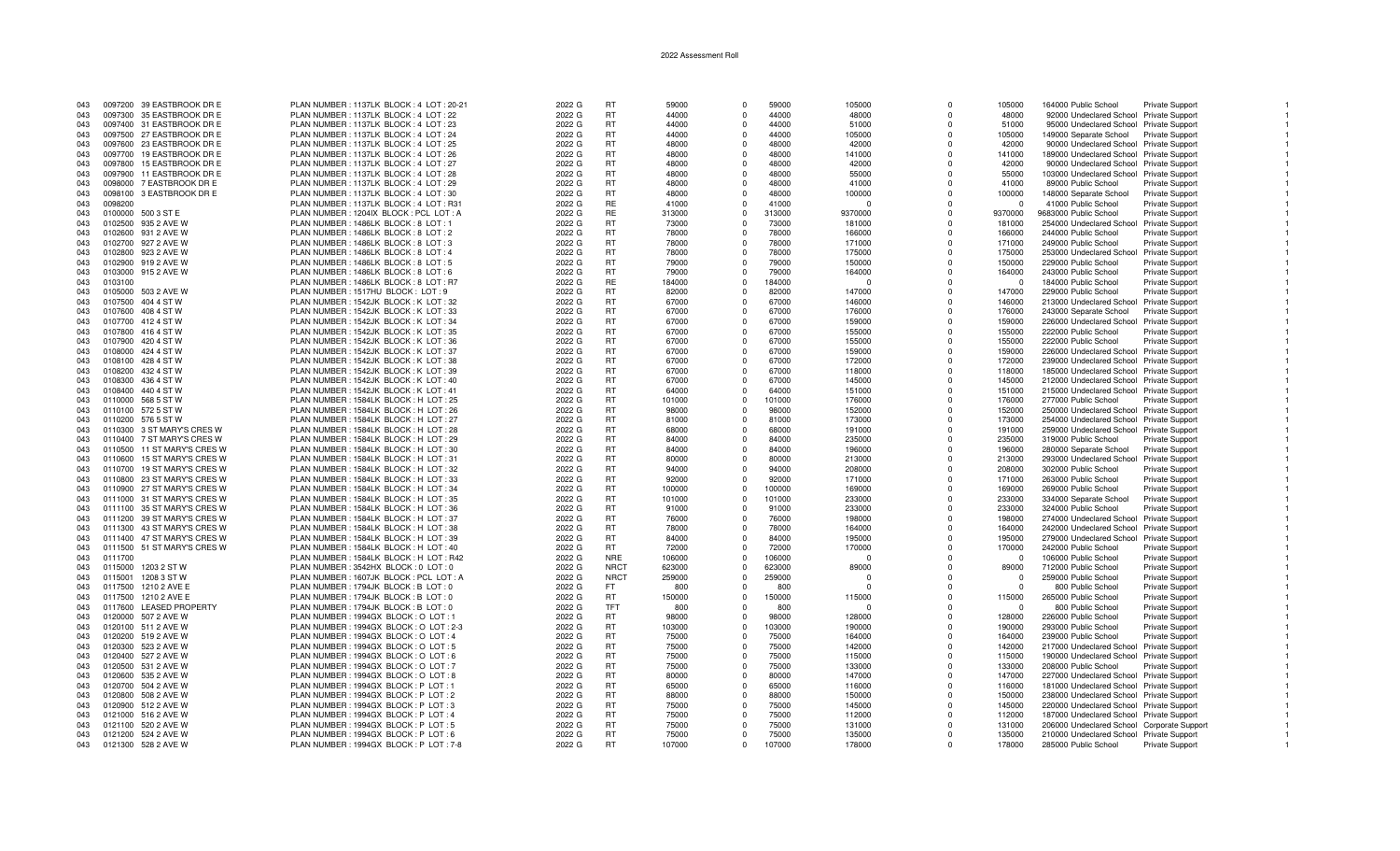| 043 |         | 0097200 39 EASTBROOK DR E   | PLAN NUMBER: 1137LK BLOCK: 4 LOT: 20-21 | 2022 G | <b>RT</b>   | 59000  | $\Omega$    | 59000  | 105000   | $\Omega$    | 105000      | 164000 Public School                       | Private Support        |  |
|-----|---------|-----------------------------|-----------------------------------------|--------|-------------|--------|-------------|--------|----------|-------------|-------------|--------------------------------------------|------------------------|--|
| 043 |         | 0097300 35 EASTBROOK DR E   | PLAN NUMBER: 1137LK BLOCK: 4 LOT: 22    | 2022 G | RT          | 44000  | $\Omega$    | 44000  | 48000    | $\Omega$    | 48000       | 92000 Undeclared School Private Support    |                        |  |
|     |         |                             |                                         |        |             |        |             |        |          |             |             |                                            |                        |  |
| 043 |         | 0097400 31 EASTBROOK DR E   | PLAN NUMBER : 1137LK BLOCK : 4 LOT : 23 | 2022 G | RT          | 44000  | $\Omega$    | 44000  | 51000    | $\Omega$    | 51000       | 95000 Undeclared School Private Support    |                        |  |
| 043 |         | 0097500 27 EASTBROOK DR E   | PLAN NUMBER: 1137LK BLOCK: 4 LOT: 24    | 2022 G | <b>RT</b>   | 44000  | $\Omega$    | 44000  | 105000   | $\Omega$    | 105000      | 149000 Separate School                     | <b>Private Support</b> |  |
| 043 |         | 0097600 23 EASTBROOK DR E   | PLAN NUMBER: 1137LK BLOCK: 4 LOT: 25    | 2022 G | <b>RT</b>   | 48000  | $\Omega$    | 48000  | 42000    | $\Omega$    | 42000       | 90000 Undeclared School Private Support    |                        |  |
|     |         |                             |                                         |        |             |        |             |        |          |             |             |                                            |                        |  |
| 043 |         | 0097700 19 EASTBROOK DR E   | PLAN NUMBER: 1137LK BLOCK: 4 LOT: 26    | 2022 G | <b>RT</b>   | 48000  | $\Omega$    | 48000  | 141000   | $\Omega$    | 141000      | 189000 Undeclared School Private Support   |                        |  |
| 043 |         | 0097800 15 EASTBROOK DR E   | PLAN NUMBER: 1137LK BLOCK: 4 LOT: 27    | 2022 G | RT          | 48000  | $\Omega$    | 48000  | 42000    | $\Omega$    | 42000       | 90000 Undeclared School Private Support    |                        |  |
| 043 | 0097900 | 11 EASTBROOK DR E           | PLAN NUMBER: 1137LK BLOCK: 4 LOT: 28    | 2022 G | <b>RT</b>   | 48000  | $\Omega$    | 48000  | 55000    | $\Omega$    | 55000       | 103000 Undeclared School Private Support   |                        |  |
|     |         |                             |                                         |        |             |        |             |        |          |             |             |                                            |                        |  |
| 043 |         | 0098000 7 EASTBROOK DR E    | PLAN NUMBER : 1137LK BLOCK : 4 LOT : 29 | 2022 G | <b>RT</b>   | 48000  | $\Omega$    | 48000  | 41000    | $\Omega$    | 41000       | 89000 Public School                        | Private Support        |  |
| 043 |         | 0098100 3 EASTBROOK DR E    | PLAN NUMBER: 1137LK BLOCK: 4 LOT: 30    | 2022 G | RT          | 48000  | $\Omega$    | 48000  | 100000   | $\Omega$    | 100000      | 148000 Separate School                     | <b>Private Support</b> |  |
|     |         |                             |                                         |        |             |        |             |        |          |             |             |                                            |                        |  |
| 043 | 0098200 |                             | PLAN NUMBER: 1137LK BLOCK: 4 LOT: R31   | 2022 G | RE          | 41000  | $\Omega$    | 41000  | $\Omega$ | $\Omega$    | $\Omega$    | 41000 Public School                        | Private Support        |  |
| 043 | 0100000 | 500 3 ST E                  | PLAN NUMBER: 1204IX BLOCK: PCL LOT: A   | 2022 G | RE          | 313000 | $\Omega$    | 313000 | 9370000  | $\Omega$    | 9370000     | 9683000 Public School                      | Private Support        |  |
| 043 |         | 0102500 935 2 AVE W         | PLAN NUMBER: 1486LK BLOCK: 8 LOT: 1     | 2022 G | RT          | 73000  | $\Omega$    | 73000  | 181000   | $\Omega$    | 181000      | 254000 Undeclared School Private Support   |                        |  |
|     |         |                             |                                         |        |             |        |             |        |          |             |             |                                            |                        |  |
| 043 |         | 0102600 931 2 AVE W         | PLAN NUMBER: 1486LK BLOCK: 8 LOT: 2     | 2022 G | <b>RT</b>   | 78000  | $\Omega$    | 78000  | 166000   | $\Omega$    | 166000      | 244000 Public School                       | <b>Private Support</b> |  |
| 043 |         | 0102700 927 2 AVE W         | PLAN NUMBER: 1486LK BLOCK: 8 LOT: 3     | 2022 G | <b>RT</b>   | 78000  | $\Omega$    | 78000  | 171000   | $\Omega$    | 171000      | 249000 Public School                       | <b>Private Support</b> |  |
|     | 0102800 | 923 2 AVE W                 | PLAN NUMBER: 1486LK BLOCK: 8 LOT: 4     | 2022 G | <b>RT</b>   | 78000  | $\Omega$    | 78000  | 175000   | $\Omega$    | 175000      | 253000 Undeclared School Private Support   |                        |  |
| 043 |         |                             |                                         |        |             |        |             |        |          |             |             |                                            |                        |  |
| 043 |         | 0102900 919 2 AVE W         | PLAN NUMBER: 1486LK BLOCK: 8 LOT: 5     | 2022 G | <b>RT</b>   | 79000  | $\Omega$    | 79000  | 150000   | $\Omega$    | 150000      | 229000 Public School                       | Private Support        |  |
| 043 |         | 0103000 915 2 AVE W         | PLAN NUMBER: 1486LK BLOCK: 8 LOT: 6     | 2022 G | <b>RT</b>   | 79000  | $\Omega$    | 79000  | 164000   | $\Omega$    | 164000      | 243000 Public School                       | Private Support        |  |
|     |         |                             |                                         |        |             |        |             |        |          |             |             |                                            |                        |  |
| 043 | 0103100 |                             | PLAN NUMBER: 1486LK BLOCK: 8 LOT: R7    | 2022 G | <b>RE</b>   | 184000 | $\Omega$    | 184000 | $\Omega$ | $\Omega$    | $\Omega$    | 184000 Public School                       | Private Support        |  |
| 043 | 0105000 | 503 2 AVE W                 | PLAN NUMBER: 1517HU BLOCK: LOT: 9       | 2022 G | RT          | 82000  | $\Omega$    | 82000  | 147000   | $\Omega$    | 147000      | 229000 Public School                       | Private Support        |  |
| 043 |         | 0107500 404 4 ST W          | PLAN NUMBER : 1542JK BLOCK : K LOT : 32 | 2022 G | RT          | 67000  | $\Omega$    | 67000  | 146000   | $\Omega$    | 146000      | 213000 Undeclared School Private Support   |                        |  |
|     |         |                             |                                         |        |             |        |             |        |          |             |             |                                            |                        |  |
| 043 |         | 0107600 408 4 ST W          | PLAN NUMBER: 1542JK BLOCK: K LOT: 33    | 2022 G | RT          | 67000  | $\Omega$    | 67000  | 176000   | $\Omega$    | 176000      | 243000 Separate School                     | Private Support        |  |
| 043 |         | 0107700 412 4 ST W          | PLAN NUMBER: 1542JK BLOCK: K LOT: 34    | 2022 G | RT          | 67000  | $\Omega$    | 67000  | 159000   | $\Omega$    | 159000      | 226000 Undeclared School Private Support   |                        |  |
|     |         |                             |                                         |        |             |        |             |        |          |             |             |                                            |                        |  |
| 043 | 0107800 | 416 4 ST W                  | PLAN NUMBER: 1542JK BLOCK: K LOT: 35    | 2022 G | <b>RT</b>   | 67000  | $\Omega$    | 67000  | 155000   | $\Omega$    | 155000      | 222000 Public School                       | <b>Private Support</b> |  |
| 043 |         | 0107900 420 4 ST W          | PLAN NUMBER: 1542JK BLOCK: K LOT: 36    | 2022 G | <b>RT</b>   | 67000  | $\Omega$    | 67000  | 155000   | $\Omega$    | 155000      | 222000 Public School                       | Private Support        |  |
| 043 |         | 0108000 424 4 ST W          | PLAN NUMBER: 1542JK BLOCK: K LOT: 37    | 2022 G | <b>RT</b>   | 67000  | $\Omega$    | 67000  | 159000   | $\Omega$    | 159000      | 226000 Undeclared School Private Support   |                        |  |
|     |         |                             |                                         |        |             |        |             |        |          |             |             |                                            |                        |  |
| 043 |         | 0108100 428 4 ST W          | PLAN NUMBER: 1542JK BLOCK: K LOT: 38    | 2022 G | <b>RT</b>   | 67000  | $\Omega$    | 67000  | 172000   | $\Omega$    | 172000      | 239000 Undeclared School Private Support   |                        |  |
| 043 |         | 0108200 432 4 ST W          | PLAN NUMBER: 1542JK BLOCK: K LOT: 39    | 2022 G | RT          | 67000  | $\Omega$    | 67000  | 118000   | $\Omega$    | 118000      | 185000 Undeclared School Private Support   |                        |  |
| 043 |         | 0108300 436 4 ST W          |                                         | 2022 G | <b>RT</b>   | 67000  | $\Omega$    | 67000  | 145000   | $\Omega$    |             |                                            |                        |  |
|     |         |                             | PLAN NUMBER : 1542JK BLOCK : K LOT : 40 |        |             |        |             |        |          |             | 145000      | 212000 Undeclared School Private Support   |                        |  |
| 043 |         | 0108400 440 4 ST W          | PLAN NUMBER: 1542JK BLOCK: K LOT: 41    | 2022 G | RT          | 64000  |             | 64000  | 151000   | $\Omega$    | 151000      | 215000 Undeclared School Private Support   |                        |  |
| 043 |         | 0110000 568 5 ST W          | PLAN NUMBER : 1584LK BLOCK : H LOT : 25 | 2022 G | <b>RT</b>   | 101000 | $^{\circ}$  | 101000 | 176000   | $\mathbf 0$ | 176000      | 277000 Public School                       | Private Support        |  |
|     |         |                             |                                         |        |             |        |             |        |          |             |             |                                            |                        |  |
| 043 |         | 0110100 572 5 ST W          | PLAN NUMBER: 1584LK BLOCK: H LOT: 26    | 2022 G | RT          | 98000  | $\Omega$    | 98000  | 152000   | $\Omega$    | 152000      | 250000 Undeclared School Private Support   |                        |  |
| 043 |         | 0110200 576 5 ST W          | PLAN NUMBER: 1584LK BLOCK: H LOT: 27    | 2022 G | <b>RT</b>   | 81000  | $\Omega$    | 81000  | 173000   | $\Omega$    | 173000      | 254000 Undeclared School Private Support   |                        |  |
| 043 |         | 0110300 3 ST MARY'S CRES W  | PLAN NUMBER: 1584LK BLOCK: H LOT: 28    | 2022 G | <b>RT</b>   | 68000  | $\Omega$    | 68000  | 191000   | $\Omega$    | 191000      | 259000 Undeclared School Private Support   |                        |  |
|     |         |                             |                                         |        |             |        |             |        |          |             |             |                                            |                        |  |
| 043 |         | 0110400 7 ST MARY'S CRES W  | PLAN NUMBER: 1584LK BLOCK: H LOT: 29    | 2022 G | <b>RT</b>   | 84000  | $\Omega$    | 84000  | 235000   | $\Omega$    | 235000      | 319000 Public School                       | <b>Private Support</b> |  |
| 043 |         | 0110500 11 ST MARY'S CRES W | PLAN NUMBER: 1584LK BLOCK: H LOT: 30    | 2022 G | <b>RT</b>   | 84000  | $\Omega$    | 84000  | 196000   | $\Omega$    | 196000      | 280000 Separate School                     | <b>Private Support</b> |  |
|     |         | 0110600 15 ST MARY'S CRES W | PLAN NUMBER: 1584LK BLOCK: H LOT: 31    | 2022 G | <b>RT</b>   | 80000  | $\Omega$    | 80000  | 213000   | $\Omega$    | 213000      | 293000 Undeclared School Private Support   |                        |  |
| 043 |         |                             |                                         |        |             |        |             |        |          |             |             |                                            |                        |  |
| 043 |         | 0110700 19 ST MARY'S CRES W | PLAN NUMBER: 1584LK BLOCK: H LOT: 32    | 2022 G | <b>RT</b>   | 94000  | $\Omega$    | 94000  | 208000   | $\Omega$    | 208000      | 302000 Public School                       | Private Support        |  |
| 043 |         | 0110800 23 ST MARY'S CRES W | PLAN NUMBER: 1584LK BLOCK: H LOT: 33    | 2022 G | <b>RT</b>   | 92000  | $\Omega$    | 92000  | 171000   | $\Omega$    | 171000      | 263000 Public School                       | Private Support        |  |
|     |         |                             |                                         |        |             |        |             |        |          |             |             |                                            |                        |  |
| 043 |         | 0110900 27 ST MARY'S CRES W | PLAN NUMBER: 1584LK BLOCK: H LOT: 34    | 2022 G | RT          | 100000 | $\Omega$    | 100000 | 169000   | $\Omega$    | 169000      | 269000 Public School                       | <b>Private Support</b> |  |
| 043 |         | 0111000 31 ST MARY'S CRES W | PLAN NUMBER: 1584LK BLOCK: H LOT: 35    | 2022 G | <b>RT</b>   | 101000 | $\Omega$    | 101000 | 233000   | $\Omega$    | 233000      | 334000 Separate School                     | Private Support        |  |
| 043 |         | 0111100 35 ST MARY'S CRES W | PLAN NUMBER: 1584LK BLOCK: H LOT: 36    | 2022 G | RT          | 91000  | $^{\circ}$  | 91000  | 233000   | $\Omega$    | 233000      | 324000 Public School                       | Private Support        |  |
|     |         |                             |                                         |        |             |        |             |        |          |             |             |                                            |                        |  |
| 043 |         | 0111200 39 ST MARY'S CRES W | PLAN NUMBER: 1584LK BLOCK: H LOT: 37    | 2022 G | <b>RT</b>   | 76000  | $\Omega$    | 76000  | 198000   | $\Omega$    | 198000      | 274000 Undeclared School Private Support   |                        |  |
| 043 |         | 0111300 43 ST MARY'S CRES W | PLAN NUMBER: 1584LK BLOCK: H LOT: 38    | 2022 G | <b>RT</b>   | 78000  | $\Omega$    | 78000  | 164000   | $\Omega$    | 164000      | 242000 Undeclared School Private Support   |                        |  |
| 043 |         | 0111400 47 ST MARY'S CRES W | PLAN NUMBER: 1584LK BLOCK: H LOT: 39    | 2022 G | <b>RT</b>   | 84000  | $\Omega$    | 84000  | 195000   | $\Omega$    | 195000      | 279000 Undeclared School Private Support   |                        |  |
|     |         |                             |                                         |        |             |        |             |        |          |             |             |                                            |                        |  |
| 043 |         | 0111500 51 ST MARY'S CRES W | PLAN NUMBER: 1584LK BLOCK: H LOT: 40    | 2022 G | <b>RT</b>   | 72000  | $\Omega$    | 72000  | 170000   | $\Omega$    | 170000      | 242000 Public School                       | <b>Private Support</b> |  |
| 043 | 0111700 |                             | PLAN NUMBER: 1584LK BLOCK: H LOT: R42   | 2022 G | <b>NRE</b>  | 106000 | $\Omega$    | 106000 | - 0      | $\Omega$    | $\Omega$    | 106000 Public School                       | <b>Private Support</b> |  |
| 043 | 0115000 | 1203 2 ST W                 | PLAN NUMBER : 3542HX BLOCK : 0 LOT : 0  | 2022 G | <b>NRCT</b> | 623000 | $\Omega$    | 623000 | 89000    | $\Omega$    | 89000       | 712000 Public School                       | Private Support        |  |
|     |         |                             |                                         |        |             |        |             |        |          |             |             |                                            |                        |  |
| 043 | 0115001 | 1208 3 ST W                 | PLAN NUMBER: 1607JK BLOCK: PCL LOT: A   | 2022 G | <b>NRCT</b> | 259000 | $\Omega$    | 259000 | $\Omega$ | $\Omega$    | $\Omega$    | 259000 Public School                       | Private Support        |  |
| 043 |         | 0117500 1210 2 AVE E        | PLAN NUMBER : 1794JK BLOCK : B LOT : 0  | 2022 G | FT.         | 800    | $\Omega$    | 800    | $\Omega$ | $\Omega$    | $\Omega$    | 800 Public School                          | Private Support        |  |
|     |         |                             |                                         |        |             |        |             |        |          |             |             |                                            |                        |  |
| 043 |         | 0117500 1210 2 AVE E        | PLAN NUMBER: 1794JK BLOCK: B LOT: 0     | 2022 G | <b>RT</b>   | 150000 | $\Omega$    | 150000 | 115000   | $\Omega$    | 115000      | 265000 Public School                       | Private Support        |  |
| 043 |         | 0117600 LEASED PROPERTY     | PLAN NUMBER: 1794JK BLOCK: B LOT: 0     | 2022 G | TFT         | 800    | $\mathbf 0$ | 800    | 0        | $\Omega$    | $\mathbf 0$ | 800 Public School                          | Private Support        |  |
| 043 |         | 0120000 507 2 AVE W         | PLAN NUMBER : 1994GX BLOCK : O LOT : 1  | 2022 G | <b>RT</b>   | 98000  | $\Omega$    | 98000  | 128000   | $\Omega$    | 128000      | 226000 Public School                       | Private Support        |  |
|     |         |                             |                                         |        |             |        |             |        |          |             |             |                                            |                        |  |
| 043 |         | 0120100 511 2 AVE W         | PLAN NUMBER: 1994GX BLOCK: O LOT: 2-3   | 2022 G | <b>RT</b>   | 103000 | $\Omega$    | 103000 | 190000   | $\Omega$    | 190000      | 293000 Public School                       | <b>Private Support</b> |  |
| 043 |         | 0120200 519 2 AVE W         | PLAN NUMBER: 1994GX BLOCK: O LOT: 4     | 2022 G | <b>RT</b>   | 75000  | $\Omega$    | 75000  | 164000   | $\Omega$    | 164000      | 239000 Public School                       | <b>Private Support</b> |  |
| 043 | 0120300 | 523 2 AVE W                 | PLAN NUMBER: 1994GX BLOCK: OLOT: 5      | 2022 G | <b>RT</b>   | 75000  | $\Omega$    | 75000  | 142000   | $\Omega$    | 142000      | 217000 Undeclared School Private Support   |                        |  |
|     |         |                             |                                         |        |             |        |             |        |          |             |             |                                            |                        |  |
| 043 |         | 0120400 527 2 AVE W         | PLAN NUMBER: 1994GX BLOCK: OLOT: 6      | 2022 G | <b>RT</b>   | 75000  | $\Omega$    | 75000  | 115000   | $\Omega$    | 115000      | 190000 Undeclared School Private Support   |                        |  |
| 043 |         | 0120500 531 2 AVE W         | PLAN NUMBER: 1994GX BLOCK: O LOT: 7     | 2022 G | <b>RT</b>   | 75000  | $\Omega$    | 75000  | 133000   | $\Omega$    | 133000      | 208000 Public School                       | Private Support        |  |
| 043 |         | 0120600 535 2 AVE W         | PLAN NUMBER: 1994GX BLOCK: O LOT: 8     | 2022 G | <b>RT</b>   | 80000  | $\Omega$    | 80000  | 147000   | $\Omega$    | 147000      | 227000 Undeclared School Private Support   |                        |  |
|     |         |                             |                                         |        |             |        |             |        |          |             |             |                                            |                        |  |
| 043 |         | 0120700 504 2 AVE W         | PLAN NUMBER: 1994GX BLOCK: P LOT: 1     | 2022 G | <b>RT</b>   | 65000  | $\mathbf 0$ | 65000  | 116000   | $\mathbf 0$ | 116000      | 181000 Undeclared School Private Support   |                        |  |
| 043 |         | 0120800 508 2 AVE W         | PLAN NUMBER: 1994GX BLOCK: P LOT: 2     | 2022 G | <b>RT</b>   | 88000  | $\Omega$    | 88000  | 150000   | $\Omega$    | 150000      | 238000 Undeclared School Private Support   |                        |  |
|     |         |                             |                                         |        | <b>RT</b>   |        | $\Omega$    | 75000  |          | $\Omega$    |             |                                            |                        |  |
| 043 |         | 0120900 512 2 AVE W         | PLAN NUMBER: 1994GX BLOCK: P LOT: 3     | 2022 G |             | 75000  |             |        | 145000   |             | 145000      | 220000 Undeclared School Private Support   |                        |  |
| 043 |         | 0121000 516 2 AVE W         | PLAN NUMBER : 1994GX BLOCK : P LOT : 4  | 2022 G | <b>RT</b>   | 75000  | $\Omega$    | 75000  | 112000   | $\Omega$    | 112000      | 187000 Undeclared School Private Support   |                        |  |
| 043 |         | 0121100 520 2 AVE W         | PLAN NUMBER: 1994GX BLOCK: P LOT: 5     | 2022 G | <b>RT</b>   | 75000  | $\Omega$    | 75000  | 131000   | $\Omega$    | 131000      | 206000 Undeclared School Corporate Support |                        |  |
|     |         |                             |                                         |        |             |        |             |        |          |             |             |                                            |                        |  |
| 043 |         | 0121200 524 2 AVE W         | PLAN NUMBER: 1994GX BLOCK: P LOT: 6     | 2022 G | RT.         | 75000  | $\Omega$    | 75000  | 135000   | $\Omega$    | 135000      | 210000 Undeclared School Private Support   |                        |  |
| 043 |         | 0121300 528 2 AVE W         | PLAN NUMBER: 1994GX BLOCK: P LOT: 7-8   | 2022 G | RT.         | 107000 | $\Omega$    | 107000 | 178000   | $\Omega$    | 178000      | 285000 Public School                       | <b>Private Support</b> |  |
|     |         |                             |                                         |        |             |        |             |        |          |             |             |                                            |                        |  |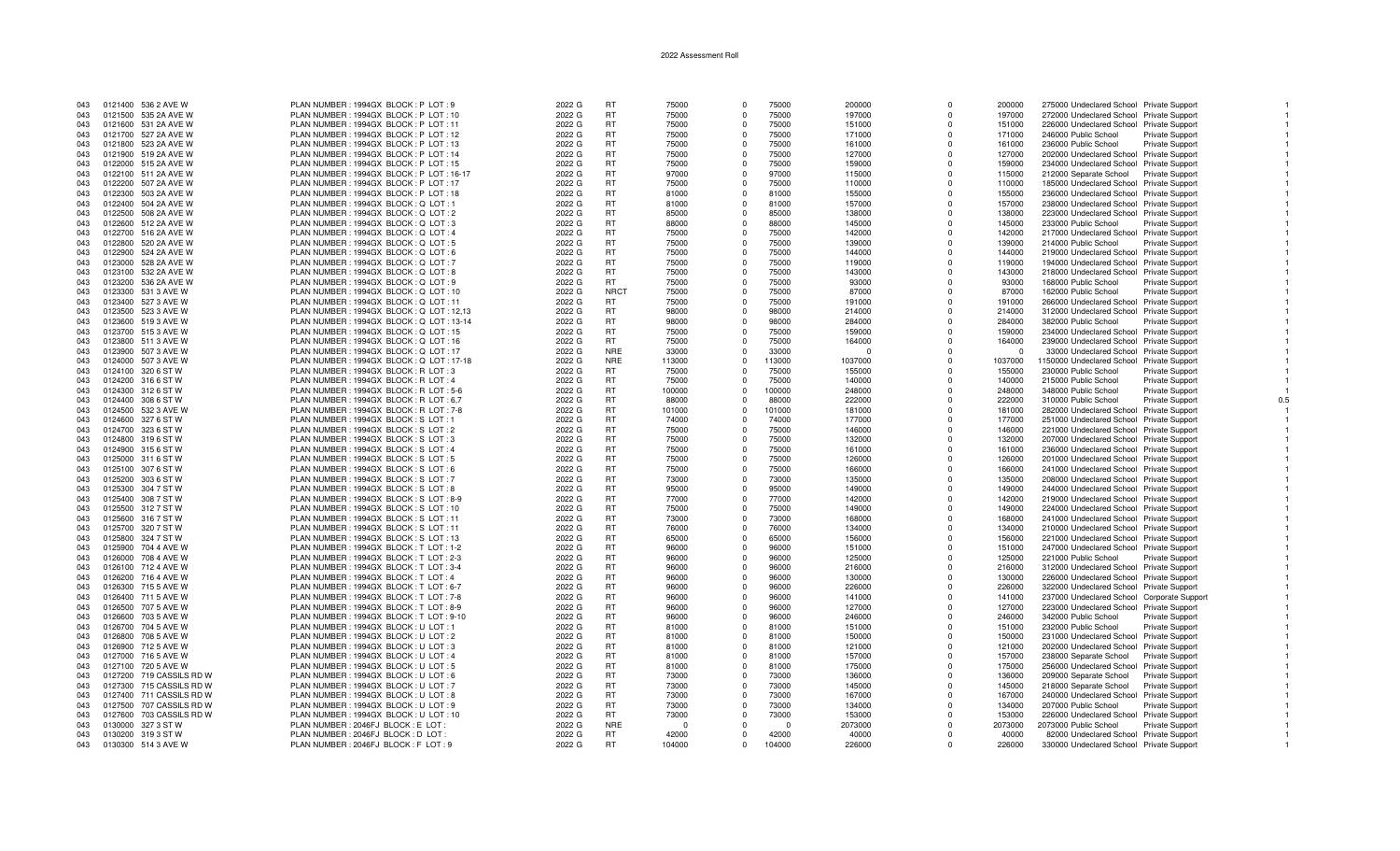| 043 | 0121400 536 2 AVE W      | PLAN NUMBER : 1994GX BLOCK : P LOT : 9  | 2022 G | <b>RT</b>   | 75000    | $\Omega$ | 75000    | 200000   | $\Omega$    | 200000   | 275000 Undeclared School Private Support   |                        |
|-----|--------------------------|-----------------------------------------|--------|-------------|----------|----------|----------|----------|-------------|----------|--------------------------------------------|------------------------|
| 043 | 0121500 535 2A AVE W     | PLAN NUMBER : 1994GX BLOCK : P LOT : 10 | 2022 G | <b>RT</b>   | 75000    | $\Omega$ | 75000    | 197000   | O           | 197000   | 272000 Undeclared School Private Support   |                        |
| 043 | 0121600 531 2A AVE W     | PLAN NUMBER: 1994GX BLOCK: P LOT: 11    | 2022 G | RT          | 75000    | $\Omega$ | 75000    | 151000   | $\Omega$    | 151000   | 226000 Undeclared School Private Support   |                        |
| 043 | 0121700 527 2A AVE W     | PLAN NUMBER : 1994GX BLOCK : P LOT : 12 | 2022 G | RT.         | 75000    | $\Omega$ | 75000    | 171000   | $\Omega$    | 171000   | 246000 Public School                       | Private Support        |
| 043 | 0121800 523 2A AVE W     | PLAN NUMBER: 1994GX BLOCK: P LOT: 13    | 2022 G | <b>RT</b>   | 75000    | $\Omega$ | 75000    | 161000   | $\Omega$    | 161000   | 236000 Public School                       | Private Support        |
| 043 | 0121900 519 2A AVE W     | PLAN NUMBER: 1994GX BLOCK: P LOT: 14    | 2022 G | <b>RT</b>   | 75000    | $\Omega$ | 75000    | 127000   | $\Omega$    | 127000   | 202000 Undeclared School Private Support   |                        |
| 043 | 0122000 515 2A AVE W     | PLAN NUMBER: 1994GX BLOCK: P LOT: 15    | 2022 G | <b>RT</b>   | 75000    | $\Omega$ | 75000    | 159000   | $\mathbf 0$ | 159000   | 234000 Undeclared School Private Support   |                        |
| 043 | 0122100 511 2A AVE W     | PLAN NUMBER: 1994GX BLOCK: P LOT: 16-17 | 2022 G | <b>RT</b>   | 97000    | $\Omega$ | 97000    | 115000   | $\Omega$    | 115000   |                                            |                        |
|     |                          |                                         |        | <b>RT</b>   |          | $\Omega$ |          |          | $\Omega$    |          | 212000 Separate School Private Support     |                        |
| 043 | 0122200 507 2A AVE W     | PLAN NUMBER: 1994GX BLOCK: P LOT: 17    | 2022 G |             | 75000    |          | 75000    | 110000   |             | 110000   | 185000 Undeclared School Private Support   |                        |
| 043 | 0122300 503 2A AVE W     | PLAN NUMBER : 1994GX BLOCK : P LOT : 18 | 2022 G | <b>RT</b>   | 81000    | $\Omega$ | 81000    | 155000   | O           | 155000   | 236000 Undeclared School Private Support   |                        |
| 043 | 0122400 504 2A AVE W     | PLAN NUMBER: 1994GX BLOCK: Q LOT: 1     | 2022 G | <b>RT</b>   | 81000    | $\Omega$ | 81000    | 157000   | $\Omega$    | 157000   | 238000 Undeclared School Private Support   |                        |
| 043 | 0122500 508 2A AVE W     | PLAN NUMBER : 1994GX BLOCK : Q LOT : 2  | 2022 G | <b>RT</b>   | 85000    | $\Omega$ | 85000    | 138000   | $\Omega$    | 138000   | 223000 Undeclared School Private Support   |                        |
| 043 | 0122600 512 2A AVE W     | PLAN NUMBER: 1994GX BLOCK: Q LOT: 3     | 2022 G | <b>RT</b>   | 88000    |          | 88000    | 145000   | $\Omega$    | 145000   | 233000 Public School                       | Private Support        |
| 043 | 0122700 516 2A AVE W     | PLAN NUMBER: 1994GX BLOCK: Q LOT: 4     | 2022 G | <b>RT</b>   | 75000    | $\Omega$ | 75000    | 142000   | $\Omega$    | 142000   | 217000 Undeclared School Private Support   |                        |
| 043 | 0122800 520 2A AVE W     | PLAN NUMBER : 1994GX BLOCK : Q LOT : 5  | 2022 G | <b>RT</b>   | 75000    | $\Omega$ | 75000    | 139000   | $\Omega$    | 139000   | 214000 Public School                       | Private Support        |
| 043 | 0122900 524 2A AVE W     | PLAN NUMBER : 1994GX BLOCK : Q LOT : 6  | 2022 G | <b>RT</b>   | 75000    | $\Omega$ | 75000    | 144000   | $\Omega$    | 144000   | 219000 Undeclared School Private Support   |                        |
| 043 | 0123000 528 2A AVE W     | PLAN NUMBER: 1994GX BLOCK: Q LOT: 7     | 2022 G | <b>RT</b>   | 75000    | $\Omega$ | 75000    | 119000   | $\Omega$    | 119000   | 194000 Undeclared School Private Support   |                        |
| 043 | 0123100 532 2A AVE W     | PLAN NUMBER: 1994GX BLOCK: Q LOT: 8     | 2022 G | <b>RT</b>   | 75000    | $\Omega$ | 75000    | 143000   | O           | 143000   | 218000 Undeclared School Private Support   |                        |
| 043 | 0123200 536 2A AVE W     | PLAN NUMBER : 1994GX BLOCK : Q LOT : 9  | 2022 G | RT          | 75000    | $\Omega$ | 75000    | 93000    | $\Omega$    | 93000    | 168000 Public School                       | Private Support        |
| 043 | 0123300 531 3 AVE W      | PLAN NUMBER: 1994GX BLOCK: Q LOT: 10    | 2022 G | <b>NRCT</b> | 75000    | $\Omega$ | 75000    | 87000    | $\Omega$    | 87000    | 162000 Public School                       | Private Support        |
| 043 | 0123400 527 3 AVE W      | PLAN NUMBER : 1994GX BLOCK : Q LOT : 11 | 2022 G | <b>RT</b>   | 75000    | $\Omega$ | 75000    | 191000   | $\Omega$    | 191000   | 266000 Undeclared School Private Support   |                        |
| 043 | 0123500 523 3 AVE W      | PLAN NUMBER: 1994GX BLOCK: Q LOT: 12,13 | 2022 G | <b>RT</b>   | 98000    | $\Omega$ | 98000    | 214000   | $\Omega$    | 214000   | 312000 Undeclared School Private Support   |                        |
| 043 | 0123600 519 3 AVE W      | PLAN NUMBER: 1994GX BLOCK: Q LOT: 13-14 | 2022 G | RT          | 98000    | $\Omega$ | 98000    | 284000   | $\Omega$    | 284000   | 382000 Public School                       | <b>Private Support</b> |
| 043 | 0123700 515 3 AVE W      | PLAN NUMBER: 1994GX BLOCK: Q LOT: 15    | 2022 G | <b>RT</b>   | 75000    | $\Omega$ | 75000    | 159000   | $\Omega$    | 159000   | 234000 Undeclared School Private Support   |                        |
| 043 | 0123800 511 3 AVE W      | PLAN NUMBER: 1994GX BLOCK: Q LOT: 16    | 2022 G | <b>RT</b>   | 75000    | $\Omega$ | 75000    | 164000   | $\Omega$    | 164000   | 239000 Undeclared School Private Support   |                        |
|     |                          |                                         |        | <b>NRE</b>  | 33000    | $\Omega$ | 33000    | $\Omega$ | $\Omega$    | $\Omega$ |                                            |                        |
| 043 | 0123900 507 3 AVE W      | PLAN NUMBER: 1994GX BLOCK: Q LOT: 17    | 2022 G |             |          |          |          |          |             |          | 33000 Undeclared School Private Support    |                        |
| 043 | 0124000 507 3 AVE W      | PLAN NUMBER: 1994GX BLOCK: Q LOT: 17-18 | 2022 G | <b>NRE</b>  | 113000   | $\Omega$ | 113000   | 1037000  | $\Omega$    | 1037000  | 1150000 Undeclared School Private Support  |                        |
| 043 | 0124100 320 6 ST W       | PLAN NUMBER: 1994GX BLOCK: R LOT: 3     | 2022 G | <b>RT</b>   | 75000    | $\Omega$ | 75000    | 155000   | $\Omega$    | 155000   | 230000 Public School                       | <b>Private Support</b> |
| 043 | 0124200 316 6 ST W       | PLAN NUMBER: 1994GX BLOCK: R LOT: 4     | 2022 G | <b>RT</b>   | 75000    |          | 75000    | 140000   | $\Omega$    | 140000   | 215000 Public School                       | <b>Private Support</b> |
| 043 | 0124300 312 6 ST W       | PLAN NUMBER: 1994GX BLOCK: R LOT: 5-6   | 2022 G | RT          | 100000   | $\Omega$ | 100000   | 248000   | $\Omega$    | 248000   | 348000 Public School                       | Private Support        |
| 043 | 0124400 308 6 ST W       | PLAN NUMBER: 1994GX BLOCK: R LOT: 6,7   | 2022 G | <b>RT</b>   | 88000    | $\Omega$ | 88000    | 222000   | $\Omega$    | 222000   | 310000 Public School                       | Private Support        |
| 043 | 0124500 532 3 AVE W      | PLAN NUMBER: 1994GX BLOCK: R LOT: 7-8   | 2022 G | <b>RT</b>   | 101000   | $\Omega$ | 101000   | 181000   | $\Omega$    | 181000   | 282000 Undeclared School Private Support   |                        |
| 043 | 0124600 327 6 ST W       | PLAN NUMBER: 1994GX BLOCK: S LOT: 1     | 2022 G | <b>RT</b>   | 74000    |          | 74000    | 177000   |             | 177000   | 251000 Undeclared School Private Support   |                        |
| 043 | 0124700 323 6 ST W       | PLAN NUMBER: 1994GX BLOCK: S LOT: 2     | 2022 G | <b>RT</b>   | 75000    | $\Omega$ | 75000    | 146000   | $\Omega$    | 146000   | 221000 Undeclared School Private Support   |                        |
| 043 | 0124800 319 6 ST W       | PLAN NUMBER: 1994GX BLOCK: S LOT: 3     | 2022 G | <b>RT</b>   | 75000    | $\Omega$ | 75000    | 132000   | $\Omega$    | 132000   | 207000 Undeclared School Private Support   |                        |
| 043 | 0124900 3156 ST W        | PLAN NUMBER: 1994GX BLOCK: S LOT: 4     | 2022 G | RT.         | 75000    | $\Omega$ | 75000    | 161000   | $\Omega$    | 161000   | 236000 Undeclared School Private Support   |                        |
| 043 | 0125000 311 6 ST W       | PLAN NUMBER: 1994GX BLOCK: S LOT: 5     | 2022 G | <b>RT</b>   | 75000    |          | 75000    | 126000   | $\Omega$    | 126000   | 201000 Undeclared School Private Support   |                        |
| 043 | 0125100 307 6 ST W       | PLAN NUMBER: 1994GX BLOCK: SLOT: 6      | 2022 G | <b>RT</b>   | 75000    | $\Omega$ | 75000    | 166000   | $\Omega$    | 166000   | 241000 Undeclared School Private Support   |                        |
| 043 | 0125200 303 6 ST W       | PLAN NUMBER: 1994GX BLOCK: S LOT: 7     | 2022 G | <b>RT</b>   | 73000    | $\Omega$ | 73000    | 135000   | $\Omega$    | 135000   | 208000 Undeclared School Private Support   |                        |
| 043 | 0125300 304 7 ST W       | PLAN NUMBER: 1994GX BLOCK: SLOT: 8      | 2022 G | <b>RT</b>   | 95000    | $\Omega$ | 95000    | 149000   | $\Omega$    | 149000   | 244000 Undeclared School Private Support   |                        |
| 043 | 0125400 308 7 ST W       | PLAN NUMBER: 1994GX BLOCK: S LOT: 8-9   | 2022 G | <b>RT</b>   | 77000    | $\Omega$ | 77000    | 142000   |             | 142000   | 219000 Undeclared School Private Support   |                        |
| 043 | 0125500 312 7 ST W       | PLAN NUMBER: 1994GX BLOCK: S LOT: 10    | 2022 G | <b>RT</b>   | 75000    | $\Omega$ | 75000    | 149000   | $\Omega$    | 149000   | 224000 Undeclared School Private Support   |                        |
| 043 | 0125600 316 7 ST W       | PLAN NUMBER: 1994GX BLOCK: S LOT: 11    | 2022 G | RT          | 73000    | $\Omega$ | 73000    | 168000   | $\Omega$    | 168000   | 241000 Undeclared School Private Support   |                        |
| 043 | 0125700 320 7 ST W       | PLAN NUMBER: 1994GX BLOCK: S LOT: 11    | 2022 G | <b>RT</b>   | 76000    | $\Omega$ | 76000    | 134000   | $\Omega$    | 134000   | 210000 Undeclared School Private Support   |                        |
| 043 | 0125800 324 7 ST W       | PLAN NUMBER: 1994GX BLOCK: S LOT: 13    | 2022 G | <b>RT</b>   | 65000    |          | 65000    | 156000   | $\Omega$    | 156000   | 221000 Undeclared School Private Support   |                        |
|     |                          |                                         | 2022 G |             | 96000    | $\Omega$ | 96000    |          | $\Omega$    |          |                                            |                        |
| 043 | 0125900 704 4 AVE W      | PLAN NUMBER: 1994GX BLOCK: T LOT: 1-2   |        | RT          |          |          |          | 151000   | $\Omega$    | 151000   | 247000 Undeclared School Private Support   |                        |
| 043 | 0126000 708 4 AVE W      | PLAN NUMBER: 1994GX BLOCK: TLOT: 2-3    | 2022 G | RT.         | 96000    | $\Omega$ | 96000    | 125000   |             | 125000   | 221000 Public School                       | <b>Private Support</b> |
| 043 | 0126100 712 4 AVE W      | PLAN NUMBER: 1994GX BLOCK: T LOT: 3-4   | 2022 G | <b>RT</b>   | 96000    | $\Omega$ | 96000    | 216000   | $\Omega$    | 216000   | 312000 Undeclared School Private Support   |                        |
| 043 | 0126200 716 4 AVE W      | PLAN NUMBER: 1994GX BLOCK: TLOT: 4      | 2022 G | <b>RT</b>   | 96000    | $\Omega$ | 96000    | 130000   | O           | 130000   | 226000 Undeclared School Private Support   |                        |
| 043 | 0126300 7155 AVE W       | PLAN NUMBER: 1994GX BLOCK: T LOT: 6-7   | 2022 G | <b>RT</b>   | 96000    | $\Omega$ | 96000    | 226000   | $\Omega$    | 226000   | 322000 Undeclared School Private Support   |                        |
| 043 | 0126400 711 5 AVE W      | PLAN NUMBER: 1994GX BLOCK: TLOT: 7-8    | 2022 G | <b>RT</b>   | 96000    |          | 96000    | 141000   | $\Omega$    | 141000   | 237000 Undeclared School Corporate Support |                        |
| 043 | 0126500 707 5 AVE W      | PLAN NUMBER: 1994GX BLOCK: T LOT: 8-9   | 2022 G | <b>RT</b>   | 96000    | $\Omega$ | 96000    | 127000   | $\Omega$    | 127000   | 223000 Undeclared School Private Support   |                        |
| 043 | 0126600 703 5 AVE W      | PLAN NUMBER: 1994GX BLOCK: TLOT: 9-10   | 2022 G | <b>RT</b>   | 96000    | $\Omega$ | 96000    | 246000   | $\Omega$    | 246000   | 342000 Public School                       | Private Support        |
| 043 | 0126700 704 5 AVE W      | PLAN NUMBER: 1994GX BLOCK: U LOT: 1     | 2022 G | <b>RT</b>   | 81000    | $\Omega$ | 81000    | 151000   | $\Omega$    | 151000   | 232000 Public School                       | <b>Private Support</b> |
| 043 | 0126800 708 5 AVE W      | PLAN NUMBER: 1994GX BLOCK: U LOT: 2     | 2022 G | RT.         | 81000    | $\Omega$ | 81000    | 150000   | $\Omega$    | 150000   | 231000 Undeclared School Private Support   |                        |
| 043 | 0126900 712 5 AVE W      | PLAN NUMBER: 1994GX BLOCK: U LOT: 3     | 2022 G | <b>RT</b>   | 81000    | $\Omega$ | 81000    | 121000   | $\Omega$    | 121000   | 202000 Undeclared School Private Support   |                        |
| 043 | 0127000 716 5 AVE W      | PLAN NUMBER: 1994GX BLOCK: U LOT: 4     | 2022 G | <b>RT</b>   | 81000    | $\Omega$ | 81000    | 157000   | 0           | 157000   | 238000 Separate School                     | <b>Private Support</b> |
| 043 | 0127100 720 5 AVE W      | PLAN NUMBER: 1994GX BLOCK: U LOT: 5     | 2022 G | <b>RT</b>   | 81000    | $\Omega$ | 81000    | 175000   | $\Omega$    | 175000   | 256000 Undeclared School Private Support   |                        |
| 043 | 0127200 719 CASSILS RD W | PLAN NUMBER : 1994GX BLOCK : U LOT : 6  | 2022 G | RT.         | 73000    | $\Omega$ | 73000    | 136000   | $\Omega$    | 136000   | 209000 Separate School                     | <b>Private Support</b> |
| 043 | 0127300 715 CASSILS RD W | PLAN NUMBER: 1994GX BLOCK: U LOT: 7     | 2022 G | <b>RT</b>   | 73000    | $\Omega$ | 73000    | 145000   | $\Omega$    | 145000   | 218000 Separate School                     | <b>Private Support</b> |
| 043 | 0127400 711 CASSILS RD W | PLAN NUMBER : 1994GX BLOCK : U LOT : 8  | 2022 G | RT.         | 73000    | $\Omega$ | 73000    | 167000   | $\Omega$    | 167000   | 240000 Undeclared School Private Support   |                        |
| 043 | 0127500 707 CASSILS RD W | PLAN NUMBER: 1994GX BLOCK: U LOT: 9     | 2022 G | RT          | 73000    | $\Omega$ | 73000    | 134000   | $\Omega$    | 134000   | 207000 Public School                       | <b>Private Support</b> |
| 043 | 0127600 703 CASSILS RD W | PLAN NUMBER: 1994GX BLOCK: U LOT: 10    | 2022 G | <b>RT</b>   | 73000    | $\Omega$ | 73000    | 153000   | $\Omega$    | 153000   | 226000 Undeclared School Private Support   |                        |
| 043 | 0130000 327 3 ST W       | PLAN NUMBER : 2046FJ BLOCK : E LOT      | 2022 G | <b>NRE</b>  | $\Omega$ |          | $\Omega$ | 2073000  | $\Omega$    | 2073000  | 2073000 Public School                      | Private Support        |
| 043 | 0130200 319 3 ST W       | PLAN NUMBER : 2046FJ BLOCK : D LOT      | 2022 G | <b>RT</b>   | 42000    | $\Omega$ | 42000    | 40000    | $\Omega$    | 40000    | 82000 Undeclared School Private Support    |                        |
| 043 | 0130300 514 3 AVE W      | PLAN NUMBER : 2046FJ BLOCK : F LOT : 9  | 2022 G | <b>RT</b>   | 104000   | $\Omega$ | 104000   | 226000   |             | 226000   | 330000 Undeclared School Private Support   |                        |
|     |                          |                                         |        |             |          |          |          |          |             |          |                                            |                        |

 $\overline{1}$ 

 $\overline{1}$ 

 $\blacksquare$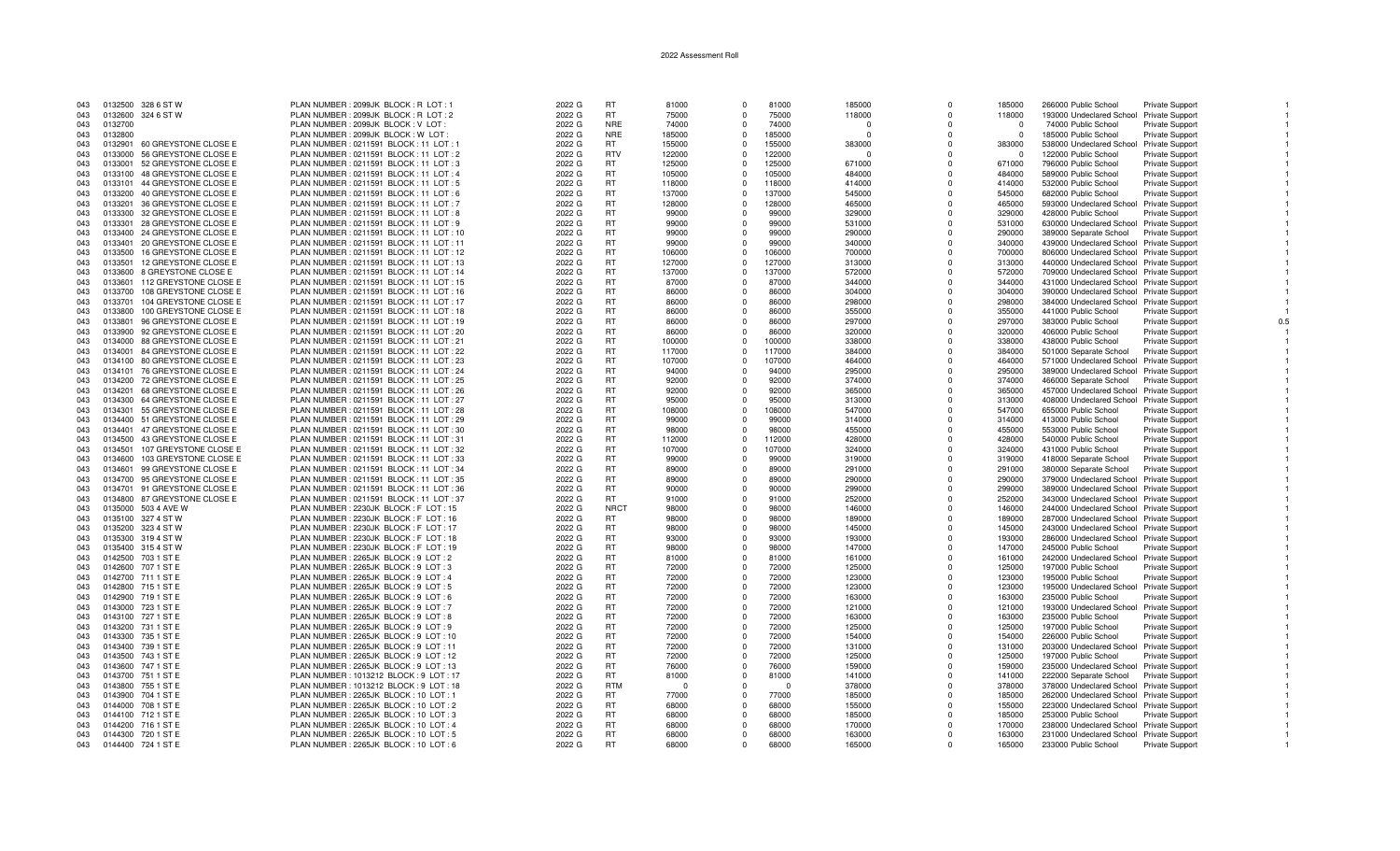| 043 |         | 0132500 328 6 ST W           | PLAN NUMBER: 2099JK BLOCK: R LOT: 1       | 2022 G | <b>RT</b>       | 81000  | $\Omega$    | 81000  | 185000   | $\Omega$ | 185000   | 266000 Public School                     | <b>Private Support</b> |  |
|-----|---------|------------------------------|-------------------------------------------|--------|-----------------|--------|-------------|--------|----------|----------|----------|------------------------------------------|------------------------|--|
| 043 |         | 0132600 324 6 ST W           | PLAN NUMBER: 2099JK BLOCK: R LOT: 2       | 2022 G | RT.             | 75000  | $\Omega$    | 75000  | 118000   | $\Omega$ | 118000   | 193000 Undeclared School Private Support |                        |  |
| 043 | 0132700 |                              | PLAN NUMBER : 2099JK BLOCK : V LOT :      | 2022 G | <b>NRE</b>      | 74000  | $\Omega$    | 74000  | $\Omega$ | $\Omega$ | - 0      | 74000 Public School                      | <b>Private Support</b> |  |
| 043 | 0132800 |                              | PLAN NUMBER : 2099JK BLOCK : W LOT        | 2022 G | <b>NRE</b>      | 185000 | $\Omega$    | 185000 | $\Omega$ | $\Omega$ | $\Omega$ | 185000 Public School                     | <b>Private Support</b> |  |
| 043 | 0132901 | 60 GREYSTONE CLOSE E         | PLAN NUMBER: 0211591 BLOCK: 11 LOT:       | 2022 G | <b>RT</b>       | 155000 | $\Omega$    | 155000 | 383000   | $\Omega$ | 383000   | 538000 Undeclared School Private Support |                        |  |
| 043 | 0133000 | 56 GREYSTONE CLOSE E         | PLAN NUMBER: 0211591 BLOCK: 11 LOT: 2     | 2022 G | <b>RTV</b>      | 122000 | $\Omega$    | 122000 | $\Omega$ | $\Omega$ | - റ      | 122000 Public School                     | Private Support        |  |
| 043 | 0133001 | 52 GREYSTONE CLOSE E         | PLAN NUMBER : 0211591 BLOCK : 11 LOT : 3  | 2022 G | RT              | 125000 | $\Omega$    | 125000 | 671000   | $\Omega$ | 671000   | 796000 Public School                     | <b>Private Support</b> |  |
| 043 |         | 0133100 48 GREYSTONE CLOSE E | PLAN NUMBER: 0211591 BLOCK: 11 LOT: 4     | 2022 G | <b>RT</b>       | 105000 | $\Omega$    | 105000 | 484000   | $\Omega$ | 484000   | 589000 Public School                     | Private Support        |  |
| 043 |         | 0133101 44 GREYSTONE CLOSE E | PLAN NUMBER: 0211591 BLOCK: 11 LOT: 5     | 2022 G | <b>RT</b>       | 118000 | $\Omega$    | 118000 | 414000   | $\Omega$ | 414000   | 532000 Public School                     | <b>Private Support</b> |  |
| 043 | 0133200 | 40 GREYSTONE CLOSE E         | PLAN NUMBER : 0211591 BLOCK : 11 LOT : 6  | 2022 G | <b>RT</b>       | 137000 | $\Omega$    | 137000 | 545000   | $\Omega$ | 545000   | 682000 Public School                     | <b>Private Support</b> |  |
| 043 | 0133201 | 36 GREYSTONE CLOSE E         | PLAN NUMBER: 0211591 BLOCK: 11 LOT: 7     | 2022 G | <b>RT</b>       | 128000 | $\Omega$    | 128000 | 465000   | $\Omega$ | 465000   | 593000 Undeclared School Private Support |                        |  |
| 043 | 0133300 | 32 GREYSTONE CLOSE E         | PLAN NUMBER: 0211591 BLOCK: 11 LOT: 8     | 2022 G | <b>RT</b>       | 99000  | $\Omega$    | 99000  | 329000   | $\Omega$ | 329000   | 428000 Public School                     | <b>Private Support</b> |  |
| 043 |         | 0133301 28 GREYSTONE CLOSE E | PLAN NUMBER : 0211591 BLOCK : 11 LOT : 9  | 2022 G | <b>RT</b>       | 99000  | $\Omega$    | 99000  | 531000   | $\Omega$ | 531000   | 630000 Undeclared School Private Support |                        |  |
| 043 |         | 0133400 24 GREYSTONE CLOSE E | PLAN NUMBER : 0211591 BLOCK : 11 LOT : 10 | 2022 G | <b>RT</b>       | 99000  | $\mathbf 0$ | 99000  | 290000   | $\Omega$ | 290000   | 389000 Separate School Private Support   |                        |  |
| 043 | 0133401 | 20 GREYSTONE CLOSE E         | PLAN NUMBER: 0211591 BLOCK: 11 LOT: 11    | 2022 G | RT              | 99000  | $\Omega$    | 99000  | 340000   | $\Omega$ | 340000   | 439000 Undeclared School Private Support |                        |  |
| 043 | 0133500 | 16 GREYSTONE CLOSE E         | PLAN NUMBER : 0211591 BLOCK : 11 LOT : 12 | 2022 G | <b>RT</b>       | 106000 | $\Omega$    | 106000 | 700000   | $\Omega$ | 700000   | 806000 Undeclared School Private Support |                        |  |
| 043 | 0133501 | 12 GREYSTONE CLOSE E         | PLAN NUMBER : 0211591 BLOCK : 11 LOT : 13 | 2022 G | <b>RT</b>       | 127000 | $\Omega$    | 127000 | 313000   | $\Omega$ | 313000   | 440000 Undeclared School Private Support |                        |  |
| 043 | 0133600 | 8 GREYSTONE CLOSE E          | PLAN NUMBER: 0211591 BLOCK: 11 LOT: 14    | 2022 G | RT.             | 137000 | $\Omega$    | 137000 | 572000   | $\Omega$ | 572000   | 709000 Undeclared School Private Support |                        |  |
| 043 | 0133601 | 112 GREYSTONE CLOSE E        | PLAN NUMBER: 0211591 BLOCK: 11 LOT: 15    | 2022 G | <b>RT</b>       | 87000  | $\Omega$    | 87000  | 344000   | $\Omega$ | 344000   | 431000 Undeclared School Private Support |                        |  |
| 043 | 0133700 | 108 GREYSTONE CLOSE E        | PLAN NUMBER : 0211591 BLOCK : 11 LOT : 16 | 2022 G | <b>RT</b>       | 86000  | $\Omega$    | 86000  | 304000   | $\Omega$ | 304000   | 390000 Undeclared School Private Support |                        |  |
| 043 | 0133701 | 104 GREYSTONE CLOSE E        | PLAN NUMBER: 0211591 BLOCK: 11 LOT: 17    | 2022 G | <b>RT</b>       | 86000  | $\Omega$    | 86000  | 298000   | $\Omega$ | 298000   | 384000 Undeclared School Private Support |                        |  |
|     | 0133800 | 100 GREYSTONE CLOSE E        | PLAN NUMBER : 0211591 BLOCK : 11 LOT : 18 | 2022 G | <b>RT</b>       | 86000  | $\mathbf 0$ | 86000  |          | 0        | 355000   |                                          |                        |  |
| 043 | 0133801 |                              |                                           |        |                 |        | $\Omega$    |        | 355000   | $\Omega$ |          | 441000 Public School                     | <b>Private Support</b> |  |
| 043 |         | 96 GREYSTONE CLOSE E         | PLAN NUMBER: 0211591 BLOCK: 11 LOT: 19    | 2022 G | RT<br><b>RT</b> | 86000  | $\Omega$    | 86000  | 297000   |          | 297000   | 383000 Public School                     | <b>Private Support</b> |  |
| 043 |         | 0133900 92 GREYSTONE CLOSE E | PLAN NUMBER: 0211591 BLOCK: 11 LOT: 20    | 2022 G | <b>RT</b>       | 86000  |             | 86000  | 320000   | $\Omega$ | 320000   | 406000 Public School                     | <b>Private Support</b> |  |
| 043 |         | 0134000 88 GREYSTONE CLOSE E | PLAN NUMBER: 0211591 BLOCK: 11 LOT: 21    | 2022 G |                 | 100000 | $\Omega$    | 100000 | 338000   | $\Omega$ | 338000   | 438000 Public School                     | <b>Private Support</b> |  |
| 043 |         | 0134001 84 GREYSTONE CLOSE E | PLAN NUMBER : 0211591 BLOCK : 11 LOT : 22 | 2022 G | <b>RT</b>       | 117000 | $\Omega$    | 117000 | 384000   | $\Omega$ | 384000   | 501000 Separate School                   | <b>Private Support</b> |  |
| 043 | 0134100 | 80 GREYSTONE CLOSE E         | PLAN NUMBER: 0211591 BLOCK: 11 LOT: 23    | 2022 G | <b>RT</b>       | 107000 | $\Omega$    | 107000 | 464000   | $\Omega$ | 464000   | 571000 Undeclared School Private Support |                        |  |
| 043 |         | 0134101 76 GREYSTONE CLOSE E | PLAN NUMBER: 0211591 BLOCK: 11 LOT: 24    | 2022 G | <b>RT</b>       | 94000  | $\Omega$    | 94000  | 295000   | $\Omega$ | 295000   | 389000 Undeclared School Private Support |                        |  |
| 043 |         | 0134200 72 GREYSTONE CLOSE E | PLAN NUMBER: 0211591 BLOCK: 11 LOT: 25    | 2022 G | <b>RT</b>       | 92000  | $\Omega$    | 92000  | 374000   | $\Omega$ | 374000   | 466000 Separate School                   | <b>Private Support</b> |  |
| 043 | 0134201 | 68 GREYSTONE CLOSE E         | PLAN NUMBER : 0211591 BLOCK : 11 LOT : 26 | 2022 G | <b>RT</b>       | 92000  | $\Omega$    | 92000  | 365000   | $\Omega$ | 365000   | 457000 Undeclared School Private Support |                        |  |
| 043 |         | 0134300 64 GREYSTONE CLOSE E | PLAN NUMBER: 0211591 BLOCK: 11 LOT: 27    | 2022 G | <b>RT</b>       | 95000  | $\Omega$    | 95000  | 313000   | $\Omega$ | 313000   | 408000 Undeclared School Private Support |                        |  |
| 043 | 0134301 | 55 GREYSTONE CLOSE E         | PLAN NUMBER: 0211591 BLOCK: 11 LOT: 28    | 2022 G | <b>RT</b>       | 108000 | $\Omega$    | 108000 | 547000   | $\Omega$ | 547000   | 655000 Public School                     | <b>Private Support</b> |  |
| 043 |         | 0134400 51 GREYSTONE CLOSE E | PLAN NUMBER: 0211591 BLOCK: 11 LOT: 29    | 2022 G | <b>RT</b>       | 99000  | $\Omega$    | 99000  | 314000   | $\Omega$ | 314000   | 413000 Public School                     | <b>Private Support</b> |  |
| 043 | 0134401 | 47 GREYSTONE CLOSE E         | PLAN NUMBER : 0211591 BLOCK : 11 LOT : 30 | 2022 G | <b>RT</b>       | 98000  | $\mathbf 0$ | 98000  | 455000   | $\Omega$ | 455000   | 553000 Public School                     | Private Support        |  |
| 043 | 0134500 | 43 GREYSTONE CLOSE E         | PLAN NUMBER : 0211591 BLOCK : 11 LOT : 31 | 2022 G | RT              | 112000 | $\Omega$    | 112000 | 428000   | $\Omega$ | 428000   | 540000 Public School                     | Private Support        |  |
| 043 | 0134501 | 107 GREYSTONE CLOSE E        | PLAN NUMBER : 0211591 BLOCK : 11 LOT : 32 | 2022 G | <b>RT</b>       | 107000 | $\Omega$    | 107000 | 324000   | $\Omega$ | 324000   | 431000 Public School                     | <b>Private Support</b> |  |
| 043 | 0134600 | 103 GREYSTONE CLOSE E        | PLAN NUMBER: 0211591 BLOCK: 11 LOT: 33    | 2022 G | <b>RT</b>       | 99000  | $\Omega$    | 99000  | 319000   | $\Omega$ | 319000   | 418000 Separate School                   | <b>Private Support</b> |  |
| 043 | 0134601 | 99 GREYSTONE CLOSE E         | PLAN NUMBER : 0211591 BLOCK : 11 LOT : 34 | 2022 G | <b>RT</b>       | 89000  | $\Omega$    | 89000  | 291000   | $\Omega$ | 291000   | 380000 Separate School                   | <b>Private Support</b> |  |
| 043 |         | 0134700 95 GREYSTONE CLOSE E | PLAN NUMBER: 0211591 BLOCK: 11 LOT: 35    | 2022 G | RT.             | 89000  | $\Omega$    | 89000  | 290000   | $\Omega$ | 290000   | 379000 Undeclared School Private Support |                        |  |
| 043 |         | 0134701 91 GREYSTONE CLOSE E | PLAN NUMBER: 0211591 BLOCK: 11 LOT: 36    | 2022 G | <b>RT</b>       | 90000  | $\Omega$    | 90000  | 299000   | $\Omega$ | 299000   | 389000 Undeclared School Private Support |                        |  |
| 043 |         | 0134800 87 GREYSTONE CLOSE E | PLAN NUMBER : 0211591 BLOCK : 11 LOT : 37 | 2022 G | <b>RT</b>       | 91000  | $\Omega$    | 91000  | 252000   | $\Omega$ | 252000   | 343000 Undeclared School Private Support |                        |  |
| 043 |         | 0135000 503 4 AVE W          | PLAN NUMBER : 2230JK BLOCK : F LOT : 15   | 2022 G | <b>NRCT</b>     | 98000  | $\mathbf 0$ | 98000  | 146000   | $\Omega$ | 146000   | 244000 Undeclared School Private Support |                        |  |
| 043 |         | 0135100 327 4 ST W           | PLAN NUMBER : 2230JK BLOCK : F LOT : 16   | 2022 G | RT              | 98000  | $\Omega$    | 98000  | 189000   | $\Omega$ | 189000   | 287000 Undeclared School Private Support |                        |  |
| 043 |         | 0135200 323 4 ST W           | PLAN NUMBER : 2230JK BLOCK : F LOT : 17   | 2022 G | <b>RT</b>       | 98000  | $\Omega$    | 98000  | 145000   | $\Omega$ | 145000   | 243000 Undeclared School Private Support |                        |  |
| 043 |         | 0135300 319 4 ST W           | PLAN NUMBER : 2230JK BLOCK : F LOT : 18   | 2022 G | <b>RT</b>       | 93000  | $\Omega$    | 93000  | 193000   | $\Omega$ | 193000   | 286000 Undeclared School Private Support |                        |  |
| 043 |         | 0135400 315 4 ST W           | PLAN NUMBER : 2230JK BLOCK : F LOT : 19   | 2022 G | RT              | 98000  | $^{\circ}$  | 98000  | 147000   | $\Omega$ | 147000   | 245000 Public School                     | <b>Private Support</b> |  |
| 043 |         | 0142500 703 1 ST E           | PLAN NUMBER: 2265JK BLOCK: 9 LOT: 2       | 2022 G | <b>RT</b>       | 81000  | $\Omega$    | 81000  | 161000   | $\Omega$ | 161000   | 242000 Undeclared School Private Support |                        |  |
| 043 |         | 0142600 707 1 ST E           | PLAN NUMBER: 2265JK BLOCK: 9 LOT: 3       | 2022 G | <b>RT</b>       | 72000  | $\Omega$    | 72000  | 125000   | $\Omega$ | 125000   | 197000 Public School                     | Private Support        |  |
| 043 |         | 0142700 711 1 ST E           | PLAN NUMBER: 2265JK BLOCK: 9 LOT: 4       | 2022 G | <b>RT</b>       | 72000  | $\Omega$    | 72000  | 123000   | $\Omega$ | 123000   | 195000 Public School                     | <b>Private Support</b> |  |
| 043 |         | 0142800 715 1 ST E           | PLAN NUMBER : 2265JK BLOCK : 9 LOT : 5    | 2022 G | <b>RT</b>       | 72000  | $\mathbf 0$ | 72000  | 123000   | $\Omega$ | 123000   | 195000 Undeclared School Private Support |                        |  |
| 043 |         | 0142900 719 1 ST E           | PLAN NUMBER : 2265JK BLOCK : 9 LOT : 6    | 2022 G | <b>RT</b>       | 72000  | $\Omega$    | 72000  | 163000   | $\Omega$ | 163000   | 235000 Public School                     | <b>Private Support</b> |  |
| 043 |         | 0143000 723 1 ST E           | PLAN NUMBER: 2265JK BLOCK: 9 LOT: 7       | 2022 G | <b>RT</b>       | 72000  | $\Omega$    | 72000  | 121000   | $\Omega$ | 121000   | 193000 Undeclared School Private Support |                        |  |
| 043 |         | 0143100 727 1 ST E           | PLAN NUMBER : 2265JK BLOCK : 9 LOT : 8    | 2022 G | <b>RT</b>       | 72000  | $\Omega$    | 72000  | 163000   | $\Omega$ | 163000   | 235000 Public School                     | <b>Private Support</b> |  |
| 043 |         | 0143200 731 1 ST E           | PLAN NUMBER: 2265JK BLOCK: 9 LOT: 9       | 2022 G | <b>RT</b>       | 72000  | $^{\circ}$  | 72000  | 125000   | $\Omega$ | 125000   | 197000 Public School                     | <b>Private Support</b> |  |
| 043 |         | 0143300 735 1 ST E           | PLAN NUMBER: 2265JK BLOCK: 9 LOT: 10      | 2022 G | <b>RT</b>       | 72000  | $\Omega$    | 72000  | 154000   | $\Omega$ | 154000   | 226000 Public School                     | Private Support        |  |
| 043 |         | 0143400 739 1 ST E           | PLAN NUMBER: 2265JK BLOCK: 9 LOT: 11      | 2022 G | <b>RT</b>       | 72000  | $\Omega$    | 72000  | 131000   | $\Omega$ | 131000   | 203000 Undeclared School Private Support |                        |  |
| 043 |         | 0143500 743 1 ST E           | PLAN NUMBER: 2265JK BLOCK: 9 LOT: 12      | 2022 G | <b>RT</b>       | 72000  | $\Omega$    | 72000  | 125000   | $\Omega$ | 125000   | 197000 Public School                     | Private Support        |  |
| 043 |         | 0143600 747 1 ST E           | PLAN NUMBER: 2265JK BLOCK: 9 LOT: 13      | 2022 G | <b>RT</b>       | 76000  | $\Omega$    | 76000  | 159000   | $\Omega$ | 159000   | 235000 Undeclared School Private Support |                        |  |
| 043 |         | 0143700 751 1 ST E           | PLAN NUMBER : 1013212 BLOCK : 9 LOT : 17  | 2022 G | RT.             | 81000  | $\Omega$    | 81000  | 141000   | $\Omega$ | 141000   | 222000 Separate School                   | <b>Private Support</b> |  |
| 043 |         | 0143800 755 1 ST E           | PLAN NUMBER : 1013212 BLOCK : 9 LOT : 18  | 2022 G | <b>RTM</b>      | - 0    | $\Omega$    | $\cap$ | 378000   | $\Omega$ | 378000   | 378000 Undeclared School Private Support |                        |  |
| 043 |         | 0143900 704 1 ST E           | PLAN NUMBER : 2265JK BLOCK : 10 LOT : 1   | 2022 G | <b>RT</b>       | 77000  | $\Omega$    | 77000  | 185000   | $\Omega$ | 185000   | 262000 Undeclared School Private Support |                        |  |
| 043 |         | 0144000 708 1 ST E           | PLAN NUMBER : 2265JK BLOCK : 10 LOT : 2   | 2022 G | <b>RT</b>       | 68000  | $^{\circ}$  | 68000  | 155000   | $\Omega$ | 155000   | 223000 Undeclared School Private Support |                        |  |
| 043 |         | 0144100 712 1 ST E           | PLAN NUMBER : 2265JK BLOCK : 10 LOT : 3   | 2022 G | <b>RT</b>       | 68000  | $\Omega$    | 68000  | 185000   | $\Omega$ | 185000   | 253000 Public School                     | Private Support        |  |
| 043 |         | 0144200 716 1 ST E           | PLAN NUMBER: 2265JK BLOCK: 10 LOT: 4      | 2022 G | <b>RT</b>       | 68000  | $\mathbf 0$ | 68000  | 170000   | $\Omega$ | 170000   | 238000 Undeclared School Private Support |                        |  |
| 043 |         | 0144300 720 1 ST E           | PLAN NUMBER: 2265JK BLOCK: 10 LOT: 5      | 2022 G | <b>RT</b>       | 68000  | $\Omega$    | 68000  | 163000   | $\Omega$ | 163000   | 231000 Undeclared School Private Support |                        |  |
| 043 |         | 0144400 724 1 ST E           | PLAN NUMBER : 2265JK BLOCK : 10 LOT : 6   | 2022 G | <b>RT</b>       | 68000  | $\Omega$    | 68000  | 165000   | $\Omega$ | 165000   | 233000 Public School                     | <b>Private Support</b> |  |
|     |         |                              |                                           |        |                 |        |             |        |          |          |          |                                          |                        |  |

 $0.5\,$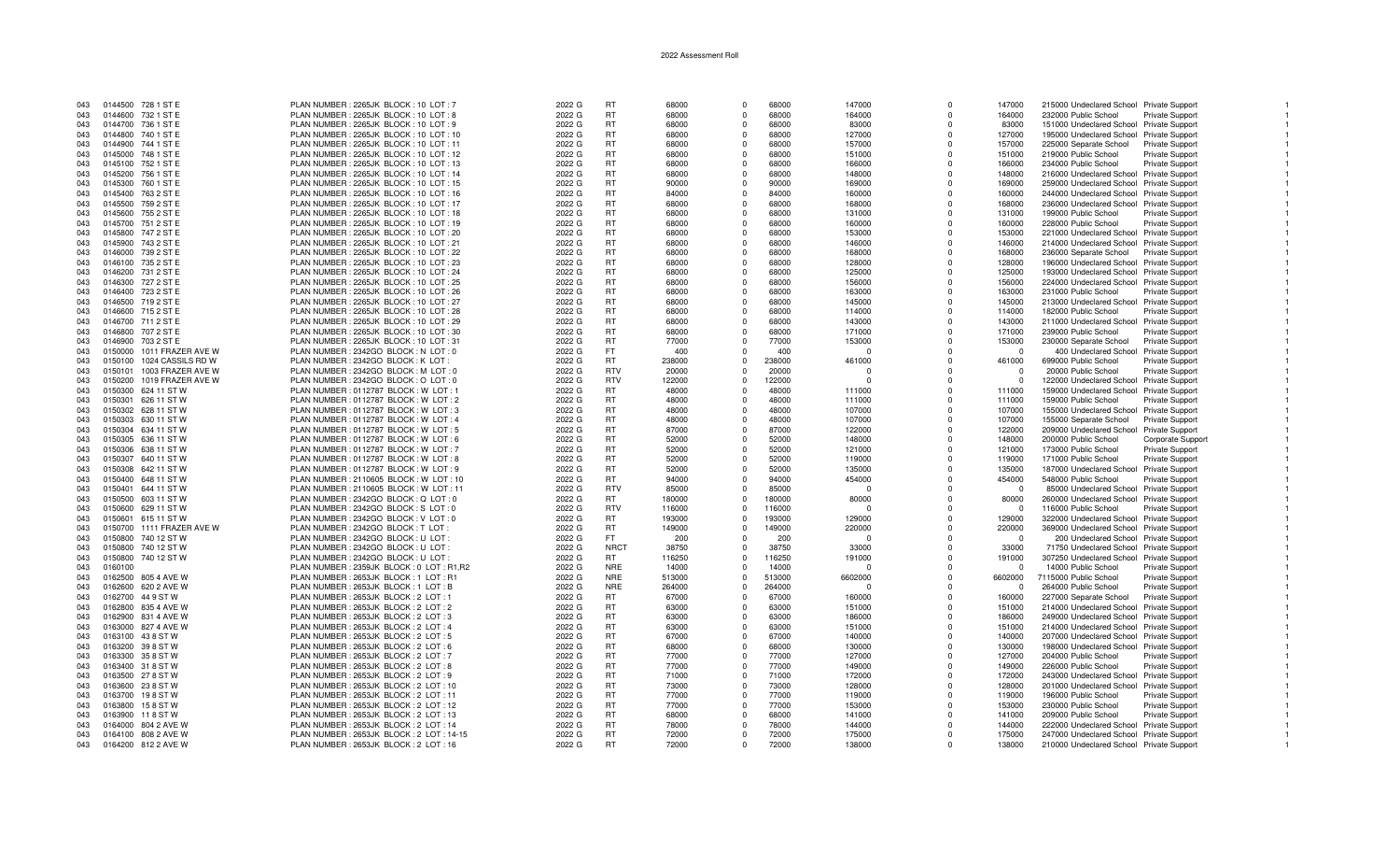| 043 |         | 0144500 728 1 ST E           | PLAN NUMBER: 2265JK BLOCK: 10 LOT: 7     | 2022 G | <b>RT</b>   | 68000  | $\Omega$    | 68000  | 147000   | $\Omega$ | 147000   | 215000 Undeclared School Private Support |                        |  |
|-----|---------|------------------------------|------------------------------------------|--------|-------------|--------|-------------|--------|----------|----------|----------|------------------------------------------|------------------------|--|
| 043 |         | 0144600 732 1 ST E           | PLAN NUMBER : 2265JK BLOCK : 10 LOT : 8  | 2022 G | <b>RT</b>   | 68000  | $\Omega$    | 68000  | 164000   | $\Omega$ | 164000   | 232000 Public School                     | Private Support        |  |
| 043 |         | 0144700 736 1 ST E           | PLAN NUMBER: 2265JK BLOCK: 10 LOT: 9     | 2022 G | RT          | 68000  | $\Omega$    | 68000  | 83000    | $\Omega$ | 83000    | 151000 Undeclared School Private Support |                        |  |
| 043 |         | 0144800 740 1 ST E           | PLAN NUMBER : 2265JK BLOCK : 10 LOT : 10 | 2022 G | -RT         | 68000  | $\Omega$    | 68000  | 127000   | $\Omega$ | 127000   | 195000 Undeclared School Private Support |                        |  |
| 043 |         | 0144900 744 1 ST E           | PLAN NUMBER: 2265JK BLOCK: 10 LOT: 11    | 2022 G | <b>RT</b>   | 68000  | $\Omega$    | 68000  | 157000   | $\Omega$ | 157000   | 225000 Separate School                   | <b>Private Support</b> |  |
|     |         |                              |                                          |        |             |        |             |        |          |          |          |                                          |                        |  |
| 043 |         | 0145000 748 1 ST E           | PLAN NUMBER: 2265JK BLOCK: 10 LOT: 12    | 2022 G | <b>RT</b>   | 68000  | $\Omega$    | 68000  | 151000   | $\Omega$ | 151000   | 219000 Public School                     | <b>Private Support</b> |  |
| 043 |         | 0145100 752 1 ST E           | PLAN NUMBER: 2265JK BLOCK: 10 LOT: 13    | 2022 G | <b>RT</b>   | 68000  | $\mathbf 0$ | 68000  | 166000   | 0        | 166000   | 234000 Public School                     | <b>Private Support</b> |  |
| 043 |         | 0145200 756 1 ST E           | PLAN NUMBER: 2265JK BLOCK: 10 LOT: 14    | 2022 G | <b>RT</b>   | 68000  | $\Omega$    | 68000  | 148000   | $\Omega$ | 148000   | 216000 Undeclared School Private Support |                        |  |
| 043 |         | 0145300 760 1 ST E           | PLAN NUMBER: 2265JK BLOCK: 10 LOT: 15    | 2022 G | <b>RT</b>   | 90000  | $\Omega$    | 90000  | 169000   | $\Omega$ | 169000   | 259000 Undeclared School Private Support |                        |  |
| 043 |         | 0145400 763 2 ST E           | PLAN NUMBER : 2265JK BLOCK : 10 LOT : 16 | 2022 G | <b>RT</b>   | 84000  | $\Omega$    | 84000  | 160000   | $\Omega$ | 160000   | 244000 Undeclared School Private Support |                        |  |
| 043 |         | 0145500 759 2 ST E           | PLAN NUMBER: 2265JK BLOCK: 10 LOT: 17    | 2022 G | <b>RT</b>   | 68000  | $\mathbf 0$ | 68000  | 168000   | $\Omega$ | 168000   | 236000 Undeclared School Private Support |                        |  |
| 043 |         | 0145600 755 2 ST E           | PLAN NUMBER: 2265JK BLOCK: 10 LOT: 18    | 2022 G | <b>RT</b>   | 68000  | $\Omega$    | 68000  | 131000   | $\Omega$ | 131000   | 199000 Public School                     | Private Support        |  |
| 043 |         | 0145700 751 2 ST E           | PLAN NUMBER: 2265JK BLOCK: 10 LOT: 19    | 2022 G | -RT         | 68000  | $\Omega$    | 68000  | 160000   | $\Omega$ | 160000   | 228000 Public School                     | <b>Private Support</b> |  |
| 043 |         | 0145800 747 2 ST E           | PLAN NUMBER: 2265JK BLOCK: 10 LOT: 20    | 2022 G | <b>RT</b>   | 68000  | $\Omega$    | 68000  | 153000   | $\Omega$ | 153000   | 221000 Undeclared School Private Support |                        |  |
|     |         |                              |                                          |        | <b>RT</b>   |        |             |        |          |          |          |                                          |                        |  |
| 043 |         | 0145900 743 2 ST E           | PLAN NUMBER: 2265JK BLOCK: 10 LOT: 21    | 2022 G |             | 68000  | $\Omega$    | 68000  | 146000   | $\Omega$ | 146000   | 214000 Undeclared School Private Support |                        |  |
| 043 |         | 0146000 739 2 ST E           | PLAN NUMBER: 2265JK BLOCK: 10 LOT: 22    | 2022 G | <b>RT</b>   | 68000  | $\Omega$    | 68000  | 168000   | $\Omega$ | 168000   | 236000 Separate School Private Support   |                        |  |
| 043 |         | 0146100 735 2 ST E           | PLAN NUMBER: 2265JK BLOCK: 10 LOT: 23    | 2022 G | -RT         | 68000  | $\Omega$    | 68000  | 128000   | $\Omega$ | 128000   | 196000 Undeclared School Private Support |                        |  |
| 043 |         | 0146200 731 2 ST E           | PLAN NUMBER: 2265JK BLOCK: 10 LOT: 24    | 2022 G | <b>RT</b>   | 68000  | $\Omega$    | 68000  | 125000   | $\Omega$ | 125000   | 193000 Undeclared School Private Support |                        |  |
| 043 |         | 0146300 727 2 ST E           | PLAN NUMBER: 2265JK BLOCK: 10 LOT: 25    | 2022 G | <b>RT</b>   | 68000  | $\mathbf 0$ | 68000  | 156000   | $\Omega$ | 156000   | 224000 Undeclared School Private Support |                        |  |
| 043 |         | 0146400 723 2 ST E           | PLAN NUMBER: 2265JK BLOCK: 10 LOT: 26    | 2022 G | -RT         | 68000  | $\Omega$    | 68000  | 163000   | $\Omega$ | 163000   | 231000 Public School                     | Private Support        |  |
| 043 |         | 0146500 719 2 ST E           | PLAN NUMBER: 2265JK BLOCK: 10 LOT: 27    | 2022 G | <b>RT</b>   | 68000  | $\Omega$    | 68000  | 145000   | $\Omega$ | 145000   | 213000 Undeclared School Private Support |                        |  |
| 043 |         | 0146600 715 2 ST E           | PLAN NUMBER : 2265JK BLOCK : 10 LOT : 28 | 2022 G | <b>RT</b>   | 68000  | $\Omega$    | 68000  | 114000   | $\Omega$ | 114000   | 182000 Public School                     | Private Support        |  |
| 043 |         | 0146700 711 2 ST E           | PLAN NUMBER: 2265JK BLOCK: 10 LOT: 29    | 2022 G | <b>RT</b>   | 68000  | $\Omega$    | 68000  | 143000   | $\Omega$ | 143000   | 211000 Undeclared School Private Support |                        |  |
| 043 |         | 0146800 707 2 ST E           | PLAN NUMBER: 2265JK BLOCK: 10 LOT: 30    | 2022 G | <b>RT</b>   | 68000  | $\Omega$    | 68000  | 171000   | $\Omega$ | 171000   | 239000 Public School                     | Private Support        |  |
| 043 |         |                              | PLAN NUMBER: 2265JK BLOCK: 10 LOT: 31    | 2022 G | <b>RT</b>   | 77000  | $\mathbf 0$ | 77000  | 153000   | $\Omega$ | 153000   |                                          |                        |  |
|     |         | 0146900 703 2 ST E           |                                          |        |             |        |             |        |          |          |          | 230000 Separate School                   | <b>Private Support</b> |  |
| 043 |         | 0150000 1011 FRAZER AVE W    | PLAN NUMBER : 2342GO BLOCK : N LOT : 0   | 2022 G | FT.         | 400    | $\Omega$    | 400    | n        | $\Omega$ | $\Omega$ | 400 Undeclared School Private Support    |                        |  |
| 043 |         | 0150100 1024 CASSILS RD W    | PLAN NUMBER : 2342GO BLOCK : K LOT :     | 2022 G | <b>RT</b>   | 238000 | $\Omega$    | 238000 | 461000   | $\Omega$ | 461000   | 699000 Public School                     | <b>Private Support</b> |  |
| 043 |         | 0150101 1003 FRAZER AVE W    | PLAN NUMBER : 2342GO BLOCK : M LOT : 0   | 2022 G | <b>RTV</b>  | 20000  | $\Omega$    | 20000  | $\Omega$ | $\Omega$ | $\Omega$ | 20000 Public School                      | Private Support        |  |
| 043 |         | 0150200    1019 FRAZER AVE W | PLAN NUMBER : 2342GO BLOCK : O LOT : 0   | 2022 G | <b>RTV</b>  | 122000 | $\Omega$    | 122000 | $\Omega$ | $\Omega$ | $\Omega$ | 122000 Undeclared School Private Support |                        |  |
| 043 |         | 0150300 624 11 ST W          | PLAN NUMBER : 0112787 BLOCK : W LOT :    | 2022 G | <b>RT</b>   | 48000  | $\Omega$    | 48000  | 111000   | $\Omega$ | 111000   | 159000 Undeclared School Private Support |                        |  |
| 043 | 0150301 | 626 11 ST W                  | PLAN NUMBER: 0112787 BLOCK: W LOT: 2     | 2022 G | RT          | 48000  | $\Omega$    | 48000  | 111000   | $\Omega$ | 111000   | 159000 Public School                     | <b>Private Support</b> |  |
| 043 |         | 0150302 628 11 ST W          | PLAN NUMBER : 0112787 BLOCK : W LOT : 3  | 2022 G | <b>RT</b>   | 48000  | $\Omega$    | 48000  | 107000   | $\Omega$ | 107000   | 155000 Undeclared School Private Support |                        |  |
| 043 |         | 0150303 630 11 ST W          | PLAN NUMBER : 0112787 BLOCK : W LOT : 4  | 2022 G | <b>RT</b>   | 48000  | $\Omega$    | 48000  | 107000   | $\Omega$ | 107000   | 155000 Separate School                   | Private Support        |  |
| 043 |         | 0150304 634 11 STW           | PLAN NUMBER : 0112787 BLOCK : W LOT : 5  | 2022 G | <b>RT</b>   | 87000  | $\Omega$    | 87000  | 122000   | $\Omega$ | 122000   | 209000 Undeclared School Private Support |                        |  |
| 043 |         | 0150305 636 11 STW           | PLAN NUMBER : 0112787 BLOCK : W LOT : 6  | 2022 G | <b>RT</b>   | 52000  | $\Omega$    | 52000  | 148000   | $\Omega$ | 148000   | 200000 Public School                     | Corporate Support      |  |
| 043 |         | 0150306 638 11 ST W          | PLAN NUMBER : 0112787 BLOCK : W LOT : 7  | 2022 G | <b>RT</b>   | 52000  | $\Omega$    | 52000  | 121000   | $\Omega$ | 121000   | 173000 Public School                     | Private Support        |  |
| 043 |         |                              |                                          |        | <b>RT</b>   | 52000  | $\Omega$    |        |          | $\Omega$ | 119000   |                                          |                        |  |
|     |         | 0150307 640 11 ST W          | PLAN NUMBER: 0112787 BLOCK: W LOT: 8     | 2022 G |             |        |             | 52000  | 119000   |          |          | 171000 Public School                     | <b>Private Support</b> |  |
| 043 |         | 0150308 642 11 ST W          | PLAN NUMBER : 0112787 BLOCK : W LOT : 9  | 2022 G | <b>RT</b>   | 52000  | $\mathbf 0$ | 52000  | 135000   | $\Omega$ | 135000   | 187000 Undeclared School Private Support |                        |  |
| 043 |         | 0150400 648 11 ST W          | PLAN NUMBER: 2110605 BLOCK: W LOT: 10    | 2022 G | RT          | 94000  | $\mathbf 0$ | 94000  | 454000   | $\Omega$ | 454000   | 548000 Public School                     | <b>Private Support</b> |  |
| 043 |         | 0150401 644 11 ST W          | PLAN NUMBER: 2110605 BLOCK: W LOT: 11    | 2022 G | <b>RTV</b>  | 85000  | $\Omega$    | 85000  | $\Omega$ | $\Omega$ | $\cap$   | 85000 Undeclared School Private Support  |                        |  |
| 043 |         | 0150500 603 11 ST W          | PLAN NUMBER : 2342GO BLOCK : Q LOT : 0   | 2022 G | RT.         | 180000 | $\Omega$    | 180000 | 80000    | $\Omega$ | 80000    | 260000 Undeclared School Private Support |                        |  |
| 043 |         | 0150600 629 11 ST W          | PLAN NUMBER : 2342GO BLOCK : S LOT : 0   | 2022 G | <b>RTV</b>  | 116000 | $\Omega$    | 116000 | n        | $\Omega$ | - 0      | 116000 Public School                     | <b>Private Support</b> |  |
| 043 |         | 0150601 615 11 ST W          | PLAN NUMBER : 2342GO BLOCK : V LOT : 0   | 2022 G | RT.         | 193000 | $\Omega$    | 193000 | 129000   | $\Omega$ | 129000   | 322000 Undeclared School Private Support |                        |  |
| 043 |         | 0150700 1111 FRAZER AVE W    | PLAN NUMBER : 2342GO BLOCK : T LOT       | 2022 G | <b>RT</b>   | 149000 | $\Omega$    | 149000 | 220000   | $\Omega$ | 220000   | 369000 Undeclared School Private Support |                        |  |
| 043 |         | 0150800 740 12 ST W          | PLAN NUMBER : 2342GO BLOCK : U LOT       | 2022 G | FT.         | 200    | $\Omega$    | 200    | $\Omega$ | $\Omega$ |          | 200 Undeclared School Private Support    |                        |  |
| 043 |         | 0150800 740 12 ST W          | PLAN NUMBER : 2342GO BLOCK : U LOT       | 2022 G | <b>NRCT</b> | 38750  | $\Omega$    | 38750  | 33000    | $\Omega$ | 33000    | 71750 Undeclared School Private Support  |                        |  |
| 043 |         | 0150800 740 12 ST W          | PLAN NUMBER : 2342GO BLOCK : U LOT       | 2022 G | RT.         | 116250 | $\Omega$    | 116250 | 191000   | $\Omega$ | 191000   | 307250 Undeclared School Private Support |                        |  |
| 043 | 0160100 |                              | PLAN NUMBER: 2359JK BLOCK: 0 LOT: R1,R2  | 2022 G | <b>NRE</b>  | 14000  | $\Omega$    | 14000  | $\Omega$ | $\Omega$ | $\Omega$ | 14000 Public School                      | <b>Private Support</b> |  |
| 043 |         | 0162500 805 4 AVE W          | PLAN NUMBER: 2653JK BLOCK: 1 LOT: R1     | 2022 G | <b>NRE</b>  | 513000 | $\Omega$    | 513000 | 6602000  | $\Omega$ | 6602000  | 7115000 Public School                    |                        |  |
| 043 |         |                              | PLAN NUMBER: 2653JK BLOCK: 1 LOT: B      |        | <b>NRE</b>  | 264000 | $\mathbf 0$ | 264000 | $\Omega$ | $\Omega$ |          | 264000 Public School                     | <b>Private Support</b> |  |
|     |         | 0162600 620 2 AVE W          |                                          | 2022 G |             |        |             |        |          |          | $\Omega$ |                                          | Private Support        |  |
| 043 |         | 0162700 44 9 ST W            | PLAN NUMBER: 2653JK BLOCK: 2 LOT: 1      | 2022 G | RT          | 67000  | $\Omega$    | 67000  | 160000   | $\Omega$ | 160000   | 227000 Separate School                   | <b>Private Support</b> |  |
| 043 |         | 0162800 835 4 AVE W          | PLAN NUMBER : 2653JK BLOCK : 2 LOT : 2   | 2022 G | <b>RT</b>   | 63000  | $\Omega$    | 63000  | 151000   | $\Omega$ | 151000   | 214000 Undeclared School Private Support |                        |  |
| 043 |         | 0162900 831 4 AVE W          | PLAN NUMBER : 2653JK BLOCK : 2 LOT : 3   | 2022 G | <b>RT</b>   | 63000  | $\Omega$    | 63000  | 186000   | $\Omega$ | 186000   | 249000 Undeclared School Private Support |                        |  |
| 043 |         | 0163000 827 4 AVE W          | PLAN NUMBER: 2653JK BLOCK: 2 LOT: 4      | 2022 G | RT          | 63000  | $^{\circ}$  | 63000  | 151000   | $\Omega$ | 151000   | 214000 Undeclared School Private Support |                        |  |
| 043 |         | 0163100 438 ST W             | PLAN NUMBER: 2653JK BLOCK: 2 LOT: 5      | 2022 G | <b>RT</b>   | 67000  | $\Omega$    | 67000  | 140000   | $\Omega$ | 140000   | 207000 Undeclared School Private Support |                        |  |
| 043 |         | 0163200 398 ST W             | PLAN NUMBER : 2653JK BLOCK : 2 LOT : 6   | 2022 G | <b>RT</b>   | 68000  | $\Omega$    | 68000  | 130000   | $\Omega$ | 130000   | 198000 Undeclared School Private Support |                        |  |
| 043 |         | 0163300 358 ST W             | PLAN NUMBER: 2653JK BLOCK: 2 LOT: 7      | 2022 G | <b>RT</b>   | 77000  | $\Omega$    | 77000  | 127000   | $\Omega$ | 127000   | 204000 Public School                     | <b>Private Support</b> |  |
| 043 |         | 0163400 31 8 ST W            | PLAN NUMBER: 2653JK BLOCK: 2 LOT: 8      | 2022 G | <b>RT</b>   | 77000  | $\mathbf 0$ | 77000  | 149000   | $\Omega$ | 149000   | 226000 Public School                     | Private Support        |  |
| 043 |         | 0163500 278 ST W             | PLAN NUMBER : 2653JK BLOCK : 2 LOT : 9   | 2022 G | <b>RT</b>   | 71000  | $\Omega$    | 71000  | 172000   | $\Omega$ | 172000   | 243000 Undeclared School Private Support |                        |  |
| 043 |         | 0163600 238 ST W             | PLAN NUMBER : 2653JK BLOCK : 2 LOT : 10  | 2022 G | -RT         | 73000  | $\Omega$    | 73000  | 128000   | $\Omega$ | 128000   | 201000 Undeclared School Private Support |                        |  |
|     |         |                              |                                          |        |             |        |             |        |          | $\Omega$ |          |                                          |                        |  |
| 043 |         | 0163700 198STW               | PLAN NUMBER : 2653JK BLOCK : 2 LOT : 11  | 2022 G | <b>RT</b>   | 77000  | $\Omega$    | 77000  | 119000   |          | 119000   | 196000 Public School                     | <b>Private Support</b> |  |
| 043 |         | 0163800 158 ST W             | PLAN NUMBER: 2653JK BLOCK: 2 LOT: 12     | 2022 G | <b>RT</b>   | 77000  | $\mathbf 0$ | 77000  | 153000   | $\Omega$ | 153000   | 230000 Public School                     | <b>Private Support</b> |  |
| 043 |         | 0163900 118 ST W             | PLAN NUMBER: 2653JK BLOCK: 2 LOT: 13     | 2022 G | <b>RT</b>   | 68000  | $\Omega$    | 68000  | 141000   | $\Omega$ | 141000   | 209000 Public School                     | Private Support        |  |
| 043 |         | 0164000 804 2 AVE W          | PLAN NUMBER: 2653JK BLOCK: 2 LOT: 14     | 2022 G | RT          | 78000  | $\mathbf 0$ | 78000  | 144000   | $\Omega$ | 144000   | 222000 Undeclared School Private Support |                        |  |
| 043 |         | 0164100 808 2 AVE W          | PLAN NUMBER: 2653JK BLOCK: 2 LOT: 14-15  | 2022 G | <b>RT</b>   | 72000  | $\Omega$    | 72000  | 175000   | $\Omega$ | 175000   | 247000 Undeclared School Private Support |                        |  |
| 043 |         | 0164200 812 2 AVE W          | PLAN NUMBER: 2653JK BLOCK: 2 LOT: 16     | 2022 G | <b>RT</b>   | 72000  | $\Omega$    | 72000  | 138000   | $\Omega$ | 138000   | 210000 Undeclared School Private Support |                        |  |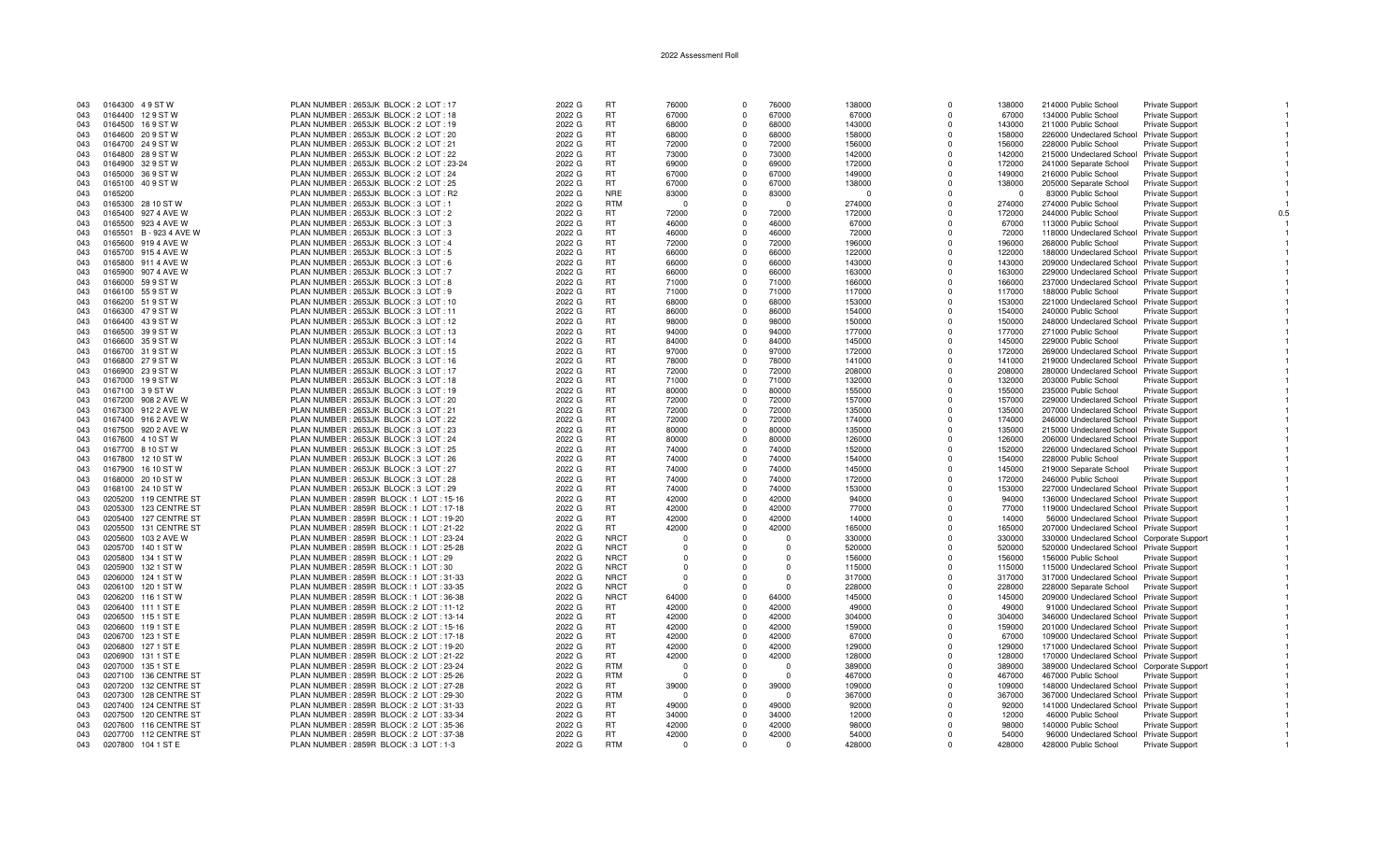| 043        | 0164300 49 ST W                            | PLAN NUMBER: 2653JK BLOCK: 2 LOT: 17      | 2022 G | <b>RT</b>   | 76000    | $\Omega$             | 76000    | 138000   | $\Omega$    | 138000           | 214000 Public School                                                                 | Private Support        |  |
|------------|--------------------------------------------|-------------------------------------------|--------|-------------|----------|----------------------|----------|----------|-------------|------------------|--------------------------------------------------------------------------------------|------------------------|--|
| 043        | 0164400 129 ST W                           | PLAN NUMBER: 2653JK BLOCK: 2 LOT: 18      | 2022 G | <b>RT</b>   | 67000    | $\mathbf{0}$         | 67000    | 67000    | $\Omega$    | 67000            | 134000 Public School                                                                 | Private Support        |  |
| 043        | 0164500 169 ST W                           | PLAN NUMBER : 2653JK BLOCK : 2 LOT : 19   | 2022 G | <b>RT</b>   | 68000    | $\Omega$             | 68000    | 143000   | $\Omega$    | 143000           | 211000 Public School                                                                 | Private Support        |  |
| 043        | 0164600 209 ST W                           | PLAN NUMBER: 2653JK BLOCK: 2 LOT: 20      | 2022 G | <b>RT</b>   | 68000    | $\Omega$             | 68000    | 158000   | $\Omega$    | 158000           | 226000 Undeclared School Private Support                                             |                        |  |
| 043        | 0164700 24 9 ST W                          | PLAN NUMBER : 2653JK BLOCK : 2 LOT : 21   | 2022 G | <b>RT</b>   | 72000    | $\Omega$             | 72000    | 156000   | $\Omega$    | 156000           | 228000 Public School                                                                 | <b>Private Support</b> |  |
| 043        | 0164800 28 9 ST W                          | PLAN NUMBER: 2653JK BLOCK: 2 LOT: 22      | 2022 G | RT          | 73000    | $^{\circ}$           | 73000    | 142000   | $^{\circ}$  | 142000           | 215000 Undeclared School                                                             | <b>Private Support</b> |  |
| 043        | 0164900 329 ST W                           | PLAN NUMBER: 2653JK BLOCK: 2 LOT: 23-24   | 2022 G | <b>RT</b>   | 69000    | $\Omega$             | 69000    | 172000   | $\Omega$    | 172000           | 241000 Separate School                                                               | Private Support        |  |
| 043        | 0165000 369 ST W                           | PLAN NUMBER: 2653JK BLOCK: 2 LOT: 24      | 2022 G | <b>RT</b>   | 67000    | $\Omega$             | 67000    | 149000   | $\Omega$    | 149000           | 216000 Public School                                                                 | Private Support        |  |
| 043        | 0165100 409 ST W                           | PLAN NUMBER: 2653JK BLOCK: 2 LOT: 25      | 2022 G | <b>RT</b>   | 67000    | $\Omega$             | 67000    | 138000   | $\Omega$    | 138000           | 205000 Separate School                                                               | Private Support        |  |
| 043        | 0165200                                    | PLAN NUMBER: 2653JK BLOCK: 3 LOT: R2      | 2022 G | <b>NRE</b>  | 83000    | $\mathbf{0}$         | 83000    | $\Omega$ | $\Omega$    | $\Omega$         | 83000 Public School                                                                  | Private Support        |  |
| 043        | 0165300 28 10 ST W                         | PLAN NUMBER : 2653JK BLOCK : 3 LOT : 1    | 2022 G | <b>RTM</b>  | - 0      | $\Omega$             | $\Omega$ | 274000   | $\Omega$    | 274000           | 274000 Public School                                                                 | Private Support        |  |
| 043        | 0165400 927 4 AVE W                        | PLAN NUMBER: 2653JK BLOCK: 3 LOT: 2       | 2022 G | <b>RT</b>   | 72000    | $\Omega$             | 72000    | 172000   | $\Omega$    | 172000           | 244000 Public School                                                                 | <b>Private Support</b> |  |
| 043        | 0165500 923 4 AVE W                        | PLAN NUMBER : 2653JK BLOCK : 3 LOT : 3    | 2022 G | <b>RT</b>   | 46000    | $\Omega$             | 46000    | 67000    | $\Omega$    | 67000            | 113000 Public School                                                                 | <b>Private Support</b> |  |
|            | 0165501 B - 923 4 AVE W                    | PLAN NUMBER: 2653JK BLOCK: 3 LOT: 3       | 2022 G | <b>RT</b>   | 46000    | $\Omega$             | 46000    | 72000    | $\Omega$    | 72000            | 118000 Undeclared School Private Support                                             |                        |  |
| 043<br>043 | 0165600 919 4 AVE W                        | PLAN NUMBER: 2653JK BLOCK: 3 LOT: 4       | 2022 G | <b>RT</b>   | 72000    | $\Omega$             | 72000    | 196000   | $\Omega$    | 196000           | 268000 Public School                                                                 | Private Support        |  |
| 043        |                                            | PLAN NUMBER: 2653JK BLOCK: 3 LOT: 5       | 2022 G | <b>RT</b>   | 66000    | $\Omega$             | 66000    | 122000   | $\Omega$    |                  |                                                                                      |                        |  |
| 043        | 0165700 915 4 AVE W<br>0165800 911 4 AVE W | PLAN NUMBER: 2653JK BLOCK: 3 LOT: 6       | 2022 G | RT          | 66000    | $\Omega$             | 66000    | 143000   | $\Omega$    | 122000<br>143000 | 188000 Undeclared School Private Support<br>209000 Undeclared School Private Support |                        |  |
|            |                                            |                                           |        | <b>RT</b>   | 66000    | $\Omega$             | 66000    | 163000   | $\Omega$    |                  |                                                                                      |                        |  |
| 043        | 0165900 907 4 AVE W                        | PLAN NUMBER : 2653JK BLOCK : 3 LOT : 7    | 2022 G |             |          |                      |          |          |             | 163000           | 229000 Undeclared School Private Support                                             |                        |  |
| 043        | 0166000 59 9 ST W                          | PLAN NUMBER : 2653JK BLOCK : 3 LOT : 8    | 2022 G | <b>RT</b>   | 71000    | $\Omega$<br>$\Omega$ | 71000    | 166000   | $\Omega$    | 166000           | 237000 Undeclared School Private Support                                             |                        |  |
| 043        | 0166100 559 ST W                           | PLAN NUMBER: 2653JK BLOCK: 3 LOT: 9       | 2022 G | <b>RT</b>   | 71000    |                      | 71000    | 117000   | $\Omega$    | 117000           | 188000 Public School                                                                 | Private Support        |  |
| 043        | 0166200 51 9 ST W                          | PLAN NUMBER : 2653JK BLOCK : 3 LOT : 10   | 2022 G | <b>RT</b>   | 68000    | $\Omega$             | 68000    | 153000   | $\Omega$    | 153000           | 221000 Undeclared School Private Support                                             |                        |  |
| 043        | 0166300 479 STW                            | PLAN NUMBER: 2653JK BLOCK: 3 LOT: 11      | 2022 G | <b>RT</b>   | 86000    | $\mathbf 0$          | 86000    | 154000   | $\mathbf 0$ | 154000           | 240000 Public School                                                                 | <b>Private Support</b> |  |
| 043        | 0166400 43 9 ST W                          | PLAN NUMBER: 2653JK BLOCK: 3 LOT: 12      | 2022 G | <b>RT</b>   | 98000    | $\Omega$             | 98000    | 150000   | $\Omega$    | 150000           | 248000 Undeclared School Private Support                                             |                        |  |
| 043        | 0166500 399 ST W                           | PLAN NUMBER: 2653JK BLOCK: 3 LOT: 13      | 2022 G | <b>RT</b>   | 94000    | $\Omega$             | 94000    | 177000   | $\Omega$    | 177000           | 271000 Public School                                                                 | Private Support        |  |
| 043        | 0166600 359 ST W                           | PLAN NUMBER: 2653JK BLOCK: 3 LOT: 14      | 2022 G | RT          | 84000    | $\Omega$             | 84000    | 145000   | $\Omega$    | 145000           | 229000 Public School                                                                 | <b>Private Support</b> |  |
| 043        | 0166700 31 9 ST W                          | PLAN NUMBER : 2653JK BLOCK : 3 LOT : 15   | 2022 G | <b>RT</b>   | 97000    | $\Omega$             | 97000    | 172000   | $\Omega$    | 172000           | 269000 Undeclared School Private Support                                             |                        |  |
| 043        | 0166800 279 ST W                           | PLAN NUMBER : 2653JK BLOCK : 3 LOT : 16   | 2022 G | <b>RT</b>   | 78000    | $\Omega$             | 78000    | 141000   | $\Omega$    | 141000           | 219000 Undeclared School Private Support                                             |                        |  |
| 043        | 0166900 23 9 ST W                          | PLAN NUMBER: 2653JK BLOCK: 3 LOT: 17      | 2022 G | <b>RT</b>   | 72000    | $\Omega$             | 72000    | 208000   | $\Omega$    | 208000           | 280000 Undeclared School Private Support                                             |                        |  |
| 043        | 0167000 199STW                             | PLAN NUMBER: 2653JK BLOCK: 3 LOT: 18      | 2022 G | <b>RT</b>   | 71000    | $\Omega$             | 71000    | 132000   | $\Omega$    | 132000           | 203000 Public School                                                                 | <b>Private Support</b> |  |
| 043        | 0167100 39 ST W                            | PLAN NUMBER: 2653JK BLOCK: 3 LOT: 19      | 2022 G | <b>RT</b>   | 80000    | $\mathbf 0$          | 80000    | 155000   | $\mathbf 0$ | 155000           | 235000 Public School                                                                 | <b>Private Support</b> |  |
| 043        | 0167200 908 2 AVE W                        | PLAN NUMBER: 2653JK BLOCK: 3 LOT: 20      | 2022 G | <b>RT</b>   | 72000    | $\Omega$             | 72000    | 157000   | $\Omega$    | 157000           | 229000 Undeclared School Private Support                                             |                        |  |
| 043        | 0167300 912 2 AVE W                        | PLAN NUMBER: 2653JK BLOCK: 3 LOT: 21      | 2022 G | <b>RT</b>   | 72000    | $\Omega$             | 72000    | 135000   | $\Omega$    | 135000           | 207000 Undeclared School Private Support                                             |                        |  |
| 043        | 0167400 916 2 AVE W                        | PLAN NUMBER: 2653JK BLOCK: 3 LOT: 22      | 2022 G | <b>RT</b>   | 72000    | $\Omega$             | 72000    | 174000   | $\Omega$    | 174000           | 246000 Undeclared School Private Support                                             |                        |  |
| 043        | 0167500 920 2 AVE W                        | PLAN NUMBER : 2653JK BLOCK : 3 LOT : 23   | 2022 G | <b>RT</b>   | 80000    | $\Omega$             | 80000    | 135000   | $\Omega$    | 135000           | 215000 Undeclared School Private Support                                             |                        |  |
| 043        | 0167600 4 10 ST W                          | PLAN NUMBER: 2653JK BLOCK: 3 LOT: 24      | 2022 G | <b>RT</b>   | 80000    | $\Omega$             | 80000    | 126000   | $\Omega$    | 126000           | 206000 Undeclared School Private Support                                             |                        |  |
| 043        | 0167700 8 10 ST W                          | PLAN NUMBER: 2653JK BLOCK: 3 LOT: 25      | 2022 G | <b>RT</b>   | 74000    | $\Omega$             | 74000    | 152000   | $\Omega$    | 152000           | 226000 Undeclared School Private Support                                             |                        |  |
| 043        | 0167800 12 10 ST W                         | PLAN NUMBER: 2653JK BLOCK: 3 LOT: 26      | 2022 G | <b>RT</b>   | 74000    | $\Omega$             | 74000    | 154000   | $\Omega$    | 154000           | 228000 Public School                                                                 | <b>Private Support</b> |  |
|            | 0167900 16 10 ST W                         | PLAN NUMBER: 2653JK BLOCK: 3 LOT: 27      | 2022 G | <b>RT</b>   | 74000    | $\mathbf 0$          | 74000    | 145000   | $\mathbf 0$ | 145000           | 219000 Separate School                                                               | <b>Private Support</b> |  |
| 043        | 0168000 20 10 ST W                         |                                           | 2022 G | <b>RT</b>   | 74000    | $\Omega$             | 74000    | 172000   | $\Omega$    |                  |                                                                                      |                        |  |
| 043        |                                            | PLAN NUMBER: 2653JK BLOCK: 3 LOT: 28      |        |             |          |                      |          |          |             | 172000           | 246000 Public School                                                                 | Private Support        |  |
| 043        | 0168100 24 10 ST W                         | PLAN NUMBER: 2653JK BLOCK: 3 LOT: 29      | 2022 G | <b>RT</b>   | 74000    | $\Omega$             | 74000    | 153000   | $\Omega$    | 153000           | 227000 Undeclared School Private Support                                             |                        |  |
| 043        | 0205200 119 CENTRE ST                      | PLAN NUMBER: 2859R BLOCK: 1 LOT: 15-16    | 2022 G | <b>RT</b>   | 42000    | $\Omega$             | 42000    | 94000    | $\Omega$    | 94000            | 136000 Undeclared School Private Support                                             |                        |  |
| 043        | 0205300 123 CENTRE ST                      | PLAN NUMBER: 2859R BLOCK: 1 LOT: 17-18    | 2022 G | <b>RT</b>   | 42000    | $\Omega$             | 42000    | 77000    | $\Omega$    | 77000            | 119000 Undeclared School Private Support                                             |                        |  |
| 043        | 0205400 127 CENTRE ST                      | PLAN NUMBER: 2859R BLOCK: 1 LOT: 19-20    | 2022 G | <b>RT</b>   | 42000    | $\Omega$             | 42000    | 14000    | $\Omega$    | 14000            | 56000 Undeclared School Private Support                                              |                        |  |
| 043        | 0205500<br>131 CENTRE ST                   | PLAN NUMBER: 2859R BLOCK: 1 LOT: 21-22    | 2022 G | <b>RT</b>   | 42000    | $\Omega$             | 42000    | 165000   | $\Omega$    | 165000           | 207000 Undeclared School Private Support                                             |                        |  |
| 043        | 0205600 103 2 AVE W                        | PLAN NUMBER: 2859R BLOCK: 1 LOT: 23-24    | 2022 G | <b>NRCT</b> | $\Omega$ | $\Omega$             | $\Omega$ | 330000   | $\Omega$    | 330000           | 330000 Undeclared School Corporate Support                                           |                        |  |
| 043        | 0205700 140 1 ST W                         | PLAN NUMBER : 2859R BLOCK : 1 LOT : 25-28 | 2022 G | <b>NRCT</b> | $\Omega$ | $\Omega$             | $\Omega$ | 520000   | $^{\circ}$  | 520000           | 520000 Undeclared School Private Support                                             |                        |  |
| 043        | 0205800 134 1 ST W                         | PLAN NUMBER: 2859R BLOCK: 1 LOT: 29       | 2022 G | <b>NRCT</b> | $\Omega$ | $\Omega$             | $\Omega$ | 156000   | $\Omega$    | 156000           | 156000 Public School                                                                 | Private Support        |  |
| 043        | 0205900<br>132 1 ST W                      | PLAN NUMBER: 2859R BLOCK: 1 LOT: 30       | 2022 G | <b>NRCT</b> | $\Omega$ | $\Omega$             | $\Omega$ | 115000   | $\Omega$    | 115000           | 115000 Undeclared School Private Support                                             |                        |  |
| 043        | 0206000 124 1 ST W                         | PLAN NUMBER: 2859R BLOCK: 1 LOT: 31-33    | 2022 G | <b>NRCT</b> | $\Omega$ | $\Omega$             | $\cap$   | 317000   | $\Omega$    | 317000           | 317000 Undeclared School Private Support                                             |                        |  |
| 043        | 0206100 120 1 ST W                         | PLAN NUMBER: 2859R BLOCK: 1 LOT: 33-35    | 2022 G | <b>NRCT</b> | $\Omega$ | $\Omega$             | $\cap$   | 228000   | $\Omega$    | 228000           | 228000 Separate School Private Support                                               |                        |  |
| 043        | 0206200 116 1 ST W                         | PLAN NUMBER: 2859R BLOCK: 1 LOT: 36-38    | 2022 G | <b>NRCT</b> | 64000    | $\Omega$             | 64000    | 145000   | $\Omega$    | 145000           | 209000 Undeclared School Private Support                                             |                        |  |
| 043        | 0206400 111 1 ST E                         | PLAN NUMBER: 2859R BLOCK: 2 LOT: 11-12    | 2022 G | RT.         | 42000    | $\Omega$             | 42000    | 49000    | $\Omega$    | 49000            | 91000 Undeclared School Private Support                                              |                        |  |
| 043        | 0206500 115 1 ST E                         | PLAN NUMBER : 2859R BLOCK : 2 LOT : 13-14 | 2022 G | <b>RT</b>   | 42000    | $\Omega$             | 42000    | 304000   | $\Omega$    | 304000           | 346000 Undeclared School Private Support                                             |                        |  |
| 043        | 0206600 119 1 ST E                         | PLAN NUMBER : 2859R BLOCK : 2 LOT : 15-16 | 2022 G | <b>RT</b>   | 42000    | $\mathbf{0}$         | 42000    | 159000   | $^{\circ}$  | 159000           | 201000 Undeclared School Private Support                                             |                        |  |
| 043        | 0206700 123 1 ST E                         | PLAN NUMBER : 2859R BLOCK : 2 LOT : 17-18 | 2022 G | <b>RT</b>   | 42000    | $\Omega$             | 42000    | 67000    | $\Omega$    | 67000            | 109000 Undeclared School Private Support                                             |                        |  |
| 043        | 0206800 127 1 ST E                         | PLAN NUMBER: 2859R BLOCK: 2 LOT: 19-20    | 2022 G | <b>RT</b>   | 42000    | $\Omega$             | 42000    | 129000   | $\Omega$    | 129000           | 171000 Undeclared School Private Support                                             |                        |  |
| 043        | 0206900 131 1 ST E                         | PLAN NUMBER: 2859R BLOCK: 2 LOT: 21-22    | 2022 G | RT.         | 42000    | $\Omega$             | 42000    | 128000   | $\Omega$    | 128000           | 170000 Undeclared School Private Support                                             |                        |  |
| 043        | 0207000 135 1 ST E                         | PLAN NUMBER: 2859R BLOCK: 2 LOT: 23-24    | 2022 G | <b>RTM</b>  | - 0      | $\Omega$             | $\cap$   | 389000   | $\Omega$    | 389000           | 389000 Undeclared School Corporate Support                                           |                        |  |
| 043        | 0207100 136 CENTRE ST                      | PLAN NUMBER: 2859R BLOCK: 2 LOT: 25-26    | 2022 G | <b>RTM</b>  | - 0      | $\Omega$             | $\Omega$ | 467000   | $\Omega$    | 467000           | 467000 Public School                                                                 | <b>Private Support</b> |  |
| 043        | 0207200 132 CENTRE ST                      | PLAN NUMBER: 2859R BLOCK: 2 LOT: 27-28    | 2022 G | RT.         | 39000    | $\Omega$             | 39000    | 109000   | $\Omega$    | 109000           | 148000 Undeclared School Private Support                                             |                        |  |
| 043        | 0207300 128 CENTRE ST                      | PLAN NUMBER: 2859R BLOCK: 2 LOT: 29-30    | 2022 G | <b>RTM</b>  | $\Omega$ | $\Omega$             |          | 367000   | $\Omega$    | 367000           | 367000 Undeclared School Private Support                                             |                        |  |
|            |                                            |                                           |        |             |          |                      |          |          |             |                  |                                                                                      |                        |  |
| 043        | 0207400 124 CENTRE ST                      | PLAN NUMBER: 2859R BLOCK: 2 LOT: 31-33    | 2022 G | <b>RT</b>   | 49000    | $\mathbf{0}$         | 49000    | 92000    | $\Omega$    | 92000            | 141000 Undeclared School Private Support                                             |                        |  |
| 043        | 0207500 120 CENTRE ST                      | PLAN NUMBER: 2859R BLOCK: 2 LOT: 33-34    | 2022 G | <b>RT</b>   | 34000    | $\Omega$             | 34000    | 12000    | $\Omega$    | 12000            | 46000 Public School                                                                  | Private Support        |  |
| 043        | 0207600 116 CENTRE ST                      | PLAN NUMBER: 2859R BLOCK: 2 LOT: 35-36    | 2022 G | <b>RT</b>   | 42000    | $\Omega$             | 42000    | 98000    | $\Omega$    | 98000            | 140000 Public School                                                                 | <b>Private Support</b> |  |
| 043        | 0207700 112 CENTRE ST                      | PLAN NUMBER : 2859R BLOCK : 2 LOT : 37-38 | 2022 G | <b>RT</b>   | 42000    | $\Omega$             | 42000    | 54000    | $\Omega$    | 54000            | 96000 Undeclared School Private Support                                              |                        |  |
| 043        | 0207800 104 1 ST E                         | PLAN NUMBER : 2859R BLOCK : 3 LOT : 1-3   | 2022 G | <b>RTM</b>  |          | $\Omega$             |          | 428000   | $\Omega$    | 428000           | 428000 Public School                                                                 | <b>Private Support</b> |  |

 $\overline{1}$ 

 $0.5\,$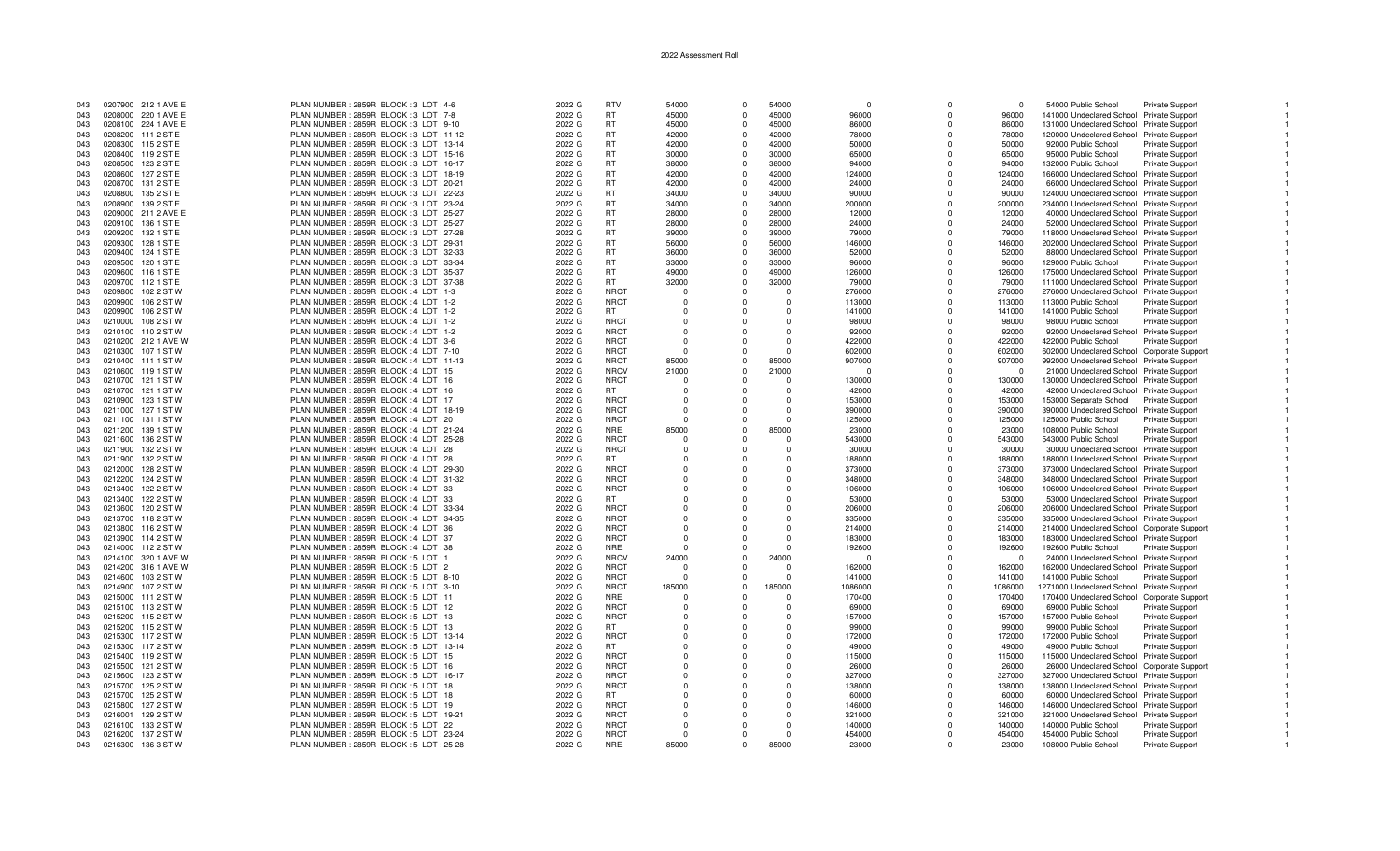| 043 |         | 0207900 212 1 AVE E | PLAN NUMBER: 2859R BLOCK: 3 LOT: 4-6      | 2022 G | <b>RTV</b>  | 54000    | $\Omega$     | 54000    | $\Omega$ | $\Omega$       | $\cap$   | 54000 Public School                        | Private Support        |  |
|-----|---------|---------------------|-------------------------------------------|--------|-------------|----------|--------------|----------|----------|----------------|----------|--------------------------------------------|------------------------|--|
| 043 |         | 0208000 220 1 AVE E | PLAN NUMBER: 2859R BLOCK: 3 LOT: 7-8      | 2022 G | RT.         | 45000    | $\Omega$     | 45000    | 96000    | $\Omega$       | 96000    | 141000 Undeclared School Private Support   |                        |  |
| 043 |         | 0208100 224 1 AVE E | PLAN NUMBER: 2859R BLOCK: 3 LOT: 9-10     | 2022 G | <b>RT</b>   | 45000    | $\mathbf 0$  | 45000    | 86000    | $\Omega$       | 86000    | 131000 Undeclared School Private Support   |                        |  |
| 043 |         | 0208200 111 2 ST E  | PLAN NUMBER: 2859R BLOCK: 3 LOT: 11-12    | 2022 G | <b>RT</b>   | 42000    | $\Omega$     | 42000    | 78000    | $\Omega$       | 78000    | 120000 Undeclared School Private Support   |                        |  |
| 043 |         | 0208300 115 2 ST E  | PLAN NUMBER: 2859R BLOCK: 3 LOT: 13-14    | 2022 G | <b>RT</b>   | 42000    | $\Omega$     | 42000    | 50000    | $\Omega$       | 50000    | 92000 Public School                        | <b>Private Support</b> |  |
|     |         |                     |                                           |        | <b>RT</b>   | 30000    | $\Omega$     |          | 65000    | $\Omega$       |          |                                            |                        |  |
| 043 |         | 0208400 119 2 ST E  | PLAN NUMBER : 2859R BLOCK : 3 LOT : 15-16 | 2022 G |             |          |              | 30000    |          |                | 65000    | 95000 Public School                        | <b>Private Support</b> |  |
| 043 | 0208500 | 123 2 ST E          | PLAN NUMBER: 2859R BLOCK: 3 LOT: 16-17    | 2022 G | <b>RT</b>   | 38000    | $\mathbf 0$  | 38000    | 94000    | 0              | 94000    | 132000 Public School                       | <b>Private Support</b> |  |
| 043 |         | 0208600 127 2 ST E  | PLAN NUMBER: 2859R BLOCK: 3 LOT: 18-19    | 2022 G | <b>RT</b>   | 42000    | $\Omega$     | 42000    | 124000   | $\Omega$       | 124000   | 166000 Undeclared School Private Support   |                        |  |
| 043 |         | 0208700 131 2 ST E  | PLAN NUMBER: 2859R BLOCK: 3 LOT: 20-21    | 2022 G | <b>RT</b>   | 42000    | $\Omega$     | 42000    | 24000    | $\Omega$       | 24000    | 66000 Undeclared School Private Support    |                        |  |
| 043 |         | 0208800 135 2 ST E  | PLAN NUMBER: 2859R BLOCK: 3 LOT: 22-23    | 2022 G | <b>RT</b>   | 34000    | $\Omega$     | 34000    | 90000    | $\Omega$       | 90000    | 124000 Undeclared School Private Support   |                        |  |
| 043 |         | 0208900 139 2 ST E  | PLAN NUMBER: 2859R BLOCK: 3 LOT: 23-24    | 2022 G | <b>RT</b>   | 34000    | $\mathbf{0}$ | 34000    | 200000   | $\Omega$       | 200000   | 234000 Undeclared School Private Support   |                        |  |
| 043 |         | 0209000 211 2 AVE E | PLAN NUMBER: 2859R BLOCK: 3 LOT: 25-27    | 2022 G | <b>RT</b>   | 28000    | $\Omega$     | 28000    | 12000    | $\Omega$       | 12000    | 40000 Undeclared School Private Support    |                        |  |
| 043 |         | 0209100 136 1 ST E  | PLAN NUMBER: 2859R BLOCK: 3 LOT: 25-27    | 2022 G | <b>RT</b>   | 28000    | $\Omega$     | 28000    | 24000    | $\Omega$       | 24000    | 52000 Undeclared School Private Support    |                        |  |
| 043 |         | 0209200 132 1 ST E  | PLAN NUMBER: 2859R BLOCK: 3 LOT: 27-28    | 2022 G | <b>RT</b>   | 39000    | $\Omega$     | 39000    | 79000    | $\Omega$       | 79000    | 118000 Undeclared School Private Support   |                        |  |
| 043 |         | 0209300 128 1 ST E  | PLAN NUMBER: 2859R BLOCK: 3 LOT: 29-31    | 2022 G | <b>RT</b>   | 56000    | $\Omega$     | 56000    | 146000   | $\Omega$       | 146000   | 202000 Undeclared School Private Support   |                        |  |
| 043 |         | 0209400 124 1 ST E  | PLAN NUMBER: 2859R BLOCK: 3 LOT: 32-33    | 2022 G | <b>RT</b>   | 36000    | $\Omega$     | 36000    | 52000    | $\Omega$       | 52000    | 88000 Undeclared School Private Support    |                        |  |
| 043 |         | 0209500 120 1 ST E  | PLAN NUMBER: 2859R BLOCK: 3 LOT: 33-34    | 2022 G | <b>RT</b>   | 33000    | $\Omega$     | 33000    | 96000    | $\Omega$       | 96000    | 129000 Public School                       | <b>Private Support</b> |  |
| 043 |         | 0209600 116 1 ST E  | PLAN NUMBER: 2859R BLOCK: 3 LOT: 35-37    | 2022 G | <b>RT</b>   | 49000    | $\Omega$     | 49000    | 126000   | $\Omega$       | 126000   | 175000 Undeclared School Private Support   |                        |  |
| 043 |         | 0209700 112 1 ST E  | PLAN NUMBER: 2859R BLOCK: 3 LOT: 37-38    | 2022 G | <b>RT</b>   | 32000    | $\mathbf 0$  | 32000    | 79000    | $\Omega$       | 79000    | 111000 Undeclared School Private Support   |                        |  |
| 043 |         | 0209800 102 2 ST W  | PLAN NUMBER : 2859R BLOCK : 4 LOT : 1-3   | 2022 G | <b>NRCT</b> | $\cap$   | $\Omega$     | $\Omega$ | 276000   | $\Omega$       | 276000   |                                            |                        |  |
|     |         |                     |                                           |        | <b>NRCT</b> |          |              | $\Omega$ |          | $\Omega$       |          | 276000 Undeclared School Private Support   |                        |  |
| 043 |         | 0209900 106 2 ST W  | PLAN NUMBER: 2859R BLOCK: 4 LOT: 1-2      | 2022 G |             |          | $\Omega$     |          | 113000   |                | 113000   | 113000 Public School                       | <b>Private Support</b> |  |
| 043 |         | 0209900 106 2 ST W  | PLAN NUMBER: 2859R BLOCK: 4 LOT: 1-2      | 2022 G | RT.         | - 0      | $\Omega$     | $\Omega$ | 141000   | $\Omega$       | 141000   | 141000 Public School                       | Private Support        |  |
| 043 |         | 0210000 108 2 ST W  | PLAN NUMBER: 2859R BLOCK: 4 LOT: 1-2      | 2022 G | <b>NRCT</b> | $\Omega$ | $\Omega$     | $\Omega$ | 98000    | $\Omega$       | 98000    | 98000 Public School                        | <b>Private Support</b> |  |
| 043 |         | 0210100 110 2 ST W  | PLAN NUMBER: 2859R BLOCK: 4 LOT: 1-2      | 2022 G | <b>NRCT</b> | $\Omega$ | $\Omega$     | $\Omega$ | 92000    | $\Omega$       | 92000    | 92000 Undeclared School Private Support    |                        |  |
| 043 |         | 0210200 212 1 AVE W | PLAN NUMBER: 2859R BLOCK: 4 LOT: 3-6      | 2022 G | <b>NRCT</b> | $\Omega$ | $\Omega$     | $\Omega$ | 422000   | $\Omega$       | 422000   | 422000 Public School                       | <b>Private Support</b> |  |
| 043 |         | 0210300 107 1 ST W  | PLAN NUMBER: 2859R BLOCK: 4 LOT: 7-10     | 2022 G | <b>NRCT</b> | $\Omega$ | $\Omega$     | $\Omega$ | 602000   | $\Omega$       | 602000   | 602000 Undeclared School Corporate Support |                        |  |
| 043 |         | 0210400 111 1 ST W  | PLAN NUMBER: 2859R BLOCK: 4 LOT: 11-13    | 2022 G | <b>NRCT</b> | 85000    | $\Omega$     | 85000    | 907000   | $\Omega$       | 907000   | 992000 Undeclared School Private Support   |                        |  |
| 043 |         | 0210600 119 1 ST W  | PLAN NUMBER: 2859R BLOCK: 4 LOT: 15       | 2022 G | <b>NRCV</b> | 21000    | $\Omega$     | 21000    | $\Omega$ | $\Omega$       | $\Omega$ | 21000 Undeclared School Private Support    |                        |  |
| 043 |         | 0210700 121 1 ST W  | PLAN NUMBER: 2859R BLOCK: 4 LOT: 16       | 2022 G | <b>NRCT</b> |          | $\Omega$     | $\Omega$ | 130000   | $\Omega$       | 130000   | 130000 Undeclared School Private Support   |                        |  |
| 043 |         | 0210700 121 1 ST W  | PLAN NUMBER: 2859R BLOCK: 4 LOT: 16       | 2022 G | <b>RT</b>   | - 0      | $\Omega$     | $\Omega$ | 42000    | $\Omega$       | 42000    | 42000 Undeclared School Private Support    |                        |  |
| 043 |         | 0210900 123 1 ST W  | PLAN NUMBER: 2859R BLOCK: 4 LOT: 17       | 2022 G | <b>NRCT</b> | $\Omega$ | $\Omega$     | $\Omega$ | 153000   | $\Omega$       | 153000   | 153000 Separate School                     | <b>Private Support</b> |  |
| 043 |         | 0211000 127 1 ST W  | PLAN NUMBER: 2859R BLOCK: 4 LOT: 18-19    | 2022 G | <b>NRCT</b> | $\Omega$ | $\Omega$     | $\Omega$ | 390000   | $\Omega$       | 390000   | 390000 Undeclared School Private Support   |                        |  |
| 043 |         | 0211100 131 1 ST W  | PLAN NUMBER: 2859R BLOCK: 4 LOT: 20       | 2022 G | <b>NRCT</b> |          | $\Omega$     |          | 125000   | $\Omega$       | 125000   | 125000 Public School                       | <b>Private Support</b> |  |
| 043 |         | 0211200 139 1 ST W  | PLAN NUMBER: 2859R BLOCK: 4 LOT: 21-24    | 2022 G | <b>NRE</b>  | 85000    | $\Omega$     | 85000    | 23000    | $\Omega$       | 23000    | 108000 Public School                       | <b>Private Support</b> |  |
| 043 |         | 0211600 136 2 ST W  | PLAN NUMBER: 2859R BLOCK: 4 LOT: 25-28    | 2022 G | <b>NRCT</b> |          | $\Omega$     | $\Omega$ | 543000   | $\Omega$       | 543000   | 543000 Public School                       | <b>Private Support</b> |  |
| 043 |         |                     |                                           |        | <b>NRCT</b> | $\cap$   | $\Omega$     | $\Omega$ |          | $\Omega$       |          |                                            |                        |  |
|     |         | 0211900 132 2 ST W  | PLAN NUMBER: 2859R BLOCK: 4 LOT: 28       | 2022 G |             |          |              |          | 30000    |                | 30000    | 30000 Undeclared School Private Support    |                        |  |
| 043 |         | 0211900 132 2 ST W  | PLAN NUMBER: 2859R BLOCK: 4 LOT: 28       | 2022 G | RT.         |          | $\Omega$     | $\Omega$ | 188000   | $\Omega$       | 188000   | 188000 Undeclared School Private Support   |                        |  |
| 043 |         | 0212000 128 2 ST W  | PLAN NUMBER: 2859R BLOCK: 4 LOT: 29-30    | 2022 G | <b>NRCT</b> | $\Omega$ | $\Omega$     | $\Omega$ | 373000   | $\Omega$       | 373000   | 373000 Undeclared School Private Support   |                        |  |
| 043 | 0212200 | 124 2 ST W          | PLAN NUMBER: 2859R BLOCK: 4 LOT: 31-32    | 2022 G | <b>NRCT</b> |          | $\mathbf 0$  | $\Omega$ | 348000   | $\Omega$       | 348000   | 348000 Undeclared School Private Support   |                        |  |
| 043 |         | 0213400 122 2 ST W  | PLAN NUMBER: 2859R BLOCK: 4 LOT: 33       | 2022 G | <b>NRCT</b> |          | $\Omega$     | $\Omega$ | 106000   | $\Omega$       | 106000   | 106000 Undeclared School Private Support   |                        |  |
| 043 |         | 0213400 122 2 ST W  | PLAN NUMBER : 2859R BLOCK : 4 LOT : 33    | 2022 G | RT.         |          | $\Omega$     | $\Omega$ | 53000    | $\Omega$       | 53000    | 53000 Undeclared School Private Support    |                        |  |
| 043 |         | 0213600 120 2 ST W  | PLAN NUMBER: 2859R BLOCK: 4 LOT: 33-34    | 2022 G | <b>NRCT</b> |          | $\Omega$     | $\Omega$ | 206000   | $\Omega$       | 206000   | 206000 Undeclared School Private Support   |                        |  |
| 043 |         | 0213700 118 2 ST W  | PLAN NUMBER: 2859R BLOCK: 4 LOT: 34-35    | 2022 G | <b>NRCT</b> |          | $\Omega$     | $\Omega$ | 335000   | $\Omega$       | 335000   | 335000 Undeclared School Private Support   |                        |  |
| 043 |         | 0213800 116 2 ST W  | PLAN NUMBER: 2859R BLOCK: 4 LOT: 36       | 2022 G | <b>NRCT</b> | $\Omega$ | $\Omega$     | $\Omega$ | 214000   | $\Omega$       | 214000   | 214000 Undeclared School Corporate Support |                        |  |
| 043 |         | 0213900 114 2 ST W  | PLAN NUMBER: 2859R BLOCK: 4 LOT: 37       | 2022 G | <b>NRCT</b> |          |              | $\Omega$ | 183000   | $\Omega$       | 183000   | 183000 Undeclared School Private Support   |                        |  |
| 043 |         | 0214000 112 2 ST W  | PLAN NUMBER : 2859R BLOCK : 4 LOT : 38    | 2022 G | <b>NRE</b>  | $\cap$   | $\Omega$     | $\Omega$ | 192600   | $\Omega$       | 192600   | 192600 Public School                       | Private Support        |  |
| 043 |         | 0214100 320 1 AVE W | PLAN NUMBER: 2859R BLOCK: 5 LOT: 1        | 2022 G | <b>NRCV</b> | 24000    | $\Omega$     | 24000    | $\Omega$ | $\Omega$       | $\Omega$ | 24000 Undeclared School Private Support    |                        |  |
| 043 |         | 0214200 316 1 AVE W | PLAN NUMBER: 2859R BLOCK: 5 LOT: 2        | 2022 G | <b>NRCT</b> | - 0      | $\Omega$     | $\cap$   | 162000   | $\Omega$       | 162000   | 162000 Undeclared School Private Support   |                        |  |
| 043 |         | 0214600 103 2 ST W  | PLAN NUMBER : 2859R BLOCK : 5 LOT : 8-10  | 2022 G | <b>NRCT</b> |          | $\Omega$     |          | 141000   | $\Omega$       | 141000   | 141000 Public School                       | Private Support        |  |
| 043 |         | 0214900 107 2 ST W  | PLAN NUMBER : 2859R BLOCK : 5 LOT : 3-10  | 2022 G | <b>NRCT</b> | 185000   | $\mathbf 0$  | 185000   | 1086000  | $\Omega$       | 1086000  | 1271000 Undeclared School Private Support  |                        |  |
| 043 |         | 0215000 111 2 ST W  | PLAN NUMBER: 2859R BLOCK: 5 LOT: 11       | 2022 G | <b>NRE</b>  |          | $\mathbf 0$  | $\Omega$ | 170400   | $\Omega$       | 170400   | 170400 Undeclared School Corporate Support |                        |  |
| 043 |         | 0215100 113 2 ST W  | PLAN NUMBER: 2859R BLOCK: 5 LOT: 12       | 2022 G | <b>NRCT</b> | - 0      | $\Omega$     | $\Omega$ | 69000    | $\Omega$       | 69000    | 69000 Public School                        |                        |  |
|     |         |                     |                                           |        | <b>NRCT</b> |          | $\Omega$     | $\Omega$ |          | $\Omega$       |          |                                            | <b>Private Support</b> |  |
| 043 |         | 0215200 115 2 ST W  | PLAN NUMBER: 2859R BLOCK: 5 LOT: 13       | 2022 G |             |          |              |          | 157000   |                | 157000   | 157000 Public School                       | <b>Private Support</b> |  |
| 043 |         | 0215200 115 2 ST W  | PLAN NUMBER: 2859R BLOCK: 5 LOT: 13       | 2022 G | <b>RT</b>   | $\Omega$ | $\Omega$     | $\Omega$ | 99000    | $\overline{0}$ | 99000    | 99000 Public School                        | <b>Private Support</b> |  |
| 043 |         | 0215300 117 2 ST W  | PLAN NUMBER: 2859R BLOCK: 5 LOT: 13-14    | 2022 G | <b>NRCT</b> |          | $\Omega$     | $\Omega$ | 172000   | $\Omega$       | 172000   | 172000 Public School                       | <b>Private Support</b> |  |
| 043 |         | 0215300 117 2 ST W  | PLAN NUMBER: 2859R BLOCK: 5 LOT: 13-14    | 2022 G | <b>RT</b>   |          | $\Omega$     | $\Omega$ | 49000    | $\Omega$       | 49000    | 49000 Public School                        | Private Support        |  |
| 043 |         | 0215400 119 2 ST W  | PLAN NUMBER: 2859R BLOCK: 5 LOT: 15       | 2022 G | <b>NRCT</b> |          | $\Omega$     | $\Omega$ | 115000   | $\Omega$       | 115000   | 115000 Undeclared School Private Support   |                        |  |
| 043 |         | 0215500 121 2 ST W  | PLAN NUMBER: 2859R BLOCK: 5 LOT: 16       | 2022 G | <b>NRCT</b> |          | $\mathbf 0$  | $\Omega$ | 26000    | $\Omega$       | 26000    | 26000 Undeclared School Corporate Support  |                        |  |
| 043 |         | 0215600 123 2 ST W  | PLAN NUMBER: 2859R BLOCK: 5 LOT: 16-17    | 2022 G | <b>NRCT</b> |          | $\Omega$     | $\Omega$ | 327000   | $\Omega$       | 327000   | 327000 Undeclared School Private Support   |                        |  |
| 043 |         | 0215700 125 2 ST W  | PLAN NUMBER: 2859R BLOCK: 5 LOT: 18       | 2022 G | <b>NRCT</b> |          | $\Omega$     | $\Omega$ | 138000   | $\Omega$       | 138000   | 138000 Undeclared School Private Support   |                        |  |
| 043 |         | 0215700 125 2 ST W  | PLAN NUMBER : 2859R BLOCK : 5 LOT : 18    | 2022 G | RT.         |          | $\Omega$     | $\Omega$ | 60000    | $\Omega$       | 60000    | 60000 Undeclared School Private Support    |                        |  |
| 043 | 0215800 | 127 2 ST W          | PLAN NUMBER: 2859R BLOCK: 5 LOT: 19       | 2022 G | <b>NRCT</b> | $\Omega$ | $\mathbf 0$  | $\Omega$ | 146000   | $\Omega$       | 146000   | 146000 Undeclared School Private Support   |                        |  |
| 043 |         | 0216001 129 2 ST W  | PLAN NUMBER: 2859R BLOCK: 5 LOT: 19-21    | 2022 G | <b>NRCT</b> | $\Omega$ | $\Omega$     | $\Omega$ | 321000   | $\Omega$       | 321000   | 321000 Undeclared School Private Support   |                        |  |
| 043 |         | 0216100 133 2 ST W  | PLAN NUMBER: 2859R BLOCK: 5 LOT: 22       | 2022 G | <b>NRCT</b> |          | $\Omega$     | $\Omega$ | 140000   | $\Omega$       | 140000   | 140000 Public School                       | Private Support        |  |
| 043 |         | 0216200 137 2 ST W  | PLAN NUMBER: 2859R BLOCK: 5 LOT: 23-24    | 2022 G | <b>NRCT</b> | $\cap$   | $\Omega$     | $\Omega$ | 454000   | $\Omega$       | 454000   | 454000 Public School                       | Private Support        |  |
| 043 |         | 0216300 136 3 ST W  | PLAN NUMBER: 2859R BLOCK: 5 LOT: 25-28    | 2022 G | <b>NRE</b>  | 85000    | $\Omega$     | 85000    | 23000    | $\Omega$       | 23000    | 108000 Public School                       | <b>Private Support</b> |  |
|     |         |                     |                                           |        |             |          |              |          |          |                |          |                                            |                        |  |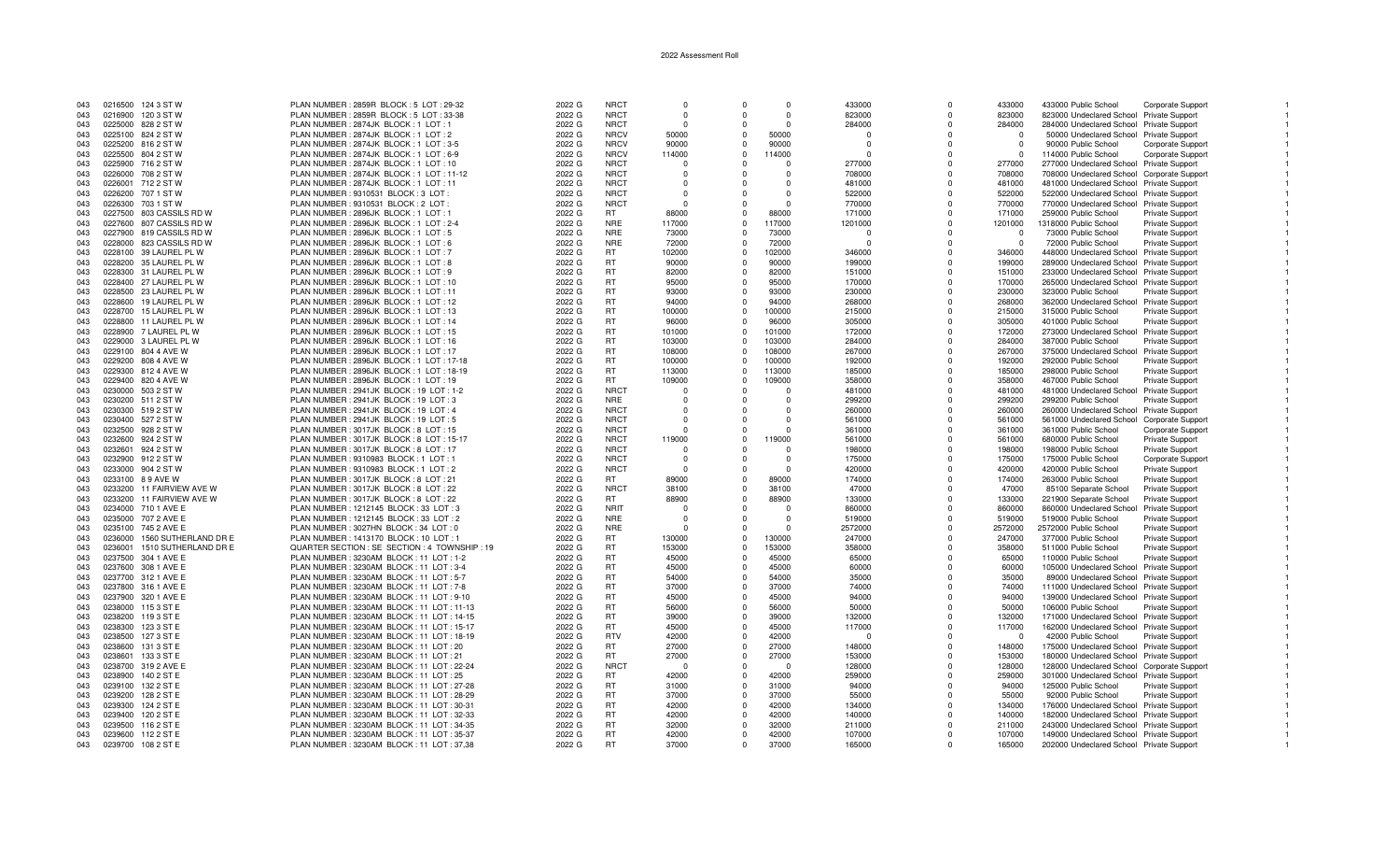| 043 |         | 0216500 124 3 ST W        | PLAN NUMBER: 2859R BLOCK: 5 LOT: 29-32         | 2022 G | <b>NRCT</b> | $\Omega$ |              | $\Omega$ | 433000   | $\Omega$     | 433000   | 433000 Public School                       | <b>Corporate Support</b> |  |
|-----|---------|---------------------------|------------------------------------------------|--------|-------------|----------|--------------|----------|----------|--------------|----------|--------------------------------------------|--------------------------|--|
| 043 |         | 0216900 120 3 ST W        | PLAN NUMBER : 2859R BLOCK : 5 LOT : 33-38      | 2022 G | <b>NRCT</b> | $\Omega$ | $\Omega$     | $\Omega$ | 823000   | $\Omega$     | 823000   | 823000 Undeclared School Private Support   |                          |  |
| 043 |         | 0225000 828 2 ST W        | PLAN NUMBER: 2874JK BLOCK: 1 LOT: 1            | 2022 G | <b>NRCT</b> | $\Omega$ | $\Omega$     | $\Omega$ | 284000   | $\Omega$     | 284000   | 284000 Undeclared School Private Support   |                          |  |
| 043 |         | 0225100 824 2 ST W        | PLAN NUMBER : 2874JK BLOCK : 1 LOT : 2         | 2022 G | <b>NRCV</b> | 50000    | $\Omega$     | 50000    | $\Omega$ | $\Omega$     | $\cap$   | 50000 Undeclared School Private Support    |                          |  |
| 043 |         | 0225200 816 2 ST W        | PLAN NUMBER: 2874JK BLOCK: 1 LOT: 3-5          | 2022 G | <b>NRCV</b> | 90000    | $\Omega$     | 90000    | $\Omega$ | $\Omega$     | $\Omega$ | 90000 Public School                        | <b>Corporate Support</b> |  |
| 043 |         | 0225500 804 2 ST W        | PLAN NUMBER : 2874JK BLOCK : 1 LOT : 6-9       | 2022 G | <b>NRCV</b> | 114000   | $\mathbf{0}$ | 114000   | $\Omega$ | $\Omega$     | $\Omega$ | 114000 Public School                       | Corporate Support        |  |
| 043 | 0225900 | 716 2 ST W                | PLAN NUMBER: 2874JK BLOCK: 1 LOT: 10           | 2022 G | <b>NRCT</b> | $\Omega$ | $\Omega$     | $\Omega$ | 277000   | $\Omega$     | 277000   | 277000 Undeclared School Private Support   |                          |  |
| 043 |         | 0226000 708 2 ST W        | PLAN NUMBER: 2874JK BLOCK: 1 LOT: 11-12        | 2022 G | <b>NRCT</b> | $\cap$   | $\Omega$     | $\cap$   | 708000   | $\Omega$     | 708000   | 708000 Undeclared School Corporate Suppor  |                          |  |
| 043 |         | 0226001 712 2 ST W        | PLAN NUMBER: 2874JK BLOCK: 1 LOT: 11           | 2022 G | <b>NRCT</b> | $\Omega$ |              | $\Omega$ | 481000   | <sup>0</sup> | 481000   | 481000 Undeclared School Private Support   |                          |  |
|     |         |                           |                                                |        |             |          |              |          |          |              |          |                                            |                          |  |
| 043 |         | 0226200 707 1 ST W        | PLAN NUMBER : 9310531 BLOCK : 3 LOT            | 2022 G | <b>NRCT</b> | $\Omega$ |              | $\Omega$ | 522000   | $\Omega$     | 522000   | 522000 Undeclared School Private Support   |                          |  |
| 043 |         | 0226300 703 1 ST W        | PLAN NUMBER : 9310531 BLOCK : 2 LOT :          | 2022 G | <b>NRCT</b> | - 0      |              | $\Omega$ | 770000   | $\Omega$     | 770000   | 770000 Undeclared School Private Support   |                          |  |
| 043 |         | 0227500 803 CASSILS RD W  | PLAN NUMBER : 2896JK BLOCK : 1 LOT : 1         | 2022 G | <b>RT</b>   | 88000    | $\Omega$     | 88000    | 171000   | $\Omega$     | 171000   | 259000 Public School                       | Private Support          |  |
| 043 |         | 0227600 807 CASSILS RD W  | PLAN NUMBER: 2896JK BLOCK: 1 LOT: 2-4          | 2022 G | <b>NRE</b>  | 117000   | $\Omega$     | 117000   | 1201000  | $\Omega$     | 1201000  | 1318000 Public School                      | Private Support          |  |
| 043 |         | 0227900 819 CASSILS RD W  | PLAN NUMBER: 2896JK BLOCK: 1 LOT: 5            | 2022 G | <b>NRE</b>  | 73000    | $\Omega$     | 73000    | $\Omega$ | $\Omega$     | $\Omega$ | 73000 Public School                        | Private Support          |  |
| 043 | 0228000 | 823 CASSILS RD W          | PLAN NUMBER: 2896JK BLOCK: 1 LOT: 6            | 2022 G | <b>NRE</b>  | 72000    | $\Omega$     | 72000    | $\Omega$ | $\Omega$     | $\Omega$ | 72000 Public School                        | Private Support          |  |
| 043 |         | 0228100 39 LAUREL PL W    | PLAN NUMBER : 2896JK BLOCK : 1 LOT : 7         | 2022 G | <b>RT</b>   | 102000   | $\Omega$     | 102000   | 346000   | $\Omega$     | 346000   | 448000 Undeclared School Private Support   |                          |  |
|     |         |                           |                                                |        | <b>RT</b>   |          | $\Omega$     |          |          | $\Omega$     |          |                                            |                          |  |
| 043 |         | 0228200 35 LAUREL PL W    | PLAN NUMBER: 2896JK BLOCK: 1 LOT: 8            | 2022 G |             | 90000    |              | 90000    | 199000   |              | 199000   | 289000 Undeclared School Private Support   |                          |  |
| 043 |         | 0228300 31 LAUREL PL W    | PLAN NUMBER: 2896JK BLOCK: 1 LOT: 9            | 2022 G | <b>RT</b>   | 82000    | $\Omega$     | 82000    | 151000   | $\Omega$     | 151000   | 233000 Undeclared School Private Support   |                          |  |
| 043 |         | 0228400 27 LAUREL PL W    | PLAN NUMBER : 2896JK BLOCK : 1 LOT : 10        | 2022 G | <b>RT</b>   | 95000    | $\Omega$     | 95000    | 170000   | $\Omega$     | 170000   | 265000 Undeclared School Private Support   |                          |  |
| 043 |         | 0228500 23 LAUREL PL W    | PLAN NUMBER: 2896JK BLOCK: 1 LOT: 11           | 2022 G | <b>RT</b>   | 93000    | $\Omega$     | 93000    | 230000   | $\Omega$     | 230000   | 323000 Public School                       | Private Support          |  |
| 043 |         | 0228600 19 LAUREL PL W    | PLAN NUMBER : 2896JK BLOCK : 1 LOT : 12        | 2022 G | <b>RT</b>   | 94000    | $\Omega$     | 94000    | 268000   | $\Omega$     | 268000   | 362000 Undeclared School Private Support   |                          |  |
| 043 |         | 0228700 15 LAUREL PL W    | PLAN NUMBER: 2896JK BLOCK: 1 LOT: 13           | 2022 G | <b>RT</b>   | 100000   | $\Omega$     | 100000   | 215000   | $\Omega$     | 215000   | 315000 Public School                       | Private Support          |  |
| 043 |         | 0228800 11 LAUREL PL W    | PLAN NUMBER: 2896JK BLOCK: 1 LOT: 14           | 2022 G | <b>RT</b>   | 96000    | $\Omega$     | 96000    | 305000   | $\Omega$     | 305000   | 401000 Public School                       | <b>Private Support</b>   |  |
|     |         |                           |                                                |        |             |          |              |          |          |              |          |                                            |                          |  |
| 043 |         | 0228900 7 LAUREL PL W     | PLAN NUMBER: 2896JK BLOCK: 1 LOT: 15           | 2022 G | <b>RT</b>   | 101000   | $\Omega$     | 101000   | 172000   | $\Omega$     | 172000   | 273000 Undeclared School Private Support   |                          |  |
| 043 |         | 0229000 3 LAUREL PL W     | PLAN NUMBER: 2896JK BLOCK: 1 LOT: 16           | 2022 G | <b>RT</b>   | 103000   | $\Omega$     | 103000   | 284000   | $\Omega$     | 284000   | 387000 Public School                       | Private Support          |  |
| 043 |         | 0229100 804 4 AVE W       | PLAN NUMBER: 2896JK BLOCK: 1 LOT: 17           | 2022 G | <b>RT</b>   | 108000   | $\Omega$     | 108000   | 267000   | $\Omega$     | 267000   | 375000 Undeclared School Private Support   |                          |  |
| 043 |         | 0229200 808 4 AVE W       | PLAN NUMBER: 2896JK BLOCK: 1 LOT: 17-18        | 2022 G | <b>RT</b>   | 100000   | $\Omega$     | 100000   | 192000   | $\Omega$     | 192000   | 292000 Public School                       | Private Support          |  |
| 043 |         | 0229300 812 4 AVE W       | PLAN NUMBER: 2896JK BLOCK: 1 LOT: 18-19        | 2022 G | <b>RT</b>   | 113000   | $\Omega$     | 113000   | 185000   | $\Omega$     | 185000   | 298000 Public School                       | Private Support          |  |
| 043 |         | 0229400 820 4 AVE W       | PLAN NUMBER: 2896JK BLOCK: 1 LOT: 19           | 2022 G | <b>RT</b>   | 109000   | $\Omega$     | 109000   | 358000   | $\Omega$     | 358000   | 467000 Public School                       | <b>Private Support</b>   |  |
| 043 |         | 0230000 503 2 ST W        | PLAN NUMBER: 2941JK BLOCK: 19 LOT: 1-2         | 2022 G | <b>NRCT</b> | $\Omega$ | $\Omega$     | $\Omega$ | 481000   | $\Omega$     | 481000   | 481000 Undeclared School Private Support   |                          |  |
| 043 |         | 0230200 511 2 ST W        | PLAN NUMBER: 2941JK BLOCK: 19 LOT: 3           | 2022 G | <b>NRE</b>  | $\Omega$ | $\Omega$     | $\Omega$ | 299200   | $\mathbf 0$  | 299200   | 299200 Public School                       |                          |  |
|     |         |                           |                                                |        |             |          |              | $\Omega$ |          |              |          |                                            | <b>Private Support</b>   |  |
| 043 |         | 0230300 519 2 ST W        | PLAN NUMBER : 2941JK BLOCK : 19 LOT : 4        | 2022 G | <b>NRCT</b> | $\Omega$ | U            |          | 260000   | $\Omega$     | 260000   | 260000 Undeclared School Private Support   |                          |  |
| 043 |         | 0230400 527 2 ST W        | PLAN NUMBER: 2941JK BLOCK: 19 LOT: 5           | 2022 G | <b>NRCT</b> | $\Omega$ | U            | $\Omega$ | 561000   | $\Omega$     | 561000   | 561000 Undeclared School Corporate Suppor  |                          |  |
| 043 |         | 0232500 928 2 ST W        | PLAN NUMBER: 3017JK BLOCK: 8 LOT: 15           | 2022 G | <b>NRCT</b> | $\Omega$ | $\Omega$     |          | 361000   | $\Omega$     | 361000   | 361000 Public School                       | Corporate Support        |  |
| 043 |         | 0232600 924 2 ST W        | PLAN NUMBER: 3017JK BLOCK: 8 LOT: 15-17        | 2022 G | <b>NRCT</b> | 119000   | $\Omega$     | 119000   | 561000   | $\Omega$     | 561000   | 680000 Public School                       | <b>Private Support</b>   |  |
| 043 |         | 0232601 924 2 ST W        | PLAN NUMBER: 3017JK BLOCK: 8 LOT: 17           | 2022 G | <b>NRCT</b> | $\Omega$ | $\Omega$     | $\Omega$ | 198000   | $\Omega$     | 198000   | 198000 Public School                       | <b>Private Support</b>   |  |
| 043 |         | 0232900 912 2 ST W        | PLAN NUMBER : 9310983 BLOCK : 1 LOT : 1        | 2022 G | <b>NRCT</b> | $\cap$   | $\Omega$     | $\cap$   | 175000   | $\Omega$     | 175000   | 175000 Public School                       | Corporate Support        |  |
| 043 |         | 0233000 904 2 ST W        | PLAN NUMBER: 9310983 BLOCK: 1 LOT: 2           | 2022 G | <b>NRCT</b> | - 0      | <sup>n</sup> |          | 420000   | $\Omega$     | 420000   | 420000 Public School                       | Private Support          |  |
|     |         |                           | PLAN NUMBER: 3017JK BLOCK: 8 LOT: 21           | 2022 G | <b>RT</b>   | 89000    | $\Omega$     | 89000    | 174000   |              | 174000   |                                            |                          |  |
| 043 |         | 0233100 8 9 AVE W         |                                                |        |             |          |              |          |          | $\Omega$     |          | 263000 Public School                       | <b>Private Support</b>   |  |
| 043 |         | 0233200 11 FAIRVIEW AVE W | PLAN NUMBER: 3017JK BLOCK: 8 LOT: 22           | 2022 G | <b>NRCT</b> | 38100    | $\Omega$     | 38100    | 47000    | $\Omega$     | 47000    | 85100 Separate School                      | Private Support          |  |
| 043 |         | 0233200 11 FAIRVIEW AVE W | PLAN NUMBER: 3017JK BLOCK: 8 LOT: 22           | 2022 G | <b>RT</b>   | 88900    | $\Omega$     | 88900    | 133000   | $\Omega$     | 133000   | 221900 Separate School                     | Private Support          |  |
| 043 |         | 0234000 710 1 AVE E       | PLAN NUMBER: 1212145 BLOCK: 33 LOT: 3          | 2022 G | <b>NRIT</b> | $\Omega$ | $\Omega$     |          | 860000   | $\Omega$     | 860000   | 860000 Undeclared School                   | <b>Private Support</b>   |  |
| 043 |         | 0235000 707 2 AVE E       | PLAN NUMBER : 1212145 BLOCK : 33 LOT : 2       | 2022 G | <b>NRE</b>  | - 0      | $\Omega$     | $\Omega$ | 519000   | $\Omega$     | 519000   | 519000 Public School                       | Private Support          |  |
| 043 |         | 0235100 745 2 AVE E       | PLAN NUMBER: 3027HN BLOCK: 34 LOT: 0           | 2022 G | <b>NRE</b>  | $\Omega$ | $\Omega$     | $\Omega$ | 2572000  | $\Omega$     | 2572000  | 2572000 Public School                      | Private Support          |  |
| 043 | 0236000 | 1560 SUTHERLAND DR E      | PLAN NUMBER: 1413170 BLOCK: 10 LOT: 1          | 2022 G | <b>RT</b>   | 130000   | $\Omega$     | 130000   | 247000   | $\Omega$     | 247000   | 377000 Public School                       | <b>Private Support</b>   |  |
| 043 | 0236001 | 1510 SUTHERLAND DR E      | QUARTER SECTION : SE SECTION : 4 TOWNSHIP : 19 | 2022 G | RT          | 153000   | $\Omega$     | 153000   | 358000   | $\Omega$     | 358000   | 511000 Public School                       | Private Support          |  |
|     |         |                           |                                                |        | <b>RT</b>   | 45000    | $\Omega$     | 45000    |          | $\Omega$     |          |                                            |                          |  |
| 043 |         | 0237500 304 1 AVE E       | PLAN NUMBER: 3230AM BLOCK: 11 LOT: 1-2         | 2022 G |             |          |              |          | 65000    |              | 65000    | 110000 Public School                       | Private Support          |  |
| 043 |         | 0237600 308 1 AVE E       | PLAN NUMBER: 3230AM BLOCK: 11 LOT: 3-4         | 2022 G | <b>RT</b>   | 45000    | $\Omega$     | 45000    | 60000    | $\Omega$     | 60000    | 105000 Undeclared School Private Support   |                          |  |
| 043 |         | 0237700 312 1 AVE E       | PLAN NUMBER: 3230AM BLOCK: 11 LOT: 5-7         | 2022 G | <b>RT</b>   | 54000    | $\Omega$     | 54000    | 35000    | $\Omega$     | 35000    | 89000 Undeclared School Private Support    |                          |  |
| 043 |         | 0237800 316 1 AVE E       | PLAN NUMBER: 3230AM BLOCK: 11 LOT: 7-8         | 2022 G | <b>RT</b>   | 37000    | $\Omega$     | 37000    | 74000    | $\Omega$     | 74000    | 111000 Undeclared School Private Support   |                          |  |
| 043 |         | 0237900 320 1 AVE E       | PLAN NUMBER: 3230AM BLOCK: 11 LOT: 9-10        | 2022 G | <b>RT</b>   | 45000    | $\Omega$     | 45000    | 94000    | $\Omega$     | 94000    | 139000 Undeclared School Private Support   |                          |  |
| 043 |         | 0238000 115 3 ST E        | PLAN NUMBER: 3230AM BLOCK: 11 LOT: 11-13       | 2022 G | <b>RT</b>   | 56000    | $\Omega$     | 56000    | 50000    | $\Omega$     | 50000    | 106000 Public School                       | <b>Private Support</b>   |  |
| 043 |         | 0238200 119 3 ST E        | PLAN NUMBER: 3230AM BLOCK: 11 LOT: 14-15       | 2022 G | <b>RT</b>   | 39000    | $\Omega$     | 39000    | 132000   | $\Omega$     | 132000   | 171000 Undeclared School Private Support   |                          |  |
| 043 | 0238300 | 123 3 ST E                | PLAN NUMBER: 3230AM BLOCK: 11 LOT: 15-17       | 2022 G | <b>RT</b>   | 45000    | $\Omega$     | 45000    | 117000   | $\Omega$     | 117000   | 162000 Undeclared School Private Support   |                          |  |
|     |         |                           |                                                |        |             |          |              |          |          |              |          |                                            |                          |  |
| 043 |         | 0238500 127 3 ST E        | PLAN NUMBER: 3230AM BLOCK: 11 LOT: 18-19       | 2022 G | <b>RTV</b>  | 42000    | $\Omega$     | 42000    | $\Omega$ | $\Omega$     | $\Omega$ | 42000 Public School                        | Private Support          |  |
| 043 | 0238600 | 131 3 ST E                | PLAN NUMBER: 3230AM BLOCK: 11 LOT: 20          | 2022 G | RT          | 27000    | $\Omega$     | 27000    | 148000   | $\Omega$     | 148000   | 175000 Undeclared School Private Support   |                          |  |
| 043 | 0238601 | 133 3 ST E                | PLAN NUMBER: 3230AM BLOCK: 11 LOT: 21          | 2022 G | <b>RT</b>   | 27000    | $\Omega$     | 27000    | 153000   | $\Omega$     | 153000   | 180000 Undeclared School Private Support   |                          |  |
| 043 |         | 0238700 319 2 AVE E       | PLAN NUMBER: 3230AM BLOCK: 11 LOT: 22-24       | 2022 G | <b>NRCT</b> | $\Omega$ | $\Omega$     |          | 128000   | $\Omega$     | 128000   | 128000 Undeclared School Corporate Support |                          |  |
| 043 |         | 0238900 140 2 ST E        | PLAN NUMBER: 3230AM BLOCK: 11 LOT: 25          | 2022 G | RT.         | 42000    | $\Omega$     | 42000    | 259000   | $\Omega$     | 259000   | 301000 Undeclared School Private Support   |                          |  |
| 043 |         | 0239100 132 2 ST E        | PLAN NUMBER: 3230AM BLOCK: 11 LOT: 27-28       | 2022 G | RT          | 31000    | $^{\circ}$   | 31000    | 94000    | $\Omega$     | 94000    | 125000 Public School                       | Private Support          |  |
| 043 |         | 0239200 128 2 ST E        | PLAN NUMBER: 3230AM BLOCK: 11 LOT: 28-29       | 2022 G | <b>RT</b>   | 37000    | $\Omega$     | 37000    | 55000    | $\Omega$     | 55000    | 92000 Public School                        | Private Support          |  |
| 043 | 0239300 | 124 2 ST E                | PLAN NUMBER: 3230AM BLOCK: 11 LOT: 30-31       | 2022 G | <b>RT</b>   | 42000    | $\Omega$     | 42000    | 134000   | $\Omega$     | 134000   |                                            |                          |  |
|     |         |                           |                                                |        |             |          |              |          |          |              |          | 176000 Undeclared School Private Support   |                          |  |
| 043 |         | 0239400 120 2 ST E        | PLAN NUMBER: 3230AM BLOCK: 11 LOT: 32-33       | 2022 G | <b>RT</b>   | 42000    | $\Omega$     | 42000    | 140000   | $\Omega$     | 140000   | 182000 Undeclared School Private Support   |                          |  |
| 043 | 0239500 | 116 2 ST E                | PLAN NUMBER: 3230AM BLOCK: 11 LOT: 34-35       | 2022 G | <b>RT</b>   | 32000    | $\Omega$     | 32000    | 211000   | $\Omega$     | 211000   | 243000 Undeclared School Private Support   |                          |  |
| 043 |         | 0239600 112 2 ST E        | PLAN NUMBER: 3230AM BLOCK: 11 LOT: 35-37       | 2022 G | RT.         | 42000    | $\Omega$     | 42000    | 107000   | $\Omega$     | 107000   | 149000 Undeclared School Private Support   |                          |  |
| 043 |         | 0239700 108 2 ST E        | PLAN NUMBER: 3230AM BLOCK: 11 LOT: 37,38       | 2022 G | RT.         | 37000    | $\Omega$     | 37000    | 165000   | $\Omega$     | 165000   | 202000 Undeclared School Private Support   |                          |  |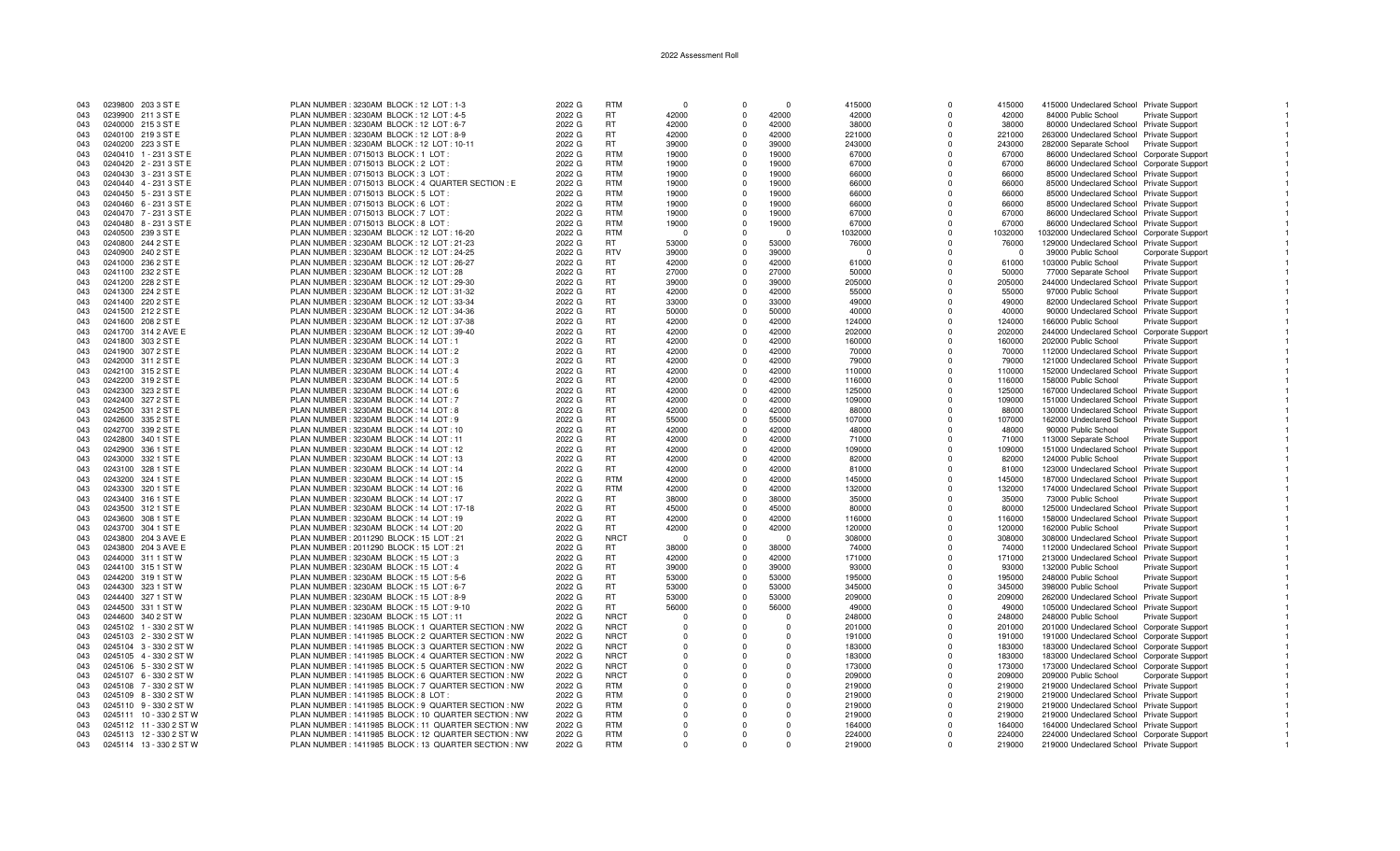| 043 | 0239800 203 3 ST E      | PLAN NUMBER: 3230AM BLOCK: 12 LOT: 1-3                | 2022 G | <b>RTM</b>  |            | $\Omega$    | $\Omega$ | 415000   | $\Omega$ | 415000   | 415000 Undeclared School Private Support    |                        |  |
|-----|-------------------------|-------------------------------------------------------|--------|-------------|------------|-------------|----------|----------|----------|----------|---------------------------------------------|------------------------|--|
|     |                         |                                                       |        |             |            |             |          |          |          |          |                                             |                        |  |
| 043 | 0239900 211 3 ST E      | PLAN NUMBER: 3230AM BLOCK: 12 LOT: 4-5                | 2022 G | <b>RT</b>   | 42000      | 0           | 42000    | 42000    | $\Omega$ | 42000    | 84000 Public School                         | <b>Private Support</b> |  |
| 043 | 0240000 215 3 ST E      | PLAN NUMBER: 3230AM BLOCK: 12 LOT: 6-7                | 2022 G | <b>RT</b>   | 42000      | $\Omega$    | 42000    | 38000    | $\Omega$ | 38000    | 80000 Undeclared School Private Support     |                        |  |
| 043 | 0240100 219 3 ST E      | PLAN NUMBER: 3230AM BLOCK: 12 LOT: 8-9                | 2022 G | <b>RT</b>   | 42000      | $\mathbf 0$ | 42000    | 221000   | $\Omega$ | 221000   | 263000 Undeclared School Private Support    |                        |  |
| 043 | 0240200 223 3 ST E      | PLAN NUMBER: 3230AM BLOCK: 12 LOT: 10-11              | 2022 G | <b>RT</b>   | 39000      | $\Omega$    | 39000    | 243000   | $\Omega$ | 243000   | 282000 Separate School Private Support      |                        |  |
|     |                         |                                                       |        |             |            |             |          |          |          |          |                                             |                        |  |
| 043 | 0240410 1 - 231 3 ST E  | PLAN NUMBER: 0715013 BLOCK: 1 LOT                     | 2022 G | RTM         | 19000      | $\Omega$    | 19000    | 67000    | $\Omega$ | 67000    | 86000 Undeclared School Corporate Support   |                        |  |
| 043 | 0240420 2 - 231 3 ST E  | PLAN NUMBER : 0715013 BLOCK : 2 LOT                   | 2022 G | <b>RTM</b>  | 19000      | $\Omega$    | 19000    | 67000    | $\Omega$ | 67000    | 86000 Undeclared School Corporate Support   |                        |  |
| 043 | 0240430 3 - 231 3 ST E  | PLAN NUMBER : 0715013 BLOCK : 3 LOT                   | 2022 G | <b>RTM</b>  | 19000      | $\Omega$    | 19000    | 66000    | $\Omega$ | 66000    | 85000 Undeclared School Private Support     |                        |  |
| 043 | 0240440 4 - 231 3 ST E  | PLAN NUMBER : 0715013 BLOCK : 4 QUARTER SECTION : E   | 2022 G | <b>RTM</b>  | 19000      | $\Omega$    | 19000    | 66000    | $\Omega$ | 66000    | 85000 Undeclared School Private Support     |                        |  |
|     |                         |                                                       |        |             |            |             |          |          |          |          |                                             |                        |  |
| 043 | 0240450 5 - 231 3 ST E  | PLAN NUMBER : 0715013 BLOCK : 5 LOT                   | 2022 G | <b>RTM</b>  | 19000      | $\Omega$    | 19000    | 66000    | $\Omega$ | 66000    | 85000 Undeclared School Private Support     |                        |  |
| 043 | 0240460 6 - 231 3 ST E  | PLAN NUMBER : 0715013 BLOCK : 6 LOT                   | 2022 G | <b>RTM</b>  | 19000      | $\Omega$    | 19000    | 66000    | $\Omega$ | 66000    | 85000 Undeclared School Private Support     |                        |  |
| 043 | 0240470 7 - 231 3 ST E  | PLAN NUMBER: 0715013 BLOCK: 7 LOT                     | 2022 G | <b>RTM</b>  | 19000      | $\mathbf 0$ | 19000    | 67000    | $\Omega$ | 67000    | 86000 Undeclared School Private Support     |                        |  |
| 043 | 0240480 8 - 231 3 ST E  | PLAN NUMBER: 0715013 BLOCK: 8 LOT                     | 2022 G | <b>RTM</b>  | 19000      | $\mathbf 0$ | 19000    | 67000    | $\Omega$ | 67000    | 86000 Undeclared School Private Support     |                        |  |
|     |                         |                                                       |        |             |            |             |          |          |          |          |                                             |                        |  |
| 043 | 0240500 239 3 ST E      | PLAN NUMBER: 3230AM BLOCK: 12 LOT: 16-20              | 2022 G | RTM         | - 0        | $\Omega$    | $\Omega$ | 1032000  | $\Omega$ | 1032000  | 1032000 Undeclared School Corporate Support |                        |  |
| 043 | 0240800 244 2 ST E      | PLAN NUMBER: 3230AM BLOCK: 12 LOT: 21-23              | 2022 G | <b>RT</b>   | 53000      | $\Omega$    | 53000    | 76000    | $\Omega$ | 76000    | 129000 Undeclared School Private Support    |                        |  |
| 043 | 0240900 240 2 ST E      | PLAN NUMBER: 3230AM BLOCK: 12 LOT: 24-25              | 2022 G | <b>RTV</b>  | 39000      | $\Omega$    | 39000    | $\Omega$ | $\Omega$ | $\Omega$ | 39000 Public School                         | Corporate Support      |  |
| 043 | 0241000 236 2 ST E      | PLAN NUMBER: 3230AM BLOCK: 12 LOT: 26-27              | 2022 G | <b>RT</b>   | 42000      | $\Omega$    | 42000    | 61000    | $\Omega$ | 61000    | 103000 Public School                        | <b>Private Support</b> |  |
|     |                         |                                                       |        |             |            |             |          |          | $\Omega$ |          |                                             |                        |  |
| 043 | 0241100 232 2 ST E      | PLAN NUMBER: 3230AM BLOCK: 12 LOT: 28                 | 2022 G | <b>RT</b>   | 27000      | $\Omega$    | 27000    | 50000    |          | 50000    | 77000 Separate School                       | <b>Private Support</b> |  |
| 043 | 0241200 228 2 ST E      | PLAN NUMBER: 3230AM BLOCK: 12 LOT: 29-30              | 2022 G | <b>RT</b>   | 39000      | $\Omega$    | 39000    | 205000   | $\Omega$ | 205000   | 244000 Undeclared School Private Support    |                        |  |
| 043 | 0241300 224 2 ST E      | PLAN NUMBER: 3230AM BLOCK: 12 LOT: 31-32              | 2022 G | <b>RT</b>   | 42000      | $\Omega$    | 42000    | 55000    | $\Omega$ | 55000    | 97000 Public School                         | Private Support        |  |
| 043 | 0241400 220 2 ST E      | PLAN NUMBER: 3230AM BLOCK: 12 LOT: 33-34              | 2022 G | <b>RT</b>   | 33000      | $\Omega$    | 33000    | 49000    | $\Omega$ | 49000    | 82000 Undeclared School Private Support     |                        |  |
|     |                         |                                                       |        |             |            | $\Omega$    |          |          | $\Omega$ |          |                                             |                        |  |
| 043 | 0241500 212 2 ST E      | PLAN NUMBER: 3230AM BLOCK: 12 LOT: 34-36              | 2022 G | <b>RT</b>   | 50000      |             | 50000    | 40000    |          | 40000    | 90000 Undeclared School Private Support     |                        |  |
| 043 | 0241600 208 2 ST E      | PLAN NUMBER: 3230AM BLOCK: 12 LOT: 37-38              | 2022 G | <b>RT</b>   | 42000      | $\Omega$    | 42000    | 124000   | $\Omega$ | 124000   | 166000 Public School                        | Private Support        |  |
| 043 | 0241700 314 2 AVE E     | PLAN NUMBER: 3230AM BLOCK: 12 LOT: 39-40              | 2022 G | <b>RT</b>   | 42000      | $\mathbf 0$ | 42000    | 202000   | $\Omega$ | 202000   | 244000 Undeclared School Corporate Support  |                        |  |
| 043 | 0241800 303 2 ST E      | PLAN NUMBER: 3230AM BLOCK: 14 LOT: 1                  | 2022 G | <b>RT</b>   | 42000      | $\Omega$    | 42000    | 160000   | $\Omega$ | 160000   | 202000 Public School                        | <b>Private Support</b> |  |
| 043 |                         |                                                       |        | <b>RT</b>   | 42000      | $\Omega$    | 42000    |          | $\Omega$ | 70000    |                                             |                        |  |
|     | 0241900 307 2 ST E      | PLAN NUMBER: 3230AM BLOCK: 14 LOT: 2                  | 2022 G |             |            |             |          | 70000    |          |          | 112000 Undeclared School Private Support    |                        |  |
| 043 | 0242000 311 2 ST E      | PLAN NUMBER: 3230AM BLOCK: 14 LOT: 3                  | 2022 G | <b>RT</b>   | 42000      | $\Omega$    | 42000    | 79000    | $\Omega$ | 79000    | 121000 Undeclared School Private Support    |                        |  |
| 043 | 0242100 315 2 ST E      | PLAN NUMBER: 3230AM BLOCK: 14 LOT: 4                  | 2022 G | <b>RT</b>   | 42000      | $\mathbf 0$ | 42000    | 110000   | $\Omega$ | 110000   | 152000 Undeclared School Private Support    |                        |  |
| 043 | 0242200 319 2 ST E      | PLAN NUMBER: 3230AM BLOCK: 14 LOT: 5                  | 2022 G | <b>RT</b>   | 42000      | $\Omega$    | 42000    | 116000   | $\Omega$ | 116000   | 158000 Public School                        | Private Support        |  |
|     |                         |                                                       |        | <b>RT</b>   | 42000      | $\Omega$    | 42000    |          | $\Omega$ |          |                                             |                        |  |
| 043 | 0242300 323 2 ST E      | PLAN NUMBER: 3230AM BLOCK: 14 LOT: 6                  | 2022 G |             |            |             |          | 125000   |          | 125000   | 167000 Undeclared School Private Support    |                        |  |
| 043 | 0242400 327 2 ST E      | PLAN NUMBER: 3230AM BLOCK: 14 LOT: 7                  | 2022 G | <b>RT</b>   | 42000      | $\Omega$    | 42000    | 109000   | $\Omega$ | 109000   | 151000 Undeclared School Private Support    |                        |  |
| 043 | 0242500 331 2 ST E      | PLAN NUMBER: 3230AM BLOCK: 14 LOT: 8                  | 2022 G | <b>RT</b>   | 42000      | $\mathbf 0$ | 42000    | 88000    | 0        | 88000    | 130000 Undeclared School Private Support    |                        |  |
| 043 | 0242600 335 2 ST E      | PLAN NUMBER: 3230AM BLOCK: 14 LOT: 9                  | 2022 G | <b>RT</b>   | 55000      | $\Omega$    | 55000    | 107000   | $\Omega$ | 107000   | 162000 Undeclared School Private Support    |                        |  |
| 043 | 0242700 339 2 ST E      | PLAN NUMBER: 3230AM BLOCK: 14 LOT: 10                 | 2022 G | <b>RT</b>   | 42000      | $\Omega$    | 42000    | 48000    | $\Omega$ | 48000    | 90000 Public School                         | <b>Private Support</b> |  |
|     |                         |                                                       |        |             |            |             |          |          |          |          |                                             |                        |  |
| 043 | 0242800 340 1 ST E      | PLAN NUMBER: 3230AM BLOCK: 14 LOT: 11                 | 2022 G | <b>RT</b>   | 42000      | $\Omega$    | 42000    | 71000    | $\Omega$ | 71000    | 113000 Separate School                      | <b>Private Support</b> |  |
| 043 | 0242900 336 1 ST E      | PLAN NUMBER: 3230AM BLOCK: 14 LOT: 12                 | 2022 G | <b>RT</b>   | 42000      | $\mathbf 0$ | 42000    | 109000   | 0        | 109000   | 151000 Undeclared School Private Support    |                        |  |
| 043 | 0243000 332 1 ST E      | PLAN NUMBER: 3230AM BLOCK: 14 LOT: 13                 | 2022 G | <b>RT</b>   | 42000      | $\Omega$    | 42000    | 82000    | $\Omega$ | 82000    | 124000 Public School                        | Private Support        |  |
| 043 | 0243100 328 1 ST E      | PLAN NUMBER: 3230AM BLOCK: 14 LOT: 14                 | 2022 G | RT.         | 42000      | $\Omega$    | 42000    | 81000    | $\Omega$ | 81000    | 123000 Undeclared School Private Support    |                        |  |
|     |                         |                                                       |        |             |            |             |          |          |          |          |                                             |                        |  |
| 043 | 0243200 324 1 ST E      | PLAN NUMBER: 3230AM BLOCK: 14 LOT: 15                 | 2022 G | <b>RTM</b>  | 42000      | $^{\circ}$  | 42000    | 145000   | $\Omega$ | 145000   | 187000 Undeclared School Private Support    |                        |  |
| 043 | 0243300 320 1 ST E      | PLAN NUMBER: 3230AM BLOCK: 14 LOT: 16                 | 2022 G | <b>RTM</b>  | 42000      | $\mathbf 0$ | 42000    | 132000   | $\Omega$ | 132000   | 174000 Undeclared School Private Support    |                        |  |
| 043 | 0243400 316 1 ST E      | PLAN NUMBER: 3230AM BLOCK: 14 LOT: 17                 | 2022 G | <b>RT</b>   | 38000      | $\Omega$    | 38000    | 35000    | $\Omega$ | 35000    | 73000 Public School                         | Private Support        |  |
| 043 | 0243500 312 1 ST E      | PLAN NUMBER: 3230AM BLOCK: 14 LOT: 17-18              | 2022 G | <b>RT</b>   | 45000      | $\Omega$    | 45000    | 80000    | $\Omega$ | 80000    | 125000 Undeclared School Private Support    |                        |  |
|     |                         |                                                       |        | <b>RT</b>   |            |             | 42000    |          |          |          |                                             |                        |  |
| 043 | 0243600 308 1 ST E      | PLAN NUMBER: 3230AM BLOCK: 14 LOT: 19                 | 2022 G |             | 42000      | $^{\circ}$  |          | 116000   | $\Omega$ | 116000   | 158000 Undeclared School Private Support    |                        |  |
| 043 | 0243700 304 1 ST E      | PLAN NUMBER: 3230AM BLOCK: 14 LOT: 20                 | 2022 G | <b>RT</b>   | 42000      | $\Omega$    | 42000    | 120000   | $\Omega$ | 120000   | 162000 Public School                        | <b>Private Support</b> |  |
| 043 | 0243800 204 3 AVE E     | PLAN NUMBER : 2011290 BLOCK : 15 LOT : 21             | 2022 G | <b>NRCT</b> | $\sqrt{ }$ | $\Omega$    | $\Omega$ | 308000   | $\Omega$ | 308000   | 308000 Undeclared School Private Support    |                        |  |
| 043 | 0243800 204 3 AVE E     | PLAN NUMBER: 2011290 BLOCK: 15 LOT: 21                | 2022 G | RT.         | 38000      | $\Omega$    | 38000    | 74000    | $\Omega$ | 74000    | 112000 Undeclared School Private Support    |                        |  |
|     |                         |                                                       |        | <b>RT</b>   |            |             |          |          |          |          |                                             |                        |  |
| 043 | 0244000 311 1 ST W      | PLAN NUMBER: 3230AM BLOCK: 15 LOT: 3                  | 2022 G |             | 42000      | $^{\circ}$  | 42000    | 171000   | $\Omega$ | 171000   | 213000 Undeclared School Private Support    |                        |  |
| 043 | 0244100 315 1 ST W      | PLAN NUMBER: 3230AM BLOCK: 15 LOT: 4                  | 2022 G | <b>RT</b>   | 39000      | $\Omega$    | 39000    | 93000    | $\Omega$ | 93000    | 132000 Public School                        | Private Support        |  |
| 043 | 0244200 319 1 ST W      | PLAN NUMBER: 3230AM BLOCK: 15 LOT: 5-6                | 2022 G | <b>RT</b>   | 53000      | $\mathbf 0$ | 53000    | 195000   | $\Omega$ | 195000   | 248000 Public School                        | Private Support        |  |
| 043 | 0244300 323 1 ST W      | PLAN NUMBER: 3230AM BLOCK: 15 LOT: 6-7                | 2022 G | <b>RT</b>   | 53000      | $\Omega$    | 53000    | 345000   | $\Omega$ | 345000   | 398000 Public School                        | <b>Private Support</b> |  |
|     |                         |                                                       |        |             |            | $\mathbf 0$ | 53000    |          |          |          |                                             |                        |  |
| 043 | 0244400 327 1 ST W      | PLAN NUMBER: 3230AM BLOCK: 15 LOT: 8-9                | 2022 G | RT.         | 53000      |             |          | 209000   | $\Omega$ | 209000   | 262000 Undeclared School Private Support    |                        |  |
| 043 | 0244500 331 1 ST W      | PLAN NUMBER: 3230AM BLOCK: 15 LOT: 9-10               | 2022 G | RT.         | 56000      | $\Omega$    | 56000    | 49000    | $\Omega$ | 49000    | 105000 Undeclared School Private Support    |                        |  |
| 043 | 0244600 340 2 ST W      | PLAN NUMBER: 3230AM BLOCK: 15 LOT: 11                 | 2022 G | <b>NRCT</b> |            | $\Omega$    |          | 248000   | $\Omega$ | 248000   | 248000 Public School                        | <b>Private Support</b> |  |
| 043 | 0245102 1 - 330 2 ST W  | PLAN NUMBER: 1411985 BLOCK: 1 QUARTER SECTION: NW     | 2022 G | <b>NRCT</b> | - 0        | $\Omega$    | $\Omega$ | 201000   | $\Omega$ | 201000   | 201000 Undeclared School Corporate Support  |                        |  |
|     |                         |                                                       |        | <b>NRCT</b> |            | $\Omega$    |          |          | $\Omega$ |          |                                             |                        |  |
| 043 | 0245103 2 - 330 2 ST W  | PLAN NUMBER: 1411985 BLOCK: 2 QUARTER SECTION: NW     | 2022 G |             |            |             | $\Omega$ | 191000   |          | 191000   | 191000 Undeclared School Corporate Support  |                        |  |
| 043 | 0245104 3 - 330 2 ST W  | PLAN NUMBER: 1411985 BLOCK: 3 QUARTER SECTION: NW     | 2022 G | <b>NRCT</b> | $\Omega$   | $\Omega$    | $\Omega$ | 183000   | $\Omega$ | 183000   | 183000 Undeclared School Corporate Support  |                        |  |
| 043 | 0245105 4 - 330 2 ST W  | PLAN NUMBER: 1411985 BLOCK: 4 QUARTER SECTION: NW     | 2022 G | <b>NRCT</b> |            | $\Omega$    |          | 183000   | $\Omega$ | 183000   | 183000 Undeclared School Corporate Support  |                        |  |
| 043 | 0245106 5 - 330 2 ST W  | PLAN NUMBER: 1411985 BLOCK: 5 QUARTER SECTION: NW     | 2022 G | <b>NRCT</b> |            | $\Omega$    | $\Omega$ | 173000   | $\Omega$ | 173000   | 173000 Undeclared School Corporate Support  |                        |  |
| 043 | 0245107 6 - 330 2 ST W  | PLAN NUMBER: 1411985 BLOCK: 6 QUARTER SECTION: NW     | 2022 G | <b>NRCT</b> |            | $\Omega$    | $\Omega$ | 209000   | $\Omega$ | 209000   | 209000 Public School                        | Corporate Support      |  |
|     |                         |                                                       |        |             |            |             |          |          |          |          |                                             |                        |  |
| 043 | 0245108 7 - 330 2 ST W  | PLAN NUMBER : 1411985 BLOCK : 7 QUARTER SECTION : NW  | 2022 G | <b>RTM</b>  |            | $\Omega$    | $\Omega$ | 219000   | $\Omega$ | 219000   | 219000 Undeclared School Private Support    |                        |  |
| 043 | 0245109 8 - 330 2 ST W  | PLAN NUMBER: 1411985 BLOCK: 8 LOT                     | 2022 G | RTM         |            | $\Omega$    | $\Omega$ | 219000   | $\Omega$ | 219000   | 219000 Undeclared School Private Support    |                        |  |
| 043 | 0245110 9 - 330 2 ST W  | PLAN NUMBER: 1411985 BLOCK: 9 QUARTER SECTION: NW     | 2022 G | <b>RTM</b>  | $\Omega$   | $\Omega$    | $\Omega$ | 219000   | $\Omega$ | 219000   | 219000 Undeclared School Private Support    |                        |  |
| 043 | 0245111 10 - 330 2 ST W | PLAN NUMBER : 1411985 BLOCK : 10 QUARTER SECTION : NW | 2022 G | RTM         |            | $\Omega$    | $\Omega$ | 219000   | $\Omega$ | 219000   | 219000 Undeclared School Private Support    |                        |  |
|     |                         |                                                       |        |             |            |             |          |          |          |          |                                             |                        |  |
| 043 | 0245112 11 - 330 2 ST W | PLAN NUMBER: 1411985 BLOCK: 11 QUARTER SECTION: NW    | 2022 G | <b>RTM</b>  |            | $\Omega$    | $\Omega$ | 164000   | $\Omega$ | 164000   | 164000 Undeclared School Private Support    |                        |  |
| 043 | 0245113 12 - 330 2 ST W | PLAN NUMBER: 1411985 BLOCK: 12 QUARTER SECTION: NW    | 2022 G | <b>RTM</b>  |            | $\Omega$    |          | 224000   | $\Omega$ | 224000   | 224000 Undeclared School Corporate Support  |                        |  |
| 043 | 0245114 13 - 330 2 ST W | PLAN NUMBER : 1411985 BLOCK : 13 QUARTER SECTION : NW | 2022 G | <b>RTM</b>  |            |             |          | 219000   | $\Omega$ | 219000   | 219000 Undeclared School Private Support    |                        |  |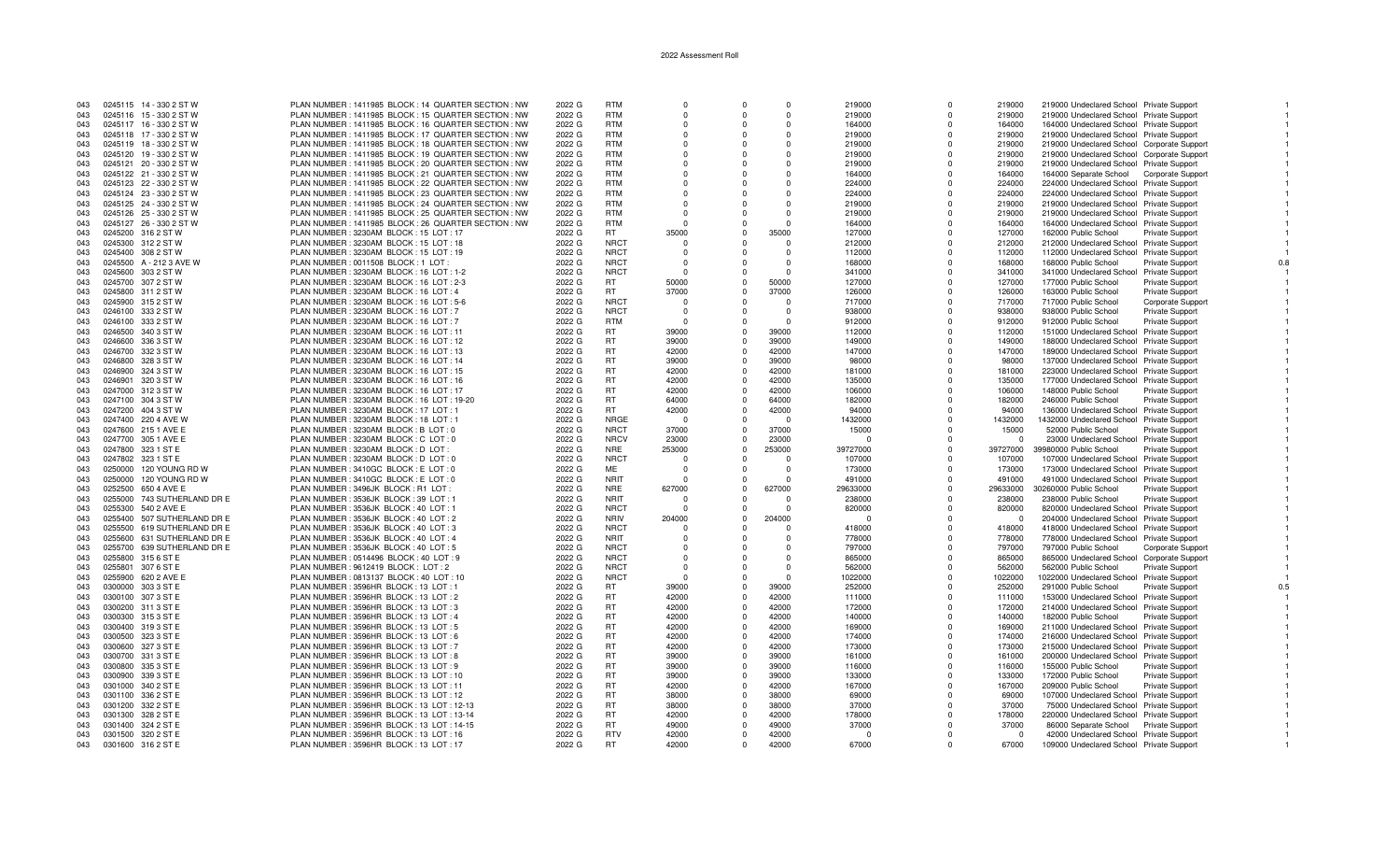| 043 | 0245115 14 - 330 2 ST W     | PLAN NUMBER : 1411985 BLOCK : 14 QUARTER SECTION : NW | 2022 G | <b>RTM</b>  |          | $\Omega$       | $\Omega$ | 219000   | $\Omega$   | 219000   | 219000 Undeclared School Private Support     |                        |     |
|-----|-----------------------------|-------------------------------------------------------|--------|-------------|----------|----------------|----------|----------|------------|----------|----------------------------------------------|------------------------|-----|
| 043 | 0245116 15 - 330 2 ST W     | PLAN NUMBER: 1411985 BLOCK: 15 QUARTER SECTION: NW    | 2022 G | <b>RTM</b>  |          | $\Omega$       | $\Omega$ | 219000   | $^{\circ}$ | 219000   | 219000 Undeclared School Private Support     |                        |     |
| 043 | 0245117 16 - 330 2 ST W     | PLAN NUMBER: 1411985 BLOCK: 16 QUARTER SECTION: NW    | 2022 G | <b>RTM</b>  | $\Omega$ | $\Omega$       | $\Omega$ | 164000   | $\Omega$   | 164000   | 164000 Undeclared School Private Support     |                        |     |
| 043 | 0245118 17 - 330 2 ST W     | PLAN NUMBER: 1411985 BLOCK: 17 QUARTER SECTION: NW    | 2022 G | <b>RTM</b>  |          | $\Omega$       | $\Omega$ | 219000   | $\Omega$   | 219000   | 219000 Undeclared School Private Support     |                        |     |
| 043 | 0245119 18 - 330 2 ST W     | PLAN NUMBER: 1411985 BLOCK: 18 QUARTER SECTION: NW    | 2022 G | <b>RTM</b>  | $\Omega$ | $\Omega$       | $\Omega$ | 219000   | $\Omega$   | 219000   | 219000 Undeclared School Corporate Support   |                        |     |
| 043 | 0245120 19 - 330 2 ST W     | PLAN NUMBER: 1411985 BLOCK: 19 QUARTER SECTION: NW    | 2022 G | <b>RTM</b>  | $\Omega$ | $\Omega$       | $\Omega$ | 219000   | $\Omega$   | 219000   | 219000 Undeclared School Corporate Support   |                        |     |
| 043 | 0245121 20 - 330 2 ST W     | PLAN NUMBER: 1411985 BLOCK: 20 QUARTER SECTION: NW    | 2022 G | <b>RTM</b>  | $\Omega$ | $\Omega$       | $\Omega$ | 219000   | $\Omega$   | 219000   | 219000 Undeclared School Private Support     |                        |     |
| 043 | 0245122 21 - 330 2 ST W     | PLAN NUMBER: 1411985 BLOCK: 21 QUARTER SECTION: NW    | 2022 G | <b>RTM</b>  |          | $\Omega$       | $\Omega$ | 164000   | $\Omega$   | 164000   | 164000 Separate School Corporate Support     |                        |     |
| 043 | 0245123 22 - 330 2 ST W     | PLAN NUMBER: 1411985 BLOCK: 22 QUARTER SECTION: NW    | 2022 G | <b>RTM</b>  | $\Omega$ | $\Omega$       | $\Omega$ | 224000   | $\Omega$   | 224000   | 224000 Undeclared School Private Support     |                        |     |
| 043 | 0245124 23 - 330 2 ST W     | PLAN NUMBER: 1411985 BLOCK: 23 QUARTER SECTION: NW    | 2022 G | <b>RTM</b>  |          | $\Omega$       | $\Omega$ | 224000   | $\Omega$   | 224000   | 224000 Undeclared School Private Support     |                        |     |
| 043 | 0245125 24 - 330 2 ST W     | PLAN NUMBER: 1411985 BLOCK: 24 QUARTER SECTION: NW    | 2022 G | <b>RTM</b>  | $\Omega$ | $\Omega$       | $\Omega$ | 219000   | $\Omega$   | 219000   | 219000 Undeclared School Private Support     |                        |     |
| 043 | 0245126 25 - 330 2 ST W     | PLAN NUMBER: 1411985 BLOCK: 25 QUARTER SECTION: NW    | 2022 G | <b>RTM</b>  | $\Omega$ |                | $\Omega$ | 219000   | $^{\circ}$ | 219000   | 219000 Undeclared School Private Support     |                        |     |
| 043 | 0245127 26 - 330 2 ST W     | PLAN NUMBER : 1411985 BLOCK : 26 QUARTER SECTION : NW | 2022 G | <b>RTM</b>  | $\Omega$ | $\Omega$       | $\cap$   | 164000   | $\Omega$   | 164000   | 164000 Undeclared School Private Support     |                        |     |
| 043 | 0245200 316 2 ST W          | PLAN NUMBER: 3230AM BLOCK: 15 LOT: 17                 | 2022 G | <b>RT</b>   | 35000    | $\Omega$       | 35000    | 127000   | $\Omega$   | 127000   | 162000 Public School                         | <b>Private Support</b> |     |
| 043 | 0245300 312 2 ST W          | PLAN NUMBER: 3230AM BLOCK: 15 LOT: 18                 | 2022 G | <b>NRCT</b> | $\Omega$ | $\Omega$       | $\Omega$ | 212000   | $\Omega$   | 212000   | 212000 Undeclared School Private Support     |                        |     |
| 043 | 0245400 308 2 ST W          | PLAN NUMBER: 3230AM BLOCK: 15 LOT: 19                 | 2022 G | <b>NRCT</b> |          |                | $\Omega$ | 112000   | $\Omega$   | 112000   | 112000 Undeclared School Private Support     |                        |     |
| 043 | 0245500 A - 212 3 AVE W     | PLAN NUMBER: 0011508 BLOCK: 1 LOT                     | 2022 G | <b>NRCT</b> | $\Omega$ | $\Omega$       | $\Omega$ | 168000   | $\Omega$   | 168000   | 168000 Public School                         | <b>Private Support</b> |     |
| 043 | 0245600 303 2 ST W          | PLAN NUMBER: 3230AM BLOCK: 16 LOT: 1-2                | 2022 G | <b>NRCT</b> | $\Omega$ | $\Omega$       | $\Omega$ | 341000   | $\Omega$   | 341000   | 341000 Undeclared School Private Support     |                        |     |
| 043 | 0245700 307 2 ST W          | PLAN NUMBER: 3230AM BLOCK: 16 LOT: 2-3                | 2022 G | <b>RT</b>   | 50000    | $\Omega$       | 50000    | 127000   | $\Omega$   | 127000   | 177000 Public School                         | Private Support        |     |
| 043 | 0245800 311 2 ST W          | PLAN NUMBER: 3230AM BLOCK: 16 LOT: 4                  | 2022 G | <b>RT</b>   | 37000    | $\Omega$       | 37000    | 126000   | $\Omega$   | 126000   |                                              |                        |     |
| 043 | 0245900 315 2 ST W          | PLAN NUMBER: 3230AM BLOCK: 16 LOT: 5-6                | 2022 G | <b>NRCT</b> | - 0      | $\Omega$       | $\Omega$ | 717000   | $\Omega$   | 717000   | 163000 Public School<br>717000 Public School | <b>Private Support</b> |     |
|     | 0246100 333 2 ST W          | PLAN NUMBER : 3230AM BLOCK : 16 LOT : 7               | 2022 G | <b>NRCT</b> | $\Omega$ | $\Omega$       | $\Omega$ | 938000   | $\Omega$   | 938000   |                                              | Corporate Support      |     |
| 043 |                             |                                                       |        | <b>RTM</b>  | $\Omega$ | $\Omega$       | $\Omega$ |          | $\Omega$   |          | 938000 Public School                         | <b>Private Support</b> |     |
| 043 | 0246100 333 2 ST W          | PLAN NUMBER: 3230AM BLOCK: 16 LOT: 7                  | 2022 G |             |          |                |          | 912000   |            | 912000   | 912000 Public School                         | Private Support        |     |
| 043 | 0246500 340 3 ST W          | PLAN NUMBER: 3230AM BLOCK: 16 LOT: 11                 | 2022 G | <b>RT</b>   | 39000    | $\Omega$       | 39000    | 112000   | $\Omega$   | 112000   | 151000 Undeclared School Private Support     |                        |     |
| 043 | 0246600 336 3 ST W          | PLAN NUMBER: 3230AM BLOCK: 16 LOT: 12                 | 2022 G | <b>RT</b>   | 39000    | $\Omega$       | 39000    | 149000   | $\Omega$   | 149000   | 188000 Undeclared School Private Support     |                        |     |
| 043 | 0246700 332 3 ST W          | PLAN NUMBER: 3230AM BLOCK: 16 LOT: 13                 | 2022 G | <b>RT</b>   | 42000    | $\Omega$       | 42000    | 147000   | $\Omega$   | 147000   | 189000 Undeclared School Private Support     |                        |     |
| 043 | 0246800 328 3 ST W          | PLAN NUMBER: 3230AM BLOCK: 16 LOT: 14                 | 2022 G | <b>RT</b>   | 39000    | $\Omega$       | 39000    | 98000    | $\Omega$   | 98000    | 137000 Undeclared School Private Support     |                        |     |
| 043 | 0246900 324 3 ST W          | PLAN NUMBER: 3230AM BLOCK: 16 LOT: 15                 | 2022 G | <b>RT</b>   | 42000    | $\Omega$       | 42000    | 181000   | $\Omega$   | 181000   | 223000 Undeclared School Private Support     |                        |     |
| 043 | 0246901 320 3 ST W          | PLAN NUMBER: 3230AM BLOCK: 16 LOT: 16                 | 2022 G | <b>RT</b>   | 42000    | $\Omega$       | 42000    | 135000   | $\Omega$   | 135000   | 177000 Undeclared School Private Support     |                        |     |
| 043 | 0247000 312 3 ST W          | PLAN NUMBER: 3230AM BLOCK: 16 LOT: 17                 | 2022 G | <b>RT</b>   | 42000    | $\Omega$       | 42000    | 106000   | $\Omega$   | 106000   | 148000 Public School                         | <b>Private Support</b> |     |
| 043 | 0247100 304 3 ST W          | PLAN NUMBER : 3230AM BLOCK : 16 LOT : 19-20           | 2022 G | <b>RT</b>   | 64000    | $\Omega$       | 64000    | 182000   | $\Omega$   | 182000   | 246000 Public School                         | Private Support        |     |
| 043 | 0247200 404 3 ST W          | PLAN NUMBER: 3230AM BLOCK: 17 LOT: 1                  | 2022 G | <b>RT</b>   | 42000    | $\Omega$       | 42000    | 94000    | $\Omega$   | 94000    | 136000 Undeclared School Private Support     |                        |     |
| 043 | 0247400 220 4 AVE W         | PLAN NUMBER : 3230AM BLOCK : 18 LOT : 1               | 2022 G | <b>NRGE</b> | - 0      | $\overline{0}$ | $\Omega$ | 1432000  | $\Omega$   | 1432000  | 1432000 Undeclared School Private Support    |                        |     |
| 043 | 0247600 215 1 AVE E         | PLAN NUMBER: 3230AM BLOCK: B LOT: 0                   | 2022 G | <b>NRCT</b> | 37000    | $^{\circ}$     | 37000    | 15000    | $\Omega$   | 15000    | 52000 Public School                          | Private Support        |     |
| 043 | 0247700 305 1 AVE E         | PLAN NUMBER: 3230AM BLOCK: C LOT: 0                   | 2022 G | <b>NRCV</b> | 23000    | $\Omega$       | 23000    | $\Omega$ | $\Omega$   | $\Omega$ | 23000 Undeclared School Private Support      |                        |     |
| 043 | 0247800 323 1 ST E          | PLAN NUMBER: 3230AM BLOCK: D LOT:                     | 2022 G | <b>NRE</b>  | 253000   | $\Omega$       | 253000   | 39727000 | $\Omega$   | 39727000 | 39980000 Public School                       | Private Support        |     |
| 043 | 0247802 323 1 ST E          | PLAN NUMBER: 3230AM BLOCK: D LOT: 0                   | 2022 G | <b>NRCT</b> | $\Omega$ | $\Omega$       | $\Omega$ | 107000   | $\Omega$   | 107000   | 107000 Undeclared School Private Support     |                        |     |
| 043 | 0250000 120 YOUNG RD W      | PLAN NUMBER : 3410GC BLOCK : E LOT : 0                | 2022 G | ME          | $\Omega$ | $\Omega$       | $\Omega$ | 173000   | $^{\circ}$ | 173000   | 173000 Undeclared School Private Support     |                        |     |
| 043 | 0250000 120 YOUNG RD W      | PLAN NUMBER : 3410GC BLOCK : E LOT : 0                | 2022 G | <b>NRIT</b> | $\Omega$ | $\Omega$       | $\Omega$ | 491000   | $\Omega$   | 491000   | 491000 Undeclared School Private Support     |                        |     |
| 043 | 0252500 650 4 AVE E         | PLAN NUMBER: 3496JK BLOCK: R1 LOT                     | 2022 G | <b>NRE</b>  | 627000   | $\Omega$       | 627000   | 29633000 | $\Omega$   | 29633000 | 30260000 Public School                       | Private Support        |     |
| 043 | 0255000 743 SUTHERLAND DR E | PLAN NUMBER: 3536JK BLOCK: 39 LOT: 1                  | 2022 G | <b>NRIT</b> | - 0      | $\Omega$       |          | 238000   | $\Omega$   | 238000   | 238000 Public School                         | <b>Private Support</b> |     |
| 043 | 0255300 540 2 AVE E         | PLAN NUMBER : 3536JK BLOCK : 40 LOT : 1               | 2022 G | <b>NRCT</b> | - 0      | $\Omega$       | $\Omega$ | 820000   | $\Omega$   | 820000   | 820000 Undeclared School Private Support     |                        |     |
| 043 | 0255400 507 SUTHERLAND DR E | PLAN NUMBER: 3536JK BLOCK: 40 LOT: 2                  | 2022 G | <b>NRIV</b> | 204000   | $\Omega$       | 204000   | $\Omega$ | $\Omega$   | $\Omega$ | 204000 Undeclared School Private Support     |                        |     |
| 043 | 0255500 619 SUTHERLAND DR E | PLAN NUMBER: 3536JK BLOCK: 40 LOT: 3                  | 2022 G | <b>NRCT</b> | $\Omega$ |                | $\Omega$ | 418000   | $\Omega$   | 418000   | 418000 Undeclared School Private Support     |                        |     |
| 043 | 0255600 631 SUTHERLAND DR E | PLAN NUMBER: 3536JK BLOCK: 40 LOT: 4                  | 2022 G | <b>NRIT</b> | $\Omega$ | $\Omega$       | $\Omega$ | 778000   | $\Omega$   | 778000   | 778000 Undeclared School Private Support     |                        |     |
| 043 | 0255700 639 SUTHERLAND DR E | PLAN NUMBER: 3536JK BLOCK: 40 LOT: 5                  | 2022 G | <b>NRCT</b> | $\Omega$ | $\Omega$       | $\Omega$ | 797000   | $^{\circ}$ | 797000   | 797000 Public School                         | Corporate Support      |     |
| 043 | 0255800 315 6 ST E          | PLAN NUMBER: 0514496 BLOCK: 40 LOT: 9                 | 2022 G | <b>NRCT</b> | $\Omega$ | $\Omega$       | $\Omega$ | 865000   | $\Omega$   | 865000   | 865000 Undeclared School Corporate Support   |                        |     |
| 043 | 0255801 307 6 ST E          | PLAN NUMBER : 9612419 BLOCK : LOT : 2                 | 2022 G | <b>NRCT</b> | $\Omega$ |                | $\Omega$ | 562000   | $\Omega$   | 562000   | 562000 Public School                         | <b>Private Support</b> |     |
| 043 | 0255900 620 2 AVE E         | PLAN NUMBER : 0813137 BLOCK : 40 LOT : 10             | 2022 G | <b>NRCT</b> | $\Omega$ | $\Omega$       | $\Omega$ | 1022000  | $\Omega$   | 1022000  | 1022000 Undeclared School Private Support    |                        |     |
| 043 | 0300000 303 3 ST E          | PLAN NUMBER: 3596HR BLOCK: 13 LOT: 1                  | 2022 G | RT.         | 39000    | $^{\circ}$     | 39000    | 252000   | $\Omega$   | 252000   | 291000 Public School                         | <b>Private Support</b> | 0.5 |
| 043 | 0300100 307 3 ST E          | PLAN NUMBER: 3596HR BLOCK: 13 LOT: 2                  | 2022 G | <b>RT</b>   | 42000    | $\Omega$       | 42000    | 111000   | $\Omega$   | 111000   | 153000 Undeclared School Private Support     |                        |     |
| 043 | 0300200 311 3 ST E          | PLAN NUMBER: 3596HR BLOCK: 13 LOT: 3                  | 2022 G | <b>RT</b>   | 42000    | $\Omega$       | 42000    | 172000   | $\Omega$   | 172000   | 214000 Undeclared School Private Support     |                        |     |
| 043 | 0300300 315 3 ST E          | PLAN NUMBER: 3596HR BLOCK: 13 LOT: 4                  | 2022 G | <b>RT</b>   | 42000    | $\Omega$       | 42000    | 140000   | $\Omega$   | 140000   | 182000 Public School                         | Private Support        |     |
| 043 | 0300400 319 3 ST E          | PLAN NUMBER: 3596HR BLOCK: 13 LOT: 5                  | 2022 G | <b>RT</b>   | 42000    | $^{\circ}$     | 42000    | 169000   | $^{\circ}$ | 169000   | 211000 Undeclared School Private Support     |                        |     |
| 043 | 0300500 323 3 ST E          | PLAN NUMBER: 3596HR BLOCK: 13 LOT: 6                  | 2022 G | <b>RT</b>   | 42000    | $\Omega$       | 42000    | 174000   | $\Omega$   | 174000   | 216000 Undeclared School Private Support     |                        |     |
| 043 | 0300600 327 3 ST E          | PLAN NUMBER: 3596HR BLOCK: 13 LOT: 7                  | 2022 G | <b>RT</b>   | 42000    | $\Omega$       | 42000    | 173000   | $\Omega$   | 173000   | 215000 Undeclared School Private Support     |                        |     |
| 043 | 0300700 331 3 ST E          | PLAN NUMBER: 3596HR BLOCK: 13 LOT: 8                  | 2022 G | <b>RT</b>   | 39000    | $\Omega$       | 39000    | 161000   | $\Omega$   | 161000   | 200000 Undeclared School Private Support     |                        |     |
| 043 | 0300800 335 3 ST E          | PLAN NUMBER : 3596HR BLOCK : 13 LOT : 9               | 2022 G | <b>RT</b>   | 39000    | $\Omega$       | 39000    | 116000   | $\Omega$   | 116000   | 155000 Public School                         | <b>Private Support</b> |     |
| 043 | 0300900 339 3 ST E          | PLAN NUMBER: 3596HR BLOCK: 13 LOT: 10                 | 2022 G | RT.         | 39000    | $\Omega$       | 39000    | 133000   | $\Omega$   | 133000   | 172000 Public School                         | <b>Private Support</b> |     |
| 043 | 0301000 340 2 ST E          | PLAN NUMBER: 3596HR BLOCK: 13 LOT: 11                 | 2022 G | <b>RT</b>   | 42000    | $\Omega$       | 42000    | 167000   | $\Omega$   | 167000   | 209000 Public School                         | Private Support        |     |
| 043 | 0301100 336 2 ST E          | PLAN NUMBER: 3596HR BLOCK: 13 LOT: 12                 | 2022 G | <b>RT</b>   | 38000    | $\Omega$       | 38000    | 69000    | $\Omega$   | 69000    | 107000 Undeclared School Private Support     |                        |     |
| 043 | 0301200 332 2 ST E          | PLAN NUMBER: 3596HR BLOCK: 13 LOT: 12-13              | 2022 G | <b>RT</b>   | 38000    | $^{\circ}$     | 38000    | 37000    | $^{\circ}$ | 37000    | 75000 Undeclared School Private Support      |                        |     |
| 043 | 0301300 328 2 ST E          | PLAN NUMBER: 3596HR BLOCK: 13 LOT: 13-14              | 2022 G | <b>RT</b>   | 42000    | $\Omega$       | 42000    | 178000   | $\Omega$   | 178000   | 220000 Undeclared School Private Support     |                        |     |
| 043 | 0301400 324 2 ST E          | PLAN NUMBER: 3596HR BLOCK: 13 LOT: 14-15              | 2022 G | <b>RT</b>   | 49000    | $\Omega$       | 49000    | 37000    | $\Omega$   | 37000    |                                              |                        |     |
| 043 | 0301500 320 2 ST E          | PLAN NUMBER: 3596HR BLOCK: 13 LOT: 16                 | 2022 G | <b>RTV</b>  | 42000    | $\Omega$       | 42000    | $\Omega$ | $\Omega$   | - 0      | 86000 Separate School Private Support        |                        |     |
| 043 |                             | PLAN NUMBER: 3596HR BLOCK: 13 LOT: 17                 | 2022 G | <b>RT</b>   | 42000    | $\Omega$       | 42000    | 67000    |            | 67000    | 42000 Undeclared School Private Support      |                        |     |
|     | 0301600 316 2 ST E          |                                                       |        |             |          |                |          |          |            |          | 109000 Undeclared School Private Support     |                        |     |

 $\overline{1}$ 

 $\overline{1}$ 

 $0.5\,$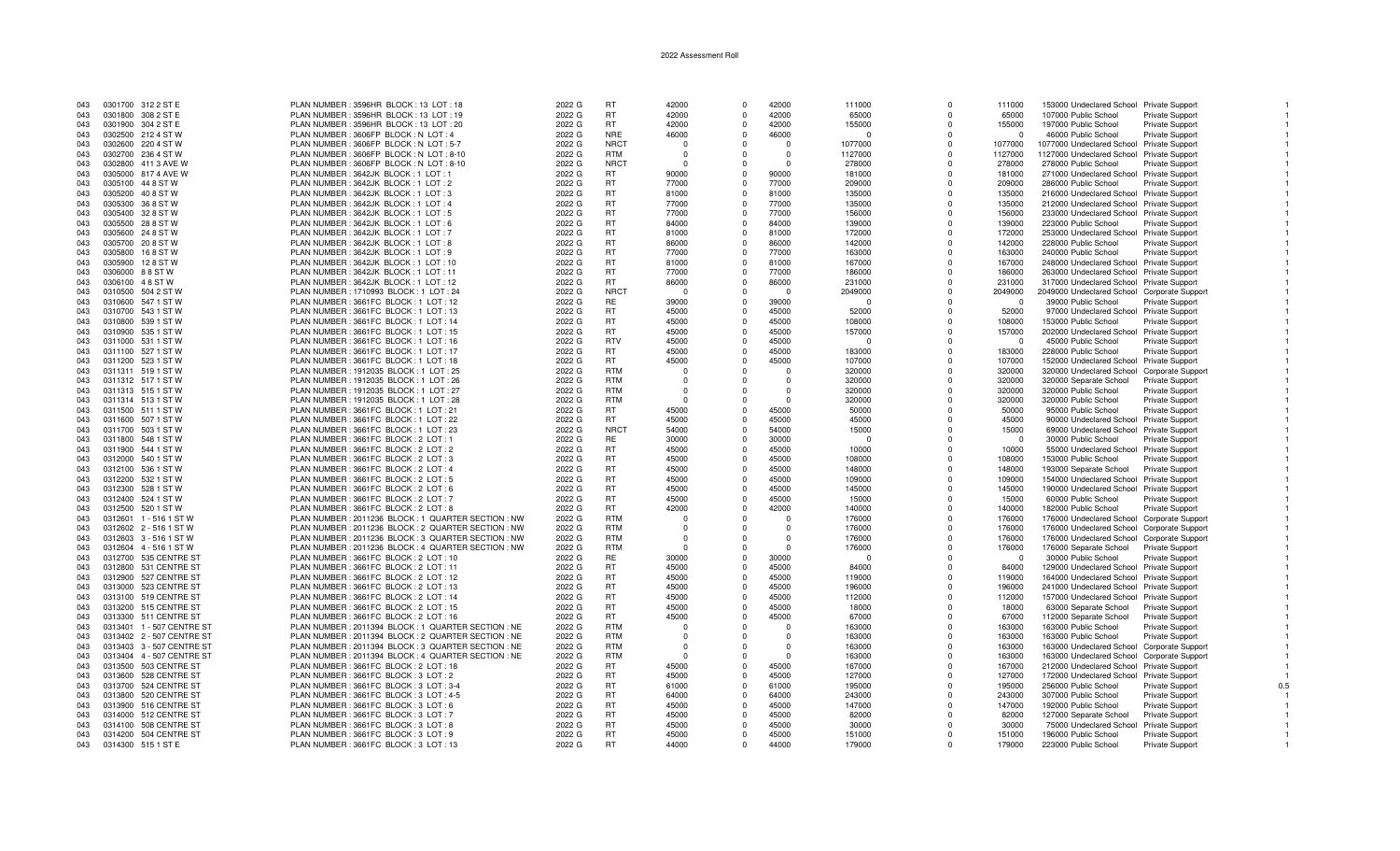| <b>RT</b><br>0301700 312 2 ST E<br>PLAN NUMBER: 3596HR BLOCK: 13 LOT: 18<br>2022 G<br>42000<br>42000<br>111000<br>153000 Undeclared School Private Support<br>043<br>$\Omega$<br>$\Omega$<br>111000<br>2022 G<br><b>RT</b><br>42000<br>42000<br>043<br>0301800 308 2 ST E<br>PLAN NUMBER: 3596HR BLOCK: 13 LOT: 19<br>65000<br>65000<br>Private Support<br>$\Omega$<br>$\Omega$<br>107000 Public School<br>0301900 304 2 ST E<br>PLAN NUMBER: 3596HR BLOCK: 13 LOT: 20<br>RT.<br>42000<br>155000<br>197000 Public School<br>043<br>2022 G<br>$\Omega$<br>42000<br>$\Omega$<br>155000<br><b>Private Support</b><br><b>NRE</b><br>PLAN NUMBER: 3606FP BLOCK: N LOT: 4<br>2022 G<br>46000<br>46000<br>46000 Public School<br>0302500 212 4 ST W<br>Private Support<br>043<br>0<br>$\Omega$<br>$\Omega$<br>$\Omega$<br>PLAN NUMBER: 3606FP BLOCK: N LOT: 5-7<br><b>NRCT</b><br>043<br>0302600 220 4 ST W<br>2022 G<br>$\Omega$<br>$\Omega$<br>$\Omega$<br>1077000<br>$\Omega$<br>1077000<br>1077000 Undeclared School Private Support<br><b>RTM</b><br>0302700 236 4 ST W<br>PLAN NUMBER: 3606FP BLOCK: N LOT: 8-10<br>2022 G<br>1127000<br>1127000 Undeclared School Private Support<br>043<br>$\Omega$<br>$\Omega$<br>1127000<br><b>NRCT</b><br>0302800 411 3 AVE W<br>PLAN NUMBER : 3606FP BLOCK : N LOT : 8-10<br>2022 G<br>278000<br>278000<br>278000 Public School<br>Private Support<br>043<br>$\Omega$<br>$\Omega$<br>- 0<br>PLAN NUMBER: 3642JK BLOCK: 1 LOT: 1<br>2022 G<br>RT.<br>90000<br>90000<br>181000<br>043<br>0305000 817 4 AVE W<br>$\Omega$<br>$\Omega$<br>181000<br>271000 Undeclared School Private Support<br>PLAN NUMBER: 3642JK BLOCK: 1 LOT: 2<br>2022 G<br><b>RT</b><br>77000<br>77000<br>209000<br>286000 Public School<br>043<br>0305100 44 8 ST W<br>$\Omega$<br>$\Omega$<br>209000<br>Private Support<br><b>RT</b><br>81000<br>81000<br>0305200 40 8 ST W<br>PLAN NUMBER: 3642JK BLOCK: 1 LOT: 3<br>2022 G<br>$\Omega$<br>135000<br>$\Omega$<br>135000<br>216000 Undeclared School Private Support<br>043<br>PLAN NUMBER: 3642JK BLOCK: 1 LOT: 4<br><b>RT</b><br>0305300 36 8 ST W<br>2022 G<br>77000<br>$\mathbf 0$<br>77000<br>135000<br>135000<br>212000 Undeclared School Private Support<br>043<br>$\Omega$<br><b>RT</b><br>77000<br>77000<br>0305400 328 ST W<br>PLAN NUMBER: 3642JK BLOCK: 1 LOT: 5<br>2022 G<br>156000<br>043<br>$\Omega$<br>156000<br>$\Omega$<br>233000 Undeclared School Private Support<br>043<br>0305500 288 ST W<br>PLAN NUMBER: 3642JK BLOCK: 1 LOT: 6<br>2022 G<br><b>RT</b><br>84000<br>$\Omega$<br>84000<br>139000<br>139000<br>223000 Public School<br>Private Support<br>$\Omega$<br><b>RT</b><br>043<br>0305600<br>24 8 ST W<br>PLAN NUMBER: 3642JK BLOCK: 1 LOT: 7<br>2022 G<br>81000<br>$\Omega$<br>81000<br>172000<br>$\Omega$<br>172000<br>253000 Undeclared School Private Support<br>0305700 20 8 ST W<br>PLAN NUMBER: 3642JK BLOCK: 1 LOT: 8<br>2022 G<br><b>RT</b><br>86000<br>86000<br>142000<br>142000<br>228000 Public School<br>043<br>$\Omega$<br>Private Support<br>$\Omega$<br>043<br>0305800<br>168 ST W<br>PLAN NUMBER: 3642JK BLOCK: 1 LOT: 9<br>2022 G<br>RT<br>77000<br>$\Omega$<br>77000<br>163000<br>$\Omega$<br>163000<br>240000 Public School<br>Private Support<br>043<br>0305900<br>128 ST W<br>PLAN NUMBER: 3642JK BLOCK: 1 LOT: 10<br>2022 G<br><b>RT</b><br>81000<br>$\Omega$<br>81000<br>167000<br>167000<br>248000 Undeclared School Private Support<br>$\Omega$<br><b>RT</b><br>77000<br>043<br>0306000 88STW<br>PLAN NUMBER: 3642JK BLOCK: 1 LOT: 11<br>2022 G<br>$\Omega$<br>77000<br>186000<br>$\Omega$<br>186000<br>263000 Undeclared School Private Support<br><b>RT</b><br>0306100 48 ST W<br>PLAN NUMBER: 3642JK BLOCK: 1 LOT: 12<br>2022 G<br>86000<br>86000<br>231000<br>317000 Undeclared School Private Support<br>043<br>$\Omega$<br>$\Omega$<br>231000<br>2022 G<br><b>NRCT</b><br>043<br>0310500 504 2 ST W<br>PLAN NUMBER: 1710993 BLOCK: 1 LOT: 24<br>$\Omega$<br>2049000<br>$\Omega$<br>2049000<br>2049000 Undeclared School Corporate Support<br>$\Omega$<br>$\Omega$<br>2022 G<br><b>RE</b><br>39000<br>39000<br>043<br>0310600 547 1 ST W<br>PLAN NUMBER : 3661FC BLOCK : 1 LOT : 12<br>$\Omega$<br>$\Omega$<br>39000 Public School<br>Private Support<br>$\Omega$<br>- 0<br><b>RT</b><br>0310700 543 1 ST W<br>PLAN NUMBER: 3661FC BLOCK: 1 LOT: 13<br>2022 G<br>45000<br>45000<br>52000<br>52000<br>97000 Undeclared School Private Support<br>043<br>$\Omega$<br>$\Omega$<br>PLAN NUMBER: 3661FC BLOCK: 1 LOT: 14<br>2022 G<br><b>RT</b><br>45000<br>45000<br>0310800 539 1 ST W<br>108000<br>108000<br>153000 Public School<br>Private Support<br>043<br>$\Omega$<br>$\Omega$<br>0310900 535 1 ST W<br>PLAN NUMBER: 3661FC BLOCK: 1 LOT: 15<br>2022 G<br>RT.<br>45000<br>45000<br>157000<br>202000 Undeclared School Private Support<br>043<br>$\Omega$<br>$\Omega$<br>157000<br>2022 G<br><b>RTV</b><br>45000<br>$\Omega$<br>45000<br>043<br>0311000 531 1 ST W<br>PLAN NUMBER: 3661FC BLOCK: 1 LOT: 16<br>$\Omega$<br>45000 Public School<br>Private Support<br>- 0<br>- 0<br><b>RT</b><br>0311100 527 1 ST W<br>PLAN NUMBER: 3661FC BLOCK: 1 LOT: 17<br>2022 G<br>45000<br>$\Omega$<br>45000<br>183000<br>183000<br>228000 Public School<br>Private Support<br>043<br>$\Omega$<br>0311200 523 1 ST W<br>PLAN NUMBER: 3661FC BLOCK: 1 LOT: 18<br>2022 G<br><b>RT</b><br>45000<br>45000<br>$\mathbf 0$<br>107000<br>107000<br>152000 Undeclared School Private Support<br>043<br>$\Omega$<br>043<br>0311311 519 1 ST W<br>PLAN NUMBER: 1912035 BLOCK: 1 LOT: 25<br>2022 G<br><b>RTM</b><br>320000<br>320000<br>320000 Undeclared School Corporate Support<br>$\Omega$<br>$\Omega$<br>$\Omega$<br><b>RTM</b><br>PLAN NUMBER: 1912035 BLOCK: 1 LOT: 26<br>2022 G<br>320000<br>Private Support<br>043<br>0311312 517 1 ST W<br>$\Omega$<br>$\Omega$<br>$\Omega$<br>320000<br>320000 Separate School<br>0311313 515 1 ST W<br>PLAN NUMBER: 1912035 BLOCK: 1 LOT: 27<br>2022 G<br><b>RTM</b><br>320000<br>320000 Public School<br>043<br>$\Omega$<br>320000<br><b>Private Support</b><br>ŋ<br>2022 G<br><b>RTM</b><br>320000<br>0311314 513 1 ST W<br>PLAN NUMBER: 1912035 BLOCK: 1 LOT: 28<br>$\overline{0}$<br>320000<br>320000 Public School<br>043<br>$\Omega$<br>$\Omega$<br><b>Private Support</b><br>$\Omega$<br><b>RT</b><br>45000<br>45000<br>043<br>0311500 511 1 ST W<br>PLAN NUMBER: 3661FC BLOCK: 1 LOT: 21<br>2022 G<br>$\Omega$<br>50000<br>$\Omega$<br>50000<br>95000 Public School<br>Private Support<br><b>RT</b><br>45000<br>45000<br>0311600 507 1 ST W<br>PLAN NUMBER: 3661FC BLOCK: 1 LOT: 22<br>2022 G<br>45000<br>45000<br>90000 Undeclared School Private Support<br>043<br>0<br>$\Omega$<br>0311700 503 1 ST W<br>PLAN NUMBER: 3661FC BLOCK: 1 LOT: 23<br>2022 G<br><b>NRCT</b><br>54000<br>54000<br>15000<br>15000<br>69000 Undeclared School Private Support<br>043<br>$\Omega$<br>$\Omega$<br>0311800 548 1 ST W<br>PLAN NUMBER: 3661FC BLOCK: 2 LOT: 1<br>2022 G<br>RE.<br>30000<br>30000<br>0<br>30000 Public School<br><b>Private Support</b><br>043<br>- 0<br>$\Omega$<br>$\Omega$<br>0311900 544 1 ST W<br>PLAN NUMBER: 3661FC BLOCK: 2 LOT: 2<br>2022 G<br><b>RT</b><br>45000<br>45000<br>043<br>$\Omega$<br>10000<br>$\Omega$<br>10000<br>55000 Undeclared School Private Support<br>2022 G<br><b>RT</b><br>45000<br>45000<br>0312000 540 1 ST W<br>PLAN NUMBER: 3661FC BLOCK: 2 LOT: 3<br>$\Omega$<br>108000<br>153000 Public School<br>043<br>$\Omega$<br>108000<br><b>Private Support</b><br><b>RT</b><br>043<br>0312100 536 1 ST W<br>PLAN NUMBER: 3661FC BLOCK: 2 LOT: 4<br>2022 G<br>45000<br>45000<br>148000<br>148000<br>193000 Separate School<br>Private Support<br>$\Omega$<br>$\Omega$<br><b>RT</b><br>PLAN NUMBER: 3661FC BLOCK: 2 LOT: 5<br>2022 G<br>45000<br>45000<br>043<br>0312200 532 1 ST W<br>$\Omega$<br>109000<br>$\Omega$<br>109000<br>154000 Undeclared School Private Support<br><b>RT</b><br>0312300 528 1 ST W<br>PLAN NUMBER: 3661FC BLOCK: 2 LOT: 6<br>2022 G<br>45000<br>$\Omega$<br>45000<br>145000<br>145000<br>190000 Undeclared School Private Support<br>043<br>$\Omega$<br><b>RT</b><br>043<br>0312400 524 1 ST W<br>PLAN NUMBER : 3661FC BLOCK : 2 LOT : 7<br>2022 G<br>45000<br>$\Omega$<br>45000<br>15000<br>$\Omega$<br>15000<br>60000 Public School<br><b>Private Support</b><br><b>RT</b><br>043<br>0312500 520 1 ST W<br>PLAN NUMBER: 3661FC BLOCK: 2 LOT: 8<br>2022 G<br>42000<br>42000<br>140000<br>140000<br>182000 Public School<br>Private Support<br>$\Omega$<br>$\Omega$<br><b>RTM</b><br>PLAN NUMBER : 2011236 BLOCK : 1 QUARTER SECTION : NW<br>2022 G<br>176000<br>043<br>0312601 1 - 516 1 ST W<br>0<br>$\Omega$<br>176000<br>0<br>176000 Undeclared School Corporate Support<br>$\Omega$<br><b>RTM</b><br>043<br>0312602 2 - 516 1 ST W<br>PLAN NUMBER : 2011236 BLOCK : 2 QUARTER SECTION : NW<br>2022 G<br>176000<br>176000<br>176000 Undeclared School Corporate Support<br>$\Omega$<br>$\Omega$<br>$\Omega$<br>$\Omega$<br><b>RTM</b><br>2022 G<br>043<br>0312603 3 - 516 1 ST W<br>PLAN NUMBER : 2011236 BLOCK : 3 QUARTER SECTION : NW<br>176000<br>$\Omega$<br>176000<br>176000 Undeclared School Corporate Support<br>0312604 4 - 516 1 ST W<br>PLAN NUMBER : 2011236 BLOCK : 4 QUARTER SECTION : NW<br>2022 G<br><b>RTM</b><br>176000<br>176000 Separate School<br>043<br>$\Omega$<br>$\Omega$<br>176000<br><b>Private Support</b><br>- 0<br>$\Omega$<br>2022 G<br>RE<br>30000<br>043<br>0312700 535 CENTRE ST<br>PLAN NUMBER: 3661FC BLOCK: 2 LOT: 10<br>$\Omega$<br>30000<br>$\Omega$<br>30000 Public School<br>Private Support<br>$\Omega$<br>$\Omega$<br>0312800 531 CENTRE ST<br>PLAN NUMBER : 3661FC BLOCK : 2 LOT : 11<br>2022 G<br><b>RT</b><br>45000<br>45000<br>84000<br>84000<br>043<br>$\Omega$<br>$\Omega$<br>129000 Undeclared School Private Support<br>0312900 527 CENTRE ST<br>PLAN NUMBER: 3661FC BLOCK: 2 LOT: 12<br>2022 G<br>RT<br>45000<br>$\Omega$<br>45000<br>119000<br>119000<br>164000 Undeclared School Private Support<br>043<br>$\Omega$<br>0313000 523 CENTRE ST<br>PLAN NUMBER: 3661FC BLOCK: 2 LOT: 13<br>2022 G<br><b>RT</b><br>45000<br>45000<br>196000<br>196000<br>241000 Undeclared School Private Support<br>043<br>$\Omega$<br>$\Omega$<br><b>RT</b><br>45000<br>45000<br>043<br>0313100 519 CENTRE ST<br>PLAN NUMBER: 3661FC BLOCK: 2 LOT: 14<br>2022 G<br>$\Omega$<br>112000<br>$\Omega$<br>112000<br>157000 Undeclared School Private Support<br>043<br>0313200 515 CENTRE ST<br>PLAN NUMBER: 3661FC BLOCK: 2 LOT: 15<br>2022 G<br><b>RT</b><br>45000<br>$\Omega$<br>45000<br>18000<br>18000<br>$\Omega$<br>63000 Separate School<br>Private Support<br>043<br>0313300 511 CENTRE ST<br>PLAN NUMBER: 3661FC BLOCK: 2 LOT: 16<br>2022 G<br><b>RT</b><br>45000<br>45000<br>67000<br>67000<br>112000 Separate School<br>$\Omega$<br>$\Omega$<br><b>Private Support</b><br>0313401 1 - 507 CENTRE ST<br>2022 G<br><b>RTM</b><br>PLAN NUMBER : 2011394 BLOCK : 1 QUARTER SECTION : NE<br>163000<br>163000<br>163000 Public School<br>043<br>0<br>$\Omega$<br><b>Private Support</b><br>- 0<br>- 0<br><b>RTM</b><br>0313402 2 - 507 CENTRE ST<br>PLAN NUMBER : 2011394 BLOCK : 2 QUARTER SECTION : NE<br>2022 G<br>163000<br>163000<br>163000 Public School<br>043<br>$\Omega$<br>$\Omega$<br>$\Omega$<br>$\Omega$<br><b>Private Support</b><br>2022 G<br><b>RTM</b><br>0313403 3 - 507 CENTRE ST<br>PLAN NUMBER : 2011394 BLOCK : 3 QUARTER SECTION : NE<br>163000<br>163000<br>163000 Undeclared School Corporate Suppor<br>043<br>$\Omega$<br>$\Omega$<br>$\Omega$<br>n<br>0313404 4 - 507 CENTRE ST<br>PLAN NUMBER : 2011394 BLOCK : 4 QUARTER SECTION : NE<br>2022 G<br><b>RTM</b><br>043<br>163000<br>$\Omega$<br>163000<br>163000 Undeclared School Corporate Support<br>$\Omega$<br>$\Omega$<br>0313500 503 CENTRE ST<br>PLAN NUMBER: 3661FC BLOCK: 2 LOT: 18<br>2022 G<br><b>RT</b><br>45000<br>45000<br>167000<br>167000<br>212000 Undeclared School Private Support<br>043<br>0<br>$\Omega$<br>043<br>0313600 528 CENTRE ST<br>PLAN NUMBER : 3661FC BLOCK : 3 LOT : 2<br>2022 G<br>RT<br>45000<br>45000<br>127000<br>172000 Undeclared School Private Support<br>$\Omega$<br>127000<br>$\Omega$<br>2022 G<br><b>RT</b><br>61000<br>61000<br>043<br>0313700 524 CENTRE ST<br>PLAN NUMBER: 3661FC BLOCK: 3 LOT: 3-4<br>$\Omega$<br>195000<br>195000<br>256000 Public School<br>$\Omega$<br><b>Private Support</b><br>0.5<br>0313800 520 CENTRE ST<br>PLAN NUMBER : 3661FC BLOCK : 3 LOT : 4-5<br>2022 G<br><b>RT</b><br>64000<br>64000<br>243000<br>307000 Public School<br>043<br>$\Omega$<br>$\Omega$<br>243000<br><b>Private Support</b><br>0313900 516 CENTRE ST<br>2022 G<br>RT<br>45000<br>45000<br>PLAN NUMBER : 3661FC BLOCK : 3 LOT : 6<br>147000<br>147000<br>192000 Public School<br>043<br>$^{\circ}$<br>$\Omega$<br><b>Private Support</b><br>PLAN NUMBER : 3661FC BLOCK : 3 LOT : 7<br>2022 G<br><b>RT</b><br>45000<br>45000<br>043<br>0314000 512 CENTRE ST<br>$\Omega$<br>82000<br>$\Omega$<br>82000<br>127000 Separate School<br>Private Support<br><b>RT</b><br>45000<br>45000<br>PLAN NUMBER: 3661FC BLOCK: 3 LOT: 8<br>2022 G<br>30000<br>30000<br>043<br>0314100 508 CENTRE ST<br>$\Omega$<br>$\Omega$<br>75000 Undeclared School<br><b>Private Support</b><br><b>RT</b><br>043<br>0314200 504 CENTRE ST<br>PLAN NUMBER: 3661FC BLOCK: 3 LOT: 9<br>2022 G<br>45000<br>45000<br>151000<br>151000<br>196000 Public School<br>Private Support<br>$\Omega$<br>$\Omega$<br><b>RT</b><br>PLAN NUMBER: 3661FC BLOCK: 3 LOT: 13<br>2022 G<br>44000<br>44000<br>179000<br>223000 Public School<br>043<br>0314300 515 1 ST E<br>$\Omega$<br>179000<br><b>Private Support</b> |  |  |  |  |  |  |  |  |
|---------------------------------------------------------------------------------------------------------------------------------------------------------------------------------------------------------------------------------------------------------------------------------------------------------------------------------------------------------------------------------------------------------------------------------------------------------------------------------------------------------------------------------------------------------------------------------------------------------------------------------------------------------------------------------------------------------------------------------------------------------------------------------------------------------------------------------------------------------------------------------------------------------------------------------------------------------------------------------------------------------------------------------------------------------------------------------------------------------------------------------------------------------------------------------------------------------------------------------------------------------------------------------------------------------------------------------------------------------------------------------------------------------------------------------------------------------------------------------------------------------------------------------------------------------------------------------------------------------------------------------------------------------------------------------------------------------------------------------------------------------------------------------------------------------------------------------------------------------------------------------------------------------------------------------------------------------------------------------------------------------------------------------------------------------------------------------------------------------------------------------------------------------------------------------------------------------------------------------------------------------------------------------------------------------------------------------------------------------------------------------------------------------------------------------------------------------------------------------------------------------------------------------------------------------------------------------------------------------------------------------------------------------------------------------------------------------------------------------------------------------------------------------------------------------------------------------------------------------------------------------------------------------------------------------------------------------------------------------------------------------------------------------------------------------------------------------------------------------------------------------------------------------------------------------------------------------------------------------------------------------------------------------------------------------------------------------------------------------------------------------------------------------------------------------------------------------------------------------------------------------------------------------------------------------------------------------------------------------------------------------------------------------------------------------------------------------------------------------------------------------------------------------------------------------------------------------------------------------------------------------------------------------------------------------------------------------------------------------------------------------------------------------------------------------------------------------------------------------------------------------------------------------------------------------------------------------------------------------------------------------------------------------------------------------------------------------------------------------------------------------------------------------------------------------------------------------------------------------------------------------------------------------------------------------------------------------------------------------------------------------------------------------------------------------------------------------------------------------------------------------------------------------------------------------------------------------------------------------------------------------------------------------------------------------------------------------------------------------------------------------------------------------------------------------------------------------------------------------------------------------------------------------------------------------------------------------------------------------------------------------------------------------------------------------------------------------------------------------------------------------------------------------------------------------------------------------------------------------------------------------------------------------------------------------------------------------------------------------------------------------------------------------------------------------------------------------------------------------------------------------------------------------------------------------------------------------------------------------------------------------------------------------------------------------------------------------------------------------------------------------------------------------------------------------------------------------------------------------------------------------------------------------------------------------------------------------------------------------------------------------------------------------------------------------------------------------------------------------------------------------------------------------------------------------------------------------------------------------------------------------------------------------------------------------------------------------------------------------------------------------------------------------------------------------------------------------------------------------------------------------------------------------------------------------------------------------------------------------------------------------------------------------------------------------------------------------------------------------------------------------------------------------------------------------------------------------------------------------------------------------------------------------------------------------------------------------------------------------------------------------------------------------------------------------------------------------------------------------------------------------------------------------------------------------------------------------------------------------------------------------------------------------------------------------------------------------------------------------------------------------------------------------------------------------------------------------------------------------------------------------------------------------------------------------------------------------------------------------------------------------------------------------------------------------------------------------------------------------------------------------------------------------------------------------------------------------------------------------------------------------------------------------------------------------------------------------------------------------------------------------------------------------------------------------------------------------------------------------------------------------------------------------------------------------------------------------------------------------------------------------------------------------------------------------------------------------------------------------------------------------------------------------------------------------------------------------------------------------------------------------------------------------------------------------------------------------------------------------------------------------------------------------------------------------------------------------------------------------------------------------------------------------------------------------------------------------------------------------------------------------------------------------------------------------------------------------------------------------------------------------------------------------------------------------------------------------------------------------------------------------------------------------------------------------------------------------------------------------------------------------------------------------------------------------------------------------------------------------------------------------------------------------------------------------------------------------------------------------------------------------------------------------------------------------------------------------------------------------------------------------------------------------------------------------------------------------------------------------------------------------------------------------------------------------------------------------------------------------------------------------------------------------------------------------------------------------------------------------------------------------------------------------------------------------------------------------------------------------------------------------------------------------------------------------------------------------------------------------------------------------------------------------------------------------------------------------------------------------------------------------------------------------------------------------------------------------------------------------------------------------------------------------------------------------------------------------------------------------------------------------------------------------------------------------------------------------------------------------------------------------------------------------------------------------------------------------------------------------------------------------------------------------------------------------------------------------------------------------------------------------------------------------------------------------------------------------------------------------------------------------------------------------------------------------------------------------------------------------------------------------------------------------------------------------------------------------------------------------------------------------------------------------------------------------------------------------------------------------------------------------------------------------------------------------------------------------------------------------------------------------------------------------------------------------------------------------------------------------------------------------------------------------------------------------------------------------------------------------------------------------------------------------------------------------------------------------------------------------------------------------------------------------------------------------------------------------------------------------------------------------------------------------------------------------------------------------------------------------------------------------------------------------------------------------------------------------------------------------------------------------------------------------------------------------------------------------------------------------------------------------------------------------------------------------------------------------------------------------------------------------------------------------------------------------------------------------------------------------------------------------------------------------------------------------------------------------------------------------------------------------------------------------------------------------------------------------------------------------------------------------------------------------------------------------------------------------------------------------------------------------------------------------------------------------------------------------------------------------------------------------------------------------------------------------------------------------------------------------------------------------------------------------------------------------------------------------------------------------------------------------------|--|--|--|--|--|--|--|--|
|                                                                                                                                                                                                                                                                                                                                                                                                                                                                                                                                                                                                                                                                                                                                                                                                                                                                                                                                                                                                                                                                                                                                                                                                                                                                                                                                                                                                                                                                                                                                                                                                                                                                                                                                                                                                                                                                                                                                                                                                                                                                                                                                                                                                                                                                                                                                                                                                                                                                                                                                                                                                                                                                                                                                                                                                                                                                                                                                                                                                                                                                                                                                                                                                                                                                                                                                                                                                                                                                                                                                                                                                                                                                                                                                                                                                                                                                                                                                                                                                                                                                                                                                                                                                                                                                                                                                                                                                                                                                                                                                                                                                                                                                                                                                                                                                                                                                                                                                                                                                                                                                                                                                                                                                                                                                                                                                                                                                                                                                                                                                                                                                                                                                                                                                                                                                                                                                                                                                                                                                                                                                                                                                                                                                                                                                                                                                                                                                                                                                                                                                                                                                                                                                                                                                                                                                                                                                                                                                                                                                                                                                                                                                                                                                                                                                                                                                                                                                                                                                                                                                                                                                                                                                                                                                                                                                                                                                                                                                                                                                                                                                                                                                                                                                                                                                                                                                                                                                                                                                                                                                                                                                                                                                                                                                                                                                                                                                                                                                                                                                                                                                                                                                                                                                                                                                                                                                                                                                                                                                                                                                                                                                                                                                                                                                                                                                                                                                                                                                                                                                                                                                                                                                                                                                                                                                                                                                                                                                                                                                                                                                                                                                                                                                                                                                                                                                                                                                                                                                                                                                                                                                                                                                                                                                                                                                                                                                                                                                                                                                                                                                                                                                                                                                                                                                                                                                                                                                                                                                                                                                                                                                                                                                                                                                                                                                                                                                                                                                                                                                                                                                                                                                                                                                                                                                                                                                                                                                                                                                                                                                                                                                                                                                                                                                                                                                                                                                                                                                                                                                                                                                                                                                                                                                                                                                                               |  |  |  |  |  |  |  |  |
|                                                                                                                                                                                                                                                                                                                                                                                                                                                                                                                                                                                                                                                                                                                                                                                                                                                                                                                                                                                                                                                                                                                                                                                                                                                                                                                                                                                                                                                                                                                                                                                                                                                                                                                                                                                                                                                                                                                                                                                                                                                                                                                                                                                                                                                                                                                                                                                                                                                                                                                                                                                                                                                                                                                                                                                                                                                                                                                                                                                                                                                                                                                                                                                                                                                                                                                                                                                                                                                                                                                                                                                                                                                                                                                                                                                                                                                                                                                                                                                                                                                                                                                                                                                                                                                                                                                                                                                                                                                                                                                                                                                                                                                                                                                                                                                                                                                                                                                                                                                                                                                                                                                                                                                                                                                                                                                                                                                                                                                                                                                                                                                                                                                                                                                                                                                                                                                                                                                                                                                                                                                                                                                                                                                                                                                                                                                                                                                                                                                                                                                                                                                                                                                                                                                                                                                                                                                                                                                                                                                                                                                                                                                                                                                                                                                                                                                                                                                                                                                                                                                                                                                                                                                                                                                                                                                                                                                                                                                                                                                                                                                                                                                                                                                                                                                                                                                                                                                                                                                                                                                                                                                                                                                                                                                                                                                                                                                                                                                                                                                                                                                                                                                                                                                                                                                                                                                                                                                                                                                                                                                                                                                                                                                                                                                                                                                                                                                                                                                                                                                                                                                                                                                                                                                                                                                                                                                                                                                                                                                                                                                                                                                                                                                                                                                                                                                                                                                                                                                                                                                                                                                                                                                                                                                                                                                                                                                                                                                                                                                                                                                                                                                                                                                                                                                                                                                                                                                                                                                                                                                                                                                                                                                                                                                                                                                                                                                                                                                                                                                                                                                                                                                                                                                                                                                                                                                                                                                                                                                                                                                                                                                                                                                                                                                                                                                                                                                                                                                                                                                                                                                                                                                                                                                                                                                                                               |  |  |  |  |  |  |  |  |
|                                                                                                                                                                                                                                                                                                                                                                                                                                                                                                                                                                                                                                                                                                                                                                                                                                                                                                                                                                                                                                                                                                                                                                                                                                                                                                                                                                                                                                                                                                                                                                                                                                                                                                                                                                                                                                                                                                                                                                                                                                                                                                                                                                                                                                                                                                                                                                                                                                                                                                                                                                                                                                                                                                                                                                                                                                                                                                                                                                                                                                                                                                                                                                                                                                                                                                                                                                                                                                                                                                                                                                                                                                                                                                                                                                                                                                                                                                                                                                                                                                                                                                                                                                                                                                                                                                                                                                                                                                                                                                                                                                                                                                                                                                                                                                                                                                                                                                                                                                                                                                                                                                                                                                                                                                                                                                                                                                                                                                                                                                                                                                                                                                                                                                                                                                                                                                                                                                                                                                                                                                                                                                                                                                                                                                                                                                                                                                                                                                                                                                                                                                                                                                                                                                                                                                                                                                                                                                                                                                                                                                                                                                                                                                                                                                                                                                                                                                                                                                                                                                                                                                                                                                                                                                                                                                                                                                                                                                                                                                                                                                                                                                                                                                                                                                                                                                                                                                                                                                                                                                                                                                                                                                                                                                                                                                                                                                                                                                                                                                                                                                                                                                                                                                                                                                                                                                                                                                                                                                                                                                                                                                                                                                                                                                                                                                                                                                                                                                                                                                                                                                                                                                                                                                                                                                                                                                                                                                                                                                                                                                                                                                                                                                                                                                                                                                                                                                                                                                                                                                                                                                                                                                                                                                                                                                                                                                                                                                                                                                                                                                                                                                                                                                                                                                                                                                                                                                                                                                                                                                                                                                                                                                                                                                                                                                                                                                                                                                                                                                                                                                                                                                                                                                                                                                                                                                                                                                                                                                                                                                                                                                                                                                                                                                                                                                                                                                                                                                                                                                                                                                                                                                                                                                                                                                                                                               |  |  |  |  |  |  |  |  |
|                                                                                                                                                                                                                                                                                                                                                                                                                                                                                                                                                                                                                                                                                                                                                                                                                                                                                                                                                                                                                                                                                                                                                                                                                                                                                                                                                                                                                                                                                                                                                                                                                                                                                                                                                                                                                                                                                                                                                                                                                                                                                                                                                                                                                                                                                                                                                                                                                                                                                                                                                                                                                                                                                                                                                                                                                                                                                                                                                                                                                                                                                                                                                                                                                                                                                                                                                                                                                                                                                                                                                                                                                                                                                                                                                                                                                                                                                                                                                                                                                                                                                                                                                                                                                                                                                                                                                                                                                                                                                                                                                                                                                                                                                                                                                                                                                                                                                                                                                                                                                                                                                                                                                                                                                                                                                                                                                                                                                                                                                                                                                                                                                                                                                                                                                                                                                                                                                                                                                                                                                                                                                                                                                                                                                                                                                                                                                                                                                                                                                                                                                                                                                                                                                                                                                                                                                                                                                                                                                                                                                                                                                                                                                                                                                                                                                                                                                                                                                                                                                                                                                                                                                                                                                                                                                                                                                                                                                                                                                                                                                                                                                                                                                                                                                                                                                                                                                                                                                                                                                                                                                                                                                                                                                                                                                                                                                                                                                                                                                                                                                                                                                                                                                                                                                                                                                                                                                                                                                                                                                                                                                                                                                                                                                                                                                                                                                                                                                                                                                                                                                                                                                                                                                                                                                                                                                                                                                                                                                                                                                                                                                                                                                                                                                                                                                                                                                                                                                                                                                                                                                                                                                                                                                                                                                                                                                                                                                                                                                                                                                                                                                                                                                                                                                                                                                                                                                                                                                                                                                                                                                                                                                                                                                                                                                                                                                                                                                                                                                                                                                                                                                                                                                                                                                                                                                                                                                                                                                                                                                                                                                                                                                                                                                                                                                                                                                                                                                                                                                                                                                                                                                                                                                                                                                                                                                               |  |  |  |  |  |  |  |  |
|                                                                                                                                                                                                                                                                                                                                                                                                                                                                                                                                                                                                                                                                                                                                                                                                                                                                                                                                                                                                                                                                                                                                                                                                                                                                                                                                                                                                                                                                                                                                                                                                                                                                                                                                                                                                                                                                                                                                                                                                                                                                                                                                                                                                                                                                                                                                                                                                                                                                                                                                                                                                                                                                                                                                                                                                                                                                                                                                                                                                                                                                                                                                                                                                                                                                                                                                                                                                                                                                                                                                                                                                                                                                                                                                                                                                                                                                                                                                                                                                                                                                                                                                                                                                                                                                                                                                                                                                                                                                                                                                                                                                                                                                                                                                                                                                                                                                                                                                                                                                                                                                                                                                                                                                                                                                                                                                                                                                                                                                                                                                                                                                                                                                                                                                                                                                                                                                                                                                                                                                                                                                                                                                                                                                                                                                                                                                                                                                                                                                                                                                                                                                                                                                                                                                                                                                                                                                                                                                                                                                                                                                                                                                                                                                                                                                                                                                                                                                                                                                                                                                                                                                                                                                                                                                                                                                                                                                                                                                                                                                                                                                                                                                                                                                                                                                                                                                                                                                                                                                                                                                                                                                                                                                                                                                                                                                                                                                                                                                                                                                                                                                                                                                                                                                                                                                                                                                                                                                                                                                                                                                                                                                                                                                                                                                                                                                                                                                                                                                                                                                                                                                                                                                                                                                                                                                                                                                                                                                                                                                                                                                                                                                                                                                                                                                                                                                                                                                                                                                                                                                                                                                                                                                                                                                                                                                                                                                                                                                                                                                                                                                                                                                                                                                                                                                                                                                                                                                                                                                                                                                                                                                                                                                                                                                                                                                                                                                                                                                                                                                                                                                                                                                                                                                                                                                                                                                                                                                                                                                                                                                                                                                                                                                                                                                                                                                                                                                                                                                                                                                                                                                                                                                                                                                                                                                                               |  |  |  |  |  |  |  |  |
|                                                                                                                                                                                                                                                                                                                                                                                                                                                                                                                                                                                                                                                                                                                                                                                                                                                                                                                                                                                                                                                                                                                                                                                                                                                                                                                                                                                                                                                                                                                                                                                                                                                                                                                                                                                                                                                                                                                                                                                                                                                                                                                                                                                                                                                                                                                                                                                                                                                                                                                                                                                                                                                                                                                                                                                                                                                                                                                                                                                                                                                                                                                                                                                                                                                                                                                                                                                                                                                                                                                                                                                                                                                                                                                                                                                                                                                                                                                                                                                                                                                                                                                                                                                                                                                                                                                                                                                                                                                                                                                                                                                                                                                                                                                                                                                                                                                                                                                                                                                                                                                                                                                                                                                                                                                                                                                                                                                                                                                                                                                                                                                                                                                                                                                                                                                                                                                                                                                                                                                                                                                                                                                                                                                                                                                                                                                                                                                                                                                                                                                                                                                                                                                                                                                                                                                                                                                                                                                                                                                                                                                                                                                                                                                                                                                                                                                                                                                                                                                                                                                                                                                                                                                                                                                                                                                                                                                                                                                                                                                                                                                                                                                                                                                                                                                                                                                                                                                                                                                                                                                                                                                                                                                                                                                                                                                                                                                                                                                                                                                                                                                                                                                                                                                                                                                                                                                                                                                                                                                                                                                                                                                                                                                                                                                                                                                                                                                                                                                                                                                                                                                                                                                                                                                                                                                                                                                                                                                                                                                                                                                                                                                                                                                                                                                                                                                                                                                                                                                                                                                                                                                                                                                                                                                                                                                                                                                                                                                                                                                                                                                                                                                                                                                                                                                                                                                                                                                                                                                                                                                                                                                                                                                                                                                                                                                                                                                                                                                                                                                                                                                                                                                                                                                                                                                                                                                                                                                                                                                                                                                                                                                                                                                                                                                                                                                                                                                                                                                                                                                                                                                                                                                                                                                                                                                                                               |  |  |  |  |  |  |  |  |
|                                                                                                                                                                                                                                                                                                                                                                                                                                                                                                                                                                                                                                                                                                                                                                                                                                                                                                                                                                                                                                                                                                                                                                                                                                                                                                                                                                                                                                                                                                                                                                                                                                                                                                                                                                                                                                                                                                                                                                                                                                                                                                                                                                                                                                                                                                                                                                                                                                                                                                                                                                                                                                                                                                                                                                                                                                                                                                                                                                                                                                                                                                                                                                                                                                                                                                                                                                                                                                                                                                                                                                                                                                                                                                                                                                                                                                                                                                                                                                                                                                                                                                                                                                                                                                                                                                                                                                                                                                                                                                                                                                                                                                                                                                                                                                                                                                                                                                                                                                                                                                                                                                                                                                                                                                                                                                                                                                                                                                                                                                                                                                                                                                                                                                                                                                                                                                                                                                                                                                                                                                                                                                                                                                                                                                                                                                                                                                                                                                                                                                                                                                                                                                                                                                                                                                                                                                                                                                                                                                                                                                                                                                                                                                                                                                                                                                                                                                                                                                                                                                                                                                                                                                                                                                                                                                                                                                                                                                                                                                                                                                                                                                                                                                                                                                                                                                                                                                                                                                                                                                                                                                                                                                                                                                                                                                                                                                                                                                                                                                                                                                                                                                                                                                                                                                                                                                                                                                                                                                                                                                                                                                                                                                                                                                                                                                                                                                                                                                                                                                                                                                                                                                                                                                                                                                                                                                                                                                                                                                                                                                                                                                                                                                                                                                                                                                                                                                                                                                                                                                                                                                                                                                                                                                                                                                                                                                                                                                                                                                                                                                                                                                                                                                                                                                                                                                                                                                                                                                                                                                                                                                                                                                                                                                                                                                                                                                                                                                                                                                                                                                                                                                                                                                                                                                                                                                                                                                                                                                                                                                                                                                                                                                                                                                                                                                                                                                                                                                                                                                                                                                                                                                                                                                                                                                                                                               |  |  |  |  |  |  |  |  |
|                                                                                                                                                                                                                                                                                                                                                                                                                                                                                                                                                                                                                                                                                                                                                                                                                                                                                                                                                                                                                                                                                                                                                                                                                                                                                                                                                                                                                                                                                                                                                                                                                                                                                                                                                                                                                                                                                                                                                                                                                                                                                                                                                                                                                                                                                                                                                                                                                                                                                                                                                                                                                                                                                                                                                                                                                                                                                                                                                                                                                                                                                                                                                                                                                                                                                                                                                                                                                                                                                                                                                                                                                                                                                                                                                                                                                                                                                                                                                                                                                                                                                                                                                                                                                                                                                                                                                                                                                                                                                                                                                                                                                                                                                                                                                                                                                                                                                                                                                                                                                                                                                                                                                                                                                                                                                                                                                                                                                                                                                                                                                                                                                                                                                                                                                                                                                                                                                                                                                                                                                                                                                                                                                                                                                                                                                                                                                                                                                                                                                                                                                                                                                                                                                                                                                                                                                                                                                                                                                                                                                                                                                                                                                                                                                                                                                                                                                                                                                                                                                                                                                                                                                                                                                                                                                                                                                                                                                                                                                                                                                                                                                                                                                                                                                                                                                                                                                                                                                                                                                                                                                                                                                                                                                                                                                                                                                                                                                                                                                                                                                                                                                                                                                                                                                                                                                                                                                                                                                                                                                                                                                                                                                                                                                                                                                                                                                                                                                                                                                                                                                                                                                                                                                                                                                                                                                                                                                                                                                                                                                                                                                                                                                                                                                                                                                                                                                                                                                                                                                                                                                                                                                                                                                                                                                                                                                                                                                                                                                                                                                                                                                                                                                                                                                                                                                                                                                                                                                                                                                                                                                                                                                                                                                                                                                                                                                                                                                                                                                                                                                                                                                                                                                                                                                                                                                                                                                                                                                                                                                                                                                                                                                                                                                                                                                                                                                                                                                                                                                                                                                                                                                                                                                                                                                                                                                               |  |  |  |  |  |  |  |  |
|                                                                                                                                                                                                                                                                                                                                                                                                                                                                                                                                                                                                                                                                                                                                                                                                                                                                                                                                                                                                                                                                                                                                                                                                                                                                                                                                                                                                                                                                                                                                                                                                                                                                                                                                                                                                                                                                                                                                                                                                                                                                                                                                                                                                                                                                                                                                                                                                                                                                                                                                                                                                                                                                                                                                                                                                                                                                                                                                                                                                                                                                                                                                                                                                                                                                                                                                                                                                                                                                                                                                                                                                                                                                                                                                                                                                                                                                                                                                                                                                                                                                                                                                                                                                                                                                                                                                                                                                                                                                                                                                                                                                                                                                                                                                                                                                                                                                                                                                                                                                                                                                                                                                                                                                                                                                                                                                                                                                                                                                                                                                                                                                                                                                                                                                                                                                                                                                                                                                                                                                                                                                                                                                                                                                                                                                                                                                                                                                                                                                                                                                                                                                                                                                                                                                                                                                                                                                                                                                                                                                                                                                                                                                                                                                                                                                                                                                                                                                                                                                                                                                                                                                                                                                                                                                                                                                                                                                                                                                                                                                                                                                                                                                                                                                                                                                                                                                                                                                                                                                                                                                                                                                                                                                                                                                                                                                                                                                                                                                                                                                                                                                                                                                                                                                                                                                                                                                                                                                                                                                                                                                                                                                                                                                                                                                                                                                                                                                                                                                                                                                                                                                                                                                                                                                                                                                                                                                                                                                                                                                                                                                                                                                                                                                                                                                                                                                                                                                                                                                                                                                                                                                                                                                                                                                                                                                                                                                                                                                                                                                                                                                                                                                                                                                                                                                                                                                                                                                                                                                                                                                                                                                                                                                                                                                                                                                                                                                                                                                                                                                                                                                                                                                                                                                                                                                                                                                                                                                                                                                                                                                                                                                                                                                                                                                                                                                                                                                                                                                                                                                                                                                                                                                                                                                                                                                                               |  |  |  |  |  |  |  |  |
|                                                                                                                                                                                                                                                                                                                                                                                                                                                                                                                                                                                                                                                                                                                                                                                                                                                                                                                                                                                                                                                                                                                                                                                                                                                                                                                                                                                                                                                                                                                                                                                                                                                                                                                                                                                                                                                                                                                                                                                                                                                                                                                                                                                                                                                                                                                                                                                                                                                                                                                                                                                                                                                                                                                                                                                                                                                                                                                                                                                                                                                                                                                                                                                                                                                                                                                                                                                                                                                                                                                                                                                                                                                                                                                                                                                                                                                                                                                                                                                                                                                                                                                                                                                                                                                                                                                                                                                                                                                                                                                                                                                                                                                                                                                                                                                                                                                                                                                                                                                                                                                                                                                                                                                                                                                                                                                                                                                                                                                                                                                                                                                                                                                                                                                                                                                                                                                                                                                                                                                                                                                                                                                                                                                                                                                                                                                                                                                                                                                                                                                                                                                                                                                                                                                                                                                                                                                                                                                                                                                                                                                                                                                                                                                                                                                                                                                                                                                                                                                                                                                                                                                                                                                                                                                                                                                                                                                                                                                                                                                                                                                                                                                                                                                                                                                                                                                                                                                                                                                                                                                                                                                                                                                                                                                                                                                                                                                                                                                                                                                                                                                                                                                                                                                                                                                                                                                                                                                                                                                                                                                                                                                                                                                                                                                                                                                                                                                                                                                                                                                                                                                                                                                                                                                                                                                                                                                                                                                                                                                                                                                                                                                                                                                                                                                                                                                                                                                                                                                                                                                                                                                                                                                                                                                                                                                                                                                                                                                                                                                                                                                                                                                                                                                                                                                                                                                                                                                                                                                                                                                                                                                                                                                                                                                                                                                                                                                                                                                                                                                                                                                                                                                                                                                                                                                                                                                                                                                                                                                                                                                                                                                                                                                                                                                                                                                                                                                                                                                                                                                                                                                                                                                                                                                                                                                                                               |  |  |  |  |  |  |  |  |
|                                                                                                                                                                                                                                                                                                                                                                                                                                                                                                                                                                                                                                                                                                                                                                                                                                                                                                                                                                                                                                                                                                                                                                                                                                                                                                                                                                                                                                                                                                                                                                                                                                                                                                                                                                                                                                                                                                                                                                                                                                                                                                                                                                                                                                                                                                                                                                                                                                                                                                                                                                                                                                                                                                                                                                                                                                                                                                                                                                                                                                                                                                                                                                                                                                                                                                                                                                                                                                                                                                                                                                                                                                                                                                                                                                                                                                                                                                                                                                                                                                                                                                                                                                                                                                                                                                                                                                                                                                                                                                                                                                                                                                                                                                                                                                                                                                                                                                                                                                                                                                                                                                                                                                                                                                                                                                                                                                                                                                                                                                                                                                                                                                                                                                                                                                                                                                                                                                                                                                                                                                                                                                                                                                                                                                                                                                                                                                                                                                                                                                                                                                                                                                                                                                                                                                                                                                                                                                                                                                                                                                                                                                                                                                                                                                                                                                                                                                                                                                                                                                                                                                                                                                                                                                                                                                                                                                                                                                                                                                                                                                                                                                                                                                                                                                                                                                                                                                                                                                                                                                                                                                                                                                                                                                                                                                                                                                                                                                                                                                                                                                                                                                                                                                                                                                                                                                                                                                                                                                                                                                                                                                                                                                                                                                                                                                                                                                                                                                                                                                                                                                                                                                                                                                                                                                                                                                                                                                                                                                                                                                                                                                                                                                                                                                                                                                                                                                                                                                                                                                                                                                                                                                                                                                                                                                                                                                                                                                                                                                                                                                                                                                                                                                                                                                                                                                                                                                                                                                                                                                                                                                                                                                                                                                                                                                                                                                                                                                                                                                                                                                                                                                                                                                                                                                                                                                                                                                                                                                                                                                                                                                                                                                                                                                                                                                                                                                                                                                                                                                                                                                                                                                                                                                                                                                                                                               |  |  |  |  |  |  |  |  |
|                                                                                                                                                                                                                                                                                                                                                                                                                                                                                                                                                                                                                                                                                                                                                                                                                                                                                                                                                                                                                                                                                                                                                                                                                                                                                                                                                                                                                                                                                                                                                                                                                                                                                                                                                                                                                                                                                                                                                                                                                                                                                                                                                                                                                                                                                                                                                                                                                                                                                                                                                                                                                                                                                                                                                                                                                                                                                                                                                                                                                                                                                                                                                                                                                                                                                                                                                                                                                                                                                                                                                                                                                                                                                                                                                                                                                                                                                                                                                                                                                                                                                                                                                                                                                                                                                                                                                                                                                                                                                                                                                                                                                                                                                                                                                                                                                                                                                                                                                                                                                                                                                                                                                                                                                                                                                                                                                                                                                                                                                                                                                                                                                                                                                                                                                                                                                                                                                                                                                                                                                                                                                                                                                                                                                                                                                                                                                                                                                                                                                                                                                                                                                                                                                                                                                                                                                                                                                                                                                                                                                                                                                                                                                                                                                                                                                                                                                                                                                                                                                                                                                                                                                                                                                                                                                                                                                                                                                                                                                                                                                                                                                                                                                                                                                                                                                                                                                                                                                                                                                                                                                                                                                                                                                                                                                                                                                                                                                                                                                                                                                                                                                                                                                                                                                                                                                                                                                                                                                                                                                                                                                                                                                                                                                                                                                                                                                                                                                                                                                                                                                                                                                                                                                                                                                                                                                                                                                                                                                                                                                                                                                                                                                                                                                                                                                                                                                                                                                                                                                                                                                                                                                                                                                                                                                                                                                                                                                                                                                                                                                                                                                                                                                                                                                                                                                                                                                                                                                                                                                                                                                                                                                                                                                                                                                                                                                                                                                                                                                                                                                                                                                                                                                                                                                                                                                                                                                                                                                                                                                                                                                                                                                                                                                                                                                                                                                                                                                                                                                                                                                                                                                                                                                                                                                                                                                               |  |  |  |  |  |  |  |  |
|                                                                                                                                                                                                                                                                                                                                                                                                                                                                                                                                                                                                                                                                                                                                                                                                                                                                                                                                                                                                                                                                                                                                                                                                                                                                                                                                                                                                                                                                                                                                                                                                                                                                                                                                                                                                                                                                                                                                                                                                                                                                                                                                                                                                                                                                                                                                                                                                                                                                                                                                                                                                                                                                                                                                                                                                                                                                                                                                                                                                                                                                                                                                                                                                                                                                                                                                                                                                                                                                                                                                                                                                                                                                                                                                                                                                                                                                                                                                                                                                                                                                                                                                                                                                                                                                                                                                                                                                                                                                                                                                                                                                                                                                                                                                                                                                                                                                                                                                                                                                                                                                                                                                                                                                                                                                                                                                                                                                                                                                                                                                                                                                                                                                                                                                                                                                                                                                                                                                                                                                                                                                                                                                                                                                                                                                                                                                                                                                                                                                                                                                                                                                                                                                                                                                                                                                                                                                                                                                                                                                                                                                                                                                                                                                                                                                                                                                                                                                                                                                                                                                                                                                                                                                                                                                                                                                                                                                                                                                                                                                                                                                                                                                                                                                                                                                                                                                                                                                                                                                                                                                                                                                                                                                                                                                                                                                                                                                                                                                                                                                                                                                                                                                                                                                                                                                                                                                                                                                                                                                                                                                                                                                                                                                                                                                                                                                                                                                                                                                                                                                                                                                                                                                                                                                                                                                                                                                                                                                                                                                                                                                                                                                                                                                                                                                                                                                                                                                                                                                                                                                                                                                                                                                                                                                                                                                                                                                                                                                                                                                                                                                                                                                                                                                                                                                                                                                                                                                                                                                                                                                                                                                                                                                                                                                                                                                                                                                                                                                                                                                                                                                                                                                                                                                                                                                                                                                                                                                                                                                                                                                                                                                                                                                                                                                                                                                                                                                                                                                                                                                                                                                                                                                                                                                                                                                                               |  |  |  |  |  |  |  |  |
|                                                                                                                                                                                                                                                                                                                                                                                                                                                                                                                                                                                                                                                                                                                                                                                                                                                                                                                                                                                                                                                                                                                                                                                                                                                                                                                                                                                                                                                                                                                                                                                                                                                                                                                                                                                                                                                                                                                                                                                                                                                                                                                                                                                                                                                                                                                                                                                                                                                                                                                                                                                                                                                                                                                                                                                                                                                                                                                                                                                                                                                                                                                                                                                                                                                                                                                                                                                                                                                                                                                                                                                                                                                                                                                                                                                                                                                                                                                                                                                                                                                                                                                                                                                                                                                                                                                                                                                                                                                                                                                                                                                                                                                                                                                                                                                                                                                                                                                                                                                                                                                                                                                                                                                                                                                                                                                                                                                                                                                                                                                                                                                                                                                                                                                                                                                                                                                                                                                                                                                                                                                                                                                                                                                                                                                                                                                                                                                                                                                                                                                                                                                                                                                                                                                                                                                                                                                                                                                                                                                                                                                                                                                                                                                                                                                                                                                                                                                                                                                                                                                                                                                                                                                                                                                                                                                                                                                                                                                                                                                                                                                                                                                                                                                                                                                                                                                                                                                                                                                                                                                                                                                                                                                                                                                                                                                                                                                                                                                                                                                                                                                                                                                                                                                                                                                                                                                                                                                                                                                                                                                                                                                                                                                                                                                                                                                                                                                                                                                                                                                                                                                                                                                                                                                                                                                                                                                                                                                                                                                                                                                                                                                                                                                                                                                                                                                                                                                                                                                                                                                                                                                                                                                                                                                                                                                                                                                                                                                                                                                                                                                                                                                                                                                                                                                                                                                                                                                                                                                                                                                                                                                                                                                                                                                                                                                                                                                                                                                                                                                                                                                                                                                                                                                                                                                                                                                                                                                                                                                                                                                                                                                                                                                                                                                                                                                                                                                                                                                                                                                                                                                                                                                                                                                                                                                                                               |  |  |  |  |  |  |  |  |
|                                                                                                                                                                                                                                                                                                                                                                                                                                                                                                                                                                                                                                                                                                                                                                                                                                                                                                                                                                                                                                                                                                                                                                                                                                                                                                                                                                                                                                                                                                                                                                                                                                                                                                                                                                                                                                                                                                                                                                                                                                                                                                                                                                                                                                                                                                                                                                                                                                                                                                                                                                                                                                                                                                                                                                                                                                                                                                                                                                                                                                                                                                                                                                                                                                                                                                                                                                                                                                                                                                                                                                                                                                                                                                                                                                                                                                                                                                                                                                                                                                                                                                                                                                                                                                                                                                                                                                                                                                                                                                                                                                                                                                                                                                                                                                                                                                                                                                                                                                                                                                                                                                                                                                                                                                                                                                                                                                                                                                                                                                                                                                                                                                                                                                                                                                                                                                                                                                                                                                                                                                                                                                                                                                                                                                                                                                                                                                                                                                                                                                                                                                                                                                                                                                                                                                                                                                                                                                                                                                                                                                                                                                                                                                                                                                                                                                                                                                                                                                                                                                                                                                                                                                                                                                                                                                                                                                                                                                                                                                                                                                                                                                                                                                                                                                                                                                                                                                                                                                                                                                                                                                                                                                                                                                                                                                                                                                                                                                                                                                                                                                                                                                                                                                                                                                                                                                                                                                                                                                                                                                                                                                                                                                                                                                                                                                                                                                                                                                                                                                                                                                                                                                                                                                                                                                                                                                                                                                                                                                                                                                                                                                                                                                                                                                                                                                                                                                                                                                                                                                                                                                                                                                                                                                                                                                                                                                                                                                                                                                                                                                                                                                                                                                                                                                                                                                                                                                                                                                                                                                                                                                                                                                                                                                                                                                                                                                                                                                                                                                                                                                                                                                                                                                                                                                                                                                                                                                                                                                                                                                                                                                                                                                                                                                                                                                                                                                                                                                                                                                                                                                                                                                                                                                                                                                                                                               |  |  |  |  |  |  |  |  |
|                                                                                                                                                                                                                                                                                                                                                                                                                                                                                                                                                                                                                                                                                                                                                                                                                                                                                                                                                                                                                                                                                                                                                                                                                                                                                                                                                                                                                                                                                                                                                                                                                                                                                                                                                                                                                                                                                                                                                                                                                                                                                                                                                                                                                                                                                                                                                                                                                                                                                                                                                                                                                                                                                                                                                                                                                                                                                                                                                                                                                                                                                                                                                                                                                                                                                                                                                                                                                                                                                                                                                                                                                                                                                                                                                                                                                                                                                                                                                                                                                                                                                                                                                                                                                                                                                                                                                                                                                                                                                                                                                                                                                                                                                                                                                                                                                                                                                                                                                                                                                                                                                                                                                                                                                                                                                                                                                                                                                                                                                                                                                                                                                                                                                                                                                                                                                                                                                                                                                                                                                                                                                                                                                                                                                                                                                                                                                                                                                                                                                                                                                                                                                                                                                                                                                                                                                                                                                                                                                                                                                                                                                                                                                                                                                                                                                                                                                                                                                                                                                                                                                                                                                                                                                                                                                                                                                                                                                                                                                                                                                                                                                                                                                                                                                                                                                                                                                                                                                                                                                                                                                                                                                                                                                                                                                                                                                                                                                                                                                                                                                                                                                                                                                                                                                                                                                                                                                                                                                                                                                                                                                                                                                                                                                                                                                                                                                                                                                                                                                                                                                                                                                                                                                                                                                                                                                                                                                                                                                                                                                                                                                                                                                                                                                                                                                                                                                                                                                                                                                                                                                                                                                                                                                                                                                                                                                                                                                                                                                                                                                                                                                                                                                                                                                                                                                                                                                                                                                                                                                                                                                                                                                                                                                                                                                                                                                                                                                                                                                                                                                                                                                                                                                                                                                                                                                                                                                                                                                                                                                                                                                                                                                                                                                                                                                                                                                                                                                                                                                                                                                                                                                                                                                                                                                                                                                               |  |  |  |  |  |  |  |  |
|                                                                                                                                                                                                                                                                                                                                                                                                                                                                                                                                                                                                                                                                                                                                                                                                                                                                                                                                                                                                                                                                                                                                                                                                                                                                                                                                                                                                                                                                                                                                                                                                                                                                                                                                                                                                                                                                                                                                                                                                                                                                                                                                                                                                                                                                                                                                                                                                                                                                                                                                                                                                                                                                                                                                                                                                                                                                                                                                                                                                                                                                                                                                                                                                                                                                                                                                                                                                                                                                                                                                                                                                                                                                                                                                                                                                                                                                                                                                                                                                                                                                                                                                                                                                                                                                                                                                                                                                                                                                                                                                                                                                                                                                                                                                                                                                                                                                                                                                                                                                                                                                                                                                                                                                                                                                                                                                                                                                                                                                                                                                                                                                                                                                                                                                                                                                                                                                                                                                                                                                                                                                                                                                                                                                                                                                                                                                                                                                                                                                                                                                                                                                                                                                                                                                                                                                                                                                                                                                                                                                                                                                                                                                                                                                                                                                                                                                                                                                                                                                                                                                                                                                                                                                                                                                                                                                                                                                                                                                                                                                                                                                                                                                                                                                                                                                                                                                                                                                                                                                                                                                                                                                                                                                                                                                                                                                                                                                                                                                                                                                                                                                                                                                                                                                                                                                                                                                                                                                                                                                                                                                                                                                                                                                                                                                                                                                                                                                                                                                                                                                                                                                                                                                                                                                                                                                                                                                                                                                                                                                                                                                                                                                                                                                                                                                                                                                                                                                                                                                                                                                                                                                                                                                                                                                                                                                                                                                                                                                                                                                                                                                                                                                                                                                                                                                                                                                                                                                                                                                                                                                                                                                                                                                                                                                                                                                                                                                                                                                                                                                                                                                                                                                                                                                                                                                                                                                                                                                                                                                                                                                                                                                                                                                                                                                                                                                                                                                                                                                                                                                                                                                                                                                                                                                                                                                                               |  |  |  |  |  |  |  |  |
|                                                                                                                                                                                                                                                                                                                                                                                                                                                                                                                                                                                                                                                                                                                                                                                                                                                                                                                                                                                                                                                                                                                                                                                                                                                                                                                                                                                                                                                                                                                                                                                                                                                                                                                                                                                                                                                                                                                                                                                                                                                                                                                                                                                                                                                                                                                                                                                                                                                                                                                                                                                                                                                                                                                                                                                                                                                                                                                                                                                                                                                                                                                                                                                                                                                                                                                                                                                                                                                                                                                                                                                                                                                                                                                                                                                                                                                                                                                                                                                                                                                                                                                                                                                                                                                                                                                                                                                                                                                                                                                                                                                                                                                                                                                                                                                                                                                                                                                                                                                                                                                                                                                                                                                                                                                                                                                                                                                                                                                                                                                                                                                                                                                                                                                                                                                                                                                                                                                                                                                                                                                                                                                                                                                                                                                                                                                                                                                                                                                                                                                                                                                                                                                                                                                                                                                                                                                                                                                                                                                                                                                                                                                                                                                                                                                                                                                                                                                                                                                                                                                                                                                                                                                                                                                                                                                                                                                                                                                                                                                                                                                                                                                                                                                                                                                                                                                                                                                                                                                                                                                                                                                                                                                                                                                                                                                                                                                                                                                                                                                                                                                                                                                                                                                                                                                                                                                                                                                                                                                                                                                                                                                                                                                                                                                                                                                                                                                                                                                                                                                                                                                                                                                                                                                                                                                                                                                                                                                                                                                                                                                                                                                                                                                                                                                                                                                                                                                                                                                                                                                                                                                                                                                                                                                                                                                                                                                                                                                                                                                                                                                                                                                                                                                                                                                                                                                                                                                                                                                                                                                                                                                                                                                                                                                                                                                                                                                                                                                                                                                                                                                                                                                                                                                                                                                                                                                                                                                                                                                                                                                                                                                                                                                                                                                                                                                                                                                                                                                                                                                                                                                                                                                                                                                                                                                                                               |  |  |  |  |  |  |  |  |
|                                                                                                                                                                                                                                                                                                                                                                                                                                                                                                                                                                                                                                                                                                                                                                                                                                                                                                                                                                                                                                                                                                                                                                                                                                                                                                                                                                                                                                                                                                                                                                                                                                                                                                                                                                                                                                                                                                                                                                                                                                                                                                                                                                                                                                                                                                                                                                                                                                                                                                                                                                                                                                                                                                                                                                                                                                                                                                                                                                                                                                                                                                                                                                                                                                                                                                                                                                                                                                                                                                                                                                                                                                                                                                                                                                                                                                                                                                                                                                                                                                                                                                                                                                                                                                                                                                                                                                                                                                                                                                                                                                                                                                                                                                                                                                                                                                                                                                                                                                                                                                                                                                                                                                                                                                                                                                                                                                                                                                                                                                                                                                                                                                                                                                                                                                                                                                                                                                                                                                                                                                                                                                                                                                                                                                                                                                                                                                                                                                                                                                                                                                                                                                                                                                                                                                                                                                                                                                                                                                                                                                                                                                                                                                                                                                                                                                                                                                                                                                                                                                                                                                                                                                                                                                                                                                                                                                                                                                                                                                                                                                                                                                                                                                                                                                                                                                                                                                                                                                                                                                                                                                                                                                                                                                                                                                                                                                                                                                                                                                                                                                                                                                                                                                                                                                                                                                                                                                                                                                                                                                                                                                                                                                                                                                                                                                                                                                                                                                                                                                                                                                                                                                                                                                                                                                                                                                                                                                                                                                                                                                                                                                                                                                                                                                                                                                                                                                                                                                                                                                                                                                                                                                                                                                                                                                                                                                                                                                                                                                                                                                                                                                                                                                                                                                                                                                                                                                                                                                                                                                                                                                                                                                                                                                                                                                                                                                                                                                                                                                                                                                                                                                                                                                                                                                                                                                                                                                                                                                                                                                                                                                                                                                                                                                                                                                                                                                                                                                                                                                                                                                                                                                                                                                                                                                                                                               |  |  |  |  |  |  |  |  |
|                                                                                                                                                                                                                                                                                                                                                                                                                                                                                                                                                                                                                                                                                                                                                                                                                                                                                                                                                                                                                                                                                                                                                                                                                                                                                                                                                                                                                                                                                                                                                                                                                                                                                                                                                                                                                                                                                                                                                                                                                                                                                                                                                                                                                                                                                                                                                                                                                                                                                                                                                                                                                                                                                                                                                                                                                                                                                                                                                                                                                                                                                                                                                                                                                                                                                                                                                                                                                                                                                                                                                                                                                                                                                                                                                                                                                                                                                                                                                                                                                                                                                                                                                                                                                                                                                                                                                                                                                                                                                                                                                                                                                                                                                                                                                                                                                                                                                                                                                                                                                                                                                                                                                                                                                                                                                                                                                                                                                                                                                                                                                                                                                                                                                                                                                                                                                                                                                                                                                                                                                                                                                                                                                                                                                                                                                                                                                                                                                                                                                                                                                                                                                                                                                                                                                                                                                                                                                                                                                                                                                                                                                                                                                                                                                                                                                                                                                                                                                                                                                                                                                                                                                                                                                                                                                                                                                                                                                                                                                                                                                                                                                                                                                                                                                                                                                                                                                                                                                                                                                                                                                                                                                                                                                                                                                                                                                                                                                                                                                                                                                                                                                                                                                                                                                                                                                                                                                                                                                                                                                                                                                                                                                                                                                                                                                                                                                                                                                                                                                                                                                                                                                                                                                                                                                                                                                                                                                                                                                                                                                                                                                                                                                                                                                                                                                                                                                                                                                                                                                                                                                                                                                                                                                                                                                                                                                                                                                                                                                                                                                                                                                                                                                                                                                                                                                                                                                                                                                                                                                                                                                                                                                                                                                                                                                                                                                                                                                                                                                                                                                                                                                                                                                                                                                                                                                                                                                                                                                                                                                                                                                                                                                                                                                                                                                                                                                                                                                                                                                                                                                                                                                                                                                                                                                                                                                               |  |  |  |  |  |  |  |  |
|                                                                                                                                                                                                                                                                                                                                                                                                                                                                                                                                                                                                                                                                                                                                                                                                                                                                                                                                                                                                                                                                                                                                                                                                                                                                                                                                                                                                                                                                                                                                                                                                                                                                                                                                                                                                                                                                                                                                                                                                                                                                                                                                                                                                                                                                                                                                                                                                                                                                                                                                                                                                                                                                                                                                                                                                                                                                                                                                                                                                                                                                                                                                                                                                                                                                                                                                                                                                                                                                                                                                                                                                                                                                                                                                                                                                                                                                                                                                                                                                                                                                                                                                                                                                                                                                                                                                                                                                                                                                                                                                                                                                                                                                                                                                                                                                                                                                                                                                                                                                                                                                                                                                                                                                                                                                                                                                                                                                                                                                                                                                                                                                                                                                                                                                                                                                                                                                                                                                                                                                                                                                                                                                                                                                                                                                                                                                                                                                                                                                                                                                                                                                                                                                                                                                                                                                                                                                                                                                                                                                                                                                                                                                                                                                                                                                                                                                                                                                                                                                                                                                                                                                                                                                                                                                                                                                                                                                                                                                                                                                                                                                                                                                                                                                                                                                                                                                                                                                                                                                                                                                                                                                                                                                                                                                                                                                                                                                                                                                                                                                                                                                                                                                                                                                                                                                                                                                                                                                                                                                                                                                                                                                                                                                                                                                                                                                                                                                                                                                                                                                                                                                                                                                                                                                                                                                                                                                                                                                                                                                                                                                                                                                                                                                                                                                                                                                                                                                                                                                                                                                                                                                                                                                                                                                                                                                                                                                                                                                                                                                                                                                                                                                                                                                                                                                                                                                                                                                                                                                                                                                                                                                                                                                                                                                                                                                                                                                                                                                                                                                                                                                                                                                                                                                                                                                                                                                                                                                                                                                                                                                                                                                                                                                                                                                                                                                                                                                                                                                                                                                                                                                                                                                                                                                                                                                                               |  |  |  |  |  |  |  |  |
|                                                                                                                                                                                                                                                                                                                                                                                                                                                                                                                                                                                                                                                                                                                                                                                                                                                                                                                                                                                                                                                                                                                                                                                                                                                                                                                                                                                                                                                                                                                                                                                                                                                                                                                                                                                                                                                                                                                                                                                                                                                                                                                                                                                                                                                                                                                                                                                                                                                                                                                                                                                                                                                                                                                                                                                                                                                                                                                                                                                                                                                                                                                                                                                                                                                                                                                                                                                                                                                                                                                                                                                                                                                                                                                                                                                                                                                                                                                                                                                                                                                                                                                                                                                                                                                                                                                                                                                                                                                                                                                                                                                                                                                                                                                                                                                                                                                                                                                                                                                                                                                                                                                                                                                                                                                                                                                                                                                                                                                                                                                                                                                                                                                                                                                                                                                                                                                                                                                                                                                                                                                                                                                                                                                                                                                                                                                                                                                                                                                                                                                                                                                                                                                                                                                                                                                                                                                                                                                                                                                                                                                                                                                                                                                                                                                                                                                                                                                                                                                                                                                                                                                                                                                                                                                                                                                                                                                                                                                                                                                                                                                                                                                                                                                                                                                                                                                                                                                                                                                                                                                                                                                                                                                                                                                                                                                                                                                                                                                                                                                                                                                                                                                                                                                                                                                                                                                                                                                                                                                                                                                                                                                                                                                                                                                                                                                                                                                                                                                                                                                                                                                                                                                                                                                                                                                                                                                                                                                                                                                                                                                                                                                                                                                                                                                                                                                                                                                                                                                                                                                                                                                                                                                                                                                                                                                                                                                                                                                                                                                                                                                                                                                                                                                                                                                                                                                                                                                                                                                                                                                                                                                                                                                                                                                                                                                                                                                                                                                                                                                                                                                                                                                                                                                                                                                                                                                                                                                                                                                                                                                                                                                                                                                                                                                                                                                                                                                                                                                                                                                                                                                                                                                                                                                                                                                                                               |  |  |  |  |  |  |  |  |
|                                                                                                                                                                                                                                                                                                                                                                                                                                                                                                                                                                                                                                                                                                                                                                                                                                                                                                                                                                                                                                                                                                                                                                                                                                                                                                                                                                                                                                                                                                                                                                                                                                                                                                                                                                                                                                                                                                                                                                                                                                                                                                                                                                                                                                                                                                                                                                                                                                                                                                                                                                                                                                                                                                                                                                                                                                                                                                                                                                                                                                                                                                                                                                                                                                                                                                                                                                                                                                                                                                                                                                                                                                                                                                                                                                                                                                                                                                                                                                                                                                                                                                                                                                                                                                                                                                                                                                                                                                                                                                                                                                                                                                                                                                                                                                                                                                                                                                                                                                                                                                                                                                                                                                                                                                                                                                                                                                                                                                                                                                                                                                                                                                                                                                                                                                                                                                                                                                                                                                                                                                                                                                                                                                                                                                                                                                                                                                                                                                                                                                                                                                                                                                                                                                                                                                                                                                                                                                                                                                                                                                                                                                                                                                                                                                                                                                                                                                                                                                                                                                                                                                                                                                                                                                                                                                                                                                                                                                                                                                                                                                                                                                                                                                                                                                                                                                                                                                                                                                                                                                                                                                                                                                                                                                                                                                                                                                                                                                                                                                                                                                                                                                                                                                                                                                                                                                                                                                                                                                                                                                                                                                                                                                                                                                                                                                                                                                                                                                                                                                                                                                                                                                                                                                                                                                                                                                                                                                                                                                                                                                                                                                                                                                                                                                                                                                                                                                                                                                                                                                                                                                                                                                                                                                                                                                                                                                                                                                                                                                                                                                                                                                                                                                                                                                                                                                                                                                                                                                                                                                                                                                                                                                                                                                                                                                                                                                                                                                                                                                                                                                                                                                                                                                                                                                                                                                                                                                                                                                                                                                                                                                                                                                                                                                                                                                                                                                                                                                                                                                                                                                                                                                                                                                                                                                                                                               |  |  |  |  |  |  |  |  |
|                                                                                                                                                                                                                                                                                                                                                                                                                                                                                                                                                                                                                                                                                                                                                                                                                                                                                                                                                                                                                                                                                                                                                                                                                                                                                                                                                                                                                                                                                                                                                                                                                                                                                                                                                                                                                                                                                                                                                                                                                                                                                                                                                                                                                                                                                                                                                                                                                                                                                                                                                                                                                                                                                                                                                                                                                                                                                                                                                                                                                                                                                                                                                                                                                                                                                                                                                                                                                                                                                                                                                                                                                                                                                                                                                                                                                                                                                                                                                                                                                                                                                                                                                                                                                                                                                                                                                                                                                                                                                                                                                                                                                                                                                                                                                                                                                                                                                                                                                                                                                                                                                                                                                                                                                                                                                                                                                                                                                                                                                                                                                                                                                                                                                                                                                                                                                                                                                                                                                                                                                                                                                                                                                                                                                                                                                                                                                                                                                                                                                                                                                                                                                                                                                                                                                                                                                                                                                                                                                                                                                                                                                                                                                                                                                                                                                                                                                                                                                                                                                                                                                                                                                                                                                                                                                                                                                                                                                                                                                                                                                                                                                                                                                                                                                                                                                                                                                                                                                                                                                                                                                                                                                                                                                                                                                                                                                                                                                                                                                                                                                                                                                                                                                                                                                                                                                                                                                                                                                                                                                                                                                                                                                                                                                                                                                                                                                                                                                                                                                                                                                                                                                                                                                                                                                                                                                                                                                                                                                                                                                                                                                                                                                                                                                                                                                                                                                                                                                                                                                                                                                                                                                                                                                                                                                                                                                                                                                                                                                                                                                                                                                                                                                                                                                                                                                                                                                                                                                                                                                                                                                                                                                                                                                                                                                                                                                                                                                                                                                                                                                                                                                                                                                                                                                                                                                                                                                                                                                                                                                                                                                                                                                                                                                                                                                                                                                                                                                                                                                                                                                                                                                                                                                                                                                                                                                               |  |  |  |  |  |  |  |  |
|                                                                                                                                                                                                                                                                                                                                                                                                                                                                                                                                                                                                                                                                                                                                                                                                                                                                                                                                                                                                                                                                                                                                                                                                                                                                                                                                                                                                                                                                                                                                                                                                                                                                                                                                                                                                                                                                                                                                                                                                                                                                                                                                                                                                                                                                                                                                                                                                                                                                                                                                                                                                                                                                                                                                                                                                                                                                                                                                                                                                                                                                                                                                                                                                                                                                                                                                                                                                                                                                                                                                                                                                                                                                                                                                                                                                                                                                                                                                                                                                                                                                                                                                                                                                                                                                                                                                                                                                                                                                                                                                                                                                                                                                                                                                                                                                                                                                                                                                                                                                                                                                                                                                                                                                                                                                                                                                                                                                                                                                                                                                                                                                                                                                                                                                                                                                                                                                                                                                                                                                                                                                                                                                                                                                                                                                                                                                                                                                                                                                                                                                                                                                                                                                                                                                                                                                                                                                                                                                                                                                                                                                                                                                                                                                                                                                                                                                                                                                                                                                                                                                                                                                                                                                                                                                                                                                                                                                                                                                                                                                                                                                                                                                                                                                                                                                                                                                                                                                                                                                                                                                                                                                                                                                                                                                                                                                                                                                                                                                                                                                                                                                                                                                                                                                                                                                                                                                                                                                                                                                                                                                                                                                                                                                                                                                                                                                                                                                                                                                                                                                                                                                                                                                                                                                                                                                                                                                                                                                                                                                                                                                                                                                                                                                                                                                                                                                                                                                                                                                                                                                                                                                                                                                                                                                                                                                                                                                                                                                                                                                                                                                                                                                                                                                                                                                                                                                                                                                                                                                                                                                                                                                                                                                                                                                                                                                                                                                                                                                                                                                                                                                                                                                                                                                                                                                                                                                                                                                                                                                                                                                                                                                                                                                                                                                                                                                                                                                                                                                                                                                                                                                                                                                                                                                                                                                                               |  |  |  |  |  |  |  |  |
|                                                                                                                                                                                                                                                                                                                                                                                                                                                                                                                                                                                                                                                                                                                                                                                                                                                                                                                                                                                                                                                                                                                                                                                                                                                                                                                                                                                                                                                                                                                                                                                                                                                                                                                                                                                                                                                                                                                                                                                                                                                                                                                                                                                                                                                                                                                                                                                                                                                                                                                                                                                                                                                                                                                                                                                                                                                                                                                                                                                                                                                                                                                                                                                                                                                                                                                                                                                                                                                                                                                                                                                                                                                                                                                                                                                                                                                                                                                                                                                                                                                                                                                                                                                                                                                                                                                                                                                                                                                                                                                                                                                                                                                                                                                                                                                                                                                                                                                                                                                                                                                                                                                                                                                                                                                                                                                                                                                                                                                                                                                                                                                                                                                                                                                                                                                                                                                                                                                                                                                                                                                                                                                                                                                                                                                                                                                                                                                                                                                                                                                                                                                                                                                                                                                                                                                                                                                                                                                                                                                                                                                                                                                                                                                                                                                                                                                                                                                                                                                                                                                                                                                                                                                                                                                                                                                                                                                                                                                                                                                                                                                                                                                                                                                                                                                                                                                                                                                                                                                                                                                                                                                                                                                                                                                                                                                                                                                                                                                                                                                                                                                                                                                                                                                                                                                                                                                                                                                                                                                                                                                                                                                                                                                                                                                                                                                                                                                                                                                                                                                                                                                                                                                                                                                                                                                                                                                                                                                                                                                                                                                                                                                                                                                                                                                                                                                                                                                                                                                                                                                                                                                                                                                                                                                                                                                                                                                                                                                                                                                                                                                                                                                                                                                                                                                                                                                                                                                                                                                                                                                                                                                                                                                                                                                                                                                                                                                                                                                                                                                                                                                                                                                                                                                                                                                                                                                                                                                                                                                                                                                                                                                                                                                                                                                                                                                                                                                                                                                                                                                                                                                                                                                                                                                                                                                                                               |  |  |  |  |  |  |  |  |
|                                                                                                                                                                                                                                                                                                                                                                                                                                                                                                                                                                                                                                                                                                                                                                                                                                                                                                                                                                                                                                                                                                                                                                                                                                                                                                                                                                                                                                                                                                                                                                                                                                                                                                                                                                                                                                                                                                                                                                                                                                                                                                                                                                                                                                                                                                                                                                                                                                                                                                                                                                                                                                                                                                                                                                                                                                                                                                                                                                                                                                                                                                                                                                                                                                                                                                                                                                                                                                                                                                                                                                                                                                                                                                                                                                                                                                                                                                                                                                                                                                                                                                                                                                                                                                                                                                                                                                                                                                                                                                                                                                                                                                                                                                                                                                                                                                                                                                                                                                                                                                                                                                                                                                                                                                                                                                                                                                                                                                                                                                                                                                                                                                                                                                                                                                                                                                                                                                                                                                                                                                                                                                                                                                                                                                                                                                                                                                                                                                                                                                                                                                                                                                                                                                                                                                                                                                                                                                                                                                                                                                                                                                                                                                                                                                                                                                                                                                                                                                                                                                                                                                                                                                                                                                                                                                                                                                                                                                                                                                                                                                                                                                                                                                                                                                                                                                                                                                                                                                                                                                                                                                                                                                                                                                                                                                                                                                                                                                                                                                                                                                                                                                                                                                                                                                                                                                                                                                                                                                                                                                                                                                                                                                                                                                                                                                                                                                                                                                                                                                                                                                                                                                                                                                                                                                                                                                                                                                                                                                                                                                                                                                                                                                                                                                                                                                                                                                                                                                                                                                                                                                                                                                                                                                                                                                                                                                                                                                                                                                                                                                                                                                                                                                                                                                                                                                                                                                                                                                                                                                                                                                                                                                                                                                                                                                                                                                                                                                                                                                                                                                                                                                                                                                                                                                                                                                                                                                                                                                                                                                                                                                                                                                                                                                                                                                                                                                                                                                                                                                                                                                                                                                                                                                                                                                                                                               |  |  |  |  |  |  |  |  |
|                                                                                                                                                                                                                                                                                                                                                                                                                                                                                                                                                                                                                                                                                                                                                                                                                                                                                                                                                                                                                                                                                                                                                                                                                                                                                                                                                                                                                                                                                                                                                                                                                                                                                                                                                                                                                                                                                                                                                                                                                                                                                                                                                                                                                                                                                                                                                                                                                                                                                                                                                                                                                                                                                                                                                                                                                                                                                                                                                                                                                                                                                                                                                                                                                                                                                                                                                                                                                                                                                                                                                                                                                                                                                                                                                                                                                                                                                                                                                                                                                                                                                                                                                                                                                                                                                                                                                                                                                                                                                                                                                                                                                                                                                                                                                                                                                                                                                                                                                                                                                                                                                                                                                                                                                                                                                                                                                                                                                                                                                                                                                                                                                                                                                                                                                                                                                                                                                                                                                                                                                                                                                                                                                                                                                                                                                                                                                                                                                                                                                                                                                                                                                                                                                                                                                                                                                                                                                                                                                                                                                                                                                                                                                                                                                                                                                                                                                                                                                                                                                                                                                                                                                                                                                                                                                                                                                                                                                                                                                                                                                                                                                                                                                                                                                                                                                                                                                                                                                                                                                                                                                                                                                                                                                                                                                                                                                                                                                                                                                                                                                                                                                                                                                                                                                                                                                                                                                                                                                                                                                                                                                                                                                                                                                                                                                                                                                                                                                                                                                                                                                                                                                                                                                                                                                                                                                                                                                                                                                                                                                                                                                                                                                                                                                                                                                                                                                                                                                                                                                                                                                                                                                                                                                                                                                                                                                                                                                                                                                                                                                                                                                                                                                                                                                                                                                                                                                                                                                                                                                                                                                                                                                                                                                                                                                                                                                                                                                                                                                                                                                                                                                                                                                                                                                                                                                                                                                                                                                                                                                                                                                                                                                                                                                                                                                                                                                                                                                                                                                                                                                                                                                                                                                                                                                                                                                               |  |  |  |  |  |  |  |  |
|                                                                                                                                                                                                                                                                                                                                                                                                                                                                                                                                                                                                                                                                                                                                                                                                                                                                                                                                                                                                                                                                                                                                                                                                                                                                                                                                                                                                                                                                                                                                                                                                                                                                                                                                                                                                                                                                                                                                                                                                                                                                                                                                                                                                                                                                                                                                                                                                                                                                                                                                                                                                                                                                                                                                                                                                                                                                                                                                                                                                                                                                                                                                                                                                                                                                                                                                                                                                                                                                                                                                                                                                                                                                                                                                                                                                                                                                                                                                                                                                                                                                                                                                                                                                                                                                                                                                                                                                                                                                                                                                                                                                                                                                                                                                                                                                                                                                                                                                                                                                                                                                                                                                                                                                                                                                                                                                                                                                                                                                                                                                                                                                                                                                                                                                                                                                                                                                                                                                                                                                                                                                                                                                                                                                                                                                                                                                                                                                                                                                                                                                                                                                                                                                                                                                                                                                                                                                                                                                                                                                                                                                                                                                                                                                                                                                                                                                                                                                                                                                                                                                                                                                                                                                                                                                                                                                                                                                                                                                                                                                                                                                                                                                                                                                                                                                                                                                                                                                                                                                                                                                                                                                                                                                                                                                                                                                                                                                                                                                                                                                                                                                                                                                                                                                                                                                                                                                                                                                                                                                                                                                                                                                                                                                                                                                                                                                                                                                                                                                                                                                                                                                                                                                                                                                                                                                                                                                                                                                                                                                                                                                                                                                                                                                                                                                                                                                                                                                                                                                                                                                                                                                                                                                                                                                                                                                                                                                                                                                                                                                                                                                                                                                                                                                                                                                                                                                                                                                                                                                                                                                                                                                                                                                                                                                                                                                                                                                                                                                                                                                                                                                                                                                                                                                                                                                                                                                                                                                                                                                                                                                                                                                                                                                                                                                                                                                                                                                                                                                                                                                                                                                                                                                                                                                                                                                                               |  |  |  |  |  |  |  |  |
|                                                                                                                                                                                                                                                                                                                                                                                                                                                                                                                                                                                                                                                                                                                                                                                                                                                                                                                                                                                                                                                                                                                                                                                                                                                                                                                                                                                                                                                                                                                                                                                                                                                                                                                                                                                                                                                                                                                                                                                                                                                                                                                                                                                                                                                                                                                                                                                                                                                                                                                                                                                                                                                                                                                                                                                                                                                                                                                                                                                                                                                                                                                                                                                                                                                                                                                                                                                                                                                                                                                                                                                                                                                                                                                                                                                                                                                                                                                                                                                                                                                                                                                                                                                                                                                                                                                                                                                                                                                                                                                                                                                                                                                                                                                                                                                                                                                                                                                                                                                                                                                                                                                                                                                                                                                                                                                                                                                                                                                                                                                                                                                                                                                                                                                                                                                                                                                                                                                                                                                                                                                                                                                                                                                                                                                                                                                                                                                                                                                                                                                                                                                                                                                                                                                                                                                                                                                                                                                                                                                                                                                                                                                                                                                                                                                                                                                                                                                                                                                                                                                                                                                                                                                                                                                                                                                                                                                                                                                                                                                                                                                                                                                                                                                                                                                                                                                                                                                                                                                                                                                                                                                                                                                                                                                                                                                                                                                                                                                                                                                                                                                                                                                                                                                                                                                                                                                                                                                                                                                                                                                                                                                                                                                                                                                                                                                                                                                                                                                                                                                                                                                                                                                                                                                                                                                                                                                                                                                                                                                                                                                                                                                                                                                                                                                                                                                                                                                                                                                                                                                                                                                                                                                                                                                                                                                                                                                                                                                                                                                                                                                                                                                                                                                                                                                                                                                                                                                                                                                                                                                                                                                                                                                                                                                                                                                                                                                                                                                                                                                                                                                                                                                                                                                                                                                                                                                                                                                                                                                                                                                                                                                                                                                                                                                                                                                                                                                                                                                                                                                                                                                                                                                                                                                                                                                                                               |  |  |  |  |  |  |  |  |
|                                                                                                                                                                                                                                                                                                                                                                                                                                                                                                                                                                                                                                                                                                                                                                                                                                                                                                                                                                                                                                                                                                                                                                                                                                                                                                                                                                                                                                                                                                                                                                                                                                                                                                                                                                                                                                                                                                                                                                                                                                                                                                                                                                                                                                                                                                                                                                                                                                                                                                                                                                                                                                                                                                                                                                                                                                                                                                                                                                                                                                                                                                                                                                                                                                                                                                                                                                                                                                                                                                                                                                                                                                                                                                                                                                                                                                                                                                                                                                                                                                                                                                                                                                                                                                                                                                                                                                                                                                                                                                                                                                                                                                                                                                                                                                                                                                                                                                                                                                                                                                                                                                                                                                                                                                                                                                                                                                                                                                                                                                                                                                                                                                                                                                                                                                                                                                                                                                                                                                                                                                                                                                                                                                                                                                                                                                                                                                                                                                                                                                                                                                                                                                                                                                                                                                                                                                                                                                                                                                                                                                                                                                                                                                                                                                                                                                                                                                                                                                                                                                                                                                                                                                                                                                                                                                                                                                                                                                                                                                                                                                                                                                                                                                                                                                                                                                                                                                                                                                                                                                                                                                                                                                                                                                                                                                                                                                                                                                                                                                                                                                                                                                                                                                                                                                                                                                                                                                                                                                                                                                                                                                                                                                                                                                                                                                                                                                                                                                                                                                                                                                                                                                                                                                                                                                                                                                                                                                                                                                                                                                                                                                                                                                                                                                                                                                                                                                                                                                                                                                                                                                                                                                                                                                                                                                                                                                                                                                                                                                                                                                                                                                                                                                                                                                                                                                                                                                                                                                                                                                                                                                                                                                                                                                                                                                                                                                                                                                                                                                                                                                                                                                                                                                                                                                                                                                                                                                                                                                                                                                                                                                                                                                                                                                                                                                                                                                                                                                                                                                                                                                                                                                                                                                                                                                                                                               |  |  |  |  |  |  |  |  |
|                                                                                                                                                                                                                                                                                                                                                                                                                                                                                                                                                                                                                                                                                                                                                                                                                                                                                                                                                                                                                                                                                                                                                                                                                                                                                                                                                                                                                                                                                                                                                                                                                                                                                                                                                                                                                                                                                                                                                                                                                                                                                                                                                                                                                                                                                                                                                                                                                                                                                                                                                                                                                                                                                                                                                                                                                                                                                                                                                                                                                                                                                                                                                                                                                                                                                                                                                                                                                                                                                                                                                                                                                                                                                                                                                                                                                                                                                                                                                                                                                                                                                                                                                                                                                                                                                                                                                                                                                                                                                                                                                                                                                                                                                                                                                                                                                                                                                                                                                                                                                                                                                                                                                                                                                                                                                                                                                                                                                                                                                                                                                                                                                                                                                                                                                                                                                                                                                                                                                                                                                                                                                                                                                                                                                                                                                                                                                                                                                                                                                                                                                                                                                                                                                                                                                                                                                                                                                                                                                                                                                                                                                                                                                                                                                                                                                                                                                                                                                                                                                                                                                                                                                                                                                                                                                                                                                                                                                                                                                                                                                                                                                                                                                                                                                                                                                                                                                                                                                                                                                                                                                                                                                                                                                                                                                                                                                                                                                                                                                                                                                                                                                                                                                                                                                                                                                                                                                                                                                                                                                                                                                                                                                                                                                                                                                                                                                                                                                                                                                                                                                                                                                                                                                                                                                                                                                                                                                                                                                                                                                                                                                                                                                                                                                                                                                                                                                                                                                                                                                                                                                                                                                                                                                                                                                                                                                                                                                                                                                                                                                                                                                                                                                                                                                                                                                                                                                                                                                                                                                                                                                                                                                                                                                                                                                                                                                                                                                                                                                                                                                                                                                                                                                                                                                                                                                                                                                                                                                                                                                                                                                                                                                                                                                                                                                                                                                                                                                                                                                                                                                                                                                                                                                                                                                                                                                               |  |  |  |  |  |  |  |  |
|                                                                                                                                                                                                                                                                                                                                                                                                                                                                                                                                                                                                                                                                                                                                                                                                                                                                                                                                                                                                                                                                                                                                                                                                                                                                                                                                                                                                                                                                                                                                                                                                                                                                                                                                                                                                                                                                                                                                                                                                                                                                                                                                                                                                                                                                                                                                                                                                                                                                                                                                                                                                                                                                                                                                                                                                                                                                                                                                                                                                                                                                                                                                                                                                                                                                                                                                                                                                                                                                                                                                                                                                                                                                                                                                                                                                                                                                                                                                                                                                                                                                                                                                                                                                                                                                                                                                                                                                                                                                                                                                                                                                                                                                                                                                                                                                                                                                                                                                                                                                                                                                                                                                                                                                                                                                                                                                                                                                                                                                                                                                                                                                                                                                                                                                                                                                                                                                                                                                                                                                                                                                                                                                                                                                                                                                                                                                                                                                                                                                                                                                                                                                                                                                                                                                                                                                                                                                                                                                                                                                                                                                                                                                                                                                                                                                                                                                                                                                                                                                                                                                                                                                                                                                                                                                                                                                                                                                                                                                                                                                                                                                                                                                                                                                                                                                                                                                                                                                                                                                                                                                                                                                                                                                                                                                                                                                                                                                                                                                                                                                                                                                                                                                                                                                                                                                                                                                                                                                                                                                                                                                                                                                                                                                                                                                                                                                                                                                                                                                                                                                                                                                                                                                                                                                                                                                                                                                                                                                                                                                                                                                                                                                                                                                                                                                                                                                                                                                                                                                                                                                                                                                                                                                                                                                                                                                                                                                                                                                                                                                                                                                                                                                                                                                                                                                                                                                                                                                                                                                                                                                                                                                                                                                                                                                                                                                                                                                                                                                                                                                                                                                                                                                                                                                                                                                                                                                                                                                                                                                                                                                                                                                                                                                                                                                                                                                                                                                                                                                                                                                                                                                                                                                                                                                                                                                                               |  |  |  |  |  |  |  |  |
|                                                                                                                                                                                                                                                                                                                                                                                                                                                                                                                                                                                                                                                                                                                                                                                                                                                                                                                                                                                                                                                                                                                                                                                                                                                                                                                                                                                                                                                                                                                                                                                                                                                                                                                                                                                                                                                                                                                                                                                                                                                                                                                                                                                                                                                                                                                                                                                                                                                                                                                                                                                                                                                                                                                                                                                                                                                                                                                                                                                                                                                                                                                                                                                                                                                                                                                                                                                                                                                                                                                                                                                                                                                                                                                                                                                                                                                                                                                                                                                                                                                                                                                                                                                                                                                                                                                                                                                                                                                                                                                                                                                                                                                                                                                                                                                                                                                                                                                                                                                                                                                                                                                                                                                                                                                                                                                                                                                                                                                                                                                                                                                                                                                                                                                                                                                                                                                                                                                                                                                                                                                                                                                                                                                                                                                                                                                                                                                                                                                                                                                                                                                                                                                                                                                                                                                                                                                                                                                                                                                                                                                                                                                                                                                                                                                                                                                                                                                                                                                                                                                                                                                                                                                                                                                                                                                                                                                                                                                                                                                                                                                                                                                                                                                                                                                                                                                                                                                                                                                                                                                                                                                                                                                                                                                                                                                                                                                                                                                                                                                                                                                                                                                                                                                                                                                                                                                                                                                                                                                                                                                                                                                                                                                                                                                                                                                                                                                                                                                                                                                                                                                                                                                                                                                                                                                                                                                                                                                                                                                                                                                                                                                                                                                                                                                                                                                                                                                                                                                                                                                                                                                                                                                                                                                                                                                                                                                                                                                                                                                                                                                                                                                                                                                                                                                                                                                                                                                                                                                                                                                                                                                                                                                                                                                                                                                                                                                                                                                                                                                                                                                                                                                                                                                                                                                                                                                                                                                                                                                                                                                                                                                                                                                                                                                                                                                                                                                                                                                                                                                                                                                                                                                                                                                                                                                                                               |  |  |  |  |  |  |  |  |
|                                                                                                                                                                                                                                                                                                                                                                                                                                                                                                                                                                                                                                                                                                                                                                                                                                                                                                                                                                                                                                                                                                                                                                                                                                                                                                                                                                                                                                                                                                                                                                                                                                                                                                                                                                                                                                                                                                                                                                                                                                                                                                                                                                                                                                                                                                                                                                                                                                                                                                                                                                                                                                                                                                                                                                                                                                                                                                                                                                                                                                                                                                                                                                                                                                                                                                                                                                                                                                                                                                                                                                                                                                                                                                                                                                                                                                                                                                                                                                                                                                                                                                                                                                                                                                                                                                                                                                                                                                                                                                                                                                                                                                                                                                                                                                                                                                                                                                                                                                                                                                                                                                                                                                                                                                                                                                                                                                                                                                                                                                                                                                                                                                                                                                                                                                                                                                                                                                                                                                                                                                                                                                                                                                                                                                                                                                                                                                                                                                                                                                                                                                                                                                                                                                                                                                                                                                                                                                                                                                                                                                                                                                                                                                                                                                                                                                                                                                                                                                                                                                                                                                                                                                                                                                                                                                                                                                                                                                                                                                                                                                                                                                                                                                                                                                                                                                                                                                                                                                                                                                                                                                                                                                                                                                                                                                                                                                                                                                                                                                                                                                                                                                                                                                                                                                                                                                                                                                                                                                                                                                                                                                                                                                                                                                                                                                                                                                                                                                                                                                                                                                                                                                                                                                                                                                                                                                                                                                                                                                                                                                                                                                                                                                                                                                                                                                                                                                                                                                                                                                                                                                                                                                                                                                                                                                                                                                                                                                                                                                                                                                                                                                                                                                                                                                                                                                                                                                                                                                                                                                                                                                                                                                                                                                                                                                                                                                                                                                                                                                                                                                                                                                                                                                                                                                                                                                                                                                                                                                                                                                                                                                                                                                                                                                                                                                                                                                                                                                                                                                                                                                                                                                                                                                                                                                                                                               |  |  |  |  |  |  |  |  |
|                                                                                                                                                                                                                                                                                                                                                                                                                                                                                                                                                                                                                                                                                                                                                                                                                                                                                                                                                                                                                                                                                                                                                                                                                                                                                                                                                                                                                                                                                                                                                                                                                                                                                                                                                                                                                                                                                                                                                                                                                                                                                                                                                                                                                                                                                                                                                                                                                                                                                                                                                                                                                                                                                                                                                                                                                                                                                                                                                                                                                                                                                                                                                                                                                                                                                                                                                                                                                                                                                                                                                                                                                                                                                                                                                                                                                                                                                                                                                                                                                                                                                                                                                                                                                                                                                                                                                                                                                                                                                                                                                                                                                                                                                                                                                                                                                                                                                                                                                                                                                                                                                                                                                                                                                                                                                                                                                                                                                                                                                                                                                                                                                                                                                                                                                                                                                                                                                                                                                                                                                                                                                                                                                                                                                                                                                                                                                                                                                                                                                                                                                                                                                                                                                                                                                                                                                                                                                                                                                                                                                                                                                                                                                                                                                                                                                                                                                                                                                                                                                                                                                                                                                                                                                                                                                                                                                                                                                                                                                                                                                                                                                                                                                                                                                                                                                                                                                                                                                                                                                                                                                                                                                                                                                                                                                                                                                                                                                                                                                                                                                                                                                                                                                                                                                                                                                                                                                                                                                                                                                                                                                                                                                                                                                                                                                                                                                                                                                                                                                                                                                                                                                                                                                                                                                                                                                                                                                                                                                                                                                                                                                                                                                                                                                                                                                                                                                                                                                                                                                                                                                                                                                                                                                                                                                                                                                                                                                                                                                                                                                                                                                                                                                                                                                                                                                                                                                                                                                                                                                                                                                                                                                                                                                                                                                                                                                                                                                                                                                                                                                                                                                                                                                                                                                                                                                                                                                                                                                                                                                                                                                                                                                                                                                                                                                                                                                                                                                                                                                                                                                                                                                                                                                                                                                                                                                               |  |  |  |  |  |  |  |  |
|                                                                                                                                                                                                                                                                                                                                                                                                                                                                                                                                                                                                                                                                                                                                                                                                                                                                                                                                                                                                                                                                                                                                                                                                                                                                                                                                                                                                                                                                                                                                                                                                                                                                                                                                                                                                                                                                                                                                                                                                                                                                                                                                                                                                                                                                                                                                                                                                                                                                                                                                                                                                                                                                                                                                                                                                                                                                                                                                                                                                                                                                                                                                                                                                                                                                                                                                                                                                                                                                                                                                                                                                                                                                                                                                                                                                                                                                                                                                                                                                                                                                                                                                                                                                                                                                                                                                                                                                                                                                                                                                                                                                                                                                                                                                                                                                                                                                                                                                                                                                                                                                                                                                                                                                                                                                                                                                                                                                                                                                                                                                                                                                                                                                                                                                                                                                                                                                                                                                                                                                                                                                                                                                                                                                                                                                                                                                                                                                                                                                                                                                                                                                                                                                                                                                                                                                                                                                                                                                                                                                                                                                                                                                                                                                                                                                                                                                                                                                                                                                                                                                                                                                                                                                                                                                                                                                                                                                                                                                                                                                                                                                                                                                                                                                                                                                                                                                                                                                                                                                                                                                                                                                                                                                                                                                                                                                                                                                                                                                                                                                                                                                                                                                                                                                                                                                                                                                                                                                                                                                                                                                                                                                                                                                                                                                                                                                                                                                                                                                                                                                                                                                                                                                                                                                                                                                                                                                                                                                                                                                                                                                                                                                                                                                                                                                                                                                                                                                                                                                                                                                                                                                                                                                                                                                                                                                                                                                                                                                                                                                                                                                                                                                                                                                                                                                                                                                                                                                                                                                                                                                                                                                                                                                                                                                                                                                                                                                                                                                                                                                                                                                                                                                                                                                                                                                                                                                                                                                                                                                                                                                                                                                                                                                                                                                                                                                                                                                                                                                                                                                                                                                                                                                                                                                                                                                                               |  |  |  |  |  |  |  |  |
|                                                                                                                                                                                                                                                                                                                                                                                                                                                                                                                                                                                                                                                                                                                                                                                                                                                                                                                                                                                                                                                                                                                                                                                                                                                                                                                                                                                                                                                                                                                                                                                                                                                                                                                                                                                                                                                                                                                                                                                                                                                                                                                                                                                                                                                                                                                                                                                                                                                                                                                                                                                                                                                                                                                                                                                                                                                                                                                                                                                                                                                                                                                                                                                                                                                                                                                                                                                                                                                                                                                                                                                                                                                                                                                                                                                                                                                                                                                                                                                                                                                                                                                                                                                                                                                                                                                                                                                                                                                                                                                                                                                                                                                                                                                                                                                                                                                                                                                                                                                                                                                                                                                                                                                                                                                                                                                                                                                                                                                                                                                                                                                                                                                                                                                                                                                                                                                                                                                                                                                                                                                                                                                                                                                                                                                                                                                                                                                                                                                                                                                                                                                                                                                                                                                                                                                                                                                                                                                                                                                                                                                                                                                                                                                                                                                                                                                                                                                                                                                                                                                                                                                                                                                                                                                                                                                                                                                                                                                                                                                                                                                                                                                                                                                                                                                                                                                                                                                                                                                                                                                                                                                                                                                                                                                                                                                                                                                                                                                                                                                                                                                                                                                                                                                                                                                                                                                                                                                                                                                                                                                                                                                                                                                                                                                                                                                                                                                                                                                                                                                                                                                                                                                                                                                                                                                                                                                                                                                                                                                                                                                                                                                                                                                                                                                                                                                                                                                                                                                                                                                                                                                                                                                                                                                                                                                                                                                                                                                                                                                                                                                                                                                                                                                                                                                                                                                                                                                                                                                                                                                                                                                                                                                                                                                                                                                                                                                                                                                                                                                                                                                                                                                                                                                                                                                                                                                                                                                                                                                                                                                                                                                                                                                                                                                                                                                                                                                                                                                                                                                                                                                                                                                                                                                                                                                                                               |  |  |  |  |  |  |  |  |
|                                                                                                                                                                                                                                                                                                                                                                                                                                                                                                                                                                                                                                                                                                                                                                                                                                                                                                                                                                                                                                                                                                                                                                                                                                                                                                                                                                                                                                                                                                                                                                                                                                                                                                                                                                                                                                                                                                                                                                                                                                                                                                                                                                                                                                                                                                                                                                                                                                                                                                                                                                                                                                                                                                                                                                                                                                                                                                                                                                                                                                                                                                                                                                                                                                                                                                                                                                                                                                                                                                                                                                                                                                                                                                                                                                                                                                                                                                                                                                                                                                                                                                                                                                                                                                                                                                                                                                                                                                                                                                                                                                                                                                                                                                                                                                                                                                                                                                                                                                                                                                                                                                                                                                                                                                                                                                                                                                                                                                                                                                                                                                                                                                                                                                                                                                                                                                                                                                                                                                                                                                                                                                                                                                                                                                                                                                                                                                                                                                                                                                                                                                                                                                                                                                                                                                                                                                                                                                                                                                                                                                                                                                                                                                                                                                                                                                                                                                                                                                                                                                                                                                                                                                                                                                                                                                                                                                                                                                                                                                                                                                                                                                                                                                                                                                                                                                                                                                                                                                                                                                                                                                                                                                                                                                                                                                                                                                                                                                                                                                                                                                                                                                                                                                                                                                                                                                                                                                                                                                                                                                                                                                                                                                                                                                                                                                                                                                                                                                                                                                                                                                                                                                                                                                                                                                                                                                                                                                                                                                                                                                                                                                                                                                                                                                                                                                                                                                                                                                                                                                                                                                                                                                                                                                                                                                                                                                                                                                                                                                                                                                                                                                                                                                                                                                                                                                                                                                                                                                                                                                                                                                                                                                                                                                                                                                                                                                                                                                                                                                                                                                                                                                                                                                                                                                                                                                                                                                                                                                                                                                                                                                                                                                                                                                                                                                                                                                                                                                                                                                                                                                                                                                                                                                                                                                                                                               |  |  |  |  |  |  |  |  |
|                                                                                                                                                                                                                                                                                                                                                                                                                                                                                                                                                                                                                                                                                                                                                                                                                                                                                                                                                                                                                                                                                                                                                                                                                                                                                                                                                                                                                                                                                                                                                                                                                                                                                                                                                                                                                                                                                                                                                                                                                                                                                                                                                                                                                                                                                                                                                                                                                                                                                                                                                                                                                                                                                                                                                                                                                                                                                                                                                                                                                                                                                                                                                                                                                                                                                                                                                                                                                                                                                                                                                                                                                                                                                                                                                                                                                                                                                                                                                                                                                                                                                                                                                                                                                                                                                                                                                                                                                                                                                                                                                                                                                                                                                                                                                                                                                                                                                                                                                                                                                                                                                                                                                                                                                                                                                                                                                                                                                                                                                                                                                                                                                                                                                                                                                                                                                                                                                                                                                                                                                                                                                                                                                                                                                                                                                                                                                                                                                                                                                                                                                                                                                                                                                                                                                                                                                                                                                                                                                                                                                                                                                                                                                                                                                                                                                                                                                                                                                                                                                                                                                                                                                                                                                                                                                                                                                                                                                                                                                                                                                                                                                                                                                                                                                                                                                                                                                                                                                                                                                                                                                                                                                                                                                                                                                                                                                                                                                                                                                                                                                                                                                                                                                                                                                                                                                                                                                                                                                                                                                                                                                                                                                                                                                                                                                                                                                                                                                                                                                                                                                                                                                                                                                                                                                                                                                                                                                                                                                                                                                                                                                                                                                                                                                                                                                                                                                                                                                                                                                                                                                                                                                                                                                                                                                                                                                                                                                                                                                                                                                                                                                                                                                                                                                                                                                                                                                                                                                                                                                                                                                                                                                                                                                                                                                                                                                                                                                                                                                                                                                                                                                                                                                                                                                                                                                                                                                                                                                                                                                                                                                                                                                                                                                                                                                                                                                                                                                                                                                                                                                                                                                                                                                                                                                                                                                               |  |  |  |  |  |  |  |  |
|                                                                                                                                                                                                                                                                                                                                                                                                                                                                                                                                                                                                                                                                                                                                                                                                                                                                                                                                                                                                                                                                                                                                                                                                                                                                                                                                                                                                                                                                                                                                                                                                                                                                                                                                                                                                                                                                                                                                                                                                                                                                                                                                                                                                                                                                                                                                                                                                                                                                                                                                                                                                                                                                                                                                                                                                                                                                                                                                                                                                                                                                                                                                                                                                                                                                                                                                                                                                                                                                                                                                                                                                                                                                                                                                                                                                                                                                                                                                                                                                                                                                                                                                                                                                                                                                                                                                                                                                                                                                                                                                                                                                                                                                                                                                                                                                                                                                                                                                                                                                                                                                                                                                                                                                                                                                                                                                                                                                                                                                                                                                                                                                                                                                                                                                                                                                                                                                                                                                                                                                                                                                                                                                                                                                                                                                                                                                                                                                                                                                                                                                                                                                                                                                                                                                                                                                                                                                                                                                                                                                                                                                                                                                                                                                                                                                                                                                                                                                                                                                                                                                                                                                                                                                                                                                                                                                                                                                                                                                                                                                                                                                                                                                                                                                                                                                                                                                                                                                                                                                                                                                                                                                                                                                                                                                                                                                                                                                                                                                                                                                                                                                                                                                                                                                                                                                                                                                                                                                                                                                                                                                                                                                                                                                                                                                                                                                                                                                                                                                                                                                                                                                                                                                                                                                                                                                                                                                                                                                                                                                                                                                                                                                                                                                                                                                                                                                                                                                                                                                                                                                                                                                                                                                                                                                                                                                                                                                                                                                                                                                                                                                                                                                                                                                                                                                                                                                                                                                                                                                                                                                                                                                                                                                                                                                                                                                                                                                                                                                                                                                                                                                                                                                                                                                                                                                                                                                                                                                                                                                                                                                                                                                                                                                                                                                                                                                                                                                                                                                                                                                                                                                                                                                                                                                                                                                                               |  |  |  |  |  |  |  |  |
|                                                                                                                                                                                                                                                                                                                                                                                                                                                                                                                                                                                                                                                                                                                                                                                                                                                                                                                                                                                                                                                                                                                                                                                                                                                                                                                                                                                                                                                                                                                                                                                                                                                                                                                                                                                                                                                                                                                                                                                                                                                                                                                                                                                                                                                                                                                                                                                                                                                                                                                                                                                                                                                                                                                                                                                                                                                                                                                                                                                                                                                                                                                                                                                                                                                                                                                                                                                                                                                                                                                                                                                                                                                                                                                                                                                                                                                                                                                                                                                                                                                                                                                                                                                                                                                                                                                                                                                                                                                                                                                                                                                                                                                                                                                                                                                                                                                                                                                                                                                                                                                                                                                                                                                                                                                                                                                                                                                                                                                                                                                                                                                                                                                                                                                                                                                                                                                                                                                                                                                                                                                                                                                                                                                                                                                                                                                                                                                                                                                                                                                                                                                                                                                                                                                                                                                                                                                                                                                                                                                                                                                                                                                                                                                                                                                                                                                                                                                                                                                                                                                                                                                                                                                                                                                                                                                                                                                                                                                                                                                                                                                                                                                                                                                                                                                                                                                                                                                                                                                                                                                                                                                                                                                                                                                                                                                                                                                                                                                                                                                                                                                                                                                                                                                                                                                                                                                                                                                                                                                                                                                                                                                                                                                                                                                                                                                                                                                                                                                                                                                                                                                                                                                                                                                                                                                                                                                                                                                                                                                                                                                                                                                                                                                                                                                                                                                                                                                                                                                                                                                                                                                                                                                                                                                                                                                                                                                                                                                                                                                                                                                                                                                                                                                                                                                                                                                                                                                                                                                                                                                                                                                                                                                                                                                                                                                                                                                                                                                                                                                                                                                                                                                                                                                                                                                                                                                                                                                                                                                                                                                                                                                                                                                                                                                                                                                                                                                                                                                                                                                                                                                                                                                                                                                                                                                                                               |  |  |  |  |  |  |  |  |
|                                                                                                                                                                                                                                                                                                                                                                                                                                                                                                                                                                                                                                                                                                                                                                                                                                                                                                                                                                                                                                                                                                                                                                                                                                                                                                                                                                                                                                                                                                                                                                                                                                                                                                                                                                                                                                                                                                                                                                                                                                                                                                                                                                                                                                                                                                                                                                                                                                                                                                                                                                                                                                                                                                                                                                                                                                                                                                                                                                                                                                                                                                                                                                                                                                                                                                                                                                                                                                                                                                                                                                                                                                                                                                                                                                                                                                                                                                                                                                                                                                                                                                                                                                                                                                                                                                                                                                                                                                                                                                                                                                                                                                                                                                                                                                                                                                                                                                                                                                                                                                                                                                                                                                                                                                                                                                                                                                                                                                                                                                                                                                                                                                                                                                                                                                                                                                                                                                                                                                                                                                                                                                                                                                                                                                                                                                                                                                                                                                                                                                                                                                                                                                                                                                                                                                                                                                                                                                                                                                                                                                                                                                                                                                                                                                                                                                                                                                                                                                                                                                                                                                                                                                                                                                                                                                                                                                                                                                                                                                                                                                                                                                                                                                                                                                                                                                                                                                                                                                                                                                                                                                                                                                                                                                                                                                                                                                                                                                                                                                                                                                                                                                                                                                                                                                                                                                                                                                                                                                                                                                                                                                                                                                                                                                                                                                                                                                                                                                                                                                                                                                                                                                                                                                                                                                                                                                                                                                                                                                                                                                                                                                                                                                                                                                                                                                                                                                                                                                                                                                                                                                                                                                                                                                                                                                                                                                                                                                                                                                                                                                                                                                                                                                                                                                                                                                                                                                                                                                                                                                                                                                                                                                                                                                                                                                                                                                                                                                                                                                                                                                                                                                                                                                                                                                                                                                                                                                                                                                                                                                                                                                                                                                                                                                                                                                                                                                                                                                                                                                                                                                                                                                                                                                                                                                                                                               |  |  |  |  |  |  |  |  |
|                                                                                                                                                                                                                                                                                                                                                                                                                                                                                                                                                                                                                                                                                                                                                                                                                                                                                                                                                                                                                                                                                                                                                                                                                                                                                                                                                                                                                                                                                                                                                                                                                                                                                                                                                                                                                                                                                                                                                                                                                                                                                                                                                                                                                                                                                                                                                                                                                                                                                                                                                                                                                                                                                                                                                                                                                                                                                                                                                                                                                                                                                                                                                                                                                                                                                                                                                                                                                                                                                                                                                                                                                                                                                                                                                                                                                                                                                                                                                                                                                                                                                                                                                                                                                                                                                                                                                                                                                                                                                                                                                                                                                                                                                                                                                                                                                                                                                                                                                                                                                                                                                                                                                                                                                                                                                                                                                                                                                                                                                                                                                                                                                                                                                                                                                                                                                                                                                                                                                                                                                                                                                                                                                                                                                                                                                                                                                                                                                                                                                                                                                                                                                                                                                                                                                                                                                                                                                                                                                                                                                                                                                                                                                                                                                                                                                                                                                                                                                                                                                                                                                                                                                                                                                                                                                                                                                                                                                                                                                                                                                                                                                                                                                                                                                                                                                                                                                                                                                                                                                                                                                                                                                                                                                                                                                                                                                                                                                                                                                                                                                                                                                                                                                                                                                                                                                                                                                                                                                                                                                                                                                                                                                                                                                                                                                                                                                                                                                                                                                                                                                                                                                                                                                                                                                                                                                                                                                                                                                                                                                                                                                                                                                                                                                                                                                                                                                                                                                                                                                                                                                                                                                                                                                                                                                                                                                                                                                                                                                                                                                                                                                                                                                                                                                                                                                                                                                                                                                                                                                                                                                                                                                                                                                                                                                                                                                                                                                                                                                                                                                                                                                                                                                                                                                                                                                                                                                                                                                                                                                                                                                                                                                                                                                                                                                                                                                                                                                                                                                                                                                                                                                                                                                                                                                                                                                               |  |  |  |  |  |  |  |  |
|                                                                                                                                                                                                                                                                                                                                                                                                                                                                                                                                                                                                                                                                                                                                                                                                                                                                                                                                                                                                                                                                                                                                                                                                                                                                                                                                                                                                                                                                                                                                                                                                                                                                                                                                                                                                                                                                                                                                                                                                                                                                                                                                                                                                                                                                                                                                                                                                                                                                                                                                                                                                                                                                                                                                                                                                                                                                                                                                                                                                                                                                                                                                                                                                                                                                                                                                                                                                                                                                                                                                                                                                                                                                                                                                                                                                                                                                                                                                                                                                                                                                                                                                                                                                                                                                                                                                                                                                                                                                                                                                                                                                                                                                                                                                                                                                                                                                                                                                                                                                                                                                                                                                                                                                                                                                                                                                                                                                                                                                                                                                                                                                                                                                                                                                                                                                                                                                                                                                                                                                                                                                                                                                                                                                                                                                                                                                                                                                                                                                                                                                                                                                                                                                                                                                                                                                                                                                                                                                                                                                                                                                                                                                                                                                                                                                                                                                                                                                                                                                                                                                                                                                                                                                                                                                                                                                                                                                                                                                                                                                                                                                                                                                                                                                                                                                                                                                                                                                                                                                                                                                                                                                                                                                                                                                                                                                                                                                                                                                                                                                                                                                                                                                                                                                                                                                                                                                                                                                                                                                                                                                                                                                                                                                                                                                                                                                                                                                                                                                                                                                                                                                                                                                                                                                                                                                                                                                                                                                                                                                                                                                                                                                                                                                                                                                                                                                                                                                                                                                                                                                                                                                                                                                                                                                                                                                                                                                                                                                                                                                                                                                                                                                                                                                                                                                                                                                                                                                                                                                                                                                                                                                                                                                                                                                                                                                                                                                                                                                                                                                                                                                                                                                                                                                                                                                                                                                                                                                                                                                                                                                                                                                                                                                                                                                                                                                                                                                                                                                                                                                                                                                                                                                                                                                                                                                                               |  |  |  |  |  |  |  |  |
|                                                                                                                                                                                                                                                                                                                                                                                                                                                                                                                                                                                                                                                                                                                                                                                                                                                                                                                                                                                                                                                                                                                                                                                                                                                                                                                                                                                                                                                                                                                                                                                                                                                                                                                                                                                                                                                                                                                                                                                                                                                                                                                                                                                                                                                                                                                                                                                                                                                                                                                                                                                                                                                                                                                                                                                                                                                                                                                                                                                                                                                                                                                                                                                                                                                                                                                                                                                                                                                                                                                                                                                                                                                                                                                                                                                                                                                                                                                                                                                                                                                                                                                                                                                                                                                                                                                                                                                                                                                                                                                                                                                                                                                                                                                                                                                                                                                                                                                                                                                                                                                                                                                                                                                                                                                                                                                                                                                                                                                                                                                                                                                                                                                                                                                                                                                                                                                                                                                                                                                                                                                                                                                                                                                                                                                                                                                                                                                                                                                                                                                                                                                                                                                                                                                                                                                                                                                                                                                                                                                                                                                                                                                                                                                                                                                                                                                                                                                                                                                                                                                                                                                                                                                                                                                                                                                                                                                                                                                                                                                                                                                                                                                                                                                                                                                                                                                                                                                                                                                                                                                                                                                                                                                                                                                                                                                                                                                                                                                                                                                                                                                                                                                                                                                                                                                                                                                                                                                                                                                                                                                                                                                                                                                                                                                                                                                                                                                                                                                                                                                                                                                                                                                                                                                                                                                                                                                                                                                                                                                                                                                                                                                                                                                                                                                                                                                                                                                                                                                                                                                                                                                                                                                                                                                                                                                                                                                                                                                                                                                                                                                                                                                                                                                                                                                                                                                                                                                                                                                                                                                                                                                                                                                                                                                                                                                                                                                                                                                                                                                                                                                                                                                                                                                                                                                                                                                                                                                                                                                                                                                                                                                                                                                                                                                                                                                                                                                                                                                                                                                                                                                                                                                                                                                                                                                                                               |  |  |  |  |  |  |  |  |
|                                                                                                                                                                                                                                                                                                                                                                                                                                                                                                                                                                                                                                                                                                                                                                                                                                                                                                                                                                                                                                                                                                                                                                                                                                                                                                                                                                                                                                                                                                                                                                                                                                                                                                                                                                                                                                                                                                                                                                                                                                                                                                                                                                                                                                                                                                                                                                                                                                                                                                                                                                                                                                                                                                                                                                                                                                                                                                                                                                                                                                                                                                                                                                                                                                                                                                                                                                                                                                                                                                                                                                                                                                                                                                                                                                                                                                                                                                                                                                                                                                                                                                                                                                                                                                                                                                                                                                                                                                                                                                                                                                                                                                                                                                                                                                                                                                                                                                                                                                                                                                                                                                                                                                                                                                                                                                                                                                                                                                                                                                                                                                                                                                                                                                                                                                                                                                                                                                                                                                                                                                                                                                                                                                                                                                                                                                                                                                                                                                                                                                                                                                                                                                                                                                                                                                                                                                                                                                                                                                                                                                                                                                                                                                                                                                                                                                                                                                                                                                                                                                                                                                                                                                                                                                                                                                                                                                                                                                                                                                                                                                                                                                                                                                                                                                                                                                                                                                                                                                                                                                                                                                                                                                                                                                                                                                                                                                                                                                                                                                                                                                                                                                                                                                                                                                                                                                                                                                                                                                                                                                                                                                                                                                                                                                                                                                                                                                                                                                                                                                                                                                                                                                                                                                                                                                                                                                                                                                                                                                                                                                                                                                                                                                                                                                                                                                                                                                                                                                                                                                                                                                                                                                                                                                                                                                                                                                                                                                                                                                                                                                                                                                                                                                                                                                                                                                                                                                                                                                                                                                                                                                                                                                                                                                                                                                                                                                                                                                                                                                                                                                                                                                                                                                                                                                                                                                                                                                                                                                                                                                                                                                                                                                                                                                                                                                                                                                                                                                                                                                                                                                                                                                                                                                                                                                                                                               |  |  |  |  |  |  |  |  |
|                                                                                                                                                                                                                                                                                                                                                                                                                                                                                                                                                                                                                                                                                                                                                                                                                                                                                                                                                                                                                                                                                                                                                                                                                                                                                                                                                                                                                                                                                                                                                                                                                                                                                                                                                                                                                                                                                                                                                                                                                                                                                                                                                                                                                                                                                                                                                                                                                                                                                                                                                                                                                                                                                                                                                                                                                                                                                                                                                                                                                                                                                                                                                                                                                                                                                                                                                                                                                                                                                                                                                                                                                                                                                                                                                                                                                                                                                                                                                                                                                                                                                                                                                                                                                                                                                                                                                                                                                                                                                                                                                                                                                                                                                                                                                                                                                                                                                                                                                                                                                                                                                                                                                                                                                                                                                                                                                                                                                                                                                                                                                                                                                                                                                                                                                                                                                                                                                                                                                                                                                                                                                                                                                                                                                                                                                                                                                                                                                                                                                                                                                                                                                                                                                                                                                                                                                                                                                                                                                                                                                                                                                                                                                                                                                                                                                                                                                                                                                                                                                                                                                                                                                                                                                                                                                                                                                                                                                                                                                                                                                                                                                                                                                                                                                                                                                                                                                                                                                                                                                                                                                                                                                                                                                                                                                                                                                                                                                                                                                                                                                                                                                                                                                                                                                                                                                                                                                                                                                                                                                                                                                                                                                                                                                                                                                                                                                                                                                                                                                                                                                                                                                                                                                                                                                                                                                                                                                                                                                                                                                                                                                                                                                                                                                                                                                                                                                                                                                                                                                                                                                                                                                                                                                                                                                                                                                                                                                                                                                                                                                                                                                                                                                                                                                                                                                                                                                                                                                                                                                                                                                                                                                                                                                                                                                                                                                                                                                                                                                                                                                                                                                                                                                                                                                                                                                                                                                                                                                                                                                                                                                                                                                                                                                                                                                                                                                                                                                                                                                                                                                                                                                                                                                                                                                                                                                               |  |  |  |  |  |  |  |  |
|                                                                                                                                                                                                                                                                                                                                                                                                                                                                                                                                                                                                                                                                                                                                                                                                                                                                                                                                                                                                                                                                                                                                                                                                                                                                                                                                                                                                                                                                                                                                                                                                                                                                                                                                                                                                                                                                                                                                                                                                                                                                                                                                                                                                                                                                                                                                                                                                                                                                                                                                                                                                                                                                                                                                                                                                                                                                                                                                                                                                                                                                                                                                                                                                                                                                                                                                                                                                                                                                                                                                                                                                                                                                                                                                                                                                                                                                                                                                                                                                                                                                                                                                                                                                                                                                                                                                                                                                                                                                                                                                                                                                                                                                                                                                                                                                                                                                                                                                                                                                                                                                                                                                                                                                                                                                                                                                                                                                                                                                                                                                                                                                                                                                                                                                                                                                                                                                                                                                                                                                                                                                                                                                                                                                                                                                                                                                                                                                                                                                                                                                                                                                                                                                                                                                                                                                                                                                                                                                                                                                                                                                                                                                                                                                                                                                                                                                                                                                                                                                                                                                                                                                                                                                                                                                                                                                                                                                                                                                                                                                                                                                                                                                                                                                                                                                                                                                                                                                                                                                                                                                                                                                                                                                                                                                                                                                                                                                                                                                                                                                                                                                                                                                                                                                                                                                                                                                                                                                                                                                                                                                                                                                                                                                                                                                                                                                                                                                                                                                                                                                                                                                                                                                                                                                                                                                                                                                                                                                                                                                                                                                                                                                                                                                                                                                                                                                                                                                                                                                                                                                                                                                                                                                                                                                                                                                                                                                                                                                                                                                                                                                                                                                                                                                                                                                                                                                                                                                                                                                                                                                                                                                                                                                                                                                                                                                                                                                                                                                                                                                                                                                                                                                                                                                                                                                                                                                                                                                                                                                                                                                                                                                                                                                                                                                                                                                                                                                                                                                                                                                                                                                                                                                                                                                                                                                                               |  |  |  |  |  |  |  |  |
|                                                                                                                                                                                                                                                                                                                                                                                                                                                                                                                                                                                                                                                                                                                                                                                                                                                                                                                                                                                                                                                                                                                                                                                                                                                                                                                                                                                                                                                                                                                                                                                                                                                                                                                                                                                                                                                                                                                                                                                                                                                                                                                                                                                                                                                                                                                                                                                                                                                                                                                                                                                                                                                                                                                                                                                                                                                                                                                                                                                                                                                                                                                                                                                                                                                                                                                                                                                                                                                                                                                                                                                                                                                                                                                                                                                                                                                                                                                                                                                                                                                                                                                                                                                                                                                                                                                                                                                                                                                                                                                                                                                                                                                                                                                                                                                                                                                                                                                                                                                                                                                                                                                                                                                                                                                                                                                                                                                                                                                                                                                                                                                                                                                                                                                                                                                                                                                                                                                                                                                                                                                                                                                                                                                                                                                                                                                                                                                                                                                                                                                                                                                                                                                                                                                                                                                                                                                                                                                                                                                                                                                                                                                                                                                                                                                                                                                                                                                                                                                                                                                                                                                                                                                                                                                                                                                                                                                                                                                                                                                                                                                                                                                                                                                                                                                                                                                                                                                                                                                                                                                                                                                                                                                                                                                                                                                                                                                                                                                                                                                                                                                                                                                                                                                                                                                                                                                                                                                                                                                                                                                                                                                                                                                                                                                                                                                                                                                                                                                                                                                                                                                                                                                                                                                                                                                                                                                                                                                                                                                                                                                                                                                                                                                                                                                                                                                                                                                                                                                                                                                                                                                                                                                                                                                                                                                                                                                                                                                                                                                                                                                                                                                                                                                                                                                                                                                                                                                                                                                                                                                                                                                                                                                                                                                                                                                                                                                                                                                                                                                                                                                                                                                                                                                                                                                                                                                                                                                                                                                                                                                                                                                                                                                                                                                                                                                                                                                                                                                                                                                                                                                                                                                                                                                                                                                                                               |  |  |  |  |  |  |  |  |
|                                                                                                                                                                                                                                                                                                                                                                                                                                                                                                                                                                                                                                                                                                                                                                                                                                                                                                                                                                                                                                                                                                                                                                                                                                                                                                                                                                                                                                                                                                                                                                                                                                                                                                                                                                                                                                                                                                                                                                                                                                                                                                                                                                                                                                                                                                                                                                                                                                                                                                                                                                                                                                                                                                                                                                                                                                                                                                                                                                                                                                                                                                                                                                                                                                                                                                                                                                                                                                                                                                                                                                                                                                                                                                                                                                                                                                                                                                                                                                                                                                                                                                                                                                                                                                                                                                                                                                                                                                                                                                                                                                                                                                                                                                                                                                                                                                                                                                                                                                                                                                                                                                                                                                                                                                                                                                                                                                                                                                                                                                                                                                                                                                                                                                                                                                                                                                                                                                                                                                                                                                                                                                                                                                                                                                                                                                                                                                                                                                                                                                                                                                                                                                                                                                                                                                                                                                                                                                                                                                                                                                                                                                                                                                                                                                                                                                                                                                                                                                                                                                                                                                                                                                                                                                                                                                                                                                                                                                                                                                                                                                                                                                                                                                                                                                                                                                                                                                                                                                                                                                                                                                                                                                                                                                                                                                                                                                                                                                                                                                                                                                                                                                                                                                                                                                                                                                                                                                                                                                                                                                                                                                                                                                                                                                                                                                                                                                                                                                                                                                                                                                                                                                                                                                                                                                                                                                                                                                                                                                                                                                                                                                                                                                                                                                                                                                                                                                                                                                                                                                                                                                                                                                                                                                                                                                                                                                                                                                                                                                                                                                                                                                                                                                                                                                                                                                                                                                                                                                                                                                                                                                                                                                                                                                                                                                                                                                                                                                                                                                                                                                                                                                                                                                                                                                                                                                                                                                                                                                                                                                                                                                                                                                                                                                                                                                                                                                                                                                                                                                                                                                                                                                                                                                                                                                                                                               |  |  |  |  |  |  |  |  |
|                                                                                                                                                                                                                                                                                                                                                                                                                                                                                                                                                                                                                                                                                                                                                                                                                                                                                                                                                                                                                                                                                                                                                                                                                                                                                                                                                                                                                                                                                                                                                                                                                                                                                                                                                                                                                                                                                                                                                                                                                                                                                                                                                                                                                                                                                                                                                                                                                                                                                                                                                                                                                                                                                                                                                                                                                                                                                                                                                                                                                                                                                                                                                                                                                                                                                                                                                                                                                                                                                                                                                                                                                                                                                                                                                                                                                                                                                                                                                                                                                                                                                                                                                                                                                                                                                                                                                                                                                                                                                                                                                                                                                                                                                                                                                                                                                                                                                                                                                                                                                                                                                                                                                                                                                                                                                                                                                                                                                                                                                                                                                                                                                                                                                                                                                                                                                                                                                                                                                                                                                                                                                                                                                                                                                                                                                                                                                                                                                                                                                                                                                                                                                                                                                                                                                                                                                                                                                                                                                                                                                                                                                                                                                                                                                                                                                                                                                                                                                                                                                                                                                                                                                                                                                                                                                                                                                                                                                                                                                                                                                                                                                                                                                                                                                                                                                                                                                                                                                                                                                                                                                                                                                                                                                                                                                                                                                                                                                                                                                                                                                                                                                                                                                                                                                                                                                                                                                                                                                                                                                                                                                                                                                                                                                                                                                                                                                                                                                                                                                                                                                                                                                                                                                                                                                                                                                                                                                                                                                                                                                                                                                                                                                                                                                                                                                                                                                                                                                                                                                                                                                                                                                                                                                                                                                                                                                                                                                                                                                                                                                                                                                                                                                                                                                                                                                                                                                                                                                                                                                                                                                                                                                                                                                                                                                                                                                                                                                                                                                                                                                                                                                                                                                                                                                                                                                                                                                                                                                                                                                                                                                                                                                                                                                                                                                                                                                                                                                                                                                                                                                                                                                                                                                                                                                                                                                               |  |  |  |  |  |  |  |  |
|                                                                                                                                                                                                                                                                                                                                                                                                                                                                                                                                                                                                                                                                                                                                                                                                                                                                                                                                                                                                                                                                                                                                                                                                                                                                                                                                                                                                                                                                                                                                                                                                                                                                                                                                                                                                                                                                                                                                                                                                                                                                                                                                                                                                                                                                                                                                                                                                                                                                                                                                                                                                                                                                                                                                                                                                                                                                                                                                                                                                                                                                                                                                                                                                                                                                                                                                                                                                                                                                                                                                                                                                                                                                                                                                                                                                                                                                                                                                                                                                                                                                                                                                                                                                                                                                                                                                                                                                                                                                                                                                                                                                                                                                                                                                                                                                                                                                                                                                                                                                                                                                                                                                                                                                                                                                                                                                                                                                                                                                                                                                                                                                                                                                                                                                                                                                                                                                                                                                                                                                                                                                                                                                                                                                                                                                                                                                                                                                                                                                                                                                                                                                                                                                                                                                                                                                                                                                                                                                                                                                                                                                                                                                                                                                                                                                                                                                                                                                                                                                                                                                                                                                                                                                                                                                                                                                                                                                                                                                                                                                                                                                                                                                                                                                                                                                                                                                                                                                                                                                                                                                                                                                                                                                                                                                                                                                                                                                                                                                                                                                                                                                                                                                                                                                                                                                                                                                                                                                                                                                                                                                                                                                                                                                                                                                                                                                                                                                                                                                                                                                                                                                                                                                                                                                                                                                                                                                                                                                                                                                                                                                                                                                                                                                                                                                                                                                                                                                                                                                                                                                                                                                                                                                                                                                                                                                                                                                                                                                                                                                                                                                                                                                                                                                                                                                                                                                                                                                                                                                                                                                                                                                                                                                                                                                                                                                                                                                                                                                                                                                                                                                                                                                                                                                                                                                                                                                                                                                                                                                                                                                                                                                                                                                                                                                                                                                                                                                                                                                                                                                                                                                                                                                                                                                                                                                                               |  |  |  |  |  |  |  |  |
|                                                                                                                                                                                                                                                                                                                                                                                                                                                                                                                                                                                                                                                                                                                                                                                                                                                                                                                                                                                                                                                                                                                                                                                                                                                                                                                                                                                                                                                                                                                                                                                                                                                                                                                                                                                                                                                                                                                                                                                                                                                                                                                                                                                                                                                                                                                                                                                                                                                                                                                                                                                                                                                                                                                                                                                                                                                                                                                                                                                                                                                                                                                                                                                                                                                                                                                                                                                                                                                                                                                                                                                                                                                                                                                                                                                                                                                                                                                                                                                                                                                                                                                                                                                                                                                                                                                                                                                                                                                                                                                                                                                                                                                                                                                                                                                                                                                                                                                                                                                                                                                                                                                                                                                                                                                                                                                                                                                                                                                                                                                                                                                                                                                                                                                                                                                                                                                                                                                                                                                                                                                                                                                                                                                                                                                                                                                                                                                                                                                                                                                                                                                                                                                                                                                                                                                                                                                                                                                                                                                                                                                                                                                                                                                                                                                                                                                                                                                                                                                                                                                                                                                                                                                                                                                                                                                                                                                                                                                                                                                                                                                                                                                                                                                                                                                                                                                                                                                                                                                                                                                                                                                                                                                                                                                                                                                                                                                                                                                                                                                                                                                                                                                                                                                                                                                                                                                                                                                                                                                                                                                                                                                                                                                                                                                                                                                                                                                                                                                                                                                                                                                                                                                                                                                                                                                                                                                                                                                                                                                                                                                                                                                                                                                                                                                                                                                                                                                                                                                                                                                                                                                                                                                                                                                                                                                                                                                                                                                                                                                                                                                                                                                                                                                                                                                                                                                                                                                                                                                                                                                                                                                                                                                                                                                                                                                                                                                                                                                                                                                                                                                                                                                                                                                                                                                                                                                                                                                                                                                                                                                                                                                                                                                                                                                                                                                                                                                                                                                                                                                                                                                                                                                                                                                                                                                                                               |  |  |  |  |  |  |  |  |
|                                                                                                                                                                                                                                                                                                                                                                                                                                                                                                                                                                                                                                                                                                                                                                                                                                                                                                                                                                                                                                                                                                                                                                                                                                                                                                                                                                                                                                                                                                                                                                                                                                                                                                                                                                                                                                                                                                                                                                                                                                                                                                                                                                                                                                                                                                                                                                                                                                                                                                                                                                                                                                                                                                                                                                                                                                                                                                                                                                                                                                                                                                                                                                                                                                                                                                                                                                                                                                                                                                                                                                                                                                                                                                                                                                                                                                                                                                                                                                                                                                                                                                                                                                                                                                                                                                                                                                                                                                                                                                                                                                                                                                                                                                                                                                                                                                                                                                                                                                                                                                                                                                                                                                                                                                                                                                                                                                                                                                                                                                                                                                                                                                                                                                                                                                                                                                                                                                                                                                                                                                                                                                                                                                                                                                                                                                                                                                                                                                                                                                                                                                                                                                                                                                                                                                                                                                                                                                                                                                                                                                                                                                                                                                                                                                                                                                                                                                                                                                                                                                                                                                                                                                                                                                                                                                                                                                                                                                                                                                                                                                                                                                                                                                                                                                                                                                                                                                                                                                                                                                                                                                                                                                                                                                                                                                                                                                                                                                                                                                                                                                                                                                                                                                                                                                                                                                                                                                                                                                                                                                                                                                                                                                                                                                                                                                                                                                                                                                                                                                                                                                                                                                                                                                                                                                                                                                                                                                                                                                                                                                                                                                                                                                                                                                                                                                                                                                                                                                                                                                                                                                                                                                                                                                                                                                                                                                                                                                                                                                                                                                                                                                                                                                                                                                                                                                                                                                                                                                                                                                                                                                                                                                                                                                                                                                                                                                                                                                                                                                                                                                                                                                                                                                                                                                                                                                                                                                                                                                                                                                                                                                                                                                                                                                                                                                                                                                                                                                                                                                                                                                                                                                                                                                                                                                                                                               |  |  |  |  |  |  |  |  |
|                                                                                                                                                                                                                                                                                                                                                                                                                                                                                                                                                                                                                                                                                                                                                                                                                                                                                                                                                                                                                                                                                                                                                                                                                                                                                                                                                                                                                                                                                                                                                                                                                                                                                                                                                                                                                                                                                                                                                                                                                                                                                                                                                                                                                                                                                                                                                                                                                                                                                                                                                                                                                                                                                                                                                                                                                                                                                                                                                                                                                                                                                                                                                                                                                                                                                                                                                                                                                                                                                                                                                                                                                                                                                                                                                                                                                                                                                                                                                                                                                                                                                                                                                                                                                                                                                                                                                                                                                                                                                                                                                                                                                                                                                                                                                                                                                                                                                                                                                                                                                                                                                                                                                                                                                                                                                                                                                                                                                                                                                                                                                                                                                                                                                                                                                                                                                                                                                                                                                                                                                                                                                                                                                                                                                                                                                                                                                                                                                                                                                                                                                                                                                                                                                                                                                                                                                                                                                                                                                                                                                                                                                                                                                                                                                                                                                                                                                                                                                                                                                                                                                                                                                                                                                                                                                                                                                                                                                                                                                                                                                                                                                                                                                                                                                                                                                                                                                                                                                                                                                                                                                                                                                                                                                                                                                                                                                                                                                                                                                                                                                                                                                                                                                                                                                                                                                                                                                                                                                                                                                                                                                                                                                                                                                                                                                                                                                                                                                                                                                                                                                                                                                                                                                                                                                                                                                                                                                                                                                                                                                                                                                                                                                                                                                                                                                                                                                                                                                                                                                                                                                                                                                                                                                                                                                                                                                                                                                                                                                                                                                                                                                                                                                                                                                                                                                                                                                                                                                                                                                                                                                                                                                                                                                                                                                                                                                                                                                                                                                                                                                                                                                                                                                                                                                                                                                                                                                                                                                                                                                                                                                                                                                                                                                                                                                                                                                                                                                                                                                                                                                                                                                                                                                                                                                                                                                               |  |  |  |  |  |  |  |  |
|                                                                                                                                                                                                                                                                                                                                                                                                                                                                                                                                                                                                                                                                                                                                                                                                                                                                                                                                                                                                                                                                                                                                                                                                                                                                                                                                                                                                                                                                                                                                                                                                                                                                                                                                                                                                                                                                                                                                                                                                                                                                                                                                                                                                                                                                                                                                                                                                                                                                                                                                                                                                                                                                                                                                                                                                                                                                                                                                                                                                                                                                                                                                                                                                                                                                                                                                                                                                                                                                                                                                                                                                                                                                                                                                                                                                                                                                                                                                                                                                                                                                                                                                                                                                                                                                                                                                                                                                                                                                                                                                                                                                                                                                                                                                                                                                                                                                                                                                                                                                                                                                                                                                                                                                                                                                                                                                                                                                                                                                                                                                                                                                                                                                                                                                                                                                                                                                                                                                                                                                                                                                                                                                                                                                                                                                                                                                                                                                                                                                                                                                                                                                                                                                                                                                                                                                                                                                                                                                                                                                                                                                                                                                                                                                                                                                                                                                                                                                                                                                                                                                                                                                                                                                                                                                                                                                                                                                                                                                                                                                                                                                                                                                                                                                                                                                                                                                                                                                                                                                                                                                                                                                                                                                                                                                                                                                                                                                                                                                                                                                                                                                                                                                                                                                                                                                                                                                                                                                                                                                                                                                                                                                                                                                                                                                                                                                                                                                                                                                                                                                                                                                                                                                                                                                                                                                                                                                                                                                                                                                                                                                                                                                                                                                                                                                                                                                                                                                                                                                                                                                                                                                                                                                                                                                                                                                                                                                                                                                                                                                                                                                                                                                                                                                                                                                                                                                                                                                                                                                                                                                                                                                                                                                                                                                                                                                                                                                                                                                                                                                                                                                                                                                                                                                                                                                                                                                                                                                                                                                                                                                                                                                                                                                                                                                                                                                                                                                                                                                                                                                                                                                                                                                                                                                                                                                                               |  |  |  |  |  |  |  |  |
|                                                                                                                                                                                                                                                                                                                                                                                                                                                                                                                                                                                                                                                                                                                                                                                                                                                                                                                                                                                                                                                                                                                                                                                                                                                                                                                                                                                                                                                                                                                                                                                                                                                                                                                                                                                                                                                                                                                                                                                                                                                                                                                                                                                                                                                                                                                                                                                                                                                                                                                                                                                                                                                                                                                                                                                                                                                                                                                                                                                                                                                                                                                                                                                                                                                                                                                                                                                                                                                                                                                                                                                                                                                                                                                                                                                                                                                                                                                                                                                                                                                                                                                                                                                                                                                                                                                                                                                                                                                                                                                                                                                                                                                                                                                                                                                                                                                                                                                                                                                                                                                                                                                                                                                                                                                                                                                                                                                                                                                                                                                                                                                                                                                                                                                                                                                                                                                                                                                                                                                                                                                                                                                                                                                                                                                                                                                                                                                                                                                                                                                                                                                                                                                                                                                                                                                                                                                                                                                                                                                                                                                                                                                                                                                                                                                                                                                                                                                                                                                                                                                                                                                                                                                                                                                                                                                                                                                                                                                                                                                                                                                                                                                                                                                                                                                                                                                                                                                                                                                                                                                                                                                                                                                                                                                                                                                                                                                                                                                                                                                                                                                                                                                                                                                                                                                                                                                                                                                                                                                                                                                                                                                                                                                                                                                                                                                                                                                                                                                                                                                                                                                                                                                                                                                                                                                                                                                                                                                                                                                                                                                                                                                                                                                                                                                                                                                                                                                                                                                                                                                                                                                                                                                                                                                                                                                                                                                                                                                                                                                                                                                                                                                                                                                                                                                                                                                                                                                                                                                                                                                                                                                                                                                                                                                                                                                                                                                                                                                                                                                                                                                                                                                                                                                                                                                                                                                                                                                                                                                                                                                                                                                                                                                                                                                                                                                                                                                                                                                                                                                                                                                                                                                                                                                                                                                                                               |  |  |  |  |  |  |  |  |
|                                                                                                                                                                                                                                                                                                                                                                                                                                                                                                                                                                                                                                                                                                                                                                                                                                                                                                                                                                                                                                                                                                                                                                                                                                                                                                                                                                                                                                                                                                                                                                                                                                                                                                                                                                                                                                                                                                                                                                                                                                                                                                                                                                                                                                                                                                                                                                                                                                                                                                                                                                                                                                                                                                                                                                                                                                                                                                                                                                                                                                                                                                                                                                                                                                                                                                                                                                                                                                                                                                                                                                                                                                                                                                                                                                                                                                                                                                                                                                                                                                                                                                                                                                                                                                                                                                                                                                                                                                                                                                                                                                                                                                                                                                                                                                                                                                                                                                                                                                                                                                                                                                                                                                                                                                                                                                                                                                                                                                                                                                                                                                                                                                                                                                                                                                                                                                                                                                                                                                                                                                                                                                                                                                                                                                                                                                                                                                                                                                                                                                                                                                                                                                                                                                                                                                                                                                                                                                                                                                                                                                                                                                                                                                                                                                                                                                                                                                                                                                                                                                                                                                                                                                                                                                                                                                                                                                                                                                                                                                                                                                                                                                                                                                                                                                                                                                                                                                                                                                                                                                                                                                                                                                                                                                                                                                                                                                                                                                                                                                                                                                                                                                                                                                                                                                                                                                                                                                                                                                                                                                                                                                                                                                                                                                                                                                                                                                                                                                                                                                                                                                                                                                                                                                                                                                                                                                                                                                                                                                                                                                                                                                                                                                                                                                                                                                                                                                                                                                                                                                                                                                                                                                                                                                                                                                                                                                                                                                                                                                                                                                                                                                                                                                                                                                                                                                                                                                                                                                                                                                                                                                                                                                                                                                                                                                                                                                                                                                                                                                                                                                                                                                                                                                                                                                                                                                                                                                                                                                                                                                                                                                                                                                                                                                                                                                                                                                                                                                                                                                                                                                                                                                                                                                                                                                                                                               |  |  |  |  |  |  |  |  |
|                                                                                                                                                                                                                                                                                                                                                                                                                                                                                                                                                                                                                                                                                                                                                                                                                                                                                                                                                                                                                                                                                                                                                                                                                                                                                                                                                                                                                                                                                                                                                                                                                                                                                                                                                                                                                                                                                                                                                                                                                                                                                                                                                                                                                                                                                                                                                                                                                                                                                                                                                                                                                                                                                                                                                                                                                                                                                                                                                                                                                                                                                                                                                                                                                                                                                                                                                                                                                                                                                                                                                                                                                                                                                                                                                                                                                                                                                                                                                                                                                                                                                                                                                                                                                                                                                                                                                                                                                                                                                                                                                                                                                                                                                                                                                                                                                                                                                                                                                                                                                                                                                                                                                                                                                                                                                                                                                                                                                                                                                                                                                                                                                                                                                                                                                                                                                                                                                                                                                                                                                                                                                                                                                                                                                                                                                                                                                                                                                                                                                                                                                                                                                                                                                                                                                                                                                                                                                                                                                                                                                                                                                                                                                                                                                                                                                                                                                                                                                                                                                                                                                                                                                                                                                                                                                                                                                                                                                                                                                                                                                                                                                                                                                                                                                                                                                                                                                                                                                                                                                                                                                                                                                                                                                                                                                                                                                                                                                                                                                                                                                                                                                                                                                                                                                                                                                                                                                                                                                                                                                                                                                                                                                                                                                                                                                                                                                                                                                                                                                                                                                                                                                                                                                                                                                                                                                                                                                                                                                                                                                                                                                                                                                                                                                                                                                                                                                                                                                                                                                                                                                                                                                                                                                                                                                                                                                                                                                                                                                                                                                                                                                                                                                                                                                                                                                                                                                                                                                                                                                                                                                                                                                                                                                                                                                                                                                                                                                                                                                                                                                                                                                                                                                                                                                                                                                                                                                                                                                                                                                                                                                                                                                                                                                                                                                                                                                                                                                                                                                                                                                                                                                                                                                                                                                                                                                               |  |  |  |  |  |  |  |  |
|                                                                                                                                                                                                                                                                                                                                                                                                                                                                                                                                                                                                                                                                                                                                                                                                                                                                                                                                                                                                                                                                                                                                                                                                                                                                                                                                                                                                                                                                                                                                                                                                                                                                                                                                                                                                                                                                                                                                                                                                                                                                                                                                                                                                                                                                                                                                                                                                                                                                                                                                                                                                                                                                                                                                                                                                                                                                                                                                                                                                                                                                                                                                                                                                                                                                                                                                                                                                                                                                                                                                                                                                                                                                                                                                                                                                                                                                                                                                                                                                                                                                                                                                                                                                                                                                                                                                                                                                                                                                                                                                                                                                                                                                                                                                                                                                                                                                                                                                                                                                                                                                                                                                                                                                                                                                                                                                                                                                                                                                                                                                                                                                                                                                                                                                                                                                                                                                                                                                                                                                                                                                                                                                                                                                                                                                                                                                                                                                                                                                                                                                                                                                                                                                                                                                                                                                                                                                                                                                                                                                                                                                                                                                                                                                                                                                                                                                                                                                                                                                                                                                                                                                                                                                                                                                                                                                                                                                                                                                                                                                                                                                                                                                                                                                                                                                                                                                                                                                                                                                                                                                                                                                                                                                                                                                                                                                                                                                                                                                                                                                                                                                                                                                                                                                                                                                                                                                                                                                                                                                                                                                                                                                                                                                                                                                                                                                                                                                                                                                                                                                                                                                                                                                                                                                                                                                                                                                                                                                                                                                                                                                                                                                                                                                                                                                                                                                                                                                                                                                                                                                                                                                                                                                                                                                                                                                                                                                                                                                                                                                                                                                                                                                                                                                                                                                                                                                                                                                                                                                                                                                                                                                                                                                                                                                                                                                                                                                                                                                                                                                                                                                                                                                                                                                                                                                                                                                                                                                                                                                                                                                                                                                                                                                                                                                                                                                                                                                                                                                                                                                                                                                                                                                                                                                                                                                                               |  |  |  |  |  |  |  |  |
|                                                                                                                                                                                                                                                                                                                                                                                                                                                                                                                                                                                                                                                                                                                                                                                                                                                                                                                                                                                                                                                                                                                                                                                                                                                                                                                                                                                                                                                                                                                                                                                                                                                                                                                                                                                                                                                                                                                                                                                                                                                                                                                                                                                                                                                                                                                                                                                                                                                                                                                                                                                                                                                                                                                                                                                                                                                                                                                                                                                                                                                                                                                                                                                                                                                                                                                                                                                                                                                                                                                                                                                                                                                                                                                                                                                                                                                                                                                                                                                                                                                                                                                                                                                                                                                                                                                                                                                                                                                                                                                                                                                                                                                                                                                                                                                                                                                                                                                                                                                                                                                                                                                                                                                                                                                                                                                                                                                                                                                                                                                                                                                                                                                                                                                                                                                                                                                                                                                                                                                                                                                                                                                                                                                                                                                                                                                                                                                                                                                                                                                                                                                                                                                                                                                                                                                                                                                                                                                                                                                                                                                                                                                                                                                                                                                                                                                                                                                                                                                                                                                                                                                                                                                                                                                                                                                                                                                                                                                                                                                                                                                                                                                                                                                                                                                                                                                                                                                                                                                                                                                                                                                                                                                                                                                                                                                                                                                                                                                                                                                                                                                                                                                                                                                                                                                                                                                                                                                                                                                                                                                                                                                                                                                                                                                                                                                                                                                                                                                                                                                                                                                                                                                                                                                                                                                                                                                                                                                                                                                                                                                                                                                                                                                                                                                                                                                                                                                                                                                                                                                                                                                                                                                                                                                                                                                                                                                                                                                                                                                                                                                                                                                                                                                                                                                                                                                                                                                                                                                                                                                                                                                                                                                                                                                                                                                                                                                                                                                                                                                                                                                                                                                                                                                                                                                                                                                                                                                                                                                                                                                                                                                                                                                                                                                                                                                                                                                                                                                                                                                                                                                                                                                                                                                                                                                                                               |  |  |  |  |  |  |  |  |
|                                                                                                                                                                                                                                                                                                                                                                                                                                                                                                                                                                                                                                                                                                                                                                                                                                                                                                                                                                                                                                                                                                                                                                                                                                                                                                                                                                                                                                                                                                                                                                                                                                                                                                                                                                                                                                                                                                                                                                                                                                                                                                                                                                                                                                                                                                                                                                                                                                                                                                                                                                                                                                                                                                                                                                                                                                                                                                                                                                                                                                                                                                                                                                                                                                                                                                                                                                                                                                                                                                                                                                                                                                                                                                                                                                                                                                                                                                                                                                                                                                                                                                                                                                                                                                                                                                                                                                                                                                                                                                                                                                                                                                                                                                                                                                                                                                                                                                                                                                                                                                                                                                                                                                                                                                                                                                                                                                                                                                                                                                                                                                                                                                                                                                                                                                                                                                                                                                                                                                                                                                                                                                                                                                                                                                                                                                                                                                                                                                                                                                                                                                                                                                                                                                                                                                                                                                                                                                                                                                                                                                                                                                                                                                                                                                                                                                                                                                                                                                                                                                                                                                                                                                                                                                                                                                                                                                                                                                                                                                                                                                                                                                                                                                                                                                                                                                                                                                                                                                                                                                                                                                                                                                                                                                                                                                                                                                                                                                                                                                                                                                                                                                                                                                                                                                                                                                                                                                                                                                                                                                                                                                                                                                                                                                                                                                                                                                                                                                                                                                                                                                                                                                                                                                                                                                                                                                                                                                                                                                                                                                                                                                                                                                                                                                                                                                                                                                                                                                                                                                                                                                                                                                                                                                                                                                                                                                                                                                                                                                                                                                                                                                                                                                                                                                                                                                                                                                                                                                                                                                                                                                                                                                                                                                                                                                                                                                                                                                                                                                                                                                                                                                                                                                                                                                                                                                                                                                                                                                                                                                                                                                                                                                                                                                                                                                                                                                                                                                                                                                                                                                                                                                                                                                                                                                                                                               |  |  |  |  |  |  |  |  |
|                                                                                                                                                                                                                                                                                                                                                                                                                                                                                                                                                                                                                                                                                                                                                                                                                                                                                                                                                                                                                                                                                                                                                                                                                                                                                                                                                                                                                                                                                                                                                                                                                                                                                                                                                                                                                                                                                                                                                                                                                                                                                                                                                                                                                                                                                                                                                                                                                                                                                                                                                                                                                                                                                                                                                                                                                                                                                                                                                                                                                                                                                                                                                                                                                                                                                                                                                                                                                                                                                                                                                                                                                                                                                                                                                                                                                                                                                                                                                                                                                                                                                                                                                                                                                                                                                                                                                                                                                                                                                                                                                                                                                                                                                                                                                                                                                                                                                                                                                                                                                                                                                                                                                                                                                                                                                                                                                                                                                                                                                                                                                                                                                                                                                                                                                                                                                                                                                                                                                                                                                                                                                                                                                                                                                                                                                                                                                                                                                                                                                                                                                                                                                                                                                                                                                                                                                                                                                                                                                                                                                                                                                                                                                                                                                                                                                                                                                                                                                                                                                                                                                                                                                                                                                                                                                                                                                                                                                                                                                                                                                                                                                                                                                                                                                                                                                                                                                                                                                                                                                                                                                                                                                                                                                                                                                                                                                                                                                                                                                                                                                                                                                                                                                                                                                                                                                                                                                                                                                                                                                                                                                                                                                                                                                                                                                                                                                                                                                                                                                                                                                                                                                                                                                                                                                                                                                                                                                                                                                                                                                                                                                                                                                                                                                                                                                                                                                                                                                                                                                                                                                                                                                                                                                                                                                                                                                                                                                                                                                                                                                                                                                                                                                                                                                                                                                                                                                                                                                                                                                                                                                                                                                                                                                                                                                                                                                                                                                                                                                                                                                                                                                                                                                                                                                                                                                                                                                                                                                                                                                                                                                                                                                                                                                                                                                                                                                                                                                                                                                                                                                                                                                                                                                                                                                                                                                               |  |  |  |  |  |  |  |  |
|                                                                                                                                                                                                                                                                                                                                                                                                                                                                                                                                                                                                                                                                                                                                                                                                                                                                                                                                                                                                                                                                                                                                                                                                                                                                                                                                                                                                                                                                                                                                                                                                                                                                                                                                                                                                                                                                                                                                                                                                                                                                                                                                                                                                                                                                                                                                                                                                                                                                                                                                                                                                                                                                                                                                                                                                                                                                                                                                                                                                                                                                                                                                                                                                                                                                                                                                                                                                                                                                                                                                                                                                                                                                                                                                                                                                                                                                                                                                                                                                                                                                                                                                                                                                                                                                                                                                                                                                                                                                                                                                                                                                                                                                                                                                                                                                                                                                                                                                                                                                                                                                                                                                                                                                                                                                                                                                                                                                                                                                                                                                                                                                                                                                                                                                                                                                                                                                                                                                                                                                                                                                                                                                                                                                                                                                                                                                                                                                                                                                                                                                                                                                                                                                                                                                                                                                                                                                                                                                                                                                                                                                                                                                                                                                                                                                                                                                                                                                                                                                                                                                                                                                                                                                                                                                                                                                                                                                                                                                                                                                                                                                                                                                                                                                                                                                                                                                                                                                                                                                                                                                                                                                                                                                                                                                                                                                                                                                                                                                                                                                                                                                                                                                                                                                                                                                                                                                                                                                                                                                                                                                                                                                                                                                                                                                                                                                                                                                                                                                                                                                                                                                                                                                                                                                                                                                                                                                                                                                                                                                                                                                                                                                                                                                                                                                                                                                                                                                                                                                                                                                                                                                                                                                                                                                                                                                                                                                                                                                                                                                                                                                                                                                                                                                                                                                                                                                                                                                                                                                                                                                                                                                                                                                                                                                                                                                                                                                                                                                                                                                                                                                                                                                                                                                                                                                                                                                                                                                                                                                                                                                                                                                                                                                                                                                                                                                                                                                                                                                                                                                                                                                                                                                                                                                                                                                                               |  |  |  |  |  |  |  |  |
|                                                                                                                                                                                                                                                                                                                                                                                                                                                                                                                                                                                                                                                                                                                                                                                                                                                                                                                                                                                                                                                                                                                                                                                                                                                                                                                                                                                                                                                                                                                                                                                                                                                                                                                                                                                                                                                                                                                                                                                                                                                                                                                                                                                                                                                                                                                                                                                                                                                                                                                                                                                                                                                                                                                                                                                                                                                                                                                                                                                                                                                                                                                                                                                                                                                                                                                                                                                                                                                                                                                                                                                                                                                                                                                                                                                                                                                                                                                                                                                                                                                                                                                                                                                                                                                                                                                                                                                                                                                                                                                                                                                                                                                                                                                                                                                                                                                                                                                                                                                                                                                                                                                                                                                                                                                                                                                                                                                                                                                                                                                                                                                                                                                                                                                                                                                                                                                                                                                                                                                                                                                                                                                                                                                                                                                                                                                                                                                                                                                                                                                                                                                                                                                                                                                                                                                                                                                                                                                                                                                                                                                                                                                                                                                                                                                                                                                                                                                                                                                                                                                                                                                                                                                                                                                                                                                                                                                                                                                                                                                                                                                                                                                                                                                                                                                                                                                                                                                                                                                                                                                                                                                                                                                                                                                                                                                                                                                                                                                                                                                                                                                                                                                                                                                                                                                                                                                                                                                                                                                                                                                                                                                                                                                                                                                                                                                                                                                                                                                                                                                                                                                                                                                                                                                                                                                                                                                                                                                                                                                                                                                                                                                                                                                                                                                                                                                                                                                                                                                                                                                                                                                                                                                                                                                                                                                                                                                                                                                                                                                                                                                                                                                                                                                                                                                                                                                                                                                                                                                                                                                                                                                                                                                                                                                                                                                                                                                                                                                                                                                                                                                                                                                                                                                                                                                                                                                                                                                                                                                                                                                                                                                                                                                                                                                                                                                                                                                                                                                                                                                                                                                                                                                                                                                                                                                                                               |  |  |  |  |  |  |  |  |
|                                                                                                                                                                                                                                                                                                                                                                                                                                                                                                                                                                                                                                                                                                                                                                                                                                                                                                                                                                                                                                                                                                                                                                                                                                                                                                                                                                                                                                                                                                                                                                                                                                                                                                                                                                                                                                                                                                                                                                                                                                                                                                                                                                                                                                                                                                                                                                                                                                                                                                                                                                                                                                                                                                                                                                                                                                                                                                                                                                                                                                                                                                                                                                                                                                                                                                                                                                                                                                                                                                                                                                                                                                                                                                                                                                                                                                                                                                                                                                                                                                                                                                                                                                                                                                                                                                                                                                                                                                                                                                                                                                                                                                                                                                                                                                                                                                                                                                                                                                                                                                                                                                                                                                                                                                                                                                                                                                                                                                                                                                                                                                                                                                                                                                                                                                                                                                                                                                                                                                                                                                                                                                                                                                                                                                                                                                                                                                                                                                                                                                                                                                                                                                                                                                                                                                                                                                                                                                                                                                                                                                                                                                                                                                                                                                                                                                                                                                                                                                                                                                                                                                                                                                                                                                                                                                                                                                                                                                                                                                                                                                                                                                                                                                                                                                                                                                                                                                                                                                                                                                                                                                                                                                                                                                                                                                                                                                                                                                                                                                                                                                                                                                                                                                                                                                                                                                                                                                                                                                                                                                                                                                                                                                                                                                                                                                                                                                                                                                                                                                                                                                                                                                                                                                                                                                                                                                                                                                                                                                                                                                                                                                                                                                                                                                                                                                                                                                                                                                                                                                                                                                                                                                                                                                                                                                                                                                                                                                                                                                                                                                                                                                                                                                                                                                                                                                                                                                                                                                                                                                                                                                                                                                                                                                                                                                                                                                                                                                                                                                                                                                                                                                                                                                                                                                                                                                                                                                                                                                                                                                                                                                                                                                                                                                                                                                                                                                                                                                                                                                                                                                                                                                                                                                                                                                                                                               |  |  |  |  |  |  |  |  |
|                                                                                                                                                                                                                                                                                                                                                                                                                                                                                                                                                                                                                                                                                                                                                                                                                                                                                                                                                                                                                                                                                                                                                                                                                                                                                                                                                                                                                                                                                                                                                                                                                                                                                                                                                                                                                                                                                                                                                                                                                                                                                                                                                                                                                                                                                                                                                                                                                                                                                                                                                                                                                                                                                                                                                                                                                                                                                                                                                                                                                                                                                                                                                                                                                                                                                                                                                                                                                                                                                                                                                                                                                                                                                                                                                                                                                                                                                                                                                                                                                                                                                                                                                                                                                                                                                                                                                                                                                                                                                                                                                                                                                                                                                                                                                                                                                                                                                                                                                                                                                                                                                                                                                                                                                                                                                                                                                                                                                                                                                                                                                                                                                                                                                                                                                                                                                                                                                                                                                                                                                                                                                                                                                                                                                                                                                                                                                                                                                                                                                                                                                                                                                                                                                                                                                                                                                                                                                                                                                                                                                                                                                                                                                                                                                                                                                                                                                                                                                                                                                                                                                                                                                                                                                                                                                                                                                                                                                                                                                                                                                                                                                                                                                                                                                                                                                                                                                                                                                                                                                                                                                                                                                                                                                                                                                                                                                                                                                                                                                                                                                                                                                                                                                                                                                                                                                                                                                                                                                                                                                                                                                                                                                                                                                                                                                                                                                                                                                                                                                                                                                                                                                                                                                                                                                                                                                                                                                                                                                                                                                                                                                                                                                                                                                                                                                                                                                                                                                                                                                                                                                                                                                                                                                                                                                                                                                                                                                                                                                                                                                                                                                                                                                                                                                                                                                                                                                                                                                                                                                                                                                                                                                                                                                                                                                                                                                                                                                                                                                                                                                                                                                                                                                                                                                                                                                                                                                                                                                                                                                                                                                                                                                                                                                                                                                                                                                                                                                                                                                                                                                                                                                                                                                                                                                                                                                               |  |  |  |  |  |  |  |  |
|                                                                                                                                                                                                                                                                                                                                                                                                                                                                                                                                                                                                                                                                                                                                                                                                                                                                                                                                                                                                                                                                                                                                                                                                                                                                                                                                                                                                                                                                                                                                                                                                                                                                                                                                                                                                                                                                                                                                                                                                                                                                                                                                                                                                                                                                                                                                                                                                                                                                                                                                                                                                                                                                                                                                                                                                                                                                                                                                                                                                                                                                                                                                                                                                                                                                                                                                                                                                                                                                                                                                                                                                                                                                                                                                                                                                                                                                                                                                                                                                                                                                                                                                                                                                                                                                                                                                                                                                                                                                                                                                                                                                                                                                                                                                                                                                                                                                                                                                                                                                                                                                                                                                                                                                                                                                                                                                                                                                                                                                                                                                                                                                                                                                                                                                                                                                                                                                                                                                                                                                                                                                                                                                                                                                                                                                                                                                                                                                                                                                                                                                                                                                                                                                                                                                                                                                                                                                                                                                                                                                                                                                                                                                                                                                                                                                                                                                                                                                                                                                                                                                                                                                                                                                                                                                                                                                                                                                                                                                                                                                                                                                                                                                                                                                                                                                                                                                                                                                                                                                                                                                                                                                                                                                                                                                                                                                                                                                                                                                                                                                                                                                                                                                                                                                                                                                                                                                                                                                                                                                                                                                                                                                                                                                                                                                                                                                                                                                                                                                                                                                                                                                                                                                                                                                                                                                                                                                                                                                                                                                                                                                                                                                                                                                                                                                                                                                                                                                                                                                                                                                                                                                                                                                                                                                                                                                                                                                                                                                                                                                                                                                                                                                                                                                                                                                                                                                                                                                                                                                                                                                                                                                                                                                                                                                                                                                                                                                                                                                                                                                                                                                                                                                                                                                                                                                                                                                                                                                                                                                                                                                                                                                                                                                                                                                                                                                                                                                                                                                                                                                                                                                                                                                                                                                                                                                                               |  |  |  |  |  |  |  |  |
|                                                                                                                                                                                                                                                                                                                                                                                                                                                                                                                                                                                                                                                                                                                                                                                                                                                                                                                                                                                                                                                                                                                                                                                                                                                                                                                                                                                                                                                                                                                                                                                                                                                                                                                                                                                                                                                                                                                                                                                                                                                                                                                                                                                                                                                                                                                                                                                                                                                                                                                                                                                                                                                                                                                                                                                                                                                                                                                                                                                                                                                                                                                                                                                                                                                                                                                                                                                                                                                                                                                                                                                                                                                                                                                                                                                                                                                                                                                                                                                                                                                                                                                                                                                                                                                                                                                                                                                                                                                                                                                                                                                                                                                                                                                                                                                                                                                                                                                                                                                                                                                                                                                                                                                                                                                                                                                                                                                                                                                                                                                                                                                                                                                                                                                                                                                                                                                                                                                                                                                                                                                                                                                                                                                                                                                                                                                                                                                                                                                                                                                                                                                                                                                                                                                                                                                                                                                                                                                                                                                                                                                                                                                                                                                                                                                                                                                                                                                                                                                                                                                                                                                                                                                                                                                                                                                                                                                                                                                                                                                                                                                                                                                                                                                                                                                                                                                                                                                                                                                                                                                                                                                                                                                                                                                                                                                                                                                                                                                                                                                                                                                                                                                                                                                                                                                                                                                                                                                                                                                                                                                                                                                                                                                                                                                                                                                                                                                                                                                                                                                                                                                                                                                                                                                                                                                                                                                                                                                                                                                                                                                                                                                                                                                                                                                                                                                                                                                                                                                                                                                                                                                                                                                                                                                                                                                                                                                                                                                                                                                                                                                                                                                                                                                                                                                                                                                                                                                                                                                                                                                                                                                                                                                                                                                                                                                                                                                                                                                                                                                                                                                                                                                                                                                                                                                                                                                                                                                                                                                                                                                                                                                                                                                                                                                                                                                                                                                                                                                                                                                                                                                                                                                                                                                                                                                                                               |  |  |  |  |  |  |  |  |
|                                                                                                                                                                                                                                                                                                                                                                                                                                                                                                                                                                                                                                                                                                                                                                                                                                                                                                                                                                                                                                                                                                                                                                                                                                                                                                                                                                                                                                                                                                                                                                                                                                                                                                                                                                                                                                                                                                                                                                                                                                                                                                                                                                                                                                                                                                                                                                                                                                                                                                                                                                                                                                                                                                                                                                                                                                                                                                                                                                                                                                                                                                                                                                                                                                                                                                                                                                                                                                                                                                                                                                                                                                                                                                                                                                                                                                                                                                                                                                                                                                                                                                                                                                                                                                                                                                                                                                                                                                                                                                                                                                                                                                                                                                                                                                                                                                                                                                                                                                                                                                                                                                                                                                                                                                                                                                                                                                                                                                                                                                                                                                                                                                                                                                                                                                                                                                                                                                                                                                                                                                                                                                                                                                                                                                                                                                                                                                                                                                                                                                                                                                                                                                                                                                                                                                                                                                                                                                                                                                                                                                                                                                                                                                                                                                                                                                                                                                                                                                                                                                                                                                                                                                                                                                                                                                                                                                                                                                                                                                                                                                                                                                                                                                                                                                                                                                                                                                                                                                                                                                                                                                                                                                                                                                                                                                                                                                                                                                                                                                                                                                                                                                                                                                                                                                                                                                                                                                                                                                                                                                                                                                                                                                                                                                                                                                                                                                                                                                                                                                                                                                                                                                                                                                                                                                                                                                                                                                                                                                                                                                                                                                                                                                                                                                                                                                                                                                                                                                                                                                                                                                                                                                                                                                                                                                                                                                                                                                                                                                                                                                                                                                                                                                                                                                                                                                                                                                                                                                                                                                                                                                                                                                                                                                                                                                                                                                                                                                                                                                                                                                                                                                                                                                                                                                                                                                                                                                                                                                                                                                                                                                                                                                                                                                                                                                                                                                                                                                                                                                                                                                                                                                                                                                                                                                                                                               |  |  |  |  |  |  |  |  |

 $0.5$ <br>1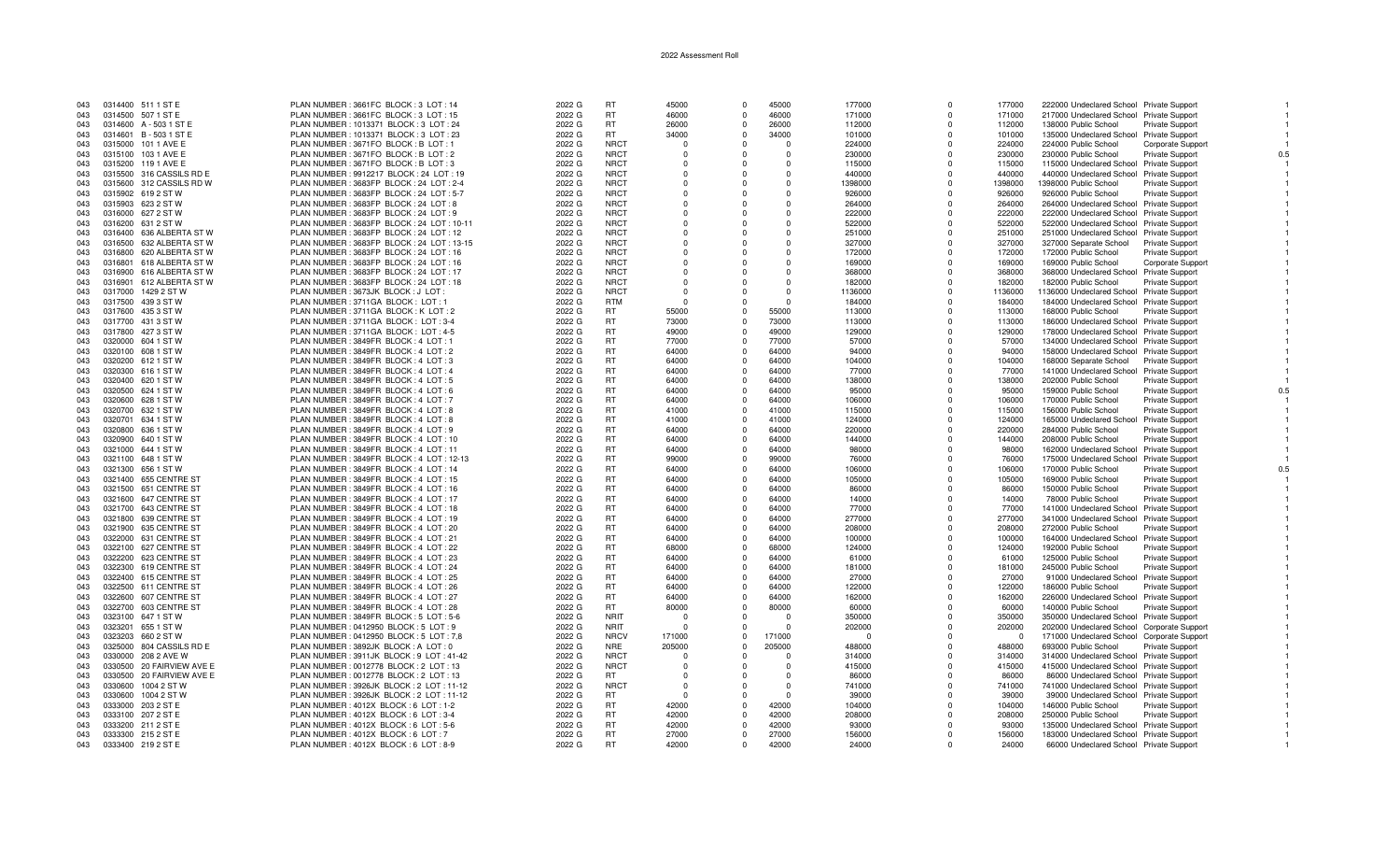| 043 | 0314400 511 1 ST E        | PLAN NUMBER: 3661FC BLOCK: 3 LOT: 14      | 2022 G | <b>RT</b>   | 45000    | $\Omega$    | 45000    | 177000   | $\Omega$   | 177000   | 222000 Undeclared School Private Support   |                               |
|-----|---------------------------|-------------------------------------------|--------|-------------|----------|-------------|----------|----------|------------|----------|--------------------------------------------|-------------------------------|
| 043 | 0314500 507 1 ST E        | PLAN NUMBER : 3661FC BLOCK : 3 LOT : 15   | 2022 G | <b>RT</b>   | 46000    | $\Omega$    | 46000    | 171000   | $\Omega$   | 171000   | 217000 Undeclared School Private Support   |                               |
| 043 | 0314600 A - 503 1 ST E    | PLAN NUMBER: 1013371 BLOCK: 3 LOT: 24     | 2022 G | <b>RT</b>   | 26000    | $\Omega$    | 26000    | 112000   | $\Omega$   | 112000   | 138000 Public School                       | Private Support               |
| 043 | 0314601 B-5031STE         | PLAN NUMBER : 1013371 BLOCK : 3 LOT : 23  | 2022 G | <b>RT</b>   | 34000    | $\Omega$    | 34000    | 101000   | $\Omega$   | 101000   | 135000 Undeclared School Private Support   |                               |
| 043 | 0315000 101 1 AVE E       | PLAN NUMBER: 3671FO BLOCK: B LOT: 1       | 2022 G | <b>NRCT</b> | $\Omega$ | $\Omega$    | $\Omega$ | 224000   | $\Omega$   | 224000   | 224000 Public School                       | Corporate Support             |
|     |                           |                                           |        | <b>NRCT</b> |          |             |          |          |            |          |                                            |                               |
| 043 | 0315100 103 1 AVE E       | PLAN NUMBER: 3671FO BLOCK: B LOT: 2       | 2022 G |             |          | $\Omega$    |          | 230000   | $\Omega$   | 230000   | 230000 Public School                       | <b>Private Support</b>        |
| 043 | 0315200 119 1 AVE E       | PLAN NUMBER : 3671FO BLOCK : B LOT : 3    | 2022 G | <b>NRCT</b> | $\cap$   | $\mathbf 0$ | $\Omega$ | 115000   | $\Omega$   | 115000   | 115000 Undeclared School Private Support   |                               |
| 043 | 0315500 316 CASSILS RD E  | PLAN NUMBER : 9912217 BLOCK : 24 LOT : 19 | 2022 G | <b>NRCT</b> |          | $\Omega$    | $\Omega$ | 440000   | $\Omega$   | 440000   | 440000 Undeclared School Private Support   |                               |
| 043 | 0315600 312 CASSILS RD W  | PLAN NUMBER: 3683FP BLOCK: 24 LOT: 2-4    | 2022 G | <b>NRCT</b> |          | $\Omega$    | $\Omega$ | 1398000  | $\Omega$   | 1398000  | 1398000 Public School                      | <b>Private Support</b>        |
| 043 | 0315902 619 2 ST W        | PLAN NUMBER: 3683FP BLOCK: 24 LOT: 5-7    | 2022 G | <b>NRCT</b> |          | $\Omega$    | $\Omega$ | 926000   | $\Omega$   | 926000   | 926000 Public School                       | Private Support               |
| 043 | 0315903 623 2 ST W        | PLAN NUMBER: 3683FP BLOCK: 24 LOT: 8      | 2022 G | <b>NRCT</b> |          | $\Omega$    | $\Omega$ | 264000   | $\Omega$   | 264000   | 264000 Undeclared School Private Support   |                               |
| 043 | 0316000 627 2 ST W        | PLAN NUMBER: 3683FP BLOCK: 24 LOT: 9      | 2022 G | <b>NRCT</b> |          | $\Omega$    | $\Omega$ | 222000   | $\Omega$   | 222000   | 222000 Undeclared School Private Support   |                               |
| 043 | 0316200 631 2 ST W        | PLAN NUMBER: 3683FP BLOCK: 24 LOT: 10-11  | 2022 G | <b>NRCT</b> |          | $\Omega$    | $\Omega$ | 522000   | $\Omega$   | 522000   | 522000 Undeclared School Private Support   |                               |
| 043 | 0316400 636 ALBERTA ST W  | PLAN NUMBER : 3683FP BLOCK : 24 LOT : 12  | 2022 G | <b>NRCT</b> |          | $\Omega$    | $\Omega$ | 251000   | $\Omega$   | 251000   | 251000 Undeclared School Private Support   |                               |
| 043 | 0316500 632 ALBERTA ST W  | PLAN NUMBER: 3683FP BLOCK: 24 LOT: 13-15  | 2022 G | <b>NRCT</b> | $\Omega$ | $\mathbf 0$ | $\Omega$ | 327000   | $\Omega$   | 327000   | 327000 Separate School                     | <b>Private Support</b>        |
| 043 | 0316800 620 ALBERTA ST W  | PLAN NUMBER: 3683FP BLOCK: 24 LOT: 16     | 2022 G | <b>NRCT</b> |          | $\Omega$    | $\Omega$ | 172000   | $\Omega$   | 172000   | 172000 Public School                       |                               |
|     |                           |                                           |        |             |          | $\Omega$    | $\Omega$ |          | $\Omega$   |          |                                            | <b>Private Support</b>        |
| 043 | 0316801 618 ALBERTA ST W  | PLAN NUMBER: 3683FP BLOCK: 24 LOT: 16     | 2022 G | <b>NRCT</b> |          |             |          | 169000   |            | 169000   | 169000 Public School                       | Corporate Support             |
| 043 | 0316900 616 ALBERTA ST W  | PLAN NUMBER: 3683FP BLOCK: 24 LOT: 17     | 2022 G | <b>NRCT</b> |          | $\Omega$    | $\Omega$ | 368000   | $\Omega$   | 368000   | 368000 Undeclared School Private Support   |                               |
| 043 | 0316901 612 ALBERTA ST W  | PLAN NUMBER: 3683FP BLOCK: 24 LOT: 18     | 2022 G | <b>NRCT</b> | $\cap$   | $\Omega$    | $\Omega$ | 182000   | $\Omega$   | 182000   | 182000 Public School                       | Private Support               |
| 043 | 0317000 1429 2 ST W       | PLAN NUMBER : 3673JK BLOCK : J LOT        | 2022 G | <b>NRCT</b> |          | $\Omega$    | $\Omega$ | 1136000  | $\Omega$   | 1136000  | 1136000 Undeclared School Private Support  |                               |
| 043 | 0317500 439 3 ST W        | PLAN NUMBER: 3711GA BLOCK: LOT: 1         | 2022 G | <b>RTM</b>  | - 0      | $\Omega$    | $\Omega$ | 184000   | $\Omega$   | 184000   | 184000 Undeclared School Private Support   |                               |
| 043 | 0317600 435 3 ST W        | PLAN NUMBER: 3711GA BLOCK: K LOT: 2       | 2022 G | <b>RT</b>   | 55000    | $\Omega$    | 55000    | 113000   | $\Omega$   | 113000   | 168000 Public School                       | <b>Private Support</b>        |
| 043 | 0317700 431 3 ST W        | PLAN NUMBER: 3711GA BLOCK: LOT: 3-4       | 2022 G | <b>RT</b>   | 73000    | $\mathbf 0$ | 73000    | 113000   | $^{\circ}$ | 113000   | 186000 Undeclared School Private Support   |                               |
| 043 | 0317800 427 3 ST W        | PLAN NUMBER: 3711GA BLOCK: LOT: 4-5       | 2022 G | <b>RT</b>   | 49000    | $\Omega$    | 49000    | 129000   | $\Omega$   | 129000   | 178000 Undeclared School Private Support   |                               |
| 043 | 0320000 604 1 ST W        | PLAN NUMBER: 3849FR BLOCK: 4 LOT: 1       | 2022 G | <b>RT</b>   | 77000    | $\Omega$    | 77000    | 57000    | $\Omega$   | 57000    | 134000 Undeclared School Private Support   |                               |
| 043 | 0320100 608 1 ST W        | PLAN NUMBER : 3849FR BLOCK : 4 LOT : 2    | 2022 G | <b>RT</b>   | 64000    | $\Omega$    | 64000    | 94000    | $\Omega$   | 94000    | 158000 Undeclared School Private Support   |                               |
|     | 0320200 612 1 ST W        | PLAN NUMBER: 3849FR BLOCK: 4 LOT: 3       | 2022 G | RT          | 64000    | $\mathbf 0$ | 64000    |          | $\Omega$   |          |                                            |                               |
| 043 |                           |                                           |        |             |          |             |          | 104000   |            | 104000   | 168000 Separate School                     | <b>Private Support</b>        |
| 043 | 0320300 616 1 ST W        | PLAN NUMBER: 3849FR BLOCK: 4 LOT: 4       | 2022 G | <b>RT</b>   | 64000    | $\Omega$    | 64000    | 77000    | $\Omega$   | 77000    | 141000 Undeclared School Private Support   |                               |
| 043 | 0320400 620 1 ST W        | PLAN NUMBER: 3849FR BLOCK: 4 LOT: 5       | 2022 G | <b>RT</b>   | 64000    | $\Omega$    | 64000    | 138000   | $\Omega$   | 138000   | 202000 Public School                       | <b>Private Support</b>        |
| 043 | 0320500 624 1 ST W        | PLAN NUMBER: 3849FR BLOCK: 4 LOT: 6       | 2022 G | <b>RT</b>   | 64000    | $\Omega$    | 64000    | 95000    | $\Omega$   | 95000    | 159000 Public School                       | <b>Private Support</b><br>0.5 |
| 043 | 0320600 628 1 ST W        | PLAN NUMBER: 3849FR BLOCK: 4 LOT: 7       | 2022 G | <b>RT</b>   | 64000    | $\Omega$    | 64000    | 106000   | $\Omega$   | 106000   | 170000 Public School                       | <b>Private Support</b>        |
| 043 | 0320700 632 1 ST W        | PLAN NUMBER: 3849FR BLOCK: 4 LOT: 8       | 2022 G | <b>RT</b>   | 41000    | $\Omega$    | 41000    | 115000   | $\Omega$   | 115000   | 156000 Public School                       | <b>Private Support</b>        |
| 043 | 0320701 634 1 ST W        | PLAN NUMBER: 3849FR BLOCK: 4 LOT: 8       | 2022 G | <b>RT</b>   | 41000    | $\Omega$    | 41000    | 124000   | $\Omega$   | 124000   | 165000 Undeclared School Private Support   |                               |
| 043 | 0320800 636 1 ST W        | PLAN NUMBER: 3849FR BLOCK: 4 LOT: 9       | 2022 G | <b>RT</b>   | 64000    | $\Omega$    | 64000    | 220000   | $\Omega$   | 220000   | 284000 Public School                       | <b>Private Support</b>        |
| 043 | 0320900 640 1 ST W        | PLAN NUMBER: 3849FR BLOCK: 4 LOT: 10      | 2022 G | <b>RT</b>   | 64000    | $\mathbf 0$ | 64000    | 144000   | 0          | 144000   | 208000 Public School                       | <b>Private Support</b>        |
| 043 | 0321000 644 1 ST W        | PLAN NUMBER: 3849FR BLOCK: 4 LOT: 11      | 2022 G | <b>RT</b>   | 64000    | $\Omega$    | 64000    | 98000    | $\Omega$   | 98000    | 162000 Undeclared School Private Support   |                               |
|     |                           |                                           | 2022 G | <b>RT</b>   | 99000    | $\Omega$    | 99000    |          | $\Omega$   | 76000    |                                            |                               |
| 043 | 0321100 648 1 ST W        | PLAN NUMBER: 3849FR BLOCK: 4 LOT: 12-13   |        |             |          |             |          | 76000    |            |          | 175000 Undeclared School Private Support   |                               |
| 043 | 0321300 656 1 ST W        | PLAN NUMBER: 3849FR BLOCK: 4 LOT: 14      | 2022 G | <b>RT</b>   | 64000    | $\Omega$    | 64000    | 106000   | $\Omega$   | 106000   | 170000 Public School                       | <b>Private Support</b><br>0.5 |
| 043 | 0321400 655 CENTRE ST     | PLAN NUMBER: 3849FR BLOCK: 4 LOT: 15      | 2022 G | <b>RT</b>   | 64000    | $\Omega$    | 64000    | 105000   | $\Omega$   | 105000   | 169000 Public School                       | <b>Private Support</b>        |
| 043 | 0321500 651 CENTRE ST     | PLAN NUMBER: 3849FR BLOCK: 4 LOT: 16      | 2022 G | <b>RT</b>   | 64000    | $\Omega$    | 64000    | 86000    | $\Omega$   | 86000    | 150000 Public School                       | Private Support               |
| 043 | 0321600 647 CENTRE ST     | PLAN NUMBER: 3849FR BLOCK: 4 LOT: 17      | 2022 G | <b>RT</b>   | 64000    | $\Omega$    | 64000    | 14000    | $\Omega$   | 14000    | 78000 Public School                        | Private Support               |
| 043 | 0321700 643 CENTRE ST     | PLAN NUMBER: 3849FR BLOCK: 4 LOT: 18      | 2022 G | <b>RT</b>   | 64000    | $\Omega$    | 64000    | 77000    | $\Omega$   | 77000    | 141000 Undeclared School Private Support   |                               |
| 043 | 0321800 639 CENTRE ST     | PLAN NUMBER: 3849FR BLOCK: 4 LOT: 19      | 2022 G | <b>RT</b>   | 64000    | $\Omega$    | 64000    | 277000   | $\Omega$   | 277000   | 341000 Undeclared School Private Support   |                               |
| 043 | 0321900 635 CENTRE ST     | PLAN NUMBER: 3849FR BLOCK: 4 LOT: 20      | 2022 G | <b>RT</b>   | 64000    | $\Omega$    | 64000    | 208000   | $\Omega$   | 208000   | 272000 Public School                       | Private Support               |
| 043 | 0322000 631 CENTRE ST     | PLAN NUMBER: 3849FR BLOCK: 4 LOT: 21      | 2022 G | <b>RT</b>   | 64000    | $\Omega$    | 64000    | 100000   | $\Omega$   | 100000   | 164000 Undeclared School Private Support   |                               |
| 043 | 0322100 627 CENTRE ST     | PLAN NUMBER: 3849FR BLOCK: 4 LOT: 22      | 2022 G | <b>RT</b>   | 68000    | $\mathbf 0$ | 68000    | 124000   | $\Omega$   | 124000   | 192000 Public School                       | Private Support               |
| 043 | 0322200 623 CENTRE ST     | PLAN NUMBER: 3849FR BLOCK: 4 LOT: 23      | 2022 G | <b>RT</b>   | 64000    | $\mathbf 0$ | 64000    | 61000    | $\Omega$   | 61000    | 125000 Public School                       | <b>Private Support</b>        |
| 043 | 0322300 619 CENTRE ST     | PLAN NUMBER: 3849FR BLOCK: 4 LOT: 24      | 2022 G | <b>RT</b>   | 64000    | $\Omega$    | 64000    | 181000   | $\Omega$   | 181000   | 245000 Public School                       |                               |
|     |                           |                                           |        |             |          |             |          |          |            |          |                                            | <b>Private Support</b>        |
| 043 | 0322400 615 CENTRE ST     | PLAN NUMBER: 3849FR BLOCK: 4 LOT: 25      | 2022 G | <b>RT</b>   | 64000    | $\Omega$    | 64000    | 27000    | $\Omega$   | 27000    | 91000 Undeclared School Private Support    |                               |
| 043 | 0322500 611 CENTRE ST     | PLAN NUMBER: 3849FR BLOCK: 4 LOT: 26      | 2022 G | RT          | 64000    | $\mathbf 0$ | 64000    | 122000   | $\Omega$   | 122000   | 186000 Public School                       | <b>Private Support</b>        |
| 043 | 0322600 607 CENTRE ST     | PLAN NUMBER: 3849FR BLOCK: 4 LOT: 27      | 2022 G | <b>RT</b>   | 64000    | $\Omega$    | 64000    | 162000   | $\Omega$   | 162000   | 226000 Undeclared School Private Support   |                               |
| 043 | 0322700 603 CENTRE ST     | PLAN NUMBER: 3849FR BLOCK: 4 LOT: 28      | 2022 G | <b>RT</b>   | 80000    | $\Omega$    | 80000    | 60000    | $\Omega$   | 60000    | 140000 Public School                       | Private Support               |
| 043 | 0323100 647 1 ST W        | PLAN NUMBER: 3849FR BLOCK: 5 LOT: 5-6     | 2022 G | <b>NRIT</b> |          | $\Omega$    |          | 350000   | $\Omega$   | 350000   | 350000 Undeclared School Private Support   |                               |
| 043 | 0323201 655 1 ST W        | PLAN NUMBER : 0412950 BLOCK : 5 LOT : 9   | 2022 G | <b>NRIT</b> | - 0      | $\Omega$    | $\cap$   | 202000   | $\Omega$   | 202000   | 202000 Undeclared School Corporate Support |                               |
| 043 | 0323203 660 2 ST W        | PLAN NUMBER: 0412950 BLOCK: 5 LOT: 7.8    | 2022 G | <b>NRCV</b> | 171000   | $\Omega$    | 171000   | $\Omega$ | $\Omega$   | $\Omega$ | 171000 Undeclared School Corporate Support |                               |
| 043 | 0325000 804 CASSILS RD E  | PLAN NUMBER: 3892JK BLOCK: A LOT: 0       | 2022 G | <b>NRE</b>  | 205000   | $\Omega$    | 205000   | 488000   | $\Omega$   | 488000   | 693000 Public School                       | <b>Private Support</b>        |
| 043 | 0330000 208 2 AVE W       | PLAN NUMBER: 3911JK BLOCK: 9 LOT: 41-42   | 2022 G | <b>NRCT</b> |          | $\Omega$    | $\Omega$ | 314000   | $\Omega$   | 314000   | 314000 Undeclared School Private Support   |                               |
| 043 | 0330500 20 FAIRVIEW AVE E | PLAN NUMBER : 0012778 BLOCK : 2 LOT : 13  | 2022 G | <b>NRCT</b> |          | $\Omega$    | $\Omega$ | 415000   | $\Omega$   | 415000   | 415000 Undeclared School Private Support   |                               |
| 043 | 0330500 20 FAIRVIEW AVE E | PLAN NUMBER : 0012778 BLOCK : 2 LOT : 13  | 2022 G | RT          |          | $\Omega$    | $\Omega$ |          | $\Omega$   | 86000    |                                            |                               |
|     |                           |                                           |        |             |          |             |          | 86000    |            |          | 86000 Undeclared School Private Support    |                               |
| 043 | 0330600 1004 2 ST W       | PLAN NUMBER: 3926JK BLOCK: 2 LOT: 11-12   | 2022 G | <b>NRCT</b> | - 0      | U           | $\Omega$ | 741000   | $\Omega$   | 741000   | 741000 Undeclared School Private Support   |                               |
| 043 | 0330600 1004 2 ST W       | PLAN NUMBER: 3926JK BLOCK: 2 LOT: 11-12   | 2022 G | RT.         |          | $\Omega$    |          | 39000    | $\Omega$   | 39000    | 39000 Undeclared School Private Support    |                               |
| 043 | 0333000 203 2 ST E        | PLAN NUMBER : 4012X BLOCK : 6 LOT : 1-2   | 2022 G | <b>RT</b>   | 42000    | $^{\circ}$  | 42000    | 104000   | $\Omega$   | 104000   | 146000 Public School                       | <b>Private Support</b>        |
| 043 | 0333100 207 2 ST E        | PLAN NUMBER: 4012X BLOCK: 6 LOT: 3-4      | 2022 G | <b>RT</b>   | 42000    | $\Omega$    | 42000    | 208000   | $\Omega$   | 208000   | 250000 Public School                       | Private Support               |
| 043 | 0333200 211 2 ST E        | PLAN NUMBER: 4012X BLOCK: 6 LOT: 5-6      | 2022 G | <b>RT</b>   | 42000    | $\Omega$    | 42000    | 93000    | $\Omega$   | 93000    | 135000 Undeclared School Private Support   |                               |
| 043 | 0333300 215 2 ST E        | PLAN NUMBER: 4012X BLOCK: 6 LOT: 7        | 2022 G | <b>RT</b>   | 27000    | $\Omega$    | 27000    | 156000   | $\Omega$   | 156000   | 183000 Undeclared School Private Support   |                               |
| 043 | 0333400 219 2 ST E        | PLAN NUMBER: 4012X BLOCK: 6 LOT: 8-9      | 2022 G | RT.         | 42000    | $\Omega$    | 42000    | 24000    | $\Omega$   | 24000    | 66000 Undeclared School Private Support    |                               |
|     |                           |                                           |        |             |          |             |          |          |            |          |                                            |                               |

 $\overline{1}$ 

 $\overline{1}$ 

 $0.\overline{5}$ 

 $\overline{1}$ 

 $\overline{1}$ 

 $0.5$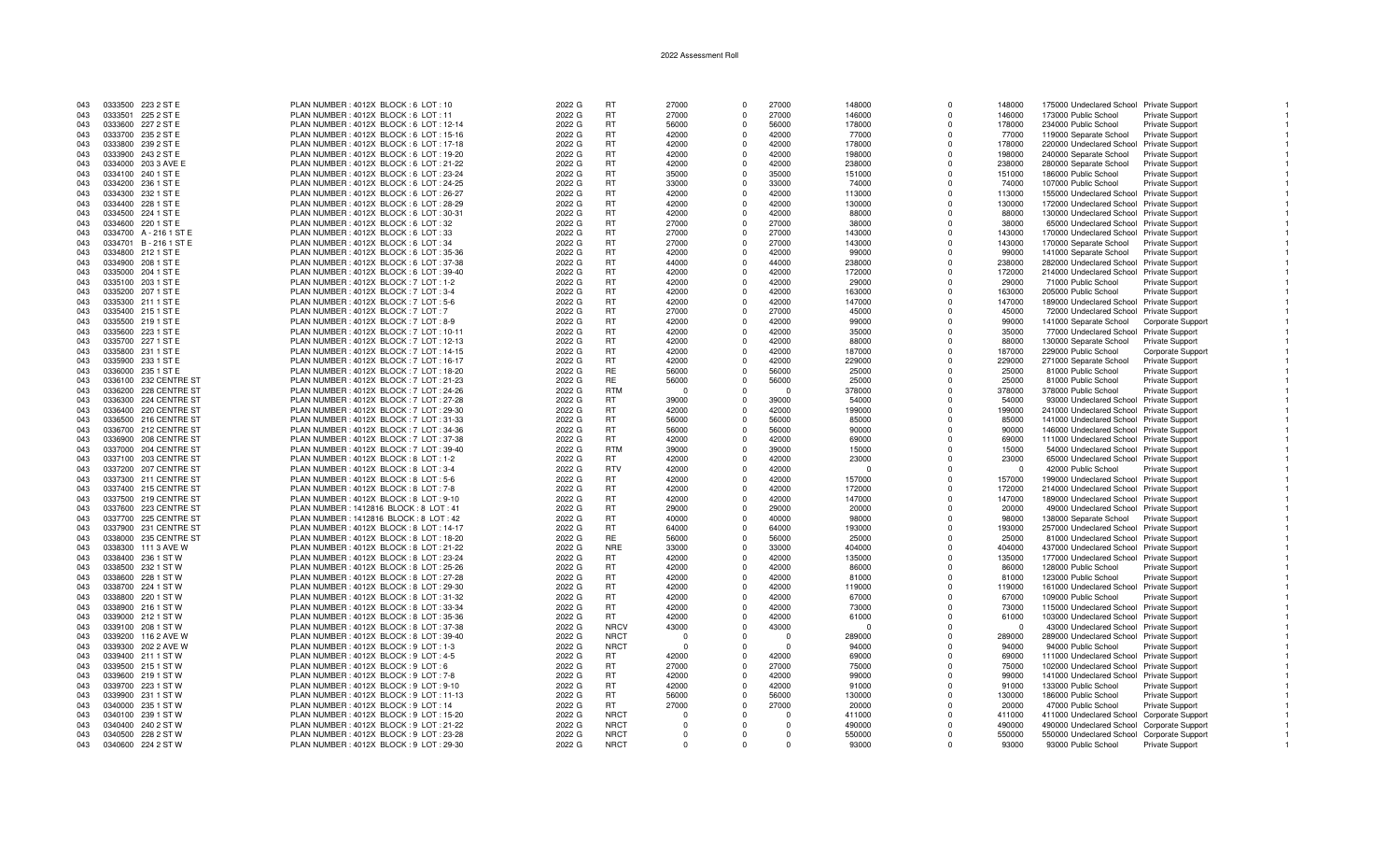| 043 | 0333500 223 2 ST E    | PLAN NUMBER: 4012X BLOCK: 6 LOT: 10       | 2022 G | <b>RT</b>   | 27000          | $\Omega$                | 27000          | 148000   | $\Omega$             | 148000   | 175000 Undeclared School Private Support   |                          |  |
|-----|-----------------------|-------------------------------------------|--------|-------------|----------------|-------------------------|----------------|----------|----------------------|----------|--------------------------------------------|--------------------------|--|
| 043 | 0333501 225 2 ST E    | PLAN NUMBER: 4012X BLOCK: 6 LOT: 11       | 2022 G | <b>RT</b>   | 27000          | $\mathbf 0$             | 27000          | 146000   | $\Omega$             | 146000   | 173000 Public School                       | Private Support          |  |
| 043 | 0333600 227 2 ST E    | PLAN NUMBER: 4012X BLOCK: 6 LOT: 12-14    | 2022 G | <b>RT</b>   | 56000          | $\Omega$                | 56000          | 178000   | $\Omega$             | 178000   | 234000 Public School                       | <b>Private Support</b>   |  |
| 043 | 0333700 235 2 ST E    | PLAN NUMBER : 4012X BLOCK : 6 LOT : 15-16 | 2022 G | <b>RT</b>   | 42000          | $\Omega$                | 42000          | 77000    | $\Omega$             | 77000    | 119000 Separate School                     | <b>Private Support</b>   |  |
| 043 | 0333800 239 2 ST E    | PLAN NUMBER: 4012X BLOCK: 6 LOT: 17-18    | 2022 G | <b>RT</b>   | 42000          | $\Omega$                | 42000          | 178000   | $\Omega$             | 178000   | 220000 Undeclared School Private Support   |                          |  |
| 043 | 0333900 243 2 ST E    | PLAN NUMBER : 4012X BLOCK : 6 LOT : 19-20 | 2022 G | RT          | 42000          | $^{\circ}$              | 42000          | 198000   | $\Omega$             | 198000   | 240000 Separate School                     | <b>Private Support</b>   |  |
| 043 | 0334000 203 3 AVE E   | PLAN NUMBER : 4012X BLOCK : 6 LOT : 21-22 | 2022 G | <b>RT</b>   | 42000          | $\Omega$                | 42000          | 238000   | $\Omega$             | 238000   | 280000 Separate School                     | <b>Private Support</b>   |  |
| 043 | 0334100 240 1 ST E    | PLAN NUMBER : 4012X BLOCK : 6 LOT : 23-24 | 2022 G | <b>RT</b>   | 35000          | $\Omega$                | 35000          | 151000   | $\Omega$             | 151000   | 186000 Public School                       | Private Support          |  |
| 043 | 0334200 236 1 ST E    | PLAN NUMBER : 4012X BLOCK : 6 LOT : 24-25 | 2022 G | <b>RT</b>   | 33000          | $\mathbf 0$             | 33000          | 74000    | $\Omega$             | 74000    | 107000 Public School                       | <b>Private Support</b>   |  |
| 043 | 0334300 232 1 ST E    | PLAN NUMBER : 4012X BLOCK : 6 LOT : 26-27 | 2022 G | <b>RT</b>   | 42000          | $\mathbf 0$             | 42000          | 113000   | $\Omega$             | 113000   | 155000 Undeclared School Private Support   |                          |  |
| 043 | 0334400 228 1 ST E    | PLAN NUMBER: 4012X BLOCK: 6 LOT: 28-29    | 2022 G | <b>RT</b>   | 42000          | $\Omega$                | 42000          | 130000   | $\Omega$             | 130000   | 172000 Undeclared School Private Support   |                          |  |
| 043 | 0334500 224 1 ST E    | PLAN NUMBER: 4012X BLOCK: 6 LOT: 30-31    | 2022 G | <b>RT</b>   | 42000          | $\Omega$                | 42000          | 88000    | $\Omega$             | 88000    | 130000 Undeclared School Private Support   |                          |  |
| 043 | 0334600 220 1 ST E    | PLAN NUMBER : 4012X BLOCK : 6 LOT : 32    | 2022 G | <b>RT</b>   | 27000          | $\Omega$                | 27000          | 38000    | $\Omega$             | 38000    |                                            |                          |  |
|     |                       |                                           |        |             |                |                         |                |          |                      |          | 65000 Undeclared School Private Support    |                          |  |
| 043 | 0334700 A-2161 STE    | PLAN NUMBER : 4012X BLOCK : 6 LOT : 33    | 2022 G | <b>RT</b>   | 27000          | $^{\circ}$              | 27000          | 143000   | $\Omega$<br>$\Omega$ | 143000   | 170000 Undeclared School Private Support   |                          |  |
| 043 | 0334701 B-2161STE     | PLAN NUMBER: 4012X BLOCK: 6 LOT: 34       | 2022 G | <b>RT</b>   | 27000          | $\Omega$                | 27000          | 143000   |                      | 143000   | 170000 Separate School                     | <b>Private Support</b>   |  |
| 043 | 0334800 212 1 ST E    | PLAN NUMBER : 4012X BLOCK : 6 LOT : 35-36 | 2022 G | <b>RT</b>   | 42000          | $\Omega$                | 42000          | 99000    | $\Omega$             | 99000    | 141000 Separate School                     | <b>Private Support</b>   |  |
| 043 | 0334900 208 1 ST E    | PLAN NUMBER : 4012X BLOCK : 6 LOT : 37-38 | 2022 G | <b>RT</b>   | 44000          | $\Omega$                | 44000          | 238000   | $\Omega$             | 238000   | 282000 Undeclared School Private Support   |                          |  |
| 043 | 0335000 204 1 ST E    | PLAN NUMBER : 4012X BLOCK : 6 LOT : 39-40 | 2022 G | <b>RT</b>   | 42000          | $\Omega$                | 42000          | 172000   | $\Omega$             | 172000   | 214000 Undeclared School Private Support   |                          |  |
| 043 | 0335100 203 1 ST E    | PLAN NUMBER: 4012X BLOCK: 7 LOT: 1-2      | 2022 G | <b>RT</b>   | 42000          | $\Omega$                | 42000          | 29000    | $\Omega$             | 29000    | 71000 Public School                        | Private Support          |  |
| 043 | 0335200 207 1 ST E    | PLAN NUMBER: 4012X BLOCK: 7 LOT: 3-4      | 2022 G | <b>RT</b>   | 42000          | $\Omega$                | 42000          | 163000   | $\Omega$             | 163000   | 205000 Public School                       | <b>Private Support</b>   |  |
| 043 | 0335300 211 1 ST E    | PLAN NUMBER: 4012X BLOCK: 7 LOT: 5-6      | 2022 G | <b>RT</b>   | 42000          | $\Omega$                | 42000          | 147000   | $\Omega$             | 147000   | 189000 Undeclared School Private Support   |                          |  |
| 043 | 0335400 215 1 ST E    | PLAN NUMBER: 4012X BLOCK: 7 LOT: 7        | 2022 G | <b>RT</b>   | 27000          | $\mathbf 0$             | 27000          | 45000    | $\Omega$             | 45000    | 72000 Undeclared School Private Support    |                          |  |
| 043 | 0335500 219 1 ST E    | PLAN NUMBER: 4012X BLOCK: 7 LOT: 8-9      | 2022 G | <b>RT</b>   | 42000          | $\Omega$                | 42000          | 99000    | $\Omega$             | 99000    | 141000 Separate School                     | <b>Corporate Support</b> |  |
| 043 | 0335600 223 1 ST E    | PLAN NUMBER: 4012X BLOCK: 7 LOT: 10-1     | 2022 G | <b>RT</b>   | 42000          | $\mathbf 0$             | 42000          | 35000    | $\Omega$             | 35000    | 77000 Undeclared School Private Support    |                          |  |
| 043 | 0335700 227 1 ST E    | PLAN NUMBER : 4012X BLOCK : 7 LOT : 12-13 | 2022 G | RT          | 42000          | $\mathbf 0$             | 42000          | 88000    | $\Omega$             | 88000    | 130000 Separate School                     | <b>Private Support</b>   |  |
| 043 | 0335800 231 1 ST E    | PLAN NUMBER : 4012X BLOCK : 7 LOT : 14-15 | 2022 G | <b>RT</b>   | 42000          | $\Omega$                | 42000          | 187000   | $\Omega$             | 187000   | 229000 Public School                       | Corporate Support        |  |
| 043 | 0335900 233 1 ST E    | PLAN NUMBER: 4012X BLOCK: 7 LOT: 16-17    | 2022 G | <b>RT</b>   | 42000          | $\Omega$                | 42000          | 229000   | $\Omega$             | 229000   | 271000 Separate School                     | Private Support          |  |
| 043 | 0336000 235 1 ST E    | PLAN NUMBER: 4012X BLOCK: 7 LOT: 18-20    | 2022 G | RE          | 56000          | $\Omega$                | 56000          | 25000    | $\Omega$             | 25000    | 81000 Public School                        | <b>Private Support</b>   |  |
| 043 | 0336100 232 CENTRE ST | PLAN NUMBER: 4012X BLOCK: 7 LOT: 21-23    | 2022 G | RE.         | 56000          | $\Omega$                | 56000          | 25000    | $\Omega$             | 25000    | 81000 Public School                        | <b>Private Support</b>   |  |
| 043 | 0336200 228 CENTRE ST | PLAN NUMBER : 4012X BLOCK : 7 LOT : 24-26 | 2022 G | <b>RTM</b>  | - 0            | $\mathbf 0$             | - 0            | 378000   | $\Omega$             | 378000   | 378000 Public School                       | Private Support          |  |
| 043 | 0336300 224 CENTRE ST | PLAN NUMBER : 4012X BLOCK : 7 LOT : 27-28 | 2022 G | RT.         | 39000          | $\Omega$                | 39000          | 54000    | $\Omega$             | 54000    | 93000 Undeclared School Private Support    |                          |  |
| 043 | 0336400 220 CENTRE ST | PLAN NUMBER : 4012X BLOCK : 7 LOT : 29-30 | 2022 G | <b>RT</b>   | 42000          | $\mathbf 0$             | 42000          | 199000   | $\Omega$             | 199000   | 241000 Undeclared School Private Support   |                          |  |
| 043 | 0336500 216 CENTRE ST | PLAN NUMBER: 4012X BLOCK: 7 LOT: 31-33    | 2022 G | <b>RT</b>   | 56000          | $\Omega$                | 56000          | 85000    | $\Omega$             | 85000    | 141000 Undeclared School Private Support   |                          |  |
| 043 | 0336700 212 CENTRE ST | PLAN NUMBER : 4012X BLOCK : 7 LOT : 34-36 | 2022 G | <b>RT</b>   | 56000          | $\Omega$                | 56000          | 90000    | $\Omega$             | 90000    | 146000 Undeclared School Private Support   |                          |  |
| 043 | 0336900 208 CENTRE ST | PLAN NUMBER: 4012X BLOCK: 7 LOT: 37-38    | 2022 G | RT.         | 42000          | $\Omega$                | 42000          | 69000    | $\Omega$             | 69000    | 111000 Undeclared School Private Support   |                          |  |
| 043 | 0337000 204 CENTRE ST | PLAN NUMBER: 4012X BLOCK: 7 LOT: 39-40    | 2022 G | <b>RTM</b>  | 39000          | $\Omega$                | 39000          | 15000    | $\Omega$             | 15000    | 54000 Undeclared School Private Support    |                          |  |
| 043 | 0337100 203 CENTRE ST | PLAN NUMBER : 4012X BLOCK : 8 LOT : 1-2   | 2022 G | <b>RT</b>   | 42000          | $\Omega$                | 42000          | 23000    | $\Omega$             | 23000    | 65000 Undeclared School Private Support    |                          |  |
| 043 | 0337200 207 CENTRE ST | PLAN NUMBER: 4012X BLOCK: 8 LOT: 3-4      | 2022 G | <b>RTV</b>  | 42000          | $\mathbf 0$             | 42000          | $\Omega$ | $\Omega$             | $\Omega$ | 42000 Public School                        | <b>Private Support</b>   |  |
| 043 | 0337300 211 CENTRE ST | PLAN NUMBER: 4012X BLOCK: 8 LOT: 5-6      | 2022 G | RT.         | 42000          | $\Omega$                | 42000          | 157000   | $\Omega$             | 157000   | 199000 Undeclared School Private Support   |                          |  |
| 043 | 0337400 215 CENTRE ST | PLAN NUMBER: 4012X BLOCK: 8 LOT: 7-8      | 2022 G | <b>RT</b>   | 42000          | $\mathbf 0$             | 42000          | 172000   | $\Omega$             | 172000   | 214000 Undeclared School Private Support   |                          |  |
| 043 | 0337500 219 CENTRE ST | PLAN NUMBER: 4012X BLOCK: 8 LOT: 9-10     | 2022 G | <b>RT</b>   | 42000          | $\Omega$                | 42000          | 147000   | $\Omega$             | 147000   | 189000 Undeclared School Private Support   |                          |  |
| 043 | 0337600 223 CENTRE ST | PLAN NUMBER: 1412816 BLOCK: 8 LOT: 41     | 2022 G | <b>RT</b>   | 29000          | $\mathbf 0$             | 29000          | 20000    | $\Omega$             | 20000    | 49000 Undeclared School Private Support    |                          |  |
| 043 | 0337700 225 CENTRE ST | PLAN NUMBER : 1412816 BLOCK : 8 LOT : 42  | 2022 G | <b>RT</b>   | 40000          | $\Omega$                | 40000          | 98000    | $\Omega$             | 98000    | 138000 Separate School Private Support     |                          |  |
| 043 | 0337900 231 CENTRE ST | PLAN NUMBER: 4012X BLOCK: 8 LOT: 14-17    | 2022 G | <b>RT</b>   | 64000          | $\Omega$                | 64000          | 193000   | $\Omega$             | 193000   | 257000 Undeclared School Private Support   |                          |  |
| 043 | 0338000 235 CENTRE ST | PLAN NUMBER: 4012X BLOCK: 8 LOT: 18-20    | 2022 G | <b>RE</b>   | 56000          | $\Omega$                | 56000          | 25000    | $\Omega$             | 25000    | 81000 Undeclared School Private Support    |                          |  |
| 043 | 0338300 111 3 AVE W   | PLAN NUMBER : 4012X BLOCK : 8 LOT : 21-22 | 2022 G | <b>NRE</b>  | 33000          | $\mathbf 0$             | 33000          | 404000   | $\Omega$             | 404000   |                                            |                          |  |
| 043 |                       | PLAN NUMBER: 4012X BLOCK: 8 LOT: 23-24    |        | RT.         | 42000          | $\Omega$                | 42000          |          | $\Omega$             | 135000   | 437000 Undeclared School Private Support   |                          |  |
|     | 0338400 236 1 ST W    |                                           | 2022 G |             |                |                         |                | 135000   |                      |          | 177000 Undeclared School Private Support   |                          |  |
| 043 | 0338500 232 1 ST W    | PLAN NUMBER: 4012X BLOCK: 8 LOT: 25-26    | 2022 G | <b>RT</b>   | 42000          | $\mathbf 0$<br>$\Omega$ | 42000          | 86000    | $\Omega$             | 86000    | 128000 Public School                       | Private Support          |  |
| 043 | 0338600 228 1 ST W    | PLAN NUMBER: 4012X BLOCK: 8 LOT: 27-28    | 2022 G | <b>RT</b>   | 42000<br>42000 |                         | 42000<br>42000 | 81000    | $\Omega$             | 81000    | 123000 Public School                       | <b>Private Support</b>   |  |
| 043 | 0338700 224 1 ST W    | PLAN NUMBER: 4012X BLOCK: 8 LOT: 29-30    | 2022 G | <b>RT</b>   |                | $\mathbf 0$             |                | 119000   | $\Omega$             | 119000   | 161000 Undeclared School Private Support   |                          |  |
| 043 | 0338800 220 1 ST W    | PLAN NUMBER: 4012X BLOCK: 8 LOT: 31-32    | 2022 G | <b>RT</b>   | 42000          | $\Omega$                | 42000          | 67000    | $\Omega$             | 67000    | 109000 Public School                       | <b>Private Support</b>   |  |
| 043 | 0338900 216 1 ST W    | PLAN NUMBER : 4012X BLOCK : 8 LOT : 33-34 | 2022 G | <b>RT</b>   | 42000          | $\Omega$                | 42000          | 73000    | $\Omega$             | 73000    | 115000 Undeclared School Private Support   |                          |  |
| 043 | 0339000 212 1 ST W    | PLAN NUMBER: 4012X BLOCK: 8 LOT: 35-36    | 2022 G | <b>RT</b>   | 42000          | $\Omega$                | 42000          | 61000    | $\Omega$             | 61000    | 103000 Undeclared School Private Support   |                          |  |
| 043 | 0339100 208 1 ST W    | PLAN NUMBER : 4012X BLOCK : 8 LOT : 37-38 | 2022 G | <b>NRCV</b> | 43000          | $\mathbf 0$             | 43000          | $\Omega$ | $\Omega$             | $\Omega$ | 43000 Undeclared School Private Support    |                          |  |
| 043 | 0339200 116 2 AVE W   | PLAN NUMBER: 4012X BLOCK: 8 LOT: 39-40    | 2022 G | <b>NRCT</b> | $\Omega$       | $\Omega$                | $\Omega$       | 289000   | $\Omega$             | 289000   | 289000 Undeclared School Private Support   |                          |  |
| 043 | 0339300 202 2 AVE W   | PLAN NUMBER: 4012X BLOCK: 9 LOT: 1-3      | 2022 G | <b>NRCT</b> | $\Omega$       | $\Omega$                | $\Omega$       | 94000    | $\Omega$             | 94000    | 94000 Public School                        | Private Support          |  |
| 043 | 0339400 211 1 ST W    | PLAN NUMBER: 4012X BLOCK: 9 LOT: 4-5      | 2022 G | RT.         | 42000          | $\Omega$                | 42000          | 69000    | $\Omega$             | 69000    | 111000 Undeclared School Private Support   |                          |  |
| 043 | 0339500 215 1 ST W    | PLAN NUMBER : 4012X BLOCK : 9 LOT : 6     | 2022 G | <b>RT</b>   | 27000          | $\Omega$                | 27000          | 75000    | $\Omega$             | 75000    | 102000 Undeclared School Private Support   |                          |  |
| 043 | 0339600 219 1 ST W    | PLAN NUMBER : 4012X BLOCK : 9 LOT : 7-8   | 2022 G | -RT         | 42000          | $\Omega$                | 42000          | 99000    | $\Omega$             | 99000    | 141000 Undeclared School Private Support   |                          |  |
| 043 | 0339700 223 1 ST W    | PLAN NUMBER : 4012X BLOCK : 9 LOT : 9-10  | 2022 G | -RT         | 42000          | $\Omega$                | 42000          | 91000    | $\Omega$             | 91000    | 133000 Public School                       | <b>Private Support</b>   |  |
| 043 | 0339900 231 1 ST W    | PLAN NUMBER: 4012X BLOCK: 9 LOT: 11-13    | 2022 G | <b>RT</b>   | 56000          | $\Omega$                | 56000          | 130000   | $\Omega$             | 130000   | 186000 Public School                       | <b>Private Support</b>   |  |
| 043 | 0340000 235 1 ST W    | PLAN NUMBER: 4012X BLOCK: 9 LOT: 14       | 2022 G | RT          | 27000          | $^{\circ}$              | 27000          | 20000    | $\Omega$             | 20000    | 47000 Public School                        | <b>Private Support</b>   |  |
| 043 | 0340100 239 1 ST W    | PLAN NUMBER: 4012X BLOCK: 9 LOT: 15-20    | 2022 G | <b>NRCT</b> | $\Omega$       | $\Omega$                | - 0            | 411000   | $\Omega$             | 411000   | 411000 Undeclared School Corporate Support |                          |  |
| 043 | 0340400 240 2 ST W    | PLAN NUMBER: 4012X BLOCK: 9 LOT: 21-22    | 2022 G | <b>NRCT</b> | $\Omega$       | $\Omega$                | $\cap$         | 490000   | $\Omega$             | 490000   | 490000 Undeclared School Corporate Support |                          |  |
| 043 | 0340500 228 2 ST W    | PLAN NUMBER: 4012X BLOCK: 9 LOT: 23-28    | 2022 G | <b>NRCT</b> | $\Omega$       | $\Omega$                | $\Omega$       | 550000   | $\Omega$             | 550000   | 550000 Undeclared School Corporate Support |                          |  |
| 043 | 0340600 224 2 ST W    | PLAN NUMBER: 4012X BLOCK: 9 LOT: 29-30    | 2022 G | <b>NRCT</b> |                | $\Omega$                |                | 93000    | $\Omega$             | 93000    | 93000 Public School                        | <b>Private Support</b>   |  |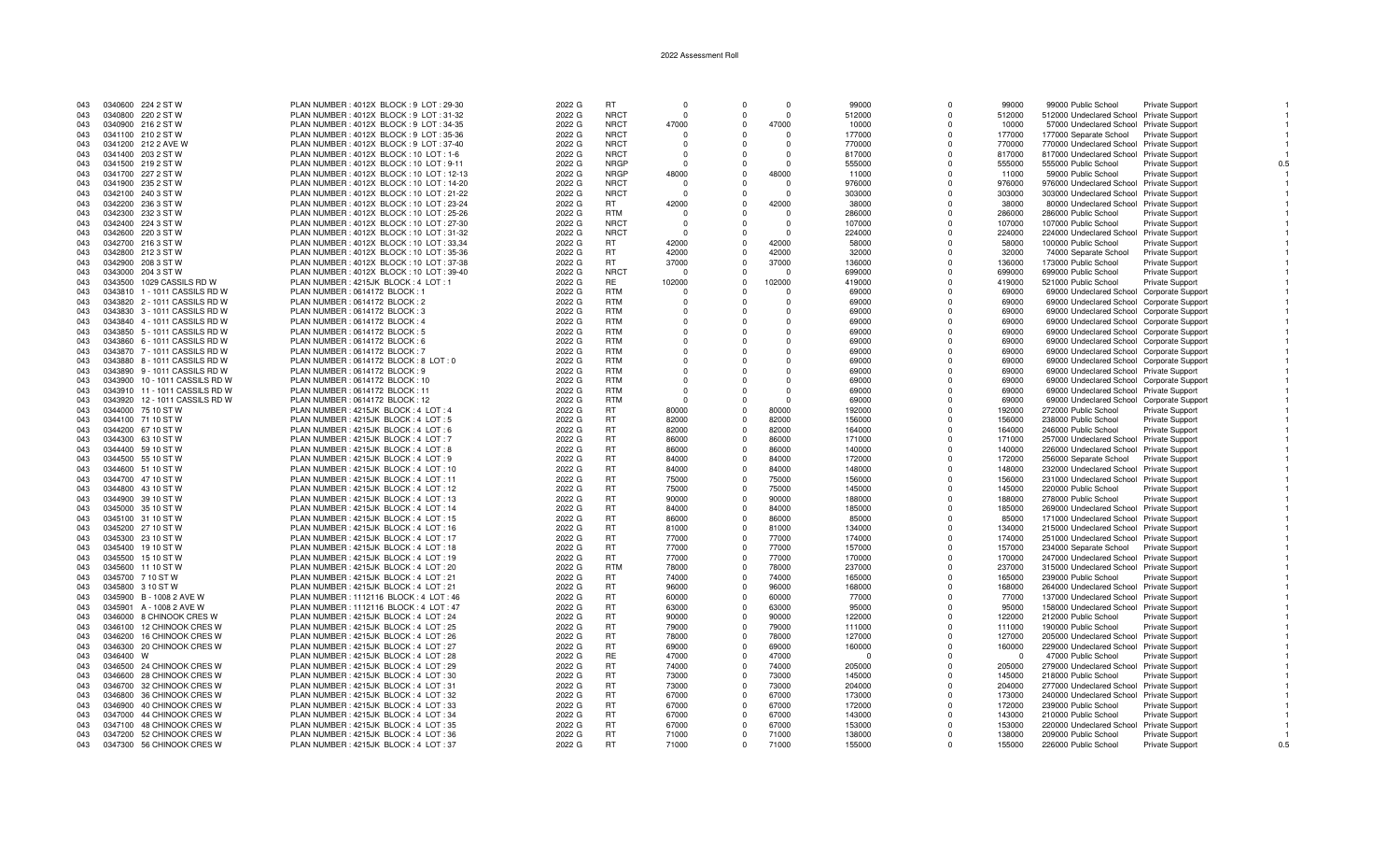| 043        |           | 0340600 224 2 ST W             | PLAN NUMBER: 4012X BLOCK: 9 LOT: 29-30                                       | 2022 G           | <b>RT</b>   | $\Omega$       | $\Omega$    | $\Omega$ | 99000              | $\Omega$ | 99000    | 99000 Public School                                              | <b>Private Support</b> |     |
|------------|-----------|--------------------------------|------------------------------------------------------------------------------|------------------|-------------|----------------|-------------|----------|--------------------|----------|----------|------------------------------------------------------------------|------------------------|-----|
| 043        |           | 0340800 220 2 ST W             | PLAN NUMBER: 4012X BLOCK: 9 LOT: 31-32                                       | 2022 G           | <b>NRCT</b> | $\Omega$       | $\Omega$    | $\Omega$ | 512000             | $\Omega$ | 512000   | 512000 Undeclared School Private Support                         |                        |     |
| 043        |           | 0340900 216 2 ST W             | PLAN NUMBER: 4012X BLOCK: 9 LOT: 34-35                                       | 2022 G           | <b>NRCT</b> | 47000          | $\Omega$    | 47000    | 10000              | $\Omega$ | 10000    | 57000 Undeclared School Private Support                          |                        |     |
| 043        |           | 0341100 210 2 ST W             | PLAN NUMBER: 4012X BLOCK: 9 LOT: 35-36                                       | 2022 G           | <b>NRCT</b> | $\Omega$       | $\Omega$    | $\Omega$ | 177000             | $\Omega$ | 177000   | 177000 Separate School Private Support                           |                        |     |
| 043        |           | 0341200 212 2 AVE W            | PLAN NUMBER : 4012X BLOCK : 9 LOT : 37-40                                    | 2022 G           | <b>NRCT</b> |                | $\Omega$    | $\Omega$ | 770000             | $\Omega$ | 770000   | 770000 Undeclared School Private Support                         |                        |     |
| 043        |           | 0341400 203 2 ST W             | PLAN NUMBER: 4012X BLOCK: 10 LOT: 1-6                                        | 2022 G           | <b>NRCT</b> | $\Omega$       | $\Omega$    | $\Omega$ | 817000             | $\Omega$ | 817000   | 817000 Undeclared School Private Support                         |                        |     |
| 043        |           | 0341500 219 2 ST W             | PLAN NUMBER: 4012X BLOCK: 10 LOT: 9-11                                       | 2022 G           | <b>NRGP</b> | $\Omega$       | $\Omega$    | - 0      | 555000             | $\Omega$ | 555000   | 555000 Public School                                             | Private Support        |     |
| 043        |           | 0341700 227 2 ST W             | PLAN NUMBER: 4012X BLOCK: 10 LOT: 12-13                                      | 2022 G           | <b>NRGP</b> | 48000          | $\Omega$    | 48000    | 11000              | $\Omega$ | 11000    | 59000 Public School                                              | Private Support        |     |
| 043        |           | 0341900 235 2 ST W             | PLAN NUMBER : 4012X BLOCK : 10 LOT : 14-20                                   | 2022 G           | <b>NRCT</b> |                | $\Omega$    | $\Omega$ | 976000             | $\Omega$ | 976000   | 976000 Undeclared School Private Support                         |                        |     |
| 043        |           | 0342100 240 3 ST W             | PLAN NUMBER : 4012X BLOCK : 10 LOT : 21-22                                   | 2022 G           | <b>NRCT</b> | $\Omega$       | $\Omega$    | $\Omega$ | 303000             | $\Omega$ | 303000   | 303000 Undeclared School Private Support                         |                        |     |
| 043        |           | 0342200 236 3 ST W             | PLAN NUMBER: 4012X BLOCK: 10 LOT: 23-24                                      | 2022 G           | RT.         | 42000          | $\Omega$    | 42000    | 38000              | $\Omega$ | 38000    | 80000 Undeclared School Private Support                          |                        |     |
| 043        |           | 0342300 232 3 ST W             | PLAN NUMBER: 4012X BLOCK: 10 LOT: 25-26                                      | 2022 G           | RTM         | $\Omega$       | $\Omega$    | $\Omega$ | 286000             | $\Omega$ | 286000   | 286000 Public School                                             | Private Support        |     |
| 043        |           | 0342400 224 3 ST W             | PLAN NUMBER: 4012X BLOCK: 10 LOT: 27-30                                      | 2022 G           | <b>NRCT</b> |                | $\Omega$    | $\Omega$ | 107000             | $\Omega$ | 107000   | 107000 Public School                                             | Private Support        |     |
| 043        |           | 0342600 220 3 ST W             | PLAN NUMBER : 4012X BLOCK : 10 LOT : 31-32                                   | 2022 G           | <b>NRCT</b> | $\Omega$       | $\Omega$    | $\Omega$ | 224000             | $\Omega$ | 224000   | 224000 Undeclared School Private Support                         |                        |     |
| 043        |           | 0342700 216 3 ST W             | PLAN NUMBER: 4012X BLOCK: 10 LOT: 33,34                                      | 2022 G           | RT          | 42000          | $\mathbf 0$ | 42000    | 58000              | $\Omega$ | 58000    | 100000 Public School                                             | <b>Private Support</b> |     |
| 043        |           | 0342800 212 3 ST W             | PLAN NUMBER: 4012X BLOCK: 10 LOT: 35-36                                      | 2022 G           | <b>RT</b>   | 42000          | $\Omega$    | 42000    | 32000              | $\Omega$ | 32000    | 74000 Separate School                                            | Private Support        |     |
| 043        |           | 0342900 208 3 ST W             | PLAN NUMBER : 4012X BLOCK : 10 LOT : 37-38                                   | 2022 G           | <b>RT</b>   | 37000          | $\Omega$    | 37000    | 136000             | $\Omega$ | 136000   | 173000 Public School                                             | <b>Private Support</b> |     |
| 043        |           | 0343000 204 3 ST W             | PLAN NUMBER: 4012X BLOCK: 10 LOT: 39-40                                      | 2022 G           | <b>NRCT</b> |                | $\Omega$    | $\Omega$ | 699000             | $\Omega$ | 699000   | 699000 Public School                                             | <b>Private Support</b> |     |
| 043        | 0343500   | 1029 CASSILS RD W              | PLAN NUMBER : 4215JK BLOCK : 4 LOT : 1                                       | 2022 G           | RE.         | 102000         | $\Omega$    | 102000   | 419000             | $\Omega$ | 419000   | 521000 Public School                                             | <b>Private Support</b> |     |
| 043        |           | 0343810 1 - 1011 CASSILS RD W  | PLAN NUMBER : 0614172 BLOCK : 1                                              | 2022 G           | <b>RTM</b>  | $\Omega$       | $\Omega$    | $\Omega$ | 69000              | $\Omega$ | 69000    | 69000 Undeclared School Corporate Support                        |                        |     |
| 043        |           | 0343820 2 - 1011 CASSILS RD W  | PLAN NUMBER : 0614172 BLOCK : 2                                              | 2022 G           | <b>RTM</b>  |                | $\Omega$    |          | 69000              | $\Omega$ | 69000    | 69000 Undeclared School Corporate Support                        |                        |     |
| 043        |           | 0343830 3 - 1011 CASSILS RD W  | PLAN NUMBER : 0614172 BLOCK : 3                                              | 2022 G           | <b>RTM</b>  | $\Omega$       | $\mathbf 0$ | - 0      | 69000              | $\Omega$ | 69000    | 69000 Undeclared School Corporate Support                        |                        |     |
| 043        |           | 0343840  4 - 1011 CASSILS RD W | PLAN NUMBER : 0614172 BLOCK : 4                                              | 2022 G           | <b>RTM</b>  | $\Omega$       | $\Omega$    | $\Omega$ | 69000              | $\Omega$ | 69000    | 69000 Undeclared School Corporate Support                        |                        |     |
| 043        |           | 0343850 5 - 1011 CASSILS RD W  | PLAN NUMBER : 0614172 BLOCK : 5                                              | 2022 G           | <b>RTM</b>  | $\Omega$       | $\Omega$    | $\Omega$ | 69000              | $\Omega$ | 69000    | 69000 Undeclared School Corporate Support                        |                        |     |
| 043        |           | 0343860 6 - 1011 CASSILS RD W  | PLAN NUMBER : 0614172 BLOCK : 6                                              | 2022 G           | <b>RTM</b>  |                | $\Omega$    | - 0      | 69000              | $\Omega$ | 69000    | 69000 Undeclared School Corporate Support                        |                        |     |
| 043        |           | 0343870 7 - 1011 CASSILS RD W  | PLAN NUMBER : 0614172 BLOCK : 7                                              | 2022 G           | <b>RTM</b>  | $\Omega$       | $\Omega$    | - 0      | 69000              | $\Omega$ | 69000    | 69000 Undeclared School Corporate Support                        |                        |     |
| 043        |           | 0343880 8 - 1011 CASSILS RD W  | PLAN NUMBER : 0614172 BLOCK : 8 LOT : 0                                      | 2022 G           | <b>RTM</b>  |                | $\Omega$    | $\Omega$ | 69000              | $\Omega$ | 69000    | 69000 Undeclared School Corporate Support                        |                        |     |
| 043        |           | 0343890 9 - 1011 CASSILS RD W  | PLAN NUMBER : 0614172 BLOCK : 9                                              | 2022 G           | <b>RTM</b>  | $\Omega$       | $\Omega$    | $\Omega$ | 69000              | $\Omega$ | 69000    | 69000 Undeclared School Private Support                          |                        |     |
| 043        |           | 0343900 10 - 1011 CASSILS RD W | PLAN NUMBER : 0614172 BLOCK : 10                                             | 2022 G           | <b>RTM</b>  |                | $\Omega$    | $\Omega$ | 69000              | $\Omega$ | 69000    | 69000 Undeclared School Corporate Support                        |                        |     |
| 043        |           | 0343910 11 - 1011 CASSILS RD W | PLAN NUMBER : 0614172 BLOCK : 11                                             | 2022 G           | <b>RTM</b>  | $\Omega$       | $\Omega$    | $\Omega$ | 69000              | $\Omega$ | 69000    | 69000 Undeclared School Private Support                          |                        |     |
| 043        |           | 0343920 12 - 1011 CASSILS RD W | PLAN NUMBER : 0614172 BLOCK : 12                                             | 2022 G           | <b>RTM</b>  | $\Omega$       | $\Omega$    | $\Omega$ | 69000              | $\Omega$ | 69000    | 69000 Undeclared School Corporate Support                        |                        |     |
| 043        |           | 0344000 75 10 ST W             | PLAN NUMBER: 4215JK BLOCK: 4 LOT: 4                                          | 2022 G           | <b>RT</b>   | 80000          | $\Omega$    | 80000    | 192000             | $\Omega$ | 192000   | 272000 Public School                                             | <b>Private Support</b> |     |
| 043        |           | 0344100 71 10 ST W             | PLAN NUMBER : 4215JK BLOCK : 4 LOT : 5                                       | 2022 G           | RT.         | 82000          | $\Omega$    | 82000    | 156000             | $\Omega$ | 156000   | 238000 Public School                                             | <b>Private Support</b> |     |
| 043        |           | 0344200 67 10 ST W             | PLAN NUMBER : 4215JK BLOCK : 4 LOT : 6                                       | 2022 G           | <b>RT</b>   | 82000          | $\mathbf 0$ | 82000    | 164000             | $\Omega$ | 164000   | 246000 Public School                                             | Private Support        |     |
| 043        |           | 0344300 63 10 ST W             | PLAN NUMBER: 4215JK BLOCK: 4 LOT: 7                                          | 2022 G           | <b>RT</b>   | 86000          | $\Omega$    | 86000    | 171000             | $\Omega$ | 171000   | 257000 Undeclared School Private Support                         |                        |     |
| 043        |           | 0344400 59 10 ST W             | PLAN NUMBER : 4215JK BLOCK : 4 LOT : 8                                       | 2022 G           | <b>RT</b>   | 86000          | $\Omega$    | 86000    | 140000             | $\Omega$ | 140000   | 226000 Undeclared School Private Support                         |                        |     |
| 043        |           | 0344500 55 10 ST W             | PLAN NUMBER: 4215JK BLOCK: 4 LOT: 9                                          | 2022 G           | <b>RT</b>   | 84000          | $\Omega$    | 84000    | 172000             | $\Omega$ | 172000   | 256000 Separate School                                           | <b>Private Support</b> |     |
| 043        |           | 0344600 51 10 ST W             | PLAN NUMBER : 4215JK BLOCK : 4 LOT : 10                                      | 2022 G           | <b>RT</b>   | 84000          | $\Omega$    | 84000    | 148000             | $\Omega$ | 148000   | 232000 Undeclared School Private Support                         |                        |     |
| 043        |           | 0344700 47 10 ST W             | PLAN NUMBER: 4215JK BLOCK: 4 LOT: 11                                         | 2022 G           | <b>RT</b>   | 75000          | $\Omega$    | 75000    | 156000             | $\Omega$ | 156000   | 231000 Undeclared School Private Support                         |                        |     |
| 043        |           | 0344800 43 10 ST W             | PLAN NUMBER: 4215JK BLOCK: 4 LOT: 12                                         | 2022 G           | <b>RT</b>   | 75000          | $\Omega$    | 75000    | 145000             | $\Omega$ | 145000   | 220000 Public School                                             | <b>Private Support</b> |     |
| 043        |           | 0344900 39 10 ST W             | PLAN NUMBER: 4215JK BLOCK: 4 LOT: 13                                         | 2022 G           | <b>RT</b>   | 90000          | $\Omega$    | 90000    | 188000             | $\Omega$ | 188000   | 278000 Public School                                             | <b>Private Support</b> |     |
| 043        |           | 0345000 35 10 ST W             | PLAN NUMBER: 4215JK BLOCK: 4 LOT: 14                                         | 2022 G           | <b>RT</b>   | 84000          | $\mathbf 0$ | 84000    | 185000             | $\Omega$ | 185000   | 269000 Undeclared School Private Support                         |                        |     |
| 043        |           | 0345100 31 10 ST W             | PLAN NUMBER: 4215JK BLOCK: 4 LOT: 15                                         | 2022 G           | RT          | 86000          | $\Omega$    | 86000    | 85000              | $\Omega$ | 85000    | 171000 Undeclared School Private Support                         |                        |     |
| 043        |           | 0345200 27 10 ST W             | PLAN NUMBER: 4215JK BLOCK: 4 LOT: 16                                         | 2022 G           | <b>RT</b>   | 81000          | $\Omega$    | 81000    | 134000             | $\Omega$ | 134000   | 215000 Undeclared School Private Support                         |                        |     |
| 043        |           | 0345300 23 10 ST W             | PLAN NUMBER: 4215JK BLOCK: 4 LOT: 17                                         | 2022 G           | <b>RT</b>   | 77000          | $\Omega$    | 77000    | 174000             | $\Omega$ | 174000   | 251000 Undeclared School Private Support                         |                        |     |
| 043        |           | 0345400 19 10 ST W             | PLAN NUMBER: 4215JK BLOCK: 4 LOT: 18                                         | 2022 G           | <b>RT</b>   | 77000          | $\Omega$    | 77000    | 157000             | $\Omega$ | 157000   | 234000 Separate School Private Support                           |                        |     |
| 043        |           | 0345500 15 10 ST W             | PLAN NUMBER: 4215JK BLOCK: 4 LOT: 19                                         | 2022 G           | <b>RT</b>   | 77000          | $\Omega$    | 77000    | 170000             | $\Omega$ | 170000   | 247000 Undeclared School Private Support                         |                        |     |
| 043        |           | 0345600 11 10 ST W             | PLAN NUMBER: 4215JK BLOCK: 4 LOT: 20                                         | 2022 G           | <b>RTM</b>  | 78000          | $\Omega$    | 78000    | 237000             | $\Omega$ | 237000   | 315000 Undeclared School Private Support                         |                        |     |
| 043        |           | 0345700 7 10 ST W              | PLAN NUMBER : 4215JK BLOCK : 4 LOT : 21                                      | 2022 G           | <b>RT</b>   | 74000          | $\Omega$    | 74000    | 165000             | $\Omega$ | 165000   | 239000 Public School                                             | <b>Private Support</b> |     |
| 043        |           | 0345800 3 10 ST W              | PLAN NUMBER: 4215JK BLOCK: 4 LOT: 21                                         | 2022 G           | <b>RT</b>   | 96000          | $\mathbf 0$ | 96000    | 168000             | $\Omega$ | 168000   | 264000 Undeclared School Private Support                         |                        |     |
| 043        |           | 0345900 B - 1008 2 AVE W       | PLAN NUMBER: 1112116 BLOCK: 4 LOT: 46                                        | 2022 G           | <b>RT</b>   | 60000          | $\Omega$    | 60000    | 77000              | $\Omega$ | 77000    | 137000 Undeclared School Private Support                         |                        |     |
| 043        |           | 0345901 A - 1008 2 AVE W       | PLAN NUMBER: 1112116 BLOCK: 4 LOT: 47                                        | 2022 G           | <b>RT</b>   | 63000          | $\Omega$    | 63000    | 95000              | $\Omega$ | 95000    | 158000 Undeclared School Private Support                         |                        |     |
| 043        |           | 0346000 8 CHINOOK CRES W       | PLAN NUMBER: 4215JK BLOCK: 4 LOT: 24                                         | 2022 G           | <b>RT</b>   | 90000          | $\Omega$    | 90000    | 122000             | $\Omega$ | 122000   | 212000 Public School                                             | <b>Private Support</b> |     |
| 043        |           | 0346100 12 CHINOOK CRES W      | PLAN NUMBER: 4215JK BLOCK: 4 LOT: 25                                         | 2022 G           | <b>RT</b>   | 79000          | $^{\circ}$  | 79000    | 111000             | $\Omega$ | 111000   | 190000 Public School                                             | <b>Private Support</b> |     |
| 043        | 0346200   | <b>16 CHINOOK CRES W</b>       | PLAN NUMBER: 4215JK BLOCK: 4 LOT: 26                                         | 2022 G           | <b>RT</b>   | 78000          | $\Omega$    | 78000    | 127000             | $\Omega$ | 127000   | 205000 Undeclared School Private Support                         |                        |     |
| 043        |           | 0346300 20 CHINOOK CRES W      | PLAN NUMBER: 4215JK BLOCK: 4 LOT: 27                                         | 2022 G           | <b>RT</b>   | 69000          | $\Omega$    | 69000    | 160000             | $\Omega$ | 160000   | 229000 Undeclared School Private Support                         |                        |     |
| 043        | 0346400 W |                                |                                                                              |                  | RE          |                | $\Omega$    | 47000    |                    | $\Omega$ | $\Omega$ |                                                                  |                        |     |
|            |           | 0346500 24 CHINOOK CRES W      | PLAN NUMBER: 4215JK BLOCK: 4 LOT: 28<br>PLAN NUMBER: 4215JK BLOCK: 4 LOT: 29 | 2022 G<br>2022 G | <b>RT</b>   | 47000<br>74000 | $\Omega$    | 74000    | $\Omega$<br>205000 | $\Omega$ | 205000   | 47000 Public School                                              | Private Support        |     |
| 043<br>043 |           | 0346600 28 CHINOOK CRES W      | PLAN NUMBER: 4215JK BLOCK: 4 LOT: 30                                         | 2022 G           | <b>RT</b>   | 73000          | $\Omega$    | 73000    | 145000             | $\Omega$ | 145000   | 279000 Undeclared School Private Support<br>218000 Public School | <b>Private Support</b> |     |
| 043        |           | 0346700 32 CHINOOK CRES W      | PLAN NUMBER: 4215JK BLOCK: 4 LOT: 31                                         | 2022 G           | <b>RT</b>   | 73000          | $\Omega$    | 73000    | 204000             | $\Omega$ | 204000   |                                                                  |                        |     |
| 043        |           | 0346800 36 CHINOOK CRES W      | PLAN NUMBER: 4215JK BLOCK: 4 LOT: 32                                         | 2022 G           | <b>RT</b>   | 67000          | $\Omega$    | 67000    | 173000             | $\Omega$ | 173000   | 277000 Undeclared School Private Support                         |                        |     |
|            |           | 0346900 40 CHINOOK CRES W      | PLAN NUMBER: 4215JK BLOCK: 4 LOT: 33                                         | 2022 G           | <b>RT</b>   | 67000          | $^{\circ}$  | 67000    | 172000             | $\Omega$ | 172000   | 240000 Undeclared School Private Support<br>239000 Public School |                        |     |
| 043<br>043 |           | 0347000 44 CHINOOK CRES W      |                                                                              | 2022 G           | <b>RT</b>   | 67000          | $\Omega$    | 67000    | 143000             | $\Omega$ | 143000   |                                                                  | <b>Private Support</b> |     |
| 043        |           | 0347100 48 CHINOOK CRES W      | PLAN NUMBER: 4215JK BLOCK: 4 LOT: 34<br>PLAN NUMBER: 4215JK BLOCK: 4 LOT: 35 | 2022 G           | <b>RT</b>   | 67000          | $\mathbf 0$ | 67000    | 153000             | $\Omega$ | 153000   | 210000 Public School                                             | Private Support        |     |
| 043        |           | 0347200 52 CHINOOK CRES W      | PLAN NUMBER: 4215JK BLOCK: 4 LOT: 36                                         | 2022 G           | <b>RT</b>   | 71000          | $\Omega$    | 71000    | 138000             | $\Omega$ | 138000   | 220000 Undeclared School Private Support<br>209000 Public School |                        |     |
| 043        |           | 0347300 56 CHINOOK CRES W      |                                                                              | 2022 G           | <b>RT</b>   | 71000          | $\Omega$    | 71000    |                    | $\Omega$ | 155000   | 226000 Public School                                             | Private Support        |     |
|            |           |                                | PLAN NUMBER: 4215JK BLOCK: 4 LOT: 37                                         |                  |             |                |             |          | 155000             |          |          |                                                                  | <b>Private Support</b> | 0.5 |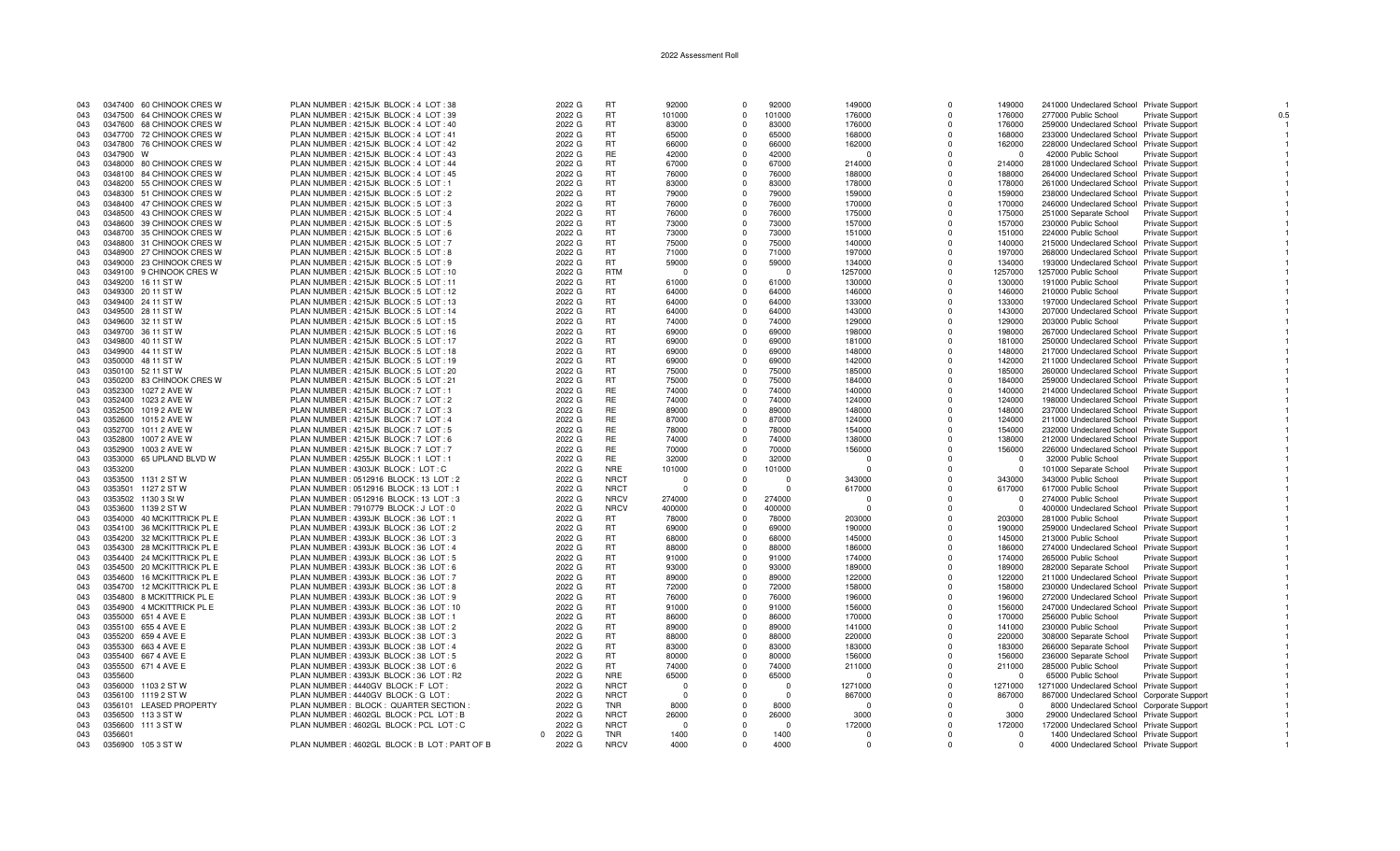| 043 |           | 0347400 60 CHINOOK CRES W  | PLAN NUMBER: 4215JK BLOCK: 4 LOT: 38           | 2022 G             | RT          | 92000    | $\sqrt{ }$ | 92000    | 149000   | 0           | 149000         | 241000 Undeclared School Private Support   |                        |     |
|-----|-----------|----------------------------|------------------------------------------------|--------------------|-------------|----------|------------|----------|----------|-------------|----------------|--------------------------------------------|------------------------|-----|
| 043 |           | 0347500 64 CHINOOK CRES W  | PLAN NUMBER: 4215JK BLOCK: 4 LOT: 39           | 2022 G             | <b>RT</b>   | 101000   | $\Omega$   | 101000   | 176000   | $\Omega$    | 176000         | 277000 Public School                       | <b>Private Support</b> | 0.5 |
| 043 |           | 0347600 68 CHINOOK CRES W  | PLAN NUMBER: 4215JK BLOCK: 4 LOT: 40           | 2022 G             | <b>RT</b>   | 83000    |            | 83000    | 176000   | $\Omega$    | 176000         | 259000 Undeclared School Private Support   |                        |     |
| 043 |           | 0347700 72 CHINOOK CRES W  | PLAN NUMBER: 4215JK BLOCK: 4 LOT: 41           | 2022 G             | <b>RT</b>   | 65000    | $\Omega$   | 65000    | 168000   | $\Omega$    | 168000         | 233000 Undeclared School Private Support   |                        |     |
| 043 |           | 0347800 76 CHINOOK CRES W  | PLAN NUMBER : 4215JK BLOCK : 4 LOT : 42        | 2022 G             | <b>RT</b>   | 66000    |            | 66000    | 162000   | $\Omega$    | 162000         | 228000 Undeclared School Private Support   |                        |     |
| 043 | 0347900 W |                            | PLAN NUMBER: 4215JK BLOCK: 4 LOT: 43           | 2022 G             | <b>RE</b>   | 42000    | $\Omega$   | 42000    | - 0      | $\Omega$    | $\Omega$       | 42000 Public School                        | Private Support        |     |
|     |           |                            |                                                |                    |             |          |            |          |          | $\Omega$    |                |                                            |                        |     |
| 043 |           | 0348000 80 CHINOOK CRES W  | PLAN NUMBER: 4215JK BLOCK: 4 LOT: 44           | 2022 G             | <b>RT</b>   | 67000    | $\Omega$   | 67000    | 214000   |             | 214000         | 281000 Undeclared School Private Support   |                        |     |
| 043 |           | 0348100 84 CHINOOK CRES W  | PLAN NUMBER: 4215JK BLOCK: 4 LOT: 45           | 2022 G             | <b>RT</b>   | 76000    | $\Omega$   | 76000    | 188000   | $\Omega$    | 188000         | 264000 Undeclared School Private Support   |                        |     |
| 043 |           | 0348200 55 CHINOOK CRES W  | PLAN NUMBER : 4215JK BLOCK : 5 LOT : 1         | 2022 G             | <b>RT</b>   | 83000    | $\Omega$   | 83000    | 178000   | O           | 178000         | 261000 Undeclared School Private Support   |                        |     |
| 043 |           | 0348300 51 CHINOOK CRES W  | PLAN NUMBER: 4215JK BLOCK: 5 LOT: 2            | 2022 G             | <b>RT</b>   | 79000    | $\Omega$   | 79000    | 159000   | $\Omega$    | 159000         | 238000 Undeclared School Private Support   |                        |     |
| 043 |           | 0348400 47 CHINOOK CRES W  | PLAN NUMBER: 4215JK BLOCK: 5 LOT: 3            | 2022 G             | <b>RT</b>   | 76000    | $\Omega$   | 76000    | 170000   | $\Omega$    | 170000         | 246000 Undeclared School Private Support   |                        |     |
| 043 |           | 0348500 43 CHINOOK CRES W  | PLAN NUMBER: 4215JK BLOCK: 5 LOT: 4            | 2022 G             | <b>RT</b>   | 76000    | $\Omega$   | 76000    | 175000   | $\Omega$    | 175000         | 251000 Separate School                     | <b>Private Support</b> |     |
| 043 |           | 0348600 39 CHINOOK CRES W  | PLAN NUMBER: 4215JK BLOCK: 5 LOT: 5            | 2022 G             | <b>RT</b>   | 73000    |            | 73000    | 157000   | $\Omega$    | 157000         | 230000 Public School                       | <b>Private Support</b> |     |
| 043 |           | 0348700 35 CHINOOK CRES W  | PLAN NUMBER : 4215JK BLOCK : 5 LOT : 6         | 2022 G             | <b>RT</b>   | 73000    | $\Omega$   | 73000    | 151000   | $\Omega$    | 151000         | 224000 Public School                       | Private Support        |     |
| 043 |           | 0348800 31 CHINOOK CRES W  | PLAN NUMBER: 4215JK BLOCK: 5 LOT: 7            | 2022 G             | <b>RT</b>   | 75000    | $\Omega$   | 75000    | 140000   | $\Omega$    | 140000         | 215000 Undeclared School Private Support   |                        |     |
| 043 |           | 0348900 27 CHINOOK CRES W  | PLAN NUMBER : 4215JK BLOCK : 5 LOT : 8         | 2022 G             | <b>RT</b>   | 71000    | $\Omega$   | 71000    | 197000   | $\Omega$    | 197000         | 268000 Undeclared School Private Support   |                        |     |
| 043 |           | 0349000 23 CHINOOK CRES W  | PLAN NUMBER : 4215JK BLOCK : 5 LOT : 9         | 2022 G             | <b>RT</b>   | 59000    | $\Omega$   | 59000    | 134000   | $\Omega$    | 134000         | 193000 Undeclared School Private Support   |                        |     |
| 043 |           | 0349100 9 CHINOOK CRES W   | PLAN NUMBER: 4215JK BLOCK: 5 LOT: 10           | 2022 G             | <b>RTM</b>  | - 0      | $\Omega$   | $\Omega$ | 1257000  | $\Omega$    | 1257000        | 1257000 Public School                      | Private Support        |     |
| 043 |           | 0349200 16 11 ST W         | PLAN NUMBER: 4215JK BLOCK: 5 LOT: 11           | 2022 G             | RT          | 61000    | $\Omega$   | 61000    | 130000   | $\Omega$    | 130000         | 191000 Public School                       | <b>Private Support</b> |     |
| 043 |           | 0349300 20 11 ST W         | PLAN NUMBER: 4215JK BLOCK: 5 LOT: 12           | 2022 G             | <b>RT</b>   | 64000    | $\Omega$   | 64000    | 146000   | $\Omega$    | 146000         | 210000 Public School                       | Private Support        |     |
| 043 |           | 0349400 24 11 ST W         | PLAN NUMBER: 4215JK BLOCK: 5 LOT: 13           | 2022 G             | <b>RT</b>   | 64000    |            | 64000    | 133000   | $\Omega$    | 133000         | 197000 Undeclared School Private Support   |                        |     |
|     |           |                            |                                                |                    |             |          |            |          |          |             |                |                                            |                        |     |
| 043 |           | 0349500 28 11 ST W         | PLAN NUMBER : 4215JK BLOCK : 5 LOT : 14        | 2022 G             | <b>RT</b>   | 64000    | $\Omega$   | 64000    | 143000   | $\mathbf 0$ | 143000         | 207000 Undeclared School Private Support   |                        |     |
| 043 |           | 0349600 32 11 ST W         | PLAN NUMBER: 4215JK BLOCK: 5 LOT: 15           | 2022 G             | <b>RT</b>   | 74000    | $\Omega$   | 74000    | 129000   | $\Omega$    | 129000         | 203000 Public School                       | Private Support        |     |
| 043 |           | 0349700 36 11 ST W         | PLAN NUMBER : 4215JK BLOCK : 5 LOT : 16        | 2022 G             | <b>RT</b>   | 69000    | $\Omega$   | 69000    | 198000   | $\Omega$    | 198000         | 267000 Undeclared School Private Support   |                        |     |
| 043 |           | 0349800 40 11 ST W         | PLAN NUMBER: 4215JK BLOCK: 5 LOT: 17           | 2022 G             | <b>RT</b>   | 69000    | $\Omega$   | 69000    | 181000   | ŋ           | 181000         | 250000 Undeclared School Private Support   |                        |     |
| 043 |           | 0349900 44 11 ST W         | PLAN NUMBER: 4215JK BLOCK: 5 LOT: 18           | 2022 G             | <b>RT</b>   | 69000    | $\Omega$   | 69000    | 148000   | $\Omega$    | 148000         | 217000 Undeclared School Private Support   |                        |     |
| 043 |           | 0350000 48 11 ST W         | PLAN NUMBER: 4215JK BLOCK: 5 LOT: 19           | 2022 G             | <b>RT</b>   | 69000    | $\Omega$   | 69000    | 142000   | $\Omega$    | 142000         | 211000 Undeclared School Private Support   |                        |     |
| 043 |           | 0350100 52 11 ST W         | PLAN NUMBER : 4215JK BLOCK : 5 LOT : 20        | 2022 G             | <b>RT</b>   | 75000    | $\Omega$   | 75000    | 185000   | $\Omega$    | 185000         | 260000 Undeclared School Private Support   |                        |     |
| 043 |           | 0350200 83 CHINOOK CRES W  | PLAN NUMBER: 4215JK BLOCK: 5 LOT: 21           | 2022 G             | <b>RT</b>   | 75000    |            | 75000    | 184000   | $\Omega$    | 184000         | 259000 Undeclared School Private Support   |                        |     |
| 043 | 0352300   | 1027 2 AVE W               | PLAN NUMBER: 4215JK BLOCK: 7 LOT: 1            | 2022 G             | RE          | 74000    | $\Omega$   | 74000    | 140000   | $\Omega$    | 140000         | 214000 Undeclared School Private Support   |                        |     |
| 043 | 0352400   | 1023 2 AVE W               | PLAN NUMBER : 4215JK BLOCK : 7 LOT : 2         | 2022 G             | <b>RE</b>   | 74000    | $\Omega$   | 74000    | 124000   | $\Omega$    | 124000         | 198000 Undeclared School Private Support   |                        |     |
| 043 | 0352500   | 1019 2 AVE W               | PLAN NUMBER: 4215JK BLOCK: 7 LOT: 3            | 2022 G             | <b>RE</b>   | 89000    | $\Omega$   | 89000    | 148000   | $\Omega$    | 148000         | 237000 Undeclared School Private Support   |                        |     |
| 043 | 0352600   | 1015 2 AVE W               | PLAN NUMBER : 4215JK BLOCK : 7 LOT : 4         | 2022 G             | <b>RE</b>   | 87000    | $\Omega$   | 87000    | 124000   | O           | 124000         | 211000 Undeclared School Private Support   |                        |     |
| 043 |           | 0352700 1011 2 AVE W       | PLAN NUMBER : 4215JK BLOCK : 7 LOT : 5         | 2022 G             | RE          | 78000    | $\Omega$   | 78000    | 154000   | $\Omega$    | 154000         | 232000 Undeclared School Private Support   |                        |     |
| 043 | 0352800   | 1007 2 AVE W               | PLAN NUMBER: 4215JK BLOCK: 7 LOT: 6            | 2022 G             | RE          | 74000    |            | 74000    | 138000   | $\Omega$    | 138000         | 212000 Undeclared School Private Support   |                        |     |
| 043 | 0352900   | 1003 2 AVE W               | PLAN NUMBER : 4215JK BLOCK : 7 LOT : 7         | 2022 G             | <b>RE</b>   | 70000    | $\Omega$   | 70000    | 156000   | $\Omega$    | 156000         | 226000 Undeclared School Private Support   |                        |     |
|     |           |                            |                                                |                    | <b>RE</b>   |          |            |          | $\Omega$ |             | $\Omega$       |                                            |                        |     |
| 043 | 0353000   | 65 UPLAND BLVD W           | PLAN NUMBER: 4255JK BLOCK: 1 LOT: 1            | 2022 G             |             | 32000    |            | 32000    |          |             |                | 32000 Public School                        | <b>Private Support</b> |     |
| 043 | 0353200   |                            | PLAN NUMBER: 4303JK BLOCK: LOT: C              | 2022 G             | <b>NRE</b>  | 101000   | $\Omega$   | 101000   | $\Omega$ | $\Omega$    | $\Omega$       | 101000 Separate School                     | <b>Private Support</b> |     |
| 043 | 0353500   | 1131 2 ST W                | PLAN NUMBER: 0512916 BLOCK: 13 LOT: 2          | 2022 G             | <b>NRCT</b> | $\cap$   |            | $\Omega$ | 343000   | $\Omega$    | 343000         | 343000 Public School                       | <b>Private Support</b> |     |
| 043 | 0353501   | 1127 2 ST W                | PLAN NUMBER: 0512916 BLOCK: 13 LOT: 1          | 2022 G             | <b>NRCT</b> | $\cap$   |            | $\Omega$ | 617000   | ŋ           | 617000         | 617000 Public School                       | <b>Private Support</b> |     |
| 043 |           | 0353502 1130 3 St W        | PLAN NUMBER : 0512916 BLOCK : 13 LOT : 3       | 2022 G             | <b>NRCV</b> | 274000   | $\Omega$   | 274000   | $\Omega$ | O           | $\Omega$       | 274000 Public School                       | <b>Private Support</b> |     |
| 043 |           | 0353600 1139 2 ST W        | PLAN NUMBER : 7910779 BLOCK : J LOT : 0        | 2022 G             | <b>NRCV</b> | 400000   | $\Omega$   | 400000   | $\Omega$ | n           | $\Omega$       | 400000 Undeclared School Private Support   |                        |     |
| 043 |           | 0354000 40 MCKITTRICK PL E | PLAN NUMBER: 4393JK BLOCK: 36 LOT: 1           | 2022 G             | RT          | 78000    | $\Omega$   | 78000    | 203000   | $\Omega$    | 203000         | 281000 Public School                       | Private Support        |     |
| 043 |           | 0354100 36 MCKITTRICK PL E | PLAN NUMBER: 4393JK BLOCK: 36 LOT: 2           | 2022 G             | <b>RT</b>   | 69000    | $\Omega$   | 69000    | 190000   | $\Omega$    | 190000         | 259000 Undeclared School Private Support   |                        |     |
| 043 |           | 0354200 32 MCKITTRICK PL E | PLAN NUMBER: 4393JK BLOCK: 36 LOT: 3           | 2022 G             | <b>RT</b>   | 68000    | $\Omega$   | 68000    | 145000   | O           | 145000         | 213000 Public School                       | <b>Private Support</b> |     |
| 043 |           | 0354300 28 MCKITTRICK PL E | PLAN NUMBER: 4393JK BLOCK: 36 LOT: 4           | 2022 G             | <b>RT</b>   | 88000    | $\Omega$   | 88000    | 186000   | $\Omega$    | 186000         | 274000 Undeclared School Private Support   |                        |     |
| 043 |           | 0354400 24 MCKITTRICK PL E | PLAN NUMBER: 4393JK BLOCK: 36 LOT: 5           | 2022 G             | <b>RT</b>   | 91000    | $\Omega$   | 91000    | 174000   | $\Omega$    | 174000         | 265000 Public School                       | <b>Private Support</b> |     |
| 043 |           | 0354500 20 MCKITTRICK PL E | PLAN NUMBER: 4393JK BLOCK: 36 LOT: 6           | 2022 G             | <b>RT</b>   | 93000    | $\Omega$   | 93000    | 189000   | $\Omega$    | 189000         | 282000 Separate School                     | <b>Private Support</b> |     |
| 043 |           | 0354600 16 MCKITTRICK PL E | PLAN NUMBER: 4393JK BLOCK: 36 LOT: 7           | 2022 G             | <b>RT</b>   | 89000    | $\Omega$   | 89000    | 122000   | 0           | 122000         | 211000 Undeclared School Private Support   |                        |     |
| 043 |           | 0354700 12 MCKITTRICK PL E | PLAN NUMBER: 4393JK BLOCK: 36 LOT: 8           | 2022 G             | <b>RT</b>   | 72000    | $\Omega$   | 72000    | 158000   | $\Omega$    | 158000         | 230000 Undeclared School Private Support   |                        |     |
| 043 |           | 0354800 8 MCKITTRICK PL E  | PLAN NUMBER: 4393JK BLOCK: 36 LOT: 9           | 2022 G             | <b>RT</b>   | 76000    |            | 76000    | 196000   | $\Omega$    | 196000         | 272000 Undeclared School Private Support   |                        |     |
| 043 |           | 0354900 4 MCKITTRICK PL E  | PLAN NUMBER : 4393JK BLOCK : 36 LOT : 10       | 2022 G             | <b>RT</b>   | 91000    | $\Omega$   | 91000    | 156000   | $\Omega$    | 156000         | 247000 Undeclared School Private Support   |                        |     |
|     |           |                            |                                                |                    | <b>RT</b>   |          |            |          |          | O           |                |                                            |                        |     |
| 043 |           | 0355000 651 4 AVE E        | PLAN NUMBER: 4393JK BLOCK: 38 LOT: 1           | 2022 G             |             | 86000    | $\Omega$   | 86000    | 170000   |             | 170000         | 256000 Public School                       | <b>Private Support</b> |     |
| 043 | 0355100   | 655 4 AVE E                | PLAN NUMBER: 4393JK BLOCK: 38 LOT: 2           | 2022 G             | <b>RT</b>   | 89000    | $\Omega$   | 89000    | 141000   | $\Omega$    | 141000         | 230000 Public School                       | <b>Private Support</b> |     |
| 043 | 0355200   | 659 4 AVE E                | PLAN NUMBER: 4393JK BLOCK: 38 LOT: 3           | 2022 G             | <b>RT</b>   | 88000    | $\Omega$   | 88000    | 220000   | $\Omega$    | 220000         | 308000 Separate School                     | Private Support        |     |
| 043 | 0355300   | 663 4 AVE E                | PLAN NUMBER: 4393JK BLOCK: 38 LOT: 4           | 2022 G             | <b>RT</b>   | 83000    | $\Omega$   | 83000    | 183000   | $\Omega$    | 183000         | 266000 Separate School                     | Private Support        |     |
| 043 |           | 0355400 667 4 AVE E        | PLAN NUMBER: 4393JK BLOCK: 38 LOT: 5           | 2022 G             | <b>RT</b>   | 80000    | $\Omega$   | 80000    | 156000   | 0           | 156000         | 236000 Separate School                     | Private Support        |     |
| 043 |           | 0355500 671 4 AVE E        | PLAN NUMBER: 4393JK BLOCK: 38 LOT: 6           | 2022 G             | RT          | 74000    | $\Omega$   | 74000    | 211000   | $\Omega$    | 211000         | 285000 Public School                       | <b>Private Support</b> |     |
| 043 | 0355600   |                            | PLAN NUMBER: 4393JK BLOCK: 36 LOT: R2          | 2022 G             | <b>NRE</b>  | 65000    |            | 65000    | O        | O           | $\Omega$       | 65000 Public School                        | <b>Private Support</b> |     |
| 043 | 0356000   | 1103 2 ST W                | PLAN NUMBER : 4440GV BLOCK : F LOT             | 2022 G             | <b>NRCT</b> | - 0      |            | $\Omega$ | 1271000  | $\Omega$    | 1271000        | 1271000 Undeclared School Private Support  |                        |     |
| 043 | 0356100   | 1119 2 ST W                | PLAN NUMBER : 4440GV BLOCK : G LOT             | 2022 G             | <b>NRCT</b> | $\cap$   | $\Omega$   | $\Omega$ | 867000   | $\Omega$    | 867000         | 867000 Undeclared School Corporate Support |                        |     |
| 043 | 0356101   | <b>LEASED PROPERTY</b>     | PLAN NUMBER: BLOCK: QUARTER SECTION            | 2022 G             | <b>TNR</b>  | 8000     | $\Omega$   | 8000     | $\Omega$ | $\Omega$    | $\overline{0}$ | 8000 Undeclared School Corporate Support   |                        |     |
| 043 | 0356500   | 113 3 ST W                 | PLAN NUMBER: 4602GL BLOCK: PCL LOT: B          | 2022 G             | <b>NRCT</b> | 26000    | $\Omega$   | 26000    | 3000     | $\Omega$    | 3000           | 29000 Undeclared School Private Support    |                        |     |
| 043 |           | 0356600 111 3 ST W         | PLAN NUMBER : 4602GL BLOCK : PCL LOT : C       | 2022 G             | <b>NRCT</b> | $\Omega$ |            | $\Omega$ | 172000   |             | 172000         | 172000 Undeclared School Private Support   |                        |     |
| 043 | 0356601   |                            |                                                | 2022 G<br>$\Omega$ | <b>TNR</b>  | 1400     | $\Omega$   | 1400     | $\Omega$ | $\Omega$    | $\Omega$       | 1400 Undeclared School Private Support     |                        |     |
| 043 |           | 0356900 105 3 ST W         | PLAN NUMBER : 4602GL BLOCK : B LOT : PART OF B | 2022 G             | <b>NRCV</b> | 4000     |            | 4000     | $\Omega$ | $\Omega$    | $\Omega$       | 4000 Undeclared School Private Support     |                        |     |
|     |           |                            |                                                |                    |             |          |            |          |          |             |                |                                            |                        |     |

 $0.5$ 

 $-1$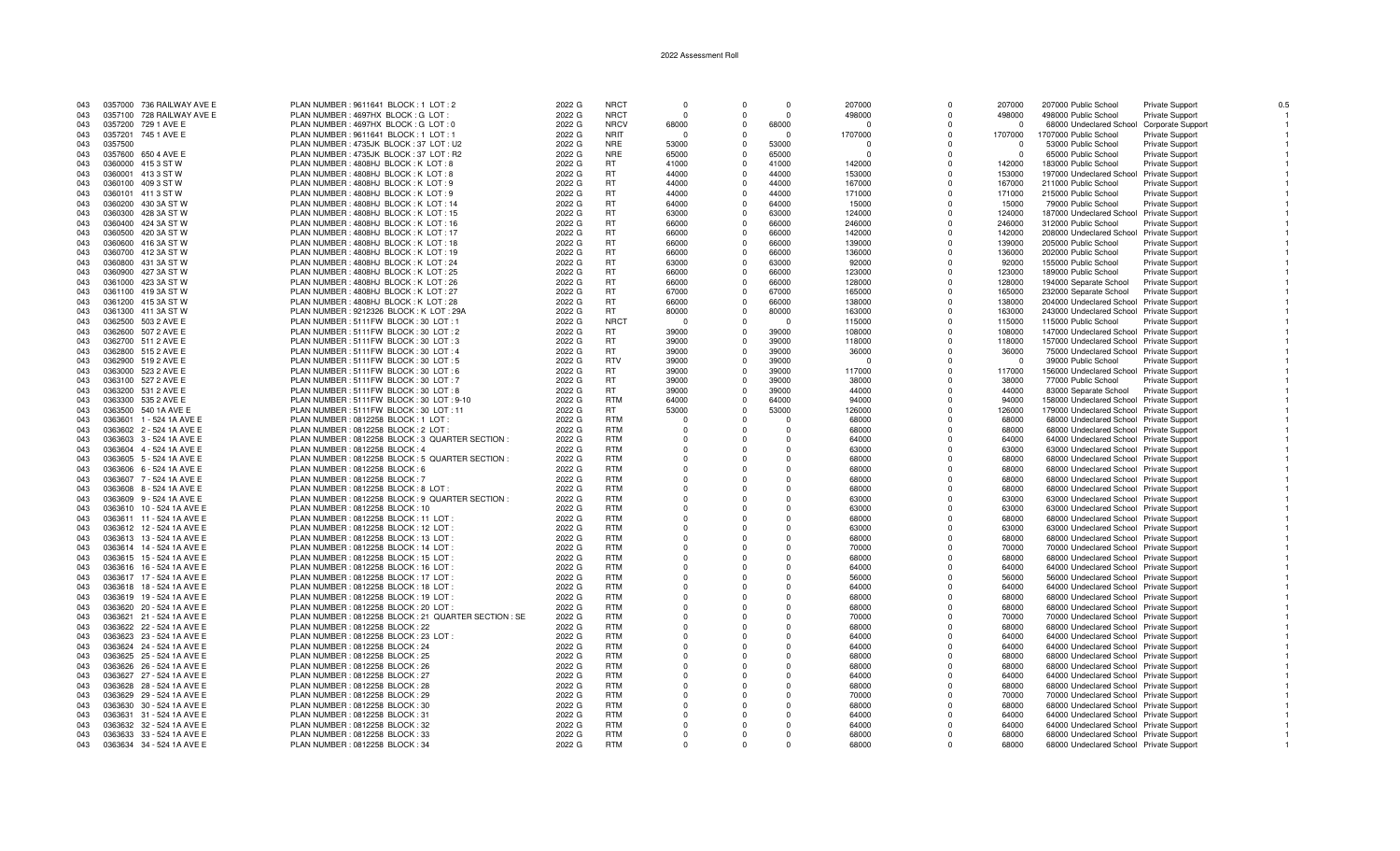| 043 |         | 0357000 736 RAILWAY AVE E | PLAN NUMBER: 9611641 BLOCK: 1 LOT: 2                  | 2022 G | <b>NRCT</b> | $\Omega$    | $\Omega$   | $\Omega$ | 207000  | $\Omega$ | 207000   | 207000 Public School                     | Private Support          | 0.5 |
|-----|---------|---------------------------|-------------------------------------------------------|--------|-------------|-------------|------------|----------|---------|----------|----------|------------------------------------------|--------------------------|-----|
| 043 |         | 0357100 728 RAILWAY AVE E | PLAN NUMBER : 4697HX BLOCK : G LOT :                  | 2022 G | <b>NRCT</b> | $\Omega$    | $\Omega$   | $\Omega$ | 498000  | $\Omega$ | 498000   | 498000 Public School                     | <b>Private Support</b>   |     |
| 043 |         | 0357200 729 1 AVE E       | PLAN NUMBER : 4697HX BLOCK : G LOT : 0                | 2022 G | <b>NRCV</b> | 68000       | $\Omega$   | 68000    |         | $\Omega$ | $\Omega$ | 68000 Undeclared School                  | <b>Corporate Support</b> |     |
|     |         |                           |                                                       |        |             |             |            |          |         |          |          |                                          |                          |     |
| 043 |         | 0357201 745 1 AVE E       | PLAN NUMBER : 9611641 BLOCK : 1 LOT : 1               | 2022 G | <b>NRIT</b> | - 0         | $\Omega$   | $\Omega$ | 1707000 | $\Omega$ | 1707000  | 1707000 Public School                    | <b>Private Support</b>   |     |
| 043 | 0357500 |                           | PLAN NUMBER: 4735JK BLOCK: 37 LOT: U2                 | 2022 G | <b>NRE</b>  | 53000       | $\Omega$   | 53000    |         | $\Omega$ | $\Omega$ | 53000 Public School                      | Private Support          |     |
| 043 | 0357600 | 650 4 AVE E               | PLAN NUMBER: 4735JK BLOCK: 37 LOT: R2                 | 2022 G | <b>NRE</b>  | 65000       | $\Omega$   | 65000    |         | $\Omega$ | - 0      | 65000 Public School                      | <b>Private Support</b>   |     |
|     |         |                           |                                                       |        |             |             |            |          |         |          |          |                                          |                          |     |
| 043 |         | 0360000 4153 STW          | PLAN NUMBER: 4808HJ BLOCK: K LOT: 8                   | 2022 G | <b>RT</b>   | 41000       | $\Omega$   | 41000    | 142000  | $\Omega$ | 142000   | 183000 Public School                     | <b>Private Support</b>   |     |
| 043 | 0360001 | 413 3 ST W                | PLAN NUMBER: 4808HJ BLOCK: K LOT: 8                   | 2022 G | <b>RT</b>   | 44000       | $\Omega$   | 44000    | 153000  | $\Omega$ | 153000   | 197000 Undeclared School                 | Private Support          |     |
| 043 |         | 0360100 409 3 ST W        | PLAN NUMBER: 4808HJ BLOCK: K LOT: 9                   | 2022 G | <b>RT</b>   | 44000       | $\Omega$   | 44000    | 167000  | $\Omega$ | 167000   | 211000 Public School                     | <b>Private Support</b>   |     |
|     |         |                           |                                                       |        | <b>RT</b>   | 44000       | $\Omega$   |          |         | $\Omega$ |          |                                          |                          |     |
| 043 |         | 0360101 411 3 ST W        | PLAN NUMBER: 4808HJ BLOCK: K LOT: 9                   | 2022 G |             |             |            | 44000    | 171000  |          | 171000   | 215000 Public School                     | <b>Private Support</b>   |     |
| 043 |         | 0360200 430 3A ST W       | PLAN NUMBER : 4808HJ BLOCK : K LOT : 14               | 2022 G | <b>RT</b>   | 64000       | $\Omega$   | 64000    | 15000   | $\Omega$ | 15000    | 79000 Public School                      | Private Support          |     |
| 043 |         | 0360300 428 3A ST W       | PLAN NUMBER: 4808HJ BLOCK: K LOT: 15                  | 2022 G | <b>RT</b>   | 63000       | $\Omega$   | 63000    | 124000  | $\Omega$ | 124000   | 187000 Undeclared School                 | <b>Private Support</b>   |     |
| 043 |         | 0360400 424 3A ST W       | PLAN NUMBER: 4808HJ BLOCK: K LOT: 16                  | 2022 G | <b>RT</b>   | 66000       | $\Omega$   | 66000    | 246000  | $\Omega$ | 246000   | 312000 Public School                     | <b>Private Support</b>   |     |
|     |         |                           |                                                       |        |             |             |            |          |         |          |          |                                          |                          |     |
| 043 |         | 0360500 420 3A ST W       | PLAN NUMBER: 4808HJ BLOCK: K LOT: 17                  | 2022 G | <b>RT</b>   | 66000       | $\Omega$   | 66000    | 142000  | $\Omega$ | 142000   | 208000 Undeclared School                 | <b>Private Support</b>   |     |
| 043 |         | 0360600 416 3A ST W       | PLAN NUMBER: 4808HJ BLOCK: K LOT: 18                  | 2022 G | <b>RT</b>   | 66000       | $\Omega$   | 66000    | 139000  | $\Omega$ | 139000   | 205000 Public School                     | Private Support          |     |
| 043 |         | 0360700 412 3A ST W       | PLAN NUMBER: 4808HJ BLOCK: K LOT: 19                  | 2022 G | <b>RT</b>   | 66000       | $\Omega$   | 66000    | 136000  | $\Omega$ | 136000   | 202000 Public School                     | <b>Private Support</b>   |     |
|     |         |                           |                                                       |        |             |             |            |          |         |          |          |                                          |                          |     |
| 043 |         | 0360800 431 3A ST W       | PLAN NUMBER: 4808HJ BLOCK: K LOT: 24                  | 2022 G | <b>RT</b>   | 63000       | $\Omega$   | 63000    | 92000   | $\Omega$ | 92000    | 155000 Public School                     | <b>Private Support</b>   |     |
| 043 |         | 0360900 427 3A ST W       | PLAN NUMBER: 4808HJ BLOCK: K LOT: 25                  | 2022 G | <b>RT</b>   | 66000       | $\Omega$   | 66000    | 123000  | $\Omega$ | 123000   | 189000 Public School                     | <b>Private Support</b>   |     |
| 043 |         | 0361000 423 3A ST W       | PLAN NUMBER: 4808HJ BLOCK: K LOT: 26                  | 2022 G | <b>RT</b>   | 66000       | $\Omega$   | 66000    | 128000  | $\Omega$ | 128000   | 194000 Separate School                   | Private Support          |     |
|     |         |                           |                                                       |        | <b>RT</b>   | 67000       | $\Omega$   | 67000    | 165000  | $\Omega$ |          |                                          |                          |     |
| 043 |         | 0361100 419 3A ST W       | PLAN NUMBER: 4808HJ BLOCK: K LOT: 27                  | 2022 G |             |             |            |          |         |          | 165000   | 232000 Separate School                   | <b>Private Support</b>   |     |
| 043 |         | 0361200 415 3A ST W       | PLAN NUMBER: 4808HJ BLOCK: K LOT: 28                  | 2022 G | <b>RT</b>   | 66000       | $\Omega$   | 66000    | 138000  | $\Omega$ | 138000   | 204000 Undeclared School Private Support |                          |     |
| 043 |         | 0361300 411 3A ST W       | PLAN NUMBER : 9212326 BLOCK : K LOT : 29A             | 2022 G | RT.         | 80000       | $\Omega$   | 80000    | 163000  | $\Omega$ | 163000   | 243000 Undeclared School                 | <b>Private Support</b>   |     |
|     |         |                           |                                                       | 2022 G | <b>NRCT</b> | - 0         | $\Omega$   | - 0      |         | $\Omega$ | 115000   |                                          |                          |     |
| 043 |         | 0362500 503 2 AVE E       | PLAN NUMBER: 5111FW BLOCK: 30 LOT: 1                  |        |             |             |            |          | 115000  |          |          | 115000 Public School                     | <b>Private Support</b>   |     |
| 043 |         | 0362600 507 2 AVE E       | PLAN NUMBER: 5111FW BLOCK: 30 LOT: 2                  | 2022 G | RT.         | 39000       | $\Omega$   | 39000    | 108000  | $\Omega$ | 108000   | 147000 Undeclared School Private Support |                          |     |
| 043 |         | 0362700 511 2 AVE E       | PLAN NUMBER: 5111FW BLOCK: 30 LOT: 3                  | 2022 G | <b>RT</b>   | 39000       | $\Omega$   | 39000    | 118000  | $\Omega$ | 118000   | 157000 Undeclared School Private Support |                          |     |
| 043 |         | 0362800 515 2 AVE E       | PLAN NUMBER: 5111FW BLOCK: 30 LOT: 4                  | 2022 G | <b>RT</b>   | 39000       | $\Omega$   | 39000    | 36000   | $\Omega$ | 36000    | 75000 Undeclared School Private Support  |                          |     |
|     |         |                           |                                                       |        |             |             |            |          |         |          |          |                                          |                          |     |
| 043 |         | 0362900 519 2 AVE E       | PLAN NUMBER: 5111FW BLOCK: 30 LOT: 5                  | 2022 G | <b>RTV</b>  | 39000       | $\Omega$   | 39000    | - 0     |          | - 0      | 39000 Public School                      | Private Support          |     |
| 043 |         | 0363000 523 2 AVE E       | PLAN NUMBER: 5111FW BLOCK: 30 LOT: 6                  | 2022 G | <b>RT</b>   | 39000       | $\Omega$   | 39000    | 117000  | $\Omega$ | 117000   | 156000 Undeclared School Private Support |                          |     |
| 043 |         | 0363100 527 2 AVE E       | PLAN NUMBER: 5111FW BLOCK: 30 LOT: 7                  | 2022 G | <b>RT</b>   | 39000       | $\Omega$   | 39000    | 38000   | $\Omega$ | 38000    | 77000 Public School                      | Private Support          |     |
|     |         |                           |                                                       |        |             |             |            |          |         |          |          |                                          |                          |     |
| 043 |         | 0363200 531 2 AVE E       | PLAN NUMBER: 5111FW BLOCK: 30 LOT: 8                  | 2022 G | RT.         | 39000       | $\Omega$   | 39000    | 44000   | $\Omega$ | 44000    | 83000 Separate School                    | Private Support          |     |
| 043 |         | 0363300 535 2 AVE E       | PLAN NUMBER: 5111FW BLOCK: 30 LOT: 9-10               | 2022 G | <b>RTM</b>  | 64000       | $^{\circ}$ | 64000    | 94000   | $\Omega$ | 94000    | 158000 Undeclared School Private Support |                          |     |
| 043 |         | 0363500 540 1A AVE E      | PLAN NUMBER: 5111FW BLOCK: 30 LOT: 11                 | 2022 G | RT.         | 53000       | $\Omega$   | 53000    | 126000  | $\Omega$ | 126000   | 179000 Undeclared School Private Support |                          |     |
|     |         |                           |                                                       |        | <b>RTM</b>  |             |            |          |         |          |          |                                          |                          |     |
| 043 |         | 0363601 1 - 524 1A AVE E  | PLAN NUMBER: 0812258 BLOCK: 1 LOT                     | 2022 G |             | $\Omega$    | $\Omega$   | $\Omega$ | 68000   | $\Omega$ | 68000    | 68000 Undeclared School Private Support  |                          |     |
| 043 |         | 0363602 2 - 524 1A AVE E  | PLAN NUMBER: 0812258 BLOCK: 2 LOT                     | 2022 G | <b>RTM</b>  | $\Omega$    | $\Omega$   | $\Omega$ | 68000   | $\Omega$ | 68000    | 68000 Undeclared School Private Support  |                          |     |
| 043 |         | 0363603 3 - 524 1A AVE E  | PLAN NUMBER : 0812258 BLOCK : 3 QUARTER SECTION       | 2022 G | <b>RTM</b>  | $\Omega$    | $\Omega$   | O        | 64000   | $\Omega$ | 64000    | 64000 Undeclared School Private Support  |                          |     |
|     |         | 0363604 4 - 524 1A AVE E  | PLAN NUMBER : 0812258 BLOCK : 4                       | 2022 G | <b>RTM</b>  | $\Omega$    |            | $\Omega$ | 63000   | $\Omega$ | 63000    |                                          |                          |     |
| 043 |         |                           |                                                       |        |             |             |            |          |         |          |          | 63000 Undeclared School Private Support  |                          |     |
| 043 |         | 0363605 5 - 524 1A AVE E  | PLAN NUMBER : 0812258 BLOCK : 5 QUARTER SECTION       | 2022 G | <b>RTM</b>  | $\Omega$    |            | n        | 68000   | $\Omega$ | 68000    | 68000 Undeclared School Private Support  |                          |     |
| 043 |         | 0363606 6 - 524 1A AVE E  | PLAN NUMBER : 0812258 BLOCK : 6                       | 2022 G | <b>RTM</b>  | $\Omega$    |            |          | 68000   | $\Omega$ | 68000    | 68000 Undeclared School Private Support  |                          |     |
| 043 |         | 0363607 7 - 524 1A AVE E  | PLAN NUMBER : 0812258 BLOCK : 7                       | 2022 G | <b>RTM</b>  | $\Omega$    | $\Omega$   | $\Omega$ | 68000   | $\Omega$ | 68000    | 68000 Undeclared School Private Support  |                          |     |
|     |         |                           |                                                       |        |             |             |            |          |         |          |          |                                          |                          |     |
| 043 |         | 0363608 8 - 524 1A AVE E  | PLAN NUMBER : 0812258 BLOCK : 8 LOT                   | 2022 G | <b>RTM</b>  | $\Omega$    | $\Omega$   | $\Omega$ | 68000   | $\Omega$ | 68000    | 68000 Undeclared School Private Support  |                          |     |
| 043 |         | 0363609 9 - 524 1A AVE E  | PLAN NUMBER : 0812258 BLOCK : 9 QUARTER SECTION :     | 2022 G | <b>RTM</b>  | $\Omega$    | $\Omega$   | $\Omega$ | 63000   | $\Omega$ | 63000    | 63000 Undeclared School Private Support  |                          |     |
| 043 |         | 0363610 10 - 524 1A AVE E | PLAN NUMBER : 0812258 BLOCK : 10                      | 2022 G | <b>RTM</b>  | $\Omega$    | $\Omega$   | O        | 63000   | $\Omega$ | 63000    | 63000 Undeclared School Private Support  |                          |     |
| 043 |         | 0363611 11 - 524 1A AVE E | PLAN NUMBER: 0812258 BLOCK: 11 LOT:                   | 2022 G | <b>RTM</b>  | $\Omega$    | $\Omega$   | O        | 68000   | $\Omega$ | 68000    |                                          |                          |     |
|     |         |                           |                                                       |        |             |             |            |          |         |          |          | 68000 Undeclared School Private Support  |                          |     |
| 043 |         | 0363612 12 - 524 1A AVE E | PLAN NUMBER: 0812258 BLOCK: 12 LOT                    | 2022 G | <b>RTM</b>  | $\mathbf 0$ |            | $\Omega$ | 63000   | $\Omega$ | 63000    | 63000 Undeclared School Private Support  |                          |     |
| 043 |         | 0363613 13 - 524 1A AVE E | PLAN NUMBER : 0812258 BLOCK : 13 LOT :                | 2022 G | <b>RTM</b>  | $\Omega$    | $\Omega$   | n        | 68000   | $\Omega$ | 68000    | 68000 Undeclared School Private Support  |                          |     |
| 043 |         | 0363614 14 - 524 1A AVE E | PLAN NUMBER: 0812258 BLOCK: 14 LOT                    | 2022 G | <b>RTM</b>  | $\Omega$    |            | O        | 70000   | $\Omega$ | 70000    | 70000 Undeclared School Private Support  |                          |     |
|     |         |                           |                                                       |        |             |             |            |          |         |          |          |                                          |                          |     |
| 043 |         | 0363615 15 - 524 1A AVE E | PLAN NUMBER: 0812258 BLOCK: 15 LOT                    | 2022 G | <b>RTM</b>  | $\Omega$    | $\Omega$   | $\Omega$ | 68000   | $\Omega$ | 68000    | 68000 Undeclared School Private Support  |                          |     |
| 043 |         | 0363616 16 - 524 1A AVE E | PLAN NUMBER : 0812258 BLOCK : 16 LOT                  | 2022 G | <b>RTM</b>  | $\Omega$    | $\Omega$   | $\Omega$ | 64000   | $\Omega$ | 64000    | 64000 Undeclared School Private Support  |                          |     |
| 043 |         | 0363617 17 - 524 1A AVE E | PLAN NUMBER: 0812258 BLOCK: 17 LOT                    | 2022 G | <b>RTM</b>  | $\Omega$    | $\Omega$   | $\Omega$ | 56000   | $\Omega$ | 56000    | 56000 Undeclared School Private Support  |                          |     |
|     |         |                           |                                                       |        | <b>RTM</b>  |             | $\Omega$   |          |         |          |          |                                          |                          |     |
| 043 |         | 0363618 18 - 524 1A AVE E | PLAN NUMBER: 0812258 BLOCK: 18 LOT                    | 2022 G |             | $\Omega$    |            | O        | 64000   | $\Omega$ | 64000    | 64000 Undeclared School Private Support  |                          |     |
| 043 |         | 0363619 19 - 524 1A AVE E | PLAN NUMBER: 0812258 BLOCK: 19 LOT:                   | 2022 G | <b>RTM</b>  | $\Omega$    | $\Omega$   | $\Omega$ | 68000   | $\Omega$ | 68000    | 68000 Undeclared School Private Support  |                          |     |
| 043 |         | 0363620 20 - 524 1A AVE E | PLAN NUMBER: 0812258 BLOCK: 20 LOT:                   | 2022 G | <b>RTM</b>  | $\Omega$    |            | $\Omega$ | 68000   | $\Omega$ | 68000    | 68000 Undeclared School Private Support  |                          |     |
|     |         |                           |                                                       |        | <b>RTM</b>  | $\Omega$    |            | O        |         | $\Omega$ |          |                                          |                          |     |
| 043 |         | 0363621 21 - 524 1A AVE E | PLAN NUMBER : 0812258 BLOCK : 21 QUARTER SECTION : SE | 2022 G |             |             | $\Omega$   |          | 70000   |          | 70000    | 70000 Undeclared School Private Support  |                          |     |
| 043 |         | 0363622 22 - 524 1A AVE E | PLAN NUMBER : 0812258 BLOCK : 22                      | 2022 G | <b>RTM</b>  | $\Omega$    |            | $\Omega$ | 68000   | $\Omega$ | 68000    | 68000 Undeclared School Private Support  |                          |     |
| 043 |         | 0363623 23 - 524 1A AVE E | PLAN NUMBER: 0812258 BLOCK: 23 LOT:                   | 2022 G | <b>RTM</b>  | $\Omega$    | $\Omega$   | $\Omega$ | 64000   | $\Omega$ | 64000    | 64000 Undeclared School Private Support  |                          |     |
| 043 |         | 0363624 24 - 524 1A AVE E | PLAN NUMBER : 0812258 BLOCK : 24                      | 2022 G | <b>RTM</b>  | $\Omega$    | $\Omega$   | $\Omega$ | 64000   | $\Omega$ | 64000    | 64000 Undeclared School Private Support  |                          |     |
|     |         |                           |                                                       |        |             |             |            |          |         |          |          |                                          |                          |     |
| 043 |         | 0363625 25 - 524 1A AVE E | PLAN NUMBER : 0812258 BLOCK : 25                      | 2022 G | <b>RTM</b>  | $\Omega$    | $\Omega$   | $\Omega$ | 68000   | $\Omega$ | 68000    | 68000 Undeclared School Private Support  |                          |     |
| 043 |         | 0363626 26 - 524 1A AVE E | PLAN NUMBER : 0812258 BLOCK : 26                      | 2022 G | <b>RTM</b>  | $\Omega$    |            | n        | 68000   |          | 68000    | 68000 Undeclared School Private Support  |                          |     |
| 043 |         | 0363627 27 - 524 1A AVE E | PLAN NUMBER : 0812258 BLOCK : 27                      | 2022 G | <b>RTM</b>  | $\Omega$    |            | O        | 64000   |          | 64000    | 64000 Undeclared School Private Support  |                          |     |
|     |         |                           |                                                       |        |             |             |            |          |         |          |          |                                          |                          |     |
| 043 |         | 0363628 28 - 524 1A AVE E | PLAN NUMBER : 0812258 BLOCK : 28                      | 2022 G | <b>RTM</b>  | $\Omega$    |            | $\Omega$ | 68000   |          | 68000    | 68000 Undeclared School Private Support  |                          |     |
| 043 |         | 0363629 29 - 524 1A AVE E | PLAN NUMBER : 0812258 BLOCK : 29                      | 2022 G | <b>RTM</b>  | $\Omega$    | $\Omega$   | O        | 70000   | $\Omega$ | 70000    | 70000 Undeclared School Private Support  |                          |     |
| 043 |         | 0363630 30 - 524 1A AVE E | PLAN NUMBER : 0812258 BLOCK : 30                      | 2022 G | <b>RTM</b>  | $\Omega$    |            | $\Omega$ | 68000   |          | 68000    | 68000 Undeclared School Private Support  |                          |     |
| 043 |         | 0363631 31 - 524 1A AVE E | PLAN NUMBER : 0812258 BLOCK : 31                      | 2022G  | <b>RTM</b>  | $\Omega$    | $\Omega$   | $\Omega$ | 64000   | $\Omega$ | 64000    | 64000 Undeclared School Private Support  |                          |     |
|     |         |                           |                                                       |        |             |             |            |          |         |          |          |                                          |                          |     |
| 043 |         | 0363632 32 - 524 1A AVE E | PLAN NUMBER : 0812258 BLOCK : 32                      | 2022 G | <b>RTM</b>  | $\Omega$    | $\Omega$   | $\Omega$ | 64000   | $\Omega$ | 64000    | 64000 Undeclared School Private Support  |                          |     |
| 043 |         | 0363633 33 - 524 1A AVE E | PLAN NUMBER : 0812258 BLOCK : 33                      | 2022 G | <b>RTM</b>  | $\Omega$    | $\Omega$   | $\Omega$ | 68000   | $\Omega$ | 68000    | 68000 Undeclared School Private Support  |                          |     |
| 043 |         | 0363634 34 - 524 1A AVE E | PLAN NUMBER : 0812258 BLOCK : 34                      | 2022 G | <b>RTM</b>  | $\Omega$    | $\Omega$   | $\Omega$ | 68000   | $\Omega$ | 68000    | 68000 Undeclared School Private Support  |                          |     |
|     |         |                           |                                                       |        |             |             |            |          |         |          |          |                                          |                          |     |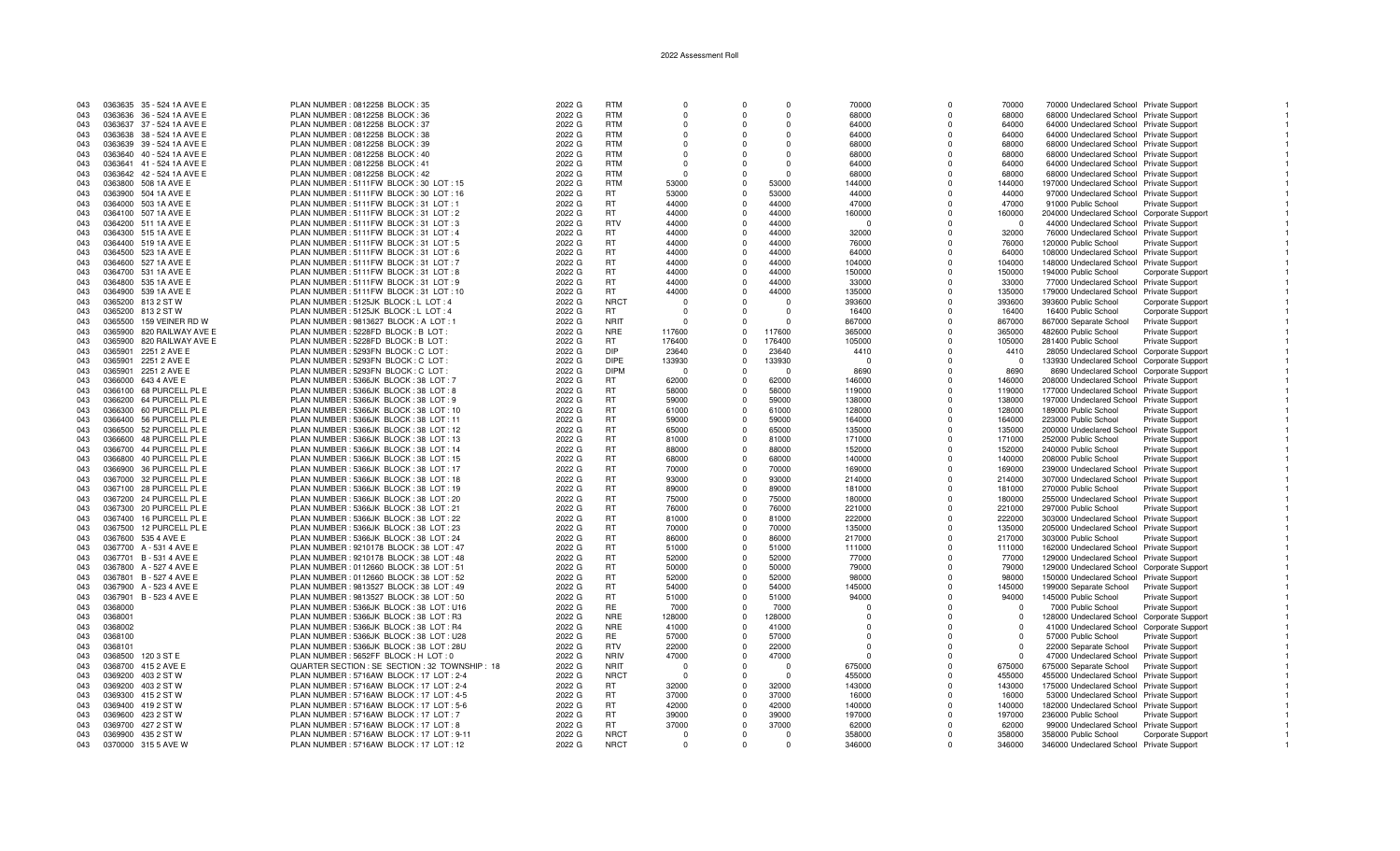| 043 | 0363635 35 - 524 1A AVE E  | PLAN NUMBER: 0812258 BLOCK: 35                  | 2022 G | <b>RTM</b>  | $\Omega$ | $\Omega$     | $\cap$   | 70000          | $\Omega$    | 70000    | 70000 Undeclared School Private Support    |                          |  |
|-----|----------------------------|-------------------------------------------------|--------|-------------|----------|--------------|----------|----------------|-------------|----------|--------------------------------------------|--------------------------|--|
| 043 | 0363636 36 - 524 1A AVE E  | PLAN NUMBER : 0812258 BLOCK : 36                | 2022 G | <b>RTM</b>  |          | $\Omega$     |          | 68000          | $\Omega$    | 68000    | 68000 Undeclared School Private Support    |                          |  |
| 043 | 0363637 37 - 524 1A AVE E  | PLAN NUMBER : 0812258 BLOCK : 37                | 2022 G | <b>RTM</b>  | $\Omega$ | $\Omega$     | $\Omega$ | 64000          | $\Omega$    | 64000    | 64000 Undeclared School Private Support    |                          |  |
|     |                            |                                                 |        |             |          |              |          |                |             |          |                                            |                          |  |
| 043 | 0363638 38 - 524 1A AVE E  | PLAN NUMBER : 0812258 BLOCK : 38                | 2022 G | <b>RTM</b>  | $\Omega$ | $\Omega$     | $\Omega$ | 64000          | $\Omega$    | 64000    | 64000 Undeclared School Private Support    |                          |  |
| 043 | 0363639 39 - 524 1A AVE E  | PLAN NUMBER: 0812258 BLOCK: 39                  | 2022 G | <b>RTM</b>  | $\Omega$ | $\Omega$     | $\Omega$ | 68000          | $\Omega$    | 68000    | 68000 Undeclared School Private Support    |                          |  |
| 043 | 0363640 40 - 524 1A AVE E  | PLAN NUMBER : 0812258 BLOCK : 40                | 2022 G | <b>RTM</b>  | $\Omega$ | $\Omega$     | $\Omega$ | 68000          | $\Omega$    | 68000    | 68000 Undeclared School Private Support    |                          |  |
| 043 | 0363641 41 - 524 1A AVE E  | PLAN NUMBER : 0812258 BLOCK : 41                | 2022 G | <b>RTM</b>  | $\Omega$ | $\Omega$     | $\Omega$ | 64000          | $\mathbf 0$ | 64000    | 64000 Undeclared School Private Support    |                          |  |
| 043 | 0363642 42 - 524 1A AVE E  | PLAN NUMBER : 0812258 BLOCK : 42                | 2022 G | <b>RTM</b>  | $\cap$   | $\Omega$     | $\cap$   | 68000          | $\Omega$    | 68000    | 68000 Undeclared School Private Support    |                          |  |
| 043 | 0363800 508 1A AVE E       | PLAN NUMBER: 5111FW BLOCK: 30 LOT: 15           | 2022 G | <b>RTM</b>  | 53000    | $\Omega$     | 53000    | 144000         | $\Omega$    | 144000   | 197000 Undeclared School Private Support   |                          |  |
|     | 0363900 504 1A AVE E       | PLAN NUMBER: 5111FW BLOCK: 30 LOT: 16           | 2022 G | RT.         | 53000    | $\Omega$     | 53000    | 44000          | $\Omega$    | 44000    |                                            |                          |  |
| 043 |                            |                                                 |        |             |          |              |          |                |             |          | 97000 Undeclared School Private Support    |                          |  |
| 043 | 0364000 503 1A AVE E       | PLAN NUMBER: 5111FW BLOCK: 31 LOT: 1            | 2022 G | <b>RT</b>   | 44000    | $\Omega$     | 44000    | 47000          | $\Omega$    | 47000    | 91000 Public School                        | Private Support          |  |
| 043 | 0364100 507 1A AVE E       | PLAN NUMBER: 5111FW BLOCK: 31 LOT: 2            | 2022 G | <b>RT</b>   | 44000    | $\Omega$     | 44000    | 160000         | $\Omega$    | 160000   | 204000 Undeclared School Corporate Support |                          |  |
| 043 | 0364200 511 1A AVE E       | PLAN NUMBER: 5111FW BLOCK: 31 LOT: 3            | 2022 G | <b>RTV</b>  | 44000    | $\Omega$     | 44000    | $\Omega$       | $\Omega$    | $\Omega$ | 44000 Undeclared School Private Support    |                          |  |
| 043 | 0364300 515 1A AVE E       | PLAN NUMBER: 5111FW BLOCK: 31 LOT: 4            | 2022 G | <b>RT</b>   | 44000    | $\Omega$     | 44000    | 32000          | $\Omega$    | 32000    | 76000 Undeclared School Private Support    |                          |  |
| 043 | 0364400 519 1A AVE E       | PLAN NUMBER: 5111FW BLOCK: 31 LOT: 5            | 2022 G | <b>RT</b>   | 44000    | $\Omega$     | 44000    | 76000          | $\Omega$    | 76000    | 120000 Public School                       | <b>Private Support</b>   |  |
| 043 | 0364500 523 1A AVE E       | PLAN NUMBER : 5111FW BLOCK : 31 LOT : 6         | 2022 G | <b>RT</b>   | 44000    | $\Omega$     | 44000    | 64000          | $\Omega$    | 64000    | 108000 Undeclared School Private Support   |                          |  |
|     |                            |                                                 |        | <b>RT</b>   |          | $\Omega$     | 44000    |                | $\Omega$    |          |                                            |                          |  |
| 043 | 0364600 527 1A AVE E       | PLAN NUMBER: 5111FW BLOCK: 31 LOT: 7            | 2022 G |             | 44000    |              |          | 104000         |             | 104000   | 148000 Undeclared School Private Support   |                          |  |
| 043 | 0364700 531 1A AVE E       | PLAN NUMBER : 5111FW BLOCK : 31 LOT : 8         | 2022 G | <b>RT</b>   | 44000    | $\Omega$     | 44000    | 150000         | $\Omega$    | 150000   | 194000 Public School                       | <b>Corporate Support</b> |  |
| 043 | 0364800 535 1A AVE E       | PLAN NUMBER: 5111FW BLOCK: 31 LOT: 9            | 2022 G | <b>RT</b>   | 44000    | $\mathbf{0}$ | 44000    | 33000          | $\Omega$    | 33000    | 77000 Undeclared School Private Support    |                          |  |
| 043 | 0364900 539 1A AVE E       | PLAN NUMBER: 5111FW BLOCK: 31 LOT: 10           | 2022 G | <b>RT</b>   | 44000    | $\Omega$     | 44000    | 135000         | $\Omega$    | 135000   | 179000 Undeclared School Private Support   |                          |  |
| 043 | 0365200 813 2 ST W         | PLAN NUMBER : 5125JK BLOCK : L LOT : 4          | 2022 G | <b>NRCT</b> | - 0      |              | $\cap$   | 393600         | $\Omega$    | 393600   | 393600 Public School                       | <b>Corporate Support</b> |  |
| 043 | 0365200 813 2 ST W         | PLAN NUMBER: 5125JK BLOCK: L LOT: 4             | 2022 G | RT.         | $\Omega$ | $\Omega$     | $\Omega$ | 16400          | $\Omega$    | 16400    | 16400 Public School                        | Corporate Support        |  |
| 043 | 159 VEINER RD W<br>0365500 | PLAN NUMBER : 9813627 BLOCK : A LOT : 1         | 2022 G | <b>NRIT</b> | $\Omega$ | $\Omega$     | $\Omega$ | 867000         | $\Omega$    | 867000   | 867000 Separate School                     | <b>Private Support</b>   |  |
| 043 |                            |                                                 |        |             |          | $\Omega$     |          |                | $\Omega$    |          |                                            |                          |  |
|     | 0365900 820 RAILWAY AVE E  | PLAN NUMBER : 5228FD BLOCK : B LOT              | 2022 G | <b>NRE</b>  | 117600   |              | 117600   | 365000         |             | 365000   | 482600 Public School                       | Private Support          |  |
| 043 | 0365900 820 RAILWAY AVE E  | PLAN NUMBER : 5228FD BLOCK : B LOT              | 2022 G | <b>RT</b>   | 176400   | $\Omega$     | 176400   | 105000         | $\Omega$    | 105000   | 281400 Public School                       | <b>Private Support</b>   |  |
| 043 | 0365901<br>2251 2 AVE E    | PLAN NUMBER : 5293FN BLOCK : C LOT              | 2022 G | DIP         | 23640    | $\Omega$     | 23640    | 4410           | $\Omega$    | 4410     | 28050 Undeclared School Corporate Support  |                          |  |
| 043 | 2251 2 AVE E<br>0365901    | PLAN NUMBER : 5293FN BLOCK : C LOT              | 2022 G | <b>DIPE</b> | 133930   | $\Omega$     | 133930   | $\Omega$       | $\Omega$    | $\Omega$ | 133930 Undeclared School Corporate Support |                          |  |
| 043 | 0365901<br>2251 2 AVE E    | PLAN NUMBER: 5293FN BLOCK: C LOT:               | 2022 G | <b>DIPM</b> | $\cap$   | $\Omega$     | $\cap$   | 8690           | $\Omega$    | 8690     | 8690 Undeclared School Corporate Support   |                          |  |
| 043 | 0366000 643 4 AVE E        | PLAN NUMBER: 5366JK BLOCK: 38 LOT: 7            | 2022 G | RT.         | 62000    | $\Omega$     | 62000    | 146000         | $\Omega$    | 146000   | 208000 Undeclared School Private Support   |                          |  |
| 043 | 0366100 68 PURCELL PL E    | PLAN NUMBER: 5366JK BLOCK: 38 LOT: 8            | 2022 G | <b>RT</b>   | 58000    | $\Omega$     | 58000    | 119000         | $\Omega$    | 119000   | 177000 Undeclared School Private Support   |                          |  |
|     |                            |                                                 |        |             |          |              |          |                |             |          |                                            |                          |  |
| 043 | 0366200 64 PURCELL PL E    | PLAN NUMBER: 5366JK BLOCK: 38 LOT: 9            | 2022 G | <b>RT</b>   | 59000    | $\Omega$     | 59000    | 138000         | $\Omega$    | 138000   | 197000 Undeclared School Private Support   |                          |  |
| 043 | 0366300 60 PURCELL PL E    | PLAN NUMBER: 5366JK BLOCK: 38 LOT: 10           | 2022 G | <b>RT</b>   | 61000    | $\Omega$     | 61000    | 128000         | $\Omega$    | 128000   | 189000 Public School                       | Private Support          |  |
| 043 | 0366400 56 PURCELL PL E    | PLAN NUMBER: 5366JK BLOCK: 38 LOT: 11           | 2022 G | <b>RT</b>   | 59000    | $\Omega$     | 59000    | 164000         | $\Omega$    | 164000   | 223000 Public School                       | Private Support          |  |
| 043 | 0366500 52 PURCELL PL E    | PLAN NUMBER : 5366JK BLOCK : 38 LOT : 12        | 2022 G | <b>RT</b>   | 65000    | $\Omega$     | 65000    | 135000         | $\Omega$    | 135000   | 200000 Undeclared School Private Support   |                          |  |
| 043 | 0366600<br>48 PURCELL PL E | PLAN NUMBER: 5366JK BLOCK: 38 LOT: 13           | 2022 G | <b>RT</b>   | 81000    | $\Omega$     | 81000    | 171000         | $\Omega$    | 171000   | 252000 Public School                       | <b>Private Support</b>   |  |
| 043 | 0366700 44 PURCELL PL E    | PLAN NUMBER: 5366JK BLOCK: 38 LOT: 14           | 2022 G | <b>RT</b>   | 88000    | $\Omega$     | 88000    | 152000         | $\Omega$    | 152000   | 240000 Public School                       | <b>Private Support</b>   |  |
| 043 | 0366800 40 PURCELL PL E    | PLAN NUMBER: 5366JK BLOCK: 38 LOT: 15           | 2022 G | <b>RT</b>   | 68000    | $\Omega$     | 68000    | 140000         | $\Omega$    | 140000   | 208000 Public School                       | Private Support          |  |
|     |                            |                                                 |        |             |          |              |          |                |             |          |                                            |                          |  |
| 043 | 0366900 36 PURCELL PL E    | PLAN NUMBER: 5366JK BLOCK: 38 LOT: 17           | 2022 G | <b>RT</b>   | 70000    | $\mathbf 0$  | 70000    | 169000         | $\mathbf 0$ | 169000   | 239000 Undeclared School Private Support   |                          |  |
| 043 | 0367000 32 PURCELL PL E    | PLAN NUMBER: 5366JK BLOCK: 38 LOT: 18           | 2022 G | <b>RT</b>   | 93000    | $\Omega$     | 93000    | 214000         | $\Omega$    | 214000   | 307000 Undeclared School Private Support   |                          |  |
| 043 | 0367100 28 PURCELL PL E    | PLAN NUMBER: 5366JK BLOCK: 38 LOT: 19           | 2022 G | <b>RT</b>   | 89000    | $\Omega$     | 89000    | 181000         | $\Omega$    | 181000   | 270000 Public School                       | Private Support          |  |
| 043 | 0367200 24 PURCELL PL E    | PLAN NUMBER: 5366JK BLOCK: 38 LOT: 20           | 2022 G | <b>RT</b>   | 75000    | $\Omega$     | 75000    | 180000         | $\Omega$    | 180000   | 255000 Undeclared School Private Support   |                          |  |
| 043 | 0367300 20 PURCELL PL E    | PLAN NUMBER: 5366JK BLOCK: 38 LOT: 21           | 2022 G | <b>RT</b>   | 76000    | $\Omega$     | 76000    | 221000         | $\Omega$    | 221000   | 297000 Public School                       | <b>Private Support</b>   |  |
| 043 | 0367400 16 PURCELL PL E    | PLAN NUMBER: 5366JK BLOCK: 38 LOT: 22           | 2022 G | <b>RT</b>   | 81000    | $\Omega$     | 81000    | 222000         | $\Omega$    | 222000   | 303000 Undeclared School Private Support   |                          |  |
| 043 | 0367500 12 PURCELL PL E    | PLAN NUMBER: 5366JK BLOCK: 38 LOT: 23           | 2022 G | <b>RT</b>   | 70000    | $\Omega$     | 70000    | 135000         | $\Omega$    | 135000   | 205000 Undeclared School Private Support   |                          |  |
|     |                            |                                                 |        |             |          |              |          |                |             |          |                                            |                          |  |
| 043 | 0367600 535 4 AVE E        | PLAN NUMBER: 5366JK BLOCK: 38 LOT: 24           | 2022 G | RT          | 86000    | $\Omega$     | 86000    | 217000         | $\Omega$    | 217000   | 303000 Public School                       | Private Support          |  |
| 043 | 0367700 A - 531 4 AVE E    | PLAN NUMBER : 9210178 BLOCK : 38 LOT : 47       | 2022 G | <b>RT</b>   | 51000    | $\Omega$     | 51000    | 111000         | $\Omega$    | 111000   | 162000 Undeclared School Private Support   |                          |  |
| 043 | 0367701 B-5314 AVE E       | PLAN NUMBER : 9210178 BLOCK : 38 LOT : 48       | 2022 G | <b>RT</b>   | 52000    | $\Omega$     | 52000    | 77000          | $\Omega$    | 77000    | 129000 Undeclared School Private Support   |                          |  |
| 043 | 0367800 A - 527 4 AVE E    | PLAN NUMBER : 0112660 BLOCK : 38 LOT : 51       | 2022 G | <b>RT</b>   | 50000    | $\Omega$     | 50000    | 79000          | $\Omega$    | 79000    | 129000 Undeclared School Corporate Suppor  |                          |  |
| 043 | 0367801 B - 527 4 AVE E    | PLAN NUMBER : 0112660 BLOCK : 38 LOT : 52       | 2022 G | <b>RT</b>   | 52000    | $\Omega$     | 52000    | 98000          | $\Omega$    | 98000    | 150000 Undeclared School Private Support   |                          |  |
| 043 | 0367900 A - 523 4 AVE E    | PLAN NUMBER : 9813527 BLOCK : 38 LOT : 49       | 2022 G | <b>RT</b>   | 54000    | $\mathbf 0$  | 54000    | 145000         | $\Omega$    | 145000   | 199000 Separate School                     | Private Support          |  |
| 043 | 0367901 B - 523 4 AVE E    | PLAN NUMBER: 9813527 BLOCK: 38 LOT: 50          | 2022 G | <b>RT</b>   | 51000    | $\Omega$     | 51000    | 94000          | $\Omega$    | 94000    | 145000 Public School                       | Private Support          |  |
|     |                            |                                                 |        |             |          | $\Omega$     |          |                | $\Omega$    |          |                                            |                          |  |
| 043 | 0368000                    | PLAN NUMBER: 5366JK BLOCK: 38 LOT: U16          | 2022 G | <b>RE</b>   | 7000     |              | 7000     | $\Omega$       |             | $\cap$   | 7000 Public School                         | <b>Private Support</b>   |  |
| 043 | 0368001                    | PLAN NUMBER: 5366JK BLOCK: 38 LOT: R3           | 2022 G | <b>NRE</b>  | 128000   | $\Omega$     | 128000   | $\Omega$       | $\Omega$    | $\Omega$ | 128000 Undeclared School Corporate Support |                          |  |
| 043 | 0368002                    | PLAN NUMBER: 5366JK BLOCK: 38 LOT: R4           | 2022 G | <b>NRE</b>  | 41000    | $\Omega$     | 41000    | $\overline{0}$ | $\Omega$    | $\Omega$ | 41000 Undeclared School Corporate Support  |                          |  |
| 043 | 0368100                    | PLAN NUMBER: 5366JK BLOCK: 38 LOT: U28          | 2022 G | RE.         | 57000    | $\Omega$     | 57000    | $\Omega$       | $\Omega$    | $\Omega$ | 57000 Public School                        | <b>Private Support</b>   |  |
| 043 | 0368101                    | PLAN NUMBER: 5366JK BLOCK: 38 LOT: 28U          | 2022 G | <b>RTV</b>  | 22000    | $\Omega$     | 22000    | $\Omega$       | $\Omega$    | $\cap$   | 22000 Separate School                      | Private Support          |  |
| 043 | 0368500 120 3 ST E         | PLAN NUMBER : 5652FF BLOCK : H LOT : 0          | 2022 G | <b>NRIV</b> | 47000    | $\Omega$     | 47000    | $\Omega$       |             | $\Omega$ | 47000 Undeclared School Private Support    |                          |  |
|     | 0368700<br>415 2 AVE E     | QUARTER SECTION : SE SECTION : 32 TOWNSHIP : 18 | 2022 G | <b>NRIT</b> | $\Omega$ | $\Omega$     | - 0      | 675000         | $\Omega$    | 675000   |                                            |                          |  |
| 043 |                            |                                                 |        |             |          | $\Omega$     | $\Omega$ |                | $\Omega$    |          | 675000 Separate School                     | <b>Private Support</b>   |  |
| 043 | 0369200 403 2 ST W         | PLAN NUMBER: 5716AW BLOCK: 17 LOT: 2-4          | 2022 G | <b>NRCT</b> | - 0      |              |          | 455000         |             | 455000   | 455000 Undeclared School Private Support   |                          |  |
| 043 | 0369200 403 2 ST W         | PLAN NUMBER: 5716AW BLOCK: 17 LOT: 2-4          | 2022 G | RT.         | 32000    | $\Omega$     | 32000    | 143000         | $\Omega$    | 143000   | 175000 Undeclared School Private Support   |                          |  |
| 043 | 0369300 415 2 ST W         | PLAN NUMBER: 5716AW BLOCK: 17 LOT: 4-5          | 2022 G | <b>RT</b>   | 37000    | $\Omega$     | 37000    | 16000          | $\Omega$    | 16000    | 53000 Undeclared School Private Support    |                          |  |
| 043 | 0369400 419 2 ST W         | PLAN NUMBER: 5716AW BLOCK: 17 LOT: 5-6          | 2022 G | <b>RT</b>   | 42000    | $\Omega$     | 42000    | 140000         | $\Omega$    | 140000   | 182000 Undeclared School Private Support   |                          |  |
| 043 | 0369600 423 2 ST W         | PLAN NUMBER: 5716AW BLOCK: 17 LOT: 7            | 2022 G | <b>RT</b>   | 39000    | $\Omega$     | 39000    | 197000         | $\Omega$    | 197000   | 236000 Public School                       | Private Support          |  |
| 043 | 0369700 427 2 ST W         | PLAN NUMBER: 5716AW BLOCK: 17 LOT: 8            | 2022 G | <b>RT</b>   | 37000    | $\Omega$     | 37000    | 62000          | $\Omega$    | 62000    | 99000 Undeclared School Private Support    |                          |  |
| 043 | 0369900 435 2 ST W         | PLAN NUMBER: 5716AW BLOCK: 17 LOT: 9-11         | 2022 G | <b>NRCT</b> | $\Omega$ | $\Omega$     | $\cap$   | 358000         | $\Omega$    | 358000   | 358000 Public School                       | <b>Corporate Support</b> |  |
| 043 |                            | PLAN NUMBER: 5716AW BLOCK: 17 LOT: 12           | 2022 G | <b>NRCT</b> |          | $\Omega$     | റ        | 346000         |             | 346000   | 346000 Undeclared School Private Support   |                          |  |
|     | 0370000 315 5 AVE W        |                                                 |        |             |          |              |          |                |             |          |                                            |                          |  |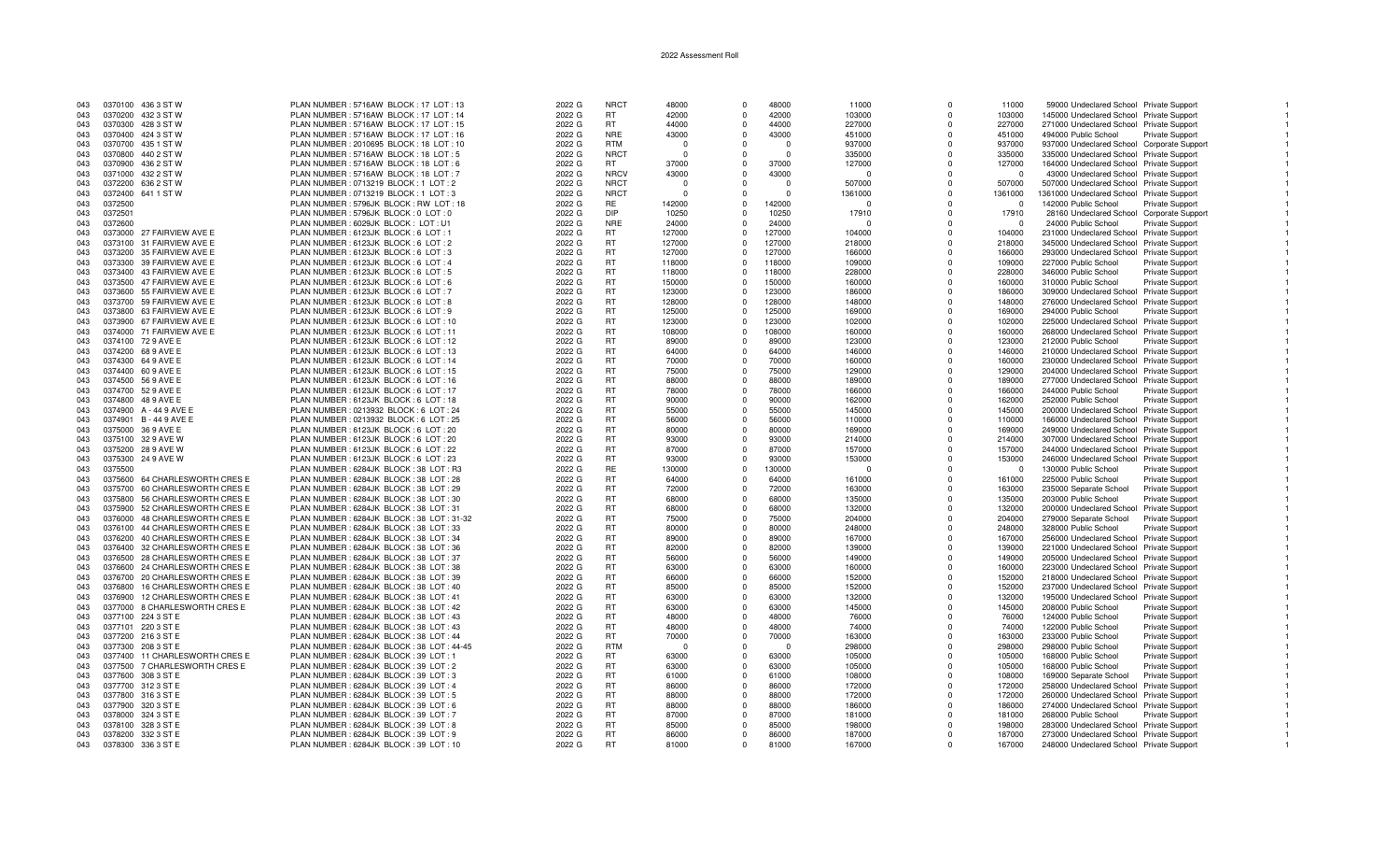| 043 | 0370100 436 3 ST W             |                               | PLAN NUMBER: 5716AW BLOCK: 17 LOT: 13     | 2022 G | <b>NRCT</b> | 48000    | $\Omega$     | 48000    | 11000    | $\Omega$    | 11000    | 59000 Undeclared School Private Support    |                        |  |
|-----|--------------------------------|-------------------------------|-------------------------------------------|--------|-------------|----------|--------------|----------|----------|-------------|----------|--------------------------------------------|------------------------|--|
| 043 | 0370200 432 3 ST W             |                               | PLAN NUMBER: 5716AW BLOCK: 17 LOT: 14     | 2022 G | RT          | 42000    | $\Omega$     | 42000    | 103000   | $\Omega$    | 103000   | 145000 Undeclared School Private Support   |                        |  |
| 043 | 0370300 428 3 ST W             |                               | PLAN NUMBER: 5716AW BLOCK: 17 LOT: 15     | 2022 G | <b>RT</b>   | 44000    | $\Omega$     | 44000    | 227000   | $\Omega$    | 227000   | 271000 Undeclared School Private Support   |                        |  |
| 043 | 0370400 424 3 ST W             |                               | PLAN NUMBER: 5716AW BLOCK: 17 LOT: 16     | 2022 G | <b>NRE</b>  | 43000    | $\Omega$     | 43000    | 451000   | $\Omega$    | 451000   | 494000 Public School                       | Private Support        |  |
| 043 |                                |                               |                                           |        | <b>RTM</b>  | - 0      | $\Omega$     | $\Omega$ |          | $\Omega$    | 937000   |                                            |                        |  |
|     | 0370700 435 1 ST W             |                               | PLAN NUMBER : 2010695 BLOCK : 18 LOT : 10 | 2022 G |             |          |              |          | 937000   |             |          | 937000 Undeclared School Corporate Support |                        |  |
| 043 | 0370800 440 2 ST W             |                               | PLAN NUMBER: 5716AW BLOCK: 18 LOT: 5      | 2022 G | <b>NRCT</b> | - 0      | $\Omega$     | $\cap$   | 335000   | $\Omega$    | 335000   | 335000 Undeclared School Private Support   |                        |  |
| 043 | 0370900<br>436 2 ST W          |                               | PLAN NUMBER: 5716AW BLOCK: 18 LOT: 6      | 2022 G | RT.         | 37000    | $\Omega$     | 37000    | 127000   | $\Omega$    | 127000   | 164000 Undeclared School Private Support   |                        |  |
| 043 | 0371000 432 2 ST W             |                               | PLAN NUMBER: 5716AW BLOCK: 18 LOT: 7      | 2022 G | <b>NRCV</b> | 43000    | $\Omega$     | 43000    | $\Omega$ | $\Omega$    | $\Omega$ | 43000 Undeclared School Private Support    |                        |  |
| 043 | 0372200 636 2 ST W             |                               | PLAN NUMBER : 0713219 BLOCK : 1 LOT : 2   | 2022 G | <b>NRCT</b> | $\Omega$ | $\Omega$     | $\cap$   | 507000   | $\Omega$    | 507000   | 507000 Undeclared School Private Support   |                        |  |
| 043 | 0372400 641 1 ST W             |                               | PLAN NUMBER: 0713219 BLOCK: 1 LOT: 3      | 2022 G | <b>NRCT</b> | - 0      | $\Omega$     | $\Omega$ | 1361000  | $\Omega$    | 1361000  | 1361000 Undeclared School Private Support  |                        |  |
| 043 | 0372500                        |                               | PLAN NUMBER: 5796JK BLOCK: RW LOT: 18     | 2022 G | RE.         | 142000   | $\Omega$     | 142000   | $\Omega$ | $\Omega$    | $\Omega$ | 142000 Public School                       | <b>Private Support</b> |  |
| 043 | 0372501                        |                               | PLAN NUMBER : 5796JK BLOCK : 0 LOT : 0    | 2022 G | DIP.        | 10250    | $\Omega$     | 10250    | 17910    | $\Omega$    | 17910    | 28160 Undeclared School Corporate Support  |                        |  |
| 043 | 0372600                        |                               | PLAN NUMBER : 6029JK BLOCK : LOT : U1     | 2022 G | <b>NRE</b>  | 24000    |              | 24000    | $\Omega$ | $\Omega$    |          | 24000 Public School                        | <b>Private Support</b> |  |
| 043 | 0373000 27 FAIRVIEW AVE E      |                               | PLAN NUMBER : 6123JK BLOCK : 6 LOT : 1    | 2022 G | RT          | 127000   | $\Omega$     | 127000   | 104000   | $\Omega$    | 104000   | 231000 Undeclared School Private Support   |                        |  |
| 043 | 0373100 31 FAIRVIEW AVE E      |                               | PLAN NUMBER : 6123JK BLOCK : 6 LOT : 2    | 2022 G | RT          | 127000   | $\Omega$     | 127000   | 218000   | $\Omega$    | 218000   | 345000 Undeclared School Private Support   |                        |  |
|     |                                |                               |                                           |        |             |          | $\Omega$     |          |          | $\Omega$    |          |                                            |                        |  |
| 043 | 0373200 35 FAIRVIEW AVE E      |                               | PLAN NUMBER : 6123JK BLOCK : 6 LOT : 3    | 2022 G | RT          | 127000   |              | 127000   | 166000   |             | 166000   | 293000 Undeclared School Private Support   |                        |  |
| 043 | 0373300 39 FAIRVIEW AVE E      |                               | PLAN NUMBER : 6123JK BLOCK : 6 LOT : 4    | 2022 G | <b>RT</b>   | 118000   | $\Omega$     | 118000   | 109000   | $\Omega$    | 109000   | 227000 Public School                       | <b>Private Support</b> |  |
| 043 | 0373400 43 FAIRVIEW AVE E      |                               | PLAN NUMBER: 6123JK BLOCK: 6 LOT: 5       | 2022 G | <b>RT</b>   | 118000   | $\Omega$     | 118000   | 228000   | $\Omega$    | 228000   | 346000 Public School                       | <b>Private Support</b> |  |
| 043 | 0373500 47 FAIRVIEW AVE E      |                               | PLAN NUMBER : 6123JK BLOCK : 6 LOT : 6    | 2022 G | <b>RT</b>   | 150000   | $\Omega$     | 150000   | 160000   | $\Omega$    | 160000   | 310000 Public School                       | <b>Private Support</b> |  |
| 043 | 0373600 55 FAIRVIEW AVE E      |                               | PLAN NUMBER : 6123JK BLOCK : 6 LOT : 7    | 2022 G | <b>RT</b>   | 123000   | $\Omega$     | 123000   | 186000   | $\Omega$    | 186000   | 309000 Undeclared School Private Support   |                        |  |
| 043 | 0373700 59 FAIRVIEW AVE E      |                               | PLAN NUMBER: 6123JK BLOCK: 6 LOT: 8       | 2022 G | RT          | 128000   | $\Omega$     | 128000   | 148000   | $\Omega$    | 148000   | 276000 Undeclared School Private Support   |                        |  |
| 043 | 0373800 63 FAIRVIEW AVE E      |                               | PLAN NUMBER : 6123JK BLOCK : 6 LOT : 9    | 2022 G | RT          | 125000   | $\Omega$     | 125000   | 169000   | $\mathbf 0$ | 169000   | 294000 Public School                       | Private Support        |  |
| 043 | 0373900 67 FAIRVIEW AVE E      |                               | PLAN NUMBER: 6123JK BLOCK: 6 LOT: 10      | 2022 G | RT          | 123000   | $\Omega$     | 123000   | 102000   | $\Omega$    | 102000   | 225000 Undeclared School Private Support   |                        |  |
| 043 | 0374000 71 FAIRVIEW AVE E      |                               | PLAN NUMBER: 6123JK BLOCK: 6 LOT: 11      | 2022 G | <b>RT</b>   | 108000   | $\Omega$     | 108000   | 160000   | $\Omega$    | 160000   | 268000 Undeclared School Private Support   |                        |  |
| 043 | 0374100 72 9 AVE E             |                               | PLAN NUMBER: 6123JK BLOCK: 6 LOT: 12      | 2022 G | <b>RT</b>   | 89000    | $\Omega$     | 89000    | 123000   | $\Omega$    | 123000   | 212000 Public School                       | <b>Private Support</b> |  |
|     | 0374200 68 9 AVE E             |                               |                                           |        | <b>RT</b>   | 64000    |              | 64000    |          |             |          |                                            |                        |  |
| 043 |                                |                               | PLAN NUMBER : 6123JK BLOCK : 6 LOT : 13   | 2022 G |             |          | $\Omega$     |          | 146000   | $\Omega$    | 146000   | 210000 Undeclared School Private Support   |                        |  |
| 043 | 0374300 64 9 AVE E             |                               | PLAN NUMBER: 6123JK BLOCK: 6 LOT: 14      | 2022 G | RT          | 70000    | $\Omega$     | 70000    | 160000   | $\Omega$    | 160000   | 230000 Undeclared School Private Support   |                        |  |
| 043 | 0374400 60 9 AVE E             |                               | PLAN NUMBER : 6123JK BLOCK : 6 LOT : 15   | 2022 G | <b>RT</b>   | 75000    | $\Omega$     | 75000    | 129000   | $\Omega$    | 129000   | 204000 Undeclared School Private Support   |                        |  |
| 043 | 0374500 56 9 AVE E             |                               | PLAN NUMBER: 6123JK BLOCK: 6 LOT: 16      | 2022 G | RT          | 88000    | $\Omega$     | 88000    | 189000   | $\Omega$    | 189000   | 277000 Undeclared School Private Support   |                        |  |
| 043 | 0374700 52 9 AVE E             |                               | PLAN NUMBER : 6123JK BLOCK : 6 LOT : 17   | 2022 G | RT          | 78000    | $\Omega$     | 78000    | 166000   | $\Omega$    | 166000   | 244000 Public School                       | Private Support        |  |
| 043 | 0374800 48 9 AVE E             |                               | PLAN NUMBER: 6123JK BLOCK: 6 LOT: 18      | 2022 G | <b>RT</b>   | 90000    | $\Omega$     | 90000    | 162000   | $\Omega$    | 162000   | 252000 Public School                       | <b>Private Support</b> |  |
| 043 | 0374900 A - 44 9 AVE E         |                               | PLAN NUMBER : 0213932 BLOCK : 6 LOT : 24  | 2022 G | <b>RT</b>   | 55000    | $\Omega$     | 55000    | 145000   | $\Omega$    | 145000   | 200000 Undeclared School Private Support   |                        |  |
| 043 | 0374901 B-449 AVE E            |                               | PLAN NUMBER : 0213932 BLOCK : 6 LOT : 25  | 2022 G | <b>RT</b>   | 56000    | $\Omega$     | 56000    | 110000   | $\Omega$    | 110000   | 166000 Undeclared School Private Support   |                        |  |
| 043 | 0375000 36 9 AVE E             |                               | PLAN NUMBER : 6123JK BLOCK : 6 LOT : 20   | 2022 G | RT          | 80000    | $\mathbf 0$  | 80000    | 169000   | $\Omega$    | 169000   | 249000 Undeclared School Private Support   |                        |  |
| 043 | 0375100 32 9 AVE W             |                               | PLAN NUMBER: 6123JK BLOCK: 6 LOT: 20      | 2022 G | RT          | 93000    | $\Omega$     | 93000    | 214000   | $\Omega$    | 214000   | 307000 Undeclared School Private Support   |                        |  |
|     |                                |                               |                                           |        |             |          | $\Omega$     |          |          | $\Omega$    |          |                                            |                        |  |
| 043 | 0375200 28 9 AVE W             |                               | PLAN NUMBER : 6123JK BLOCK : 6 LOT : 22   | 2022 G | RT          | 87000    |              | 87000    | 157000   |             | 157000   | 244000 Undeclared School Private Support   |                        |  |
| 043 | 0375300 24 9 AVE W             |                               | PLAN NUMBER: 6123JK BLOCK: 6 LOT: 23      | 2022 G | RT          | 93000    | $\Omega$     | 93000    | 153000   | $\Omega$    | 153000   | 246000 Undeclared School Private Support   |                        |  |
| 043 | 0375500                        |                               | PLAN NUMBER: 6284JK BLOCK: 38 LOT: R3     | 2022 G | <b>RE</b>   | 130000   | $\mathbf{0}$ | 130000   | $\Omega$ | $\Omega$    | $\Omega$ | 130000 Public School                       | <b>Private Support</b> |  |
| 043 | 0375600                        | 64 CHARLESWORTH CRES E        | PLAN NUMBER: 6284JK BLOCK: 38 LOT: 28     | 2022 G | <b>RT</b>   | 64000    | $\Omega$     | 64000    | 161000   | $\Omega$    | 161000   | 225000 Public School                       | <b>Private Support</b> |  |
| 043 | 0375700 60 CHARLESWORTH CRES E |                               | PLAN NUMBER: 6284JK BLOCK: 38 LOT: 29     | 2022 G | <b>RT</b>   | 72000    | $\Omega$     | 72000    | 163000   | $\Omega$    | 163000   | 235000 Separate School                     | <b>Private Support</b> |  |
| 043 | 0375800 56 CHARLESWORTH CRES E |                               | PLAN NUMBER: 6284JK BLOCK: 38 LOT: 30     | 2022 G | <b>RT</b>   | 68000    | $\Omega$     | 68000    | 135000   | $\Omega$    | 135000   | 203000 Public School                       | Private Support        |  |
| 043 | 0375900 52 CHARLESWORTH CRES E |                               | PLAN NUMBER: 6284JK BLOCK: 38 LOT: 31     | 2022 G | RT          | 68000    | $\mathbf 0$  | 68000    | 132000   | $\Omega$    | 132000   | 200000 Undeclared School Private Support   |                        |  |
| 043 | 0376000 48 CHARLESWORTH CRES E |                               | PLAN NUMBER: 6284JK BLOCK: 38 LOT: 31-32  | 2022 G | RT          | 75000    | $\Omega$     | 75000    | 204000   | $\Omega$    | 204000   | 279000 Separate School                     | Private Support        |  |
| 043 | 0376100 44 CHARLESWORTH CRES E |                               | PLAN NUMBER: 6284JK BLOCK: 38 LOT: 33     | 2022 G | RT          | 80000    | $\Omega$     | 80000    | 248000   | $\Omega$    | 248000   | 328000 Public School                       | <b>Private Support</b> |  |
| 043 | 0376200 40 CHARLESWORTH CRES E |                               | PLAN NUMBER: 6284JK BLOCK: 38 LOT: 34     | 2022 G | <b>RT</b>   | 89000    | $\Omega$     | 89000    | 167000   | $\Omega$    | 167000   | 256000 Undeclared School Private Support   |                        |  |
| 043 | 0376400 32 CHARLESWORTH CRES E |                               | PLAN NUMBER: 6284JK BLOCK: 38 LOT: 36     | 2022 G | RT          | 82000    | $\Omega$     | 82000    | 139000   | $\Omega$    | 139000   | 221000 Undeclared School Private Support   |                        |  |
|     |                                |                               |                                           |        |             |          |              |          |          |             |          |                                            |                        |  |
| 043 | 0376500 28 CHARLESWORTH CRES E |                               | PLAN NUMBER: 6284JK BLOCK: 38 LOT: 37     | 2022 G | <b>RT</b>   | 56000    | $\Omega$     | 56000    | 149000   | $\Omega$    | 149000   | 205000 Undeclared School Private Support   |                        |  |
| 043 | 0376600 24 CHARLESWORTH CRES E |                               | PLAN NUMBER: 6284JK BLOCK: 38 LOT: 38     | 2022 G | RT          | 63000    | $\Omega$     | 63000    | 160000   | $\Omega$    | 160000   | 223000 Undeclared School Private Support   |                        |  |
| 043 | 0376700 20 CHARLESWORTH CRES E |                               | PLAN NUMBER: 6284JK BLOCK: 38 LOT: 39     | 2022 G | <b>RT</b>   | 66000    | $\Omega$     | 66000    | 152000   | $\Omega$    | 152000   | 218000 Undeclared School Private Support   |                        |  |
| 043 | 0376800 16 CHARLESWORTH CRES E |                               | PLAN NUMBER : 6284JK BLOCK : 38 LOT : 40  | 2022 G | RT          | 85000    | $\mathbf 0$  | 85000    | 152000   | $\Omega$    | 152000   | 237000 Undeclared School Private Support   |                        |  |
| 043 | 0376900                        | <b>12 CHARLESWORTH CRES E</b> | PLAN NUMBER : 6284JK BLOCK : 38 LOT : 41  | 2022 G | <b>RT</b>   | 63000    | $\Omega$     | 63000    | 132000   | $\Omega$    | 132000   | 195000 Undeclared School Private Support   |                        |  |
| 043 | 0377000 8 CHARLESWORTH CRES E  |                               | PLAN NUMBER: 6284JK BLOCK: 38 LOT: 42     | 2022 G | <b>RT</b>   | 63000    | $\Omega$     | 63000    | 145000   | $\Omega$    | 145000   | 208000 Public School                       | <b>Private Support</b> |  |
| 043 | 0377100 224 3 ST E             |                               | PLAN NUMBER: 6284JK BLOCK: 38 LOT: 43     | 2022 G | <b>RT</b>   | 48000    | $\Omega$     | 48000    | 76000    | $\Omega$    | 76000    | 124000 Public School                       | Private Support        |  |
| 043 | 0377101 220 3 ST E             |                               | PLAN NUMBER: 6284JK BLOCK: 38 LOT: 43     | 2022 G | <b>RT</b>   | 48000    | $\Omega$     | 48000    | 74000    | $\Omega$    | 74000    | 122000 Public School                       | <b>Private Support</b> |  |
| 043 | 0377200 216 3 ST E             |                               | PLAN NUMBER: 6284JK BLOCK: 38 LOT: 44     | 2022 G | <b>RT</b>   | 70000    | $\Omega$     | 70000    | 163000   | $\Omega$    | 163000   | 233000 Public School                       | Private Support        |  |
| 043 | 0377300 208 3 ST E             |                               | PLAN NUMBER: 6284JK BLOCK: 38 LOT: 44-45  | 2022 G | <b>RTM</b>  | - 0      | $\Omega$     | $\Omega$ | 298000   | $\Omega$    | 298000   | 298000 Public School                       | Private Support        |  |
|     |                                |                               |                                           |        |             |          |              |          |          |             |          |                                            |                        |  |
| 043 | 0377400 11 CHARLESWORTH CRES E |                               | PLAN NUMBER: 6284JK BLOCK: 39 LOT: 1      | 2022 G | <b>RT</b>   | 63000    | $\Omega$     | 63000    | 105000   | $\Omega$    | 105000   | 168000 Public School                       | Private Support        |  |
| 043 | 0377500 7 CHARLESWORTH CRES E  |                               | PLAN NUMBER: 6284JK BLOCK: 39 LOT: 2      | 2022 G | RT          | 63000    | $\Omega$     | 63000    | 105000   | $\Omega$    | 105000   | 168000 Public School                       | Private Support        |  |
| 043 | 0377600 308 3 ST E             |                               | PLAN NUMBER: 6284JK BLOCK: 39 LOT: 3      | 2022 G | <b>RT</b>   | 61000    | $\Omega$     | 61000    | 108000   | $\Omega$    | 108000   | 169000 Separate School                     | Private Support        |  |
| 043 | 0377700 312 3 ST E             |                               | PLAN NUMBER : 6284JK BLOCK : 39 LOT : 4   | 2022 G | <b>RT</b>   | 86000    | $\Omega$     | 86000    | 172000   | $\Omega$    | 172000   | 258000 Undeclared School Private Support   |                        |  |
| 043 | 0377800 316 3 ST E             |                               | PLAN NUMBER: 6284JK BLOCK: 39 LOT: 5      | 2022 G | <b>RT</b>   | 88000    | $\Omega$     | 88000    | 172000   | $\Omega$    | 172000   | 260000 Undeclared School Private Support   |                        |  |
| 043 | 0377900 320 3 ST E             |                               | PLAN NUMBER: 6284JK BLOCK: 39 LOT: 6      | 2022 G | RT          | 88000    | $^{\circ}$   | 88000    | 186000   | $\Omega$    | 186000   | 274000 Undeclared School Private Support   |                        |  |
| 043 | 0378000 324 3 ST E             |                               | PLAN NUMBER: 6284JK BLOCK: 39 LOT: 7      | 2022 G | <b>RT</b>   | 87000    | $\Omega$     | 87000    | 181000   | $\Omega$    | 181000   | 268000 Public School                       | Private Support        |  |
| 043 | 0378100 328 3 ST E             |                               | PLAN NUMBER: 6284JK BLOCK: 39 LOT: 8      | 2022 G | RT          | 85000    | $\Omega$     | 85000    | 198000   | $\Omega$    | 198000   | 283000 Undeclared School Private Support   |                        |  |
| 043 | 0378200 332 3 ST E             |                               | PLAN NUMBER: 6284JK BLOCK: 39 LOT: 9      | 2022 G | <b>RT</b>   | 86000    | $\Omega$     | 86000    | 187000   | $\Omega$    | 187000   | 273000 Undeclared School Private Support   |                        |  |
| 043 | 0378300 336 3 ST E             |                               | PLAN NUMBER: 6284JK BLOCK: 39 LOT: 10     | 2022 G | <b>RT</b>   | 81000    | $\Omega$     | 81000    | 167000   | $\Omega$    | 167000   | 248000 Undeclared School Private Support   |                        |  |
|     |                                |                               |                                           |        |             |          |              |          |          |             |          |                                            |                        |  |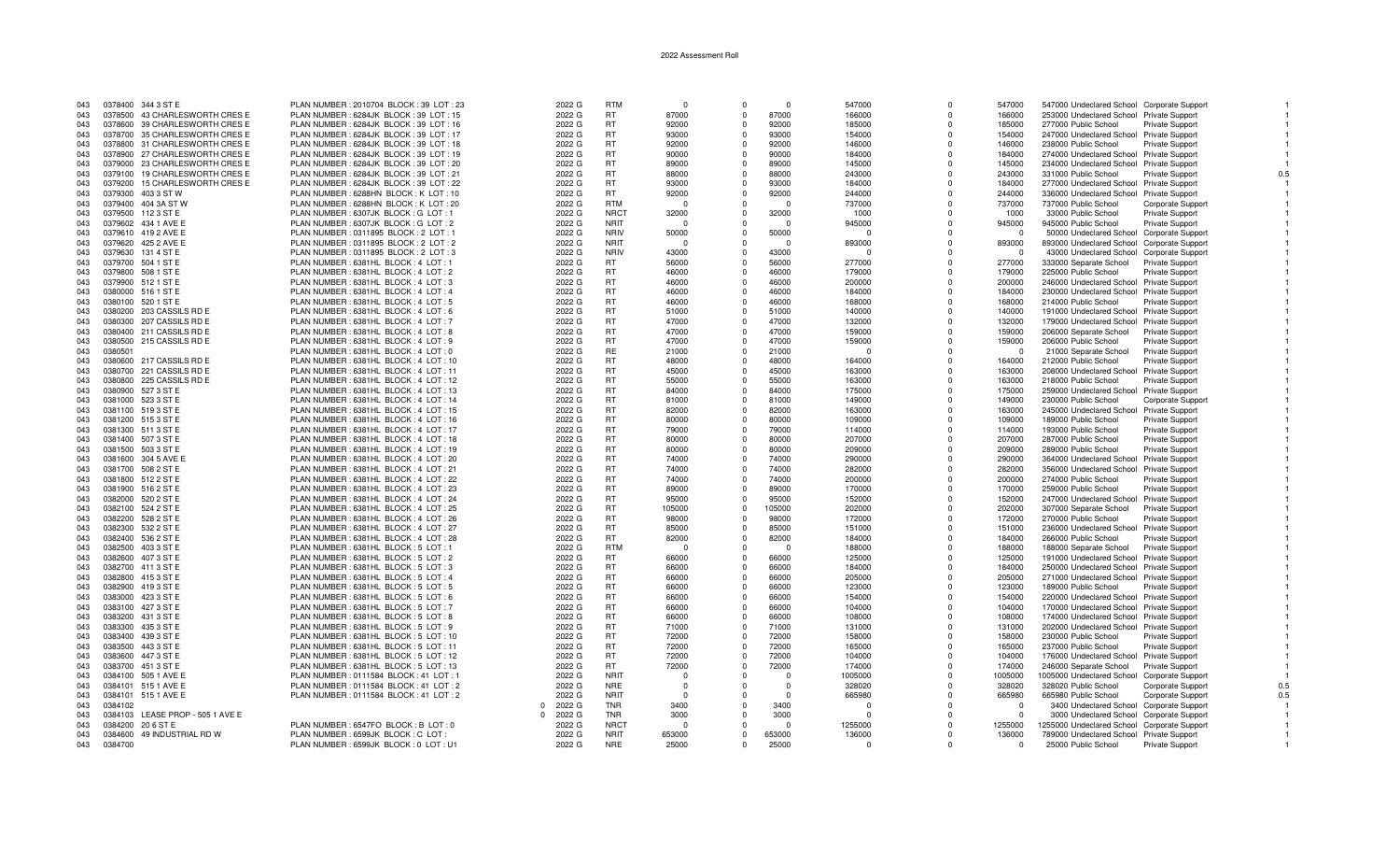| 043 | 0378400 344 3 ST E               | PLAN NUMBER: 2010704 BLOCK: 39 LOT: 23   | 2022 G             | <b>RTM</b>       | $\Omega$   | $\Omega$   | $\Omega$ | 547000   | $\Omega$    | 547000   | 547000 Undeclared School Corporate Support  |                        |     |
|-----|----------------------------------|------------------------------------------|--------------------|------------------|------------|------------|----------|----------|-------------|----------|---------------------------------------------|------------------------|-----|
| 043 | 0378500 43 CHARLESWORTH CRES E   | PLAN NUMBER: 6284JK BLOCK: 39 LOT: 15    | 2022 G             | RT               | 87000      | $\Omega$   | 87000    | 166000   | $\mathbf 0$ | 166000   | 253000 Undeclared School Private Support    |                        |     |
| 043 | 0378600 39 CHARLESWORTH CRES E   | PLAN NUMBER: 6284JK BLOCK: 39 LOT: 16    | 2022 G             | <b>RT</b>        | 92000      | $\Omega$   | 92000    | 185000   | $\Omega$    | 185000   | 277000 Public School                        | Private Support        |     |
| 043 | 0378700 35 CHARLESWORTH CRES E   | PLAN NUMBER: 6284JK BLOCK: 39 LOT: 17    | 2022 G             | RT               | 93000      | $\Omega$   | 93000    | 154000   | $\Omega$    | 154000   | 247000 Undeclared School Private Support    |                        |     |
| 043 | 0378800 31 CHARLESWORTH CRES E   | PLAN NUMBER: 6284JK BLOCK: 39 LOT: 18    | 2022 G             | <b>RT</b>        | 92000      | $\Omega$   | 92000    | 146000   | $\Omega$    | 146000   | 238000 Public School                        | Private Support        |     |
| 043 | 0378900 27 CHARLESWORTH CRES E   | PLAN NUMBER: 6284JK BLOCK: 39 LOT: 19    | 2022 G             | RT               | 90000      | $^{\circ}$ | 90000    | 184000   | $\mathbf 0$ | 184000   | 274000 Undeclared School Private Support    |                        |     |
| 043 | 0379000 23 CHARLESWORTH CRES E   | PLAN NUMBER: 6284JK BLOCK: 39 LOT: 20    | 2022 G             | <b>RT</b>        | 89000      | $\Omega$   | 89000    | 145000   | $\Omega$    | 145000   | 234000 Undeclared School Private Support    |                        |     |
| 043 | 0379100 19 CHARLESWORTH CRES E   | PLAN NUMBER: 6284JK BLOCK: 39 LOT: 21    | 2022 G             | RT               | 88000      | $\Omega$   | 88000    | 243000   | $\Omega$    | 243000   | 331000 Public School                        | Private Support        |     |
| 043 | 0379200 15 CHARLESWORTH CRES E   | PLAN NUMBER: 6284JK BLOCK: 39 LOT: 22    | 2022 G             | <b>RT</b>        | 93000      | $\Omega$   | 93000    | 184000   | $\Omega$    | 184000   | 277000 Undeclared School Private Support    |                        |     |
| 043 | 0379300 403 3 ST W               | PLAN NUMBER: 6288HN BLOCK: K LOT: 10     | 2022 G             | <b>RT</b>        | 92000      | $\Omega$   | 92000    | 244000   | $\Omega$    | 244000   | 336000 Undeclared School Private Support    |                        |     |
| 043 | 0379400 404 3A ST W              | PLAN NUMBER : 6288HN BLOCK : K LOT : 20  | 2022 G             | <b>RTM</b>       | - 0        | $\Omega$   |          | 737000   | $\Omega$    | 737000   | 737000 Public School                        | Corporate Support      |     |
|     | 0379500 112 3 ST E               |                                          |                    | <b>NRCT</b>      |            | $\Omega$   | 32000    |          | $\Omega$    |          |                                             |                        |     |
| 043 |                                  | PLAN NUMBER : 6307JK BLOCK : G LOT : 1   | 2022 G             |                  | 32000      |            |          | 1000     |             | 1000     | 33000 Public School                         | <b>Private Support</b> |     |
| 043 | 0379602 434 1 AVE E              | PLAN NUMBER: 6307JK BLOCK: G LOT: 2      | 2022 G             | <b>NRIT</b>      | $\cap$     | $\Omega$   |          | 945000   | $\Omega$    | 945000   | 945000 Public School                        | <b>Private Support</b> |     |
| 043 | 0379610 419 2 AVE E              | PLAN NUMBER : 0311895 BLOCK : 2 LOT : 1  | 2022 G             | <b>NRIV</b>      | 50000      | $\Omega$   | 50000    | $\Omega$ | $\Omega$    | $\Omega$ | 50000 Undeclared School Corporate Suppor    |                        |     |
| 043 | 0379620 425 2 AVE E              | PLAN NUMBER : 0311895 BLOCK : 2 LOT : 2  | 2022 G             | <b>NRIT</b>      | - 0        | $\Omega$   | $\Omega$ | 893000   | $\Omega$    | 893000   | 893000 Undeclared School Corporate Support  |                        |     |
| 043 | 0379630 131 4 ST E               | PLAN NUMBER : 0311895 BLOCK : 2 LOT : 3  | 2022 G             | <b>NRIV</b>      | 43000      | $\Omega$   | 43000    | n        | $\Omega$    | - 0      | 43000 Undeclared School Corporate Support   |                        |     |
| 043 | 0379700 504 1 ST E               | PLAN NUMBER: 6381HL BLOCK: 4 LOT: 1      | 2022 G             | <b>RT</b>        | 56000      | $\Omega$   | 56000    | 277000   | $\Omega$    | 277000   | 333000 Separate School                      | Private Support        |     |
| 043 | 0379800 508 1 ST E               | PLAN NUMBER : 6381HL BLOCK : 4 LOT : 2   | 2022 G             | RT               | 46000      | $\Omega$   | 46000    | 179000   | $\Omega$    | 179000   | 225000 Public School                        | Private Support        |     |
| 043 | 0379900 512 1 ST E               | PLAN NUMBER : 6381HL BLOCK : 4 LOT : 3   | 2022 G             | RT               | 46000      | $\Omega$   | 46000    | 200000   | $\Omega$    | 200000   | 246000 Undeclared School Private Support    |                        |     |
| 043 | 0380000 516 1 ST E               | PLAN NUMBER : 6381HL BLOCK : 4 LOT : 4   | 2022 G             | <b>RT</b>        | 46000      | $\Omega$   | 46000    | 184000   | $\Omega$    | 184000   | 230000 Undeclared School Private Support    |                        |     |
| 043 | 0380100 520 1 ST E               | PLAN NUMBER : 6381HL BLOCK : 4 LOT : 5   | 2022 G             | RT               | 46000      | $\Omega$   | 46000    | 168000   | $\Omega$    | 168000   | 214000 Public School                        | Private Support        |     |
| 043 | 0380200 203 CASSILS RD E         | PLAN NUMBER : 6381HL BLOCK : 4 LOT : 6   | 2022 G             | RT               | 51000      | $^{\circ}$ | 51000    | 140000   | $\Omega$    | 140000   | 191000 Undeclared School Private Support    |                        |     |
| 043 | 0380300<br>207 CASSILS RD E      | PLAN NUMBER : 6381HL BLOCK : 4 LOT : 7   | 2022 G             | RT               | 47000      | $\Omega$   | 47000    | 132000   | $\Omega$    | 132000   | 179000 Undeclared School Private Support    |                        |     |
| 043 | 0380400 211 CASSILS RD E         | PLAN NUMBER : 6381HL BLOCK : 4 LOT : 8   | 2022 G             | RT               | 47000      | $\Omega$   | 47000    | 159000   | $\Omega$    | 159000   | 206000 Separate School                      | Private Support        |     |
| 043 | 0380500 215 CASSILS RD E         | PLAN NUMBER : 6381HL BLOCK : 4 LOT : 9   | 2022 G             | <b>RT</b>        | 47000      | $\Omega$   | 47000    | 159000   | $\Omega$    | 159000   | 206000 Public School                        | Private Support        |     |
| 043 | 0380501                          | PLAN NUMBER : 6381HL BLOCK : 4 LOT : 0   | 2022 G             | <b>RE</b>        | 21000      | $\Omega$   | 21000    | $\Omega$ | $\Omega$    | $\Omega$ | 21000 Separate School                       | Private Support        |     |
| 043 | 0380600 217 CASSILS RD E         | PLAN NUMBER : 6381HL BLOCK : 4 LOT : 10  | 2022 G             | <b>RT</b>        | 48000      | $\Omega$   | 48000    | 164000   | $\Omega$    | 164000   | 212000 Public School                        | <b>Private Support</b> |     |
| 043 | 0380700 221 CASSILS RD E         | PLAN NUMBER : 6381HL BLOCK : 4 LOT : 11  | 2022 G             | <b>RT</b>        | 45000      | $\Omega$   | 45000    | 163000   | $\Omega$    | 163000   | 208000 Undeclared School Private Support    |                        |     |
| 043 | 0380800 225 CASSILS RD E         | PLAN NUMBER : 6381HL BLOCK : 4 LOT : 12  | 2022 G             | <b>RT</b>        | 55000      | $\Omega$   | 55000    | 163000   | $\Omega$    | 163000   | 218000 Public School                        | <b>Private Support</b> |     |
| 043 | 0380900 527 3 ST E               | PLAN NUMBER : 6381HL BLOCK : 4 LOT : 13  | 2022 G             | <b>RT</b>        | 84000      | $\Omega$   | 84000    | 175000   | $\Omega$    | 175000   | 259000 Undeclared School Private Support    |                        |     |
| 043 | 0381000 523 3 ST E               | PLAN NUMBER: 6381HL BLOCK: 4 LOT: 14     | 2022 G             | <b>RT</b>        | 81000      | $\Omega$   | 81000    | 149000   | $\Omega$    | 149000   | 230000 Public School                        | Corporate Support      |     |
| 043 | 0381100 519 3 ST E               | PLAN NUMBER : 6381HL BLOCK : 4 LOT : 15  | 2022 G             | <b>RT</b>        | 82000      | $\Omega$   | 82000    | 163000   | $\Omega$    | 163000   |                                             |                        |     |
|     |                                  |                                          |                    |                  |            |            |          |          |             |          | 245000 Undeclared School                    | Private Support        |     |
| 043 | 0381200 515 3 ST E               | PLAN NUMBER: 6381HL BLOCK: 4 LOT: 16     | 2022 G             | <b>RT</b>        | 80000      | $\Omega$   | 80000    | 109000   | $\Omega$    | 109000   | 189000 Public School                        | Private Support        |     |
| 043 | 0381300 511 3 ST E               | PLAN NUMBER: 6381HL BLOCK: 4 LOT: 17     | 2022 G             | <b>RT</b>        | 79000      | $\Omega$   | 79000    | 114000   | $\Omega$    | 114000   | 193000 Public School                        | Private Support        |     |
| 043 | 0381400 507 3 ST E               | PLAN NUMBER: 6381HL BLOCK: 4 LOT: 18     | 2022 G             | RT               | 80000      | $\Omega$   | 80000    | 207000   | $\Omega$    | 207000   | 287000 Public School                        | <b>Private Support</b> |     |
| 043 | 0381500 503 3 ST E               | PLAN NUMBER: 6381HL BLOCK: 4 LOT: 19     | 2022 G             | <b>RT</b>        | 80000      | $\Omega$   | 80000    | 209000   | $\Omega$    | 209000   | 289000 Public School                        | Private Support        |     |
| 043 | 0381600 304 5 AVE E              | PLAN NUMBER: 6381HL BLOCK: 4 LOT: 20     | 2022 G             | RT               | 74000      | $\Omega$   | 74000    | 290000   | $\Omega$    | 290000   | 364000 Undeclared School Private Support    |                        |     |
| 043 | 0381700 508 2 ST E               | PLAN NUMBER: 6381HL BLOCK: 4 LOT: 21     | 2022 G             | <b>RT</b>        | 74000      | $\Omega$   | 74000    | 282000   | $\Omega$    | 282000   | 356000 Undeclared School Private Support    |                        |     |
| 043 | 0381800 512 2 ST E               | PLAN NUMBER: 6381HL BLOCK: 4 LOT: 22     | 2022 G             | RT               | 74000      | $^{\circ}$ | 74000    | 200000   | $\mathbf 0$ | 200000   | 274000 Public School                        | <b>Private Support</b> |     |
| 043 | 0381900 516 2 ST E               | PLAN NUMBER: 6381HL BLOCK: 4 LOT: 23     | 2022 G             | <b>RT</b>        | 89000      | $\Omega$   | 89000    | 170000   | $\Omega$    | 170000   | 259000 Public School                        | Private Support        |     |
| 043 | 0382000 520 2 ST E               | PLAN NUMBER: 6381HL BLOCK: 4 LOT: 24     | 2022 G             | RT               | 95000      | $\Omega$   | 95000    | 152000   | $\Omega$    | 152000   | 247000 Undeclared School Private Support    |                        |     |
| 043 | 0382100 524 2 ST E               | PLAN NUMBER: 6381HL BLOCK: 4 LOT: 25     | 2022 G             | RT               | 105000     | $\Omega$   | 105000   | 202000   | $\Omega$    | 202000   | 307000 Separate School                      | <b>Private Support</b> |     |
| 043 | 0382200 528 2 ST E               | PLAN NUMBER : 6381HL BLOCK : 4 LOT : 26  | 2022 G             | <b>RT</b>        | 98000      | $\Omega$   | 98000    | 172000   | $\Omega$    | 172000   | 270000 Public School                        | <b>Private Support</b> |     |
| 043 | 0382300<br>532 2 ST E            | PLAN NUMBER: 6381HL BLOCK: 4 LOT: 27     | 2022 G             | <b>RT</b>        | 85000      | $\Omega$   | 85000    | 151000   | $\Omega$    | 151000   | 236000 Undeclared School Private Support    |                        |     |
| 043 | 0382400 536 2 ST E               | PLAN NUMBER : 6381HL BLOCK : 4 LOT : 28  | 2022 G             | <b>RT</b>        | 82000      | $\Omega$   | 82000    | 184000   | $\Omega$    | 184000   | 266000 Public School                        | <b>Private Support</b> |     |
| 043 | 0382500 403 3 ST E               | PLAN NUMBER : 6381HL BLOCK : 5 LOT : 1   | 2022 G             | <b>RTM</b>       | - 0        | $\Omega$   |          | 188000   | $\Omega$    | 188000   | 188000 Separate School                      | <b>Private Support</b> |     |
| 043 | 0382600<br>407 3 ST E            | PLAN NUMBER : 6381HL BLOCK : 5 LOT : 2   | 2022 G             | <b>RT</b>        | 66000      | $\Omega$   | 66000    | 125000   | $\Omega$    | 125000   | 191000 Undeclared School Private Support    |                        |     |
| 043 | 0382700 411 3 ST E               | PLAN NUMBER : 6381HL BLOCK : 5 LOT : 3   | 2022 G             | <b>RT</b>        | 66000      | $\Omega$   | 66000    | 184000   | $\Omega$    | 184000   | 250000 Undeclared School Private Support    |                        |     |
| 043 | 0382800 415 3 ST E               | PLAN NUMBER : 6381HL BLOCK : 5 LOT : 4   | 2022 G             | <b>RT</b>        | 66000      | $\Omega$   | 66000    | 205000   | $\Omega$    | 205000   | 271000 Undeclared School Private Support    |                        |     |
| 043 | 0382900 419 3 ST E               | PLAN NUMBER: 6381HL BLOCK: 5 LOT: 5      | 2022 G             | <b>RT</b>        | 66000      | $\Omega$   | 66000    | 123000   | $\Omega$    | 123000   | 189000 Public School                        | Private Support        |     |
| 043 | 0383000 423 3 ST E               | PLAN NUMBER : 6381HL BLOCK : 5 LOT : 6   | 2022 G             | <b>RT</b>        | 66000      | $\Omega$   | 66000    | 154000   | $\Omega$    | 154000   | 220000 Undeclared School Private Support    |                        |     |
| 043 | 0383100 427 3 ST E               | PLAN NUMBER: 6381HL BLOCK: 5 LOT: 7      | 2022 G             | RT               | 66000      | $\Omega$   | 66000    | 104000   | $\Omega$    | 104000   | 170000 Undeclared School Private Support    |                        |     |
| 043 | 0383200 431 3 ST E               | PLAN NUMBER : 6381HL BLOCK : 5 LOT : 8   | 2022 G             | <b>RT</b>        | 66000      | $\Omega$   | 66000    | 108000   | $\Omega$    | 108000   | 174000 Undeclared School Private Support    |                        |     |
| 043 | 0383300 435 3 ST E               | PLAN NUMBER : 6381HL BLOCK : 5 LOT : 9   | 2022 G             | RT               | 71000      | $\Omega$   | 71000    | 131000   | $\Omega$    | 131000   | 202000 Undeclared School Private Support    |                        |     |
|     | 0383400 439 3 ST E               | PLAN NUMBER : 6381HL BLOCK : 5 LOT : 10  | 2022 G             | RT               | 72000      | $\Omega$   | 72000    | 158000   | $\Omega$    | 158000   | 230000 Public School                        |                        |     |
| 043 |                                  |                                          |                    |                  |            | $\Omega$   |          |          | $\Omega$    |          |                                             | Private Support        |     |
| 043 | 0383500<br>443 3 ST E            | PLAN NUMBER: 6381HL BLOCK: 5 LOT: 11     | 2022 G             | RT               | 72000      |            | 72000    | 165000   |             | 165000   | 237000 Public School                        | <b>Private Support</b> |     |
| 043 | 0383600 447 3 ST E               | PLAN NUMBER : 6381HL BLOCK : 5 LOT : 12  | 2022 G             | <b>RT</b>        | 72000      | $\Omega$   | 72000    | 104000   | $\Omega$    | 104000   | 176000 Undeclared School Private Support    |                        |     |
| 043 | 0383700 451 3 ST E               | PLAN NUMBER: 6381HL BLOCK: 5 LOT: 13     | 2022 G             | <b>RT</b>        | 72000      | $\Omega$   | 72000    | 174000   | $\Omega$    | 174000   | 246000 Separate School                      | Private Support        |     |
| 043 | 0384100 505 1 AVE E              | PLAN NUMBER: 0111584 BLOCK: 41 LOT: 1    | 2022 G             | <b>NRIT</b>      | - 0        | $\Omega$   | $\cap$   | 1005000  | $\Omega$    | 1005000  | 1005000 Undeclared School Corporate Support |                        |     |
| 043 | 0384101 515 1 AVE E              | PLAN NUMBER : 0111584 BLOCK : 41 LOT : 2 | 2022 G             | <b>NRE</b>       | $\Omega$   | $\Omega$   | $\Omega$ | 328020   | $\Omega$    | 328020   | 328020 Public School                        | Corporate Support      | 0.5 |
| 043 | 0384101 515 1 AVE E              | PLAN NUMBER : 0111584 BLOCK : 41 LOT : 2 | 2022 G             | <b>NRIT</b>      | $\sqrt{ }$ | $\Omega$   | $\Omega$ | 665980   | $\Omega$    | 665980   | 665980 Public School                        | Corporate Support      | 0.5 |
| 043 | 0384102                          |                                          | 2022 G             | <b>TNR</b>       | 3400       | $\Omega$   | 3400     | $\Omega$ | $\Omega$    | $\Omega$ | 3400 Undeclared School Corporate Support    |                        |     |
| 043 | 0384103 LEASE PROP - 505 1 AVE E |                                          | 2022 G<br>$\Omega$ | <b>TNR</b>       | 3000       | $\Omega$   | 3000     | $\Omega$ | $\Omega$    | $\Omega$ | 3000 Undeclared School Corporate Support    |                        |     |
| 043 | 0384200 206 ST E                 | PLAN NUMBER : 6547FO BLOCK : B LOT : 0   | 2022 G             | NRC <sub>1</sub> | - 0        | $\Omega$   | $\Omega$ | 1255000  | $\Omega$    | 1255000  | 1255000 Undeclared School Corporate Support |                        |     |
| 043 | 0384600 49 INDUSTRIAL RD W       | PLAN NUMBER : 6599JK BLOCK : C LOT :     | 2022 G             | <b>NRIT</b>      | 653000     | $\Omega$   | 653000   | 136000   | $\Omega$    | 136000   | 789000 Undeclared School Private Support    |                        |     |
| 043 | 0384700                          | PLAN NUMBER : 6599JK BLOCK : 0 LOT : U1  | 2022 G             | <b>NRE</b>       | 25000      | $\Omega$   | 25000    | $\Omega$ | $\Omega$    | $\Omega$ | 25000 Public School                         | <b>Private Support</b> |     |
|     |                                  |                                          |                    |                  |            |            |          |          |             |          |                                             |                        |     |

 $\overline{1}$ 

 $\overline{1}$ 

 $-1$ 

 $-1$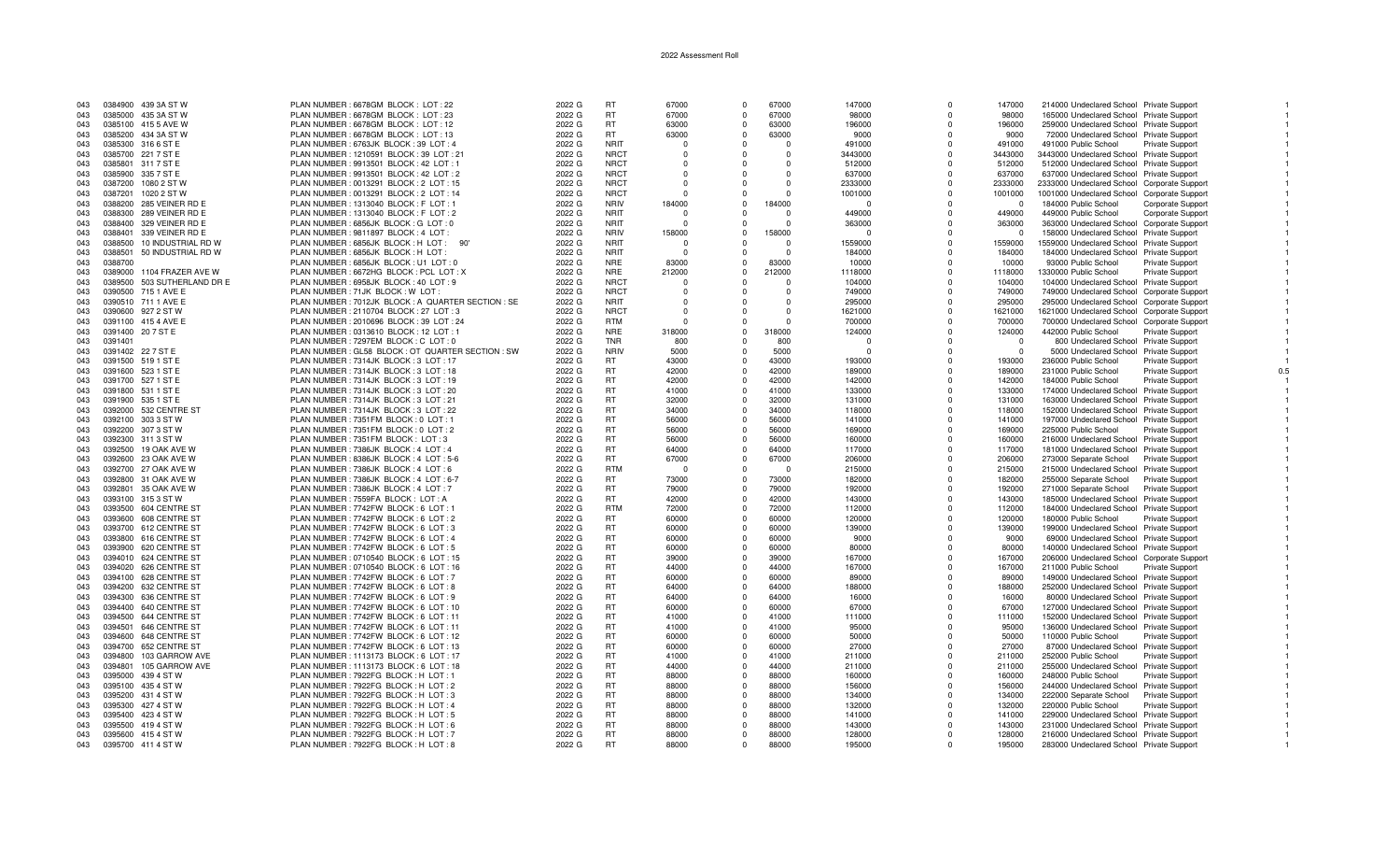| 043 |         | 0384900 439 3A ST W         | PLAN NUMBER: 6678GM BLOCK: LOT: 22                  | 2022 G | <b>RT</b>   | 67000    | $\Omega$   | 67000      | 147000   | $\Omega$   | 147000         | 214000 Undeclared School Private Support    |                        |  |
|-----|---------|-----------------------------|-----------------------------------------------------|--------|-------------|----------|------------|------------|----------|------------|----------------|---------------------------------------------|------------------------|--|
| 043 |         | 0385000 435 3A ST W         | PLAN NUMBER: 6678GM BLOCK: LOT: 23                  | 2022 G | <b>RT</b>   | 67000    | $^{\circ}$ | 67000      | 98000    | $\Omega$   | 98000          | 165000 Undeclared School Private Support    |                        |  |
| 043 |         | 0385100 415 5 AVE W         | PLAN NUMBER: 6678GM BLOCK: LOT: 12                  | 2022 G | <b>RT</b>   | 63000    | $\Omega$   | 63000      | 196000   | $\Omega$   | 196000         | 259000 Undeclared School Private Support    |                        |  |
| 043 |         | 0385200 434 3A ST W         | PLAN NUMBER: 6678GM BLOCK: LOT: 13                  | 2022 G | RT.         | 63000    | $\Omega$   | 63000      | 9000     | $\Omega$   | 9000           | 72000 Undeclared School Private Support     |                        |  |
|     |         |                             |                                                     |        |             |          |            |            |          |            |                |                                             |                        |  |
| 043 |         | 0385300 316 6 ST E          | PLAN NUMBER: 6763JK BLOCK: 39 LOT: 4                | 2022 G | <b>NRIT</b> | - 0      | $\Omega$   |            | 491000   | $\Omega$   | 491000         | 491000 Public School                        | Private Support        |  |
| 043 |         | 0385700 221 7 ST E          | PLAN NUMBER: 1210591 BLOCK: 39 LOT: 21              | 2022 G | <b>NRCT</b> | $\Omega$ | $\Omega$   | $\Omega$   | 3443000  | $\Omega$   | 3443000        | 3443000 Undeclared School Private Support   |                        |  |
| 043 | 0385801 | 311 7 ST E                  | PLAN NUMBER : 9913501 BLOCK : 42 LOT : 1            | 2022 G | <b>NRCT</b> | $\Omega$ | $\Omega$   | $\Omega$   | 512000   | $\Omega$   | 512000         | 512000 Undeclared School Private Support    |                        |  |
|     |         | 0385900 335 7 ST E          |                                                     | 2022 G | <b>NRCT</b> | $\Omega$ |            | $\Omega$   |          | $\Omega$   |                |                                             |                        |  |
| 043 |         |                             | PLAN NUMBER : 9913501 BLOCK : 42 LOT : 2            |        |             |          |            |            | 637000   |            | 637000         | 637000 Undeclared School Private Support    |                        |  |
| 043 | 0387200 | 1080 2 ST W                 | PLAN NUMBER : 0013291 BLOCK : 2 LOT : 15            | 2022 G | <b>NRCT</b> | $\Omega$ | n          | - 0        | 2333000  | $\Omega$   | 2333000        | 2333000 Undeclared School Corporate Support |                        |  |
| 043 | 0387201 | 1020 2 ST W                 | PLAN NUMBER: 0013291 BLOCK: 2 LOT: 14               | 2022 G | <b>NRCT</b> | $\Omega$ | $\Omega$   | $\cap$     | 1001000  | $^{\circ}$ | 1001000        | 1001000 Undeclared School Corporate Support |                        |  |
| 043 | 0388200 | 285 VEINER RD E             | PLAN NUMBER: 1313040 BLOCK: F LOT: 1                | 2022 G | <b>NRIV</b> | 184000   | $\Omega$   | 184000     | $\Omega$ | $\Omega$   | $\overline{0}$ | 184000 Public School                        | Corporate Support      |  |
|     |         |                             |                                                     |        | <b>NRIT</b> |          |            | $\Omega$   |          |            |                |                                             |                        |  |
| 043 |         | 0388300 289 VEINER RD E     | PLAN NUMBER: 1313040 BLOCK: F LOT: 2                | 2022 G |             | $\Omega$ |            |            | 449000   | $\Omega$   | 449000         | 449000 Public School                        | Corporate Support      |  |
| 043 |         | 0388400 329 VEINER RD E     | PLAN NUMBER : 6856JK BLOCK : G LOT : 0              | 2022 G | <b>NRIT</b> | $\Omega$ | $\Omega$   | $\cap$     | 363000   | $\Omega$   | 363000         | 363000 Undeclared School Corporate Support  |                        |  |
| 043 | 0388401 | 339 VEINER RD E             | PLAN NUMBER : 9811897 BLOCK : 4 LOT :               | 2022 G | <b>NRIV</b> | 158000   | $\Omega$   | 158000     | $\Omega$ | $\Omega$   | $\Omega$       | 158000 Undeclared School Private Support    |                        |  |
| 043 | 0388500 | 10 INDUSTRIAL RD W          | PLAN NUMBER : 6856JK BLOCK : H LOT : 90'            | 2022 G | <b>NRIT</b> | $\cap$   | $\Omega$   | $\Omega$   | 1559000  | $\Omega$   | 1559000        | 1559000 Undeclared School Private Support   |                        |  |
|     |         |                             |                                                     |        |             |          |            |            |          |            |                |                                             |                        |  |
| 043 | 0388501 | 50 INDUSTRIAL RD W          | PLAN NUMBER : 6856JK BLOCK : H LOT                  | 2022 G | <b>NRIT</b> |          | $\Omega$   |            | 184000   | $\Omega$   | 184000         | 184000 Undeclared School Private Support    |                        |  |
| 043 | 0388700 |                             | PLAN NUMBER : 6856JK BLOCK : U1 LOT : 0             | 2022 G | <b>NRE</b>  | 83000    | $\Omega$   | 83000      | 10000    | $\Omega$   | 10000          | 93000 Public School                         | Private Support        |  |
| 043 |         | 0389000 1104 FRAZER AVE W   | PLAN NUMBER: 6672HG BLOCK: PCL LOT: X               | 2022 G | <b>NRE</b>  | 212000   | $\Omega$   | 212000     | 1118000  | $\Omega$   | 1118000        | 1330000 Public School                       | Private Support        |  |
| 043 |         | 0389500 503 SUTHERLAND DR E | PLAN NUMBER : 6958JK BLOCK : 40 LOT : 9             | 2022 G | <b>NRCT</b> | $\cap$   | $\Omega$   | $\cap$     | 104000   | $\Omega$   | 104000         | 104000 Undeclared School Private Support    |                        |  |
|     |         |                             |                                                     |        |             |          |            |            |          |            |                |                                             |                        |  |
| 043 |         | 0390500 715 1 AVE E         | PLAN NUMBER : 71JK BLOCK : W LOT                    | 2022 G | <b>NRCT</b> |          | $\Omega$   |            | 749000   | $\Omega$   | 749000         | 749000 Undeclared School Corporate Support  |                        |  |
| 043 |         | 0390510 711 1 AVE E         | PLAN NUMBER : 7012JK BLOCK : A QUARTER SECTION : SE | 2022 G | <b>NRIT</b> | $\Omega$ | n          | $\cap$     | 295000   | $\Omega$   | 295000         | 295000 Undeclared School Corporate Support  |                        |  |
| 043 |         | 0390600 927 2 ST W          | PLAN NUMBER : 2110704 BLOCK : 27 LOT : 3            | 2022 G | <b>NRCT</b> | $\Omega$ | $\Omega$   | $\Omega$   | 1621000  | $\Omega$   | 1621000        | 1621000 Undeclared School Corporate Support |                        |  |
| 043 |         | 0391100 415 4 AVE E         | PLAN NUMBER : 2010696 BLOCK : 39 LOT : 24           | 2022 G | <b>RTM</b>  | $\Omega$ |            | $\cap$     | 700000   | $\Omega$   | 700000         |                                             |                        |  |
|     |         |                             |                                                     |        |             |          |            |            |          |            |                | 700000 Undeclared School Corporate Support  |                        |  |
| 043 |         | 0391400 20 7 ST E           | PLAN NUMBER : 0313610 BLOCK : 12 LOT : 1            | 2022 G | <b>NRE</b>  | 318000   | $\Omega$   | 318000     | 124000   | $\Omega$   | 124000         | 442000 Public School                        | Private Support        |  |
| 043 | 0391401 |                             | PLAN NUMBER : 7297EM BLOCK : C LOT : 0              | 2022 G | <b>TNR</b>  | 800      | $\Omega$   | 800        | $\Omega$ | $\Omega$   | $\Omega$       | 800 Undeclared School Private Support       |                        |  |
| 043 |         | 0391402 22 7 ST E           | PLAN NUMBER : GL58 BLOCK : OT QUARTER SECTION : SW  | 2022 G | <b>NRIV</b> | 5000     | $\Omega$   | 5000       | $\Omega$ | $\Omega$   | $\overline{0}$ | 5000 Undeclared School Private Support      |                        |  |
|     |         | 0391500 519 1 ST E          |                                                     | 2022 G | <b>RT</b>   | 43000    | $\Omega$   | 43000      | 193000   | $\Omega$   |                | 236000 Public School                        |                        |  |
| 043 |         |                             | PLAN NUMBER: 7314JK BLOCK: 3 LOT: 17                |        |             |          |            |            |          |            | 193000         |                                             | <b>Private Support</b> |  |
| 043 |         | 0391600 523 1 ST E          | PLAN NUMBER: 7314JK BLOCK: 3 LOT: 18                | 2022 G | <b>RT</b>   | 42000    | $\Omega$   | 42000      | 189000   | $\Omega$   | 189000         | 231000 Public School                        | Private Support        |  |
| 043 |         | 0391700 527 1 ST E          | PLAN NUMBER: 7314JK BLOCK: 3 LOT: 19                | 2022 G | <b>RT</b>   | 42000    | $\Omega$   | 42000      | 142000   | $\Omega$   | 142000         | 184000 Public School                        | Private Support        |  |
| 043 |         | 0391800 531 1 ST E          | PLAN NUMBER : 7314JK BLOCK : 3 LOT : 20             | 2022 G | <b>RT</b>   | 41000    | $\Omega$   | 41000      | 133000   | $\Omega$   | 133000         | 174000 Undeclared School Private Support    |                        |  |
|     |         |                             |                                                     |        |             |          |            |            |          |            |                |                                             |                        |  |
| 043 |         | 0391900 535 1 ST E          | PLAN NUMBER: 7314JK BLOCK: 3 LOT: 21                | 2022 G | <b>RT</b>   | 32000    | $\Omega$   | 32000      | 131000   | $\Omega$   | 131000         | 163000 Undeclared School Private Support    |                        |  |
| 043 |         | 0392000 532 CENTRE ST       | PLAN NUMBER: 7314JK BLOCK: 3 LOT: 22                | 2022 G | <b>RT</b>   | 34000    | $\Omega$   | 34000      | 118000   | $\Omega$   | 118000         | 152000 Undeclared School Private Support    |                        |  |
| 043 |         | 0392100 303 3 ST W          | PLAN NUMBER : 7351FM BLOCK : 0 LOT : 1              | 2022 G | <b>RT</b>   | 56000    | $\Omega$   | 56000      | 141000   | $\Omega$   | 141000         | 197000 Undeclared School Private Support    |                        |  |
| 043 |         | 0392200 307 3 ST W          | PLAN NUMBER : 7351FM BLOCK : 0 LOT : 2              | 2022 G | <b>RT</b>   | 56000    | $\Omega$   | 56000      | 169000   | $\Omega$   | 169000         | 225000 Public School                        | Private Support        |  |
|     |         |                             |                                                     |        |             |          |            |            |          |            |                |                                             |                        |  |
| 043 |         | 0392300 311 3 ST W          | PLAN NUMBER: 7351FM BLOCK: LOT: 3                   | 2022 G | <b>RT</b>   | 56000    | $\Omega$   | 56000      | 160000   | $\Omega$   | 160000         | 216000 Undeclared School Private Support    |                        |  |
| 043 |         | 0392500 19 OAK AVE W        | PLAN NUMBER: 7386JK BLOCK: 4 LOT: 4                 | 2022 G | <b>RT</b>   | 64000    | $\Omega$   | 64000      | 117000   | $\Omega$   | 117000         | 181000 Undeclared School Private Support    |                        |  |
| 043 |         | 0392600 23 OAK AVE W        | PLAN NUMBER: 8386JK BLOCK: 4 LOT: 5-6               | 2022 G | <b>RT</b>   | 67000    | $\Omega$   | 67000      | 206000   | $\Omega$   | 206000         | 273000 Separate School                      | <b>Private Support</b> |  |
| 043 |         | 0392700 27 OAK AVE W        | PLAN NUMBER: 7386JK BLOCK: 4 LOT: 6                 | 2022 G | <b>RTM</b>  | $\Omega$ | $\Omega$   | $\sqrt{ }$ | 215000   | $\Omega$   | 215000         | 215000 Undeclared School Private Support    |                        |  |
|     |         |                             |                                                     |        |             |          |            |            |          |            |                |                                             |                        |  |
| 043 |         | 0392800 31 OAK AVE W        | PLAN NUMBER : 7386JK BLOCK : 4 LOT : 6-7            | 2022 G | RT.         | 73000    | $\Omega$   | 73000      | 182000   | $\Omega$   | 182000         | 255000 Separate School                      | Private Support        |  |
| 043 |         | 0392801 35 OAK AVE W        | PLAN NUMBER: 7386JK BLOCK: 4 LOT: 7                 | 2022 G | <b>RT</b>   | 79000    | $\Omega$   | 79000      | 192000   | $\Omega$   | 192000         | 271000 Separate School                      | <b>Private Support</b> |  |
| 043 |         | 0393100 315 3 ST W          | PLAN NUMBER: 7559FA BLOCK: LOT: A                   | 2022 G | <b>RT</b>   | 42000    | $\Omega$   | 42000      | 143000   | $\Omega$   | 143000         | 185000 Undeclared School Private Support    |                        |  |
| 043 |         | 0393500 604 CENTRE ST       | PLAN NUMBER : 7742FW BLOCK : 6 LOT : 1              | 2022 G | <b>RTM</b>  | 72000    | $\Omega$   | 72000      | 112000   | $\Omega$   | 112000         | 184000 Undeclared School Private Support    |                        |  |
|     |         |                             |                                                     |        |             |          |            |            |          |            |                |                                             |                        |  |
| 043 |         | 0393600 608 CENTRE ST       | PLAN NUMBER : 7742FW BLOCK : 6 LOT : 2              | 2022 G | <b>RT</b>   | 60000    | $\Omega$   | 60000      | 120000   | $\Omega$   | 120000         | 180000 Public School                        | Private Support        |  |
| 043 |         | 0393700 612 CENTRE ST       | PLAN NUMBER: 7742FW BLOCK: 6 LOT: 3                 | 2022 G | <b>RT</b>   | 60000    | $\Omega$   | 60000      | 139000   | $\Omega$   | 139000         | 199000 Undeclared School Private Support    |                        |  |
| 043 |         | 0393800 616 CENTRE ST       | PLAN NUMBER : 7742FW BLOCK : 6 LOT : 4              | 2022 G | <b>RT</b>   | 60000    | $\Omega$   | 60000      | 9000     | $\Omega$   | 9000           | 69000 Undeclared School Private Support     |                        |  |
| 043 |         | 0393900 620 CENTRE ST       | PLAN NUMBER: 7742FW BLOCK: 6 LOT: 5                 | 2022 G | RT          | 60000    | $\Omega$   | 60000      | 80000    | $\Omega$   | 80000          | 140000 Undeclared School Private Support    |                        |  |
|     |         |                             |                                                     |        |             |          |            |            |          |            |                |                                             |                        |  |
| 043 |         | 0394010 624 CENTRE ST       | PLAN NUMBER: 0710540 BLOCK: 6 LOT: 15               | 2022 G | <b>RT</b>   | 39000    | $\Omega$   | 39000      | 167000   | $\Omega$   | 167000         | 206000 Undeclared School Corporate Support  |                        |  |
| 043 |         | 0394020 626 CENTRE ST       | PLAN NUMBER : 0710540 BLOCK : 6 LOT : 16            | 2022 G | <b>RT</b>   | 44000    | $\Omega$   | 44000      | 167000   | $\Omega$   | 167000         | 211000 Public School                        | <b>Private Support</b> |  |
| 043 |         | 0394100 628 CENTRE ST       | PLAN NUMBER: 7742FW BLOCK: 6 LOT: 7                 | 2022 G | <b>RT</b>   | 60000    | $\Omega$   | 60000      | 89000    | $\Omega$   | 89000          | 149000 Undeclared School Private Support    |                        |  |
| 043 |         | 0394200 632 CENTRE ST       | PLAN NUMBER : 7742FW BLOCK : 6 LOT : 8              | 2022 G | <b>RT</b>   | 64000    | $\Omega$   | 64000      | 188000   | $\Omega$   | 188000         | 252000 Undeclared School Private Support    |                        |  |
|     |         |                             |                                                     |        |             |          |            |            |          |            |                |                                             |                        |  |
| 043 |         | 0394300 636 CENTRE ST       | PLAN NUMBER: 7742FW BLOCK: 6 LOT: 9                 | 2022 G | <b>RT</b>   | 64000    | $\Omega$   | 64000      | 16000    | $\Omega$   | 16000          | 80000 Undeclared School Private Support     |                        |  |
| 043 |         | 0394400 640 CENTRE ST       | PLAN NUMBER: 7742FW BLOCK: 6 LOT: 10                | 2022 G | <b>RT</b>   | 60000    | $\Omega$   | 60000      | 67000    | $\Omega$   | 67000          | 127000 Undeclared School Private Support    |                        |  |
| 043 |         | 0394500 644 CENTRE ST       | PLAN NUMBER: 7742FW BLOCK: 6 LOT: 11                | 2022 G | <b>RT</b>   | 41000    | $\Omega$   | 41000      | 111000   | $\Omega$   | 111000         | 152000 Undeclared School Private Support    |                        |  |
|     |         |                             |                                                     |        | <b>RT</b>   | 41000    | $\Omega$   | 41000      |          | $\Omega$   |                |                                             |                        |  |
| 043 |         | 0394501 646 CENTRE ST       | PLAN NUMBER : 7742FW BLOCK : 6 LOT : 11             | 2022 G |             |          |            |            | 95000    |            | 95000          | 136000 Undeclared School Private Support    |                        |  |
| 043 |         | 0394600 648 CENTRE ST       | PLAN NUMBER: 7742FW BLOCK: 6 LOT: 12                | 2022 G | <b>RT</b>   | 60000    | $\Omega$   | 60000      | 50000    | $\Omega$   | 50000          | 110000 Public School                        | <b>Private Support</b> |  |
| 043 |         | 0394700 652 CENTRE ST       | PLAN NUMBER : 7742FW BLOCK : 6 LOT : 13             | 2022 G | <b>RT</b>   | 60000    | $\Omega$   | 60000      | 27000    | $\Omega$   | 27000          | 87000 Undeclared School Private Support     |                        |  |
| 043 |         | 0394800 103 GARROW AVE      | PLAN NUMBER: 1113173 BLOCK: 6 LOT: 17               | 2022 G | <b>RT</b>   | 41000    | $\Omega$   | 41000      | 211000   | $\Omega$   | 211000         | 252000 Public School                        | Private Support        |  |
|     |         |                             |                                                     |        |             |          |            |            |          |            |                |                                             |                        |  |
| 043 | 0394801 | 105 GARROW AVE              | PLAN NUMBER: 1113173 BLOCK: 6 LOT: 18               | 2022 G | <b>RT</b>   | 44000    | $\Omega$   | 44000      | 211000   | $\Omega$   | 211000         | 255000 Undeclared School Private Support    |                        |  |
| 043 |         | 0395000 439 4 ST W          | PLAN NUMBER: 7922FG BLOCK: H LOT: 1                 | 2022 G | <b>RT</b>   | 88000    | $\Omega$   | 88000      | 160000   | $\Omega$   | 160000         | 248000 Public School                        | <b>Private Support</b> |  |
| 043 |         | 0395100 435 4 ST W          | PLAN NUMBER: 7922FG BLOCK: H LOT: 2                 | 2022 G | <b>RT</b>   | 88000    | $\Omega$   | 88000      | 156000   | $\Omega$   | 156000         | 244000 Undeclared School Private Support    |                        |  |
| 043 |         | 0395200 431 4 ST W          | PLAN NUMBER: 7922FG BLOCK: H LOT: 3                 | 2022 G | RT          | 88000    | $\Omega$   | 88000      | 134000   | $\Omega$   | 134000         | 222000 Separate School                      | <b>Private Support</b> |  |
|     |         |                             |                                                     |        |             |          |            |            |          |            |                |                                             |                        |  |
| 043 |         | 0395300 427 4 ST W          | PLAN NUMBER: 7922FG BLOCK: H LOT: 4                 | 2022 G | <b>RT</b>   | 88000    | $\Omega$   | 88000      | 132000   | $\Omega$   | 132000         | 220000 Public School                        | <b>Private Support</b> |  |
| 043 |         | 0395400 423 4 ST W          | PLAN NUMBER: 7922FG BLOCK: H LOT: 5                 | 2022 G | <b>RT</b>   | 88000    | $\Omega$   | 88000      | 141000   | $\Omega$   | 141000         | 229000 Undeclared School Private Support    |                        |  |
| 043 |         | 0395500 419 4 ST W          | PLAN NUMBER: 7922FG BLOCK: H LOT: 6                 | 2022 G | <b>RT</b>   | 88000    | $\Omega$   | 88000      | 143000   | $\Omega$   | 143000         | 231000 Undeclared School Private Support    |                        |  |
| 043 |         | 0395600 415 4 ST W          | PLAN NUMBER: 7922FG BLOCK: H LOT: 7                 |        | <b>RT</b>   | 88000    | $\Omega$   | 88000      |          | $\Omega$   |                |                                             |                        |  |
|     |         |                             |                                                     | 2022 G |             |          |            |            | 128000   |            | 128000         | 216000 Undeclared School Private Support    |                        |  |
| 043 |         | 0395700 411 4 ST W          | PLAN NUMBER: 7922FG BLOCK: H LOT: 8                 | 2022 G | <b>RT</b>   | 88000    | $\Omega$   | 88000      | 195000   | $\Omega$   | 195000         | 283000 Undeclared School Private Support    |                        |  |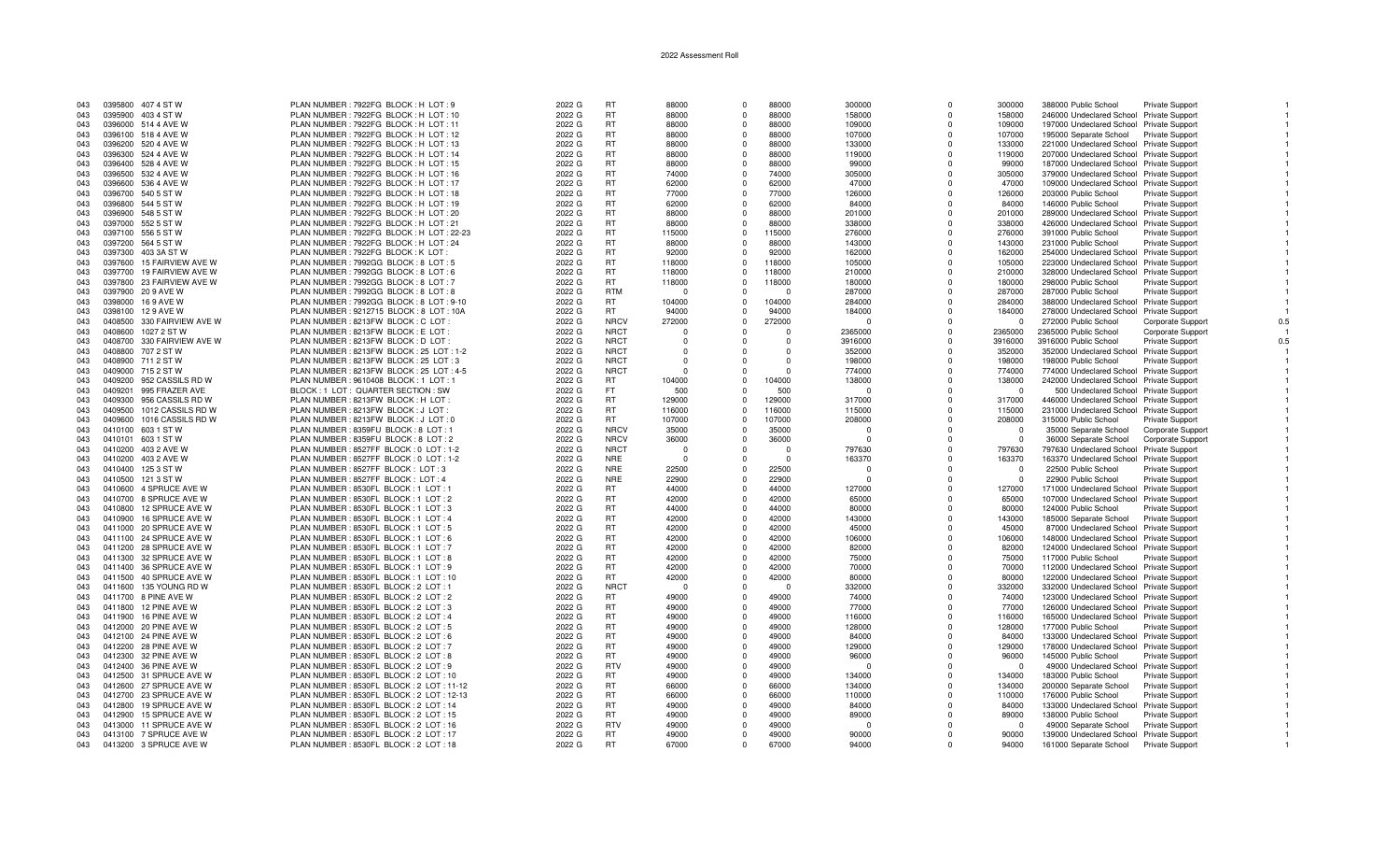| 043 |         | 0395800 407 4 ST W         | PLAN NUMBER : 7922FG BLOCK : H LOT : 9         | 2022 G | <b>RT</b>   | 88000      | $\Omega$       | 88000    | 300000   | $\Omega$     | 300000   | 388000 Public School                     | Private Support          |  |
|-----|---------|----------------------------|------------------------------------------------|--------|-------------|------------|----------------|----------|----------|--------------|----------|------------------------------------------|--------------------------|--|
| 043 |         | 0395900 403 4 ST W         | PLAN NUMBER : 7922FG BLOCK : H LOT : 10        | 2022 G | <b>RT</b>   | 88000      | $\Omega$       | 88000    | 158000   | $\Omega$     | 158000   | 246000 Undeclared School Private Support |                          |  |
| 043 |         | 0396000 514 4 AVE W        | PLAN NUMBER: 7922FG BLOCK: H LOT: 11           | 2022 G | <b>RT</b>   | 88000      | $\Omega$       | 88000    | 109000   | $\Omega$     | 109000   | 197000 Undeclared School Private Support |                          |  |
| 043 |         | 0396100 518 4 AVE W        | PLAN NUMBER : 7922FG BLOCK : H LOT : 12        | 2022 G | <b>RT</b>   | 88000      | $\Omega$       | 88000    | 107000   | $\Omega$     | 107000   | 195000 Separate School                   | <b>Private Support</b>   |  |
| 043 |         | 0396200 520 4 AVE W        | PLAN NUMBER : 7922FG BLOCK : H LOT : 13        | 2022 G | <b>RT</b>   | 88000      | $\Omega$       | 88000    | 133000   | $\Omega$     | 133000   | 221000 Undeclared School Private Support |                          |  |
| 043 |         | 0396300 524 4 AVE W        | PLAN NUMBER: 7922FG BLOCK: H LOT: 14           | 2022 G | <b>RT</b>   | 88000      | $\Omega$       | 88000    | 119000   | $\Omega$     | 119000   | 207000 Undeclared School Private Support |                          |  |
|     |         |                            |                                                |        |             |            |                |          |          |              |          |                                          |                          |  |
| 043 |         | 0396400 528 4 AVE W        | PLAN NUMBER: 7922FG BLOCK: H LOT: 15           | 2022 G | <b>RT</b>   | 88000      | $^{\circ}$     | 88000    | 99000    | $^{\circ}$   | 99000    | 187000 Undeclared School Private Support |                          |  |
| 043 | 0396500 | 532 4 AVE W                | PLAN NUMBER: 7922FG BLOCK: H LOT: 16           | 2022 G | <b>RT</b>   | 74000      | $\Omega$       | 74000    | 305000   | $\Omega$     | 305000   | 379000 Undeclared School Private Support |                          |  |
| 043 | 0396600 | 536 4 AVE W                | PLAN NUMBER: 7922FG BLOCK: H LOT: 17           | 2022 G | <b>RT</b>   | 62000      | $\Omega$       | 62000    | 47000    | $\Omega$     | 47000    | 109000 Undeclared School Private Support |                          |  |
| 043 |         | 0396700 540 5 ST W         | PLAN NUMBER : 7922FG BLOCK : H LOT : 18        | 2022 G | <b>RT</b>   | 77000      | $\Omega$       | 77000    | 126000   | $\Omega$     | 126000   | 203000 Public School                     | <b>Private Support</b>   |  |
| 043 |         | 0396800 544 5 ST W         | PLAN NUMBER: 7922FG BLOCK: H LOT: 19           | 2022 G | <b>RT</b>   | 62000      | $^{\circ}$     | 62000    | 84000    | $\Omega$     | 84000    | 146000 Public School                     | Private Support          |  |
| 043 | 0396900 | 548 5 ST W                 | PLAN NUMBER: 7922FG BLOCK: H LOT: 20           | 2022 G | <b>RT</b>   | 88000      | $\Omega$       | 88000    | 201000   | $\Omega$     | 201000   | 289000 Undeclared School Private Support |                          |  |
| 043 |         | 0397000 552 5 ST W         | PLAN NUMBER: 7922FG BLOCK: H LOT: 21           | 2022 G | <b>RT</b>   | 88000      | $\Omega$       | 88000    | 338000   | $\Omega$     | 338000   | 426000 Undeclared School Private Support |                          |  |
| 043 |         | 0397100 556 5 ST W         | PLAN NUMBER: 7922FG BLOCK: H LOT: 22-23        | 2022 G | <b>RT</b>   | 115000     | $\Omega$       | 115000   | 276000   | $\Omega$     | 276000   | 391000 Public School                     | Private Support          |  |
| 043 |         | 0397200 564 5 ST W         | PLAN NUMBER : 7922FG BLOCK : H LOT : 24        | 2022 G | <b>RT</b>   | 88000      | $\Omega$       | 88000    | 143000   | $\Omega$     | 143000   | 231000 Public School                     | <b>Private Support</b>   |  |
| 043 | 0397300 | 403 3A ST W                | PLAN NUMBER : 7922FG BLOCK : K LOT             | 2022 G | <b>RT</b>   | 92000      | $\Omega$       | 92000    | 162000   | $\Omega$     | 162000   | 254000 Undeclared School Private Support |                          |  |
| 043 |         | 0397600 15 FAIRVIEW AVE W  | PLAN NUMBER: 7992GG BLOCK: 8 LOT: 5            | 2022 G | <b>RT</b>   | 118000     | $\Omega$       | 118000   | 105000   | <sup>0</sup> | 105000   | 223000 Undeclared School Private Support |                          |  |
| 043 |         | 0397700 19 FAIRVIEW AVE W  |                                                | 2022 G | <b>RT</b>   | 118000     | $\Omega$       | 118000   | 210000   | $\Omega$     | 210000   |                                          |                          |  |
|     |         |                            | PLAN NUMBER: 7992GG BLOCK: 8 LOT: 6            |        |             |            |                |          |          |              |          | 328000 Undeclared School Private Support |                          |  |
| 043 |         | 0397800 23 FAIRVIEW AVE W  | PLAN NUMBER: 7992GG BLOCK: 8 LOT: 7            | 2022 G | <b>RT</b>   | 118000     | $^{\circ}$     | 118000   | 180000   | $^{\circ}$   | 180000   | 298000 Public School                     | Private Support          |  |
| 043 |         | 0397900 20 9 AVE W         | PLAN NUMBER: 7992GG BLOCK: 8 LOT: 8            | 2022 G | <b>RTM</b>  | $\sqrt{ }$ | $\Omega$       |          | 287000   | $\Omega$     | 287000   | 287000 Public School                     | Private Support          |  |
| 043 | 0398000 | 16 9 AVE W                 | PLAN NUMBER: 7992GG BLOCK: 8 LOT: 9-10         | 2022 G | <b>RT</b>   | 104000     | $\Omega$       | 104000   | 284000   | $\Omega$     | 284000   | 388000 Undeclared School Private Support |                          |  |
| 043 |         | 0398100 129 AVE W          | PLAN NUMBER : 9212715 BLOCK : 8 LOT : 10A      | 2022 G | RT.         | 94000      | $\Omega$       | 94000    | 184000   | $\Omega$     | 184000   | 278000 Undeclared School Private Support |                          |  |
| 043 | 0408500 | 330 FAIRVIEW AVE W         | PLAN NUMBER : 8213FW BLOCK : C LOT             | 2022 G | <b>NRCV</b> | 272000     | $\Omega$       | 272000   | $\Omega$ | $\Omega$     | - 0      | 272000 Public School                     | Corporate Support        |  |
| 043 | 0408600 | 1027 2 ST W                | PLAN NUMBER : 8213FW BLOCK : E LOT             | 2022 G | <b>NRCT</b> | - 0        | $\Omega$       | $\cap$   | 2365000  | $\Omega$     | 2365000  | 2365000 Public School                    | <b>Corporate Support</b> |  |
| 043 |         | 0408700 330 FAIRVIEW AVE W | PLAN NUMBER: 8213FW BLOCK: D LOT               | 2022 G | <b>NRCT</b> | $\Omega$   |                | $\Omega$ | 3916000  | $\Omega$     | 3916000  | 3916000 Public School                    | <b>Private Support</b>   |  |
| 043 |         | 0408800 707 2 ST W         | PLAN NUMBER: 8213FW BLOCK: 25 LOT: 1-2         | 2022 G | <b>NRCT</b> | $\Omega$   | $\Omega$       |          | 352000   | $\Omega$     | 352000   | 352000 Undeclared School Private Support |                          |  |
| 043 |         | 0408900 711 2 ST W         | PLAN NUMBER: 8213FW BLOCK: 25 LOT: 3           | 2022 G | <b>NRCT</b> |            |                |          | 198000   | $\Omega$     | 198000   | 198000 Public School                     | <b>Private Support</b>   |  |
| 043 |         | 0409000 715 2 ST W         | PLAN NUMBER: 8213FW BLOCK: 25 LOT: 4-5         | 2022 G | <b>NRCT</b> | $\Omega$   | $\Omega$       |          | 774000   | $\Omega$     | 774000   | 774000 Undeclared School Private Support |                          |  |
|     |         |                            |                                                |        |             |            |                |          |          |              |          |                                          |                          |  |
| 043 | 0409200 | 952 CASSILS RD W           | PLAN NUMBER : 9610408 BLOCK : 1 LOT : 1        | 2022 G | RT.         | 104000     | $\Omega$       | 104000   | 138000   | $\Omega$     | 138000   | 242000 Undeclared School Private Support |                          |  |
| 043 | 0409201 | 995 FRAZER AVE             | BLOCK: 1 LOT: QUARTER SECTION: SW              | 2022 G | FT.         | 500        | $\Omega$       | 500      | $\Omega$ | $\Omega$     | - 0      | 500 Undeclared School Private Support    |                          |  |
| 043 | 0409300 | 956 CASSILS RD W           | PLAN NUMBER: 8213FW BLOCK: H LOT               | 2022 G | <b>RT</b>   | 129000     | $\Omega$       | 129000   | 317000   | $\Omega$     | 317000   | 446000 Undeclared School Private Support |                          |  |
| 043 | 0409500 | 1012 CASSILS RD W          | PLAN NUMBER : 8213FW BLOCK : J LOT             | 2022 G | <b>RT</b>   | 116000     | $\Omega$       | 116000   | 115000   | $\Omega$     | 115000   | 231000 Undeclared School Private Support |                          |  |
| 043 |         | 0409600 1016 CASSILS RD W  | PLAN NUMBER : 8213FW BLOCK : J LOT : 0         | 2022 G | RT.         | 107000     | $\Omega$       | 107000   | 208000   | $\Omega$     | 208000   | 315000 Public School                     | Private Support          |  |
| 043 |         | 0410100 603 1 ST W         | PLAN NUMBER : 8359FU BLOCK : 8 LOT : 1         | 2022 G | <b>NRCV</b> | 35000      | $\Omega$       | 35000    | $\Omega$ | <sup>0</sup> | $\Omega$ | 35000 Separate School                    | Corporate Support        |  |
| 043 |         | 0410101 603 1 ST W         | PLAN NUMBER : 8359FU BLOCK : 8 LOT : 2         | 2022 G | <b>NRCV</b> | 36000      | $\Omega$       | 36000    | $\Omega$ | $\Omega$     | $\Omega$ | 36000 Separate School                    | Corporate Support        |  |
| 043 |         | 0410200 403 2 AVE W        | PLAN NUMBER : 8527FF BLOCK : 0 LOT : 1-2       | 2022 G | <b>NRCT</b> | - 0        | $\Omega$       | $\cap$   | 797630   | $\Omega$     | 797630   | 797630 Undeclared School Private Support |                          |  |
| 043 |         | 0410200 403 2 AVE W        | PLAN NUMBER : 8527FF BLOCK : 0 LOT : 1-2       | 2022 G | <b>NRE</b>  |            |                |          | 163370   | $\Omega$     | 163370   | 163370 Undeclared School Private Support |                          |  |
| 043 |         | 0410400 125 3 ST W         | PLAN NUMBER: 8527FF BLOCK: LOT: 3              | 2022 G | <b>NRE</b>  | 22500      | $\overline{0}$ | 22500    | $\Omega$ | $\Omega$     | $\Omega$ | 22500 Public School                      | Private Support          |  |
| 043 |         | 0410500 121 3 ST W         | PLAN NUMBER: 8527FF BLOCK: LOT: 4              | 2022 G | <b>NRE</b>  | 22900      | $\Omega$       | 22900    | $\Omega$ | $\Omega$     | $\Omega$ | 22900 Public School                      | Private Support          |  |
| 043 |         |                            |                                                | 2022 G | <b>RT</b>   | 44000      | $\Omega$       | 44000    |          | $\Omega$     | 127000   |                                          |                          |  |
|     |         | 0410600 4 SPRUCE AVE W     | PLAN NUMBER : 8530FL BLOCK : 1 LOT : 1         |        |             |            |                |          | 127000   |              |          | 171000 Undeclared School Private Support |                          |  |
| 043 |         | 0410700 8 SPRUCE AVE W     | PLAN NUMBER : 8530FL BLOCK : 1 LOT : 2         | 2022 G | <b>RT</b>   | 42000      | $\Omega$       | 42000    | 65000    | $\Omega$     | 65000    | 107000 Undeclared School Private Support |                          |  |
| 043 |         | 0410800 12 SPRUCE AVE W    | PLAN NUMBER: 8530FL BLOCK: 1 LOT: 3            | 2022 G | <b>RT</b>   | 44000      | $\Omega$       | 44000    | 80000    | $\Omega$     | 80000    | 124000 Public School                     | <b>Private Support</b>   |  |
| 043 |         | 0410900 16 SPRUCE AVE W    | PLAN NUMBER: 8530FL BLOCK: 1 LOT: 4            | 2022 G | <b>RT</b>   | 42000      | $\Omega$       | 42000    | 143000   | $\Omega$     | 143000   | 185000 Separate School                   | <b>Private Support</b>   |  |
| 043 |         | 0411000 20 SPRUCE AVE W    | PLAN NUMBER: 8530FL BLOCK: 1 LOT: 5            | 2022 G | <b>RT</b>   | 42000      | $\Omega$       | 42000    | 45000    | $\Omega$     | 45000    | 87000 Undeclared School Private Support  |                          |  |
| 043 |         | 0411100 24 SPRUCE AVE W    | PLAN NUMBER: 8530FL BLOCK: 1 LOT: 6            | 2022 G | RT          | 42000      | $\Omega$       | 42000    | 106000   | $\Omega$     | 106000   | 148000 Undeclared School Private Support |                          |  |
| 043 |         | 0411200 28 SPRUCE AVE W    | PLAN NUMBER : 8530FL BLOCK : 1 LOT : 7         | 2022 G | <b>RT</b>   | 42000      | $\Omega$       | 42000    | 82000    | $\Omega$     | 82000    | 124000 Undeclared School Private Support |                          |  |
| 043 |         | 0411300 32 SPRUCE AVE W    | PLAN NUMBER : 8530FL BLOCK : 1 LOT : 8         | 2022 G | RT.         | 42000      | $\Omega$       | 42000    | 75000    | $\Omega$     | 75000    | 117000 Public School                     | Private Support          |  |
| 043 |         | 0411400 36 SPRUCE AVE W    | PLAN NUMBER: 8530FL BLOCK: 1 LOT: 9            | 2022 G | <b>RT</b>   | 42000      | $\Omega$       | 42000    | 70000    | $\Omega$     | 70000    | 112000 Undeclared School Private Support |                          |  |
| 043 |         | 0411500 40 SPRUCE AVE W    | PLAN NUMBER : 8530FL BLOCK : 1 LOT : 10        | 2022 G | <b>RT</b>   | 42000      | $\Omega$       | 42000    | 80000    | $\Omega$     | 80000    | 122000 Undeclared School Private Support |                          |  |
| 043 |         | 0411600 135 YOUNG RD W     | PLAN NUMBER : 8530FL BLOCK : 2 LOT : 1         | 2022 G | <b>NRCT</b> | - 0        | $\mathbf 0$    | $\Omega$ | 332000   | $\Omega$     | 332000   | 332000 Undeclared School Private Support |                          |  |
| 043 |         | 0411700 8 PINE AVE W       | PLAN NUMBER: 8530FL BLOCK: 2 LOT: 2            | 2022 G | RT          | 49000      | $\Omega$       | 49000    | 74000    | $\Omega$     | 74000    | 123000 Undeclared School Private Support |                          |  |
|     |         |                            |                                                | 2022 G | <b>RT</b>   | 49000      | $\Omega$       | 49000    | 77000    | $\Omega$     |          |                                          |                          |  |
| 043 |         | 0411800 12 PINE AVE W      | PLAN NUMBER: 8530FL BLOCK: 2 LOT: 3            |        |             |            |                |          |          |              | 77000    | 126000 Undeclared School Private Support |                          |  |
| 043 |         | 0411900 16 PINE AVE W      | PLAN NUMBER : 8530FL BLOCK : 2 LOT : 4         | 2022 G | <b>RT</b>   | 49000      | $\Omega$       | 49000    | 116000   | $\Omega$     | 116000   | 165000 Undeclared School Private Support |                          |  |
| 043 |         | 0412000 20 PINE AVE W      | PLAN NUMBER: 8530FL BLOCK: 2 LOT: 5            | 2022 G | <b>RT</b>   | 49000      | $\Omega$       | 49000    | 128000   | $\Omega$     | 128000   | 177000 Public School                     | <b>Private Support</b>   |  |
| 043 |         | 0412100 24 PINE AVE W      | PLAN NUMBER : 8530FL BLOCK : 2 LOT : 6         | 2022 G | RT.         | 49000      | $\Omega$       | 49000    | 84000    | $\Omega$     | 84000    | 133000 Undeclared School Private Support |                          |  |
| 043 |         | 0412200 28 PINE AVE W      | PLAN NUMBER: 8530FL BLOCK: 2 LOT: 7            | 2022 G | <b>RT</b>   | 49000      | $\Omega$       | 49000    | 129000   | $\Omega$     | 129000   | 178000 Undeclared School Private Support |                          |  |
| 043 |         | 0412300 32 PINE AVE W      | PLAN NUMBER : 8530FL BLOCK : 2 LOT : 8         | 2022 G | <b>RT</b>   | 49000      | $\Omega$       | 49000    | 96000    | $\Omega$     | 96000    | 145000 Public School                     | Private Support          |  |
| 043 |         | 0412400 36 PINE AVE W      | PLAN NUMBER: 8530FL BLOCK: 2 LOT: 9            | 2022 G | <b>RTV</b>  | 49000      | $^{\circ}$     | 49000    | $\Omega$ | $\Omega$     | $\Omega$ | 49000 Undeclared School Private Support  |                          |  |
| 043 |         | 0412500 31 SPRUCE AVE W    | PLAN NUMBER : 8530FL BLOCK : 2 LOT : 10        | 2022 G | RT.         | 49000      | $\Omega$       | 49000    | 134000   | $\Omega$     | 134000   | 183000 Public School                     | <b>Private Support</b>   |  |
| 043 |         | 0412600 27 SPRUCE AVE W    | PLAN NUMBER : 8530FL BLOCK : 2 LOT : 11-12     | 2022 G | <b>RT</b>   | 66000      | $\Omega$       | 66000    | 134000   | $\Omega$     | 134000   | 200000 Separate School                   | <b>Private Support</b>   |  |
| 043 |         | 0412700 23 SPRUCE AVE W    | <b>PLAN NUMBER: 8530FL BLOCK: 2 LOT: 12-13</b> | 2022 G | <b>RT</b>   | 66000      | $\Omega$       | 66000    | 110000   | $\Omega$     | 110000   | 176000 Public School                     | <b>Private Support</b>   |  |
| 043 |         | 0412800 19 SPRUCE AVE W    | PLAN NUMBER: 8530FL BLOCK: 2 LOT: 14           | 2022 G | <b>RT</b>   | 49000      | $\Omega$       | 49000    | 84000    | $\Omega$     | 84000    | 133000 Undeclared School Private Support |                          |  |
| 043 |         | 0412900 15 SPRUCE AVE W    | PLAN NUMBER: 8530FL BLOCK: 2 LOT: 15           | 2022 G | <b>RT</b>   | 49000      | $\Omega$       | 49000    | 89000    | $\Omega$     | 89000    | 138000 Public School                     | Private Support          |  |
|     |         |                            |                                                |        | <b>RTV</b>  | 49000      | $\Omega$       |          |          | $\Omega$     |          |                                          |                          |  |
| 043 |         | 0413000 11 SPRUCE AVE W    | PLAN NUMBER: 8530FL BLOCK: 2 LOT: 16           | 2022 G |             |            |                | 49000    | $\Omega$ |              |          | 49000 Separate School                    | <b>Private Support</b>   |  |
| 043 |         | 0413100 7 SPRUCE AVE W     | PLAN NUMBER : 8530FL BLOCK : 2 LOT : 17        | 2022 G | <b>RT</b>   | 49000      | $\Omega$       | 49000    | 90000    | $\Omega$     | 90000    | 139000 Undeclared School Private Support |                          |  |
| 043 |         | 0413200 3 SPRUCE AVE W     | PLAN NUMBER : 8530FL BLOCK : 2 LOT : 18        | 2022 G | <b>RT</b>   | 67000      | $\Omega$       | 67000    | 94000    |              | 94000    | 161000 Separate School                   | Private Support          |  |

 $0.5$ 

 $0.5\,$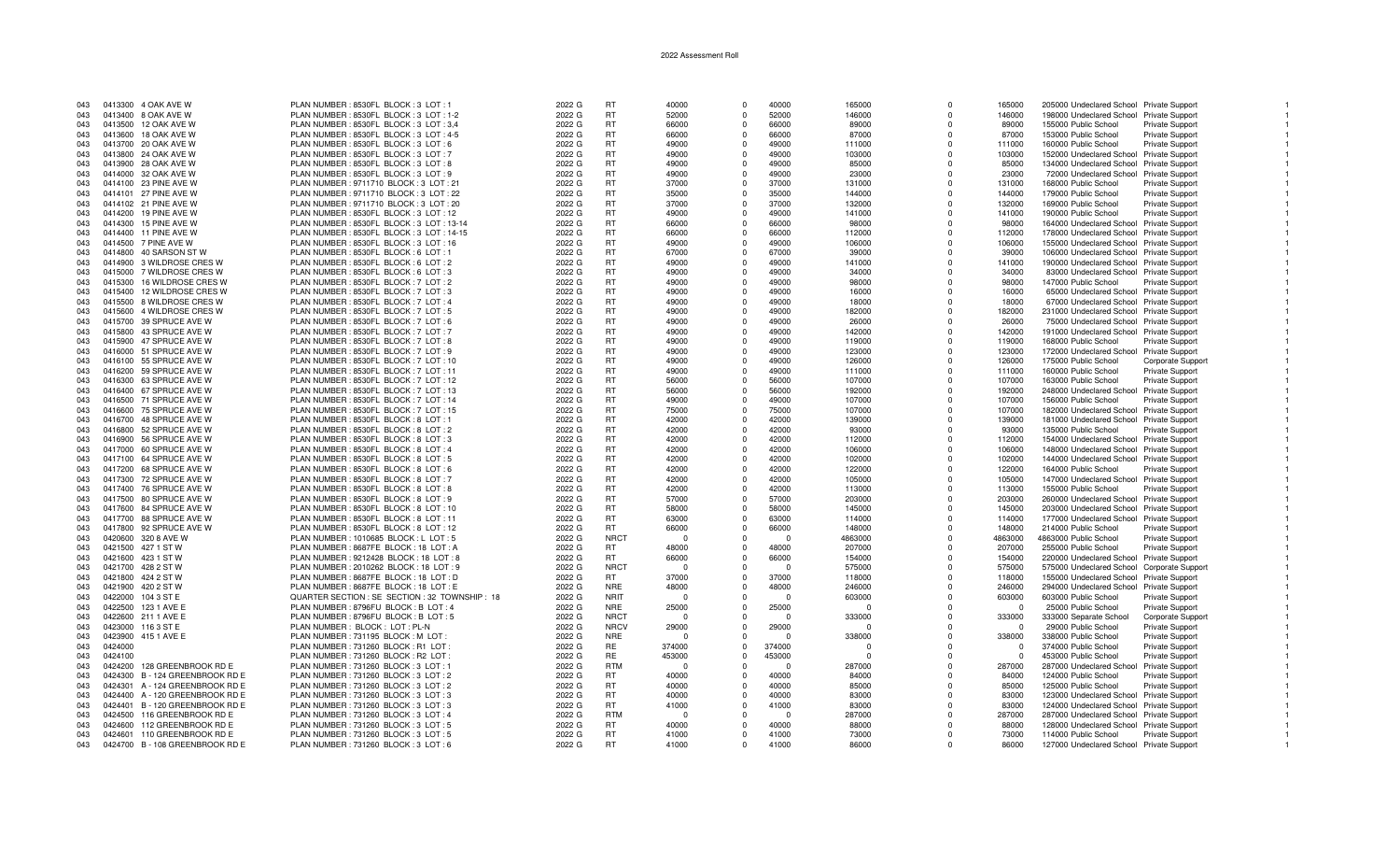| 043 |         | 0413300 4 OAK AVE W             | PLAN NUMBER: 8530FL BLOCK: 3 LOT: 1             | 2022 G | RT          | 40000    | $\Omega$   | 40000    | 165000       | $\Omega$   | 165000   | 205000 Undeclared School Private Support   |                        |  |
|-----|---------|---------------------------------|-------------------------------------------------|--------|-------------|----------|------------|----------|--------------|------------|----------|--------------------------------------------|------------------------|--|
| 043 |         | 0413400 8 OAK AVE W             | PLAN NUMBER : 8530FL BLOCK : 3 LOT : 1-2        | 2022 G | RT.         | 52000    | $\Omega$   | 52000    | 146000       | $\Omega$   | 146000   | 198000 Undeclared School Private Support   |                        |  |
| 043 |         | 0413500 12 OAK AVE W            | PLAN NUMBER: 8530FL BLOCK: 3 LOT: 3.4           | 2022 G | <b>RT</b>   | 66000    | $\Omega$   | 66000    | 89000        | $\Omega$   | 89000    | 155000 Public School                       | <b>Private Support</b> |  |
|     |         |                                 |                                                 |        |             |          |            |          |              |            |          |                                            |                        |  |
| 043 |         | 0413600 18 OAK AVE W            | PLAN NUMBER: 8530FL BLOCK: 3 LOT: 4-5           | 2022 G | <b>RT</b>   | 66000    | $\Omega$   | 66000    | 87000        | $\Omega$   | 87000    | 153000 Public School                       | Private Support        |  |
| 043 |         | 0413700 20 OAK AVE W            | PLAN NUMBER : 8530FL BLOCK : 3 LOT : 6          | 2022 G | <b>RT</b>   | 49000    | $\Omega$   | 49000    | 111000       | $\Omega$   | 111000   | 160000 Public School                       | <b>Private Support</b> |  |
| 043 |         | 0413800 24 OAK AVE W            | PLAN NUMBER : 8530FL BLOCK : 3 LOT : 7          | 2022 G | <b>RT</b>   | 49000    | $\Omega$   | 49000    | 103000       | $\Omega$   | 103000   | 152000 Undeclared School Private Support   |                        |  |
|     |         |                                 |                                                 |        |             |          |            |          |              |            |          |                                            |                        |  |
| 043 |         | 0413900 28 OAK AVE W            | PLAN NUMBER: 8530FL BLOCK: 3 LOT: 8             | 2022 G | RT.         | 49000    | $\Omega$   | 49000    | 85000        | $\Omega$   | 85000    | 134000 Undeclared School Private Support   |                        |  |
| 043 |         | 0414000 32 OAK AVE W            | PLAN NUMBER: 8530FL BLOCK: 3 LOT: 9             | 2022 G | <b>RT</b>   | 49000    | $\Omega$   | 49000    | 23000        | $\Omega$   | 23000    | 72000 Undeclared School Private Support    |                        |  |
| 043 |         | 0414100 23 PINE AVE W           | PLAN NUMBER : 9711710 BLOCK : 3 LOT : 21        | 2022 G | <b>RT</b>   | 37000    | $\Omega$   | 37000    | 131000       | $\Omega$   | 131000   | 168000 Public School                       | Private Support        |  |
|     |         |                                 |                                                 |        |             |          |            |          |              |            |          |                                            |                        |  |
| 043 |         | 0414101 27 PINE AVE W           | PLAN NUMBER : 9711710 BLOCK : 3 LOT : 22        | 2022 G | <b>RT</b>   | 35000    | $\Omega$   | 35000    | 144000       | $\Omega$   | 144000   | 179000 Public School                       | <b>Private Support</b> |  |
| 043 |         | 0414102 21 PINE AVE W           | PLAN NUMBER: 9711710 BLOCK: 3 LOT: 20           | 2022 G | <b>RT</b>   | 37000    | $\Omega$   | 37000    | 132000       | $\Omega$   | 132000   | 169000 Public School                       | Private Support        |  |
| 043 |         | 0414200 19 PINE AVE W           | PLAN NUMBER : 8530FL BLOCK : 3 LOT : 12         | 2022 G | <b>RT</b>   | 49000    | $\Omega$   | 49000    | 141000       | $\Omega$   | 141000   | 190000 Public School                       | Private Support        |  |
|     |         |                                 |                                                 |        |             |          | $\Omega$   |          |              |            |          |                                            |                        |  |
| 043 |         | 0414300 15 PINE AVE W           | PLAN NUMBER: 8530FL BLOCK: 3 LOT: 13-14         | 2022 G | <b>RT</b>   | 66000    |            | 66000    | 98000        | $\Omega$   | 98000    | 164000 Undeclared School Private Support   |                        |  |
| 043 |         | 0414400 11 PINE AVE W           | PLAN NUMBER: 8530FL BLOCK: 3 LOT: 14-15         | 2022 G | <b>RT</b>   | 66000    | $\Omega$   | 66000    | 112000       | $\Omega$   | 112000   | 178000 Undeclared School Private Support   |                        |  |
| 043 |         | 0414500 7 PINE AVE W            | PLAN NUMBER : 8530FL BLOCK : 3 LOT : 16         | 2022 G | <b>RT</b>   | 49000    | $^{\circ}$ | 49000    | 106000       | $^{\circ}$ | 106000   | 155000 Undeclared School Private Support   |                        |  |
| 043 |         | 0414800  40 SARSON ST W         | PLAN NUMBER : 8530FL BLOCK : 6 LOT : 1          | 2022 G | RT.         | 67000    | $\Omega$   | 67000    | 39000        | $\Omega$   | 39000    |                                            |                        |  |
|     |         |                                 |                                                 |        |             |          |            |          |              |            |          | 106000 Undeclared School Private Support   |                        |  |
| 043 |         | 0414900 3 WILDROSE CRES W       | PLAN NUMBER: 8530FL BLOCK: 6 LOT: 2             | 2022 G | RT.         | 49000    | $\Omega$   | 49000    | 141000       | $\Omega$   | 141000   | 190000 Undeclared School Private Support   |                        |  |
| 043 |         | 0415000 7 WILDROSE CRES W       | PLAN NUMBER : 8530FL BLOCK : 6 LOT : 3          | 2022 G | RT.         | 49000    | $\Omega$   | 49000    | 34000        | $\Omega$   | 34000    | 83000 Undeclared School Private Support    |                        |  |
| 043 |         | 0415300 16 WILDROSE CRES W      | PLAN NUMBER: 8530FL BLOCK: 7 LOT: 2             | 2022 G | <b>RT</b>   | 49000    | $\Omega$   | 49000    | 98000        | $\Omega$   | 98000    | 147000 Public School                       | <b>Private Support</b> |  |
|     |         |                                 |                                                 |        |             |          |            |          |              |            |          |                                            |                        |  |
| 043 |         | 0415400 12 WILDROSE CRES W      | PLAN NUMBER: 8530FL BLOCK: 7 LOT: 3             | 2022 G | <b>RT</b>   | 49000    | $\Omega$   | 49000    | 16000        | $\Omega$   | 16000    | 65000 Undeclared School Private Support    |                        |  |
| 043 |         | 0415500 8 WILDROSE CRES W       | PLAN NUMBER: 8530FL BLOCK: 7 LOT: 4             | 2022 G | <b>RT</b>   | 49000    | $\Omega$   | 49000    | 18000        | $\Omega$   | 18000    | 67000 Undeclared School Private Support    |                        |  |
| 043 |         | 0415600 4 WILDROSE CRES W       | PLAN NUMBER: 8530FL BLOCK: 7 LOT: 5             | 2022 G | <b>RT</b>   | 49000    | $\Omega$   | 49000    | 182000       | $\Omega$   | 182000   | 231000 Undeclared School Private Support   |                        |  |
|     |         |                                 |                                                 |        |             |          |            |          |              |            |          |                                            |                        |  |
| 043 |         | 0415700 39 SPRUCE AVE W         | PLAN NUMBER: 8530FL BLOCK: 7 LOT: 6             | 2022 G | <b>RT</b>   | 49000    | $\Omega$   | 49000    | 26000        | $\Omega$   | 26000    | 75000 Undeclared School Private Support    |                        |  |
| 043 |         | 0415800  43 SPRUCE AVE W        | PLAN NUMBER: 8530FL BLOCK: 7 LOT: 7             | 2022 G | <b>RT</b>   | 49000    | $\Omega$   | 49000    | 142000       | $\Omega$   | 142000   | 191000 Undeclared School Private Support   |                        |  |
| 043 |         | 0415900 47 SPRUCE AVE W         | PLAN NUMBER : 8530FL BLOCK : 7 LOT : 8          | 2022 G | <b>RT</b>   | 49000    | $\Omega$   | 49000    | 119000       | $\Omega$   | 119000   | 168000 Public School                       | Private Support        |  |
|     |         |                                 |                                                 |        |             |          |            |          |              |            |          |                                            |                        |  |
| 043 |         | 0416000 51 SPRUCE AVE W         | PLAN NUMBER: 8530FL BLOCK: 7 LOT: 9             | 2022 G | RT          | 49000    | $\Omega$   | 49000    | 123000       | $\Omega$   | 123000   | 172000 Undeclared School Private Support   |                        |  |
| 043 |         | 0416100 55 SPRUCE AVE W         | PLAN NUMBER : 8530FL BLOCK : 7 LOT : 10         | 2022 G | RT          | 49000    | $\Omega$   | 49000    | 126000       | $\Omega$   | 126000   | 175000 Public School                       | Corporate Support      |  |
| 043 |         | 0416200 59 SPRUCE AVE W         | PLAN NUMBER : 8530FL BLOCK : 7 LOT : 11         | 2022 G | RT.         | 49000    | $\Omega$   | 49000    | 111000       | $\Omega$   | 111000   | 160000 Public School                       | Private Support        |  |
|     |         |                                 |                                                 |        |             |          |            |          |              |            |          |                                            |                        |  |
| 043 |         | 0416300 63 SPRUCE AVE W         | PLAN NUMBER: 8530FL BLOCK: 7 LOT: 12            | 2022 G | RT.         | 56000    | $\Omega$   | 56000    | 107000       | $\Omega$   | 107000   | 163000 Public School                       | <b>Private Support</b> |  |
| 043 |         | 0416400 67 SPRUCE AVE W         | PLAN NUMBER: 8530FL BLOCK: 7 LOT: 13            | 2022 G | <b>RT</b>   | 56000    | $\Omega$   | 56000    | 192000       | $\Omega$   | 192000   | 248000 Undeclared School Private Support   |                        |  |
| 043 |         | 0416500 71 SPRUCE AVE W         | PLAN NUMBER: 8530FL BLOCK: 7 LOT: 14            | 2022 G | RT          | 49000    | $\Omega$   | 49000    | 107000       | $\Omega$   | 107000   | 156000 Public School                       | <b>Private Support</b> |  |
|     |         |                                 |                                                 |        |             |          |            |          |              |            |          |                                            |                        |  |
| 043 |         | 0416600 75 SPRUCE AVE W         | PLAN NUMBER: 8530FL BLOCK: 7 LOT: 15            | 2022 G | <b>RT</b>   | 75000    | $\Omega$   | 75000    | 107000       | $\Omega$   | 107000   | 182000 Undeclared School Private Support   |                        |  |
| 043 |         | 0416700 48 SPRUCE AVE W         | PLAN NUMBER: 8530FL BLOCK: 8 LOT: 1             | 2022 G | <b>RT</b>   | 42000    | $\Omega$   | 42000    | 139000       | $\Omega$   | 139000   | 181000 Undeclared School Private Support   |                        |  |
| 043 |         | 0416800 52 SPRUCE AVE W         | PLAN NUMBER: 8530FL BLOCK: 8 LOT: 2             | 2022 G | RT          | 42000    | $\Omega$   | 42000    | 93000        | $\Omega$   | 93000    | 135000 Public School                       | Private Support        |  |
|     |         |                                 |                                                 |        |             |          |            |          |              |            |          |                                            |                        |  |
| 043 |         | 0416900 56 SPRUCE AVE W         | PLAN NUMBER: 8530FL BLOCK: 8 LOT: 3             | 2022 G | <b>RT</b>   | 42000    | $\Omega$   | 42000    | 112000       | $\Omega$   | 112000   | 154000 Undeclared School Private Support   |                        |  |
| 043 |         | 0417000 60 SPRUCE AVE W         | PLAN NUMBER: 8530FL BLOCK: 8 LOT: 4             | 2022 G | RT          | 42000    | $\Omega$   | 42000    | 106000       | $\Omega$   | 106000   | 148000 Undeclared School Private Support   |                        |  |
| 043 |         | 0417100 64 SPRUCE AVE W         | PLAN NUMBER: 8530FL BLOCK: 8 LOT: 5             | 2022 G | <b>RT</b>   | 42000    | $\Omega$   | 42000    | 102000       | $\Omega$   | 102000   | 144000 Undeclared School Private Support   |                        |  |
|     |         |                                 |                                                 |        |             |          |            |          |              |            |          |                                            |                        |  |
| 043 |         | 0417200 68 SPRUCE AVE W         | PLAN NUMBER: 8530FL BLOCK: 8 LOT: 6             | 2022 G | RT          | 42000    | $\Omega$   | 42000    | 122000       | $\Omega$   | 122000   | 164000 Public School                       | Private Support        |  |
| 043 |         | 0417300 72 SPRUCE AVE W         | PLAN NUMBER : 8530FL BLOCK : 8 LOT : 7          | 2022 G | <b>RT</b>   | 42000    | $\Omega$   | 42000    | 105000       | $\Omega$   | 105000   | 147000 Undeclared School Private Support   |                        |  |
| 043 |         | 0417400 76 SPRUCE AVE W         | PLAN NUMBER : 8530FL BLOCK : 8 LOT : 8          | 2022 G | RT.         | 42000    | $\Omega$   | 42000    | 113000       | $\Omega$   | 113000   | 155000 Public School                       | <b>Private Support</b> |  |
|     |         |                                 |                                                 |        |             |          |            |          |              |            |          |                                            |                        |  |
| 043 |         | 0417500 80 SPRUCE AVE W         | PLAN NUMBER: 8530FL BLOCK: 8 LOT: 9             | 2022 G | <b>RT</b>   | 57000    | $\Omega$   | 57000    | 203000       | $\Omega$   | 203000   | 260000 Undeclared School Private Support   |                        |  |
| 043 |         | 0417600 84 SPRUCE AVE W         | PLAN NUMBER: 8530FL BLOCK: 8 LOT: 10            | 2022 G | RT.         | 58000    | $\Omega$   | 58000    | 145000       | $\Omega$   | 145000   | 203000 Undeclared School Private Support   |                        |  |
| 043 |         | 0417700 88 SPRUCE AVE W         | PLAN NUMBER: 8530FL BLOCK: 8 LOT: 11            | 2022 G | <b>RT</b>   | 63000    | $\Omega$   | 63000    | 114000       | $\Omega$   | 114000   | 177000 Undeclared School Private Support   |                        |  |
| 043 |         |                                 |                                                 |        | <b>RT</b>   | 66000    |            | 66000    |              | $\Omega$   | 148000   |                                            |                        |  |
|     |         | 0417800 92 SPRUCE AVE W         | PLAN NUMBER: 8530FL BLOCK: 8 LOT: 12            | 2022 G |             |          | $\Omega$   |          | 148000       |            |          | 214000 Public School                       | <b>Private Support</b> |  |
| 043 |         | 0420600 320 8 AVE W             | PLAN NUMBER: 1010685 BLOCK: L LOT: 5            | 2022 G | <b>NRCT</b> | - 0      | $\Omega$   | $\Omega$ | 4863000      | $\Omega$   | 4863000  | 4863000 Public School                      | Private Support        |  |
| 043 |         | 0421500 427 1 ST W              | PLAN NUMBER: 8687FE BLOCK: 18 LOT: A            | 2022 G | <b>RT</b>   | 48000    | $\Omega$   | 48000    | 207000       | $\Omega$   | 207000   | 255000 Public School                       | Private Support        |  |
| 043 |         | 0421600 423 1 ST W              | PLAN NUMBER : 9212428 BLOCK : 18 LOT : 8        | 2022 G | <b>RT</b>   | 66000    | $\Omega$   | 66000    | 154000       | $\Omega$   | 154000   |                                            |                        |  |
|     |         |                                 |                                                 |        |             |          |            |          |              |            |          | 220000 Undeclared School Private Support   |                        |  |
| 043 |         | 0421700 428 2 ST W              | PLAN NUMBER: 2010262 BLOCK: 18 LOT: 9           | 2022 G | <b>NRCT</b> | $\Omega$ | $\Omega$   | $\Omega$ | 575000       | $\Omega$   | 575000   | 575000 Undeclared School Corporate Support |                        |  |
| 043 |         | 0421800 424 2 ST W              | PLAN NUMBER : 8687FE BLOCK : 18 LOT : D         | 2022 G | <b>RT</b>   | 37000    | $\Omega$   | 37000    | 118000       | $\Omega$   | 118000   | 155000 Undeclared School Private Support   |                        |  |
| 043 |         | 0421900 420 2 ST W              | PLAN NUMBER : 8687FE BLOCK : 18 LOT : E         | 2022 G | <b>NRE</b>  | 48000    | $\Omega$   | 48000    | 246000       | $\Omega$   | 246000   | 294000 Undeclared School Private Support   |                        |  |
|     |         |                                 |                                                 |        |             |          |            |          |              |            |          |                                            |                        |  |
| 043 |         | 0422000 104 3 ST E              | QUARTER SECTION : SE SECTION : 32 TOWNSHIP : 18 | 2022 G | <b>NRIT</b> | - 0      | $\Omega$   | $\cap$   | 603000       | $\Omega$   | 603000   | 603000 Public School                       | Private Support        |  |
| 043 |         | 0422500 123 1 AVE E             | PLAN NUMBER: 8796FU BLOCK: B LOT: 4             | 2022 G | <b>NRE</b>  | 25000    | $\Omega$   | 25000    | $\Omega$     | $\Omega$   | $\Omega$ | 25000 Public School                        | <b>Private Support</b> |  |
| 043 |         | 0422600 211 1 AVE E             | PLAN NUMBER: 8796FU BLOCK: B LOT: 5             | 2022 G | <b>NRCT</b> | - 0      | $\Omega$   | $\cap$   | 333000       | $\Omega$   | 333000   | 333000 Separate School                     | Corporate Support      |  |
|     |         |                                 |                                                 |        |             |          |            |          |              |            |          |                                            |                        |  |
| 043 |         | 0423000 116 3 ST E              | PLAN NUMBER: BLOCK: LOT: PL-N                   | 2022 G | <b>NRCV</b> | 29000    | $\Omega$   | 29000    | <sup>0</sup> | $\Omega$   | $\Omega$ | 29000 Public School                        | <b>Private Support</b> |  |
| 043 | 0423900 | 415 1 AVE E                     | PLAN NUMBER : 731195 BLOCK : M LOT              | 2022 G | <b>NRE</b>  | - 0      | $\Omega$   | $\cap$   | 338000       | $\Omega$   | 338000   | 338000 Public School                       | Private Support        |  |
| 043 | 0424000 |                                 | PLAN NUMBER: 731260 BLOCK: R1 LOT               | 2022 G | RE          | 374000   | $\Omega$   | 374000   | $\Omega$     | $\Omega$   | $\Omega$ | 374000 Public School                       | Private Support        |  |
|     |         |                                 |                                                 |        |             |          |            |          |              |            |          |                                            |                        |  |
| 043 | 0424100 |                                 | PLAN NUMBER: 731260 BLOCK: R2 LOT               | 2022 G | <b>RE</b>   | 453000   | $\Omega$   | 453000   | $\Omega$     | $\Omega$   | $\Omega$ | 453000 Public School                       | Private Support        |  |
| 043 | 0424200 | 128 GREENBROOK RD E             | PLAN NUMBER: 731260 BLOCK: 3 LOT: 1             | 2022 G | <b>RTM</b>  | $\Omega$ |            |          | 287000       | $\Omega$   | 287000   | 287000 Undeclared School                   | <b>Private Support</b> |  |
| 043 |         | 0424300 B - 124 GREENBROOK RD E | PLAN NUMBER: 731260 BLOCK: 3 LOT: 2             | 2022 G | RT.         | 40000    | $\Omega$   | 40000    | 84000        | O          | 84000    | 124000 Public School                       | Private Support        |  |
|     |         |                                 |                                                 |        |             |          |            |          |              | $\Omega$   |          |                                            |                        |  |
| 043 |         | 0424301 A - 124 GREENBROOK RD E | PLAN NUMBER: 731260 BLOCK: 3 LOT: 2             | 2022 G | RT          | 40000    | $^{\circ}$ | 40000    | 85000        |            | 85000    | 125000 Public School                       | <b>Private Support</b> |  |
| 043 |         | 0424400 A - 120 GREENBROOK RD E | PLAN NUMBER: 731260 BLOCK: 3 LOT: 3             | 2022 G | RT.         | 40000    | $\Omega$   | 40000    | 83000        | $\Omega$   | 83000    | 123000 Undeclared School Private Support   |                        |  |
| 043 |         | 0424401 B - 120 GREENBROOK RD E | PLAN NUMBER: 731260 BLOCK: 3 LOT: 3             | 2022 G | RT.         | 41000    | $\Omega$   | 41000    | 83000        | $\Omega$   | 83000    | 124000 Undeclared School Private Support   |                        |  |
| 043 |         | 0424500 116 GREENBROOK RD E     | PLAN NUMBER : 731260 BLOCK : 3 LOT : 4          | 2022 G | <b>RTM</b>  | $\Omega$ | $\Omega$   | $\Omega$ | 287000       | $\Omega$   | 287000   | 287000 Undeclared School Private Support   |                        |  |
|     |         |                                 |                                                 |        |             |          |            |          |              |            |          |                                            |                        |  |
| 043 | 0424600 | 112 GREENBROOK RD E             | PLAN NUMBER: 731260 BLOCK: 3 LOT: 5             | 2022 G | RT.         | 40000    | $\Omega$   | 40000    | 88000        | $\Omega$   | 88000    | 128000 Undeclared School Private Support   |                        |  |
| 043 |         | 0424601 110 GREENBROOK RD E     | PLAN NUMBER: 731260 BLOCK: 3 LOT: 5             | 2022 G | RT.         | 41000    | $\Omega$   | 41000    | 73000        | $\Omega$   | 73000    | 114000 Public School                       | <b>Private Support</b> |  |
| 043 |         | 0424700 B - 108 GREENBROOK RD E | PLAN NUMBER : 731260 BLOCK : 3 LOT : 6          | 2022 G | <b>RT</b>   | 41000    | $\Omega$   | 41000    | 86000        | $\Omega$   | 86000    | 127000 Undeclared School Private Support   |                        |  |
|     |         |                                 |                                                 |        |             |          |            |          |              |            |          |                                            |                        |  |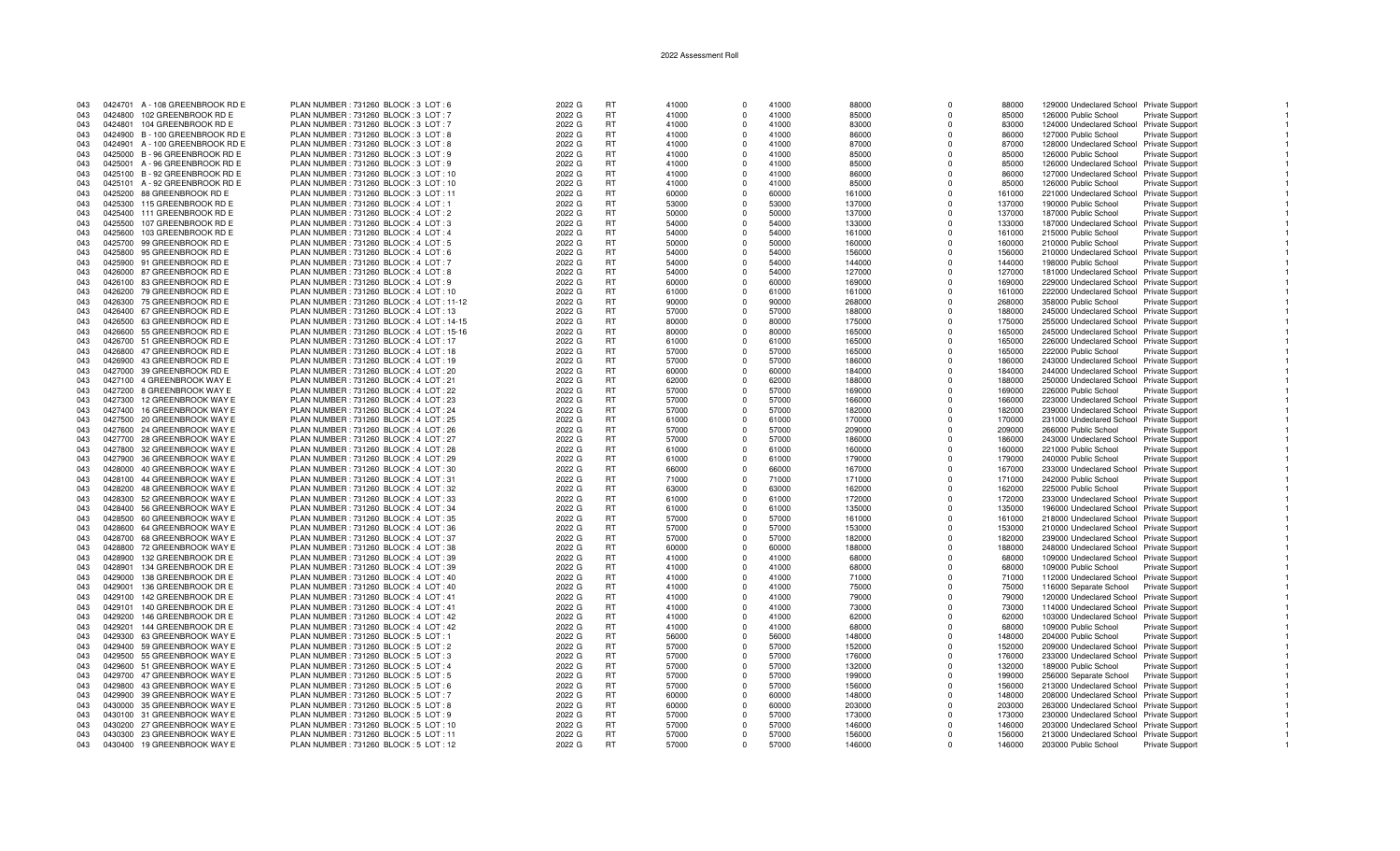| 043 |         | 0424701 A - 108 GREENBROOK RD E | PLAN NUMBER: 731260 BLOCK: 3 LOT: 6     | 2022 G | RT        | 41000 | $\Omega$    | 41000 | 88000  | $\Omega$    | 88000  | 129000 Undeclared School Private Support |                        |
|-----|---------|---------------------------------|-----------------------------------------|--------|-----------|-------|-------------|-------|--------|-------------|--------|------------------------------------------|------------------------|
| 043 |         | 0424800 102 GREENBROOK RD E     | PLAN NUMBER: 731260 BLOCK: 3 LOT: 7     | 2022 G | RT        | 41000 | $\Omega$    | 41000 | 85000  | $\Omega$    | 85000  | 126000 Public School                     | <b>Private Support</b> |
|     | 0424801 | 104 GREENBROOK RD E             | PLAN NUMBER : 731260 BLOCK : 3 LOT : 7  |        | <b>RT</b> |       | $\Omega$    | 41000 |        | $\Omega$    |        |                                          |                        |
| 043 |         |                                 |                                         | 2022 G |           | 41000 |             |       | 83000  |             | 83000  | 124000 Undeclared School Private Support |                        |
| 043 |         | 0424900 B - 100 GREENBROOK RD E | PLAN NUMBER: 731260 BLOCK: 3 LOT: 8     | 2022 G | <b>RT</b> | 41000 | $\Omega$    | 41000 | 86000  | $\Omega$    | 86000  | 127000 Public School                     | Private Support        |
| 043 |         | 0424901 A - 100 GREENBROOK RD E | PLAN NUMBER: 731260 BLOCK: 3 LOT: 8     | 2022 G | <b>RT</b> | 41000 | $\Omega$    | 41000 | 87000  | $\Omega$    | 87000  | 128000 Undeclared School Private Support |                        |
| 043 |         | 0425000 B - 96 GREENBROOK RD E  | PLAN NUMBER: 731260 BLOCK: 3 LOT: 9     | 2022 G | <b>RT</b> | 41000 | $\Omega$    | 41000 | 85000  | $\Omega$    | 85000  | 126000 Public School                     | Private Support        |
| 043 |         | 0425001 A - 96 GREENBROOK RD E  | PLAN NUMBER: 731260 BLOCK: 3 LOT: 9     | 2022 G | RT        | 41000 | $\Omega$    | 41000 | 85000  | $\Omega$    | 85000  | 126000 Undeclared School Private Support |                        |
| 043 |         |                                 |                                         | 2022 G | <b>RT</b> | 41000 | $\Omega$    | 41000 | 86000  | $\Omega$    |        |                                          |                        |
|     |         | 0425100 B - 92 GREENBROOK RD E  | PLAN NUMBER: 731260 BLOCK: 3 LOT: 10    |        |           |       |             |       |        |             | 86000  | 127000 Undeclared School Private Support |                        |
| 043 |         | 0425101 A - 92 GREENBROOK RD E  | PLAN NUMBER: 731260 BLOCK: 3 LOT: 10    | 2022 G | RT        | 41000 | $\Omega$    | 41000 | 85000  | $\Omega$    | 85000  | 126000 Public School                     | <b>Private Support</b> |
| 043 |         | 0425200 88 GREENBROOK RD E      | PLAN NUMBER: 731260 BLOCK: 3 LOT: 11    | 2022 G | <b>RT</b> | 60000 | $\Omega$    | 60000 | 161000 | $\Omega$    | 161000 | 221000 Undeclared School Private Support |                        |
| 043 | 0425300 | 115 GREENBROOK RD E             | PLAN NUMBER: 731260 BLOCK: 4 LOT: 1     | 2022 G | <b>RT</b> | 53000 | $\Omega$    | 53000 | 137000 | $\Omega$    | 137000 | 190000 Public School                     | <b>Private Support</b> |
| 043 | 0425400 | 111 GREENBROOK RD E             | PLAN NUMBER: 731260 BLOCK: 4 LOT: 2     | 2022 G | <b>RT</b> | 50000 | $\Omega$    | 50000 | 137000 | $\Omega$    | 137000 | 187000 Public School                     | <b>Private Support</b> |
|     |         |                                 |                                         |        |           |       |             |       |        |             |        |                                          |                        |
| 043 | 0425500 | 107 GREENBROOK RD E             | PLAN NUMBER: 731260 BLOCK: 4 LOT: 3     | 2022 G | <b>RT</b> | 54000 | $\Omega$    | 54000 | 133000 | $\Omega$    | 133000 | 187000 Undeclared School Private Support |                        |
| 043 | 0425600 | 103 GREENBROOK RD E             | PLAN NUMBER: 731260 BLOCK: 4 LOT: 4     | 2022 G | RT        | 54000 | $\Omega$    | 54000 | 161000 | $\Omega$    | 161000 | 215000 Public School                     | Private Support        |
| 043 |         | 0425700 99 GREENBROOK RD E      | PLAN NUMBER: 731260 BLOCK: 4 LOT: 5     | 2022 G | RT        | 50000 | $\Omega$    | 50000 | 160000 | $\Omega$    | 160000 | 210000 Public School                     | <b>Private Support</b> |
| 043 |         | 0425800 95 GREENBROOK RD E      | PLAN NUMBER: 731260 BLOCK: 4 LOT: 6     | 2022 G | RT        | 54000 | $\Omega$    | 54000 | 156000 | $\Omega$    | 156000 | 210000 Undeclared School Private Support |                        |
| 043 |         | 0425900 91 GREENBROOK RD E      | PLAN NUMBER: 731260 BLOCK: 4 LOT: 7     | 2022 G | <b>RT</b> | 54000 | $\Omega$    | 54000 | 144000 | $\Omega$    | 144000 | 198000 Public School                     | <b>Private Support</b> |
|     |         |                                 |                                         |        | <b>RT</b> | 54000 | $\Omega$    | 54000 |        | $\Omega$    | 127000 |                                          |                        |
| 043 |         | 0426000 87 GREENBROOK RD E      | PLAN NUMBER: 731260 BLOCK: 4 LOT: 8     | 2022 G |           |       |             |       | 127000 |             |        | 181000 Undeclared School Private Support |                        |
| 043 |         | 0426100 83 GREENBROOK RD E      | PLAN NUMBER: 731260 BLOCK: 4 LOT: 9     | 2022 G | <b>RT</b> | 60000 | $\Omega$    | 60000 | 169000 | $\Omega$    | 169000 | 229000 Undeclared School Private Support |                        |
| 043 |         | 0426200 79 GREENBROOK RD E      | PLAN NUMBER: 731260 BLOCK: 4 LOT: 10    | 2022 G | <b>RT</b> | 61000 | $\Omega$    | 61000 | 161000 | $\Omega$    | 161000 | 222000 Undeclared School Private Support |                        |
| 043 |         | 0426300 75 GREENBROOK RD E      | PLAN NUMBER: 731260 BLOCK: 4 LOT: 11-12 | 2022 G | RT        | 90000 | $\Omega$    | 90000 | 268000 | $\Omega$    | 268000 | 358000 Public School                     | Private Support        |
| 043 |         | 0426400 67 GREENBROOK RD E      | PLAN NUMBER: 731260 BLOCK: 4 LOT: 13    | 2022 G | RT        | 57000 | $^{\circ}$  | 57000 | 188000 | $\mathbf 0$ | 188000 | 245000 Undeclared School Private Support |                        |
|     |         |                                 |                                         |        |           |       | $\Omega$    |       |        |             |        |                                          |                        |
| 043 | 0426500 | 63 GREENBROOK RD E              | PLAN NUMBER: 731260 BLOCK: 4 LOT: 14-15 | 2022 G | RT        | 80000 |             | 80000 | 175000 | $\Omega$    | 175000 | 255000 Undeclared School Private Support |                        |
| 043 |         | 0426600 55 GREENBROOK RD E      | PLAN NUMBER: 731260 BLOCK: 4 LOT: 15-16 | 2022 G | <b>RT</b> | 80000 | $\Omega$    | 80000 | 165000 | $\Omega$    | 165000 | 245000 Undeclared School Private Support |                        |
| 043 |         | 0426700 51 GREENBROOK RD E      | PLAN NUMBER: 731260 BLOCK: 4 LOT: 17    | 2022 G | <b>RT</b> | 61000 | $\Omega$    | 61000 | 165000 | $\Omega$    | 165000 | 226000 Undeclared School Private Support |                        |
| 043 |         | 0426800 47 GREENBROOK RD E      | PLAN NUMBER: 731260 BLOCK: 4 LOT: 18    | 2022 G | <b>RT</b> | 57000 | $\Omega$    | 57000 | 165000 | $\Omega$    | 165000 | 222000 Public School                     | Private Support        |
| 043 | 0426900 | 43 GREENBROOK RD E              | PLAN NUMBER: 731260 BLOCK: 4 LOT: 19    | 2022 G | <b>RT</b> | 57000 | $\Omega$    | 57000 | 186000 | $\Omega$    | 186000 | 243000 Undeclared School Private Support |                        |
|     |         |                                 |                                         |        |           |       | $\Omega$    |       |        | $\Omega$    |        |                                          |                        |
| 043 |         | 0427000 39 GREENBROOK RD E      | PLAN NUMBER: 731260 BLOCK: 4 LOT: 20    | 2022 G | <b>RT</b> | 60000 |             | 60000 | 184000 |             | 184000 | 244000 Undeclared School Private Support |                        |
| 043 |         | 0427100 4 GREENBROOK WAY E      | PLAN NUMBER: 731260 BLOCK: 4 LOT: 21    | 2022 G | RT        | 62000 | $\Omega$    | 62000 | 188000 | $\Omega$    | 188000 | 250000 Undeclared School Private Support |                        |
| 043 |         | 0427200 8 GREENBROOK WAY E      | PLAN NUMBER: 731260 BLOCK: 4 LOT: 22    | 2022 G | RT        | 57000 | $\Omega$    | 57000 | 169000 | $\Omega$    | 169000 | 226000 Public School                     | Private Support        |
| 043 | 0427300 | 12 GREENBROOK WAY E             | PLAN NUMBER: 731260 BLOCK: 4 LOT: 23    | 2022 G | <b>RT</b> | 57000 | $\Omega$    | 57000 | 166000 | $\Omega$    | 166000 | 223000 Undeclared School Private Support |                        |
| 043 |         | 0427400 16 GREENBROOK WAY E     | PLAN NUMBER : 731260 BLOCK : 4 LOT : 24 | 2022 G | <b>RT</b> | 57000 | $\Omega$    | 57000 | 182000 | $\Omega$    | 182000 | 239000 Undeclared School Private Support |                        |
|     |         |                                 |                                         |        |           |       |             |       |        |             |        |                                          |                        |
| 043 |         | 0427500 20 GREENBROOK WAY E     | PLAN NUMBER: 731260 BLOCK: 4 LOT: 25    | 2022 G | <b>RT</b> | 61000 | $\Omega$    | 61000 | 170000 | $\Omega$    | 170000 | 231000 Undeclared School Private Support |                        |
| 043 |         | 0427600 24 GREENBROOK WAY E     | PLAN NUMBER: 731260 BLOCK: 4 LOT: 26    | 2022 G | RT        | 57000 | $\mathbf 0$ | 57000 | 209000 | $\Omega$    | 209000 | 266000 Public School                     | Private Support        |
| 043 |         | 0427700 28 GREENBROOK WAY E     | PLAN NUMBER : 731260 BLOCK : 4 LOT : 27 | 2022 G | RT        | 57000 | $\Omega$    | 57000 | 186000 | $\Omega$    | 186000 | 243000 Undeclared School Private Support |                        |
| 043 |         | 0427800 32 GREENBROOK WAY E     | PLAN NUMBER: 731260 BLOCK: 4 LOT: 28    | 2022 G | RT        | 61000 | $\Omega$    | 61000 | 160000 | $\Omega$    | 160000 | 221000 Public School                     | Private Support        |
| 043 |         | 0427900 36 GREENBROOK WAY E     | PLAN NUMBER : 731260 BLOCK : 4 LOT : 29 | 2022 G | RT        | 61000 | $\Omega$    | 61000 | 179000 | $\Omega$    | 179000 | 240000 Public School                     | Private Support        |
|     |         |                                 |                                         |        |           |       |             |       |        |             |        |                                          |                        |
| 043 | 0428000 | 40 GREENBROOK WAY E             | PLAN NUMBER: 731260 BLOCK: 4 LOT: 30    | 2022 G | <b>RT</b> | 66000 | $\Omega$    | 66000 | 167000 | $\Omega$    | 167000 | 233000 Undeclared School Private Support |                        |
| 043 | 0428100 | 44 GREENBROOK WAY E             | PLAN NUMBER : 731260 BLOCK : 4 LOT : 31 | 2022 G | <b>RT</b> | 71000 | $\Omega$    | 71000 | 171000 | $\Omega$    | 171000 | 242000 Public School                     | <b>Private Support</b> |
| 043 |         | 0428200 48 GREENBROOK WAY E     | PLAN NUMBER: 731260 BLOCK: 4 LOT: 32    | 2022 G | <b>RT</b> | 63000 | $\Omega$    | 63000 | 162000 | $\Omega$    | 162000 | 225000 Public School                     | <b>Private Support</b> |
| 043 |         | 0428300 52 GREENBROOK WAY E     | PLAN NUMBER: 731260 BLOCK: 4 LOT: 33    | 2022 G | <b>RT</b> | 61000 | $\Omega$    | 61000 | 172000 | $\Omega$    | 172000 | 233000 Undeclared School Private Support |                        |
| 043 |         | 0428400 56 GREENBROOK WAY E     | PLAN NUMBER: 731260 BLOCK: 4 LOT: 34    | 2022 G | RT        | 61000 | $\mathbf 0$ | 61000 | 135000 | $\Omega$    | 135000 | 196000 Undeclared School Private Support |                        |
| 043 | 0428500 | 60 GREENBROOK WAY E             | PLAN NUMBER: 731260 BLOCK: 4 LOT: 35    | 2022 G | RT        | 57000 | $\Omega$    | 57000 | 161000 | $\Omega$    |        |                                          |                        |
|     |         |                                 |                                         |        |           |       |             |       |        |             | 161000 | 218000 Undeclared School Private Support |                        |
| 043 | 0428600 | 64 GREENBROOK WAY E             | PLAN NUMBER: 731260 BLOCK: 4 LOT: 36    | 2022 G | RT        | 57000 | $\Omega$    | 57000 | 153000 | $\Omega$    | 153000 | 210000 Undeclared School Private Support |                        |
| 043 |         | 0428700 68 GREENBROOK WAY E     | PLAN NUMBER : 731260 BLOCK : 4 LOT : 37 | 2022 G | <b>RT</b> | 57000 | $\Omega$    | 57000 | 182000 | $\Omega$    | 182000 | 239000 Undeclared School Private Support |                        |
| 043 |         | 0428800 72 GREENBROOK WAY E     | PLAN NUMBER: 731260 BLOCK: 4 LOT: 38    | 2022 G | RT        | 60000 | $\Omega$    | 60000 | 188000 | $\Omega$    | 188000 | 248000 Undeclared School Private Support |                        |
| 043 | 0428900 | 132 GREENBROOK DR E             | PLAN NUMBER: 731260 BLOCK: 4 LOT: 39    | 2022 G | <b>RT</b> | 41000 | $\Omega$    | 41000 | 68000  | $\Omega$    | 68000  | 109000 Undeclared School Private Support |                        |
| 043 | 0428901 | 134 GREENBROOK DR E             | PLAN NUMBER : 731260 BLOCK : 4 LOT : 39 | 2022 G | RT        | 41000 | $\Omega$    | 41000 | 68000  | $\Omega$    | 68000  | 109000 Public School                     | Private Support        |
|     |         |                                 |                                         |        |           |       |             |       |        |             |        |                                          |                        |
| 043 | 0429000 | 138 GREENBROOK DR E             | PLAN NUMBER: 731260 BLOCK: 4 LOT: 40    | 2022 G | <b>RT</b> | 41000 | $\Omega$    | 41000 | 71000  | $\Omega$    | 71000  | 112000 Undeclared School Private Support |                        |
| 043 | 0429001 | 136 GREENBROOK DR E             | PLAN NUMBER: 731260 BLOCK: 4 LOT: 40    | 2022 G | RT        | 41000 | $\mathbf 0$ | 41000 | 75000  | $\Omega$    | 75000  | 116000 Separate School                   | <b>Private Support</b> |
| 043 | 0429100 | 142 GREENBROOK DR E             | PLAN NUMBER : 731260 BLOCK : 4 LOT : 41 | 2022 G | <b>RT</b> | 41000 | $\Omega$    | 41000 | 79000  | $\Omega$    | 79000  | 120000 Undeclared School Private Support |                        |
| 043 | 0429101 | 140 GREENBROOK DR E             | PLAN NUMBER : 731260 BLOCK : 4 LOT : 41 | 2022 G | <b>RT</b> | 41000 | $\Omega$    | 41000 | 73000  | $\Omega$    | 73000  | 114000 Undeclared School Private Support |                        |
| 043 | 0429200 | 146 GREENBROOK DR E             | PLAN NUMBER: 731260 BLOCK: 4 LOT: 42    | 2022 G | <b>RT</b> | 41000 | $\Omega$    | 41000 | 62000  | $\Omega$    | 62000  | 103000 Undeclared School Private Support |                        |
|     |         |                                 |                                         |        |           |       |             |       |        |             |        |                                          |                        |
| 043 | 0429201 | 144 GREENBROOK DR E             | PLAN NUMBER: 731260 BLOCK: 4 LOT: 42    | 2022 G | <b>RT</b> | 41000 | $\Omega$    | 41000 | 68000  | $\Omega$    | 68000  | 109000 Public School                     | <b>Private Support</b> |
| 043 | 0429300 | 63 GREENBROOK WAY E             | PLAN NUMBER: 731260 BLOCK: 5 LOT: 1     | 2022 G | <b>RT</b> | 56000 | $\Omega$    | 56000 | 148000 | $\Omega$    | 148000 | 204000 Public School                     | Private Support        |
| 043 |         | 0429400 59 GREENBROOK WAY E     | PLAN NUMBER: 731260 BLOCK: 5 LOT: 2     | 2022 G | RT        | 57000 | $\Omega$    | 57000 | 152000 | $\Omega$    | 152000 | 209000 Undeclared School Private Support |                        |
| 043 |         | 0429500 55 GREENBROOK WAY E     | PLAN NUMBER: 731260 BLOCK: 5 LOT: 3     | 2022 G | <b>RT</b> | 57000 | $\Omega$    | 57000 | 176000 | $\Omega$    | 176000 | 233000 Undeclared School Private Support |                        |
| 043 |         | 0429600 51 GREENBROOK WAY E     | PLAN NUMBER: 731260 BLOCK: 5 LOT: 4     | 2022 G | RT        | 57000 | $\Omega$    | 57000 | 132000 | $\Omega$    | 132000 | 189000 Public School                     | Private Support        |
|     |         | 0429700 47 GREENBROOK WAY E     |                                         | 2022 G | <b>RT</b> | 57000 | $\Omega$    | 57000 |        | $\Omega$    |        |                                          |                        |
| 043 |         |                                 | PLAN NUMBER: 731260 BLOCK: 5 LOT: 5     |        |           |       |             |       | 199000 |             | 199000 | 256000 Separate School                   | <b>Private Support</b> |
| 043 |         | 0429800 43 GREENBROOK WAY E     | PLAN NUMBER: 731260 BLOCK: 5 LOT: 6     | 2022 G | <b>RT</b> | 57000 | $\Omega$    | 57000 | 156000 | $\Omega$    | 156000 | 213000 Undeclared School Private Support |                        |
| 043 |         | 0429900 39 GREENBROOK WAY E     | PLAN NUMBER : 731260 BLOCK : 5 LOT : 7  | 2022 G | <b>RT</b> | 60000 | $\Omega$    | 60000 | 148000 | $\Omega$    | 148000 | 208000 Undeclared School Private Support |                        |
| 043 |         | 0430000 35 GREENBROOK WAY E     | PLAN NUMBER: 731260 BLOCK: 5 LOT: 8     | 2022 G | RT        | 60000 | $^{\circ}$  | 60000 | 203000 | $\Omega$    | 203000 | 263000 Undeclared School Private Support |                        |
| 043 |         | 0430100 31 GREENBROOK WAY E     | PLAN NUMBER: 731260 BLOCK: 5 LOT: 9     | 2022 G | <b>RT</b> | 57000 | $\Omega$    | 57000 | 173000 | $\Omega$    | 173000 | 230000 Undeclared School Private Support |                        |
| 043 |         | 0430200 27 GREENBROOK WAY E     | PLAN NUMBER: 731260 BLOCK: 5 LOT: 10    | 2022 G | RT        | 57000 | $\Omega$    | 57000 | 146000 | $\Omega$    | 146000 | 203000 Undeclared School Private Support |                        |
| 043 |         |                                 |                                         |        | <b>RT</b> | 57000 | $\Omega$    |       |        | $\Omega$    |        |                                          |                        |
|     |         | 0430300 23 GREENBROOK WAY E     | PLAN NUMBER: 731260 BLOCK: 5 LOT: 11    | 2022 G |           |       |             | 57000 | 156000 |             | 156000 | 213000 Undeclared School Private Support |                        |
| 043 |         | 0430400 19 GREENBROOK WAY E     | PLAN NUMBER: 731260 BLOCK: 5 LOT: 12    | 2022 G | <b>RT</b> | 57000 | $\Omega$    | 57000 | 146000 | $\Omega$    | 146000 | 203000 Public School                     | <b>Private Support</b> |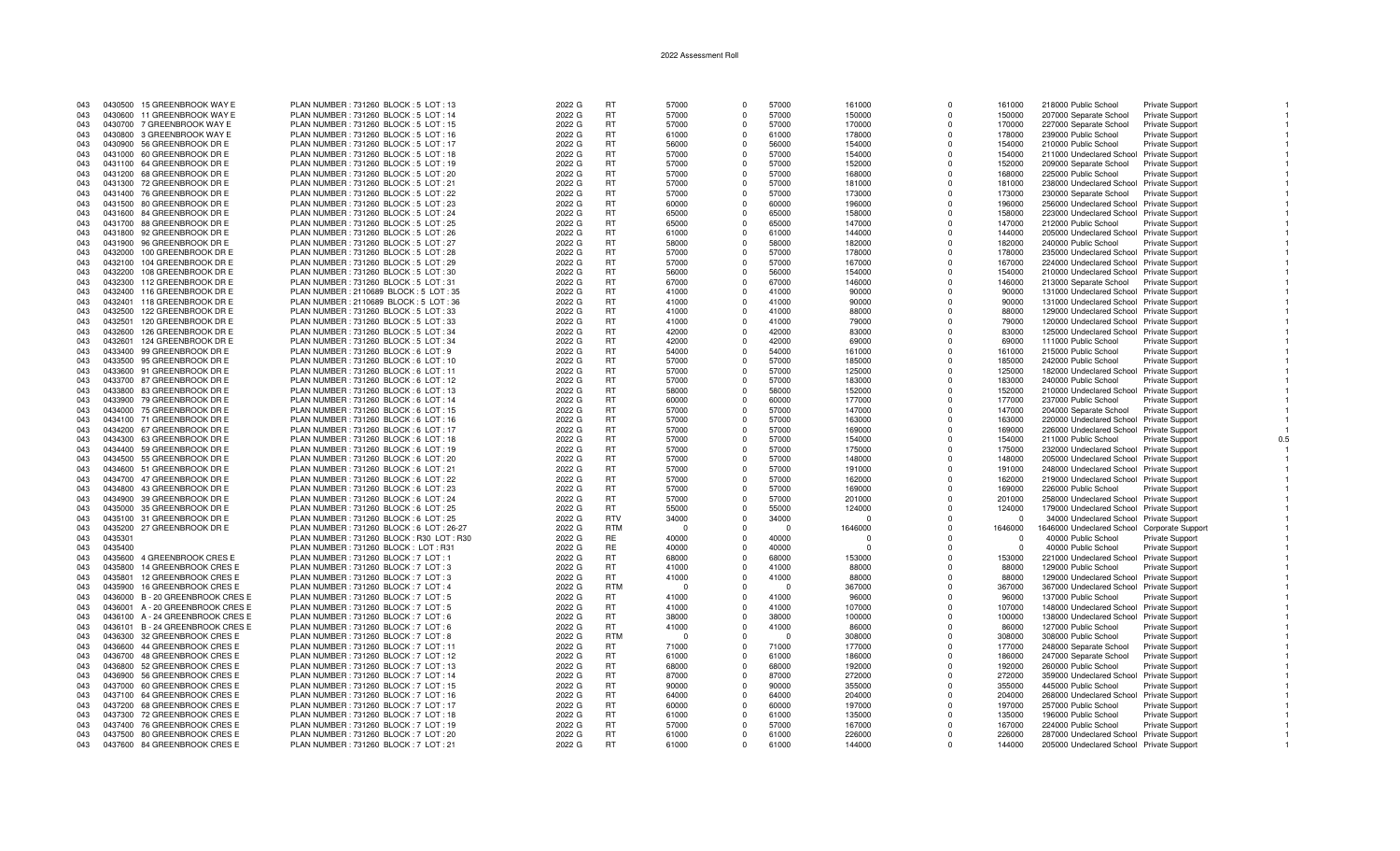| 043 |         | 0430500 15 GREENBROOK WAY E      | PLAN NUMBER : 731260 BLOCK : 5 LOT : 13  | 2022 G | <b>RT</b>  | 57000 | $\Omega$       | 57000    | 161000   | $\Omega$    | 161000   | 218000 Public School                        | <b>Private Support</b> |  |
|-----|---------|----------------------------------|------------------------------------------|--------|------------|-------|----------------|----------|----------|-------------|----------|---------------------------------------------|------------------------|--|
| 043 |         | 0430600 11 GREENBROOK WAY E      | PLAN NUMBER: 731260 BLOCK: 5 LOT: 14     | 2022 G | <b>RT</b>  | 57000 | $\Omega$       | 57000    | 150000   | $\Omega$    | 150000   | 207000 Separate School                      | Private Support        |  |
|     |         |                                  |                                          |        |            |       |                |          |          |             |          |                                             |                        |  |
| 043 |         | 0430700 7 GREENBROOK WAY E       | PLAN NUMBER: 731260 BLOCK: 5 LOT: 15     | 2022 G | <b>RT</b>  | 57000 | $\Omega$       | 57000    | 170000   | $\mathbf 0$ | 170000   | 227000 Separate School                      | <b>Private Support</b> |  |
| 043 |         | 0430800 3 GREENBROOK WAY E       | PLAN NUMBER : 731260 BLOCK : 5 LOT : 16  | 2022 G | <b>RT</b>  | 61000 | $\Omega$       | 61000    | 178000   | $\Omega$    | 178000   | 239000 Public School                        | Private Support        |  |
| 043 |         | 0430900 56 GREENBROOK DR E       | PLAN NUMBER: 731260 BLOCK: 5 LOT: 17     | 2022 G | <b>RT</b>  | 56000 | $\Omega$       | 56000    | 154000   | $\Omega$    | 154000   | 210000 Public School                        | <b>Private Support</b> |  |
|     |         | 0431000 60 GREENBROOK DR E       | PLAN NUMBER: 731260 BLOCK: 5 LOT: 18     | 2022 G | <b>RT</b>  | 57000 | $\overline{0}$ | 57000    | 154000   | $\Omega$    | 154000   |                                             |                        |  |
| 043 |         |                                  |                                          |        |            |       |                |          |          |             |          | 211000 Undeclared School Private Support    |                        |  |
| 043 |         | 0431100 64 GREENBROOK DR E       | PLAN NUMBER : 731260 BLOCK : 5 LOT : 19  | 2022 G | <b>RT</b>  | 57000 | $\Omega$       | 57000    | 152000   | $\Omega$    | 152000   | 209000 Separate School                      | <b>Private Support</b> |  |
| 043 |         | 0431200 68 GREENBROOK DR E       | PLAN NUMBER : 731260 BLOCK : 5 LOT : 20  | 2022 G | <b>RT</b>  | 57000 | $\Omega$       | 57000    | 168000   | $\Omega$    | 168000   | 225000 Public School                        | <b>Private Support</b> |  |
| 043 |         | 0431300 72 GREENBROOK DR E       | PLAN NUMBER: 731260 BLOCK: 5 LOT: 21     | 2022 G | <b>RT</b>  | 57000 | $\Omega$       | 57000    | 181000   | $\Omega$    |          | 238000 Undeclared School Private Support    |                        |  |
|     |         |                                  |                                          |        |            |       |                |          |          |             | 181000   |                                             |                        |  |
| 043 |         | 0431400 76 GREENBROOK DR E       | PLAN NUMBER: 731260 BLOCK: 5 LOT: 22     | 2022 G | <b>RT</b>  | 57000 | $\Omega$       | 57000    | 173000   | $\Omega$    | 173000   | 230000 Separate School                      | <b>Private Support</b> |  |
| 043 |         | 0431500 80 GREENBROOK DR E       | PLAN NUMBER: 731260 BLOCK: 5 LOT: 23     | 2022 G | <b>RT</b>  | 60000 | $\Omega$       | 60000    | 196000   | $\Omega$    | 196000   | 256000 Undeclared School Private Support    |                        |  |
| 043 |         | 0431600 84 GREENBROOK DR E       | PLAN NUMBER: 731260 BLOCK: 5 LOT: 24     | 2022 G | <b>RT</b>  | 65000 | $\Omega$       | 65000    | 158000   | $\Omega$    | 158000   | 223000 Undeclared School Private Support    |                        |  |
|     |         |                                  |                                          |        |            |       |                |          |          |             |          |                                             |                        |  |
| 043 |         | 0431700 88 GREENBROOK DR E       | PLAN NUMBER : 731260 BLOCK : 5 LOT : 25  | 2022 G | <b>RT</b>  | 65000 | $\Omega$       | 65000    | 147000   | $\Omega$    | 147000   | 212000 Public School                        | <b>Private Support</b> |  |
| 043 |         | 0431800 92 GREENBROOK DR E       | PLAN NUMBER: 731260 BLOCK: 5 LOT: 26     | 2022 G | <b>RT</b>  | 61000 | $\Omega$       | 61000    | 144000   | $\Omega$    | 144000   | 205000 Undeclared School Private Support    |                        |  |
| 043 |         | 0431900 96 GREENBROOK DR E       | PLAN NUMBER: 731260 BLOCK: 5 LOT: 27     | 2022 G | <b>RT</b>  | 58000 | $\mathbf{0}$   | 58000    | 182000   | $^{\circ}$  | 182000   |                                             |                        |  |
|     |         |                                  |                                          |        |            |       |                |          |          |             |          | 240000 Public School                        | <b>Private Support</b> |  |
| 043 | 0432000 | 100 GREENBROOK DR E              | PLAN NUMBER: 731260 BLOCK: 5 LOT: 28     | 2022 G | <b>RT</b>  | 57000 | $\Omega$       | 57000    | 178000   | $\Omega$    | 178000   | 235000 Undeclared School Private Support    |                        |  |
| 043 |         | 0432100 104 GREENBROOK DR E      | PLAN NUMBER : 731260 BLOCK : 5 LOT : 29  | 2022 G | <b>RT</b>  | 57000 | $\Omega$       | 57000    | 167000   | $\Omega$    | 167000   | 224000 Undeclared School Private Support    |                        |  |
| 043 |         | 0432200 108 GREENBROOK DR E      | PLAN NUMBER: 731260 BLOCK: 5 LOT: 30     | 2022 G | <b>RT</b>  | 56000 | $\Omega$       | 56000    | 154000   | $\Omega$    | 154000   | 210000 Undeclared School Private Support    |                        |  |
|     |         |                                  |                                          |        |            |       |                |          |          |             |          |                                             |                        |  |
| 043 |         | 0432300 112 GREENBROOK DR E      | PLAN NUMBER: 731260 BLOCK: 5 LOT: 31     | 2022 G | <b>RT</b>  | 67000 | $\Omega$       | 67000    | 146000   | $\Omega$    | 146000   | 213000 Separate School Private Support      |                        |  |
| 043 | 0432400 | 116 GREENBROOK DR E              | PLAN NUMBER : 2110689 BLOCK : 5 LOT : 35 | 2022 G | <b>RT</b>  | 41000 | $\Omega$       | 41000    | 90000    | $\Omega$    | 90000    | 131000 Undeclared School Private Support    |                        |  |
| 043 | 0432401 | 118 GREENBROOK DR E              | PLAN NUMBER: 2110689 BLOCK: 5 LOT: 36    | 2022 G | <b>RT</b>  | 41000 | $\Omega$       | 41000    | 90000    | $\Omega$    | 90000    | 131000 Undeclared School Private Support    |                        |  |
|     |         |                                  |                                          |        |            |       |                |          |          |             |          |                                             |                        |  |
| 043 | 0432500 | 122 GREENBROOK DR E              | PLAN NUMBER : 731260 BLOCK : 5 LOT : 33  | 2022 G | <b>RT</b>  | 41000 | $\Omega$       | 41000    | 88000    | $\Omega$    | 88000    | 129000 Undeclared School Private Support    |                        |  |
| 043 | 0432501 | 120 GREENBROOK DR E              | PLAN NUMBER: 731260 BLOCK: 5 LOT: 33     | 2022 G | <b>RT</b>  | 41000 | $\Omega$       | 41000    | 79000    | $\Omega$    | 79000    | 120000 Undeclared School Private Support    |                        |  |
| 043 | 0432600 | 126 GREENBROOK DR E              | PLAN NUMBER: 731260 BLOCK: 5 LOT: 34     | 2022 G | <b>RT</b>  | 42000 | $\Omega$       | 42000    | 83000    | $\Omega$    | 83000    | 125000 Undeclared School Private Support    |                        |  |
|     |         |                                  |                                          |        |            |       |                |          |          |             |          |                                             |                        |  |
| 043 | 0432601 | 124 GREENBROOK DR E              | PLAN NUMBER: 731260 BLOCK: 5 LOT: 34     | 2022 G | <b>RT</b>  | 42000 | $\Omega$       | 42000    | 69000    | $\Omega$    | 69000    | 111000 Public School                        | Private Support        |  |
| 043 |         | 0433400 99 GREENBROOK DR E       | PLAN NUMBER: 731260 BLOCK: 6 LOT: 9      | 2022 G | RT         | 54000 | $\Omega$       | 54000    | 161000   | $\Omega$    | 161000   | 215000 Public School                        | Private Support        |  |
| 043 |         | 0433500 95 GREENBROOK DR E       | PLAN NUMBER: 731260 BLOCK: 6 LOT: 10     | 2022 G | <b>RT</b>  | 57000 | $\Omega$       | 57000    | 185000   | $\Omega$    | 185000   | 242000 Public School                        | <b>Private Support</b> |  |
|     |         |                                  |                                          |        |            |       |                |          |          |             |          |                                             |                        |  |
| 043 |         | 0433600 91 GREENBROOK DR E       | PLAN NUMBER : 731260 BLOCK : 6 LOT : 11  | 2022 G | <b>RT</b>  | 57000 | $\Omega$       | 57000    | 125000   | $\Omega$    | 125000   | 182000 Undeclared School Private Support    |                        |  |
| 043 |         | 0433700 87 GREENBROOK DR E       | PLAN NUMBER: 731260 BLOCK: 6 LOT: 12     | 2022 G | <b>RT</b>  | 57000 | $\Omega$       | 57000    | 183000   | $\Omega$    | 183000   | 240000 Public School                        | <b>Private Support</b> |  |
| 043 |         | 0433800 83 GREENBROOK DR E       | PLAN NUMBER: 731260 BLOCK: 6 LOT: 13     | 2022 G | <b>RT</b>  | 58000 | $\Omega$       | 58000    | 152000   | $\Omega$    | 152000   | 210000 Undeclared School Private Support    |                        |  |
|     |         |                                  |                                          |        | <b>RT</b>  | 60000 | $\Omega$       | 60000    |          | $\Omega$    | 177000   |                                             |                        |  |
| 043 |         | 0433900 79 GREENBROOK DR E       | PLAN NUMBER : 731260 BLOCK : 6 LOT : 14  | 2022 G |            |       |                |          | 177000   |             |          | 237000 Public School                        | <b>Private Support</b> |  |
| 043 |         | 0434000 75 GREENBROOK DR E       | PLAN NUMBER: 731260 BLOCK: 6 LOT: 15     | 2022 G | <b>RT</b>  | 57000 | $\Omega$       | 57000    | 147000   | $\Omega$    | 147000   | 204000 Separate School                      | <b>Private Support</b> |  |
| 043 |         | 0434100 71 GREENBROOK DR E       | PLAN NUMBER: 731260 BLOCK: 6 LOT: 16     | 2022 G | <b>RT</b>  | 57000 | $\Omega$       | 57000    | 163000   | $\Omega$    | 163000   | 220000 Undeclared School Private Support    |                        |  |
| 043 |         | 0434200 67 GREENBROOK DR E       | PLAN NUMBER: 731260 BLOCK: 6 LOT: 17     | 2022 G | <b>RT</b>  | 57000 | $\Omega$       | 57000    | 169000   | $\Omega$    | 169000   | 226000 Undeclared School Private Support    |                        |  |
|     |         |                                  |                                          |        |            |       |                |          |          |             |          |                                             |                        |  |
| 043 |         | 0434300 63 GREENBROOK DR E       | PLAN NUMBER: 731260 BLOCK: 6 LOT: 18     | 2022 G | <b>RT</b>  | 57000 | $\Omega$       | 57000    | 154000   | $\Omega$    | 154000   | 211000 Public School                        | Private Support        |  |
| 043 |         | 0434400 59 GREENBROOK DR E       | PLAN NUMBER: 731260 BLOCK: 6 LOT: 19     | 2022 G | RT         | 57000 | $\Omega$       | 57000    | 175000   | $\Omega$    | 175000   | 232000 Undeclared School Private Support    |                        |  |
| 043 |         | 0434500 55 GREENBROOK DR E       | PLAN NUMBER: 731260 BLOCK: 6 LOT: 20     | 2022 G | <b>RT</b>  | 57000 | $\Omega$       | 57000    | 148000   | $\Omega$    | 148000   | 205000 Undeclared School Private Support    |                        |  |
|     |         |                                  |                                          |        |            |       |                |          |          |             |          |                                             |                        |  |
| 043 |         | 0434600 51 GREENBROOK DR E       | PLAN NUMBER: 731260 BLOCK: 6 LOT: 21     | 2022 G | <b>RT</b>  | 57000 | $\Omega$       | 57000    | 191000   | $\Omega$    | 191000   | 248000 Undeclared School Private Support    |                        |  |
| 043 |         | 0434700 47 GREENBROOK DR E       | PLAN NUMBER : 731260 BLOCK : 6 LOT : 22  | 2022 G | <b>RT</b>  | 57000 | $\Omega$       | 57000    | 162000   | $\Omega$    | 162000   | 219000 Undeclared School Private Support    |                        |  |
| 043 |         | 0434800 43 GREENBROOK DR E       | PLAN NUMBER: 731260 BLOCK: 6 LOT: 23     | 2022 G | <b>RT</b>  | 57000 | $\Omega$       | 57000    | 169000   | $\Omega$    | 169000   | 226000 Public School                        | <b>Private Support</b> |  |
|     |         |                                  |                                          |        |            |       | $\Omega$       |          |          |             |          |                                             |                        |  |
| 043 |         | 0434900 39 GREENBROOK DR E       | PLAN NUMBER : 731260 BLOCK : 6 LOT : 24  | 2022 G | <b>RT</b>  | 57000 |                | 57000    | 201000   | $\Omega$    | 201000   | 258000 Undeclared School Private Support    |                        |  |
| 043 |         | 0435000 35 GREENBROOK DR E       | PLAN NUMBER: 731260 BLOCK: 6 LOT: 25     | 2022 G | <b>RT</b>  | 55000 | $\Omega$       | 55000    | 124000   | $\Omega$    | 124000   | 179000 Undeclared School Private Support    |                        |  |
| 043 |         | 0435100 31 GREENBROOK DR E       | PLAN NUMBER: 731260 BLOCK: 6 LOT: 25     | 2022 G | <b>RTV</b> | 34000 | $\Omega$       | 34000    | n        | $\Omega$    | $\Omega$ | 34000 Undeclared School Private Support     |                        |  |
| 043 | 0435200 | 27 GREENBROOK DR E               | PLAN NUMBER: 731260 BLOCK: 6 LOT: 26-27  | 2022 G | <b>RTM</b> | - 0   | $\Omega$       | $\Omega$ | 1646000  | $\Omega$    | 1646000  | 1646000 Undeclared School Corporate Support |                        |  |
|     |         |                                  |                                          |        |            |       |                |          |          |             |          |                                             |                        |  |
| 043 | 0435301 |                                  | PLAN NUMBER: 731260 BLOCK: R30 LOT: R30  | 2022 G | <b>RE</b>  | 40000 | $\Omega$       | 40000    | $\Omega$ | $\Omega$    | $\Omega$ | 40000 Public School                         | Private Support        |  |
| 043 | 0435400 |                                  | PLAN NUMBER: 731260 BLOCK: LOT: R31      | 2022 G | <b>RE</b>  | 40000 | $\Omega$       | 40000    | $\Omega$ | $\Omega$    |          | 40000 Public School                         | Private Support        |  |
| 043 | 0435600 | 4 GREENBROOK CRES E              | PLAN NUMBER: 731260 BLOCK: 7 LOT: 1      | 2022 G | <b>RT</b>  | 68000 | $\Omega$       | 68000    | 153000   | $\Omega$    | 153000   | 221000 Undeclared School Private Support    |                        |  |
|     |         |                                  |                                          |        |            |       |                |          |          |             |          |                                             |                        |  |
| 043 | 0435800 | 14 GREENBROOK CRES E             | PLAN NUMBER: 731260 BLOCK: 7 LOT: 3      | 2022 G | <b>RT</b>  | 41000 | $\Omega$       | 41000    | 88000    | $\Omega$    | 88000    | 129000 Public School                        | <b>Private Support</b> |  |
| 043 | 0435801 | 12 GREENBROOK CRES E             | PLAN NUMBER: 731260 BLOCK: 7 LOT: 3      | 2022 G | <b>RT</b>  | 41000 | $\Omega$       | 41000    | 88000    | $\Omega$    | 88000    | 129000 Undeclared School Private Support    |                        |  |
| 043 | 0435900 | 16 GREENBROOK CRES E             | PLAN NUMBER: 731260 BLOCK: 7 LOT: 4      | 2022 G | <b>RTM</b> | - 0   | $\Omega$       |          | 367000   | $\Omega$    | 367000   | 367000 Undeclared School Private Support    |                        |  |
| 043 |         |                                  |                                          |        | <b>RT</b>  |       | $\Omega$       | 41000    |          | $\Omega$    |          |                                             |                        |  |
|     |         | 0436000 B - 20 GREENBROOK CRESE  | PLAN NUMBER : 731260 BLOCK : 7 LOT : 5   | 2022 G |            | 41000 |                |          | 96000    |             | 96000    | 137000 Public School                        | Private Support        |  |
| 043 |         | 0436001 A - 20 GREENBROOK CRESE  | PLAN NUMBER: 731260 BLOCK: 7 LOT: 5      | 2022 G | <b>RT</b>  | 41000 | $\Omega$       | 41000    | 107000   | $\Omega$    | 107000   | 148000 Undeclared School Private Support    |                        |  |
| 043 |         | 0436100 A - 24 GREENBROOK CRES E | PLAN NUMBER: 731260 BLOCK: 7 LOT: 6      | 2022 G | <b>RT</b>  | 38000 | $\Omega$       | 38000    | 100000   | $\Omega$    | 100000   | 138000 Undeclared School Private Support    |                        |  |
| 043 |         | 0436101 B-24 GREENBROOK CRESE    | PLAN NUMBER : 731260 BLOCK : 7 LOT : 6   | 2022 G | <b>RT</b>  | 41000 | $\Omega$       | 41000    | 86000    | $\Omega$    | 86000    | 127000 Public School                        | <b>Private Support</b> |  |
|     |         |                                  |                                          |        |            |       |                |          |          |             |          |                                             |                        |  |
| 043 |         | 0436300 32 GREENBROOK CRES E     | PLAN NUMBER: 731260 BLOCK: 7 LOT: 8      | 2022 G | <b>RTM</b> | - 0   | $\Omega$       | $\Omega$ | 308000   | $\Omega$    | 308000   | 308000 Public School                        | Private Support        |  |
| 043 | 0436600 | 44 GREENBROOK CRES E             | PLAN NUMBER: 731260 BLOCK: 7 LOT: 11     | 2022 G | <b>RT</b>  | 71000 | $\Omega$       | 71000    | 177000   | $\Omega$    | 177000   | 248000 Separate School                      | <b>Private Support</b> |  |
| 043 |         | 0436700 48 GREENBROOK CRES E     | PLAN NUMBER: 731260 BLOCK: 7 LOT: 12     | 2022 G | <b>RT</b>  | 61000 | $\Omega$       | 61000    | 186000   | $\Omega$    | 186000   | 247000 Separate School                      | Private Support        |  |
|     |         |                                  |                                          |        |            |       |                |          |          |             |          |                                             |                        |  |
| 043 |         | 0436800 52 GREENBROOK CRES E     | PLAN NUMBER : 731260 BLOCK : 7 LOT : 13  | 2022 G | <b>RT</b>  | 68000 | $\Omega$       | 68000    | 192000   | $\Omega$    | 192000   | 260000 Public School                        | Private Support        |  |
| 043 |         | 0436900 56 GREENBROOK CRES E     | PLAN NUMBER : 731260 BLOCK : 7 LOT : 14  | 2022 G | <b>RT</b>  | 87000 | $\Omega$       | 87000    | 272000   | $\Omega$    | 272000   | 359000 Undeclared School                    | Private Support        |  |
| 043 |         | 0437000 60 GREENBROOK CRES E     | PLAN NUMBER: 731260 BLOCK: 7 LOT: 15     | 2022 G | <b>RT</b>  | 90000 | $\mathbf{0}$   | 90000    | 355000   | $^{\circ}$  | 355000   | 445000 Public School                        | <b>Private Support</b> |  |
| 043 |         |                                  |                                          |        | <b>RT</b>  | 64000 | $\Omega$       | 64000    |          | $\Omega$    | 204000   |                                             |                        |  |
|     |         | 0437100 64 GREENBROOK CRES E     | PLAN NUMBER : 731260 BLOCK : 7 LOT : 16  | 2022 G |            |       |                |          | 204000   |             |          | 268000 Undeclared School Private Support    |                        |  |
| 043 |         | 0437200 68 GREENBROOK CRES E     | PLAN NUMBER: 731260 BLOCK: 7 LOT: 17     | 2022 G | <b>RT</b>  | 60000 | $\Omega$       | 60000    | 197000   | $\Omega$    | 197000   | 257000 Public School                        | <b>Private Support</b> |  |
| 043 |         | 0437300 72 GREENBROOK CRES E     | PLAN NUMBER: 731260 BLOCK: 7 LOT: 18     | 2022 G | <b>RT</b>  | 61000 | $\Omega$       | 61000    | 135000   | $\Omega$    | 135000   | 196000 Public School                        | <b>Private Support</b> |  |
| 043 |         | 0437400 76 GREENBROOK CRESE      | PLAN NUMBER: 731260 BLOCK: 7 LOT: 19     | 2022 G | <b>RT</b>  | 57000 | $\Omega$       | 57000    | 167000   | $\Omega$    | 167000   | 224000 Public School                        | <b>Private Support</b> |  |
|     |         |                                  |                                          |        |            |       |                |          |          |             |          |                                             |                        |  |
| 043 |         | 0437500 80 GREENBROOK CRES E     | PLAN NUMBER: 731260 BLOCK: 7 LOT: 20     | 2022 G | <b>RT</b>  | 61000 | $\Omega$       | 61000    | 226000   | $\Omega$    | 226000   | 287000 Undeclared School Private Support    |                        |  |
| 043 |         | 0437600 84 GREENBROOK CRES E     | PLAN NUMBER: 731260 BLOCK: 7 LOT: 21     | 2022 G | <b>RT</b>  | 61000 | $\Omega$       | 61000    | 144000   | $\Omega$    | 144000   | 205000 Undeclared School Private Support    |                        |  |
|     |         |                                  |                                          |        |            |       |                |          |          |             |          |                                             |                        |  |

 $0.5\,$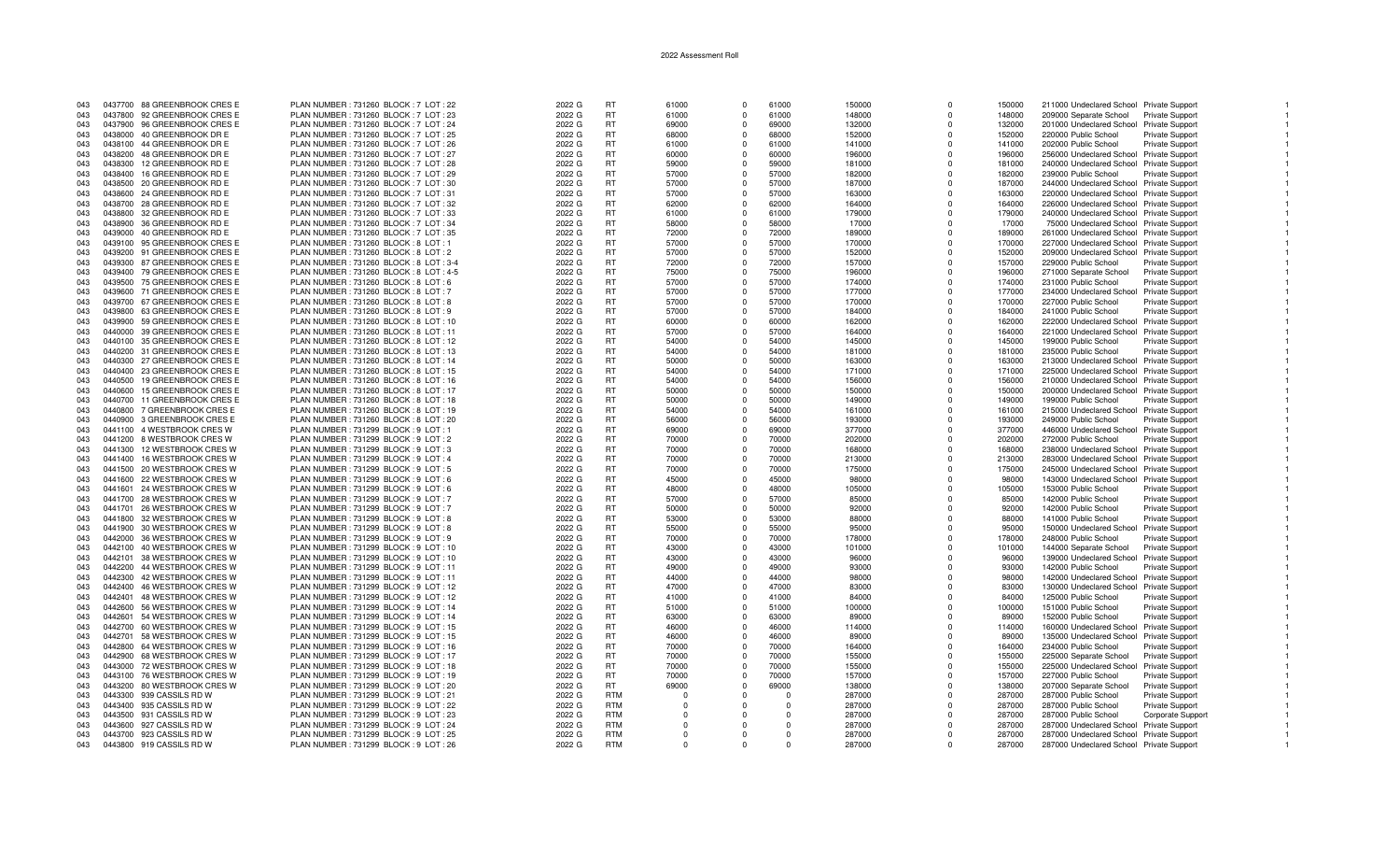| 043 |         | 0437700 88 GREENBROOK CRES E | PLAN NUMBER: 731260 BLOCK: 7 LOT: 22     | 2022 G | <b>RT</b>  | 61000    | $\Omega$    | 61000    | 150000 | $\Omega$ | 150000 | 211000 Undeclared School Private Support |                        |
|-----|---------|------------------------------|------------------------------------------|--------|------------|----------|-------------|----------|--------|----------|--------|------------------------------------------|------------------------|
| 043 |         | 0437800 92 GREENBROOK CRES E | PLAN NUMBER: 731260 BLOCK: 7 LOT: 23     | 2022 G | RT         | 61000    | $\Omega$    | 61000    | 148000 | $\Omega$ | 148000 | 209000 Separate School                   | <b>Private Support</b> |
| 043 | 0437900 | 96 GREENBROOK CRES E         | PLAN NUMBER: 731260 BLOCK: 7 LOT: 24     | 2022 G | <b>RT</b>  | 69000    | $\Omega$    | 69000    | 132000 | $\Omega$ | 132000 | 201000 Undeclared School Private Support |                        |
|     |         |                              |                                          |        |            |          |             |          |        |          |        |                                          |                        |
| 043 |         | 0438000 40 GREENBROOK DR E   | PLAN NUMBER: 731260 BLOCK: 7 LOT: 25     | 2022 G | <b>RT</b>  | 68000    | $\Omega$    | 68000    | 152000 | $\Omega$ | 152000 | 220000 Public School                     | Private Support        |
| 043 |         | 0438100 44 GREENBROOK DR E   | PLAN NUMBER: 731260 BLOCK: 7 LOT: 26     | 2022 G | <b>RT</b>  | 61000    | $\Omega$    | 61000    | 141000 | $\Omega$ | 141000 | 202000 Public School                     | <b>Private Support</b> |
| 043 |         | 0438200 48 GREENBROOK DR E   | PLAN NUMBER : 731260 BLOCK : 7 LOT : 27  | 2022 G | RT         | 60000    | $\Omega$    | 60000    | 196000 | $\Omega$ | 196000 | 256000 Undeclared School Private Support |                        |
| 043 | 0438300 | 12 GREENBROOK RD E           | PLAN NUMBER: 731260 BLOCK: 7 LOT: 28     | 2022 G | <b>RT</b>  | 59000    | $\Omega$    | 59000    | 181000 | $\Omega$ | 181000 | 240000 Undeclared School Private Support |                        |
| 043 | 0438400 | 16 GREENBROOK RD E           | PLAN NUMBER: 731260 BLOCK: 7 LOT: 29     | 2022 G | <b>RT</b>  | 57000    | $\Omega$    | 57000    | 182000 | $\Omega$ | 182000 | 239000 Public School                     | Private Support        |
| 043 |         |                              |                                          |        | RT         |          | $\Omega$    |          |        |          |        |                                          |                        |
|     |         | 0438500 20 GREENBROOK RD E   | PLAN NUMBER : 731260 BLOCK : 7 LOT : 30  | 2022 G |            | 57000    |             | 57000    | 187000 |          | 187000 | 244000 Undeclared School Private Support |                        |
| 043 |         | 0438600 24 GREENBROOK RD E   | PLAN NUMBER: 731260 BLOCK: 7 LOT: 31     | 2022 G | RT         | 57000    | $\mathbf 0$ | 57000    | 163000 | $\Omega$ | 163000 | 220000 Undeclared School Private Support |                        |
| 043 | 0438700 | 28 GREENBROOK RD E           | PLAN NUMBER: 731260 BLOCK: 7 LOT: 32     | 2022 G | <b>RT</b>  | 62000    | $\Omega$    | 62000    | 164000 | $\Omega$ | 164000 | 226000 Undeclared School Private Support |                        |
| 043 |         | 0438800 32 GREENBROOK RD E   | PLAN NUMBER: 731260 BLOCK: 7 LOT: 33     | 2022 G | <b>RT</b>  | 61000    | $\Omega$    | 61000    | 179000 | $\Omega$ | 179000 | 240000 Undeclared School Private Support |                        |
| 043 |         | 0438900 36 GREENBROOK RD E   | PLAN NUMBER: 731260 BLOCK: 7 LOT: 34     | 2022 G | <b>RT</b>  | 58000    | $\Omega$    | 58000    | 17000  | $\Omega$ | 17000  | 75000 Undeclared School Private Support  |                        |
| 043 | 0439000 | 40 GREENBROOK RD E           | PLAN NUMBER: 731260 BLOCK: 7 LOT: 35     | 2022 G | RT         | 72000    | $\Omega$    | 72000    | 189000 | $\Omega$ | 189000 | 261000 Undeclared School Private Support |                        |
|     |         |                              |                                          |        |            |          |             |          |        |          |        |                                          |                        |
| 043 |         | 0439100 95 GREENBROOK CRES E | PLAN NUMBER: 731260 BLOCK: 8 LOT: 1      | 2022 G | <b>RT</b>  | 57000    | $\Omega$    | 57000    | 170000 | $\Omega$ | 170000 | 227000 Undeclared School Private Support |                        |
| 043 |         | 0439200 91 GREENBROOK CRES E | PLAN NUMBER: 731260 BLOCK: 8 LOT: 2      | 2022 G | <b>RT</b>  | 57000    | $\Omega$    | 57000    | 152000 | $\Omega$ | 152000 | 209000 Undeclared School Private Support |                        |
| 043 |         | 0439300 87 GREENBROOK CRES E | PLAN NUMBER: 731260 BLOCK: 8 LOT: 3-4    | 2022 G | RT         | 72000    | $\Omega$    | 72000    | 157000 | $\Omega$ | 157000 | 229000 Public School                     | <b>Private Support</b> |
| 043 |         | 0439400 79 GREENBROOK CRES E | PLAN NUMBER : 731260 BLOCK : 8 LOT : 4-5 | 2022 G | RT         | 75000    | $\Omega$    | 75000    | 196000 | $\Omega$ | 196000 | 271000 Separate School                   | Private Support        |
| 043 | 0439500 | 75 GREENBROOK CRES E         | PLAN NUMBER : 731260 BLOCK : 8 LOT : 6   | 2022 G | <b>RT</b>  | 57000    | $\Omega$    | 57000    | 174000 | $\Omega$ | 174000 | 231000 Public School                     | <b>Private Support</b> |
| 043 | 0439600 | 71 GREENBROOK CRES E         | PLAN NUMBER: 731260 BLOCK: 8 LOT: 7      | 2022 G | <b>RT</b>  | 57000    | $\Omega$    | 57000    | 177000 | $\Omega$ | 177000 | 234000 Undeclared School Private Support |                        |
|     |         |                              |                                          |        |            |          |             |          |        |          |        |                                          |                        |
| 043 |         | 0439700 67 GREENBROOK CRES E | PLAN NUMBER: 731260 BLOCK: 8 LOT: 8      | 2022 G | <b>RT</b>  | 57000    | $\Omega$    | 57000    | 170000 | $\Omega$ | 170000 | 227000 Public School                     | <b>Private Support</b> |
| 043 | 0439800 | 63 GREENBROOK CRES E         | PLAN NUMBER: 731260 BLOCK: 8 LOT: 9      | 2022 G | RT         | 57000    | $\mathbf 0$ | 57000    | 184000 | $\Omega$ | 184000 | 241000 Public School                     | <b>Private Support</b> |
| 043 | 0439900 | 59 GREENBROOK CRES E         | PLAN NUMBER: 731260 BLOCK: 8 LOT: 10     | 2022 G | <b>RT</b>  | 60000    | $\Omega$    | 60000    | 162000 | $\Omega$ | 162000 | 222000 Undeclared School Private Support |                        |
| 043 |         | 0440000 39 GREENBROOK CRES E | PLAN NUMBER: 731260 BLOCK: 8 LOT: 11     | 2022 G | RT         | 57000    | $\Omega$    | 57000    | 164000 | $\Omega$ | 164000 | 221000 Undeclared School Private Support |                        |
| 043 |         | 0440100 35 GREENBROOK CRES E | PLAN NUMBER: 731260 BLOCK: 8 LOT: 12     | 2022 G | RT         | 54000    | $\Omega$    | 54000    | 145000 |          | 145000 | 199000 Public School                     | <b>Private Support</b> |
| 043 |         | 0440200 31 GREENBROOK CRES E | PLAN NUMBER: 731260 BLOCK: 8 LOT: 13     | 2022 G | RT         | 54000    | $\Omega$    | 54000    | 181000 | $\Omega$ | 181000 | 235000 Public School                     |                        |
|     |         |                              |                                          |        |            |          |             |          |        |          |        |                                          | <b>Private Support</b> |
| 043 | 0440300 | 27 GREENBROOK CRES E         | PLAN NUMBER: 731260 BLOCK: 8 LOT: 14     | 2022 G | <b>RT</b>  | 50000    | $\Omega$    | 50000    | 163000 | $\Omega$ | 163000 | 213000 Undeclared School Private Support |                        |
| 043 |         | 0440400 23 GREENBROOK CRES E | PLAN NUMBER: 731260 BLOCK: 8 LOT: 15     | 2022 G | <b>RT</b>  | 54000    | $\Omega$    | 54000    | 171000 | $\Omega$ | 171000 | 225000 Undeclared School Private Support |                        |
| 043 | 0440500 | 19 GREENBROOK CRES E         | PLAN NUMBER: 731260 BLOCK: 8 LOT: 16     | 2022 G | <b>RT</b>  | 54000    | $\Omega$    | 54000    | 156000 | $\Omega$ | 156000 | 210000 Undeclared School Private Support |                        |
| 043 | 0440600 | 15 GREENBROOK CRES E         | PLAN NUMBER: 731260 BLOCK: 8 LOT: 17     | 2022 G | RT         | 50000    | $\Omega$    | 50000    | 150000 | $\Omega$ | 150000 | 200000 Undeclared School Private Support |                        |
| 043 | 0440700 | 11 GREENBROOK CRES E         | PLAN NUMBER: 731260 BLOCK: 8 LOT: 18     | 2022 G | <b>RT</b>  | 50000    | $\Omega$    | 50000    | 149000 | $\Omega$ | 149000 | 199000 Public School                     | Private Support        |
|     |         |                              |                                          |        | RT         | 54000    | $\Omega$    | 54000    |        | $\Omega$ |        |                                          |                        |
| 043 |         | 0440800 7 GREENBROOK CRES E  | PLAN NUMBER: 731260 BLOCK: 8 LOT: 19     | 2022 G |            |          |             |          | 161000 |          | 161000 | 215000 Undeclared School Private Support |                        |
| 043 |         | 0440900 3 GREENBROOK CRES E  | PLAN NUMBER : 731260 BLOCK : 8 LOT : 20  | 2022 G | RT         | 56000    | $\Omega$    | 56000    | 193000 | $\Omega$ | 193000 | 249000 Public School                     | Private Support        |
| 043 |         | 0441100 4 WESTBROOK CRES W   | PLAN NUMBER: 731299 BLOCK: 9 LOT: 1      | 2022 G | <b>RT</b>  | 69000    | $\Omega$    | 69000    | 377000 | $\Omega$ | 377000 | 446000 Undeclared School Private Support |                        |
| 043 |         | 0441200 8 WESTBROOK CRES W   | PLAN NUMBER: 731299 BLOCK: 9 LOT: 2      | 2022 G | <b>RT</b>  | 70000    | $\Omega$    | 70000    | 202000 | $\Omega$ | 202000 | 272000 Public School                     | <b>Private Support</b> |
| 043 |         | 0441300 12 WESTBROOK CRES W  | PLAN NUMBER: 731299 BLOCK: 9 LOT: 3      | 2022 G | <b>RT</b>  | 70000    | $\Omega$    | 70000    | 168000 | $\Omega$ | 168000 | 238000 Undeclared School Private Support |                        |
| 043 |         | 0441400 16 WESTBROOK CRES W  | PLAN NUMBER: 731299 BLOCK: 9 LOT: 4      | 2022 G | <b>RT</b>  | 70000    | $\Omega$    | 70000    | 213000 | $\Omega$ | 213000 | 283000 Undeclared School Private Support |                        |
|     |         |                              |                                          |        |            |          |             |          |        |          |        |                                          |                        |
| 043 |         | 0441500 20 WESTBROOK CRES W  | PLAN NUMBER: 731299 BLOCK: 9 LOT: 5      | 2022 G | RT         | 70000    | $\Omega$    | 70000    | 175000 | $\Omega$ | 175000 | 245000 Undeclared School Private Support |                        |
| 043 |         | 0441600 22 WESTBROOK CRES W  | PLAN NUMBER: 731299 BLOCK: 9 LOT: 6      | 2022 G | <b>RT</b>  | 45000    | $\Omega$    | 45000    | 98000  | $\Omega$ | 98000  | 143000 Undeclared School Private Support |                        |
| 043 |         | 0441601 24 WESTBROOK CRES W  | PLAN NUMBER: 731299 BLOCK: 9 LOT: 6      | 2022 G | RT         | 48000    | $\Omega$    | 48000    | 105000 | $\Omega$ | 105000 | 153000 Public School                     | Private Support        |
| 043 |         | 0441700 28 WESTBROOK CRES W  | PLAN NUMBER: 731299 BLOCK: 9 LOT: 7      | 2022 G | RT         | 57000    | $\Omega$    | 57000    | 85000  | $\Omega$ | 85000  | 142000 Public School                     | Private Support        |
| 043 | 0441701 | 26 WESTBROOK CRES W          | PLAN NUMBER: 731299 BLOCK: 9 LOT: 7      | 2022 G | <b>RT</b>  | 50000    | $\Omega$    | 50000    | 92000  | $\Omega$ | 92000  | 142000 Public School                     | <b>Private Support</b> |
| 043 | 0441800 | 32 WESTBROOK CRES W          | PLAN NUMBER: 731299 BLOCK: 9 LOT: 8      | 2022 G | <b>RT</b>  | 53000    | $\Omega$    | 53000    | 88000  | $\Omega$ | 88000  | 141000 Public School                     | <b>Private Support</b> |
|     |         |                              |                                          |        |            |          |             |          |        |          |        |                                          |                        |
| 043 |         | 0441900 30 WESTBROOK CRES W  | PLAN NUMBER: 731299 BLOCK: 9 LOT: 8      | 2022 G | <b>RT</b>  | 55000    | $\Omega$    | 55000    | 95000  | $\Omega$ | 95000  | 150000 Undeclared School Private Support |                        |
| 043 |         | 0442000 36 WESTBROOK CRES W  | PLAN NUMBER: 731299 BLOCK: 9 LOT: 9      | 2022 G | <b>RT</b>  | 70000    | $\Omega$    | 70000    | 178000 | $\Omega$ | 178000 | 248000 Public School                     | <b>Private Support</b> |
| 043 |         | 0442100 40 WESTBROOK CRES W  | PLAN NUMBER : 731299 BLOCK : 9 LOT : 10  | 2022 G | RT         | 43000    | $\Omega$    | 43000    | 101000 | $\Omega$ | 101000 | 144000 Separate School                   | <b>Private Support</b> |
| 043 |         | 0442101 38 WESTBROOK CRES W  | PLAN NUMBER: 731299 BLOCK: 9 LOT: 10     | 2022 G | <b>RT</b>  | 43000    | $\Omega$    | 43000    | 96000  | $\Omega$ | 96000  | 139000 Undeclared School Private Support |                        |
| 043 |         | 0442200 44 WESTBROOK CRES W  | PLAN NUMBER: 731299 BLOCK: 9 LOT: 11     | 2022 G | RT         | 49000    | $\Omega$    | 49000    | 93000  | $\Omega$ | 93000  | 142000 Public School                     | Private Support        |
| 043 |         | 0442300 42 WESTBROOK CRES W  | PLAN NUMBER: 731299 BLOCK: 9 LOT: 11     | 2022 G | RT         | 44000    | $\Omega$    | 44000    | 98000  | $\Omega$ | 98000  | 142000 Undeclared School Private Support |                        |
|     |         |                              |                                          |        |            |          |             |          |        |          |        |                                          |                        |
| 043 | 0442400 | 46 WESTBROOK CRES W          | PLAN NUMBER: 731299 BLOCK: 9 LOT: 12     | 2022 G | RT         | 47000    | $\Omega$    | 47000    | 83000  | $\Omega$ | 83000  | 130000 Undeclared School Private Support |                        |
| 043 | 0442401 | 48 WESTBROOK CRES W          | PLAN NUMBER : 731299 BLOCK : 9 LOT : 12  | 2022 G | <b>RT</b>  | 41000    | $\Omega$    | 41000    | 84000  | $\Omega$ | 84000  | 125000 Public School                     | <b>Private Support</b> |
| 043 | 0442600 | 56 WESTBROOK CRES W          | PLAN NUMBER: 731299 BLOCK: 9 LOT: 14     | 2022 G | <b>RT</b>  | 51000    | $\Omega$    | 51000    | 100000 | $\Omega$ | 100000 | 151000 Public School                     | Private Support        |
| 043 | 0442601 | 54 WESTBROOK CRES W          | PLAN NUMBER: 731299 BLOCK: 9 LOT: 14     | 2022 G | <b>RT</b>  | 63000    | $\Omega$    | 63000    | 89000  | $\Omega$ | 89000  | 152000 Public School                     | Private Support        |
| 043 | 0442700 | 60 WESTBROOK CRES W          | PLAN NUMBER: 731299 BLOCK: 9 LOT: 15     | 2022 G | RT         | 46000    | $\Omega$    | 46000    | 114000 | $\Omega$ | 114000 | 160000 Undeclared School                 | <b>Private Support</b> |
| 043 | 0442701 | 58 WESTBROOK CRES W          | PLAN NUMBER: 731299 BLOCK: 9 LOT: 15     | 2022 G | <b>RT</b>  | 46000    | $\Omega$    | 46000    | 89000  | $\Omega$ | 89000  | 135000 Undeclared School Private Support |                        |
|     |         |                              |                                          |        |            |          |             |          |        |          |        |                                          |                        |
| 043 |         | 0442800 64 WESTBROOK CRES W  | PLAN NUMBER: 731299 BLOCK: 9 LOT: 16     | 2022 G | RT         | 70000    | $\Omega$    | 70000    | 164000 | $\Omega$ | 164000 | 234000 Public School                     | Private Support        |
| 043 |         | 0442900 68 WESTBROOK CRES W  | PLAN NUMBER : 731299 BLOCK : 9 LOT : 17  | 2022 G | RT         | 70000    | $\Omega$    | 70000    | 155000 | $\Omega$ | 155000 | 225000 Separate School                   | Private Support        |
| 043 |         | 0443000 72 WESTBROOK CRES W  | PLAN NUMBER: 731299 BLOCK: 9 LOT: 18     | 2022 G | <b>RT</b>  | 70000    | $\Omega$    | 70000    | 155000 | $\Omega$ | 155000 | 225000 Undeclared School                 | <b>Private Support</b> |
| 043 |         | 0443100 76 WESTBROOK CRES W  | PLAN NUMBER: 731299 BLOCK: 9 LOT: 19     | 2022 G | <b>RT</b>  | 70000    | $\Omega$    | 70000    | 157000 | $\Omega$ | 157000 | 227000 Public School                     | <b>Private Support</b> |
| 043 |         | 0443200 80 WESTBROOK CRES W  | PLAN NUMBER: 731299 BLOCK: 9 LOT: 20     | 2022 G | <b>RT</b>  | 69000    | $\Omega$    | 69000    | 138000 | $\Omega$ | 138000 | 207000 Separate School                   | Private Support        |
| 043 | 0443300 | 939 CASSILS RD W             | PLAN NUMBER : 731299 BLOCK : 9 LOT : 21  | 2022 G | <b>RTM</b> | $\Omega$ | $\Omega$    | $\Omega$ | 287000 | $\Omega$ | 287000 | 287000 Public School                     | Private Support        |
|     |         |                              |                                          |        |            |          |             | $\Omega$ |        |          |        |                                          |                        |
| 043 | 0443400 | 935 CASSILS RD W             | PLAN NUMBER: 731299 BLOCK: 9 LOT: 22     | 2022 G | <b>RTM</b> | $\Omega$ | $\Omega$    |          | 287000 | $\Omega$ | 287000 | 287000 Public School                     | <b>Private Support</b> |
| 043 |         | 0443500 931 CASSILS RD W     | PLAN NUMBER: 731299 BLOCK: 9 LOT: 23     | 2022 G | <b>RTM</b> | $\Omega$ | $\Omega$    | $\Omega$ | 287000 | $\Omega$ | 287000 | 287000 Public School                     | Corporate Support      |
| 043 |         | 0443600 927 CASSILS RD W     | PLAN NUMBER: 731299 BLOCK: 9 LOT: 24     | 2022 G | <b>RTM</b> | $\Omega$ | $\Omega$    | $\cap$   | 287000 | $\Omega$ | 287000 | 287000 Undeclared School Private Support |                        |
| 043 |         | 0443700 923 CASSILS RD W     | PLAN NUMBER: 731299 BLOCK: 9 LOT: 25     | 2022 G | <b>RTM</b> | $\Omega$ | $\Omega$    | $\cap$   | 287000 | $\Omega$ | 287000 | 287000 Undeclared School Private Support |                        |
| 043 |         | 0443800 919 CASSILS RD W     | PLAN NUMBER: 731299 BLOCK: 9 LOT: 26     | 2022 G | <b>RTM</b> | $\Omega$ |             |          | 287000 | $\Omega$ | 287000 | 287000 Undeclared School Private Support |                        |
|     |         |                              |                                          |        |            |          |             |          |        |          |        |                                          |                        |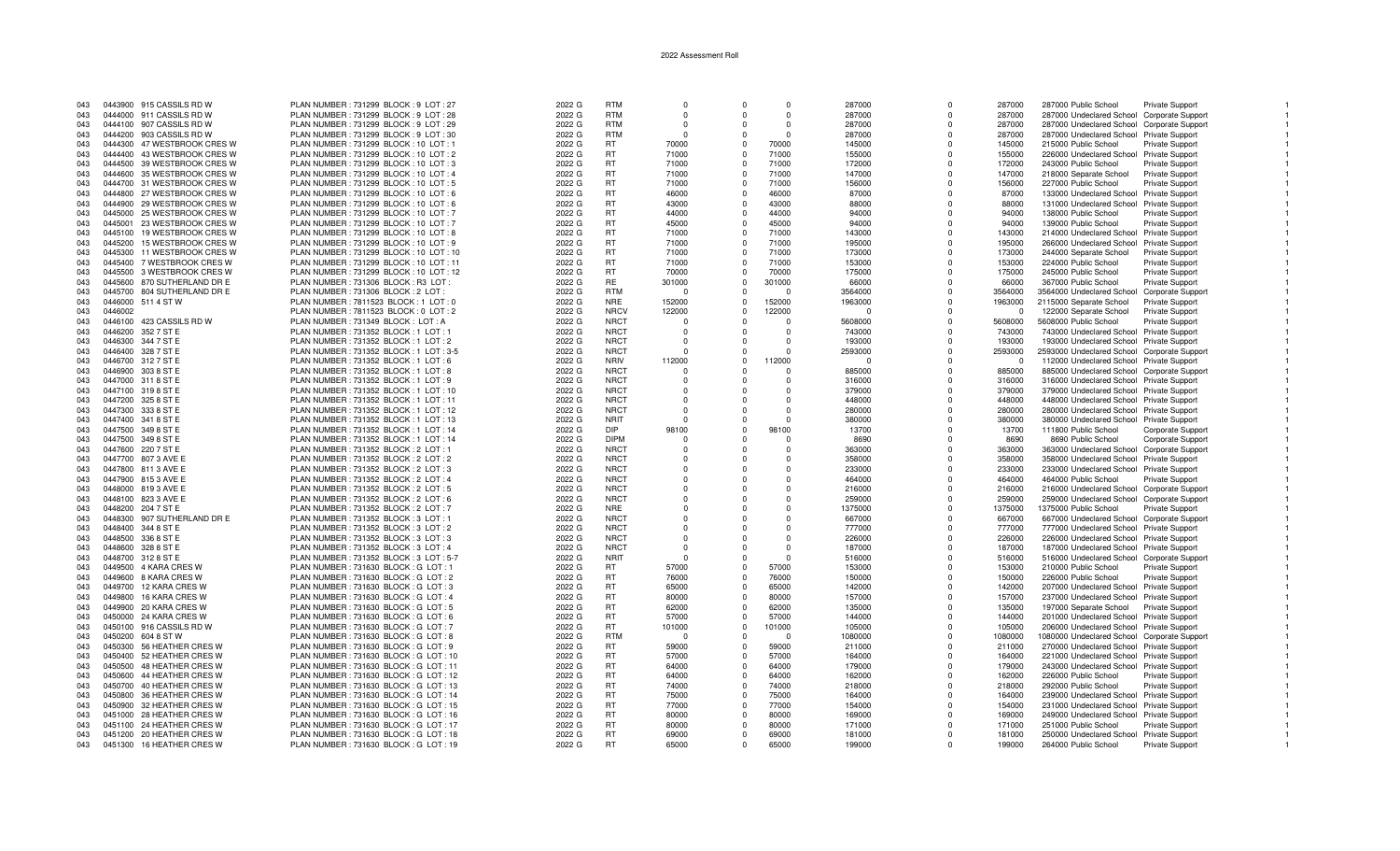| 043 |         | 0443900 915 CASSILS RD W    | PLAN NUMBER: 731299 BLOCK: 9 LOT: 27     | 2022 G | <b>RTM</b>  | $\Omega$ | $\Omega$     | $\Omega$ | 287000   | $\Omega$    | 287000   | 287000 Public School                        | Private Support        |  |
|-----|---------|-----------------------------|------------------------------------------|--------|-------------|----------|--------------|----------|----------|-------------|----------|---------------------------------------------|------------------------|--|
| 043 |         | 0444000 911 CASSILS RD W    | PLAN NUMBER: 731299 BLOCK: 9 LOT: 28     | 2022 G | <b>RTM</b>  | $\Omega$ | <sup>n</sup> | $\Omega$ | 287000   | $\Omega$    | 287000   | 287000 Undeclared School Corporate Support  |                        |  |
| 043 |         | 0444100 907 CASSILS RD W    | PLAN NUMBER : 731299 BLOCK : 9 LOT : 29  | 2022 G | <b>RTM</b>  | $\Omega$ | <sup>n</sup> | $\Omega$ | 287000   | $\Omega$    | 287000   | 287000 Undeclared School Corporate Support  |                        |  |
|     |         |                             |                                          |        |             |          |              |          |          |             |          |                                             |                        |  |
| 043 |         | 0444200 903 CASSILS RD W    | PLAN NUMBER: 731299 BLOCK: 9 LOT: 30     | 2022 G | <b>RTM</b>  | - 0      |              | $\Omega$ | 287000   | $\Omega$    | 287000   | 287000 Undeclared School Private Support    |                        |  |
| 043 |         | 0444300 47 WESTBROOK CRES W | PLAN NUMBER: 731299 BLOCK: 10 LOT: 1     | 2022 G | <b>RT</b>   | 70000    | $\Omega$     | 70000    | 145000   | $\Omega$    | 145000   | 215000 Public School                        | Private Support        |  |
| 043 |         | 0444400 43 WESTBROOK CRES W | PLAN NUMBER : 731299 BLOCK : 10 LOT : 2  | 2022 G | RT          | 71000    |              | 71000    | 155000   | $\Omega$    | 155000   | 226000 Undeclared School Private Support    |                        |  |
| 043 |         | 0444500 39 WESTBROOK CRES W | PLAN NUMBER: 731299 BLOCK: 10 LOT: 3     | 2022 G | RT          | 71000    | $^{\circ}$   | 71000    | 172000   | $\mathbf 0$ | 172000   | 243000 Public School                        | Private Support        |  |
| 043 |         | 0444600 35 WESTBROOK CRES W | PLAN NUMBER: 731299 BLOCK: 10 LOT: 4     | 2022 G | <b>RT</b>   | 71000    | $\Omega$     | 71000    | 147000   | $\Omega$    | 147000   | 218000 Separate School                      | <b>Private Support</b> |  |
| 043 |         |                             |                                          |        | <b>RT</b>   | 71000    | $\Omega$     | 71000    |          | $\Omega$    |          |                                             |                        |  |
|     |         | 0444700 31 WESTBROOK CRES W | PLAN NUMBER : 731299 BLOCK : 10 LOT : 5  | 2022 G |             |          |              |          | 156000   |             | 156000   | 227000 Public School                        | <b>Private Support</b> |  |
| 043 |         | 0444800 27 WESTBROOK CRES W | PLAN NUMBER : 731299 BLOCK : 10 LOT : 6  | 2022 G | <b>RT</b>   | 46000    | $\Omega$     | 46000    | 87000    | $\Omega$    | 87000    | 133000 Undeclared School Private Support    |                        |  |
| 043 |         | 0444900 29 WESTBROOK CRES W | PLAN NUMBER: 731299 BLOCK: 10 LOT: 6     | 2022 G | RT          | 43000    | $\Omega$     | 43000    | 88000    | $\Omega$    | 88000    | 131000 Undeclared School Private Support    |                        |  |
| 043 |         | 0445000 25 WESTBROOK CRES W | PLAN NUMBER : 731299 BLOCK : 10 LOT : 7  | 2022 G | RT          | 44000    | $\Omega$     | 44000    | 94000    | $\Omega$    | 94000    | 138000 Public School                        | <b>Private Support</b> |  |
| 043 | 0445001 | 23 WESTBROOK CRES W         | PLAN NUMBER: 731299 BLOCK: 10 LOT: 7     | 2022 G | RT          | 45000    | $\Omega$     | 45000    | 94000    | $\Omega$    | 94000    | 139000 Public School                        | <b>Private Support</b> |  |
| 043 |         | 0445100 19 WESTBROOK CRES W | PLAN NUMBER: 731299 BLOCK: 10 LOT: 8     | 2022 G | <b>RT</b>   | 71000    | $\Omega$     | 71000    | 143000   | $\Omega$    | 143000   | 214000 Undeclared School Private Support    |                        |  |
|     |         |                             |                                          |        |             |          |              |          |          |             |          |                                             |                        |  |
| 043 |         | 0445200 15 WESTBROOK CRES W | PLAN NUMBER: 731299 BLOCK: 10 LOT: 9     | 2022 G | RT          | 71000    | $\Omega$     | 71000    | 195000   | $\Omega$    | 195000   | 266000 Undeclared School Private Support    |                        |  |
| 043 | 0445300 | 11 WESTBROOK CRES W         | PLAN NUMBER: 731299 BLOCK: 10 LOT: 10    | 2022 G | <b>RT</b>   | 71000    | $\Omega$     | 71000    | 173000   | $\Omega$    | 173000   | 244000 Separate School                      | Private Support        |  |
| 043 |         | 0445400 7 WESTBROOK CRES W  | PLAN NUMBER : 731299 BLOCK : 10 LOT : 11 | 2022 G | RT          | 71000    | $\Omega$     | 71000    | 153000   | $\Omega$    | 153000   | 224000 Public School                        | Private Support        |  |
| 043 |         | 0445500 3 WESTBROOK CRES W  | PLAN NUMBER: 731299 BLOCK: 10 LOT: 12    | 2022 G | RT          | 70000    | $\Omega$     | 70000    | 175000   | $\Omega$    | 175000   | 245000 Public School                        | Private Support        |  |
| 043 |         | 0445600 870 SUTHERLAND DR E | PLAN NUMBER: 731306 BLOCK: R3 LOT:       | 2022 G | <b>RE</b>   | 301000   | $\Omega$     | 301000   | 66000    | $\Omega$    | 66000    | 367000 Public School                        | <b>Private Support</b> |  |
|     |         |                             |                                          |        |             | - 0      | $\Omega$     | $\Omega$ |          | $\Omega$    |          |                                             |                        |  |
| 043 |         | 0445700 804 SUTHERLAND DR E | PLAN NUMBER: 731306 BLOCK: 2 LOT:        | 2022 G | <b>RTM</b>  |          |              |          | 3564000  |             | 3564000  | 3564000 Undeclared School Corporate Support |                        |  |
| 043 |         | 0446000 511 4 ST W          | PLAN NUMBER: 7811523 BLOCK: 1 LOT: 0     | 2022 G | <b>NRE</b>  | 152000   | $\Omega$     | 152000   | 1963000  | $\Omega$    | 1963000  | 2115000 Separate School                     | Private Support        |  |
| 043 | 0446002 |                             | PLAN NUMBER: 7811523 BLOCK: 0 LOT: 2     | 2022 G | <b>NRCV</b> | 122000   | $\Omega$     | 122000   | ſ        | $\Omega$    | $\Omega$ | 122000 Separate School                      | Private Support        |  |
| 043 |         | 0446100 423 CASSILS RD W    | PLAN NUMBER: 731349 BLOCK: LOT: A        | 2022 G | <b>NRCT</b> | $\Omega$ | $\Omega$     | $\Omega$ | 5608000  | $\mathbf 0$ | 5608000  | 5608000 Public School                       | <b>Private Support</b> |  |
| 043 |         | 0446200 352 7 ST E          | PLAN NUMBER: 731352 BLOCK: 1 LOT: 1      | 2022 G | <b>NRCT</b> | $\Omega$ | $\Omega$     | $\Omega$ | 743000   | $\Omega$    | 743000   | 743000 Undeclared School Private Support    |                        |  |
| 043 |         | 0446300 344 7 ST E          | PLAN NUMBER : 731352 BLOCK : 1 LOT : 2   | 2022 G | <b>NRCT</b> | $\cap$   | $\Omega$     | $\Omega$ | 193000   | $\Omega$    |          | 193000 Undeclared School Private Support    |                        |  |
|     |         |                             |                                          |        |             |          |              |          |          |             | 193000   |                                             |                        |  |
| 043 |         | 0446400 328 7 ST E          | PLAN NUMBER : 731352 BLOCK : 1 LOT : 3-5 | 2022 G | <b>NRCT</b> | $\Omega$ | $\Omega$     |          | 2593000  | $\Omega$    | 2593000  | 2593000 Undeclared School Corporate Support |                        |  |
| 043 |         | 0446700 312 7 ST E          | PLAN NUMBER : 731352 BLOCK : 1 LOT : 6   | 2022 G | <b>NRIV</b> | 112000   | $\Omega$     | 112000   | $\Omega$ | $\Omega$    | $\Omega$ | 112000 Undeclared School Private Support    |                        |  |
| 043 |         | 0446900 303 8 ST E          | PLAN NUMBER: 731352 BLOCK: 1 LOT: 8      | 2022 G | <b>NRCT</b> | $\Omega$ | $\Omega$     | $\Omega$ | 885000   | $\Omega$    | 885000   | 885000 Undeclared School Corporate Support  |                        |  |
| 043 |         | 0447000 311 8 ST E          | PLAN NUMBER: 731352 BLOCK: 1 LOT: 9      | 2022 G | <b>NRCT</b> | $\Omega$ | $\Omega$     | $\Omega$ | 316000   | $\Omega$    | 316000   | 316000 Undeclared School Private Support    |                        |  |
| 043 |         | 0447100 319 8 ST E          | PLAN NUMBER : 731352 BLOCK : 1 LOT : 10  | 2022 G | <b>NRCT</b> | $\Omega$ | $\Omega$     | $\Omega$ | 379000   | $\Omega$    | 379000   | 379000 Undeclared School Private Support    |                        |  |
|     |         |                             |                                          |        |             |          |              |          |          |             |          |                                             |                        |  |
| 043 |         | 0447200 325 8 ST E          | PLAN NUMBER: 731352 BLOCK: 1 LOT: 11     | 2022 G | <b>NRCT</b> | $\Omega$ | $\Omega$     | $\Omega$ | 448000   | $\Omega$    | 448000   | 448000 Undeclared School Private Support    |                        |  |
| 043 |         | 0447300 333 8 ST E          | PLAN NUMBER: 731352 BLOCK: 1 LOT: 12     | 2022 G | <b>NRCT</b> | $\Omega$ | $\Omega$     | $\cap$   | 280000   | $\Omega$    | 280000   | 280000 Undeclared School Private Support    |                        |  |
| 043 |         | 0447400 341 8 ST E          | PLAN NUMBER: 731352 BLOCK: 1 LOT: 13     | 2022 G | <b>NRIT</b> | $\Omega$ |              |          | 380000   | $\Omega$    | 380000   | 380000 Undeclared School Private Support    |                        |  |
| 043 |         | 0447500 349 8 ST E          | PLAN NUMBER: 731352 BLOCK: 1 LOT: 14     | 2022 G | <b>DIP</b>  | 98100    | $\Omega$     | 98100    | 13700    | $\Omega$    | 13700    | 111800 Public School                        | Corporate Support      |  |
| 043 |         | 0447500 349 8 ST E          | PLAN NUMBER: 731352 BLOCK: 1 LOT: 14     | 2022 G | <b>DIPM</b> | -0       | $\Omega$     |          | 8690     | $\Omega$    | 8690     | 8690 Public School                          | Corporate Support      |  |
| 043 |         |                             |                                          |        | <b>NRCT</b> | $\Omega$ | $\Omega$     | $\cap$   |          | $\Omega$    |          |                                             |                        |  |
|     |         | 0447600 220 7 ST E          | PLAN NUMBER: 731352 BLOCK: 2 LOT: 1      | 2022 G |             |          |              |          | 363000   |             | 363000   | 363000 Undeclared School Corporate Support  |                        |  |
| 043 |         | 0447700 807 3 AVE E         | PLAN NUMBER : 731352 BLOCK : 2 LOT : 2   | 2022 G | <b>NRCT</b> | $\Omega$ | $\Omega$     | $\Omega$ | 358000   | $\Omega$    | 358000   | 358000 Undeclared School Private Support    |                        |  |
| 043 |         | 0447800 811 3 AVE E         | PLAN NUMBER: 731352 BLOCK: 2 LOT: 3      | 2022 G | <b>NRCT</b> | $\Omega$ | $\Omega$     | $\Omega$ | 233000   | $\Omega$    | 233000   | 233000 Undeclared School Private Support    |                        |  |
| 043 |         | 0447900 8153 AVE E          | PLAN NUMBER: 731352 BLOCK: 2 LOT: 4      | 2022 G | <b>NRCT</b> | $\Omega$ | $\Omega$     | $\Omega$ | 464000   | $\Omega$    | 464000   | 464000 Public School                        | Private Support        |  |
| 043 |         | 0448000 819 3 AVE E         | PLAN NUMBER : 731352 BLOCK : 2 LOT : 5   | 2022 G | <b>NRCT</b> | $\Omega$ | $\Omega$     | $\Omega$ | 216000   | $\Omega$    | 216000   | 216000 Undeclared School Corporate Support  |                        |  |
| 043 |         | 0448100 823 3 AVE E         | PLAN NUMBER: 731352 BLOCK: 2 LOT: 6      | 2022 G | <b>NRCT</b> |          | $\Omega$     |          | 259000   | $\Omega$    | 259000   | 259000 Undeclared School Corporate Support  |                        |  |
|     |         |                             |                                          |        |             |          |              |          |          |             |          |                                             |                        |  |
| 043 |         | 0448200 204 7 ST E          | PLAN NUMBER : 731352 BLOCK : 2 LOT : 7   | 2022 G | <b>NRE</b>  | $\Omega$ | $\Omega$     | $\Omega$ | 1375000  | $\Omega$    | 1375000  | 1375000 Public School                       | Private Support        |  |
| 043 | 0448300 | 907 SUTHERLAND DR E         | PLAN NUMBER: 731352 BLOCK: 3 LOT: 1      | 2022 G | <b>NRCT</b> | $\Omega$ |              |          | 667000   | $\Omega$    | 667000   | 667000 Undeclared School Corporate Support  |                        |  |
| 043 |         | 0448400 344 8 ST E          | PLAN NUMBER: 731352 BLOCK: 3 LOT: 2      | 2022 G | <b>NRCT</b> | $\Omega$ | $\Omega$     | $\Omega$ | 777000   | $\Omega$    | 777000   | 777000 Undeclared School Private Support    |                        |  |
| 043 |         | 0448500 336 8 ST E          | PLAN NUMBER: 731352 BLOCK: 3 LOT: 3      | 2022 G | <b>NRCT</b> | $\Omega$ |              | $\Omega$ | 226000   | $\Omega$    | 226000   | 226000 Undeclared School Private Support    |                        |  |
| 043 |         | 0448600 328 8 ST E          | PLAN NUMBER : 731352 BLOCK : 3 LOT : 4   | 2022 G | <b>NRCT</b> | $\Omega$ | $\Omega$     | $\Omega$ | 187000   | $\Omega$    | 187000   | 187000 Undeclared School Private Support    |                        |  |
| 043 |         | 0448700 312 8 ST E          | PLAN NUMBER: 731352 BLOCK: 3 LOT: 5-7    | 2022 G | <b>NRIT</b> | $\Omega$ | $\Omega$     | $\Omega$ | 516000   | $\Omega$    | 516000   | 516000 Undeclared School Corporate Support  |                        |  |
|     |         |                             |                                          |        |             |          |              |          |          |             |          |                                             |                        |  |
| 043 |         | 0449500 4 KARA CRES W       | PLAN NUMBER: 731630 BLOCK: G LOT: 1      | 2022 G | <b>RT</b>   | 57000    | $\Omega$     | 57000    | 153000   | $\Omega$    | 153000   | 210000 Public School                        | Private Support        |  |
| 043 |         | 0449600 8 KARA CRES W       | PLAN NUMBER: 731630 BLOCK: G LOT: 2      | 2022 G | <b>RT</b>   | 76000    | $\Omega$     | 76000    | 150000   | $\Omega$    | 150000   | 226000 Public School                        | Private Support        |  |
| 043 |         | 0449700 12 KARA CRES W      | PLAN NUMBER: 731630 BLOCK: G LOT: 3      | 2022 G | <b>RT</b>   | 65000    | $\Omega$     | 65000    | 142000   | $\Omega$    | 142000   | 207000 Undeclared School Private Support    |                        |  |
| 043 |         | 0449800 16 KARA CRES W      | PLAN NUMBER: 731630 BLOCK: G LOT: 4      | 2022 G | RT          | 80000    | $\Omega$     | 80000    | 157000   | $\Omega$    | 157000   | 237000 Undeclared School Private Support    |                        |  |
| 043 |         | 0449900 20 KARA CRES W      | PLAN NUMBER: 731630 BLOCK: G LOT: 5      | 2022 G | <b>RT</b>   | 62000    | $\Omega$     | 62000    | 135000   | $\Omega$    | 135000   | 197000 Separate School                      | <b>Private Support</b> |  |
|     |         |                             |                                          |        |             |          |              |          |          |             |          |                                             |                        |  |
| 043 |         | 0450000 24 KARA CRES W      | PLAN NUMBER: 731630 BLOCK: G LOT: 6      | 2022 G | RT          | 57000    | $\Omega$     | 57000    | 144000   | $\Omega$    | 144000   | 201000 Undeclared School Private Support    |                        |  |
| 043 |         | 0450100 916 CASSILS RD W    | PLAN NUMBER: 731630 BLOCK: G LOT: 7      | 2022 G | <b>RT</b>   | 101000   | $\Omega$     | 101000   | 105000   | $\Omega$    | 105000   | 206000 Undeclared School Private Support    |                        |  |
| 043 |         | 0450200 604 8 ST W          | PLAN NUMBER: 731630 BLOCK: G LOT: 8      | 2022 G | <b>RTM</b>  | - 0      | $\Omega$     | $\Omega$ | 1080000  | $\Omega$    | 1080000  | 1080000 Undeclared School Corporate Support |                        |  |
| 043 |         | 0450300 56 HEATHER CRES W   | PLAN NUMBER: 731630 BLOCK: G LOT: 9      | 2022 G | RT          | 59000    | $\Omega$     | 59000    | 211000   | $\Omega$    | 211000   | 270000 Undeclared School Private Support    |                        |  |
| 043 |         | 0450400 52 HEATHER CRES W   | PLAN NUMBER: 731630 BLOCK: G LOT: 10     | 2022 G | <b>RT</b>   | 57000    | $\Omega$     | 57000    | 164000   | $\Omega$    | 164000   | 221000 Undeclared School Private Support    |                        |  |
|     |         | 0450500 48 HEATHER CRES W   | PLAN NUMBER: 731630 BLOCK: G LOT: 11     | 2022 G | RT          | 64000    | $\Omega$     | 64000    | 179000   | $\Omega$    | 179000   | 243000 Undeclared School Private Support    |                        |  |
| 043 |         |                             |                                          |        |             |          |              |          |          |             |          |                                             |                        |  |
| 043 |         | 0450600 44 HEATHER CRES W   | PLAN NUMBER: 731630 BLOCK: G LOT: 12     | 2022 G | RT          | 64000    | $\Omega$     | 64000    | 162000   | $\Omega$    | 162000   | 226000 Public School                        | Private Support        |  |
| 043 |         | 0450700 40 HEATHER CRES W   | PLAN NUMBER: 731630 BLOCK: G LOT: 13     | 2022 G | <b>RT</b>   | 74000    | $\Omega$     | 74000    | 218000   | $\Omega$    | 218000   | 292000 Public School                        | <b>Private Support</b> |  |
| 043 |         | 0450800 36 HEATHER CRES W   | PLAN NUMBER: 731630 BLOCK: G LOT: 14     | 2022 G | <b>RT</b>   | 75000    | $\Omega$     | 75000    | 164000   | $\Omega$    | 164000   | 239000 Undeclared School Private Support    |                        |  |
| 043 |         | 0450900 32 HEATHER CRES W   | PLAN NUMBER: 731630 BLOCK: G LOT: 15     | 2022 G | RT          | 77000    | $\Omega$     | 77000    | 154000   | $\Omega$    | 154000   | 231000 Undeclared School Private Support    |                        |  |
| 043 |         | 0451000 28 HEATHER CRES W   | PLAN NUMBER: 731630 BLOCK: G LOT: 16     | 2022 G | <b>RT</b>   | 80000    | $\Omega$     | 80000    | 169000   | $\Omega$    | 169000   | 249000 Undeclared School Private Support    |                        |  |
|     |         |                             |                                          |        | RT          | 80000    | $\Omega$     | 80000    |          | $\Omega$    |          |                                             |                        |  |
| 043 |         | 0451100 24 HEATHER CRES W   | PLAN NUMBER: 731630 BLOCK: G LOT: 17     | 2022 G |             |          |              |          | 171000   |             | 171000   | 251000 Public School                        | Private Support        |  |
| 043 |         | 0451200 20 HEATHER CRES W   | PLAN NUMBER: 731630 BLOCK: G LOT: 18     | 2022 G | <b>RT</b>   | 69000    | $\Omega$     | 69000    | 181000   | $\Omega$    | 181000   | 250000 Undeclared School Private Support    |                        |  |
| 043 |         | 0451300 16 HEATHER CRES W   | PLAN NUMBER: 731630 BLOCK: G LOT: 19     | 2022 G | <b>RT</b>   | 65000    | $\Omega$     | 65000    | 199000   | $\Omega$    | 199000   | 264000 Public School                        | <b>Private Support</b> |  |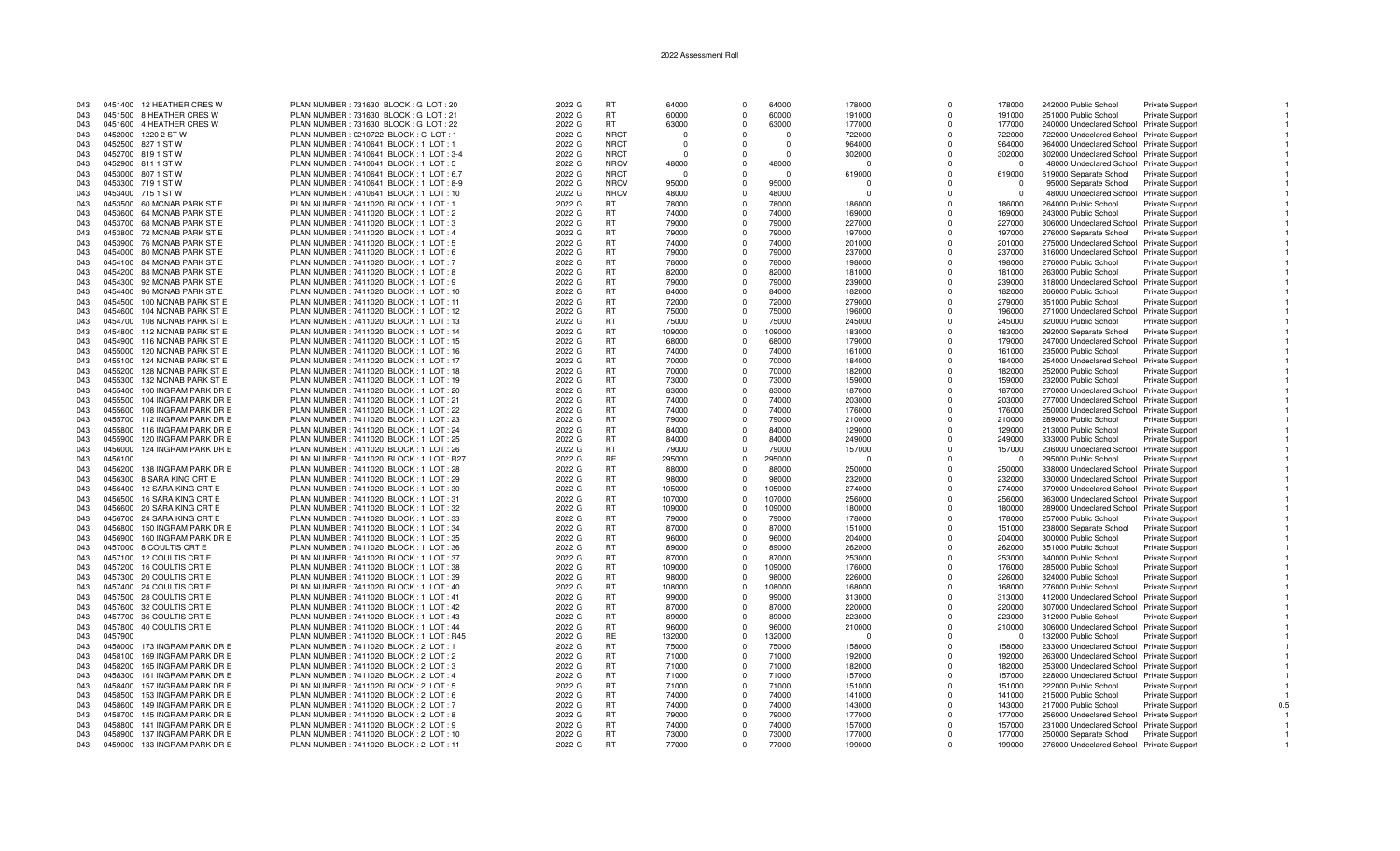| 043 |         | 0451400 12 HEATHER CRES W    | PLAN NUMBER: 731630 BLOCK: G LOT: 20      | 2022 G | <b>RT</b>   | 64000    | $\Omega$    | 64000    | 178000 |          | 178000     | 242000 Public School                     | Private Support        |     |
|-----|---------|------------------------------|-------------------------------------------|--------|-------------|----------|-------------|----------|--------|----------|------------|------------------------------------------|------------------------|-----|
| 043 |         | 0451500 8 HEATHER CRES W     | PLAN NUMBER: 731630 BLOCK: G LOT: 21      | 2022 G | <b>RT</b>   | 60000    | $\Omega$    | 60000    | 191000 | $\Omega$ | 191000     | 251000 Public School                     | <b>Private Support</b> |     |
| 043 |         | 0451600 4 HEATHER CRES W     | PLAN NUMBER: 731630 BLOCK: G LOT: 22      | 2022 G | <b>RT</b>   | 63000    | $\Omega$    | 63000    | 177000 |          | 177000     | 240000 Undeclared School Private Support |                        |     |
|     |         |                              |                                           |        |             |          |             |          |        |          |            |                                          |                        |     |
| 043 | 0452000 | 1220 2 ST W                  | PLAN NUMBER : 0210722 BLOCK : C LOT : 1   | 2022 G | <b>NRCT</b> | $\Omega$ | $\Omega$    | $\Omega$ | 722000 | $\Omega$ | 722000     | 722000 Undeclared School Private Support |                        |     |
| 043 |         | 0452500 827 1 ST W           | PLAN NUMBER: 7410641 BLOCK: 1 LOT: 1      | 2022 G | <b>NRCT</b> | $\Omega$ | $\Omega$    | $\Omega$ | 964000 | $\Omega$ | 964000     | 964000 Undeclared School Private Support |                        |     |
| 043 |         | 0452700 819 1 ST W           | PLAN NUMBER : 7410641 BLOCK : 1 LOT : 3-4 | 2022 G | <b>NRCT</b> | $\Omega$ | $\Omega$    | $\Omega$ | 302000 | $\Omega$ | 302000     | 302000 Undeclared School Private Support |                        |     |
| 043 |         | 0452900 811 1 ST W           | PLAN NUMBER: 7410641 BLOCK: 1 LOT: 5      | 2022 G | <b>NRCV</b> | 48000    | $\Omega$    | 48000    |        | $\Omega$ | $\Omega$   | 48000 Undeclared School Private Support  |                        |     |
|     |         |                              |                                           |        |             |          |             |          |        |          |            |                                          |                        |     |
| 043 | 0453000 | 807 1 ST W                   | PLAN NUMBER : 7410641 BLOCK : 1 LOT : 6,7 | 2022 G | <b>NRCT</b> | $\Omega$ | $\Omega$    | $\Omega$ | 619000 | $\Omega$ | 619000     | 619000 Separate School                   | <b>Private Support</b> |     |
| 043 | 0453300 | 719 1 ST W                   | PLAN NUMBER: 7410641 BLOCK: 1 LOT: 8-9    | 2022 G | <b>NRCV</b> | 95000    | $\Omega$    | 95000    |        | $\Omega$ | $\Omega$   | 95000 Separate School                    | Private Support        |     |
| 043 |         | 0453400 715 1 ST W           | PLAN NUMBER : 7410641 BLOCK : 1 LOT : 10  | 2022 G | <b>NRCV</b> | 48000    | $\Omega$    | 48000    |        | $\Omega$ | $\Omega$   | 48000 Undeclared School Private Support  |                        |     |
| 043 |         | 0453500 60 MCNAB PARK ST E   | PLAN NUMBER : 7411020 BLOCK : 1 LOT : 1   | 2022 G | <b>RT</b>   | 78000    | $\Omega$    | 78000    | 186000 | $\Omega$ | 186000     | 264000 Public School                     | Private Support        |     |
| 043 | 0453600 | 64 MCNAB PARK ST E           | PLAN NUMBER: 7411020 BLOCK: 1 LOT: 2      | 2022 G | <b>RT</b>   | 74000    | $\Omega$    | 74000    | 169000 | $\Omega$ | 169000     | 243000 Public School                     |                        |     |
|     |         |                              |                                           |        |             |          |             |          |        |          |            |                                          | <b>Private Support</b> |     |
| 043 |         | 0453700 68 MCNAB PARK ST E   | PLAN NUMBER: 7411020 BLOCK: 1 LOT: 3      | 2022 G | <b>RT</b>   | 79000    | $\Omega$    | 79000    | 227000 | $\Omega$ | 227000     | 306000 Undeclared School Private Support |                        |     |
| 043 |         | 0453800 72 MCNAB PARK ST E   | PLAN NUMBER: 7411020 BLOCK: 1 LOT: 4      | 2022 G | <b>RT</b>   | 79000    | $\Omega$    | 79000    | 197000 | $\Omega$ | 197000     | 276000 Separate School                   | <b>Private Support</b> |     |
| 043 |         | 0453900 76 MCNAB PARK ST E   | PLAN NUMBER: 7411020 BLOCK: 1 LOT: 5      | 2022 G | <b>RT</b>   | 74000    | $\Omega$    | 74000    | 201000 | $\Omega$ | 201000     | 275000 Undeclared School Private Support |                        |     |
| 043 | 0454000 | 80 MCNAB PARK ST E           | PLAN NUMBER: 7411020 BLOCK: 1 LOT: 6      | 2022 G | RT          | 79000    | $\Omega$    | 79000    | 237000 | $\Omega$ | 237000     | 316000 Undeclared School Private Support |                        |     |
|     |         |                              |                                           |        |             |          | $\Omega$    |          |        | $\Omega$ |            |                                          |                        |     |
| 043 | 0454100 | 84 MCNAB PARK ST E           | PLAN NUMBER: 7411020 BLOCK: 1 LOT: 7      | 2022 G | <b>RT</b>   | 78000    |             | 78000    | 198000 |          | 198000     | 276000 Public School                     | Private Support        |     |
| 043 | 0454200 | 88 MCNAB PARK ST E           | PLAN NUMBER: 7411020 BLOCK: 1 LOT: 8      | 2022 G | <b>RT</b>   | 82000    | $\Omega$    | 82000    | 181000 | $\Omega$ | 181000     | 263000 Public School                     | <b>Private Support</b> |     |
| 043 | 0454300 | 92 MCNAB PARK ST E           | PLAN NUMBER: 7411020 BLOCK: 1 LOT: 9      | 2022 G | <b>RT</b>   | 79000    | $\Omega$    | 79000    | 239000 | $\Omega$ | 239000     | 318000 Undeclared School Private Support |                        |     |
| 043 | 0454400 | 96 MCNAB PARK ST E           | PLAN NUMBER: 7411020 BLOCK: 1 LOT: 10     | 2022 G | <b>RT</b>   | 84000    | $\Omega$    | 84000    | 182000 | $\Omega$ | 182000     | 266000 Public School                     | <b>Private Support</b> |     |
| 043 | 0454500 | 100 MCNAB PARK ST E          | PLAN NUMBER: 7411020 BLOCK: 1 LOT: 11     | 2022 G | <b>RT</b>   | 72000    | $\Omega$    | 72000    | 279000 | $\Omega$ | 279000     |                                          |                        |     |
|     |         |                              |                                           |        |             |          |             |          |        |          |            | 351000 Public School                     | Private Support        |     |
| 043 | 0454600 | 104 MCNAB PARK ST E          | PLAN NUMBER: 7411020 BLOCK: 1 LOT: 12     | 2022 G | RT          | 75000    | $\Omega$    | 75000    | 196000 | $\Omega$ | 196000     | 271000 Undeclared School Private Support |                        |     |
| 043 | 0454700 | 108 MCNAB PARK ST E          | PLAN NUMBER : 7411020 BLOCK : 1 LOT : 13  | 2022 G | <b>RT</b>   | 75000    | $\Omega$    | 75000    | 245000 | $\Omega$ | 245000     | 320000 Public School                     | <b>Private Support</b> |     |
| 043 | 0454800 | 112 MCNAB PARK ST E          | PLAN NUMBER: 7411020 BLOCK: 1 LOT: 14     | 2022 G | <b>RT</b>   | 109000   | $\Omega$    | 109000   | 183000 | $\Omega$ | 183000     | 292000 Separate School                   | <b>Private Support</b> |     |
| 043 | 0454900 | 116 MCNAB PARK ST E          | PLAN NUMBER: 7411020 BLOCK: 1 LOT: 15     | 2022 G | <b>RT</b>   | 68000    | $\Omega$    | 68000    | 179000 | $\Omega$ | 179000     | 247000 Undeclared School Private Support |                        |     |
|     |         |                              |                                           |        |             |          |             |          |        |          |            |                                          |                        |     |
| 043 |         | 0455000 120 MCNAB PARK ST E  | PLAN NUMBER : 7411020 BLOCK : 1 LOT : 16  | 2022 G | <b>RT</b>   | 74000    | $\Omega$    | 74000    | 161000 | $\Omega$ | 161000     | 235000 Public School                     | <b>Private Support</b> |     |
| 043 | 0455100 | 124 MCNAB PARK ST E          | PLAN NUMBER: 7411020 BLOCK: 1 LOT: 17     | 2022 G | <b>RT</b>   | 70000    | $\Omega$    | 70000    | 184000 | $\Omega$ | 184000     | 254000 Undeclared School Private Support |                        |     |
| 043 | 0455200 | 128 MCNAB PARK ST E          | PLAN NUMBER: 7411020 BLOCK: 1 LOT: 18     | 2022 G | <b>RT</b>   | 70000    | $\Omega$    | 70000    | 182000 | $\Omega$ | 182000     | 252000 Public School                     | Private Support        |     |
| 043 | 0455300 | 132 MCNAB PARK ST E          | PLAN NUMBER : 7411020 BLOCK : 1 LOT : 19  | 2022 G | <b>RT</b>   | 73000    | $\Omega$    | 73000    | 159000 | $\Omega$ | 159000     | 232000 Public School                     | <b>Private Support</b> |     |
|     |         |                              |                                           |        |             |          |             |          |        | $\Omega$ |            |                                          |                        |     |
| 043 | 0455400 | 100 INGRAM PARK DR E         | PLAN NUMBER: 7411020 BLOCK: 1 LOT: 20     | 2022 G | <b>RT</b>   | 83000    | $\Omega$    | 83000    | 187000 |          | 187000     | 270000 Undeclared School Private Support |                        |     |
| 043 | 0455500 | 104 INGRAM PARK DR E         | PLAN NUMBER: 7411020 BLOCK: 1 LOT: 21     | 2022 G | <b>RT</b>   | 74000    | $\mathbf 0$ | 74000    | 203000 | $\Omega$ | 203000     | 277000 Undeclared School Private Support |                        |     |
| 043 | 0455600 | 108 INGRAM PARK DR E         | PLAN NUMBER: 7411020 BLOCK: 1 LOT: 22     | 2022 G | <b>RT</b>   | 74000    | $\Omega$    | 74000    | 176000 | $\Omega$ | 176000     | 250000 Undeclared School Private Support |                        |     |
| 043 | 0455700 | 112 INGRAM PARK DR E         | PLAN NUMBER: 7411020 BLOCK: 1 LOT: 23     | 2022 G | <b>RT</b>   | 79000    | $\Omega$    | 79000    | 210000 | $\Omega$ | 210000     | 289000 Public School                     | Private Support        |     |
| 043 |         | 0455800 116 INGRAM PARK DR E | PLAN NUMBER: 7411020 BLOCK: 1 LOT: 24     | 2022 G | <b>RT</b>   | 84000    | $\Omega$    | 84000    | 129000 |          | 129000     | 213000 Public School                     | <b>Private Support</b> |     |
|     |         |                              |                                           |        |             |          |             |          |        |          |            |                                          |                        |     |
| 043 | 0455900 | 120 INGRAM PARK DR E         | PLAN NUMBER : 7411020 BLOCK : 1 LOT : 25  | 2022 G | <b>RT</b>   | 84000    | $\Omega$    | 84000    | 249000 | $\Omega$ | 249000     | 333000 Public School                     | <b>Private Support</b> |     |
| 043 | 0456000 | 124 INGRAM PARK DR E         | PLAN NUMBER: 7411020 BLOCK: 1 LOT: 26     | 2022 G | <b>RT</b>   | 79000    | $\Omega$    | 79000    | 157000 | $\Omega$ | 157000     | 236000 Undeclared School Private Support |                        |     |
| 043 | 0456100 |                              | PLAN NUMBER: 7411020 BLOCK: 1 LOT: R27    | 2022 G | <b>RE</b>   | 295000   | $\Omega$    | 295000   |        | $\Omega$ | $\Omega$   | 295000 Public School                     | Private Support        |     |
| 043 | 0456200 | 138 INGRAM PARK DR E         | PLAN NUMBER: 7411020 BLOCK: 1 LOT: 28     | 2022 G | <b>RT</b>   | 88000    | $\Omega$    | 88000    | 250000 | $\Omega$ | 250000     | 338000 Undeclared School Private Support |                        |     |
| 043 | 0456300 | 8 SARA KING CRT E            | PLAN NUMBER: 7411020 BLOCK: 1 LOT: 29     | 2022 G | <b>RT</b>   | 98000    | $\Omega$    | 98000    | 232000 | $\Omega$ | 232000     | 330000 Undeclared School Private Support |                        |     |
|     |         |                              |                                           |        |             |          |             |          |        |          |            |                                          |                        |     |
| 043 | 0456400 | 12 SARA KING CRT E           | PLAN NUMBER : 7411020 BLOCK : 1 LOT : 30  | 2022 G | <b>RT</b>   | 105000   | $\Omega$    | 105000   | 274000 | $\Omega$ | 274000     | 379000 Undeclared School Private Support |                        |     |
| 043 | 0456500 | 16 SARA KING CRT E           | PLAN NUMBER : 7411020 BLOCK : 1 LOT : 31  | 2022 G | <b>RT</b>   | 107000   | $\Omega$    | 107000   | 256000 |          | 256000     | 363000 Undeclared School Private Support |                        |     |
| 043 | 0456600 | 20 SARA KING CRT E           | PLAN NUMBER: 7411020 BLOCK: 1 LOT: 32     | 2022 G | <b>RT</b>   | 109000   | $\Omega$    | 109000   | 180000 |          | 180000     | 289000 Undeclared School Private Support |                        |     |
| 043 |         | 0456700 24 SARA KING CRT E   | PLAN NUMBER: 7411020 BLOCK: 1 LOT: 33     | 2022 G | <b>RT</b>   | 79000    | $^{\circ}$  | 79000    | 178000 | $\Omega$ | 178000     | 257000 Public School                     | Private Support        |     |
|     |         |                              |                                           |        | <b>RT</b>   | 87000    | $\Omega$    |          |        | $\Omega$ |            |                                          |                        |     |
| 043 | 0456800 | 150 INGRAM PARK DR E         | PLAN NUMBER: 7411020 BLOCK: 1 LOT: 34     | 2022 G |             |          |             | 87000    | 151000 |          | 151000     | 238000 Separate School                   | Private Support        |     |
| 043 | 0456900 | 160 INGRAM PARK DR E         | PLAN NUMBER: 7411020 BLOCK: 1 LOT: 35     | 2022 G | <b>RT</b>   | 96000    | $\Omega$    | 96000    | 204000 | $\Omega$ | 204000     | 300000 Public School                     | <b>Private Support</b> |     |
| 043 | 0457000 | 8 COULTIS CRT E              | PLAN NUMBER : 7411020 BLOCK : 1 LOT : 36  | 2022 G | <b>RT</b>   | 89000    | $\Omega$    | 89000    | 262000 | $\Omega$ | 262000     | 351000 Public School                     | <b>Private Support</b> |     |
| 043 | 0457100 | 12 COULTIS CRT E             | PLAN NUMBER: 7411020 BLOCK: 1 LOT: 37     | 2022 G | <b>RT</b>   | 87000    | $\Omega$    | 87000    | 253000 | $\Omega$ | 253000     | 340000 Public School                     | Private Support        |     |
| 043 |         | 0457200 16 COULTIS CRT E     | PLAN NUMBER: 7411020 BLOCK: 1 LOT: 38     | 2022 G | <b>RT</b>   | 109000   | $\Omega$    | 109000   | 176000 | $\Omega$ | 176000     | 285000 Public School                     | Private Support        |     |
|     |         |                              |                                           |        |             |          |             |          |        |          |            |                                          |                        |     |
| 043 |         | 0457300 20 COULTIS CRT E     | PLAN NUMBER : 7411020 BLOCK : 1 LOT : 39  | 2022 G | RT          | 98000    | $\Omega$    | 98000    | 226000 | $\Omega$ | 226000     | 324000 Public School                     | <b>Private Support</b> |     |
| 043 |         | 0457400 24 COULTIS CRT E     | PLAN NUMBER : 7411020 BLOCK : 1 LOT : 40  | 2022 G | <b>RT</b>   | 108000   | $\Omega$    | 108000   | 168000 | $\Omega$ | 168000     | 276000 Public School                     | <b>Private Support</b> |     |
| 043 |         | 0457500 28 COULTIS CRT E     | PLAN NUMBER : 7411020 BLOCK : 1 LOT : 41  | 2022 G | <b>RT</b>   | 99000    | $\Omega$    | 99000    | 313000 | $\Omega$ | 313000     | 412000 Undeclared School Private Support |                        |     |
| 043 |         | 0457600 32 COULTIS CRT E     | PLAN NUMBER: 7411020 BLOCK: 1 LOT: 42     | 2022 G | <b>RT</b>   | 87000    | $\Omega$    | 87000    | 220000 | $\Omega$ | 220000     | 307000 Undeclared School Private Support |                        |     |
|     |         |                              |                                           |        | <b>RT</b>   | 89000    | $\Omega$    | 89000    |        |          |            |                                          |                        |     |
| 043 |         | 0457700 36 COULTIS CRT E     | PLAN NUMBER: 7411020 BLOCK: 1 LOT: 43     | 2022 G |             |          |             |          | 223000 |          | 223000     | 312000 Public School                     | <b>Private Support</b> |     |
| 043 | 0457800 | 40 COULTIS CRT E             | PLAN NUMBER: 7411020 BLOCK: 1 LOT: 44     | 2022 G | <b>RT</b>   | 96000    | $^{\circ}$  | 96000    | 210000 | $\Omega$ | 210000     | 306000 Undeclared School Private Support |                        |     |
| 043 | 0457900 |                              | PLAN NUMBER : 7411020 BLOCK : 1 LOT : R45 | 2022 G | <b>RE</b>   | 132000   | $\Omega$    | 132000   |        | $\Omega$ | $^{\circ}$ | 132000 Public School                     | Private Support        |     |
| 043 | 0458000 | 173 INGRAM PARK DR E         | PLAN NUMBER : 7411020 BLOCK : 2 LOT : 1   | 2022 G | <b>RT</b>   | 75000    | $\Omega$    | 75000    | 158000 | $\Omega$ | 158000     | 233000 Undeclared School Private Support |                        |     |
| 043 | 0458100 | 169 INGRAM PARK DR E         | PLAN NUMBER: 7411020 BLOCK: 2 LOT: 2      | 2022 G | <b>RT</b>   | 71000    | $\Omega$    | 71000    | 192000 | $\Omega$ | 192000     | 263000 Undeclared School Private Support |                        |     |
|     |         |                              |                                           |        |             |          |             |          |        |          |            |                                          |                        |     |
| 043 | 0458200 | 165 INGRAM PARK DR E         | PLAN NUMBER: 7411020 BLOCK: 2 LOT: 3      | 2022 G | <b>RT</b>   | 71000    | $\Omega$    | 71000    | 182000 | $\Omega$ | 182000     | 253000 Undeclared School Private Support |                        |     |
| 043 | 0458300 | 161 INGRAM PARK DR E         | PLAN NUMBER : 7411020 BLOCK : 2 LOT : 4   | 2022 G | RT          | 71000    | $\Omega$    | 71000    | 157000 | $\Omega$ | 157000     | 228000 Undeclared School Private Support |                        |     |
| 043 | 0458400 | 157 INGRAM PARK DR E         | PLAN NUMBER : 7411020 BLOCK : 2 LOT : 5   | 2022 G | <b>RT</b>   | 71000    | $\Omega$    | 71000    | 151000 | $\Omega$ | 151000     | 222000 Public School                     | <b>Private Support</b> |     |
| 043 | 0458500 | 153 INGRAM PARK DR E         | PLAN NUMBER: 7411020 BLOCK: 2 LOT: 6      | 2022 G | <b>RT</b>   | 74000    | $\Omega$    | 74000    | 141000 |          | 141000     | 215000 Public School                     | <b>Private Support</b> |     |
| 043 | 0458600 | 149 INGRAM PARK DR E         | PLAN NUMBER : 7411020 BLOCK : 2 LOT : 7   | 2022 G | <b>RT</b>   | 74000    | $\Omega$    | 74000    | 143000 | $\Omega$ | 143000     | 217000 Public School                     | <b>Private Support</b> | 0.5 |
|     |         |                              |                                           |        |             |          |             |          |        |          |            |                                          |                        |     |
| 043 | 0458700 | 145 INGRAM PARK DR E         | PLAN NUMBER: 7411020 BLOCK: 2 LOT: 8      | 2022 G | <b>RT</b>   | 79000    | $\Omega$    | 79000    | 177000 | $\Omega$ | 177000     | 256000 Undeclared School Private Support |                        |     |
| 043 | 0458800 | 141 INGRAM PARK DR E         | PLAN NUMBER : 7411020 BLOCK : 2 LOT : 9   | 2022 G | <b>RT</b>   | 74000    | $\Omega$    | 74000    | 157000 |          | 157000     | 231000 Undeclared School Private Support |                        |     |
| 043 |         | 0458900 137 INGRAM PARK DR E | PLAN NUMBER : 7411020 BLOCK : 2 LOT : 10  | 2022 G | <b>RT</b>   | 73000    | $\Omega$    | 73000    | 177000 |          | 177000     | 250000 Separate School Private Support   |                        |     |
| 043 |         | 0459000 133 INGRAM PARK DR E | PLAN NUMBER : 7411020 BLOCK : 2 LOT : 11  | 2022 G | <b>RT</b>   | 77000    | $\Omega$    | 77000    | 199000 |          | 199000     | 276000 Undeclared School Private Support |                        |     |
|     |         |                              |                                           |        |             |          |             |          |        |          |            |                                          |                        |     |

 $\overline{1}$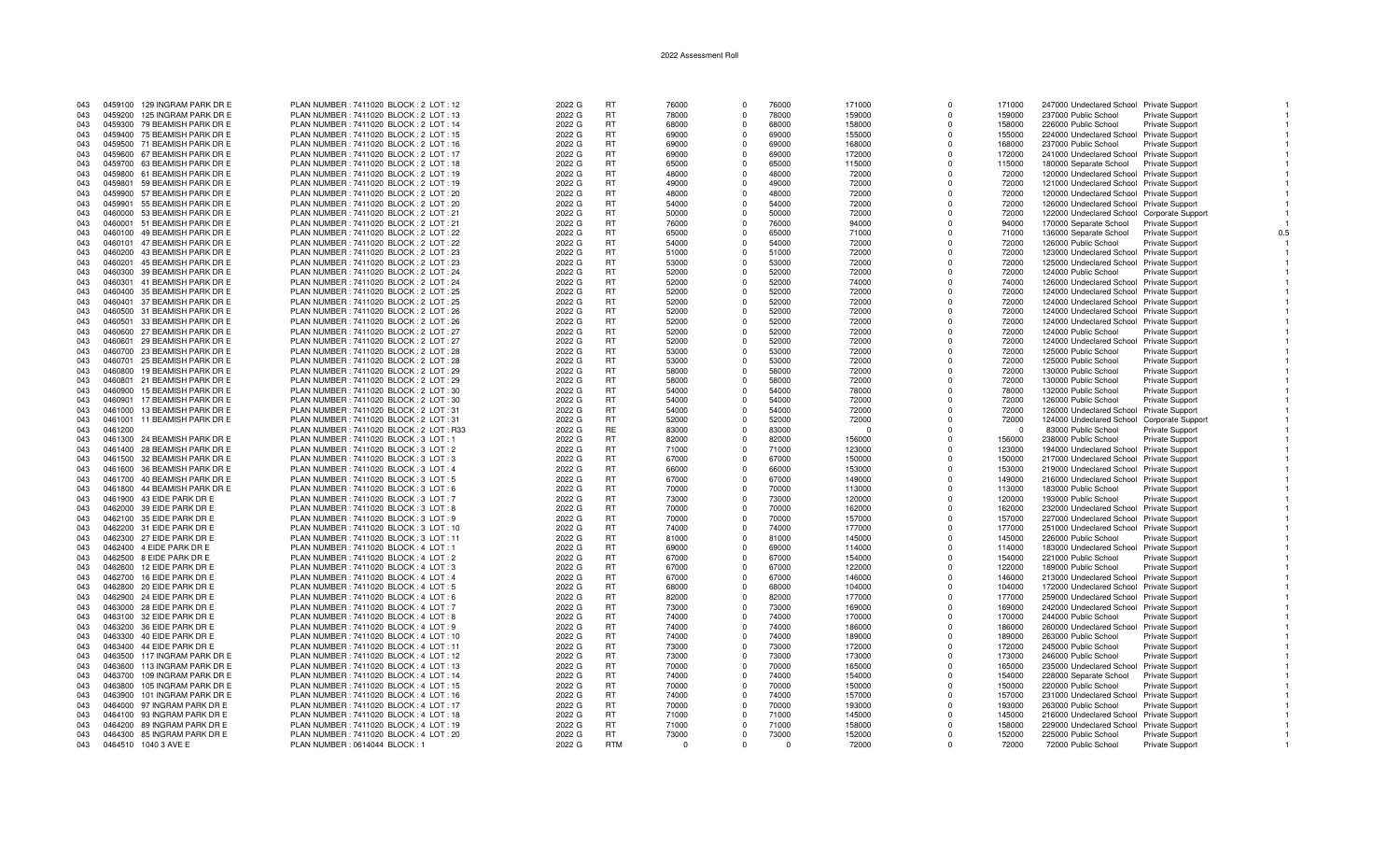| 043 |         | 0459100 129 INGRAM PARK DR E | PLAN NUMBER : 7411020 BLOCK : 2 LOT : 12  | 2022 G | <b>RT</b>  | 76000 | $\Omega$     | 76000    | 171000 | $\Omega$     | 171000   | 247000 Undeclared School Private Support         |     |
|-----|---------|------------------------------|-------------------------------------------|--------|------------|-------|--------------|----------|--------|--------------|----------|--------------------------------------------------|-----|
| 043 | 0459200 | 125 INGRAM PARK DR E         | PLAN NUMBER : 7411020 BLOCK : 2 LOT : 13  | 2022 G | <b>RT</b>  | 78000 | $\Omega$     | 78000    | 159000 | $\Omega$     | 159000   | 237000 Public School<br>Private Support          |     |
| 043 |         | 0459300 79 BEAMISH PARK DR E | PLAN NUMBER : 7411020 BLOCK : 2 LOT : 14  | 2022 G | <b>RT</b>  | 68000 | $\Omega$     | 68000    | 158000 |              | 158000   | 226000 Public School<br><b>Private Support</b>   |     |
| 043 |         | 0459400 75 BEAMISH PARK DR E | PLAN NUMBER: 7411020 BLOCK: 2 LOT: 15     | 2022 G | <b>RT</b>  | 69000 | $\Omega$     | 69000    | 155000 | $\Omega$     | 155000   | 224000 Undeclared School Private Support         |     |
|     |         |                              |                                           |        |            |       |              |          |        | $\Omega$     |          |                                                  |     |
| 043 |         | 0459500 71 BEAMISH PARK DR E | PLAN NUMBER : 7411020 BLOCK : 2 LOT : 16  | 2022 G | <b>RT</b>  | 69000 | $\Omega$     | 69000    | 168000 |              | 168000   | 237000 Public School<br><b>Private Support</b>   |     |
| 043 |         | 0459600 67 BEAMISH PARK DR E | PLAN NUMBER: 7411020 BLOCK: 2 LOT: 17     | 2022 G | <b>RT</b>  | 69000 | $\Omega$     | 69000    | 172000 | $\Omega$     | 172000   | 241000 Undeclared School Private Support         |     |
| 043 |         | 0459700 63 BEAMISH PARK DR E | PLAN NUMBER: 7411020 BLOCK: 2 LOT: 18     | 2022 G | <b>RT</b>  | 65000 | $\Omega$     | 65000    | 115000 | $\Omega$     | 115000   | 180000 Separate School<br><b>Private Support</b> |     |
| 043 |         | 0459800 61 BEAMISH PARK DR E | PLAN NUMBER: 7411020 BLOCK: 2 LOT: 19     | 2022 G | <b>RT</b>  | 48000 | $\Omega$     | 48000    | 72000  | $\Omega$     | 72000    | 120000 Undeclared School Private Support         |     |
|     |         |                              |                                           |        |            |       |              |          |        |              |          |                                                  |     |
| 043 | 0459801 | 59 BEAMISH PARK DR E         | PLAN NUMBER: 7411020 BLOCK: 2 LOT: 19     | 2022 G | <b>RT</b>  | 49000 | $\Omega$     | 49000    | 72000  | $\Omega$     | 72000    | 121000 Undeclared School Private Support         |     |
| 043 |         | 0459900 57 BEAMISH PARK DR E | PLAN NUMBER: 7411020 BLOCK: 2 LOT: 20     | 2022 G | <b>RT</b>  | 48000 | $\Omega$     | 48000    | 72000  | $\Omega$     | 72000    | 120000 Undeclared School Private Support         |     |
| 043 | 0459901 | 55 BEAMISH PARK DR E         | PLAN NUMBER : 7411020 BLOCK : 2 LOT : 20  | 2022 G | <b>RT</b>  | 54000 | $\Omega$     | 54000    | 72000  | <sup>0</sup> | 72000    | 126000 Undeclared School Private Support         |     |
| 043 |         | 0460000 53 BEAMISH PARK DR E | PLAN NUMBER: 7411020 BLOCK: 2 LOT: 21     | 2022 G | <b>RT</b>  | 50000 | $\Omega$     | 50000    | 72000  | $\Omega$     | 72000    | 122000 Undeclared School Corporate Support       |     |
|     |         |                              |                                           |        |            |       |              |          |        |              |          |                                                  |     |
| 043 |         | 0460001 51 BEAMISH PARK DR E | PLAN NUMBER: 7411020 BLOCK: 2 LOT: 21     | 2022 G | <b>RT</b>  | 76000 | $\Omega$     | 76000    | 94000  | $\Omega$     | 94000    | 170000 Separate School<br><b>Private Support</b> |     |
| 043 |         | 0460100 49 BEAMISH PARK DR E | PLAN NUMBER : 7411020 BLOCK : 2 LOT : 22  | 2022 G | <b>RT</b>  | 65000 | $\Omega$     | 65000    | 71000  | $\Omega$     | 71000    | 136000 Separate School<br>Private Support        | 0.5 |
| 043 |         | 0460101 47 BEAMISH PARK DR E | PLAN NUMBER: 7411020 BLOCK: 2 LOT: 22     | 2022 G | <b>RT</b>  | 54000 | $\Omega$     | 54000    | 72000  | $\Omega$     | 72000    | 126000 Public School<br><b>Private Support</b>   |     |
| 043 |         | 0460200 43 BEAMISH PARK DR E | PLAN NUMBER: 7411020 BLOCK: 2 LOT: 23     | 2022 G | <b>RT</b>  | 51000 | $\Omega$     | 51000    | 72000  | $\Omega$     | 72000    | 123000 Undeclared School Private Support         |     |
|     |         |                              |                                           |        |            |       |              |          |        |              |          |                                                  |     |
| 043 | 0460201 | 45 BEAMISH PARK DR E         | PLAN NUMBER : 7411020 BLOCK : 2 LOT : 23  | 2022 G | <b>RT</b>  | 53000 | $\Omega$     | 53000    | 72000  | $\Omega$     | 72000    | 125000 Undeclared School Private Support         |     |
| 043 |         | 0460300 39 BEAMISH PARK DR E | PLAN NUMBER: 7411020 BLOCK: 2 LOT: 24     | 2022 G | <b>RT</b>  | 52000 | $\Omega$     | 52000    | 72000  | $\Omega$     | 72000    | 124000 Public School<br>Private Support          |     |
| 043 |         | 0460301 41 BEAMISH PARK DR E | PLAN NUMBER: 7411020 BLOCK: 2 LOT: 24     | 2022 G | <b>RT</b>  | 52000 | $\Omega$     | 52000    | 74000  |              | 74000    | 126000 Undeclared School Private Support         |     |
| 043 |         | 0460400 35 BEAMISH PARK DR E | PLAN NUMBER : 7411020 BLOCK : 2 LOT : 25  |        | <b>RT</b>  | 52000 | $\Omega$     | 52000    | 72000  | $\Omega$     | 72000    | 124000 Undeclared School Private Support         |     |
|     |         |                              |                                           | 2022 G |            |       |              |          |        |              |          |                                                  |     |
| 043 | 0460401 | 37 BEAMISH PARK DR E         | PLAN NUMBER: 7411020 BLOCK: 2 LOT: 25     | 2022 G | <b>RT</b>  | 52000 | $\Omega$     | 52000    | 72000  | $\Omega$     | 72000    | 124000 Undeclared School Private Support         |     |
| 043 |         | 0460500 31 BEAMISH PARK DR E | PLAN NUMBER : 7411020 BLOCK : 2 LOT : 26  | 2022 G | <b>RT</b>  | 52000 | $\Omega$     | 52000    | 72000  | $\Omega$     | 72000    | 124000 Undeclared School Private Support         |     |
| 043 | 0460501 | 33 BEAMISH PARK DR E         | PLAN NUMBER : 7411020 BLOCK : 2 LOT : 26  | 2022 G | <b>RT</b>  | 52000 | $\Omega$     | 52000    | 72000  | $\Omega$     | 72000    | 124000 Undeclared School Private Support         |     |
|     |         |                              |                                           |        |            |       |              |          |        |              |          |                                                  |     |
| 043 |         | 0460600 27 BEAMISH PARK DR E | PLAN NUMBER : 7411020 BLOCK : 2 LOT : 27  | 2022 G | <b>RT</b>  | 52000 | $\mathbf{0}$ | 52000    | 72000  | $\Omega$     | 72000    | <b>Private Support</b><br>124000 Public School   |     |
| 043 | 0460601 | 29 BEAMISH PARK DR E         | PLAN NUMBER: 7411020 BLOCK: 2 LOT: 27     | 2022 G | <b>RT</b>  | 52000 | $\Omega$     | 52000    | 72000  | $\Omega$     | 72000    | 124000 Undeclared School Private Support         |     |
| 043 |         | 0460700 23 BEAMISH PARK DR E | PLAN NUMBER: 7411020 BLOCK: 2 LOT: 28     | 2022 G | <b>RT</b>  | 53000 | $\Omega$     | 53000    | 72000  | $\Omega$     | 72000    | 125000 Public School<br>Private Support          |     |
| 043 | 0460701 | 25 BEAMISH PARK DR E         | PLAN NUMBER: 7411020 BLOCK: 2 LOT: 28     | 2022 G | <b>RT</b>  | 53000 | $\Omega$     | 53000    | 72000  |              | 72000    | 125000 Public School<br><b>Private Support</b>   |     |
|     |         |                              |                                           |        |            |       |              |          |        |              |          |                                                  |     |
| 043 | 0460800 | 19 BEAMISH PARK DR E         | PLAN NUMBER : 7411020 BLOCK : 2 LOT : 29  | 2022 G | <b>RT</b>  | 58000 | $\Omega$     | 58000    | 72000  | $\Omega$     | 72000    | 130000 Public School<br>Private Support          |     |
| 043 | 0460801 | 21 BEAMISH PARK DR E         | PLAN NUMBER : 7411020 BLOCK : 2 LOT : 29  | 2022 G | <b>RT</b>  | 58000 | $\Omega$     | 58000    | 72000  | $\Omega$     | 72000    | 130000 Public School<br>Private Support          |     |
| 043 | 0460900 | 15 BEAMISH PARK DR E         | PLAN NUMBER: 7411020 BLOCK: 2 LOT: 30     | 2022 G | <b>RT</b>  | 54000 | $\Omega$     | 54000    | 78000  | $\Omega$     | 78000    | 132000 Public School<br><b>Private Support</b>   |     |
|     |         |                              |                                           |        |            |       |              |          |        | $\Omega$     |          |                                                  |     |
| 043 | 0460901 | 17 BEAMISH PARK DR E         | PLAN NUMBER : 7411020 BLOCK : 2 LOT : 30  | 2022 G | <b>RT</b>  | 54000 | $\Omega$     | 54000    | 72000  |              | 72000    | 126000 Public School<br><b>Private Support</b>   |     |
| 043 | 0461000 | 13 BEAMISH PARK DR E         | PLAN NUMBER: 7411020 BLOCK: 2 LOT: 31     | 2022 G | <b>RT</b>  | 54000 | $\mathbf 0$  | 54000    | 72000  | $\Omega$     | 72000    | 126000 Undeclared School Private Support         |     |
| 043 | 0461001 | 11 BEAMISH PARK DR E         | PLAN NUMBER: 7411020 BLOCK: 2 LOT: 31     | 2022 G | <b>RT</b>  | 52000 | $\Omega$     | 52000    | 72000  | $\Omega$     | 72000    | 124000 Undeclared School Corporate Support       |     |
| 043 | 0461200 |                              | PLAN NUMBER : 7411020 BLOCK : 2 LOT : R33 | 2022 G | RE         | 83000 | $\Omega$     | 83000    | - 0    | $\Omega$     | $\Omega$ | 83000 Public School<br>Private Support           |     |
| 043 |         | 0461300 24 BEAMISH PARK DR E | PLAN NUMBER : 7411020 BLOCK : 3 LOT : 1   | 2022 G | <b>RT</b>  | 82000 | $\Omega$     | 82000    | 156000 |              | 156000   | 238000 Public School<br><b>Private Support</b>   |     |
|     |         |                              |                                           |        |            |       |              |          |        |              |          |                                                  |     |
| 043 |         | 0461400 28 BEAMISH PARK DR E | PLAN NUMBER: 7411020 BLOCK: 3 LOT: 2      | 2022 G | <b>RT</b>  | 71000 | $\Omega$     | 71000    | 123000 | $\Omega$     | 123000   | 194000 Undeclared School Private Support         |     |
| 043 |         | 0461500 32 BEAMISH PARK DR E | PLAN NUMBER : 7411020 BLOCK : 3 LOT : 3   | 2022 G | <b>RT</b>  | 67000 | $\Omega$     | 67000    | 150000 | $\Omega$     | 150000   | 217000 Undeclared School Private Support         |     |
| 043 |         | 0461600 36 BEAMISH PARK DR E | PLAN NUMBER : 7411020 BLOCK : 3 LOT : 4   | 2022 G | <b>RT</b>  | 66000 | $\Omega$     | 66000    | 153000 | $\Omega$     | 153000   | 219000 Undeclared School Private Support         |     |
|     |         | 0461700 40 BEAMISH PARK DR E | PLAN NUMBER : 7411020 BLOCK : 3 LOT : 5   | 2022 G | <b>RT</b>  | 67000 |              | 67000    | 149000 | $\Omega$     | 149000   |                                                  |     |
| 043 |         |                              |                                           |        |            |       | $\Omega$     |          |        |              |          | 216000 Undeclared School Private Support         |     |
| 043 |         | 0461800 44 BEAMISH PARK DR E | PLAN NUMBER : 7411020 BLOCK : 3 LOT : 6   | 2022 G | <b>RT</b>  | 70000 | $\mathbf 0$  | 70000    | 113000 | $\Omega$     | 113000   | 183000 Public School<br><b>Private Support</b>   |     |
| 043 |         | 0461900 43 EIDE PARK DR E    | PLAN NUMBER: 7411020 BLOCK: 3 LOT: 7      | 2022 G | <b>RT</b>  | 73000 | $\Omega$     | 73000    | 120000 | $\Omega$     | 120000   | 193000 Public School<br><b>Private Support</b>   |     |
| 043 |         | 0462000 39 EIDE PARK DR E    | PLAN NUMBER: 7411020 BLOCK: 3 LOT: 8      | 2022 G | <b>RT</b>  | 70000 | $\Omega$     | 70000    | 162000 | $\Omega$     | 162000   | 232000 Undeclared School Private Support         |     |
|     |         |                              |                                           |        |            |       |              |          |        |              |          |                                                  |     |
| 043 |         | 0462100 35 EIDE PARK DR E    | PLAN NUMBER : 7411020 BLOCK : 3 LOT : 9   | 2022 G | <b>RT</b>  | 70000 | $\Omega$     | 70000    | 157000 | $\Omega$     | 157000   | 227000 Undeclared School Private Support         |     |
| 043 |         | 0462200 31 EIDE PARK DR E    | PLAN NUMBER: 7411020 BLOCK: 3 LOT: 10     | 2022 G | <b>RT</b>  | 74000 | $\Omega$     | 74000    | 177000 | $\Omega$     | 177000   | 251000 Undeclared School Private Support         |     |
| 043 |         | 0462300 27 EIDE PARK DR E    | PLAN NUMBER : 7411020 BLOCK : 3 LOT : 11  | 2022 G | <b>RT</b>  | 81000 | $\Omega$     | 81000    | 145000 | $\Omega$     | 145000   | 226000 Public School<br>Private Support          |     |
| 043 |         | 0462400 4 EIDE PARK DR E     | PLAN NUMBER : 7411020 BLOCK : 4 LOT : 1   | 2022 G | <b>RT</b>  | 69000 | $\Omega$     | 69000    | 114000 | $\Omega$     | 114000   | 183000 Undeclared School Private Support         |     |
|     |         |                              |                                           |        |            |       |              |          |        |              |          |                                                  |     |
| 043 |         | 0462500 8 EIDE PARK DR E     | PLAN NUMBER : 7411020 BLOCK : 4 LOT : 2   | 2022 G | <b>RT</b>  | 67000 | $\Omega$     | 67000    | 154000 | $\Omega$     | 154000   | 221000 Public School<br>Private Support          |     |
| 043 |         | 0462600 12 EIDE PARK DR E    | PLAN NUMBER: 7411020 BLOCK: 4 LOT: 3      | 2022 G | <b>RT</b>  | 67000 | $\mathbf 0$  | 67000    | 122000 | $\Omega$     | 122000   | 189000 Public School<br><b>Private Support</b>   |     |
| 043 | 0462700 | 16 EIDE PARK DR E            | PLAN NUMBER: 7411020 BLOCK: 4 LOT: 4      | 2022 G | <b>RT</b>  | 67000 | $\Omega$     | 67000    | 146000 | $\Omega$     | 146000   | 213000 Undeclared School Private Support         |     |
| 043 |         | 0462800 20 EIDE PARK DR E    | PLAN NUMBER: 7411020 BLOCK: 4 LOT: 5      | 2022 G | <b>RT</b>  | 68000 | $\Omega$     | 68000    | 104000 | $\Omega$     | 104000   | 172000 Undeclared School Private Support         |     |
|     |         |                              |                                           |        |            |       |              |          |        |              |          |                                                  |     |
| 043 |         | 0462900 24 EIDE PARK DR E    | PLAN NUMBER : 7411020 BLOCK : 4 LOT : 6   | 2022 G | <b>RT</b>  | 82000 | $\Omega$     | 82000    | 177000 | $\Omega$     | 177000   | 259000 Undeclared School Private Support         |     |
| 043 |         | 0463000 28 EIDE PARK DR E    | PLAN NUMBER : 7411020 BLOCK : 4 LOT : 7   | 2022 G | <b>RT</b>  | 73000 | $\Omega$     | 73000    | 169000 | $\Omega$     | 169000   | 242000 Undeclared School Private Support         |     |
| 043 |         | 0463100 32 EIDE PARK DR E    | PLAN NUMBER: 7411020 BLOCK: 4 LOT: 8      | 2022 G | <b>RT</b>  | 74000 | $\Omega$     | 74000    | 170000 | $\Omega$     | 170000   | 244000 Public School<br><b>Private Support</b>   |     |
| 043 |         | 0463200 36 EIDE PARK DR E    | PLAN NUMBER: 7411020 BLOCK: 4 LOT: 9      | 2022 G | <b>RT</b>  | 74000 | $\Omega$     | 74000    | 186000 | $\Omega$     | 186000   | 260000 Undeclared School Private Support         |     |
|     |         |                              |                                           |        |            |       |              |          |        |              |          |                                                  |     |
| 043 |         | 0463300 40 EIDE PARK DR E    | PLAN NUMBER: 7411020 BLOCK: 4 LOT: 10     | 2022 G | <b>RT</b>  | 74000 | $\Omega$     | 74000    | 189000 | $\Omega$     | 189000   | 263000 Public School<br>Private Support          |     |
| 043 |         | 0463400 44 EIDE PARK DR E    | PLAN NUMBER: 7411020 BLOCK: 4 LOT: 11     | 2022 G | <b>RT</b>  | 73000 | $^{\circ}$   | 73000    | 172000 | $\Omega$     | 172000   | 245000 Public School<br><b>Private Support</b>   |     |
| 043 | 0463500 | 117 INGRAM PARK DR E         | PLAN NUMBER : 7411020 BLOCK : 4 LOT : 12  | 2022 G | <b>RT</b>  | 73000 | $\Omega$     | 73000    | 173000 | $\Omega$     | 173000   | 246000 Public School<br>Private Support          |     |
|     |         |                              |                                           |        |            |       |              |          |        |              |          |                                                  |     |
| 043 |         | 0463600 113 INGRAM PARK DR E | PLAN NUMBER : 7411020 BLOCK : 4 LOT : 13  | 2022 G | <b>RT</b>  | 70000 | $\Omega$     | 70000    | 165000 | $\Omega$     | 165000   | 235000 Undeclared School Private Support         |     |
| 043 |         | 0463700 109 INGRAM PARK DR E | PLAN NUMBER : 7411020 BLOCK : 4 LOT : 14  | 2022 G | <b>RT</b>  | 74000 | $\Omega$     | 74000    | 154000 |              | 154000   | 228000 Separate School<br><b>Private Support</b> |     |
| 043 | 0463800 | 105 INGRAM PARK DR E         | PLAN NUMBER: 7411020 BLOCK: 4 LOT: 15     | 2022 G | <b>RT</b>  | 70000 | $\Omega$     | 70000    | 150000 | $\Omega$     | 150000   | 220000 Public School<br>Private Support          |     |
| 043 | 0463900 | 101 INGRAM PARK DR E         | PLAN NUMBER: 7411020 BLOCK: 4 LOT: 16     | 2022 G | <b>RT</b>  | 74000 | $\Omega$     | 74000    | 157000 | $\Omega$     | 157000   | 231000 Undeclared School Private Support         |     |
|     |         |                              |                                           |        |            |       |              |          |        |              |          |                                                  |     |
| 043 |         | 0464000 97 INGRAM PARK DR E  | PLAN NUMBER: 7411020 BLOCK: 4 LOT: 17     | 2022 G | <b>RT</b>  | 70000 | $\Omega$     | 70000    | 193000 | $\Omega$     | 193000   | <b>Private Support</b><br>263000 Public School   |     |
| 043 |         | 0464100 93 INGRAM PARK DR E  | PLAN NUMBER : 7411020 BLOCK : 4 LOT : 18  | 2022 G | <b>RT</b>  | 71000 | $\Omega$     | 71000    | 145000 | $\Omega$     | 145000   | 216000 Undeclared School Private Support         |     |
| 043 |         | 0464200 89 INGRAM PARK DR E  | PLAN NUMBER : 7411020 BLOCK : 4 LOT : 19  | 2022 G | <b>RT</b>  | 71000 | $\Omega$     | 71000    | 158000 | $\Omega$     | 158000   | 229000 Undeclared School Private Support         |     |
| 043 |         | 0464300 85 INGRAM PARK DR E  | PLAN NUMBER : 7411020 BLOCK : 4 LOT : 20  | 2022 G | <b>RT</b>  | 73000 | $\Omega$     | 73000    | 152000 | $\Omega$     | 152000   | 225000 Public School<br>Private Support          |     |
|     |         |                              |                                           |        |            |       |              |          |        |              |          |                                                  |     |
| 043 |         | 0464510 1040 3 AVE E         | PLAN NUMBER : 0614044 BLOCK : 1           | 2022 G | <b>RTM</b> |       | $\Omega$     | $\Omega$ | 72000  | $\Omega$     | 72000    | 72000 Public School<br><b>Private Support</b>    |     |

 $\overline{1}$ 

 $\overline{1}$ 

 $0.5\,$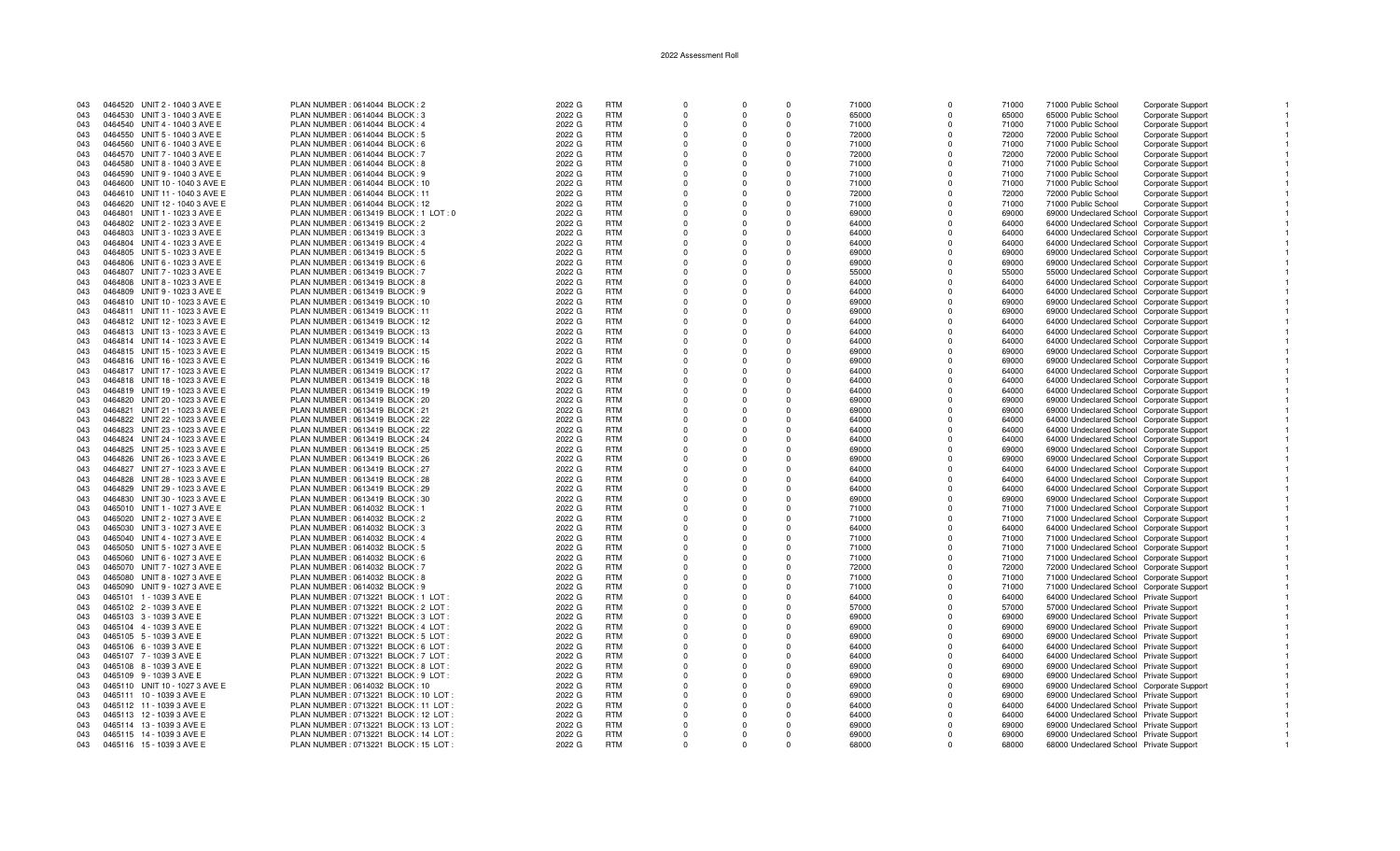| 043 | 0464520 UNIT 2 - 1040 3 AVE E  | PLAN NUMBER : 0614044 BLOCK : 2         | 2022 G | <b>RTM</b> | $\Omega$ | $\Omega$     | $\Omega$ | 71000 | $\Omega$       | 71000 | 71000 Public School                       | Corporate Support        |  |
|-----|--------------------------------|-----------------------------------------|--------|------------|----------|--------------|----------|-------|----------------|-------|-------------------------------------------|--------------------------|--|
| 043 | 0464530 UNIT 3 - 1040 3 AVE E  | PLAN NUMBER : 0614044 BLOCK : 3         | 2022 G | <b>RTM</b> | $\Omega$ | $\Omega$     | $\Omega$ | 65000 | $\Omega$       | 65000 | 65000 Public School                       | Corporate Support        |  |
| 043 | 0464540 UNIT 4 - 1040 3 AVE E  | PLAN NUMBER : 0614044 BLOCK : 4         | 2022 G | <b>RTM</b> |          |              |          | 71000 | $\Omega$       | 71000 | 71000 Public School                       | Corporate Support        |  |
| 043 | 0464550 UNIT 5 - 1040 3 AVE E  | PLAN NUMBER : 0614044 BLOCK : 5         | 2022 G | <b>RTM</b> | $\Omega$ | $\Omega$     | $\Omega$ | 72000 | $\Omega$       | 72000 | 72000 Public School                       |                          |  |
|     |                                |                                         |        |            |          |              |          |       |                |       |                                           | Corporate Support        |  |
| 043 | 0464560 UNIT 6 - 1040 3 AVE E  | PLAN NUMBER : 0614044 BLOCK : 6         | 2022 G | <b>RTM</b> |          | $\Omega$     | $\Omega$ | 71000 | $\Omega$       | 71000 | 71000 Public School                       | Corporate Support        |  |
| 043 | 0464570 UNIT 7 - 1040 3 AVE E  | PLAN NUMBER : 0614044 BLOCK : 7         | 2022 G | <b>RTM</b> |          | $\Omega$     | $\Omega$ | 72000 | $\Omega$       | 72000 | 72000 Public School                       | Corporate Support        |  |
| 043 | 0464580 UNIT 8 - 1040 3 AVE E  | PLAN NUMBER : 0614044 BLOCK : 8         | 2022 G | <b>RTM</b> |          | $\Omega$     | $\Omega$ | 71000 | $\Omega$       | 71000 | 71000 Public School                       | Corporate Support        |  |
| 043 | 0464590 UNIT 9 - 1040 3 AVE E  | PLAN NUMBER : 0614044 BLOCK : 9         | 2022 G | <b>RTM</b> | $\Omega$ | $\Omega$     | $\Omega$ | 71000 | $\Omega$       | 71000 | 71000 Public School                       | Corporate Support        |  |
| 043 | 0464600 UNIT 10 - 1040 3 AVE E | PLAN NUMBER : 0614044 BLOCK : 10        | 2022 G | <b>RTM</b> |          | $\Omega$     | $\Omega$ | 71000 | $\Omega$       | 71000 | 71000 Public School                       | Corporate Support        |  |
|     |                                |                                         |        |            |          | $\Omega$     | $\Omega$ |       | $\Omega$       |       |                                           |                          |  |
| 043 | 0464610 UNIT 11 - 1040 3 AVE E | PLAN NUMBER : 0614044 BLOCK : 11        | 2022 G | <b>RTM</b> |          |              |          | 72000 |                | 72000 | 72000 Public School                       | Corporate Support        |  |
| 043 | 0464620 UNIT 12 - 1040 3 AVE E | PLAN NUMBER : 0614044 BLOCK : 12        | 2022 G | <b>RTM</b> |          |              |          | 71000 | $\Omega$       | 71000 | 71000 Public School                       | <b>Corporate Support</b> |  |
| 043 | 0464801 UNIT 1 - 1023 3 AVE E  | PLAN NUMBER : 0613419 BLOCK : 1 LOT : 0 | 2022 G | <b>RTM</b> |          | <sup>0</sup> | $\Omega$ | 69000 | $\Omega$       | 69000 | 69000 Undeclared School Corporate Support |                          |  |
| 043 | 0464802 UNIT 2 - 1023 3 AVE E  | PLAN NUMBER : 0613419 BLOCK : 2         | 2022 G | <b>RTM</b> |          | <sup>0</sup> | $\Omega$ | 64000 | $\Omega$       | 64000 | 64000 Undeclared School Corporate Support |                          |  |
| 043 | 0464803 UNIT 3 - 1023 3 AVE E  | PLAN NUMBER : 0613419 BLOCK : 3         | 2022 G | <b>RTM</b> |          |              | $\Omega$ | 64000 | $\Omega$       | 64000 | 64000 Undeclared School Corporate Support |                          |  |
|     |                                |                                         |        | <b>RTM</b> | $\Omega$ | $\Omega$     | $\Omega$ |       | $\Omega$       | 64000 |                                           |                          |  |
| 043 | 0464804 UNIT 4 - 1023 3 AVE E  | PLAN NUMBER : 0613419 BLOCK : 4         | 2022 G |            |          |              |          | 64000 |                |       | 64000 Undeclared School Corporate Support |                          |  |
| 043 | 0464805 UNIT 5 - 1023 3 AVE E  | PLAN NUMBER : 0613419 BLOCK : 5         | 2022 G | <b>RTM</b> |          | $\Omega$     | $\Omega$ | 69000 | $\Omega$       | 69000 | 69000 Undeclared School Corporate Support |                          |  |
| 043 | 0464806 UNIT 6 - 1023 3 AVE E  | PLAN NUMBER : 0613419 BLOCK : 6         | 2022 G | <b>RTM</b> |          | $\Omega$     | $\Omega$ | 69000 | $\Omega$       | 69000 | 69000 Undeclared School Corporate Support |                          |  |
| 043 | 0464807 UNIT 7 - 1023 3 AVE E  | PLAN NUMBER : 0613419 BLOCK : 7         | 2022 G | <b>RTM</b> |          |              | $\Omega$ | 55000 | <sup>0</sup>   | 55000 | 55000 Undeclared School Corporate Support |                          |  |
| 043 | 0464808 UNIT 8 - 1023 3 AVE E  | PLAN NUMBER : 0613419 BLOCK : 8         | 2022 G | <b>RTM</b> |          | $\Omega$     | $\Omega$ | 64000 | $\Omega$       | 64000 | 64000 Undeclared School Corporate Support |                          |  |
| 043 | 0464809 UNIT 9 - 1023 3 AVE E  | PLAN NUMBER : 0613419 BLOCK : 9         | 2022 G | <b>RTM</b> |          |              |          | 64000 | $\overline{0}$ | 64000 | 64000 Undeclared School Corporate Support |                          |  |
| 043 | 0464810 UNIT 10 - 1023 3 AVE E |                                         | 2022 G | <b>RTM</b> |          | $\Omega$     | $\Omega$ | 69000 | $\Omega$       | 69000 |                                           |                          |  |
|     |                                | PLAN NUMBER : 0613419 BLOCK : 10        |        |            |          |              |          |       |                |       | 69000 Undeclared School Corporate Support |                          |  |
| 043 | 0464811 UNIT 11 - 1023 3 AVE E | PLAN NUMBER : 0613419 BLOCK : 11        | 2022 G | <b>RTM</b> |          |              |          | 69000 | $\Omega$       | 69000 | 69000 Undeclared School Corporate Support |                          |  |
| 043 | 0464812 UNIT 12 - 1023 3 AVE E | PLAN NUMBER : 0613419 BLOCK : 12        | 2022 G | <b>RTM</b> | $\Omega$ | $\Omega$     | $\Omega$ | 64000 | $\Omega$       | 64000 | 64000 Undeclared School Corporate Support |                          |  |
| 043 | 0464813 UNIT 13 - 1023 3 AVE E | PLAN NUMBER : 0613419 BLOCK : 13        | 2022 G | <b>RTM</b> |          | $\Omega$     | $\Omega$ | 64000 | $\Omega$       | 64000 | 64000 Undeclared School Corporate Support |                          |  |
| 043 | 0464814 UNIT 14 - 1023 3 AVE E | PLAN NUMBER : 0613419 BLOCK : 14        | 2022 G | <b>RTM</b> |          | $\Omega$     | $\Omega$ | 64000 | $\Omega$       | 64000 | 64000 Undeclared School Corporate Support |                          |  |
| 043 | 0464815 UNIT 15 - 1023 3 AVE E | PLAN NUMBER : 0613419 BLOCK : 15        | 2022 G | <b>RTM</b> |          |              |          | 69000 | <sup>0</sup>   | 69000 | 69000 Undeclared School Corporate Support |                          |  |
|     |                                |                                         |        |            |          |              |          |       |                |       |                                           |                          |  |
| 043 | 0464816 UNIT 16 - 1023 3 AVE E | PLAN NUMBER : 0613419 BLOCK : 16        | 2022 G | <b>RTM</b> |          | <sup>0</sup> | $\Omega$ | 69000 | <sup>0</sup>   | 69000 | 69000 Undeclared School Corporate Support |                          |  |
| 043 | 0464817 UNIT 17 - 1023 3 AVE E | PLAN NUMBER : 0613419 BLOCK : 17        | 2022 G | <b>RTM</b> |          |              |          | 64000 | $\Omega$       | 64000 | 64000 Undeclared School Corporate Support |                          |  |
| 043 | 0464818 UNIT 18 - 1023 3 AVE E | PLAN NUMBER : 0613419 BLOCK : 18        | 2022 G | <b>RTM</b> |          | $\Omega$     | $\Omega$ | 64000 | $\Omega$       | 64000 | 64000 Undeclared School Corporate Support |                          |  |
| 043 | 0464819 UNIT 19 - 1023 3 AVE E | PLAN NUMBER : 0613419 BLOCK : 19        | 2022 G | <b>RTM</b> |          |              | $\Omega$ | 64000 | $\Omega$       | 64000 | 64000 Undeclared School Corporate Support |                          |  |
| 043 | 0464820 UNIT 20 - 1023 3 AVE E | PLAN NUMBER : 0613419 BLOCK : 20        | 2022 G | <b>RTM</b> | $\Omega$ | $\Omega$     | $\Omega$ | 69000 | $\Omega$       | 69000 | 69000 Undeclared School Corporate Support |                          |  |
|     |                                |                                         |        |            |          |              |          |       |                |       |                                           |                          |  |
| 043 | 0464821 UNIT 21 - 1023 3 AVE E | PLAN NUMBER : 0613419 BLOCK : 21        | 2022 G | <b>RTM</b> |          | $\Omega$     | $\Omega$ | 69000 | $\Omega$       | 69000 | 69000 Undeclared School Corporate Support |                          |  |
| 043 | 0464822 UNIT 22 - 1023 3 AVE E | PLAN NUMBER : 0613419 BLOCK : 22        | 2022 G | <b>RTM</b> |          | $\Omega$     | $\Omega$ | 64000 | <sup>0</sup>   | 64000 | 64000 Undeclared School Corporate Support |                          |  |
| 043 | 0464823 UNIT 23 - 1023 3 AVE E | PLAN NUMBER : 0613419 BLOCK : 22        | 2022 G | <b>RTM</b> |          |              |          | 64000 |                | 64000 | 64000 Undeclared School Corporate Support |                          |  |
| 043 | 0464824 UNIT 24 - 1023 3 AVE E | PLAN NUMBER : 0613419 BLOCK : 24        | 2022 G | <b>RTM</b> |          | $\Omega$     | $\Omega$ | 64000 | $\Omega$       | 64000 | 64000 Undeclared School Corporate Support |                          |  |
| 043 | 0464825 UNIT 25 - 1023 3 AVE E | PLAN NUMBER : 0613419 BLOCK : 25        | 2022 G | <b>RTM</b> |          |              |          | 69000 | $\Omega$       | 69000 | 69000 Undeclared School Corporate Support |                          |  |
| 043 | 0464826 UNIT 26 - 1023 3 AVE E | PLAN NUMBER : 0613419 BLOCK : 26        | 2022 G | <b>RTM</b> |          |              | $\Omega$ | 69000 | $\Omega$       | 69000 |                                           |                          |  |
|     |                                |                                         |        |            |          |              |          |       |                |       | 69000 Undeclared School Corporate Support |                          |  |
| 043 | 0464827 UNIT 27 - 1023 3 AVE E | PLAN NUMBER : 0613419 BLOCK : 27        | 2022 G | <b>RTM</b> |          | $\Omega$     | $\Omega$ | 64000 | $\Omega$       | 64000 | 64000 Undeclared School Corporate Support |                          |  |
| 043 | 0464828 UNIT 28 - 1023 3 AVE E | PLAN NUMBER : 0613419 BLOCK : 28        | 2022 G | <b>RTM</b> |          | $\Omega$     | $\Omega$ | 64000 | $\Omega$       | 64000 | 64000 Undeclared School Corporate Support |                          |  |
| 043 | 0464829 UNIT 29 - 1023 3 AVE E | PLAN NUMBER : 0613419 BLOCK : 29        | 2022 G | <b>RTM</b> | $\Omega$ | $\Omega$     | $\Omega$ | 64000 | $\Omega$       | 64000 | 64000 Undeclared School Corporate Support |                          |  |
| 043 | 0464830 UNIT 30 - 1023 3 AVE E | PLAN NUMBER : 0613419 BLOCK : 30        | 2022 G | <b>RTM</b> |          |              | $\Omega$ | 69000 | $\Omega$       | 69000 | 69000 Undeclared School Corporate Support |                          |  |
| 043 | 0465010 UNIT 1 - 1027 3 AVE E  | PLAN NUMBER : 0614032 BLOCK : 1         | 2022 G | RTM        |          | <sup>0</sup> |          | 71000 | <sup>0</sup>   | 71000 | 71000 Undeclared School Corporate Support |                          |  |
|     |                                |                                         |        |            |          |              |          |       |                |       |                                           |                          |  |
| 043 | 0465020 UNIT 2 - 1027 3 AVE E  | PLAN NUMBER : 0614032 BLOCK : 2         | 2022 G | <b>RTM</b> |          | $\Omega$     | $\Omega$ | 71000 | $\Omega$       | 71000 | 71000 Undeclared School Corporate Support |                          |  |
| 043 | 0465030 UNIT 3 - 1027 3 AVE E  | PLAN NUMBER : 0614032 BLOCK : 3         | 2022 G | <b>RTM</b> |          | $\Omega$     | $\Omega$ | 64000 | $\Omega$       | 64000 | 64000 Undeclared School Corporate Support |                          |  |
| 043 | 0465040 UNIT 4 - 1027 3 AVE E  | PLAN NUMBER : 0614032 BLOCK : 4         | 2022 G | <b>RTM</b> |          |              | $\Omega$ | 71000 | $\Omega$       | 71000 | 71000 Undeclared School Corporate Support |                          |  |
| 043 | 0465050 UNIT 5 - 1027 3 AVE E  | PLAN NUMBER : 0614032 BLOCK : 5         | 2022 G | <b>RTM</b> | $\Omega$ | $\Omega$     | $\Omega$ | 71000 | $\Omega$       | 71000 | 71000 Undeclared School Corporate Support |                          |  |
| 043 | 0465060 UNIT 6 - 1027 3 AVE E  | PLAN NUMBER : 0614032 BLOCK : 6         | 2022 G | <b>RTM</b> |          | $\Omega$     | $\Omega$ | 71000 | $\Omega$       | 71000 | 71000 Undeclared School Corporate Support |                          |  |
| 043 | 0465070 UNIT 7 - 1027 3 AVE E  | PLAN NUMBER : 0614032 BLOCK : 7         | 2022 G | <b>RTM</b> |          | $\Omega$     | $\Omega$ | 72000 | $\Omega$       | 72000 | 72000 Undeclared School Corporate Support |                          |  |
|     |                                |                                         |        |            |          |              |          |       |                |       |                                           |                          |  |
| 043 | 0465080 UNIT 8 - 1027 3 AVE E  | PLAN NUMBER : 0614032 BLOCK : 8         | 2022 G | <b>RTM</b> |          |              |          | 71000 | $\Omega$       | 71000 | 71000 Undeclared School Corporate Support |                          |  |
| 043 | 0465090 UNIT 9 - 1027 3 AVE E  | PLAN NUMBER : 0614032 BLOCK : 9         | 2022 G | RTM        |          | <sup>0</sup> | $\Omega$ | 71000 | <sup>0</sup>   | 71000 | 71000 Undeclared School Corporate Support |                          |  |
| 043 | 0465101 1 - 1039 3 AVE E       | PLAN NUMBER : 0713221 BLOCK : 1 LOT     | 2022 G | <b>RTM</b> |          |              | $\Omega$ | 64000 | $\Omega$       | 64000 | 64000 Undeclared School Private Support   |                          |  |
| 043 | 0465102 2 - 1039 3 AVE E       | PLAN NUMBER : 0713221 BLOCK : 2 LOT     | 2022 G | <b>RTM</b> |          | $\Omega$     | $\Omega$ | 57000 | $\Omega$       | 57000 | 57000 Undeclared School Private Support   |                          |  |
| 043 | 0465103 3 - 1039 3 AVE E       | PLAN NUMBER : 0713221 BLOCK : 3 LOT     | 2022 G | <b>RTM</b> |          |              |          | 69000 | $\Omega$       | 69000 | 69000 Undeclared School Private Support   |                          |  |
|     |                                |                                         |        | <b>RTM</b> |          |              |          |       |                |       |                                           |                          |  |
| 043 | 0465104 4 - 1039 3 AVE E       | PLAN NUMBER : 0713221 BLOCK : 4 LOT     | 2022 G |            | $\Omega$ | $\Omega$     | $\Omega$ | 69000 | $\Omega$       | 69000 | 69000 Undeclared School Private Support   |                          |  |
| 043 | 0465105 5 - 1039 3 AVE E       | PLAN NUMBER: 0713221 BLOCK: 5 LOT       | 2022 G | <b>RTM</b> |          | $\Omega$     | $\Omega$ | 69000 | $\Omega$       | 69000 | 69000 Undeclared School Private Support   |                          |  |
| 043 | 0465106 6 - 1039 3 AVE E       | PLAN NUMBER : 0713221 BLOCK : 6 LOT     | 2022 G | <b>RTM</b> |          | $\Omega$     | $\Omega$ | 64000 | $\Omega$       | 64000 | 64000 Undeclared School Private Support   |                          |  |
| 043 | 0465107 7 - 1039 3 AVE E       | PLAN NUMBER : 0713221 BLOCK : 7 LOT     | 2022 G | <b>RTM</b> |          | <sup>0</sup> |          | 64000 | <sup>0</sup>   | 64000 | 64000 Undeclared School Private Support   |                          |  |
| 043 | 0465108 8 - 1039 3 AVE E       | PLAN NUMBER: 0713221 BLOCK: 8 LOT       | 2022 G | <b>RTM</b> |          | n            |          | 69000 | $\Omega$       | 69000 | 69000 Undeclared School Private Support   |                          |  |
| 043 | 0465109 9 - 1039 3 AVE E       | PLAN NUMBER : 0713221 BLOCK : 9 LOT :   | 2022 G | <b>RTM</b> |          |              |          | 69000 | $\Omega$       | 69000 | 69000 Undeclared School Private Support   |                          |  |
|     |                                |                                         |        |            |          |              |          |       | $\Omega$       |       |                                           |                          |  |
| 043 | 0465110 UNIT 10 - 1027 3 AVE E | PLAN NUMBER : 0614032 BLOCK : 10        | 2022 G | <b>RTM</b> |          |              | $\Omega$ | 69000 |                | 69000 | 69000 Undeclared School Corporate Support |                          |  |
| 043 | 0465111 10 - 1039 3 AVE E      | PLAN NUMBER : 0713221 BLOCK : 10 LOT :  | 2022 G | <b>RTM</b> |          | <sup>0</sup> | $\Omega$ | 69000 | $\Omega$       | 69000 | 69000 Undeclared School Private Support   |                          |  |
| 043 | 0465112 11 - 1039 3 AVE E      | PLAN NUMBER: 0713221 BLOCK: 11 LOT:     | 2022 G | <b>RTM</b> | $\Omega$ | $\Omega$     | $\Omega$ | 64000 | $\Omega$       | 64000 | 64000 Undeclared School Private Support   |                          |  |
| 043 | 0465113 12 - 1039 3 AVE E      | PLAN NUMBER : 0713221 BLOCK : 12 LOT :  | 2022 G | <b>RTM</b> | $\Omega$ | $\Omega$     | $\Omega$ | 64000 | $\Omega$       | 64000 | 64000 Undeclared School Private Support   |                          |  |
| 043 | 0465114 13 - 1039 3 AVE E      | PLAN NUMBER: 0713221 BLOCK: 13 LOT      | 2022 G | <b>RTM</b> |          |              |          | 69000 | $\Omega$       | 69000 | 69000 Undeclared School Private Support   |                          |  |
| 043 | 0465115 14 - 1039 3 AVE E      | PLAN NUMBER : 0713221 BLOCK : 14 LOT :  | 2022 G | <b>RTM</b> | $\Omega$ | <sup>0</sup> |          | 69000 | $\Omega$       | 69000 |                                           |                          |  |
|     |                                |                                         |        |            |          |              |          |       |                |       | 69000 Undeclared School Private Support   |                          |  |
| 043 | 0465116 15 - 1039 3 AVE E      | PLAN NUMBER : 0713221 BLOCK : 15 LOT :  | 2022 G | <b>RTM</b> |          |              |          | 68000 |                | 68000 | 68000 Undeclared School Private Support   |                          |  |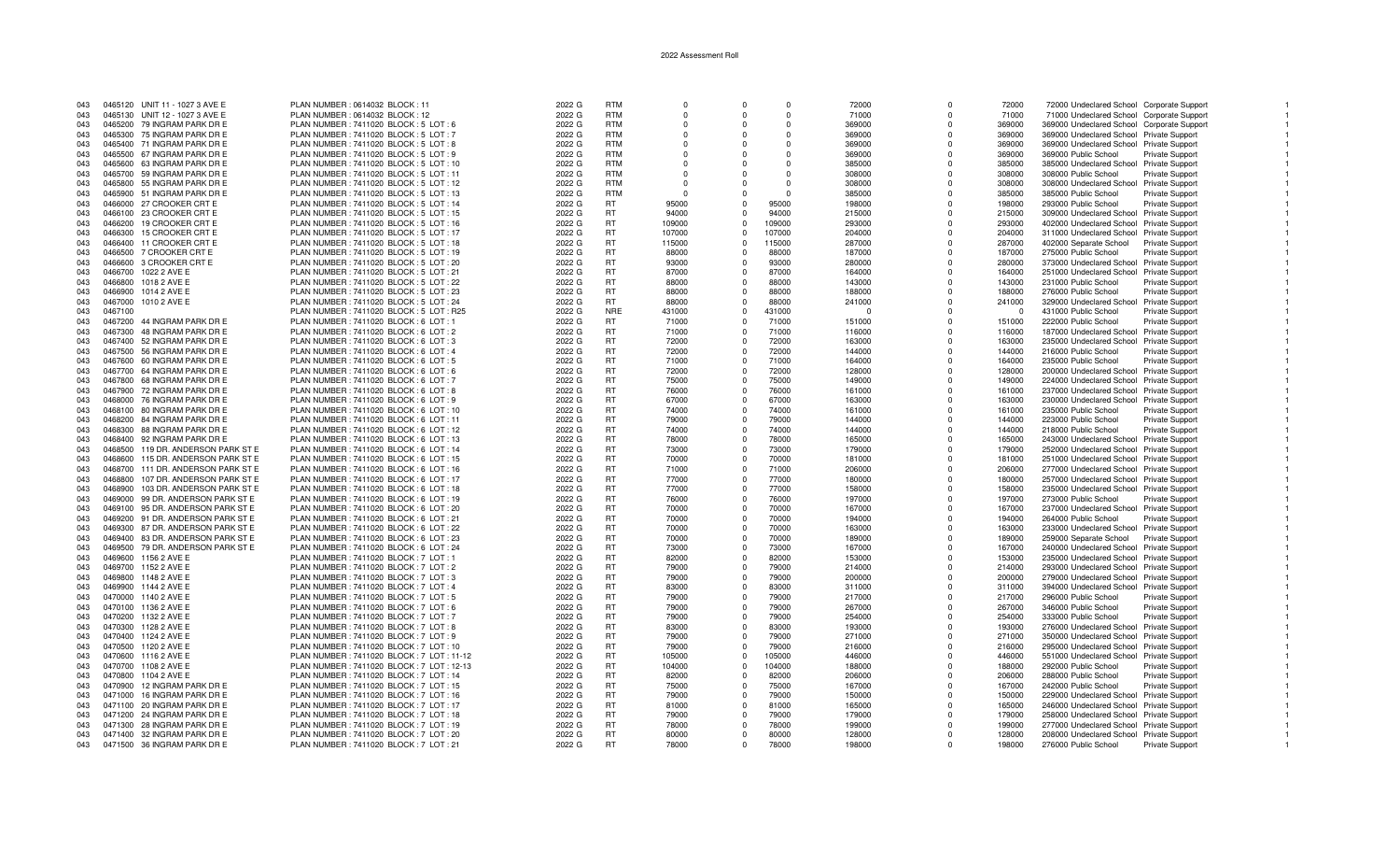| 043 |         | 0465120 UNIT 11 - 1027 3 AVE E    | PLAN NUMBER : 0614032 BLOCK : 11         | 2022 G | <b>RTM</b> | $\Omega$ | $\Omega$ | $\Omega$ | 72000    | $\Omega$ | 72000    | 72000 Undeclared School Corporate Support  |                        |
|-----|---------|-----------------------------------|------------------------------------------|--------|------------|----------|----------|----------|----------|----------|----------|--------------------------------------------|------------------------|
| 043 |         | 0465130 UNIT 12 - 1027 3 AVE E    | PLAN NUMBER : 0614032 BLOCK : 12         | 2022 G | <b>RTM</b> | $\Omega$ |          | $\Omega$ | 71000    | ŋ        | 71000    | 71000 Undeclared School Corporate Support  |                        |
| 043 |         | 0465200 79 INGRAM PARK DR E       | PLAN NUMBER: 7411020 BLOCK: 5 LOT: 6     | 2022 G | <b>RTM</b> | $\Omega$ |          | $\Omega$ | 369000   | ŋ        | 369000   | 369000 Undeclared School Corporate Support |                        |
| 043 |         | 0465300 75 INGRAM PARK DR E       | PLAN NUMBER : 7411020 BLOCK : 5 LOT : 7  | 2022 G | <b>RTM</b> | $\Omega$ |          | $\Omega$ | 369000   | $\Omega$ | 369000   | 369000 Undeclared School Private Support   |                        |
|     |         |                                   |                                          |        |            |          |          |          |          |          |          |                                            |                        |
| 043 |         | 0465400 71 INGRAM PARK DR E       | PLAN NUMBER : 7411020 BLOCK : 5 LOT : 8  | 2022 G | <b>RTM</b> | $\Omega$ | $\Omega$ | $\Omega$ | 369000   | $\Omega$ | 369000   | 369000 Undeclared School Private Support   |                        |
| 043 | 0465500 | 67 INGRAM PARK DR E               | PLAN NUMBER : 7411020 BLOCK : 5 LOT : 9  | 2022 G | <b>RTM</b> | $\Omega$ |          | $\Omega$ | 369000   | $\Omega$ | 369000   | 369000 Public School                       | <b>Private Support</b> |
| 043 | 0465600 | 63 INGRAM PARK DR E               | PLAN NUMBER: 7411020 BLOCK: 5 LOT: 10    | 2022 G | <b>RTM</b> | $\Omega$ | $\Omega$ | $\Omega$ | 385000   | $\Omega$ | 385000   | 385000 Undeclared School Private Support   |                        |
|     | 0465700 |                                   |                                          | 2022 G | <b>RTM</b> | $\Omega$ |          | $\Omega$ |          | $\Omega$ | 308000   |                                            |                        |
| 043 |         | 59 INGRAM PARK DR E               | PLAN NUMBER: 7411020 BLOCK: 5 LOT: 11    |        |            |          |          |          | 308000   |          |          | 308000 Public School                       | <b>Private Support</b> |
| 043 | 0465800 | 55 INGRAM PARK DR E               | PLAN NUMBER: 7411020 BLOCK: 5 LOT: 12    | 2022 G | <b>RTM</b> | $\Omega$ |          | $\Omega$ | 308000   | $\Omega$ | 308000   | 308000 Undeclared School Private Support   |                        |
| 043 |         | 0465900 51 INGRAM PARK DR E       | PLAN NUMBER: 7411020 BLOCK: 5 LOT: 13    | 2022 G | <b>RTM</b> | $\Omega$ |          | $\Omega$ | 385000   | $\Omega$ | 385000   | 385000 Public School                       | <b>Private Support</b> |
| 043 |         | 0466000 27 CROOKER CRT E          | PLAN NUMBER : 7411020 BLOCK : 5 LOT : 14 | 2022 G | <b>RT</b>  | 95000    | $\Omega$ | 95000    | 198000   | O        | 198000   | 293000 Public School                       | Private Support        |
|     |         |                                   |                                          |        |            |          |          |          |          |          |          |                                            |                        |
| 043 |         | 0466100 23 CROOKER CRT E          | PLAN NUMBER: 7411020 BLOCK: 5 LOT: 15    | 2022 G | <b>RT</b>  | 94000    |          | 94000    | 215000   | $\Omega$ | 215000   | 309000 Undeclared School Private Support   |                        |
| 043 | 0466200 | 19 CROOKER CRT E                  | PLAN NUMBER: 7411020 BLOCK: 5 LOT: 16    | 2022 G | <b>RT</b>  | 109000   | $\Omega$ | 109000   | 293000   | $\Omega$ | 293000   | 402000 Undeclared School Private Support   |                        |
| 043 | 0466300 | 15 CROOKER CRT E                  | PLAN NUMBER : 7411020 BLOCK : 5 LOT : 17 | 2022 G | <b>RT</b>  | 107000   |          | 107000   | 204000   | $\Omega$ | 204000   | 311000 Undeclared School Private Support   |                        |
| 043 |         | 0466400 11 CROOKER CRT E          | PLAN NUMBER: 7411020 BLOCK: 5 LOT: 18    | 2022 G | <b>RT</b>  | 115000   | $\Omega$ | 115000   | 287000   | $\Omega$ | 287000   | 402000 Separate School                     | Private Support        |
|     |         |                                   |                                          |        |            |          |          |          |          |          |          |                                            |                        |
| 043 | 0466500 | 7 CROOKER CRT E                   | PLAN NUMBER: 7411020 BLOCK: 5 LOT: 19    | 2022 G | <b>RT</b>  | 88000    | $\Omega$ | 88000    | 187000   | $\Omega$ | 187000   | 275000 Public School                       | <b>Private Support</b> |
| 043 |         | 0466600 3 CROOKER CRT E           | PLAN NUMBER : 7411020 BLOCK : 5 LOT : 20 | 2022 G | <b>RT</b>  | 93000    | $\Omega$ | 93000    | 280000   | $\Omega$ | 280000   | 373000 Undeclared School Private Support   |                        |
| 043 | 0466700 | 1022 2 AVE E                      | PLAN NUMBER: 7411020 BLOCK: 5 LOT: 21    | 2022 G | <b>RT</b>  | 87000    | $\Omega$ | 87000    | 164000   | $\Omega$ | 164000   | 251000 Undeclared School Private Support   |                        |
| 043 | 0466800 | 1018 2 AVE E                      | PLAN NUMBER : 7411020 BLOCK : 5 LOT : 22 | 2022 G | <b>RT</b>  | 88000    | $\Omega$ | 88000    | 143000   | O        | 143000   | 231000 Public School                       | Private Support        |
|     |         |                                   |                                          |        |            |          |          |          |          |          |          |                                            |                        |
| 043 | 0466900 | 1014 2 AVE E                      | PLAN NUMBER: 7411020 BLOCK: 5 LOT: 23    | 2022 G | <b>RT</b>  | 88000    |          | 88000    | 188000   | $\Omega$ | 188000   | 276000 Public School                       | <b>Private Support</b> |
| 043 |         | 0467000 1010 2 AVE E              | PLAN NUMBER: 7411020 BLOCK: 5 LOT: 24    | 2022 G | <b>RT</b>  | 88000    | $\Omega$ | 88000    | 241000   | $\Omega$ | 241000   | 329000 Undeclared School Private Support   |                        |
| 043 | 0467100 |                                   | PLAN NUMBER: 7411020 BLOCK: 5 LOT: R25   | 2022 G | <b>NRE</b> | 431000   |          | 431000   | $\Omega$ | $\Omega$ | $\Omega$ | 431000 Public School                       | <b>Private Support</b> |
|     |         |                                   |                                          |        | RT         |          |          |          |          |          |          |                                            |                        |
| 043 | 0467200 | 44 INGRAM PARK DR E               | PLAN NUMBER : 7411020 BLOCK : 6 LOT : 1  | 2022 G |            | 71000    | $\Omega$ | 71000    | 151000   | $\Omega$ | 151000   | 222000 Public School                       | <b>Private Support</b> |
| 043 | 0467300 | 48 INGRAM PARK DR E               | PLAN NUMBER : 7411020 BLOCK : 6 LOT : 2  | 2022 G | <b>RT</b>  | 71000    | $\Omega$ | 71000    | 116000   | $\Omega$ | 116000   | 187000 Undeclared School Private Support   |                        |
| 043 | 0467400 | 52 INGRAM PARK DR E               | PLAN NUMBER : 7411020 BLOCK : 6 LOT : 3  | 2022 G | <b>RT</b>  | 72000    | $\Omega$ | 72000    | 163000   | $\Omega$ | 163000   | 235000 Undeclared School Private Support   |                        |
| 043 |         | 0467500 56 INGRAM PARK DR E       | PLAN NUMBER : 7411020 BLOCK : 6 LOT : 4  | 2022 G | <b>RT</b>  | 72000    | $\Omega$ | 72000    | 144000   | 0        | 144000   | 216000 Public School                       | Private Support        |
|     |         |                                   |                                          |        |            |          |          |          |          |          |          |                                            |                        |
| 043 |         | 0467600 60 INGRAM PARK DR E       | PLAN NUMBER : 7411020 BLOCK : 6 LOT : 5  | 2022 G | <b>RT</b>  | 71000    | $\Omega$ | 71000    | 164000   | 0        | 164000   | 235000 Public School                       | Private Support        |
| 043 | 0467700 | 64 INGRAM PARK DR E               | PLAN NUMBER : 7411020 BLOCK : 6 LOT : 6  | 2022 G | RT         | 72000    | $\Omega$ | 72000    | 128000   | $\Omega$ | 128000   | 200000 Undeclared School Private Support   |                        |
| 043 | 0467800 | 68 INGRAM PARK DR E               | PLAN NUMBER : 7411020 BLOCK : 6 LOT : 7  | 2022 G | <b>RT</b>  | 75000    | $\Omega$ | 75000    | 149000   | $\Omega$ | 149000   | 224000 Undeclared School Private Support   |                        |
| 043 |         | 0467900 72 INGRAM PARK DR E       | PLAN NUMBER: 7411020 BLOCK: 6 LOT: 8     | 2022 G | <b>RT</b>  | 76000    |          | 76000    | 161000   | $\Omega$ | 161000   | 237000 Undeclared School Private Support   |                        |
|     |         |                                   |                                          |        |            |          |          |          |          |          |          |                                            |                        |
| 043 | 0468000 | 76 INGRAM PARK DR E               | PLAN NUMBER : 7411020 BLOCK : 6 LOT : 9  | 2022 G | <b>RT</b>  | 67000    | $\Omega$ | 67000    | 163000   | $\Omega$ | 163000   | 230000 Undeclared School Private Support   |                        |
| 043 | 0468100 | 80 INGRAM PARK DR E               | PLAN NUMBER : 7411020 BLOCK : 6 LOT : 10 | 2022 G | <b>RT</b>  | 74000    | $\Omega$ | 74000    | 161000   | $\Omega$ | 161000   | 235000 Public School                       | <b>Private Support</b> |
| 043 | 0468200 | 84 INGRAM PARK DR E               | PLAN NUMBER: 7411020 BLOCK: 6 LOT: 11    | 2022 G | <b>RT</b>  | 79000    | $\Omega$ | 79000    | 144000   | $\Omega$ | 144000   | 223000 Public School                       | <b>Private Support</b> |
| 043 | 0468300 | 88 INGRAM PARK DR E               | PLAN NUMBER: 7411020 BLOCK: 6 LOT: 12    | 2022 G | <b>RT</b>  | 74000    | $\Omega$ | 74000    | 144000   | O        | 144000   | 218000 Public School                       | Private Support        |
|     |         |                                   |                                          |        |            |          |          |          |          |          |          |                                            |                        |
| 043 |         | 0468400 92 INGRAM PARK DR E       | PLAN NUMBER: 7411020 BLOCK: 6 LOT: 13    | 2022 G | <b>RT</b>  | 78000    | $\Omega$ | 78000    | 165000   | 0        | 165000   | 243000 Undeclared School Private Support   |                        |
| 043 | 0468500 | 119 DR. ANDERSON PARK ST E        | PLAN NUMBER: 7411020 BLOCK: 6 LOT: 14    | 2022 G | <b>RT</b>  | 73000    | $\Omega$ | 73000    | 179000   | 0        | 179000   | 252000 Undeclared School Private Support   |                        |
| 043 | 0468600 | 115 DR. ANDERSON PARK ST E        | PLAN NUMBER : 7411020 BLOCK : 6 LOT : 15 | 2022 G | <b>RT</b>  | 70000    | $\Omega$ | 70000    | 181000   | $\Omega$ | 181000   | 251000 Undeclared School Private Support   |                        |
| 043 | 0468700 | 111 DR. ANDERSON PARK ST E        |                                          | 2022 G | <b>RT</b>  | 71000    |          | 71000    | 206000   | $\Omega$ | 206000   |                                            |                        |
|     |         |                                   | PLAN NUMBER : 7411020 BLOCK : 6 LOT : 16 |        |            |          |          |          |          |          |          | 277000 Undeclared School Private Support   |                        |
| 043 | 0468800 | 107 DR. ANDERSON PARK ST E        | PLAN NUMBER: 7411020 BLOCK: 6 LOT: 17    | 2022 G | <b>RT</b>  | 77000    | $\Omega$ | 77000    | 180000   | $\Omega$ | 180000   | 257000 Undeclared School Private Support   |                        |
| 043 | 0468900 | 103 DR. ANDERSON PARK ST E        | PLAN NUMBER : 7411020 BLOCK : 6 LOT : 18 | 2022 G | <b>RT</b>  | 77000    | $\Omega$ | 77000    | 158000   | $\Omega$ | 158000   | 235000 Undeclared School Private Support   |                        |
| 043 | 0469000 | 99 DR. ANDERSON PARK ST E         | PLAN NUMBER: 7411020 BLOCK: 6 LOT: 19    | 2022 G | <b>RT</b>  | 76000    | $\Omega$ | 76000    | 197000   | $\Omega$ | 197000   | 273000 Public School                       | Private Support        |
| 043 |         | 0469100 95 DR. ANDERSON PARK ST E | PLAN NUMBER: 7411020 BLOCK: 6 LOT: 20    | 2022 G | <b>RT</b>  | 70000    | $\Omega$ | 70000    | 167000   | O        | 167000   |                                            |                        |
|     |         |                                   |                                          |        |            |          |          |          |          |          |          | 237000 Undeclared School Private Support   |                        |
| 043 |         | 0469200 91 DR. ANDERSON PARK ST E | PLAN NUMBER: 7411020 BLOCK: 6 LOT: 21    | 2022 G | <b>RT</b>  | 70000    | $\Omega$ | 70000    | 194000   | 0        | 194000   | 264000 Public School                       | <b>Private Support</b> |
| 043 | 0469300 | 87 DR. ANDERSON PARK ST E         | PLAN NUMBER: 7411020 BLOCK: 6 LOT: 22    | 2022 G | <b>RT</b>  | 70000    | $\Omega$ | 70000    | 163000   | 0        | 163000   | 233000 Undeclared School Private Support   |                        |
| 043 |         | 0469400 83 DR. ANDERSON PARK ST E | PLAN NUMBER: 7411020 BLOCK: 6 LOT: 23    | 2022 G | <b>RT</b>  | 70000    | $\Omega$ | 70000    | 189000   | $\Omega$ | 189000   | 259000 Separate School                     | <b>Private Support</b> |
|     |         |                                   |                                          |        | <b>RT</b>  | 73000    | $\Omega$ | 73000    |          | $\Omega$ |          |                                            |                        |
| 043 |         | 0469500 79 DR. ANDERSON PARK ST E | PLAN NUMBER : 7411020 BLOCK : 6 LOT : 24 | 2022 G |            |          |          |          | 167000   |          | 167000   | 240000 Undeclared School Private Support   |                        |
| 043 | 0469600 | 1156 2 AVE E                      | PLAN NUMBER : 7411020 BLOCK : 7 LOT : 1  | 2022 G | <b>RT</b>  | 82000    | $\Omega$ | 82000    | 153000   | $\Omega$ | 153000   | 235000 Undeclared School Private Support   |                        |
| 043 | 0469700 | 1152 2 AVE E                      | PLAN NUMBER : 7411020 BLOCK : 7 LOT : 2  | 2022 G | <b>RT</b>  | 79000    | $\Omega$ | 79000    | 214000   | $\Omega$ | 214000   | 293000 Undeclared School Private Support   |                        |
| 043 |         | 0469800 1148 2 AVE E              | PLAN NUMBER : 7411020 BLOCK : 7 LOT : 3  | 2022 G | <b>RT</b>  | 79000    | $\Omega$ | 79000    | 200000   | $\Omega$ | 200000   | 279000 Undeclared School Private Support   |                        |
|     |         |                                   |                                          |        | <b>RT</b>  |          | $\Omega$ |          |          | O        |          |                                            |                        |
| 043 |         | 0469900 1144 2 AVE E              | PLAN NUMBER : 7411020 BLOCK : 7 LOT : 4  | 2022 G |            | 83000    |          | 83000    | 311000   |          | 311000   | 394000 Undeclared School Private Support   |                        |
| 043 |         | 0470000 1140 2 AVE E              | PLAN NUMBER: 7411020 BLOCK: 7 LOT: 5     | 2022 G | <b>RT</b>  | 79000    | $\Omega$ | 79000    | 217000   | O        | 217000   | 296000 Public School                       | <b>Private Support</b> |
| 043 | 0470100 | 1136 2 AVE E                      | PLAN NUMBER : 7411020 BLOCK : 7 LOT : 6  | 2022 G | <b>RT</b>  | 79000    | $\Omega$ | 79000    | 267000   | $\Omega$ | 267000   | 346000 Public School                       | <b>Private Support</b> |
| 043 |         | 0470200 1132 2 AVE E              | PLAN NUMBER: 7411020 BLOCK: 7 LOT: 7     | 2022 G | <b>RT</b>  | 79000    | $\Omega$ | 79000    | 254000   | $\Omega$ | 254000   | 333000 Public School                       | Private Support        |
|     |         |                                   |                                          |        |            |          |          |          |          |          |          |                                            |                        |
| 043 |         | 0470300 1128 2 AVE E              | PLAN NUMBER: 7411020 BLOCK: 7 LOT: 8     | 2022 G | <b>RT</b>  | 83000    |          | 83000    | 193000   | $\Omega$ | 193000   | 276000 Undeclared School Private Support   |                        |
| 043 |         | 0470400 1124 2 AVE E              | PLAN NUMBER: 7411020 BLOCK: 7 LOT: 9     | 2022 G | <b>RT</b>  | 79000    | $\Omega$ | 79000    | 271000   | $\Omega$ | 271000   | 350000 Undeclared School Private Support   |                        |
| 043 | 0470500 | 1120 2 AVE E                      | PLAN NUMBER: 7411020 BLOCK: 7 LOT: 10    | 2022 G | <b>RT</b>  | 79000    | $\Omega$ | 79000    | 216000   | $\Omega$ | 216000   | 295000 Undeclared School Private Support   |                        |
| 043 |         | 0470600 1116 2 AVE E              | PLAN NUMBER: 7411020 BLOCK: 7 LOT: 11-12 | 2022 G | <b>RT</b>  | 105000   | $\Omega$ | 105000   | 446000   | $\Omega$ | 446000   | 551000 Undeclared School Private Support   |                        |
|     |         |                                   |                                          |        |            |          |          |          |          |          |          |                                            |                        |
| 043 |         | 0470700 1108 2 AVE E              | PLAN NUMBER: 7411020 BLOCK: 7 LOT: 12-13 | 2022 G | <b>RT</b>  | 104000   | $\Omega$ | 104000   | 188000   | ŋ        | 188000   | 292000 Public School                       | <b>Private Support</b> |
| 043 |         | 0470800 1104 2 AVE E              | PLAN NUMBER: 7411020 BLOCK: 7 LOT: 14    | 2022 G | <b>RT</b>  | 82000    | $\Omega$ | 82000    | 206000   | O        | 206000   | 288000 Public School                       | Private Support        |
| 043 | 0470900 | 12 INGRAM PARK DR E               | PLAN NUMBER: 7411020 BLOCK: 7 LOT: 15    | 2022 G | <b>RT</b>  | 75000    | $\Omega$ | 75000    | 167000   | $\Omega$ | 167000   | 242000 Public School                       | <b>Private Support</b> |
| 043 | 0471000 |                                   |                                          |        | <b>RT</b>  | 79000    | $\Omega$ | 79000    |          | $\Omega$ |          |                                            |                        |
|     |         | 16 INGRAM PARK DR E               | PLAN NUMBER: 7411020 BLOCK: 7 LOT: 16    | 2022 G |            |          |          |          | 150000   |          | 150000   | 229000 Undeclared School Private Support   |                        |
| 043 |         | 0471100 20 INGRAM PARK DR E       | PLAN NUMBER: 7411020 BLOCK: 7 LOT: 17    | 2022 G | <b>RT</b>  | 81000    | $\Omega$ | 81000    | 165000   | $\Omega$ | 165000   | 246000 Undeclared School Private Support   |                        |
| 043 |         | 0471200 24 INGRAM PARK DR E       | PLAN NUMBER: 7411020 BLOCK: 7 LOT: 18    | 2022 G | <b>RT</b>  | 79000    | $\Omega$ | 79000    | 179000   | $\Omega$ | 179000   | 258000 Undeclared School Private Support   |                        |
| 043 | 0471300 | 28 INGRAM PARK DR E               | PLAN NUMBER: 7411020 BLOCK: 7 LOT: 19    | 2022 G | <b>RT</b>  | 78000    | $\Omega$ | 78000    | 199000   | $\Omega$ | 199000   | 277000 Undeclared School Private Support   |                        |
|     |         |                                   |                                          |        | <b>RT</b>  |          |          |          |          |          |          |                                            |                        |
| 043 |         | 0471400 32 INGRAM PARK DR E       | PLAN NUMBER: 7411020 BLOCK: 7 LOT: 20    | 2022 G |            | 80000    | $\Omega$ | 80000    | 128000   | $\Omega$ | 128000   | 208000 Undeclared School Private Support   |                        |
| 043 |         | 0471500 36 INGRAM PARK DR E       | PLAN NUMBER : 7411020 BLOCK : 7 LOT : 21 | 2022 G | <b>RT</b>  | 78000    | $\Omega$ | 78000    | 198000   | $\Omega$ | 198000   | 276000 Public School                       | <b>Private Support</b> |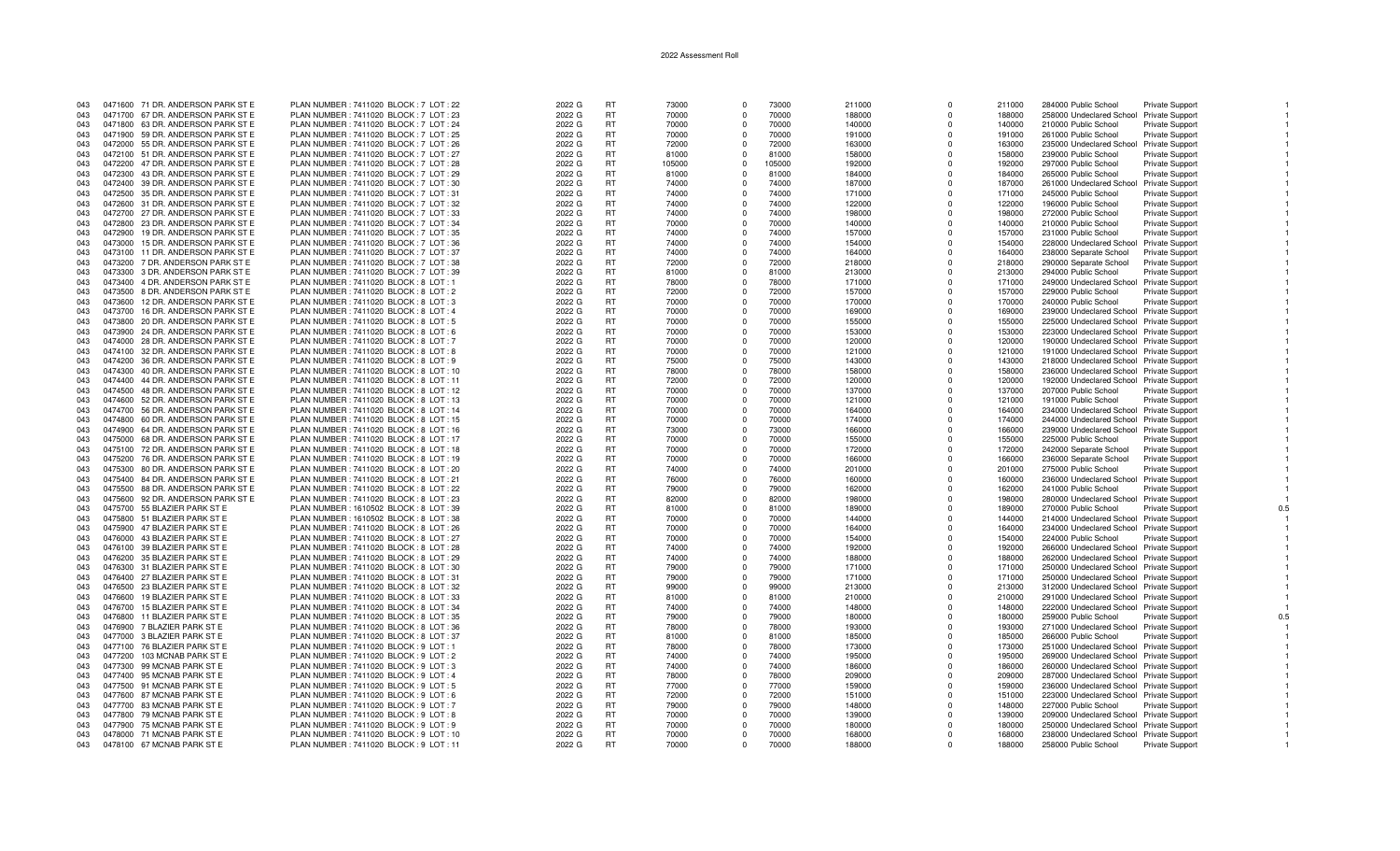| 043 |         | 0471600 71 DR. ANDERSON PARK ST E | PLAN NUMBER: 7411020 BLOCK: 7 LOT: 22    | 2022 G | RT        | 73000  | $\Omega$   | 73000  | 211000 | $\Omega$    | 211000 | 284000 Public School                     | <b>Private Support</b> |     |
|-----|---------|-----------------------------------|------------------------------------------|--------|-----------|--------|------------|--------|--------|-------------|--------|------------------------------------------|------------------------|-----|
| 043 |         | 0471700 67 DR. ANDERSON PARK ST E | PLAN NUMBER: 7411020 BLOCK: 7 LOT: 23    | 2022 G | <b>RT</b> | 70000  | $\Omega$   | 70000  | 188000 | $\Omega$    | 188000 | 258000 Undeclared School Private Support |                        |     |
| 043 |         | 0471800 63 DR. ANDERSON PARK ST E | PLAN NUMBER : 7411020 BLOCK : 7 LOT : 24 | 2022 G | <b>RT</b> | 70000  | $\Omega$   | 70000  | 140000 | $\Omega$    | 140000 | 210000 Public School                     | Private Support        |     |
| 043 |         | 0471900 59 DR. ANDERSON PARK ST E | PLAN NUMBER : 7411020 BLOCK : 7 LOT : 25 | 2022 G | RT.       | 70000  | $\Omega$   | 70000  | 191000 | $\Omega$    | 191000 | 261000 Public School                     | Private Support        |     |
| 043 |         | 0472000 55 DR. ANDERSON PARK ST E | PLAN NUMBER : 7411020 BLOCK : 7 LOT : 26 | 2022 G | RT        | 72000  | $\Omega$   | 72000  | 163000 | $\Omega$    | 163000 | 235000 Undeclared School                 | <b>Private Support</b> |     |
| 043 |         | 0472100 51 DR. ANDERSON PARK ST E | PLAN NUMBER: 7411020 BLOCK: 7 LOT: 27    | 2022 G | <b>RT</b> | 81000  | $\Omega$   | 81000  | 158000 | $\Omega$    | 158000 | 239000 Public School                     | Private Support        |     |
| 043 |         | 0472200 47 DR. ANDERSON PARK ST E | PLAN NUMBER: 7411020 BLOCK: 7 LOT: 28    | 2022 G | <b>RT</b> | 105000 | $\Omega$   | 105000 | 192000 | $\Omega$    | 192000 | 297000 Public School                     | Private Support        |     |
| 043 |         | 0472300 43 DR. ANDERSON PARK ST E | PLAN NUMBER: 7411020 BLOCK: 7 LOT: 29    | 2022 G | <b>RT</b> | 81000  | $\Omega$   | 81000  | 184000 | $\Omega$    | 184000 | 265000 Public School                     | Private Support        |     |
| 043 |         | 0472400 39 DR. ANDERSON PARK ST E | PLAN NUMBER : 7411020 BLOCK : 7 LOT : 30 | 2022 G | RT        | 74000  | $\Omega$   | 74000  | 187000 | $\Omega$    | 187000 | 261000 Undeclared School                 | <b>Private Support</b> |     |
| 043 |         | 0472500 35 DR. ANDERSON PARK ST E | PLAN NUMBER: 7411020 BLOCK: 7 LOT: 31    | 2022 G | <b>RT</b> | 74000  | $\Omega$   | 74000  | 171000 | $\Omega$    | 171000 | 245000 Public School                     | Private Support        |     |
| 043 |         | 0472600 31 DR. ANDERSON PARK ST E | PLAN NUMBER : 7411020 BLOCK : 7 LOT : 32 | 2022 G | <b>RT</b> | 74000  | $\Omega$   | 74000  | 122000 | $\Omega$    | 122000 | 196000 Public School                     | <b>Private Support</b> |     |
| 043 |         | 0472700 27 DR. ANDERSON PARK ST E | PLAN NUMBER: 7411020 BLOCK: 7 LOT: 33    | 2022 G | RT.       | 74000  | $\Omega$   | 74000  | 198000 | $\Omega$    | 198000 | 272000 Public School                     | <b>Private Support</b> |     |
| 043 |         | 0472800 23 DR. ANDERSON PARK ST E | PLAN NUMBER: 7411020 BLOCK: 7 LOT: 34    | 2022 G | <b>RT</b> | 70000  | $\Omega$   | 70000  | 140000 | $\Omega$    | 140000 | 210000 Public School                     | Private Support        |     |
| 043 | 0472900 | 19 DR. ANDERSON PARK ST E         | PLAN NUMBER: 7411020 BLOCK: 7 LOT: 35    | 2022 G | <b>RT</b> | 74000  | $^{\circ}$ | 74000  | 157000 | $\Omega$    | 157000 | 231000 Public School                     | Private Support        |     |
| 043 | 0473000 | 15 DR. ANDERSON PARK ST E         | PLAN NUMBER: 7411020 BLOCK: 7 LOT: 36    | 2022 G | <b>RT</b> | 74000  | $\Omega$   | 74000  | 154000 | $\Omega$    | 154000 | 228000 Undeclared School                 | <b>Private Support</b> |     |
| 043 | 0473100 | 11 DR. ANDERSON PARK ST E         | PLAN NUMBER: 7411020 BLOCK: 7 LOT: 37    | 2022 G | <b>RT</b> | 74000  | $\Omega$   | 74000  | 164000 | $\Omega$    | 164000 | 238000 Separate School                   | <b>Private Support</b> |     |
| 043 |         | 0473200 7 DR. ANDERSON PARK ST E  | PLAN NUMBER : 7411020 BLOCK : 7 LOT : 38 | 2022 G | RT.       | 72000  | $\Omega$   | 72000  | 218000 | $\Omega$    | 218000 | 290000 Separate School                   | <b>Private Support</b> |     |
| 043 |         | 0473300 3 DR. ANDERSON PARK ST E  | PLAN NUMBER: 7411020 BLOCK: 7 LOT: 39    | 2022 G | <b>RT</b> | 81000  | $\Omega$   | 81000  | 213000 | $\Omega$    | 213000 | 294000 Public School                     | Private Support        |     |
| 043 |         | 0473400 4 DR. ANDERSON PARK ST E  | PLAN NUMBER: 7411020 BLOCK: 8 LOT: 1     | 2022 G | RT        | 78000  | $\Omega$   | 78000  | 171000 | $\Omega$    | 171000 | 249000 Undeclared School Private Support |                        |     |
| 043 |         | 0473500 8 DR. ANDERSON PARK ST E  | PLAN NUMBER : 7411020 BLOCK : 8 LOT : 2  | 2022 G | <b>RT</b> | 72000  | $\Omega$   | 72000  | 157000 | $\Omega$    | 157000 | 229000 Public School                     | Private Support        |     |
| 043 |         | 0473600 12 DR. ANDERSON PARK ST E | PLAN NUMBER: 7411020 BLOCK: 8 LOT: 3     | 2022 G | <b>RT</b> | 70000  | $\Omega$   | 70000  | 170000 | $\Omega$    | 170000 | 240000 Public School                     | Private Support        |     |
|     | 0473700 | 16 DR. ANDERSON PARK ST E         | PLAN NUMBER: 7411020 BLOCK: 8 LOT: 4     | 2022 G | <b>RT</b> | 70000  | $^{\circ}$ | 70000  |        | $\mathbf 0$ | 169000 |                                          |                        |     |
| 043 | 0473800 |                                   |                                          |        |           |        | $\Omega$   |        | 169000 | $\Omega$    |        | 239000 Undeclared School Private Support |                        |     |
| 043 |         | 20 DR. ANDERSON PARK ST E         | PLAN NUMBER: 7411020 BLOCK: 8 LOT: 5     | 2022 G | RT        | 70000  | $\Omega$   | 70000  | 155000 |             | 155000 | 225000 Undeclared School Private Support |                        |     |
| 043 |         | 0473900 24 DR. ANDERSON PARK ST E | PLAN NUMBER : 7411020 BLOCK : 8 LOT : 6  | 2022 G | <b>RT</b> | 70000  |            | 70000  | 153000 | $\Omega$    | 153000 | 223000 Undeclared School Private Support |                        |     |
| 043 |         | 0474000 28 DR. ANDERSON PARK ST E | PLAN NUMBER: 7411020 BLOCK: 8 LOT: 7     | 2022 G | RT.       | 70000  | $\Omega$   | 70000  | 120000 | n           | 120000 | 190000 Undeclared School Private Support |                        |     |
| 043 |         | 0474100 32 DR. ANDERSON PARK ST E | PLAN NUMBER: 7411020 BLOCK: 8 LOT: 8     | 2022 G | <b>RT</b> | 70000  | $\Omega$   | 70000  | 121000 | $\Omega$    | 121000 | 191000 Undeclared School Private Support |                        |     |
| 043 |         | 0474200 36 DR. ANDERSON PARK ST E | PLAN NUMBER: 7411020 BLOCK: 8 LOT: 9     | 2022 G | <b>RT</b> | 75000  | $\Omega$   | 75000  | 143000 | $\Omega$    | 143000 | 218000 Undeclared School Private Support |                        |     |
| 043 |         | 0474300 40 DR. ANDERSON PARK ST E | PLAN NUMBER: 7411020 BLOCK: 8 LOT: 10    | 2022 G | <b>RT</b> | 78000  | $\Omega$   | 78000  | 158000 | $\Omega$    | 158000 | 236000 Undeclared School Private Support |                        |     |
| 043 |         | 0474400 44 DR. ANDERSON PARK ST E | PLAN NUMBER: 7411020 BLOCK: 8 LOT: 11    | 2022 G | RT        | 72000  | $\Omega$   | 72000  | 120000 | $\Omega$    | 120000 | 192000 Undeclared School Private Support |                        |     |
| 043 |         | 0474500 48 DR. ANDERSON PARK ST E | PLAN NUMBER: 7411020 BLOCK: 8 LOT: 12    | 2022 G | <b>RT</b> | 70000  | $\Omega$   | 70000  | 137000 | $\Omega$    | 137000 | 207000 Public School                     | Private Support        |     |
| 043 |         | 0474600 52 DR. ANDERSON PARK ST E | PLAN NUMBER : 7411020 BLOCK : 8 LOT : 13 | 2022 G | RT.       | 70000  | $\Omega$   | 70000  | 121000 | $\Omega$    | 121000 | 191000 Public School                     | <b>Private Support</b> |     |
| 043 |         | 0474700 56 DR. ANDERSON PARK ST E | PLAN NUMBER: 7411020 BLOCK: 8 LOT: 14    | 2022 G | <b>RT</b> | 70000  | $\Omega$   | 70000  | 164000 | $\Omega$    | 164000 | 234000 Undeclared School Private Support |                        |     |
| 043 |         | 0474800 60 DR. ANDERSON PARK ST E | PLAN NUMBER: 7411020 BLOCK: 8 LOT: 15    | 2022 G | RT.       | 70000  | $\Omega$   | 70000  | 174000 | $\Omega$    | 174000 | 244000 Undeclared School Private Support |                        |     |
| 043 |         | 0474900 64 DR. ANDERSON PARK ST E | PLAN NUMBER : 7411020 BLOCK : 8 LOT : 16 | 2022 G | <b>RT</b> | 73000  | $^{\circ}$ | 73000  | 166000 | $\Omega$    | 166000 | 239000 Undeclared School Private Support |                        |     |
| 043 |         | 0475000 68 DR. ANDERSON PARK ST E | PLAN NUMBER: 7411020 BLOCK: 8 LOT: 17    | 2022 G | <b>RT</b> | 70000  | $\Omega$   | 70000  | 155000 | $\Omega$    | 155000 | 225000 Public School                     | Private Support        |     |
| 043 |         | 0475100 72 DR. ANDERSON PARK ST E | PLAN NUMBER: 7411020 BLOCK: 8 LOT: 18    | 2022 G | <b>RT</b> | 70000  | $\Omega$   | 70000  | 172000 | $\Omega$    | 172000 | 242000 Separate School                   | <b>Private Support</b> |     |
| 043 |         | 0475200 76 DR. ANDERSON PARK ST E | PLAN NUMBER: 7411020 BLOCK: 8 LOT: 19    | 2022 G | RT        | 70000  | $\Omega$   | 70000  | 166000 | $\Omega$    | 166000 | 236000 Separate School                   | <b>Private Support</b> |     |
| 043 |         | 0475300 80 DR. ANDERSON PARK ST E | PLAN NUMBER: 7411020 BLOCK: 8 LOT: 20    | 2022 G | <b>RT</b> | 74000  | $\Omega$   | 74000  | 201000 | $\Omega$    | 201000 | 275000 Public School                     | <b>Private Support</b> |     |
| 043 |         | 0475400 84 DR. ANDERSON PARK ST E | PLAN NUMBER : 7411020 BLOCK : 8 LOT : 21 | 2022 G | RT.       | 76000  | $\Omega$   | 76000  | 160000 | $\Omega$    | 160000 | 236000 Undeclared School Private Support |                        |     |
| 043 |         | 0475500 88 DR. ANDERSON PARK ST E | PLAN NUMBER : 7411020 BLOCK : 8 LOT : 22 | 2022 G | RT        | 79000  | $\Omega$   | 79000  | 162000 | $\Omega$    | 162000 | 241000 Public School                     | <b>Private Support</b> |     |
| 043 |         | 0475600 92 DR. ANDERSON PARK ST E | PLAN NUMBER: 7411020 BLOCK: 8 LOT: 23    | 2022 G | <b>RT</b> | 82000  | $\Omega$   | 82000  | 198000 | $\Omega$    | 198000 | 280000 Undeclared School Private Support |                        |     |
| 043 |         | 0475700 55 BLAZIER PARK ST E      | PLAN NUMBER : 1610502 BLOCK : 8 LOT : 39 | 2022 G | <b>RT</b> | 81000  | $^{\circ}$ | 81000  | 189000 | $\Omega$    | 189000 | 270000 Public School                     | Private Support        | 0.5 |
| 043 |         | 0475800 51 BLAZIER PARK ST E      | PLAN NUMBER: 1610502 BLOCK: 8 LOT: 38    | 2022 G | <b>RT</b> | 70000  | $\Omega$   | 70000  | 144000 | $\Omega$    | 144000 | 214000 Undeclared School Private Support |                        |     |
| 043 |         | 0475900 47 BLAZIER PARK ST E      | PLAN NUMBER : 7411020 BLOCK : 8 LOT : 26 | 2022 G | <b>RT</b> | 70000  | $\Omega$   | 70000  | 164000 | $\Omega$    | 164000 | 234000 Undeclared School Private Support |                        |     |
| 043 |         | 0476000 43 BLAZIER PARK ST E      | PLAN NUMBER : 7411020 BLOCK : 8 LOT : 27 | 2022 G | <b>RT</b> | 70000  | $\Omega$   | 70000  | 154000 | $\Omega$    | 154000 | 224000 Public School                     | <b>Private Support</b> |     |
| 043 |         | 0476100 39 BLAZIER PARK ST E      | PLAN NUMBER: 7411020 BLOCK: 8 LOT: 28    | 2022 G | <b>RT</b> | 74000  | $\Omega$   | 74000  | 192000 | $\Omega$    | 192000 | 266000 Undeclared School Private Support |                        |     |
| 043 |         | 0476200 35 BLAZIER PARK ST E      | PLAN NUMBER: 7411020 BLOCK: 8 LOT: 29    | 2022 G | <b>RT</b> | 74000  | $\Omega$   | 74000  | 188000 | $\Omega$    | 188000 | 262000 Undeclared School Private Support |                        |     |
| 043 |         | 0476300 31 BLAZIER PARK ST E      | PLAN NUMBER: 7411020 BLOCK: 8 LOT: 30    | 2022 G | <b>RT</b> | 79000  | $\Omega$   | 79000  | 171000 | $\Omega$    | 171000 | 250000 Undeclared School Private Support |                        |     |
| 043 |         | 0476400 27 BLAZIER PARK ST E      | PLAN NUMBER: 7411020 BLOCK: 8 LOT: 31    | 2022 G | <b>RT</b> | 79000  | $\Omega$   | 79000  | 171000 | $\Omega$    | 171000 | 250000 Undeclared School Private Support |                        |     |
| 043 |         | 0476500 23 BLAZIER PARK ST E      | PLAN NUMBER : 7411020 BLOCK : 8 LOT : 32 | 2022 G | RT        | 99000  | $^{\circ}$ | 99000  | 213000 | $\Omega$    | 213000 | 312000 Undeclared School Private Support |                        |     |
| 043 |         | 0476600 19 BLAZIER PARK ST E      | PLAN NUMBER : 7411020 BLOCK : 8 LOT : 33 | 2022 G | <b>RT</b> | 81000  | $\Omega$   | 81000  | 210000 | $\Omega$    | 210000 | 291000 Undeclared School Private Support |                        |     |
| 043 |         | 0476700 15 BLAZIER PARK ST E      | PLAN NUMBER: 7411020 BLOCK: 8 LOT: 34    | 2022 G | <b>RT</b> | 74000  | $\Omega$   | 74000  | 148000 | $\Omega$    | 148000 | 222000 Undeclared School Private Support |                        |     |
| 043 |         | 0476800 11 BLAZIER PARK ST E      | PLAN NUMBER: 7411020 BLOCK: 8 LOT: 35    | 2022 G | <b>RT</b> | 79000  | $\Omega$   | 79000  | 180000 | $\Omega$    | 180000 | 259000 Public School                     | <b>Private Support</b> | 0.5 |
| 043 |         | 0476900 7 BLAZIER PARK ST E       | PLAN NUMBER: 7411020 BLOCK: 8 LOT: 36    | 2022 G | RT        | 78000  | $\Omega$   | 78000  | 193000 | $\Omega$    | 193000 | 271000 Undeclared School Private Support |                        |     |
| 043 |         | 0477000 3 BLAZIER PARK ST E       | PLAN NUMBER: 7411020 BLOCK: 8 LOT: 37    | 2022 G | <b>RT</b> | 81000  | $\Omega$   | 81000  | 185000 | $\Omega$    | 185000 | 266000 Public School                     | Private Support        |     |
| 043 |         | 0477100 76 BLAZIER PARK ST E      | PLAN NUMBER : 7411020 BLOCK : 9 LOT : 1  | 2022 G | <b>RT</b> | 78000  | $\Omega$   | 78000  | 173000 | $\Omega$    | 173000 | 251000 Undeclared School Private Support |                        |     |
| 043 |         | 0477200 103 MCNAB PARK ST E       | PLAN NUMBER : 7411020 BLOCK : 9 LOT : 2  | 2022 G | <b>RT</b> | 74000  | $\Omega$   | 74000  | 195000 | $\Omega$    | 195000 | 269000 Undeclared School Private Support |                        |     |
| 043 |         | 0477300 99 MCNAB PARK ST E        | PLAN NUMBER : 7411020 BLOCK : 9 LOT : 3  | 2022 G | <b>RT</b> | 74000  | $\Omega$   | 74000  | 186000 | $\Omega$    | 186000 | 260000 Undeclared School Private Support |                        |     |
| 043 |         | 0477400 95 MCNAB PARK ST E        | PLAN NUMBER : 7411020 BLOCK : 9 LOT : 4  | 2022 G | RT.       | 78000  | $\Omega$   | 78000  | 209000 | $\Omega$    | 209000 | 287000 Undeclared School Private Support |                        |     |
| 043 |         | 0477500 91 MCNAB PARK ST E        | PLAN NUMBER: 7411020 BLOCK: 9 LOT: 5     | 2022 G | RT        | 77000  | $\Omega$   | 77000  | 159000 | $\Omega$    | 159000 | 236000 Undeclared School Private Support |                        |     |
| 043 |         | 0477600 87 MCNAB PARK ST E        | PLAN NUMBER : 7411020 BLOCK : 9 LOT : 6  | 2022 G | <b>RT</b> | 72000  | $\Omega$   | 72000  | 151000 | $\Omega$    | 151000 | 223000 Undeclared School Private Support |                        |     |
| 043 |         | 0477700 83 MCNAB PARK STE         | PLAN NUMBER : 7411020 BLOCK : 9 LOT : 7  | 2022 G | <b>RT</b> | 79000  | $^{\circ}$ | 79000  | 148000 | $\Omega$    | 148000 | 227000 Public School                     | Private Support        |     |
| 043 |         | 0477800 79 MCNAB PARK ST E        | PLAN NUMBER: 7411020 BLOCK: 9 LOT: 8     | 2022 G | <b>RT</b> | 70000  | $\Omega$   | 70000  | 139000 | $\Omega$    | 139000 | 209000 Undeclared School Private Support |                        |     |
| 043 |         | 0477900 75 MCNAB PARK ST E        | PLAN NUMBER : 7411020 BLOCK : 9 LOT : 9  | 2022 G | RT        | 70000  | $\Omega$   | 70000  | 180000 | $\Omega$    | 180000 | 250000 Undeclared School Private Support |                        |     |
| 043 |         | 0478000 71 MCNAB PARK ST E        | PLAN NUMBER: 7411020 BLOCK: 9 LOT: 10    | 2022 G | <b>RT</b> | 70000  | $\Omega$   | 70000  | 168000 | $\Omega$    | 168000 | 238000 Undeclared School Private Support |                        |     |
| 043 |         | 0478100 67 MCNAB PARK ST E        | PLAN NUMBER : 7411020 BLOCK : 9 LOT : 11 | 2022 G | RT.       | 70000  | $\Omega$   | 70000  | 188000 | $\Omega$    | 188000 | 258000 Public School                     | <b>Private Support</b> |     |
|     |         |                                   |                                          |        |           |        |            |        |        |             |        |                                          |                        |     |

 $0.5\,$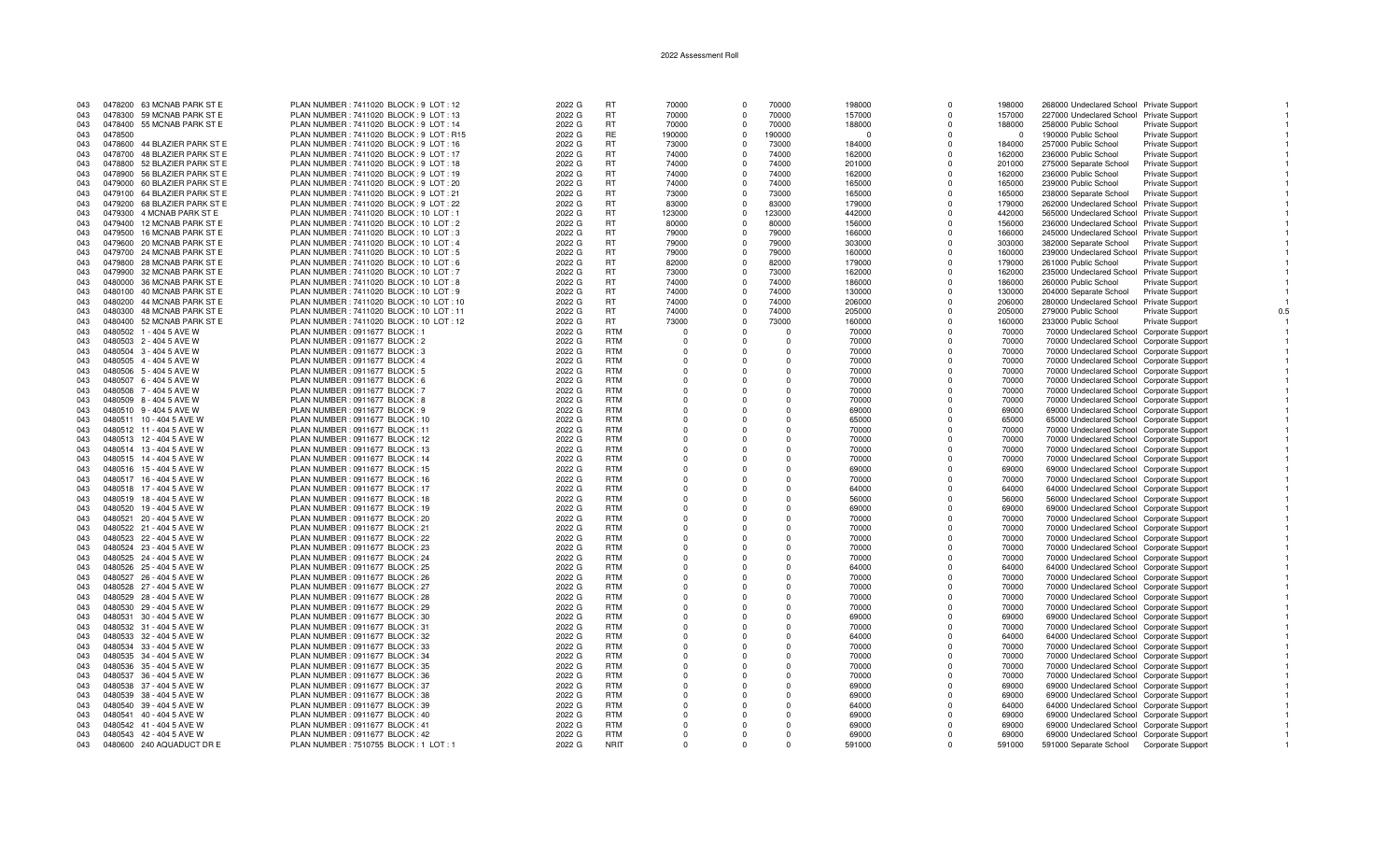| 043 |         | 0478200 63 MCNAB PARK ST E   | PLAN NUMBER: 7411020 BLOCK: 9 LOT: 12     | 2022 G | <b>RT</b>   | 70000    | $\Omega$   | 70000    | 198000   | $\Omega$     | 198000   | 268000 Undeclared School Private Support  |                        |
|-----|---------|------------------------------|-------------------------------------------|--------|-------------|----------|------------|----------|----------|--------------|----------|-------------------------------------------|------------------------|
| 043 |         | 0478300 59 MCNAB PARK ST E   | PLAN NUMBER: 7411020 BLOCK: 9 LOT: 13     | 2022 G | <b>RT</b>   | 70000    |            | 70000    | 157000   | $\Omega$     | 157000   | 227000 Undeclared School Private Support  |                        |
|     |         |                              |                                           |        |             |          |            |          |          |              |          |                                           |                        |
| 043 |         | 0478400 55 MCNAB PARK ST E   | PLAN NUMBER : 7411020 BLOCK : 9 LOT : 14  | 2022 G | <b>RT</b>   | 70000    | $\Omega$   | 70000    | 188000   | $\mathbf 0$  | 188000   | 258000 Public School                      | Private Support        |
| 043 | 0478500 |                              | PLAN NUMBER: 7411020 BLOCK: 9 LOT: R15    | 2022 G | RE          | 190000   | $\Omega$   | 190000   | $\Omega$ | $\Omega$     | $\Omega$ | 190000 Public School                      | Private Support        |
| 043 |         | 0478600 44 BLAZIER PARK ST E | PLAN NUMBER: 7411020 BLOCK: 9 LOT: 16     | 2022 G | <b>RT</b>   | 73000    | $\Omega$   | 73000    | 184000   | $\Omega$     | 184000   | 257000 Public School                      | Private Support        |
|     |         |                              |                                           |        |             |          |            |          |          |              |          |                                           |                        |
| 043 |         | 0478700 48 BLAZIER PARK ST E | PLAN NUMBER : 7411020 BLOCK : 9 LOT : 17  | 2022 G | <b>RT</b>   | 74000    | $\Omega$   | 74000    | 162000   | $\Omega$     | 162000   | 236000 Public School                      | Private Support        |
| 043 |         | 0478800 52 BLAZIER PARK ST E | PLAN NUMBER: 7411020 BLOCK: 9 LOT: 18     | 2022 G | <b>RT</b>   | 74000    | $\Omega$   | 74000    | 201000   | $\Omega$     | 201000   | 275000 Separate School                    | <b>Private Support</b> |
| 043 |         | 0478900 56 BLAZIER PARK ST E | PLAN NUMBER: 7411020 BLOCK: 9 LOT: 19     | 2022 G | <b>RT</b>   | 74000    | $\Omega$   | 74000    | 162000   | $\Omega$     | 162000   | 236000 Public School                      | <b>Private Support</b> |
|     |         |                              |                                           |        |             |          |            |          |          |              |          |                                           |                        |
| 043 |         | 0479000 60 BLAZIER PARK ST E | PLAN NUMBER: 7411020 BLOCK: 9 LOT: 20     | 2022 G | <b>RT</b>   | 74000    | $\Omega$   | 74000    | 165000   | $\Omega$     | 165000   | 239000 Public School                      | <b>Private Support</b> |
| 043 |         | 0479100 64 BLAZIER PARK ST E | PLAN NUMBER : 7411020 BLOCK : 9 LOT : 21  | 2022 G | <b>RT</b>   | 73000    | $\Omega$   | 73000    | 165000   | $\Omega$     | 165000   | 238000 Separate School                    | <b>Private Support</b> |
|     |         |                              |                                           |        | <b>RT</b>   | 83000    | $\Omega$   | 83000    |          | $\Omega$     |          |                                           |                        |
| 043 |         | 0479200 68 BLAZIER PARK ST E | PLAN NUMBER : 7411020 BLOCK : 9 LOT : 22  | 2022 G |             |          |            |          | 179000   |              | 179000   | 262000 Undeclared School Private Support  |                        |
| 043 |         | 0479300 4 MCNAB PARK ST E    | PLAN NUMBER : 7411020 BLOCK : 10 LOT : 1  | 2022 G | <b>RT</b>   | 123000   | $\Omega$   | 123000   | 442000   | $\Omega$     | 442000   | 565000 Undeclared School Private Support  |                        |
| 043 |         | 0479400 12 MCNAB PARK ST E   | PLAN NUMBER: 7411020 BLOCK: 10 LOT: 2     | 2022 G | <b>RT</b>   | 80000    | $\Omega$   | 80000    | 156000   | $\Omega$     | 156000   | 236000 Undeclared School Private Support  |                        |
|     |         |                              |                                           |        |             |          |            |          |          |              |          |                                           |                        |
| 043 |         | 0479500 16 MCNAB PARK ST E   | PLAN NUMBER: 7411020 BLOCK: 10 LOT: 3     | 2022 G | <b>RT</b>   | 79000    |            | 79000    | 166000   | $\Omega$     | 166000   | 245000 Undeclared School Private Support  |                        |
| 043 |         | 0479600 20 MCNAB PARK ST E   | PLAN NUMBER: 7411020 BLOCK: 10 LOT: 4     | 2022 G | <b>RT</b>   | 79000    | $\Omega$   | 79000    | 303000   | $\Omega$     | 303000   | 382000 Separate School Private Support    |                        |
| 043 |         | 0479700 24 MCNAB PARK ST E   | PLAN NUMBER: 7411020 BLOCK: 10 LOT: 5     | 2022 G | <b>RT</b>   | 79000    | $\Omega$   | 79000    | 160000   | $\Omega$     | 160000   | 239000 Undeclared School Private Support  |                        |
|     |         |                              |                                           |        |             |          |            |          |          |              |          |                                           |                        |
| 043 |         | 0479800 28 MCNAB PARK ST E   | PLAN NUMBER: 7411020 BLOCK: 10 LOT: 6     | 2022 G | <b>RT</b>   | 82000    | $\Omega$   | 82000    | 179000   | $\Omega$     | 179000   | 261000 Public School                      | Private Support        |
| 043 |         | 0479900 32 MCNAB PARK ST E   | PLAN NUMBER: 7411020 BLOCK: 10 LOT: 7     | 2022 G | <b>RT</b>   | 73000    | $\Omega$   | 73000    | 162000   | $\Omega$     | 162000   | 235000 Undeclared School Private Support  |                        |
| 043 |         | 0480000 36 MCNAB PARK ST E   | PLAN NUMBER : 7411020 BLOCK : 10 LOT : 8  | 2022 G | <b>RT</b>   | 74000    | $\Omega$   | 74000    | 186000   | $\Omega$     | 186000   | 260000 Public School                      | Private Support        |
|     |         |                              |                                           |        |             |          |            |          |          |              |          |                                           |                        |
| 043 |         | 0480100 40 MCNAB PARK ST E   | PLAN NUMBER: 7411020 BLOCK: 10 LOT: 9     | 2022 G | <b>RT</b>   | 74000    | $\Omega$   | 74000    | 130000   | $\mathbf 0$  | 130000   | 204000 Separate School                    | <b>Private Support</b> |
| 043 |         | 0480200 44 MCNAB PARK ST E   | PLAN NUMBER: 7411020 BLOCK: 10 LOT: 10    | 2022 G | <b>RT</b>   | 74000    | $\Omega$   | 74000    | 206000   | $\Omega$     | 206000   | 280000 Undeclared School Private Support  |                        |
|     |         |                              |                                           |        |             |          |            |          |          | $\Omega$     |          |                                           |                        |
| 043 |         | 0480300 48 MCNAB PARK ST E   | PLAN NUMBER : 7411020 BLOCK : 10 LOT : 11 | 2022 G | <b>RT</b>   | 74000    | $^{\circ}$ | 74000    | 205000   |              | 205000   | 279000 Public School                      | <b>Private Support</b> |
| 043 |         | 0480400 52 MCNAB PARK ST E   | PLAN NUMBER : 7411020 BLOCK : 10 LOT : 12 | 2022 G | RT.         | 73000    | $\Omega$   | 73000    | 160000   | $\Omega$     | 160000   | 233000 Public School                      | Private Support        |
| 043 |         | 0480502 1 - 404 5 AVE W      | PLAN NUMBER : 0911677 BLOCK : 1           | 2022 G | <b>RTM</b>  | $\Omega$ |            | $\Omega$ | 70000    | $\Omega$     | 70000    | 70000 Undeclared School Corporate Support |                        |
|     |         |                              |                                           |        |             |          |            |          |          |              |          |                                           |                        |
| 043 |         | 0480503 2 - 404 5 AVE W      | PLAN NUMBER : 0911677 BLOCK : 2           | 2022 G | <b>RTM</b>  | $\Omega$ |            | $\Omega$ | 70000    | $\Omega$     | 70000    | 70000 Undeclared School Corporate Support |                        |
| 043 |         | 0480504 3 - 404 5 AVE W      | PLAN NUMBER : 0911677 BLOCK : 3           | 2022 G | <b>RTM</b>  | $\Omega$ | $\cap$     | $\Omega$ | 70000    | $\Omega$     | 70000    | 70000 Undeclared School Corporate Support |                        |
| 043 |         | 0480505 4 - 404 5 AVE W      | PLAN NUMBER : 0911677 BLOCK : 4           | 2022 G | <b>RTM</b>  | $\Omega$ |            | $\Omega$ | 70000    | $\Omega$     | 70000    | 70000 Undeclared School Corporate Support |                        |
|     |         |                              |                                           |        |             |          |            |          |          |              |          |                                           |                        |
| 043 |         | 0480506 5 - 404 5 AVE W      | PLAN NUMBER : 0911677 BLOCK : 5           | 2022 G | <b>RTM</b>  | $\Omega$ |            | $\Omega$ | 70000    | $\Omega$     | 70000    | 70000 Undeclared School Corporate Support |                        |
| 043 |         | 0480507 6 - 404 5 AVE W      | PLAN NUMBER : 0911677 BLOCK : 6           | 2022 G | <b>RTM</b>  | $\Omega$ |            | $\Omega$ | 70000    | $\Omega$     | 70000    | 70000 Undeclared School Corporate Support |                        |
| 043 |         | 0480508 7 - 404 5 AVE W      | PLAN NUMBER : 0911677 BLOCK : 7           | 2022 G | <b>RTM</b>  | $\Omega$ |            | $\Omega$ | 70000    | $\Omega$     | 70000    |                                           |                        |
|     |         |                              |                                           |        |             |          |            |          |          |              |          | 70000 Undeclared School Corporate Support |                        |
| 043 |         | 0480509 8 - 404 5 AVE W      | PLAN NUMBER : 0911677 BLOCK : 8           | 2022 G | <b>RTM</b>  | $\Omega$ | $\Omega$   | $\Omega$ | 70000    | $\Omega$     | 70000    | 70000 Undeclared School Corporate Support |                        |
| 043 |         | 0480510 9 - 404 5 AVE W      | PLAN NUMBER : 0911677 BLOCK : 9           | 2022 G | <b>RTM</b>  | $\Omega$ | $\Omega$   | $\Omega$ | 69000    | $\Omega$     | 69000    | 69000 Undeclared School Corporate Support |                        |
|     |         |                              |                                           |        |             | $\Omega$ |            |          |          | $\Omega$     |          |                                           |                        |
| 043 |         | 0480511 10 - 404 5 AVE W     | PLAN NUMBER : 0911677 BLOCK : 10          | 2022 G | <b>RTM</b>  |          | $\Omega$   | $\Omega$ | 65000    |              | 65000    | 65000 Undeclared School Corporate Support |                        |
| 043 |         | 0480512 11 - 404 5 AVE W     | PLAN NUMBER: 0911677 BLOCK: 11            | 2022 G | <b>RTM</b>  | $\Omega$ | $\Omega$   | $\Omega$ | 70000    | $\Omega$     | 70000    | 70000 Undeclared School Corporate Support |                        |
| 043 |         | 0480513 12 - 404 5 AVE W     | PLAN NUMBER : 0911677 BLOCK : 12          | 2022 G | <b>RTM</b>  |          |            | $\Omega$ | 70000    | $\Omega$     | 70000    | 70000 Undeclared School Corporate Support |                        |
|     |         |                              |                                           |        |             |          |            |          |          |              |          |                                           |                        |
| 043 |         | 0480514 13 - 404 5 AVE W     | PLAN NUMBER : 0911677 BLOCK : 13          | 2022 G | <b>RTM</b>  | $\Omega$ |            | $\Omega$ | 70000    | $\Omega$     | 70000    | 70000 Undeclared School Corporate Support |                        |
| 043 |         | 0480515 14 - 404 5 AVE W     | PLAN NUMBER : 0911677 BLOCK : 14          | 2022 G | <b>RTM</b>  | $\Omega$ |            | $\Omega$ | 70000    | $\Omega$     | 70000    | 70000 Undeclared School Corporate Support |                        |
| 043 |         | 0480516 15 - 404 5 AVE W     | PLAN NUMBER : 0911677 BLOCK : 15          | 2022 G | <b>RTM</b>  | $\Omega$ | $\Omega$   | $\Omega$ | 69000    | $\Omega$     | 69000    | 69000 Undeclared School Corporate Support |                        |
|     |         |                              |                                           |        |             |          |            |          |          |              |          |                                           |                        |
| 043 |         | 0480517 16 - 404 5 AVE W     | PLAN NUMBER : 0911677 BLOCK : 16          | 2022 G | <b>RTM</b>  |          |            | $\Omega$ | 70000    | $\Omega$     | 70000    | 70000 Undeclared School Corporate Support |                        |
| 043 |         | 0480518 17 - 404 5 AVE W     | PLAN NUMBER : 0911677 BLOCK : 17          | 2022 G | <b>RTM</b>  | $\Omega$ | $\Omega$   | $\Omega$ | 64000    | $\Omega$     | 64000    | 64000 Undeclared School Corporate Support |                        |
| 043 |         | 0480519 18 - 404 5 AVE W     | PLAN NUMBER : 0911677 BLOCK : 18          | 2022 G | <b>RTM</b>  | $\Omega$ | $\Omega$   | $\Omega$ | 56000    | $\Omega$     | 56000    | 56000 Undeclared School Corporate Support |                        |
|     |         |                              |                                           |        |             |          |            |          |          |              |          |                                           |                        |
| 043 |         | 0480520 19 - 404 5 AVE W     | PLAN NUMBER : 0911677 BLOCK : 19          | 2022 G | <b>RTM</b>  | $\Omega$ | $\Omega$   | $\Omega$ | 69000    | $\Omega$     | 69000    | 69000 Undeclared School Corporate Support |                        |
| 043 |         | 0480521 20 - 404 5 AVE W     | PLAN NUMBER : 0911677 BLOCK : 20          | 2022 G | <b>RTM</b>  | $\Omega$ |            | $\Omega$ | 70000    | O            | 70000    | 70000 Undeclared School Corporate Support |                        |
| 043 |         | 0480522 21 - 404 5 AVE W     | PLAN NUMBER : 0911677 BLOCK : 21          | 2022 G | <b>RTM</b>  | $\Omega$ |            | $\Omega$ | 70000    | <sup>n</sup> | 70000    |                                           |                        |
|     |         |                              |                                           |        |             |          |            |          |          |              |          | 70000 Undeclared School Corporate Support |                        |
| 043 |         | 0480523 22 - 404 5 AVE W     | PLAN NUMBER : 0911677 BLOCK : 22          | 2022 G | <b>RTM</b>  | $\Omega$ |            | $\Omega$ | 70000    | $\Omega$     | 70000    | 70000 Undeclared School Corporate Support |                        |
| 043 |         | 0480524 23 - 404 5 AVE W     | PLAN NUMBER : 0911677 BLOCK : 23          | 2022 G | <b>RTM</b>  | $\Omega$ | $\Omega$   | $\Omega$ | 70000    | $\Omega$     | 70000    | 70000 Undeclared School Corporate Support |                        |
|     |         |                              |                                           |        | <b>RTM</b>  |          |            |          |          |              |          |                                           |                        |
| 043 |         | 0480525 24 - 404 5 AVE W     | PLAN NUMBER : 0911677 BLOCK : 24          | 2022 G |             |          |            | $\Omega$ | 70000    | $\Omega$     | 70000    | 70000 Undeclared School Corporate Support |                        |
| 043 |         | 0480526 25 - 404 5 AVE W     | PLAN NUMBER : 0911677 BLOCK : 25          | 2022 G | <b>RTM</b>  | $\Omega$ | $\Omega$   | $\Omega$ | 64000    | $\Omega$     | 64000    | 64000 Undeclared School Corporate Support |                        |
| 043 |         | 0480527 26 - 404 5 AVE W     | PLAN NUMBER : 0911677 BLOCK : 26          | 2022 G | <b>RTM</b>  | $\Omega$ | $\Omega$   | $\Omega$ | 70000    | $\Omega$     | 70000    | 70000 Undeclared School Corporate Support |                        |
|     |         |                              |                                           |        |             |          |            |          |          |              |          |                                           |                        |
| 043 |         | 0480528 27 - 404 5 AVE W     | PLAN NUMBER : 0911677 BLOCK : 27          | 2022 G | <b>RTM</b>  | $\Omega$ | $\Omega$   | $\Omega$ | 70000    | $\Omega$     | 70000    | 70000 Undeclared School Corporate Support |                        |
| 043 |         | 0480529 28 - 404 5 AVE W     | PLAN NUMBER : 0911677 BLOCK : 28          | 2022 G | <b>RTM</b>  | $\Omega$ | $\Omega$   | $\Omega$ | 70000    | $\Omega$     | 70000    | 70000 Undeclared School Corporate Support |                        |
| 043 |         | 0480530 29 - 404 5 AVE W     | PLAN NUMBER : 0911677 BLOCK : 29          | 2022 G | <b>RTM</b>  | $\Omega$ |            | $\Omega$ | 70000    | $\Omega$     | 70000    | 70000 Undeclared School Corporate Support |                        |
|     |         |                              |                                           |        |             |          |            |          |          |              |          |                                           |                        |
| 043 |         | 0480531 30 - 404 5 AVE W     | PLAN NUMBER : 0911677 BLOCK : 30          | 2022 G | <b>RTM</b>  | $\Omega$ |            | $\Omega$ | 69000    | $\Omega$     | 69000    | 69000 Undeclared School Corporate Support |                        |
| 043 |         | 0480532 31 - 404 5 AVE W     | PLAN NUMBER : 0911677 BLOCK : 31          | 2022 G | <b>RTM</b>  | $\Omega$ | $\Omega$   | $\Omega$ | 70000    | $\Omega$     | 70000    | 70000 Undeclared School Corporate Support |                        |
|     |         |                              |                                           |        | <b>RTM</b>  | $\Omega$ |            | $\Omega$ |          | $\Omega$     |          |                                           |                        |
| 043 |         | 0480533 32 - 404 5 AVE W     | PLAN NUMBER : 0911677 BLOCK : 32          | 2022 G |             |          |            |          | 64000    |              | 64000    | 64000 Undeclared School Corporate Support |                        |
| 043 |         | 0480534 33 - 404 5 AVE W     | PLAN NUMBER: 0911677 BLOCK: 33            | 2022 G | <b>RTM</b>  | $\Omega$ | $\Omega$   | $\Omega$ | 70000    | $\Omega$     | 70000    | 70000 Undeclared School Corporate Support |                        |
| 043 |         | 0480535 34 - 404 5 AVE W     | PLAN NUMBER : 0911677 BLOCK : 34          | 2022 G | <b>RTM</b>  | $\Omega$ | $\Omega$   | $\Omega$ | 70000    | $\Omega$     | 70000    | 70000 Undeclared School Corporate Support |                        |
| 043 |         | 0480536 35 - 404 5 AVE W     |                                           |        | <b>RTM</b>  | $\Omega$ | $\Omega$   | $\Omega$ |          | $\Omega$     |          |                                           |                        |
|     |         |                              | PLAN NUMBER : 0911677 BLOCK : 35          | 2022 G |             |          |            |          | 70000    |              | 70000    | 70000 Undeclared School Corporate Support |                        |
| 043 |         | 0480537 36 - 404 5 AVE W     | PLAN NUMBER : 0911677 BLOCK : 36          | 2022 G | <b>RTM</b>  | $\Omega$ | $\cap$     | $\Omega$ | 70000    | O            | 70000    | 70000 Undeclared School Corporate Support |                        |
| 043 |         | 0480538 37 - 404 5 AVE W     | PLAN NUMBER : 0911677 BLOCK : 37          | 2022 G | <b>RTM</b>  | $\Omega$ |            | $\Omega$ | 69000    | $\Omega$     | 69000    | 69000 Undeclared School Corporate Support |                        |
| 043 |         | 0480539 38 - 404 5 AVE W     | PLAN NUMBER : 0911677 BLOCK : 38          | 2022 G | <b>RTM</b>  | $\Omega$ |            | $\Omega$ | 69000    | $\Omega$     | 69000    | 69000 Undeclared School Corporate Support |                        |
|     |         |                              |                                           |        |             |          |            |          |          |              |          |                                           |                        |
| 043 |         | 0480540 39 - 404 5 AVE W     | PLAN NUMBER : 0911677 BLOCK : 39          | 2022 G | <b>RTM</b>  | $\Omega$ |            | $\Omega$ | 64000    | $\Omega$     | 64000    | 64000 Undeclared School Corporate Support |                        |
| 043 |         | 0480541 40 - 404 5 AVE W     | PLAN NUMBER : 0911677 BLOCK : 40          | 2022 G | <b>RTM</b>  | $\Omega$ |            | $\Omega$ | 69000    | n            | 69000    | 69000 Undeclared School Corporate Support |                        |
|     |         | 0480542 41 - 404 5 AVE W     | PLAN NUMBER : 0911677 BLOCK : 41          | 2022 G | <b>RTM</b>  | $\Omega$ |            | $\Omega$ |          |              | 69000    | 69000 Undeclared School Corporate Support |                        |
| 043 |         |                              |                                           |        |             |          | $\Omega$   |          | 69000    |              |          |                                           |                        |
| 043 |         | 0480543 42 - 404 5 AVE W     | PLAN NUMBER : 0911677 BLOCK : 42          | 2022 G | <b>RTM</b>  | $\Omega$ | $\Omega$   | $\Omega$ | 69000    | $\Omega$     | 69000    | 69000 Undeclared School Corporate Support |                        |
| 043 |         | 0480600 240 AQUADUCT DR E    | PLAN NUMBER: 7510755 BLOCK: 1 LOT: 1      | 2022 G | <b>NRIT</b> | $\Omega$ | $\Omega$   | $\Omega$ | 591000   | $\Omega$     | 591000   | 591000 Separate School Corporate Support  |                        |
|     |         |                              |                                           |        |             |          |            |          |          |              |          |                                           |                        |

 $\overline{1}$ 

 $\overline{1}$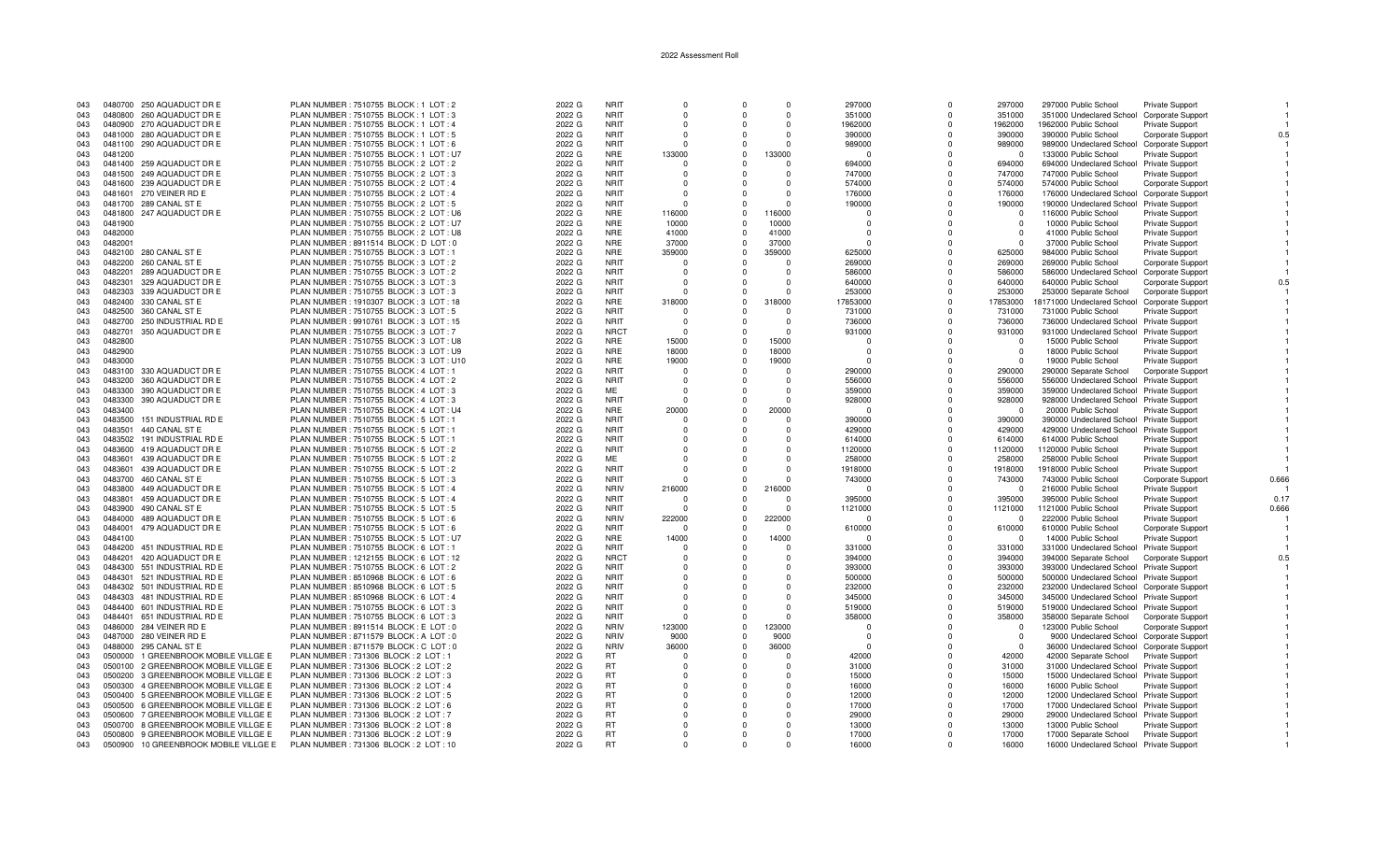| 043 | 0480700 250 AQUADUCT DR E                | PLAN NUMBER: 7510755 BLOCK: 1 LOT: 2     | 2022 G | <b>NRIT</b> | $\Omega$ |             | $\Omega$ | 297000   |          | 297000                  | 297000 Public School<br><b>Private Support</b>  |                            |
|-----|------------------------------------------|------------------------------------------|--------|-------------|----------|-------------|----------|----------|----------|-------------------------|-------------------------------------------------|----------------------------|
| 043 | 0480800 260 AQUADUCT DR E                | PLAN NUMBER : 7510755 BLOCK : 1 LOT : 3  | 2022 G | <b>NRIT</b> | $\Omega$ | $\Omega$    | $\Omega$ | 351000   | $\Omega$ | 351000                  | 351000 Undeclared School                        | <b>Corporate Support</b>   |
| 043 | 0480900 270 AQUADUCT DR E                | PLAN NUMBER: 7510755 BLOCK: 1 LOT: 4     | 2022 G | <b>NRIT</b> | $\Omega$ |             | $\Omega$ | 1962000  |          | 1962000                 | 1962000 Public School<br><b>Private Support</b> |                            |
| 043 | 0481000 280 AQUADUCT DR E                | PLAN NUMBER: 7510755 BLOCK: 1 LOT: 5     | 2022 G | <b>NRIT</b> | $\Omega$ |             | $\Omega$ | 390000   |          | 390000                  | 390000 Public School                            | Corporate Support<br>0.5   |
|     |                                          |                                          |        |             |          |             |          |          |          |                         |                                                 |                            |
| 043 | 0481100 290 AQUADUCT DR E                | PLAN NUMBER: 7510755 BLOCK: 1 LOT: 6     | 2022 G | <b>NRIT</b> | $\Omega$ | $\Omega$    | $\Omega$ | 989000   | $\Omega$ | 989000                  | 989000 Undeclared School Corporate Support      |                            |
| 043 | 0481200                                  | PLAN NUMBER: 7510755 BLOCK: 1 LOT: U7    | 2022 G | <b>NRE</b>  | 133000   | $\Omega$    | 133000   |          |          | $^{\circ}$              | 133000 Public School<br><b>Private Support</b>  |                            |
| 043 | 0481400 259 AQUADUCT DR E                | PLAN NUMBER: 7510755 BLOCK: 2 LOT: 2     | 2022 G | <b>NRIT</b> | $\Omega$ | $\Omega$    | $\Omega$ | 694000   | $\cap$   | 694000                  | 694000 Undeclared School Private Support        |                            |
| 043 | 0481500 249 AQUADUCT DR E                | PLAN NUMBER : 7510755 BLOCK : 2 LOT : 3  | 2022 G | <b>NRIT</b> | - 0      |             | $\Omega$ | 747000   |          | 747000                  | 747000 Public School<br><b>Private Support</b>  |                            |
| 043 | 0481600 239 AQUADUCT DR E                | PLAN NUMBER: 7510755 BLOCK: 2 LOT: 4     | 2022 G | <b>NRIT</b> | $\Omega$ |             | $\Omega$ | 574000   |          | 574000                  | 574000 Public School                            | Corporate Support          |
| 043 | 0481601 270 VEINER RD E                  | PLAN NUMBER : 7510755 BLOCK : 2 LOT : 4  | 2022 G | <b>NRIT</b> | $\Omega$ |             | $\Omega$ | 176000   |          | 176000                  | 176000 Undeclared School Corporate Support      |                            |
| 043 | 0481700 289 CANAL ST E                   | PLAN NUMBER : 7510755 BLOCK : 2 LOT : 5  | 2022 G | <b>NRIT</b> | $\Omega$ | $\Omega$    |          | 190000   |          | 190000                  | 190000 Undeclared School Private Support        |                            |
|     |                                          |                                          |        |             |          |             |          |          |          |                         |                                                 |                            |
| 043 | 247 AQUADUCT DR E<br>0481800             | PLAN NUMBER : 7510755 BLOCK : 2 LOT : U6 | 2022 G | <b>NRE</b>  | 116000   | $\Omega$    | 116000   |          |          | $\Omega$                | 116000 Public School<br><b>Private Support</b>  |                            |
| 043 | 0481900                                  | PLAN NUMBER: 7510755 BLOCK: 2 LOT: U7    | 2022 G | <b>NRE</b>  | 10000    | $\Omega$    | 10000    | $\Omega$ | $\Omega$ | $\Omega$                | 10000 Public School<br><b>Private Support</b>   |                            |
| 043 | 0482000                                  | PLAN NUMBER: 7510755 BLOCK: 2 LOT: U8    | 2022 G | <b>NRE</b>  | 41000    |             | 41000    |          |          | - 0                     | 41000 Public School<br>Private Support          |                            |
| 043 | 0482001                                  | PLAN NUMBER: 8911514 BLOCK: D LOT: 0     | 2022 G | <b>NRE</b>  | 37000    | $\Omega$    | 37000    | $\Omega$ |          | $\Omega$                | 37000 Public School<br>Private Support          |                            |
| 043 | 0482100 280 CANAL ST E                   | PLAN NUMBER: 7510755 BLOCK: 3 LOT: 1     | 2022 G | <b>NRE</b>  | 359000   | $\Omega$    | 359000   | 625000   |          | 625000                  | 984000 Public School<br><b>Private Support</b>  |                            |
| 043 | 0482200<br>260 CANAL ST E                | PLAN NUMBER : 7510755 BLOCK : 3 LOT : 2  | 2022 G | <b>NRIT</b> | $\Omega$ | $\Omega$    | $\Omega$ | 269000   |          | 269000                  | 269000 Public School                            | <b>Corporate Support</b>   |
| 043 | 0482201<br>289 AQUADUCT DR E             | PLAN NUMBER: 7510755 BLOCK: 3 LOT: 2     | 2022 G | <b>NRIT</b> | - 0      |             | $\Omega$ | 586000   |          | 586000                  | 586000 Undeclared School                        | <b>Corporate Support</b>   |
|     |                                          |                                          |        |             |          |             |          |          |          |                         |                                                 |                            |
| 043 | 0482301<br>329 AQUADUCT DR E             | PLAN NUMBER: 7510755 BLOCK: 3 LOT: 3     | 2022 G | <b>NRIT</b> | $\Omega$ |             | $\Omega$ | 640000   |          | 640000                  | 640000 Public School                            | Corporate Support<br>0.5   |
| 043 | 0482303<br>339 AQUADUCT DR E             | PLAN NUMBER : 7510755 BLOCK : 3 LOT : 3  | 2022 G | <b>NRIT</b> |          |             | $\Omega$ | 253000   |          | 253000                  | 253000 Separate School                          | <b>Corporate Support</b>   |
| 043 | 0482400 330 CANAL ST E                   | PLAN NUMBER : 1910307 BLOCK : 3 LOT : 18 | 2022 G | <b>NRE</b>  | 318000   | $\Omega$    | 318000   | 17853000 | $\Omega$ | 17853000                | 18171000 Undeclared School                      | Corporate Support          |
| 043 | 0482500<br>360 CANAL ST E                | PLAN NUMBER : 7510755 BLOCK : 3 LOT : 5  | 2022 G | <b>NRIT</b> |          |             | $\Omega$ | 731000   |          | 731000                  | 731000 Public School<br><b>Private Support</b>  |                            |
| 043 | 250 INDUSTRIAL RD E<br>0482700           | PLAN NUMBER: 9910761 BLOCK: 3 LOT: 15    | 2022 G | <b>NRIT</b> | - 0      | $\Omega$    | $\Omega$ | 736000   | $\Omega$ | 736000                  | 736000 Undeclared School Private Support        |                            |
| 043 | 350 AQUADUCT DR E<br>0482701             | PLAN NUMBER: 7510755 BLOCK: 3 LOT: 7     | 2022 G | <b>NRCT</b> | $\Omega$ | $\Omega$    |          | 931000   | - 0      | 931000                  | 931000 Undeclared School Private Support        |                            |
| 043 | 0482800                                  | PLAN NUMBER: 7510755 BLOCK: 3 LOT: U8    | 2022 G | <b>NRE</b>  | 15000    | $\Omega$    | 15000    |          | n        | $\Omega$                | 15000 Public School<br>Private Support          |                            |
|     |                                          |                                          |        |             |          |             |          |          |          |                         |                                                 |                            |
| 043 | 0482900                                  | PLAN NUMBER: 7510755 BLOCK: 3 LOT: U9    | 2022 G | <b>NRE</b>  | 18000    | $\Omega$    | 18000    |          |          | $\Omega$                | 18000 Public School<br>Private Support          |                            |
| 043 | 0483000                                  | PLAN NUMBER: 7510755 BLOCK: 3 LOT: U10   | 2022 G | <b>NRE</b>  | 19000    | $\Omega$    | 19000    | $\Omega$ |          | $^{\circ}$              | 19000 Public School<br>Private Support          |                            |
| 043 | 330 AQUADUCT DR E<br>0483100             | PLAN NUMBER: 7510755 BLOCK: 4 LOT: 1     | 2022 G | <b>NRIT</b> | $\Omega$ | $\Omega$    | $\Omega$ | 290000   |          | 290000                  | 290000 Separate School                          | Corporate Support          |
| 043 | 360 AQUADUCT DR E<br>0483200             | PLAN NUMBER : 7510755 BLOCK : 4 LOT : 2  | 2022 G | <b>NRIT</b> | - 0      |             | $\Omega$ | 556000   |          | 556000                  | 556000 Undeclared School Private Support        |                            |
| 043 | 390 AQUADUCT DR E<br>0483300             | PLAN NUMBER : 7510755 BLOCK : 4 LOT : 3  | 2022 G | ME          | $\Omega$ |             | $\Omega$ | 359000   |          | 359000                  | 359000 Undeclared School Private Support        |                            |
| 043 | 0483300<br>390 AQUADUCT DR E             | PLAN NUMBER : 7510755 BLOCK : 4 LOT : 3  | 2022 G | <b>NRIT</b> | $\Omega$ | $\Omega$    | $\Omega$ | 928000   | $\Omega$ | 928000                  | 928000 Undeclared School Private Support        |                            |
| 043 | 0483400                                  |                                          |        | <b>NRE</b>  |          | $\Omega$    | 20000    |          |          | $\overline{0}$          |                                                 |                            |
|     |                                          | PLAN NUMBER: 7510755 BLOCK: 4 LOT: U4    | 2022 G |             | 20000    |             |          |          |          |                         | 20000 Public School<br>Private Support          |                            |
| 043 | 0483500<br>151 INDUSTRIAL RD E           | PLAN NUMBER: 7510755 BLOCK: 5 LOT: 1     | 2022 G | <b>NRIT</b> |          | $\Omega$    | n        | 390000   |          | 390000                  | 390000 Undeclared School Private Support        |                            |
| 043 | 440 CANAL ST E<br>0483501                | PLAN NUMBER : 7510755 BLOCK : 5 LOT : 1  | 2022 G | <b>NRIT</b> |          |             |          | 429000   |          | 429000                  | 429000 Undeclared School Private Support        |                            |
| 043 | 0483502<br>191 INDUSTRIAL RD E           | PLAN NUMBER: 7510755 BLOCK: 5 LOT: 1     | 2022 G | <b>NRIT</b> | $\Omega$ |             | n        | 614000   |          | 614000                  | 614000 Public School<br><b>Private Support</b>  |                            |
| 043 | 0483600<br>419 AQUADUCT DR E             | PLAN NUMBER: 7510755 BLOCK: 5 LOT: 2     | 2022 G | <b>NRIT</b> | $\Omega$ |             | $\Omega$ | 1120000  | $\Omega$ | 1120000                 | 1120000 Public School<br>Private Support        |                            |
| 043 | 0483601<br>439 AQUADUCT DR E             | PLAN NUMBER : 7510755 BLOCK : 5 LOT : 2  | 2022 G | ME          |          |             | $\Omega$ | 258000   |          | 258000                  | Private Support<br>258000 Public School         |                            |
| 043 | 0483601<br>439 AQUADUCT DR E             | PLAN NUMBER : 7510755 BLOCK : 5 LOT : 2  | 2022 G | <b>NRIT</b> |          | $\Omega$    | $\Omega$ | 1918000  | $\Omega$ | 1918000                 | 1918000 Public School<br>Private Support        |                            |
|     |                                          |                                          | 2022 G | <b>NRIT</b> |          |             | n        |          |          |                         |                                                 |                            |
| 043 | 0483700<br>460 CANAL ST E                | PLAN NUMBER : 7510755 BLOCK : 5 LOT : 3  |        |             |          |             |          | 743000   |          | 743000                  | 743000 Public School                            | 0.666<br>Corporate Support |
| 043 | 0483800<br>449 AQUADUCT DR E             | PLAN NUMBER: 7510755 BLOCK: 5 LOT: 4     | 2022 G | <b>NRIV</b> | 216000   | $\Omega$    | 216000   |          | $\Omega$ | $\overline{0}$          | 216000 Public School<br><b>Private Support</b>  |                            |
| 043 | 0483801<br>459 AQUADUCT DR E             | PLAN NUMBER : 7510755 BLOCK : 5 LOT : 4  | 2022 G | <b>NRIT</b> |          |             |          | 395000   |          | 395000                  | 395000 Public School<br><b>Private Support</b>  | 0.17                       |
| 043 | 0483900<br>490 CANAL ST E                | PLAN NUMBER: 7510755 BLOCK: 5 LOT: 5     | 2022 G | <b>NRIT</b> | $\Omega$ | $\Omega$    |          | 1121000  | $\Omega$ | 1121000                 | 1121000 Public School<br>Private Support        | 0.666                      |
| 043 | 0484000<br>489 AQUADUCT DR E             | PLAN NUMBER : 7510755 BLOCK : 5 LOT : 6  | 2022 G | <b>NRIV</b> | 222000   | $\Omega$    | 222000   |          |          | $^{\circ}$              | 222000 Public School<br><b>Private Support</b>  |                            |
| 043 | 0484001<br>479 AQUADUCT DR E             | PLAN NUMBER : 7510755 BLOCK : 5 LOT : 6  | 2022 G | <b>NRIT</b> | $\Omega$ | $\Omega$    | $\Omega$ | 610000   | $\Omega$ | 610000                  | 610000 Public School                            | Corporate Support          |
| 043 | 0484100                                  | PLAN NUMBER : 7510755 BLOCK : 5 LOT : U7 | 2022 G | <b>NRE</b>  | 14000    |             | 14000    |          |          | $\Omega$                | 14000 Public School<br><b>Private Support</b>   |                            |
|     | 0484200<br>451 INDUSTRIAL RD E           | PLAN NUMBER: 7510755 BLOCK: 6 LOT: 1     | 2022 G | <b>NRIT</b> | $\Omega$ | $\Omega$    | $\Omega$ | 331000   | $\Omega$ |                         |                                                 |                            |
| 043 |                                          |                                          |        |             |          |             |          |          |          | 331000                  | 331000 Undeclared School Private Support        |                            |
| 043 | 0484201<br>420 AQUADUCT DR E             | PLAN NUMBER: 1212155 BLOCK: 6 LOT: 12    | 2022 G | <b>NRCT</b> | $\Omega$ |             | $\Omega$ | 394000   |          | 394000                  | 394000 Separate School                          | Corporate Support<br>0.5   |
| 043 | 0484300<br>551 INDUSTRIAL RD E           | PLAN NUMBER : 7510755 BLOCK : 6 LOT : 2  | 2022 G | <b>NRIT</b> | $\Omega$ | $\Omega$    | $\Omega$ | 393000   |          | 393000                  | 393000 Undeclared School Private Support        |                            |
| 043 | 0484301<br>521 INDUSTRIAL RD E           | PLAN NUMBER : 8510968 BLOCK : 6 LOT : 6  | 2022 G | <b>NRIT</b> |          |             |          | 500000   |          | 500000                  | 500000 Undeclared School Private Support        |                            |
| 043 | 0484302 501 INDUSTRIAL RD E              | PLAN NUMBER : 8510968 BLOCK : 6 LOT : 5  | 2022 G | <b>NRIT</b> | n        |             | $\Omega$ | 232000   |          | 232000                  | 232000 Undeclared School Corporate Support      |                            |
| 043 | 0484303<br>481 INDUSTRIAL RD E           | PLAN NUMBER : 8510968 BLOCK : 6 LOT : 4  | 2022 G | <b>NRIT</b> | $\Omega$ |             | $\Omega$ | 345000   |          | 345000                  | 345000 Undeclared School Private Support        |                            |
| 043 | 0484400<br>601 INDUSTRIAL RD E           | PLAN NUMBER: 7510755 BLOCK: 6 LOT: 3     | 2022 G | <b>NRIT</b> | $\Omega$ |             | $\Omega$ | 519000   |          | 519000                  | 519000 Undeclared School Private Support        |                            |
|     |                                          |                                          |        | <b>NRIT</b> |          |             | $\Omega$ |          |          |                         |                                                 |                            |
| 043 | 0484401 651 INDUSTRIAL RD E              | PLAN NUMBER: 7510755 BLOCK: 6 LOT: 3     | 2022 G |             |          |             |          | 358000   |          | 358000                  | 358000 Separate School                          | <b>Corporate Support</b>   |
| 043 | 0486000 284 VEINER RD E                  | PLAN NUMBER : 8911514 BLOCK : E LOT : 0  | 2022 G | <b>NRIV</b> | 123000   | $\mathbf 0$ | 123000   | - 0      | $\cap$   | $\overline{\mathbf{0}}$ | 123000 Public School                            | Corporate Support          |
| 043 | 0487000 280 VEINER RD E                  | PLAN NUMBER: 8711579 BLOCK: A LOT: 0     | 2022 G | <b>NRIV</b> | 9000     | $\Omega$    | 9000     |          |          | $\Omega$                | 9000 Undeclared School Corporate Support        |                            |
| 043 | 0488000 295 CANAL ST E                   | PLAN NUMBER: 8711579 BLOCK: C LOT: 0     | 2022 G | <b>NRIV</b> | 36000    | $\Omega$    | 36000    | $\Omega$ |          | $\Omega$                | 36000 Undeclared School Corporate Support       |                            |
| 043 | 1 GREENBROOK MOBILE VILLGE E<br>0500000  | PLAN NUMBER: 731306 BLOCK: 2 LOT: 1      | 2022 G | <b>RT</b>   | $\Omega$ | $\Omega$    | n        | 42000    |          | 42000                   | 42000 Separate School Private Support           |                            |
| 043 | 2 GREENBROOK MOBILE VILLGE E<br>0500100  | PLAN NUMBER: 731306 BLOCK: 2 LOT: 2      | 2022 G | <b>RT</b>   | $\Omega$ |             | $\Omega$ | 31000    |          | 31000                   | 31000 Undeclared School Private Support         |                            |
| 043 | 3 GREENBROOK MOBILE VILLGE E<br>0500200  | PLAN NUMBER: 731306 BLOCK: 2 LOT: 3      | 2022 G | <b>RT</b>   |          |             |          | 15000    |          | 15000                   | 15000 Undeclared School Private Support         |                            |
|     |                                          |                                          |        | <b>RT</b>   | $\Omega$ |             | $\Omega$ | 16000    |          |                         |                                                 |                            |
| 043 | 0500300<br>4 GREENBROOK MOBILE VILLGE E  | PLAN NUMBER: 731306 BLOCK: 2 LOT: 4      | 2022 G |             |          |             |          |          |          | 16000                   | 16000 Public School<br>Private Support          |                            |
| 043 | 5 GREENBROOK MOBILE VILLGE E<br>0500400  | PLAN NUMBER : 731306 BLOCK : 2 LOT : 5   | 2022 G | RT          | $\Omega$ | $\Omega$    | $\Omega$ | 12000    |          | 12000                   | 12000 Undeclared School Private Support         |                            |
| 043 | 6 GREENBROOK MOBILE VILLGE E<br>0500500  | PLAN NUMBER : 731306 BLOCK : 2 LOT : 6   | 2022 G | <b>RT</b>   | $\Omega$ | $\Omega$    | $\Omega$ | 17000    |          | 17000                   | 17000 Undeclared School Private Support         |                            |
| 043 | 7 GREENBROOK MOBILE VILLGE E<br>0500600  | PLAN NUMBER: 731306 BLOCK: 2 LOT: 7      | 2022 G | <b>RT</b>   | $\Omega$ | $\Omega$    | $\Omega$ | 29000    |          | 29000                   | 29000 Undeclared School Private Support         |                            |
| 043 | 8 GREENBROOK MOBILE VILLGE E<br>0500700  | PLAN NUMBER: 731306 BLOCK: 2 LOT: 8      | 2022 G | <b>RT</b>   | $\Omega$ |             | $\Omega$ | 13000    |          | 13000                   | 13000 Public School<br>Private Support          |                            |
| 043 | 9 GREENBROOK MOBILE VILLGE E<br>0500800  | PLAN NUMBER: 731306 BLOCK: 2 LOT: 9      | 2022 G | <b>RT</b>   | $\Omega$ | $\Omega$    |          | 17000    |          | 17000                   | 17000 Separate School Private Support           |                            |
| 043 | 10 GREENBROOK MOBILE VILLGE E<br>0500900 | PLAN NUMBER : 731306 BLOCK : 2 LOT : 10  | 2022 G | <b>RT</b>   |          |             |          | 16000    |          | 16000                   | 16000 Undeclared School Private Support         |                            |
|     |                                          |                                          |        |             |          |             |          |          |          |                         |                                                 |                            |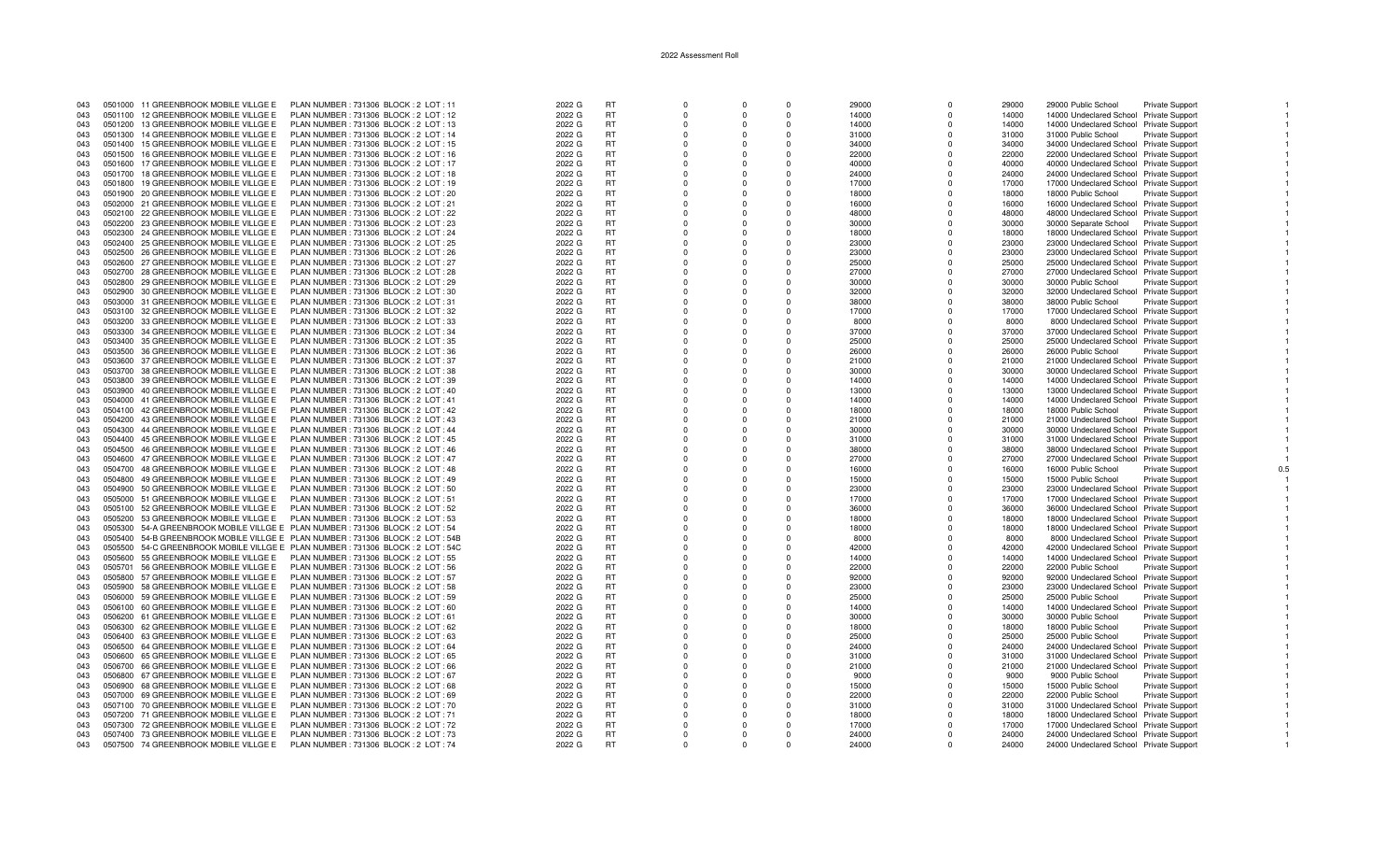| 043 |         | 0501000 11 GREENBROOK MOBILE VILLGE E | PLAN NUMBER: 731306 BLOCK: 2 LOT: 11                                             | 2022 G | <b>RT</b> | $\Omega$       | $\Omega$    | $\Omega$ | 29000 | $\Omega$ | 29000 | 29000 Public School                     | <b>Private Support</b> |  |
|-----|---------|---------------------------------------|----------------------------------------------------------------------------------|--------|-----------|----------------|-------------|----------|-------|----------|-------|-----------------------------------------|------------------------|--|
| 043 | 0501100 | 12 GREENBROOK MOBILE VILLGE E         | PLAN NUMBER: 731306 BLOCK: 2 LOT: 12                                             | 2022 G | <b>RT</b> | $\Omega$       | $\Omega$    | $\Omega$ | 14000 | $\Omega$ | 14000 | 14000 Undeclared School Private Support |                        |  |
| 043 |         | 0501200 13 GREENBROOK MOBILE VILLGE E | PLAN NUMBER: 731306 BLOCK: 2 LOT: 13                                             | 2022 G | <b>RT</b> | $\Omega$       | $\Omega$    | $\Omega$ | 14000 | $\Omega$ | 14000 | 14000 Undeclared School Private Support |                        |  |
| 043 | 0501300 | 14 GREENBROOK MOBILE VILLGE E         | PLAN NUMBER: 731306 BLOCK: 2 LOT: 14                                             | 2022 G | <b>RT</b> | $\Omega$       | $\Omega$    | $\Omega$ | 31000 | $\Omega$ | 31000 | 31000 Public School                     | Private Support        |  |
|     |         |                                       |                                                                                  |        |           |                |             |          |       |          |       |                                         |                        |  |
| 043 | 0501400 | 15 GREENBROOK MOBILE VILLGE E         | PLAN NUMBER: 731306 BLOCK: 2 LOT: 15                                             | 2022 G | <b>RT</b> | $^{\circ}$     | $\mathbf 0$ | 0        | 34000 | $\Omega$ | 34000 | 34000 Undeclared School Private Support |                        |  |
| 043 | 0501500 | 16 GREENBROOK MOBILE VILLGE E         | PLAN NUMBER : 731306 BLOCK : 2 LOT : 16                                          | 2022 G | <b>RT</b> | $\Omega$       | $\Omega$    | $\Omega$ | 22000 | $\Omega$ | 22000 | 22000 Undeclared School Private Support |                        |  |
| 043 | 0501600 | 17 GREENBROOK MOBILE VILLGE E         | PLAN NUMBER: 731306 BLOCK: 2 LOT: 17                                             | 2022 G | <b>RT</b> | $\Omega$       | $\Omega$    | $\Omega$ | 40000 | $\Omega$ | 40000 | 40000 Undeclared School Private Support |                        |  |
| 043 | 0501700 | 18 GREENBROOK MOBILE VILLGE E         | PLAN NUMBER : 731306 BLOCK : 2 LOT : 18                                          | 2022 G | <b>RT</b> | $\Omega$       | $\Omega$    | $\Omega$ | 24000 |          | 24000 | 24000 Undeclared School Private Support |                        |  |
| 043 | 0501800 | 19 GREENBROOK MOBILE VILLGE E         | PLAN NUMBER: 731306 BLOCK: 2 LOT: 19                                             | 2022 G | <b>RT</b> | $\Omega$       | $\Omega$    | $\Omega$ | 17000 | $\Omega$ | 17000 | 17000 Undeclared School Private Support |                        |  |
| 043 |         | 0501900 20 GREENBROOK MOBILE VILLGE E | PLAN NUMBER: 731306 BLOCK: 2 LOT: 20                                             | 2022 G | <b>RT</b> | $\Omega$       | $\Omega$    | $\Omega$ | 18000 | $\Omega$ | 18000 | 18000 Public School                     | <b>Private Support</b> |  |
| 043 |         | 0502000 21 GREENBROOK MOBILE VILLGE E | PLAN NUMBER: 731306 BLOCK: 2 LOT: 21                                             | 2022 G | <b>RT</b> | $\Omega$       | $\Omega$    | $\Omega$ | 16000 | $\Omega$ | 16000 | 16000 Undeclared School Private Support |                        |  |
| 043 |         | 0502100 22 GREENBROOK MOBILE VILLGE E | PLAN NUMBER: 731306 BLOCK: 2 LOT: 22                                             | 2022 G | <b>RT</b> | $\Omega$       | $\Omega$    | $\Omega$ | 48000 |          | 48000 | 48000 Undeclared School Private Support |                        |  |
| 043 |         | 0502200 23 GREENBROOK MOBILE VILLGE E | PLAN NUMBER: 731306 BLOCK: 2 LOT: 23                                             | 2022 G | <b>RT</b> | $\overline{0}$ | $\Omega$    | $\Omega$ | 30000 | $\Omega$ | 30000 | 30000 Separate School Private Support   |                        |  |
| 043 | 0502300 | 24 GREENBROOK MOBILE VILLGE E         | PLAN NUMBER : 731306 BLOCK : 2 LOT : 24                                          | 2022 G | <b>RT</b> | $\Omega$       | $\Omega$    | $\Omega$ | 18000 | $\Omega$ | 18000 | 18000 Undeclared School Private Support |                        |  |
| 043 |         | 0502400 25 GREENBROOK MOBILE VILLGE E | PLAN NUMBER : 731306 BLOCK : 2 LOT : 25                                          | 2022 G | <b>RT</b> | $\Omega$       | $\Omega$    | $\Omega$ | 23000 | $\Omega$ | 23000 |                                         |                        |  |
|     |         |                                       |                                                                                  |        |           |                |             |          |       |          |       | 23000 Undeclared School Private Support |                        |  |
| 043 |         | 0502500 26 GREENBROOK MOBILE VILLGE E | PLAN NUMBER: 731306 BLOCK: 2 LOT: 26                                             | 2022 G | <b>RT</b> | $\Omega$       | $\Omega$    | $\Omega$ | 23000 |          | 23000 | 23000 Undeclared School Private Support |                        |  |
| 043 |         | 0502600 27 GREENBROOK MOBILE VILLGE E | PLAN NUMBER : 731306 BLOCK : 2 LOT : 27                                          | 2022 G | <b>RT</b> | $\Omega$       | $\Omega$    | $\Omega$ | 25000 | $\Omega$ | 25000 | 25000 Undeclared School Private Support |                        |  |
| 043 |         | 0502700 28 GREENBROOK MOBILE VILLGE E | PLAN NUMBER: 731306 BLOCK: 2 LOT: 28                                             | 2022 G | <b>RT</b> | $\Omega$       | $\Omega$    | $\Omega$ | 27000 | $\Omega$ | 27000 | 27000 Undeclared School Private Support |                        |  |
| 043 |         | 0502800 29 GREENBROOK MOBILE VILLGE E | PLAN NUMBER: 731306 BLOCK: 2 LOT: 29                                             | 2022 G | RT.       | $\Omega$       | $\Omega$    | $\Omega$ | 30000 | $\Omega$ | 30000 | 30000 Public School                     | Private Support        |  |
| 043 |         | 0502900 30 GREENBROOK MOBILE VILLGE E | PLAN NUMBER : 731306 BLOCK : 2 LOT : 30                                          | 2022 G | <b>RT</b> | $\Omega$       | $\Omega$    | $\Omega$ | 32000 |          | 32000 | 32000 Undeclared School Private Support |                        |  |
| 043 |         | 0503000 31 GREENBROOK MOBILE VILLGE E | PLAN NUMBER: 731306 BLOCK: 2 LOT: 31                                             | 2022 G | <b>RT</b> | $\Omega$       | $\Omega$    | $\Omega$ | 38000 | $\Omega$ | 38000 | 38000 Public School                     | <b>Private Support</b> |  |
| 043 |         | 0503100 32 GREENBROOK MOBILE VILLGE E | PLAN NUMBER : 731306 BLOCK : 2 LOT : 32                                          | 2022 G | <b>RT</b> | $\Omega$       | $\Omega$    | $\Omega$ | 17000 | $\Omega$ | 17000 | 17000 Undeclared School Private Support |                        |  |
| 043 | 0503200 | 33 GREENBROOK MOBILE VILLGE E         | PLAN NUMBER: 731306 BLOCK: 2 LOT: 33                                             | 2022 G | <b>RT</b> | $\Omega$       | $\Omega$    | $\Omega$ | 8000  | $\Omega$ | 8000  | 8000 Undeclared School Private Support  |                        |  |
| 043 |         | 0503300 34 GREENBROOK MOBILE VILLGE E | PLAN NUMBER: 731306 BLOCK: 2 LOT: 34                                             | 2022 G | <b>RT</b> | $\Omega$       | $\Omega$    | $\Omega$ | 37000 |          | 37000 | 37000 Undeclared School Private Support |                        |  |
| 043 |         | 0503400 35 GREENBROOK MOBILE VILLGE E | PLAN NUMBER: 731306 BLOCK: 2 LOT: 35                                             | 2022 G | <b>RT</b> | $\Omega$       | $\Omega$    | $\Omega$ | 25000 |          | 25000 | 25000 Undeclared School Private Support |                        |  |
|     |         | 0503500 36 GREENBROOK MOBILE VILLGE E | PLAN NUMBER: 731306 BLOCK: 2 LOT: 36                                             | 2022 G | <b>RT</b> | $\Omega$       | $\Omega$    | $\Omega$ | 26000 | $\Omega$ | 26000 |                                         |                        |  |
| 043 |         |                                       |                                                                                  |        |           |                |             |          |       |          |       | 26000 Public School                     | <b>Private Support</b> |  |
| 043 |         | 0503600 37 GREENBROOK MOBILE VILLGE E | PLAN NUMBER: 731306 BLOCK: 2 LOT: 37                                             | 2022 G | <b>RT</b> | $\Omega$       | $\Omega$    | $\Omega$ | 21000 | $\Omega$ | 21000 | 21000 Undeclared School Private Support |                        |  |
| 043 |         | 0503700 38 GREENBROOK MOBILE VILLGE E | PLAN NUMBER : 731306 BLOCK : 2 LOT : 38                                          | 2022 G | <b>RT</b> | $\Omega$       | $\Omega$    | $\Omega$ | 30000 | $\Omega$ | 30000 | 30000 Undeclared School Private Support |                        |  |
| 043 |         | 0503800 39 GREENBROOK MOBILE VILLGE E | PLAN NUMBER : 731306 BLOCK : 2 LOT : 39                                          | 2022 G | <b>RT</b> | $\Omega$       | $\Omega$    | $\Omega$ | 14000 | $\Omega$ | 14000 | 14000 Undeclared School Private Support |                        |  |
| 043 |         | 0503900 40 GREENBROOK MOBILE VILLGE E | PLAN NUMBER: 731306 BLOCK: 2 LOT: 40                                             | 2022 G | <b>RT</b> | $\Omega$       | $\Omega$    | $\Omega$ | 13000 | $\Omega$ | 13000 | 13000 Undeclared School Private Support |                        |  |
| 043 |         | 0504000 41 GREENBROOK MOBILE VILLGE E | PLAN NUMBER: 731306 BLOCK: 2 LOT: 41                                             | 2022 G | <b>RT</b> | $\Omega$       | $\Omega$    | $\Omega$ | 14000 | $\Omega$ | 14000 | 14000 Undeclared School Private Support |                        |  |
| 043 |         | 0504100 42 GREENBROOK MOBILE VILLGE E | PLAN NUMBER : 731306 BLOCK : 2 LOT : 42                                          | 2022 G | <b>RT</b> | $\Omega$       | $\Omega$    | $\Omega$ | 18000 | $\Omega$ | 18000 | 18000 Public School                     | <b>Private Support</b> |  |
| 043 | 0504200 | 43 GREENBROOK MOBILE VILLGE E         | PLAN NUMBER: 731306 BLOCK: 2 LOT: 43                                             | 2022 G | <b>RT</b> | $\Omega$       | $\Omega$    | $\Omega$ | 21000 | $\Omega$ | 21000 | 21000 Undeclared School Private Support |                        |  |
| 043 |         | 0504300 44 GREENBROOK MOBILE VILLGE E | PLAN NUMBER : 731306 BLOCK : 2 LOT : 44                                          | 2022 G | RT        | $\Omega$       | $\Omega$    | $\Omega$ | 30000 | $\Omega$ | 30000 | 30000 Undeclared School Private Support |                        |  |
| 043 |         | 0504400 45 GREENBROOK MOBILE VILLGE E | PLAN NUMBER: 731306 BLOCK: 2 LOT: 45                                             | 2022 G | <b>RT</b> | $\Omega$       | $\Omega$    | $\Omega$ | 31000 |          | 31000 | 31000 Undeclared School Private Support |                        |  |
| 043 |         | 0504500 46 GREENBROOK MOBILE VILLGE E | PLAN NUMBER : 731306 BLOCK : 2 LOT : 46                                          | 2022 G | <b>RT</b> | $\Omega$       | $\Omega$    | $\Omega$ | 38000 | $\Omega$ | 38000 | 38000 Undeclared School Private Support |                        |  |
|     |         |                                       |                                                                                  |        | <b>RT</b> | $\Omega$       | $\Omega$    | $\Omega$ |       |          |       |                                         |                        |  |
| 043 |         | 0504600 47 GREENBROOK MOBILE VILLGE E | PLAN NUMBER : 731306 BLOCK : 2 LOT : 47                                          | 2022 G |           |                |             |          | 27000 | $\Omega$ | 27000 | 27000 Undeclared School Private Support |                        |  |
| 043 | 0504700 | 48 GREENBROOK MOBILE VILLGE E         | PLAN NUMBER: 731306 BLOCK: 2 LOT: 48                                             | 2022 G | <b>RT</b> | $^{\circ}$     | 0           | 0        | 16000 | $\Omega$ | 16000 | 16000 Public School                     | <b>Private Support</b> |  |
| 043 | 0504800 | 49 GREENBROOK MOBILE VILLGE E         | PLAN NUMBER: 731306 BLOCK: 2 LOT: 49                                             | 2022 G | <b>RT</b> | $\Omega$       | $\Omega$    | $\Omega$ | 15000 | $\Omega$ | 15000 | 15000 Public School                     | Private Support        |  |
| 043 |         | 0504900 50 GREENBROOK MOBILE VILLGE E | PLAN NUMBER : 731306 BLOCK : 2 LOT : 50                                          | 2022 G | <b>RT</b> | $\Omega$       | $\Omega$    | $\Omega$ | 23000 | $\Omega$ | 23000 | 23000 Undeclared School Private Support |                        |  |
| 043 |         | 0505000 51 GREENBROOK MOBILE VILLGE E | PLAN NUMBER: 731306 BLOCK: 2 LOT: 51                                             | 2022 G | <b>RT</b> | $\Omega$       | $\Omega$    | $\Omega$ | 17000 | $\Omega$ | 17000 | 17000 Undeclared School Private Support |                        |  |
| 043 | 0505100 | 52 GREENBROOK MOBILE VILLGE E         | PLAN NUMBER: 731306 BLOCK: 2 LOT: 52                                             | 2022 G | <b>RT</b> | $\Omega$       | $\Omega$    | $\Omega$ | 36000 | $\Omega$ | 36000 | 36000 Undeclared School Private Support |                        |  |
| 043 |         | 0505200 53 GREENBROOK MOBILE VILLGE E | PLAN NUMBER : 731306 BLOCK : 2 LOT : 53                                          | 2022 G | RT.       | $\Omega$       | $\Omega$    | $\Omega$ | 18000 | $\Omega$ | 18000 | 18000 Undeclared School Private Support |                        |  |
| 043 |         |                                       | 0505300 54-A GREENBROOK MOBILE VILLGE E PLAN NUMBER : 731306 BLOCK : 2 LOT : 54  | 2022 G | <b>RT</b> | $\Omega$       | $\Omega$    | $\Omega$ | 18000 | $\Omega$ | 18000 | 18000 Undeclared School Private Support |                        |  |
| 043 |         |                                       | 0505400 54-B GREENBROOK MOBILE VILLGE E PLAN NUMBER : 731306 BLOCK : 2 LOT : 54B | 2022 G | <b>RT</b> | $\Omega$       | $\Omega$    | $\Omega$ | 8000  |          | 8000  | 8000 Undeclared School Private Support  |                        |  |
| 043 | 0505500 |                                       | 54-C GREENBROOK MOBILE VILLGE E PLAN NUMBER : 731306 BLOCK : 2 LOT : 54C         | 2022 G | <b>RT</b> | $\Omega$       | $\Omega$    | $\Omega$ | 42000 | $\Omega$ | 42000 | 42000 Undeclared School Private Support |                        |  |
| 043 | 0505600 | 55 GREENBROOK MOBILE VILLGE E         | PLAN NUMBER: 731306 BLOCK: 2 LOT: 55                                             |        | <b>RT</b> | $\Omega$       | $\Omega$    | $\Omega$ | 14000 | $\Omega$ | 14000 | 14000 Undeclared School Private Support |                        |  |
|     |         |                                       |                                                                                  | 2022 G |           |                |             |          |       |          |       |                                         |                        |  |
| 043 | 0505701 | 56 GREENBROOK MOBILE VILLGE E         | PLAN NUMBER: 731306 BLOCK: 2 LOT: 56                                             | 2022 G | <b>RT</b> | $\Omega$       | $\Omega$    | $\Omega$ | 22000 | $\Omega$ | 22000 | 22000 Public School                     | Private Support        |  |
| 043 | 0505800 | 57 GREENBROOK MOBILE VILLGE E         | PLAN NUMBER: 731306 BLOCK: 2 LOT: 57                                             | 2022 G | <b>RT</b> | $\Omega$       | $\Omega$    | $\Omega$ | 92000 |          | 92000 | 92000 Undeclared School Private Support |                        |  |
| 043 | 0505900 | 58 GREENBROOK MOBILE VILLGE E         | PLAN NUMBER: 731306 BLOCK: 2 LOT: 58                                             | 2022 G | <b>RT</b> | $\Omega$       | $\Omega$    | $\Omega$ | 23000 | $\Omega$ | 23000 | 23000 Undeclared School Private Support |                        |  |
| 043 |         | 0506000 59 GREENBROOK MOBILE VILLGE E | PLAN NUMBER: 731306 BLOCK: 2 LOT: 59                                             | 2022 G | <b>RT</b> | $\Omega$       | $\Omega$    | $\Omega$ | 25000 |          | 25000 | 25000 Public School                     | Private Support        |  |
| 043 |         | 0506100 60 GREENBROOK MOBILE VILLGE E | PLAN NUMBER : 731306 BLOCK : 2 LOT : 60                                          | 2022 G | <b>RT</b> | $\Omega$       | $\Omega$    | $\Omega$ | 14000 | $\Omega$ | 14000 | 14000 Undeclared School Private Support |                        |  |
| 043 |         | 0506200 61 GREENBROOK MOBILE VILLGE E | PLAN NUMBER: 731306 BLOCK: 2 LOT: 61                                             | 2022 G | RT.       | $\Omega$       | $\Omega$    | $\Omega$ | 30000 |          | 30000 | 30000 Public School                     | <b>Private Support</b> |  |
| 043 | 0506300 | 62 GREENBROOK MOBILE VILLGE E         | PLAN NUMBER: 731306 BLOCK: 2 LOT: 62                                             | 2022 G | <b>RT</b> | $\Omega$       | $\Omega$    | $\Omega$ | 18000 | $\Omega$ | 18000 | 18000 Public School                     | <b>Private Support</b> |  |
| 043 |         | 0506400 63 GREENBROOK MOBILE VILLGE E | PLAN NUMBER : 731306 BLOCK : 2 LOT : 63                                          | 2022 G | <b>RT</b> | $\Omega$       | $\Omega$    | $\Omega$ | 25000 | $\Omega$ | 25000 | 25000 Public School                     | <b>Private Support</b> |  |
| 043 |         | 0506500 64 GREENBROOK MOBILE VILLGE E | PLAN NUMBER : 731306 BLOCK : 2 LOT : 64                                          | 2022 G | <b>RT</b> | $\Omega$       | $\Omega$    | $\Omega$ | 24000 | $\Omega$ | 24000 | 24000 Undeclared School Private Support |                        |  |
|     |         | 65 GREENBROOK MOBILE VILLGE E         | PLAN NUMBER: 731306 BLOCK: 2 LOT: 65                                             |        | <b>RT</b> |                |             | $\Omega$ |       |          |       | 31000 Undeclared School Private Support |                        |  |
| 043 | 0506600 |                                       |                                                                                  | 2022 G | <b>RT</b> | $\Omega$       | $\Omega$    |          | 31000 |          | 31000 |                                         |                        |  |
| 043 | 0506700 | 66 GREENBROOK MOBILE VILLGE E         | PLAN NUMBER: 731306 BLOCK: 2 LOT: 66                                             | 2022 G |           | $\Omega$       | $\Omega$    | $\Omega$ | 21000 | $\Omega$ | 21000 | 21000 Undeclared School Private Support |                        |  |
| 043 |         | 0506800 67 GREENBROOK MOBILE VILLGE E | PLAN NUMBER : 731306 BLOCK : 2 LOT : 67                                          | 2022 G | <b>RT</b> | $\Omega$       | $\Omega$    | $\Omega$ | 9000  |          | 9000  | 9000 Public School                      | <b>Private Support</b> |  |
| 043 |         | 0506900 68 GREENBROOK MOBILE VILLGE E | PLAN NUMBER : 731306 BLOCK : 2 LOT : 68                                          | 2022 G | <b>RT</b> | $\Omega$       | $\Omega$    | $\Omega$ | 15000 | $\Omega$ | 15000 | 15000 Public School                     | Private Support        |  |
| 043 |         | 0507000 69 GREENBROOK MOBILE VILLGE E | PLAN NUMBER: 731306 BLOCK: 2 LOT: 69                                             | 2022 G | RT        | $\Omega$       | $\Omega$    | $\Omega$ | 22000 |          | 22000 | 22000 Public School                     | Private Support        |  |
| 043 |         | 0507100 70 GREENBROOK MOBILE VILLGE E | PLAN NUMBER: 731306 BLOCK: 2 LOT: 70                                             | 2022 G | <b>RT</b> | $^{\circ}$     | $^{\circ}$  | 0        | 31000 | $\Omega$ | 31000 | 31000 Undeclared School Private Support |                        |  |
| 043 | 0507200 | 71 GREENBROOK MOBILE VILLGE E         | PLAN NUMBER: 731306 BLOCK: 2 LOT: 71                                             | 2022 G | <b>RT</b> | $^{\circ}$     | $\Omega$    | $\Omega$ | 18000 |          | 18000 | 18000 Undeclared School Private Support |                        |  |
| 043 |         | 0507300 72 GREENBROOK MOBILE VILLGE E | PLAN NUMBER: 731306 BLOCK: 2 LOT: 72                                             | 2022 G | <b>RT</b> | $\Omega$       | $\Omega$    | $\Omega$ | 17000 | $\Omega$ | 17000 | 17000 Undeclared School Private Support |                        |  |
| 043 |         | 0507400 73 GREENBROOK MOBILE VILLGE E | PLAN NUMBER : 731306 BLOCK : 2 LOT : 73                                          | 2022 G | <b>RT</b> | $\Omega$       | $\Omega$    |          | 24000 |          | 24000 | 24000 Undeclared School Private Support |                        |  |
| 043 |         | 0507500 74 GREENBROOK MOBILE VILLGE E | PLAN NUMBER: 731306 BLOCK: 2 LOT: 74                                             | 2022 G | <b>RT</b> | $\cap$         | $\Omega$    | $\Omega$ | 24000 |          | 24000 | 24000 Undeclared School Private Support |                        |  |
|     |         |                                       |                                                                                  |        |           |                |             |          |       |          |       |                                         |                        |  |

 $0.5$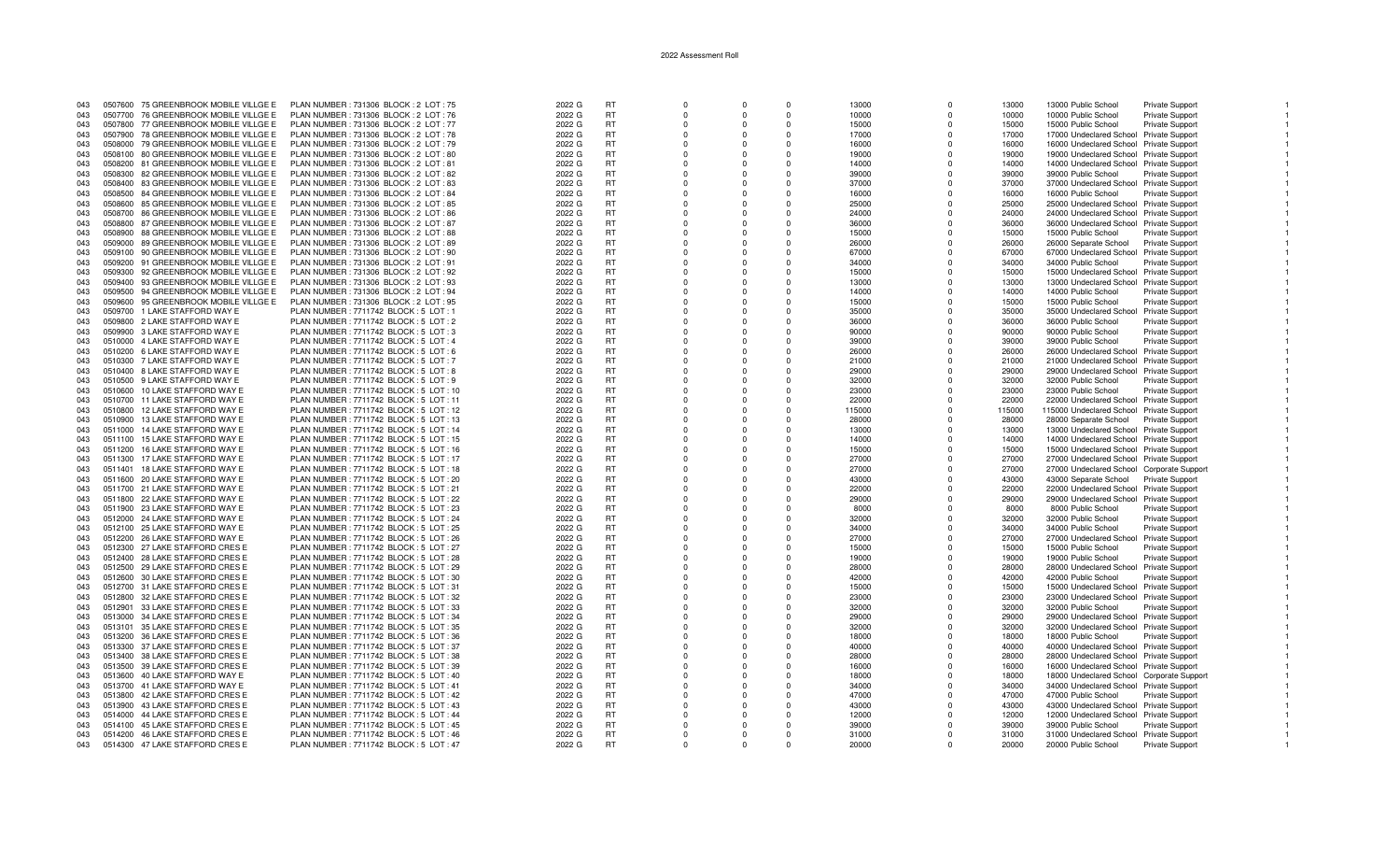| 043 |         | 0507600 75 GREENBROOK MOBILE VILLGE E | PLAN NUMBER: 731306 BLOCK: 2 LOT: 75     | 2022 G | <b>RT</b> | $\Omega$   |          | $\Omega$ | 13000  | $\Omega$     | 13000  | 13000 Public School                       | <b>Private Support</b> |  |
|-----|---------|---------------------------------------|------------------------------------------|--------|-----------|------------|----------|----------|--------|--------------|--------|-------------------------------------------|------------------------|--|
| 043 | 0507700 | 76 GREENBROOK MOBILE VILLGE E         | PLAN NUMBER: 731306 BLOCK: 2 LOT: 76     | 2022 G | <b>RT</b> | $\Omega$   | $\Omega$ | $\Omega$ | 10000  | $\Omega$     | 10000  | 10000 Public School                       | Private Support        |  |
| 043 | 0507800 | 77 GREENBROOK MOBILE VILLGE E         | PLAN NUMBER : 731306 BLOCK : 2 LOT : 77  | 2022 G | RT        | $\Omega$   |          | $\Omega$ | 15000  | n            | 15000  | 15000 Public School                       | <b>Private Support</b> |  |
|     |         |                                       |                                          |        |           |            |          |          |        |              |        |                                           |                        |  |
| 043 |         | 0507900 78 GREENBROOK MOBILE VILLGE E | PLAN NUMBER: 731306 BLOCK: 2 LOT: 78     | 2022 G | <b>RT</b> | $\Omega$   |          | $\Omega$ | 17000  | $\Omega$     | 17000  | 17000 Undeclared School Private Support   |                        |  |
| 043 |         | 0508000 79 GREENBROOK MOBILE VILLGE E | PLAN NUMBER : 731306 BLOCK : 2 LOT : 79  | 2022 G | <b>RT</b> | $\Omega$   |          | $\Omega$ | 16000  | n            | 16000  | 16000 Undeclared School Private Support   |                        |  |
| 043 | 0508100 | 80 GREENBROOK MOBILE VILLGE E         | PLAN NUMBER: 731306 BLOCK: 2 LOT: 80     | 2022 G | <b>RT</b> | $\Omega$   | $\Omega$ | $\Omega$ | 19000  | $\Omega$     | 19000  | 19000 Undeclared School Private Support   |                        |  |
| 043 | 0508200 | 81 GREENBROOK MOBILE VILLGE E         | PLAN NUMBER: 731306 BLOCK: 2 LOT: 81     | 2022 G | <b>RT</b> | $\Omega$   | $\Omega$ | $\Omega$ | 14000  | $\Omega$     | 14000  | 14000 Undeclared School Private Support   |                        |  |
| 043 | 0508300 | 82 GREENBROOK MOBILE VILLGE E         | PLAN NUMBER: 731306 BLOCK: 2 LOT: 82     | 2022 G | <b>RT</b> | $\Omega$   | $\Omega$ | $\Omega$ | 39000  | $\Omega$     | 39000  | 39000 Public School                       | <b>Private Support</b> |  |
| 043 |         | 0508400 83 GREENBROOK MOBILE VILLGE E | PLAN NUMBER: 731306 BLOCK: 2 LOT: 83     | 2022 G | <b>RT</b> | $\Omega$   |          | $\Omega$ | 37000  |              | 37000  | 37000 Undeclared School Private Support   |                        |  |
|     |         |                                       |                                          |        |           |            |          |          |        |              |        |                                           |                        |  |
| 043 |         | 0508500 84 GREENBROOK MOBILE VILLGE E | PLAN NUMBER: 731306 BLOCK: 2 LOT: 84     | 2022 G | <b>RT</b> | $\Omega$   |          | $\Omega$ | 16000  | $\Omega$     | 16000  | 16000 Public School                       | <b>Private Support</b> |  |
| 043 | 0508600 | 85 GREENBROOK MOBILE VILLGE E         | PLAN NUMBER: 731306 BLOCK: 2 LOT: 85     | 2022 G | <b>RT</b> | $\Omega$   |          | $\Omega$ | 25000  | n            | 25000  | 25000 Undeclared School Private Support   |                        |  |
| 043 |         | 0508700 86 GREENBROOK MOBILE VILLGE E | PLAN NUMBER: 731306 BLOCK: 2 LOT: 86     | 2022 G | <b>RT</b> | $\Omega$   |          | $\Omega$ | 24000  | $\Omega$     | 24000  | 24000 Undeclared School Private Support   |                        |  |
| 043 |         | 0508800 87 GREENBROOK MOBILE VILLGE E | PLAN NUMBER: 731306 BLOCK: 2 LOT: 87     | 2022 G | <b>RT</b> | $\Omega$   |          | $\Omega$ | 36000  |              | 36000  | 36000 Undeclared School Private Support   |                        |  |
| 043 | 0508900 | 88 GREENBROOK MOBILE VILLGE E         | PLAN NUMBER: 731306 BLOCK: 2 LOT: 88     | 2022 G | <b>RT</b> | $\Omega$   | $\Omega$ | $\Omega$ | 15000  | $\Omega$     | 15000  | 15000 Public School                       | Private Support        |  |
| 043 | 0509000 | 89 GREENBROOK MOBILE VILLGE E         | PLAN NUMBER: 731306 BLOCK: 2 LOT: 89     | 2022 G | <b>RT</b> | $\Omega$   | $\Omega$ | $\Omega$ | 26000  | $\Omega$     | 26000  | 26000 Separate School                     | <b>Private Support</b> |  |
|     |         |                                       |                                          |        |           | $\Omega$   | $\Omega$ | $\Omega$ |        | $\Omega$     |        |                                           |                        |  |
| 043 |         | 0509100 90 GREENBROOK MOBILE VILLGE E | PLAN NUMBER : 731306 BLOCK : 2 LOT : 90  | 2022 G | <b>RT</b> |            |          |          | 67000  |              | 67000  | 67000 Undeclared School Private Support   |                        |  |
| 043 |         | 0509200 91 GREENBROOK MOBILE VILLGE E | PLAN NUMBER : 731306 BLOCK : 2 LOT : 91  | 2022 G | <b>RT</b> | $\Omega$   |          | $\Omega$ | 34000  |              | 34000  | 34000 Public School                       | <b>Private Support</b> |  |
| 043 |         | 0509300 92 GREENBROOK MOBILE VILLGE E | PLAN NUMBER: 731306 BLOCK: 2 LOT: 92     | 2022 G | RT        | $\Omega$   |          | $\Omega$ | 15000  | <sup>0</sup> | 15000  | 15000 Undeclared School Private Support   |                        |  |
| 043 | 0509400 | 93 GREENBROOK MOBILE VILLGE E         | PLAN NUMBER: 731306 BLOCK: 2 LOT: 93     | 2022 G | <b>RT</b> | $\Omega$   |          | $\Omega$ | 13000  | $\Omega$     | 13000  | 13000 Undeclared School Private Support   |                        |  |
| 043 | 0509500 | 94 GREENBROOK MOBILE VILLGE E         | PLAN NUMBER : 731306 BLOCK : 2 LOT : 94  | 2022 G | <b>RT</b> | $\Omega$   |          | $\Omega$ | 14000  | $\Omega$     | 14000  | 14000 Public School                       | Private Support        |  |
| 043 | 0509600 | 95 GREENBROOK MOBILE VILLGE E         | PLAN NUMBER: 731306 BLOCK: 2 LOT: 95     | 2022 G | <b>RT</b> | $\Omega$   |          | $\Omega$ | 15000  |              | 15000  | 15000 Public School                       | <b>Private Support</b> |  |
|     | 0509700 | 1 LAKE STAFFORD WAY E                 | PLAN NUMBER: 7711742 BLOCK: 5 LOT: 1     | 2022 G | <b>RT</b> | $\Omega$   | $\Omega$ | $\Omega$ |        | $\Omega$     | 35000  |                                           |                        |  |
| 043 |         |                                       |                                          |        |           |            |          |          | 35000  |              |        | 35000 Undeclared School Private Support   |                        |  |
| 043 | 0509800 | 2 LAKE STAFFORD WAY E                 | PLAN NUMBER : 7711742 BLOCK : 5 LOT : 2  | 2022 G | <b>RT</b> | $\Omega$   | $\Omega$ | $\Omega$ | 36000  | $\Omega$     | 36000  | 36000 Public School                       | <b>Private Support</b> |  |
| 043 |         | 0509900 3 LAKE STAFFORD WAY E         | PLAN NUMBER : 7711742 BLOCK : 5 LOT : 3  | 2022 G | <b>RT</b> | $\Omega$   | $\Omega$ | $\Omega$ | 90000  | $\Omega$     | 90000  | 90000 Public School                       | Private Support        |  |
| 043 |         | 0510000 4 LAKE STAFFORD WAY E         | PLAN NUMBER : 7711742 BLOCK : 5 LOT : 4  | 2022 G | <b>RT</b> | $\Omega$   |          | $\Omega$ | 39000  |              | 39000  | 39000 Public School                       | <b>Private Support</b> |  |
| 043 |         | 0510200 6 LAKE STAFFORD WAY E         | PLAN NUMBER : 7711742 BLOCK : 5 LOT : 6  | 2022 G | <b>RT</b> | $\Omega$   |          | $\Omega$ | 26000  | <sup>0</sup> | 26000  | 26000 Undeclared School Private Support   |                        |  |
| 043 |         | 0510300 7 LAKE STAFFORD WAY E         | PLAN NUMBER: 7711742 BLOCK: 5 LOT: 7     | 2022 G | <b>RT</b> | $\Omega$   |          | $\Omega$ | 21000  | $\Omega$     | 21000  | 21000 Undeclared School Private Support   |                        |  |
|     |         |                                       |                                          | 2022 G | <b>RT</b> | $\Omega$   |          | $\Omega$ |        | $\Omega$     | 29000  |                                           |                        |  |
| 043 |         | 0510400 8 LAKE STAFFORD WAY E         | PLAN NUMBER: 7711742 BLOCK: 5 LOT: 8     |        |           |            |          |          | 29000  |              |        | 29000 Undeclared School Private Support   |                        |  |
| 043 |         | 0510500 9 LAKE STAFFORD WAY E         | PLAN NUMBER : 7711742 BLOCK : 5 LOT : 9  | 2022 G | <b>RT</b> | $\Omega$   |          | $\Omega$ | 32000  |              | 32000  | 32000 Public School                       | <b>Private Support</b> |  |
| 043 | 0510600 | 10 LAKE STAFFORD WAY E                | PLAN NUMBER : 7711742 BLOCK : 5 LOT : 10 | 2022 G | <b>RT</b> | $\Omega$   | $\Omega$ | $\Omega$ | 23000  | $\Omega$     | 23000  | 23000 Public School                       | Private Support        |  |
| 043 | 0510700 | 11 LAKE STAFFORD WAY E                | PLAN NUMBER: 7711742 BLOCK: 5 LOT: 11    | 2022 G | <b>RT</b> | $\Omega$   | $\Omega$ | $\Omega$ | 22000  | $\Omega$     | 22000  | 22000 Undeclared School Private Support   |                        |  |
| 043 |         | 0510800 12 LAKE STAFFORD WAY E        | PLAN NUMBER: 7711742 BLOCK: 5 LOT: 12    | 2022 G | <b>RT</b> | $\Omega$   | $\Omega$ | $\Omega$ | 115000 | $\Omega$     | 115000 | 115000 Undeclared School Private Support  |                        |  |
| 043 |         | 0510900 13 LAKE STAFFORD WAY E        | PLAN NUMBER : 7711742 BLOCK : 5 LOT : 13 | 2022 G | RT        | $\Omega$   |          | $\Omega$ | 28000  | $\Omega$     | 28000  | 28000 Separate School Private Support     |                        |  |
| 043 |         | 0511000 14 LAKE STAFFORD WAY E        | PLAN NUMBER : 7711742 BLOCK : 5 LOT : 14 | 2022 G | <b>RT</b> | $\Omega$   |          | $\Omega$ | 13000  | $\Omega$     | 13000  | 13000 Undeclared School Private Support   |                        |  |
|     |         |                                       |                                          |        |           |            |          | $\Omega$ |        |              |        |                                           |                        |  |
| 043 |         | 0511100 15 LAKE STAFFORD WAY E        | PLAN NUMBER : 7711742 BLOCK : 5 LOT : 15 | 2022 G | <b>RT</b> | $\Omega$   |          |          | 14000  | $\Omega$     | 14000  | 14000 Undeclared School Private Support   |                        |  |
| 043 |         | 0511200 16 LAKE STAFFORD WAY E        | PLAN NUMBER: 7711742 BLOCK: 5 LOT: 16    | 2022 G | <b>RT</b> | $\Omega$   |          | $\Omega$ | 15000  | $\Omega$     | 15000  | 15000 Undeclared School Private Support   |                        |  |
| 043 |         | 0511300 17 LAKE STAFFORD WAY E        | PLAN NUMBER: 7711742 BLOCK: 5 LOT: 17    | 2022 G | <b>RT</b> | $\Omega$   |          | $\Omega$ | 27000  |              | 27000  | 27000 Undeclared School Private Support   |                        |  |
| 043 | 0511401 | 18 LAKE STAFFORD WAY E                | PLAN NUMBER: 7711742 BLOCK: 5 LOT: 18    | 2022 G | <b>RT</b> | $\Omega$   | $\Omega$ | $\Omega$ | 27000  | $\Omega$     | 27000  | 27000 Undeclared School Corporate Support |                        |  |
| 043 |         | 0511600 20 LAKE STAFFORD WAY E        | PLAN NUMBER : 7711742 BLOCK : 5 LOT : 20 | 2022 G | RT        | $\Omega$   | $\Omega$ | $\Omega$ | 43000  | $\Omega$     | 43000  | 43000 Separate School Private Support     |                        |  |
| 043 |         | 0511700 21 LAKE STAFFORD WAY E        | PLAN NUMBER: 7711742 BLOCK: 5 LOT: 21    | 2022 G | <b>RT</b> | $\Omega$   | $\Omega$ | $\Omega$ | 22000  | $\Omega$     | 22000  | 22000 Undeclared School Private Support   |                        |  |
| 043 |         | 0511800 22 LAKE STAFFORD WAY E        | PLAN NUMBER : 7711742 BLOCK : 5 LOT : 22 | 2022 G | <b>RT</b> | $\Omega$   |          | $\Omega$ | 29000  | $\Omega$     | 29000  | 29000 Undeclared School Private Support   |                        |  |
|     |         |                                       |                                          |        |           |            |          |          |        |              |        |                                           |                        |  |
| 043 |         | 0511900 23 LAKE STAFFORD WAY E        | PLAN NUMBER : 7711742 BLOCK : 5 LOT : 23 | 2022 G | <b>RT</b> | $\Omega$   |          | $\Omega$ | 8000   | <sup>0</sup> | 8000   | 8000 Public School                        | Private Support        |  |
| 043 |         | 0512000 24 LAKE STAFFORD WAY E        | PLAN NUMBER : 7711742 BLOCK : 5 LOT : 24 | 2022 G | <b>RT</b> | $\Omega$   |          | $\Omega$ | 32000  | $\Omega$     | 32000  | 32000 Public School                       | Private Support        |  |
| 043 |         | 0512100 25 LAKE STAFFORD WAY E        | PLAN NUMBER : 7711742 BLOCK : 5 LOT : 25 | 2022 G | <b>RT</b> | $\Omega$   |          | $\Omega$ | 34000  | $\Omega$     | 34000  | 34000 Public School                       | <b>Private Support</b> |  |
| 043 |         | 0512200 26 LAKE STAFFORD WAY E        | PLAN NUMBER: 7711742 BLOCK: 5 LOT: 26    | 2022 G | <b>RT</b> | $\Omega$   |          | $\Omega$ | 27000  |              | 27000  | 27000 Undeclared School Private Support   |                        |  |
| 043 |         | 0512300 27 LAKE STAFFORD CRES E       | PLAN NUMBER: 7711742 BLOCK: 5 LOT: 27    | 2022 G | <b>RT</b> | $\Omega$   | $\Omega$ | $\Omega$ | 15000  | <sup>0</sup> | 15000  | 15000 Public School                       | <b>Private Support</b> |  |
| 043 |         | 0512400 28 LAKE STAFFORD CRES E       | PLAN NUMBER: 7711742 BLOCK: 5 LOT: 28    | 2022 G | <b>RT</b> | $\Omega$   | $\Omega$ | $\Omega$ | 19000  | $\Omega$     | 19000  | 19000 Public School                       | <b>Private Support</b> |  |
|     |         |                                       |                                          |        | <b>RT</b> |            |          |          |        |              |        |                                           |                        |  |
| 043 |         | 0512500 29 LAKE STAFFORD CRES E       | PLAN NUMBER: 7711742 BLOCK: 5 LOT: 29    | 2022 G |           | $\Omega$   |          | $\Omega$ | 28000  |              | 28000  | 28000 Undeclared School Private Support   |                        |  |
| 043 |         | 0512600 30 LAKE STAFFORD CRES E       | PLAN NUMBER: 7711742 BLOCK: 5 LOT: 30    | 2022 G | <b>RT</b> | $\Omega$   |          | $\Omega$ | 42000  | $\Omega$     | 42000  | 42000 Public School                       | Private Support        |  |
| 043 |         | 0512700 31 LAKE STAFFORD CRES E       | PLAN NUMBER : 7711742 BLOCK : 5 LOT : 31 | 2022 G | <b>RT</b> | $\Omega$   |          | $\Omega$ | 15000  | $\Omega$     | 15000  | 15000 Undeclared School Private Support   |                        |  |
| 043 |         | 0512800 32 LAKE STAFFORD CRES E       | PLAN NUMBER: 7711742 BLOCK: 5 LOT: 32    | 2022 G | <b>RT</b> | $\Omega$   |          | $\Omega$ | 23000  | $\Omega$     | 23000  | 23000 Undeclared School Private Support   |                        |  |
| 043 |         | 0512901 33 LAKE STAFFORD CRES E       | PLAN NUMBER: 7711742 BLOCK: 5 LOT: 33    | 2022 G | <b>RT</b> | $\Omega$   |          | $\Omega$ | 32000  | $\Omega$     | 32000  | 32000 Public School                       | <b>Private Support</b> |  |
| 043 |         | 0513000 34 LAKE STAFFORD CRES E       | PLAN NUMBER : 7711742 BLOCK : 5 LOT : 34 | 2022 G | <b>RT</b> | $\Omega$   |          | $\Omega$ | 29000  |              | 29000  | 29000 Undeclared School Private Support   |                        |  |
|     |         |                                       |                                          |        |           |            |          |          |        |              |        |                                           |                        |  |
| 043 | 0513101 | 35 LAKE STAFFORD CRES E               | PLAN NUMBER: 7711742 BLOCK: 5 LOT: 35    | 2022 G | RT        | $\Omega$   | $\Omega$ | $\Omega$ | 32000  | $\Omega$     | 32000  | 32000 Undeclared School Private Support   |                        |  |
| 043 |         | 0513200 36 LAKE STAFFORD CRES E       | PLAN NUMBER: 7711742 BLOCK: 5 LOT: 36    | 2022 G | <b>RT</b> | $\Omega$   | $\Omega$ | $\Omega$ | 18000  | $\Omega$     | 18000  | 18000 Public School                       | Private Support        |  |
| 043 |         | 0513300 37 LAKE STAFFORD CRES E       | PLAN NUMBER: 7711742 BLOCK: 5 LOT: 37    | 2022 G | <b>RT</b> | $\Omega$   |          | $\Omega$ | 40000  |              | 40000  | 40000 Undeclared School Private Support   |                        |  |
| 043 |         | 0513400 38 LAKE STAFFORD CRES E       | PLAN NUMBER: 7711742 BLOCK: 5 LOT: 38    | 2022 G | <b>RT</b> | $\Omega$   |          | $\Omega$ | 28000  | $\Omega$     | 28000  | 28000 Undeclared School Private Support   |                        |  |
| 043 |         | 0513500 39 LAKE STAFFORD CRES E       | PLAN NUMBER : 7711742 BLOCK : 5 LOT : 39 | 2022 G | <b>RT</b> | $\Omega$   |          | $\Omega$ | 16000  | <sup>0</sup> | 16000  | 16000 Undeclared School Private Support   |                        |  |
| 043 |         | 0513600 40 LAKE STAFFORD WAY E        | PLAN NUMBER : 7711742 BLOCK : 5 LOT : 40 | 2022 G | RT        | $\Omega$   |          | $\Omega$ | 18000  |              | 18000  | 18000 Undeclared School Corporate Support |                        |  |
| 043 |         |                                       |                                          | 2022 G | <b>RT</b> | $\Omega$   |          | $\Omega$ | 34000  | $\Omega$     | 34000  |                                           |                        |  |
|     |         | 0513700 41 LAKE STAFFORD WAY E        | PLAN NUMBER : 7711742 BLOCK : 5 LOT : 41 |        |           |            |          |          |        |              |        | 34000 Undeclared School Private Support   |                        |  |
| 043 |         | 0513800 42 LAKE STAFFORD CRES E       | PLAN NUMBER: 7711742 BLOCK: 5 LOT: 42    | 2022 G | <b>RT</b> | $\Omega$   | $\Omega$ | $\Omega$ | 47000  | n            | 47000  | 47000 Public School                       | <b>Private Support</b> |  |
| 043 | 0513900 | 43 LAKE STAFFORD CRES E               | PLAN NUMBER: 7711742 BLOCK: 5 LOT: 43    | 2022 G | RT        | $\Omega$   | $\Omega$ | $\Omega$ | 43000  | $\Omega$     | 43000  | 43000 Undeclared School Private Support   |                        |  |
| 043 |         | 0514000 44 LAKE STAFFORD CRES E       | PLAN NUMBER : 7711742 BLOCK : 5 LOT : 44 | 2022 G | <b>RT</b> | $\Omega$   | $\Omega$ | $\Omega$ | 12000  | $\Omega$     | 12000  | 12000 Undeclared School Private Support   |                        |  |
| 043 |         | 0514100 45 LAKE STAFFORD CRES E       | PLAN NUMBER: 7711742 BLOCK: 5 LOT: 45    | 2022 G | <b>RT</b> | $^{\circ}$ |          | $\Omega$ | 39000  |              | 39000  | 39000 Public School                       | <b>Private Support</b> |  |
| 043 |         | 0514200 46 LAKE STAFFORD CRES E       | PLAN NUMBER : 7711742 BLOCK : 5 LOT : 46 | 2022 G | <b>RT</b> | $\Omega$   |          | $\Omega$ | 31000  |              | 31000  | 31000 Undeclared School Private Support   |                        |  |
| 043 |         | 0514300 47 LAKE STAFFORD CRES E       | PLAN NUMBER : 7711742 BLOCK : 5 LOT : 47 | 2022 G | <b>RT</b> | $\Omega$   |          |          | 20000  |              | 20000  | 20000 Public School                       | <b>Private Support</b> |  |
|     |         |                                       |                                          |        |           |            |          |          |        |              |        |                                           |                        |  |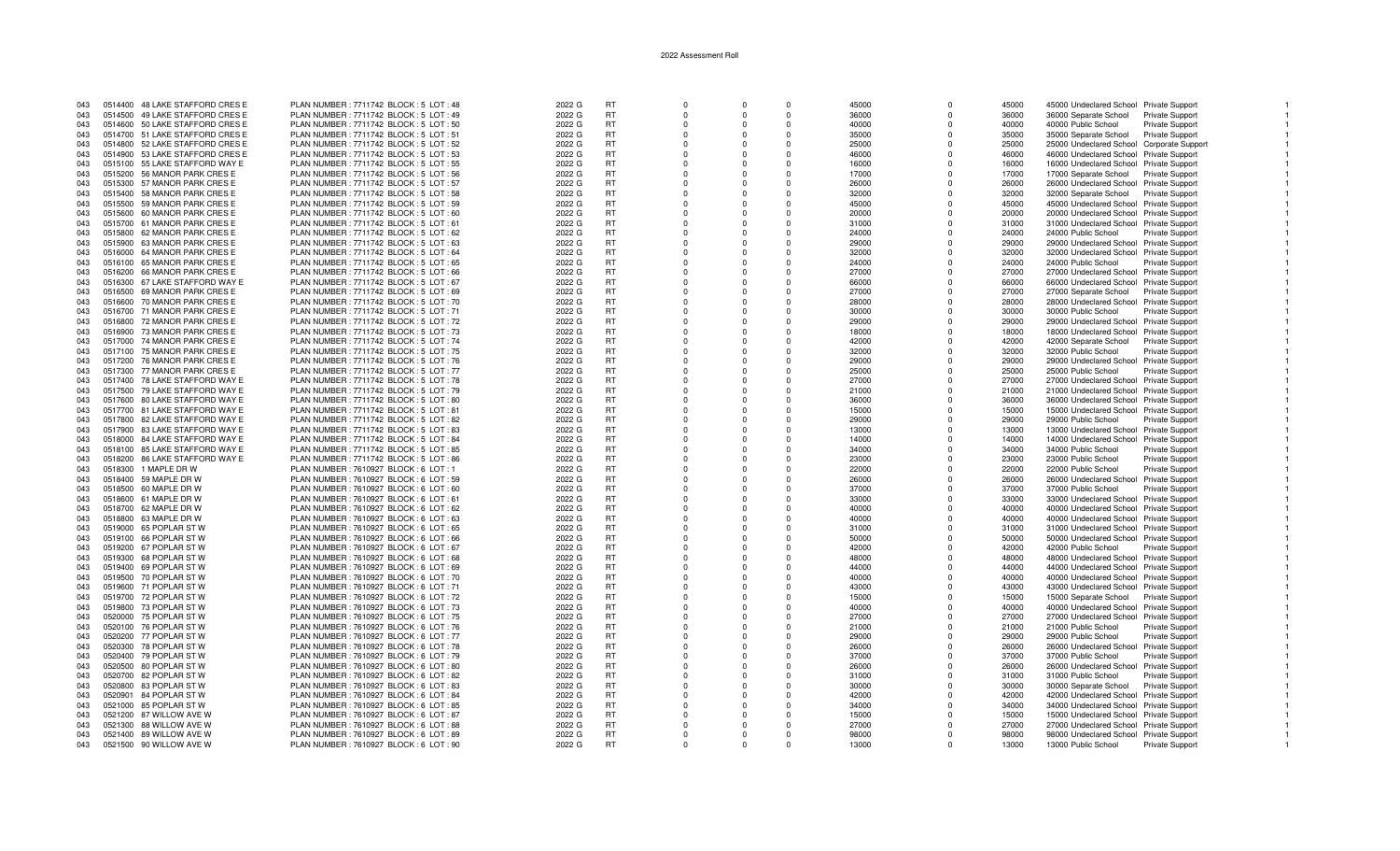| 043 |         | 0514400 48 LAKE STAFFORD CRES E | PLAN NUMBER: 7711742 BLOCK: 5 LOT: 48    | 2022 G | <b>RT</b> | $\Omega$ | $\Omega$ | $\Omega$    | 45000 | $\Omega$ | 45000 | 45000 Undeclared School Private Support         |                        |
|-----|---------|---------------------------------|------------------------------------------|--------|-----------|----------|----------|-------------|-------|----------|-------|-------------------------------------------------|------------------------|
| 043 |         | 0514500 49 LAKE STAFFORD CRES E | PLAN NUMBER : 7711742 BLOCK : 5 LOT : 49 | 2022 G | RT        | $\Omega$ | $\Omega$ | $\Omega$    | 36000 | $\Omega$ | 36000 | 36000 Separate School<br>Private Support        |                        |
| 043 |         | 0514600 50 LAKE STAFFORD CRESE  | PLAN NUMBER : 7711742 BLOCK : 5 LOT : 50 | 2022 G | <b>RT</b> | $\Omega$ |          | $\Omega$    | 40000 | $\Omega$ | 40000 | 40000 Public School<br>Private Support          |                        |
|     |         |                                 |                                          |        |           |          |          |             |       |          |       |                                                 |                        |
| 043 |         | 0514700 51 LAKE STAFFORD CRES E | PLAN NUMBER : 7711742 BLOCK : 5 LOT : 51 | 2022 G | <b>RT</b> | $\Omega$ | $\Omega$ | $\Omega$    | 35000 | $\Omega$ | 35000 | 35000 Separate School<br><b>Private Support</b> |                        |
| 043 |         | 0514800 52 LAKE STAFFORD CRES E | PLAN NUMBER: 7711742 BLOCK: 5 LOT: 52    | 2022 G | <b>RT</b> | $\Omega$ |          | $\Omega$    | 25000 | $\Omega$ | 25000 | 25000 Undeclared School Corporate Support       |                        |
| 043 |         | 0514900 53 LAKE STAFFORD CRES E | PLAN NUMBER: 7711742 BLOCK: 5 LOT: 53    | 2022 G | <b>RT</b> | $\Omega$ | $\Omega$ | $\Omega$    | 46000 | $\Omega$ | 46000 | 46000 Undeclared School Private Support         |                        |
| 043 |         | 0515100 55 LAKE STAFFORD WAY E  | PLAN NUMBER: 7711742 BLOCK: 5 LOT: 55    | 2022 G | <b>RT</b> | $\Omega$ | $\Omega$ | $\Omega$    | 16000 | $\Omega$ | 16000 | 16000 Undeclared School Private Support         |                        |
| 043 |         | 0515200 56 MANOR PARK CRES E    | PLAN NUMBER: 7711742 BLOCK: 5 LOT: 56    | 2022 G | <b>RT</b> | $\Omega$ | $\Omega$ | $\Omega$    | 17000 | $\Omega$ | 17000 | 17000 Separate School Private Support           |                        |
| 043 |         | 0515300 57 MANOR PARK CRES E    | PLAN NUMBER : 7711742 BLOCK : 5 LOT : 57 | 2022 G | <b>RT</b> | $\Omega$ | $\Omega$ | $\Omega$    | 26000 |          | 26000 | 26000 Undeclared School Private Support         |                        |
|     |         |                                 |                                          |        |           |          |          |             |       |          |       |                                                 |                        |
| 043 |         | 0515400 58 MANOR PARK CRES E    | PLAN NUMBER: 7711742 BLOCK: 5 LOT: 58    | 2022 G | <b>RT</b> | $\Omega$ | $\Omega$ | $\Omega$    | 32000 | $\Omega$ | 32000 | 32000 Separate School Private Support           |                        |
| 043 |         | 0515500 59 MANOR PARK CRES E    | PLAN NUMBER: 7711742 BLOCK: 5 LOT: 59    | 2022 G | <b>RT</b> | - 0      |          | $\Omega$    | 45000 | n        | 45000 | 45000 Undeclared School Private Support         |                        |
| 043 |         | 0515600 60 MANOR PARK CRES E    | PLAN NUMBER : 7711742 BLOCK : 5 LOT : 60 | 2022 G | <b>RT</b> | $\Omega$ |          | $\Omega$    | 20000 | $\Omega$ | 20000 | 20000 Undeclared School Private Support         |                        |
| 043 |         | 0515700 61 MANOR PARK CRES E    | PLAN NUMBER: 7711742 BLOCK: 5 LOT: 61    | 2022 G | <b>RT</b> | $\Omega$ |          | $\Omega$    | 31000 |          | 31000 | 31000 Undeclared School Private Support         |                        |
| 043 |         | 0515800 62 MANOR PARK CRES E    | PLAN NUMBER: 7711742 BLOCK: 5 LOT: 62    | 2022 G | <b>RT</b> | $\Omega$ | $\Omega$ | $\Omega$    | 24000 | $\Omega$ | 24000 | 24000 Public School<br><b>Private Support</b>   |                        |
|     | 0515900 |                                 |                                          |        | <b>RT</b> | $\Omega$ | $\Omega$ | $\Omega$    |       | $\Omega$ |       |                                                 |                        |
| 043 |         | 63 MANOR PARK CRES E            | PLAN NUMBER : 7711742 BLOCK : 5 LOT : 63 | 2022 G |           |          |          |             | 29000 |          | 29000 | 29000 Undeclared School Private Support         |                        |
| 043 |         | 0516000 64 MANOR PARK CRES E    | PLAN NUMBER : 7711742 BLOCK : 5 LOT : 64 | 2022 G | <b>RT</b> | $\Omega$ | $\Omega$ | $\Omega$    | 32000 | $\Omega$ | 32000 | 32000 Undeclared School Private Support         |                        |
| 043 |         | 0516100 65 MANOR PARK CRES E    | PLAN NUMBER : 7711742 BLOCK : 5 LOT : 65 | 2022 G | <b>RT</b> | $\Omega$ |          | $\Omega$    | 24000 |          | 24000 | 24000 Public School<br><b>Private Support</b>   |                        |
| 043 |         | 0516200 66 MANOR PARK CRES E    | PLAN NUMBER : 7711742 BLOCK : 5 LOT : 66 | 2022 G | <b>RT</b> | $\Omega$ | $\Omega$ | $\Omega$    | 27000 | n        | 27000 | 27000 Undeclared School Private Support         |                        |
| 043 |         | 0516300 67 LAKE STAFFORD WAY E  | PLAN NUMBER: 7711742 BLOCK: 5 LOT: 67    | 2022 G | <b>RT</b> | - 0      |          | $\Omega$    | 66000 | n        | 66000 | 66000 Undeclared School Private Support         |                        |
| 043 |         | 0516500 69 MANOR PARK CRES E    | PLAN NUMBER: 7711742 BLOCK: 5 LOT: 69    | 2022 G | <b>RT</b> | $\Omega$ | $\Omega$ | $\Omega$    | 27000 | $\Omega$ | 27000 | 27000 Separate School Private Support           |                        |
|     |         |                                 |                                          |        | <b>RT</b> |          |          | $\Omega$    |       |          |       |                                                 |                        |
| 043 |         | 0516600 70 MANOR PARK CRES E    | PLAN NUMBER : 7711742 BLOCK : 5 LOT : 70 | 2022 G |           | $\Omega$ |          |             | 28000 |          | 28000 | 28000 Undeclared School Private Support         |                        |
| 043 |         | 0516700 71 MANOR PARK CRES E    | PLAN NUMBER : 7711742 BLOCK : 5 LOT : 71 | 2022 G | <b>RT</b> | $\Omega$ | $\Omega$ | $\mathbf 0$ | 30000 | $\Omega$ | 30000 | 30000 Public School<br>Private Support          |                        |
| 043 | 0516800 | 72 MANOR PARK CRES E            | PLAN NUMBER : 7711742 BLOCK : 5 LOT : 72 | 2022 G | RT        | $\Omega$ | $\Omega$ | $\Omega$    | 29000 | $\Omega$ | 29000 | 29000 Undeclared School Private Support         |                        |
| 043 | 0516900 | 73 MANOR PARK CRES E            | PLAN NUMBER : 7711742 BLOCK : 5 LOT : 73 | 2022 G | <b>RT</b> | $\Omega$ | $\Omega$ | $\Omega$    | 18000 | $\Omega$ | 18000 | 18000 Undeclared School Private Support         |                        |
| 043 | 0517000 | 74 MANOR PARK CRES E            | PLAN NUMBER : 7711742 BLOCK : 5 LOT : 74 | 2022 G | <b>RT</b> | $\Omega$ | $\Omega$ | $\Omega$    | 42000 |          | 42000 | 42000 Separate School<br><b>Private Support</b> |                        |
| 043 |         | 0517100 75 MANOR PARK CRES E    | PLAN NUMBER: 7711742 BLOCK: 5 LOT: 75    | 2022 G | <b>RT</b> | - 0      | n        | $\Omega$    | 32000 | n        | 32000 | 32000 Public School                             | <b>Private Support</b> |
|     |         |                                 |                                          |        |           |          |          |             |       |          |       |                                                 |                        |
| 043 |         | 0517200 76 MANOR PARK CRES E    | PLAN NUMBER : 7711742 BLOCK : 5 LOT : 76 | 2022 G | <b>RT</b> | $\Omega$ |          | $\Omega$    | 29000 |          | 29000 | 29000 Undeclared School Private Support         |                        |
| 043 |         | 0517300 77 MANOR PARK CRES E    | PLAN NUMBER : 7711742 BLOCK : 5 LOT : 77 | 2022 G | <b>RT</b> | $\Omega$ | $\Omega$ | $\Omega$    | 25000 | $\Omega$ | 25000 | 25000 Public School<br>Private Support          |                        |
| 043 |         | 0517400 78 LAKE STAFFORD WAY E  | PLAN NUMBER: 7711742 BLOCK: 5 LOT: 78    | 2022 G | RT        | $\Omega$ |          | $\Omega$    | 27000 |          | 27000 | 27000 Undeclared School Private Support         |                        |
| 043 |         | 0517500 79 LAKE STAFFORD WAY E  | PLAN NUMBER : 7711742 BLOCK : 5 LOT : 79 | 2022 G | <b>RT</b> | $\Omega$ | $\Omega$ | $\Omega$    | 21000 | $\Omega$ | 21000 | 21000 Undeclared School Private Support         |                        |
| 043 |         | 0517600 80 LAKE STAFFORD WAY E  | PLAN NUMBER: 7711742 BLOCK: 5 LOT: 80    | 2022 G | <b>RT</b> | $\Omega$ | $\Omega$ | $\Omega$    | 36000 | $\Omega$ | 36000 | 36000 Undeclared School Private Support         |                        |
| 043 |         |                                 | PLAN NUMBER: 7711742 BLOCK: 5 LOT: 81    | 2022 G | <b>RT</b> | $\Omega$ | $\Omega$ | $\Omega$    | 15000 | $\Omega$ | 15000 | 15000 Undeclared School Private Support         |                        |
|     |         | 0517700 81 LAKE STAFFORD WAY E  |                                          |        |           |          |          |             |       |          |       |                                                 |                        |
| 043 |         | 0517800 82 LAKE STAFFORD WAY E  | PLAN NUMBER: 7711742 BLOCK: 5 LOT: 82    | 2022 G | <b>RT</b> | $\Omega$ | $\Omega$ | $\Omega$    | 29000 |          | 29000 | 29000 Public School<br>Private Support          |                        |
| 043 |         | 0517900 83 LAKE STAFFORD WAY E  | PLAN NUMBER: 7711742 BLOCK: 5 LOT: 83    | 2022 G | <b>RT</b> | $\Omega$ | $\Omega$ | $\Omega$    | 13000 | $\Omega$ | 13000 | 13000 Undeclared School Private Support         |                        |
| 043 |         | 0518000 84 LAKE STAFFORD WAY E  | PLAN NUMBER: 7711742 BLOCK: 5 LOT: 84    | 2022 G | <b>RT</b> | $\Omega$ |          | $\Omega$    | 14000 |          | 14000 | 14000 Undeclared School Private Support         |                        |
| 043 |         | 0518100 85 LAKE STAFFORD WAY E  | PLAN NUMBER: 7711742 BLOCK: 5 LOT: 85    | 2022 G | <b>RT</b> | $\Omega$ | $\Omega$ | $\Omega$    | 34000 | $\Omega$ | 34000 | 34000 Public School<br><b>Private Support</b>   |                        |
| 043 |         | 0518200 86 LAKE STAFFORD WAY E  | PLAN NUMBER : 7711742 BLOCK : 5 LOT : 86 | 2022 G | RT        | $\Omega$ |          | $\Omega$    | 23000 |          | 23000 | 23000 Public School<br><b>Private Support</b>   |                        |
|     |         |                                 |                                          |        |           |          |          |             |       |          |       |                                                 |                        |
| 043 |         | 0518300 1 MAPLE DR W            | PLAN NUMBER : 7610927 BLOCK : 6 LOT : 1  | 2022 G | <b>RT</b> | $\Omega$ | $\Omega$ | $\Omega$    | 22000 | $\Omega$ | 22000 | 22000 Public School<br><b>Private Support</b>   |                        |
| 043 |         | 0518400 59 MAPLE DR W           | PLAN NUMBER: 7610927 BLOCK: 6 LOT: 59    | 2022 G | <b>RT</b> | $\Omega$ | $\Omega$ | $\Omega$    | 26000 | $\Omega$ | 26000 | 26000 Undeclared School Private Support         |                        |
| 043 |         | 0518500 60 MAPLE DR W           | PLAN NUMBER : 7610927 BLOCK : 6 LOT : 60 | 2022 G | <b>RT</b> | $\Omega$ | $\Omega$ | $\Omega$    | 37000 | $\Omega$ | 37000 | <b>Private Support</b><br>37000 Public School   |                        |
| 043 |         | 0518600 61 MAPLE DR W           | PLAN NUMBER: 7610927 BLOCK: 6 LOT: 61    | 2022 G | <b>RT</b> | $\Omega$ | $\Omega$ | $\Omega$    | 33000 |          | 33000 | 33000 Undeclared School Private Support         |                        |
| 043 |         | 0518700 62 MAPLE DR W           | PLAN NUMBER : 7610927 BLOCK : 6 LOT : 62 | 2022 G | <b>RT</b> | $\Omega$ | $\Omega$ | $\Omega$    | 40000 | $\Omega$ | 40000 | 40000 Undeclared School Private Support         |                        |
| 043 |         | 0518800 63 MAPLE DR W           | PLAN NUMBER : 7610927 BLOCK : 6 LOT : 63 | 2022 G | RT        | $\Omega$ |          | $\Omega$    | 40000 | $\Omega$ | 40000 | 40000 Undeclared School Private Support         |                        |
|     |         |                                 |                                          |        | <b>RT</b> | $\Omega$ |          | $\Omega$    |       | $\Omega$ |       |                                                 |                        |
| 043 |         | 0519000 65 POPLAR ST W          | PLAN NUMBER : 7610927 BLOCK : 6 LOT : 65 | 2022 G |           |          |          |             | 31000 |          | 31000 | 31000 Undeclared School Private Support         |                        |
| 043 |         | 0519100 66 POPLAR ST W          | PLAN NUMBER : 7610927 BLOCK : 6 LOT : 66 | 2022 G | <b>RT</b> | $\Omega$ | $\Omega$ | $\Omega$    | 50000 |          | 50000 | 50000 Undeclared School Private Support         |                        |
| 043 |         | 0519200 67 POPLAR ST W          | PLAN NUMBER : 7610927 BLOCK : 6 LOT : 67 | 2022 G | RT        | $\Omega$ | $\Omega$ | $\Omega$    | 42000 | $\Omega$ | 42000 | 42000 Public School<br><b>Private Support</b>   |                        |
| 043 |         | 0519300 68 POPLAR ST W          | PLAN NUMBER: 7610927 BLOCK: 6 LOT: 68    | 2022 G | <b>RT</b> | $\Omega$ | $\Omega$ | $\Omega$    | 48000 | $\Omega$ | 48000 | 48000 Undeclared School Private Support         |                        |
| 043 |         | 0519400 69 POPLAR ST W          | PLAN NUMBER: 7610927 BLOCK: 6 LOT: 69    | 2022 G | <b>RT</b> | $\Omega$ | $\Omega$ | $\Omega$    | 44000 | $\Omega$ | 44000 | 44000 Undeclared School Private Support         |                        |
| 043 |         | 0519500 70 POPLAR ST W          | PLAN NUMBER: 7610927 BLOCK: 6 LOT: 70    | 2022 G | <b>RT</b> | $\Omega$ | $\Omega$ | $\Omega$    | 40000 | $\Omega$ | 40000 | 40000 Undeclared School Private Support         |                        |
|     |         |                                 |                                          |        |           |          |          |             |       |          |       |                                                 |                        |
| 043 |         | 0519600 71 POPLAR ST W          | PLAN NUMBER : 7610927 BLOCK : 6 LOT : 71 | 2022 G | <b>RT</b> | $\Omega$ | $\Omega$ | $\Omega$    | 43000 | $\Omega$ | 43000 | 43000 Undeclared School Private Support         |                        |
| 043 |         | 0519700 72 POPLAR ST W          | PLAN NUMBER : 7610927 BLOCK : 6 LOT : 72 | 2022 G | <b>RT</b> | $\Omega$ |          | $\Omega$    | 15000 | $\Omega$ | 15000 | 15000 Separate School Private Support           |                        |
| 043 |         | 0519800 73 POPLAR ST W          | PLAN NUMBER: 7610927 BLOCK: 6 LOT: 73    | 2022 G | <b>RT</b> | $\Omega$ | $\Omega$ | $\Omega$    | 40000 | $\Omega$ | 40000 | 40000 Undeclared School Private Support         |                        |
| 043 |         | 0520000 75 POPLAR ST W          | PLAN NUMBER : 7610927 BLOCK : 6 LOT : 75 | 2022 G | <b>RT</b> | $\Omega$ | $\Omega$ | $\Omega$    | 27000 |          | 27000 | 27000 Undeclared School Private Support         |                        |
| 043 |         | 0520100 76 POPLAR ST W          | PLAN NUMBER: 7610927 BLOCK: 6 LOT: 76    | 2022 G | <b>RT</b> | $\Omega$ | $\Omega$ | $\Omega$    | 21000 | $\Omega$ | 21000 | 21000 Public School<br><b>Private Support</b>   |                        |
| 043 |         | 0520200 77 POPLAR ST W          |                                          |        | <b>RT</b> | $\Omega$ | $\Omega$ | $\Omega$    | 29000 | $\Omega$ | 29000 |                                                 |                        |
|     |         |                                 | PLAN NUMBER : 7610927 BLOCK : 6 LOT : 77 | 2022 G |           |          |          |             |       |          |       | 29000 Public School<br>Private Support          |                        |
| 043 |         | 0520300 78 POPLAR ST W          | PLAN NUMBER: 7610927 BLOCK: 6 LOT: 78    | 2022 G | <b>RT</b> | $\Omega$ | $\Omega$ | $\Omega$    | 26000 |          | 26000 | 26000 Undeclared School Private Support         |                        |
| 043 |         | 0520400 79 POPLAR ST W          | PLAN NUMBER: 7610927 BLOCK: 6 LOT: 79    | 2022 G | <b>RT</b> | $\Omega$ | $\Omega$ | $\Omega$    | 37000 | $\Omega$ | 37000 | 37000 Public School<br>Private Support          |                        |
| 043 |         | 0520500 80 POPLAR ST W          | PLAN NUMBER : 7610927 BLOCK : 6 LOT : 80 | 2022 G | <b>RT</b> | $\Omega$ |          | $\Omega$    | 26000 | $\Omega$ | 26000 | 26000 Undeclared School Private Support         |                        |
| 043 |         | 0520700 82 POPLAR ST W          | PLAN NUMBER : 7610927 BLOCK : 6 LOT : 82 | 2022 G | <b>RT</b> | $\Omega$ |          | $\Omega$    | 31000 |          | 31000 | 31000 Public School<br><b>Private Support</b>   |                        |
| 043 |         | 0520800 83 POPLAR ST W          | PLAN NUMBER : 7610927 BLOCK : 6 LOT : 83 | 2022 G | <b>RT</b> | $\Omega$ | $\Omega$ | $\Omega$    | 30000 | $\Omega$ | 30000 | 30000 Separate School<br><b>Private Support</b> |                        |
| 043 |         | 0520901 84 POPLAR ST W          | PLAN NUMBER : 7610927 BLOCK : 6 LOT : 84 |        | <b>RT</b> | $\Omega$ | $\Omega$ | $\Omega$    | 42000 | $\Omega$ | 42000 |                                                 |                        |
|     |         |                                 |                                          | 2022 G |           |          |          |             |       |          |       | 42000 Undeclared School Private Support         |                        |
| 043 |         | 0521000 85 POPLAR ST W          | PLAN NUMBER: 7610927 BLOCK: 6 LOT: 85    | 2022 G | <b>RT</b> | $\Omega$ | $\Omega$ | $\Omega$    | 34000 | $\Omega$ | 34000 | 34000 Undeclared School Private Support         |                        |
| 043 |         | 0521200 87 WILLOW AVE W         | PLAN NUMBER: 7610927 BLOCK: 6 LOT: 87    | 2022 G | <b>RT</b> | $\Omega$ | $\Omega$ | $\Omega$    | 15000 | $\Omega$ | 15000 | 15000 Undeclared School Private Support         |                        |
| 043 |         | 0521300 88 WILLOW AVE W         | PLAN NUMBER : 7610927 BLOCK : 6 LOT : 88 | 2022 G | RT        | $\Omega$ |          | $\Omega$    | 27000 |          | 27000 | 27000 Undeclared School Private Support         |                        |
| 043 |         | 0521400 89 WILLOW AVE W         | PLAN NUMBER : 7610927 BLOCK : 6 LOT : 89 | 2022 G | <b>RT</b> | $\Omega$ | $\Omega$ | $\Omega$    | 98000 |          | 98000 | 98000 Undeclared School Private Support         |                        |
| 043 |         | 0521500 90 WILLOW AVE W         | PLAN NUMBER : 7610927 BLOCK : 6 LOT : 90 | 2022 G | <b>RT</b> |          |          |             | 13000 |          | 13000 | 13000 Public School<br><b>Private Support</b>   |                        |
|     |         |                                 |                                          |        |           |          |          |             |       |          |       |                                                 |                        |

 $\blacksquare$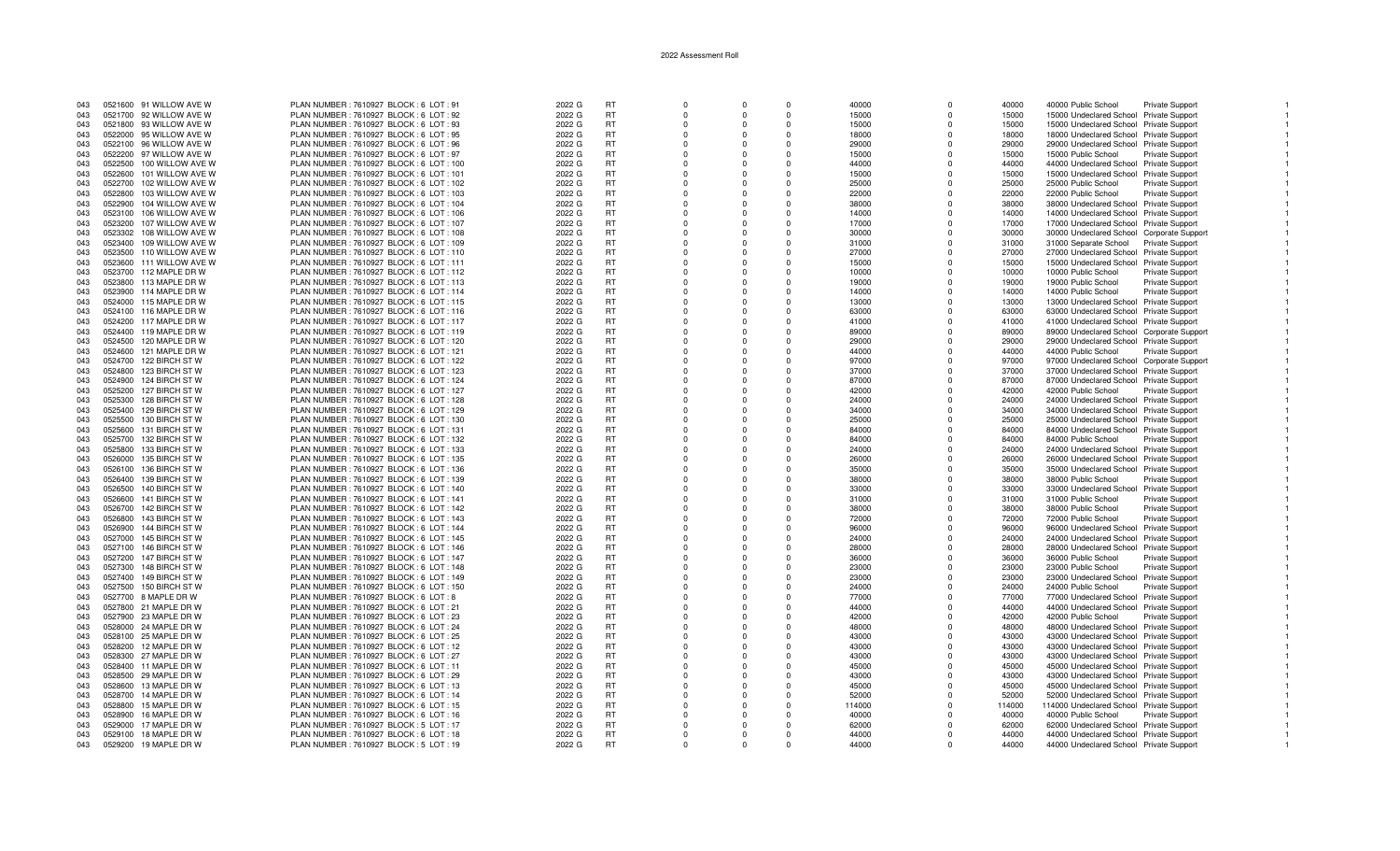| 043 |         | 0521600 91 WILLOW AVE W  | PLAN NUMBER: 7610927 BLOCK: 6 LOT: 91     | 2022 G | <b>RT</b> | $\Omega$ |          | $\Omega$ | 40000  | $\Omega$     | 40000  | 40000 Public School                       | Private Support        |  |
|-----|---------|--------------------------|-------------------------------------------|--------|-----------|----------|----------|----------|--------|--------------|--------|-------------------------------------------|------------------------|--|
| 043 |         | 0521700 92 WILLOW AVE W  | PLAN NUMBER: 7610927 BLOCK: 6 LOT: 92     | 2022 G | <b>RT</b> | $\Omega$ | $\Omega$ | $\Omega$ | 15000  | $\Omega$     | 15000  | 15000 Undeclared School Private Support   |                        |  |
| 043 |         | 0521800 93 WILLOW AVE W  | PLAN NUMBER : 7610927 BLOCK : 6 LOT : 93  | 2022 G | <b>RT</b> | $\Omega$ |          | $\Omega$ | 15000  | <sup>0</sup> | 15000  | 15000 Undeclared School Private Support   |                        |  |
| 043 |         | 0522000 95 WILLOW AVE W  | PLAN NUMBER: 7610927 BLOCK: 6 LOT: 95     | 2022 G | <b>RT</b> | $\Omega$ | $\Omega$ | $\Omega$ | 18000  | $\Omega$     | 18000  | 18000 Undeclared School Private Support   |                        |  |
| 043 |         | 0522100 96 WILLOW AVE W  | PLAN NUMBER : 7610927 BLOCK : 6 LOT : 96  | 2022 G | <b>RT</b> | $\Omega$ |          | $\Omega$ | 29000  | $\Omega$     | 29000  | 29000 Undeclared School Private Support   |                        |  |
|     |         |                          |                                           |        | <b>RT</b> |          |          |          |        |              |        |                                           |                        |  |
| 043 |         | 0522200 97 WILLOW AVE W  | PLAN NUMBER: 7610927 BLOCK: 6 LOT: 97     | 2022 G |           | $\Omega$ | $\Omega$ | $\Omega$ | 15000  | $\Omega$     | 15000  | 15000 Public School                       | Private Support        |  |
| 043 |         | 0522500 100 WILLOW AVE W | PLAN NUMBER : 7610927 BLOCK : 6 LOT : 100 | 2022 G | <b>RT</b> | $\Omega$ | $\Omega$ | $\Omega$ | 44000  | $\Omega$     | 44000  | 44000 Undeclared School Private Support   |                        |  |
| 043 |         | 0522600 101 WILLOW AVE W | PLAN NUMBER: 7610927 BLOCK: 6 LOT: 101    | 2022 G | <b>RT</b> | $\Omega$ | $\Omega$ | $\Omega$ | 15000  | $\Omega$     | 15000  | 15000 Undeclared School Private Support   |                        |  |
| 043 |         | 0522700 102 WILLOW AVE W | PLAN NUMBER : 7610927 BLOCK : 6 LOT : 102 | 2022 G | <b>RT</b> | $\Omega$ | $\Omega$ | $\Omega$ | 25000  | $\Omega$     | 25000  | 25000 Public School                       | Private Support        |  |
| 043 |         | 0522800 103 WILLOW AVE W | PLAN NUMBER: 7610927 BLOCK: 6 LOT: 103    | 2022 G | <b>RT</b> | $\Omega$ |          | $\Omega$ | 22000  | $\Omega$     | 22000  | 22000 Public School                       | <b>Private Support</b> |  |
| 043 |         | 0522900 104 WILLOW AVE W | PLAN NUMBER : 7610927 BLOCK : 6 LOT : 104 | 2022 G | <b>RT</b> | $\Omega$ |          | $\Omega$ | 38000  | $\Omega$     | 38000  | 38000 Undeclared School Private Support   |                        |  |
| 043 |         | 0523100 106 WILLOW AVE W | PLAN NUMBER : 7610927 BLOCK : 6 LOT : 106 | 2022 G | <b>RT</b> | $\Omega$ |          | $\Omega$ | 14000  | $\Omega$     | 14000  | 14000 Undeclared School Private Support   |                        |  |
| 043 |         | 0523200 107 WILLOW AVE W | PLAN NUMBER : 7610927 BLOCK : 6 LOT : 107 | 2022 G | <b>RT</b> | $\Omega$ |          | $\Omega$ | 17000  | $\Omega$     | 17000  | 17000 Undeclared School Private Support   |                        |  |
| 043 | 0523302 | 108 WILLOW AVE W         | PLAN NUMBER: 7610927 BLOCK: 6 LOT: 108    | 2022 G | <b>RT</b> | $\Omega$ | $\Omega$ | $\Omega$ | 30000  | $\Omega$     | 30000  | 30000 Undeclared School Corporate Support |                        |  |
| 043 |         | 0523400 109 WILLOW AVE W | PLAN NUMBER : 7610927 BLOCK : 6 LOT : 109 | 2022 G | <b>RT</b> | $\Omega$ | $\Omega$ | $\Omega$ | 31000  | $\Omega$     | 31000  | 31000 Separate School Private Support     |                        |  |
|     |         |                          |                                           |        | <b>RT</b> | $\Omega$ | $\Omega$ | $\Omega$ |        | $\Omega$     |        |                                           |                        |  |
| 043 |         | 0523500 110 WILLOW AVE W | PLAN NUMBER: 7610927 BLOCK: 6 LOT: 110    | 2022 G |           |          |          |          | 27000  |              | 27000  | 27000 Undeclared School Private Support   |                        |  |
| 043 |         | 0523600 111 WILLOW AVE W | PLAN NUMBER: 7610927 BLOCK: 6 LOT: 111    | 2022 G | <b>RT</b> | $\Omega$ | $\Omega$ | $\Omega$ | 15000  |              | 15000  | 15000 Undeclared School Private Support   |                        |  |
| 043 |         | 0523700 112 MAPLE DR W   | PLAN NUMBER: 7610927 BLOCK: 6 LOT: 112    | 2022 G | <b>RT</b> | $\Omega$ |          | $\Omega$ | 10000  | $\Omega$     | 10000  | 10000 Public School                       | Private Support        |  |
| 043 |         | 0523800 113 MAPLE DR W   | PLAN NUMBER : 7610927 BLOCK : 6 LOT : 113 | 2022 G | <b>RT</b> | $\Omega$ |          | $\Omega$ | 19000  | $\Omega$     | 19000  | 19000 Public School                       | <b>Private Support</b> |  |
| 043 |         | 0523900 114 MAPLE DR W   | PLAN NUMBER: 7610927 BLOCK: 6 LOT: 114    | 2022 G | <b>RT</b> | $\Omega$ |          | $\Omega$ | 14000  | $\Omega$     | 14000  | 14000 Public School                       | Private Support        |  |
| 043 |         | 0524000 115 MAPLE DR W   | PLAN NUMBER : 7610927 BLOCK : 6 LOT : 115 | 2022 G | <b>RT</b> | $\Omega$ |          | $\Omega$ | 13000  |              | 13000  | 13000 Undeclared School Private Support   |                        |  |
| 043 |         | 0524100 116 MAPLE DR W   | PLAN NUMBER: 7610927 BLOCK: 6 LOT: 116    | 2022 G | <b>RT</b> | $\Omega$ | $\Omega$ | $\Omega$ | 63000  | $\Omega$     | 63000  | 63000 Undeclared School Private Support   |                        |  |
| 043 |         | 0524200 117 MAPLE DR W   | PLAN NUMBER : 7610927 BLOCK : 6 LOT : 117 | 2022 G | <b>RT</b> | $\Omega$ | $\Omega$ | $\Omega$ | 41000  | $\Omega$     | 41000  | 41000 Undeclared School Private Support   |                        |  |
| 043 |         | 0524400 119 MAPLE DR W   | PLAN NUMBER: 7610927 BLOCK: 6 LOT: 119    | 2022 G | <b>RT</b> | $\Omega$ | $\Omega$ | $\Omega$ | 89000  | $\Omega$     | 89000  | 89000 Undeclared School Corporate Support |                        |  |
| 043 |         | 0524500 120 MAPLE DR W   | PLAN NUMBER : 7610927 BLOCK : 6 LOT : 120 | 2022 G | <b>RT</b> | $\Omega$ | $\Omega$ | $\Omega$ | 29000  |              | 29000  | 29000 Undeclared School Private Support   |                        |  |
| 043 |         | 0524600 121 MAPLE DR W   | PLAN NUMBER: 7610927 BLOCK: 6 LOT: 121    | 2022 G | <b>RT</b> | $\Omega$ |          | $\Omega$ | 44000  | $\Omega$     | 44000  | 44000 Public School                       | Private Support        |  |
|     |         |                          |                                           |        |           |          |          |          |        |              |        |                                           |                        |  |
| 043 |         | 0524700 122 BIRCH ST W   | PLAN NUMBER : 7610927 BLOCK : 6 LOT : 122 | 2022 G | RT        | $\Omega$ |          | $\Omega$ | 97000  | $\Omega$     | 97000  | 97000 Undeclared School Corporate Support |                        |  |
| 043 |         | 0524800 123 BIRCH ST W   | PLAN NUMBER : 7610927 BLOCK : 6 LOT : 123 | 2022 G | <b>RT</b> | $\Omega$ |          | $\Omega$ | 37000  | $\Omega$     | 37000  | 37000 Undeclared School Private Support   |                        |  |
| 043 |         | 0524900 124 BIRCH ST W   | PLAN NUMBER : 7610927 BLOCK : 6 LOT : 124 | 2022 G | <b>RT</b> | $\Omega$ |          | $\Omega$ | 87000  | $\Omega$     | 87000  | 87000 Undeclared School Private Support   |                        |  |
| 043 | 0525200 | 127 BIRCH ST W           | PLAN NUMBER: 7610927 BLOCK: 6 LOT: 127    | 2022 G | <b>RT</b> | $\Omega$ | $\Omega$ | $\Omega$ | 42000  | $\Omega$     | 42000  | 42000 Public School                       | Private Support        |  |
| 043 | 0525300 | 128 BIRCH ST W           | PLAN NUMBER: 7610927 BLOCK: 6 LOT: 128    | 2022 G | <b>RT</b> | $\Omega$ | $\Omega$ | $\Omega$ | 24000  | $\Omega$     | 24000  | 24000 Undeclared School Private Support   |                        |  |
| 043 | 0525400 | 129 BIRCH ST W           | PLAN NUMBER : 7610927 BLOCK : 6 LOT : 129 | 2022 G | <b>RT</b> | $\Omega$ | $\Omega$ | $\Omega$ | 34000  | $\Omega$     | 34000  | 34000 Undeclared School Private Support   |                        |  |
| 043 |         | 0525500 130 BIRCH ST W   | PLAN NUMBER: 7610927 BLOCK: 6 LOT: 130    | 2022 G | RT        | $\Omega$ |          | $\Omega$ | 25000  |              | 25000  | 25000 Undeclared School Private Support   |                        |  |
| 043 |         | 0525600 131 BIRCH ST W   | PLAN NUMBER: 7610927 BLOCK: 6 LOT: 131    | 2022 G | <b>RT</b> | $\Omega$ |          | $\Omega$ | 84000  | $\Omega$     | 84000  | 84000 Undeclared School Private Support   |                        |  |
| 043 |         | 0525700 132 BIRCH ST W   | PLAN NUMBER : 7610927 BLOCK : 6 LOT : 132 | 2022 G | <b>RT</b> | $\Omega$ |          | $\Omega$ | 84000  | $\Omega$     | 84000  | 84000 Public School                       | Private Support        |  |
| 043 | 0525800 | 133 BIRCH ST W           | PLAN NUMBER: 7610927 BLOCK: 6 LOT: 133    | 2022 G | <b>RT</b> | $\Omega$ | $\Omega$ | $\Omega$ | 24000  | $\Omega$     | 24000  | 24000 Undeclared School Private Support   |                        |  |
|     |         |                          |                                           |        |           |          |          |          |        |              |        |                                           |                        |  |
| 043 | 0526000 | 135 BIRCH ST W           | PLAN NUMBER : 7610927 BLOCK : 6 LOT : 135 | 2022 G | <b>RT</b> | $\Omega$ |          | $\Omega$ | 26000  |              | 26000  | 26000 Undeclared School Private Support   |                        |  |
| 043 | 0526100 | 136 BIRCH ST W           | PLAN NUMBER: 7610927 BLOCK: 6 LOT: 136    | 2022 G | <b>RT</b> | $\Omega$ | $\Omega$ | $\Omega$ | 35000  | $\Omega$     | 35000  | 35000 Undeclared School Private Support   |                        |  |
| 043 | 0526400 | 139 BIRCH ST W           | PLAN NUMBER : 7610927 BLOCK : 6 LOT : 139 | 2022 G | <b>RT</b> | $\Omega$ | $\Omega$ | $\Omega$ | 38000  | $\Omega$     | 38000  | 38000 Public School                       | Private Support        |  |
| 043 |         | 0526500 140 BIRCH ST W   | PLAN NUMBER : 7610927 BLOCK : 6 LOT : 140 | 2022 G | <b>RT</b> | $\Omega$ | $\Omega$ | $\Omega$ | 33000  | $\Omega$     | 33000  | 33000 Undeclared School Private Support   |                        |  |
| 043 |         | 0526600 141 BIRCH ST W   | PLAN NUMBER : 7610927 BLOCK : 6 LOT : 141 | 2022 G | <b>RT</b> | $\Omega$ |          | $\Omega$ | 31000  |              | 31000  | 31000 Public School                       | Private Support        |  |
| 043 |         | 0526700 142 BIRCH ST W   | PLAN NUMBER : 7610927 BLOCK : 6 LOT : 142 | 2022 G | <b>RT</b> | $\Omega$ |          | $\Omega$ | 38000  | n            | 38000  | 38000 Public School                       | Private Support        |  |
| 043 |         | 0526800 143 BIRCH ST W   | PLAN NUMBER : 7610927 BLOCK : 6 LOT : 143 | 2022 G | <b>RT</b> | $\Omega$ |          | $\Omega$ | 72000  | $\Omega$     | 72000  | 72000 Public School                       | Private Support        |  |
| 043 |         | 0526900 144 BIRCH ST W   | PLAN NUMBER: 7610927 BLOCK: 6 LOT: 144    | 2022 G | <b>RT</b> | $\Omega$ | $\Omega$ | $\Omega$ | 96000  | $\Omega$     | 96000  | 96000 Undeclared School Private Support   |                        |  |
| 043 |         | 0527000 145 BIRCH ST W   | PLAN NUMBER: 7610927 BLOCK: 6 LOT: 145    | 2022 G | <b>RT</b> | $\Omega$ |          | $\Omega$ | 24000  |              | 24000  | 24000 Undeclared School Private Support   |                        |  |
| 043 |         | 0527100 146 BIRCH ST W   | PLAN NUMBER : 7610927 BLOCK : 6 LOT : 146 | 2022 G | <b>RT</b> | $\Omega$ | $\Omega$ | $\Omega$ | 28000  | $\Omega$     | 28000  | 28000 Undeclared School Private Support   |                        |  |
|     |         |                          |                                           |        |           |          |          |          |        |              |        |                                           |                        |  |
| 043 |         | 0527200 147 BIRCH ST W   | PLAN NUMBER: 7610927 BLOCK: 6 LOT: 147    | 2022 G | <b>RT</b> | $\Omega$ | $\Omega$ | $\Omega$ | 36000  | $\Omega$     | 36000  | 36000 Public School                       | Private Support        |  |
| 043 |         | 0527300 148 BIRCH ST W   | PLAN NUMBER: 7610927 BLOCK: 6 LOT: 148    | 2022 G | <b>RT</b> | $\Omega$ | $\Omega$ | $\Omega$ | 23000  | $\Omega$     | 23000  | 23000 Public School                       | Private Support        |  |
| 043 |         | 0527400 149 BIRCH ST W   | PLAN NUMBER : 7610927 BLOCK : 6 LOT : 149 | 2022 G | <b>RT</b> | $\Omega$ |          | $\Omega$ | 23000  | $\Omega$     | 23000  | 23000 Undeclared School Private Support   |                        |  |
| 043 |         | 0527500 150 BIRCH ST W   | PLAN NUMBER : 7610927 BLOCK : 6 LOT : 150 | 2022 G | <b>RT</b> | $\Omega$ |          | $\Omega$ | 24000  | $\Omega$     | 24000  | 24000 Public School                       | Private Support        |  |
| 043 |         | 0527700 8 MAPLE DR W     | PLAN NUMBER : 7610927 BLOCK : 6 LOT : 8   | 2022 G | <b>RT</b> | $\Omega$ |          | $\Omega$ | 77000  | $\Omega$     | 77000  | 77000 Undeclared School Private Support   |                        |  |
| 043 |         | 0527800 21 MAPLE DR W    | PLAN NUMBER: 7610927 BLOCK: 6 LOT: 21     | 2022 G | <b>RT</b> | $\Omega$ | $\Omega$ | $\Omega$ | 44000  | $\Omega$     | 44000  | 44000 Undeclared School Private Support   |                        |  |
| 043 |         | 0527900 23 MAPLE DR W    | PLAN NUMBER : 7610927 BLOCK : 6 LOT : 23  | 2022 G | <b>RT</b> | $\Omega$ | $\Omega$ | $\Omega$ | 42000  |              | 42000  | 42000 Public School                       | Private Support        |  |
| 043 |         | 0528000 24 MAPLE DR W    | PLAN NUMBER: 7610927 BLOCK: 6 LOT: 24     | 2022 G | <b>RT</b> | $\Omega$ | $\Omega$ | $\Omega$ | 48000  | $\Omega$     | 48000  | 48000 Undeclared School Private Support   |                        |  |
| 043 |         | 0528100 25 MAPLE DR W    | PLAN NUMBER: 7610927 BLOCK: 6 LOT: 25     | 2022 G | <b>RT</b> | $\Omega$ | $\Omega$ | $\Omega$ | 43000  | $\Omega$     | 43000  | 43000 Undeclared School Private Support   |                        |  |
| 043 |         | 0528200 12 MAPLE DR W    | PLAN NUMBER : 7610927 BLOCK : 6 LOT : 12  | 2022 G | <b>RT</b> | $\Omega$ | $\Omega$ | $\Omega$ | 43000  | $\Omega$     | 43000  | 43000 Undeclared School Private Support   |                        |  |
|     |         |                          |                                           |        |           |          |          |          |        |              |        |                                           |                        |  |
| 043 |         | 0528300 27 MAPLE DR W    | PLAN NUMBER : 7610927 BLOCK : 6 LOT : 27  | 2022 G | <b>RT</b> | $\Omega$ |          | $\Omega$ | 43000  | $\Omega$     | 43000  | 43000 Undeclared School Private Support   |                        |  |
| 043 |         | 0528400 11 MAPLE DR W    | PLAN NUMBER: 7610927 BLOCK: 6 LOT: 11     | 2022 G | <b>RT</b> | $\Omega$ |          | $\Omega$ | 45000  | $\Omega$     | 45000  | 45000 Undeclared School Private Support   |                        |  |
| 043 |         | 0528500 29 MAPLE DR W    | PLAN NUMBER: 7610927 BLOCK: 6 LOT: 29     | 2022 G | <b>RT</b> | $\Omega$ |          | $\Omega$ | 43000  |              | 43000  | 43000 Undeclared School Private Support   |                        |  |
| 043 |         | 0528600 13 MAPLE DR W    | PLAN NUMBER : 7610927 BLOCK : 6 LOT : 13  | 2022 G | <b>RT</b> | $\Omega$ | $\Omega$ | $\Omega$ | 45000  | $\Omega$     | 45000  | 45000 Undeclared School Private Support   |                        |  |
| 043 |         | 0528700 14 MAPLE DR W    | PLAN NUMBER : 7610927 BLOCK : 6 LOT : 14  | 2022 G | <b>RT</b> | $\Omega$ | $\Omega$ | $\Omega$ | 52000  | $\Omega$     | 52000  | 52000 Undeclared School Private Support   |                        |  |
| 043 | 0528800 | 15 MAPLE DR W            | PLAN NUMBER: 7610927 BLOCK: 6 LOT: 15     | 2022 G | <b>RT</b> | $\Omega$ | $\Omega$ | $\Omega$ | 114000 | $\Omega$     | 114000 | 114000 Undeclared School Private Support  |                        |  |
| 043 | 0528900 | 16 MAPLE DR W            | PLAN NUMBER : 7610927 BLOCK : 6 LOT : 16  | 2022 G | <b>RT</b> | $\Omega$ | $\Omega$ | $\Omega$ | 40000  | $\Omega$     | 40000  | 40000 Public School                       | <b>Private Support</b> |  |
| 043 |         | 0529000 17 MAPLE DR W    | PLAN NUMBER : 7610927 BLOCK : 5 LOT : 17  | 2022 G | <b>RT</b> | $\Omega$ |          | $\Omega$ | 62000  |              | 62000  | 62000 Undeclared School Private Support   |                        |  |
| 043 |         | 0529100 18 MAPLE DR W    | PLAN NUMBER : 7610927 BLOCK : 6 LOT : 18  | 2022 G | <b>RT</b> | $\Omega$ |          | $\Omega$ | 44000  |              | 44000  | 44000 Undeclared School Private Support   |                        |  |
| 043 |         | 0529200 19 MAPLE DR W    | PLAN NUMBER : 7610927 BLOCK : 5 LOT : 19  | 2022 G | <b>RT</b> | $\Omega$ |          |          | 44000  |              | 44000  | 44000 Undeclared School Private Support   |                        |  |
|     |         |                          |                                           |        |           |          |          |          |        |              |        |                                           |                        |  |

## 2022 Assessment Roll

 $\blacksquare$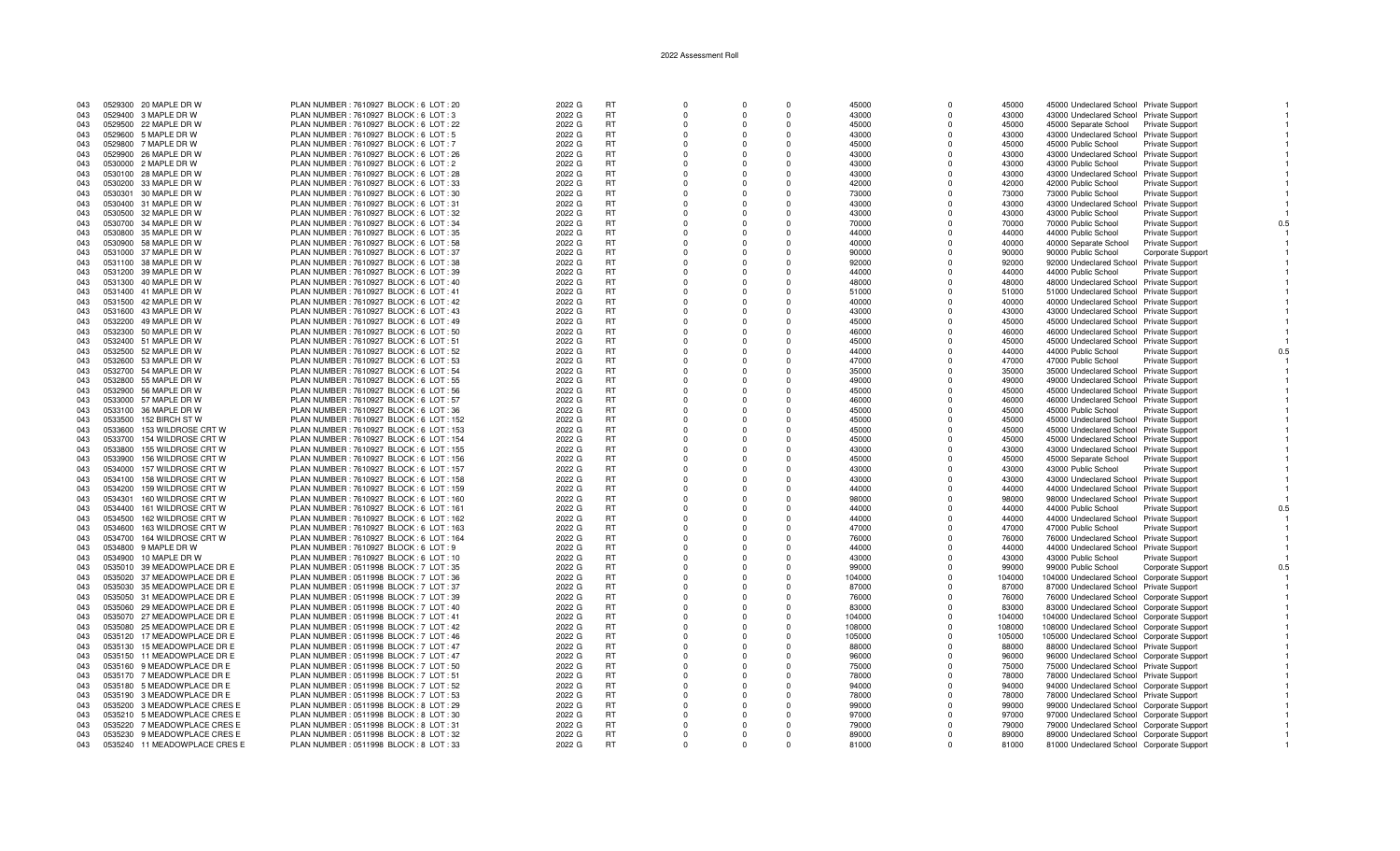| 043 |         | 0529300 20 MAPLE DR W         | PLAN NUMBER : 7610927 BLOCK : 6 LOT : 20  | 2022 G | <b>RT</b> | $\Omega$ | $\Omega$ | $\Omega$    | 45000  | $\Omega$             | 45000  | 45000 Undeclared School Private Support                                              |                        |     |
|-----|---------|-------------------------------|-------------------------------------------|--------|-----------|----------|----------|-------------|--------|----------------------|--------|--------------------------------------------------------------------------------------|------------------------|-----|
| 043 |         | 0529400 3 MAPLE DR W          | PLAN NUMBER : 7610927 BLOCK : 6 LOT : 3   | 2022 G | RT        | $\Omega$ | $\Omega$ | $\Omega$    | 43000  | $\Omega$             | 43000  | 43000 Undeclared School Private Support                                              |                        |     |
| 043 |         | 0529500 22 MAPLE DR W         | PLAN NUMBER : 7610927 BLOCK : 6 LOT : 22  | 2022 G | <b>RT</b> | $\Omega$ |          | $\Omega$    | 45000  | $\Omega$             | 45000  | 45000 Separate School Private Support                                                |                        |     |
| 043 |         | 0529600 5 MAPLE DR W          | PLAN NUMBER : 7610927 BLOCK : 6 LOT : 5   | 2022 G | <b>RT</b> | $\Omega$ | $\Omega$ | $\Omega$    | 43000  | $\Omega$             | 43000  | 43000 Undeclared School Private Support                                              |                        |     |
| 043 |         | 0529800 7 MAPLE DR W          | PLAN NUMBER: 7610927 BLOCK: 6 LOT: 7      | 2022 G | <b>RT</b> | $\Omega$ |          | $\Omega$    | 45000  | $\Omega$             | 45000  | 45000 Public School                                                                  | <b>Private Support</b> |     |
| 043 |         | 0529900 26 MAPLE DR W         | PLAN NUMBER: 7610927 BLOCK: 6 LOT: 26     | 2022 G | <b>RT</b> | $\Omega$ | $\Omega$ | $\Omega$    | 43000  | $\Omega$             | 43000  | 43000 Undeclared School Private Support                                              |                        |     |
| 043 | 0530000 | 2 MAPLE DR W                  | PLAN NUMBER : 7610927 BLOCK : 6 LOT : 2   | 2022 G | <b>RT</b> | $\Omega$ | $\Omega$ | $\Omega$    | 43000  | $\Omega$             | 43000  | 43000 Public School                                                                  | <b>Private Support</b> |     |
| 043 |         | 0530100 28 MAPLE DR W         | PLAN NUMBER: 7610927 BLOCK: 6 LOT: 28     | 2022 G | <b>RT</b> | $\Omega$ | $\Omega$ | $\Omega$    | 43000  | $\Omega$             | 43000  | 43000 Undeclared School Private Support                                              |                        |     |
| 043 |         | 0530200 33 MAPLE DR W         | PLAN NUMBER : 7610927 BLOCK : 6 LOT : 33  | 2022 G | <b>RT</b> | $\Omega$ | $\Omega$ | $\Omega$    | 42000  |                      | 42000  | 42000 Public School                                                                  | <b>Private Support</b> |     |
| 043 |         | 0530301 30 MAPLE DR W         | PLAN NUMBER : 7610927 BLOCK : 6 LOT : 30  | 2022 G | <b>RT</b> | $\Omega$ | $\Omega$ | $\Omega$    | 73000  | $\Omega$             | 73000  | 73000 Public School                                                                  | <b>Private Support</b> |     |
| 043 |         | 0530400 31 MAPLE DR W         | PLAN NUMBER: 7610927 BLOCK: 6 LOT: 31     | 2022 G | <b>RT</b> | - 0      |          | $\Omega$    | 43000  | n                    | 43000  | 43000 Undeclared School Private Support                                              |                        |     |
| 043 |         | 0530500 32 MAPLE DR W         | PLAN NUMBER: 7610927 BLOCK: 6 LOT: 32     | 2022 G | <b>RT</b> | $\Omega$ |          | $\Omega$    | 43000  | $\Omega$             | 43000  | 43000 Public School                                                                  | <b>Private Support</b> |     |
| 043 |         | 0530700 34 MAPLE DR W         | PLAN NUMBER : 7610927 BLOCK : 6 LOT : 34  | 2022 G | <b>RT</b> | $\Omega$ |          | $\Omega$    | 70000  |                      | 70000  | 70000 Public School                                                                  | <b>Private Support</b> |     |
| 043 |         | 0530800 35 MAPLE DR W         | PLAN NUMBER: 7610927 BLOCK: 6 LOT: 35     | 2022 G | RT        | $\Omega$ | $\Omega$ | $\Omega$    | 44000  | $\Omega$             | 44000  |                                                                                      |                        |     |
|     |         |                               |                                           |        |           | $\Omega$ |          | $\Omega$    |        |                      |        | 44000 Public School                                                                  | Private Support        |     |
| 043 | 0530900 | 58 MAPLE DR W                 | PLAN NUMBER : 7610927 BLOCK : 6 LOT : 58  | 2022 G | RT        | $\Omega$ | $\Omega$ | $\Omega$    | 40000  | $\Omega$<br>$\Omega$ | 40000  | 40000 Separate School                                                                | Private Support        |     |
| 043 |         | 0531000 37 MAPLE DR W         | PLAN NUMBER : 7610927 BLOCK : 6 LOT : 37  | 2022 G | <b>RT</b> | $\Omega$ | $\Omega$ |             | 90000  |                      | 90000  | 90000 Public School                                                                  | Corporate Suppor       |     |
| 043 |         | 0531100 38 MAPLE DR W         | PLAN NUMBER : 7610927 BLOCK : 6 LOT : 38  | 2022 G | <b>RT</b> |          |          | $\Omega$    | 92000  |                      | 92000  | 92000 Undeclared School Private Support                                              |                        |     |
| 043 |         | 0531200 39 MAPLE DR W         | PLAN NUMBER: 7610927 BLOCK: 6 LOT: 39     | 2022 G | RT        | $\Omega$ | n        | $\Omega$    | 44000  | n                    | 44000  | 44000 Public School                                                                  | <b>Private Support</b> |     |
| 043 |         | 0531300 40 MAPLE DR W         | PLAN NUMBER : 7610927 BLOCK : 6 LOT : 40  | 2022 G | <b>RT</b> | - 0      |          | $\Omega$    | 48000  |                      | 48000  | 48000 Undeclared School Private Support                                              |                        |     |
| 043 |         | 0531400 41 MAPLE DR W         | PLAN NUMBER: 7610927 BLOCK: 6 LOT: 41     | 2022 G | <b>RT</b> | $\Omega$ | n        | $\Omega$    | 51000  | $\Omega$             | 51000  | 51000 Undeclared School Private Support                                              |                        |     |
| 043 |         | 0531500 42 MAPLE DR W         | PLAN NUMBER: 7610927 BLOCK: 6 LOT: 42     | 2022 G | <b>RT</b> | $\Omega$ |          | $\Omega$    | 40000  |                      | 40000  | 40000 Undeclared School Private Support                                              |                        |     |
| 043 |         | 0531600 43 MAPLE DR W         | PLAN NUMBER : 7610927 BLOCK : 6 LOT : 43  | 2022 G | <b>RT</b> | $\Omega$ | $\Omega$ | $\mathbf 0$ | 43000  | $\Omega$             | 43000  | 43000 Undeclared School Private Support                                              |                        |     |
| 043 |         | 0532200 49 MAPLE DR W         | PLAN NUMBER: 7610927 BLOCK: 6 LOT: 49     | 2022 G | RT        | $\Omega$ | $\Omega$ | $\Omega$    | 45000  | $\Omega$             | 45000  | 45000 Undeclared School Private Support                                              |                        |     |
| 043 |         | 0532300 50 MAPLE DR W         | PLAN NUMBER: 7610927 BLOCK: 6 LOT: 50     | 2022 G | <b>RT</b> | $\Omega$ | $\Omega$ | $\Omega$    | 46000  | $\Omega$             | 46000  | 46000 Undeclared School Private Support                                              |                        |     |
| 043 |         | 0532400 51 MAPLE DR W         | PLAN NUMBER : 7610927 BLOCK : 6 LOT : 51  | 2022 G | <b>RT</b> | $\Omega$ |          | $\Omega$    | 45000  |                      | 45000  | 45000 Undeclared School Private Support                                              |                        |     |
| 043 |         | 0532500 52 MAPLE DR W         | PLAN NUMBER: 7610927 BLOCK: 6 LOT: 52     | 2022 G | <b>RT</b> | - 0      | n        | $\Omega$    | 44000  | n                    | 44000  | 44000 Public School                                                                  | Private Support        |     |
| 043 |         | 0532600 53 MAPLE DR W         | PLAN NUMBER: 7610927 BLOCK: 6 LOT: 53     | 2022 G | <b>RT</b> | $\Omega$ |          | $\Omega$    | 47000  |                      | 47000  | 47000 Public School                                                                  | <b>Private Support</b> |     |
| 043 |         | 0532700 54 MAPLE DR W         | PLAN NUMBER : 7610927 BLOCK : 6 LOT : 54  | 2022 G | <b>RT</b> | $\Omega$ | $\Omega$ | $\Omega$    | 35000  | $\Omega$             | 35000  | 35000 Undeclared School Private Support                                              |                        |     |
| 043 |         | 0532800 55 MAPLE DR W         | PLAN NUMBER: 7610927 BLOCK: 6 LOT: 55     | 2022 G | RT        | $\Omega$ |          | $\Omega$    | 49000  |                      | 49000  | 49000 Undeclared School Private Support                                              |                        |     |
| 043 |         | 0532900 56 MAPLE DR W         | PLAN NUMBER : 7610927 BLOCK : 6 LOT : 56  | 2022 G | <b>RT</b> | $\Omega$ | $\Omega$ | $\Omega$    | 45000  | $\Omega$             | 45000  | 45000 Undeclared School Private Support                                              |                        |     |
| 043 |         | 0533000 57 MAPLE DR W         | PLAN NUMBER : 7610927 BLOCK : 6 LOT : 57  | 2022 G | <b>RT</b> | $\Omega$ | $\Omega$ | $\Omega$    | 46000  | $\Omega$             | 46000  | 46000 Undeclared School Private Support                                              |                        |     |
| 043 |         | 0533100 36 MAPLE DR W         | PLAN NUMBER : 7610927 BLOCK : 6 LOT : 36  | 2022 G | <b>RT</b> | $\Omega$ | $\Omega$ | $\Omega$    | 45000  | $\Omega$             | 45000  | 45000 Public School                                                                  | <b>Private Support</b> |     |
| 043 |         | 0533500 152 BIRCH ST W        | PLAN NUMBER: 7610927 BLOCK: 6 LOT: 152    | 2022 G | <b>RT</b> | $\Omega$ |          | $\Omega$    | 45000  |                      | 45000  | 45000 Undeclared School Private Support                                              |                        |     |
| 043 |         | 0533600 153 WILDROSE CRT W    | PLAN NUMBER: 7610927 BLOCK: 6 LOT: 153    | 2022 G | RT        | $\Omega$ | $\Omega$ | $\Omega$    | 45000  | $\Omega$             | 45000  | 45000 Undeclared School Private Support                                              |                        |     |
| 043 |         | 0533700 154 WILDROSE CRT W    | PLAN NUMBER: 7610927 BLOCK: 6 LOT: 154    | 2022 G | <b>RT</b> | $\Omega$ |          | $\Omega$    | 45000  |                      | 45000  | 45000 Undeclared School Private Support                                              |                        |     |
| 043 |         |                               |                                           |        | <b>RT</b> | $\Omega$ |          | $\Omega$    | 43000  | $\Omega$             | 43000  |                                                                                      |                        |     |
|     |         | 0533800 155 WILDROSE CRT W    | PLAN NUMBER : 7610927 BLOCK : 6 LOT : 155 | 2022 G |           |          |          |             |        |                      |        | 43000 Undeclared School Private Support                                              |                        |     |
| 043 |         | 0533900 156 WILDROSE CRT W    | PLAN NUMBER: 7610927 BLOCK: 6 LOT: 156    | 2022 G | RT        | $\Omega$ |          | $\Omega$    | 45000  |                      | 45000  | 45000 Separate School                                                                | <b>Private Support</b> |     |
| 043 |         | 0534000 157 WILDROSE CRT W    | PLAN NUMBER: 7610927 BLOCK: 6 LOT: 157    | 2022 G | <b>RT</b> | $\Omega$ | $\Omega$ | $\Omega$    | 43000  | $\Omega$             | 43000  | 43000 Public School                                                                  | <b>Private Support</b> |     |
| 043 | 0534100 | 158 WILDROSE CRT W            | PLAN NUMBER: 7610927 BLOCK: 6 LOT: 158    | 2022 G | <b>RT</b> | $\Omega$ | $\Omega$ | $\Omega$    | 43000  | $\Omega$             | 43000  | 43000 Undeclared School Private Support                                              |                        |     |
| 043 |         | 0534200 159 WILDROSE CRT W    | PLAN NUMBER: 7610927 BLOCK: 6 LOT: 159    | 2022 G | <b>RT</b> | $\Omega$ | $\Omega$ | $\Omega$    | 44000  | $\Omega$             | 44000  | 44000 Undeclared School Private Support                                              |                        |     |
| 043 |         | 0534301 160 WILDROSE CRT W    | PLAN NUMBER : 7610927 BLOCK : 6 LOT : 160 | 2022 G | <b>RT</b> | $\Omega$ | $\Omega$ | $\Omega$    | 98000  |                      | 98000  | 98000 Undeclared School Private Support                                              |                        |     |
| 043 |         | 0534400 161 WILDROSE CRT W    | PLAN NUMBER : 7610927 BLOCK : 6 LOT : 161 | 2022 G | <b>RT</b> | $\Omega$ | $\Omega$ | $\Omega$    | 44000  | $\Omega$             | 44000  | 44000 Public School                                                                  | Private Support        | 0.5 |
| 043 |         | 0534500 162 WILDROSE CRT W    | PLAN NUMBER: 7610927 BLOCK: 6 LOT: 162    | 2022 G | RT        | $\Omega$ |          | $\Omega$    | 44000  | $\Omega$             | 44000  | 44000 Undeclared School Private Support                                              |                        |     |
| 043 |         | 0534600 163 WILDROSE CRT W    | PLAN NUMBER : 7610927 BLOCK : 6 LOT : 163 | 2022 G | <b>RT</b> | $\Omega$ |          | $\Omega$    | 47000  | $\Omega$             | 47000  | 47000 Public School                                                                  | Private Support        |     |
| 043 |         | 0534700 164 WILDROSE CRT W    | PLAN NUMBER: 7610927 BLOCK: 6 LOT: 164    | 2022 G | RT        | $\Omega$ | $\Omega$ | $\Omega$    | 76000  |                      | 76000  | 76000 Undeclared School Private Support                                              |                        |     |
| 043 |         | 0534800 9 MAPLE DR W          | PLAN NUMBER : 7610927 BLOCK : 6 LOT : 9   | 2022 G | RT        | $\Omega$ | $\Omega$ | $\Omega$    | 44000  | $\Omega$             | 44000  | 44000 Undeclared School Private Support                                              |                        |     |
| 043 | 0534900 | 10 MAPLE DR W                 | PLAN NUMBER: 7610927 BLOCK: 6 LOT: 10     | 2022 G | <b>RT</b> | $\Omega$ | $\Omega$ | $\Omega$    | 43000  | $\Omega$             | 43000  | 43000 Public School                                                                  | <b>Private Support</b> |     |
| 043 |         | 0535010 39 MEADOWPLACE DR E   | PLAN NUMBER: 0511998 BLOCK: 7 LOT: 35     | 2022 G | <b>RT</b> | $\Omega$ | $\Omega$ | $\Omega$    | 99000  |                      | 99000  | 99000 Public School                                                                  | Corporate Support      |     |
| 043 |         | 0535020 37 MEADOWPLACE DR E   | PLAN NUMBER : 0511998 BLOCK : 7 LOT : 36  | 2022 G | <b>RT</b> | $\Omega$ | $\Omega$ | $\Omega$    | 104000 | $\Omega$             | 104000 | 104000 Undeclared School Corporate Support                                           |                        |     |
| 043 |         | 0535030 35 MEADOWPLACE DR E   | PLAN NUMBER : 0511998 BLOCK : 7 LOT : 37  | 2022 G | <b>RT</b> | $\Omega$ | $\Omega$ | $\Omega$    | 87000  | $\Omega$             | 87000  | 87000 Undeclared School Private Support                                              |                        |     |
| 043 |         | 0535050 31 MEADOWPLACE DR E   | PLAN NUMBER : 0511998 BLOCK : 7 LOT : 39  | 2022 G | RT        | $\Omega$ |          | $\Omega$    | 76000  | $\Omega$             | 76000  | 76000 Undeclared School Corporate Support                                            |                        |     |
| 043 |         | 0535060 29 MEADOWPLACE DR E   | PLAN NUMBER : 0511998 BLOCK : 7 LOT : 40  | 2022 G | <b>RT</b> | $\Omega$ | $\Omega$ | $\Omega$    | 83000  | $\Omega$             | 83000  | 83000 Undeclared School Corporate Support                                            |                        |     |
| 043 |         | 0535070 27 MEADOWPLACE DR E   | PLAN NUMBER : 0511998 BLOCK : 7 LOT : 41  | 2022 G | RT        | $\Omega$ | $\Omega$ | $\Omega$    | 104000 |                      | 104000 | 104000 Undeclared School Corporate Support                                           |                        |     |
| 043 | 0535080 | 25 MEADOWPLACE DR E           | PLAN NUMBER: 0511998 BLOCK: 7 LOT: 42     | 2022 G | <b>RT</b> | $\Omega$ | $\Omega$ | $\Omega$    | 108000 | $\Omega$             | 108000 | 108000 Undeclared School Corporate Support                                           |                        |     |
| 043 | 0535120 | 17 MEADOWPLACE DR E           | PLAN NUMBER : 0511998 BLOCK : 7 LOT : 46  | 2022 G | <b>RT</b> | $\Omega$ | $\Omega$ | $\Omega$    | 105000 | $\Omega$             | 105000 | 105000 Undeclared School Corporate Support                                           |                        |     |
| 043 |         | 0535130 15 MEADOWPLACE DR E   | PLAN NUMBER : 0511998 BLOCK : 7 LOT : 47  | 2022 G | <b>RT</b> | $\Omega$ | $\Omega$ | $\Omega$    | 88000  |                      | 88000  | 88000 Undeclared School Private Support                                              |                        |     |
| 043 |         | 0535150 11 MEADOWPLACE DR E   | PLAN NUMBER : 0511998 BLOCK : 7 LOT : 47  | 2022 G | <b>RT</b> | $\Omega$ | $\Omega$ | $\Omega$    | 96000  | $\Omega$             | 96000  | 96000 Undeclared School Corporate Support                                            |                        |     |
| 043 |         | 0535160 9 MEADOWPLACE DR E    | PLAN NUMBER : 0511998 BLOCK : 7 LOT : 50  | 2022 G | <b>RT</b> | $\Omega$ |          | $\Omega$    | 75000  | $\Omega$             | 75000  | 75000 Undeclared School Private Support                                              |                        |     |
| 043 |         | 0535170 7 MEADOWPLACE DR E    | PLAN NUMBER : 0511998 BLOCK : 7 LOT : 51  | 2022 G | RT        | $\Omega$ |          | $\Omega$    | 78000  |                      | 78000  | 78000 Undeclared School Private Support                                              |                        |     |
| 043 |         | 0535180 5 MEADOWPLACE DR E    | PLAN NUMBER : 0511998 BLOCK : 7 LOT : 52  | 2022 G | <b>RT</b> | $\Omega$ | $\Omega$ | $\Omega$    | 94000  | $\Omega$             | 94000  |                                                                                      |                        |     |
| 043 |         | 0535190 3 MEADOWPLACE DR E    | PLAN NUMBER : 0511998 BLOCK : 7 LOT : 53  |        | <b>RT</b> | $\Omega$ | $\Omega$ | $\Omega$    | 78000  |                      | 78000  | 94000 Undeclared School Corporate Support<br>78000 Undeclared School Private Support |                        |     |
|     |         |                               |                                           | 2022 G |           |          |          |             |        | $\Omega$             |        |                                                                                      |                        |     |
| 043 |         | 0535200 3 MEADOWPLACE CRES E  | PLAN NUMBER: 0511998 BLOCK: 8 LOT: 29     | 2022 G | <b>RT</b> | $\Omega$ | $\Omega$ | $\Omega$    | 99000  |                      | 99000  | 99000 Undeclared School Corporate Support                                            |                        |     |
| 043 |         | 0535210 5 MEADOWPLACE CRES E  | PLAN NUMBER : 0511998 BLOCK : 8 LOT : 30  | 2022 G | <b>RT</b> | $\Omega$ | $\Omega$ | $\Omega$    | 97000  |                      | 97000  | 97000 Undeclared School Corporate Support                                            |                        |     |
| 043 |         | 0535220 7 MEADOWPLACE CRES E  | PLAN NUMBER : 0511998 BLOCK : 8 LOT : 31  | 2022 G | RT        | $\Omega$ |          | $\Omega$    | 79000  |                      | 79000  | 79000 Undeclared School Corporate Support                                            |                        |     |
| 043 |         | 0535230 9 MEADOWPLACE CRES E  | PLAN NUMBER : 0511998 BLOCK : 8 LOT : 32  | 2022 G | <b>RT</b> | $\Omega$ | $\Omega$ | $\Omega$    | 89000  |                      | 89000  | 89000 Undeclared School Corporate Support                                            |                        |     |
| 043 |         | 0535240 11 MEADOWPLACE CRES E | PLAN NUMBER : 0511998 BLOCK : 8 LOT : 33  | 2022 G | <b>RT</b> |          |          |             | 81000  |                      | 81000  | 81000 Undeclared School Corporate Support                                            |                        |     |

 $\overline{1}$ 

 $\overline{1}$ 

 $\overline{1}$ 

 $\overline{1}$ 

 $\overline{1}$ 

 $\overline{1}$ 

 $\overline{1}$ 

 $\overline{1}$ 

 $\overline{1}$ 

 $\overline{1}$ 

 $\overline{1}$ 

 $\mathbf{1}$ 

 $0.5\,$ 

 $\overline{1}$ 

 $\overline{1}$ 

 $\overline{1}$ 

 $\overline{1}$ 

 $\overline{1}$ 

 $\overline{1}$ 

 $\overline{1}$ 

 $\overline{1}$ 

 $0.5\,$ 

 $\overline{1}$ 

 $\overline{1}$ 

 $\overline{1}$ 

 $\overline{1}$ 

 $\overline{1}$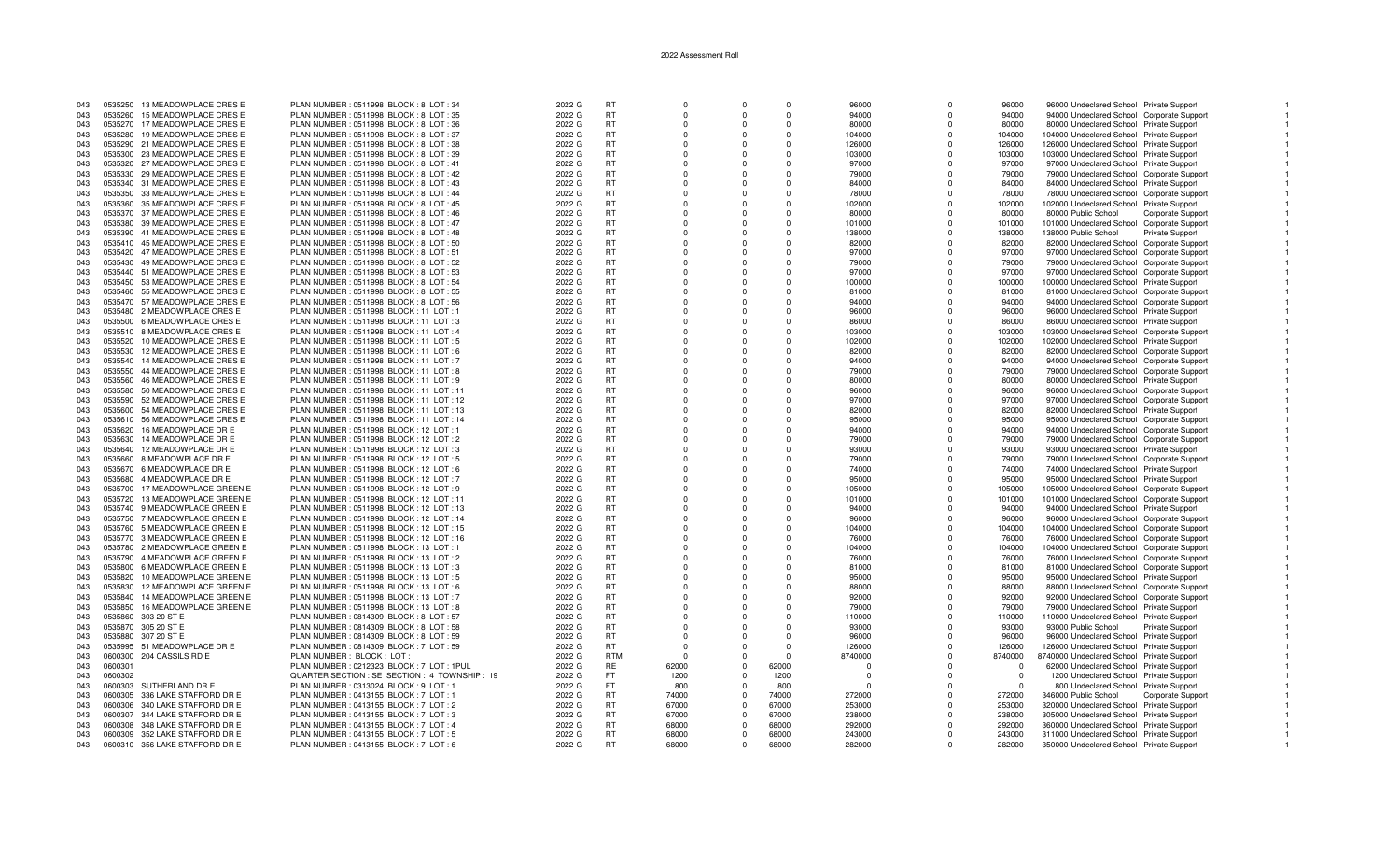| 043 | 0535250 | 13 MEADOWPLACE CRES E          | PLAN NUMBER : 0511998 BLOCK : 8 LOT : 34       | 2022 G | <b>RT</b>  | $\Omega$ |          | $\Omega$ | 96000    | O        | 96000      | 96000 Undeclared School Private Support          |  |
|-----|---------|--------------------------------|------------------------------------------------|--------|------------|----------|----------|----------|----------|----------|------------|--------------------------------------------------|--|
| 043 | 0535260 | 15 MEADOWPLACE CRES E          | PLAN NUMBER : 0511998 BLOCK : 8 LOT : 35       | 2022 G | <b>RT</b>  | $\Omega$ |          | $\Omega$ | 94000    |          | 94000      | 94000 Undeclared School Corporate Support        |  |
| 043 |         | 0535270 17 MEADOWPLACE CRES E  | PLAN NUMBER: 0511998 BLOCK: 8 LOT: 36          | 2022 G | <b>RT</b>  | $\Omega$ |          | $\Omega$ | 80000    | $\Omega$ | 80000      | 80000 Undeclared School Private Support          |  |
|     |         |                                |                                                |        |            |          |          |          |          |          |            |                                                  |  |
| 043 | 0535280 | 19 MEADOWPLACE CRES E          | PLAN NUMBER : 0511998 BLOCK : 8 LOT : 37       | 2022 G | <b>RT</b>  | $\Omega$ |          | $\Omega$ | 104000   | O        | 104000     | 104000 Undeclared School Private Support         |  |
| 043 |         | 0535290 21 MEADOWPLACE CRES E  | PLAN NUMBER: 0511998 BLOCK: 8 LOT: 38          | 2022 G | <b>RT</b>  | $\Omega$ |          | $\Omega$ | 126000   | O        | 126000     | 126000 Undeclared School Private Support         |  |
| 043 |         | 0535300 23 MEADOWPLACE CRES E  | PLAN NUMBER : 0511998 BLOCK : 8 LOT : 39       | 2022 G | <b>RT</b>  | $\Omega$ |          | $\Omega$ | 103000   | $\Omega$ | 103000     | 103000 Undeclared School Private Support         |  |
| 043 |         | 0535320 27 MEADOWPLACE CRES E  | PLAN NUMBER: 0511998 BLOCK: 8 LOT: 41          | 2022 G | RT         | 0        |          | 0        | 97000    | 0        | 97000      | 97000 Undeclared School Private Support          |  |
| 043 | 0535330 | 29 MEADOWPLACE CRES E          | PLAN NUMBER: 0511998 BLOCK: 8 LOT: 42          | 2022 G | <b>RT</b>  | $\Omega$ | $\Omega$ | $\Omega$ | 79000    | n        | 79000      |                                                  |  |
|     |         |                                |                                                |        |            |          |          |          |          |          |            | 79000 Undeclared School Corporate Support        |  |
| 043 |         | 0535340 31 MEADOWPLACE CRES E  | PLAN NUMBER : 0511998 BLOCK : 8 LOT : 43       | 2022 G | <b>RT</b>  | $\Omega$ |          | $\Omega$ | 84000    |          | 84000      | 84000 Undeclared School Private Support          |  |
| 043 |         | 0535350 33 MEADOWPLACE CRES E  | PLAN NUMBER : 0511998 BLOCK : 8 LOT : 44       | 2022 G | <b>RT</b>  | n        |          | $\Omega$ | 78000    |          | 78000      | 78000 Undeclared School Corporate Support        |  |
| 043 |         | 0535360 35 MEADOWPLACE CRES E  | PLAN NUMBER: 0511998 BLOCK: 8 LOT: 45          | 2022 G | RT         | $\Omega$ |          | $\Omega$ | 102000   | $\Omega$ | 102000     | 102000 Undeclared School Private Support         |  |
| 043 |         | 0535370 37 MEADOWPLACE CRES E  | PLAN NUMBER: 0511998 BLOCK: 8 LOT: 46          | 2022 G | <b>RT</b>  | $\Omega$ |          | $\Omega$ | 80000    | O        | 80000      | 80000 Public School<br>Corporate Support         |  |
|     |         |                                |                                                |        |            |          |          |          |          |          |            |                                                  |  |
| 043 |         | 0535380 39 MEADOWPLACE CRES E  | PLAN NUMBER: 0511998 BLOCK: 8 LOT: 47          | 2022 G | <b>RT</b>  | $\Omega$ |          | $\Omega$ | 101000   | 0        | 101000     | 101000 Undeclared School Corporate Support       |  |
| 043 |         | 0535390 41 MEADOWPLACE CRES E  | PLAN NUMBER: 0511998 BLOCK: 8 LOT: 48          | 2022 G | <b>RT</b>  | $\Omega$ | $\Omega$ | $\Omega$ | 138000   | $\Omega$ | 138000     | 138000 Public School<br>Private Support          |  |
| 043 |         | 0535410 45 MEADOWPLACE CRES E  | PLAN NUMBER: 0511998 BLOCK: 8 LOT: 50          | 2022 G | <b>RT</b>  | $\Omega$ |          | $\Omega$ | 82000    | $\Omega$ | 82000      | 82000 Undeclared School Corporate Support        |  |
| 043 |         | 0535420 47 MEADOWPLACE CRES E  | PLAN NUMBER : 0511998 BLOCK : 8 LOT : 51       | 2022 G | <b>RT</b>  | $\Omega$ |          | $\Omega$ | 97000    | $\Omega$ | 97000      | 97000 Undeclared School Corporate Support        |  |
|     |         |                                |                                                |        | <b>RT</b>  | $\Omega$ |          | $\Omega$ |          | ŋ        |            |                                                  |  |
| 043 |         | 0535430 49 MEADOWPLACE CRES E  | PLAN NUMBER: 0511998 BLOCK: 8 LOT: 52          | 2022 G |            |          |          |          | 79000    |          | 79000      | 79000 Undeclared School Corporate Support        |  |
| 043 |         | 0535440 51 MEADOWPLACE CRES E  | PLAN NUMBER : 0511998 BLOCK : 8 LOT : 53       | 2022 G | <b>RT</b>  | $\Omega$ |          | $\Omega$ | 97000    |          | 97000      | 97000 Undeclared School Corporate Support        |  |
| 043 |         | 0535450 53 MEADOWPLACE CRES E  | PLAN NUMBER: 0511998 BLOCK: 8 LOT: 54          | 2022 G | RT         | $\Omega$ |          | $\Omega$ | 100000   | 0        | 100000     | 100000 Undeclared School Private Support         |  |
| 043 |         | 0535460 55 MEADOWPLACE CRES E  | PLAN NUMBER : 0511998 BLOCK : 8 LOT : 55       | 2022 G | <b>RT</b>  | $\Omega$ |          | $\Omega$ | 81000    | $\Omega$ | 81000      | 81000 Undeclared School Corporate Support        |  |
| 043 |         | 0535470 57 MEADOWPLACE CRES E  | PLAN NUMBER : 0511998 BLOCK : 8 LOT : 56       | 2022 G | <b>RT</b>  | $\Omega$ |          | $\Omega$ | 94000    |          | 94000      | 94000 Undeclared School Corporate Support        |  |
|     |         |                                |                                                |        |            |          |          |          |          |          |            |                                                  |  |
| 043 |         | 0535480 2 MEADOWPLACE CRES E   | PLAN NUMBER: 0511998 BLOCK: 11 LOT: 1          | 2022 G | <b>RT</b>  | $\Omega$ | $\Omega$ | $\Omega$ | 96000    | $\Omega$ | 96000      | 96000 Undeclared School Private Support          |  |
| 043 |         | 0535500 6 MEADOWPLACE CRES E   | PLAN NUMBER: 0511998 BLOCK: 11 LOT: 3          | 2022 G | <b>RT</b>  | $\Omega$ |          | $\Omega$ | 86000    | $\Omega$ | 86000      | 86000 Undeclared School Private Support          |  |
| 043 |         | 0535510 8 MEADOWPLACE CRES E   | PLAN NUMBER: 0511998 BLOCK: 11 LOT: 4          | 2022 G | <b>RT</b>  | $\Omega$ |          | $\Omega$ | 103000   | $\Omega$ | 103000     | 103000 Undeclared School Corporate Support       |  |
| 043 | 0535520 | 10 MEADOWPLACE CRES E          | PLAN NUMBER: 0511998 BLOCK: 11 LOT: 5          | 2022 G | <b>RT</b>  | $\Omega$ |          | $\Omega$ | 102000   | 0        | 102000     | 102000 Undeclared School Private Support         |  |
|     |         |                                |                                                |        |            |          |          |          |          |          |            |                                                  |  |
| 043 | 0535530 | 12 MEADOWPLACE CRES E          | PLAN NUMBER : 0511998 BLOCK : 11 LOT : 6       | 2022 G | <b>RT</b>  | $\Omega$ |          | $\Omega$ | 82000    | 0        | 82000      | 82000 Undeclared School Corporate Support        |  |
| 043 | 0535540 | 14 MEADOWPLACE CRES E          | PLAN NUMBER: 0511998 BLOCK: 11 LOT: 7          | 2022 G | RT         | $\Omega$ |          | $\Omega$ | 94000    | O        | 94000      | 94000 Undeclared School Corporate Support        |  |
| 043 |         | 0535550 44 MEADOWPLACE CRES E  | PLAN NUMBER: 0511998 BLOCK: 11 LOT: 8          | 2022 G | <b>RT</b>  | $\Omega$ |          | $\Omega$ | 79000    | $\Omega$ | 79000      | 79000 Undeclared School Corporate Support        |  |
| 043 | 0535560 | 46 MEADOWPLACE CRES E          | PLAN NUMBER: 0511998 BLOCK: 11 LOT: 9          | 2022 G | <b>RT</b>  | $\Omega$ |          | $\Omega$ | 80000    | ŋ        | 80000      | 80000 Undeclared School Private Support          |  |
|     | 0535580 | 50 MEADOWPLACE CRES E          | PLAN NUMBER: 0511998 BLOCK: 11 LOT: 11         | 2022 G | <b>RT</b>  | $\Omega$ |          | $\Omega$ | 96000    | $\Omega$ | 96000      |                                                  |  |
| 043 |         |                                |                                                |        |            |          | n        |          |          |          |            | 96000 Undeclared School Corporate Support        |  |
| 043 | 0535590 | 52 MEADOWPLACE CRES E          | PLAN NUMBER: 0511998 BLOCK: 11 LOT: 12         | 2022 G | RT         | $\Omega$ |          | $\Omega$ | 97000    | $\Omega$ | 97000      | 97000 Undeclared School Corporate Support        |  |
| 043 | 0535600 | 54 MEADOWPLACE CRES E          | PLAN NUMBER : 0511998 BLOCK : 11 LOT : 13      | 2022 G | <b>RT</b>  | $\Omega$ |          | $\Omega$ | 82000    | O        | 82000      | 82000 Undeclared School Private Support          |  |
| 043 |         | 0535610 56 MEADOWPLACE CRES E  | PLAN NUMBER : 0511998 BLOCK : 11 LOT : 14      | 2022 G | <b>RT</b>  |          |          | $\Omega$ | 95000    |          | 95000      | 95000 Undeclared School Corporate Support        |  |
| 043 |         | 0535620 16 MEADOWPLACE DR E    | PLAN NUMBER : 0511998 BLOCK : 12 LOT : 1       | 2022 G | <b>RT</b>  | $\Omega$ |          | $\Omega$ | 94000    | ŋ        | 94000      | 94000 Undeclared School Corporate Support        |  |
|     |         |                                |                                                |        |            |          |          |          |          |          |            |                                                  |  |
| 043 | 0535630 | 14 MEADOWPLACE DR E            | PLAN NUMBER: 0511998 BLOCK: 12 LOT: 2          | 2022 G | <b>RT</b>  | $\Omega$ |          | $\Omega$ | 79000    | 0        | 79000      | 79000 Undeclared School Corporate Support        |  |
| 043 | 0535640 | 12 MEADOWPLACE DR E            | PLAN NUMBER: 0511998 BLOCK: 12 LOT: 3          | 2022 G | <b>RT</b>  | $\Omega$ |          | $\Omega$ | 93000    | $\Omega$ | 93000      | 93000 Undeclared School Private Support          |  |
| 043 | 0535660 | 8 MEADOWPLACE DR E             | PLAN NUMBER: 0511998 BLOCK: 12 LOT: 5          | 2022 G | <b>RT</b>  | $\Omega$ |          | $\Omega$ | 79000    |          | 79000      | 79000 Undeclared School Corporate Support        |  |
| 043 | 0535670 | 6 MEADOWPLACE DR E             | PLAN NUMBER : 0511998 BLOCK : 12 LOT : 6       | 2022 G | <b>RT</b>  | $\Omega$ | $\Omega$ | $\Omega$ | 74000    | $\Omega$ | 74000      | 74000 Undeclared School Private Support          |  |
| 043 | 0535680 | 4 MEADOWPLACE DR E             | PLAN NUMBER: 0511998 BLOCK: 12 LOT: 7          | 2022 G | <b>RT</b>  | $\Omega$ |          | $\Omega$ | 95000    | 0        | 95000      | 95000 Undeclared School Private Support          |  |
|     |         |                                |                                                |        |            |          |          |          |          |          |            |                                                  |  |
| 043 | 0535700 | 17 MEADOWPLACE GREEN E         | PLAN NUMBER: 0511998 BLOCK: 12 LOT: 9          | 2022 G | <b>RT</b>  | $\Omega$ |          | $\Omega$ | 105000   | n        | 105000     | 105000 Undeclared School Corporate Support       |  |
| 043 | 0535720 | 13 MEADOWPLACE GREEN E         | PLAN NUMBER : 0511998 BLOCK : 12 LOT : 11      | 2022 G | <b>RT</b>  | $\Omega$ |          | $\Omega$ | 101000   |          | 101000     | 101000 Undeclared School Corporate Support       |  |
| 043 |         | 0535740 9 MEADOWPLACE GREEN E  | PLAN NUMBER: 0511998 BLOCK: 12 LOT: 13         | 2022 G | <b>RT</b>  | $\Omega$ |          | $\Omega$ | 94000    | ŋ        | 94000      | 94000 Undeclared School Private Support          |  |
| 043 |         | 0535750 7 MEADOWPLACE GREEN E  | PLAN NUMBER : 0511998 BLOCK : 12 LOT : 14      | 2022 G | <b>RT</b>  | $\Omega$ |          | $\Omega$ | 96000    | 0        | 96000      | 96000 Undeclared School Corporate Support        |  |
| 043 |         | 0535760 5 MEADOWPLACE GREEN E  |                                                | 2022 G | <b>RT</b>  | $\Omega$ |          | $\Omega$ | 104000   | $\Omega$ | 104000     |                                                  |  |
|     |         |                                | PLAN NUMBER : 0511998 BLOCK : 12 LOT : 15      |        |            |          |          |          |          |          |            | 104000 Undeclared School Corporate Support       |  |
| 043 |         | 0535770 3 MEADOWPLACE GREEN E  | PLAN NUMBER : 0511998 BLOCK : 12 LOT : 16      | 2022 G | <b>RT</b>  | $\Omega$ |          | $\Omega$ | 76000    | 0        | 76000      | 76000 Undeclared School Corporate Support        |  |
| 043 |         | 0535780 2 MEADOWPLACE GREEN E  | PLAN NUMBER : 0511998 BLOCK : 13 LOT : 1       | 2022 G | <b>RT</b>  | $\Omega$ |          | $\Omega$ | 104000   | $\Omega$ | 104000     | 104000 Undeclared School Corporate Support       |  |
| 043 | 0535790 | <b>4 MEADOWPLACE GREEN E</b>   | PLAN NUMBER : 0511998 BLOCK : 13 LOT : 2       | 2022 G | <b>RT</b>  | $\Omega$ |          | $\Omega$ | 76000    | $\Omega$ | 76000      | 76000 Undeclared School Corporate Support        |  |
| 043 | 0535800 | 6 MEADOWPLACE GREEN E          | PLAN NUMBER: 0511998 BLOCK: 13 LOT: 3          | 2022 G | <b>RT</b>  | $\Omega$ |          | $\Omega$ | 81000    | ŋ        | 81000      | 81000 Undeclared School Corporate Support        |  |
|     |         |                                |                                                |        |            |          |          |          |          |          |            |                                                  |  |
| 043 | 0535820 | 10 MEADOWPLACE GREEN E         | PLAN NUMBER : 0511998 BLOCK : 13 LOT : 5       | 2022 G | <b>RT</b>  | $\Omega$ |          | $\Omega$ | 95000    |          | 95000      | 95000 Undeclared School Private Support          |  |
| 043 | 0535830 | 12 MEADOWPLACE GREEN E         | PLAN NUMBER : 0511998 BLOCK : 13 LOT : 6       | 2022 G | <b>RT</b>  | -0       |          | $\Omega$ | 88000    | 0        | 88000      | 88000 Undeclared School Corporate Support        |  |
| 043 | 0535840 | 14 MEADOWPLACE GREEN E         | PLAN NUMBER: 0511998 BLOCK: 13 LOT: 7          | 2022 G | <b>RT</b>  | $\Omega$ |          | $\Omega$ | 92000    | 0        | 92000      | 92000 Undeclared School Corporate Support        |  |
| 043 | 0535850 | 16 MEADOWPLACE GREEN E         | PLAN NUMBER: 0511998 BLOCK: 13 LOT: 8          | 2022 G | <b>RT</b>  | $\Omega$ |          | $\Omega$ | 79000    | $\Omega$ | 79000      | 79000 Undeclared School Private Support          |  |
| 043 | 0535860 | 303 20 ST E                    | PLAN NUMBER : 0814309 BLOCK : 8 LOT : 57       | 2022 G | <b>RT</b>  | $\Omega$ |          | $\Omega$ | 110000   | O        | 110000     |                                                  |  |
|     |         |                                |                                                |        |            |          |          |          |          |          |            | 110000 Undeclared School Private Support         |  |
| 043 | 0535870 | 305 20 ST E                    | PLAN NUMBER: 0814309 BLOCK: 8 LOT: 58          | 2022 G | <b>RT</b>  | $\Omega$ |          | $\Omega$ | 93000    | $\Omega$ | 93000      | 93000 Public School<br>Private Support           |  |
| 043 | 0535880 | 307 20 ST E                    | PLAN NUMBER : 0814309 BLOCK : 8 LOT : 59       | 2022 G | RT.        | $\cap$   |          | $\Omega$ | 96000    | $\Omega$ | 96000      | 96000 Undeclared School Private Support          |  |
| 043 |         | 0535995 51 MEADOWPLACE DR E    | PLAN NUMBER : 0814309 BLOCK : 7 LOT : 59       | 2022 G | <b>RT</b>  | $\Omega$ |          | $\Omega$ | 126000   | 0        | 126000     | 126000 Undeclared School Private Support         |  |
| 043 |         | 0600300 204 CASSILS RD E       | PLAN NUMBER: BLOCK: LOT:                       | 2022 G | <b>RTM</b> | $\cap$   |          | $\Omega$ | 8740000  | 0        | 8740000    | 8740000 Undeclared School Private Support        |  |
|     |         |                                |                                                |        |            |          |          |          |          |          |            |                                                  |  |
| 043 | 0600301 |                                | PLAN NUMBER : 0212323 BLOCK : 7 LOT : 1PUL     | 2022 G | RE         | 62000    |          | 62000    | $\Omega$ | 0        | $^{\circ}$ | 62000 Undeclared School Private Support          |  |
| 043 | 0600302 |                                | QUARTER SECTION : SE SECTION : 4 TOWNSHIP : 19 | 2022 G | FT.        | 1200     |          | 1200     | $\Omega$ |          | $\Omega$   | 1200 Undeclared School Private Support           |  |
| 043 | 0600303 | SUTHERLAND DR E                | PLAN NUMBER : 0313024 BLOCK : 9 LOT : 1        | 2022 G | FT.        | 800      |          | 800      | $\Omega$ |          | $\Omega$   | 800 Undeclared School Private Support            |  |
| 043 | 0600305 | 336 LAKE STAFFORD DR E         | PLAN NUMBER : 0413155 BLOCK : 7 LOT : 1        | 2022 G | <b>RT</b>  | 74000    | $\Omega$ | 74000    | 272000   | O        | 272000     | 346000 Public School<br><b>Corporate Support</b> |  |
| 043 | 0600306 | 340 LAKE STAFFORD DR E         | PLAN NUMBER : 0413155 BLOCK : 7 LOT : 2        | 2022 G | RT         | 67000    | $\Omega$ | 67000    | 253000   | $\Omega$ | 253000     |                                                  |  |
|     |         |                                |                                                |        |            |          |          |          |          |          |            | 320000 Undeclared School Private Support         |  |
| 043 | 0600307 | 344 LAKE STAFFORD DR E         | PLAN NUMBER : 0413155 BLOCK : 7 LOT : 3        | 2022 G | <b>RT</b>  | 67000    | $\Omega$ | 67000    | 238000   |          | 238000     | 305000 Undeclared School Private Support         |  |
| 043 |         | 0600308 348 LAKE STAFFORD DR E | PLAN NUMBER : 0413155 BLOCK : 7 LOT : 4        | 2022 G | <b>RT</b>  | 68000    |          | 68000    | 292000   |          | 292000     | 360000 Undeclared School Private Support         |  |
| 043 |         | 0600309 352 LAKE STAFFORD DR E | PLAN NUMBER : 0413155 BLOCK : 7 LOT : 5        | 2022 G | <b>RT</b>  | 68000    | $\Omega$ | 68000    | 243000   |          | 243000     | 311000 Undeclared School Private Support         |  |
| 043 |         | 0600310 356 LAKE STAFFORD DR E | PLAN NUMBER : 0413155 BLOCK : 7 LOT : 6        | 2022 G | <b>RT</b>  | 68000    |          | 68000    | 282000   |          | 282000     | 350000 Undeclared School Private Support         |  |
|     |         |                                |                                                |        |            |          |          |          |          |          |            |                                                  |  |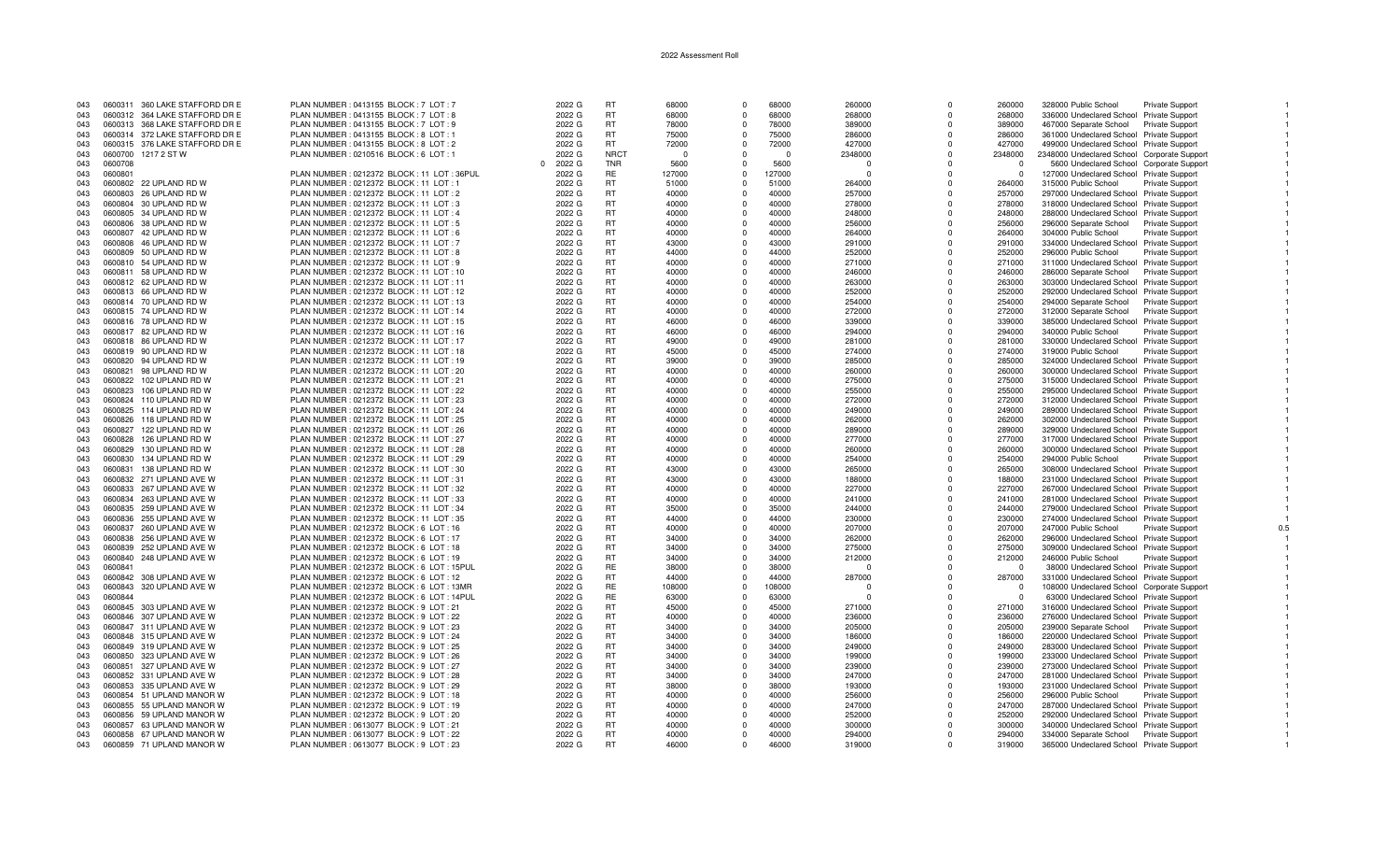| 043 |         | 0600311 360 LAKE STAFFORD DR E | PLAN NUMBER : 0413155 BLOCK : 7 LOT : 7      | 2022 G | <b>RT</b>   | 68000      | $\Omega$ | 68000    | 260000   | $\Omega$ | 260000         | 328000 Public School                        | Private Support        |     |
|-----|---------|--------------------------------|----------------------------------------------|--------|-------------|------------|----------|----------|----------|----------|----------------|---------------------------------------------|------------------------|-----|
| 043 |         | 0600312 364 LAKE STAFFORD DR E | PLAN NUMBER : 0413155 BLOCK : 7 LOT : 8      | 2022 G | RT.         | 68000      | $\Omega$ | 68000    | 268000   | $\Omega$ | 268000         | 336000 Undeclared School Private Support    |                        |     |
| 043 |         | 0600313 368 LAKE STAFFORD DR E | PLAN NUMBER : 0413155 BLOCK : 7 LOT : 9      | 2022 G | <b>RT</b>   | 78000      | $\Omega$ | 78000    | 389000   | $\Omega$ | 389000         | 467000 Separate School Private Support      |                        |     |
| 043 |         | 0600314 372 LAKE STAFFORD DR E | PLAN NUMBER : 0413155 BLOCK : 8 LOT : 1      | 2022 G | <b>RT</b>   | 75000      | $\Omega$ | 75000    | 286000   | 0        | 286000         | 361000 Undeclared School Private Support    |                        |     |
| 043 |         | 0600315 376 LAKE STAFFORD DR E | PLAN NUMBER : 0413155 BLOCK : 8 LOT : 2      | 2022 G | <b>RT</b>   | 72000      | $\Omega$ | 72000    | 427000   | $\Omega$ | 427000         | 499000 Undeclared School Private Support    |                        |     |
| 043 |         | 0600700 1217 2 ST W            | PLAN NUMBER : 0210516 BLOCK : 6 LOT : 1      | 2022 G | <b>NRCT</b> | $\sqrt{ }$ | $\Omega$ | $\Omega$ | 2348000  | $\Omega$ | 2348000        | 2348000 Undeclared School Corporate Support |                        |     |
| 043 | 0600708 |                                |                                              | 2022 G | <b>TNR</b>  | 5600       |          | 5600     | $\Omega$ | $\Omega$ | $\Omega$       | 5600 Undeclared School Corporate Support    |                        |     |
| 043 | 0600801 |                                | PLAN NUMBER : 0212372 BLOCK : 11 LOT : 36PUL | 2022 G | <b>RE</b>   | 127000     | $\Omega$ | 127000   | $\Omega$ | $\Omega$ | $\Omega$       | 127000 Undeclared School Private Support    |                        |     |
| 043 |         | 0600802 22 UPLAND RD W         | PLAN NUMBER: 0212372 BLOCK: 11 LOT: 1        | 2022 G | <b>RT</b>   | 51000      | $\Omega$ | 51000    | 264000   | $\Omega$ | 264000         |                                             |                        |     |
|     |         |                                |                                              |        | <b>RT</b>   |            |          |          |          | $\Omega$ |                | 315000 Public School                        | <b>Private Support</b> |     |
| 043 |         | 0600803 26 UPLAND RD W         | PLAN NUMBER : 0212372 BLOCK : 11 LOT : 2     | 2022 G |             | 40000      | $\Omega$ | 40000    | 257000   |          | 257000         | 297000 Undeclared School Private Support    |                        |     |
| 043 |         | 0600804 30 UPLAND RD W         | PLAN NUMBER: 0212372 BLOCK: 11 LOT: 3        | 2022 G | <b>RT</b>   | 40000      | $\Omega$ | 40000    | 278000   | O        | 278000         | 318000 Undeclared School Private Support    |                        |     |
| 043 |         | 0600805 34 UPLAND RD W         | PLAN NUMBER: 0212372 BLOCK: 11 LOT: 4        | 2022 G | <b>RT</b>   | 40000      | $\Omega$ | 40000    | 248000   | $\Omega$ | 248000         | 288000 Undeclared School Private Support    |                        |     |
| 043 |         | 0600806 38 UPLAND RD W         | PLAN NUMBER : 0212372 BLOCK : 11 LOT : 5     | 2022 G | RT          | 40000      |          | 40000    | 256000   | $\Omega$ | 256000         | 296000 Separate School Private Support      |                        |     |
| 043 |         | 0600807 42 UPLAND RD W         | PLAN NUMBER : 0212372 BLOCK : 11 LOT : 6     | 2022 G | <b>RT</b>   | 40000      | $\Omega$ | 40000    | 264000   | $\Omega$ | 264000         | 304000 Public School                        | Private Support        |     |
| 043 |         | 0600808 46 UPLAND RD W         | PLAN NUMBER : 0212372 BLOCK : 11 LOT : 7     | 2022 G | <b>RT</b>   | 43000      | $\Omega$ | 43000    | 291000   | $\Omega$ | 291000         | 334000 Undeclared School Private Support    |                        |     |
| 043 |         | 0600809 50 UPLAND RD W         | PLAN NUMBER: 0212372 BLOCK: 11 LOT: 8        | 2022 G | <b>RT</b>   | 44000      | $\Omega$ | 44000    | 252000   | $\Omega$ | 252000         | 296000 Public School                        | <b>Private Support</b> |     |
| 043 |         | 0600810 54 UPLAND RD W         | PLAN NUMBER: 0212372 BLOCK: 11 LOT: 9        | 2022 G | <b>RT</b>   | 40000      | $\Omega$ | 40000    | 271000   | $\Omega$ | 271000         | 311000 Undeclared School Private Support    |                        |     |
| 043 |         | 0600811 58 UPLAND RD W         | PLAN NUMBER : 0212372 BLOCK : 11 LOT : 10    | 2022 G | <b>RT</b>   | 40000      | $\Omega$ | 40000    | 246000   | $\Omega$ | 246000         | 286000 Separate School                      | <b>Private Support</b> |     |
| 043 |         | 0600812 62 UPLAND RD W         | PLAN NUMBER : 0212372 BLOCK : 11 LOT : 11    | 2022 G | <b>RT</b>   | 40000      | $\Omega$ | 40000    | 263000   | O        | 263000         | 303000 Undeclared School Private Support    |                        |     |
| 043 |         | 0600813 66 UPLAND RD W         | PLAN NUMBER : 0212372 BLOCK : 11 LOT : 12    | 2022 G | <b>RT</b>   | 40000      | $\Omega$ | 40000    | 252000   | $\Omega$ | 252000         | 292000 Undeclared School Private Support    |                        |     |
| 043 |         | 0600814 70 UPLAND RD W         | PLAN NUMBER : 0212372 BLOCK : 11 LOT : 13    | 2022 G | <b>RT</b>   | 40000      | $\Omega$ | 40000    | 254000   | O        | 254000         | 294000 Separate School                      | <b>Private Support</b> |     |
| 043 |         | 0600815 74 UPLAND RD W         | PLAN NUMBER : 0212372 BLOCK : 11 LOT : 14    | 2022 G | <b>RT</b>   | 40000      | $\Omega$ | 40000    | 272000   | $\Omega$ | 272000         | 312000 Separate School                      | Private Support        |     |
| 043 |         | 0600816 78 UPLAND RD W         | PLAN NUMBER: 0212372 BLOCK: 11 LOT: 15       | 2022 G | <b>RT</b>   | 46000      | $\Omega$ | 46000    | 339000   | $\Omega$ | 339000         | 385000 Undeclared School Private Support    |                        |     |
| 043 |         | 0600817 82 UPLAND RD W         | PLAN NUMBER : 0212372 BLOCK : 11 LOT : 16    | 2022 G | <b>RT</b>   | 46000      | $\Omega$ | 46000    | 294000   | $\Omega$ | 294000         | 340000 Public School                        |                        |     |
| 043 |         | 0600818 86 UPLAND RD W         |                                              | 2022 G | RT.         | 49000      | $\Omega$ | 49000    | 281000   | $\Omega$ |                |                                             | Private Support        |     |
|     |         |                                | PLAN NUMBER : 0212372 BLOCK : 11 LOT : 17    |        |             |            |          |          |          |          | 281000         | 330000 Undeclared School Private Support    |                        |     |
| 043 |         | 0600819 90 UPLAND RD W         | PLAN NUMBER : 0212372 BLOCK : 11 LOT : 18    | 2022 G | <b>RT</b>   | 45000      | $\Omega$ | 45000    | 274000   | $\Omega$ | 274000         | 319000 Public School                        | Private Support        |     |
| 043 |         | 0600820 94 UPLAND RD W         | PLAN NUMBER : 0212372 BLOCK : 11 LOT : 19    | 2022 G | <b>RT</b>   | 39000      | $\Omega$ | 39000    | 285000   | 0        | 285000         | 324000 Undeclared School Private Support    |                        |     |
| 043 | 0600821 | 98 UPLAND RD W                 | PLAN NUMBER : 0212372 BLOCK : 11 LOT : 20    | 2022 G | <b>RT</b>   | 40000      | $\Omega$ | 40000    | 260000   | 0        | 260000         | 300000 Undeclared School Private Support    |                        |     |
| 043 |         | 0600822 102 UPLAND RD W        | PLAN NUMBER : 0212372 BLOCK : 11 LOT : 21    | 2022 G | <b>RT</b>   | 40000      | $\Omega$ | 40000    | 275000   | $\Omega$ | 275000         | 315000 Undeclared School Private Support    |                        |     |
| 043 |         | 0600823 106 UPLAND RD W        | PLAN NUMBER : 0212372 BLOCK : 11 LOT : 22    | 2022 G | <b>RT</b>   | 40000      |          | 40000    | 255000   | $\Omega$ | 255000         | 295000 Undeclared School Private Support    |                        |     |
| 043 |         | 0600824 110 UPLAND RD W        | PLAN NUMBER : 0212372 BLOCK : 11 LOT : 23    | 2022 G | <b>RT</b>   | 40000      | $\Omega$ | 40000    | 272000   | $\Omega$ | 272000         | 312000 Undeclared School Private Support    |                        |     |
| 043 | 0600825 | 114 UPLAND RD W                | PLAN NUMBER : 0212372 BLOCK : 11 LOT : 24    | 2022 G | <b>RT</b>   | 40000      | $\Omega$ | 40000    | 249000   | $\Omega$ | 249000         | 289000 Undeclared School Private Support    |                        |     |
| 043 |         | 0600826 118 UPLAND RD W        | PLAN NUMBER : 0212372 BLOCK : 11 LOT : 25    | 2022 G | <b>RT</b>   | 40000      | $\Omega$ | 40000    | 262000   | $\Omega$ | 262000         | 302000 Undeclared School Private Support    |                        |     |
| 043 | 0600827 | 122 UPLAND RD W                | PLAN NUMBER : 0212372 BLOCK : 11 LOT : 26    | 2022 G | <b>RT</b>   | 40000      | $\Omega$ | 40000    | 289000   | O        | 289000         | 329000 Undeclared School Private Support    |                        |     |
| 043 | 0600828 | 126 UPLAND RD W                | PLAN NUMBER : 0212372 BLOCK : 11 LOT : 27    | 2022 G | <b>RT</b>   | 40000      | $\Omega$ | 40000    | 277000   | $\Omega$ | 277000         | 317000 Undeclared School Private Support    |                        |     |
| 043 | 0600829 | 130 UPLAND RD W                | PLAN NUMBER : 0212372 BLOCK : 11 LOT : 28    | 2022 G | <b>RT</b>   | 40000      |          | 40000    | 260000   | $\Omega$ | 260000         | 300000 Undeclared School Private Support    |                        |     |
| 043 | 0600830 | 134 UPLAND RD W                | PLAN NUMBER : 0212372 BLOCK : 11 LOT : 29    | 2022 G | <b>RT</b>   | 40000      | $\Omega$ | 40000    | 254000   | $\Omega$ | 254000         | 294000 Public School                        | <b>Private Support</b> |     |
| 043 | 0600831 | 138 UPLAND RD W                | PLAN NUMBER: 0212372 BLOCK: 11 LOT: 30       | 2022 G | <b>RT</b>   | 43000      |          | 43000    | 265000   | O        | 265000         | 308000 Undeclared School Private Support    |                        |     |
| 043 |         | 0600832 271 UPLAND AVE W       | PLAN NUMBER : 0212372 BLOCK : 11 LOT : 31    | 2022 G | <b>RT</b>   | 43000      | $\Omega$ | 43000    | 188000   | $\Omega$ | 188000         | 231000 Undeclared School Private Support    |                        |     |
|     |         | 267 UPLAND AVE W               |                                              | 2022 G | <b>RT</b>   | 40000      | $\Omega$ | 40000    |          | $\Omega$ | 227000         |                                             |                        |     |
| 043 | 0600833 |                                | PLAN NUMBER : 0212372 BLOCK : 11 LOT : 32    |        |             |            |          |          | 227000   |          |                | 267000 Undeclared School Private Support    |                        |     |
| 043 |         | 0600834 263 UPLAND AVE W       | PLAN NUMBER : 0212372 BLOCK : 11 LOT : 33    | 2022 G | <b>RT</b>   | 40000      | $\Omega$ | 40000    | 241000   | O        | 241000         | 281000 Undeclared School Private Support    |                        |     |
| 043 |         | 0600835 259 UPLAND AVE W       | PLAN NUMBER : 0212372 BLOCK : 11 LOT : 34    | 2022 G | <b>RT</b>   | 35000      |          | 35000    | 244000   |          | 244000         | 279000 Undeclared School Private Support    |                        |     |
| 043 |         | 0600836 255 UPLAND AVE W       | PLAN NUMBER : 0212372 BLOCK : 11 LOT : 35    | 2022 G | <b>RT</b>   | 44000      | $\Omega$ | 44000    | 230000   | $\Omega$ | 230000         | 274000 Undeclared School Private Support    |                        |     |
| 043 |         | 0600837 260 UPLAND AVE W       | PLAN NUMBER : 0212372 BLOCK : 6 LOT : 16     | 2022 G | RT.         | 40000      | $\Omega$ | 40000    | 207000   | $\Omega$ | 207000         | 247000 Public School                        | <b>Private Support</b> | 0.5 |
| 043 |         | 0600838 256 UPLAND AVE W       | PLAN NUMBER : 0212372 BLOCK : 6 LOT : 17     | 2022 G | <b>RT</b>   | 34000      |          | 34000    | 262000   | $\Omega$ | 262000         | 296000 Undeclared School Private Support    |                        |     |
| 043 |         | 0600839 252 UPLAND AVE W       | PLAN NUMBER : 0212372 BLOCK : 6 LOT : 18     | 2022 G | <b>RT</b>   | 34000      | $\Omega$ | 34000    | 275000   | $\Omega$ | 275000         | 309000 Undeclared School Private Support    |                        |     |
| 043 | 0600840 | 248 UPLAND AVE W               | PLAN NUMBER : 0212372 BLOCK : 6 LOT : 19     | 2022 G | <b>RT</b>   | 34000      | $\Omega$ | 34000    | 212000   | $\Omega$ | 212000         | 246000 Public School                        | Private Support        |     |
| 043 | 0600841 |                                | PLAN NUMBER : 0212372 BLOCK : 6 LOT : 15PUL  | 2022 G | <b>RE</b>   | 38000      | $\Omega$ | 38000    | $\Omega$ | $\Omega$ | $\Omega$       | 38000 Undeclared School Private Support     |                        |     |
| 043 |         | 0600842 308 UPLAND AVE W       | PLAN NUMBER : 0212372 BLOCK : 6 LOT : 12     | 2022 G | <b>RT</b>   | 44000      |          | 44000    | 287000   | 0        | 287000         | 331000 Undeclared School Private Support    |                        |     |
| 043 | 0600843 | 320 UPLAND AVE W               | PLAN NUMBER : 0212372 BLOCK : 6 LOT : 13MR   | 2022 G | <b>RE</b>   | 108000     | $\Omega$ | 108000   |          |          | $\Omega$       | 108000 Undeclared School Corporate Support  |                        |     |
| 043 | 0600844 |                                | PLAN NUMBER : 0212372 BLOCK : 6 LOT : 14PUL  | 2022 G | RE          | 63000      |          | 63000    | $\Omega$ | O        | $\overline{0}$ | 63000 Undeclared School Private Support     |                        |     |
| 043 |         | 0600845 303 UPLAND AVE W       | PLAN NUMBER : 0212372 BLOCK : 9 LOT : 21     | 2022 G | <b>RT</b>   | 45000      | $\Omega$ | 45000    | 271000   | $\Omega$ | 271000         | 316000 Undeclared School Private Support    |                        |     |
| 043 |         | 0600846 307 UPLAND AVE W       | PLAN NUMBER : 0212372 BLOCK : 9 LOT : 22     | 2022 G | <b>RT</b>   | 40000      |          | 40000    | 236000   | $\Omega$ | 236000         | 276000 Undeclared School Private Support    |                        |     |
| 043 |         | 0600847 311 UPLAND AVE W       | PLAN NUMBER : 0212372 BLOCK : 9 LOT : 23     | 2022 G | <b>RT</b>   | 34000      | $\Omega$ | 34000    | 205000   | $\Omega$ | 205000         | 239000 Separate School Private Support      |                        |     |
| 043 |         | 0600848 315 UPLAND AVE W       | PLAN NUMBER : 0212372 BLOCK : 9 LOT : 24     | 2022 G | <b>RT</b>   | 34000      | $\Omega$ | 34000    | 186000   | $\Omega$ | 186000         | 220000 Undeclared School Private Support    |                        |     |
| 043 |         | 0600849 319 UPLAND AVE W       | PLAN NUMBER : 0212372 BLOCK : 9 LOT : 25     | 2022 G | <b>RT</b>   | 34000      | $\Omega$ | 34000    | 249000   | $\Omega$ | 249000         | 283000 Undeclared School Private Support    |                        |     |
|     |         |                                |                                              |        | <b>RT</b>   |            |          |          |          |          |                |                                             |                        |     |
| 043 |         | 0600850 323 UPLAND AVE W       | PLAN NUMBER : 0212372 BLOCK : 9 LOT : 26     | 2022 G |             | 34000      |          | 34000    | 199000   |          | 199000         | 233000 Undeclared School Private Support    |                        |     |
| 043 |         | 0600851 327 UPLAND AVE W       | PLAN NUMBER : 0212372 BLOCK : 9 LOT : 27     | 2022 G | <b>RT</b>   | 34000      | $\Omega$ | 34000    | 239000   | $\Omega$ | 239000         | 273000 Undeclared School Private Support    |                        |     |
| 043 |         | 0600852 331 UPLAND AVE W       | PLAN NUMBER : 0212372 BLOCK : 9 LOT : 28     | 2022 G | <b>RT</b>   | 34000      |          | 34000    | 247000   | $\Omega$ | 247000         | 281000 Undeclared School Private Support    |                        |     |
| 043 |         | 0600853 335 UPLAND AVE W       | PLAN NUMBER : 0212372 BLOCK : 9 LOT : 29     | 2022 G | <b>RT</b>   | 38000      | $\Omega$ | 38000    | 193000   | $\Omega$ | 193000         | 231000 Undeclared School Private Support    |                        |     |
| 043 |         | 0600854 51 UPLAND MANOR W      | PLAN NUMBER : 0212372 BLOCK : 9 LOT : 18     | 2022 G | <b>RT</b>   | 40000      | $\Omega$ | 40000    | 256000   | $\Omega$ | 256000         | 296000 Public School                        | <b>Private Support</b> |     |
| 043 |         | 0600855 55 UPLAND MANOR W      | PLAN NUMBER : 0212372 BLOCK : 9 LOT : 19     | 2022 G | <b>RT</b>   | 40000      | $\Omega$ | 40000    | 247000   | $\Omega$ | 247000         | 287000 Undeclared School Private Support    |                        |     |
| 043 |         | 0600856 59 UPLAND MANOR W      | PLAN NUMBER : 0212372 BLOCK : 9 LOT : 20     | 2022 G | <b>RT</b>   | 40000      | $\Omega$ | 40000    | 252000   | $\Omega$ | 252000         | 292000 Undeclared School Private Support    |                        |     |
| 043 |         | 0600857 63 UPLAND MANOR W      | PLAN NUMBER: 0613077 BLOCK: 9 LOT: 21        | 2022 G | <b>RT</b>   | 40000      |          | 40000    | 300000   |          | 300000         | 340000 Undeclared School Private Support    |                        |     |
| 043 |         | 0600858 67 UPLAND MANOR W      | PLAN NUMBER : 0613077 BLOCK : 9 LOT : 22     | 2022 G | <b>RT</b>   | 40000      | $\Omega$ | 40000    | 294000   |          | 294000         | 334000 Separate School Private Support      |                        |     |
| 043 |         | 0600859 71 UPLAND MANOR W      | PLAN NUMBER : 0613077 BLOCK : 9 LOT : 23     | 2022 G | <b>RT</b>   | 46000      |          | 46000    | 319000   |          | 319000         | 365000 Undeclared School Private Support    |                        |     |

 $\overline{1}$ 

 $\blacksquare$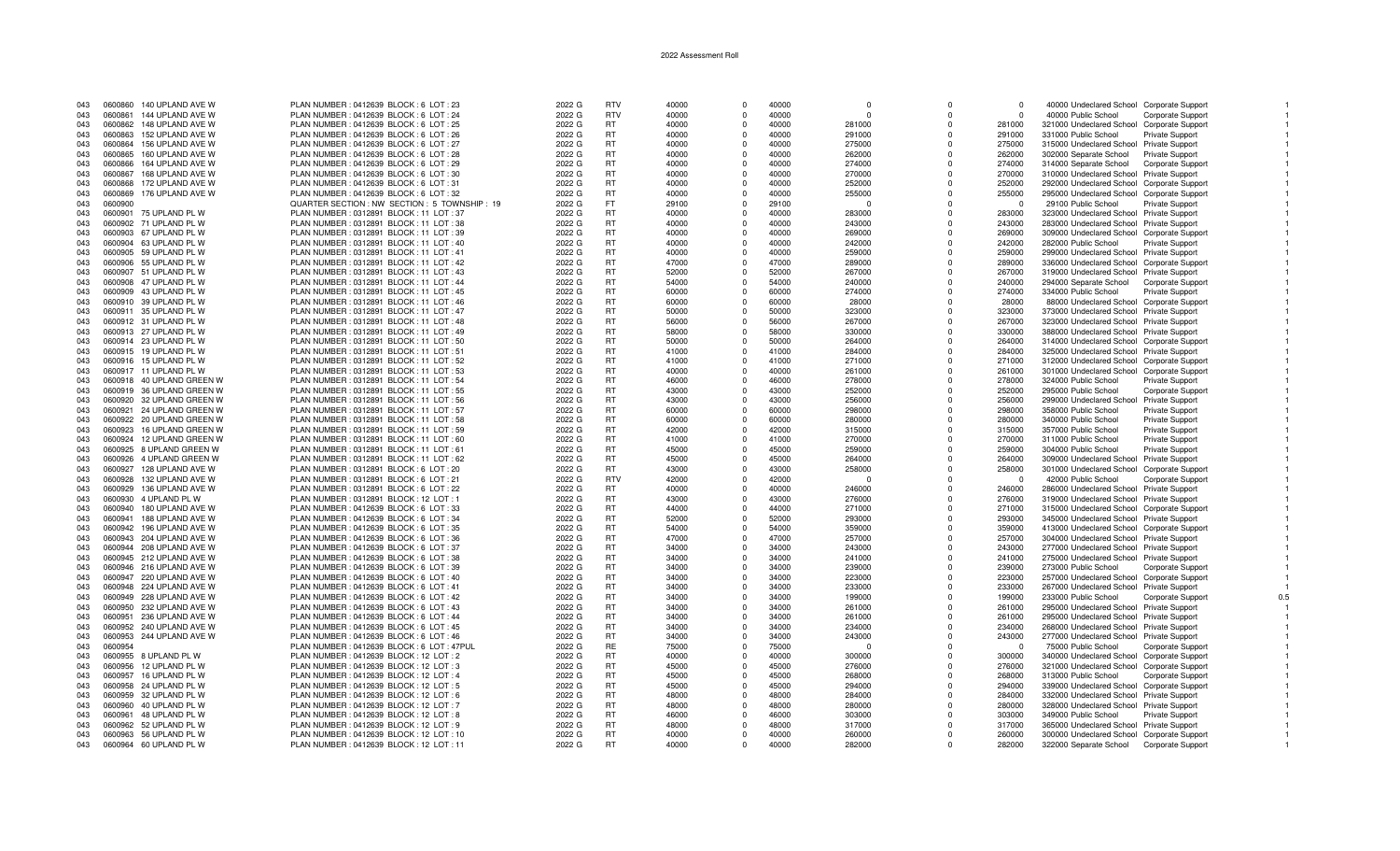| 043 | 0600860 | 140 UPLAND AVE W          | PLAN NUMBER : 0412639 BLOCK : 6 LOT : 23       | 2022 G | <b>RTV</b> | 40000 | $\Omega$   | 40000 | $\Omega$ | $\Omega$   | $\Omega$ | 40000 Undeclared School Corporate Support  |                          |  |
|-----|---------|---------------------------|------------------------------------------------|--------|------------|-------|------------|-------|----------|------------|----------|--------------------------------------------|--------------------------|--|
| 043 | 0600861 | 144 UPLAND AVE W          | PLAN NUMBER : 0412639 BLOCK : 6 LOT : 24       | 2022 G | <b>RTV</b> | 40000 | $\Omega$   | 40000 | $\Omega$ | $\Omega$   | $\Omega$ | 40000 Public School                        | Corporate Support        |  |
| 043 |         | 0600862 148 UPLAND AVE W  | PLAN NUMBER : 0412639 BLOCK : 6 LOT : 25       | 2022 G | RT.        | 40000 | $\Omega$   | 40000 | 281000   | O          | 281000   | 321000 Undeclared School Corporate Support |                          |  |
|     | 0600863 | 152 UPLAND AVE W          | PLAN NUMBER : 0412639 BLOCK : 6 LOT : 26       | 2022 G | <b>RT</b>  | 40000 | $\Omega$   | 40000 | 291000   | $\Omega$   | 291000   | 331000 Public School                       |                          |  |
| 043 |         |                           |                                                |        |            |       |            |       |          |            |          |                                            | Private Support          |  |
| 043 | 0600864 | 156 UPLAND AVE W          | PLAN NUMBER : 0412639 BLOCK : 6 LOT : 27       | 2022 G | <b>RT</b>  | 40000 | $\Omega$   | 40000 | 275000   | $\Omega$   | 275000   | 315000 Undeclared School Private Support   |                          |  |
| 043 | 0600865 | 160 UPLAND AVE W          | PLAN NUMBER : 0412639 BLOCK : 6 LOT : 28       | 2022 G | <b>RT</b>  | 40000 | $\Omega$   | 40000 | 262000   | $\Omega$   | 262000   | 302000 Separate School                     | <b>Private Support</b>   |  |
| 043 | 0600866 | 164 UPLAND AVE W          | PLAN NUMBER: 0412639 BLOCK: 6 LOT: 29          | 2022 G | <b>RT</b>  | 40000 | $\Omega$   | 40000 | 274000   | $\Omega$   | 274000   | 314000 Separate School                     | <b>Corporate Support</b> |  |
| 043 | 0600867 | 168 UPLAND AVE W          | PLAN NUMBER : 0412639 BLOCK : 6 LOT : 30       | 2022 G | <b>RT</b>  | 40000 | $\Omega$   | 40000 | 270000   | $\Omega$   | 270000   | 310000 Undeclared School Private Support   |                          |  |
| 043 | 0600868 | 172 UPLAND AVE W          | PLAN NUMBER : 0412639 BLOCK : 6 LOT : 31       | 2022 G | <b>RT</b>  | 40000 | $\Omega$   | 40000 | 252000   | $\Omega$   | 252000   | 292000 Undeclared School Corporate Support |                          |  |
| 043 | 0600869 | 176 UPLAND AVE W          | PLAN NUMBER : 0412639 BLOCK : 6 LOT : 32       | 2022 G | <b>RT</b>  | 40000 | $\Omega$   | 40000 | 255000   | $\Omega$   | 255000   | 295000 Undeclared School Corporate Support |                          |  |
|     |         |                           |                                                |        | FT.        |       | $\Omega$   |       |          | $\Omega$   |          |                                            |                          |  |
| 043 | 0600900 |                           | QUARTER SECTION : NW SECTION : 5 TOWNSHIP : 19 | 2022 G |            | 29100 |            | 29100 | $\Omega$ |            | $\Omega$ | 29100 Public School                        | <b>Private Support</b>   |  |
| 043 |         | 0600901 75 UPLAND PL W    | PLAN NUMBER: 0312891 BLOCK: 11 LOT: 37         | 2022 G | <b>RT</b>  | 40000 | $\Omega$   | 40000 | 283000   | $\Omega$   | 283000   | 323000 Undeclared School Private Support   |                          |  |
| 043 |         | 0600902 71 UPLAND PL W    | PLAN NUMBER: 0312891 BLOCK: 11 LOT: 38         | 2022 G | <b>RT</b>  | 40000 | $\Omega$   | 40000 | 243000   | $\Omega$   | 243000   | 283000 Undeclared School Private Support   |                          |  |
| 043 |         | 0600903 67 UPLAND PL W    | PLAN NUMBER: 0312891 BLOCK: 11 LOT: 39         | 2022 G | RT         | 40000 | $\Omega$   | 40000 | 269000   | $\Omega$   | 269000   | 309000 Undeclared School Corporate Support |                          |  |
| 043 |         | 0600904 63 UPLAND PL W    | PLAN NUMBER : 0312891 BLOCK : 11 LOT : 40      | 2022 G | <b>RT</b>  | 40000 | $\Omega$   | 40000 | 242000   | $\Omega$   | 242000   | 282000 Public School                       | Private Support          |  |
| 043 |         | 0600905 59 UPLAND PL W    | PLAN NUMBER: 0312891 BLOCK: 11 LOT: 41         | 2022 G | <b>RT</b>  | 40000 | $\Omega$   | 40000 | 259000   | $\Omega$   | 259000   | 299000 Undeclared School Private Support   |                          |  |
| 043 |         | 0600906 55 UPLAND PL W    | PLAN NUMBER : 0312891 BLOCK : 11 LOT : 42      | 2022 G | <b>RT</b>  | 47000 | $\Omega$   | 47000 | 289000   | $\Omega$   | 289000   | 336000 Undeclared School Corporate Support |                          |  |
|     |         | 0600907 51 UPLAND PL W    |                                                |        | <b>RT</b>  | 52000 | $\Omega$   | 52000 |          | $\Omega$   |          |                                            |                          |  |
| 043 |         |                           | PLAN NUMBER: 0312891 BLOCK: 11 LOT: 43         | 2022 G |            |       |            |       | 267000   |            | 267000   | 319000 Undeclared School Private Support   |                          |  |
| 043 |         | 0600908 47 UPLAND PL W    | PLAN NUMBER: 0312891 BLOCK: 11 LOT: 44         | 2022 G | RT.        | 54000 | $\Omega$   | 54000 | 240000   | $\Omega$   | 240000   | 294000 Separate School                     | <b>Corporate Support</b> |  |
| 043 |         | 0600909 43 UPLAND PL W    | PLAN NUMBER: 0312891 BLOCK: 11 LOT: 45         | 2022 G | <b>RT</b>  | 60000 | $\Omega$   | 60000 | 274000   | $\Omega$   | 274000   | 334000 Public School                       | <b>Private Support</b>   |  |
| 043 |         | 0600910 39 UPLAND PL W    | PLAN NUMBER : 0312891 BLOCK : 11 LOT : 46      | 2022 G | <b>RT</b>  | 60000 | $\Omega$   | 60000 | 28000    | $\Omega$   | 28000    | 88000 Undeclared School Corporate Support  |                          |  |
| 043 |         | 0600911 35 UPLAND PL W    | PLAN NUMBER: 0312891 BLOCK: 11 LOT: 47         | 2022 G | RT         | 50000 | $\Omega$   | 50000 | 323000   | $\Omega$   | 323000   | 373000 Undeclared School Private Support   |                          |  |
| 043 |         | 0600912 31 UPLAND PL W    | PLAN NUMBER: 0312891 BLOCK: 11 LOT: 48         | 2022 G | <b>RT</b>  | 56000 | $^{\circ}$ | 56000 | 267000   | $\Omega$   | 267000   | 323000 Undeclared School Private Support   |                          |  |
| 043 |         | 0600913 27 UPLAND PL W    | PLAN NUMBER : 0312891 BLOCK : 11 LOT : 49      | 2022 G | RT.        | 58000 | $\Omega$   | 58000 | 330000   | $\Omega$   | 330000   | 388000 Undeclared School Private Support   |                          |  |
| 043 |         | 0600914 23 UPLAND PL W    |                                                |        | <b>RT</b>  | 50000 | $\Omega$   | 50000 | 264000   | $\Omega$   | 264000   |                                            |                          |  |
|     |         |                           | PLAN NUMBER : 0312891 BLOCK : 11 LOT : 50      | 2022 G |            |       |            |       |          |            |          | 314000 Undeclared School Corporate Support |                          |  |
| 043 |         | 0600915 19 UPLAND PL W    | PLAN NUMBER : 0312891 BLOCK : 11 LOT : 51      | 2022 G | <b>RT</b>  | 41000 | $\Omega$   | 41000 | 284000   | $\Omega$   | 284000   | 325000 Undeclared School Private Support   |                          |  |
| 043 |         | 0600916 15 UPLAND PL W    | PLAN NUMBER : 0312891 BLOCK : 11 LOT : 52      | 2022 G | <b>RT</b>  | 41000 | $^{\circ}$ | 41000 | 271000   | $\Omega$   | 271000   | 312000 Undeclared School Corporate Support |                          |  |
| 043 |         | 0600917 11 UPLAND PL W    | PLAN NUMBER: 0312891 BLOCK: 11 LOT: 53         | 2022 G | RT.        | 40000 | $\Omega$   | 40000 | 261000   | $\Omega$   | 261000   | 301000 Undeclared School Corporate Support |                          |  |
| 043 |         | 0600918 40 UPLAND GREEN W | PLAN NUMBER : 0312891 BLOCK : 11 LOT : 54      | 2022 G | <b>RT</b>  | 46000 | $\Omega$   | 46000 | 278000   | $\Omega$   | 278000   | 324000 Public School                       | Private Support          |  |
| 043 |         | 0600919 36 UPLAND GREEN W | PLAN NUMBER: 0312891 BLOCK: 11 LOT: 55         | 2022 G | RT.        | 43000 | $\Omega$   | 43000 | 252000   | $\Omega$   | 252000   | 295000 Public School                       | Corporate Support        |  |
| 043 |         | 0600920 32 UPLAND GREEN W | PLAN NUMBER : 0312891 BLOCK : 11 LOT : 56      | 2022 G | <b>RT</b>  | 43000 | $^{\circ}$ | 43000 | 256000   | $\Omega$   | 256000   | 299000 Undeclared School Private Support   |                          |  |
|     |         |                           |                                                |        | <b>RT</b>  |       | $\Omega$   |       |          |            |          |                                            |                          |  |
| 043 |         | 0600921 24 UPLAND GREEN W | PLAN NUMBER : 0312891 BLOCK : 11 LOT : 57      | 2022 G |            | 60000 |            | 60000 | 298000   | $\Omega$   | 298000   | 358000 Public School                       | Private Support          |  |
| 043 |         | 0600922 20 UPLAND GREEN W | PLAN NUMBER : 0312891 BLOCK : 11 LOT : 58      | 2022 G | <b>RT</b>  | 60000 | $\Omega$   | 60000 | 280000   | $\Omega$   | 280000   | 340000 Public School                       | Private Support          |  |
| 043 |         | 0600923 16 UPLAND GREEN W | PLAN NUMBER: 0312891 BLOCK: 11 LOT: 59         | 2022 G | RT.        | 42000 | $\Omega$   | 42000 | 315000   | $\Omega$   | 315000   | 357000 Public School                       | <b>Private Support</b>   |  |
| 043 |         | 0600924 12 UPLAND GREEN W | PLAN NUMBER: 0312891 BLOCK: 11 LOT: 60         | 2022 G | <b>RT</b>  | 41000 | $\Omega$   | 41000 | 270000   | $\Omega$   | 270000   | 311000 Public School                       | <b>Private Support</b>   |  |
| 043 |         | 0600925 8 UPLAND GREEN W  | PLAN NUMBER : 0312891 BLOCK : 11 LOT : 61      | 2022 G | <b>RT</b>  | 45000 | $\Omega$   | 45000 | 259000   | $\Omega$   | 259000   | 304000 Public School                       | Private Support          |  |
| 043 |         | 0600926 4 UPLAND GREEN W  | PLAN NUMBER: 0312891 BLOCK: 11 LOT: 62         | 2022 G | <b>RT</b>  | 45000 | $\Omega$   | 45000 | 264000   | $\Omega$   | 264000   | 309000 Undeclared School Private Support   |                          |  |
| 043 |         | 0600927 128 UPLAND AVE W  | PLAN NUMBER : 0312891 BLOCK : 6 LOT : 20       | 2022 G | <b>RT</b>  | 43000 | $\Omega$   | 43000 | 258000   | $\Omega$   | 258000   | 301000 Undeclared School Corporate Support |                          |  |
|     |         |                           |                                                | 2022 G | <b>RTV</b> | 42000 | $\Omega$   | 42000 |          | $\Omega$   | $\Omega$ |                                            |                          |  |
| 043 | 0600928 | 132 UPLAND AVE W          | PLAN NUMBER: 0312891 BLOCK: 6 LOT: 21          |        |            |       |            |       | $\Omega$ |            |          | 42000 Public School                        | Corporate Support        |  |
| 043 | 0600929 | 136 UPLAND AVE W          | PLAN NUMBER : 0312891 BLOCK : 6 LOT : 22       | 2022 G | RT.        | 40000 | $\Omega$   | 40000 | 246000   | $\Omega$   | 246000   | 286000 Undeclared School Private Support   |                          |  |
| 043 |         | 0600930 4 UPLAND PL W     | PLAN NUMBER : 0312891 BLOCK : 12 LOT : 1       | 2022 G | <b>RT</b>  | 43000 | $\Omega$   | 43000 | 276000   | O          | 276000   | 319000 Undeclared School Private Support   |                          |  |
| 043 |         | 0600940 180 UPLAND AVE W  | PLAN NUMBER : 0412639 BLOCK : 6 LOT : 33       | 2022 G | <b>RT</b>  | 44000 | $\Omega$   | 44000 | 271000   | $\Omega$   | 271000   | 315000 Undeclared School Corporate Support |                          |  |
| 043 | 0600941 | 188 UPLAND AVE W          | PLAN NUMBER : 0412639 BLOCK : 6 LOT : 34       | 2022 G | <b>RT</b>  | 52000 | $^{\circ}$ | 52000 | 293000   | $\Omega$   | 293000   | 345000 Undeclared School Private Support   |                          |  |
| 043 |         | 0600942 196 UPLAND AVE W  | PLAN NUMBER : 0412639 BLOCK : 6 LOT : 35       | 2022 G | RT.        | 54000 | $\Omega$   | 54000 | 359000   | $\Omega$   | 359000   | 413000 Undeclared School Corporate Support |                          |  |
| 043 |         | 0600943 204 UPLAND AVE W  | PLAN NUMBER : 0412639 BLOCK : 6 LOT : 36       | 2022 G | <b>RT</b>  | 47000 | $\Omega$   | 47000 | 257000   | $\Omega$   | 257000   | 304000 Undeclared School Private Support   |                          |  |
| 043 |         | 0600944 208 UPLAND AVE W  | PLAN NUMBER : 0412639 BLOCK : 6 LOT : 37       | 2022 G | RT.        | 34000 | $\Omega$   | 34000 | 243000   | $\Omega$   | 243000   | 277000 Undeclared School Private Support   |                          |  |
|     |         |                           |                                                |        |            |       |            |       |          |            |          |                                            |                          |  |
| 043 |         | 0600945 212 UPLAND AVE W  | PLAN NUMBER : 0412639 BLOCK : 6 LOT : 38       | 2022 G | <b>RT</b>  | 34000 | $\Omega$   | 34000 | 241000   | $\Omega$   | 241000   | 275000 Undeclared School Private Support   |                          |  |
| 043 |         | 0600946 216 UPLAND AVE W  | PLAN NUMBER : 0412639 BLOCK : 6 LOT : 39       | 2022 G | <b>RT</b>  | 34000 | $\Omega$   | 34000 | 239000   | $\Omega$   | 239000   | 273000 Public School                       | Corporate Support        |  |
| 043 |         | 0600947 220 UPLAND AVE W  | PLAN NUMBER : 0412639 BLOCK : 6 LOT : 40       | 2022 G | RT         | 34000 | $\Omega$   | 34000 | 223000   |            | 223000   | 257000 Undeclared School Corporate Support |                          |  |
| 043 |         | 0600948 224 UPLAND AVE W  | PLAN NUMBER: 0412639 BLOCK: 6 LOT: 41          | 2022 G | RT.        | 34000 | $\Omega$   | 34000 | 233000   | $\Omega$   | 233000   | 267000 Undeclared School Private Support   |                          |  |
| 043 |         | 0600949 228 UPLAND AVE W  | PLAN NUMBER : 0412639 BLOCK : 6 LOT : 42       | 2022 G | RT         | 34000 | $\Omega$   | 34000 | 199000   | $\Omega$   | 199000   | 233000 Public School                       | Corporate Support        |  |
| 043 | 0600950 | 232 UPLAND AVE W          | PLAN NUMBER : 0412639 BLOCK : 6 LOT : 43       | 2022 G | <b>RT</b>  | 34000 | $\Omega$   | 34000 | 261000   | $\Omega$   | 261000   | 295000 Undeclared School Private Support   |                          |  |
| 043 | 0600951 | 236 UPLAND AVE W          | PLAN NUMBER : 0412639 BLOCK : 6 LOT : 44       | 2022 G | RT         | 34000 | $\Omega$   | 34000 | 261000   | $\Omega$   | 261000   | 295000 Undeclared School Private Support   |                          |  |
|     |         |                           |                                                |        |            |       |            |       |          |            |          |                                            |                          |  |
| 043 |         | 0600952 240 UPLAND AVE W  | PLAN NUMBER : 0412639 BLOCK : 6 LOT : 45       | 2022 G | <b>RT</b>  | 34000 | $^{\circ}$ | 34000 | 234000   | $^{\circ}$ | 234000   | 268000 Undeclared School Private Support   |                          |  |
| 043 | 0600953 | 244 UPLAND AVE W          | PLAN NUMBER : 0412639 BLOCK : 6 LOT : 46       | 2022 G | RT.        | 34000 | $\Omega$   | 34000 | 243000   | $\Omega$   | 243000   | 277000 Undeclared School Private Support   |                          |  |
| 043 | 0600954 |                           | PLAN NUMBER : 0412639 BLOCK : 6 LOT : 47PUL    | 2022 G | <b>RE</b>  | 75000 | $\Omega$   | 75000 | $\Omega$ | $\Omega$   | - 0      | 75000 Public School                        | <b>Corporate Support</b> |  |
| 043 |         | 0600955 8 UPLAND PL W     | PLAN NUMBER : 0412639 BLOCK : 12 LOT : 2       | 2022 G | <b>RT</b>  | 40000 | $\Omega$   | 40000 | 300000   | O          | 300000   | 340000 Undeclared School Corporate Support |                          |  |
| 043 | 0600956 | 12 UPLAND PL W            | PLAN NUMBER : 0412639 BLOCK : 12 LOT : 3       | 2022 G | <b>RT</b>  | 45000 | $\Omega$   | 45000 | 276000   | $\Omega$   | 276000   | 321000 Undeclared School Corporate Support |                          |  |
| 043 |         | 0600957 16 UPLAND PL W    | PLAN NUMBER : 0412639 BLOCK : 12 LOT : 4       | 2022 G | RT         | 45000 | $\Omega$   | 45000 | 268000   | $\Omega$   | 268000   | 313000 Public School                       | Corporate Support        |  |
| 043 |         | 0600958 24 UPLAND PL W    | PLAN NUMBER : 0412639 BLOCK : 12 LOT : 5       | 2022 G | RT.        | 45000 | $\Omega$   | 45000 | 294000   | $\Omega$   | 294000   | 339000 Undeclared School Corporate Support |                          |  |
|     |         | 0600959 32 UPLAND PL W    | PLAN NUMBER : 0412639 BLOCK : 12 LOT : 6       |        | <b>RT</b>  | 48000 | $\Omega$   | 48000 | 284000   | $\Omega$   |          |                                            |                          |  |
| 043 |         |                           |                                                | 2022 G |            |       |            |       |          |            | 284000   | 332000 Undeclared School Private Support   |                          |  |
| 043 | 0600960 | 40 UPLAND PL W            | PLAN NUMBER : 0412639 BLOCK : 12 LOT : 7       | 2022 G | RT         | 48000 | $\Omega$   | 48000 | 280000   | $\Omega$   | 280000   | 328000 Undeclared School Private Support   |                          |  |
| 043 | 0600961 | 48 UPLAND PL W            | PLAN NUMBER : 0412639 BLOCK : 12 LOT : 8       | 2022 G | <b>RT</b>  | 46000 | $\Omega$   | 46000 | 303000   | $\Omega$   | 303000   | 349000 Public School                       | Private Support          |  |
| 043 |         | 0600962 52 UPLAND PL W    | PLAN NUMBER : 0412639 BLOCK : 12 LOT : 9       | 2022 G | RT         | 48000 | $\Omega$   | 48000 | 317000   | $\Omega$   | 317000   | 365000 Undeclared School Private Support   |                          |  |
| 043 |         | 0600963 56 UPLAND PL W    | PLAN NUMBER : 0412639 BLOCK : 12 LOT : 10      | 2022 G | <b>RT</b>  | 40000 | $\Omega$   | 40000 | 260000   | $\Omega$   | 260000   | 300000 Undeclared School Corporate Support |                          |  |
| 043 |         | 0600964 60 UPLAND PL W    | PLAN NUMBER: 0412639 BLOCK: 12 LOT: 11         | 2022 G | RT.        | 40000 | $\Omega$   | 40000 | 282000   | $\Omega$   | 282000   | 322000 Separate School Corporate Support   |                          |  |
|     |         |                           |                                                |        |            |       |            |       |          |            |          |                                            |                          |  |

 $0.5\,$ 

 $\overline{1}$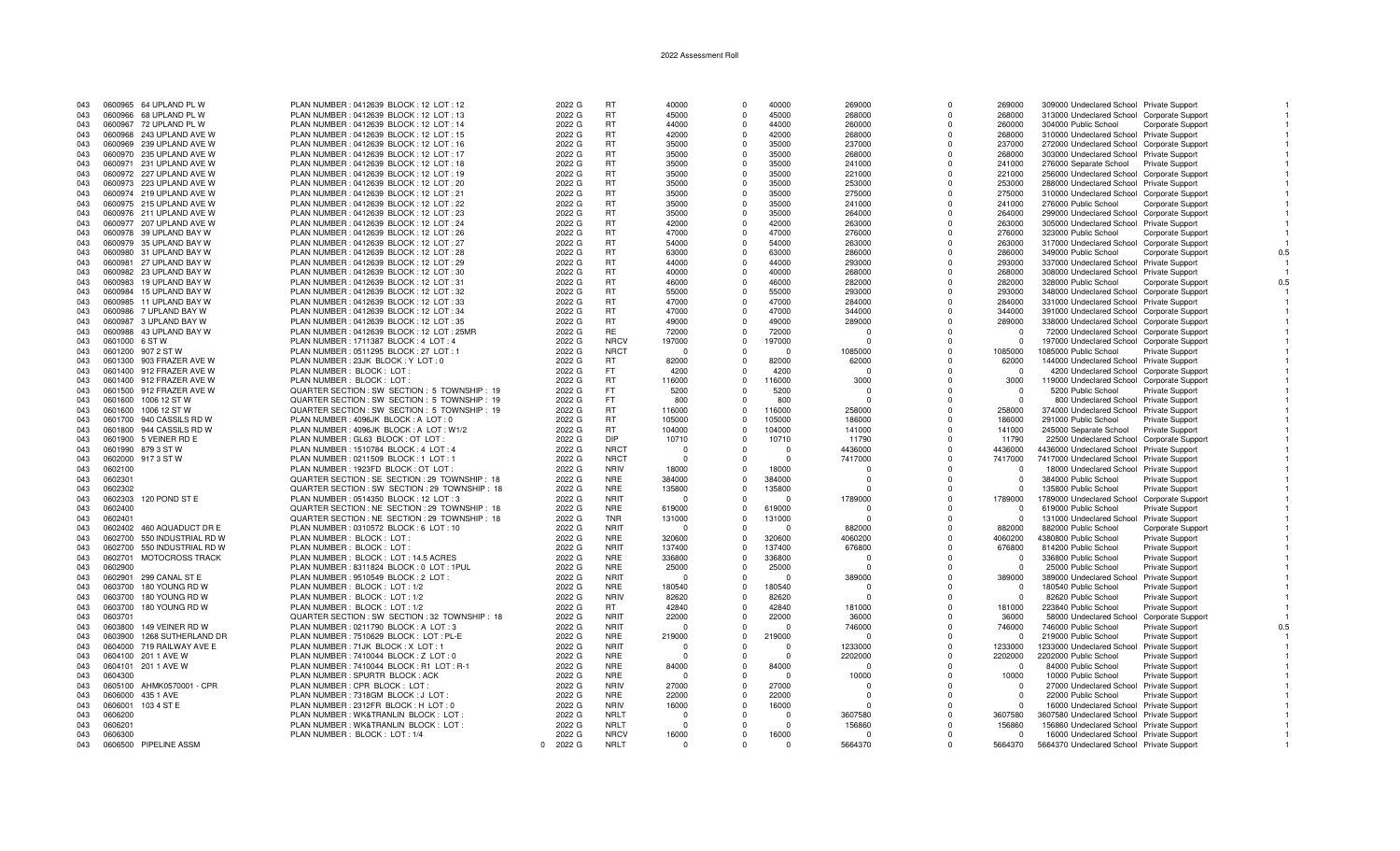| 043 | 0600965 64 UPLAND PL W         | PLAN NUMBER: 0412639 BLOCK: 12 LOT: 12          | 2022 G   | <b>RT</b>   | 40000    | $\Omega$     | 40000    | 269000     | $\Omega$     | 269000     | 309000 Undeclared School Private Support         |     |
|-----|--------------------------------|-------------------------------------------------|----------|-------------|----------|--------------|----------|------------|--------------|------------|--------------------------------------------------|-----|
| 043 | 0600966 68 UPLAND PL W         | PLAN NUMBER: 0412639 BLOCK: 12 LOT: 13          | 2022 G   | <b>RT</b>   | 45000    | $^{\circ}$   | 45000    | 268000     | $\Omega$     | 268000     | 313000 Undeclared School Corporate Support       |     |
| 043 | 0600967 72 UPLAND PL W         | PLAN NUMBER : 0412639 BLOCK : 12 LOT : 14       | 2022 G   | <b>RT</b>   | 44000    | $\Omega$     | 44000    | 260000     | $\Omega$     | 260000     | 304000 Public School<br><b>Corporate Support</b> |     |
|     |                                |                                                 |          |             |          |              |          |            |              |            |                                                  |     |
| 043 | 0600968 243 UPLAND AVE W       | PLAN NUMBER : 0412639 BLOCK : 12 LOT : 15       | 2022 G   | <b>RT</b>   | 42000    | $\Omega$     | 42000    | 268000     | $\Omega$     | 268000     | 310000 Undeclared School Private Support         |     |
| 043 | 0600969 239 UPLAND AVE W       | PLAN NUMBER : 0412639 BLOCK : 12 LOT : 16       | 2022 G   | <b>RT</b>   | 35000    | $\Omega$     | 35000    | 237000     | $\Omega$     | 237000     | 272000 Undeclared School Corporate Support       |     |
| 043 | 0600970 235 UPLAND AVE W       | PLAN NUMBER: 0412639 BLOCK: 12 LOT: 17          | 2022 G   | <b>RT</b>   | 35000    | $\Omega$     | 35000    | 268000     | $\Omega$     | 268000     | 303000 Undeclared School Private Support         |     |
| 043 | 0600971 231 UPLAND AVE W       | PLAN NUMBER: 0412639 BLOCK: 12 LOT: 18          | 2022 G   | <b>RT</b>   | 35000    | $\Omega$     | 35000    | 241000     | $\Omega$     | 241000     | 276000 Separate School Private Support           |     |
|     |                                |                                                 | 2022 G   | <b>RT</b>   | 35000    |              | 35000    |            | $\Omega$     |            |                                                  |     |
| 043 | 0600972 227 UPLAND AVE W       | PLAN NUMBER : 0412639 BLOCK : 12 LOT : 19       |          |             |          | $\Omega$     |          | 221000     |              | 221000     | 256000 Undeclared School Corporate Support       |     |
| 043 | 0600973 223 UPLAND AVE W       | PLAN NUMBER : 0412639 BLOCK : 12 LOT : 20       | 2022 G   | <b>RT</b>   | 35000    | $\Omega$     | 35000    | 253000     | $\Omega$     | 253000     | 288000 Undeclared School Private Support         |     |
| 043 | 0600974 219 UPLAND AVE W       | PLAN NUMBER : 0412639 BLOCK : 12 LOT : 21       | 2022 G   | <b>RT</b>   | 35000    | $\Omega$     | 35000    | 275000     | $\Omega$     | 275000     | 310000 Undeclared School Corporate Support       |     |
| 043 | 0600975 215 UPLAND AVE W       | PLAN NUMBER: 0412639 BLOCK: 12 LOT: 22          | 2022 G   | <b>RT</b>   | 35000    | $\Omega$     | 35000    | 241000     | $\Omega$     | 241000     | 276000 Public School<br>Corporate Support        |     |
|     |                                |                                                 |          | <b>RT</b>   |          | $\Omega$     |          |            | $\Omega$     |            |                                                  |     |
| 043 | 0600976 211 UPLAND AVE W       | PLAN NUMBER : 0412639 BLOCK : 12 LOT : 23       | 2022 G   |             | 35000    |              | 35000    | 264000     |              | 264000     | 299000 Undeclared School Corporate Support       |     |
| 043 | 0600977 207 UPLAND AVE W       | PLAN NUMBER : 0412639 BLOCK : 12 LOT : 24       | 2022 G   | <b>RT</b>   | 42000    | $\Omega$     | 42000    | 263000     | $\Omega$     | 263000     | 305000 Undeclared School Private Support         |     |
| 043 | 0600978 39 UPLAND BAY W        | PLAN NUMBER : 0412639 BLOCK : 12 LOT : 26       | 2022 G   | <b>RT</b>   | 47000    | $\Omega$     | 47000    | 276000     | $\Omega$     | 276000     | 323000 Public School<br><b>Corporate Support</b> |     |
| 043 | 0600979 35 UPLAND BAY W        | PLAN NUMBER : 0412639 BLOCK : 12 LOT : 27       | 2022 G   | <b>RT</b>   | 54000    | $\Omega$     | 54000    | 263000     | $\Omega$     | 263000     | 317000 Undeclared School Corporate Support       |     |
|     |                                |                                                 |          | <b>RT</b>   |          |              |          |            |              |            |                                                  |     |
| 043 | 0600980 31 UPLAND BAY W        | PLAN NUMBER : 0412639 BLOCK : 12 LOT : 28       | 2022 G   |             | 63000    | $\mathbf 0$  | 63000    | 286000     | $\Omega$     | 286000     | 349000 Public School<br><b>Corporate Support</b> | 0.5 |
| 043 | 27 UPLAND BAY W<br>0600981     | PLAN NUMBER : 0412639 BLOCK : 12 LOT : 29       | 2022 G   | RT          | 44000    | $\Omega$     | 44000    | 293000     | $\Omega$     | 293000     | 337000 Undeclared School Private Support         |     |
| 043 | 0600982 23 UPLAND BAY W        | PLAN NUMBER : 0412639 BLOCK : 12 LOT : 30       | 2022 G   | <b>RT</b>   | 40000    | $\Omega$     | 40000    | 268000     | $\Omega$     | 268000     | 308000 Undeclared School Private Support         |     |
| 043 | 0600983 19 UPLAND BAY W        | PLAN NUMBER : 0412639 BLOCK : 12 LOT : 31       | 2022 G   | <b>RT</b>   | 46000    | $\Omega$     | 46000    | 282000     | $\Omega$     | 282000     | 328000 Public School<br><b>Corporate Support</b> |     |
| 043 | 0600984 15 UPLAND BAY W        | PLAN NUMBER : 0412639 BLOCK : 12 LOT : 32       | 2022 G   | <b>RT</b>   | 55000    | $\Omega$     | 55000    | 293000     | $\Omega$     | 293000     | 348000 Undeclared School Corporate Support       |     |
|     |                                |                                                 |          |             |          |              |          |            |              |            |                                                  |     |
| 043 | 0600985 11 UPLAND BAY W        | PLAN NUMBER: 0412639 BLOCK: 12 LOT: 33          | 2022 G   | <b>RT</b>   | 47000    | $\Omega$     | 47000    | 284000     | $\Omega$     | 284000     | 331000 Undeclared School Private Support         |     |
| 043 | 0600986 7 UPLAND BAY W         | PLAN NUMBER : 0412639 BLOCK : 12 LOT : 34       | 2022 G   | <b>RT</b>   | 47000    | $\Omega$     | 47000    | 344000     | $\Omega$     | 344000     | 391000 Undeclared School Corporate Support       |     |
| 043 | 0600987 3 UPLAND BAY W         | PLAN NUMBER : 0412639 BLOCK : 12 LOT : 35       | 2022 G   | <b>RT</b>   | 49000    | $\Omega$     | 49000    | 289000     | $\Omega$     | 289000     | 338000 Undeclared School Corporate Support       |     |
|     | 0600988 43 UPLAND BAY W        | PLAN NUMBER : 0412639 BLOCK : 12 LOT : 25MR     |          | <b>RE</b>   | 72000    |              | 72000    |            |              |            |                                                  |     |
| 043 |                                |                                                 | 2022 G   |             |          | $\Omega$     |          | - 0        | $\Omega$     | $^{\circ}$ | 72000 Undeclared School Corporate Support        |     |
| 043 | 0601000 6 ST W                 | PLAN NUMBER: 1711387 BLOCK: 4 LOT: 4            | 2022 G   | <b>NRCV</b> | 197000   | $\Omega$     | 197000   |            | $\Omega$     | $^{\circ}$ | 197000 Undeclared School Corporate Support       |     |
| 043 | 0601200 907 2 ST W             | PLAN NUMBER : 0511295 BLOCK : 27 LOT : 1        | 2022 G   | <b>NRCT</b> | $\Omega$ | $\Omega$     | $\Omega$ | 1085000    | $\Omega$     | 1085000    | 1085000 Public School<br><b>Private Support</b>  |     |
| 043 | 0601300 903 FRAZER AVE W       | PLAN NUMBER : 23JK BLOCK : Y LOT : 0            | 2022 G   | <b>RT</b>   | 82000    | $\Omega$     | 82000    | 62000      | $\Omega$     | 62000      | 144000 Undeclared School Private Support         |     |
| 043 | 0601400 912 FRAZER AVE W       |                                                 |          | FT.         | 4200     |              | 4200     |            | $\Omega$     |            |                                                  |     |
|     |                                | PLAN NUMBER: BLOCK: LOT:                        | 2022 G   |             |          | $\Omega$     |          | $\Omega$   |              | $^{\circ}$ | 4200 Undeclared School Corporate Support         |     |
| 043 | 0601400 912 FRAZER AVE W       | PLAN NUMBER: BLOCK: LOT:                        | 2022 G   | <b>RT</b>   | 116000   | $\Omega$     | 116000   | 3000       | $\Omega$     | 3000       | 119000 Undeclared School Corporate Support       |     |
| 043 | 0601500 912 FRAZER AVE W       | QUARTER SECTION : SW SECTION : 5 TOWNSHIP : 19  | 2022 G   | FT.         | 5200     | $\Omega$     | 5200     | $\Omega$   | $\Omega$     | $\Omega$   | 5200 Public School<br>Private Support            |     |
| 043 | 0601600 1006 12 ST W           | QUARTER SECTION : SW SECTION : 5 TOWNSHIP : 19  | 2022 G   | <b>FT</b>   | 800      | $\Omega$     | 800      |            |              | $\Omega$   | 800 Undeclared School Private Support            |     |
|     |                                |                                                 |          |             |          |              |          |            | $\Omega$     |            |                                                  |     |
| 043 | 0601600 1006 12 ST W           | QUARTER SECTION : SW SECTION : 5 TOWNSHIP : 19  | 2022 G   | <b>RT</b>   | 116000   | $\Omega$     | 116000   | 258000     |              | 258000     | 374000 Undeclared School Private Support         |     |
| 043 | 0601700<br>940 CASSILS RD W    | PLAN NUMBER : 4096JK BLOCK : A LOT : 0          | 2022 G   | <b>RT</b>   | 105000   | $\Omega$     | 105000   | 186000     | $\Omega$     | 186000     | 291000 Public School<br><b>Private Support</b>   |     |
| 043 | 0601800 944 CASSILS RD W       | PLAN NUMBER: 4096JK BLOCK: A LOT: W1/2          | 2022 G   | <b>RT</b>   | 104000   | $\Omega$     | 104000   | 141000     | $\Omega$     | 141000     | 245000 Separate School<br><b>Private Support</b> |     |
| 043 | 0601900 5 VEINER RD E          | PLAN NUMBER : GL63 BLOCK : OT LOT               | 2022 G   | DIP         | 10710    | $\Omega$     | 10710    | 11790      | $\Omega$     | 11790      | 22500 Undeclared School Corporate Suppor         |     |
| 043 | 0601990 879 3 ST W             | PLAN NUMBER: 1510784 BLOCK: 4 LOT: 4            | 2022 G   | <b>NRCT</b> | $\Omega$ | $\Omega$     |          | 4436000    | $\Omega$     | 4436000    | 4436000 Undeclared School Private Support        |     |
|     |                                |                                                 |          |             |          |              |          |            |              |            |                                                  |     |
| 043 | 0602000 917 3 ST W             | PLAN NUMBER: 0211509 BLOCK: 1 LOT: 1            | 2022 G   | <b>NRCT</b> | $\Omega$ | $\Omega$     | $\Omega$ | 7417000    | $\Omega$     | 7417000    | 7417000 Undeclared School Private Support        |     |
| 043 | 0602100                        | PLAN NUMBER : 1923FD BLOCK : OT LOT :           | 2022 G   | <b>NRIV</b> | 18000    | $\Omega$     | 18000    |            | $\Omega$     | $\Omega$   | 18000 Undeclared School Private Support          |     |
| 043 | 0602301                        | QUARTER SECTION : SE SECTION : 29 TOWNSHIP : 18 | 2022 G   | <b>NRE</b>  | 384000   | $\Omega$     | 384000   |            | $\Omega$     | $\Omega$   | Private Support<br>384000 Public School          |     |
| 043 | 0602302                        | QUARTER SECTION : SW SECTION : 29 TOWNSHIP : 18 |          | <b>NRE</b>  | 135800   | $\Omega$     | 135800   |            | $\Omega$     | $\Omega$   |                                                  |     |
|     |                                |                                                 | 2022 G   |             |          |              |          |            |              |            | 135800 Public School<br>Private Support          |     |
| 043 | 0602303<br>120 POND ST E       | PLAN NUMBER: 0514350 BLOCK: 12 LOT: 3           | 2022 G   | <b>NRIT</b> | $\Omega$ | $\Omega$     | $\Omega$ | 1789000    | $\Omega$     | 1789000    | 1789000 Undeclared School Corporate Support      |     |
| 043 | 0602400                        | QUARTER SECTION : NE SECTION : 29 TOWNSHIP : 18 | 2022 G   | <b>NRE</b>  | 619000   | $\Omega$     | 619000   |            |              | $\Omega$   | 619000 Public School<br><b>Private Support</b>   |     |
| 043 | 0602401                        | QUARTER SECTION : NE SECTION : 29 TOWNSHIP : 18 | 2022 G   | <b>TNR</b>  | 131000   | $\Omega$     | 131000   | $\Omega$   | $\Omega$     | $\Omega$   | 131000 Undeclared School Private Support         |     |
| 043 | 0602402 460 AQUADUCT DR E      | PLAN NUMBER : 0310572 BLOCK : 6 LOT : 10        | 2022 G   | <b>NRIT</b> | $\Omega$ | $\Omega$     |          | 882000     | $\Omega$     | 882000     | 882000 Public School                             |     |
|     |                                |                                                 |          |             |          |              |          |            |              |            | <b>Corporate Support</b>                         |     |
| 043 | 550 INDUSTRIAL RD W<br>0602700 | PLAN NUMBER : BLOCK : LOT :                     | 2022 G   | <b>NRE</b>  | 320600   | $\Omega$     | 320600   | 4060200    | $\Omega$     | 4060200    | 4380800 Public School<br><b>Private Support</b>  |     |
| 043 | 550 INDUSTRIAL RD W<br>0602700 | PLAN NUMBER: BLOCK: LOT:                        | 2022 G   | <b>NRIT</b> | 137400   | $\Omega$     | 137400   | 676800     | $\Omega$     | 676800     | 814200 Public School<br><b>Private Support</b>   |     |
| 043 | MOTOCROSS TRACK<br>0602701     | PLAN NUMBER: BLOCK: LOT: 14.5 ACRES             | 2022 G   | <b>NRE</b>  | 336800   | $\Omega$     | 336800   |            | $\Omega$     | $\Omega$   | 336800 Public School<br><b>Private Support</b>   |     |
| 043 | 0602900                        | PLAN NUMBER : 8311824 BLOCK : 0 LOT : 1PUL      | 2022 G   | <b>NRE</b>  | 25000    | $\Omega$     | 25000    |            | $\Omega$     | $^{\circ}$ |                                                  |     |
|     |                                |                                                 |          |             |          |              |          |            |              |            | 25000 Public School<br><b>Private Support</b>    |     |
| 043 | 0602901<br>299 CANAL ST E      | PLAN NUMBER : 9510549 BLOCK : 2 LOT :           | 2022 G   | <b>NRIT</b> | $\Omega$ | $^{\circ}$   | $\Omega$ | 389000     | $\Omega$     | 389000     | 389000 Undeclared School Private Support         |     |
| 043 | 180 YOUNG RD W<br>0603700      | PLAN NUMBER: BLOCK: LOT: 1/2                    | 2022 G   | <b>NRE</b>  | 180540   | $\Omega$     | 180540   | $\Omega$   | $\Omega$     | $\Omega$   | 180540 Public School<br><b>Private Support</b>   |     |
| 043 | 0603700 180 YOUNG RD W         | PLAN NUMBER : BLOCK : LOT : 1/2                 | 2022 G   | <b>NRIV</b> | 82620    | $\Omega$     | 82620    | $\Omega$   | $\Omega$     | $\Omega$   | 82620 Public School<br>Private Support           |     |
|     |                                |                                                 |          |             |          |              |          |            |              |            |                                                  |     |
| 043 | 0603700<br>180 YOUNG RD W      | PLAN NUMBER: BLOCK: LOT: 1/2                    | 2022 G   | <b>RT</b>   | 42840    | $\Omega$     | 42840    | 181000     |              | 181000     | 223840 Public School<br><b>Private Support</b>   |     |
| 043 | 0603701                        | QUARTER SECTION : SW SECTION : 32 TOWNSHIP : 18 | 2022 G   | <b>NRIT</b> | 22000    | $\Omega$     | 22000    | 36000      | $\Omega$     | 36000      | 58000 Undeclared School Corporate Support        |     |
| 043 | 149 VEINER RD W<br>0603800     | PLAN NUMBER: 0211790 BLOCK: A LOT: 3            | 2022 G   | <b>NRIT</b> | $\Omega$ | $\mathbf{0}$ | $\Omega$ | 746000     | $\Omega$     | 746000     | 746000 Public School<br><b>Private Support</b>   | 0.5 |
| 043 | 1268 SUTHERLAND DR<br>0603900  | PLAN NUMBER: 7510629 BLOCK: LOT: PL-E           | 2022 G   | <b>NRE</b>  | 219000   | $\Omega$     | 219000   | $\sqrt{ }$ | $\Omega$     | $\cap$     | 219000 Public School<br>Private Support          |     |
|     |                                |                                                 |          |             |          |              |          |            |              |            |                                                  |     |
| 043 | 0604000 719 RAILWAY AVE E      | PLAN NUMBER: 71JK BLOCK: X LOT: 1               | 2022 G   | <b>NRIT</b> | $\Omega$ | $\Omega$     | $\Omega$ | 1233000    | $\Omega$     | 1233000    | 1233000 Undeclared School Private Support        |     |
| 043 | 0604100 201 1 AVE W            | PLAN NUMBER : 7410044 BLOCK : Z LOT : 0         | 2022 G   | <b>NRE</b>  | $\Omega$ | $\Omega$     | $\Omega$ | 2202000    | $\Omega$     | 2202000    | 2202000 Public School<br>Private Support         |     |
| 043 | 201 1 AVE W<br>0604101         | PLAN NUMBER : 7410044 BLOCK : R1 LOT : R-1      | 2022 G   | <b>NRE</b>  | 84000    | $\Omega$     | 84000    |            | $\Omega$     | $^{\circ}$ | 84000 Public School<br>Private Support           |     |
| 043 | 0604300                        | PLAN NUMBER : SPURTR BLOCK : ACK                | 2022 G   | <b>NRE</b>  | $\Omega$ | $\Omega$     | $\Omega$ | 10000      | $\mathbf{0}$ | 10000      | 10000 Public School<br>Private Support           |     |
|     |                                |                                                 |          | <b>NRIV</b> |          | $\Omega$     |          |            | $\Omega$     |            |                                                  |     |
| 043 | 0605100 AHMK0570001 - CPR      | PLAN NUMBER : CPR BLOCK : LOT                   | 2022 G   |             | 27000    |              | 27000    |            |              | $\Omega$   | 27000 Undeclared School Private Support          |     |
| 043 | 0606000<br>435 1 AVE           | PLAN NUMBER: 7318GM BLOCK: J LOT                | 2022 G   | <b>NRE</b>  | 22000    | $\Omega$     | 22000    | $\Omega$   | $\Omega$     | $\Omega$   | 22000 Public School<br><b>Private Support</b>    |     |
| 043 | 103 4 ST E<br>0606001          | PLAN NUMBER : 2312FR BLOCK : H LOT : 0          | 2022 G   | <b>NRIV</b> | 16000    | $\Omega$     | 16000    |            | $\Omega$     | $\Omega$   | 16000 Undeclared School Private Support          |     |
| 043 | 0606200                        | PLAN NUMBER : WK&TRANLIN BLOCK : LOT            | 2022 G   | <b>NRLT</b> | $\Omega$ | $\Omega$     | $\Omega$ | 3607580    | $\Omega$     | 3607580    | 3607580 Undeclared School Private Support        |     |
|     |                                |                                                 |          | <b>NRLT</b> | $\Omega$ |              | $\Omega$ |            |              | 156860     |                                                  |     |
| 043 | 0606201                        | PLAN NUMBER : WK&TRANLIN BLOCK : LOT            | 2022 G   |             |          | $\Omega$     |          | 156860     |              |            | 156860 Undeclared School Private Support         |     |
| 043 | 0606300                        | PLAN NUMBER: BLOCK: LOT: 1/4                    | 2022 G   | <b>NRCV</b> | 16000    | $\Omega$     | 16000    | $\Omega$   | $\Omega$     | $\Omega$   | 16000 Undeclared School Private Support          |     |
| 043 | 0606500 PIPELINE ASSM          |                                                 | 0 2022 G | <b>NRLT</b> | $\Omega$ | $\Omega$     | $\Omega$ | 5664370    | $\Omega$     | 5664370    | 5664370 Undeclared School Private Support        |     |
|     |                                |                                                 |          |             |          |              |          |            |              |            |                                                  |     |

 $\overline{1}$ 

 $\overline{1}$ 

 $\overline{1}$ 

 $\overline{1}$ 

 $0.5\,$ 

 $\overline{1}$ 

 $\begin{array}{c} 0.5 \\ 1 \end{array}$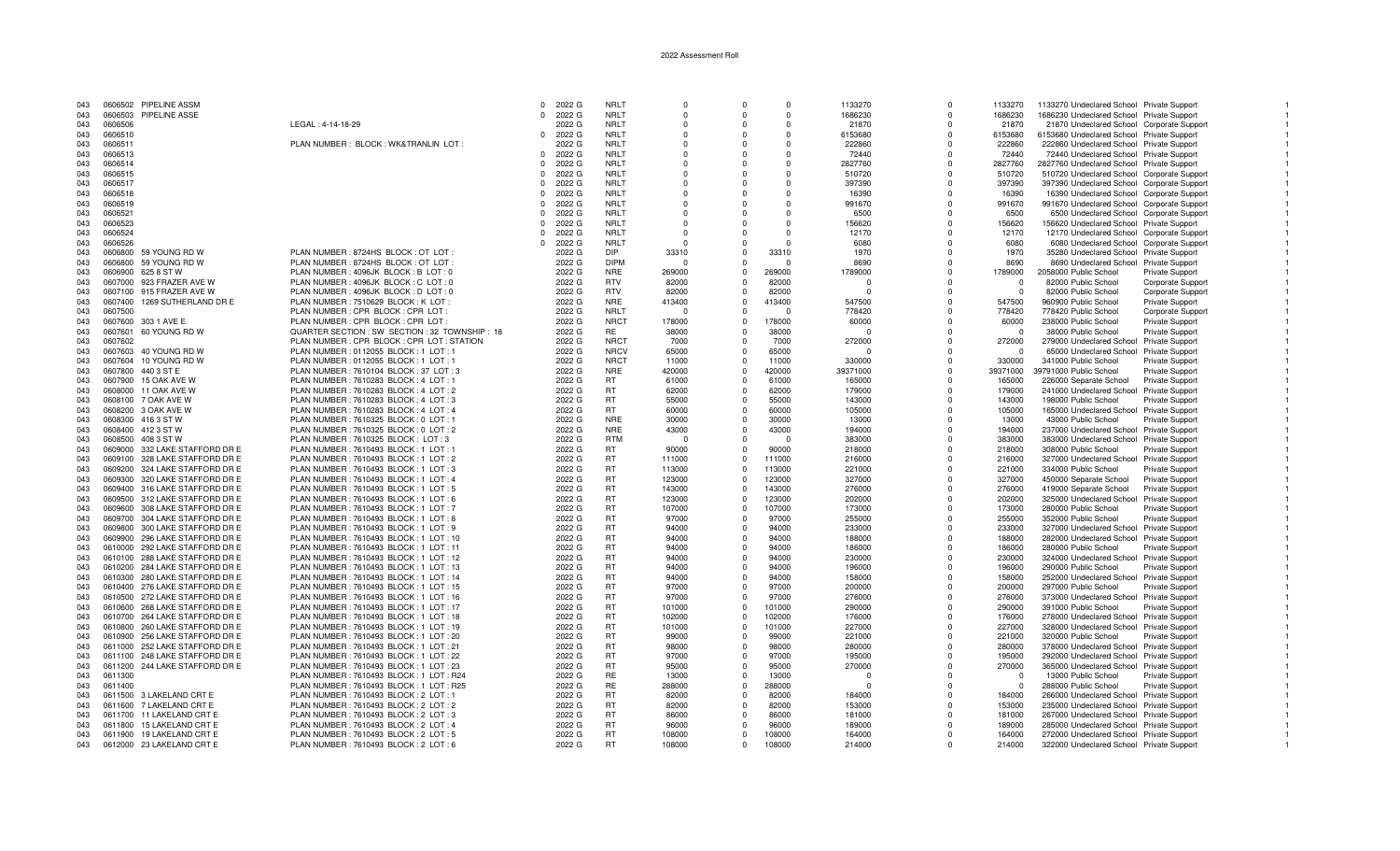| 043        | 0606502 | PIPELINE ASSM                  |                                                 |          | $0$ 2022 G | <b>NRLT</b> | $\Omega$  | $\Omega$       | $\Omega$ | 1133270  | $\Omega$     | 1133270    | 1133270 Undeclared School Private Support  |                          |  |
|------------|---------|--------------------------------|-------------------------------------------------|----------|------------|-------------|-----------|----------------|----------|----------|--------------|------------|--------------------------------------------|--------------------------|--|
| 043        |         | 0606503 PIPELINE ASSE          |                                                 | $\Omega$ | 2022 G     | <b>NRLT</b> | $\Omega$  | $\Omega$       | $\Omega$ | 1686230  | $\Omega$     | 1686230    | 1686230 Undeclared School Private Support  |                          |  |
| 043        | 0606506 |                                | LEGAL: 4-14-18-29                               |          | 2022 G     | <b>NRLT</b> | $\Omega$  |                | $\Omega$ | 21870    | $\Omega$     | 21870      | 21870 Undeclared School Corporate Support  |                          |  |
| 043        | 0606510 |                                |                                                 | $\Omega$ | 2022 G     | <b>NRLT</b> | $\Omega$  | $\Omega$       | $\Omega$ | 6153680  | $\Omega$     | 6153680    | 6153680 Undeclared School Private Support  |                          |  |
| 043        | 0606511 |                                | PLAN NUMBER: BLOCK: WK&TRANLIN LOT:             |          | 2022 G     | <b>NRLT</b> | $\Omega$  | $\Omega$       | $\Omega$ | 222860   | $\Omega$     | 222860     | 222860 Undeclared School Private Support   |                          |  |
| 043        | 0606513 |                                |                                                 |          | 0 2022 G   | <b>NRLT</b> | $\Omega$  | $\Omega$       | $\Omega$ | 72440    | $\Omega$     | 72440      | 72440 Undeclared School Private Support    |                          |  |
| 043        | 0606514 |                                |                                                 | $\Omega$ | 2022 G     | <b>NRLT</b> | $\Omega$  | $\Omega$       | O        | 2827760  | $\Omega$     | 2827760    | 2827760 Undeclared School Private Support  |                          |  |
|            | 0606515 |                                |                                                 | $\Omega$ | 2022 G     | <b>NRLT</b> | - 0       | $\Omega$       | $\Omega$ | 510720   | $\Omega$     | 510720     |                                            |                          |  |
| 043<br>043 | 0606517 |                                |                                                 |          | 2022 G     | <b>NRLT</b> | $\Omega$  | $\Omega$       | $\Omega$ | 397390   | $\Omega$     | 397390     | 510720 Undeclared School Corporate Support |                          |  |
| 043        | 0606518 |                                |                                                 | $\Omega$ |            | <b>NRLT</b> | $\Omega$  | $\Omega$       | $\Omega$ |          | $\Omega$     |            | 397390 Undeclared School Corporate Support |                          |  |
|            |         |                                |                                                 |          | 2022 G     |             |           |                |          | 16390    |              | 16390      | 16390 Undeclared School Corporate Support  |                          |  |
| 043        | 0606519 |                                |                                                 | $\Omega$ | 2022 G     | <b>NRLT</b> | $\Omega$  | $\Omega$       | $\Omega$ | 991670   | $\Omega$     | 991670     | 991670 Undeclared School Corporate Support |                          |  |
| 043        | 0606521 |                                |                                                 | $\Omega$ | 2022 G     | <b>NRLT</b> | $\Omega$  | $\Omega$       | $\Omega$ | 6500     | $\Omega$     | 6500       | 6500 Undeclared School Corporate Support   |                          |  |
| 043        | 0606523 |                                |                                                 | $\Omega$ | 2022 G     | <b>NRLT</b> | $\Omega$  |                | O        | 156620   | $\Omega$     | 156620     | 156620 Undeclared School Private Support   |                          |  |
| 043        | 0606524 |                                |                                                 | $\Omega$ | 2022 G     | <b>NRLT</b> | $\Omega$  | $\Omega$       | $\Omega$ | 12170    | $\Omega$     | 12170      | 12170 Undeclared School Corporate Support  |                          |  |
| 043        | 0606526 |                                |                                                 | $\Omega$ | 2022 G     | <b>NRLT</b> | $\Omega$  | $\Omega$       |          | 6080     | $\Omega$     | 6080       | 6080 Undeclared School Corporate Support   |                          |  |
| 043        | 0606800 | 59 YOUNG RD W                  | PLAN NUMBER : 8724HS BLOCK : OT LOT             |          | 2022 G     | <b>DIP</b>  | 33310     | $^{\circ}$     | 33310    | 1970     | $\Omega$     | 1970       | 35280 Undeclared School Private Support    |                          |  |
| 043        | 0606800 | 59 YOUNG RD W                  | PLAN NUMBER : 8724HS BLOCK : OT LOT             |          | 2022 G     | <b>DIPM</b> |           | $\Omega$       |          | 8690     | $\Omega$     | 8690       | 8690 Undeclared School Private Support     |                          |  |
| 043        | 0606900 | 625 8 ST W                     | PLAN NUMBER : 4096JK BLOCK : B LOT : 0          |          | 2022 G     | <b>NRE</b>  | 269000    | $\Omega$       | 269000   | 1789000  | $\Omega$     | 1789000    | 2058000 Public School                      | <b>Private Support</b>   |  |
| 043        | 0607000 | 923 FRAZER AVE W               | PLAN NUMBER : 4096JK BLOCK : C LOT : 0          |          | 2022 G     | <b>RTV</b>  | 82000     | $\Omega$       | 82000    |          | $\Omega$     | $\Omega$   | 82000 Public School                        | Corporate Support        |  |
| 043        | 0607100 | 915 FRAZER AVE W               | PLAN NUMBER : 4096JK BLOCK : D LOT : 0          |          | 2022 G     | <b>RTV</b>  | 82000     | $^{\circ}$     | 82000    | $\Omega$ | $\Omega$     | $^{\circ}$ | 82000 Public School                        | Corporate Support        |  |
| 043        | 0607400 | 1269 SUTHERLAND DR E           | PLAN NUMBER: 7510629 BLOCK: K LOT               |          | 2022 G     | <b>NRE</b>  | 413400    | $\Omega$       | 413400   | 547500   |              | 547500     | 960900 Public School                       | Private Support          |  |
| 043        | 0607500 |                                | PLAN NUMBER : CPR BLOCK : CPR LOT               |          | 2022 G     | <b>NRLT</b> | $\bigcap$ | $\Omega$       | $\Omega$ | 778420   |              | 778420     | 778420 Public School                       | <b>Corporate Support</b> |  |
| 043        | 0607600 | 303 1 AVE E                    | PLAN NUMBER : CPR BLOCK : CPR LOT               |          | 2022 G     | <b>NRCT</b> | 178000    | $\Omega$       | 178000   | 60000    | $\Omega$     | 60000      | 238000 Public School                       | Private Support          |  |
| 043        | 0607601 | 60 YOUNG RD W                  | QUARTER SECTION : SW SECTION : 32 TOWNSHIP : 18 |          | 2022 G     | <b>RE</b>   | 38000     | $\Omega$       | 38000    | $\Omega$ | $\Omega$     | $^{\circ}$ | 38000 Public School                        | <b>Private Support</b>   |  |
| 043        | 0607602 |                                | PLAN NUMBER : CPR BLOCK : CPR LOT : STATION     |          | 2022 G     | <b>NRCT</b> | 7000      | $\Omega$       | 7000     | 272000   | $\Omega$     | 272000     | 279000 Undeclared School Private Support   |                          |  |
| 043        | 0607603 | 40 YOUNG RD W                  | PLAN NUMBER : 0112055 BLOCK : 1 LOT : 1         |          | 2022 G     | <b>NRCV</b> | 65000     | $\Omega$       | 65000    |          | $\Omega$     | $\Omega$   | 65000 Undeclared School Private Support    |                          |  |
| 043        |         | 0607604 10 YOUNG RD W          | PLAN NUMBER : 0112055 BLOCK : 1 LOT : 1         |          | 2022 G     | <b>NRCT</b> | 11000     | $\Omega$       | 11000    | 330000   | $\Omega$     | 330000     | 341000 Public School                       | Private Support          |  |
| 043        | 0607800 | 440 3 ST E                     | PLAN NUMBER : 7610104 BLOCK : 37 LOT : 3        |          | 2022 G     | <b>NRE</b>  | 420000    | $\Omega$       | 420000   | 39371000 | $\Omega$     | 39371000   | 39791000 Public School                     | <b>Private Support</b>   |  |
| 043        |         | 0607900 15 OAK AVE W           | PLAN NUMBER : 7610283 BLOCK : 4 LOT : 1         |          | 2022 G     | RT.         | 61000     | $\Omega$       | 61000    | 165000   | $\Omega$     | 165000     | 226000 Separate School                     | Private Support          |  |
| 043        | 0608000 | 11 OAK AVE W                   | PLAN NUMBER: 7610283 BLOCK: 4 LOT: 2            |          | 2022 G     | <b>RT</b>   | 62000     | $\Omega$       | 62000    | 179000   | $\Omega$     | 179000     | 241000 Undeclared School Private Support   |                          |  |
| 043        |         | 0608100 7 OAK AVE W            | PLAN NUMBER: 7610283 BLOCK: 4 LOT: 3            |          | 2022 G     | <b>RT</b>   | 55000     | $^{\circ}$     | 55000    | 143000   | $\Omega$     | 143000     | 198000 Public School                       | Private Support          |  |
| 043        |         | 3 OAK AVE W                    | PLAN NUMBER : 7610283 BLOCK : 4 LOT : 4         |          | 2022 G     | RT          | 60000     | $\mathbf{0}$   | 60000    | 105000   | $\Omega$     | 105000     |                                            |                          |  |
|            | 0608200 |                                |                                                 |          |            | <b>NRE</b>  |           | $\Omega$       |          |          | $\Omega$     |            | 165000 Undeclared School Private Support   |                          |  |
| 043        |         | 0608300 416 3 ST W             | PLAN NUMBER : 7610325 BLOCK : 0 LOT : 1         |          | 2022 G     |             | 30000     |                | 30000    | 13000    |              | 13000      | 43000 Public School                        | Private Support          |  |
| 043        |         | 0608400 412 3 ST W             | PLAN NUMBER: 7610325 BLOCK: 0 LOT: 2            |          | 2022 G     | <b>NRE</b>  | 43000     | $\Omega$       | 43000    | 194000   | <sup>0</sup> | 194000     | 237000 Undeclared School Private Support   |                          |  |
| 043        | 0608500 | 408 3 ST W                     | PLAN NUMBER: 7610325 BLOCK: LOT: 3              |          | 2022 G     | <b>RTM</b>  | $\Omega$  | $\Omega$       | $\Omega$ | 383000   | $\Omega$     | 383000     | 383000 Undeclared School Private Support   |                          |  |
| 043        | 0609000 | 332 LAKE STAFFORD DR E         | PLAN NUMBER: 7610493 BLOCK: 1 LOT: 1            |          | 2022 G     | <b>RT</b>   | 90000     | $\Omega$       | 90000    | 218000   | $\Omega$     | 218000     | 308000 Public School                       | Private Support          |  |
| 043        |         | 0609100 328 LAKE STAFFORD DR E | PLAN NUMBER: 7610493 BLOCK: 1 LOT: 2            |          | 2022 G     | <b>RT</b>   | 111000    | $\Omega$       | 111000   | 216000   | $\Omega$     | 216000     | 327000 Undeclared School Private Support   |                          |  |
| 043        | 0609200 | 324 LAKE STAFFORD DR E         | PLAN NUMBER: 7610493 BLOCK: 1 LOT: 3            |          | 2022 G     | RT          | 113000    | $^{\circ}$     | 113000   | 221000   | $\Omega$     | 221000     | 334000 Public School                       | <b>Private Support</b>   |  |
| 043        | 0609300 | 320 LAKE STAFFORD DR E         | PLAN NUMBER: 7610493 BLOCK: 1 LOT: 4            |          | 2022 G     | <b>RT</b>   | 123000    | $\Omega$       | 123000   | 327000   | $\Omega$     | 327000     | 450000 Separate School                     | <b>Private Support</b>   |  |
| 043        | 0609400 | 316 LAKE STAFFORD DR E         | PLAN NUMBER: 7610493 BLOCK: 1 LOT: 5            |          | 2022 G     | <b>RT</b>   | 143000    | $\Omega$       | 143000   | 276000   | $\Omega$     | 276000     | 419000 Separate School                     | <b>Private Support</b>   |  |
| 043        |         | 0609500 312 LAKE STAFFORD DR E | PLAN NUMBER : 7610493 BLOCK : 1 LOT : 6         |          | 2022 G     | <b>RT</b>   | 123000    | $\Omega$       | 123000   | 202000   | $\Omega$     | 202000     | 325000 Undeclared School                   | <b>Private Support</b>   |  |
| 043        |         | 0609600 308 LAKE STAFFORD DR E | PLAN NUMBER: 7610493 BLOCK: 1 LOT: 7            |          | 2022 G     | RT          | 107000    | $\Omega$       | 107000   | 173000   |              | 173000     | 280000 Public School                       | Private Support          |  |
| 043        | 0609700 | 304 LAKE STAFFORD DR E         | PLAN NUMBER: 7610493 BLOCK: 1 LOT: 8            |          | 2022 G     | <b>RT</b>   | 97000     | $^{\circ}$     | 97000    | 255000   | $\Omega$     | 255000     | 352000 Public School                       | <b>Private Support</b>   |  |
| 043        | 0609800 | 300 LAKE STAFFORD DR E         | PLAN NUMBER: 7610493 BLOCK: 1 LOT: 9            |          | 2022 G     | <b>RT</b>   | 94000     | $\Omega$       | 94000    | 233000   | $\Omega$     | 233000     | 327000 Undeclared School Private Support   |                          |  |
| 043        |         | 0609900 296 LAKE STAFFORD DR E | PLAN NUMBER : 7610493 BLOCK : 1 LOT : 10        |          | 2022 G     | <b>RT</b>   | 94000     | $\Omega$       | 94000    | 188000   | $\Omega$     | 188000     | 282000 Undeclared School Private Support   |                          |  |
| 043        |         | 0610000 292 LAKE STAFFORD DR E | PLAN NUMBER : 7610493 BLOCK : 1 LOT : 11        |          | 2022 G     | <b>RT</b>   | 94000     | $\Omega$       | 94000    | 186000   | $\Omega$     | 186000     | 280000 Public School                       | <b>Private Support</b>   |  |
| 043        | 0610100 | 288 LAKE STAFFORD DR E         | PLAN NUMBER : 7610493 BLOCK : 1 LOT : 12        |          | 2022 G     | <b>RT</b>   | 94000     | $^{\circ}$     | 94000    | 230000   | $\Omega$     | 230000     | 324000 Undeclared School Private Support   |                          |  |
| 043        | 0610200 | 284 LAKE STAFFORD DR E         | PLAN NUMBER: 7610493 BLOCK: 1 LOT: 13           |          | 2022 G     | <b>RT</b>   | 94000     | $\Omega$       | 94000    | 196000   | $\Omega$     | 196000     | 290000 Public School                       | Private Support          |  |
| 043        |         | 0610300 280 LAKE STAFFORD DR E | PLAN NUMBER : 7610493 BLOCK : 1 LOT : 14        |          | 2022 G     | <b>RT</b>   | 94000     | $\Omega$       | 94000    | 158000   | U            | 158000     | 252000 Undeclared School Private Support   |                          |  |
| 043        |         | 0610400 276 LAKE STAFFORD DR E | PLAN NUMBER: 7610493 BLOCK: 1 LOT: 15           |          | 2022 G     | <b>RT</b>   | 97000     | $\Omega$       | 97000    | 200000   |              | 200000     | 297000 Public School                       | <b>Private Support</b>   |  |
| 043        |         | 0610500 272 LAKE STAFFORD DR E | PLAN NUMBER : 7610493 BLOCK : 1 LOT : 16        |          | 2022 G     | <b>RT</b>   | 97000     | $\Omega$       | 97000    | 276000   | $\Omega$     | 276000     | 373000 Undeclared School Private Support   |                          |  |
| 043        |         | 0610600 268 LAKE STAFFORD DR E | PLAN NUMBER: 7610493 BLOCK: 1 LOT: 17           |          | 2022 G     | <b>RT</b>   | 101000    | $\Omega$       | 101000   | 290000   | $\Omega$     | 290000     | 391000 Public School                       | Private Support          |  |
| 043        |         | 0610700 264 LAKE STAFFORD DR E | PLAN NUMBER: 7610493 BLOCK: 1 LOT: 18           |          | 2022 G     | <b>RT</b>   | 102000    | $\Omega$       | 102000   | 176000   | $\Omega$     | 176000     | 278000 Undeclared School Private Support   |                          |  |
| 043        | 0610800 | 260 LAKE STAFFORD DR E         | PLAN NUMBER: 7610493 BLOCK: 1 LOT: 19           |          | 2022 G     | <b>RT</b>   | 101000    | $^{\circ}$     | 101000   | 227000   | $\Omega$     | 227000     | 328000 Undeclared School Private Support   |                          |  |
| 043        | 0610900 | 256 LAKE STAFFORD DR E         | PLAN NUMBER: 7610493 BLOCK: 1 LOT: 20           |          | 2022 G     | <b>RT</b>   | 99000     | $\Omega$       | 99000    | 221000   | $\Omega$     | 221000     | 320000 Public School                       | <b>Private Support</b>   |  |
|            |         |                                |                                                 |          |            |             |           |                |          |          |              |            |                                            |                          |  |
| 043        | 0611000 | 252 LAKE STAFFORD DR E         | PLAN NUMBER: 7610493 BLOCK: 1 LOT: 21           |          | 2022 G     | <b>RT</b>   | 98000     | $\Omega$       | 98000    | 280000   | $\Omega$     | 280000     | 378000 Undeclared School Private Support   |                          |  |
| 043        |         | 0611100 248 LAKE STAFFORD DR E | PLAN NUMBER : 7610493 BLOCK : 1 LOT : 22        |          | 2022 G     | <b>RT</b>   | 97000     | $\Omega$       | 97000    | 195000   | <sup>0</sup> | 195000     | 292000 Undeclared School Private Support   |                          |  |
| 043        |         | 0611200 244 LAKE STAFFORD DR E | PLAN NUMBER: 7610493 BLOCK: 1 LOT: 23           |          | 2022 G     | <b>RT</b>   | 95000     | $\Omega$       | 95000    | 270000   | $\Omega$     | 270000     | 365000 Undeclared School Private Support   |                          |  |
| 043        | 0611300 |                                | PLAN NUMBER: 7610493 BLOCK: 1 LOT: R24          |          | 2022 G     | <b>RE</b>   | 13000     | 0              | 13000    | $\Omega$ | 0            | $^{\circ}$ | 13000 Public School                        | <b>Private Support</b>   |  |
| 043        | 0611400 |                                | PLAN NUMBER: 7610493 BLOCK: 1 LOT: R25          |          | 2022 G     | <b>RE</b>   | 288000    | $\Omega$       | 288000   |          |              | $\Omega$   | 288000 Public School                       | Private Support          |  |
| 043        | 0611500 | 3 LAKELAND CRT E               | PLAN NUMBER : 7610493 BLOCK : 2 LOT : 1         |          | 2022 G     | <b>RT</b>   | 82000     | $\Omega$       | 82000    | 184000   |              | 184000     | 266000 Undeclared School Private Support   |                          |  |
| 043        | 0611600 | 7 LAKELAND CRT E               | PLAN NUMBER : 7610493 BLOCK : 2 LOT : 2         |          | 2022 G     | <b>RT</b>   | 82000     | $\overline{0}$ | 82000    | 153000   | $\Omega$     | 153000     | 235000 Undeclared School Private Support   |                          |  |
| 043        | 0611700 | 11 LAKELAND CRT E              | PLAN NUMBER : 7610493 BLOCK : 2 LOT : 3         |          | 2022 G     | <b>RT</b>   | 86000     | $\Omega$       | 86000    | 181000   |              | 181000     | 267000 Undeclared School Private Support   |                          |  |
| 043        |         | 0611800 15 LAKELAND CRT E      | PLAN NUMBER: 7610493 BLOCK: 2 LOT: 4            |          | 2022 G     | <b>RT</b>   | 96000     | $\Omega$       | 96000    | 189000   |              | 189000     | 285000 Undeclared School Private Support   |                          |  |
| 043        |         | 0611900 19 LAKELAND CRT E      | PLAN NUMBER : 7610493 BLOCK : 2 LOT : 5         |          | 2022 G     | RT          | 108000    | $\Omega$       | 108000   | 164000   |              | 164000     | 272000 Undeclared School Private Support   |                          |  |
| 043        |         | 0612000 23 LAKELAND CRT E      | PLAN NUMBER : 7610493 BLOCK : 2 LOT : 6         |          | 2022 G     | <b>RT</b>   | 108000    | $\Omega$       | 108000   | 214000   | $\Omega$     | 214000     | 322000 Undeclared School Private Support   |                          |  |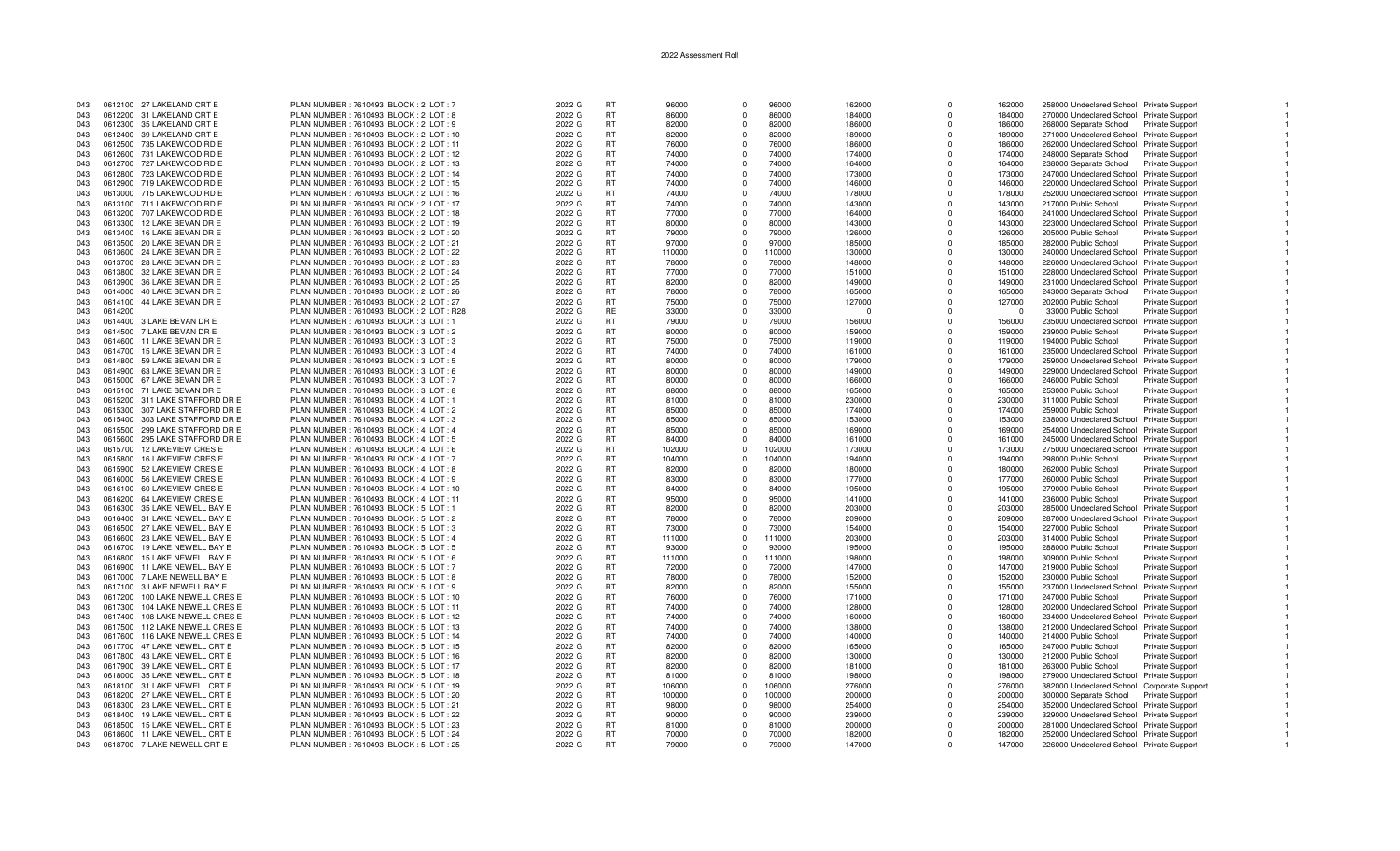| 043 |         | 0612100 27 LAKELAND CRT E      | PLAN NUMBER: 7610493 BLOCK: 2 LOT: 7     | 2022 G | <b>RT</b> | 96000  | $\Omega$       | 96000  | 162000   | $\Omega$    | 162000   | 258000 Undeclared School Private Support   |                        |  |
|-----|---------|--------------------------------|------------------------------------------|--------|-----------|--------|----------------|--------|----------|-------------|----------|--------------------------------------------|------------------------|--|
| 043 |         | 0612200 31 LAKELAND CRT E      | PLAN NUMBER : 7610493 BLOCK : 2 LOT : 8  | 2022 G | RT        | 86000  | $\Omega$       | 86000  | 184000   | $\Omega$    | 184000   | 270000 Undeclared School Private Support   |                        |  |
|     |         |                                |                                          |        |           |        |                |        |          |             |          |                                            |                        |  |
| 043 |         | 0612300 35 LAKELAND CRT E      | PLAN NUMBER: 7610493 BLOCK: 2 LOT: 9     | 2022 G | <b>RT</b> | 82000  | $\Omega$       | 82000  | 186000   | $\Omega$    | 186000   | 268000 Separate School                     | <b>Private Support</b> |  |
| 043 |         | 0612400 39 LAKELAND CRT E      | PLAN NUMBER : 7610493 BLOCK : 2 LOT : 10 | 2022 G | <b>RT</b> | 82000  | $\Omega$       | 82000  | 189000   | $\Omega$    | 189000   | 271000 Undeclared School Private Support   |                        |  |
| 043 |         | 0612500 735 LAKEWOOD RD E      | PLAN NUMBER: 7610493 BLOCK: 2 LOT: 11    | 2022 G | <b>RT</b> | 76000  | $\Omega$       | 76000  | 186000   | $\Omega$    | 186000   | 262000 Undeclared School Private Support   |                        |  |
|     |         |                                |                                          |        |           |        |                |        |          |             |          |                                            |                        |  |
| 043 |         | 0612600 731 LAKEWOOD RD E      | PLAN NUMBER: 7610493 BLOCK: 2 LOT: 12    | 2022 G | <b>RT</b> | 74000  |                | 74000  | 174000   | $\Omega$    | 174000   | 248000 Separate School                     | <b>Private Support</b> |  |
| 043 |         | 0612700 727 LAKEWOOD RD E      | PLAN NUMBER: 7610493 BLOCK: 2 LOT: 13    | 2022 G | <b>RT</b> | 74000  | $\Omega$       | 74000  | 164000   | $\Omega$    | 164000   | 238000 Separate School                     | Private Support        |  |
| 043 |         | 0612800 723 LAKEWOOD RD E      | PLAN NUMBER : 7610493 BLOCK : 2 LOT : 14 | 2022 G | <b>RT</b> | 74000  | $\Omega$       | 74000  | 173000   | $\Omega$    | 173000   | 247000 Undeclared School Private Support   |                        |  |
|     |         |                                |                                          |        |           |        |                |        |          |             |          |                                            |                        |  |
| 043 |         | 0612900 719 LAKEWOOD RD E      | PLAN NUMBER : 7610493 BLOCK : 2 LOT : 15 | 2022 G | <b>RT</b> | 74000  | $\Omega$       | 74000  | 146000   | $\Omega$    | 146000   | 220000 Undeclared School Private Support   |                        |  |
| 043 |         | 0613000 715 LAKEWOOD RD E      | PLAN NUMBER : 7610493 BLOCK : 2 LOT : 16 | 2022 G | <b>RT</b> | 74000  | $\Omega$       | 74000  | 178000   | $\Omega$    | 178000   | 252000 Undeclared School Private Support   |                        |  |
| 043 |         |                                |                                          |        | <b>RT</b> | 74000  | $\Omega$       | 74000  |          | $\Omega$    |          |                                            |                        |  |
|     |         | 0613100 711 LAKEWOOD RD E      | PLAN NUMBER : 7610493 BLOCK : 2 LOT : 17 | 2022 G |           |        |                |        | 143000   |             | 143000   | 217000 Public School                       | Private Support        |  |
| 043 |         | 0613200 707 LAKEWOOD RD E      | PLAN NUMBER : 7610493 BLOCK : 2 LOT : 18 | 2022 G | <b>RT</b> | 77000  | $\Omega$       | 77000  | 164000   | $\Omega$    | 164000   | 241000 Undeclared School Private Support   |                        |  |
| 043 |         | 0613300 12 LAKE BEVAN DR E     | PLAN NUMBER : 7610493 BLOCK : 2 LOT : 19 | 2022 G | <b>RT</b> | 80000  | $\Omega$       | 80000  | 143000   | $\Omega$    | 143000   | 223000 Undeclared School Private Support   |                        |  |
|     |         |                                |                                          |        |           |        |                |        |          |             |          |                                            |                        |  |
| 043 |         | 0613400 16 LAKE BEVAN DR E     | PLAN NUMBER : 7610493 BLOCK : 2 LOT : 20 | 2022 G | <b>RT</b> | 79000  | $\Omega$       | 79000  | 126000   | $\Omega$    | 126000   | 205000 Public School                       | <b>Private Support</b> |  |
| 043 |         | 0613500 20 LAKE BEVAN DR E     | PLAN NUMBER: 7610493 BLOCK: 2 LOT: 21    | 2022 G | <b>RT</b> | 97000  | $\Omega$       | 97000  | 185000   | $\Omega$    | 185000   | 282000 Public School                       | Private Support        |  |
| 043 | 0613600 | 24 LAKE BEVAN DR E             | PLAN NUMBER : 7610493 BLOCK : 2 LOT : 22 | 2022 G | <b>RT</b> | 110000 | $\Omega$       | 110000 | 130000   | $\Omega$    | 130000   | 240000 Undeclared School Private Support   |                        |  |
|     |         |                                |                                          |        |           |        |                |        |          |             |          |                                            |                        |  |
| 043 |         | 0613700 28 LAKE BEVAN DR E     | PLAN NUMBER : 7610493 BLOCK : 2 LOT : 23 | 2022 G | <b>RT</b> | 78000  | $\Omega$       | 78000  | 148000   | $\Omega$    | 148000   | 226000 Undeclared School Private Support   |                        |  |
| 043 |         | 0613800 32 LAKE BEVAN DR E     | PLAN NUMBER : 7610493 BLOCK : 2 LOT : 24 | 2022 G | <b>RT</b> | 77000  | $\Omega$       | 77000  | 151000   | $\Omega$    | 151000   | 228000 Undeclared School Private Suppor    |                        |  |
| 043 |         | 0613900 36 LAKE BEVAN DR E     | PLAN NUMBER: 7610493 BLOCK: 2 LOT: 25    | 2022 G | <b>RT</b> | 82000  | $\Omega$       | 82000  | 149000   | $\Omega$    | 149000   |                                            |                        |  |
|     |         |                                |                                          |        |           |        |                |        |          |             |          | 231000 Undeclared School Private Support   |                        |  |
| 043 |         | 0614000 40 LAKE BEVAN DR E     | PLAN NUMBER : 7610493 BLOCK : 2 LOT : 26 | 2022 G | <b>RT</b> | 78000  | $\Omega$       | 78000  | 165000   | $\Omega$    | 165000   | 243000 Separate School                     | <b>Private Support</b> |  |
| 043 |         | 0614100 44 LAKE BEVAN DR E     | PLAN NUMBER : 7610493 BLOCK : 2 LOT : 27 | 2022 G | <b>RT</b> | 75000  | $\Omega$       | 75000  | 127000   | $\Omega$    | 127000   | 202000 Public School                       | <b>Private Support</b> |  |
|     |         |                                |                                          |        | <b>RE</b> |        | $\Omega$       |        |          |             |          |                                            |                        |  |
| 043 | 0614200 |                                | PLAN NUMBER: 7610493 BLOCK: 2 LOT: R28   | 2022 G |           | 33000  |                | 33000  | $\Omega$ | $\Omega$    | $\Omega$ | 33000 Public School                        | <b>Private Support</b> |  |
| 043 |         | 0614400 3 LAKE BEVAN DR E      | PLAN NUMBER : 7610493 BLOCK : 3 LOT : 1  | 2022 G | <b>RT</b> | 79000  | $\Omega$       | 79000  | 156000   | $\Omega$    | 156000   | 235000 Undeclared School Private Support   |                        |  |
| 043 |         | 0614500 7 LAKE BEVAN DR E      | PLAN NUMBER : 7610493 BLOCK : 3 LOT : 2  | 2022 G | <b>RT</b> | 80000  | $\Omega$       | 80000  | 159000   | $\Omega$    | 159000   | 239000 Public School                       | Private Support        |  |
|     |         |                                |                                          |        |           |        |                |        |          |             |          |                                            |                        |  |
| 043 |         | 0614600 11 LAKE BEVAN DR E     | PLAN NUMBER: 7610493 BLOCK: 3 LOT: 3     | 2022 G | <b>RT</b> | 75000  | $\Omega$       | 75000  | 119000   | $\Omega$    | 119000   | 194000 Public School                       | Private Support        |  |
| 043 |         | 0614700 15 LAKE BEVAN DR E     | PLAN NUMBER : 7610493 BLOCK : 3 LOT : 4  | 2022 G | <b>RT</b> | 74000  | $\Omega$       | 74000  | 161000   | $\Omega$    | 161000   | 235000 Undeclared School Private Support   |                        |  |
| 043 |         | 0614800 59 LAKE BEVAN DR E     | PLAN NUMBER: 7610493 BLOCK: 3 LOT: 5     | 2022 G | <b>RT</b> | 80000  | $\Omega$       | 80000  | 179000   | $\Omega$    | 179000   | 259000 Undeclared School Private Support   |                        |  |
|     |         |                                |                                          |        |           |        |                |        |          |             |          |                                            |                        |  |
| 043 |         | 0614900 63 LAKE BEVAN DR E     | PLAN NUMBER : 7610493 BLOCK : 3 LOT : 6  | 2022 G | <b>RT</b> | 80000  | $\Omega$       | 80000  | 149000   | $\Omega$    | 149000   | 229000 Undeclared School Private Support   |                        |  |
| 043 |         | 0615000 67 LAKE BEVAN DR E     | PLAN NUMBER : 7610493 BLOCK : 3 LOT : 7  | 2022 G | <b>RT</b> | 80000  | $\Omega$       | 80000  | 166000   | $\Omega$    | 166000   | 246000 Public School                       | Private Support        |  |
|     |         |                                |                                          | 2022 G | <b>RT</b> | 88000  | $\Omega$       | 88000  |          | $\Omega$    |          |                                            |                        |  |
| 043 |         | 0615100 71 LAKE BEVAN DR E     | PLAN NUMBER : 7610493 BLOCK : 3 LOT : 8  |        |           |        |                |        | 165000   |             | 165000   | 253000 Public School                       | <b>Private Support</b> |  |
| 043 |         | 0615200 311 LAKE STAFFORD DR E | PLAN NUMBER: 7610493 BLOCK: 4 LOT: 1     | 2022 G | <b>RT</b> | 81000  | $\overline{0}$ | 81000  | 230000   | $\Omega$    | 230000   | 311000 Public School                       | Private Support        |  |
| 043 | 0615300 | 307 LAKE STAFFORD DR E         | PLAN NUMBER: 7610493 BLOCK: 4 LOT: 2     | 2022 G | <b>RT</b> | 85000  | $\Omega$       | 85000  | 174000   | $\Omega$    | 174000   | 259000 Public School                       | <b>Private Support</b> |  |
| 043 |         |                                |                                          |        |           |        | $\Omega$       |        |          | $\Omega$    |          |                                            |                        |  |
|     |         | 0615400 303 LAKE STAFFORD DR E | PLAN NUMBER: 7610493 BLOCK: 4 LOT: 3     | 2022 G | <b>RT</b> | 85000  |                | 85000  | 153000   |             | 153000   | 238000 Undeclared School Private Support   |                        |  |
| 043 |         | 0615500 299 LAKE STAFFORD DR E | PLAN NUMBER: 7610493 BLOCK: 4 LOT: 4     | 2022 G | <b>RT</b> | 85000  | $\Omega$       | 85000  | 169000   | $\Omega$    | 169000   | 254000 Undeclared School Private Support   |                        |  |
| 043 |         | 0615600 295 LAKE STAFFORD DR E | PLAN NUMBER: 7610493 BLOCK: 4 LOT: 5     | 2022 G | <b>RT</b> | 84000  | $\Omega$       | 84000  | 161000   | $\Omega$    | 161000   | 245000 Undeclared School Private Support   |                        |  |
|     |         |                                |                                          |        |           |        |                |        |          |             |          |                                            |                        |  |
| 043 |         | 0615700 12 LAKEVIEW CRES E     | PLAN NUMBER : 7610493 BLOCK : 4 LOT : 6  | 2022 G | <b>RT</b> | 102000 | $^{\circ}$     | 102000 | 173000   | $\mathbf 0$ | 173000   | 275000 Undeclared School Private Support   |                        |  |
| 043 | 0615800 | <b>16 LAKEVIEW CRES E</b>      | PLAN NUMBER : 7610493 BLOCK : 4 LOT : 7  | 2022 G | <b>RT</b> | 104000 | $\Omega$       | 104000 | 194000   | $\Omega$    | 194000   | 298000 Public School                       | Private Support        |  |
| 043 |         | 0615900 52 LAKEVIEW CRES E     | PLAN NUMBER : 7610493 BLOCK : 4 LOT : 8  | 2022 G | <b>RT</b> | 82000  | $\Omega$       | 82000  | 180000   | $\Omega$    | 180000   | 262000 Public School                       | <b>Private Support</b> |  |
|     |         |                                |                                          |        |           |        |                |        |          |             |          |                                            |                        |  |
| 043 |         | 0616000 56 LAKEVIEW CRES E     | PLAN NUMBER: 7610493 BLOCK: 4 LOT: 9     | 2022 G | <b>RT</b> | 83000  | $\overline{0}$ | 83000  | 177000   | $\Omega$    | 177000   | 260000 Public School                       | Private Support        |  |
| 043 |         | 0616100 60 LAKEVIEW CRES E     | PLAN NUMBER: 7610493 BLOCK: 4 LOT: 10    | 2022 G | RT        | 84000  | $\Omega$       | 84000  | 195000   | $\Omega$    | 195000   | 279000 Public School                       | <b>Private Support</b> |  |
| 043 |         | 0616200 64 LAKEVIEW CRES E     | PLAN NUMBER: 7610493 BLOCK: 4 LOT: 11    | 2022 G | <b>RT</b> | 95000  | $\Omega$       | 95000  | 141000   | $\Omega$    | 141000   | 236000 Public School                       | Private Support        |  |
|     |         |                                |                                          |        |           |        |                |        |          |             |          |                                            |                        |  |
| 043 |         | 0616300 35 LAKE NEWELL BAY E   | PLAN NUMBER: 7610493 BLOCK: 5 LOT: 1     | 2022 G | RT        | 82000  | $\Omega$       | 82000  | 203000   | $\Omega$    | 203000   | 285000 Undeclared School Private Support   |                        |  |
| 043 |         | 0616400 31 LAKE NEWELL BAY E   | PLAN NUMBER : 7610493 BLOCK : 5 LOT : 2  | 2022 G | <b>RT</b> | 78000  | $\Omega$       | 78000  | 209000   | $\Omega$    | 209000   | 287000 Undeclared School Private Support   |                        |  |
| 043 |         | 0616500 27 LAKE NEWELL BAY E   | PLAN NUMBER: 7610493 BLOCK: 5 LOT: 3     | 2022 G | RT        | 73000  | $\Omega$       | 73000  | 154000   | $\mathbf 0$ | 154000   | 227000 Public School                       | Private Support        |  |
|     |         |                                |                                          |        |           |        |                |        |          |             |          |                                            |                        |  |
| 043 |         | 0616600 23 LAKE NEWELL BAY E   | PLAN NUMBER : 7610493 BLOCK : 5 LOT : 4  | 2022 G | RT        | 111000 | $\Omega$       | 111000 | 203000   | $\Omega$    | 203000   | 314000 Public School                       | <b>Private Support</b> |  |
| 043 |         | 0616700 19 LAKE NEWELL BAY E   | PLAN NUMBER: 7610493 BLOCK: 5 LOT: 5     | 2022 G | <b>RT</b> | 93000  |                | 93000  | 195000   | $\Omega$    | 195000   | 288000 Public School                       | Private Support        |  |
| 043 |         | 0616800 15 LAKE NEWELL BAY E   | PLAN NUMBER: 7610493 BLOCK: 5 LOT: 6     | 2022 G | <b>RT</b> | 111000 | $\Omega$       | 111000 | 198000   | $\Omega$    | 198000   | 309000 Public School                       |                        |  |
|     |         |                                |                                          |        |           |        |                |        |          |             |          |                                            | Private Support        |  |
| 043 |         | 0616900 11 LAKE NEWELL BAY E   | PLAN NUMBER: 7610493 BLOCK: 5 LOT: 7     | 2022 G | <b>RT</b> | 72000  | $\Omega$       | 72000  | 147000   | $\Omega$    | 147000   | 219000 Public School                       | <b>Private Support</b> |  |
| 043 |         | 0617000 7 LAKE NEWELL BAY E    | PLAN NUMBER : 7610493 BLOCK : 5 LOT : 8  | 2022 G | <b>RT</b> | 78000  | $\Omega$       | 78000  | 152000   | $\Omega$    | 152000   | 230000 Public School                       | Private Support        |  |
|     |         |                                |                                          |        |           |        |                |        |          |             |          |                                            |                        |  |
| 043 |         | 0617100 3 LAKE NEWELL BAY E    | PLAN NUMBER : 7610493 BLOCK : 5 LOT : 9  | 2022 G | RT        | 82000  | $\Omega$       | 82000  | 155000   | $\Omega$    | 155000   | 237000 Undeclared School                   | <b>Private Support</b> |  |
| 043 |         | 0617200 100 LAKE NEWELL CRES E | PLAN NUMBER : 7610493 BLOCK : 5 LOT : 10 | 2022 G | <b>RT</b> | 76000  | $\Omega$       | 76000  | 171000   | $\Omega$    | 171000   | 247000 Public School                       | Private Support        |  |
| 043 | 0617300 | 104 LAKE NEWELL CRES E         | PLAN NUMBER: 7610493 BLOCK: 5 LOT: 11    | 2022 G | RT        | 74000  | $\Omega$       | 74000  | 128000   | $\Omega$    | 128000   | 202000 Undeclared School Private Support   |                        |  |
|     |         |                                |                                          |        |           |        |                |        |          |             |          |                                            |                        |  |
| 043 |         | 0617400 108 LAKE NEWELL CRES E | PLAN NUMBER : 7610493 BLOCK : 5 LOT : 12 | 2022 G | <b>RT</b> | 74000  | $\Omega$       | 74000  | 160000   | $\Omega$    | 160000   | 234000 Undeclared School Private Support   |                        |  |
| 043 |         | 0617500 112 LAKE NEWELL CRES E | PLAN NUMBER: 7610493 BLOCK: 5 LOT: 13    | 2022 G | RT        | 74000  | $\Omega$       | 74000  | 138000   | $\Omega$    | 138000   | 212000 Undeclared School Private Support   |                        |  |
| 043 |         | 0617600 116 LAKE NEWELL CRES E | PLAN NUMBER : 7610493 BLOCK : 5 LOT : 14 | 2022 G | <b>RT</b> | 74000  | $\Omega$       | 74000  | 140000   | $\Omega$    | 140000   | 214000 Public School                       | <b>Private Support</b> |  |
|     |         |                                |                                          |        |           |        |                |        |          |             |          |                                            |                        |  |
| 043 | 0617700 | 47 LAKE NEWELL CRT E           | PLAN NUMBER: 7610493 BLOCK: 5 LOT: 15    | 2022 G | <b>RT</b> | 82000  | $\Omega$       | 82000  | 165000   | $\Omega$    | 165000   | 247000 Public School                       | <b>Private Support</b> |  |
| 043 |         | 0617800 43 LAKE NEWELL CRT E   | PLAN NUMBER : 7610493 BLOCK : 5 LOT : 16 | 2022 G | <b>RT</b> | 82000  | $\Omega$       | 82000  | 130000   | $\Omega$    | 130000   | 212000 Public School                       | Private Support        |  |
| 043 |         | 0617900 39 LAKE NEWELL CRT E   | PLAN NUMBER : 7610493 BLOCK : 5 LOT : 17 | 2022 G | <b>RT</b> | 82000  | $\Omega$       | 82000  | 181000   | $\Omega$    | 181000   | 263000 Public School                       | <b>Private Support</b> |  |
|     |         |                                |                                          |        |           |        |                |        |          |             |          |                                            |                        |  |
| 043 |         | 0618000 35 LAKE NEWELL CRT E   | PLAN NUMBER: 7610493 BLOCK: 5 LOT: 18    | 2022 G | <b>RT</b> | 81000  | $\Omega$       | 81000  | 198000   | $\Omega$    | 198000   | 279000 Undeclared School Private Support   |                        |  |
| 043 |         | 0618100 31 LAKE NEWELL CRT E   | PLAN NUMBER: 7610493 BLOCK: 5 LOT: 19    | 2022 G | RT        | 106000 | $\Omega$       | 106000 | 276000   | $\Omega$    | 276000   | 382000 Undeclared School Corporate Support |                        |  |
| 043 |         | 0618200 27 LAKE NEWELL CRT E   | PLAN NUMBER : 7610493 BLOCK : 5 LOT : 20 | 2022 G | <b>RT</b> | 100000 | $\Omega$       | 100000 | 200000   | $\Omega$    | 200000   | 300000 Separate School                     | Private Support        |  |
|     |         |                                |                                          |        |           |        |                |        |          |             |          |                                            |                        |  |
| 043 |         | 0618300 23 LAKE NEWELL CRT E   | PLAN NUMBER: 7610493 BLOCK: 5 LOT: 21    | 2022 G | RT        | 98000  | $\Omega$       | 98000  | 254000   | $\Omega$    | 254000   | 352000 Undeclared School Private Support   |                        |  |
| 043 |         | 0618400 19 LAKE NEWELL CRT E   | PLAN NUMBER : 7610493 BLOCK : 5 LOT : 22 | 2022 G | RT        | 90000  | $\Omega$       | 90000  | 239000   | $\Omega$    | 239000   | 329000 Undeclared School Private Support   |                        |  |
| 043 | 0618500 | 15 LAKE NEWELL CRT E           | PLAN NUMBER: 7610493 BLOCK: 5 LOT: 23    | 2022 G | <b>RT</b> | 81000  | $\Omega$       | 81000  | 200000   | $\Omega$    | 200000   | 281000 Undeclared School Private Support   |                        |  |
|     |         |                                |                                          |        |           |        |                |        |          |             |          |                                            |                        |  |
| 043 |         | 0618600 11 LAKE NEWELL CRT E   | PLAN NUMBER : 7610493 BLOCK : 5 LOT : 24 | 2022 G | <b>RT</b> | 70000  | $\Omega$       | 70000  | 182000   | $\Omega$    | 182000   | 252000 Undeclared School Private Support   |                        |  |
| 043 |         | 0618700 7 LAKE NEWELL CRT E    | PLAN NUMBER: 7610493 BLOCK: 5 LOT: 25    | 2022 G | RT.       | 79000  | $\Omega$       | 79000  | 147000   | $\Omega$    | 147000   | 226000 Undeclared School Private Support   |                        |  |
|     |         |                                |                                          |        |           |        |                |        |          |             |          |                                            |                        |  |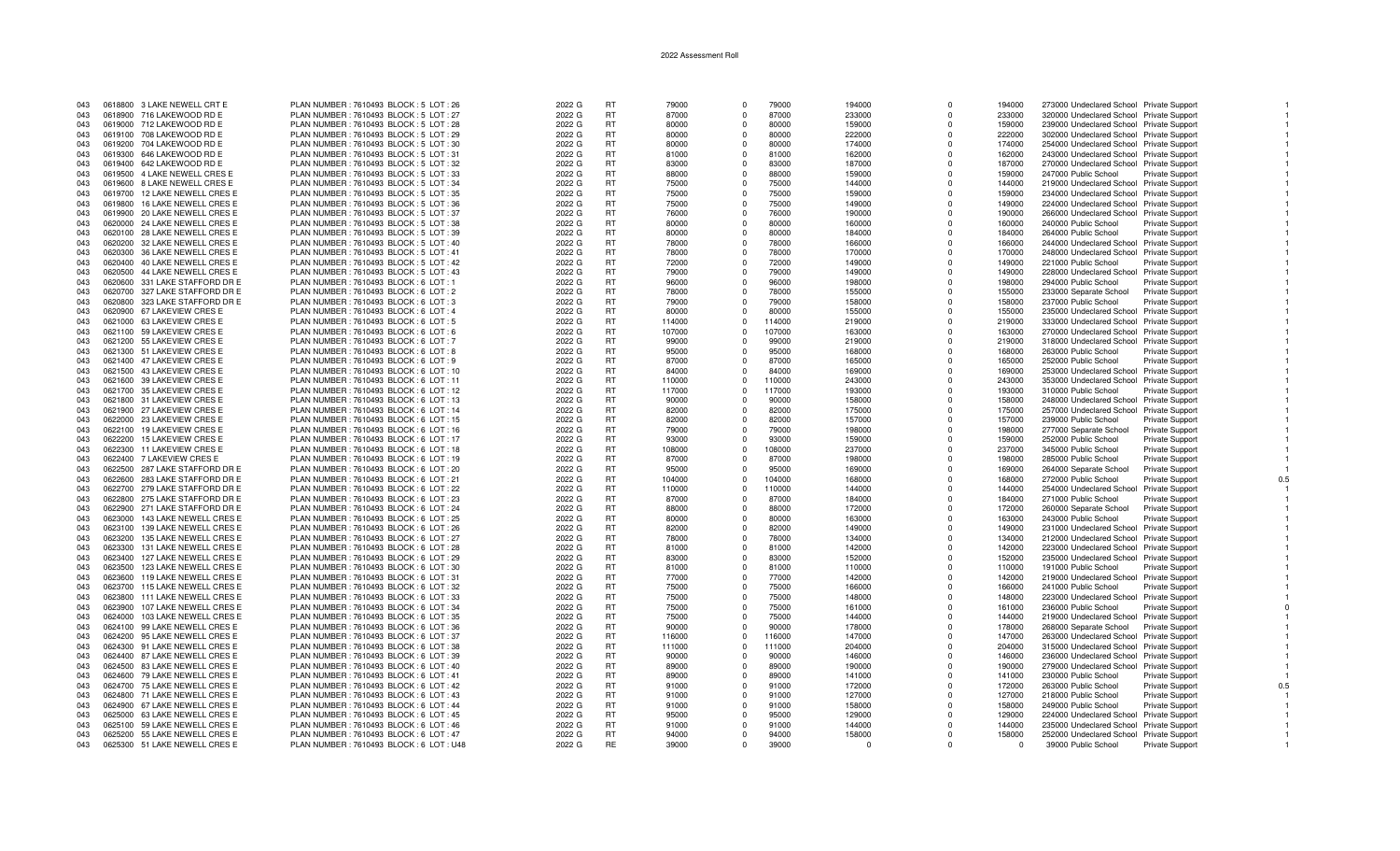| 043 |         | 0618800 3 LAKE NEWELL CRT E    | PLAN NUMBER: 7610493 BLOCK: 5 LOT: 26    | 2022 G | <b>RT</b> | 79000  | $\Omega$    | 79000  | 194000   | $\Omega$ | 194000 | 273000 Undeclared School Private Support |                        |  |
|-----|---------|--------------------------------|------------------------------------------|--------|-----------|--------|-------------|--------|----------|----------|--------|------------------------------------------|------------------------|--|
| 043 |         | 0618900 716 LAKEWOOD RD E      | PLAN NUMBER: 7610493 BLOCK: 5 LOT: 27    | 2022 G | RT.       | 87000  | $\Omega$    | 87000  | 233000   | $\Omega$ | 233000 | 320000 Undeclared School Private Support |                        |  |
| 043 |         | 0619000 712 LAKEWOOD RD E      | PLAN NUMBER : 7610493 BLOCK : 5 LOT : 28 | 2022 G | <b>RT</b> | 80000  | $\Omega$    | 80000  | 159000   | $\Omega$ | 159000 | 239000 Undeclared School Private Support |                        |  |
| 043 |         | 0619100 708 LAKEWOOD RD E      | PLAN NUMBER: 7610493 BLOCK: 5 LOT: 29    | 2022 G | <b>RT</b> | 80000  | $\Omega$    | 80000  | 222000   | $\Omega$ | 222000 | 302000 Undeclared School Private Support |                        |  |
| 043 |         | 0619200 704 LAKEWOOD RD E      | PLAN NUMBER : 7610493 BLOCK : 5 LOT : 30 | 2022 G | <b>RT</b> | 80000  | $\Omega$    | 80000  | 174000   | $\Omega$ | 174000 | 254000 Undeclared School Private Support |                        |  |
| 043 |         | 0619300 646 LAKEWOOD RD E      | PLAN NUMBER: 7610493 BLOCK: 5 LOT: 31    | 2022 G | <b>RT</b> | 81000  | $\Omega$    | 81000  | 162000   | $\Omega$ | 162000 | 243000 Undeclared School Private Support |                        |  |
| 043 |         | 0619400 642 LAKEWOOD RD E      | PLAN NUMBER: 7610493 BLOCK: 5 LOT: 32    | 2022 G | <b>RT</b> | 83000  | $\Omega$    | 83000  | 187000   | $\Omega$ | 187000 | 270000 Undeclared School Private Support |                        |  |
| 043 |         | 0619500 4 LAKE NEWELL CRES E   | PLAN NUMBER : 7610493 BLOCK : 5 LOT : 33 | 2022 G | <b>RT</b> | 88000  | $\Omega$    | 88000  | 159000   | $\Omega$ | 159000 | 247000 Public School                     | Private Support        |  |
| 043 |         | 0619600 8 LAKE NEWELL CRES E   | PLAN NUMBER: 7610493 BLOCK: 5 LOT: 34    | 2022 G | <b>RT</b> | 75000  | $\Omega$    | 75000  | 144000   | $\Omega$ | 144000 | 219000 Undeclared School Private Support |                        |  |
| 043 |         | 0619700 12 LAKE NEWELL CRES E  | PLAN NUMBER: 7610493 BLOCK: 5 LOT: 35    | 2022 G | <b>RT</b> | 75000  | $\Omega$    | 75000  | 159000   | $\Omega$ | 159000 | 234000 Undeclared School Private Support |                        |  |
| 043 | 0619800 | 16 LAKE NEWELL CRES E          | PLAN NUMBER : 7610493 BLOCK : 5 LOT : 36 | 2022 G | <b>RT</b> | 75000  | $\Omega$    | 75000  | 149000   | $\Omega$ | 149000 | 224000 Undeclared School Private Support |                        |  |
| 043 |         | 0619900 20 LAKE NEWELL CRES E  | PLAN NUMBER: 7610493 BLOCK: 5 LOT: 37    | 2022 G | <b>RT</b> | 76000  | $\Omega$    | 76000  | 190000   | $\Omega$ | 190000 | 266000 Undeclared School Private Support |                        |  |
| 043 |         | 0620000 24 LAKE NEWELL CRES E  | PLAN NUMBER: 7610493 BLOCK: 5 LOT: 38    | 2022 G | <b>RT</b> | 80000  | $\Omega$    | 80000  | 160000   | $\Omega$ | 160000 | 240000 Public School                     | Private Support        |  |
| 043 |         | 0620100 28 LAKE NEWELL CRES E  | PLAN NUMBER: 7610493 BLOCK: 5 LOT: 39    | 2022 G | <b>RT</b> | 80000  | $\mathbf 0$ | 80000  | 184000   | $\Omega$ | 184000 | 264000 Public School                     | Private Support        |  |
| 043 |         | 0620200 32 LAKE NEWELL CRES E  | PLAN NUMBER : 7610493 BLOCK : 5 LOT : 40 | 2022 G | RT.       | 78000  | $\Omega$    | 78000  | 166000   | $\Omega$ | 166000 | 244000 Undeclared School Private Support |                        |  |
| 043 |         | 0620300 36 LAKE NEWELL CRES E  | PLAN NUMBER : 7610493 BLOCK : 5 LOT : 41 | 2022 G | <b>RT</b> | 78000  | $\Omega$    | 78000  | 170000   | $\Omega$ | 170000 | 248000 Undeclared School Private Support |                        |  |
| 043 |         | 0620400 40 LAKE NEWELL CRES E  | PLAN NUMBER : 7610493 BLOCK : 5 LOT : 42 | 2022 G | <b>RT</b> | 72000  | $\Omega$    | 72000  | 149000   | $\Omega$ | 149000 | 221000 Public School                     | <b>Private Support</b> |  |
| 043 |         | 0620500 44 LAKE NEWELL CRES E  | PLAN NUMBER: 7610493 BLOCK: 5 LOT: 43    | 2022 G | <b>RT</b> | 79000  | $\Omega$    | 79000  | 149000   | $\Omega$ | 149000 | 228000 Undeclared School Private Support |                        |  |
| 043 |         | 0620600 331 LAKE STAFFORD DR E | PLAN NUMBER : 7610493 BLOCK : 6 LOT : 1  | 2022 G | <b>RT</b> | 96000  | $\Omega$    | 96000  | 198000   | $\Omega$ | 198000 | 294000 Public School                     | <b>Private Support</b> |  |
| 043 |         | 0620700 327 LAKE STAFFORD DR E | PLAN NUMBER: 7610493 BLOCK: 6 LOT: 2     | 2022 G | <b>RT</b> | 78000  | $\Omega$    | 78000  | 155000   | $\Omega$ | 155000 |                                          |                        |  |
| 043 |         |                                |                                          |        | <b>RT</b> | 79000  | $\Omega$    | 79000  |          | $\Omega$ |        | 233000 Separate School                   | <b>Private Support</b> |  |
|     |         | 0620800 323 LAKE STAFFORD DR E | PLAN NUMBER : 7610493 BLOCK : 6 LOT : 3  | 2022 G |           |        |             |        | 158000   | $\Omega$ | 158000 | 237000 Public School                     | <b>Private Support</b> |  |
| 043 |         | 0620900 67 LAKEVIEW CRES E     | PLAN NUMBER: 7610493 BLOCK: 6 LOT: 4     | 2022 G | <b>RT</b> | 80000  | $\mathbf 0$ | 80000  | 155000   |          | 155000 | 235000 Undeclared School Private Support |                        |  |
| 043 |         | 0621000 63 LAKEVIEW CRES E     | PLAN NUMBER : 7610493 BLOCK : 6 LOT : 5  | 2022 G | RT.       | 114000 | $\Omega$    | 114000 | 219000   | $\Omega$ | 219000 | 333000 Undeclared School Private Support |                        |  |
| 043 |         | 0621100 59 LAKEVIEW CRES E     | PLAN NUMBER : 7610493 BLOCK : 6 LOT : 6  | 2022 G | <b>RT</b> | 107000 | $\Omega$    | 107000 | 163000   | $\Omega$ | 163000 | 270000 Undeclared School Private Support |                        |  |
| 043 |         | 0621200 55 LAKEVIEW CRES E     | PLAN NUMBER: 7610493 BLOCK: 6 LOT: 7     | 2022 G | <b>RT</b> | 99000  | $\Omega$    | 99000  | 219000   | $\Omega$ | 219000 | 318000 Undeclared School Private Support |                        |  |
| 043 |         | 0621300 51 LAKEVIEW CRES E     | PLAN NUMBER : 7610493 BLOCK : 6 LOT : 8  | 2022 G | <b>RT</b> | 95000  | $\Omega$    | 95000  | 168000   | $\Omega$ | 168000 | 263000 Public School                     | Private Support        |  |
| 043 |         | 0621400 47 LAKEVIEW CRES E     | PLAN NUMBER: 7610493 BLOCK: 6 LOT: 9     | 2022 G | RT        | 87000  | $\Omega$    | 87000  | 165000   | $\Omega$ | 165000 | 252000 Public School                     | Private Support        |  |
| 043 |         | 0621500 43 LAKEVIEW CRES E     | PLAN NUMBER : 7610493 BLOCK : 6 LOT : 10 | 2022 G | <b>RT</b> | 84000  | $\Omega$    | 84000  | 169000   | $\Omega$ | 169000 | 253000 Undeclared School Private Support |                        |  |
| 043 |         | 0621600 39 LAKEVIEW CRES E     | PLAN NUMBER: 7610493 BLOCK: 6 LOT: 11    | 2022 G | <b>RT</b> | 110000 | $\Omega$    | 110000 | 243000   | $\Omega$ | 243000 | 353000 Undeclared School Private Support |                        |  |
| 043 |         | 0621700 35 LAKEVIEW CRES E     | PLAN NUMBER: 7610493 BLOCK: 6 LOT: 12    | 2022 G | <b>RT</b> | 117000 | $\Omega$    | 117000 | 193000   | $\Omega$ | 193000 | 310000 Public School                     | <b>Private Support</b> |  |
| 043 |         | 0621800 31 LAKEVIEW CRES E     | PLAN NUMBER : 7610493 BLOCK : 6 LOT : 13 | 2022 G | <b>RT</b> | 90000  | $\Omega$    | 90000  | 158000   | $\Omega$ | 158000 | 248000 Undeclared School Private Support |                        |  |
| 043 |         | 0621900 27 LAKEVIEW CRES E     | PLAN NUMBER: 7610493 BLOCK: 6 LOT: 14    | 2022 G | <b>RT</b> | 82000  | $\Omega$    | 82000  | 175000   | $\Omega$ | 175000 | 257000 Undeclared School Private Support |                        |  |
| 043 |         | 0622000 23 LAKEVIEW CRES E     | PLAN NUMBER : 7610493 BLOCK : 6 LOT : 15 | 2022 G | <b>RT</b> | 82000  | $\Omega$    | 82000  | 157000   | $\Omega$ | 157000 | 239000 Public School                     | <b>Private Support</b> |  |
| 043 |         | 0622100 19 LAKEVIEW CRES E     | PLAN NUMBER: 7610493 BLOCK: 6 LOT: 16    | 2022 G | <b>RT</b> | 79000  | $\mathbf 0$ | 79000  | 198000   | $\Omega$ | 198000 | 277000 Separate School                   | Private Support        |  |
| 043 | 0622200 | 15 LAKEVIEW CRES E             | PLAN NUMBER: 7610493 BLOCK: 6 LOT: 17    | 2022 G | RT        | 93000  | $\Omega$    | 93000  | 159000   | $\Omega$ | 159000 | 252000 Public School                     | Private Support        |  |
| 043 | 0622300 | 11 LAKEVIEW CRES E             | PLAN NUMBER: 7610493 BLOCK: 6 LOT: 18    | 2022 G | <b>RT</b> | 108000 | $\Omega$    | 108000 | 237000   | $\Omega$ | 237000 | 345000 Public School                     | Private Support        |  |
| 043 |         | 0622400 7 LAKEVIEW CRES E      | PLAN NUMBER: 7610493 BLOCK: 6 LOT: 19    | 2022 G | RT        | 87000  | $\Omega$    | 87000  | 198000   | $\Omega$ | 198000 | 285000 Public School                     | Private Support        |  |
| 043 |         | 0622500 287 LAKE STAFFORD DR E | PLAN NUMBER: 7610493 BLOCK: 6 LOT: 20    | 2022 G | <b>RT</b> | 95000  | $\Omega$    | 95000  | 169000   | $\Omega$ | 169000 | 264000 Separate School                   | <b>Private Support</b> |  |
| 043 | 0622600 | 283 LAKE STAFFORD DR E         | PLAN NUMBER : 7610493 BLOCK : 6 LOT : 21 | 2022 G | <b>RT</b> | 104000 | $\Omega$    | 104000 | 168000   | $\Omega$ | 168000 | 272000 Public School                     | <b>Private Support</b> |  |
| 043 |         | 0622700 279 LAKE STAFFORD DR E | PLAN NUMBER: 7610493 BLOCK: 6 LOT: 22    | 2022 G | <b>RT</b> | 110000 | $\Omega$    | 110000 | 144000   | $\Omega$ | 144000 | 254000 Undeclared School Private Support |                        |  |
| 043 |         | 0622800 275 LAKE STAFFORD DR E | PLAN NUMBER : 7610493 BLOCK : 6 LOT : 23 | 2022 G | <b>RT</b> | 87000  | $\Omega$    | 87000  | 184000   | $\Omega$ | 184000 | 271000 Public School                     | Private Support        |  |
| 043 |         | 0622900 271 LAKE STAFFORD DR E | PLAN NUMBER : 7610493 BLOCK : 6 LOT : 24 | 2022 G | <b>RT</b> | 88000  | $\mathbf 0$ | 88000  | 172000   | $\Omega$ | 172000 | 260000 Separate School                   | Private Support        |  |
| 043 | 0623000 | 143 LAKE NEWELL CRES E         | PLAN NUMBER : 7610493 BLOCK : 6 LOT : 25 | 2022 G | RT        | 80000  | $\Omega$    | 80000  | 163000   | $\Omega$ | 163000 | 243000 Public School                     | Private Support        |  |
| 043 |         | 0623100 139 LAKE NEWELL CRES E | PLAN NUMBER : 7610493 BLOCK : 6 LOT : 26 | 2022 G | <b>RT</b> | 82000  | $\Omega$    | 82000  | 149000   | $\Omega$ | 149000 | 231000 Undeclared School Private Support |                        |  |
| 043 | 0623200 | 135 LAKE NEWELL CRES E         | PLAN NUMBER : 7610493 BLOCK : 6 LOT : 27 | 2022 G | <b>RT</b> | 78000  | $\Omega$    | 78000  | 134000   | $\Omega$ | 134000 | 212000 Undeclared School Private Support |                        |  |
| 043 | 0623300 | 131 LAKE NEWELL CRES E         | PLAN NUMBER: 7610493 BLOCK: 6 LOT: 28    | 2022 G | <b>RT</b> | 81000  | $^{\circ}$  | 81000  | 142000   | $\Omega$ | 142000 | 223000 Undeclared School Private Support |                        |  |
| 043 | 0623400 | 127 LAKE NEWELL CRES E         | PLAN NUMBER: 7610493 BLOCK: 6 LOT: 29    | 2022 G | <b>RT</b> | 83000  | $\Omega$    | 83000  | 152000   | $\Omega$ | 152000 | 235000 Undeclared School Private Support |                        |  |
| 043 | 0623500 | 123 LAKE NEWELL CRES E         | PLAN NUMBER : 7610493 BLOCK : 6 LOT : 30 | 2022 G | <b>RT</b> | 81000  | $\Omega$    | 81000  | 110000   | $\Omega$ | 110000 | 191000 Public School                     | Private Support        |  |
| 043 |         | 0623600 119 LAKE NEWELL CRES E | PLAN NUMBER: 7610493 BLOCK: 6 LOT: 31    | 2022 G | <b>RT</b> | 77000  | $\Omega$    | 77000  | 142000   | $\Omega$ | 142000 | 219000 Undeclared School Private Support |                        |  |
| 043 | 0623700 | 115 LAKE NEWELL CRES E         | PLAN NUMBER : 7610493 BLOCK : 6 LOT : 32 | 2022 G | <b>RT</b> | 75000  | $\mathbf 0$ | 75000  | 166000   | $\Omega$ | 166000 | 241000 Public School                     | <b>Private Support</b> |  |
| 043 | 0623800 | 111 LAKE NEWELL CRES E         | PLAN NUMBER : 7610493 BLOCK : 6 LOT : 33 | 2022 G | <b>RT</b> | 75000  | $\Omega$    | 75000  | 148000   | $\Omega$ | 148000 | 223000 Undeclared School Private Support |                        |  |
| 043 | 0623900 | 107 LAKE NEWELL CRES E         | PLAN NUMBER : 7610493 BLOCK : 6 LOT : 34 | 2022 G | <b>RT</b> | 75000  | $\Omega$    | 75000  | 161000   | $\Omega$ | 161000 | 236000 Public School                     | <b>Private Support</b> |  |
| 043 |         | 0624000 103 LAKE NEWELL CRES E | PLAN NUMBER: 7610493 BLOCK: 6 LOT: 35    | 2022 G | <b>RT</b> | 75000  | $\Omega$    | 75000  | 144000   | $\Omega$ | 144000 | 219000 Undeclared School Private Support |                        |  |
| 043 |         | 0624100 99 LAKE NEWELL CRES E  | PLAN NUMBER : 7610493 BLOCK : 6 LOT : 36 | 2022 G | <b>RT</b> | 90000  | $\mathbf 0$ | 90000  | 178000   | $\Omega$ | 178000 | 268000 Separate School                   | <b>Private Support</b> |  |
| 043 |         | 0624200 95 LAKE NEWELL CRES E  | PLAN NUMBER: 7610493 BLOCK: 6 LOT: 37    | 2022 G | <b>RT</b> | 116000 | $\Omega$    | 116000 | 147000   | $\Omega$ | 147000 | 263000 Undeclared School Private Support |                        |  |
| 043 |         | 0624300 91 LAKE NEWELL CRES E  | PLAN NUMBER: 7610493 BLOCK: 6 LOT: 38    | 2022 G | <b>RT</b> | 111000 | $\mathbf 0$ | 111000 | 204000   | $\Omega$ | 204000 | 315000 Undeclared School Private Support |                        |  |
| 043 |         | 0624400 87 LAKE NEWELL CRES E  | PLAN NUMBER : 7610493 BLOCK : 6 LOT : 39 | 2022 G | <b>RT</b> | 90000  | $\Omega$    | 90000  | 146000   | $\Omega$ | 146000 | 236000 Undeclared School Private Support |                        |  |
| 043 |         | 0624500 83 LAKE NEWELL CRES E  | PLAN NUMBER: 7610493 BLOCK: 6 LOT: 40    | 2022 G | <b>RT</b> | 89000  | $\Omega$    | 89000  | 190000   | $\Omega$ | 190000 | 279000 Undeclared School Private Support |                        |  |
| 043 |         | 0624600 79 LAKE NEWELL CRES E  | PLAN NUMBER : 7610493 BLOCK : 6 LOT : 41 | 2022 G | <b>RT</b> | 89000  | $\Omega$    | 89000  | 141000   | $\Omega$ | 141000 | 230000 Public School                     | <b>Private Support</b> |  |
| 043 |         | 0624700 75 LAKE NEWELL CRES E  | PLAN NUMBER : 7610493 BLOCK : 6 LOT : 42 | 2022 G | <b>RT</b> | 91000  | $\Omega$    | 91000  | 172000   | $\Omega$ | 172000 | 263000 Public School                     | <b>Private Support</b> |  |
| 043 |         | 0624800 71 LAKE NEWELL CRES E  | PLAN NUMBER : 7610493 BLOCK : 6 LOT : 43 | 2022 G | <b>RT</b> | 91000  | $\Omega$    | 91000  | 127000   | $\Omega$ | 127000 | 218000 Public School                     | <b>Private Support</b> |  |
| 043 |         | 0624900 67 LAKE NEWELL CRES E  | PLAN NUMBER: 7610493 BLOCK: 6 LOT: 44    | 2022 G | <b>RT</b> | 91000  | $^{\circ}$  | 91000  | 158000   | $\Omega$ | 158000 | 249000 Public School                     | <b>Private Support</b> |  |
| 043 |         | 0625000 63 LAKE NEWELL CRES E  | PLAN NUMBER: 7610493 BLOCK: 6 LOT: 45    | 2022 G | <b>RT</b> | 95000  | $\Omega$    | 95000  | 129000   | $\Omega$ | 129000 | 224000 Undeclared School Private Support |                        |  |
| 043 |         | 0625100 59 LAKE NEWELL CRES E  | PLAN NUMBER : 7610493 BLOCK : 6 LOT : 46 | 2022 G | RT        | 91000  | $\mathbf 0$ | 91000  | 144000   | $\Omega$ | 144000 | 235000 Undeclared School Private Support |                        |  |
| 043 |         | 0625200 55 LAKE NEWELL CRES E  | PLAN NUMBER : 7610493 BLOCK : 6 LOT : 47 | 2022 G | <b>RT</b> | 94000  | $\Omega$    | 94000  | 158000   | $\Omega$ | 158000 | 252000 Undeclared School Private Support |                        |  |
| 043 |         | 0625300 51 LAKE NEWELL CRES E  | PLAN NUMBER: 7610493 BLOCK: 6 LOT: U48   | 2022 G | <b>RF</b> | 39000  | $\Omega$    | 39000  | $\Omega$ | $\Omega$ |        | 39000 Public School                      | Private Support        |  |
|     |         |                                |                                          |        |           |        |             |        |          |          |        |                                          |                        |  |

 $0.5$ 

 $^{\circ}$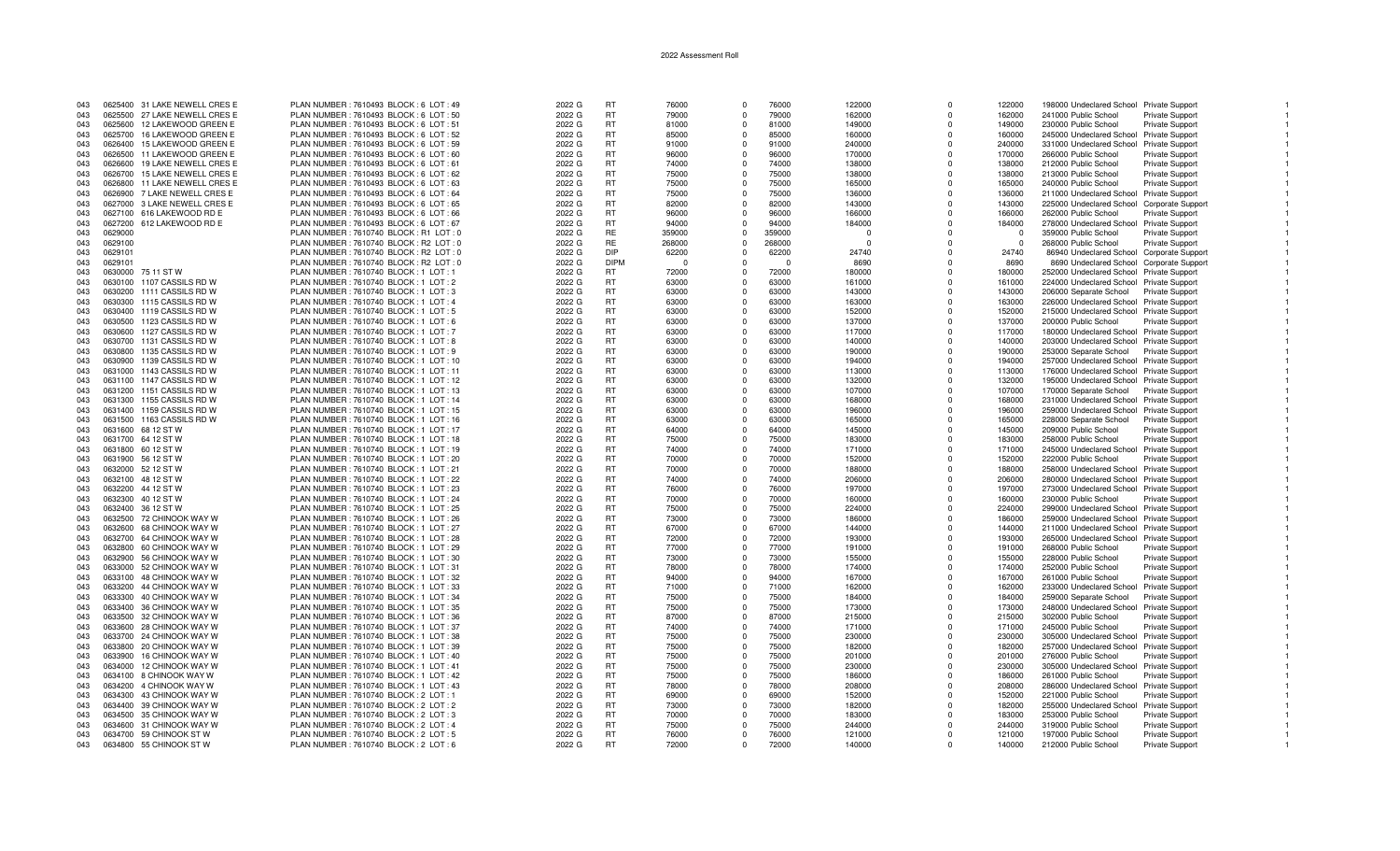| 043 |         | 0625400 31 LAKE NEWELL CRES E | PLAN NUMBER : 7610493 BLOCK : 6 LOT : 49 | 2022 G | <b>RT</b>   | 76000  | $\Omega$    | 76000    | 122000   | $\Omega$    | 122000   | 198000 Undeclared School Private Support   |                        |  |
|-----|---------|-------------------------------|------------------------------------------|--------|-------------|--------|-------------|----------|----------|-------------|----------|--------------------------------------------|------------------------|--|
| 043 | 0625500 | 27 LAKE NEWELL CRES E         | PLAN NUMBER : 7610493 BLOCK : 6 LOT : 50 | 2022 G | <b>RT</b>   | 79000  | $\Omega$    | 79000    | 162000   | $\Omega$    | 162000   | 241000 Public School                       | Private Support        |  |
| 043 |         | 0625600 12 LAKEWOOD GREEN E   | PLAN NUMBER: 7610493 BLOCK: 6 LOT: 51    | 2022 G | <b>RT</b>   |        | $\Omega$    | 81000    |          | n           | 149000   | 230000 Public School                       |                        |  |
|     |         |                               |                                          |        |             | 81000  |             |          | 149000   |             |          |                                            | <b>Private Support</b> |  |
| 043 |         | 0625700 16 LAKEWOOD GREEN E   | PLAN NUMBER: 7610493 BLOCK: 6 LOT: 52    | 2022 G | RT          | 85000  | $\Omega$    | 85000    | 160000   | $\Omega$    | 160000   | 245000 Undeclared School Private Support   |                        |  |
| 043 |         | 0626400 15 LAKEWOOD GREEN E   | PLAN NUMBER : 7610493 BLOCK : 6 LOT : 59 | 2022 G | RT          | 91000  | $\Omega$    | 91000    | 240000   | $\Omega$    | 240000   | 331000 Undeclared School Private Support   |                        |  |
| 043 | 0626500 | 11 LAKEWOOD GREEN E           | PLAN NUMBER : 7610493 BLOCK : 6 LOT : 60 | 2022 G | <b>RT</b>   | 96000  | $\Omega$    | 96000    | 170000   | $\Omega$    | 170000   | 266000 Public School                       | Private Support        |  |
| 043 | 0626600 | 19 LAKE NEWELL CRES E         | PLAN NUMBER : 7610493 BLOCK : 6 LOT : 61 | 2022 G | <b>RT</b>   | 74000  | $\Omega$    | 74000    | 138000   | $\Omega$    | 138000   | 212000 Public School                       | <b>Private Support</b> |  |
|     |         |                               |                                          |        |             |        |             |          |          |             |          |                                            |                        |  |
| 043 | 0626700 | 15 LAKE NEWELL CRES E         | PLAN NUMBER : 7610493 BLOCK : 6 LOT : 62 | 2022 G | RT          | 75000  | $\Omega$    | 75000    | 138000   | $\Omega$    | 138000   | 213000 Public School                       | <b>Private Support</b> |  |
| 043 | 0626800 | 11 LAKE NEWELL CRES E         | PLAN NUMBER : 7610493 BLOCK : 6 LOT : 63 | 2022 G | RT          | 75000  | $\Omega$    | 75000    | 165000   | $\Omega$    | 165000   | 240000 Public School                       | <b>Private Support</b> |  |
| 043 |         | 0626900 7 LAKE NEWELL CRES E  | PLAN NUMBER : 7610493 BLOCK : 6 LOT : 64 | 2022 G | RT          | 75000  | $\Omega$    | 75000    | 136000   | $\Omega$    | 136000   | 211000 Undeclared School Private Support   |                        |  |
| 043 |         | 0627000 3 LAKE NEWELL CRES E  | PLAN NUMBER : 7610493 BLOCK : 6 LOT : 65 | 2022 G | <b>RT</b>   | 82000  | $\Omega$    | 82000    | 143000   | $\Omega$    | 143000   | 225000 Undeclared School Corporate Support |                        |  |
|     |         |                               |                                          |        |             |        |             |          |          |             |          |                                            |                        |  |
| 043 |         | 0627100 616 LAKEWOOD RD E     | PLAN NUMBER : 7610493 BLOCK : 6 LOT : 66 | 2022 G | RT          | 96000  | $\Omega$    | 96000    | 166000   | $\Omega$    | 166000   | 262000 Public School                       | Private Support        |  |
| 043 |         | 0627200 612 LAKEWOOD RD E     | PLAN NUMBER: 7610493 BLOCK: 6 LOT: 67    | 2022 G | <b>RT</b>   | 94000  | $\Omega$    | 94000    | 184000   | $\Omega$    | 184000   | 278000 Undeclared School Private Support   |                        |  |
| 043 | 0629000 |                               | PLAN NUMBER: 7610740 BLOCK: R1 LOT: 0    | 2022 G | <b>RE</b>   | 359000 | $\Omega$    | 359000   | $\Omega$ | $\Omega$    | $\Omega$ | 359000 Public School                       | Private Support        |  |
| 043 | 0629100 |                               | PLAN NUMBER: 7610740 BLOCK: R2 LOT: 0    | 2022 G | <b>RE</b>   | 268000 | $\Omega$    | 268000   | $\Omega$ | $\Omega$    | $\Omega$ | 268000 Public School                       | Private Support        |  |
| 043 | 0629101 |                               | PLAN NUMBER: 7610740 BLOCK: R2 LOT: 0    | 2022 G | <b>DIP</b>  | 62200  | $\Omega$    | 62200    | 24740    | $\Omega$    | 24740    |                                            |                        |  |
|     |         |                               |                                          |        |             |        |             |          |          |             |          | 86940 Undeclared School Corporate Support  |                        |  |
| 043 | 0629101 |                               | PLAN NUMBER: 7610740 BLOCK: R2 LOT: 0    | 2022 G | <b>DIPM</b> | - 0    | $\Omega$    | $\Omega$ | 8690     | $\Omega$    | 8690     | 8690 Undeclared School Corporate Support   |                        |  |
| 043 |         | 0630000 75 11 ST W            | PLAN NUMBER: 7610740 BLOCK: 1 LOT: 1     | 2022 G | <b>RT</b>   | 72000  | $\Omega$    | 72000    | 180000   | $\Omega$    | 180000   | 252000 Undeclared School Private Support   |                        |  |
| 043 |         | 0630100 1107 CASSILS RD W     | PLAN NUMBER: 7610740 BLOCK: 1 LOT: 2     | 2022 G | <b>RT</b>   | 63000  | $\Omega$    | 63000    | 161000   | $\Omega$    | 161000   | 224000 Undeclared School Private Support   |                        |  |
| 043 |         | 0630200 1111 CASSILS RD W     | PLAN NUMBER: 7610740 BLOCK: 1 LOT: 3     | 2022 G | RT          | 63000  | $\Omega$    | 63000    | 143000   | $\Omega$    | 143000   | 206000 Separate School                     | <b>Private Support</b> |  |
|     |         |                               |                                          |        |             |        |             |          |          |             |          |                                            |                        |  |
| 043 | 0630300 | 1115 CASSILS RD W             | PLAN NUMBER : 7610740 BLOCK : 1 LOT : 4  | 2022 G | <b>RT</b>   | 63000  | $\Omega$    | 63000    | 163000   | $\Omega$    | 163000   | 226000 Undeclared School Private Support   |                        |  |
| 043 | 0630400 | 1119 CASSILS RD W             | PLAN NUMBER : 7610740 BLOCK : 1 LOT : 5  | 2022 G | <b>RT</b>   | 63000  | $\Omega$    | 63000    | 152000   | $\Omega$    | 152000   | 215000 Undeclared School Private Support   |                        |  |
| 043 | 0630500 | 1123 CASSILS RD W             | PLAN NUMBER : 7610740 BLOCK : 1 LOT : 6  | 2022 G | <b>RT</b>   | 63000  | $\Omega$    | 63000    | 137000   | $\Omega$    | 137000   | 200000 Public School                       | <b>Private Support</b> |  |
| 043 | 0630600 | 1127 CASSILS RD W             | PLAN NUMBER : 7610740 BLOCK : 1 LOT : 7  | 2022 G | RT          | 63000  | $\Omega$    | 63000    | 117000   | $\Omega$    | 117000   | 180000 Undeclared School Private Support   |                        |  |
|     |         |                               |                                          |        |             |        |             |          |          |             |          |                                            |                        |  |
| 043 | 0630700 | 1131 CASSILS RD W             | PLAN NUMBER : 7610740 BLOCK : 1 LOT : 8  | 2022 G | <b>RT</b>   | 63000  | $\Omega$    | 63000    | 140000   | $\Omega$    | 140000   | 203000 Undeclared School Private Support   |                        |  |
| 043 |         | 0630800 1135 CASSILS RD W     | PLAN NUMBER : 7610740 BLOCK : 1 LOT : 9  | 2022 G | <b>RT</b>   | 63000  | $\Omega$    | 63000    | 190000   | $\Omega$    | 190000   | 253000 Separate School                     | <b>Private Support</b> |  |
| 043 |         | 0630900 1139 CASSILS RD W     | PLAN NUMBER : 7610740 BLOCK : 1 LOT : 10 | 2022 G | <b>RT</b>   | 63000  | $\Omega$    | 63000    | 194000   | $\Omega$    | 194000   | 257000 Undeclared School Private Support   |                        |  |
| 043 | 0631000 | 1143 CASSILS RD W             | PLAN NUMBER: 7610740 BLOCK: 1 LOT: 11    | 2022 G | RT          | 63000  | $\Omega$    | 63000    | 113000   | $\Omega$    | 113000   | 176000 Undeclared School Private Support   |                        |  |
|     |         |                               |                                          |        | <b>RT</b>   |        | $\Omega$    |          |          | $\Omega$    |          |                                            |                        |  |
| 043 |         | 0631100 1147 CASSILS RD W     | PLAN NUMBER: 7610740 BLOCK: 1 LOT: 12    | 2022 G |             | 63000  |             | 63000    | 132000   |             | 132000   | 195000 Undeclared School Private Support   |                        |  |
| 043 |         | 0631200 1151 CASSILS RD W     | PLAN NUMBER : 7610740 BLOCK : 1 LOT : 13 | 2022 G | RT          | 63000  | $\Omega$    | 63000    | 107000   | $\Omega$    | 107000   | 170000 Separate School                     | <b>Private Support</b> |  |
| 043 |         | 0631300 1155 CASSILS RD W     | PLAN NUMBER: 7610740 BLOCK: 1 LOT: 14    | 2022 G | <b>RT</b>   | 63000  | $\Omega$    | 63000    | 168000   | $\Omega$    | 168000   | 231000 Undeclared School Private Support   |                        |  |
| 043 |         | 0631400 1159 CASSILS RD W     | PLAN NUMBER : 7610740 BLOCK : 1 LOT : 15 | 2022 G | <b>RT</b>   | 63000  | $\Omega$    | 63000    | 196000   | $\Omega$    | 196000   | 259000 Undeclared School Private Support   |                        |  |
|     |         | 0631500 1163 CASSILS RD W     | PLAN NUMBER: 7610740 BLOCK: 1 LOT: 16    | 2022 G | <b>RT</b>   | 63000  | $\Omega$    | 63000    | 165000   | $\Omega$    |          |                                            |                        |  |
| 043 |         |                               |                                          |        |             |        |             |          |          |             | 165000   | 228000 Separate School                     | <b>Private Support</b> |  |
| 043 |         | 0631600 68 12 ST W            | PLAN NUMBER: 7610740 BLOCK: 1 LOT: 17    | 2022 G | RT          | 64000  | $\Omega$    | 64000    | 145000   | $\Omega$    | 145000   | 209000 Public School                       | <b>Private Support</b> |  |
| 043 |         | 0631700 64 12 ST W            | PLAN NUMBER : 7610740 BLOCK : 1 LOT : 18 | 2022 G | RT          | 75000  | $\mathbf 0$ | 75000    | 183000   | $\Omega$    | 183000   | 258000 Public School                       | Private Support        |  |
| 043 |         | 0631800 60 12 ST W            | PLAN NUMBER : 7610740 BLOCK : 1 LOT : 19 | 2022 G | <b>RT</b>   | 74000  | $\Omega$    | 74000    | 171000   | $\Omega$    | 171000   | 245000 Undeclared School Private Support   |                        |  |
| 043 |         | 0631900 56 12 ST W            | PLAN NUMBER: 7610740 BLOCK: 1 LOT: 20    | 2022 G | <b>RT</b>   | 70000  | $\Omega$    | 70000    | 152000   | $\Omega$    | 152000   | 222000 Public School                       | <b>Private Support</b> |  |
|     |         |                               |                                          |        |             |        |             |          |          |             |          |                                            |                        |  |
| 043 |         | 0632000 52 12 ST W            | PLAN NUMBER : 7610740 BLOCK : 1 LOT : 21 | 2022 G | <b>RT</b>   | 70000  | $\Omega$    | 70000    | 188000   | $\Omega$    | 188000   | 258000 Undeclared School Private Support   |                        |  |
| 043 |         | 0632100 48 12 ST W            | PLAN NUMBER: 7610740 BLOCK: 1 LOT: 22    | 2022 G | <b>RT</b>   | 74000  | $\Omega$    | 74000    | 206000   | $\mathbf 0$ | 206000   | 280000 Undeclared School Private Support   |                        |  |
| 043 |         | 0632200 44 12 ST W            | PLAN NUMBER : 7610740 BLOCK : 1 LOT : 23 | 2022 G | <b>RT</b>   | 76000  | $\Omega$    | 76000    | 197000   | $\Omega$    | 197000   | 273000 Undeclared School Private Support   |                        |  |
| 043 |         | 0632300 40 12 ST W            | PLAN NUMBER : 7610740 BLOCK : 1 LOT : 24 | 2022 G | <b>RT</b>   | 70000  | $\Omega$    | 70000    | 160000   | $\Omega$    | 160000   | 230000 Public School                       | <b>Private Support</b> |  |
| 043 |         | 0632400 36 12 ST W            | PLAN NUMBER : 7610740 BLOCK : 1 LOT : 25 | 2022 G | <b>RT</b>   | 75000  | $\Omega$    | 75000    | 224000   | $\Omega$    | 224000   | 299000 Undeclared School Private Support   |                        |  |
|     |         |                               |                                          |        |             |        |             |          |          |             |          |                                            |                        |  |
| 043 |         | 0632500 72 CHINOOK WAY W      | PLAN NUMBER: 7610740 BLOCK: 1 LOT: 26    | 2022 G | <b>RT</b>   | 73000  | $\Omega$    | 73000    | 186000   | $\Omega$    | 186000   | 259000 Undeclared School Private Support   |                        |  |
| 043 |         | 0632600 68 CHINOOK WAY W      | PLAN NUMBER: 7610740 BLOCK: 1 LOT: 27    | 2022 G | <b>RT</b>   | 67000  | $\Omega$    | 67000    | 144000   | $\Omega$    | 144000   | 211000 Undeclared School Private Support   |                        |  |
| 043 |         | 0632700 64 CHINOOK WAY W      | PLAN NUMBER : 7610740 BLOCK : 1 LOT : 28 | 2022 G | <b>RT</b>   | 72000  | $\Omega$    | 72000    | 193000   | $\Omega$    | 193000   | 265000 Undeclared School Private Support   |                        |  |
| 043 |         | 0632800 60 CHINOOK WAY W      | PLAN NUMBER : 7610740 BLOCK : 1 LOT : 29 | 2022 G | <b>RT</b>   | 77000  | $\Omega$    | 77000    | 191000   | $\Omega$    | 191000   | 268000 Public School                       | Private Support        |  |
|     |         |                               |                                          |        |             |        |             |          |          |             |          |                                            |                        |  |
| 043 |         | 0632900 56 CHINOOK WAY W      | PLAN NUMBER : 7610740 BLOCK : 1 LOT : 30 | 2022 G | <b>RT</b>   | 73000  | $\Omega$    | 73000    | 155000   | $\Omega$    | 155000   | 228000 Public School                       | <b>Private Support</b> |  |
| 043 | 0633000 | 52 CHINOOK WAY W              | PLAN NUMBER: 7610740 BLOCK: 1 LOT: 31    | 2022 G | <b>RT</b>   | 78000  | $\Omega$    | 78000    | 174000   | $\Omega$    | 174000   | 252000 Public School                       | Private Support        |  |
| 043 |         | 0633100 48 CHINOOK WAY W      | PLAN NUMBER : 7610740 BLOCK : 1 LOT : 32 | 2022 G | <b>RT</b>   | 94000  | $\Omega$    | 94000    | 167000   | $\Omega$    | 167000   | 261000 Public School                       | Private Support        |  |
| 043 |         | 0633200 44 CHINOOK WAY W      | PLAN NUMBER : 7610740 BLOCK : 1 LOT : 33 | 2022 G | <b>RT</b>   | 71000  | $\mathbf 0$ | 71000    | 162000   | $\Omega$    | 162000   | 233000 Undeclared School                   | <b>Private Support</b> |  |
| 043 | 0633300 | 40 CHINOOK WAY W              | PLAN NUMBER : 7610740 BLOCK : 1 LOT : 34 | 2022 G | <b>RT</b>   | 75000  | $\Omega$    | 75000    | 184000   | $\Omega$    | 184000   |                                            |                        |  |
|     |         |                               |                                          |        |             |        |             |          |          |             |          | 259000 Separate School                     | <b>Private Support</b> |  |
| 043 |         | 0633400 36 CHINOOK WAY W      | PLAN NUMBER : 7610740 BLOCK : 1 LOT : 35 | 2022 G | <b>RT</b>   | 75000  | $\Omega$    | 75000    | 173000   | $\Omega$    | 173000   | 248000 Undeclared School Private Support   |                        |  |
| 043 |         | 0633500 32 CHINOOK WAY W      | PLAN NUMBER: 7610740 BLOCK: 1 LOT: 36    | 2022 G | <b>RT</b>   | 87000  | $\Omega$    | 87000    | 215000   | $\Omega$    | 215000   | 302000 Public School                       | Private Support        |  |
| 043 |         | 0633600 28 CHINOOK WAY W      | PLAN NUMBER: 7610740 BLOCK: 1 LOT: 37    | 2022 G | RT          | 74000  | $\Omega$    | 74000    | 171000   | $\Omega$    | 171000   | 245000 Public School                       | Private Support        |  |
| 043 |         | 0633700 24 CHINOOK WAY W      | PLAN NUMBER : 7610740 BLOCK : 1 LOT : 38 | 2022 G | RT          | 75000  | $\Omega$    | 75000    | 230000   | $\Omega$    | 230000   | 305000 Undeclared School Private Support   |                        |  |
|     |         |                               |                                          |        |             |        |             |          |          |             |          |                                            |                        |  |
| 043 |         | 0633800 20 CHINOOK WAY W      | PLAN NUMBER : 7610740 BLOCK : 1 LOT : 39 | 2022 G | <b>RT</b>   | 75000  | $\Omega$    | 75000    | 182000   | $\Omega$    | 182000   | 257000 Undeclared School Private Support   |                        |  |
| 043 |         | 0633900 16 CHINOOK WAY W      | PLAN NUMBER : 7610740 BLOCK : 1 LOT : 40 | 2022 G | <b>RT</b>   | 75000  | $\Omega$    | 75000    | 201000   | $\Omega$    | 201000   | 276000 Public School                       | <b>Private Support</b> |  |
| 043 |         | 0634000 12 CHINOOK WAY W      | PLAN NUMBER: 7610740 BLOCK: 1 LOT: 41    | 2022 G | <b>RT</b>   | 75000  | $\Omega$    | 75000    | 230000   | $\Omega$    | 230000   | 305000 Undeclared School Private Support   |                        |  |
| 043 |         | 0634100 8 CHINOOK WAY W       | PLAN NUMBER : 7610740 BLOCK : 1 LOT : 42 | 2022 G | RT          | 75000  | $\Omega$    | 75000    | 186000   | $\Omega$    | 186000   | 261000 Public School                       | Private Support        |  |
|     |         |                               |                                          |        |             |        | $\Omega$    |          |          | $\Omega$    |          |                                            |                        |  |
| 043 |         | 0634200 4 CHINOOK WAY W       | PLAN NUMBER: 7610740 BLOCK: 1 LOT: 43    | 2022 G | RT          | 78000  |             | 78000    | 208000   |             | 208000   | 286000 Undeclared School Private Support   |                        |  |
| 043 |         | 0634300 43 CHINOOK WAY W      | PLAN NUMBER : 7610740 BLOCK : 2 LOT : 1  | 2022 G | <b>RT</b>   | 69000  | $\Omega$    | 69000    | 152000   | $\Omega$    | 152000   | 221000 Public School                       | <b>Private Support</b> |  |
| 043 |         | 0634400 39 CHINOOK WAY W      | PLAN NUMBER : 7610740 BLOCK : 2 LOT : 2  | 2022 G | RT          | 73000  | $\Omega$    | 73000    | 182000   | $\Omega$    | 182000   | 255000 Undeclared School                   | <b>Private Support</b> |  |
| 043 |         | 0634500 35 CHINOOK WAY W      | PLAN NUMBER : 7610740 BLOCK : 2 LOT : 3  | 2022 G | <b>RT</b>   | 70000  | $\Omega$    | 70000    | 183000   | $\Omega$    | 183000   | 253000 Public School                       | Private Support        |  |
| 043 |         | 0634600 31 CHINOOK WAY W      | PLAN NUMBER : 7610740 BLOCK : 2 LOT : 4  | 2022 G | RT          | 75000  | $\Omega$    | 75000    | 244000   | $\Omega$    | 244000   | 319000 Public School                       |                        |  |
|     |         |                               |                                          |        |             |        |             |          |          |             |          |                                            | Private Support        |  |
| 043 |         | 0634700 59 CHINOOK ST W       | PLAN NUMBER: 7610740 BLOCK: 2 LOT: 5     | 2022 G | <b>RT</b>   | 76000  | $\Omega$    | 76000    | 121000   | $\Omega$    | 121000   | 197000 Public School                       | Private Support        |  |
| 043 |         | 0634800 55 CHINOOK ST W       | PLAN NUMBER : 7610740 BLOCK : 2 LOT : 6  | 2022 G | <b>RT</b>   | 72000  | $\Omega$    | 72000    | 140000   | $\Omega$    | 140000   | 212000 Public School                       | <b>Private Support</b> |  |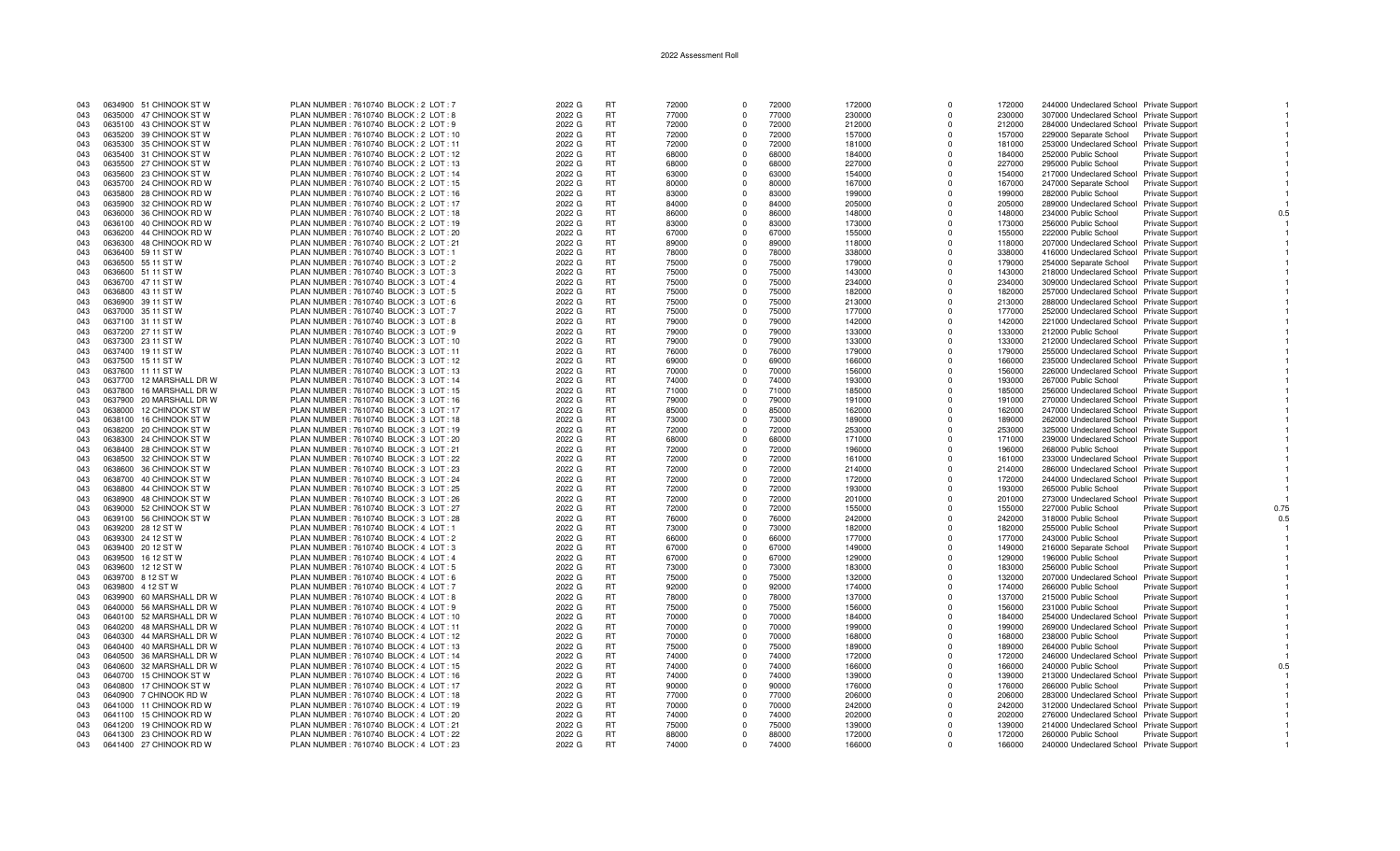| 043 |         | 0634900 51 CHINOOK ST W  | PLAN NUMBER : 7610740 BLOCK : 2 LOT : 7                                              | 2022 G | <b>RT</b> | 72000 | $\Omega$       | 72000 | 172000           | $\Omega$   | 172000 | 244000 Undeclared School Private Support |                        |      |
|-----|---------|--------------------------|--------------------------------------------------------------------------------------|--------|-----------|-------|----------------|-------|------------------|------------|--------|------------------------------------------|------------------------|------|
| 043 |         | 0635000 47 CHINOOK ST W  | PLAN NUMBER: 7610740 BLOCK: 2 LOT: 8                                                 | 2022 G | <b>RT</b> | 77000 | $\Omega$       | 77000 | 230000           | $\Omega$   | 230000 | 307000 Undeclared School Private Support |                        |      |
| 043 |         | 0635100 43 CHINOOK ST W  | PLAN NUMBER : 7610740 BLOCK : 2 LOT : 9                                              | 2022 G | <b>RT</b> | 72000 | $\Omega$       | 72000 | 212000           | $\Omega$   | 212000 | 284000 Undeclared School Private Support |                        |      |
| 043 |         | 0635200 39 CHINOOK ST W  | PLAN NUMBER: 7610740 BLOCK: 2 LOT: 10                                                | 2022 G | <b>RT</b> | 72000 | $\Omega$       | 72000 | 157000           | $\Omega$   | 157000 | 229000 Separate School                   | <b>Private Support</b> |      |
| 043 |         | 0635300 35 CHINOOK ST W  | PLAN NUMBER : 7610740 BLOCK : 2 LOT : 11                                             | 2022 G | <b>RT</b> | 72000 | $\Omega$       | 72000 | 181000           | $\Omega$   | 181000 | 253000 Undeclared School Private Support |                        |      |
| 043 |         | 0635400 31 CHINOOK ST W  | PLAN NUMBER : 7610740 BLOCK : 2 LOT : 12                                             | 2022 G | RT        | 68000 | $\Omega$       | 68000 | 184000           | $\Omega$   | 184000 | 252000 Public School                     | <b>Private Support</b> |      |
| 043 |         | 0635500 27 CHINOOK ST W  | PLAN NUMBER: 7610740 BLOCK: 2 LOT: 13                                                | 2022 G | <b>RT</b> | 68000 | $\Omega$       | 68000 | 227000           | $\Omega$   | 227000 | 295000 Public School                     | Private Support        |      |
| 043 |         | 0635600 23 CHINOOK ST W  | PLAN NUMBER: 7610740 BLOCK: 2 LOT: 14                                                | 2022 G | <b>RT</b> | 63000 | $\Omega$       | 63000 | 154000           | $\Omega$   | 154000 | 217000 Undeclared School Private Support |                        |      |
| 043 |         | 0635700 24 CHINOOK RD W  | PLAN NUMBER: 7610740 BLOCK: 2 LOT: 15                                                | 2022 G | <b>RT</b> | 80000 | $\Omega$       | 80000 | 167000           | $\Omega$   | 167000 | 247000 Separate School                   | <b>Private Support</b> |      |
| 043 |         | 0635800 28 CHINOOK RD W  | PLAN NUMBER : 7610740 BLOCK : 2 LOT : 16                                             | 2022 G | <b>RT</b> | 83000 | $\mathbf 0$    | 83000 | 199000           | $\Omega$   | 199000 | 282000 Public School                     |                        |      |
|     |         |                          |                                                                                      |        |           |       | $\Omega$       |       |                  | $\Omega$   |        |                                          | Private Support        |      |
| 043 |         | 0635900 32 CHINOOK RD W  | PLAN NUMBER : 7610740 BLOCK : 2 LOT : 17                                             | 2022 G | <b>RT</b> | 84000 | $\Omega$       | 84000 | 205000           |            | 205000 | 289000 Undeclared School Private Support |                        |      |
| 043 |         | 0636000 36 CHINOOK RD W  | PLAN NUMBER: 7610740 BLOCK: 2 LOT: 18                                                | 2022 G | <b>RT</b> | 86000 |                | 86000 | 148000           | $\Omega$   | 148000 | 234000 Public School                     | <b>Private Support</b> |      |
| 043 |         | 0636100 40 CHINOOK RD W  | PLAN NUMBER : 7610740 BLOCK : 2 LOT : 19                                             | 2022 G | <b>RT</b> | 83000 | $\Omega$       | 83000 | 173000           | $\Omega$   | 173000 | 256000 Public School                     | <b>Private Support</b> |      |
| 043 |         | 0636200 44 CHINOOK RD W  | PLAN NUMBER: 7610740 BLOCK: 2 LOT: 20                                                | 2022 G | <b>RT</b> | 67000 | $\Omega$       | 67000 | 155000           | $\Omega$   | 155000 | 222000 Public School                     | <b>Private Support</b> |      |
| 043 | 0636300 | 48 CHINOOK RD W          | PLAN NUMBER : 7610740 BLOCK : 2 LOT : 21                                             | 2022 G | <b>RT</b> | 89000 | $\Omega$       | 89000 | 118000           | $\Omega$   | 118000 | 207000 Undeclared School Private Support |                        |      |
| 043 |         | 0636400 59 11 ST W       | PLAN NUMBER: 7610740 BLOCK: 3 LOT: 1                                                 | 2022 G | <b>RT</b> | 78000 | $\Omega$       | 78000 | 338000           | $\Omega$   | 338000 | 416000 Undeclared School Private Support |                        |      |
| 043 |         | 0636500 55 11 ST W       | PLAN NUMBER : 7610740 BLOCK : 3 LOT : 2                                              | 2022 G | <b>RT</b> | 75000 | $\Omega$       | 75000 | 179000           | $\Omega$   | 179000 | 254000 Separate School                   | <b>Private Support</b> |      |
| 043 |         | 0636600 51 11 ST W       | PLAN NUMBER: 7610740 BLOCK: 3 LOT: 3                                                 | 2022 G | <b>RT</b> | 75000 | $\Omega$       | 75000 | 143000           | $\Omega$   | 143000 | 218000 Undeclared School Private Support |                        |      |
| 043 |         | 0636700 47 11 ST W       | PLAN NUMBER : 7610740 BLOCK : 3 LOT : 4                                              | 2022 G | <b>RT</b> | 75000 | $\Omega$       | 75000 | 234000           | $\Omega$   | 234000 | 309000 Undeclared School Private Support |                        |      |
| 043 |         | 0636800 43 11 ST W       | PLAN NUMBER : 7610740 BLOCK : 3 LOT : 5                                              | 2022 G | <b>RT</b> | 75000 | $\Omega$       | 75000 | 182000           | $\Omega$   | 182000 | 257000 Undeclared School Private Support |                        |      |
| 043 |         | 0636900 39 11 ST W       | PLAN NUMBER : 7610740 BLOCK : 3 LOT : 6                                              | 2022 G | <b>RT</b> | 75000 | $\Omega$       | 75000 | 213000           | $\Omega$   | 213000 | 288000 Undeclared School Private Support |                        |      |
| 043 |         | 0637000 35 11 ST W       | PLAN NUMBER: 7610740 BLOCK: 3 LOT: 7                                                 | 2022 G | <b>RT</b> | 75000 | $\overline{0}$ | 75000 | 177000           | $^{\circ}$ | 177000 | 252000 Undeclared School Private Support |                        |      |
| 043 |         | 0637100 31 11 ST W       | PLAN NUMBER: 7610740 BLOCK: 3 LOT: 8                                                 | 2022 G | <b>RT</b> | 79000 | $\Omega$       | 79000 | 142000           | $\Omega$   | 142000 | 221000 Undeclared School Private Support |                        |      |
| 043 |         | 0637200 27 11 ST W       | PLAN NUMBER: 7610740 BLOCK: 3 LOT: 9                                                 | 2022 G | <b>RT</b> | 79000 | $\Omega$       | 79000 | 133000           | $\Omega$   | 133000 | 212000 Public School                     | Private Support        |      |
| 043 |         | 0637300 23 11 ST W       | PLAN NUMBER: 7610740 BLOCK: 3 LOT: 10                                                | 2022 G | <b>RT</b> | 79000 | $\Omega$       | 79000 | 133000           | $\Omega$   | 133000 | 212000 Undeclared School Private Support |                        |      |
| 043 |         | 0637400 19 11 ST W       | PLAN NUMBER: 7610740 BLOCK: 3 LOT: 11                                                | 2022 G | <b>RT</b> | 76000 | $\Omega$       | 76000 | 179000           | $\Omega$   | 179000 | 255000 Undeclared School Private Support |                        |      |
| 043 |         | 0637500 15 11 ST W       | PLAN NUMBER : 7610740 BLOCK : 3 LOT : 12                                             | 2022 G | <b>RT</b> | 69000 | $\Omega$       | 69000 | 166000           | $\Omega$   | 166000 | 235000 Undeclared School Private Support |                        |      |
| 043 | 0637600 | 11 11 ST W               | PLAN NUMBER: 7610740 BLOCK: 3 LOT: 13                                                | 2022 G | <b>RT</b> | 70000 | $\Omega$       | 70000 | 156000           | $\Omega$   | 156000 | 226000 Undeclared School Private Support |                        |      |
| 043 | 0637700 | 12 MARSHALL DR W         | PLAN NUMBER : 7610740 BLOCK : 3 LOT : 14                                             | 2022 G | <b>RT</b> | 74000 | $\Omega$       | 74000 | 193000           | $\Omega$   | 193000 | 267000 Public School                     | <b>Private Support</b> |      |
| 043 | 0637800 | 16 MARSHALL DR W         | PLAN NUMBER: 7610740 BLOCK: 3 LOT: 15                                                | 2022 G | <b>RT</b> | 71000 | $\Omega$       | 71000 | 185000           | $^{\circ}$ | 185000 | 256000 Undeclared School Private Support |                        |      |
| 043 |         | 0637900 20 MARSHALL DR W | PLAN NUMBER: 7610740 BLOCK: 3 LOT: 16                                                | 2022 G | <b>RT</b> | 79000 | $\Omega$       | 79000 | 191000           | $\Omega$   | 191000 |                                          |                        |      |
|     |         |                          |                                                                                      |        | <b>RT</b> |       | $\Omega$       |       |                  | $\Omega$   |        | 270000 Undeclared School Private Support |                        |      |
| 043 | 0638000 | 12 CHINOOK ST W          | PLAN NUMBER: 7610740 BLOCK: 3 LOT: 17                                                | 2022 G |           | 85000 |                | 85000 | 162000           |            | 162000 | 247000 Undeclared School Private Support |                        |      |
| 043 |         | 0638100 16 CHINOOK ST W  | PLAN NUMBER: 7610740 BLOCK: 3 LOT: 18                                                | 2022 G | <b>RT</b> | 73000 | $\Omega$       | 73000 | 189000           | $\Omega$   | 189000 | 262000 Undeclared School Private Support |                        |      |
| 043 |         | 0638200 20 CHINOOK ST W  | PLAN NUMBER : 7610740 BLOCK : 3 LOT : 19                                             | 2022 G | <b>RT</b> | 72000 | $\Omega$       | 72000 | 253000           | $\Omega$   | 253000 | 325000 Undeclared School Private Support |                        |      |
| 043 |         | 0638300 24 CHINOOK ST W  | PLAN NUMBER : 7610740 BLOCK : 3 LOT : 20                                             | 2022 G | <b>RT</b> | 68000 | $\Omega$       | 68000 | 171000           | $\Omega$   | 171000 | 239000 Undeclared School Private Support |                        |      |
| 043 |         | 0638400 28 CHINOOK ST W  | PLAN NUMBER : 7610740 BLOCK : 3 LOT : 21                                             | 2022 G | <b>RT</b> | 72000 | $\Omega$       | 72000 | 196000           | $\Omega$   | 196000 | 268000 Public School                     | <b>Private Support</b> |      |
| 043 |         | 0638500 32 CHINOOK ST W  | PLAN NUMBER : 7610740 BLOCK : 3 LOT : 22                                             | 2022 G | <b>RT</b> | 72000 | $\Omega$       | 72000 | 161000           | $\Omega$   | 161000 | 233000 Undeclared School Private Support |                        |      |
| 043 |         | 0638600 36 CHINOOK ST W  | PLAN NUMBER: 7610740 BLOCK: 3 LOT: 23                                                | 2022 G | <b>RT</b> | 72000 | $\overline{0}$ | 72000 | 214000           | $^{\circ}$ | 214000 | 286000 Undeclared School Private Support |                        |      |
| 043 | 0638700 | 40 CHINOOK ST W          | PLAN NUMBER: 7610740 BLOCK: 3 LOT: 24                                                | 2022 G | <b>RT</b> | 72000 | $\Omega$       | 72000 | 172000           | $\Omega$   | 172000 | 244000 Undeclared School Private Support |                        |      |
| 043 | 0638800 | 44 CHINOOK ST W          | PLAN NUMBER: 7610740 BLOCK: 3 LOT: 25                                                | 2022 G | <b>RT</b> | 72000 | $\Omega$       | 72000 | 193000           | $\Omega$   | 193000 | 265000 Public School                     | Private Support        |      |
| 043 |         | 0638900 48 CHINOOK ST W  | PLAN NUMBER: 7610740 BLOCK: 3 LOT: 26                                                | 2022 G | <b>RT</b> | 72000 | $\Omega$       | 72000 | 201000           | $\Omega$   | 201000 | 273000 Undeclared School Private Support |                        |      |
| 043 |         | 0639000 52 CHINOOK ST W  | PLAN NUMBER: 7610740 BLOCK: 3 LOT: 27                                                | 2022 G | <b>RT</b> | 72000 | $\Omega$       | 72000 | 155000           | $\Omega$   | 155000 | 227000 Public School                     | <b>Private Support</b> | 0.75 |
| 043 |         | 0639100 56 CHINOOK ST W  | PLAN NUMBER : 7610740 BLOCK : 3 LOT : 28                                             | 2022 G | <b>RT</b> | 76000 | $\Omega$       | 76000 | 242000           | $\Omega$   | 242000 | 318000 Public School                     | <b>Private Support</b> | 0.5  |
| 043 |         | 0639200 28 12 ST W       | PLAN NUMBER : 7610740 BLOCK : 4 LOT : 1                                              | 2022 G | <b>RT</b> | 73000 | $\Omega$       | 73000 | 182000           | $\Omega$   | 182000 | 255000 Public School                     | <b>Private Support</b> |      |
| 043 |         | 0639300 24 12 ST W       | PLAN NUMBER : 7610740 BLOCK : 4 LOT : 2                                              | 2022 G | <b>RT</b> | 66000 | $\Omega$       | 66000 | 177000           | $\Omega$   | 177000 | 243000 Public School                     | Private Support        |      |
| 043 |         | 0639400 20 12 ST W       | PLAN NUMBER: 7610740 BLOCK: 4 LOT: 3                                                 | 2022 G | <b>RT</b> | 67000 | $\overline{0}$ | 67000 | 149000           | $^{\circ}$ | 149000 | 216000 Separate School                   | <b>Private Support</b> |      |
| 043 | 0639500 | 16 12 ST W               | PLAN NUMBER: 7610740 BLOCK: 4 LOT: 4                                                 | 2022 G | <b>RT</b> | 67000 | $\Omega$       | 67000 | 129000           | $\Omega$   | 129000 | 196000 Public School                     | Private Support        |      |
| 043 | 0639600 | 12 12 ST W               | PLAN NUMBER : 7610740 BLOCK : 4 LOT : 5                                              | 2022 G | <b>RT</b> | 73000 | $\Omega$       | 73000 | 183000           | $\Omega$   | 183000 | 256000 Public School                     | Private Support        |      |
| 043 |         | 0639700 8 12 ST W        | PLAN NUMBER : 7610740 BLOCK : 4 LOT : 6                                              | 2022 G | <b>RT</b> | 75000 | $\Omega$       | 75000 | 132000           | $\Omega$   | 132000 | 207000 Undeclared School Private Support |                        |      |
| 043 |         | 0639800 4 12 ST W        | PLAN NUMBER : 7610740 BLOCK : 4 LOT : 7                                              | 2022 G | <b>RT</b> | 92000 | $\Omega$       | 92000 | 174000           | $\Omega$   | 174000 | 266000 Public School                     | <b>Private Support</b> |      |
| 043 | 0639900 | 60 MARSHALL DR W         | PLAN NUMBER : 7610740 BLOCK : 4 LOT : 8                                              | 2022 G | <b>RT</b> | 78000 | $\Omega$       | 78000 | 137000           | $\Omega$   | 137000 | 215000 Public School                     | <b>Private Support</b> |      |
| 043 | 0640000 | 56 MARSHALL DR W         | PLAN NUMBER : 7610740 BLOCK : 4 LOT : 9                                              | 2022 G | <b>RT</b> | 75000 | $\Omega$       | 75000 | 156000           | $\Omega$   | 156000 | 231000 Public School                     | <b>Private Support</b> |      |
| 043 |         | 0640100 52 MARSHALL DR W | PLAN NUMBER : 7610740 BLOCK : 4 LOT : 10                                             | 2022 G | <b>RT</b> | 70000 | $\Omega$       | 70000 | 184000           | $\Omega$   | 184000 | 254000 Undeclared School Private Support |                        |      |
| 043 | 0640200 | 48 MARSHALL DR W         | PLAN NUMBER: 7610740 BLOCK: 4 LOT: 11                                                | 2022 G | <b>RT</b> | 70000 | $^{\circ}$     | 70000 | 199000           | $^{\circ}$ | 199000 | 269000 Undeclared School Private Support |                        |      |
| 043 | 0640300 | 44 MARSHALL DR W         | PLAN NUMBER: 7610740 BLOCK: 4 LOT: 12                                                | 2022 G | <b>RT</b> | 70000 | $\Omega$       | 70000 | 168000           | $\Omega$   | 168000 | 238000 Public School                     | Private Support        |      |
| 043 | 0640400 | 40 MARSHALL DR W         | PLAN NUMBER : 7610740 BLOCK : 4 LOT : 13                                             | 2022 G | <b>RT</b> | 75000 | $\Omega$       | 75000 | 189000           | $\Omega$   | 189000 | 264000 Public School                     | <b>Private Support</b> |      |
| 043 |         | 0640500 36 MARSHALL DR W | PLAN NUMBER: 7610740 BLOCK: 4 LOT: 14                                                | 2022 G | <b>RT</b> | 74000 | $\Omega$       | 74000 | 172000           | $\Omega$   | 172000 | 246000 Undeclared School Private Support |                        |      |
| 043 |         | 0640600 32 MARSHALL DR W | PLAN NUMBER : 7610740 BLOCK : 4 LOT : 15                                             | 2022 G | <b>RT</b> | 74000 | $\Omega$       | 74000 | 166000           | $\Omega$   | 166000 | 240000 Public School                     | <b>Private Support</b> |      |
| 043 | 0640700 | 15 CHINOOK ST W          | PLAN NUMBER : 7610740 BLOCK : 4 LOT : 16                                             | 2022 G | RT.       | 74000 | $\Omega$       | 74000 | 139000           | $\Omega$   | 139000 | 213000 Undeclared School Private Support |                        |      |
|     |         |                          |                                                                                      |        | <b>RT</b> | 90000 | $\Omega$       |       |                  | $\Omega$   |        |                                          |                        |      |
| 043 | 0640800 | 17 CHINOOK ST W          | PLAN NUMBER : 7610740 BLOCK : 4 LOT : 17<br>PLAN NUMBER : 7610740 BLOCK : 4 LOT : 18 | 2022 G | <b>RT</b> | 77000 | $\Omega$       | 90000 | 176000<br>206000 | $\Omega$   | 176000 | 266000 Public School                     | <b>Private Support</b> |      |
| 043 |         | 0640900 7 CHINOOK RD W   |                                                                                      | 2022 G |           |       |                | 77000 |                  |            | 206000 | 283000 Undeclared School Private Support |                        |      |
| 043 |         | 0641000 11 CHINOOK RD W  | PLAN NUMBER: 7610740 BLOCK: 4 LOT: 19                                                | 2022 G | <b>RT</b> | 70000 | $\Omega$       | 70000 | 242000           | $^{\circ}$ | 242000 | 312000 Undeclared School Private Support |                        |      |
| 043 |         | 0641100 15 CHINOOK RD W  | PLAN NUMBER: 7610740 BLOCK: 4 LOT: 20                                                | 2022 G | <b>RT</b> | 74000 | $\Omega$       | 74000 | 202000           | $\Omega$   | 202000 | 276000 Undeclared School Private Support |                        |      |
| 043 |         | 0641200 19 CHINOOK RD W  | PLAN NUMBER : 7610740 BLOCK : 4 LOT : 21                                             | 2022 G | <b>RT</b> | 75000 | $\Omega$       | 75000 | 139000           | $\Omega$   | 139000 | 214000 Undeclared School Private Support |                        |      |
| 043 |         | 0641300 23 CHINOOK RD W  | PLAN NUMBER : 7610740 BLOCK : 4 LOT : 22                                             | 2022 G | <b>RT</b> | 88000 | $\Omega$       | 88000 | 172000           | $\Omega$   | 172000 | 260000 Public School                     | Private Support        |      |
| 043 |         | 0641400 27 CHINOOK RD W  | PLAN NUMBER : 7610740 BLOCK : 4 LOT : 23                                             | 2022 G | <b>RT</b> | 74000 | $\Omega$       | 74000 | 166000           |            | 166000 | 240000 Undeclared School Private Support |                        |      |

 $\overline{1}$ 

 $\overline{1}$ 

 $\overline{1}$ 

 $\overline{1}$ 

 $\overline{1}$ 

 $\overline{1}$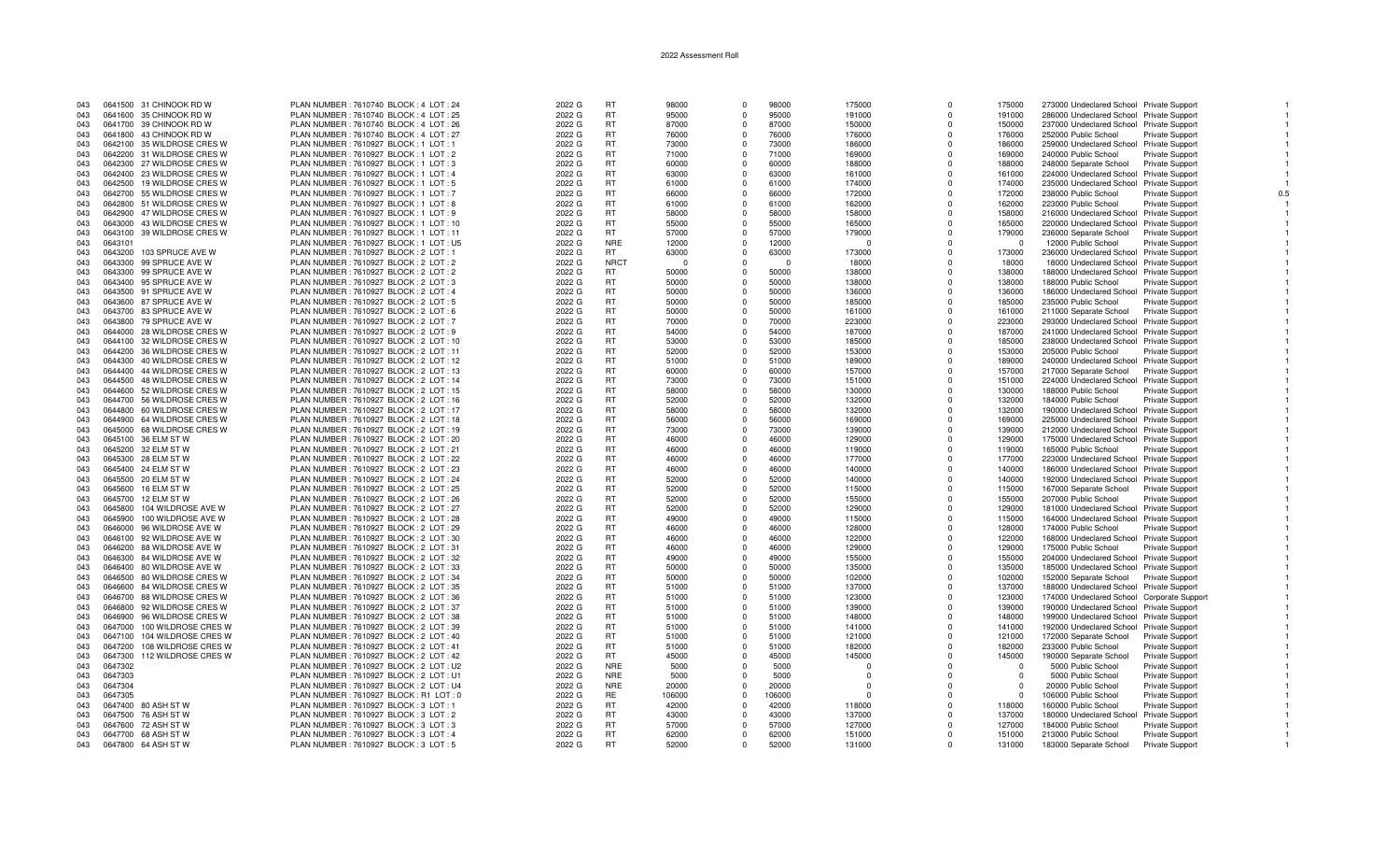| 043 | 0641500 31 CHINOOK RD W        | PLAN NUMBER : 7610740 BLOCK : 4 LOT : 24 | 2022 G | <b>RT</b>   | 98000      | $\Omega$    | 98000  | 175000   | $\Omega$    | 175000   | 273000 Undeclared School Private Support   |                        |  |
|-----|--------------------------------|------------------------------------------|--------|-------------|------------|-------------|--------|----------|-------------|----------|--------------------------------------------|------------------------|--|
| 043 | 0641600 35 CHINOOK RD W        | PLAN NUMBER : 7610740 BLOCK : 4 LOT : 25 | 2022 G | <b>RT</b>   | 95000      | $\Omega$    | 95000  | 191000   | $\Omega$    | 191000   | 286000 Undeclared School Private Support   |                        |  |
| 043 | 0641700 39 CHINOOK RD W        | PLAN NUMBER : 7610740 BLOCK : 4 LOT : 26 | 2022 G | <b>RT</b>   | 87000      | $\Omega$    | 87000  | 150000   | n           | 150000   | 237000 Undeclared School Private Support   |                        |  |
|     |                                |                                          |        | <b>RT</b>   |            |             |        |          |             |          |                                            |                        |  |
| 043 | 0641800 43 CHINOOK RD W        | PLAN NUMBER: 7610740 BLOCK: 4 LOT: 27    | 2022 G |             | 76000      | $\Omega$    | 76000  | 176000   | $\Omega$    | 176000   | 252000 Public School                       | Private Support        |  |
| 043 | 0642100 35 WILDROSE CRES W     | PLAN NUMBER: 7610927 BLOCK: 1 LOT: 1     | 2022 G | <b>RT</b>   | 73000      | $\Omega$    | 73000  | 186000   | $\Omega$    | 186000   | 259000 Undeclared School Private Support   |                        |  |
| 043 | 0642200 31 WILDROSE CRES W     | PLAN NUMBER: 7610927 BLOCK: 1 LOT: 2     | 2022 G | RT          | 71000      | $\Omega$    | 71000  | 169000   | $\Omega$    | 169000   | 240000 Public School                       | <b>Private Support</b> |  |
| 043 | 0642300 27 WILDROSE CRES W     | PLAN NUMBER: 7610927 BLOCK: 1 LOT: 3     | 2022 G | <b>RT</b>   | 60000      | $\Omega$    | 60000  | 188000   | $\Omega$    | 188000   | 248000 Separate School                     | Private Support        |  |
| 043 | 0642400 23 WILDROSE CRES W     | PLAN NUMBER : 7610927 BLOCK : 1 LOT : 4  | 2022 G | <b>RT</b>   | 63000      | $\Omega$    | 63000  | 161000   | $\Omega$    | 161000   | 224000 Undeclared School Private Support   |                        |  |
| 043 | 0642500 19 WILDROSE CRES W     | PLAN NUMBER: 7610927 BLOCK: 1 LOT: 5     | 2022 G | <b>RT</b>   | 61000      | $\Omega$    | 61000  | 174000   | $\Omega$    | 174000   | 235000 Undeclared School Private Support   |                        |  |
|     |                                |                                          |        |             |            | $\Omega$    |        |          |             |          |                                            |                        |  |
| 043 | 0642700 55 WILDROSE CRES W     | PLAN NUMBER: 7610927 BLOCK: 1 LOT: 7     | 2022 G | RT          | 66000      |             | 66000  | 172000   | $\Omega$    | 172000   | 238000 Public School                       | Private Support        |  |
| 043 | 0642800 51 WILDROSE CRES W     | PLAN NUMBER: 7610927 BLOCK: 1 LOT: 8     | 2022 G | <b>RT</b>   | 61000      | $\Omega$    | 61000  | 162000   | $\Omega$    | 162000   | 223000 Public School                       | Private Support        |  |
| 043 | 0642900 47 WILDROSE CRES W     | PLAN NUMBER: 7610927 BLOCK: 1 LOT: 9     | 2022 G | <b>RT</b>   | 58000      | $\Omega$    | 58000  | 158000   | $\Omega$    | 158000   | 216000 Undeclared School Private Support   |                        |  |
| 043 | 0643000<br>43 WILDROSE CRES W  | PLAN NUMBER : 7610927 BLOCK : 1 LOT : 10 | 2022 G | <b>RT</b>   | 55000      | $\Omega$    | 55000  | 165000   | $\Omega$    | 165000   | 220000 Undeclared School Private Support   |                        |  |
| 043 | 0643100 39 WILDROSE CRES W     | PLAN NUMBER: 7610927 BLOCK: 1 LOT: 11    | 2022 G | <b>RT</b>   | 57000      | $\Omega$    | 57000  | 179000   | $\Omega$    | 179000   | 236000 Separate School                     | <b>Private Support</b> |  |
| 043 | 0643101                        | PLAN NUMBER: 7610927 BLOCK: 1 LOT: U5    | 2022 G | <b>NRE</b>  | 12000      | $\Omega$    | 12000  | $\Omega$ | $\Omega$    | - 0      | 12000 Public School                        | Private Support        |  |
|     |                                |                                          |        |             |            |             |        |          |             |          |                                            |                        |  |
| 043 | 0643200<br>103 SPRUCE AVE W    | PLAN NUMBER : 7610927 BLOCK : 2 LOT : 1  | 2022 G | RT.         | 63000      | $\Omega$    | 63000  | 173000   | $\Omega$    | 173000   | 236000 Undeclared School Private Support   |                        |  |
| 043 | 0643300 99 SPRUCE AVE W        | PLAN NUMBER : 7610927 BLOCK : 2 LOT : 2  | 2022 G | <b>NRCT</b> | $\sqrt{ }$ | $\Omega$    | $\cap$ | 18000    | $\Omega$    | 18000    | 18000 Undeclared School Private Support    |                        |  |
| 043 | 0643300 99 SPRUCE AVE W        | PLAN NUMBER : 7610927 BLOCK : 2 LOT : 2  | 2022 G | <b>RT</b>   | 50000      | $\Omega$    | 50000  | 138000   | $\Omega$    | 138000   | 188000 Undeclared School Private Support   |                        |  |
| 043 | 0643400 95 SPRUCE AVE W        | PLAN NUMBER : 7610927 BLOCK : 2 LOT : 3  | 2022 G | <b>RT</b>   | 50000      | $\Omega$    | 50000  | 138000   | $\Omega$    | 138000   | 188000 Public School                       | <b>Private Support</b> |  |
| 043 | 0643500 91 SPRUCE AVE W        | PLAN NUMBER : 7610927 BLOCK : 2 LOT : 4  | 2022 G | RT          | 50000      | $\Omega$    | 50000  | 136000   | $\Omega$    | 136000   | 186000 Undeclared School Private Support   |                        |  |
| 043 | 0643600 87 SPRUCE AVE W        | PLAN NUMBER: 7610927 BLOCK: 2 LOT: 5     | 2022 G | <b>RT</b>   | 50000      | $\Omega$    | 50000  | 185000   | $\Omega$    | 185000   | 235000 Public School                       | Private Support        |  |
|     |                                |                                          |        |             |            | $\Omega$    |        |          | $\Omega$    |          |                                            |                        |  |
| 043 | 0643700 83 SPRUCE AVE W        | PLAN NUMBER : 7610927 BLOCK : 2 LOT : 6  | 2022 G | RT          | 50000      |             | 50000  | 161000   |             | 161000   | 211000 Separate School                     | Private Support        |  |
| 043 | 0643800 79 SPRUCE AVE W        | PLAN NUMBER : 7610927 BLOCK : 2 LOT : 7  | 2022 G | <b>RT</b>   | 70000      | $\Omega$    | 70000  | 223000   | $\Omega$    | 223000   | 293000 Undeclared School Private Support   |                        |  |
| 043 | 0644000 28 WILDROSE CRES W     | PLAN NUMBER: 7610927 BLOCK: 2 LOT: 9     | 2022 G | <b>RT</b>   | 54000      | $\Omega$    | 54000  | 187000   | $\Omega$    | 187000   | 241000 Undeclared School Private Support   |                        |  |
| 043 | 0644100 32 WILDROSE CRES W     | PLAN NUMBER: 7610927 BLOCK: 2 LOT: 10    | 2022 G | <b>RT</b>   | 53000      | $\Omega$    | 53000  | 185000   | $\Omega$    | 185000   | 238000 Undeclared School Private Support   |                        |  |
| 043 | 0644200 36 WILDROSE CRES W     | PLAN NUMBER: 7610927 BLOCK: 2 LOT: 11    | 2022 G | RT          | 52000      | $\Omega$    | 52000  | 153000   | $\Omega$    | 153000   | 205000 Public School                       | Private Support        |  |
| 043 | 0644300 40 WILDROSE CRES W     | PLAN NUMBER : 7610927 BLOCK : 2 LOT : 12 | 2022 G | RT          | 51000      | $\mathbf 0$ | 51000  | 189000   | $\Omega$    | 189000   | 240000 Undeclared School Private Support   |                        |  |
|     | 0644400<br>44 WILDROSE CRES W  | PLAN NUMBER : 7610927 BLOCK : 2 LOT : 13 | 2022 G | <b>RT</b>   | 60000      | $\Omega$    | 60000  | 157000   | $\Omega$    | 157000   |                                            |                        |  |
| 043 |                                |                                          |        |             |            |             |        |          |             |          | 217000 Separate School                     | Private Support        |  |
| 043 | 0644500<br>48 WILDROSE CRES W  | PLAN NUMBER : 7610927 BLOCK : 2 LOT : 14 | 2022 G | <b>RT</b>   | 73000      | $\Omega$    | 73000  | 151000   | $\Omega$    | 151000   | 224000 Undeclared School Private Support   |                        |  |
| 043 | 0644600 52 WILDROSE CRES W     | PLAN NUMBER : 7610927 BLOCK : 2 LOT : 15 | 2022 G | <b>RT</b>   | 58000      | $\Omega$    | 58000  | 130000   | $\Omega$    | 130000   | 188000 Public School                       | <b>Private Support</b> |  |
| 043 | 0644700 56 WILDROSE CRES W     | PLAN NUMBER: 7610927 BLOCK: 2 LOT: 16    | 2022 G | <b>RT</b>   | 52000      | $\Omega$    | 52000  | 132000   | $\Omega$    | 132000   | 184000 Public School                       | Private Support        |  |
| 043 | 0644800 60 WILDROSE CRES W     | PLAN NUMBER: 7610927 BLOCK: 2 LOT: 17    | 2022 G | <b>RT</b>   | 58000      | $\Omega$    | 58000  | 132000   | $\Omega$    | 132000   | 190000 Undeclared School Private Support   |                        |  |
| 043 | 0644900 64 WILDROSE CRES W     | PLAN NUMBER : 7610927 BLOCK : 2 LOT : 18 | 2022 G | <b>RT</b>   | 56000      | $\Omega$    | 56000  | 169000   | $\Omega$    | 169000   | 225000 Undeclared School Private Support   |                        |  |
| 043 | 0645000 68 WILDROSE CRES W     | PLAN NUMBER : 7610927 BLOCK : 2 LOT : 19 | 2022 G | <b>RT</b>   | 73000      | $\Omega$    | 73000  | 139000   | $\Omega$    | 139000   |                                            |                        |  |
|     |                                |                                          |        |             |            |             |        |          |             |          | 212000 Undeclared School Private Support   |                        |  |
| 043 | 0645100 36 ELM ST W            | PLAN NUMBER : 7610927 BLOCK : 2 LOT : 20 | 2022 G | <b>RT</b>   | 46000      | $\Omega$    | 46000  | 129000   | $\Omega$    | 129000   | 175000 Undeclared School Private Support   |                        |  |
| 043 | 0645200 32 ELM ST W            | PLAN NUMBER : 7610927 BLOCK : 2 LOT : 21 | 2022 G | <b>RT</b>   | 46000      | $\Omega$    | 46000  | 119000   | $\Omega$    | 119000   | 165000 Public School                       | Private Support        |  |
| 043 | 0645300 28 ELM ST W            | PLAN NUMBER : 7610927 BLOCK : 2 LOT : 22 | 2022 G | <b>RT</b>   | 46000      | $\Omega$    | 46000  | 177000   | $\Omega$    | 177000   | 223000 Undeclared School Private Support   |                        |  |
| 043 | 0645400 24 ELM ST W            | PLAN NUMBER : 7610927 BLOCK : 2 LOT : 23 | 2022 G | <b>RT</b>   | 46000      | $\Omega$    | 46000  | 140000   | $\Omega$    | 140000   | 186000 Undeclared School Private Support   |                        |  |
| 043 | 0645500<br>20 ELM ST W         | PLAN NUMBER : 7610927 BLOCK : 2 LOT : 24 | 2022 G | <b>RT</b>   | 52000      | $\Omega$    | 52000  | 140000   | $\Omega$    | 140000   | 192000 Undeclared School Private Support   |                        |  |
| 043 | 0645600<br>16 ELM ST W         |                                          | 2022 G | <b>RT</b>   | 52000      | $\Omega$    | 52000  |          | $\Omega$    | 115000   |                                            |                        |  |
|     |                                | PLAN NUMBER : 7610927 BLOCK : 2 LOT : 25 |        |             |            |             |        | 115000   |             |          | 167000 Separate School                     | Private Support        |  |
| 043 | 0645700 12 ELM ST W            | PLAN NUMBER : 7610927 BLOCK : 2 LOT : 26 | 2022 G | <b>RT</b>   | 52000      | $\Omega$    | 52000  | 155000   | $\Omega$    | 155000   | 207000 Public School                       | <b>Private Support</b> |  |
| 043 | 0645800<br>104 WILDROSE AVE W  | PLAN NUMBER: 7610927 BLOCK: 2 LOT: 27    | 2022 G | <b>RT</b>   | 52000      | $\Omega$    | 52000  | 129000   | $\Omega$    | 129000   | 181000 Undeclared School Private Support   |                        |  |
| 043 | 0645900<br>100 WILDROSE AVE W  | PLAN NUMBER : 7610927 BLOCK : 2 LOT : 28 | 2022 G | <b>RT</b>   | 49000      | $\Omega$    | 49000  | 115000   | $\mathbf 0$ | 115000   | 164000 Undeclared School Private Support   |                        |  |
| 043 | 0646000<br>96 WILDROSE AVE W   | PLAN NUMBER : 7610927 BLOCK : 2 LOT : 29 | 2022 G | <b>RT</b>   | 46000      | $\Omega$    | 46000  | 128000   | $\Omega$    | 128000   | 174000 Public School                       | Private Support        |  |
| 043 | 0646100 92 WILDROSE AVE W      | PLAN NUMBER : 7610927 BLOCK : 2 LOT : 30 | 2022 G | <b>RT</b>   | 46000      | $\Omega$    | 46000  | 122000   | $\Omega$    | 122000   | 168000 Undeclared School Private Support   |                        |  |
| 043 | 0646200 88 WILDROSE AVE W      | PLAN NUMBER: 7610927 BLOCK: 2 LOT: 31    | 2022 G | <b>RT</b>   | 46000      | $\Omega$    | 46000  | 129000   | $\Omega$    | 129000   | 175000 Public School                       | <b>Private Support</b> |  |
|     |                                |                                          |        |             |            |             |        |          |             |          |                                            |                        |  |
| 043 | 0646300<br>84 WILDROSE AVE W   | PLAN NUMBER : 7610927 BLOCK : 2 LOT : 32 | 2022 G | <b>RT</b>   | 49000      | $\Omega$    | 49000  | 155000   | $\Omega$    | 155000   | 204000 Undeclared School Private Support   |                        |  |
| 043 | 0646400 80 WILDROSE AVE W      | PLAN NUMBER : 7610927 BLOCK : 2 LOT : 33 | 2022 G | <b>RT</b>   | 50000      | $\Omega$    | 50000  | 135000   | $\Omega$    | 135000   | 185000 Undeclared School Private Support   |                        |  |
| 043 | 0646500 80 WILDROSE CRES W     | PLAN NUMBER: 7610927 BLOCK: 2 LOT: 34    | 2022 G | RT          | 50000      | $\Omega$    | 50000  | 102000   | $\Omega$    | 102000   | 152000 Separate School                     | <b>Private Support</b> |  |
| 043 | 0646600 84 WILDROSE CRES W     | PLAN NUMBER : 7610927 BLOCK : 2 LOT : 35 | 2022 G | <b>RT</b>   | 51000      | $\Omega$    | 51000  | 137000   | $\Omega$    | 137000   | 188000 Undeclared School Private Support   |                        |  |
| 043 | 0646700<br>88 WILDROSE CRES W  | PLAN NUMBER : 7610927 BLOCK : 2 LOT : 36 | 2022 G | <b>RT</b>   | 51000      | $\Omega$    | 51000  | 123000   | $\Omega$    | 123000   | 174000 Undeclared School Corporate Support |                        |  |
| 043 | 0646800<br>92 WILDROSE CRES W  | PLAN NUMBER: 7610927 BLOCK: 2 LOT: 37    | 2022 G | <b>RT</b>   | 51000      | $\Omega$    | 51000  | 139000   | $\Omega$    | 139000   | 190000 Undeclared School Private Support   |                        |  |
|     |                                |                                          |        |             |            |             |        |          |             |          |                                            |                        |  |
| 043 | 0646900 96 WILDROSE CRES W     | PLAN NUMBER: 7610927 BLOCK: 2 LOT: 38    | 2022 G | <b>RT</b>   | 51000      | $\Omega$    | 51000  | 148000   | $\Omega$    | 148000   | 199000 Undeclared School Private Support   |                        |  |
| 043 | 0647000<br>100 WILDROSE CRES W | PLAN NUMBER : 7610927 BLOCK : 2 LOT : 39 | 2022 G | <b>RT</b>   | 51000      | $^{\circ}$  | 51000  | 141000   | $\mathbf 0$ | 141000   | 192000 Undeclared School Private Support   |                        |  |
| 043 | 104 WILDROSE CRES W<br>0647100 | PLAN NUMBER : 7610927 BLOCK : 2 LOT : 40 | 2022 G | <b>RT</b>   | 51000      | $\Omega$    | 51000  | 121000   | $\Omega$    | 121000   | 172000 Separate School                     | <b>Private Support</b> |  |
| 043 | 0647200<br>108 WILDROSE CRES W | PLAN NUMBER: 7610927 BLOCK: 2 LOT: 41    | 2022 G | <b>RT</b>   | 51000      | $\Omega$    | 51000  | 182000   | $\Omega$    | 182000   | 233000 Public School                       | Private Support        |  |
| 043 | 112 WILDROSE CRES W<br>0647300 | PLAN NUMBER : 7610927 BLOCK : 2 LOT : 42 | 2022 G | <b>RT</b>   | 45000      | $\Omega$    | 45000  | 145000   | $\Omega$    | 145000   | 190000 Separate School                     | Private Support        |  |
| 043 | 0647302                        | PLAN NUMBER : 7610927 BLOCK : 2 LOT : U2 | 2022 G | <b>NRE</b>  | 5000       | $\Omega$    | 5000   | $\Omega$ | $\Omega$    | $\Omega$ | 5000 Public School                         | Private Support        |  |
|     |                                |                                          |        | <b>NRE</b>  |            | $\Omega$    |        | $\Omega$ | $\Omega$    |          |                                            |                        |  |
| 043 | 0647303                        | PLAN NUMBER: 7610927 BLOCK: 2 LOT: U1    | 2022 G |             | 5000       |             | 5000   |          |             |          | 5000 Public School                         | Private Support        |  |
| 043 | 0647304                        | PLAN NUMBER : 7610927 BLOCK : 2 LOT : U4 | 2022 G | <b>NRE</b>  | 20000      | $\Omega$    | 20000  | $\Omega$ | $\Omega$    | $\cap$   | 20000 Public School                        | Private Support        |  |
| 043 | 0647305                        | PLAN NUMBER: 7610927 BLOCK: R1 LOT: 0    | 2022 G | RE.         | 106000     | $\Omega$    | 106000 | $\Omega$ | $\Omega$    | $\Omega$ | 106000 Public School                       | <b>Private Support</b> |  |
| 043 | 0647400<br>80 ASH ST W         | PLAN NUMBER: 7610927 BLOCK: 3 LOT: 1     | 2022 G | RT          | 42000      | $\Omega$    | 42000  | 118000   | $\Omega$    | 118000   | 160000 Public School                       | Private Support        |  |
| 043 | 0647500 76 ASH ST W            | PLAN NUMBER: 7610927 BLOCK: 3 LOT: 2     | 2022 G | <b>RT</b>   | 43000      | $\Omega$    | 43000  | 137000   | $\Omega$    | 137000   | 180000 Undeclared School                   | <b>Private Support</b> |  |
| 043 | 0647600 72 ASH ST W            | PLAN NUMBER: 7610927 BLOCK: 3 LOT: 3     | 2022 G | RT          | 57000      | $\Omega$    | 57000  | 127000   | $\Omega$    | 127000   | 184000 Public School                       | Private Support        |  |
| 043 | 0647700 68 ASH ST W            | PLAN NUMBER: 7610927 BLOCK: 3 LOT: 4     | 2022 G | <b>RT</b>   | 62000      | $\Omega$    | 62000  | 151000   | $\Omega$    | 151000   | 213000 Public School                       |                        |  |
|     |                                |                                          |        |             |            |             |        |          |             |          |                                            | Private Support        |  |
| 043 | 0647800 64 ASH ST W            | PLAN NUMBER: 7610927 BLOCK: 3 LOT: 5     | 2022 G | <b>RT</b>   | 52000      | $\Omega$    | 52000  | 131000   | $\Omega$    | 131000   | 183000 Separate School                     | <b>Private Support</b> |  |

 $\overline{1}$ 

 $\overline{1}$ 

 $\overline{1}$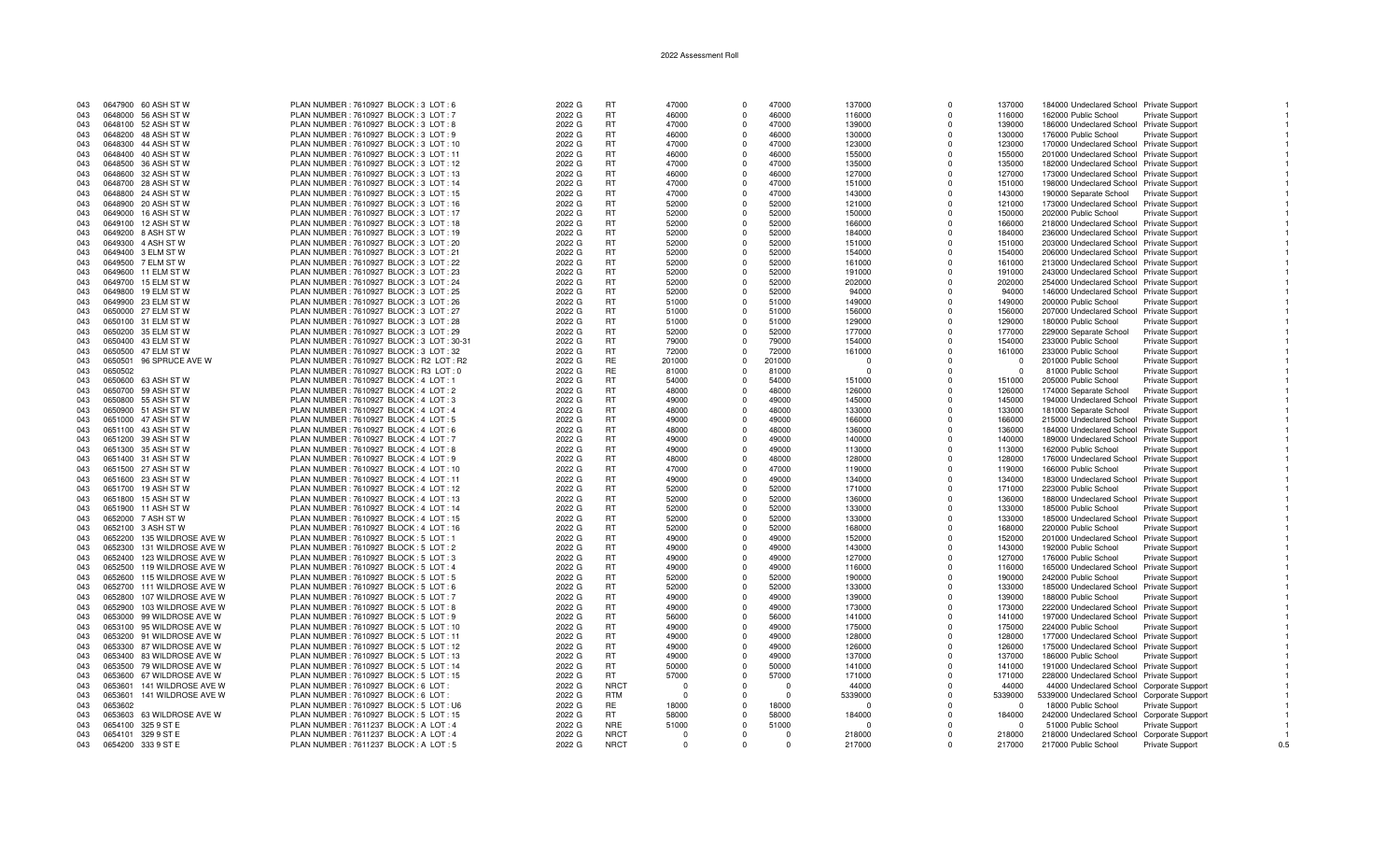| 043        | 0647900 60 ASH ST W                        | PLAN NUMBER: 7610927 BLOCK: 3 LOT: 6                                                 | 2022 G           | <b>RT</b>   | 47000    | $\Omega$     | 47000    | 137000           | $\Omega$    | 137000   | 184000 Undeclared School Private Support                                             |                        |     |
|------------|--------------------------------------------|--------------------------------------------------------------------------------------|------------------|-------------|----------|--------------|----------|------------------|-------------|----------|--------------------------------------------------------------------------------------|------------------------|-----|
| 043        | 0648000 56 ASH ST W                        | PLAN NUMBER : 7610927 BLOCK : 3 LOT : 7                                              | 2022 G           | RT          | 46000    | $\Omega$     | 46000    | 116000           | $\Omega$    | 116000   | 162000 Public School                                                                 | Private Support        |     |
| 043        | 0648100 52 ASH ST W                        | PLAN NUMBER: 7610927 BLOCK: 3 LOT: 8                                                 | 2022 G           | <b>RT</b>   | 47000    | $\Omega$     | 47000    | 139000           | $\Omega$    | 139000   | 186000 Undeclared School Private Support                                             |                        |     |
| 043        | 0648200 48 ASH ST W                        | PLAN NUMBER : 7610927 BLOCK : 3 LOT : 9                                              | 2022 G           | RT          | 46000    | $\Omega$     | 46000    | 130000           | $\Omega$    | 130000   | 176000 Public School                                                                 | Private Support        |     |
| 043        | 0648300 44 ASH ST W                        | PLAN NUMBER : 7610927 BLOCK : 3 LOT : 10                                             | 2022 G           | <b>RT</b>   | 47000    | $\Omega$     | 47000    | 123000           | $\Omega$    | 123000   | 170000 Undeclared School Private Support                                             |                        |     |
| 043        | 0648400 40 ASH ST W                        | PLAN NUMBER : 7610927 BLOCK : 3 LOT : 11                                             | 2022 G           | <b>RT</b>   | 46000    | $\Omega$     | 46000    | 155000           | $\Omega$    | 155000   | 201000 Undeclared School Private Support                                             |                        |     |
| 043        | 0648500 36 ASH ST W                        | PLAN NUMBER : 7610927 BLOCK : 3 LOT : 12                                             | 2022 G           | <b>RT</b>   | 47000    | $\Omega$     | 47000    | 135000           | $\Omega$    | 135000   | 182000 Undeclared School Private Support                                             |                        |     |
| 043        | 0648600 32 ASH ST W                        | PLAN NUMBER : 7610927 BLOCK : 3 LOT : 13                                             | 2022 G           | <b>RT</b>   | 46000    | $\Omega$     | 46000    | 127000           | $\Omega$    | 127000   | 173000 Undeclared School Private Support                                             |                        |     |
| 043        | 0648700 28 ASH ST W                        | PLAN NUMBER: 7610927 BLOCK: 3 LOT: 14                                                | 2022 G           | <b>RT</b>   | 47000    | $\Omega$     | 47000    | 151000           | $\Omega$    | 151000   | 198000 Undeclared School Private Support                                             |                        |     |
| 043        | 0648800 24 ASH ST W                        | PLAN NUMBER : 7610927 BLOCK : 3 LOT : 15                                             | 2022 G           | <b>RT</b>   | 47000    | $\Omega$     | 47000    | 143000           | $\Omega$    | 143000   | 190000 Separate School                                                               | <b>Private Support</b> |     |
| 043        | 0648900 20 ASH ST W                        | PLAN NUMBER: 7610927 BLOCK: 3 LOT: 16                                                | 2022 G           | <b>RT</b>   | 52000    | $\Omega$     | 52000    | 121000           | $\Omega$    | 121000   | 173000 Undeclared School Private Support                                             |                        |     |
| 043        | 0649000 16 ASH ST W                        | PLAN NUMBER: 7610927 BLOCK: 3 LOT: 17                                                | 2022 G           | <b>RT</b>   | 52000    | $\Omega$     | 52000    | 150000           | $\Omega$    | 150000   | 202000 Public School                                                                 | Private Support        |     |
| 043        | 0649100 12 ASH ST W                        | PLAN NUMBER: 7610927 BLOCK: 3 LOT: 18                                                | 2022 G           | <b>RT</b>   | 52000    | $\mathbf{0}$ | 52000    | 166000           | $\mathbf 0$ | 166000   | 218000 Undeclared School Private Support                                             |                        |     |
| 043        | 0649200 8 ASH ST W                         | PLAN NUMBER: 7610927 BLOCK: 3 LOT: 19                                                | 2022 G           | RT          | 52000    | $\Omega$     | 52000    | 184000           | $\Omega$    | 184000   | 236000 Undeclared School Private Support                                             |                        |     |
|            |                                            |                                                                                      |                  | <b>RT</b>   | 52000    | $\Omega$     | 52000    |                  | $\Omega$    | 151000   |                                                                                      |                        |     |
| 043<br>043 | 0649300 4 ASH ST W<br>0649400 3 ELM ST W   | PLAN NUMBER : 7610927 BLOCK : 3 LOT : 20<br>PLAN NUMBER : 7610927 BLOCK : 3 LOT : 21 | 2022 G<br>2022 G | <b>RT</b>   | 52000    | $\Omega$     | 52000    | 151000<br>154000 | $\Omega$    | 154000   | 203000 Undeclared School Private Support<br>206000 Undeclared School Private Support |                        |     |
| 043        | 0649500 7 ELM ST W                         | PLAN NUMBER : 7610927 BLOCK : 3 LOT : 22                                             | 2022 G           | <b>RT</b>   | 52000    | $\Omega$     | 52000    | 161000           | $\Omega$    | 161000   |                                                                                      |                        |     |
|            |                                            |                                                                                      |                  | <b>RT</b>   | 52000    | $\Omega$     | 52000    |                  | $\Omega$    |          | 213000 Undeclared School Private Support                                             |                        |     |
| 043        | 0649600 11 ELM ST W<br>0649700 15 ELM ST W | PLAN NUMBER : 7610927 BLOCK : 3 LOT : 23                                             | 2022 G           | <b>RT</b>   |          | $\Omega$     | 52000    | 191000           | $\Omega$    | 191000   | 243000 Undeclared School Private Support                                             |                        |     |
| 043        |                                            | PLAN NUMBER: 7610927 BLOCK: 3 LOT: 24                                                | 2022 G           |             | 52000    |              |          | 202000           |             | 202000   | 254000 Undeclared School Private Support                                             |                        |     |
| 043        | 0649800<br>19 ELM ST W                     | PLAN NUMBER: 7610927 BLOCK: 3 LOT: 25                                                | 2022 G           | <b>RT</b>   | 52000    | $\Omega$     | 52000    | 94000            | $\Omega$    | 94000    | 146000 Undeclared School Private Support                                             |                        |     |
| 043        | 0649900 23 ELM ST W                        | PLAN NUMBER: 7610927 BLOCK: 3 LOT: 26                                                | 2022 G           | <b>RT</b>   | 51000    | $\Omega$     | 51000    | 149000           | $\Omega$    | 149000   | 200000 Public School                                                                 | Private Support        |     |
| 043        | 0650000 27 ELM ST W                        | PLAN NUMBER: 7610927 BLOCK: 3 LOT: 27                                                | 2022 G           | RT          | 51000    | $\Omega$     | 51000    | 156000           | $\Omega$    | 156000   | 207000 Undeclared School Private Support                                             |                        |     |
| 043        | 0650100 31 ELM ST W                        | PLAN NUMBER : 7610927 BLOCK : 3 LOT : 28                                             | 2022 G           | <b>RT</b>   | 51000    | $\Omega$     | 51000    | 129000           | $\Omega$    | 129000   | 180000 Public School                                                                 | Private Support        |     |
| 043        | 0650200 35 ELM ST W                        | PLAN NUMBER: 7610927 BLOCK: 3 LOT: 29                                                | 2022 G           | <b>RT</b>   | 52000    | $\Omega$     | 52000    | 177000           | $\Omega$    | 177000   | 229000 Separate School                                                               | Private Support        |     |
| 043        | 0650400 43 ELM ST W                        | PLAN NUMBER : 7610927 BLOCK : 3 LOT : 30-31                                          | 2022 G           | <b>RT</b>   | 79000    | $\Omega$     | 79000    | 154000           | $\Omega$    | 154000   | 233000 Public School                                                                 | Private Support        |     |
| 043        | 0650500 47 ELM ST W                        | PLAN NUMBER: 7610927 BLOCK: 3 LOT: 32                                                | 2022 G           | <b>RT</b>   | 72000    | $\Omega$     | 72000    | 161000           | $\Omega$    | 161000   | 233000 Public School                                                                 | <b>Private Support</b> |     |
| 043        | 0650501<br>96 SPRUCE AVE W                 | PLAN NUMBER: 7610927 BLOCK: R2 LOT: R2                                               | 2022 G           | <b>RE</b>   | 201000   | $\Omega$     | 201000   | $\Omega$         | $\Omega$    | $\Omega$ | 201000 Public School                                                                 | <b>Private Support</b> |     |
| 043        | 0650502                                    | PLAN NUMBER: 7610927 BLOCK: R3 LOT: 0                                                | 2022 G           | <b>RE</b>   | 81000    | $\Omega$     | 81000    | $\Omega$         | $\Omega$    | $\Omega$ | 81000 Public School                                                                  | <b>Private Support</b> |     |
| 043        | 0650600 63 ASH ST W                        | PLAN NUMBER: 7610927 BLOCK: 4 LOT: 1                                                 | 2022 G           | <b>RT</b>   | 54000    | $\Omega$     | 54000    | 151000           | $\Omega$    | 151000   | 205000 Public School                                                                 | Private Support        |     |
| 043        | 0650700 59 ASH ST W                        | PLAN NUMBER: 7610927 BLOCK: 4 LOT: 2                                                 | 2022 G           | <b>RT</b>   | 48000    | $\Omega$     | 48000    | 126000           | $\Omega$    | 126000   | 174000 Separate School                                                               | Private Support        |     |
| 043        | 0650800 55 ASH ST W                        | PLAN NUMBER: 7610927 BLOCK: 4 LOT: 3                                                 | 2022 G           | <b>RT</b>   | 49000    | $\Omega$     | 49000    | 145000           | $\Omega$    | 145000   | 194000 Undeclared School Private Support                                             |                        |     |
| 043        | 0650900 51 ASH ST W                        | PLAN NUMBER: 7610927 BLOCK: 4 LOT: 4                                                 | 2022 G           | <b>RT</b>   | 48000    | $\Omega$     | 48000    | 133000           | $\Omega$    | 133000   | 181000 Separate School                                                               | Private Support        |     |
| 043        | 0651000 47 ASH ST W                        | PLAN NUMBER: 7610927 BLOCK: 4 LOT: 5                                                 | 2022 G           | <b>RT</b>   | 49000    | $\mathbf{0}$ | 49000    | 166000           | $\Omega$    | 166000   | 215000 Undeclared School Private Support                                             |                        |     |
| 043        | 0651100 43 ASH ST W                        | PLAN NUMBER : 7610927 BLOCK : 4 LOT : 6                                              | 2022 G           | RT          | 48000    | $\mathbf{0}$ | 48000    | 136000           | $^{\circ}$  | 136000   | 184000 Undeclared School Private Support                                             |                        |     |
| 043        | 0651200 39 ASH ST W                        | PLAN NUMBER: 7610927 BLOCK: 4 LOT: 7                                                 | 2022 G           | <b>RT</b>   | 49000    | $\Omega$     | 49000    | 140000           | $\Omega$    | 140000   | 189000 Undeclared School Private Support                                             |                        |     |
| 043        | 0651300 35 ASH ST W                        | PLAN NUMBER : 7610927 BLOCK : 4 LOT : 8                                              | 2022 G           | <b>RT</b>   | 49000    | $\Omega$     | 49000    | 113000           | $\Omega$    | 113000   | 162000 Public School                                                                 | <b>Private Support</b> |     |
| 043        | 0651400 31 ASH ST W                        | PLAN NUMBER : 7610927 BLOCK : 4 LOT : 9                                              | 2022 G           | <b>RT</b>   | 48000    | $\Omega$     | 48000    | 128000           | $\Omega$    | 128000   | 176000 Undeclared School Private Support                                             |                        |     |
| 043        | 0651500 27 ASH ST W                        | PLAN NUMBER : 7610927 BLOCK : 4 LOT : 10                                             | 2022 G           | <b>RT</b>   | 47000    | $\Omega$     | 47000    | 119000           | $\Omega$    | 119000   | 166000 Public School                                                                 | <b>Private Support</b> |     |
| 043        | 0651600 23 ASH ST W                        | PLAN NUMBER: 7610927 BLOCK: 4 LOT: 11                                                | 2022 G           | <b>RT</b>   | 49000    | $\Omega$     | 49000    | 134000           | $\Omega$    | 134000   | 183000 Undeclared School Private Support                                             |                        |     |
| 043        | 0651700 19 ASH ST W                        | PLAN NUMBER : 7610927 BLOCK : 4 LOT : 12                                             | 2022 G           | <b>RT</b>   | 52000    | $\Omega$     | 52000    | 171000           | $\Omega$    | 171000   | 223000 Public School                                                                 | Private Support        |     |
| 043        | 0651800 15 ASH ST W                        | PLAN NUMBER: 7610927 BLOCK: 4 LOT: 13                                                | 2022 G           | <b>RT</b>   | 52000    | $\Omega$     | 52000    | 136000           | $\Omega$    | 136000   | 188000 Undeclared School Private Support                                             |                        |     |
| 043        | 0651900 11 ASH ST W                        | PLAN NUMBER : 7610927 BLOCK : 4 LOT : 14                                             | 2022 G           | <b>RT</b>   | 52000    | $\mathbf{0}$ | 52000    | 133000           | $^{\circ}$  | 133000   | 185000 Public School                                                                 | <b>Private Support</b> |     |
| 043        | 0652000 7 ASH ST W                         | PLAN NUMBER: 7610927 BLOCK: 4 LOT: 15                                                | 2022 G           | <b>RT</b>   | 52000    | $\Omega$     | 52000    | 133000           | $\Omega$    | 133000   | 185000 Undeclared School Private Support                                             |                        |     |
| 043        | 0652100 3 ASH ST W                         | PLAN NUMBER: 7610927 BLOCK: 4 LOT: 16                                                | 2022 G           | <b>RT</b>   | 52000    | $\Omega$     | 52000    | 168000           | $\Omega$    | 168000   | 220000 Public School                                                                 | <b>Private Support</b> |     |
| 043        | 0652200 135 WILDROSE AVE W                 | PLAN NUMBER : 7610927 BLOCK : 5 LOT : 1                                              | 2022 G           | <b>RT</b>   | 49000    | $\Omega$     | 49000    | 152000           | $\Omega$    | 152000   | 201000 Undeclared School Private Support                                             |                        |     |
| 043        | 131 WILDROSE AVE W<br>0652300              | PLAN NUMBER : 7610927 BLOCK : 5 LOT : 2                                              | 2022 G           | <b>RT</b>   | 49000    | $\Omega$     | 49000    | 143000           | $\Omega$    | 143000   | 192000 Public School                                                                 | <b>Private Support</b> |     |
| 043        | 0652400 123 WILDROSE AVE W                 | PLAN NUMBER : 7610927 BLOCK : 5 LOT : 3                                              | 2022 G           | <b>RT</b>   | 49000    | $\Omega$     | 49000    | 127000           | $\Omega$    | 127000   | 176000 Public School                                                                 | <b>Private Support</b> |     |
| 043        | 0652500 119 WILDROSE AVE W                 | PLAN NUMBER : 7610927 BLOCK : 5 LOT : 4                                              | 2022 G           | <b>RT</b>   | 49000    | $\Omega$     | 49000    | 116000           | $\Omega$    | 116000   | 165000 Undeclared School Private Support                                             |                        |     |
| 043        | 0652600 115 WILDROSE AVE W                 | PLAN NUMBER : 7610927 BLOCK : 5 LOT : 5                                              | 2022 G           | <b>RT</b>   | 52000    | $\Omega$     | 52000    | 190000           | $\Omega$    | 190000   | 242000 Public School                                                                 | <b>Private Support</b> |     |
| 043        | 0652700 111 WILDROSE AVE W                 | PLAN NUMBER : 7610927 BLOCK : 5 LOT : 6                                              | 2022 G           | <b>RT</b>   | 52000    | $\mathbf{0}$ | 52000    | 133000           | $\Omega$    | 133000   | 185000 Undeclared School Private Support                                             |                        |     |
| 043        | 0652800 107 WILDROSE AVE W                 | PLAN NUMBER : 7610927 BLOCK : 5 LOT : 7                                              | 2022 G           | <b>RT</b>   | 49000    | $\Omega$     | 49000    | 139000           | $\Omega$    | 139000   | 188000 Public School                                                                 | Private Support        |     |
| 043        | 0652900<br>103 WILDROSE AVE W              | PLAN NUMBER : 7610927 BLOCK : 5 LOT : 8                                              | 2022 G           | <b>RT</b>   | 49000    | $\Omega$     | 49000    | 173000           | $\Omega$    | 173000   | 222000 Undeclared School Private Support                                             |                        |     |
| 043        | 0653000 99 WILDROSE AVE W                  | PLAN NUMBER : 7610927 BLOCK : 5 LOT : 9                                              | 2022 G           | <b>RT</b>   | 56000    | $\Omega$     | 56000    | 141000           | $\Omega$    | 141000   | 197000 Undeclared School Private Support                                             |                        |     |
| 043        | 0653100 95 WILDROSE AVE W                  | PLAN NUMBER : 7610927 BLOCK : 5 LOT : 10                                             | 2022 G           | <b>RT</b>   | 49000    | $\mathbf{0}$ | 49000    | 175000           | $^{\circ}$  | 175000   | 224000 Public School                                                                 | <b>Private Support</b> |     |
| 043        | 0653200 91 WILDROSE AVE W                  | PLAN NUMBER : 7610927 BLOCK : 5 LOT : 11                                             | 2022 G           | <b>RT</b>   | 49000    | $\Omega$     | 49000    | 128000           | $\Omega$    | 128000   | 177000 Undeclared School Private Support                                             |                        |     |
| 043        | 0653300 87 WILDROSE AVE W                  | PLAN NUMBER: 7610927 BLOCK: 5 LOT: 12                                                | 2022 G           | <b>RT</b>   | 49000    | $\Omega$     | 49000    | 126000           | $\Omega$    | 126000   | 175000 Undeclared School Private Support                                             |                        |     |
| 043        | 0653400 83 WILDROSE AVE W                  | PLAN NUMBER: 7610927 BLOCK: 5 LOT: 13                                                | 2022 G           | <b>RT</b>   | 49000    | $\Omega$     | 49000    | 137000           | $\Omega$    | 137000   | 186000 Public School                                                                 | Private Support        |     |
| 043        | 0653500 79 WILDROSE AVE W                  | PLAN NUMBER : 7610927 BLOCK : 5 LOT : 14                                             | 2022 G           | <b>RT</b>   | 50000    | $\Omega$     | 50000    | 141000           | $\Omega$    | 141000   | 191000 Undeclared School Private Support                                             |                        |     |
| 043        | 0653600 67 WILDROSE AVE W                  | PLAN NUMBER : 7610927 BLOCK : 5 LOT : 15                                             | 2022 G           | <b>RT</b>   | 57000    | $\Omega$     | 57000    | 171000           | $\Omega$    | 171000   | 228000 Undeclared School Private Support                                             |                        |     |
| 043        | 0653601<br>141 WILDROSE AVE W              | PLAN NUMBER: 7610927 BLOCK: 6 LOT:                                                   | 2022 G           | <b>NRCT</b> | $\Omega$ | $\Omega$     | $\cap$   | 44000            | $\Omega$    | 44000    | 44000 Undeclared School Corporate Support                                            |                        |     |
| 043        | 0653601<br>141 WILDROSE AVE W              | PLAN NUMBER: 7610927 BLOCK: 6 LOT:                                                   | 2022 G           | <b>RTM</b>  | $\Omega$ | $\Omega$     | $\Omega$ | 5339000          | $\Omega$    | 5339000  | 5339000 Undeclared School Corporate Support                                          |                        |     |
| 043        | 0653602                                    | PLAN NUMBER: 7610927 BLOCK: 5 LOT: U6                                                | 2022 G           | RE          | 18000    | $\mathbf{0}$ | 18000    | $\Omega$         | $^{\circ}$  | $\Omega$ | 18000 Public School                                                                  | <b>Private Support</b> |     |
| 043        | 0653603 63 WILDROSE AVE W                  | PLAN NUMBER : 7610927 BLOCK : 5 LOT : 15                                             | 2022 G           | <b>RT</b>   | 58000    | $\Omega$     | 58000    | 184000           | $\Omega$    | 184000   | 242000 Undeclared School Corporate Support                                           |                        |     |
| 043        | 0654100 325 9 ST E                         | PLAN NUMBER: 7611237 BLOCK: A LOT: 4                                                 | 2022 G           | <b>NRE</b>  | 51000    | $\Omega$     | 51000    | $\Omega$         | $\Omega$    |          | 51000 Public School                                                                  | <b>Private Support</b> |     |
| 043        | 0654101 329 9 ST E                         | PLAN NUMBER : 7611237 BLOCK : A LOT : 4                                              | 2022 G           | <b>NRCT</b> | $\Omega$ | $\Omega$     | $\Omega$ | 218000           | $\Omega$    | 218000   | 218000 Undeclared School Corporate Support                                           |                        |     |
| 043        | 0654200 333 9 ST E                         | PLAN NUMBER : 7611237 BLOCK : A LOT : 5                                              | 2022 G           | <b>NRCT</b> | $\Omega$ | $\Omega$     | റ        | 217000           |             | 217000   | 217000 Public School                                                                 | <b>Private Support</b> | 0.5 |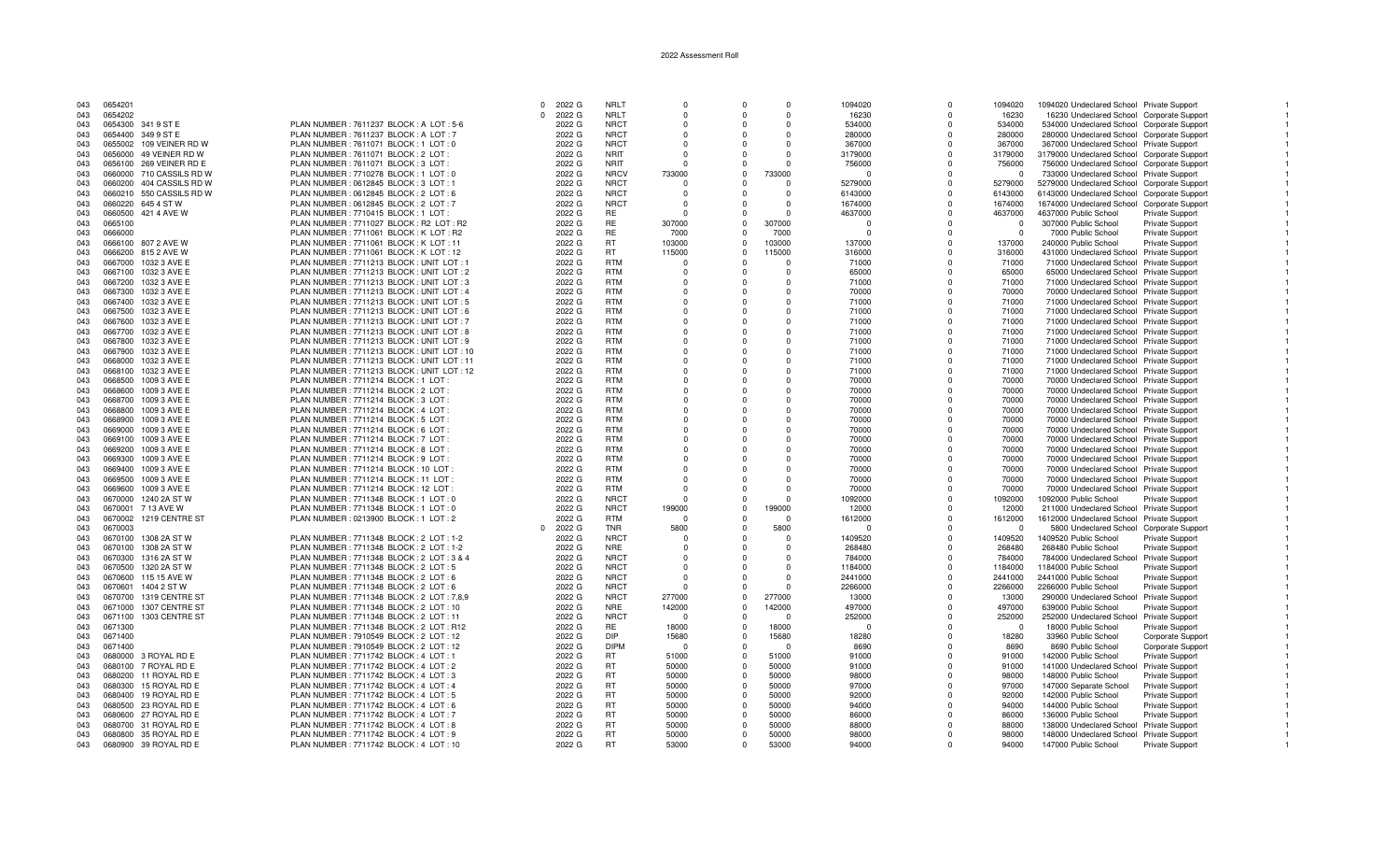## 0 2022 G NRLT 0 0 0 0 1094020 0 1094020 0 1094020 1094020 Indeclared School Private Support 1<br>1 2022 G NRLT 0 0 0 16230 0 16230 0 16230 16230 16230 16230 Undeclared School Corporate Support <sup>0</sup> <sup>2022</sup> <sup>G</sup> NRLT <sup>0</sup> <sup>0</sup> <sup>0</sup> <sup>16230</sup> <sup>0</sup> <sup>16230</sup> <sup>16230</sup> Undeclared School Corporate Support <sup>1</sup> 043 0654300 341 9 ST E PLAN NUMBER : 7611237 BLOCK : A LOT : 5-6 2022 G NRCT 0 0 0 534000 0 534000 0 534000 534000 Drdeclared School Corporate Support 1<br>043 0654400 349 9 ST E PLAN NUMBER : 7611071 BLOCK : A LOT : 0 2022 G 043 065440 0654400 0654400 0664400 0664400 0664400 0664400 0664400 0664400 0664400 0664400 07611237 BLOCK : 76<br>2022 G NRCT 0 0 0 367000 0 280000 0 367000 0 280000 280000 Undeclared School Corporate Support 0655002 109 VEINER RD W PLAN NUMBER : 7611071 BLOCK : 1 LOT : 0 2022 G NRCT 0 0 0 367000 0 367000 367000 Undeclared School Private Support <sup>1</sup>of the man of the section of the section of the section of the section of the section of the section of the section of the section of the section of the section of the section of the section of the section of the support i 043 0656100 269 VEINER RD E PLAN NUMBER : 7611071 BLOCK : 3 LOT : 2022 G NRIT 0 0 0 0 756000 756000 0 756000 756000 756000 756000 756000 756000 0 756000 0 756000 756000 0 756000 0 756000 0 756000 0 756000 0 756000 0 756000 PLAN NUMBER : 7710278 BLOCK : 1 LOT : 0

0654201

0654202

|     | ,,,,,,,,                 | <u> UNINUMBERIIDE SEI DEUVRIL EUR</u>       | ---- -             | .           |             |                | <u>uuuu</u> |          |          |                | POOOO OHQOOQIGUG OOHOOF FIIVQIC OQDDOF      |                          |
|-----|--------------------------|---------------------------------------------|--------------------|-------------|-------------|----------------|-------------|----------|----------|----------------|---------------------------------------------|--------------------------|
| 043 | 0660200 404 CASSILS RD W | PLAN NUMBER : 0612845 BLOCK : 3 LOT : 1     | 2022 G             | <b>NRCT</b> | $\Omega$    | $\Omega$       | $\Omega$    | 5279000  | $\Omega$ | 5279000        | 5279000 Undeclared School Corporate Support |                          |
| 043 | 0660210 550 CASSILS RD W | PLAN NUMBER : 0612845 BLOCK : 2 LOT : 6     | 2022 G             | <b>NRCT</b> | $\mathbf 0$ | $\Omega$       | $\Omega$    | 6143000  | $\Omega$ | 6143000        | 6143000 Undeclared School Corporate Support |                          |
| 043 | 0660220 645 4 ST W       | PLAN NUMBER : 0612845 BLOCK : 2 LOT : 7     | 2022 G             | <b>NRCT</b> | $\Omega$    | $\Omega$       | $\cap$      | 1674000  | $\Omega$ | 1674000        | 1674000 Undeclared School Corporate Support |                          |
| 043 | 0660500 421 4 AVE W      | PLAN NUMBER: 7710415 BLOCK: 1 LOT           | 2022 G             | RE          | $\Omega$    | $\Omega$       | $\Omega$    | 4637000  | $\Omega$ | 4637000        | 4637000 Public School                       | <b>Private Support</b>   |
| 043 | 0665100                  | PLAN NUMBER: 7711027 BLOCK: R2 LOT: R2      | 2022 G             | <b>RE</b>   | 307000      | $\Omega$       | 307000      | n        |          | $\overline{0}$ | 307000 Public School                        | <b>Private Support</b>   |
|     |                          |                                             |                    | RE          |             | $\Omega$       | 7000        |          |          | $\overline{0}$ |                                             |                          |
| 043 | 0666000                  | PLAN NUMBER: 7711061 BLOCK: K LOT: R2       | 2022 G             |             | 7000        |                |             | $\Omega$ |          |                | 7000 Public School                          | Private Support          |
| 043 | 0666100 807 2 AVE W      | PLAN NUMBER: 7711061 BLOCK: K LOT: 11       | 2022 G             | <b>RT</b>   | 103000      | $\Omega$       | 103000      | 137000   |          | 137000         | 240000 Public School                        | <b>Private Support</b>   |
| 043 | 0666200 815 2 AVE W      | PLAN NUMBER: 7711061 BLOCK: K LOT: 12       | 2022 G             | <b>RT</b>   | 115000      | $\Omega$       | 115000      | 316000   | $\Omega$ | 316000         | 431000 Undeclared School Private Support    |                          |
| 043 | 0667000 1032 3 AVE E     | PLAN NUMBER: 7711213 BLOCK: UNIT LOT:       | 2022 G             | <b>RTM</b>  | $\Omega$    | $\Omega$       |             | 71000    |          | 71000          | 71000 Undeclared School Private Support     |                          |
| 043 | 0667100 1032 3 AVE E     | PLAN NUMBER: 7711213 BLOCK: UNIT LOT: 2     | 2022 G             | <b>RTM</b>  | $\Omega$    | $\Omega$       |             | 65000    |          | 65000          | 65000 Undeclared School Private Support     |                          |
| 043 | 0667200 1032 3 AVE E     | PLAN NUMBER : 7711213 BLOCK : UNIT LOT : 3  | 2022 G             | <b>RTM</b>  | $\Omega$    |                |             | 71000    |          | 71000          | 71000 Undeclared School Private Support     |                          |
| 043 | 0667300 1032 3 AVE E     | PLAN NUMBER: 7711213 BLOCK: UNIT LOT: 4     | 2022 G             | <b>RTM</b>  | $\Omega$    | $\Omega$       |             | 70000    | $\Omega$ | 70000          | 70000 Undeclared School Private Support     |                          |
|     |                          |                                             |                    |             |             |                |             |          |          |                |                                             |                          |
| 043 | 0667400 1032 3 AVE E     | PLAN NUMBER: 7711213 BLOCK: UNIT LOT: 5     | 2022 G             | <b>RTM</b>  | $\Omega$    | $\Omega$       | $\Omega$    | 71000    | $\Omega$ | 71000          | 71000 Undeclared School Private Support     |                          |
| 043 | 0667500 1032 3 AVE E     | PLAN NUMBER: 7711213 BLOCK: UNIT LOT: 6     | 2022 G             | <b>RTM</b>  | $\Omega$    | $\Omega$       |             | 71000    | $\Omega$ | 71000          | 71000 Undeclared School Private Support     |                          |
| 043 | 0667600 1032 3 AVE E     | PLAN NUMBER: 7711213 BLOCK: UNIT LOT: 7     | 2022 G             | <b>RTM</b>  | $\Omega$    | $\Omega$       | $\cap$      | 71000    | $\Omega$ | 71000          | 71000 Undeclared School Private Support     |                          |
| 043 | 0667700 1032 3 AVE E     | PLAN NUMBER: 7711213 BLOCK: UNIT LOT: 8     | 2022 G             | <b>RTM</b>  | $\Omega$    | $\Omega$       |             | 71000    | $\Omega$ | 71000          | 71000 Undeclared School Private Support     |                          |
| 043 | 0667800 1032 3 AVE E     | PLAN NUMBER: 7711213 BLOCK: UNIT LOT: 9     | 2022 G             | <b>RTM</b>  | $\Omega$    | $\Omega$       | $\Omega$    | 71000    | $\Omega$ | 71000          | 71000 Undeclared School Private Support     |                          |
| 043 | 0667900 1032 3 AVE E     | PLAN NUMBER: 7711213 BLOCK: UNIT LOT: 10    | 2022 G             | <b>RTM</b>  | $\Omega$    | $\Omega$       | $\cap$      | 71000    | $\Omega$ | 71000          | 71000 Undeclared School Private Support     |                          |
|     |                          |                                             |                    |             |             | $\Omega$       | $\Omega$    |          | $\Omega$ |                |                                             |                          |
| 043 | 0668000 1032 3 AVE E     | PLAN NUMBER : 7711213 BLOCK : UNIT LOT : 11 | 2022 G             | RTM         | $\mathbf 0$ |                |             | 71000    |          | 71000          | 71000 Undeclared School Private Support     |                          |
| 043 | 0668100 1032 3 AVE E     | PLAN NUMBER: 7711213 BLOCK: UNIT LOT: 12    | 2022 G             | <b>RTM</b>  | $\Omega$    | $\Omega$       |             | 71000    |          | 71000          | 71000 Undeclared School Private Support     |                          |
| 043 | 0668500 1009 3 AVE E     | PLAN NUMBER: 7711214 BLOCK: 1 LOT:          | 2022 G             | <b>RTM</b>  | $\Omega$    | $\Omega$       |             | 70000    | $\Omega$ | 70000          | 70000 Undeclared School Private Support     |                          |
| 043 | 1009 3 AVE E<br>0668600  | PLAN NUMBER : 7711214 BLOCK : 2 LOT         | 2022 G             | <b>RTM</b>  | $\Omega$    | $\Omega$       |             | 70000    |          | 70000          | 70000 Undeclared School Private Support     |                          |
| 043 | 0668700 1009 3 AVE E     | PLAN NUMBER: 7711214 BLOCK: 3 LOT           | 2022 G             | <b>RTM</b>  | $\Omega$    | $\Omega$       | $\Omega$    | 70000    | $\Omega$ | 70000          | 70000 Undeclared School Private Support     |                          |
| 043 | 0668800<br>1009 3 AVE E  | PLAN NUMBER: 7711214 BLOCK: 4 LOT           | 2022 G             | <b>RTM</b>  | $\Omega$    | $\Omega$       |             | 70000    |          | 70000          | 70000 Undeclared School Private Support     |                          |
| 043 | 0668900<br>1009 3 AVE E  | PLAN NUMBER : 7711214 BLOCK : 5 LOT         | 2022 G             | <b>RTM</b>  | $\Omega$    | $\Omega$       |             | 70000    |          | 70000          | 70000 Undeclared School Private Support     |                          |
| 043 | 0669000 1009 3 AVE E     | PLAN NUMBER : 7711214 BLOCK : 6 LOT         | 2022 G             | <b>RTM</b>  | $\Omega$    | $\Omega$       |             | 70000    |          | 70000          |                                             |                          |
|     |                          |                                             |                    |             |             |                |             |          |          |                | 70000 Undeclared School Private Support     |                          |
| 043 | 0669100 1009 3 AVE E     | PLAN NUMBER: 7711214 BLOCK: 7 LOT           | 2022 G             | <b>RTM</b>  | $\Omega$    | $\Omega$       |             | 70000    |          | 70000          | 70000 Undeclared School Private Support     |                          |
| 043 | 0669200 1009 3 AVE E     | PLAN NUMBER: 7711214 BLOCK: 8 LOT           | 2022 G             | <b>RTM</b>  | $\Omega$    | $\Omega$       |             | 70000    | $\Omega$ | 70000          | 70000 Undeclared School Private Support     |                          |
| 043 | 0669300 1009 3 AVE E     | PLAN NUMBER: 7711214 BLOCK: 9 LOT           | 2022 G             | RTM         | $\Omega$    | $\Omega$       |             | 70000    | $\Omega$ | 70000          | 70000 Undeclared School Private Support     |                          |
| 043 | 0669400 1009 3 AVE E     | PLAN NUMBER: 7711214 BLOCK: 10 LOT          | 2022 G             | <b>RTM</b>  | $\Omega$    | $\Omega$       | $\cap$      | 70000    | $\Omega$ | 70000          | 70000 Undeclared School Private Support     |                          |
| 043 | 0669500 1009 3 AVE E     | PLAN NUMBER: 7711214 BLOCK: 11 LOT          | 2022 G             | <b>RTM</b>  | $\Omega$    | $\Omega$       |             | 70000    |          | 70000          | 70000 Undeclared School Private Support     |                          |
| 043 | 0669600 1009 3 AVE E     | PLAN NUMBER: 7711214 BLOCK: 12 LOT:         | 2022 G             | <b>RTM</b>  | $\Omega$    | $\Omega$       | $\Omega$    | 70000    | $\Omega$ | 70000          | 70000 Undeclared School Private Support     |                          |
| 043 | 0670000 1240 2A ST W     | PLAN NUMBER : 7711348 BLOCK : 1 LOT : 0     | 2022 G             | <b>NRCT</b> | $\Omega$    | $\Omega$       |             | 1092000  |          | 1092000        | 1092000 Public School                       | <b>Private Support</b>   |
| 043 | 0670001 7 13 AVE W       | PLAN NUMBER: 7711348 BLOCK: 1 LOT: 0        | 2022 G             | <b>NRCT</b> | 199000      | $\mathbf 0$    | 199000      | 12000    | $\Omega$ | 12000          | 211000 Undeclared School Private Support    |                          |
|     |                          |                                             |                    | <b>RTM</b>  |             | $\Omega$       | $\cap$      |          | $\Omega$ |                |                                             |                          |
| 043 | 0670002 1219 CENTRE ST   | PLAN NUMBER : 0213900 BLOCK : 1 LOT : 2     | 2022 G             |             | $\Omega$    |                |             | 1612000  |          | 1612000        | 1612000 Undeclared School Private Support   |                          |
| 043 | 0670003                  |                                             | 2022 G<br>$\Omega$ | TNR         | 5800        | $\overline{0}$ | 5800        |          |          | $\Omega$       | 5800 Undeclared School Corporate Support    |                          |
| 043 | 0670100 1308 2A ST W     | PLAN NUMBER: 7711348 BLOCK: 2 LOT: 1-2      | 2022 G             | <b>NRCT</b> | $\Omega$    | $\Omega$       |             | 1409520  |          | 1409520        | 1409520 Public School                       | Private Support          |
| 043 | 0670100 1308 2A ST W     | PLAN NUMBER: 7711348 BLOCK: 2 LOT: 1-2      | 2022 G             | <b>NRE</b>  | $\Omega$    | $\Omega$       |             | 268480   | $\Omega$ | 268480         | 268480 Public School                        | Private Support          |
| 043 | 0670300 1316 2A ST W     | PLAN NUMBER: 7711348 BLOCK: 2 LOT: 3 & 4    | 2022 G             | <b>NRCT</b> | $\Omega$    | $\Omega$       |             | 784000   | $\Omega$ | 784000         | 784000 Undeclared School                    | Private Support          |
| 043 | 0670500 1320 2A ST W     | PLAN NUMBER : 7711348 BLOCK : 2 LOT : 5     | 2022 G             | <b>NRCT</b> | $\Omega$    | $\Omega$       |             | 1184000  | $\Omega$ | 1184000        | 1184000 Public School                       | <b>Private Support</b>   |
| 043 | 0670600 115 15 AVE W     | PLAN NUMBER : 7711348 BLOCK : 2 LOT : 6     | 2022 G             | <b>NRCT</b> | $\Omega$    | $\Omega$       |             | 2441000  | $\Omega$ | 2441000        | 2441000 Public School                       | <b>Private Support</b>   |
| 043 | 0670601 1404 2 ST W      | PLAN NUMBER : 7711348 BLOCK : 2 LOT : 6     | 2022 G             | <b>NRCT</b> | $\Omega$    | $\Omega$       | $\Omega$    | 2266000  |          | 2266000        | 2266000 Public School                       | <b>Private Support</b>   |
|     |                          |                                             |                    |             |             | $\Omega$       |             |          |          |                |                                             |                          |
| 043 | 0670700 1319 CENTRE ST   | PLAN NUMBER: 7711348 BLOCK: 2 LOT: 7,8,9    | 2022 G             | <b>NRCT</b> | 277000      |                | 277000      | 13000    |          | 13000          | 290000 Undeclared School                    | <b>Private Support</b>   |
| 043 | 0671000 1307 CENTRE ST   | PLAN NUMBER : 7711348 BLOCK : 2 LOT : 10    | 2022 G             | <b>NRE</b>  | 142000      | $\Omega$       | 142000      | 497000   |          | 497000         | 639000 Public School                        | <b>Private Support</b>   |
| 043 | 0671100 1303 CENTRE ST   | PLAN NUMBER: 7711348 BLOCK: 2 LOT: 11       | 2022 G             | <b>NRCT</b> | $\Omega$    | $\Omega$       | $\Omega$    | 252000   | $\Omega$ | 252000         | 252000 Undeclared School                    | <b>Private Support</b>   |
| 043 | 0671300                  | PLAN NUMBER: 7711348 BLOCK: 2 LOT: R12      | 2022 G             | RE          | 18000       | $\Omega$       | 18000       | $\Omega$ | $\Omega$ | $\Omega$       | 18000 Public School                         | Private Support          |
| 043 | 0671400                  | PLAN NUMBER: 7910549 BLOCK: 2 LOT: 12       | 2022 G             | <b>DIP</b>  | 15680       | $\Omega$       | 15680       | 18280    | $\Omega$ | 18280          | 33960 Public School                         | <b>Corporate Support</b> |
| 043 | 0671400                  | PLAN NUMBER : 7910549 BLOCK : 2 LOT : 12    | 2022 G             | <b>DIPM</b> | $\Omega$    | $\Omega$       | - 0         | 8690     |          | 8690           | 8690 Public School                          | Corporate Support        |
| 043 | 0680000 3 ROYAL RD E     | PLAN NUMBER: 7711742 BLOCK: 4 LOT: 1        | 2022 G             | <b>RT</b>   | 51000       | $\Omega$       | 51000       | 91000    | $\Omega$ | 91000          | 142000 Public School                        | <b>Private Support</b>   |
| 043 | 0680100 7 ROYAL RD E     | PLAN NUMBER : 7711742 BLOCK : 4 LOT : 2     | 2022 G             | <b>RT</b>   | 50000       | $\Omega$       | 50000       | 91000    |          | 91000          | 141000 Undeclared School                    | Private Support          |
|     |                          |                                             |                    |             |             | $\Omega$       |             |          |          |                |                                             |                          |
| 043 | 0680200 11 ROYAL RD E    | PLAN NUMBER: 7711742 BLOCK: 4 LOT: 3        | 2022 G             | RT          | 50000       |                | 50000       | 98000    |          | 98000          | 148000 Public School                        | <b>Private Support</b>   |
| 043 | 0680300 15 ROYAL RD E    | PLAN NUMBER : 7711742 BLOCK : 4 LOT : 4     | 2022 G             | <b>RT</b>   | 50000       | $\Omega$       | 50000       | 97000    |          | 97000          | 147000 Separate School                      | Private Support          |
| 043 | 0680400 19 ROYAL RD E    | PLAN NUMBER : 7711742 BLOCK : 4 LOT : 5     | 2022 G             | RT          | 50000       | $\Omega$       | 50000       | 92000    |          | 92000          | 142000 Public School                        | <b>Private Support</b>   |
| 043 | 0680500 23 ROYAL RD E    | PLAN NUMBER: 7711742 BLOCK: 4 LOT: 6        | 2022 G             | <b>RT</b>   | 50000       | $\mathbf{0}$   | 50000       | 94000    |          | 94000          | 144000 Public School                        | <b>Private Support</b>   |
| 043 | 0680600 27 ROYAL RD E    | PLAN NUMBER: 7711742 BLOCK: 4 LOT: 7        | 2022 G             | RT          | 50000       | $\Omega$       | 50000       | 86000    |          | 86000          | 136000 Public School                        | <b>Private Support</b>   |
| 043 | 0680700 31 ROYAL RD E    | PLAN NUMBER: 7711742 BLOCK: 4 LOT: 8        | 2022 G             | RT          | 50000       | $\overline{0}$ | 50000       | 88000    | $\Omega$ | 88000          | 138000 Undeclared School                    | <b>Private Support</b>   |
| 043 | 0680800 35 ROYAL RD E    | PLAN NUMBER: 7711742 BLOCK: 4 LOT: 9        | 2022 G             | <b>RT</b>   | 50000       | $\Omega$       | 50000       | 98000    | $\Omega$ | 98000          | 148000 Undeclared School                    | <b>Private Support</b>   |
| 043 | 0680900 39 ROYAL RD E    | PLAN NUMBER : 7711742 BLOCK : 4 LOT : 10    | 2022 G             | <b>RT</b>   | 53000       | $\mathbf{0}$   | 53000       | 94000    | $\Omega$ | 94000          | 147000 Public School                        | Private Support          |
|     |                          |                                             |                    |             |             |                |             |          |          |                |                                             |                          |
|     |                          |                                             |                    |             |             |                |             |          |          |                |                                             |                          |

## 2022 Assessment Roll

 $\overline{1}$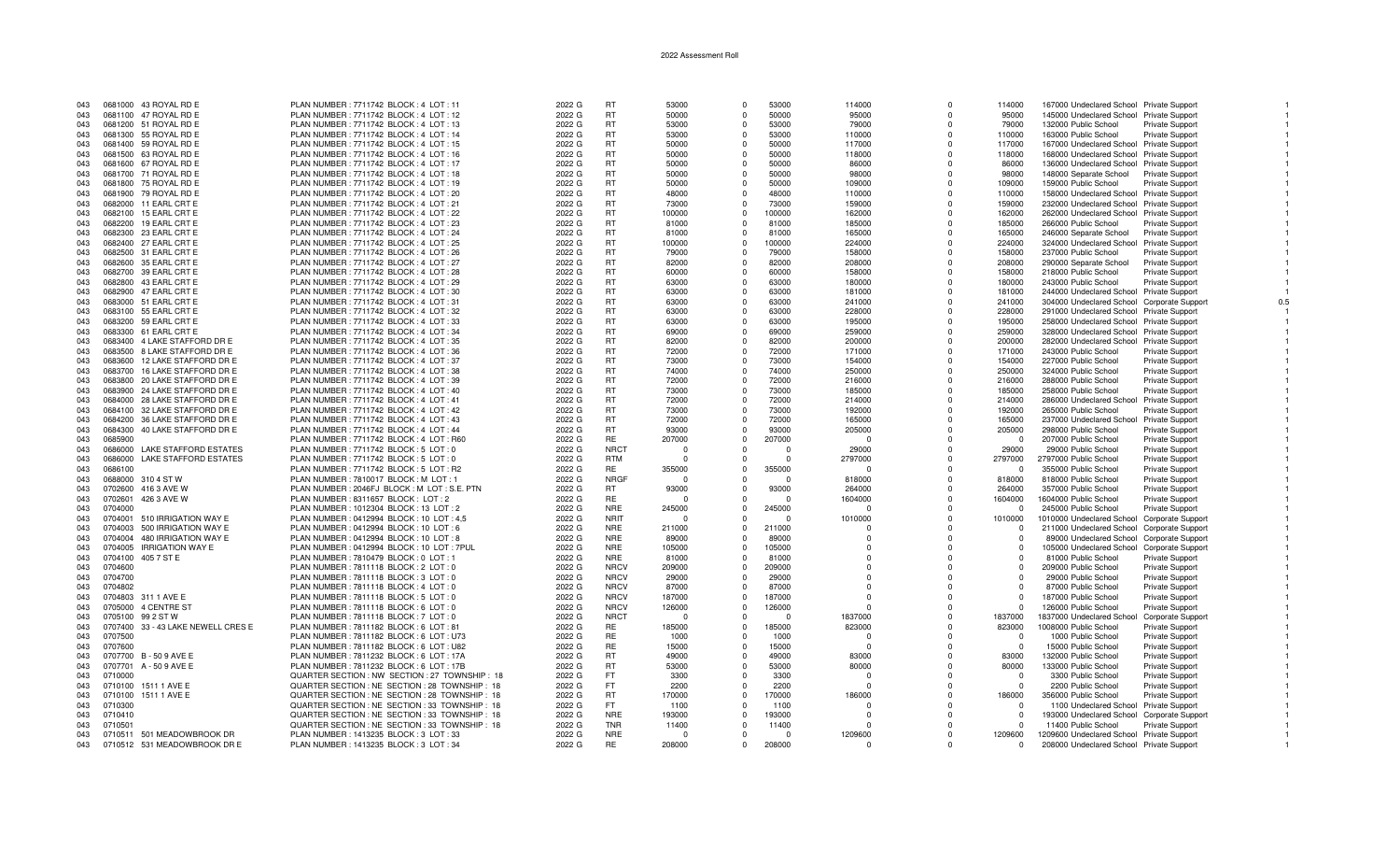| 043        | 0681000 43 ROYAL RD E                          | PLAN NUMBER: 7711742 BLOCK: 4 LOT: 11                                             | 2022 G           | <b>RT</b>              | 53000           | $\Omega$             | 53000           | 114000             | $\Omega$             | 114000            | 167000 Undeclared School Private Support                           |                                                  |     |
|------------|------------------------------------------------|-----------------------------------------------------------------------------------|------------------|------------------------|-----------------|----------------------|-----------------|--------------------|----------------------|-------------------|--------------------------------------------------------------------|--------------------------------------------------|-----|
| 043        | 0681100 47 ROYAL RD E                          | PLAN NUMBER: 7711742 BLOCK: 4 LOT: 12                                             | 2022 G           | <b>RT</b>              | 50000           | $\Omega$             | 50000           | 95000              | $\Omega$             | 95000             | 145000 Undeclared School Private Support                           |                                                  |     |
| 043        | 0681200 51 ROYAL RD E                          | PLAN NUMBER: 7711742 BLOCK: 4 LOT: 13                                             | 2022 G           | <b>RT</b>              | 53000           | $\Omega$             | 53000           | 79000              | $\Omega$             | 79000             | 132000 Public School                                               | <b>Private Support</b>                           |     |
| 043        | 0681300 55 ROYAL RD E                          | PLAN NUMBER : 7711742 BLOCK : 4 LOT : 14                                          | 2022 G           | <b>RT</b>              | 53000           | $\Omega$             | 53000           | 110000             | $\Omega$             | 110000            | 163000 Public School                                               | <b>Private Support</b>                           |     |
| 043        | 0681400 59 ROYAL RD E                          | PLAN NUMBER : 7711742 BLOCK : 4 LOT : 15                                          | 2022 G           | <b>RT</b>              | 50000           | $\Omega$             | 50000           | 117000             | $\Omega$             | 117000            | 167000 Undeclared School Private Support                           |                                                  |     |
| 043        | 0681500 63 ROYAL RD E                          | PLAN NUMBER: 7711742 BLOCK: 4 LOT: 16                                             | 2022 G           | <b>RT</b>              | 50000           | $\Omega$             | 50000           | 118000             | $\Omega$             | 118000            | 168000 Undeclared School Private Support                           |                                                  |     |
| 043        | 0681600 67 ROYAL RD E                          | PLAN NUMBER: 7711742 BLOCK: 4 LOT: 17                                             | 2022 G           | <b>RT</b>              | 50000           | $\Omega$             | 50000           | 86000              | $\Omega$             | 86000             | 136000 Undeclared School Private Support                           |                                                  |     |
| 043        | 0681700 71 ROYAL RD E                          | PLAN NUMBER: 7711742 BLOCK: 4 LOT: 18                                             | 2022 G           | <b>RT</b>              | 50000           | $\Omega$             | 50000           | 98000              | <sup>0</sup>         | 98000             | 148000 Separate School                                             | <b>Private Support</b>                           |     |
| 043        | 0681800 75 ROYAL RD E                          | PLAN NUMBER: 7711742 BLOCK: 4 LOT: 19                                             | 2022 G           | <b>RT</b>              | 50000           | $\Omega$             | 50000           | 109000             | $\Omega$             | 109000            | 159000 Public School                                               | <b>Private Support</b>                           |     |
| 043        | 0681900 79 ROYAL RD E                          | PLAN NUMBER: 7711742 BLOCK: 4 LOT: 20                                             | 2022 G           | <b>RT</b>              | 48000           | $\Omega$             | 48000           | 110000             | $\Omega$             | 110000            | 158000 Undeclared School Private Support                           |                                                  |     |
| 043        | 0682000 11 EARL CRT E                          | PLAN NUMBER : 7711742 BLOCK : 4 LOT : 21                                          | 2022 G           | <b>RT</b>              | 73000           | $\Omega$             | 73000           | 159000             | $\Omega$             | 159000            | 232000 Undeclared School Private Support                           |                                                  |     |
| 043        | 0682100 15 EARL CRT E                          | PLAN NUMBER: 7711742 BLOCK: 4 LOT: 22                                             | 2022 G           | <b>RT</b>              | 100000          | $\Omega$             | 100000          | 162000             | $\Omega$             | 162000            | 262000 Undeclared School Private Support                           |                                                  |     |
| 043        | 0682200<br>19 EARL CRT E                       | PLAN NUMBER : 7711742 BLOCK : 4 LOT : 23                                          | 2022 G           | <b>RT</b><br><b>RT</b> | 81000           | $\Omega$             | 81000           | 185000             | $\Omega$             | 185000            | 266000 Public School                                               | Private Support                                  |     |
| 043<br>043 | 0682300 23 EARL CRT E<br>0682400 27 EARL CRT E | PLAN NUMBER: 7711742 BLOCK: 4 LOT: 24<br>PLAN NUMBER : 7711742 BLOCK : 4 LOT : 25 | 2022 G<br>2022 G | <b>RT</b>              | 81000<br>100000 | $\Omega$<br>$\Omega$ | 81000<br>100000 | 165000<br>224000   | $\Omega$<br>$\Omega$ | 165000<br>224000  | 246000 Separate School<br>324000 Undeclared School Private Support | <b>Private Support</b>                           |     |
| 043        | 0682500 31 EARL CRT E                          | PLAN NUMBER: 7711742 BLOCK: 4 LOT: 26                                             | 2022 G           | <b>RT</b>              | 79000           | $\Omega$             | 79000           | 158000             | $\Omega$             | 158000            | 237000 Public School                                               | <b>Private Support</b>                           |     |
| 043        | 0682600 35 EARL CRT E                          | PLAN NUMBER: 7711742 BLOCK: 4 LOT: 27                                             | 2022 G           | <b>RT</b>              | 82000           | $\Omega$             | 82000           | 208000             | $\Omega$             | 208000            | 290000 Separate School                                             | <b>Private Support</b>                           |     |
| 043        | 0682700 39 EARL CRT E                          | PLAN NUMBER: 7711742 BLOCK: 4 LOT: 28                                             | 2022 G           | <b>RT</b>              | 60000           | $\Omega$             | 60000           | 158000             | $\Omega$             | 158000            | 218000 Public School                                               | Private Support                                  |     |
| 043        | 0682800 43 EARL CRT E                          | PLAN NUMBER: 7711742 BLOCK: 4 LOT: 29                                             | 2022 G           | <b>RT</b>              | 63000           | $\Omega$             | 63000           | 180000             | $\Omega$             | 180000            | 243000 Public School                                               | Private Support                                  |     |
| 043        | 0682900 47 EARL CRT E                          | PLAN NUMBER: 7711742 BLOCK: 4 LOT: 30                                             | 2022 G           | RT                     | 63000           | $\Omega$             | 63000           | 181000             | $\Omega$             | 181000            | 244000 Undeclared School Private Support                           |                                                  |     |
| 043        | 0683000 51 EARL CRT E                          | PLAN NUMBER: 7711742 BLOCK: 4 LOT: 31                                             | 2022 G           | <b>RT</b>              | 63000           | $\Omega$             | 63000           | 241000             | $\Omega$             | 241000            | 304000 Undeclared School Corporate Support                         |                                                  | 0.5 |
| 043        | 0683100 55 EARL CRT E                          | PLAN NUMBER: 7711742 BLOCK: 4 LOT: 32                                             | 2022 G           | <b>RT</b>              | 63000           | $\Omega$             | 63000           | 228000             | $\Omega$             | 228000            | 291000 Undeclared School Private Support                           |                                                  |     |
| 043        | 0683200 59 EARL CRT E                          | PLAN NUMBER : 7711742 BLOCK : 4 LOT : 33                                          | 2022 G           | <b>RT</b>              | 63000           | $\Omega$             | 63000           | 195000             | $\Omega$             | 195000            | 258000 Undeclared School Private Support                           |                                                  |     |
| 043        | 0683300 61 EARL CRT E                          | PLAN NUMBER : 7711742 BLOCK : 4 LOT : 34                                          | 2022 G           | <b>RT</b>              | 69000           | $\Omega$             | 69000           | 259000             | $\Omega$             | 259000            | 328000 Undeclared School Private Support                           |                                                  |     |
| 043        | 0683400 4 LAKE STAFFORD DR E                   | PLAN NUMBER: 7711742 BLOCK: 4 LOT: 35                                             | 2022 G           | <b>RT</b>              | 82000           | $\Omega$             | 82000           | 200000             |                      | 200000            | 282000 Undeclared School Private Support                           |                                                  |     |
| 043        | 0683500 8 LAKE STAFFORD DR E                   | PLAN NUMBER : 7711742 BLOCK : 4 LOT : 36                                          | 2022 G           | <b>RT</b>              | 72000           | $\Omega$             | 72000           | 171000             | $\Omega$             | 171000            | 243000 Public School                                               | Private Support                                  |     |
| 043        | 0683600 12 LAKE STAFFORD DR E                  | PLAN NUMBER: 7711742 BLOCK: 4 LOT: 37                                             | 2022 G           | <b>RT</b>              | 73000           | $\Omega$             | 73000           | 154000             | $\Omega$             | 154000            | 227000 Public School                                               | Private Support                                  |     |
| 043        | 0683700 16 LAKE STAFFORD DR E                  | PLAN NUMBER: 7711742 BLOCK: 4 LOT: 38                                             | 2022 G           | RT                     | 74000           | $\Omega$             | 74000           | 250000             | $\Omega$             | 250000            | 324000 Public School                                               | Private Support                                  |     |
| 043        | 0683800<br>20 LAKE STAFFORD DR E               | PLAN NUMBER: 7711742 BLOCK: 4 LOT: 39                                             | 2022 G           | <b>RT</b>              | 72000           | $\Omega$             | 72000           | 216000             | $\Omega$             | 216000            | 288000 Public School                                               | Private Support                                  |     |
| 043        | 24 LAKE STAFFORD DR E<br>0683900               | PLAN NUMBER : 7711742 BLOCK : 4 LOT : 40                                          | 2022 G           | <b>RT</b>              | 73000           | $\Omega$             | 73000           | 185000             | $\Omega$             | 185000            | 258000 Public School                                               | <b>Private Support</b>                           |     |
| 043        | 0684000 28 LAKE STAFFORD DR E                  | PLAN NUMBER: 7711742 BLOCK: 4 LOT: 41                                             | 2022 G           | <b>RT</b>              | 72000           | $\Omega$             | 72000           | 214000             | $\Omega$             | 214000            | 286000 Undeclared School Private Support                           |                                                  |     |
| 043        | 0684100 32 LAKE STAFFORD DR E                  | PLAN NUMBER: 7711742 BLOCK: 4 LOT: 42                                             | 2022 G           | <b>RT</b>              | 73000           | $\Omega$             | 73000           | 192000             | $\Omega$             | 192000            | 265000 Public School                                               | <b>Private Support</b>                           |     |
| 043        | 0684200 36 LAKE STAFFORD DR E                  | PLAN NUMBER : 7711742 BLOCK : 4 LOT : 43                                          | 2022 G           | <b>RT</b>              | 72000           | $\Omega$             | 72000           | 165000             | $\Omega$             | 165000            | 237000 Undeclared School Private Support                           |                                                  |     |
| 043        | 0684300 40 LAKE STAFFORD DR E                  | PLAN NUMBER: 7711742 BLOCK: 4 LOT: 44                                             | 2022 G           | <b>RT</b>              | 93000           | $\Omega$             | 93000           | 205000             | $\Omega$             | 205000            | 298000 Public School                                               | <b>Private Support</b>                           |     |
| 043        | 0685900                                        | PLAN NUMBER: 7711742 BLOCK: 4 LOT: R60                                            | 2022 G           | RE                     | 207000          | $\Omega$             | 207000          | $\Omega$           | $\Omega$             | $\Omega$          | 207000 Public School                                               | Private Support                                  |     |
| 043        | LAKE STAFFORD ESTATES<br>0686000               | PLAN NUMBER : 7711742 BLOCK : 5 LOT : 0                                           | 2022 G           | <b>NRCT</b>            | $\Omega$        | $\Omega$             | $\Omega$        | 29000              | $\Omega$             | 29000             | 29000 Public School                                                | <b>Private Support</b>                           |     |
| 043        | <b>LAKE STAFFORD ESTATES</b><br>0686000        | PLAN NUMBER : 7711742 BLOCK : 5 LOT : 0                                           | 2022 G           | <b>RTM</b>             | - 0             | $\Omega$             | $\Omega$        | 2797000            | $\Omega$             | 2797000           | 2797000 Public School                                              | Private Support                                  |     |
| 043        | 0686100                                        | PLAN NUMBER: 7711742 BLOCK: 5 LOT: R2                                             | 2022 G           | RE                     | 355000          | $^{\circ}$           | 355000          | $\Omega$           | $\Omega$             | $^{\circ}$        | 355000 Public School                                               | <b>Private Support</b>                           |     |
| 043        | 0688000 310 4 ST W                             | PLAN NUMBER: 7810017 BLOCK: M LOT: 1                                              | 2022 G           | <b>NRGF</b>            | - 0             | $\Omega$             | $\Omega$        | 818000             | $\Omega$             | 818000            | 818000 Public School                                               | Private Support                                  |     |
| 043        | 0702600 416 3 AVE W                            | PLAN NUMBER : 2046FJ BLOCK : M LOT : S.E. PTN                                     | 2022 G           | <b>RT</b>              | 93000           | $\Omega$             | 93000           | 264000             | $\Omega$             | 264000            | 357000 Public School                                               | <b>Private Support</b>                           |     |
| 043        | 0702601<br>426 3 AVE W                         | PLAN NUMBER: 8311657 BLOCK: LOT: 2                                                | 2022 G           | <b>RE</b>              | - 0             | $\Omega$             | $\Omega$        | 1604000            | $\Omega$             | 1604000           | 1604000 Public School                                              | <b>Private Support</b>                           |     |
| 043        | 0704000                                        | PLAN NUMBER: 1012304 BLOCK: 13 LOT: 2                                             | 2022 G           | <b>NRE</b>             | 245000          | $\Omega$             | 245000          |                    | $\Omega$             | $\Omega$          | 245000 Public School                                               | <b>Private Support</b>                           |     |
| 043        | 0704001 510 IRRIGATION WAY E                   | PLAN NUMBER : 0412994 BLOCK : 10 LOT : 4,5                                        | 2022 G           | <b>NRIT</b>            | $\Omega$        | $\Omega$             | $\Omega$        | 1010000            | $\Omega$             | 1010000           | 1010000 Undeclared School Corporate Support                        |                                                  |     |
| 043        | 0704003 500 IRRIGATION WAY E                   | PLAN NUMBER : 0412994 BLOCK : 10 LOT : 6                                          | 2022 G           | <b>NRE</b>             | 211000          | $\Omega$             | 211000          |                    | $\Omega$             | $\Omega$          | 211000 Undeclared School Corporate Support                         |                                                  |     |
| 043        | 480 IRRIGATION WAY E<br>0704004                | PLAN NUMBER : 0412994 BLOCK : 10 LOT : 8                                          | 2022 G           | <b>NRE</b>             | 89000           | $\Omega$             | 89000           | 0                  | $\Omega$             | $\Omega$          | 89000 Undeclared School Corporate Support                          |                                                  |     |
| 043        | <b>IRRIGATION WAY E</b><br>0704005             | PLAN NUMBER: 0412994 BLOCK: 10 LOT: 7PUL                                          | 2022 G           | <b>NRE</b>             | 105000          | $\Omega$             | 105000          | $\Omega$           | $\Omega$             | $\Omega$          | 105000 Undeclared School Corporate Support                         |                                                  |     |
| 043        | 0704100<br>405 7 ST E                          | PLAN NUMBER : 7810479 BLOCK : 0 LOT : 1                                           | 2022 G           | <b>NRE</b>             | 81000           | $\Omega$             | 81000           | $\Omega$           | $\Omega$             | $\Omega$          | 81000 Public School                                                | Private Support                                  |     |
| 043        | 0704600                                        | PLAN NUMBER : 7811118 BLOCK : 2 LOT : 0                                           | 2022 G           | <b>NRCV</b>            | 209000          | $\Omega$             | 209000          |                    |                      | $\Omega$          | 209000 Public School                                               | <b>Private Support</b>                           |     |
| 043        | 0704700                                        | PLAN NUMBER : 7811118 BLOCK : 3 LOT : 0                                           | 2022 G           | <b>NRCV</b>            | 29000           | $\Omega$             | 29000           | $\Omega$           | $\Omega$             | $\Omega$          | 29000 Public School                                                | <b>Private Support</b>                           |     |
| 043        | 0704802                                        | PLAN NUMBER: 7811118 BLOCK: 4 LOT: 0                                              | 2022 G           | <b>NRCV</b>            | 87000           | $\Omega$             | 87000           | $\Omega$           | <sup>0</sup>         | $\Omega$          | 87000 Public School                                                | <b>Private Support</b>                           |     |
| 043        | 0704803 311 1 AVE E                            | PLAN NUMBER: 7811118 BLOCK: 5 LOT: 0                                              | 2022 G           | <b>NRCV</b>            | 187000          | $\Omega$             | 187000          |                    | $\Omega$             | $\Omega$          | 187000 Public School                                               | <b>Private Support</b>                           |     |
| 043        | 0705000<br>4 CENTRE ST                         | PLAN NUMBER : 7811118 BLOCK : 6 LOT : 0                                           | 2022 G           | <b>NRCV</b>            | 126000          | $\Omega$             | 126000          |                    | $\Omega$             | $\Omega$          | 126000 Public School                                               | Private Support                                  |     |
| 043        | 0705100 99 2 ST W                              | PLAN NUMBER : 7811118 BLOCK : 7 LOT : 0                                           | 2022 G           | <b>NRCT</b>            | - 0             | $\Omega$             | $\Omega$        | 1837000            | $\Omega$             | 1837000           | 1837000 Undeclared School Corporate Support                        |                                                  |     |
| 043        | 33 - 43 LAKE NEWELL CRES E<br>0707400          | PLAN NUMBER: 7811182 BLOCK: 6 LOT: 81                                             | 2022 G           | RE                     | 185000          | $^{\circ}$           | 185000          | 823000<br>$\Omega$ | $\Omega$<br>$\Omega$ | 823000            | 1008000 Public School                                              | Private Support                                  |     |
| 043        | 0707500                                        | PLAN NUMBER: 7811182 BLOCK: 6 LOT: U73                                            | 2022 G           | RE                     | 1000            | $\Omega$             | 1000            |                    |                      | $\Omega$          | 1000 Public School                                                 | Private Support                                  |     |
| 043        | 0707600                                        | PLAN NUMBER : 7811182 BLOCK : 6 LOT : U82                                         | 2022 G           | RE<br><b>RT</b>        | 15000<br>49000  | $\Omega$<br>$\Omega$ | 15000<br>49000  | $\Omega$           | $\Omega$             | $\Omega$<br>83000 | 15000 Public School                                                | Private Support                                  |     |
| 043        | 0707700 B-509 AVE E                            | PLAN NUMBER: 7811232 BLOCK: 6 LOT: 17A<br>PLAN NUMBER: 7811232 BLOCK: 6 LOT: 17B  | 2022 G<br>2022 G | <b>RT</b>              | 53000           | $\Omega$             | 53000           | 83000<br>80000     | <sup>0</sup>         |                   | 132000 Public School                                               | <b>Private Support</b>                           |     |
| 043<br>043 | 0707701 A - 50 9 AVE E<br>0710000              | QUARTER SECTION : NW SECTION : 27 TOWNSHIP : 18                                   | 2022 G           | FT.                    | 3300            | $\Omega$             | 3300            | ŋ                  | $\Omega$             | 80000<br>$\Omega$ | 133000 Public School<br>3300 Public School                         | <b>Private Support</b><br><b>Private Support</b> |     |
| 043        | 0710100 1511 1 AVE E                           | QUARTER SECTION : NE SECTION : 28 TOWNSHIP : 18                                   | 2022 G           | <b>FT</b>              | 2200            | $\Omega$             | 2200            | $\Omega$           | $\Omega$             | - 0               | 2200 Public School                                                 |                                                  |     |
| 043        | 0710100<br>1511 1 AVE E                        | QUARTER SECTION : NE SECTION : 28 TOWNSHIP : 18                                   | 2022 G           | <b>RT</b>              | 170000          | $\Omega$             | 170000          | 186000             | $\Omega$             | 186000            | 356000 Public School                                               | Private Support<br>Private Support               |     |
| 043        | 0710300                                        | QUARTER SECTION : NE SECTION : 33 TOWNSHIP : 18                                   | 2022 G           | FT.                    | 1100            | $\Omega$             | 1100            | $\Omega$           | $\Omega$             | $^{\circ}$        | 1100 Undeclared School Private Support                             |                                                  |     |
| 043        | 0710410                                        | QUARTER SECTION : NE SECTION : 33 TOWNSHIP : 18                                   | 2022 G           | <b>NRE</b>             | 193000          | $\Omega$             | 193000          | $\Omega$           |                      | $\Omega$          | 193000 Undeclared School Corporate Support                         |                                                  |     |
| 043        | 0710501                                        | QUARTER SECTION : NE SECTION : 33 TOWNSHIP : 18                                   | 2022 G           | <b>TNR</b>             | 11400           | $\Omega$             | 11400           |                    |                      | $\Omega$          | 11400 Public School                                                | <b>Private Support</b>                           |     |
| 043        | 0710511 501 MEADOWBROOK DR                     | PLAN NUMBER: 1413235 BLOCK: 3 LOT: 33                                             | 2022 G           | <b>NRE</b>             | - 0             | $\Omega$             | $\Omega$        | 1209600            |                      | 1209600           | 1209600 Undeclared School Private Support                          |                                                  |     |
| 043        | 0710512 531 MEADOWBROOK DR E                   | PLAN NUMBER: 1413235 BLOCK: 3 LOT: 34                                             | 2022 G           | <b>RE</b>              | 208000          | $\Omega$             | 208000          |                    |                      | $\Omega$          | 208000 Undeclared School Private Support                           |                                                  |     |
|            |                                                |                                                                                   |                  |                        |                 |                      |                 |                    |                      |                   |                                                                    |                                                  |     |

 $\blacksquare$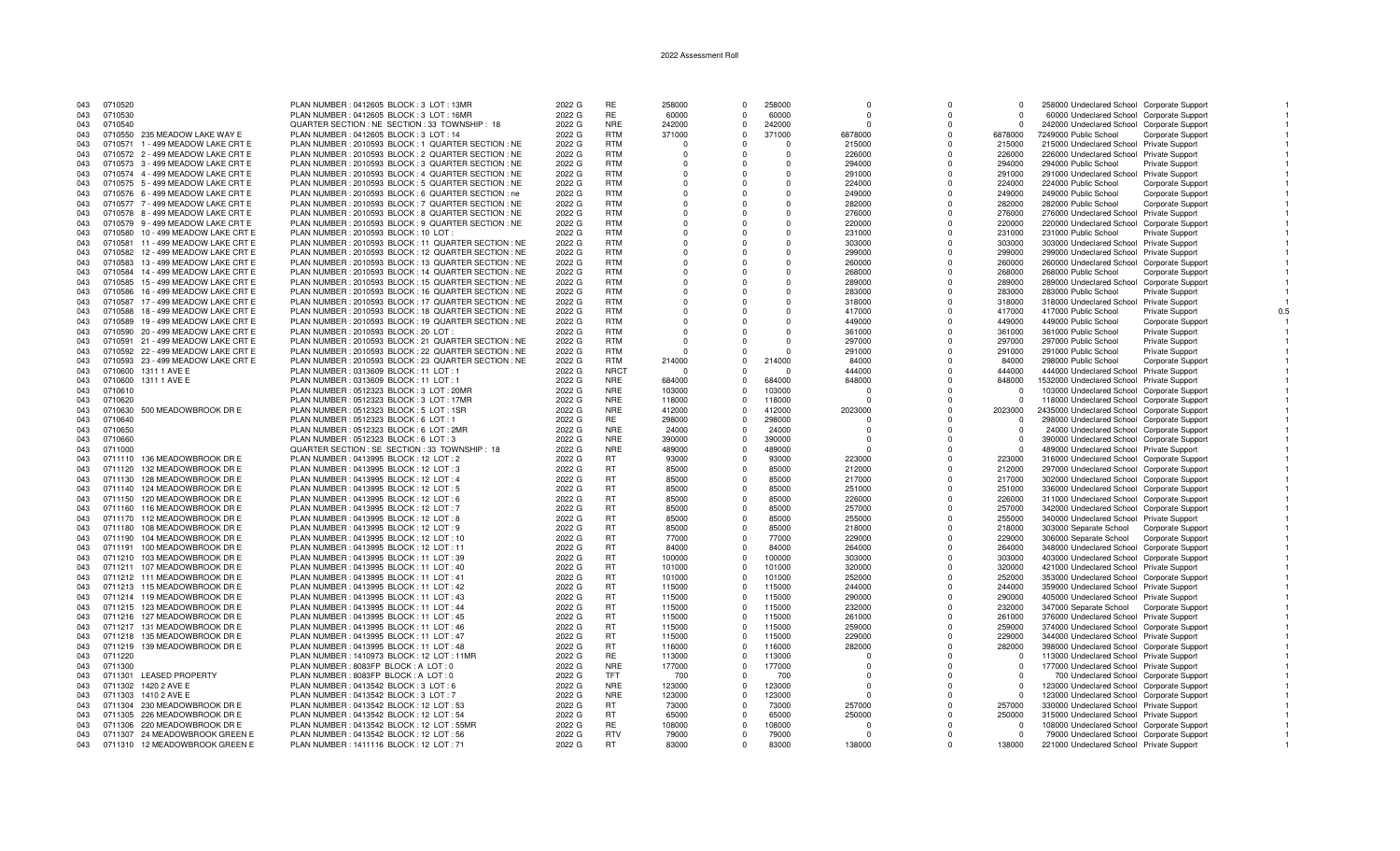| 043 | 0710520 |                                    | PLAN NUMBER : 0412605 BLOCK : 3 LOT : 13MR            | 2022 G | RE          | 258000     | $\Omega$       | 258000   | $\Omega$ | $\Omega$   | $\Omega$   | 258000 Undeclared School Corporate Support     |                          |
|-----|---------|------------------------------------|-------------------------------------------------------|--------|-------------|------------|----------------|----------|----------|------------|------------|------------------------------------------------|--------------------------|
| 043 | 0710530 |                                    | PLAN NUMBER : 0412605 BLOCK : 3 LOT : 16MR            | 2022 G | RE          | 60000      | $\mathbf 0$    | 60000    |          |            | $\Omega$   | 60000 Undeclared School Corporate Support      |                          |
| 043 | 0710540 |                                    | QUARTER SECTION : NE SECTION : 33 TOWNSHIP : 18       | 2022 G | <b>NRE</b>  | 242000     | $^{\circ}$     | 242000   | $\Omega$ | $\Omega$   | $\Omega$   | 242000 Undeclared School Corporate Support     |                          |
| 043 |         | 0710550 235 MEADOW LAKE WAY E      | PLAN NUMBER : 0412605 BLOCK : 3 LOT : 14              | 2022 G | <b>RTM</b>  | 371000     | $\Omega$       | 371000   | 6878000  | $\Omega$   | 6878000    | 7249000 Public School                          | <b>Corporate Support</b> |
| 043 |         | 0710571 1 - 499 MEADOW LAKE CRT E  | PLAN NUMBER : 2010593 BLOCK : 1 QUARTER SECTION : NE  | 2022 G | <b>RTM</b>  | $\Omega$   | $\Omega$       | $\Omega$ | 215000   | $\Omega$   | 215000     | 215000 Undeclared School Private Support       |                          |
| 043 |         | 0710572 2 - 499 MEADOW LAKE CRT E  | PLAN NUMBER : 2010593 BLOCK : 2 QUARTER SECTION : NE  | 2022 G | <b>RTM</b>  | $\Omega$   | -0             | $\Omega$ | 226000   |            | 226000     | 226000 Undeclared School Private Support       |                          |
| 043 |         | 0710573 3 - 499 MEADOW LAKE CRT E  | PLAN NUMBER : 2010593 BLOCK : 3 QUARTER SECTION : NE  | 2022 G | <b>RTM</b>  | $\Omega$   | $\Omega$       | $\Omega$ | 294000   | $\Omega$   | 294000     | 294000 Public School<br>Private Support        |                          |
| 043 |         | 0710574 4 - 499 MEADOW LAKE CRT E  | PLAN NUMBER : 2010593 BLOCK : 4 QUARTER SECTION : NE  | 2022 G | <b>RTM</b>  | $\Omega$   | $\Omega$       | $\Omega$ | 291000   | $\Omega$   | 291000     | 291000 Undeclared School Private Support       |                          |
| 043 |         | 0710575 5 - 499 MEADOW LAKE CRT E  | PLAN NUMBER : 2010593 BLOCK : 5 QUARTER SECTION : NE  | 2022 G | <b>RTM</b>  | $\Omega$   | $\Omega$       |          | 224000   | $\Omega$   | 224000     | 224000 Public School                           | <b>Corporate Support</b> |
| 043 |         | 0710576  6 - 499 MEADOW LAKE CRT E | PLAN NUMBER : 2010593 BLOCK : 6 QUARTER SECTION : ne  | 2022 G | <b>RTM</b>  | $\Omega$   | $\Omega$       | $\Omega$ | 249000   | $\Omega$   | 249000     | 249000 Public School                           | Corporate Support        |
| 043 |         | 0710577 7 - 499 MEADOW LAKE CRT E  | PLAN NUMBER : 2010593 BLOCK : 7 QUARTER SECTION : NE  | 2022 G | <b>RTM</b>  | $^{\circ}$ | 0              | 0        | 282000   | $^{\circ}$ | 282000     | 282000 Public School                           | Corporate Support        |
| 043 |         | 0710578 8 - 499 MEADOW LAKE CRT E  | PLAN NUMBER : 2010593 BLOCK : 8 QUARTER SECTION : NE  | 2022 G | <b>RTM</b>  | $\Omega$   | $\Omega$       | $\Omega$ | 276000   | $\Omega$   | 276000     | 276000 Undeclared School Private Support       |                          |
| 043 |         | 0710579 9 - 499 MEADOW LAKE CRT E  | PLAN NUMBER : 2010593 BLOCK : 9 QUARTER SECTION : NE  | 2022 G | <b>RTM</b>  | $\Omega$   | $\Omega$       | $\Omega$ | 220000   | $\Omega$   | 220000     | 220000 Undeclared School Corporate Support     |                          |
|     |         | 0710580 10 - 499 MEADOW LAKE CRT E | PLAN NUMBER: 2010593 BLOCK: 10 LOT:                   | 2022 G | <b>RTM</b>  |            | $\Omega$       | $\Omega$ | 231000   | $\Omega$   | 231000     | 231000 Public School<br>Private Support        |                          |
| 043 |         |                                    |                                                       |        | <b>RTM</b>  | $\Omega$   |                |          |          |            |            |                                                |                          |
| 043 |         | 0710581 11 - 499 MEADOW LAKE CRT E | PLAN NUMBER : 2010593 BLOCK : 11 QUARTER SECTION : NE | 2022 G | <b>RTM</b>  | $\Omega$   | $\Omega$       | $\Omega$ | 303000   | $\Omega$   | 303000     | 303000 Undeclared School Private Support       |                          |
| 043 |         | 0710582 12 - 499 MEADOW LAKE CRT E | PLAN NUMBER : 2010593 BLOCK : 12 QUARTER SECTION : NE | 2022 G |             | $\Omega$   | $\Omega$       | $\Omega$ | 299000   | $\Omega$   | 299000     | 299000 Undeclared School Private Support       |                          |
| 043 |         | 0710583 13 - 499 MEADOW LAKE CRT E | PLAN NUMBER : 2010593 BLOCK : 13 QUARTER SECTION : NE | 2022 G | <b>RTM</b>  | $\Omega$   | $\Omega$       | 0        | 260000   | $\Omega$   | 260000     | 260000 Undeclared School Corporate Support     |                          |
| 043 |         | 0710584 14 - 499 MEADOW LAKE CRT E | PLAN NUMBER : 2010593 BLOCK : 14 QUARTER SECTION : NE | 2022 G | <b>RTM</b>  | $\Omega$   | $\Omega$       | $\Omega$ | 268000   | $\Omega$   | 268000     | 268000 Public School                           | Corporate Support        |
| 043 | 0710585 | 15 - 499 MEADOW LAKE CRT E         | PLAN NUMBER : 2010593 BLOCK : 15 QUARTER SECTION : NE | 2022 G | <b>RTM</b>  | $\Omega$   | $\Omega$       | $\Omega$ | 289000   | $\Omega$   | 289000     | 289000 Undeclared School Corporate Support     |                          |
| 043 | 0710586 | 16 - 499 MEADOW LAKE CRT E         | PLAN NUMBER : 2010593 BLOCK : 16 QUARTER SECTION : NE | 2022 G | <b>RTM</b>  | $\Omega$   | $\Omega$       | $\Omega$ | 283000   | $\Omega$   | 283000     | 283000 Public School<br>Private Support        |                          |
| 043 |         | 0710587 17 - 499 MEADOW LAKE CRT E | PLAN NUMBER : 2010593 BLOCK : 17 QUARTER SECTION : NE | 2022 G | <b>RTM</b>  | $\Omega$   | $\Omega$       | $\Omega$ | 318000   |            | 318000     | 318000 Undeclared School Private Support       |                          |
| 043 | 0710588 | 18 - 499 MEADOW LAKE CRT E         | PLAN NUMBER : 2010593 BLOCK : 18 QUARTER SECTION : NE | 2022 G | <b>RTM</b>  | $\Omega$   | $\Omega$       | 0        | 417000   | $\Omega$   | 417000     | 417000 Public School<br>Private Support        | 0.5                      |
| 043 |         | 0710589 19 - 499 MEADOW LAKE CRT E | PLAN NUMBER : 2010593 BLOCK : 19 QUARTER SECTION : NE | 2022 G | <b>RTM</b>  | $\Omega$   | $\Omega$       | $\Omega$ | 449000   | $\Omega$   | 449000     | 449000 Public School                           | Corporate Support        |
| 043 |         | 0710590 20 - 499 MEADOW LAKE CRT E | PLAN NUMBER: 2010593 BLOCK: 20 LOT                    | 2022 G | <b>RTM</b>  | $\Omega$   | $\Omega$       | $\Omega$ | 361000   | $\Omega$   | 361000     | 361000 Public School<br><b>Private Support</b> |                          |
| 043 |         | 0710591 21 - 499 MEADOW LAKE CRT E | PLAN NUMBER : 2010593 BLOCK : 21 QUARTER SECTION : NE | 2022 G | <b>RTM</b>  |            | $\Omega$       |          | 297000   | $\Omega$   | 297000     | 297000 Public School<br><b>Private Support</b> |                          |
| 043 |         | 0710592 22 - 499 MEADOW LAKE CRT E | PLAN NUMBER : 2010593 BLOCK : 22 QUARTER SECTION : NE | 2022 G | <b>RTM</b>  | $\Omega$   | $\Omega$       | n        | 291000   | $\Omega$   | 291000     | 291000 Public School<br><b>Private Support</b> |                          |
| 043 |         | 0710593 23 - 499 MEADOW LAKE CRT E | PLAN NUMBER : 2010593 BLOCK : 23 QUARTER SECTION : NE | 2022 G | <b>RTM</b>  | 214000     | $\Omega$       | 214000   | 84000    | $\Omega$   | 84000      | 298000 Public School                           | Corporate Support        |
| 043 |         | 0710600 1311 1 AVE E               | PLAN NUMBER: 0313609 BLOCK: 11 LOT: 1                 | 2022 G | <b>NRCT</b> | $\Omega$   | $\mathbf 0$    |          | 444000   | $\Omega$   | 444000     | 444000 Undeclared School Private Support       |                          |
| 043 |         | 0710600 1311 1 AVE E               | PLAN NUMBER: 0313609 BLOCK: 11 LOT: 1                 | 2022 G | <b>NRE</b>  | 684000     | $\Omega$       | 684000   | 848000   | $\Omega$   | 848000     | 1532000 Undeclared School Private Support      |                          |
|     |         |                                    | PLAN NUMBER : 0512323 BLOCK : 3 LOT : 20MR            | 2022 G | <b>NRE</b>  |            | $\Omega$       | 103000   |          | $\Omega$   | $^{\circ}$ | 103000 Undeclared School Corporate Support     |                          |
| 043 | 0710610 |                                    |                                                       |        | <b>NRE</b>  | 103000     | $\Omega$       |          |          | $\Omega$   | $\Omega$   |                                                |                          |
| 043 | 0710620 |                                    | PLAN NUMBER : 0512323 BLOCK : 3 LOT : 17MR            | 2022 G |             | 118000     |                | 118000   |          |            |            | 118000 Undeclared School Corporate Support     |                          |
| 043 | 0710630 | 500 MEADOWBROOK DR E               | PLAN NUMBER: 0512323 BLOCK: 5 LOT: 1SR                | 2022 G | <b>NRE</b>  | 412000     | $\mathbf 0$    | 412000   | 2023000  | $\Omega$   | 2023000    | 2435000 Undeclared School Corporate Support    |                          |
| 043 | 0710640 |                                    | PLAN NUMBER : 0512323 BLOCK : 6 LOT : 1               | 2022 G | <b>RE</b>   | 298000     | $^{\circ}$     | 298000   | $\Omega$ | $\Omega$   | $\Omega$   | 298000 Undeclared School Corporate Support     |                          |
| 043 | 0710650 |                                    | PLAN NUMBER : 0512323 BLOCK : 6 LOT : 2MR             | 2022 G | <b>NRE</b>  | 24000      | $\Omega$       | 24000    | $\Omega$ | $\Omega$   | $\Omega$   | 24000 Undeclared School Corporate Support      |                          |
| 043 | 0710660 |                                    | PLAN NUMBER : 0512323 BLOCK : 6 LOT : 3               | 2022 G | <b>NRE</b>  | 390000     | $\Omega$       | 390000   | $\Omega$ | $\Omega$   | $\Omega$   | 390000 Undeclared School Corporate Support     |                          |
| 043 | 0711000 |                                    | QUARTER SECTION : SE SECTION : 33 TOWNSHIP : 18       | 2022 G | <b>NRE</b>  | 489000     | $\mathbf 0$    | 489000   |          |            | $\Omega$   | 489000 Undeclared School Private Support       |                          |
| 043 | 0711110 | 136 MEADOWBROOK DR E               | PLAN NUMBER : 0413995 BLOCK : 12 LOT : 2              | 2022 G | <b>RT</b>   | 93000      | $\Omega$       | 93000    | 223000   | $\Omega$   | 223000     | 316000 Undeclared School Corporate Support     |                          |
| 043 | 0711120 | 132 MEADOWBROOK DR E               | PLAN NUMBER : 0413995 BLOCK : 12 LOT : 3              | 2022 G | RT.         | 85000      | $\Omega$       | 85000    | 212000   |            | 212000     | 297000 Undeclared School Corporate Support     |                          |
| 043 |         | 0711130 128 MEADOWBROOK DR E       | PLAN NUMBER : 0413995 BLOCK : 12 LOT : 4              | 2022 G | <b>RT</b>   | 85000      | $\mathbf 0$    | 85000    | 217000   | $\Omega$   | 217000     | 302000 Undeclared School Corporate Support     |                          |
| 043 |         | 0711140 124 MEADOWBROOK DR E       | PLAN NUMBER : 0413995 BLOCK : 12 LOT : 5              | 2022 G | <b>RT</b>   | 85000      | $\overline{0}$ | 85000    | 251000   | $\Omega$   | 251000     | 336000 Undeclared School Corporate Support     |                          |
| 043 | 0711150 | 120 MEADOWBROOK DR E               | PLAN NUMBER : 0413995 BLOCK : 12 LOT : 6              | 2022 G | <b>RT</b>   | 85000      | $\Omega$       | 85000    | 226000   | $\Omega$   | 226000     | 311000 Undeclared School Corporate Support     |                          |
| 043 |         | 0711160 116 MEADOWBROOK DR E       | PLAN NUMBER: 0413995 BLOCK: 12 LOT: 7                 | 2022 G | <b>RT</b>   | 85000      | $\Omega$       | 85000    | 257000   | $\Omega$   | 257000     | 342000 Undeclared School Corporate Support     |                          |
| 043 |         | 0711170 112 MEADOWBROOK DR E       | PLAN NUMBER : 0413995 BLOCK : 12 LOT : 8              | 2022 G | <b>RT</b>   | 85000      | $\mathbf{0}$   | 85000    | 255000   | $\Omega$   | 255000     | 340000 Undeclared School Private Support       |                          |
| 043 |         | 0711180 108 MEADOWBROOK DR E       | PLAN NUMBER : 0413995 BLOCK : 12 LOT : 9              | 2022 G | <b>RT</b>   | 85000      | $\overline{0}$ | 85000    | 218000   | $\Omega$   | 218000     | 303000 Separate School                         | <b>Corporate Support</b> |
| 043 | 0711190 | 104 MEADOWBROOK DR E               | PLAN NUMBER : 0413995 BLOCK : 12 LOT : 10             | 2022 G | <b>RT</b>   | 77000      | $\Omega$       | 77000    | 229000   | $\Omega$   | 229000     | 306000 Separate School                         | Corporate Support        |
| 043 |         | 0711191 100 MEADOWBROOK DR E       | PLAN NUMBER: 0413995 BLOCK: 12 LOT: 11                | 2022 G | <b>RT</b>   | 84000      | $\Omega$       | 84000    | 264000   | $\Omega$   | 264000     | 348000 Undeclared School Corporate Support     |                          |
| 043 |         | 0711210 103 MEADOWBROOK DR E       | PLAN NUMBER: 0413995 BLOCK: 11 LOT: 39                | 2022 G | <b>RT</b>   | 100000     | $\Omega$       | 100000   | 303000   | $\Omega$   | 303000     | 403000 Undeclared School Corporate Support     |                          |
| 043 |         | 0711211 107 MEADOWBROOK DR E       | PLAN NUMBER : 0413995 BLOCK : 11 LOT : 40             | 2022 G | <b>RT</b>   | 101000     | $\overline{0}$ | 101000   | 320000   | $^{\circ}$ | 320000     | 421000 Undeclared School Private Support       |                          |
| 043 |         | 0711212 111 MEADOWBROOK DR E       | PLAN NUMBER : 0413995 BLOCK : 11 LOT : 41             | 2022 G | <b>RT</b>   | 101000     | $\Omega$       | 101000   | 252000   | $\Omega$   | 252000     | 353000 Undeclared School Corporate Support     |                          |
| 043 |         | 0711213 115 MEADOWBROOK DR E       | PLAN NUMBER: 0413995 BLOCK: 11 LOT: 42                | 2022 G | <b>RT</b>   | 115000     | $\Omega$       | 115000   | 244000   | $\Omega$   | 244000     |                                                |                          |
|     |         |                                    |                                                       |        | <b>RT</b>   |            | $\Omega$       |          |          |            |            | 359000 Undeclared School Private Support       |                          |
| 043 |         | 0711214 119 MEADOWBROOK DR E       | PLAN NUMBER: 0413995 BLOCK: 11 LOT: 43                | 2022 G |             | 115000     |                | 115000   | 290000   | $\Omega$   | 290000     | 405000 Undeclared School Private Support       |                          |
| 043 |         | 0711215 123 MEADOWBROOK DR E       | PLAN NUMBER : 0413995 BLOCK : 11 LOT : 44             | 2022 G | <b>RT</b>   | 115000     | $\Omega$       | 115000   | 232000   | $\Omega$   | 232000     | 347000 Separate School                         | Corporate Support        |
| 043 |         | 0711216 127 MEADOWBROOK DR E       | PLAN NUMBER: 0413995 BLOCK: 11 LOT: 45                | 2022 G | <b>RT</b>   | 115000     | $\Omega$       | 115000   | 261000   | $\Omega$   | 261000     | 376000 Undeclared School Private Support       |                          |
| 043 |         | 0711217 131 MEADOWBROOK DR E       | PLAN NUMBER: 0413995 BLOCK: 11 LOT: 46                | 2022 G | <b>RT</b>   | 115000     | $\Omega$       | 115000   | 259000   | $\Omega$   | 259000     | 374000 Undeclared School Corporate Support     |                          |
| 043 |         | 0711218 135 MEADOWBROOK DR E       | PLAN NUMBER: 0413995 BLOCK: 11 LOT: 47                | 2022 G | <b>RT</b>   | 115000     | $\Omega$       | 115000   | 229000   | $\Omega$   | 229000     | 344000 Undeclared School Private Support       |                          |
| 043 | 0711219 | 139 MEADOWBROOK DR E               | PLAN NUMBER: 0413995 BLOCK: 11 LOT: 48                | 2022 G | <b>RT</b>   | 116000     | $^{\circ}$     | 116000   | 282000   | $^{\circ}$ | 282000     | 398000 Undeclared School Corporate Support     |                          |
| 043 | 0711220 |                                    | PLAN NUMBER: 1410973 BLOCK: 12 LOT: 11MR              | 2022 G | <b>RE</b>   | 113000     | $\Omega$       | 113000   | $\Omega$ | $\Omega$   | $\Omega$   | 113000 Undeclared School Private Support       |                          |
| 043 | 0711300 |                                    | PLAN NUMBER : 8083FP BLOCK : A LOT : 0                | 2022 G | <b>NRE</b>  | 177000     | $\Omega$       | 177000   |          | $\Omega$   | $\Omega$   | 177000 Undeclared School Private Support       |                          |
| 043 |         | 0711301 LEASED PROPERTY            | PLAN NUMBER: 8083FP BLOCK: A LOT: 0                   | 2022 G | <b>TFT</b>  | 700        | $\Omega$       | 700      | $\Omega$ |            | - 0        | 700 Undeclared School Corporate Support        |                          |
| 043 |         | 0711302 1420 2 AVE E               | PLAN NUMBER : 0413542 BLOCK : 3 LOT : 6               | 2022 G | <b>NRE</b>  | 123000     | 0              | 123000   | $\Omega$ | $\Omega$   | $\Omega$   | 123000 Undeclared School Corporate Support     |                          |
| 043 |         | 0711303 1410 2 AVE E               | PLAN NUMBER : 0413542 BLOCK : 3 LOT : 7               | 2022 G | <b>NRE</b>  | 123000     | $\Omega$       | 123000   | $\Omega$ |            | $\Omega$   | 123000 Undeclared School Corporate Support     |                          |
| 043 |         | 0711304 230 MEADOWBROOK DR E       | PLAN NUMBER : 0413542 BLOCK : 12 LOT : 53             | 2022 G | RT          | 73000      | $\Omega$       | 73000    | 257000   |            | 257000     | 330000 Undeclared School Private Support       |                          |
| 043 |         | 0711305 226 MEADOWBROOK DR E       | PLAN NUMBER : 0413542 BLOCK : 12 LOT : 54             | 2022 G | <b>RT</b>   | 65000      | $^{\circ}$     | 65000    | 250000   | n          | 250000     | 315000 Undeclared School Private Support       |                          |
| 043 |         | 0711306 220 MEADOWBROOK DR E       | PLAN NUMBER : 0413542 BLOCK : 12 LOT : 55MR           | 2022 G | <b>RE</b>   | 108000     | $\Omega$       | 108000   | $\Omega$ |            | $\Omega$   | 108000 Undeclared School Corporate Support     |                          |
| 043 |         | 0711307 24 MEADOWBROOK GREEN E     | PLAN NUMBER : 0413542 BLOCK : 12 LOT : 56             | 2022 G | <b>RTV</b>  | 79000      | $\Omega$       | 79000    | $\Omega$ | $\Omega$   | $\Omega$   | 79000 Undeclared School Corporate Support      |                          |
| 043 |         | 0711310 12 MEADOWBROOK GREEN E     | PLAN NUMBER: 1411116 BLOCK: 12 LOT: 71                | 2022 G | <b>RT</b>   | 83000      | $\Omega$       | 83000    | 138000   |            | 138000     | 221000 Undeclared School Private Support       |                          |
|     |         |                                    |                                                       |        |             |            |                |          |          |            |            |                                                |                          |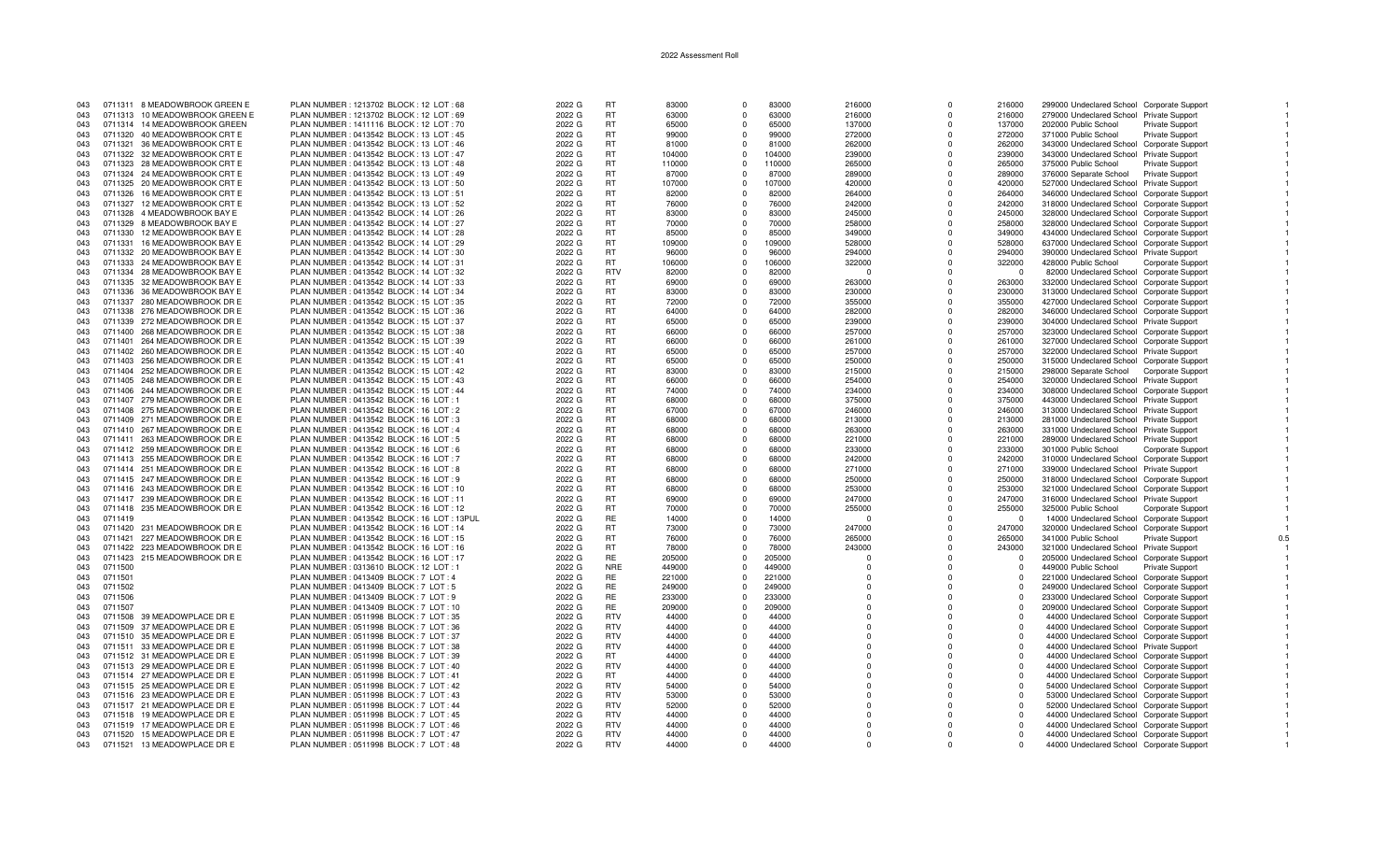| 043        |         | 0711311 8 MEADOWBROOK GREEN E                                | PLAN NUMBER: 1213702 BLOCK: 12 LOT: 68                                               | 2022 G           | <b>RT</b>        | 83000          |                      | 83000          | 216000           | $\Omega$             | 216000           | 299000 Undeclared School Corporate Support                                             |                          |     |
|------------|---------|--------------------------------------------------------------|--------------------------------------------------------------------------------------|------------------|------------------|----------------|----------------------|----------------|------------------|----------------------|------------------|----------------------------------------------------------------------------------------|--------------------------|-----|
| 043        |         | 0711313 10 MEADOWBROOK GREEN E                               | PLAN NUMBER: 1213702 BLOCK: 12 LOT: 69                                               | 2022 G           | <b>RT</b>        | 63000          | $\Omega$             | 63000          | 216000           | $\Omega$             | 216000           | 279000 Undeclared School Private Support                                               |                          |     |
| 043        |         | 0711314 14 MEADOWBROOK GREEN                                 | PLAN NUMBER: 1411116 BLOCK: 12 LOT: 70                                               | 2022 G           | RT.              | 65000          | $\Omega$             | 65000          | 137000           | $\Omega$             | 137000           | 202000 Public School                                                                   | Private Support          |     |
| 043        |         | 0711320 40 MEADOWBROOK CRT E                                 | PLAN NUMBER : 0413542 BLOCK : 13 LOT : 45                                            | 2022 G           | <b>RT</b>        | 99000          | $\Omega$             | 99000          | 272000           | $\Omega$             | 272000           | 371000 Public School                                                                   | Private Support          |     |
| 043        |         | 0711321 36 MEADOWBROOK CRT E                                 | PLAN NUMBER : 0413542 BLOCK : 13 LOT : 46                                            | 2022 G           | RT.              | 81000          | $\Omega$             | 81000          | 262000           | $\Omega$             | 262000           | 343000 Undeclared School Corporate Support                                             |                          |     |
| 043        |         | 0711322 32 MEADOWBROOK CRT E                                 | PLAN NUMBER : 0413542 BLOCK : 13 LOT : 47                                            | 2022 G           | RT               | 104000         | $\Omega$             | 104000         | 239000           | $\Omega$             | 239000           | 343000 Undeclared School Private Support                                               |                          |     |
| 043        |         | 0711323 28 MEADOWBROOK CRT E                                 | PLAN NUMBER: 0413542 BLOCK: 13 LOT: 48                                               | 2022 G           | <b>RT</b>        | 110000         | $\Omega$             | 110000         | 265000           | $\Omega$             | 265000           | 375000 Public School                                                                   | <b>Private Support</b>   |     |
| 043        |         | 0711324 24 MEADOWBROOK CRT E                                 | PLAN NUMBER : 0413542 BLOCK : 13 LOT : 49                                            | 2022 G           | <b>RT</b>        | 87000          | $\Omega$             | 87000          | 289000           | $\Omega$             | 289000           | 376000 Separate School                                                                 | Private Support          |     |
| 043        |         | 0711325 20 MEADOWBROOK CRT E                                 | PLAN NUMBER : 0413542 BLOCK : 13 LOT : 50                                            | 2022 G           | RT               | 107000         | $\Omega$             | 107000         | 420000           |                      | 420000           | 527000 Undeclared School Private Support                                               |                          |     |
| 043        |         | 0711326 16 MEADOWBROOK CRT E                                 | PLAN NUMBER : 0413542 BLOCK : 13 LOT : 51                                            | 2022 G           | <b>RT</b>        | 82000          | $\Omega$             | 82000          | 264000           | $\Omega$             | 264000           | 346000 Undeclared School Corporate Support                                             |                          |     |
| 043        |         | 0711327 12 MEADOWBROOK CRT E                                 | PLAN NUMBER : 0413542 BLOCK : 13 LOT : 52                                            | 2022 G           | RT.              | 76000          | $\Omega$             | 76000          | 242000           | $\Omega$             | 242000           | 318000 Undeclared School Corporate Support                                             |                          |     |
| 043        |         | 0711328 4 MEADOWBROOK BAY E                                  | PLAN NUMBER : 0413542 BLOCK : 14 LOT : 26                                            | 2022 G           | <b>RT</b>        | 83000          | $\Omega$             | 83000          | 245000           | $\Omega$             | 245000           | 328000 Undeclared School Corporate Support                                             |                          |     |
| 043        |         | 0711329 8 MEADOWBROOK BAY E                                  | PLAN NUMBER : 0413542 BLOCK : 14 LOT : 27                                            | 2022 G           | RT.              | 70000          | $\Omega$             | 70000          | 258000           | $\Omega$             | 258000           | 328000 Undeclared School Corporate Support                                             |                          |     |
| 043        |         | 0711330 12 MEADOWBROOK BAY E                                 | PLAN NUMBER : 0413542 BLOCK : 14 LOT : 28                                            | 2022 G           | <b>RT</b>        | 85000          | $\Omega$             | 85000          | 349000           | $\Omega$             | 349000           | 434000 Undeclared School Corporate Support                                             |                          |     |
| 043        | 0711331 | 16 MEADOWBROOK BAY E                                         | PLAN NUMBER : 0413542 BLOCK : 14 LOT : 29                                            | 2022 G           | <b>RT</b>        | 109000         | $\Omega$             | 109000         | 528000           | $\Omega$             | 528000           | 637000 Undeclared School Corporate Support                                             |                          |     |
| 043        |         | 0711332 20 MEADOWBROOK BAY E                                 | PLAN NUMBER : 0413542 BLOCK : 14 LOT : 30                                            | 2022 G           | <b>RT</b>        | 96000          | $\Omega$             | 96000          | 294000           | $\Omega$             | 294000           | 390000 Undeclared School Private Support                                               |                          |     |
| 043        |         | 0711333 24 MEADOWBROOK BAY E                                 | PLAN NUMBER : 0413542 BLOCK : 14 LOT : 31                                            | 2022 G           | RT               | 106000         | $\Omega$             | 106000         | 322000           |                      | 322000           | 428000 Public School                                                                   | Corporate Support        |     |
| 043        |         | 0711334 28 MEADOWBROOK BAY E                                 | PLAN NUMBER : 0413542 BLOCK : 14 LOT : 32                                            | 2022 G           | <b>RTV</b>       | 82000          | $\Omega$             | 82000          | $\Omega$         | $\Omega$             | $\Omega$         | 82000 Undeclared School Corporate Support                                              |                          |     |
| 043        |         | 0711335 32 MEADOWBROOK BAY E                                 | PLAN NUMBER : 0413542 BLOCK : 14 LOT : 33                                            | 2022 G           | RT.              | 69000          | $\Omega$             | 69000          | 263000           | $\Omega$             | 263000           | 332000 Undeclared School Corporate Support                                             |                          |     |
| 043        |         | 0711336 36 MEADOWBROOK BAY E                                 | PLAN NUMBER : 0413542 BLOCK : 14 LOT : 34                                            | 2022 G           | <b>RT</b>        | 83000          | $\Omega$             | 83000          | 230000           | $\Omega$             | 230000           | 313000 Undeclared School Corporate Support                                             |                          |     |
| 043        |         | 0711337 280 MEADOWBROOK DR E                                 | PLAN NUMBER : 0413542 BLOCK : 15 LOT : 35                                            | 2022 G           | RT.              | 72000          | $\Omega$             | 72000          | 355000           | $\Omega$             | 355000           | 427000 Undeclared School Corporate Support                                             |                          |     |
| 043        |         | 0711338 276 MEADOWBROOK DR E                                 | PLAN NUMBER : 0413542 BLOCK : 15 LOT : 36                                            | 2022 G           | <b>RT</b>        | 64000          | $^{\circ}$           | 64000          | 282000           | $\Omega$             | 282000           | 346000 Undeclared School Corporate Support                                             |                          |     |
| 043        |         | 0711339 272 MEADOWBROOK DR E                                 | PLAN NUMBER : 0413542 BLOCK : 15 LOT : 37                                            | 2022 G           | <b>RT</b>        | 65000          | $\Omega$             | 65000          | 239000           | $\Omega$             | 239000           | 304000 Undeclared School Private Support                                               |                          |     |
| 043        |         | 0711400 268 MEADOWBROOK DR E                                 | PLAN NUMBER : 0413542 BLOCK : 15 LOT : 38                                            | 2022 G           | <b>RT</b>        | 66000          | $\Omega$             | 66000          | 257000           | $\Omega$             | 257000           | 323000 Undeclared School Corporate Support                                             |                          |     |
| 043        |         | 0711401 264 MEADOWBROOK DR E                                 | PLAN NUMBER : 0413542 BLOCK : 15 LOT : 39                                            | 2022 G           | RT               | 66000          | $\Omega$             | 66000          | 261000           |                      | 261000           | 327000 Undeclared School Corporate Support                                             |                          |     |
| 043        |         | 0711402 260 MEADOWBROOK DR E                                 | PLAN NUMBER : 0413542 BLOCK : 15 LOT : 40                                            | 2022 G           | RT               | 65000          | $\Omega$             | 65000          | 257000           | $\Omega$             | 257000           | 322000 Undeclared School Private Support                                               |                          |     |
| 043        |         | 0711403 256 MEADOWBROOK DR E                                 | PLAN NUMBER : 0413542 BLOCK : 15 LOT : 41                                            | 2022 G           | RT.              | 65000          | $\Omega$             | 65000          | 250000           | $\Omega$             | 250000           | 315000 Undeclared School Corporate Support                                             |                          |     |
| 043        |         | 0711404 252 MEADOWBROOK DR E                                 | PLAN NUMBER : 0413542 BLOCK : 15 LOT : 42                                            | 2022 G           | <b>RT</b>        | 83000          | $\Omega$             | 83000          | 215000           | $\Omega$             | 215000           | 298000 Separate School Corporate Support                                               |                          |     |
| 043        |         | 0711405 248 MEADOWBROOK DR E                                 | PLAN NUMBER : 0413542 BLOCK : 15 LOT : 43                                            | 2022 G           | RT.              | 66000          | $\Omega$             | 66000          | 254000           | $\Omega$             | 254000           | 320000 Undeclared School Private Support                                               |                          |     |
| 043        |         | 0711406 244 MEADOWBROOK DR E                                 | PLAN NUMBER : 0413542 BLOCK : 15 LOT : 44                                            | 2022 G           | <b>RT</b>        | 74000          | $^{\circ}$           | 74000          | 234000           | $\Omega$             | 234000           | 308000 Undeclared School Corporate Support                                             |                          |     |
| 043        |         | 0711407 279 MEADOWBROOK DR E                                 | PLAN NUMBER : 0413542 BLOCK : 16 LOT : 1                                             | 2022 G           | <b>RT</b>        | 68000          | $\Omega$             | 68000          | 375000           | $\Omega$             | 375000           | 443000 Undeclared School Private Support                                               |                          |     |
| 043        |         | 0711408 275 MEADOWBROOK DR E                                 | PLAN NUMBER : 0413542 BLOCK : 16 LOT : 2                                             | 2022 G           | <b>RT</b>        | 67000          | $\Omega$             | 67000          | 246000           | $\Omega$             | 246000           | 313000 Undeclared School Private Support                                               |                          |     |
| 043        |         | 0711409 271 MEADOWBROOK DR E                                 | PLAN NUMBER : 0413542 BLOCK : 16 LOT : 3                                             | 2022 G           | <b>RT</b>        | 68000<br>68000 | $\Omega$             | 68000          | 213000           | $\Omega$             | 213000           | 281000 Undeclared School Private Support                                               |                          |     |
| 043        |         | 0711410 267 MEADOWBROOK DR E                                 | PLAN NUMBER : 0413542 BLOCK : 16 LOT : 4                                             | 2022 G           | RT               |                | $\Omega$<br>$\Omega$ | 68000          | 263000           | $\Omega$<br>$\Omega$ | 263000           | 331000 Undeclared School Private Support                                               |                          |     |
| 043        |         | 0711411 263 MEADOWBROOK DR E                                 | PLAN NUMBER : 0413542 BLOCK : 16 LOT : 5                                             | 2022 G           | RT.<br><b>RT</b> | 68000<br>68000 | $\Omega$             | 68000          | 221000           | $\Omega$             | 221000           | 289000 Undeclared School Private Support                                               |                          |     |
| 043        |         | 0711412 259 MEADOWBROOK DR E<br>0711413 255 MEADOWBROOK DR E | PLAN NUMBER : 0413542 BLOCK : 16 LOT : 6<br>PLAN NUMBER : 0413542 BLOCK : 16 LOT : 7 | 2022 G<br>2022 G | <b>RT</b>        | 68000          | $\Omega$             | 68000<br>68000 | 233000<br>242000 | $\Omega$             | 233000<br>242000 | 301000 Public School<br>310000 Undeclared School Corporate Support                     | <b>Corporate Support</b> |     |
| 043        |         | 0711414 251 MEADOWBROOK DR E                                 | PLAN NUMBER : 0413542 BLOCK : 16 LOT : 8                                             | 2022 G           | <b>RT</b>        | 68000          | $\Omega$             | 68000          | 271000           | $\Omega$             | 271000           |                                                                                        |                          |     |
| 043<br>043 |         | 0711415 247 MEADOWBROOK DR E                                 | PLAN NUMBER : 0413542 BLOCK : 16 LOT : 9                                             | 2022 G           | <b>RT</b>        | 68000          | $\Omega$             | 68000          | 250000           | $\Omega$             | 250000           | 339000 Undeclared School Private Support<br>318000 Undeclared School Corporate Support |                          |     |
| 043        |         | 0711416 243 MEADOWBROOK DR E                                 | PLAN NUMBER : 0413542 BLOCK : 16 LOT : 10                                            | 2022 G           | <b>RT</b>        | 68000          | $\Omega$             | 68000          | 253000           | $\Omega$             | 253000           | 321000 Undeclared School Corporate Support                                             |                          |     |
| 043        |         | 0711417 239 MEADOWBROOK DR E                                 | PLAN NUMBER : 0413542 BLOCK : 16 LOT : 11                                            | 2022 G           | <b>RT</b>        | 69000          | $\Omega$             | 69000          | 247000           | $\Omega$             | 247000           | 316000 Undeclared School Private Support                                               |                          |     |
| 043        |         | 0711418 235 MEADOWBROOK DR E                                 | PLAN NUMBER: 0413542 BLOCK: 16 LOT: 12                                               | 2022 G           | <b>RT</b>        | 70000          | $\Omega$             | 70000          | 255000           | $\Omega$             | 255000           | 325000 Public School                                                                   | Corporate Support        |     |
| 043        | 0711419 |                                                              | PLAN NUMBER: 0413542 BLOCK: 16 LOT: 13PUL                                            | 2022 G           | <b>RE</b>        | 14000          | $\Omega$             | 14000          | $\Omega$         | $\Omega$             | $\Omega$         | 14000 Undeclared School Corporate Support                                              |                          |     |
| 043        |         | 0711420 231 MEADOWBROOK DR E                                 | PLAN NUMBER : 0413542 BLOCK : 16 LOT : 14                                            | 2022 G           | RT               | 73000          | $\Omega$             | 73000          | 247000           | $\Omega$             | 247000           | 320000 Undeclared School Corporate Support                                             |                          |     |
| 043        | 0711421 | 227 MEADOWBROOK DR E                                         | PLAN NUMBER : 0413542 BLOCK : 16 LOT : 15                                            | 2022 G           | <b>RT</b>        | 76000          | $\Omega$             | 76000          | 265000           | $\Omega$             | 265000           | 341000 Public School                                                                   | <b>Private Support</b>   | 0.5 |
| 043        |         | 0711422 223 MEADOWBROOK DR E                                 | PLAN NUMBER : 0413542 BLOCK : 16 LOT : 16                                            | 2022 G           | <b>RT</b>        | 78000          | $\Omega$             | 78000          | 243000           | $\Omega$             | 243000           | 321000 Undeclared School Private Support                                               |                          |     |
| 043        | 0711423 | 215 MEADOWBROOK DR E                                         | PLAN NUMBER : 0413542 BLOCK : 16 LOT : 17                                            | 2022 G           | <b>RE</b>        | 205000         | $\Omega$             | 205000         | $\Omega$         | $\Omega$             | $\Omega$         | 205000 Undeclared School Corporate Support                                             |                          |     |
| 043        | 0711500 |                                                              | PLAN NUMBER : 0313610 BLOCK : 12 LOT : 1                                             | 2022 G           | <b>NRE</b>       | 449000         | $\Omega$             | 449000         | $\Omega$         | $\Omega$             | $\Omega$         | 449000 Public School                                                                   | Private Support          |     |
| 043        | 0711501 |                                                              | PLAN NUMBER : 0413409 BLOCK : 7 LOT : 4                                              | 2022 G           | <b>RE</b>        | 221000         | $\Omega$             | 221000         | $\Omega$         | $\Omega$             | $\Omega$         | 221000 Undeclared School Corporate Support                                             |                          |     |
| 043        | 0711502 |                                                              | PLAN NUMBER : 0413409 BLOCK : 7 LOT : 5                                              | 2022 G           | RE               | 249000         | $\Omega$             | 249000         | $\Omega$         | $\Omega$             | $\Omega$         | 249000 Undeclared School Corporate Support                                             |                          |     |
| 043        | 0711506 |                                                              | PLAN NUMBER : 0413409 BLOCK : 7 LOT : 9                                              | 2022 G           | <b>RE</b>        | 233000         | $\Omega$             | 233000         | $\Omega$         |                      | $\Omega$         | 233000 Undeclared School Corporate Support                                             |                          |     |
| 043        | 0711507 |                                                              | PLAN NUMBER : 0413409 BLOCK : 7 LOT : 10                                             | 2022 G           | <b>RE</b>        | 209000         | $\Omega$             | 209000         | $\Omega$         | $\Omega$             | $\Omega$         | 209000 Undeclared School Corporate Support                                             |                          |     |
| 043        | 0711508 | 39 MEADOWPLACE DR E                                          | PLAN NUMBER: 0511998 BLOCK: 7 LOT: 35                                                | 2022 G           | <b>RTV</b>       | 44000          | $\Omega$             | 44000          | $\Omega$         |                      | $\Omega$         | 44000 Undeclared School Corporate Support                                              |                          |     |
| 043        |         | 0711509 37 MEADOWPLACE DR E                                  | PLAN NUMBER: 0511998 BLOCK: 7 LOT: 36                                                | 2022 G           | <b>RTV</b>       | 44000          | $\Omega$             | 44000          | $\overline{0}$   | $\Omega$             | $\Omega$         | 44000 Undeclared School Corporate Support                                              |                          |     |
| 043        |         | 0711510 35 MEADOWPLACE DR E                                  | PLAN NUMBER: 0511998 BLOCK: 7 LOT: 37                                                | 2022 G           | <b>RTV</b>       | 44000          | $\Omega$             | 44000          | $\Omega$         | $\Omega$             | $\Omega$         | 44000 Undeclared School Corporate Support                                              |                          |     |
| 043        |         | 0711511 33 MEADOWPLACE DR E                                  | PLAN NUMBER : 0511998 BLOCK : 7 LOT : 38                                             | 2022 G           | <b>RTV</b>       | 44000          | $\Omega$             | 44000          | $\Omega$         | $\Omega$             | $\Omega$         | 44000 Undeclared School Private Support                                                |                          |     |
| 043        |         | 0711512 31 MEADOWPLACE DR E                                  | PLAN NUMBER: 0511998 BLOCK: 7 LOT: 39                                                | 2022 G           | <b>RT</b>        | 44000          | $\Omega$             | 44000          | $\Omega$         | $\Omega$             | $\Omega$         | 44000 Undeclared School Corporate Support                                              |                          |     |
| 043        |         | 0711513 29 MEADOWPLACE DR E                                  | PLAN NUMBER : 0511998 BLOCK : 7 LOT : 40                                             | 2022 G           | <b>RTV</b>       | 44000          | $\Omega$             | 44000          | $\Omega$         | $\Omega$             | $\Omega$         | 44000 Undeclared School Corporate Support                                              |                          |     |
| 043        |         | 0711514 27 MEADOWPLACE DR E                                  | PLAN NUMBER: 0511998 BLOCK: 7 LOT: 41                                                | 2022 G           | <b>RT</b>        | 44000          | $\Omega$             | 44000          | $\Omega$         |                      | $\Omega$         | 44000 Undeclared School Corporate Support                                              |                          |     |
| 043        |         | 0711515 25 MEADOWPLACE DR E                                  | PLAN NUMBER : 0511998 BLOCK : 7 LOT : 42                                             | 2022 G           | <b>RTV</b>       | 54000          | $\Omega$             | 54000          | $\Omega$         | n                    | $\Omega$         | 54000 Undeclared School Corporate Support                                              |                          |     |
| 043        |         | 0711516 23 MEADOWPLACE DR E                                  | PLAN NUMBER: 0511998 BLOCK: 7 LOT: 43                                                | 2022 G           | <b>RTV</b>       | 53000          | $\Omega$             | 53000          | $\Omega$         |                      | $\Omega$         | 53000 Undeclared School Corporate Support                                              |                          |     |
| 043        |         | 0711517 21 MEADOWPLACE DR E                                  | PLAN NUMBER: 0511998 BLOCK: 7 LOT: 44                                                | 2022 G           | <b>RTV</b>       | 52000          | $^{\circ}$           | 52000          | $^{\circ}$       | $\Omega$             | $\Omega$         | 52000 Undeclared School Corporate Support                                              |                          |     |
| 043        |         | 0711518 19 MEADOWPLACE DR E                                  | PLAN NUMBER: 0511998 BLOCK: 7 LOT: 45                                                | 2022 G           | <b>RTV</b>       | 44000          | $\Omega$             | 44000          | $\Omega$         |                      | $\Omega$         | 44000 Undeclared School Corporate Support                                              |                          |     |
| 043        |         | 0711519 17 MEADOWPLACE DR E                                  | PLAN NUMBER : 0511998 BLOCK : 7 LOT : 46                                             | 2022 G           | <b>RTV</b>       | 44000          | $\Omega$             | 44000          | $\Omega$         |                      |                  | 44000 Undeclared School Corporate Support                                              |                          |     |
| 043        |         | 0711520 15 MEADOWPLACE DR E                                  | PLAN NUMBER : 0511998 BLOCK : 7 LOT : 47                                             | 2022 G           | <b>RTV</b>       | 44000          | $\Omega$             | 44000          | $\Omega$         |                      | $\Omega$         | 44000 Undeclared School Corporate Support                                              |                          |     |
| 043        |         | 0711521 13 MEADOWPLACE DR E                                  | PLAN NUMBER: 0511998 BLOCK: 7 LOT: 48                                                | 2022 G           | <b>RTV</b>       | 44000          | $\Omega$             | 44000          | $\Omega$         |                      |                  | 44000 Undeclared School Corporate Support                                              |                          |     |

 $\overline{1}$ 

 $\overline{1}$ 

 $\begin{array}{c} 1 \\ 0.5 \end{array}$ 

 $\overline{1}$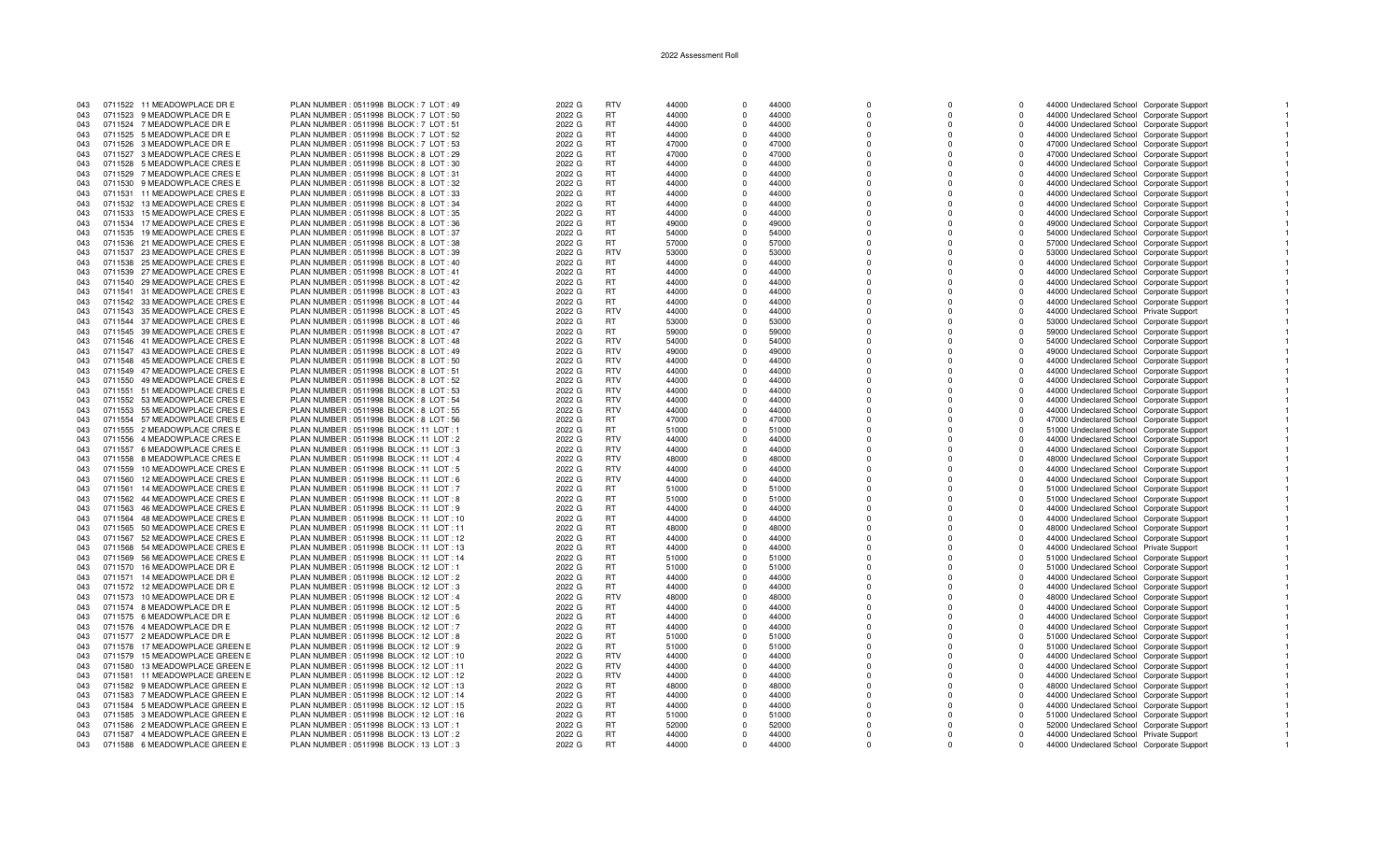| 043 |         | 0711522 11 MEADOWPLACE DR E   | PLAN NUMBER : 0511998 BLOCK : 7 LOT : 49  | 2022 G | <b>RTV</b> | 44000 |          | 44000 |              |          | $\Omega$ | 44000 Undeclared School Corporate Support |  |
|-----|---------|-------------------------------|-------------------------------------------|--------|------------|-------|----------|-------|--------------|----------|----------|-------------------------------------------|--|
| 043 |         | 0711523 9 MEADOWPLACE DR E    | PLAN NUMBER: 0511998 BLOCK: 7 LOT: 50     | 2022 G | RT         | 44000 |          | 44000 | $\mathbf 0$  | 0        | $\Omega$ | 44000 Undeclared School Corporate Support |  |
| 043 |         | 0711524 7 MEADOWPLACE DR E    | PLAN NUMBER : 0511998 BLOCK : 7 LOT : 51  | 2022 G | <b>RT</b>  | 44000 |          | 44000 | $\Omega$     | O        | $\Omega$ | 44000 Undeclared School Corporate Support |  |
|     |         |                               |                                           |        |            |       |          |       |              |          |          |                                           |  |
| 043 |         | 0711525 5 MEADOWPLACE DR E    | PLAN NUMBER: 0511998 BLOCK: 7 LOT: 52     | 2022 G | <b>RT</b>  | 44000 |          | 44000 | $\Omega$     | n        | $\Omega$ | 44000 Undeclared School Corporate Support |  |
| 043 |         | 0711526 3 MEADOWPLACE DR E    | PLAN NUMBER : 0511998 BLOCK : 7 LOT : 53  | 2022 G | <b>RT</b>  | 47000 |          | 47000 | $\Omega$     |          | $\Omega$ | 47000 Undeclared School Corporate Support |  |
| 043 |         | 0711527 3 MEADOWPLACE CRES E  | PLAN NUMBER : 0511998 BLOCK : 8 LOT : 29  | 2022 G | <b>RT</b>  | 47000 | $\Omega$ | 47000 | $\Omega$     | $\Omega$ | $\Omega$ | 47000 Undeclared School Corporate Support |  |
| 043 | 0711528 | 5 MEADOWPLACE CRES E          | PLAN NUMBER : 0511998 BLOCK : 8 LOT : 30  | 2022 G | <b>RT</b>  | 44000 | $\Omega$ | 44000 | $\Omega$     | $\Omega$ | $\Omega$ | 44000 Undeclared School Corporate Support |  |
| 043 |         | 0711529 7 MEADOWPLACE CRES E  | PLAN NUMBER: 0511998 BLOCK: 8 LOT: 31     | 2022 G | <b>RT</b>  | 44000 |          | 44000 | $\Omega$     |          | $\Omega$ | 44000 Undeclared School Corporate Support |  |
|     | 0711530 |                               |                                           |        | <b>RT</b>  |       |          |       |              |          |          |                                           |  |
| 043 |         | 9 MEADOWPLACE CRES E          | PLAN NUMBER : 0511998 BLOCK : 8 LOT : 32  | 2022 G |            | 44000 |          | 44000 |              |          |          | 44000 Undeclared School Corporate Support |  |
| 043 | 0711531 | 11 MEADOWPLACE CRES E         | PLAN NUMBER : 0511998 BLOCK : 8 LOT : 33  | 2022 G | <b>RT</b>  | 44000 |          | 44000 | $\Omega$     |          | $\Omega$ | 44000 Undeclared School Corporate Support |  |
| 043 | 0711532 | 13 MEADOWPLACE CRES E         | PLAN NUMBER : 0511998 BLOCK : 8 LOT : 34  | 2022 G | <b>RT</b>  | 44000 |          | 44000 |              |          | $\Omega$ | 44000 Undeclared School Corporate Support |  |
| 043 | 0711533 | 15 MEADOWPLACE CRES E         | PLAN NUMBER : 0511998 BLOCK : 8 LOT : 35  | 2022 G | <b>RT</b>  | 44000 |          | 44000 | $\Omega$     |          | $\Omega$ | 44000 Undeclared School Corporate Support |  |
| 043 |         | 0711534 17 MEADOWPLACE CRES E | PLAN NUMBER : 0511998 BLOCK : 8 LOT : 36  | 2022 G | <b>RT</b>  | 49000 |          | 49000 |              |          | $\Omega$ | 49000 Undeclared School Corporate Support |  |
| 043 | 0711535 | 19 MEADOWPLACE CRES E         | PLAN NUMBER: 0511998 BLOCK: 8 LOT: 37     | 2022 G | <b>RT</b>  | 54000 | $\Omega$ | 54000 | $\Omega$     | 0        | $\Omega$ | 54000 Undeclared School Corporate Support |  |
|     |         |                               |                                           |        |            |       |          |       | $\Omega$     | $\Omega$ |          |                                           |  |
| 043 |         | 0711536 21 MEADOWPLACE CRES E | PLAN NUMBER : 0511998 BLOCK : 8 LOT : 38  | 2022 G | <b>RT</b>  | 57000 | $\Omega$ | 57000 |              |          | $\Omega$ | 57000 Undeclared School Corporate Support |  |
| 043 |         | 0711537 23 MEADOWPLACE CRES E | PLAN NUMBER : 0511998 BLOCK : 8 LOT : 39  | 2022 G | <b>RTV</b> | 53000 |          | 53000 | $\Omega$     |          | $\Omega$ | 53000 Undeclared School Corporate Support |  |
| 043 |         | 0711538 25 MEADOWPLACE CRES E | PLAN NUMBER : 0511998 BLOCK : 8 LOT : 40  | 2022 G | <b>RT</b>  | 44000 |          | 44000 |              |          | $\Omega$ | 44000 Undeclared School Corporate Support |  |
| 043 |         | 0711539 27 MEADOWPLACE CRES E | PLAN NUMBER : 0511998 BLOCK : 8 LOT : 41  | 2022 G | <b>RT</b>  | 44000 |          | 44000 | $\Omega$     |          | $\Omega$ | 44000 Undeclared School Corporate Support |  |
| 043 |         | 0711540 29 MEADOWPLACE CRES E | PLAN NUMBER : 0511998 BLOCK : 8 LOT : 42  | 2022 G | <b>RT</b>  | 44000 |          | 44000 |              |          | $\Omega$ | 44000 Undeclared School Corporate Support |  |
| 043 |         | 0711541 31 MEADOWPLACE CRES E | PLAN NUMBER : 0511998 BLOCK : 8 LOT : 43  | 2022 G | <b>RT</b>  | 44000 |          | 44000 | $\Omega$     |          | $\Omega$ | 44000 Undeclared School Corporate Support |  |
|     |         |                               |                                           |        |            |       |          |       |              |          |          |                                           |  |
| 043 |         | 0711542 33 MEADOWPLACE CRES E | PLAN NUMBER : 0511998 BLOCK : 8 LOT : 44  | 2022 G | <b>RT</b>  | 44000 |          | 44000 | $\Omega$     |          | $\Omega$ | 44000 Undeclared School Corporate Support |  |
| 043 |         | 0711543 35 MEADOWPLACE CRES E | PLAN NUMBER: 0511998 BLOCK: 8 LOT: 45     | 2022 G | <b>RTV</b> | 44000 | $\Omega$ | 44000 | $\Omega$     | 0        | $\Omega$ | 44000 Undeclared School Private Support   |  |
| 043 |         | 0711544 37 MEADOWPLACE CRES E | PLAN NUMBER : 0511998 BLOCK : 8 LOT : 46  | 2022 G | <b>RT</b>  | 53000 | $\Omega$ | 53000 | $\Omega$     | $\Omega$ | $\Omega$ | 53000 Undeclared School Corporate Support |  |
| 043 |         | 0711545 39 MEADOWPLACE CRES E | PLAN NUMBER : 0511998 BLOCK : 8 LOT : 47  | 2022 G | <b>RT</b>  | 59000 |          | 59000 | $\Omega$     |          | $\Omega$ | 59000 Undeclared School Corporate Support |  |
| 043 |         | 0711546 41 MEADOWPLACE CRES E | PLAN NUMBER : 0511998 BLOCK : 8 LOT : 48  | 2022 G | <b>RTV</b> | 54000 |          | 54000 |              |          | $\Omega$ | 54000 Undeclared School Corporate Support |  |
| 043 |         | 0711547 43 MEADOWPLACE CRES E | PLAN NUMBER : 0511998 BLOCK : 8 LOT : 49  | 2022 G | <b>RTV</b> | 49000 |          | 49000 | $\Omega$     |          | $\Omega$ | 49000 Undeclared School Corporate Support |  |
|     |         |                               |                                           |        |            |       |          |       |              |          |          |                                           |  |
| 043 |         | 0711548 45 MEADOWPLACE CRES E | PLAN NUMBER : 0511998 BLOCK : 8 LOT : 50  | 2022 G | <b>RTV</b> | 44000 |          | 44000 |              |          | $\Omega$ | 44000 Undeclared School Corporate Support |  |
| 043 |         | 0711549 47 MEADOWPLACE CRES E | PLAN NUMBER : 0511998 BLOCK : 8 LOT : 51  | 2022 G | <b>RTV</b> | 44000 |          | 44000 | $\Omega$     |          | $\Omega$ | 44000 Undeclared School Corporate Support |  |
| 043 |         | 0711550 49 MEADOWPLACE CRES E | PLAN NUMBER : 0511998 BLOCK : 8 LOT : 52  | 2022 G | <b>RTV</b> | 44000 |          | 44000 | $\Omega$     |          | $\Omega$ | 44000 Undeclared School Corporate Support |  |
| 043 | 0711551 | 51 MEADOWPLACE CRES E         | PLAN NUMBER: 0511998 BLOCK: 8 LOT: 53     | 2022 G | <b>RTV</b> | 44000 | $\Omega$ | 44000 | $\Omega$     | 0        | $\Omega$ | 44000 Undeclared School Corporate Support |  |
| 043 | 0711552 | 53 MEADOWPLACE CRES E         | PLAN NUMBER : 0511998 BLOCK : 8 LOT : 54  | 2022 G | <b>RTV</b> | 44000 | $\Omega$ | 44000 | $\Omega$     | $\Omega$ | $\Omega$ | 44000 Undeclared School Corporate Support |  |
|     |         |                               |                                           |        | <b>RTV</b> | 44000 |          | 44000 | $\Omega$     |          | $\Omega$ |                                           |  |
| 043 |         | 0711553 55 MEADOWPLACE CRES E | PLAN NUMBER: 0511998 BLOCK: 8 LOT: 55     | 2022 G |            |       |          |       |              |          |          | 44000 Undeclared School Corporate Support |  |
| 043 |         | 0711554 57 MEADOWPLACE CRES E | PLAN NUMBER: 0511998 BLOCK: 8 LOT: 56     | 2022 G | <b>RT</b>  | 47000 | $\Omega$ | 47000 | $\Omega$     |          | $\Omega$ | 47000 Undeclared School Corporate Support |  |
| 043 |         | 0711555 2 MEADOWPLACE CRES E  | PLAN NUMBER: 0511998 BLOCK: 11 LOT: 1     | 2022 G | RT         | 51000 |          | 51000 | <sup>n</sup> |          | $\Omega$ | 51000 Undeclared School Corporate Support |  |
| 043 | 0711556 | 4 MEADOWPLACE CRES E          | PLAN NUMBER : 0511998 BLOCK : 11 LOT : 2  | 2022 G | <b>RTV</b> | 44000 |          | 44000 |              |          | $\Omega$ | 44000 Undeclared School Corporate Support |  |
| 043 | 0711557 | 6 MEADOWPLACE CRES E          | PLAN NUMBER : 0511998 BLOCK : 11 LOT : 3  | 2022 G | <b>RTV</b> | 44000 |          | 44000 | $\Omega$     |          | $\Omega$ | 44000 Undeclared School Corporate Support |  |
| 043 | 0711558 | 8 MEADOWPLACE CRES E          | PLAN NUMBER: 0511998 BLOCK: 11 LOT: 4     | 2022 G | <b>RTV</b> | 48000 |          | 48000 | $\Omega$     |          | $\Omega$ | 48000 Undeclared School Corporate Support |  |
| 043 | 0711559 | 10 MEADOWPLACE CRES E         | PLAN NUMBER: 0511998 BLOCK: 11 LOT: 5     | 2022 G | <b>RTV</b> | 44000 | $\Omega$ | 44000 | $\Omega$     | 0        | $\Omega$ |                                           |  |
|     |         |                               |                                           |        |            |       |          |       |              |          |          | 44000 Undeclared School Corporate Support |  |
| 043 | 0711560 | 12 MEADOWPLACE CRES E         | PLAN NUMBER: 0511998 BLOCK: 11 LOT: 6     | 2022 G | <b>RTV</b> | 44000 | $\Omega$ | 44000 | $\Omega$     | $\Omega$ | $\Omega$ | 44000 Undeclared School Corporate Support |  |
| 043 | 0711561 | 14 MEADOWPLACE CRES E         | PLAN NUMBER: 0511998 BLOCK: 11 LOT: 7     | 2022 G | <b>RT</b>  | 51000 |          | 51000 | $\Omega$     |          | $\Omega$ | 51000 Undeclared School Corporate Support |  |
| 043 |         | 0711562 44 MEADOWPLACE CRES E | PLAN NUMBER: 0511998 BLOCK: 11 LOT: 8     | 2022 G | <b>RT</b>  | 51000 | $\Omega$ | 51000 | $\Omega$     |          | $\Omega$ | 51000 Undeclared School Corporate Support |  |
| 043 | 0711563 | 46 MEADOWPLACE CRES E         | PLAN NUMBER: 0511998 BLOCK: 11 LOT: 9     | 2022 G | <b>RT</b>  | 44000 |          | 44000 | <sup>n</sup> |          | $\Omega$ | 44000 Undeclared School Corporate Support |  |
| 043 |         | 0711564 48 MEADOWPLACE CRES E | PLAN NUMBER: 0511998 BLOCK: 11 LOT: 10    | 2022 G | <b>RT</b>  | 44000 |          | 44000 |              |          | $\Omega$ | 44000 Undeclared School Corporate Support |  |
| 043 |         | 0711565 50 MEADOWPLACE CRESE  | PLAN NUMBER: 0511998 BLOCK: 11 LOT: 11    | 2022 G | <b>RT</b>  | 48000 |          | 48000 | $\Omega$     |          | $\Omega$ |                                           |  |
|     |         |                               |                                           |        |            |       |          |       |              |          |          | 48000 Undeclared School Corporate Support |  |
| 043 | 0711567 | 52 MEADOWPLACE CRES E         | PLAN NUMBER : 0511998 BLOCK : 11 LOT : 12 | 2022 G | <b>RT</b>  | 44000 |          | 44000 | $\Omega$     |          | $\Omega$ | 44000 Undeclared School Corporate Support |  |
| 043 | 0711568 | 54 MEADOWPLACE CRES E         | PLAN NUMBER : 0511998 BLOCK : 11 LOT : 13 | 2022 G | <b>RT</b>  | 44000 | $\Omega$ | 44000 | $\Omega$     | 0        | $\Omega$ | 44000 Undeclared School Private Support   |  |
| 043 | 0711569 | 56 MEADOWPLACE CRES E         | PLAN NUMBER: 0511998 BLOCK: 11 LOT: 14    | 2022 G | <b>RT</b>  | 51000 | $\Omega$ | 51000 | $\Omega$     | $\Omega$ | $\Omega$ | 51000 Undeclared School Corporate Support |  |
| 043 | 0711570 | 16 MEADOWPLACE DR E           | PLAN NUMBER: 0511998 BLOCK: 12 LOT: 1     | 2022 G | <b>RT</b>  | 51000 |          | 51000 | $\Omega$     |          | $\Omega$ | 51000 Undeclared School Corporate Support |  |
| 043 |         | 0711571 14 MEADOWPLACE DR E   | PLAN NUMBER : 0511998 BLOCK : 12 LOT : 2  | 2022 G | <b>RT</b>  | 44000 | $\Omega$ | 44000 | $\Omega$     |          | $\Omega$ | 44000 Undeclared School Corporate Support |  |
| 043 |         | 0711572 12 MEADOWPLACE DR E   | PLAN NUMBER : 0511998 BLOCK : 12 LOT : 3  | 2022 G | <b>RT</b>  | 44000 |          | 44000 | <sup>n</sup> |          | $\Omega$ | 44000 Undeclared School Corporate Support |  |
|     |         |                               |                                           |        |            |       |          |       |              |          |          |                                           |  |
| 043 | 0711573 | 10 MEADOWPLACE DR E           | PLAN NUMBER: 0511998 BLOCK: 12 LOT: 4     | 2022 G | <b>RTV</b> | 48000 |          | 48000 |              |          | $\Omega$ | 48000 Undeclared School Corporate Support |  |
| 043 |         | 0711574 8 MEADOWPLACE DR E    | PLAN NUMBER : 0511998 BLOCK : 12 LOT : 5  | 2022 G | <b>RT</b>  | 44000 |          | 44000 | $\Omega$     |          | $\Omega$ | 44000 Undeclared School Corporate Support |  |
| 043 |         | 0711575 6 MEADOWPLACE DR E    | PLAN NUMBER : 0511998 BLOCK : 12 LOT : 6  | 2022 G | <b>RT</b>  | 44000 | n        | 44000 | $\Omega$     |          | $\Omega$ | 44000 Undeclared School Corporate Support |  |
| 043 |         | 0711576 4 MEADOWPLACE DR E    | PLAN NUMBER: 0511998 BLOCK: 12 LOT: 7     | 2022 G | <b>RT</b>  | 44000 | $\Omega$ | 44000 | $\Omega$     | 0        | $\Omega$ | 44000 Undeclared School Corporate Support |  |
| 043 |         | 0711577 2 MEADOWPLACE DR E    | PLAN NUMBER : 0511998 BLOCK : 12 LOT : 8  | 2022 G | <b>RT</b>  | 51000 | $\Omega$ | 51000 | $\Omega$     |          | $\Omega$ | 51000 Undeclared School Corporate Support |  |
|     |         |                               |                                           |        |            |       |          |       |              |          | $\Omega$ |                                           |  |
| 043 | 0711578 | 17 MEADOWPLACE GREEN E        | PLAN NUMBER: 0511998 BLOCK: 12 LOT: 9     | 2022 G | <b>RT</b>  | 51000 |          | 51000 | $\Omega$     |          |          | 51000 Undeclared School Corporate Support |  |
| 043 | 0711579 | 15 MEADOWPLACE GREEN E        | PLAN NUMBER: 0511998 BLOCK: 12 LOT: 10    | 2022 G | <b>RTV</b> | 44000 | $\Omega$ | 44000 | $\Omega$     |          | $\Omega$ | 44000 Undeclared School Corporate Support |  |
| 043 | 0711580 | 13 MEADOWPLACE GREEN E        | PLAN NUMBER : 0511998 BLOCK : 12 LOT : 11 | 2022 G | <b>RTV</b> | 44000 |          | 44000 | $\Omega$     |          | $\Omega$ | 44000 Undeclared School Corporate Support |  |
| 043 | 0711581 | 11 MEADOWPLACE GREEN E        | PLAN NUMBER : 0511998 BLOCK : 12 LOT : 12 | 2022 G | <b>RTV</b> | 44000 |          | 44000 |              |          | $\Omega$ | 44000 Undeclared School Corporate Support |  |
| 043 |         | 0711582 9 MEADOWPLACE GREEN E | PLAN NUMBER: 0511998 BLOCK: 12 LOT: 13    | 2022 G | <b>RT</b>  | 48000 |          | 48000 | $\Omega$     |          | $\Omega$ | 48000 Undeclared School Corporate Support |  |
| 043 |         | 0711583 7 MEADOWPLACE GREEN E | PLAN NUMBER: 0511998 BLOCK: 12 LOT: 14    | 2022 G | <b>RT</b>  | 44000 | $\Omega$ | 44000 | $\Omega$     |          | $\Omega$ | 44000 Undeclared School Corporate Support |  |
| 043 | 0711584 | 5 MEADOWPLACE GREEN E         | PLAN NUMBER : 0511998 BLOCK : 12 LOT : 15 | 2022 G | RT         | 44000 | $\Omega$ | 44000 | $\Omega$     |          | $\Omega$ |                                           |  |
|     |         |                               |                                           |        |            |       |          |       |              |          |          | 44000 Undeclared School Corporate Support |  |
| 043 | 0711585 | 3 MEADOWPLACE GREEN E         | PLAN NUMBER: 0511998 BLOCK: 12 LOT: 16    | 2022 G | <b>RT</b>  | 51000 | $\Omega$ | 51000 | $\Omega$     |          | $\Omega$ | 51000 Undeclared School Corporate Support |  |
| 043 |         | 0711586 2 MEADOWPLACE GREEN E | PLAN NUMBER : 0511998 BLOCK : 13 LOT : 1  | 2022 G | <b>RT</b>  | 52000 |          | 52000 | $\Omega$     |          | $\Omega$ | 52000 Undeclared School Corporate Support |  |
| 043 |         | 0711587 4 MEADOWPLACE GREEN E | PLAN NUMBER : 0511998 BLOCK : 13 LOT : 2  | 2022 G | <b>RT</b>  | 44000 | $\Omega$ | 44000 | U            |          | $\Omega$ | 44000 Undeclared School Private Support   |  |
| 043 |         | 0711588 6 MEADOWPLACE GREEN E | PLAN NUMBER : 0511998 BLOCK : 13 LOT : 3  | 2022 G | <b>RT</b>  | 44000 |          | 44000 | $\Omega$     |          | $\Omega$ | 44000 Undeclared School Corporate Support |  |

 $\overline{1}$ 

 $\overline{1}$ 

 $\blacksquare$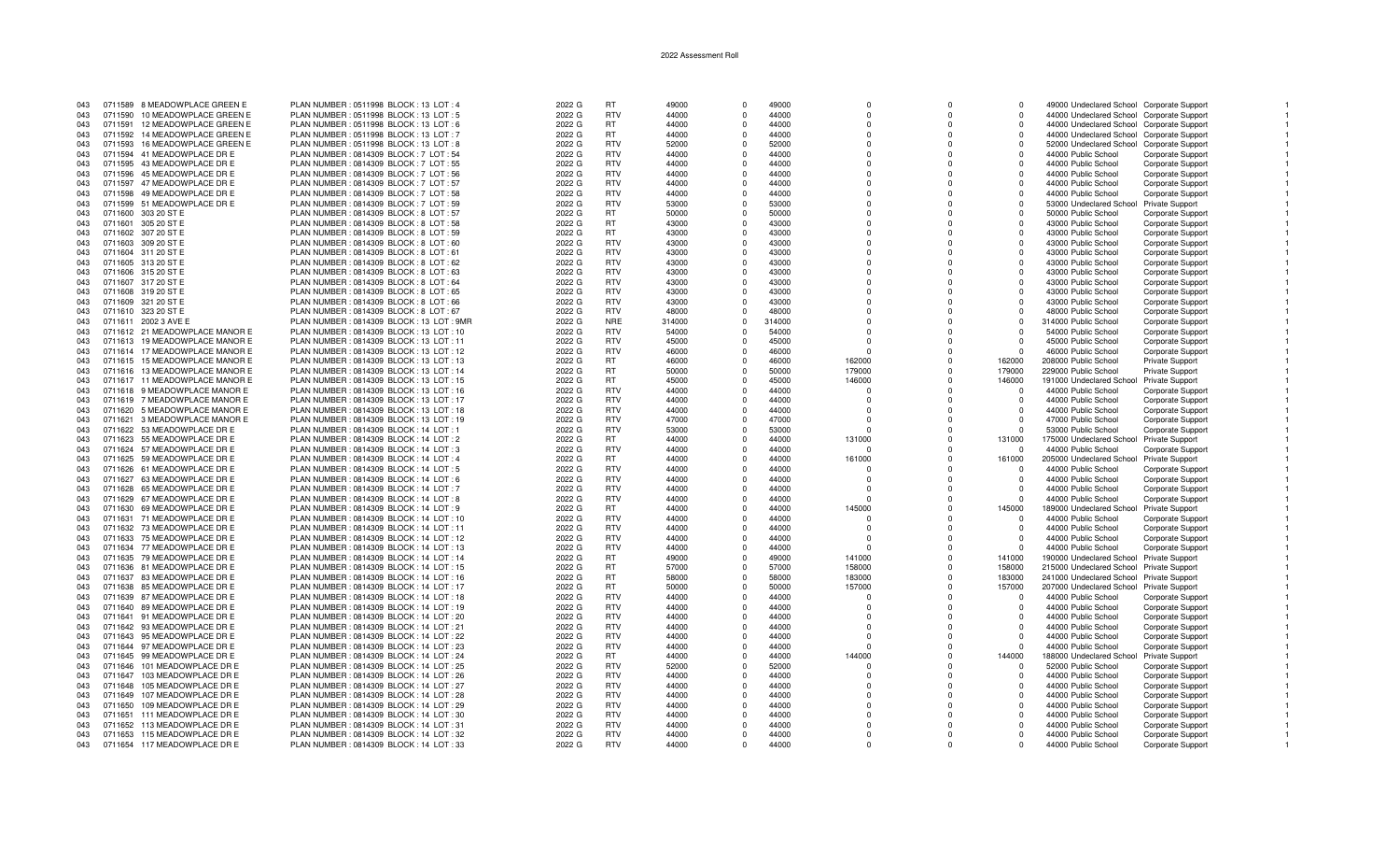| 043 |         | 0711589 8 MEADOWPLACE GREEN E  | PLAN NUMBER : 0511998 BLOCK : 13 LOT : 4  | 2022 G | <b>RT</b>                | 49000          | $\Omega$             | 49000  | $\Omega$             | $\Omega$     | $\Omega$ | 49000 Undeclared School Corporate Support |                          |  |
|-----|---------|--------------------------------|-------------------------------------------|--------|--------------------------|----------------|----------------------|--------|----------------------|--------------|----------|-------------------------------------------|--------------------------|--|
| 043 |         | 0711590 10 MEADOWPLACE GREEN E | PLAN NUMBER : 0511998 BLOCK : 13 LOT : 5  | 2022 G | <b>RTV</b>               | 44000          | $\Omega$             | 44000  | 0                    | $^{\circ}$   | $\Omega$ | 44000 Undeclared School Corporate Support |                          |  |
| 043 |         | 0711591 12 MEADOWPLACE GREEN E | PLAN NUMBER : 0511998 BLOCK : 13 LOT : 6  | 2022 G | <b>RT</b>                | 44000          | $\Omega$             | 44000  | $\Omega$             | $\Omega$     | $\Omega$ | 44000 Undeclared School Corporate Support |                          |  |
| 043 |         | 0711592 14 MEADOWPLACE GREEN E | PLAN NUMBER : 0511998 BLOCK : 13 LOT : 7  | 2022 G | <b>RT</b>                | 44000          | $\Omega$             | 44000  | $\Omega$             | $\Omega$     | $\Omega$ | 44000 Undeclared School Corporate Support |                          |  |
| 043 |         | 0711593 16 MEADOWPLACE GREEN E | PLAN NUMBER : 0511998 BLOCK : 13 LOT : 8  | 2022 G | <b>RTV</b>               | 52000          | $\Omega$             | 52000  | $\Omega$             | $\Omega$     | $\Omega$ | 52000 Undeclared School Corporate Support |                          |  |
| 043 |         | 0711594 41 MEADOWPLACE DR E    | PLAN NUMBER : 0814309 BLOCK : 7 LOT : 54  | 2022 G | <b>RTV</b>               | 44000          | $\Omega$             | 44000  | $\Omega$             | $\Omega$     | $\Omega$ | 44000 Public School                       | Corporate Support        |  |
| 043 |         | 0711595 43 MEADOWPLACE DR E    | PLAN NUMBER : 0814309 BLOCK : 7 LOT : 55  | 2022 G | <b>RTV</b>               | 44000          | $\Omega$             | 44000  | $\Omega$             | $\Omega$     | $\Omega$ | 44000 Public School                       | Corporate Support        |  |
| 043 |         | 0711596 45 MEADOWPLACE DR E    | PLAN NUMBER: 0814309 BLOCK: 7 LOT: 56     | 2022 G | <b>RTV</b>               | 44000          | $\Omega$             | 44000  | $\Omega$             | $\Omega$     |          | 44000 Public School                       | <b>Corporate Support</b> |  |
| 043 |         | 0711597 47 MEADOWPLACE DR E    | PLAN NUMBER : 0814309 BLOCK : 7 LOT : 57  | 2022 G | <b>RTV</b>               | 44000          | $\Omega$             | 44000  | $\Omega$             | $\Omega$     | $\Omega$ | 44000 Public School                       | Corporate Support        |  |
| 043 |         | 0711598 49 MEADOWPLACE DR E    | PLAN NUMBER: 0814309 BLOCK: 7 LOT: 58     | 2022 G | <b>RTV</b>               | 44000          | $\mathbf{0}$         | 44000  | $\Omega$             | $\Omega$     | $\Omega$ | 44000 Public School                       | Corporate Support        |  |
| 043 |         | 0711599 51 MEADOWPLACE DR E    | PLAN NUMBER : 0814309 BLOCK : 7 LOT : 59  | 2022 G | <b>RTV</b>               | 53000          | $\Omega$             | 53000  | $\Omega$             | $\Omega$     | $\Omega$ | 53000 Undeclared School Private Support   |                          |  |
| 043 |         | 0711600 303 20 ST E            | PLAN NUMBER : 0814309 BLOCK : 8 LOT : 57  | 2022 G | <b>RT</b>                | 50000          | $\Omega$             | 50000  | $\Omega$             | $\Omega$     | $\Omega$ | 50000 Public School                       | <b>Corporate Support</b> |  |
| 043 |         | 0711601 305 20 ST E            | PLAN NUMBER : 0814309 BLOCK : 8 LOT : 58  | 2022 G | <b>RT</b>                | 43000          | $\Omega$             | 43000  | $\Omega$             | $\Omega$     | $\Omega$ | 43000 Public School                       | Corporate Support        |  |
| 043 |         | 0711602 307 20 ST E            | PLAN NUMBER : 0814309 BLOCK : 8 LOT : 59  | 2022 G | <b>RT</b>                | 43000          | $\Omega$             | 43000  | $\Omega$             | $\Omega$     | $\Omega$ | 43000 Public School                       | Corporate Support        |  |
| 043 |         | 0711603 309 20 ST E            | PLAN NUMBER : 0814309 BLOCK : 8 LOT : 60  | 2022 G | <b>RTV</b>               | 43000          | $\Omega$             | 43000  | $\Omega$             | $\Omega$     | $\Omega$ | 43000 Public School                       | Corporate Support        |  |
| 043 |         | 0711604 311 20 ST E            | PLAN NUMBER : 0814309 BLOCK : 8 LOT : 61  | 2022 G | <b>RTV</b>               | 43000          | $\Omega$             | 43000  | $\Omega$             | $\Omega$     |          | 43000 Public School                       | <b>Corporate Support</b> |  |
| 043 |         | 0711605 313 20 ST E            | PLAN NUMBER : 0814309 BLOCK : 8 LOT : 62  | 2022 G | <b>RTV</b>               | 43000          | $\Omega$             | 43000  | $\Omega$             | $\Omega$     | $\Omega$ | 43000 Public School                       | Corporate Support        |  |
| 043 |         | 0711606 315 20 ST E            | PLAN NUMBER : 0814309 BLOCK : 8 LOT : 63  | 2022 G | <b>RTV</b>               | 43000          | $\mathbf{0}$         | 43000  | $\Omega$             | $\Omega$     | $\Omega$ | 43000 Public School                       | Corporate Support        |  |
| 043 |         | 0711607 317 20 ST E            | PLAN NUMBER : 0814309 BLOCK : 8 LOT : 64  | 2022 G | <b>RTV</b>               | 43000          | $\Omega$             | 43000  | $\Omega$             | $\Omega$     | $\Omega$ | 43000 Public School                       | Corporate Support        |  |
| 043 |         | 0711608 319 20 ST E            | PLAN NUMBER : 0814309 BLOCK : 8 LOT : 65  | 2022 G | <b>RTV</b>               | 43000          | $\Omega$             | 43000  | $\Omega$             | $\Omega$     | $\Omega$ | 43000 Public School                       | <b>Corporate Support</b> |  |
| 043 |         | 0711609 321 20 ST E            | PLAN NUMBER : 0814309 BLOCK : 8 LOT : 66  | 2022 G | <b>RTV</b>               | 43000          | $\Omega$             | 43000  | $\Omega$             | $\Omega$     | $\Omega$ | 43000 Public School                       |                          |  |
| 043 |         | 0711610 323 20 ST E            | PLAN NUMBER : 0814309 BLOCK : 8 LOT : 67  | 2022 G | <b>RTV</b>               | 48000          | $\Omega$             | 48000  | $\Omega$             | $\Omega$     | $\Omega$ |                                           | Corporate Support        |  |
| 043 |         |                                |                                           |        | <b>NRE</b>               |                | $\Omega$             |        | $\Omega$             | $\Omega$     | $\cap$   | 48000 Public School                       | Corporate Support        |  |
|     |         | 0711611 2002 3 AVE E           | PLAN NUMBER: 0814309 BLOCK: 13 LOT: 9MR   | 2022 G |                          | 314000         |                      | 314000 |                      |              |          | 314000 Public School                      | <b>Corporate Support</b> |  |
| 043 |         | 0711612 21 MEADOWPLACE MANOR E | PLAN NUMBER : 0814309 BLOCK : 13 LOT : 10 | 2022 G | <b>RTV</b><br><b>RTV</b> | 54000<br>45000 | $\Omega$<br>$\Omega$ | 54000  | $\Omega$<br>$\Omega$ | <sup>0</sup> |          | 54000 Public School                       | <b>Corporate Support</b> |  |
| 043 |         | 0711613 19 MEADOWPLACE MANOR E | PLAN NUMBER : 0814309 BLOCK : 13 LOT : 11 | 2022 G |                          |                |                      | 45000  |                      | <sup>0</sup> | $\Omega$ | 45000 Public School                       | Corporate Support        |  |
| 043 |         | 0711614 17 MEADOWPLACE MANOR E | PLAN NUMBER: 0814309 BLOCK: 13 LOT: 12    | 2022 G | <b>RTV</b>               | 46000          | $\Omega$             | 46000  | $\Omega$             | $\Omega$     | $\Omega$ | 46000 Public School                       | Corporate Support        |  |
| 043 |         | 0711615 15 MEADOWPLACE MANOR E | PLAN NUMBER: 0814309 BLOCK: 13 LOT: 13    | 2022 G | <b>RT</b>                | 46000          | $\Omega$             | 46000  | 162000               | $\Omega$     | 162000   | 208000 Public School                      | Private Support          |  |
| 043 |         | 0711616 13 MEADOWPLACE MANOR E | PLAN NUMBER: 0814309 BLOCK: 13 LOT: 14    | 2022 G | <b>RT</b>                | 50000          | $\Omega$             | 50000  | 179000               | $\Omega$     | 179000   | 229000 Public School                      | Private Support          |  |
| 043 |         | 0711617 11 MEADOWPLACE MANOR E | PLAN NUMBER: 0814309 BLOCK: 13 LOT: 15    | 2022 G | <b>RT</b>                | 45000          | $\Omega$             | 45000  | 146000               | $\Omega$     | 146000   | 191000 Undeclared School Private Support  |                          |  |
| 043 |         | 0711618 9 MEADOWPLACE MANOR E  | PLAN NUMBER : 0814309 BLOCK : 13 LOT : 16 | 2022 G | <b>RTV</b>               | 44000          | $\Omega$             | 44000  | $\Omega$             | $\Omega$     | $\Omega$ | 44000 Public School                       | <b>Corporate Support</b> |  |
| 043 |         | 0711619 7 MEADOWPLACE MANOR E  | PLAN NUMBER : 0814309 BLOCK : 13 LOT : 17 | 2022 G | <b>RTV</b>               | 44000          | $\Omega$             | 44000  | $\Omega$             | $\Omega$     | $\Omega$ | 44000 Public School                       | <b>Corporate Support</b> |  |
| 043 |         | 0711620 5 MEADOWPLACE MANOR E  | PLAN NUMBER : 0814309 BLOCK : 13 LOT : 18 | 2022 G | <b>RTV</b>               | 44000          | $\Omega$             | 44000  | $\Omega$             | $\Omega$     | $\Omega$ | 44000 Public School                       | Corporate Support        |  |
| 043 |         | 0711621 3 MEADOWPLACE MANOR E  | PLAN NUMBER: 0814309 BLOCK: 13 LOT: 19    | 2022 G | <b>RTV</b>               | 47000          | $\Omega$             | 47000  | $\Omega$             | $\Omega$     | $\Omega$ | 47000 Public School                       | Corporate Support        |  |
| 043 |         | 0711622 53 MEADOWPLACE DR E    | PLAN NUMBER: 0814309 BLOCK: 14 LOT: 1     | 2022 G | <b>RTV</b>               | 53000          | $\Omega$             | 53000  | $\Omega$             | $\Omega$     |          | 53000 Public School                       | <b>Corporate Support</b> |  |
| 043 |         | 0711623 55 MEADOWPLACE DR E    | PLAN NUMBER : 0814309 BLOCK : 14 LOT : 2  | 2022 G | <b>RT</b>                | 44000          | $\Omega$             | 44000  | 131000               | $\Omega$     | 131000   | 175000 Undeclared School Private Support  |                          |  |
| 043 |         | 0711624 57 MEADOWPLACE DR E    | PLAN NUMBER: 0814309 BLOCK: 14 LOT: 3     | 2022 G | <b>RTV</b>               | 44000          | $\Omega$             | 44000  | $\Omega$             | $\Omega$     |          | 44000 Public School                       | <b>Corporate Support</b> |  |
| 043 |         | 0711625 59 MEADOWPLACE DR E    | PLAN NUMBER : 0814309 BLOCK : 14 LOT : 4  | 2022 G | <b>RT</b>                | 44000          | $\Omega$             | 44000  | 161000               | $\Omega$     | 161000   | 205000 Undeclared School Private Support  |                          |  |
| 043 |         | 0711626 61 MEADOWPLACE DR E    | PLAN NUMBER: 0814309 BLOCK: 14 LOT: 5     | 2022 G | <b>RTV</b>               | 44000          | $\mathbf{0}$         | 44000  | 0                    | $^{\circ}$   | $\Omega$ | 44000 Public School                       | Corporate Support        |  |
| 043 |         | 0711627 63 MEADOWPLACE DR E    | PLAN NUMBER : 0814309 BLOCK : 14 LOT : 6  | 2022 G | <b>RTV</b>               | 44000          | $\Omega$             | 44000  | $\Omega$             | $\Omega$     | $\Omega$ | 44000 Public School                       | Corporate Support        |  |
| 043 |         | 0711628 65 MEADOWPLACE DR E    | PLAN NUMBER : 0814309 BLOCK : 14 LOT : 7  | 2022 G | <b>RTV</b>               | 44000          | $\Omega$             | 44000  | $\Omega$             | $\Omega$     | $\Omega$ | 44000 Public School                       | Corporate Support        |  |
| 043 |         | 0711629 67 MEADOWPLACE DR E    | PLAN NUMBER : 0814309 BLOCK : 14 LOT : 8  | 2022 G | <b>RTV</b>               | 44000          | $\Omega$             | 44000  | $\Omega$             | $\Omega$     | n        | 44000 Public School                       | <b>Corporate Support</b> |  |
| 043 |         | 0711630 69 MEADOWPLACE DR E    | PLAN NUMBER : 0814309 BLOCK : 14 LOT : 9  | 2022 G | <b>RT</b>                | 44000          | - 0                  | 44000  | 145000               | $\Omega$     | 145000   | 189000 Undeclared School Private Support  |                          |  |
| 043 |         | 0711631 71 MEADOWPLACE DR E    | PLAN NUMBER: 0814309 BLOCK: 14 LOT: 10    | 2022 G | <b>RTV</b>               | 44000          | $\Omega$             | 44000  | $\Omega$             | $\Omega$     | $\Omega$ | 44000 Public School                       | Corporate Support        |  |
| 043 |         | 0711632 73 MEADOWPLACE DR E    | PLAN NUMBER: 0814309 BLOCK: 14 LOT: 11    | 2022 G | <b>RTV</b>               | 44000          | $\Omega$             | 44000  | $\Omega$             | $\Omega$     | $\Omega$ | 44000 Public School                       | <b>Corporate Support</b> |  |
| 043 |         | 0711633 75 MEADOWPLACE DR E    | PLAN NUMBER: 0814309 BLOCK: 14 LOT: 12    | 2022 G | <b>RTV</b>               | 44000          | $\Omega$             | 44000  | $\Omega$             | $\Omega$     | $\Omega$ | 44000 Public School                       | Corporate Support        |  |
| 043 |         | 0711634 77 MEADOWPLACE DR E    | PLAN NUMBER: 0814309 BLOCK: 14 LOT: 13    | 2022 G | <b>RTV</b>               | 44000          | $\mathbf{0}$         | 44000  | $\Omega$             | $^{\circ}$   | - 0      | 44000 Public School                       | <b>Corporate Support</b> |  |
| 043 |         | 0711635 79 MEADOWPLACE DR E    | PLAN NUMBER: 0814309 BLOCK: 14 LOT: 14    | 2022 G | <b>RT</b>                | 49000          | $\Omega$             | 49000  | 141000               | $\Omega$     | 141000   | 190000 Undeclared School Private Support  |                          |  |
| 043 |         | 0711636 81 MEADOWPLACE DR E    | PLAN NUMBER : 0814309 BLOCK : 14 LOT : 15 | 2022 G | <b>RT</b>                | 57000          | $\Omega$             | 57000  | 158000               | $\Omega$     | 158000   | 215000 Undeclared School Private Support  |                          |  |
| 043 |         | 0711637 83 MEADOWPLACE DR E    | PLAN NUMBER : 0814309 BLOCK : 14 LOT : 16 | 2022 G | <b>RT</b>                | 58000          | $\Omega$             | 58000  | 183000               | $\Omega$     | 183000   | 241000 Undeclared School Private Support  |                          |  |
| 043 |         | 0711638 85 MEADOWPLACE DR E    | PLAN NUMBER : 0814309 BLOCK : 14 LOT : 17 | 2022 G | RT                       | 50000          | - 0                  | 50000  | 157000               | $\Omega$     | 157000   | 207000 Undeclared School Private Support  |                          |  |
| 043 |         | 0711639 87 MEADOWPLACE DR E    | PLAN NUMBER: 0814309 BLOCK: 14 LOT: 18    | 2022 G | <b>RTV</b>               | 44000          | $\Omega$             | 44000  | $\Omega$             | $\Omega$     | $\Omega$ | 44000 Public School                       | Corporate Support        |  |
| 043 |         | 0711640 89 MEADOWPLACE DR E    | PLAN NUMBER: 0814309 BLOCK: 14 LOT: 19    | 2022 G | <b>RTV</b>               | 44000          | $\Omega$             | 44000  | $\Omega$             | $\Omega$     | $\Omega$ | 44000 Public School                       | <b>Corporate Support</b> |  |
| 043 |         | 0711641 91 MEADOWPLACE DR E    | PLAN NUMBER : 0814309 BLOCK : 14 LOT : 20 | 2022 G | <b>RTV</b>               | 44000          | $\Omega$             | 44000  | $\Omega$             | $\Omega$     | $\Omega$ | 44000 Public School                       | Corporate Support        |  |
| 043 |         | 0711642 93 MEADOWPLACE DR E    | PLAN NUMBER: 0814309 BLOCK: 14 LOT: 21    | 2022 G | <b>RTV</b>               | 44000          | $\mathbf{0}$         | 44000  | $^{\circ}$           | $^{\circ}$   | $\Omega$ | 44000 Public School                       | Corporate Support        |  |
| 043 |         | 0711643 95 MEADOWPLACE DR E    | PLAN NUMBER: 0814309 BLOCK: 14 LOT: 22    | 2022 G | <b>RTV</b>               | 44000          | $\Omega$             | 44000  | $\Omega$             | $\Omega$     | $\Omega$ | 44000 Public School                       | Corporate Support        |  |
| 043 |         | 0711644 97 MEADOWPLACE DR E    | PLAN NUMBER: 0814309 BLOCK: 14 LOT: 23    | 2022 G | <b>RTV</b>               | 44000          | $\Omega$             | 44000  | $\Omega$             | $\Omega$     | $\cap$   | 44000 Public School                       | <b>Corporate Support</b> |  |
| 043 |         | 0711645 99 MEADOWPLACE DR E    | PLAN NUMBER : 0814309 BLOCK : 14 LOT : 24 | 2022 G | RT.                      | 44000          | $\Omega$             | 44000  | 144000               | $\Omega$     | 144000   | 188000 Undeclared School Private Support  |                          |  |
| 043 |         | 0711646 101 MEADOWPLACE DR E   | PLAN NUMBER : 0814309 BLOCK : 14 LOT : 25 | 2022 G | <b>RTV</b>               | 52000          | $\Omega$             | 52000  | $\Omega$             | $\Omega$     | $\Omega$ | 52000 Public School                       | Corporate Support        |  |
| 043 |         | 0711647 103 MEADOWPLACE DR E   | PLAN NUMBER : 0814309 BLOCK : 14 LOT : 26 | 2022 G | <b>RTV</b>               | 44000          | $\Omega$             | 44000  | $\Omega$             | $\Omega$     | $\Omega$ | 44000 Public School                       | Corporate Support        |  |
| 043 |         | 0711648 105 MEADOWPLACE DR E   | PLAN NUMBER: 0814309 BLOCK: 14 LOT: 27    | 2022 G | <b>RTV</b>               | 44000          | - 0                  | 44000  | $\Omega$             | $\Omega$     | $\cap$   | 44000 Public School                       | Corporate Support        |  |
| 043 |         | 0711649 107 MEADOWPLACE DR E   | PLAN NUMBER : 0814309 BLOCK : 14 LOT : 28 | 2022 G | <b>RTV</b>               | 44000          | $\Omega$             | 44000  | $\Omega$             | $\Omega$     | $\Omega$ | 44000 Public School                       | Corporate Support        |  |
| 043 | 0711650 | 109 MEADOWPLACE DR E           | PLAN NUMBER: 0814309 BLOCK: 14 LOT: 29    | 2022 G | <b>RTV</b>               | 44000          | $\mathbf{0}$         | 44000  | 0                    | $\Omega$     | $\Omega$ | 44000 Public School                       | <b>Corporate Support</b> |  |
| 043 | 0711651 | 111 MEADOWPLACE DR E           | PLAN NUMBER: 0814309 BLOCK: 14 LOT: 30    | 2022 G | <b>RTV</b>               | 44000          | $\Omega$             | 44000  | $\Omega$             | $\Omega$     | $\Omega$ | 44000 Public School                       | Corporate Support        |  |
| 043 |         | 0711652 113 MEADOWPLACE DR E   | PLAN NUMBER : 0814309 BLOCK : 14 LOT : 31 | 2022 G | <b>RTV</b>               | 44000          | $\Omega$             | 44000  | $\Omega$             | $\Omega$     |          | 44000 Public School                       | <b>Corporate Support</b> |  |
| 043 |         | 0711653 115 MEADOWPLACE DR E   | PLAN NUMBER : 0814309 BLOCK : 14 LOT : 32 | 2022 G | <b>RTV</b>               | 44000          | $\Omega$             | 44000  | $\Omega$             |              | $\cap$   | 44000 Public School                       | Corporate Support        |  |
| 043 |         | 0711654 117 MEADOWPLACE DR E   | PLAN NUMBER : 0814309 BLOCK : 14 LOT : 33 | 2022 G | <b>RTV</b>               | 44000          | $\Omega$             | 44000  | $\Omega$             |              |          | 44000 Public School                       | <b>Corporate Support</b> |  |
|     |         |                                |                                           |        |                          |                |                      |        |                      |              |          |                                           |                          |  |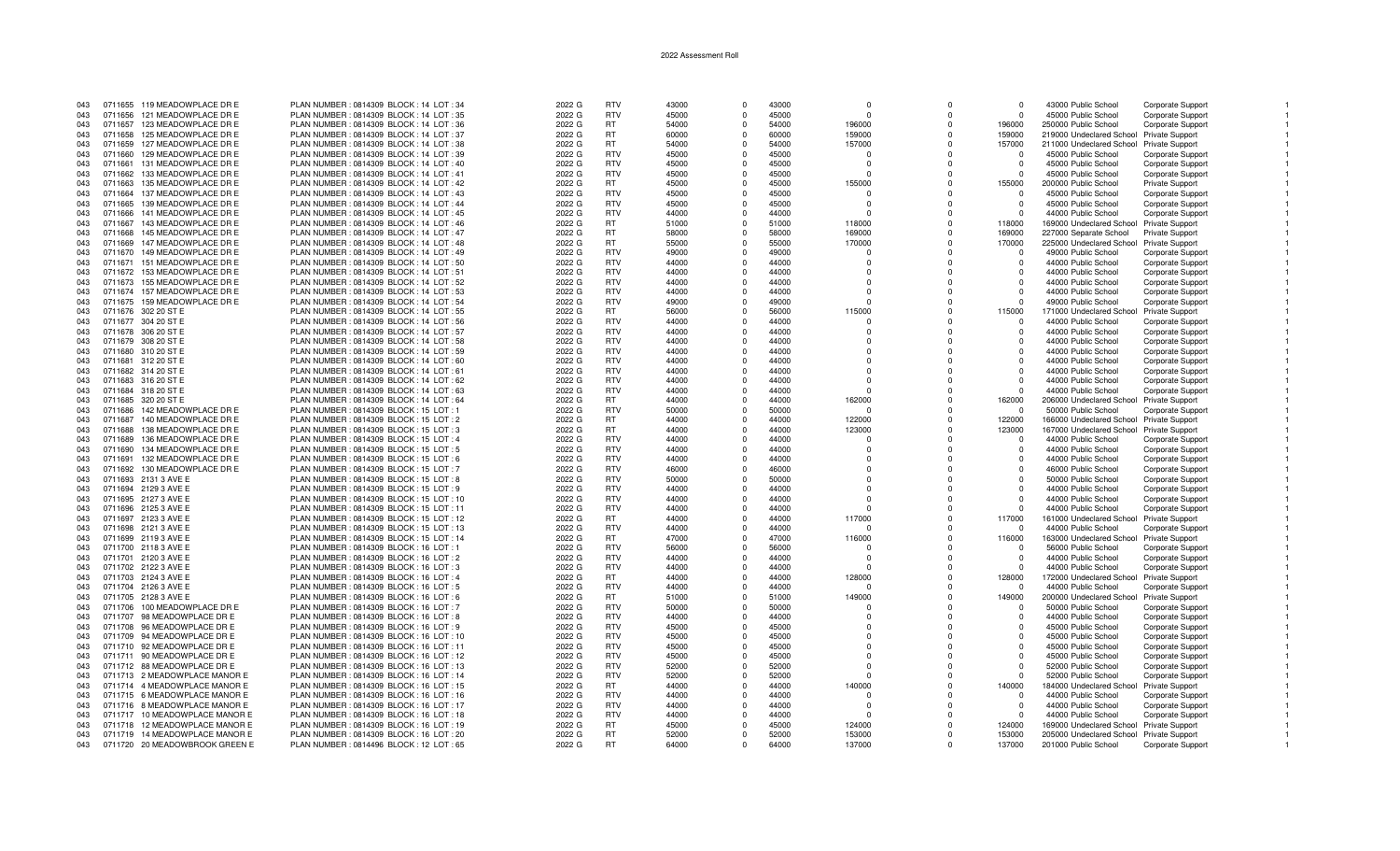| 043 |         | 0711655 119 MEADOWPLACE DR E   | PLAN NUMBER: 0814309 BLOCK: 14 LOT: 34    | 2022 G | <b>RTV</b> | 43000 | $\Omega$   | 43000 | $\Omega$     | $\Omega$   | $\Omega$ | 43000 Public School                      | Corporate Support        |  |
|-----|---------|--------------------------------|-------------------------------------------|--------|------------|-------|------------|-------|--------------|------------|----------|------------------------------------------|--------------------------|--|
| 043 | 0711656 | 121 MEADOWPLACE DR E           | PLAN NUMBER : 0814309 BLOCK : 14 LOT : 35 | 2022 G | <b>RTV</b> | 45000 | $\Omega$   | 45000 | $\Omega$     | $\Omega$   | $\Omega$ | 45000 Public School                      | <b>Corporate Support</b> |  |
|     | 0711657 | 123 MEADOWPLACE DR E           |                                           | 2022 G | RT.        | 54000 | $\Omega$   | 54000 | 196000       | n          | 196000   |                                          |                          |  |
| 043 |         |                                | PLAN NUMBER: 0814309 BLOCK: 14 LOT: 36    |        |            |       |            |       |              |            |          | 250000 Public School                     | Corporate Support        |  |
| 043 | 0711658 | 125 MEADOWPLACE DR E           | PLAN NUMBER: 0814309 BLOCK: 14 LOT: 37    | 2022 G | <b>RT</b>  | 60000 | $\Omega$   | 60000 | 159000       | $\Omega$   | 159000   | 219000 Undeclared School Private Support |                          |  |
| 043 | 0711659 | 127 MEADOWPLACE DR E           | PLAN NUMBER : 0814309 BLOCK : 14 LOT : 38 | 2022 G | <b>RT</b>  | 54000 | $\Omega$   | 54000 | 157000       | $\Omega$   | 157000   | 211000 Undeclared School Private Support |                          |  |
| 043 | 0711660 | 129 MEADOWPLACE DR E           | PLAN NUMBER : 0814309 BLOCK : 14 LOT : 39 | 2022 G | <b>RTV</b> | 45000 |            | 45000 |              | $\Omega$   |          | 45000 Public School                      | Corporate Support        |  |
| 043 | 0711661 | 131 MEADOWPLACE DR E           | PLAN NUMBER : 0814309 BLOCK : 14 LOT : 40 | 2022 G | <b>RTV</b> | 45000 | $^{\circ}$ | 45000 | $\Omega$     | $^{\circ}$ | $\Omega$ | 45000 Public School                      | Corporate Support        |  |
|     |         |                                |                                           |        |            |       |            |       |              |            |          |                                          |                          |  |
| 043 | 0711662 | 133 MEADOWPLACE DR E           | PLAN NUMBER : 0814309 BLOCK : 14 LOT : 41 | 2022 G | <b>RTV</b> | 45000 | $\Omega$   | 45000 | $\Omega$     | $\Omega$   | $\Omega$ | 45000 Public School                      | <b>Corporate Support</b> |  |
| 043 | 0711663 | 135 MEADOWPLACE DR E           | PLAN NUMBER: 0814309 BLOCK: 14 LOT: 42    | 2022 G | RT.        | 45000 | $\Omega$   | 45000 | 155000       | $\Omega$   | 155000   | 200000 Public School                     | <b>Private Support</b>   |  |
| 043 | 0711664 | 137 MEADOWPLACE DR E           | PLAN NUMBER: 0814309 BLOCK: 14 LOT: 43    | 2022 G | <b>RTV</b> | 45000 | $\Omega$   | 45000 |              | $\Omega$   |          | 45000 Public School                      | Corporate Support        |  |
| 043 | 0711665 | 139 MEADOWPLACE DR E           | PLAN NUMBER: 0814309 BLOCK: 14 LOT: 44    | 2022 G | <b>RTV</b> | 45000 | $\Omega$   | 45000 | $\Omega$     | $\Omega$   | $\Omega$ | 45000 Public School                      | Corporate Support        |  |
| 043 | 0711666 | 141 MEADOWPLACE DR E           | PLAN NUMBER: 0814309 BLOCK: 14 LOT: 45    | 2022 G | <b>RTV</b> | 44000 | $\Omega$   | 44000 | $\Omega$     | $\Omega$   | $\Omega$ | 44000 Public School                      | Corporate Support        |  |
|     |         |                                |                                           |        |            |       |            |       |              |            |          |                                          |                          |  |
| 043 | 0711667 | 143 MEADOWPLACE DR E           | PLAN NUMBER : 0814309 BLOCK : 14 LOT : 46 | 2022 G | <b>RT</b>  | 51000 | $\Omega$   | 51000 | 118000       | $\Omega$   | 118000   | 169000 Undeclared School Private Support |                          |  |
| 043 | 0711668 | 145 MEADOWPLACE DR E           | PLAN NUMBER : 0814309 BLOCK : 14 LOT : 47 | 2022 G | RT.        | 58000 | $\Omega$   | 58000 | 169000       | $\Omega$   | 169000   | 227000 Separate School                   | <b>Private Support</b>   |  |
| 043 | 0711669 | 147 MEADOWPLACE DR E           | PLAN NUMBER: 0814309 BLOCK: 14 LOT: 48    | 2022 G | RT         | 55000 | $\Omega$   | 55000 | 170000       | $\Omega$   | 170000   | 225000 Undeclared School                 | <b>Private Support</b>   |  |
| 043 | 0711670 | 149 MEADOWPLACE DR E           | PLAN NUMBER: 0814309 BLOCK: 14 LOT: 49    | 2022 G | <b>RTV</b> | 49000 | $\Omega$   | 49000 | <sup>0</sup> | $\Omega$   | $\Omega$ | 49000 Public School                      | <b>Corporate Support</b> |  |
| 043 |         | 0711671 151 MEADOWPLACE DR E   | PLAN NUMBER : 0814309 BLOCK : 14 LOT : 50 | 2022 G | <b>RTV</b> | 44000 | $\Omega$   | 44000 | $\Omega$     | $\Omega$   | $\Omega$ | 44000 Public School                      | <b>Corporate Support</b> |  |
|     |         |                                |                                           |        |            |       |            |       |              |            |          |                                          |                          |  |
| 043 |         | 0711672 153 MEADOWPLACE DR E   | PLAN NUMBER: 0814309 BLOCK: 14 LOT: 51    | 2022 G | <b>RTV</b> | 44000 | $\Omega$   | 44000 | $\Omega$     |            |          | 44000 Public School                      | <b>Corporate Support</b> |  |
| 043 | 0711673 | 155 MEADOWPLACE DR E           | PLAN NUMBER: 0814309 BLOCK: 14 LOT: 52    | 2022 G | <b>RTV</b> | 44000 | $\Omega$   | 44000 | <sup>0</sup> | $\Omega$   | $\cap$   | 44000 Public School                      | Corporate Support        |  |
| 043 |         | 0711674 157 MEADOWPLACE DR E   | PLAN NUMBER : 0814309 BLOCK : 14 LOT : 53 | 2022 G | <b>RTV</b> | 44000 | $\Omega$   | 44000 | $\Omega$     | $\Omega$   | $\Omega$ | 44000 Public School                      | Corporate Support        |  |
| 043 |         | 0711675 159 MEADOWPLACE DR E   | PLAN NUMBER: 0814309 BLOCK: 14 LOT: 54    | 2022 G | <b>RTV</b> | 49000 | $\Omega$   | 49000 | <sup>0</sup> | $\Omega$   | $\cap$   | 49000 Public School                      | Corporate Support        |  |
| 043 |         |                                | PLAN NUMBER: 0814309 BLOCK: 14 LOT: 55    | 2022 G | <b>RT</b>  | 56000 | $\Omega$   | 56000 | 115000       | $\Omega$   | 115000   |                                          |                          |  |
|     |         | 0711676 302 20 ST E            |                                           |        |            |       |            |       |              |            |          | 171000 Undeclared School Private Support |                          |  |
| 043 |         | 0711677 304 20 ST E            | PLAN NUMBER : 0814309 BLOCK : 14 LOT : 56 | 2022 G | <b>RTV</b> | 44000 | $\Omega$   | 44000 | $\Omega$     | $\Omega$   | $\Omega$ | 44000 Public School                      | Corporate Support        |  |
| 043 |         | 0711678 306 20 ST E            | PLAN NUMBER: 0814309 BLOCK: 14 LOT: 57    | 2022 G | <b>RTV</b> | 44000 | $\Omega$   | 44000 | $\Omega$     | $\Omega$   | $\Omega$ | 44000 Public School                      | Corporate Support        |  |
| 043 |         | 0711679 308 20 ST E            | PLAN NUMBER : 0814309 BLOCK : 14 LOT : 58 | 2022 G | <b>RTV</b> | 44000 | $\Omega$   | 44000 | $\Omega$     | n          | $\cap$   | 44000 Public School                      | Corporate Support        |  |
| 043 |         | 0711680 310 20 ST E            | PLAN NUMBER : 0814309 BLOCK : 14 LOT : 59 | 2022 G | <b>RTV</b> | 44000 | $\Omega$   | 44000 | $\Omega$     |            |          | 44000 Public School                      | Corporate Support        |  |
|     |         |                                |                                           |        |            |       |            |       |              |            |          |                                          |                          |  |
| 043 |         | 0711681 312 20 ST E            | PLAN NUMBER : 0814309 BLOCK : 14 LOT : 60 | 2022 G | <b>RTV</b> | 44000 | $\Omega$   | 44000 | $\Omega$     | n          | $\Omega$ | 44000 Public School                      | <b>Corporate Support</b> |  |
| 043 |         | 0711682 314 20 ST E            | PLAN NUMBER : 0814309 BLOCK : 14 LOT : 61 | 2022 G | <b>RTV</b> | 44000 | $\Omega$   | 44000 | $\Omega$     | $\Omega$   | $\Omega$ | 44000 Public School                      | Corporate Support        |  |
| 043 |         | 0711683 316 20 ST E            | PLAN NUMBER : 0814309 BLOCK : 14 LOT : 62 | 2022 G | <b>RTV</b> | 44000 | $\Omega$   | 44000 | $\Omega$     | $\Omega$   | $\Omega$ | 44000 Public School                      | <b>Corporate Support</b> |  |
| 043 |         | 0711684 318 20 ST E            | PLAN NUMBER: 0814309 BLOCK: 14 LOT: 63    | 2022 G | <b>RTV</b> | 44000 | $\Omega$   | 44000 | $\Omega$     | $\Omega$   | $\cap$   | 44000 Public School                      | Corporate Support        |  |
| 043 |         | 0711685 320 20 ST E            | PLAN NUMBER : 0814309 BLOCK : 14 LOT : 64 | 2022 G | RT.        | 44000 | $\Omega$   | 44000 | 162000       | $\Omega$   | 162000   | 206000 Undeclared School                 | <b>Private Support</b>   |  |
|     |         |                                |                                           |        |            |       |            |       |              |            |          |                                          |                          |  |
| 043 | 0711686 | 142 MEADOWPLACE DR E           | PLAN NUMBER: 0814309 BLOCK: 15 LOT: 1     | 2022 G | <b>RTV</b> | 50000 | $\Omega$   | 50000 | n            | $\Omega$   | - 0      | 50000 Public School                      | Corporate Support        |  |
| 043 | 0711687 | 140 MEADOWPLACE DR E           | PLAN NUMBER : 0814309 BLOCK : 15 LOT : 2  | 2022 G | <b>RT</b>  | 44000 | $\Omega$   | 44000 | 122000       | n          | 122000   | 166000 Undeclared School Private Support |                          |  |
| 043 | 0711688 | 138 MEADOWPLACE DR E           | PLAN NUMBER: 0814309 BLOCK: 15 LOT: 3     | 2022 G | <b>RT</b>  | 44000 | $\Omega$   | 44000 | 123000       | $\Omega$   | 123000   | 167000 Undeclared School Private Support |                          |  |
| 043 | 0711689 | 136 MEADOWPLACE DR E           | PLAN NUMBER : 0814309 BLOCK : 15 LOT : 4  | 2022 G | <b>RTV</b> | 44000 | $\Omega$   | 44000 |              | $\Omega$   | $\Omega$ | 44000 Public School                      | Corporate Support        |  |
| 043 | 0711690 | 134 MEADOWPLACE DR E           | PLAN NUMBER : 0814309 BLOCK : 15 LOT : 5  | 2022 G | <b>RTV</b> | 44000 | $\Omega$   | 44000 | $\Omega$     | $\Omega$   | $\Omega$ | 44000 Public School                      | Corporate Support        |  |
|     |         |                                |                                           |        |            |       |            |       |              |            |          |                                          |                          |  |
| 043 | 0711691 | 132 MEADOWPLACE DR E           | PLAN NUMBER : 0814309 BLOCK : 15 LOT : 6  | 2022 G | <b>RTV</b> | 44000 | $\Omega$   | 44000 | $\Omega$     | $\Omega$   | $\Omega$ | 44000 Public School                      | Corporate Support        |  |
| 043 |         | 0711692 130 MEADOWPLACE DR E   | PLAN NUMBER: 0814309 BLOCK: 15 LOT: 7     | 2022 G | <b>RTV</b> | 46000 | $\Omega$   | 46000 | $\Omega$     | $\Omega$   | n        | 46000 Public School                      | Corporate Support        |  |
| 043 |         | 0711693 2131 3 AVE E           | PLAN NUMBER: 0814309 BLOCK: 15 LOT: 8     | 2022 G | <b>RTV</b> | 50000 | $\Omega$   | 50000 | $\Omega$     | $\Omega$   | $\Omega$ | 50000 Public School                      | Corporate Support        |  |
| 043 |         | 0711694 2129 3 AVE E           | PLAN NUMBER: 0814309 BLOCK: 15 LOT: 9     | 2022 G | <b>RTV</b> | 44000 | $\Omega$   | 44000 | $\Omega$     | $\Omega$   | $\Omega$ | 44000 Public School                      | Corporate Support        |  |
| 043 |         | 0711695 2127 3 AVE E           | PLAN NUMBER : 0814309 BLOCK : 15 LOT : 10 | 2022 G | <b>RTV</b> | 44000 | $\Omega$   | 44000 | $\Omega$     |            |          | 44000 Public School                      | Corporate Support        |  |
| 043 |         | 0711696 2125 3 AVE E           |                                           |        | <b>RTV</b> | 44000 | $\Omega$   | 44000 | $\Omega$     | O          |          |                                          |                          |  |
|     |         |                                | PLAN NUMBER : 0814309 BLOCK : 15 LOT : 11 | 2022 G |            |       |            |       |              |            |          | 44000 Public School                      | Corporate Support        |  |
| 043 |         | 0711697 2123 3 AVE E           | PLAN NUMBER : 0814309 BLOCK : 15 LOT : 12 | 2022 G | RT.        | 44000 | $\Omega$   | 44000 | 117000       | n          | 117000   | 161000 Undeclared School Private Support |                          |  |
| 043 |         | 0711698 2121 3 AVE E           | PLAN NUMBER: 0814309 BLOCK: 15 LOT: 13    | 2022 G | <b>RTV</b> | 44000 | $\Omega$   | 44000 | $\Omega$     | $\Omega$   | $\cap$   | 44000 Public School                      | <b>Corporate Support</b> |  |
| 043 |         | 0711699 2119 3 AVE E           | PLAN NUMBER: 0814309 BLOCK: 15 LOT: 14    | 2022 G | <b>RT</b>  | 47000 | $\Omega$   | 47000 | 116000       | $\Omega$   | 116000   | 163000 Undeclared School Private Support |                          |  |
| 043 |         | 0711700 2118 3 AVE E           | PLAN NUMBER : 0814309 BLOCK : 16 LOT : 1  | 2022 G | <b>RTV</b> | 56000 | $\Omega$   | 56000 | $\Omega$     | $\Omega$   | $\Omega$ | 56000 Public School                      | <b>Corporate Support</b> |  |
| 043 |         | 0711701 2120 3 AVE E           | PLAN NUMBER : 0814309 BLOCK : 16 LOT : 2  | 2022 G | <b>RTV</b> | 44000 | $\Omega$   | 44000 | $\Omega$     | $\Omega$   | $\Omega$ | 44000 Public School                      | Corporate Support        |  |
|     |         |                                |                                           |        |            |       |            |       |              |            |          |                                          |                          |  |
| 043 |         | 0711702 2122 3 AVE E           | PLAN NUMBER: 0814309 BLOCK: 16 LOT: 3     | 2022 G | <b>RTV</b> | 44000 | $\Omega$   | 44000 | $\Omega$     | $\Omega$   | $\Omega$ | 44000 Public School                      | <b>Corporate Support</b> |  |
| 043 |         | 0711703 2124 3 AVE E           | PLAN NUMBER : 0814309 BLOCK : 16 LOT : 4  | 2022 G | RT.        | 44000 | $\Omega$   | 44000 | 128000       | $\Omega$   | 128000   | 172000 Undeclared School Private Support |                          |  |
| 043 |         | 0711704 2126 3 AVE E           | PLAN NUMBER: 0814309 BLOCK: 16 LOT: 5     | 2022 G | <b>RTV</b> | 44000 | $\Omega$   | 44000 | n            | O          | n        | 44000 Public School                      | <b>Corporate Support</b> |  |
| 043 |         | 0711705 2128 3 AVE E           | PLAN NUMBER: 0814309 BLOCK: 16 LOT: 6     | 2022 G | <b>RT</b>  | 51000 | $\Omega$   | 51000 | 149000       | $\Omega$   | 149000   | 200000 Undeclared School Private Support |                          |  |
| 043 |         | 0711706 100 MEADOWPLACE DR E   | PLAN NUMBER: 0814309 BLOCK: 16 LOT: 7     | 2022 G | <b>RTV</b> | 50000 | $\Omega$   | 50000 | $\Omega$     | $\Omega$   | $\Omega$ | 50000 Public School                      | Corporate Support        |  |
|     |         |                                |                                           |        |            |       |            |       |              |            |          |                                          |                          |  |
| 043 |         | 0711707 98 MEADOWPLACE DR E    | PLAN NUMBER : 0814309 BLOCK : 16 LOT : 8  | 2022 G | <b>RTV</b> | 44000 | $\Omega$   | 44000 | $\Omega$     | $\Omega$   |          | 44000 Public School                      | Corporate Support        |  |
| 043 |         | 0711708 96 MEADOWPLACE DR E    | PLAN NUMBER: 0814309 BLOCK: 16 LOT: 9     | 2022 G | <b>RTV</b> | 45000 | $\Omega$   | 45000 | $\Omega$     | $\Omega$   | $\Omega$ | 45000 Public School                      | Corporate Support        |  |
| 043 |         | 0711709 94 MEADOWPLACE DR E    | PLAN NUMBER : 0814309 BLOCK : 16 LOT : 10 | 2022 G | <b>RTV</b> | 45000 | $\Omega$   | 45000 | $\Omega$     | $\Omega$   | $\Omega$ | 45000 Public School                      | Corporate Support        |  |
| 043 |         | 0711710 92 MEADOWPLACE DR E    | PLAN NUMBER: 0814309 BLOCK: 16 LOT: 11    | 2022 G | <b>RTV</b> | 45000 | $\Omega$   | 45000 | $\Omega$     | n          | $\Omega$ | 45000 Public School                      | <b>Corporate Support</b> |  |
| 043 |         | 0711711 90 MEADOWPLACE DR E    | PLAN NUMBER: 0814309 BLOCK: 16 LOT: 12    | 2022 G | <b>RTV</b> | 45000 | $\Omega$   | 45000 | $\Omega$     |            | $\Omega$ | 45000 Public School                      | Corporate Support        |  |
|     |         |                                |                                           |        |            |       |            |       |              |            |          |                                          |                          |  |
| 043 |         | 0711712 88 MEADOWPLACE DR E    | PLAN NUMBER: 0814309 BLOCK: 16 LOT: 13    | 2022 G | <b>RTV</b> | 52000 | $\Omega$   | 52000 | $\Omega$     | $\Omega$   | $\Omega$ | 52000 Public School                      | Corporate Support        |  |
| 043 |         | 0711713 2 MEADOWPLACE MANOR E  | PLAN NUMBER: 0814309 BLOCK: 16 LOT: 14    | 2022 G | <b>RTV</b> | 52000 | $\Omega$   | 52000 |              |            |          | 52000 Public School                      | Corporate Support        |  |
| 043 |         | 0711714 4 MEADOWPLACE MANOR E  | PLAN NUMBER: 0814309 BLOCK: 16 LOT: 15    | 2022 G | RT.        | 44000 | $\Omega$   | 44000 | 140000       | $\Omega$   | 140000   | 184000 Undeclared School Private Support |                          |  |
| 043 |         | 0711715 6 MEADOWPLACE MANOR E  | PLAN NUMBER : 0814309 BLOCK : 16 LOT : 16 | 2022 G | <b>RTV</b> | 44000 | $\Omega$   | 44000 | $\Omega$     | O          | $\Omega$ | 44000 Public School                      | Corporate Support        |  |
| 043 |         | 0711716 8 MEADOWPLACE MANOR E  | PLAN NUMBER : 0814309 BLOCK : 16 LOT : 17 | 2022 G | <b>RTV</b> | 44000 | $\Omega$   | 44000 | $\Omega$     | $\Omega$   | $\Omega$ | 44000 Public School                      | Corporate Support        |  |
|     |         |                                |                                           |        |            |       |            |       |              |            |          |                                          |                          |  |
| 043 |         | 0711717 10 MEADOWPLACE MANOR E | PLAN NUMBER: 0814309 BLOCK: 16 LOT: 18    | 2022 G | <b>RTV</b> | 44000 | $\Omega$   | 44000 | $\Omega$     | $\Omega$   | $\Omega$ | 44000 Public School                      | Corporate Support        |  |
| 043 | 0711718 | 12 MEADOWPLACE MANOR E         | PLAN NUMBER : 0814309 BLOCK : 16 LOT : 19 | 2022 G | RT         | 45000 | $\Omega$   | 45000 | 124000       |            | 124000   | 169000 Undeclared School Private Support |                          |  |
| 043 |         | 0711719 14 MEADOWPLACE MANOR E | PLAN NUMBER: 0814309 BLOCK: 16 LOT: 20    | 2022 G | <b>RT</b>  | 52000 | $\Omega$   | 52000 | 153000       |            | 153000   | 205000 Undeclared School Private Support |                          |  |
| 043 |         | 0711720 20 MEADOWBROOK GREEN E | PLAN NUMBER : 0814496 BLOCK : 12 LOT : 65 | 2022 G | <b>RT</b>  | 64000 | $\Omega$   | 64000 | 137000       |            | 137000   | 201000 Public School                     | Corporate Support        |  |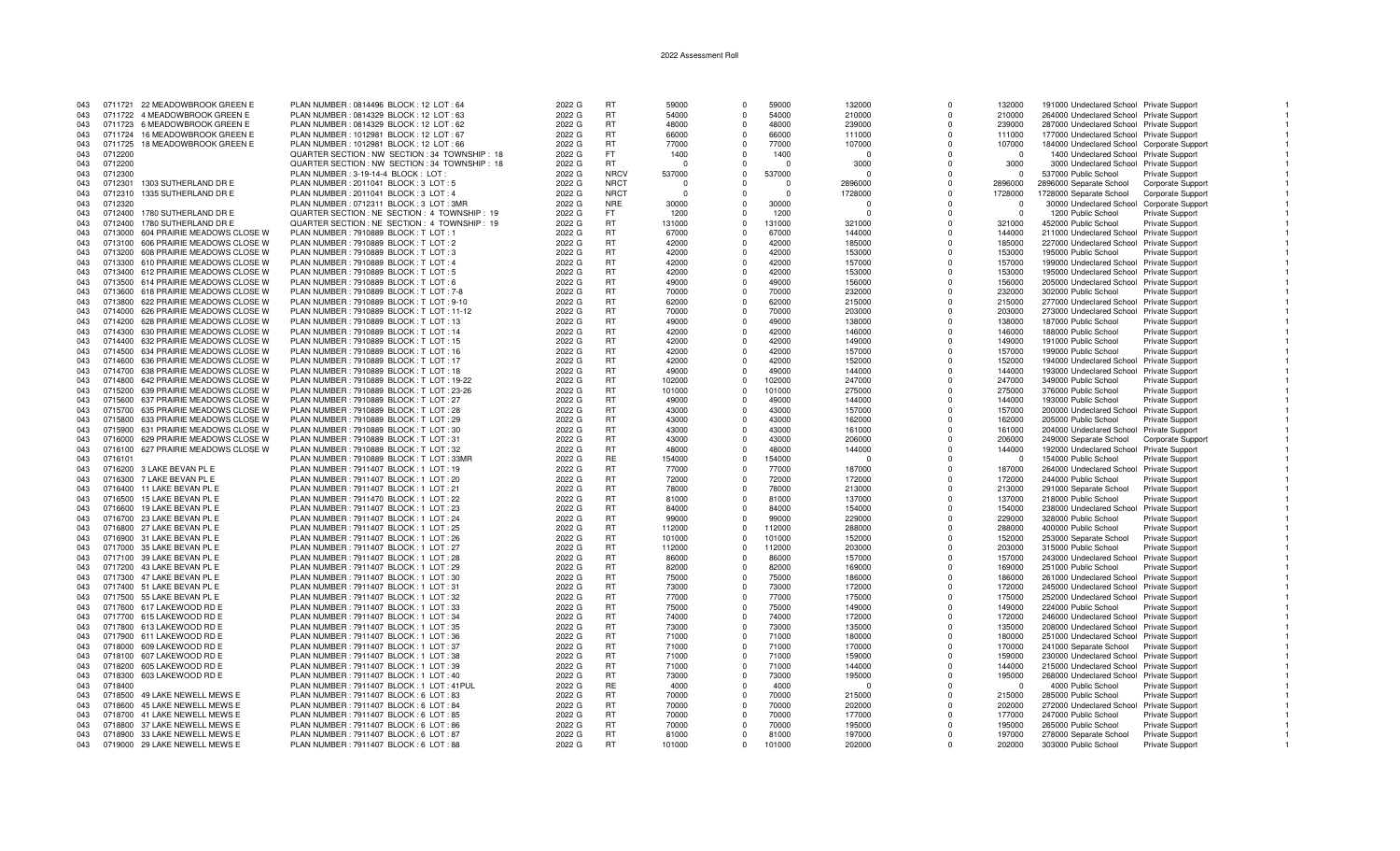| 043 |         | 0711721 22 MEADOWBROOK GREEN E      | PLAN NUMBER: 0814496 BLOCK: 12 LOT: 64          | 2022 G | <b>RT</b>   | 59000    | $\Omega$ | 59000        | 132000   | $\Omega$     | 132000   | 191000 Undeclared School Private Support   |                          |  |
|-----|---------|-------------------------------------|-------------------------------------------------|--------|-------------|----------|----------|--------------|----------|--------------|----------|--------------------------------------------|--------------------------|--|
| 043 |         | 0711722 4 MEADOWBROOK GREEN E       | PLAN NUMBER : 0814329 BLOCK : 12 LOT : 63       | 2022 G | <b>RT</b>   | 54000    | $\Omega$ | 54000        | 210000   | $\Omega$     | 210000   | 264000 Undeclared School Private Support   |                          |  |
| 043 | 0711723 | 6 MEADOWBROOK GREEN E               | PLAN NUMBER: 0814329 BLOCK: 12 LOT: 62          | 2022 G | <b>RT</b>   | 48000    | $\Omega$ | 48000        | 239000   | $\Omega$     | 239000   | 287000 Undeclared School Private Support   |                          |  |
|     |         |                                     |                                                 |        |             |          |          |              |          |              |          |                                            |                          |  |
| 043 |         | 0711724 16 MEADOWBROOK GREEN E      | PLAN NUMBER: 1012981 BLOCK: 12 LOT: 67          | 2022 G | <b>RT</b>   | 66000    | $\Omega$ | 66000        | 111000   | $\Omega$     | 111000   | 177000 Undeclared School Private Support   |                          |  |
| 043 | 0711725 | 18 MEADOWBROOK GREEN E              | PLAN NUMBER : 1012981 BLOCK : 12 LOT : 66       | 2022 G | <b>RT</b>   | 77000    | $\Omega$ | 77000        | 107000   | $\Omega$     | 107000   | 184000 Undeclared School Corporate Support |                          |  |
| 043 | 0712200 |                                     | QUARTER SECTION : NW SECTION : 34 TOWNSHIP : 18 | 2022 G | FT.         | 1400     | $\Omega$ | 1400         | $\Omega$ | $\Omega$     | $\Omega$ | 1400 Undeclared School Private Support     |                          |  |
|     |         |                                     |                                                 |        |             |          |          |              |          |              |          |                                            |                          |  |
| 043 | 0712200 |                                     | QUARTER SECTION : NW SECTION : 34 TOWNSHIP : 18 | 2022 G | RT.         | - C      |          | $\Omega$     | 3000     | $\Omega$     | 3000     | 3000 Undeclared School Private Support     |                          |  |
| 043 | 0712300 |                                     | PLAN NUMBER : 3-19-14-4 BLOCK : LOT             | 2022 G | <b>NRCV</b> | 537000   | $\Omega$ | 537000       | $\Omega$ | $\Omega$     | $\Omega$ | 537000 Public School                       | Private Support          |  |
|     |         |                                     |                                                 |        |             |          |          |              |          |              |          |                                            |                          |  |
| 043 | 0712301 | 1303 SUTHERLAND DR E                | PLAN NUMBER : 2011041 BLOCK : 3 LOT : 5         | 2022 G | <b>NRCT</b> | - 0      |          | $\mathsf{U}$ | 2896000  | $\mathbf 0$  | 2896000  | 2896000 Separate School                    | Corporate Support        |  |
| 043 | 0712310 | 1335 SUTHERLAND DR E                | PLAN NUMBER: 2011041 BLOCK: 3 LOT: 4            | 2022 G | <b>NRCT</b> | $\Omega$ | $\Omega$ | $\Omega$     | 1728000  | $\Omega$     | 1728000  | 1728000 Separate School                    | <b>Corporate Support</b> |  |
| 043 | 0712320 |                                     | PLAN NUMBER : 0712311 BLOCK : 3 LOT : 3MF       | 2022 G | <b>NRE</b>  | 30000    | $\Omega$ | 30000        | 0        | $\Omega$     | $\Omega$ | 30000 Undeclared School                    | Corporate Support        |  |
|     |         |                                     |                                                 |        |             |          |          |              |          |              |          |                                            |                          |  |
| 043 | 0712400 | 1780 SUTHERLAND DR E                | QUARTER SECTION : NE SECTION : 4 TOWNSHIP : 19  | 2022 G | FT.         | 1200     | $\Omega$ | 1200         | $\Omega$ | <sup>n</sup> | $\Omega$ | 1200 Public School                         | <b>Private Support</b>   |  |
| 043 | 0712400 | 1780 SUTHERLAND DR E                | QUARTER SECTION : NE SECTION : 4 TOWNSHIP : 19  | 2022 G | <b>RT</b>   | 131000   | $\Omega$ | 131000       | 321000   | $\Omega$     | 321000   | 452000 Public School                       | Private Support          |  |
|     |         |                                     |                                                 |        | <b>RT</b>   | 67000    | $\Omega$ | 67000        | 144000   | $\Omega$     |          |                                            |                          |  |
| 043 | 0713000 | 604 PRAIRIE MEADOWS CLOSE W         | PLAN NUMBER: 7910889 BLOCK: T LOT: 1            | 2022 G |             |          |          |              |          |              | 144000   | 211000 Undeclared School Private Support   |                          |  |
| 043 | 0713100 | 606 PRAIRIE MEADOWS CLOSE W         | PLAN NUMBER: 7910889 BLOCK: TLOT: 2             | 2022 G | <b>RT</b>   | 42000    | $\Omega$ | 42000        | 185000   | $\Omega$     | 185000   | 227000 Undeclared School Private Support   |                          |  |
| 043 | 0713200 | 608 PRAIRIE MEADOWS CLOSE W         | PLAN NUMBER: 7910889 BLOCK: TLOT: 3             | 2022 G | <b>RT</b>   | 42000    | $\Omega$ | 42000        | 153000   | $\Omega$     | 153000   | 195000 Public School                       | <b>Private Support</b>   |  |
|     |         |                                     |                                                 |        |             |          |          |              |          |              |          |                                            |                          |  |
| 043 | 0713300 | 610 PRAIRIE MEADOWS CLOSE W         | PLAN NUMBER: 7910889 BLOCK: T LOT: 4            | 2022 G | <b>RT</b>   | 42000    | $\Omega$ | 42000        | 157000   | $\Omega$     | 157000   | 199000 Undeclared School Private Support   |                          |  |
| 043 |         | 0713400 612 PRAIRIE MEADOWS CLOSE W | PLAN NUMBER: 7910889 BLOCK: TLOT: 5             | 2022 G | <b>RT</b>   | 42000    | $\Omega$ | 42000        | 153000   | $\Omega$     | 153000   | 195000 Undeclared School Private Support   |                          |  |
|     |         | 0713500 614 PRAIRIE MEADOWS CLOSE W | PLAN NUMBER: 7910889 BLOCK: TLOT: 6             | 2022 G | <b>RT</b>   | 49000    | $\Omega$ | 49000        | 156000   | $\Omega$     | 156000   | 205000 Undeclared School Private Support   |                          |  |
| 043 |         |                                     |                                                 |        |             |          |          |              |          |              |          |                                            |                          |  |
| 043 |         | 0713600 618 PRAIRIE MEADOWS CLOSE W | PLAN NUMBER: 7910889 BLOCK: TLOT: 7-8           | 2022 G | <b>RT</b>   | 70000    | $\Omega$ | 70000        | 232000   | $\Omega$     | 232000   | 302000 Public School                       | Private Support          |  |
| 043 | 0713800 | 622 PRAIRIE MEADOWS CLOSE W         | PLAN NUMBER: 7910889 BLOCK: T LOT: 9-10         | 2022 G | <b>RT</b>   | 62000    | $\Omega$ | 62000        | 215000   | $\Omega$     | 215000   | 277000 Undeclared School Private Support   |                          |  |
|     |         |                                     |                                                 |        |             |          |          |              |          |              |          |                                            |                          |  |
| 043 |         | 0714000 626 PRAIRIE MEADOWS CLOSE W | PLAN NUMBER: 7910889 BLOCK: T LOT: 11-12        | 2022 G | <b>RT</b>   | 70000    | $\Omega$ | 70000        | 203000   | $\Omega$     | 203000   | 273000 Undeclared School Private Support   |                          |  |
| 043 | 0714200 | 628 PRAIRIE MEADOWS CLOSE W         | PLAN NUMBER: 7910889 BLOCK: TLOT: 13            | 2022 G | <b>RT</b>   | 49000    | $\Omega$ | 49000        | 138000   | $\Omega$     | 138000   | 187000 Public School                       | Private Support          |  |
|     |         |                                     |                                                 |        |             |          |          |              |          |              |          |                                            |                          |  |
| 043 | 0714300 | 630 PRAIRIE MEADOWS CLOSE W         | PLAN NUMBER: 7910889 BLOCK: T LOT: 14           | 2022 G | <b>RT</b>   | 42000    | $\Omega$ | 42000        | 146000   | $\Omega$     | 146000   | 188000 Public School                       | <b>Private Support</b>   |  |
| 043 | 0714400 | 632 PRAIRIE MEADOWS CLOSE W         | PLAN NUMBER: 7910889 BLOCK: T LOT: 15           | 2022 G | <b>RT</b>   | 42000    | $\Omega$ | 42000        | 149000   | $\Omega$     | 149000   | 191000 Public School                       | <b>Private Support</b>   |  |
| 043 |         | 0714500 634 PRAIRIE MEADOWS CLOSE W | PLAN NUMBER: 7910889 BLOCK: T LOT: 16           | 2022 G | <b>RT</b>   | 42000    | $\Omega$ | 42000        | 157000   | O            | 157000   | 199000 Public School                       | Private Support          |  |
|     |         |                                     |                                                 |        |             |          |          |              |          |              |          |                                            |                          |  |
| 043 | 0714600 | 636 PRAIRIE MEADOWS CLOSE W         | PLAN NUMBER: 7910889 BLOCK: T LOT: 17           | 2022 G | <b>RT</b>   | 42000    | $\Omega$ | 42000        | 152000   | $\Omega$     | 152000   | 194000 Undeclared School Private Support   |                          |  |
| 043 | 0714700 | 638 PRAIRIE MEADOWS CLOSE W         | PLAN NUMBER: 7910889 BLOCK: TLOT: 18            | 2022 G | <b>RT</b>   | 49000    | $\Omega$ | 49000        | 144000   | $\mathbf 0$  | 144000   | 193000 Undeclared School Private Support   |                          |  |
| 043 | 0714800 |                                     |                                                 |        | <b>RT</b>   |          | $\Omega$ |              |          | $\Omega$     |          |                                            |                          |  |
|     |         | 642 PRAIRIE MEADOWS CLOSE W         | PLAN NUMBER: 7910889 BLOCK: T LOT: 19-22        | 2022 G |             | 102000   |          | 102000       | 247000   |              | 247000   | 349000 Public School                       | <b>Private Support</b>   |  |
| 043 | 0715200 | 639 PRAIRIE MEADOWS CLOSE W         | PLAN NUMBER : 7910889 BLOCK : T LOT : 23-26     | 2022 G | <b>RT</b>   | 101000   | $\Omega$ | 101000       | 275000   | $\Omega$     | 275000   | 376000 Public School                       | <b>Private Support</b>   |  |
| 043 | 0715600 | 637 PRAIRIE MEADOWS CLOSE W         | PLAN NUMBER: 7910889 BLOCK: T LOT: 27           | 2022 G | <b>RT</b>   | 49000    | $\Omega$ | 49000        | 144000   | $\Omega$     | 144000   | 193000 Public School                       | Private Support          |  |
|     |         |                                     |                                                 |        |             |          |          |              |          |              |          |                                            |                          |  |
| 043 | 0715700 | 635 PRAIRIE MEADOWS CLOSE W         | PLAN NUMBER: 7910889 BLOCK: TLOT: 28            | 2022 G | RT          | 43000    | $\Omega$ | 43000        | 157000   | $\Omega$     | 157000   | 200000 Undeclared School                   | <b>Private Support</b>   |  |
| 043 | 0715800 | 633 PRAIRIE MEADOWS CLOSE W         | PLAN NUMBER: 7910889 BLOCK: TLOT: 29            | 2022 G | <b>RT</b>   | 43000    | $\Omega$ | 43000        | 162000   | $\Omega$     | 162000   | 205000 Public School                       | Private Support          |  |
| 043 |         | 0715900 631 PRAIRIE MEADOWS CLOSE W | PLAN NUMBER: 7910889 BLOCK: TLOT: 30            | 2022 G | <b>RT</b>   | 43000    | $\Omega$ | 43000        | 161000   | O            | 161000   | 204000 Undeclared School                   | <b>Private Support</b>   |  |
|     |         |                                     |                                                 |        |             |          |          |              |          |              |          |                                            |                          |  |
| 043 | 0716000 | 629 PRAIRIE MEADOWS CLOSE W         | PLAN NUMBER: 7910889 BLOCK: T LOT: 31           | 2022 G | <b>RT</b>   | 43000    | $\Omega$ | 43000        | 206000   | $\Omega$     | 206000   | 249000 Separate School                     | Corporate Support        |  |
| 043 |         | 0716100 627 PRAIRIE MEADOWS CLOSE W | PLAN NUMBER: 7910889 BLOCK: T LOT: 32           | 2022 G | <b>RT</b>   | 48000    | $\Omega$ | 48000        | 144000   | $\Omega$     | 144000   | 192000 Undeclared School Private Support   |                          |  |
|     |         |                                     |                                                 |        | <b>RE</b>   |          | $\Omega$ |              | $\cap$   | U            | $\cap$   |                                            |                          |  |
| 043 | 0716101 |                                     | PLAN NUMBER: 7910889 BLOCK: TLOT: 33MR          | 2022 G |             | 154000   |          | 154000       |          |              |          | 154000 Public School                       | Private Support          |  |
| 043 | 0716200 | 3 LAKE BEVAN PL E                   | PLAN NUMBER: 7911407 BLOCK: 1 LOT: 19           | 2022 G | <b>RT</b>   | 77000    | $\Omega$ | 77000        | 187000   | $\Omega$     | 187000   | 264000 Undeclared School Private Support   |                          |  |
| 043 |         | 0716300 7 LAKE BEVAN PL E           | PLAN NUMBER: 7911407 BLOCK: 1 LOT: 20           | 2022 G | RT          | 72000    | $\Omega$ | 72000        | 172000   | $\Omega$     | 172000   | 244000 Public School                       | <b>Private Support</b>   |  |
|     |         |                                     |                                                 |        |             |          |          |              |          |              |          |                                            |                          |  |
| 043 | 0716400 | 11 LAKE BEVAN PL E                  | PLAN NUMBER: 7911407 BLOCK: 1 LOT: 21           | 2022 G | <b>RT</b>   | 78000    | $\Omega$ | 78000        | 213000   | $\Omega$     | 213000   | 291000 Separate School                     | Private Support          |  |
| 043 | 0716500 | 15 LAKE BEVAN PL E                  | PLAN NUMBER: 7911470 BLOCK: 1 LOT: 22           | 2022 G | <b>RT</b>   | 81000    | $\Omega$ | 81000        | 137000   | $\Omega$     | 137000   | 218000 Public School                       | Private Support          |  |
| 043 |         | 0716600 19 LAKE BEVAN PL E          | PLAN NUMBER: 7911407 BLOCK: 1 LOT: 23           | 2022 G | RT          | 84000    | $\Omega$ | 84000        | 154000   |              | 154000   | 238000 Undeclared School                   | Private Support          |  |
|     |         |                                     |                                                 |        |             |          |          |              |          |              |          |                                            |                          |  |
| 043 |         | 0716700 23 LAKE BEVAN PL E          | PLAN NUMBER: 7911407 BLOCK: 1 LOT: 24           | 2022 G | <b>RT</b>   | 99000    | $\Omega$ | 99000        | 229000   | $\Omega$     | 229000   | 328000 Public School                       | <b>Private Support</b>   |  |
| 043 |         | 0716800 27 LAKE BEVAN PL E          | PLAN NUMBER: 7911407 BLOCK: 1 LOT: 25           | 2022 G | <b>RT</b>   | 112000   | $\Omega$ | 112000       | 288000   | $\Omega$     | 288000   | 400000 Public School                       | Private Support          |  |
|     |         |                                     |                                                 |        | <b>RT</b>   | 101000   | $\Omega$ | 101000       |          | $\Omega$     |          |                                            |                          |  |
| 043 |         | 0716900 31 LAKE BEVAN PL E          | PLAN NUMBER: 7911407 BLOCK: 1 LOT: 26           | 2022 G |             |          |          |              | 152000   |              | 152000   | 253000 Separate School                     | <b>Private Support</b>   |  |
| 043 |         | 0717000 35 LAKE BEVAN PL E          | PLAN NUMBER: 7911407 BLOCK: 1 LOT: 27           | 2022 G | <b>RT</b>   | 112000   | $\Omega$ | 112000       | 203000   | $\Omega$     | 203000   | 315000 Public School                       | Private Support          |  |
| 043 |         | 0717100 39 LAKE BEVAN PL E          | PLAN NUMBER: 7911407 BLOCK: 1 LOT: 28           | 2022 G | <b>RT</b>   | 86000    | $\Omega$ | 86000        | 157000   | $\Omega$     | 157000   | 243000 Undeclared School Private Support   |                          |  |
|     |         |                                     |                                                 |        |             |          |          |              |          |              |          |                                            |                          |  |
| 043 |         | 0717200 43 LAKE BEVAN PL E          | PLAN NUMBER: 7911407 BLOCK: 1 LOT: 29           | 2022 G | <b>RT</b>   | 82000    | $\Omega$ | 82000        | 169000   | $\Omega$     | 169000   | 251000 Public School                       | <b>Private Support</b>   |  |
| 043 |         | 0717300 47 LAKE BEVAN PL E          | PLAN NUMBER : 7911407 BLOCK : 1 LOT : 30        | 2022 G | <b>RT</b>   | 75000    | $\Omega$ | 75000        | 186000   | O            | 186000   | 261000 Undeclared School Private Support   |                          |  |
| 043 |         | 0717400 51 LAKE BEVAN PL E          | PLAN NUMBER: 7911407 BLOCK: 1 LOT: 31           | 2022 G | <b>RT</b>   | 73000    | $\Omega$ | 73000        | 172000   | $\Omega$     | 172000   | 245000 Undeclared School Private Support   |                          |  |
|     |         |                                     |                                                 |        |             |          |          |              |          |              |          |                                            |                          |  |
| 043 |         | 0717500 55 LAKE BEVAN PL E          | PLAN NUMBER: 7911407 BLOCK: 1 LOT: 32           | 2022 G | <b>RT</b>   | 77000    | $\Omega$ | 77000        | 175000   | $\Omega$     | 175000   | 252000 Undeclared School Private Support   |                          |  |
| 043 |         | 0717600 617 LAKEWOOD RD E           | PLAN NUMBER: 7911407 BLOCK: 1 LOT: 33           | 2022 G | <b>RT</b>   | 75000    | $\Omega$ | 75000        | 149000   | $\Omega$     | 149000   | 224000 Public School                       | Private Support          |  |
| 043 |         |                                     |                                                 |        | <b>RT</b>   | 74000    | $\Omega$ | 74000        |          | $\Omega$     | 172000   |                                            |                          |  |
|     |         | 0717700 615 LAKEWOOD RD E           | PLAN NUMBER: 7911407 BLOCK: 1 LOT: 34           | 2022 G |             |          |          |              | 172000   |              |          | 246000 Undeclared School Private Support   |                          |  |
| 043 |         | 0717800 613 LAKEWOOD RD E           | PLAN NUMBER: 7911407 BLOCK: 1 LOT: 35           | 2022 G | <b>RT</b>   | 73000    | $\Omega$ | 73000        | 135000   | $\Omega$     | 135000   | 208000 Undeclared School Private Support   |                          |  |
| 043 |         | 0717900 611 LAKEWOOD RD E           | PLAN NUMBER: 7911407 BLOCK: 1 LOT: 36           | 2022 G | RT          | 71000    | $\Omega$ | 71000        | 180000   | $\Omega$     | 180000   | 251000 Undeclared School Private Support   |                          |  |
|     |         |                                     |                                                 |        |             |          |          |              |          |              |          |                                            |                          |  |
| 043 |         | 0718000 609 LAKEWOOD RD E           | PLAN NUMBER: 7911407 BLOCK: 1 LOT: 37           | 2022 G | <b>RT</b>   | 71000    | $\Omega$ | 71000        | 170000   | $\Omega$     | 170000   | 241000 Separate School                     | <b>Private Support</b>   |  |
| 043 |         | 0718100 607 LAKEWOOD RD E           | PLAN NUMBER : 7911407 BLOCK : 1 LOT : 38        | 2022 G | <b>RT</b>   | 71000    | $\Omega$ | 71000        | 159000   |              | 159000   | 230000 Undeclared School Private Support   |                          |  |
| 043 | 0718200 | 605 LAKEWOOD RD E                   | PLAN NUMBER: 7911407 BLOCK: 1 LOT: 39           | 2022 G | <b>RT</b>   | 71000    | $\Omega$ | 71000        | 144000   | $\Omega$     | 144000   | 215000 Undeclared School Private Support   |                          |  |
|     |         |                                     |                                                 |        |             |          |          |              |          |              |          |                                            |                          |  |
| 043 |         | 0718300 603 LAKEWOOD RD E           | PLAN NUMBER: 7911407 BLOCK: 1 LOT: 40           | 2022 G | <b>RT</b>   | 73000    | $\Omega$ | 73000        | 195000   | $\Omega$     | 195000   | 268000 Undeclared School Private Support   |                          |  |
| 043 | 0718400 |                                     | PLAN NUMBER: 7911407 BLOCK: 1 LOT: 41PUL        | 2022 G | <b>RE</b>   | 4000     | $\Omega$ | 4000         | $\Omega$ | $\Omega$     | - 0      | 4000 Public School                         | Private Support          |  |
| 043 | 0718500 | 49 LAKE NEWELL MEWS E               | PLAN NUMBER : 7911407 BLOCK : 6 LOT : 83        | 2022 G | <b>RT</b>   | 70000    | $\Omega$ | 70000        | 215000   | $\Omega$     | 215000   | 285000 Public School                       | <b>Private Support</b>   |  |
|     |         |                                     |                                                 |        |             |          |          |              |          |              |          |                                            |                          |  |
| 043 | 0718600 | 45 LAKE NEWELL MEWS E               | PLAN NUMBER: 7911407 BLOCK: 6 LOT: 84           | 2022 G | <b>RT</b>   | 70000    | $\Omega$ | 70000        | 202000   | $\Omega$     | 202000   | 272000 Undeclared School Private Support   |                          |  |
| 043 | 0718700 | 41 LAKE NEWELL MEWS E               | PLAN NUMBER: 7911407 BLOCK: 6 LOT: 85           | 2022 G | <b>RT</b>   | 70000    | $\Omega$ | 70000        | 177000   | $\Omega$     | 177000   | 247000 Public School                       | Private Support          |  |
|     |         | 0718800 37 LAKE NEWELL MEWS E       | PLAN NUMBER: 7911407 BLOCK: 6 LOT: 86           |        | <b>RT</b>   | 70000    | $\Omega$ | 70000        | 195000   | $\Omega$     |          |                                            |                          |  |
| 043 |         |                                     |                                                 | 2022 G |             |          |          |              |          |              | 195000   | 265000 Public School                       | Private Support          |  |
| 043 |         | 0718900 33 LAKE NEWELL MEWS E       | PLAN NUMBER: 7911407 BLOCK: 6 LOT: 87           | 2022 G | <b>RT</b>   | 81000    | $\Omega$ | 81000        | 197000   | $\Omega$     | 197000   | 278000 Separate School                     | Private Support          |  |
| 043 |         | 0719000 29 LAKE NEWELL MEWS E       | PLAN NUMBER: 7911407 BLOCK: 6 LOT: 88           | 2022 G | <b>RT</b>   | 101000   | $\Omega$ | 101000       | 202000   | $\Omega$     | 202000   | 303000 Public School                       | <b>Private Support</b>   |  |
|     |         |                                     |                                                 |        |             |          |          |              |          |              |          |                                            |                          |  |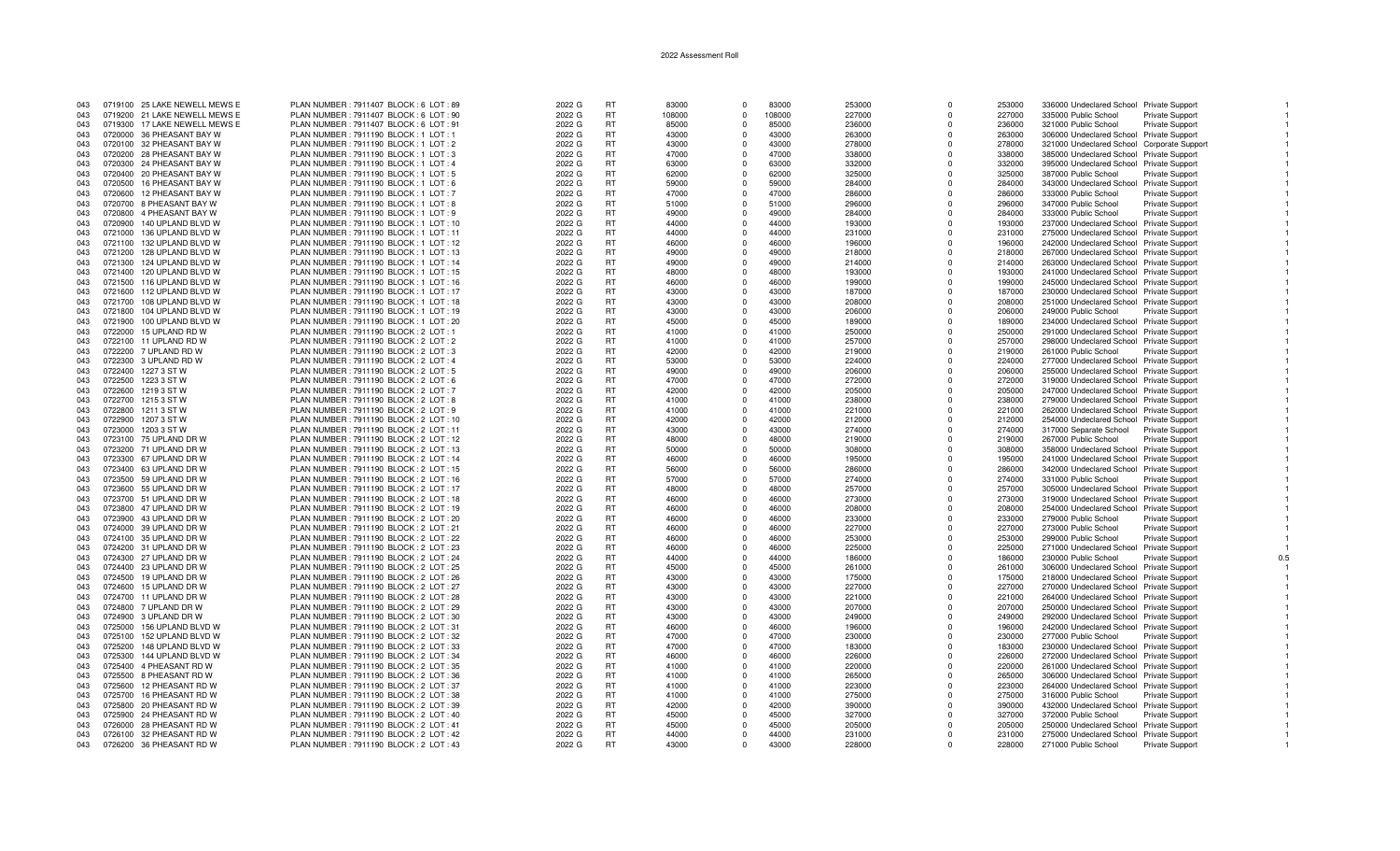| 043 |         | 0719100 25 LAKE NEWELL MEWS E | PLAN NUMBER : 7911407 BLOCK : 6 LOT : 89 | 2022 G | RT        | 83000  | $\Omega$    | 83000  | 253000 | $\Omega$    | 253000 | 336000 Undeclared School Private Support   |                        |  |
|-----|---------|-------------------------------|------------------------------------------|--------|-----------|--------|-------------|--------|--------|-------------|--------|--------------------------------------------|------------------------|--|
| 043 |         | 0719200 21 LAKE NEWELL MEWS E | PLAN NUMBER : 7911407 BLOCK : 6 LOT : 90 | 2022 G | <b>RT</b> | 108000 | $\Omega$    | 108000 | 227000 | $\Omega$    | 227000 | 335000 Public School                       | <b>Private Support</b> |  |
| 043 |         | 0719300 17 LAKE NEWELL MEWS E | PLAN NUMBER : 7911407 BLOCK : 6 LOT : 91 | 2022 G | <b>RT</b> | 85000  | $\Omega$    | 85000  | 236000 | $\Omega$    | 236000 | 321000 Public School                       | <b>Private Support</b> |  |
| 043 |         | 0720000 36 PHEASANT BAY W     | PLAN NUMBER : 7911190 BLOCK : 1 LOT : 1  | 2022 G | <b>RT</b> | 43000  | $\Omega$    | 43000  | 263000 | $\Omega$    | 263000 | 306000 Undeclared School Private Support   |                        |  |
|     |         |                               |                                          |        |           |        |             | 43000  |        |             |        |                                            |                        |  |
| 043 |         | 0720100 32 PHEASANT BAY W     | PLAN NUMBER: 7911190 BLOCK: 1 LOT: 2     | 2022 G | <b>RT</b> | 43000  | $\Omega$    |        | 278000 | $\Omega$    | 278000 | 321000 Undeclared School Corporate Support |                        |  |
| 043 |         | 0720200 28 PHEASANT BAY W     | PLAN NUMBER: 7911190 BLOCK: 1 LOT: 3     | 2022 G | <b>RT</b> | 47000  | $\Omega$    | 47000  | 338000 | $\Omega$    | 338000 | 385000 Undeclared School Private Support   |                        |  |
| 043 |         | 0720300 24 PHEASANT BAY W     | PLAN NUMBER: 7911190 BLOCK: 1 LOT: 4     | 2022 G | <b>RT</b> | 63000  | $\Omega$    | 63000  | 332000 | $\Omega$    | 332000 | 395000 Undeclared School Private Support   |                        |  |
| 043 |         | 0720400 20 PHEASANT BAY W     | PLAN NUMBER: 7911190 BLOCK: 1 LOT: 5     | 2022 G | <b>RT</b> | 62000  | $\Omega$    | 62000  | 325000 | $\Omega$    | 325000 | 387000 Public School                       | Private Support        |  |
| 043 |         | 0720500 16 PHEASANT BAY W     | PLAN NUMBER : 7911190 BLOCK : 1 LOT : 6  | 2022 G | <b>RT</b> | 59000  | $\Omega$    | 59000  | 284000 | $\Omega$    | 284000 | 343000 Undeclared School Private Support   |                        |  |
| 043 |         | 0720600 12 PHEASANT BAY W     | PLAN NUMBER: 7911190 BLOCK: 1 LOT: 7     | 2022 G | <b>RT</b> | 47000  | $\Omega$    | 47000  | 286000 | $\Omega$    | 286000 | 333000 Public School                       | Private Support        |  |
| 043 |         | 0720700 8 PHEASANT BAY W      | PLAN NUMBER: 7911190 BLOCK: 1 LOT: 8     | 2022 G | <b>RT</b> | 51000  | $\Omega$    | 51000  | 296000 | $\Omega$    | 296000 | 347000 Public School                       | <b>Private Support</b> |  |
| 043 |         | 0720800 4 PHEASANT BAY W      | PLAN NUMBER: 7911190 BLOCK: 1 LOT: 9     | 2022 G | <b>RT</b> | 49000  | $\Omega$    | 49000  | 284000 | $\Omega$    | 284000 | 333000 Public School                       | Private Support        |  |
| 043 |         | 0720900 140 UPLAND BLVD W     | PLAN NUMBER: 7911190 BLOCK: 1 LOT: 10    | 2022 G | <b>RT</b> | 44000  | $\Omega$    | 44000  | 193000 | $\Omega$    | 193000 | 237000 Undeclared School Private Support   |                        |  |
| 043 |         | 0721000 136 UPLAND BLVD W     | PLAN NUMBER: 7911190 BLOCK: 1 LOT: 11    | 2022 G | <b>RT</b> | 44000  | $\Omega$    | 44000  | 231000 | $\Omega$    | 231000 | 275000 Undeclared School Private Support   |                        |  |
| 043 |         |                               |                                          |        | <b>RT</b> |        | $\Omega$    | 46000  |        | $\Omega$    |        |                                            |                        |  |
|     |         | 0721100 132 UPLAND BLVD W     | PLAN NUMBER: 7911190 BLOCK: 1 LOT: 12    | 2022 G |           | 46000  |             |        | 196000 |             | 196000 | 242000 Undeclared School Private Support   |                        |  |
| 043 |         | 0721200 128 UPLAND BLVD W     | PLAN NUMBER: 7911190 BLOCK: 1 LOT: 13    | 2022 G | <b>RT</b> | 49000  | $\Omega$    | 49000  | 218000 | $\Omega$    | 218000 | 267000 Undeclared School Private Support   |                        |  |
| 043 |         | 0721300 124 UPLAND BLVD W     | PLAN NUMBER: 7911190 BLOCK: 1 LOT: 14    | 2022 G | <b>RT</b> | 49000  | $\Omega$    | 49000  | 214000 | $\Omega$    | 214000 | 263000 Undeclared School Private Support   |                        |  |
| 043 |         | 0721400 120 UPLAND BLVD W     | PLAN NUMBER: 7911190 BLOCK: 1 LOT: 15    | 2022 G | <b>RT</b> | 48000  | $\Omega$    | 48000  | 193000 | $\Omega$    | 193000 | 241000 Undeclared School Private Support   |                        |  |
| 043 |         | 0721500 116 UPLAND BLVD W     | PLAN NUMBER: 7911190 BLOCK: 1 LOT: 16    | 2022 G | <b>RT</b> | 46000  | $\Omega$    | 46000  | 199000 | $\Omega$    | 199000 | 245000 Undeclared School Private Support   |                        |  |
| 043 |         | 0721600 112 UPLAND BLVD W     | PLAN NUMBER: 7911190 BLOCK: 1 LOT: 17    | 2022 G | <b>RT</b> | 43000  | $\Omega$    | 43000  | 187000 | $\Omega$    | 187000 | 230000 Undeclared School Private Support   |                        |  |
| 043 |         | 0721700 108 UPLAND BLVD W     | PLAN NUMBER: 7911190 BLOCK: 1 LOT: 18    | 2022 G | <b>RT</b> | 43000  | $\Omega$    | 43000  | 208000 | $\Omega$    | 208000 | 251000 Undeclared School Private Support   |                        |  |
| 043 |         | 0721800 104 UPLAND BLVD W     | PLAN NUMBER: 7911190 BLOCK: 1 LOT: 19    | 2022 G | <b>RT</b> | 43000  | $\mathbf 0$ | 43000  | 206000 | $\mathbf 0$ | 206000 | 249000 Public School                       | Private Support        |  |
| 043 |         | 0721900 100 UPLAND BLVD W     | PLAN NUMBER: 7911190 BLOCK: 1 LOT: 20    | 2022 G | <b>RT</b> | 45000  | $\Omega$    | 45000  | 189000 | $\Omega$    | 189000 | 234000 Undeclared School Private Support   |                        |  |
| 043 |         | 0722000 15 UPLAND RD W        | PLAN NUMBER: 7911190 BLOCK: 2 LOT: 1     | 2022 G | <b>RT</b> | 41000  | $\Omega$    | 41000  | 250000 | $\Omega$    | 250000 | 291000 Undeclared School Private Support   |                        |  |
| 043 |         | 0722100 11 UPLAND RD W        | PLAN NUMBER: 7911190 BLOCK: 2 LOT: 2     | 2022 G | <b>RT</b> | 41000  | $\Omega$    | 41000  | 257000 | $\Omega$    | 257000 | 298000 Undeclared School Private Support   |                        |  |
|     |         |                               |                                          |        | <b>RT</b> | 42000  | $\Omega$    | 42000  |        |             |        |                                            |                        |  |
| 043 |         | 0722200 7 UPLAND RD W         | PLAN NUMBER: 7911190 BLOCK: 2 LOT: 3     | 2022 G |           |        |             |        | 219000 | $\Omega$    | 219000 | 261000 Public School                       | <b>Private Support</b> |  |
| 043 |         | 0722300 3 UPLAND RD W         | PLAN NUMBER: 7911190 BLOCK: 2 LOT: 4     | 2022 G | <b>RT</b> | 53000  | $\Omega$    | 53000  | 224000 | $\Omega$    | 224000 | 277000 Undeclared School Private Support   |                        |  |
| 043 |         | 0722400 1227 3 ST W           | PLAN NUMBER: 7911190 BLOCK: 2 LOT: 5     | 2022 G | <b>RT</b> | 49000  | $\Omega$    | 49000  | 206000 | $\Omega$    | 206000 | 255000 Undeclared School Private Support   |                        |  |
| 043 | 0722500 | 1223 3 ST W                   | PLAN NUMBER : 7911190 BLOCK : 2 LOT : 6  | 2022 G | <b>RT</b> | 47000  | $\Omega$    | 47000  | 272000 | $\Omega$    | 272000 | 319000 Undeclared School Private Support   |                        |  |
| 043 |         | 0722600 1219 3 ST W           | PLAN NUMBER: 7911190 BLOCK: 2 LOT: 7     | 2022 G | <b>RT</b> | 42000  | $\Omega$    | 42000  | 205000 | $\Omega$    | 205000 | 247000 Undeclared School Private Support   |                        |  |
| 043 |         | 0722700 1215 3 ST W           | PLAN NUMBER: 7911190 BLOCK: 2 LOT: 8     | 2022 G | <b>RT</b> | 41000  | $\Omega$    | 41000  | 238000 | $\Omega$    | 238000 | 279000 Undeclared School Private Support   |                        |  |
| 043 |         | 0722800 1211 3 ST W           | PLAN NUMBER: 7911190 BLOCK: 2 LOT: 9     | 2022 G | <b>RT</b> | 41000  | $\Omega$    | 41000  | 221000 | $\Omega$    | 221000 | 262000 Undeclared School Private Support   |                        |  |
| 043 | 0722900 | 1207 3 ST W                   | PLAN NUMBER : 7911190 BLOCK : 2 LOT : 10 | 2022 G | <b>RT</b> | 42000  | $\Omega$    | 42000  | 212000 | $\Omega$    | 212000 | 254000 Undeclared School Private Support   |                        |  |
| 043 |         | 0723000 1203 3 ST W           | PLAN NUMBER: 7911190 BLOCK: 2 LOT: 11    | 2022 G | <b>RT</b> | 43000  | $\mathbf 0$ | 43000  | 274000 | $\Omega$    | 274000 | 317000 Separate School                     | <b>Private Support</b> |  |
| 043 |         | 0723100 75 UPLAND DR W        | PLAN NUMBER : 7911190 BLOCK : 2 LOT : 12 | 2022 G | <b>RT</b> | 48000  | $\Omega$    | 48000  | 219000 | $\Omega$    | 219000 | 267000 Public School                       | Private Support        |  |
|     |         |                               |                                          |        |           |        | $\Omega$    |        |        | $\Omega$    |        |                                            |                        |  |
| 043 |         | 0723200 71 UPLAND DR W        | PLAN NUMBER: 7911190 BLOCK: 2 LOT: 13    | 2022 G | <b>RT</b> | 50000  |             | 50000  | 308000 |             | 308000 | 358000 Undeclared School Private Support   |                        |  |
| 043 |         | 0723300 67 UPLAND DR W        | PLAN NUMBER: 7911190 BLOCK: 2 LOT: 14    | 2022 G | <b>RT</b> | 46000  | $\Omega$    | 46000  | 195000 | $\Omega$    | 195000 | 241000 Undeclared School Private Support   |                        |  |
| 043 |         | 0723400 63 UPLAND DR W        | PLAN NUMBER: 7911190 BLOCK: 2 LOT: 15    | 2022 G | <b>RT</b> | 56000  | $\Omega$    | 56000  | 286000 | $\Omega$    | 286000 | 342000 Undeclared School Private Support   |                        |  |
| 043 |         | 0723500 59 UPLAND DR W        | PLAN NUMBER : 7911190 BLOCK : 2 LOT : 16 | 2022 G | <b>RT</b> | 57000  | $\Omega$    | 57000  | 274000 | $\Omega$    | 274000 | 331000 Public School                       | <b>Private Support</b> |  |
| 043 |         | 0723600 55 UPLAND DR W        | PLAN NUMBER : 7911190 BLOCK : 2 LOT : 17 | 2022 G | <b>RT</b> | 48000  | $\Omega$    | 48000  | 257000 | $\Omega$    | 257000 | 305000 Undeclared School Private Support   |                        |  |
| 043 |         | 0723700 51 UPLAND DR W        | PLAN NUMBER : 7911190 BLOCK : 2 LOT : 18 | 2022 G | <b>RT</b> | 46000  | $\Omega$    | 46000  | 273000 | $\Omega$    | 273000 | 319000 Undeclared School Private Support   |                        |  |
| 043 |         | 0723800 47 UPLAND DR W        | PLAN NUMBER : 7911190 BLOCK : 2 LOT : 19 | 2022 G | <b>RT</b> | 46000  | $\mathbf 0$ | 46000  | 208000 | $\Omega$    | 208000 | 254000 Undeclared School Private Support   |                        |  |
| 043 |         | 0723900 43 UPLAND DR W        | PLAN NUMBER: 7911190 BLOCK: 2 LOT: 20    | 2022 G | <b>RT</b> | 46000  | $\Omega$    | 46000  | 233000 | $\Omega$    | 233000 | 279000 Public School                       | Private Support        |  |
| 043 |         | 0724000 39 UPLAND DR W        | PLAN NUMBER : 7911190 BLOCK : 2 LOT : 21 | 2022 G | <b>RT</b> | 46000  | $\Omega$    | 46000  | 227000 | $\Omega$    | 227000 | 273000 Public School                       | <b>Private Support</b> |  |
| 043 |         | 0724100 35 UPLAND DR W        | PLAN NUMBER : 7911190 BLOCK : 2 LOT : 22 | 2022 G | <b>RT</b> | 46000  | $\Omega$    | 46000  | 253000 | $\Omega$    | 253000 | 299000 Public School                       | <b>Private Support</b> |  |
| 043 |         | 0724200 31 UPLAND DR W        | PLAN NUMBER: 7911190 BLOCK: 2 LOT: 23    | 2022 G | <b>RT</b> | 46000  | $\Omega$    | 46000  | 225000 | $\Omega$    | 225000 | 271000 Undeclared School Private Support   |                        |  |
| 043 |         | 0724300 27 UPLAND DR W        | PLAN NUMBER : 7911190 BLOCK : 2 LOT : 24 | 2022 G | <b>RT</b> | 44000  | $\Omega$    | 44000  | 186000 | $\Omega$    | 186000 | 230000 Public School                       |                        |  |
|     |         |                               |                                          |        |           |        |             |        |        |             |        |                                            | <b>Private Support</b> |  |
| 043 |         | 0724400 23 UPLAND DR W        | PLAN NUMBER : 7911190 BLOCK : 2 LOT : 25 | 2022 G | <b>RT</b> | 45000  | $\Omega$    | 45000  | 261000 | $\Omega$    | 261000 | 306000 Undeclared School Private Support   |                        |  |
| 043 |         | 0724500 19 UPLAND DR W        | PLAN NUMBER: 7911190 BLOCK: 2 LOT: 26    | 2022 G | <b>RT</b> | 43000  | $\Omega$    | 43000  | 175000 | $\Omega$    | 175000 | 218000 Undeclared School Private Support   |                        |  |
| 043 |         | 0724600 15 UPLAND DR W        | PLAN NUMBER : 7911190 BLOCK : 2 LOT : 27 | 2022 G | <b>RT</b> | 43000  | $\mathbf 0$ | 43000  | 227000 | $\Omega$    | 227000 | 270000 Undeclared School Private Support   |                        |  |
| 043 |         | 0724700 11 UPLAND DR W        | PLAN NUMBER : 7911190 BLOCK : 2 LOT : 28 | 2022 G | <b>RT</b> | 43000  | $\Omega$    | 43000  | 221000 | $\Omega$    | 221000 | 264000 Undeclared School Private Support   |                        |  |
| 043 |         | 0724800 7 UPLAND DR W         | PLAN NUMBER: 7911190 BLOCK: 2 LOT: 29    | 2022 G | <b>RT</b> | 43000  | $\Omega$    | 43000  | 207000 | $\Omega$    | 207000 | 250000 Undeclared School Private Support   |                        |  |
| 043 |         | 0724900 3 UPLAND DR W         | PLAN NUMBER : 7911190 BLOCK : 2 LOT : 30 | 2022 G | <b>RT</b> | 43000  | $\Omega$    | 43000  | 249000 | $\Omega$    | 249000 | 292000 Undeclared School Private Support   |                        |  |
| 043 |         | 0725000 156 UPLAND BLVD W     | PLAN NUMBER: 7911190 BLOCK: 2 LOT: 31    | 2022 G | <b>RT</b> | 46000  | $\Omega$    | 46000  | 196000 | $\Omega$    | 196000 | 242000 Undeclared School Private Support   |                        |  |
| 043 |         | 0725100 152 UPLAND BLVD W     | PLAN NUMBER: 7911190 BLOCK: 2 LOT: 32    | 2022 G | <b>RT</b> | 47000  | $\Omega$    | 47000  | 230000 | $\Omega$    | 230000 | 277000 Public School                       | Private Support        |  |
| 043 |         | 0725200 148 UPLAND BLVD W     | PLAN NUMBER : 7911190 BLOCK : 2 LOT : 33 | 2022 G | <b>RT</b> | 47000  | $\Omega$    | 47000  | 183000 | $\Omega$    | 183000 | 230000 Undeclared School Private Support   |                        |  |
| 043 |         |                               | PLAN NUMBER: 7911190 BLOCK: 2 LOT: 34    |        | <b>RT</b> | 46000  | $\Omega$    | 46000  |        | $\Omega$    |        |                                            |                        |  |
|     |         | 0725300 144 UPLAND BLVD W     |                                          | 2022 G |           |        |             |        | 226000 |             | 226000 | 272000 Undeclared School Private Support   |                        |  |
| 043 |         | 0725400 4 PHEASANT RD W       | PLAN NUMBER : 7911190 BLOCK : 2 LOT : 35 | 2022 G | <b>RT</b> | 41000  | $\Omega$    | 41000  | 220000 | $\Omega$    | 220000 | 261000 Undeclared School Private Support   |                        |  |
| 043 |         | 0725500 8 PHEASANT RD W       | PLAN NUMBER : 7911190 BLOCK : 2 LOT : 36 | 2022 G | <b>RT</b> | 41000  | $\Omega$    | 41000  | 265000 | $\Omega$    | 265000 | 306000 Undeclared School Private Support   |                        |  |
| 043 |         | 0725600 12 PHEASANT RD W      | PLAN NUMBER : 7911190 BLOCK : 2 LOT : 37 | 2022 G | <b>RT</b> | 41000  | $\Omega$    | 41000  | 223000 | $\Omega$    | 223000 | 264000 Undeclared School Private Support   |                        |  |
| 043 |         | 0725700 16 PHEASANT RD W      | PLAN NUMBER: 7911190 BLOCK: 2 LOT: 38    | 2022 G | <b>RT</b> | 41000  | $\Omega$    | 41000  | 275000 | $\Omega$    | 275000 | 316000 Public School                       | <b>Private Support</b> |  |
| 043 |         | 0725800 20 PHEASANT RD W      | PLAN NUMBER : 7911190 BLOCK : 2 LOT : 39 | 2022 G | <b>RT</b> | 42000  | $^{\circ}$  | 42000  | 390000 | $\Omega$    | 390000 | 432000 Undeclared School Private Support   |                        |  |
| 043 |         | 0725900 24 PHEASANT RD W      | PLAN NUMBER : 7911190 BLOCK : 2 LOT : 40 | 2022 G | <b>RT</b> | 45000  | $\Omega$    | 45000  | 327000 | $\Omega$    | 327000 | 372000 Public School                       | Private Support        |  |
| 043 |         | 0726000 28 PHEASANT RD W      | PLAN NUMBER: 7911190 BLOCK: 2 LOT: 41    | 2022 G | <b>RT</b> | 45000  | $\Omega$    | 45000  | 205000 | $\Omega$    | 205000 | 250000 Undeclared School Private Support   |                        |  |
| 043 |         | 0726100 32 PHEASANT RD W      | PLAN NUMBER : 7911190 BLOCK : 2 LOT : 42 | 2022 G | <b>RT</b> | 44000  | $\Omega$    | 44000  | 231000 | $\Omega$    | 231000 | 275000 Undeclared School Private Support   |                        |  |
| 043 |         | 0726200 36 PHEASANT RD W      | PLAN NUMBER : 7911190 BLOCK : 2 LOT : 43 | 2022 G | <b>RT</b> | 43000  | $\Omega$    | 43000  | 228000 | $\Omega$    | 228000 | 271000 Public School                       | Private Support        |  |
|     |         |                               |                                          |        |           |        |             |        |        |             |        |                                            |                        |  |

 $0.5$ 

 $\overline{1}$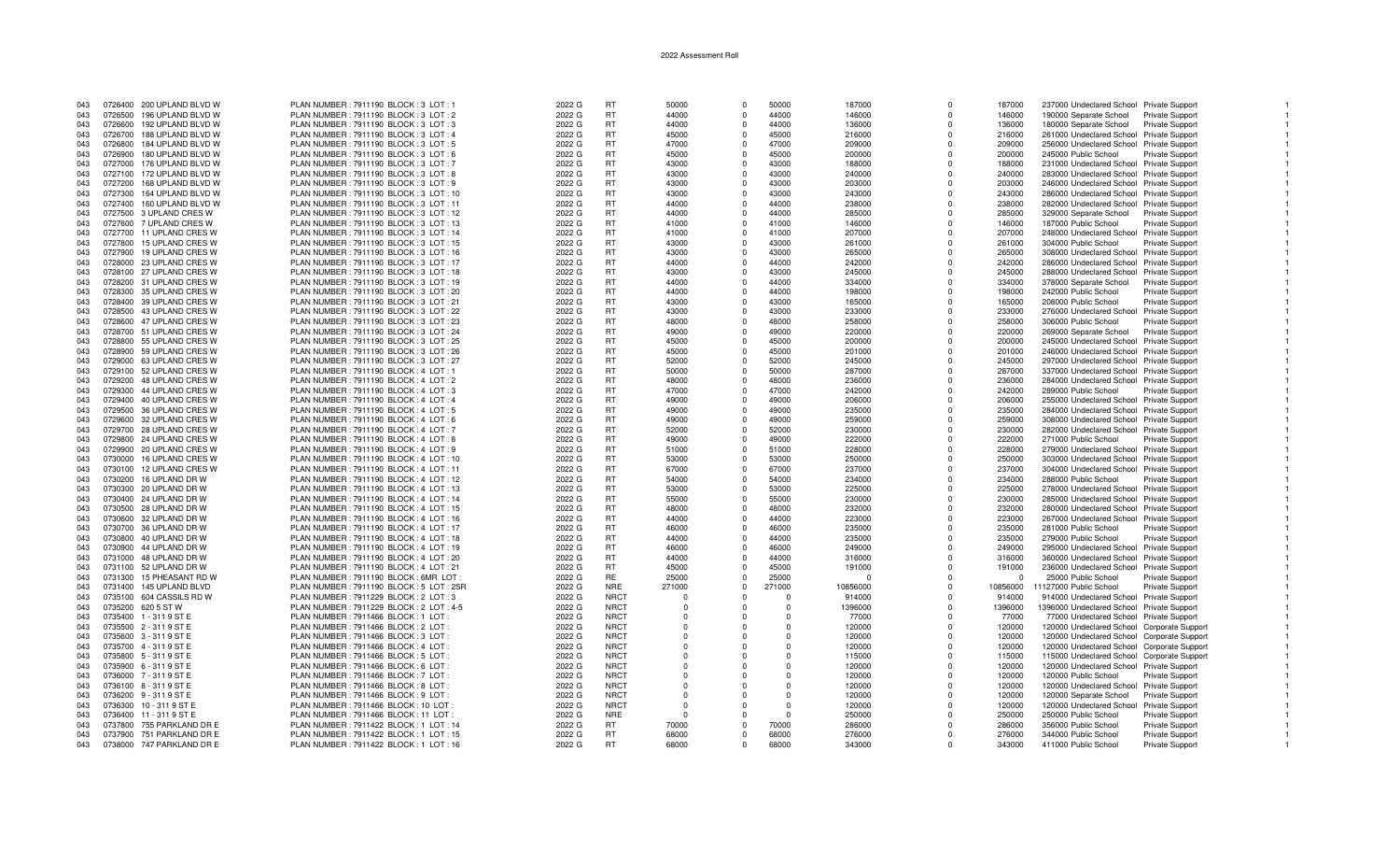| 043 |         | 0726400 200 UPLAND BLVD W | PLAN NUMBER: 7911190 BLOCK: 3 LOT: 1     | 2022 G | <b>RT</b>   | 50000    | $\Omega$       | 50000    | 187000   | $\Omega$    | 187000   | 237000 Undeclared School Private Support   |                        |  |
|-----|---------|---------------------------|------------------------------------------|--------|-------------|----------|----------------|----------|----------|-------------|----------|--------------------------------------------|------------------------|--|
| 043 |         | 0726500 196 UPLAND BLVD W | PLAN NUMBER: 7911190 BLOCK: 3 LOT: 2     | 2022 G | <b>RT</b>   | 44000    | $\Omega$       | 44000    | 146000   | $\Omega$    | 146000   | 190000 Separate School                     | <b>Private Support</b> |  |
| 043 |         | 0726600 192 UPLAND BLVD W | PLAN NUMBER: 7911190 BLOCK: 3 LOT: 3     | 2022 G | <b>RT</b>   | 44000    | $\Omega$       | 44000    | 136000   | $\Omega$    | 136000   | 180000 Separate School                     | Private Support        |  |
|     |         |                           |                                          |        |             |          |                |          |          |             |          |                                            |                        |  |
| 043 |         | 0726700 188 UPLAND BLVD W | PLAN NUMBER: 7911190 BLOCK: 3 LOT: 4     | 2022 G | <b>RT</b>   | 45000    | $\Omega$       | 45000    | 216000   | $\Omega$    | 216000   | 261000 Undeclared School Private Support   |                        |  |
| 043 |         | 0726800 184 UPLAND BLVD W | PLAN NUMBER: 7911190 BLOCK: 3 LOT: 5     | 2022 G | <b>RT</b>   | 47000    | $\Omega$       | 47000    | 209000   | $\Omega$    | 209000   | 256000 Undeclared School Private Support   |                        |  |
| 043 | 0726900 | 180 UPLAND BLVD W         | PLAN NUMBER : 7911190 BLOCK : 3 LOT : 6  | 2022 G | <b>RT</b>   | 45000    | $\Omega$       | 45000    | 200000   | $\Omega$    | 200000   | 245000 Public School                       | Private Support        |  |
| 043 |         | 0727000 176 UPLAND BLVD W | PLAN NUMBER: 7911190 BLOCK: 3 LOT: 7     | 2022 G | <b>RT</b>   | 43000    | $^{\circ}$     | 43000    | 188000   | $\mathbf 0$ | 188000   | 231000 Undeclared School Private Support   |                        |  |
| 043 |         | 0727100 172 UPLAND BLVD W | PLAN NUMBER: 7911190 BLOCK: 3 LOT: 8     | 2022 G | <b>RT</b>   | 43000    | $\Omega$       | 43000    | 240000   | $\Omega$    | 240000   | 283000 Undeclared School Private Support   |                        |  |
| 043 |         | 0727200 168 UPLAND BLVD W | PLAN NUMBER: 7911190 BLOCK: 3 LOT: 9     | 2022 G | <b>RT</b>   | 43000    | $\Omega$       | 43000    | 203000   | $\Omega$    | 203000   | 246000 Undeclared School Private Support   |                        |  |
|     |         |                           |                                          |        |             |          |                |          |          |             |          |                                            |                        |  |
| 043 |         | 0727300 164 UPLAND BLVD W | PLAN NUMBER: 7911190 BLOCK: 3 LOT: 10    | 2022 G | <b>RT</b>   | 43000    | $\Omega$       | 43000    | 243000   | $\Omega$    | 243000   | 286000 Undeclared School Private Support   |                        |  |
| 043 |         | 0727400 160 UPLAND BLVD W | PLAN NUMBER: 7911190 BLOCK: 3 LOT: 11    | 2022 G | <b>RT</b>   | 44000    | $\Omega$       | 44000    | 238000   | $\Omega$    | 238000   | 282000 Undeclared School Private Support   |                        |  |
| 043 |         | 0727500 3 UPLAND CRES W   | PLAN NUMBER: 7911190 BLOCK: 3 LOT: 12    | 2022 G | <b>RT</b>   | 44000    | $\Omega$       | 44000    | 285000   | $\Omega$    | 285000   | 329000 Separate School                     | <b>Private Support</b> |  |
| 043 |         | 0727600 7 UPLAND CRES W   | PLAN NUMBER: 7911190 BLOCK: 3 LOT: 13    | 2022 G | <b>RT</b>   | 41000    | $\Omega$       | 41000    | 146000   | $\Omega$    | 146000   | 187000 Public School                       | <b>Private Support</b> |  |
| 043 |         | 0727700 11 UPLAND CRES W  | PLAN NUMBER: 7911190 BLOCK: 3 LOT: 14    | 2022 G | <b>RT</b>   | 41000    | $\Omega$       | 41000    | 207000   | $\Omega$    | 207000   | 248000 Undeclared School Private Support   |                        |  |
|     |         |                           |                                          |        | <b>RT</b>   | 43000    |                | 43000    |          |             |          |                                            |                        |  |
| 043 |         | 0727800 15 UPLAND CRES W  | PLAN NUMBER: 7911190 BLOCK: 3 LOT: 15    | 2022 G |             |          | $\Omega$       |          | 261000   | $\Omega$    | 261000   | 304000 Public School                       | <b>Private Support</b> |  |
| 043 | 0727900 | 19 UPLAND CRES W          | PLAN NUMBER : 7911190 BLOCK : 3 LOT : 16 | 2022 G | <b>RT</b>   | 43000    | $\Omega$       | 43000    | 265000   | $\Omega$    | 265000   | 308000 Undeclared School Private Support   |                        |  |
| 043 |         | 0728000 23 UPLAND CRES W  | PLAN NUMBER: 7911190 BLOCK: 3 LOT: 17    | 2022 G | <b>RT</b>   | 44000    | $\Omega$       | 44000    | 242000   | $\Omega$    | 242000   | 286000 Undeclared School Private Support   |                        |  |
| 043 |         | 0728100 27 UPLAND CRES W  | PLAN NUMBER: 7911190 BLOCK: 3 LOT: 18    | 2022 G | <b>RT</b>   | 43000    | $\Omega$       | 43000    | 245000   | $\Omega$    | 245000   | 288000 Undeclared School Private Support   |                        |  |
| 043 |         | 0728200 31 UPLAND CRES W  | PLAN NUMBER: 7911190 BLOCK: 3 LOT: 19    | 2022 G | <b>RT</b>   | 44000    | $\Omega$       | 44000    | 334000   | $\Omega$    | 334000   | 378000 Separate School                     | Private Support        |  |
| 043 |         | 0728300 35 UPLAND CRES W  | PLAN NUMBER : 7911190 BLOCK : 3 LOT : 20 | 2022 G | <b>RT</b>   | 44000    | $\Omega$       | 44000    | 198000   | $\Omega$    | 198000   | 242000 Public School                       | <b>Private Support</b> |  |
|     |         |                           |                                          |        |             |          |                |          |          |             |          |                                            |                        |  |
| 043 |         | 0728400 39 UPLAND CRES W  | PLAN NUMBER: 7911190 BLOCK: 3 LOT: 21    | 2022 G | <b>RT</b>   | 43000    | $\Omega$       | 43000    | 165000   | $\Omega$    | 165000   | 208000 Public School                       | <b>Private Support</b> |  |
| 043 |         | 0728500 43 UPLAND CRES W  | PLAN NUMBER : 7911190 BLOCK : 3 LOT : 22 | 2022 G | <b>RT</b>   | 43000    | $\Omega$       | 43000    | 233000   | $\Omega$    | 233000   | 276000 Undeclared School Private Support   |                        |  |
| 043 |         | 0728600 47 UPLAND CRES W  | PLAN NUMBER: 7911190 BLOCK: 3 LOT: 23    | 2022 G | <b>RT</b>   | 48000    | $\mathbf 0$    | 48000    | 258000   | $^{\circ}$  | 258000   | 306000 Public School                       | <b>Private Support</b> |  |
| 043 |         | 0728700 51 UPLAND CRES W  | PLAN NUMBER: 7911190 BLOCK: 3 LOT: 24    | 2022 G | <b>RT</b>   | 49000    | $\Omega$       | 49000    | 220000   | $\Omega$    | 220000   | 269000 Separate School                     | Private Support        |  |
| 043 |         | 0728800 55 UPLAND CRES W  | PLAN NUMBER: 7911190 BLOCK: 3 LOT: 25    | 2022 G | <b>RT</b>   | 45000    | $\Omega$       | 45000    | 200000   | $\Omega$    | 200000   | 245000 Undeclared School Private Support   |                        |  |
|     |         | 0728900 59 UPLAND CRES W  | PLAN NUMBER: 7911190 BLOCK: 3 LOT: 26    |        | <b>RT</b>   | 45000    | $\Omega$       | 45000    | 201000   | $\Omega$    |          |                                            |                        |  |
| 043 |         |                           |                                          | 2022 G |             |          |                |          |          |             | 201000   | 246000 Undeclared School Private Support   |                        |  |
| 043 |         | 0729000 63 UPLAND CRES W  | PLAN NUMBER: 7911190 BLOCK: 3 LOT: 27    | 2022 G | <b>RT</b>   | 52000    | $\Omega$       | 52000    | 245000   | $\Omega$    | 245000   | 297000 Undeclared School Private Support   |                        |  |
| 043 |         | 0729100 52 UPLAND CRES W  | PLAN NUMBER: 7911190 BLOCK: 4 LOT: 1     | 2022 G | <b>RT</b>   | 50000    | $\Omega$       | 50000    | 287000   | $\Omega$    | 287000   | 337000 Undeclared School Private Support   |                        |  |
| 043 |         | 0729200 48 UPLAND CRES W  | PLAN NUMBER: 7911190 BLOCK: 4 LOT: 2     | 2022 G | <b>RT</b>   | 48000    | $\Omega$       | 48000    | 236000   | $\Omega$    | 236000   | 284000 Undeclared School Private Support   |                        |  |
| 043 |         | 0729300 44 UPLAND CRES W  | PLAN NUMBER: 7911190 BLOCK: 4 LOT: 3     | 2022 G | <b>RT</b>   | 47000    | $\Omega$       | 47000    | 242000   | $\Omega$    | 242000   | 289000 Public School                       | Private Support        |  |
| 043 |         | 0729400 40 UPLAND CRES W  | PLAN NUMBER: 7911190 BLOCK: 4 LOT: 4     | 2022 G | <b>RT</b>   | 49000    | $\Omega$       | 49000    | 206000   | $\Omega$    | 206000   | 255000 Undeclared School Private Support   |                        |  |
|     |         |                           |                                          |        |             |          |                |          |          |             |          |                                            |                        |  |
| 043 |         | 0729500 36 UPLAND CRES W  | PLAN NUMBER : 7911190 BLOCK : 4 LOT : 5  | 2022 G | <b>RT</b>   | 49000    | $\Omega$       | 49000    | 235000   | $\Omega$    | 235000   | 284000 Undeclared School Private Support   |                        |  |
| 043 |         | 0729600 32 UPLAND CRES W  | PLAN NUMBER: 7911190 BLOCK: 4 LOT: 6     | 2022 G | <b>RT</b>   | 49000    | $\Omega$       | 49000    | 259000   | $\Omega$    | 259000   | 308000 Undeclared School Private Support   |                        |  |
| 043 |         | 0729700 28 UPLAND CRES W  | PLAN NUMBER: 7911190 BLOCK: 4 LOT: 7     | 2022 G | <b>RT</b>   | 52000    | $\Omega$       | 52000    | 230000   | $\Omega$    | 230000   | 282000 Undeclared School Private Support   |                        |  |
| 043 |         | 0729800 24 UPLAND CRES W  | PLAN NUMBER: 7911190 BLOCK: 4 LOT: 8     | 2022 G | <b>RT</b>   | 49000    | $\Omega$       | 49000    | 222000   | $\Omega$    | 222000   | 271000 Public School                       | Private Support        |  |
| 043 |         | 0729900 20 UPLAND CRES W  | PLAN NUMBER: 7911190 BLOCK: 4 LOT: 9     | 2022 G | <b>RT</b>   | 51000    | $\Omega$       | 51000    | 228000   | $\Omega$    | 228000   | 279000 Undeclared School Private Support   |                        |  |
|     |         |                           |                                          |        | <b>RT</b>   |          | $\Omega$       | 53000    |          |             |          |                                            |                        |  |
| 043 |         | 0730000 16 UPLAND CRES W  | PLAN NUMBER: 7911190 BLOCK: 4 LOT: 10    | 2022 G |             | 53000    |                |          | 250000   | $\Omega$    | 250000   | 303000 Undeclared School Private Support   |                        |  |
| 043 |         | 0730100 12 UPLAND CRES W  | PLAN NUMBER: 7911190 BLOCK: 4 LOT: 11    | 2022 G | <b>RT</b>   | 67000    | $\Omega$       | 67000    | 237000   | $\Omega$    | 237000   | 304000 Undeclared School Private Support   |                        |  |
| 043 |         | 0730200 16 UPLAND DR W    | PLAN NUMBER: 7911190 BLOCK: 4 LOT: 12    | 2022 G | <b>RT</b>   | 54000    | $\Omega$       | 54000    | 234000   | $\Omega$    | 234000   | 288000 Public School                       | Private Support        |  |
| 043 |         | 0730300 20 UPLAND DR W    | PLAN NUMBER: 7911190 BLOCK: 4 LOT: 13    | 2022 G | <b>RT</b>   | 53000    | $\Omega$       | 53000    | 225000   | $\Omega$    | 225000   | 278000 Undeclared School Private Support   |                        |  |
| 043 |         | 0730400 24 UPLAND DR W    | PLAN NUMBER: 7911190 BLOCK: 4 LOT: 14    | 2022 G | <b>RT</b>   | 55000    | $\Omega$       | 55000    | 230000   | $\Omega$    | 230000   | 285000 Undeclared School Private Support   |                        |  |
| 043 |         | 0730500 28 UPLAND DR W    | PLAN NUMBER: 7911190 BLOCK: 4 LOT: 15    | 2022 G | <b>RT</b>   | 48000    | $\overline{0}$ | 48000    | 232000   | $\Omega$    | 232000   | 280000 Undeclared School Private Support   |                        |  |
|     |         |                           |                                          |        |             |          |                |          |          |             |          |                                            |                        |  |
| 043 |         | 0730600 32 UPLAND DR W    | PLAN NUMBER: 7911190 BLOCK: 4 LOT: 16    | 2022 G | <b>RT</b>   | 44000    | $\Omega$       | 44000    | 223000   | $\Omega$    | 223000   | 267000 Undeclared School Private Support   |                        |  |
| 043 |         | 0730700 36 UPLAND DR W    | PLAN NUMBER: 7911190 BLOCK: 4 LOT: 17    | 2022 G | <b>RT</b>   | 46000    | $\Omega$       | 46000    | 235000   | $\Omega$    | 235000   | 281000 Public School                       | Private Support        |  |
| 043 |         | 0730800 40 UPLAND DR W    | PLAN NUMBER: 7911190 BLOCK: 4 LOT: 18    | 2022 G | <b>RT</b>   | 44000    | $\Omega$       | 44000    | 235000   | $\Omega$    | 235000   | 279000 Public School                       | Private Support        |  |
| 043 |         | 0730900 44 UPLAND DR W    | PLAN NUMBER: 7911190 BLOCK: 4 LOT: 19    | 2022 G | <b>RT</b>   | 46000    | $\Omega$       | 46000    | 249000   | $\Omega$    | 249000   | 295000 Undeclared School Private Support   |                        |  |
| 043 |         | 0731000 48 UPLAND DR W    | PLAN NUMBER: 7911190 BLOCK: 4 LOT: 20    | 2022 G | <b>RT</b>   | 44000    | $\Omega$       | 44000    | 316000   | $\Omega$    | 316000   | 360000 Undeclared School Private Support   |                        |  |
| 043 |         |                           |                                          |        | <b>RT</b>   | 45000    | $\Omega$       | 45000    | 191000   | $\Omega$    | 191000   |                                            |                        |  |
|     |         | 0731100 52 UPLAND DR W    | PLAN NUMBER: 7911190 BLOCK: 4 LOT: 21    | 2022 G |             |          |                |          |          |             |          | 236000 Undeclared School Private Support   |                        |  |
| 043 |         | 0731300 15 PHEASANT RD W  | PLAN NUMBER : 7911190 BLOCK : 6MR LOT    | 2022 G | <b>RE</b>   | 25000    | $\Omega$       | 25000    | ſ        | $\Omega$    | $\Omega$ | 25000 Public School                        | Private Support        |  |
| 043 |         | 0731400 145 UPLAND BLVD   | PLAN NUMBER: 7911190 BLOCK: 5 LOT: 2SR   | 2022 G | <b>NRE</b>  | 271000   | $\Omega$       | 271000   | 10856000 | $\Omega$    | 10856000 | 11127000 Public School                     | <b>Private Support</b> |  |
| 043 |         | 0735100 604 CASSILS RD W  | PLAN NUMBER: 7911229 BLOCK: 2 LOT: 3     | 2022 G | <b>NRCT</b> | $\Omega$ | $\Omega$       |          | 914000   | $\Omega$    | 914000   | 914000 Undeclared School Private Support   |                        |  |
| 043 |         | 0735200 620 5 ST W        | PLAN NUMBER: 7911229 BLOCK: 2 LOT: 4-5   | 2022 G | <b>NRCT</b> | $\Omega$ | $\Omega$       | $\Omega$ | 1396000  | $\Omega$    | 1396000  | 1396000 Undeclared School Private Support  |                        |  |
| 043 |         | 0735400 1 - 311 9 ST E    | PLAN NUMBER: 7911466 BLOCK: 1 LOT        | 2022 G | <b>NRCT</b> | $\Omega$ | $\Omega$       |          | 77000    | $\Omega$    | 77000    | 77000 Undeclared School Private Support    |                        |  |
|     |         |                           |                                          |        | <b>NRCT</b> |          |                | $\Omega$ |          |             |          |                                            |                        |  |
| 043 |         | 0735500 2 - 311 9 ST E    | PLAN NUMBER: 7911466 BLOCK: 2 LOT        | 2022 G |             | $\Omega$ | $\Omega$       |          | 120000   | $\Omega$    | 120000   | 120000 Undeclared School Corporate Support |                        |  |
| 043 |         | 0735600 3 - 311 9 ST E    | PLAN NUMBER : 7911466 BLOCK : 3 LOT :    | 2022 G | <b>NRCT</b> | $\Omega$ | $\Omega$       | $\Omega$ | 120000   | $\Omega$    | 120000   | 120000 Undeclared School Corporate Support |                        |  |
| 043 |         | 0735700 4 - 311 9 ST E    | PLAN NUMBER : 7911466 BLOCK : 4 LOT      | 2022 G | <b>NRCT</b> | $\Omega$ | $\Omega$       | $\Omega$ | 120000   | $\Omega$    | 120000   | 120000 Undeclared School Corporate Support |                        |  |
| 043 |         | 0735800 5 - 311 9 ST E    | PLAN NUMBER: 7911466 BLOCK: 5 LOT        | 2022 G | <b>NRCT</b> | $\Omega$ | $\Omega$       | $\Omega$ | 115000   | $\Omega$    | 115000   | 115000 Undeclared School Corporate Support |                        |  |
| 043 |         | 0735900 6 - 311 9 ST E    | PLAN NUMBER: 7911466 BLOCK: 6 LOT        | 2022 G | <b>NRCT</b> | $\Omega$ | $\Omega$       | $\Omega$ | 120000   | $\Omega$    | 120000   | 120000 Undeclared School Private Support   |                        |  |
| 043 |         | 0736000 7 - 311 9 ST E    | PLAN NUMBER: 7911466 BLOCK: 7 LOT:       | 2022 G | <b>NRCT</b> | $\Omega$ |                |          | 120000   | $\Omega$    | 120000   | 120000 Public School                       | Private Support        |  |
|     |         |                           |                                          |        | <b>NRCT</b> | $\Omega$ | $\Omega$       | $\Omega$ |          | $\Omega$    |          |                                            |                        |  |
| 043 |         | 0736100 8 - 311 9 ST E    | PLAN NUMBER: 7911466 BLOCK: 8 LOT        | 2022 G |             |          |                |          | 120000   |             | 120000   | 120000 Undeclared School Private Support   |                        |  |
| 043 |         | 0736200 9 - 311 9 ST E    | PLAN NUMBER: 7911466 BLOCK: 9 LOT        | 2022 G | <b>NRCT</b> | $\Omega$ | $\Omega$       | $\Omega$ | 120000   | $\Omega$    | 120000   | 120000 Separate School                     | <b>Private Support</b> |  |
| 043 |         | 0736300 10 - 311 9 ST E   | PLAN NUMBER: 7911466 BLOCK: 10 LOT       | 2022 G | <b>NRCT</b> | $\Omega$ | $\Omega$       | $\Omega$ | 120000   | $\Omega$    | 120000   | 120000 Undeclared School Private Support   |                        |  |
| 043 |         | 0736400 11 - 311 9 ST E   | PLAN NUMBER: 7911466 BLOCK: 11 LOT:      | 2022 G | <b>NRE</b>  | $\Omega$ | $\Omega$       | $\Omega$ | 250000   | $\Omega$    | 250000   | 250000 Public School                       | Private Support        |  |
| 043 |         | 0737800 755 PARKLAND DR E | PLAN NUMBER: 7911422 BLOCK: 1 LOT: 14    | 2022 G | <b>RT</b>   | 70000    | $\Omega$       | 70000    | 286000   | $\Omega$    | 286000   | 356000 Public School                       | Private Support        |  |
| 043 |         | 0737900 751 PARKLAND DR E | PLAN NUMBER: 7911422 BLOCK: 1 LOT: 15    | 2022 G | <b>RT</b>   | 68000    | $\Omega$       | 68000    | 276000   | $\Omega$    | 276000   | 344000 Public School                       |                        |  |
|     |         |                           |                                          |        |             |          |                |          |          |             |          |                                            | Private Support        |  |
| 043 |         | 0738000 747 PARKLAND DR E | PLAN NUMBER : 7911422 BLOCK : 1 LOT : 16 | 2022 G | RT.         | 68000    | $\Omega$       | 68000    | 343000   | $\Omega$    | 343000   | 411000 Public School                       | <b>Private Support</b> |  |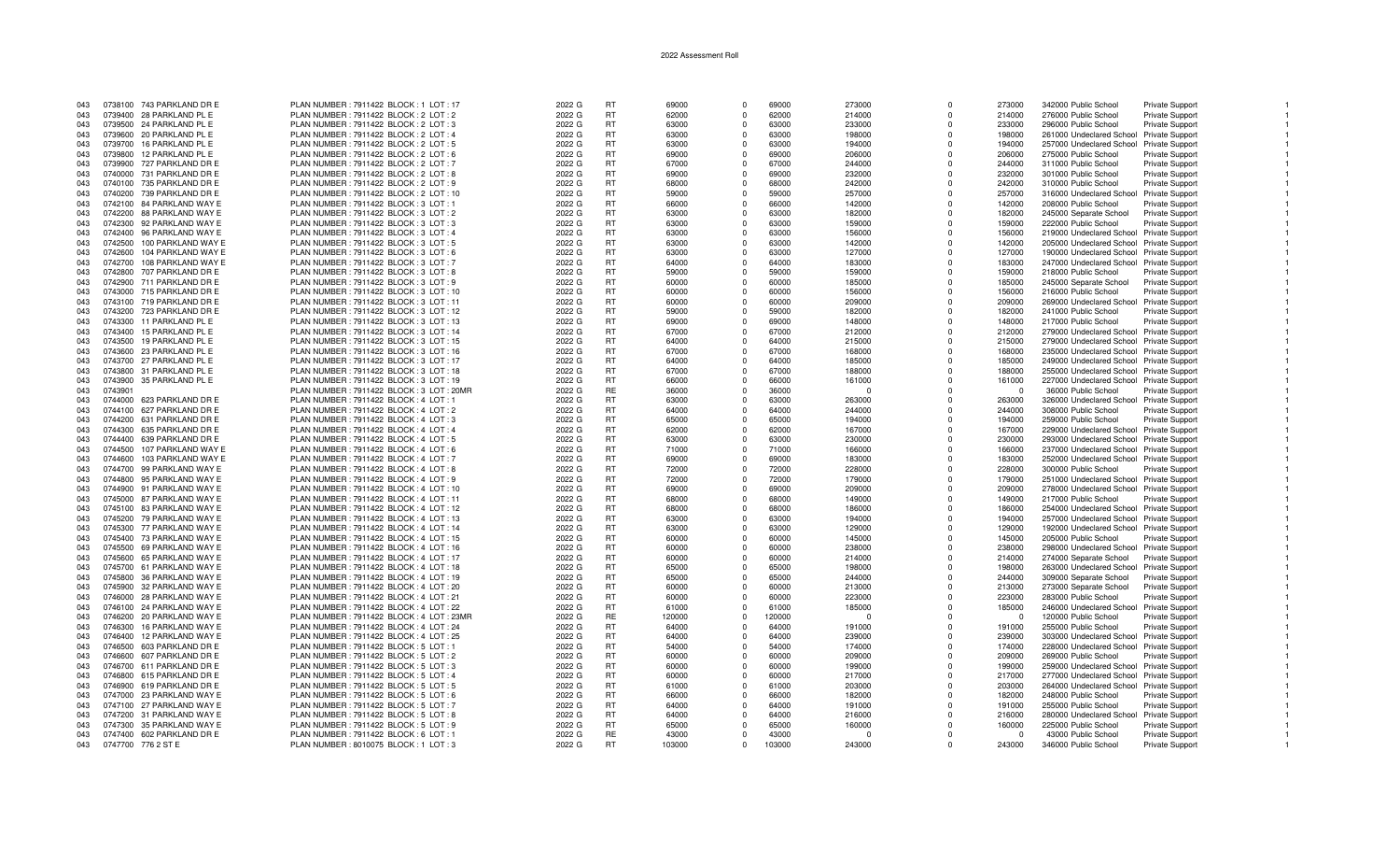| 043 |         | 0738100 743 PARKLAND DR E | PLAN NUMBER: 7911422 BLOCK: 1 LOT: 17    | 2022 G | <b>RT</b> | 69000  | $\Omega$   | 69000  | 273000   | $\Omega$    | 273000   | 342000 Public School                     | Private Support        |  |
|-----|---------|---------------------------|------------------------------------------|--------|-----------|--------|------------|--------|----------|-------------|----------|------------------------------------------|------------------------|--|
| 043 |         | 0739400 28 PARKLAND PL E  | PLAN NUMBER : 7911422 BLOCK : 2 LOT : 2  | 2022 G | <b>RT</b> | 62000  | $\Omega$   | 62000  | 214000   | $\Omega$    | 214000   | 276000 Public School                     | <b>Private Support</b> |  |
| 043 |         | 0739500 24 PARKLAND PL E  | PLAN NUMBER : 7911422 BLOCK : 2 LOT : 3  | 2022 G | <b>RT</b> | 63000  | $\Omega$   | 63000  | 233000   | n           | 233000   | 296000 Public School                     | Private Support        |  |
|     |         |                           |                                          |        |           |        |            |        |          |             |          |                                          |                        |  |
| 043 |         | 0739600 20 PARKLAND PL E  | PLAN NUMBER : 7911422 BLOCK : 2 LOT : 4  | 2022 G | <b>RT</b> | 63000  | $\Omega$   | 63000  | 198000   | $\Omega$    | 198000   | 261000 Undeclared School Private Support |                        |  |
| 043 |         | 0739700 16 PARKLAND PL E  | PLAN NUMBER : 7911422 BLOCK : 2 LOT : 5  | 2022 G | <b>RT</b> | 63000  | $\Omega$   | 63000  | 194000   | $\Omega$    | 194000   | 257000 Undeclared School Private Support |                        |  |
| 043 | 0739800 | 12 PARKLAND PL E          | PLAN NUMBER : 7911422 BLOCK : 2 LOT : 6  | 2022 G | <b>RT</b> | 69000  | $\Omega$   | 69000  | 206000   | $\Omega$    | 206000   | 275000 Public School                     | Private Support        |  |
| 043 |         | 0739900 727 PARKLAND DR E | PLAN NUMBER : 7911422 BLOCK : 2 LOT : 7  | 2022 G | <b>RT</b> | 67000  | $^{\circ}$ | 67000  | 244000   | $\mathbf 0$ | 244000   | 311000 Public School                     | <b>Private Support</b> |  |
| 043 | 0740000 | 731 PARKLAND DR E         | PLAN NUMBER: 7911422 BLOCK: 2 LOT: 8     | 2022 G | RT.       | 69000  | $\Omega$   | 69000  | 232000   | $\Omega$    | 232000   | 301000 Public School                     | <b>Private Support</b> |  |
| 043 |         |                           |                                          |        | <b>RT</b> | 68000  | $\Omega$   | 68000  |          | $\Omega$    | 242000   |                                          |                        |  |
|     |         | 0740100 735 PARKLAND DR E | PLAN NUMBER : 7911422 BLOCK : 2 LOT : 9  | 2022 G |           |        |            |        | 242000   |             |          | 310000 Public School                     | <b>Private Support</b> |  |
| 043 |         | 0740200 739 PARKLAND DR E | PLAN NUMBER : 7911422 BLOCK : 2 LOT : 10 | 2022 G | <b>RT</b> | 59000  | $\Omega$   | 59000  | 257000   | $\Omega$    | 257000   | 316000 Undeclared School                 | <b>Private Support</b> |  |
| 043 |         | 0742100 84 PARKLAND WAY E | PLAN NUMBER: 7911422 BLOCK: 3 LOT: 1     | 2022 G | <b>RT</b> | 66000  | $\Omega$   | 66000  | 142000   | $\Omega$    | 142000   | 208000 Public School                     | Private Support        |  |
| 043 |         | 0742200 88 PARKLAND WAY E | PLAN NUMBER : 7911422 BLOCK : 3 LOT : 2  | 2022 G | <b>RT</b> | 63000  | $\Omega$   | 63000  | 182000   | $\Omega$    | 182000   | 245000 Separate School                   | Private Support        |  |
| 043 |         | 0742300 92 PARKLAND WAY E | PLAN NUMBER: 7911422 BLOCK: 3 LOT: 3     | 2022 G | <b>RT</b> | 63000  | $\Omega$   | 63000  | 159000   | $\Omega$    | 159000   | 222000 Public School                     | <b>Private Support</b> |  |
| 043 |         | 0742400 96 PARKLAND WAY E | PLAN NUMBER : 7911422 BLOCK : 3 LOT : 4  | 2022 G | RT.       | 63000  | $\Omega$   | 63000  | 156000   | $\Omega$    | 156000   | 219000 Undeclared School Private Support |                        |  |
|     |         |                           |                                          |        |           |        |            |        |          |             |          |                                          |                        |  |
| 043 | 0742500 | 100 PARKLAND WAY E        | PLAN NUMBER : 7911422 BLOCK : 3 LOT : 5  | 2022 G | <b>RT</b> | 63000  | $^{\circ}$ | 63000  | 142000   | $\Omega$    | 142000   | 205000 Undeclared School Private Support |                        |  |
| 043 | 0742600 | 104 PARKLAND WAY E        | PLAN NUMBER : 7911422 BLOCK : 3 LOT : 6  | 2022 G | <b>RT</b> | 63000  | $\Omega$   | 63000  | 127000   | $\Omega$    | 127000   | 190000 Undeclared School Private Support |                        |  |
| 043 | 0742700 | 108 PARKLAND WAY E        | PLAN NUMBER: 7911422 BLOCK: 3 LOT: 7     | 2022 G | <b>RT</b> | 64000  | $\Omega$   | 64000  | 183000   | $\Omega$    | 183000   | 247000 Undeclared School Private Support |                        |  |
| 043 |         | 0742800 707 PARKLAND DR E | PLAN NUMBER: 7911422 BLOCK: 3 LOT: 8     | 2022 G | RT        | 59000  | $\Omega$   | 59000  | 159000   | $\Omega$    | 159000   | 218000 Public School                     | <b>Private Support</b> |  |
| 043 |         | 0742900 711 PARKLAND DR E | PLAN NUMBER: 7911422 BLOCK: 3 LOT: 9     | 2022 G | <b>RT</b> | 60000  | $\Omega$   | 60000  | 185000   | $\Omega$    | 185000   | 245000 Separate School                   | Private Support        |  |
|     |         |                           |                                          |        |           |        | $\Omega$   |        |          | $\Omega$    |          |                                          |                        |  |
| 043 |         | 0743000 715 PARKLAND DR E | PLAN NUMBER : 7911422 BLOCK : 3 LOT : 10 | 2022 G | RT.       | 60000  |            | 60000  | 156000   |             | 156000   | 216000 Public School                     | <b>Private Support</b> |  |
| 043 |         | 0743100 719 PARKLAND DR E | PLAN NUMBER : 7911422 BLOCK : 3 LOT : 11 | 2022 G | RT        | 60000  | $\Omega$   | 60000  | 209000   | $\Omega$    | 209000   | 269000 Undeclared School Private Support |                        |  |
| 043 |         | 0743200 723 PARKLAND DR E | PLAN NUMBER : 7911422 BLOCK : 3 LOT : 12 | 2022 G | <b>RT</b> | 59000  | $\Omega$   | 59000  | 182000   | $\Omega$    | 182000   | 241000 Public School                     | Private Support        |  |
| 043 | 0743300 | 11 PARKLAND PL E          | PLAN NUMBER: 7911422 BLOCK: 3 LOT: 13    | 2022 G | <b>RT</b> | 69000  | $^{\circ}$ | 69000  | 148000   | $\Omega$    | 148000   | 217000 Public School                     | <b>Private Support</b> |  |
| 043 | 0743400 | 15 PARKLAND PL E          | PLAN NUMBER: 7911422 BLOCK: 3 LOT: 14    | 2022 G | <b>RT</b> | 67000  | $\Omega$   | 67000  | 212000   | $\Omega$    | 212000   | 279000 Undeclared School Private Support |                        |  |
| 043 | 0743500 | 19 PARKLAND PL E          | PLAN NUMBER: 7911422 BLOCK: 3 LOT: 15    | 2022 G | RT.       | 64000  | $\Omega$   | 64000  | 215000   | $\Omega$    | 215000   |                                          |                        |  |
|     |         |                           |                                          |        |           |        |            |        |          |             |          | 279000 Undeclared School Private Support |                        |  |
| 043 |         | 0743600 23 PARKLAND PL E  | PLAN NUMBER : 7911422 BLOCK : 3 LOT : 16 | 2022 G | RT.       | 67000  | $\Omega$   | 67000  | 168000   | $\Omega$    | 168000   | 235000 Undeclared School Private Support |                        |  |
| 043 |         | 0743700 27 PARKLAND PL E  | PLAN NUMBER: 7911422 BLOCK: 3 LOT: 17    | 2022 G | RT        | 64000  | $\Omega$   | 64000  | 185000   | $\Omega$    | 185000   | 249000 Undeclared School Private Support |                        |  |
| 043 |         | 0743800 31 PARKLAND PL E  | PLAN NUMBER: 7911422 BLOCK: 3 LOT: 18    | 2022 G | <b>RT</b> | 67000  | $\Omega$   | 67000  | 188000   | $\Omega$    | 188000   | 255000 Undeclared School Private Support |                        |  |
| 043 |         | 0743900 35 PARKLAND PL E  | PLAN NUMBER: 7911422 BLOCK: 3 LOT: 19    | 2022 G | <b>RT</b> | 66000  | $\Omega$   | 66000  | 161000   | $\Omega$    | 161000   | 227000 Undeclared School Private Support |                        |  |
| 043 | 0743901 |                           | PLAN NUMBER: 7911422 BLOCK: 3 LOT: 20MR  | 2022 G | <b>RE</b> | 36000  | $\Omega$   | 36000  | $\Omega$ | $\Omega$    | $\Omega$ | 36000 Public School                      | Private Support        |  |
|     |         |                           |                                          |        |           |        |            |        |          |             |          |                                          |                        |  |
| 043 | 0744000 | 623 PARKLAND DR E         | PLAN NUMBER : 7911422 BLOCK : 4 LOT : 1  | 2022 G | <b>RT</b> | 63000  | $\Omega$   | 63000  | 263000   | $\Omega$    | 263000   | 326000 Undeclared School Private Support |                        |  |
| 043 |         | 0744100 627 PARKLAND DR E | PLAN NUMBER : 7911422 BLOCK : 4 LOT : 2  | 2022 G | <b>RT</b> | 64000  | $\Omega$   | 64000  | 244000   | $\Omega$    | 244000   | 308000 Public School                     | Private Support        |  |
| 043 |         | 0744200 631 PARKLAND DR E | PLAN NUMBER : 7911422 BLOCK : 4 LOT : 3  | 2022 G | <b>RT</b> | 65000  | $\Omega$   | 65000  | 194000   | n           | 194000   | 259000 Public School                     | <b>Private Support</b> |  |
| 043 |         | 0744300 635 PARKLAND DR E | PLAN NUMBER: 7911422 BLOCK: 4 LOT: 4     | 2022 G | <b>RT</b> | 62000  | $\Omega$   | 62000  | 167000   | $\Omega$    | 167000   | 229000 Undeclared School Private Support |                        |  |
| 043 |         | 0744400 639 PARKLAND DR E | PLAN NUMBER : 7911422 BLOCK : 4 LOT : 5  | 2022 G | <b>RT</b> | 63000  | $\Omega$   | 63000  | 230000   | $\Omega$    | 230000   | 293000 Undeclared School Private Support |                        |  |
| 043 | 0744500 |                           |                                          |        | <b>RT</b> | 71000  | $\Omega$   |        |          | $\Omega$    |          |                                          |                        |  |
|     |         | 107 PARKLAND WAY E        | PLAN NUMBER : 7911422 BLOCK : 4 LOT : 6  | 2022 G |           |        |            | 71000  | 166000   |             | 166000   | 237000 Undeclared School Private Support |                        |  |
| 043 | 0744600 | 103 PARKLAND WAY E        | PLAN NUMBER : 7911422 BLOCK : 4 LOT : 7  | 2022 G | RT.       | 69000  | $\Omega$   | 69000  | 183000   | $\Omega$    | 183000   | 252000 Undeclared School Private Support |                        |  |
| 043 |         | 0744700 99 PARKLAND WAY E | PLAN NUMBER: 7911422 BLOCK: 4 LOT: 8     | 2022 G | <b>RT</b> | 72000  | $\Omega$   | 72000  | 228000   | $\Omega$    | 228000   | 300000 Public School                     | <b>Private Support</b> |  |
| 043 | 0744800 | 95 PARKLAND WAY E         | PLAN NUMBER : 7911422 BLOCK : 4 LOT : 9  | 2022 G | <b>RT</b> | 72000  | $\Omega$   | 72000  | 179000   | $\Omega$    | 179000   | 251000 Undeclared School Private Support |                        |  |
| 043 |         | 0744900 91 PARKLAND WAY E | PLAN NUMBER: 7911422 BLOCK: 4 LOT: 10    | 2022 G | <b>RT</b> | 69000  | $\Omega$   | 69000  | 209000   | $\Omega$    | 209000   | 278000 Undeclared School Private Support |                        |  |
| 043 |         | 0745000 87 PARKLAND WAY E | PLAN NUMBER: 7911422 BLOCK: 4 LOT: 11    | 2022 G | <b>RT</b> | 68000  | $\Omega$   | 68000  | 149000   | $\Omega$    | 149000   | 217000 Public School                     | Private Support        |  |
|     |         |                           |                                          |        |           |        |            |        |          |             |          |                                          |                        |  |
| 043 |         | 0745100 83 PARKLAND WAY E | PLAN NUMBER : 7911422 BLOCK : 4 LOT : 12 | 2022 G | <b>RT</b> | 68000  | $\Omega$   | 68000  | 186000   | $\Omega$    | 186000   | 254000 Undeclared School Private Support |                        |  |
| 043 |         | 0745200 79 PARKLAND WAY E | PLAN NUMBER: 7911422 BLOCK: 4 LOT: 13    | 2022 G | <b>RT</b> | 63000  | $\Omega$   | 63000  | 194000   | $\Omega$    | 194000   | 257000 Undeclared School Private Support |                        |  |
| 043 |         | 0745300 77 PARKLAND WAY E | PLAN NUMBER : 7911422 BLOCK : 4 LOT : 14 | 2022 G | RT.       | 63000  | $\Omega$   | 63000  | 129000   | $\Omega$    | 129000   | 192000 Undeclared School Private Support |                        |  |
| 043 |         | 0745400 73 PARKLAND WAY E | PLAN NUMBER : 7911422 BLOCK : 4 LOT : 15 | 2022 G | <b>RT</b> | 60000  | $\Omega$   | 60000  | 145000   | $\Omega$    | 145000   | 205000 Public School                     | Private Support        |  |
| 043 |         | 0745500 69 PARKLAND WAY E | PLAN NUMBER: 7911422 BLOCK: 4 LOT: 16    | 2022 G | <b>RT</b> | 60000  | $^{\circ}$ | 60000  | 238000   | $\Omega$    | 238000   | 298000 Undeclared School Private Support |                        |  |
|     |         |                           |                                          |        |           |        |            |        |          |             |          |                                          |                        |  |
| 043 |         | 0745600 65 PARKLAND WAY E | PLAN NUMBER : 7911422 BLOCK : 4 LOT : 17 | 2022 G | RT        | 60000  | $\Omega$   | 60000  | 214000   | $\Omega$    | 214000   | 274000 Separate School                   | <b>Private Support</b> |  |
| 043 |         | 0745700 61 PARKLAND WAY E | PLAN NUMBER : 7911422 BLOCK : 4 LOT : 18 | 2022 G | <b>RT</b> | 65000  | $\Omega$   | 65000  | 198000   | $\Omega$    | 198000   | 263000 Undeclared School                 | Private Support        |  |
| 043 |         | 0745800 36 PARKLAND WAY E | PLAN NUMBER : 7911422 BLOCK : 4 LOT : 19 | 2022 G | RT.       | 65000  | $\Omega$   | 65000  | 244000   | $\Omega$    | 244000   | 309000 Separate School                   | <b>Private Support</b> |  |
| 043 |         | 0745900 32 PARKLAND WAY E | PLAN NUMBER: 7911422 BLOCK: 4 LOT: 20    | 2022 G | RT        | 60000  | $\Omega$   | 60000  | 213000   | $\Omega$    | 213000   | 273000 Separate School                   | <b>Private Support</b> |  |
| 043 |         | 0746000 28 PARKLAND WAY E | PLAN NUMBER: 7911422 BLOCK: 4 LOT: 21    | 2022 G | <b>RT</b> | 60000  | $\Omega$   | 60000  | 223000   | $\Omega$    | 223000   | 283000 Public School                     | Private Support        |  |
| 043 |         | 0746100 24 PARKLAND WAY E | PLAN NUMBER : 7911422 BLOCK : 4 LOT : 22 | 2022 G | <b>RT</b> | 61000  | $\Omega$   | 61000  | 185000   | $\Omega$    | 185000   |                                          |                        |  |
|     |         |                           |                                          |        |           |        |            |        |          |             |          | 246000 Undeclared School Private Support |                        |  |
| 043 |         | 0746200 20 PARKLAND WAY E | PLAN NUMBER: 7911422 BLOCK: 4 LOT: 23MR  | 2022 G | RE        | 120000 | $\Omega$   | 120000 | $\Omega$ | $\Omega$    | $\Omega$ | 120000 Public School                     | <b>Private Support</b> |  |
| 043 | 0746300 | 16 PARKLAND WAY E         | PLAN NUMBER: 7911422 BLOCK: 4 LOT: 24    | 2022 G | <b>RT</b> | 64000  | $\Omega$   | 64000  | 191000   | $\Omega$    | 191000   | 255000 Public School                     | <b>Private Support</b> |  |
| 043 | 0746400 | 12 PARKLAND WAY E         | PLAN NUMBER : 7911422 BLOCK : 4 LOT : 25 | 2022 G | RT.       | 64000  | $\Omega$   | 64000  | 239000   | $\Omega$    | 239000   | 303000 Undeclared School Private Support |                        |  |
| 043 |         | 0746500 603 PARKLAND DR E | PLAN NUMBER : 7911422 BLOCK : 5 LOT : 1  | 2022 G | RT        | 54000  | $\Omega$   | 54000  | 174000   | $\Omega$    | 174000   | 228000 Undeclared School Private Support |                        |  |
| 043 |         | 0746600 607 PARKLAND DR E | PLAN NUMBER : 7911422 BLOCK : 5 LOT : 2  | 2022 G | <b>RT</b> | 60000  | $\Omega$   | 60000  | 209000   | $\Omega$    | 209000   | 269000 Public School                     | <b>Private Support</b> |  |
|     |         |                           |                                          |        |           |        |            |        |          |             |          |                                          |                        |  |
| 043 |         | 0746700 611 PARKLAND DR E | PLAN NUMBER : 7911422 BLOCK : 5 LOT : 3  | 2022 G | <b>RT</b> | 60000  | $\Omega$   | 60000  | 199000   | $\Omega$    | 199000   | 259000 Undeclared School Private Support |                        |  |
| 043 |         | 0746800 615 PARKLAND DR E | PLAN NUMBER : 7911422 BLOCK : 5 LOT : 4  | 2022 G | RT        | 60000  | $\Omega$   | 60000  | 217000   | $\Omega$    | 217000   | 277000 Undeclared School Private Support |                        |  |
| 043 |         | 0746900 619 PARKLAND DR E | PLAN NUMBER : 7911422 BLOCK : 5 LOT : 5  | 2022 G | <b>RT</b> | 61000  | $\Omega$   | 61000  | 203000   | $\Omega$    | 203000   | 264000 Undeclared School Private Support |                        |  |
| 043 |         | 0747000 23 PARKLAND WAY E | PLAN NUMBER: 7911422 BLOCK: 5 LOT: 6     | 2022 G | <b>RT</b> | 66000  | $\Omega$   | 66000  | 182000   | $\Omega$    | 182000   | 248000 Public School                     | <b>Private Support</b> |  |
| 043 |         | 0747100 27 PARKLAND WAY E | PLAN NUMBER : 7911422 BLOCK : 5 LOT : 7  | 2022 G | <b>RT</b> | 64000  | $\Omega$   | 64000  | 191000   | $\Omega$    | 191000   | 255000 Public School                     | Private Support        |  |
| 043 |         | 0747200 31 PARKLAND WAY E | PLAN NUMBER: 7911422 BLOCK: 5 LOT: 8     | 2022 G | <b>RT</b> | 64000  | $\Omega$   | 64000  | 216000   | $\Omega$    | 216000   |                                          |                        |  |
|     |         |                           |                                          |        |           |        |            |        |          |             |          | 280000 Undeclared School                 | Private Support        |  |
| 043 |         | 0747300 35 PARKLAND WAY E | PLAN NUMBER : 7911422 BLOCK : 5 LOT : 9  | 2022 G | <b>RT</b> | 65000  | $\Omega$   | 65000  | 160000   | $\Omega$    | 160000   | 225000 Public School                     | Private Support        |  |
| 043 |         | 0747400 602 PARKLAND DR E | PLAN NUMBER : 7911422 BLOCK : 6 LOT : 1  | 2022 G | <b>RE</b> | 43000  | $\Omega$   | 43000  | $\Omega$ | $\Omega$    | $\Omega$ | 43000 Public School                      | Private Support        |  |
| 043 |         | 0747700 776 2 ST E        | PLAN NUMBER: 8010075 BLOCK: 1 LOT: 3     | 2022 G | RT.       | 103000 | $\Omega$   | 103000 | 243000   | $\Omega$    | 243000   | 346000 Public School                     | <b>Private Support</b> |  |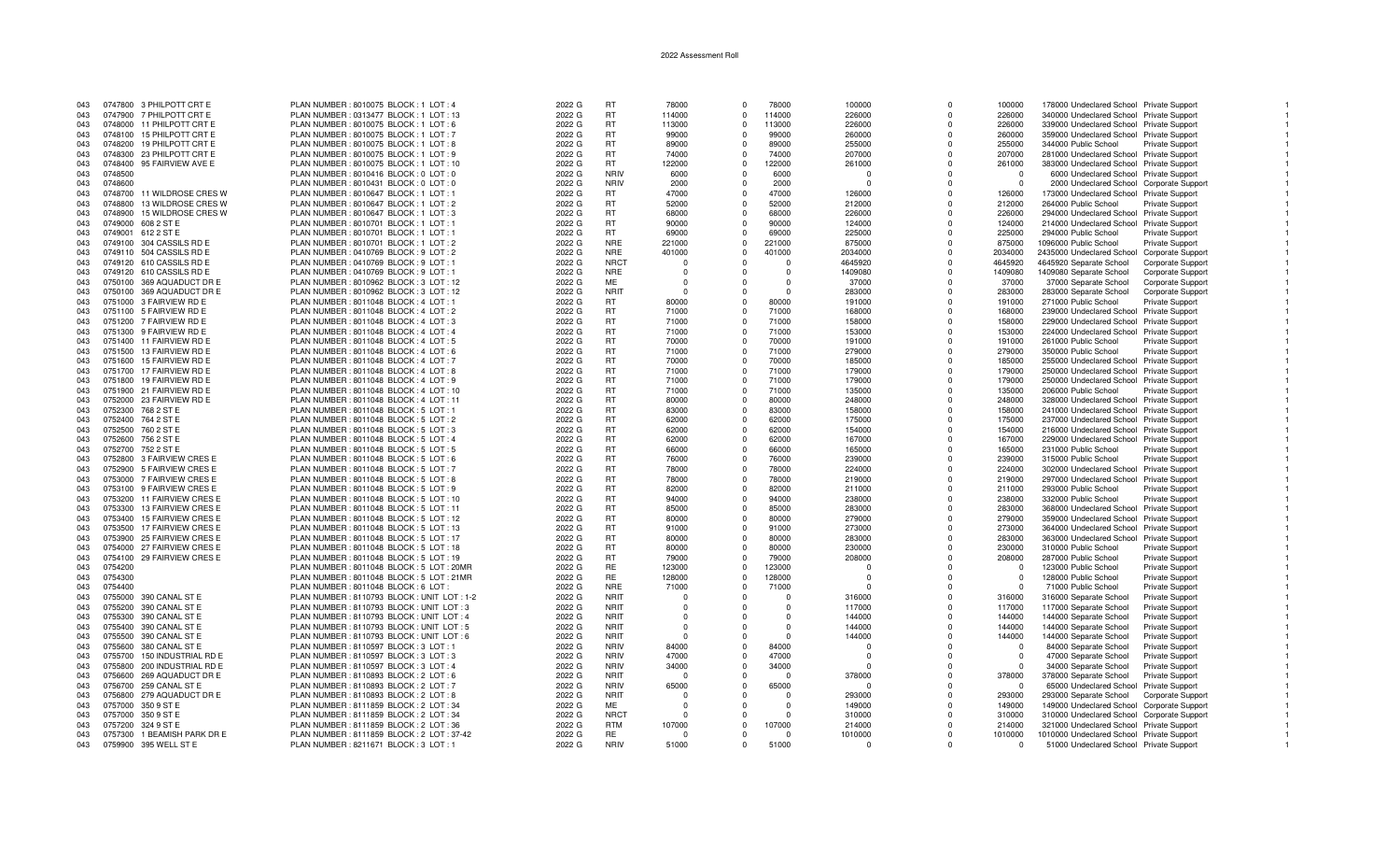| 043 | 0747800 3 PHILPOTT CRT E       | PLAN NUMBER: 8010075 BLOCK: 1 LOT: 4         | 2022 G | RT          | 78000    | $\cap$     | 78000    | 100000   | $\Omega$     | 100000     | 178000 Undeclared School Private Support   |                          |  |
|-----|--------------------------------|----------------------------------------------|--------|-------------|----------|------------|----------|----------|--------------|------------|--------------------------------------------|--------------------------|--|
| 043 | 0747900 7 PHILPOTT CRT E       | PLAN NUMBER : 0313477 BLOCK : 1 LOT : 13     | 2022 G | <b>RT</b>   | 114000   | $\Omega$   | 114000   | 226000   | $\Omega$     | 226000     | 340000 Undeclared School Private Support   |                          |  |
| 043 | 0748000 11 PHILPOTT CRT E      | PLAN NUMBER : 8010075 BLOCK : 1 LOT : 6      | 2022 G | RT          | 113000   | $\Omega$   | 113000   | 226000   | $\Omega$     | 226000     | 339000 Undeclared School Private Support   |                          |  |
|     |                                |                                              |        |             |          | $\Omega$   |          |          | $\Omega$     |            |                                            |                          |  |
| 043 | 15 PHILPOTT CRT E<br>0748100   | PLAN NUMBER : 8010075 BLOCK : 1 LOT : 7      | 2022 G | <b>RT</b>   | 99000    |            | 99000    | 260000   |              | 260000     | 359000 Undeclared School Private Support   |                          |  |
| 043 | 0748200<br>19 PHILPOTT CRT E   | PLAN NUMBER : 8010075 BLOCK : 1 LOT : 8      | 2022 G | <b>RT</b>   | 89000    | $\Omega$   | 89000    | 255000   | $\Omega$     | 255000     | 344000 Public School                       | <b>Private Support</b>   |  |
| 043 | 0748300<br>23 PHILPOTT CRT E   | PLAN NUMBER : 8010075 BLOCK : 1 LOT : 9      | 2022 G | <b>RT</b>   | 74000    | $\Omega$   | 74000    | 207000   | $\Omega$     | 207000     | 281000 Undeclared School Private Support   |                          |  |
| 043 | 95 FAIRVIEW AVE E<br>0748400   | PLAN NUMBER : 8010075 BLOCK : 1 LOT : 10     | 2022 G | <b>RT</b>   | 122000   | $^{\circ}$ | 122000   | 261000   | $\mathbf 0$  | 261000     | 383000 Undeclared School Private Support   |                          |  |
| 043 | 0748500                        | PLAN NUMBER : 8010416 BLOCK : 0 LOT : 0      | 2022 G | <b>NRIV</b> | 6000     | $\Omega$   | 6000     | $\cap$   | $\Omega$     | $^{\circ}$ | 6000 Undeclared School Private Support     |                          |  |
| 043 | 0748600                        | PLAN NUMBER : 8010431 BLOCK : 0 LOT : 0      | 2022 G | <b>NRIV</b> | 2000     | $\Omega$   | 2000     | $\Omega$ | n            | $\Omega$   | 2000 Undeclared School Corporate Suppor    |                          |  |
|     |                                |                                              |        |             |          |            |          |          |              |            |                                            |                          |  |
| 043 | 0748700<br>11 WILDROSE CRES W  | PLAN NUMBER : 8010647 BLOCK : 1 LOT : 1      | 2022 G | RT.         | 47000    | $\Omega$   | 47000    | 126000   |              | 126000     | 173000 Undeclared School Private Support   |                          |  |
| 043 | 13 WILDROSE CRES W<br>0748800  | PLAN NUMBER: 8010647 BLOCK: 1 LOT: 2         | 2022 G | <b>RT</b>   | 52000    | $\Omega$   | 52000    | 212000   | 0            | 212000     | 264000 Public School                       | <b>Private Support</b>   |  |
| 043 | 15 WILDROSE CRES W<br>0748900  | PLAN NUMBER: 8010647 BLOCK: 1 LOT: 3         | 2022 G | <b>RT</b>   | 68000    | $\Omega$   | 68000    | 226000   | $\Omega$     | 226000     | 294000 Undeclared School Private Support   |                          |  |
| 043 | 0749000<br>608 2 ST E          | PLAN NUMBER : 8010701 BLOCK : 1 LOT : 1      | 2022 G | <b>RT</b>   | 90000    | $\Omega$   | 90000    | 124000   | $\Omega$     | 124000     | 214000 Undeclared School Private Support   |                          |  |
| 043 | 0749001<br>612 2 ST E          | PLAN NUMBER : 8010701 BLOCK : 1 LOT : 1      | 2022 G | RT.         | 69000    | $\Omega$   | 69000    | 225000   | $\Omega$     | 225000     | 294000 Public School                       | <b>Private Support</b>   |  |
| 043 | 304 CASSILS RD E<br>0749100    | PLAN NUMBER : 8010701 BLOCK : 1 LOT : 2      | 2022 G | <b>NRE</b>  | 221000   | $\Omega$   | 221000   | 875000   | $\Omega$     | 875000     | 1096000 Public School                      | <b>Private Support</b>   |  |
|     |                                |                                              |        |             |          |            |          |          |              |            |                                            |                          |  |
| 043 | 0749110 504 CASSILS RD E       | PLAN NUMBER : 0410769 BLOCK : 9 LOT : 2      | 2022 G | <b>NRE</b>  | 401000   | $\Omega$   | 401000   | 2034000  | $\Omega$     | 2034000    | 2435000 Undeclared School Corporate Suppor |                          |  |
| 043 | 0749120 610 CASSILS RD E       | PLAN NUMBER : 0410769 BLOCK : 9 LOT : 1      | 2022 G | <b>NRCT</b> | $\Omega$ |            |          | 4645920  | $\Omega$     | 4645920    | 4645920 Separate School                    | Corporate Support        |  |
| 043 | 0749120 610 CASSILS RD E       | PLAN NUMBER : 0410769 BLOCK : 9 LOT : 1      | 2022 G | <b>NRE</b>  | $\Omega$ |            | $\Omega$ | 1409080  | $\Omega$     | 1409080    | 1409080 Separate School                    | <b>Corporate Support</b> |  |
| 043 | 0750100 369 AQUADUCT DR E      | PLAN NUMBER : 8010962 BLOCK : 3 LOT : 12     | 2022 G | ME          | $\Omega$ |            | $\Omega$ | 37000    | $\Omega$     | 37000      | 37000 Separate School                      | Corporate Support        |  |
| 043 | 0750100 369 AQUADUCT DR E      | PLAN NUMBER : 8010962 BLOCK : 3 LOT : 12     | 2022 G | <b>NRIT</b> | $\Omega$ |            | $\Omega$ | 283000   | $\Omega$     | 283000     | 283000 Separate School                     | Corporate Support        |  |
| 043 | 0751000 3 FAIRVIEW RD E        | PLAN NUMBER : 8011048 BLOCK : 4 LOT : 1      | 2022 G | RT.         | 80000    | $\Omega$   | 80000    | 191000   | $\Omega$     | 191000     |                                            |                          |  |
|     |                                |                                              |        |             |          |            |          |          |              |            | 271000 Public School                       | <b>Private Support</b>   |  |
| 043 | 0751100 5 FAIRVIEW RD E        | PLAN NUMBER: 8011048 BLOCK: 4 LOT: 2         | 2022 G | <b>RT</b>   | 71000    | $\Omega$   | 71000    | 168000   | $\Omega$     | 168000     | 239000 Undeclared School Private Support   |                          |  |
| 043 | 0751200 7 FAIRVIEW RD E        | PLAN NUMBER: 8011048 BLOCK: 4 LOT: 3         | 2022 G | RT          | 71000    | $\Omega$   | 71000    | 158000   | $\Omega$     | 158000     | 229000 Undeclared School Private Support   |                          |  |
| 043 | 0751300 9 FAIRVIEW RD E        | PLAN NUMBER: 8011048 BLOCK: 4 LOT: 4         | 2022 G | <b>RT</b>   | 71000    | $\Omega$   | 71000    | 153000   | $\Omega$     | 153000     | 224000 Undeclared School Private Support   |                          |  |
| 043 | 0751400 11 FAIRVIEW RD E       | PLAN NUMBER: 8011048 BLOCK: 4 LOT: 5         | 2022 G | <b>RT</b>   | 70000    | $\Omega$   | 70000    | 191000   | $\Omega$     | 191000     | 261000 Public School                       | <b>Private Support</b>   |  |
| 043 | 0751500 13 FAIRVIEW RD E       | PLAN NUMBER: 8011048 BLOCK: 4 LOT: 6         | 2022 G | <b>RT</b>   | 71000    | $\Omega$   | 71000    | 279000   | $\Omega$     | 279000     | 350000 Public School                       | Private Support          |  |
|     |                                |                                              |        |             |          |            |          |          | $\Omega$     |            |                                            |                          |  |
| 043 | 0751600<br>15 FAIRVIEW RD E    | PLAN NUMBER: 8011048 BLOCK: 4 LOT: 7         | 2022 G | <b>RT</b>   | 70000    | $\Omega$   | 70000    | 185000   |              | 185000     | 255000 Undeclared School Private Support   |                          |  |
| 043 | 0751700 17 FAIRVIEW RD E       | PLAN NUMBER: 8011048 BLOCK: 4 LOT: 8         | 2022 G | <b>RT</b>   | 71000    | $\Omega$   | 71000    | 179000   | $\Omega$     | 179000     | 250000 Undeclared School Private Support   |                          |  |
| 043 | 0751800 19 FAIRVIEW RD E       | PLAN NUMBER: 8011048 BLOCK: 4 LOT: 9         | 2022 G | <b>RT</b>   | 71000    |            | 71000    | 179000   | $\Omega$     | 179000     | 250000 Undeclared School Private Support   |                          |  |
| 043 | 0751900 21 FAIRVIEW RD E       | PLAN NUMBER: 8011048 BLOCK: 4 LOT: 10        | 2022 G | <b>RT</b>   | 71000    | $\Omega$   | 71000    | 135000   | $\Omega$     | 135000     | 206000 Public School                       | Private Support          |  |
| 043 | 0752000 23 FAIRVIEW RD E       | PLAN NUMBER: 8011048 BLOCK: 4 LOT: 11        | 2022 G | <b>RT</b>   | 80000    | $\Omega$   | 80000    | 248000   | $\Omega$     | 248000     | 328000 Undeclared School Private Support   |                          |  |
| 043 | 0752300 768 2 ST E             | PLAN NUMBER: 8011048 BLOCK: 5 LOT: 1         | 2022 G | <b>RT</b>   | 83000    | $\Omega$   | 83000    | 158000   | $\Omega$     | 158000     | 241000 Undeclared School Private Support   |                          |  |
|     |                                |                                              |        |             |          |            |          |          |              |            |                                            |                          |  |
| 043 | 0752400 764 2 ST E             | PLAN NUMBER : 8011048 BLOCK : 5 LOT : 2      | 2022 G | <b>RT</b>   | 62000    | $\Omega$   | 62000    | 175000   |              | 175000     | 237000 Undeclared School Private Support   |                          |  |
| 043 | 0752500 760 2 ST E             | PLAN NUMBER : 8011048 BLOCK : 5 LOT : 3      | 2022 G | <b>RT</b>   | 62000    | $\Omega$   | 62000    | 154000   | O            | 154000     | 216000 Undeclared School Private Support   |                          |  |
| 043 | 0752600 756 2 ST E             | PLAN NUMBER : 8011048 BLOCK : 5 LOT : 4      | 2022 G | <b>RT</b>   | 62000    | $\Omega$   | 62000    | 167000   | $\Omega$     | 167000     | 229000 Undeclared School Private Support   |                          |  |
| 043 | 0752700 752 2 ST E             | PLAN NUMBER : 8011048 BLOCK : 5 LOT : 5      | 2022 G | <b>RT</b>   | 66000    | $\Omega$   | 66000    | 165000   | $\Omega$     | 165000     | 231000 Public School                       | Private Support          |  |
| 043 | 0752800<br>3 FAIRVIEW CRES E   | PLAN NUMBER : 8011048 BLOCK : 5 LOT : 6      | 2022 G | <b>RT</b>   | 76000    |            | 76000    | 239000   | $\Omega$     | 239000     | 315000 Public School                       | Private Support          |  |
|     |                                |                                              |        |             | 78000    |            |          |          | $\Omega$     | 224000     |                                            |                          |  |
| 043 | 0752900 5 FAIRVIEW CRES E      | PLAN NUMBER: 8011048 BLOCK: 5 LOT: 7         | 2022 G | <b>RT</b>   |          | $\Omega$   | 78000    | 224000   |              |            | 302000 Undeclared School Private Support   |                          |  |
| 043 | 0753000<br>7 FAIRVIEW CRES E   | PLAN NUMBER : 8011048 BLOCK : 5 LOT : 8      | 2022 G | RT          | 78000    | $\Omega$   | 78000    | 219000   | $\Omega$     | 219000     | 297000 Undeclared School Private Support   |                          |  |
| 043 | 0753100 9 FAIRVIEW CRES E      | PLAN NUMBER: 8011048 BLOCK: 5 LOT: 9         | 2022 G | <b>RT</b>   | 82000    | $\Omega$   | 82000    | 211000   | $\Omega$     | 211000     | 293000 Public School                       | Private Support          |  |
| 043 | 0753200 11 FAIRVIEW CRES E     | PLAN NUMBER : 8011048 BLOCK : 5 LOT : 10     | 2022 G | <b>RT</b>   | 94000    | $\Omega$   | 94000    | 238000   |              | 238000     | 332000 Public School                       | <b>Private Support</b>   |  |
| 043 | 13 FAIRVIEW CRES E<br>0753300  | PLAN NUMBER: 8011048 BLOCK: 5 LOT: 11        | 2022 G | RT          | 85000    | $\Omega$   | 85000    | 283000   | <sup>n</sup> | 283000     | 368000 Undeclared School Private Support   |                          |  |
| 043 | 0753400<br>15 FAIRVIEW CRES E  | PLAN NUMBER : 8011048 BLOCK : 5 LOT : 12     | 2022 G | <b>RT</b>   | 80000    | $\Omega$   | 80000    | 279000   | $\Omega$     | 279000     | 359000 Undeclared School Private Support   |                          |  |
|     |                                |                                              |        |             | 91000    | $\Omega$   |          |          | $\Omega$     |            |                                            |                          |  |
| 043 | 0753500<br>17 FAIRVIEW CRES E  | PLAN NUMBER: 8011048 BLOCK: 5 LOT: 13        | 2022 G | <b>RT</b>   |          |            | 91000    | 273000   |              | 273000     | 364000 Undeclared School Private Support   |                          |  |
| 043 | 0753900<br>25 FAIRVIEW CRES E  | PLAN NUMBER: 8011048 BLOCK: 5 LOT: 17        | 2022 G | <b>RT</b>   | 80000    | $\Omega$   | 80000    | 283000   | $\Omega$     | 283000     | 363000 Undeclared School Private Support   |                          |  |
| 043 | 0754000 27 FAIRVIEW CRES E     | PLAN NUMBER : 8011048 BLOCK : 5 LOT : 18     | 2022 G | <b>RT</b>   | 80000    | $\Omega$   | 80000    | 230000   | $\Omega$     | 230000     | 310000 Public School                       | Private Support          |  |
| 043 | 29 FAIRVIEW CRES E<br>0754100  | PLAN NUMBER : 8011048 BLOCK : 5 LOT : 19     | 2022 G | <b>RT</b>   | 79000    | $\Omega$   | 79000    | 208000   | $\Omega$     | 208000     | 287000 Public School                       | <b>Private Support</b>   |  |
| 043 | 0754200                        | PLAN NUMBER : 8011048 BLOCK : 5 LOT : 20MR   | 2022 G | <b>RE</b>   | 123000   | $\Omega$   | 123000   | $\Omega$ | O            | $\Omega$   | 123000 Public School                       | <b>Private Support</b>   |  |
| 043 | 0754300                        | PLAN NUMBER: 8011048 BLOCK: 5 LOT: 21MR      | 2022 G | <b>RE</b>   | 128000   | $\Omega$   | 128000   | $\Omega$ |              | $\Omega$   | 128000 Public School                       |                          |  |
|     |                                |                                              |        |             |          |            |          |          |              |            |                                            | <b>Private Support</b>   |  |
| 043 | 0754400                        | PLAN NUMBER : 8011048 BLOCK : 6 LOT          | 2022 G | <b>NRE</b>  | 71000    | $\Omega$   | 71000    | $\Omega$ |              | $\Omega$   | 71000 Public School                        | Private Support          |  |
| 043 | 0755000<br>390 CANAL ST E      | PLAN NUMBER : 8110793 BLOCK : UNIT LOT : 1-2 | 2022 G | <b>NRIT</b> | $\Omega$ |            | $\Omega$ | 316000   | $\Omega$     | 316000     | 316000 Separate School                     | <b>Private Support</b>   |  |
| 043 | 0755200<br>390 CANAL ST E      | PLAN NUMBER : 8110793 BLOCK : UNIT LOT : 3   | 2022 G | <b>NRIT</b> | $\Omega$ | $\Omega$   | $\Omega$ | 117000   | $\Omega$     | 117000     | 117000 Separate School                     | <b>Private Support</b>   |  |
| 043 | 0755300<br>390 CANAL ST E      | PLAN NUMBER: 8110793 BLOCK: UNIT LOT: 4      | 2022 G | <b>NRIT</b> | $\Omega$ |            | $\Omega$ | 144000   | $\Omega$     | 144000     | 144000 Separate School                     | <b>Private Support</b>   |  |
| 043 | 0755400<br>390 CANAL ST E      | PLAN NUMBER: 8110793 BLOCK: UNIT LOT: 5      | 2022 G | <b>NRIT</b> | $\Omega$ |            | $\Omega$ | 144000   | $\Omega$     | 144000     | 144000 Separate School                     | <b>Private Support</b>   |  |
| 043 | 390 CANAL ST E<br>0755500      | PLAN NUMBER : 8110793 BLOCK : UNIT LOT : 6   | 2022 G | <b>NRIT</b> | $\Omega$ | $\Omega$   |          | 144000   | $\Omega$     | 144000     | 144000 Separate School                     |                          |  |
|     |                                |                                              |        |             |          |            |          |          |              |            |                                            | Private Support          |  |
| 043 | 0755600<br>380 CANAL ST E      | PLAN NUMBER: 8110597 BLOCK: 3 LOT: 1         | 2022 G | <b>NRIV</b> | 84000    | $\Omega$   | 84000    | $\Omega$ | $\Omega$     | $\Omega$   | 84000 Separate School                      | Private Support          |  |
| 043 | 0755700<br>150 INDUSTRIAL RD E | PLAN NUMBER: 8110597 BLOCK: 3 LOT: 3         | 2022 G | <b>NRIV</b> | 47000    | $\Omega$   | 47000    | $\Omega$ |              | $\Omega$   | 47000 Separate School                      | Private Support          |  |
| 043 | 0755800<br>200 INDUSTRIAL RD E | PLAN NUMBER: 8110597 BLOCK: 3 LOT: 4         | 2022 G | <b>NRIV</b> | 34000    | $\Omega$   | 34000    | -0       | $\Omega$     | $\Omega$   | 34000 Separate School                      | <b>Private Support</b>   |  |
| 043 | 0756600 269 AQUADUCT DR E      | PLAN NUMBER: 8110893 BLOCK: 2 LOT: 6         | 2022 G | <b>NRIT</b> | - 0      | $\Omega$   | $\Omega$ | 378000   |              | 378000     | 378000 Separate School                     | <b>Private Support</b>   |  |
| 043 | 0756700 259 CANAL ST E         | PLAN NUMBER : 8110893 BLOCK : 2 LOT : 7      | 2022 G | <b>NRIV</b> | 65000    | $\Omega$   | 65000    | $\Omega$ | n            | $\cap$     | 65000 Undeclared School Private Support    |                          |  |
| 043 | 0756800 279 AQUADUCT DR E      | PLAN NUMBER : 8110893 BLOCK : 2 LOT : 8      | 2022 G | <b>NRIT</b> | - 0      |            | $\Omega$ | 293000   | $\Omega$     | 293000     | 293000 Separate School                     | <b>Corporate Support</b> |  |
|     |                                |                                              |        |             |          |            |          |          |              |            |                                            |                          |  |
| 043 | 0757000<br>350 9 ST E          | PLAN NUMBER: 8111859 BLOCK: 2 LOT: 34        | 2022 G | ME          | $\Omega$ |            | $\Omega$ | 149000   | $\Omega$     | 149000     | 149000 Undeclared School Corporate Support |                          |  |
| 043 | 0757000<br>350 9 ST E          | PLAN NUMBER: 8111859 BLOCK: 2 LOT: 34        | 2022 G | <b>NRCT</b> | $\Omega$ |            | $\Omega$ | 310000   | $\Omega$     | 310000     | 310000 Undeclared School Corporate Support |                          |  |
| 043 | 0757200 324 9 ST E             | PLAN NUMBER : 8111859 BLOCK : 2 LOT : 36     | 2022 G | <b>RTM</b>  | 107000   | $\Omega$   | 107000   | 214000   | $\Omega$     | 214000     | 321000 Undeclared School Private Support   |                          |  |
| 043 | 0757300 1 BEAMISH PARK DR E    | PLAN NUMBER: 8111859 BLOCK: 2 LOT: 37-42     | 2022 G | <b>RE</b>   | - 0      |            | $\cap$   | 1010000  | $\Omega$     | 1010000    | 1010000 Undeclared School Private Support  |                          |  |
| 043 | 0759900 395 WELL ST E          | PLAN NUMBER: 8211671 BLOCK: 3 LOT: 1         | 2022 G | <b>NRIV</b> | 51000    |            | 51000    |          | $\Omega$     | $\Omega$   | 51000 Undeclared School Private Support    |                          |  |
|     |                                |                                              |        |             |          |            |          |          |              |            |                                            |                          |  |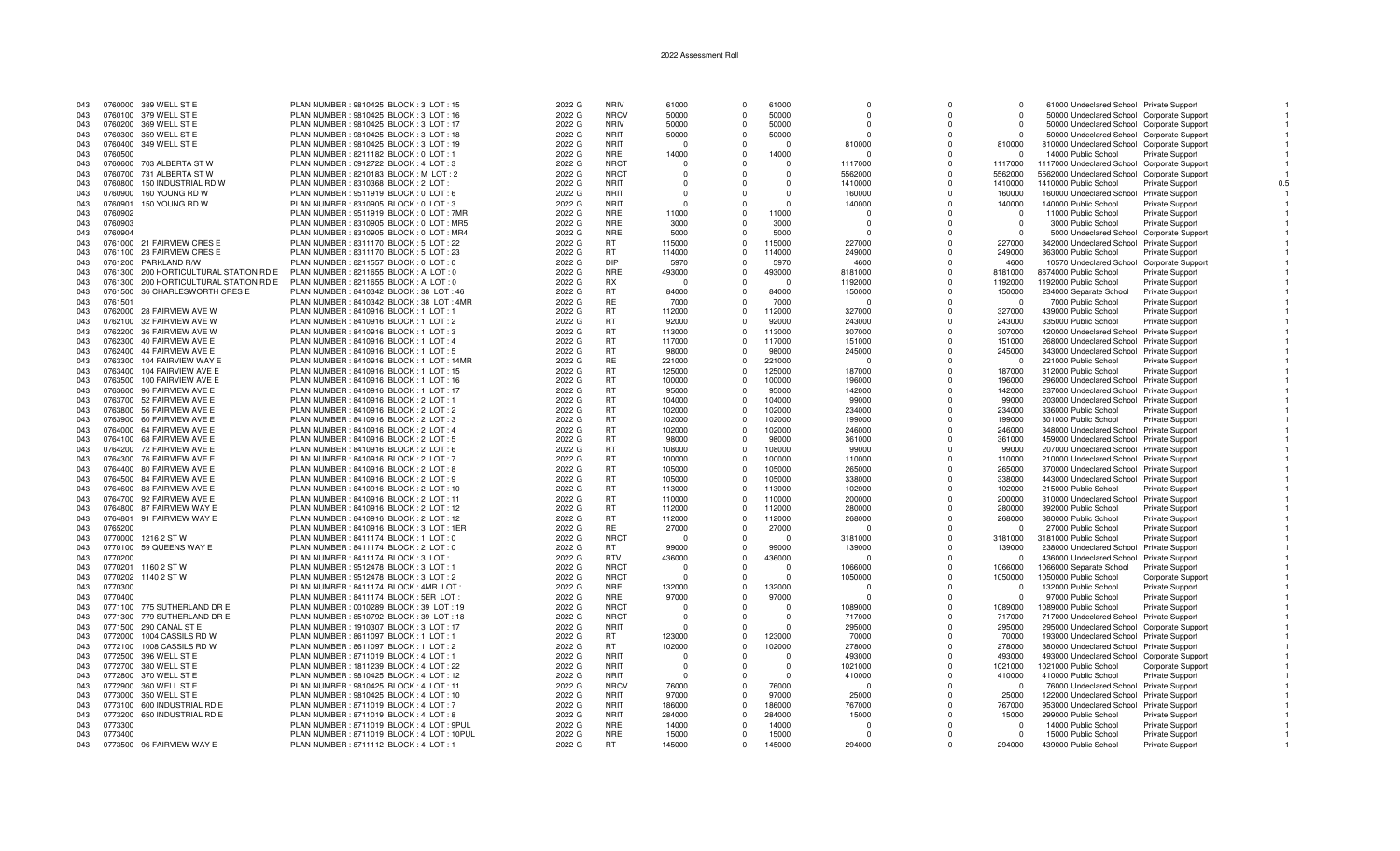| 043 |         | 0760000 389 WELL ST E                  | PLAN NUMBER : 9810425 BLOCK : 3 LOT : 15  | 2022 G | <b>NRIV</b> | 61000    | $\Omega$ | 61000    | 0        | $\Omega$     | $\Omega$   | 61000 Undeclared School Private Support     |                          |  |
|-----|---------|----------------------------------------|-------------------------------------------|--------|-------------|----------|----------|----------|----------|--------------|------------|---------------------------------------------|--------------------------|--|
| 043 |         | 0760100 379 WELL ST E                  | PLAN NUMBER : 9810425 BLOCK : 3 LOT : 16  | 2022 G | <b>NRCV</b> | 50000    | $\Omega$ | 50000    | $\Omega$ | $\Omega$     | $\Omega$   | 50000 Undeclared School Corporate Support   |                          |  |
| 043 |         | 0760200 369 WELL ST E                  | PLAN NUMBER : 9810425 BLOCK : 3 LOT : 17  | 2022 G | <b>NRIV</b> | 50000    | $\Omega$ | 50000    |          |              | $\Omega$   | 50000 Undeclared School Corporate Support   |                          |  |
| 043 |         | 0760300 359 WELL ST E                  | PLAN NUMBER: 9810425 BLOCK: 3 LOT: 18     | 2022 G | <b>NRIT</b> | 50000    | $\Omega$ | 50000    | $\Omega$ | $\Omega$     | $\Omega$   | 50000 Undeclared School Corporate Support   |                          |  |
|     |         |                                        |                                           |        |             |          |          |          |          |              |            |                                             |                          |  |
| 043 |         | 0760400 349 WELL ST E                  | PLAN NUMBER: 9810425 BLOCK: 3 LOT: 19     | 2022 G | <b>NRIT</b> | $\Omega$ | $\Omega$ | $\Omega$ | 810000   | $\Omega$     | 810000     | 810000 Undeclared School Corporate Support  |                          |  |
| 043 | 0760500 |                                        | PLAN NUMBER : 8211182 BLOCK : 0 LOT : 1   | 2022 G | <b>NRE</b>  | 14000    | $\Omega$ | 14000    | $\Omega$ | $\Omega$     | $\cap$     | 14000 Public School                         | <b>Private Support</b>   |  |
| 043 | 0760600 | 703 ALBERTA ST W                       | PLAN NUMBER : 0912722 BLOCK : 4 LOT : 3   | 2022 G | <b>NRCT</b> | $\Omega$ | $\Omega$ | $\Omega$ | 1117000  | $\Omega$     | 1117000    | 1117000 Undeclared School Corporate Support |                          |  |
| 043 |         | 0760700 731 ALBERTA ST W               | PLAN NUMBER: 8210183 BLOCK: M LOT: 2      | 2022 G | <b>NRCT</b> | $\Omega$ | $\Omega$ | $\Omega$ | 5562000  | $\Omega$     | 5562000    | 5562000 Undeclared School Corporate Support |                          |  |
| 043 | 0760800 | 150 INDUSTRIAL RD W                    | PLAN NUMBER: 8310368 BLOCK: 2 LOT:        | 2022 G | <b>NRIT</b> | $\Omega$ |          | $\Omega$ | 1410000  | $\Omega$     | 1410000    | 1410000 Public School                       | Private Support          |  |
| 043 | 0760900 | 160 YOUNG RD W                         | PLAN NUMBER : 9511919 BLOCK : 0 LOT : 6   | 2022 G | <b>NRIT</b> | $\Omega$ |          | $\Omega$ | 160000   | $\Omega$     | 160000     | 160000 Undeclared School Private Support    |                          |  |
| 043 | 0760901 | 150 YOUNG RD W                         | PLAN NUMBER : 8310905 BLOCK : 0 LOT : 3   | 2022 G | <b>NRIT</b> | $\Omega$ |          | $\Omega$ | 140000   | $\Omega$     | 140000     | 140000 Public School                        | Private Support          |  |
|     |         |                                        |                                           |        |             |          |          |          |          |              |            |                                             |                          |  |
| 043 | 0760902 |                                        | PLAN NUMBER: 9511919 BLOCK: 0 LOT: 7MR    | 2022 G | <b>NRE</b>  | 11000    | $\Omega$ | 11000    | $\Omega$ | <sup>0</sup> | - 0        | 11000 Public School                         | Private Support          |  |
| 043 | 0760903 |                                        | PLAN NUMBER: 8310905 BLOCK: 0 LOT: MR5    | 2022 G | <b>NRE</b>  | 3000     | $\Omega$ | 3000     | $\Omega$ | $\Omega$     | $\Omega$   | 3000 Public School                          | <b>Private Support</b>   |  |
| 043 | 0760904 |                                        | PLAN NUMBER: 8310905 BLOCK: 0 LOT: MR4    | 2022 G | <b>NRE</b>  | 5000     | $\Omega$ | 5000     | $\Omega$ |              | $\Omega$   | 5000 Undeclared School Corporate Suppor     |                          |  |
| 043 |         | 0761000 21 FAIRVIEW CRES E             | PLAN NUMBER: 8311170 BLOCK: 5 LOT: 22     | 2022 G | <b>RT</b>   | 115000   | $\Omega$ | 115000   | 227000   | $\Omega$     | 227000     | 342000 Undeclared School Private Support    |                          |  |
| 043 |         | 0761100 23 FAIRVIEW CRES E             | PLAN NUMBER : 8311170 BLOCK : 5 LOT : 23  | 2022 G | <b>RT</b>   | 114000   | $\Omega$ | 114000   | 249000   | $\Omega$     | 249000     | 363000 Public School                        | Private Support          |  |
| 043 | 0761200 | PARKLAND R/W                           | PLAN NUMBER : 8211557 BLOCK : 0 LOT : 0   | 2022 G | DIP         | 5970     | $\Omega$ | 5970     | 4600     | $\Omega$     | 4600       | 10570 Undeclared School Corporate Support   |                          |  |
| 043 |         | 0761300 200 HORTICULTURAL STATION RD E | PLAN NUMBER : 8211655 BLOCK : A LOT : 0   | 2022 G | <b>NRE</b>  | 493000   | $\Omega$ | 493000   | 8181000  | $\Omega$     | 8181000    | 8674000 Public School                       | <b>Private Support</b>   |  |
|     |         | 0761300 200 HORTICULTURAL STATION RD E |                                           |        | <b>RX</b>   |          |          | $\Omega$ |          | $\Omega$     |            |                                             |                          |  |
| 043 |         |                                        | PLAN NUMBER: 8211655 BLOCK: A LOT: 0      | 2022 G |             | $\Omega$ | $\Omega$ |          | 1192000  |              | 1192000    | 1192000 Public School                       | Private Support          |  |
| 043 |         | 0761500 36 CHARLESWORTH CRES E         | PLAN NUMBER : 8410342 BLOCK : 38 LOT : 46 | 2022 G | <b>RT</b>   | 84000    | $\Omega$ | 84000    | 150000   | $\Omega$     | 150000     | 234000 Separate School                      | Private Support          |  |
| 043 | 0761501 |                                        | PLAN NUMBER: 8410342 BLOCK: 38 LOT: 4MR   | 2022 G | <b>RE</b>   | 7000     | $\Omega$ | 7000     | $\Omega$ | $\Omega$     | $\Omega$   | 7000 Public School                          | <b>Private Support</b>   |  |
| 043 |         | 0762000 28 FAIRVIEW AVE W              | PLAN NUMBER : 8410916 BLOCK : 1 LOT : 1   | 2022 G | <b>RT</b>   | 112000   | $\Omega$ | 112000   | 327000   | $\Omega$     | 327000     | 439000 Public School                        | <b>Private Support</b>   |  |
| 043 |         | 0762100 32 FAIRVIEW AVE W              | PLAN NUMBER : 8410916 BLOCK : 1 LOT : 2   | 2022 G | <b>RT</b>   | 92000    | $\Omega$ | 92000    | 243000   | $\Omega$     | 243000     | 335000 Public School                        | Private Support          |  |
| 043 |         | 0762200 36 FAIRVIEW AVE W              | PLAN NUMBER: 8410916 BLOCK: 1 LOT: 3      | 2022 G | <b>RT</b>   | 113000   | $\Omega$ | 113000   | 307000   | $\Omega$     | 307000     | 420000 Undeclared School Private Support    |                          |  |
| 043 |         | 0762300 40 FAIRVIEW AVE E              | PLAN NUMBER : 8410916 BLOCK : 1 LOT : 4   | 2022 G | <b>RT</b>   | 117000   | $\Omega$ | 117000   | 151000   | $\Omega$     | 151000     |                                             |                          |  |
|     |         |                                        |                                           |        |             |          |          |          |          |              |            | 268000 Undeclared School Private Support    |                          |  |
| 043 |         | 0762400 44 FAIRVIEW AVE E              | PLAN NUMBER : 8410916 BLOCK : 1 LOT : 5   | 2022 G | <b>RT</b>   | 98000    | $\Omega$ | 98000    | 245000   |              | 245000     | 343000 Undeclared School Private Support    |                          |  |
| 043 |         | 0763300 104 FAIRVIEW WAY E             | PLAN NUMBER: 8410916 BLOCK: 1 LOT: 14MR   | 2022 G | <b>RE</b>   | 221000   | $\Omega$ | 221000   | - 0      | $\Omega$     | $^{\circ}$ | 221000 Public School                        | <b>Private Support</b>   |  |
| 043 |         | 0763400 104 FAIRVIEW AVE E             | PLAN NUMBER: 8410916 BLOCK: 1 LOT: 15     | 2022 G | <b>RT</b>   | 125000   | $\Omega$ | 125000   | 187000   | $\Omega$     | 187000     | 312000 Public School                        | <b>Private Support</b>   |  |
| 043 |         | 0763500 100 FAIRVIEW AVE E             | PLAN NUMBER : 8410916 BLOCK : 1 LOT : 16  | 2022 G | <b>RT</b>   | 100000   | $\Omega$ | 100000   | 196000   | $\Omega$     | 196000     | 296000 Undeclared School Private Support    |                          |  |
| 043 |         | 0763600 96 FAIRVIEW AVE E              | PLAN NUMBER: 8410916 BLOCK: 1 LOT: 17     | 2022 G | <b>RT</b>   | 95000    | $\Omega$ | 95000    | 142000   | $\Omega$     | 142000     | 237000 Undeclared School Private Support    |                          |  |
| 043 |         | 0763700 52 FAIRVIEW AVE E              | PLAN NUMBER : 8410916 BLOCK : 2 LOT : 1   | 2022 G | <b>RT</b>   | 104000   | $\Omega$ | 104000   | 99000    | $\Omega$     | 99000      | 203000 Undeclared School Private Support    |                          |  |
|     |         |                                        |                                           |        |             |          | $\Omega$ |          |          | $\Omega$     |            |                                             |                          |  |
| 043 |         | 0763800 56 FAIRVIEW AVE E              | PLAN NUMBER : 8410916 BLOCK : 2 LOT : 2   | 2022 G | RT          | 102000   |          | 102000   | 234000   |              | 234000     | 336000 Public School                        | <b>Private Support</b>   |  |
| 043 |         | 0763900 60 FAIRVIEW AVE E              | PLAN NUMBER : 8410916 BLOCK : 2 LOT : 3   | 2022 G | <b>RT</b>   | 102000   | $\Omega$ | 102000   | 199000   | $\Omega$     | 199000     | 301000 Public School                        | <b>Private Support</b>   |  |
| 043 |         | 0764000 64 FAIRVIEW AVE E              | PLAN NUMBER : 8410916 BLOCK : 2 LOT : 4   | 2022 G | <b>RT</b>   | 102000   | $\Omega$ | 102000   | 246000   |              | 246000     | 348000 Undeclared School Private Support    |                          |  |
| 043 |         | 0764100 68 FAIRVIEW AVE E              | PLAN NUMBER : 8410916 BLOCK : 2 LOT : 5   | 2022 G | <b>RT</b>   | 98000    | $\Omega$ | 98000    | 361000   | $\Omega$     | 361000     | 459000 Undeclared School Private Support    |                          |  |
| 043 |         | 0764200 72 FAIRVIEW AVE E              | PLAN NUMBER : 8410916 BLOCK : 2 LOT : 6   | 2022 G | <b>RT</b>   | 108000   | $\Omega$ | 108000   | 99000    | $\Omega$     | 99000      | 207000 Undeclared School Private Support    |                          |  |
| 043 |         | 0764300 76 FAIRVIEW AVE E              | PLAN NUMBER : 8410916 BLOCK : 2 LOT : 7   | 2022 G | <b>RT</b>   | 100000   | $\Omega$ | 100000   | 110000   | $\Omega$     | 110000     | 210000 Undeclared School Private Support    |                          |  |
| 043 |         | 0764400 80 FAIRVIEW AVE E              | PLAN NUMBER : 8410916 BLOCK : 2 LOT : 8   | 2022 G | <b>RT</b>   | 105000   | $\Omega$ | 105000   | 265000   | $\Omega$     | 265000     | 370000 Undeclared School Private Support    |                          |  |
|     |         |                                        |                                           |        | <b>RT</b>   | 105000   | $\Omega$ | 105000   |          | $\Omega$     |            |                                             |                          |  |
| 043 |         | 0764500 84 FAIRVIEW AVE E              | PLAN NUMBER : 8410916 BLOCK : 2 LOT : 9   | 2022 G |             |          |          |          | 338000   |              | 338000     | 443000 Undeclared School Private Support    |                          |  |
| 043 |         | 0764600 88 FAIRVIEW AVE E              | PLAN NUMBER : 8410916 BLOCK : 2 LOT : 10  | 2022 G | <b>RT</b>   | 113000   | $\Omega$ | 113000   | 102000   | $\Omega$     | 102000     | 215000 Public School                        | Private Support          |  |
| 043 |         | 0764700 92 FAIRVIEW AVE E              | PLAN NUMBER : 8410916 BLOCK : 2 LOT : 11  | 2022 G | <b>RT</b>   | 110000   | $\Omega$ | 110000   | 200000   |              | 200000     | 310000 Undeclared School Private Support    |                          |  |
| 043 |         | 0764800 87 FAIRVIEW WAY E              | PLAN NUMBER : 8410916 BLOCK : 2 LOT : 12  | 2022 G | RT          | 112000   | $\Omega$ | 112000   | 280000   |              | 280000     | 392000 Public School                        | <b>Private Support</b>   |  |
| 043 |         | 0764801 91 FAIRVIEW WAY E              | PLAN NUMBER : 8410916 BLOCK : 2 LOT : 12  | 2022 G | <b>RT</b>   | 112000   | $\Omega$ | 112000   | 268000   | $\Omega$     | 268000     | 380000 Public School                        | Private Support          |  |
| 043 | 0765200 |                                        | PLAN NUMBER: 8410916 BLOCK: 3 LOT: 1ER    | 2022 G | RE          | 27000    | $\Omega$ | 27000    | $\Omega$ | $\Omega$     | - 0        | 27000 Public School                         | Private Support          |  |
| 043 | 0770000 | 1216 2 ST W                            | PLAN NUMBER: 8411174 BLOCK: 1 LOT: 0      | 2022 G | <b>NRCT</b> | $\Omega$ | $\Omega$ | $\Omega$ | 3181000  | $\Omega$     | 3181000    | 3181000 Public School                       | Private Support          |  |
| 043 | 0770100 | 59 QUEENS WAY E                        | PLAN NUMBER : 8411174 BLOCK : 2 LOT : 0   | 2022 G | RT.         | 99000    | $\Omega$ | 99000    | 139000   | $\Omega$     | 139000     | 238000 Undeclared School Private Support    |                          |  |
|     |         |                                        |                                           |        |             |          |          |          |          |              |            |                                             |                          |  |
| 043 | 0770200 |                                        | PLAN NUMBER : 8411174 BLOCK : 3 LOT :     | 2022 G | <b>RTV</b>  | 436000   | $\Omega$ | 436000   |          | $\Omega$     | $\Omega$   | 436000 Undeclared School Private Support    |                          |  |
| 043 | 0770201 | 1160 2 ST W                            | PLAN NUMBER : 9512478 BLOCK : 3 LOT : 1   | 2022 G | <b>NRCT</b> | $\Omega$ | $\Omega$ | $\Omega$ | 1066000  | $\Omega$     | 1066000    | 1066000 Separate School                     | <b>Private Support</b>   |  |
| 043 | 0770202 | 1140 2 ST W                            | PLAN NUMBER : 9512478 BLOCK : 3 LOT : 2   | 2022 G | <b>NRCT</b> | $\Omega$ |          | $\Omega$ | 1050000  | $\Omega$     | 1050000    | 1050000 Public School                       | <b>Corporate Support</b> |  |
| 043 | 0770300 |                                        | PLAN NUMBER: 8411174 BLOCK: 4MR LOT       | 2022 G | <b>NRE</b>  | 132000   | $\Omega$ | 132000   | n        | $\Omega$     | $\Omega$   | 132000 Public School                        | Private Support          |  |
| 043 | 0770400 |                                        | PLAN NUMBER: 8411174 BLOCK: 5ER LOT:      | 2022 G | <b>NRE</b>  | 97000    | $\Omega$ | 97000    | ŋ        | $\Omega$     | $\Omega$   | 97000 Public School                         | <b>Private Support</b>   |  |
| 043 |         | 0771100 775 SUTHERLAND DR E            | PLAN NUMBER : 0010289 BLOCK : 39 LOT : 19 | 2022 G | <b>NRCT</b> | - 0      | $\Omega$ | $\Omega$ | 1089000  | $\Omega$     | 1089000    | 1089000 Public School                       | <b>Private Support</b>   |  |
|     |         |                                        |                                           |        |             | $\Omega$ |          | $\Omega$ |          | $\Omega$     |            |                                             |                          |  |
| 043 | 0771300 | 779 SUTHERLAND DR E                    | PLAN NUMBER : 8510792 BLOCK : 39 LOT : 18 | 2022 G | <b>NRCT</b> |          |          |          | 717000   |              | 717000     | 717000 Undeclared School Private Support    |                          |  |
| 043 |         | 0771500 290 CANAL ST E                 | PLAN NUMBER : 1910307 BLOCK : 3 LOT : 17  | 2022 G | <b>NRIT</b> | - 0      | $\Omega$ | $\Omega$ | 295000   | $\Omega$     | 295000     | 295000 Undeclared School Corporate Suppor   |                          |  |
| 043 | 0772000 | 1004 CASSILS RD W                      | PLAN NUMBER: 8611097 BLOCK: 1 LOT: 1      | 2022 G | RT          | 123000   | $\Omega$ | 123000   | 70000    | $\Omega$     | 70000      | 193000 Undeclared School Private Support    |                          |  |
| 043 |         | 0772100 1008 CASSILS RD W              | PLAN NUMBER: 8611097 BLOCK: 1 LOT: 2      | 2022 G | <b>RT</b>   | 102000   | $\Omega$ | 102000   | 278000   | $\Omega$     | 278000     | 380000 Undeclared School Private Support    |                          |  |
| 043 |         | 0772500 396 WELL ST E                  | PLAN NUMBER : 8711019 BLOCK : 4 LOT : 1   | 2022 G | <b>NRIT</b> | - 0      |          | $\Omega$ | 493000   | $\Omega$     | 493000     | 493000 Undeclared School Corporate Support  |                          |  |
| 043 |         | 0772700 380 WELL ST E                  | PLAN NUMBER: 1811239 BLOCK: 4 LOT: 22     | 2022 G | <b>NRIT</b> | $\Omega$ |          | $\Omega$ | 1021000  | $\Omega$     | 1021000    | 1021000 Public School                       | Corporate Support        |  |
| 043 |         | 0772800 370 WELL ST E                  | PLAN NUMBER: 9810425 BLOCK: 4 LOT: 12     | 2022 G | <b>NRIT</b> | $\Omega$ |          | $\Omega$ | 410000   | $\Omega$     | 410000     | 410000 Public School                        | <b>Private Support</b>   |  |
|     |         |                                        |                                           |        |             |          | $\Omega$ |          | $\Omega$ | $\Omega$     | $\cap$     |                                             |                          |  |
| 043 |         | 0772900 360 WELL ST E                  | PLAN NUMBER : 9810425 BLOCK : 4 LOT : 11  | 2022 G | <b>NRCV</b> | 76000    |          | 76000    |          |              |            | 76000 Undeclared School Private Support     |                          |  |
| 043 |         | 0773000 350 WELL ST E                  | PLAN NUMBER : 9810425 BLOCK : 4 LOT : 10  | 2022 G | <b>NRIT</b> | 97000    | $\Omega$ | 97000    | 25000    | $\Omega$     | 25000      | 122000 Undeclared School Private Support    |                          |  |
| 043 | 0773100 | 600 INDUSTRIAL RD E                    | PLAN NUMBER : 8711019 BLOCK : 4 LOT : 7   | 2022 G | <b>NRIT</b> | 186000   | $\Omega$ | 186000   | 767000   | <sup>0</sup> | 767000     | 953000 Undeclared School Private Support    |                          |  |
| 043 | 0773200 | 650 INDUSTRIAL RD E                    | PLAN NUMBER : 8711019 BLOCK : 4 LOT : 8   | 2022 G | <b>NRIT</b> | 284000   | $\Omega$ | 284000   | 15000    | $\Omega$     | 15000      | 299000 Public School                        | Private Support          |  |
| 043 | 0773300 |                                        | PLAN NUMBER: 8711019 BLOCK: 4 LOT: 9PUL   | 2022 G | <b>NRE</b>  | 14000    | $\Omega$ | 14000    |          |              | - 0        | 14000 Public School                         | <b>Private Support</b>   |  |
| 043 | 0773400 |                                        | PLAN NUMBER: 8711019 BLOCK: 4 LOT: 10PUL  | 2022 G | <b>NRE</b>  | 15000    | $\Omega$ | 15000    | $\Omega$ |              | $\Omega$   | 15000 Public School                         | Private Support          |  |
| 043 |         | 0773500 96 FAIRVIEW WAY E              | PLAN NUMBER : 8711112 BLOCK : 4 LOT : 1   | 2022 G | <b>RT</b>   | 145000   | $\Omega$ | 145000   | 294000   |              | 294000     | 439000 Public School                        |                          |  |
|     |         |                                        |                                           |        |             |          |          |          |          |              |            |                                             | <b>Private Support</b>   |  |

 $\overline{1}$ 

 $\overline{1}$ 

 $\overline{1}$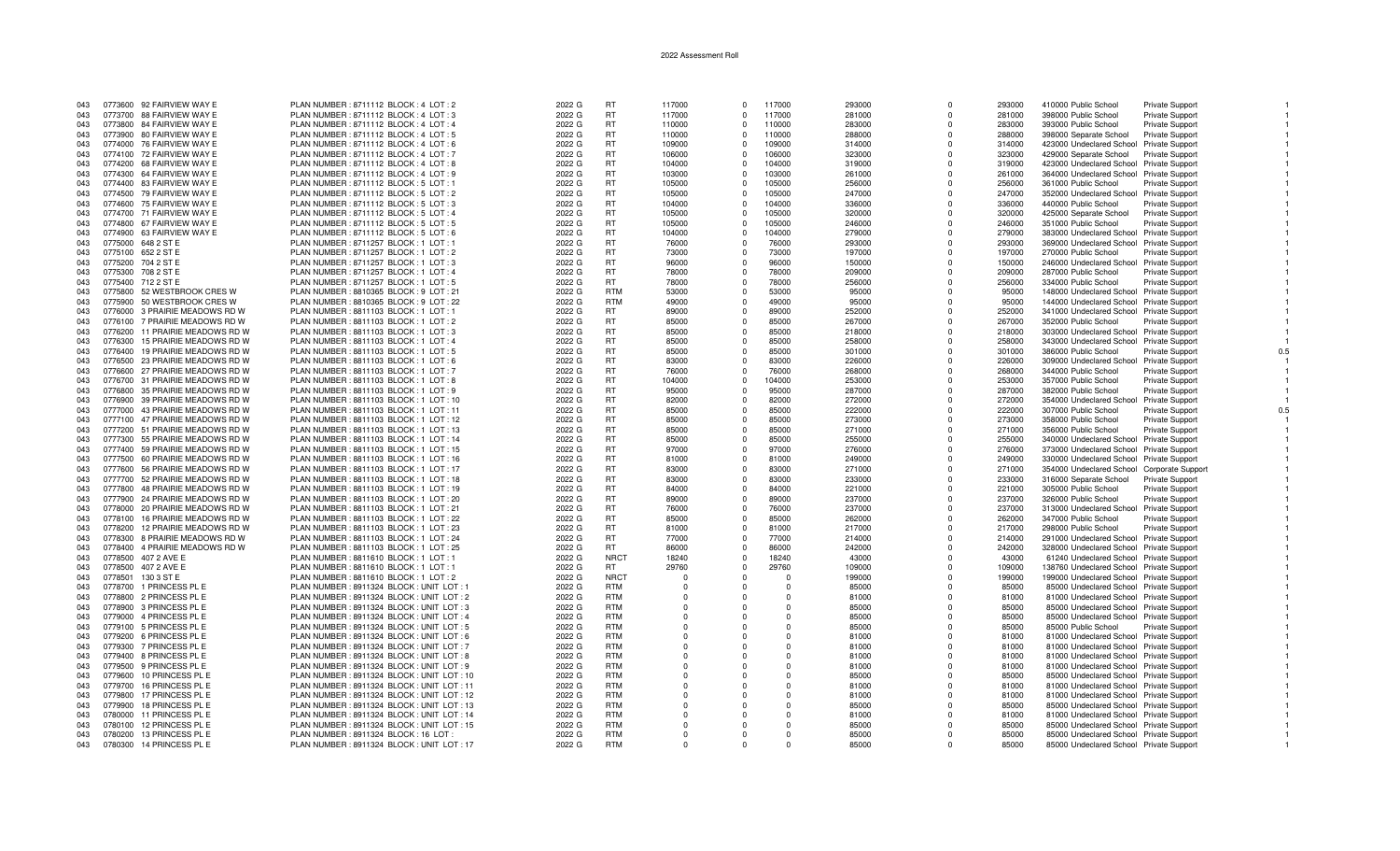| 043 | 0773600 92 FAIRVIEW WAY E          | PLAN NUMBER: 8711112 BLOCK: 4 LOT: 2        | 2022 G | <b>RT</b>   | 117000   | $\Omega$   | 117000   | 293000 | $\Omega$     | 293000 | 410000 Public School                       | Private Support        |     |
|-----|------------------------------------|---------------------------------------------|--------|-------------|----------|------------|----------|--------|--------------|--------|--------------------------------------------|------------------------|-----|
| 043 | 0773700 88 FAIRVIEW WAY E          | PLAN NUMBER: 8711112 BLOCK: 4 LOT: 3        | 2022 G | <b>RT</b>   | 117000   | $\Omega$   | 117000   | 281000 | <sup>n</sup> | 281000 | 398000 Public School                       | <b>Private Support</b> |     |
|     | 0773800 84 FAIRVIEW WAY E          |                                             | 2022 G | <b>RT</b>   | 110000   | $\Omega$   | 110000   |        | <sup>n</sup> | 283000 |                                            |                        |     |
| 043 |                                    | PLAN NUMBER : 8711112 BLOCK : 4 LOT : 4     |        |             |          |            |          | 283000 |              |        | 393000 Public School                       | Private Support        |     |
| 043 | 0773900 80 FAIRVIEW WAY E          | PLAN NUMBER: 8711112 BLOCK: 4 LOT: 5        | 2022 G | <b>RT</b>   | 110000   | $\Omega$   | 110000   | 288000 | 0            | 288000 | 398000 Separate School                     | <b>Private Support</b> |     |
| 043 | 0774000 76 FAIRVIEW WAY E          | PLAN NUMBER: 8711112 BLOCK: 4 LOT: 6        | 2022 G | <b>RT</b>   | 109000   | $\Omega$   | 109000   | 314000 | $\Omega$     | 314000 | 423000 Undeclared School Private Support   |                        |     |
| 043 | 0774100 72 FAIRVIEW WAY E          | PLAN NUMBER: 8711112 BLOCK: 4 LOT: 7        | 2022 G | <b>RT</b>   | 106000   | $\Omega$   | 106000   | 323000 | $\Omega$     | 323000 | 429000 Separate School                     | Private Support        |     |
|     |                                    |                                             |        |             |          |            |          |        |              |        |                                            |                        |     |
| 043 | 0774200 68 FAIRVIEW WAY E          | PLAN NUMBER: 8711112 BLOCK: 4 LOT: 8        | 2022 G | <b>RT</b>   | 104000   | $\Omega$   | 104000   | 319000 | $\mathbf 0$  | 319000 | 423000 Undeclared School Private Support   |                        |     |
| 043 | 0774300 64 FAIRVIEW WAY E          | PLAN NUMBER: 8711112 BLOCK: 4 LOT: 9        | 2022 G | <b>RT</b>   | 103000   | $\Omega$   | 103000   | 261000 | $\Omega$     | 261000 | 364000 Undeclared School Private Support   |                        |     |
| 043 | 0774400 83 FAIRVIEW WAY E          | PLAN NUMBER: 8711112 BLOCK: 5 LOT: 1        | 2022 G | <b>RT</b>   | 105000   | $\Omega$   | 105000   | 256000 | $\Omega$     | 256000 | 361000 Public School                       | <b>Private Support</b> |     |
| 043 | 0774500 79 FAIRVIEW WAY E          | PLAN NUMBER : 8711112 BLOCK : 5 LOT : 2     | 2022 G | <b>RT</b>   | 105000   | $\Omega$   | 105000   | 247000 | 0            | 247000 | 352000 Undeclared School Private Support   |                        |     |
|     |                                    |                                             |        |             |          |            |          |        |              |        |                                            |                        |     |
| 043 | 0774600 75 FAIRVIEW WAY E          | PLAN NUMBER: 8711112 BLOCK: 5 LOT: 3        | 2022 G | <b>RT</b>   | 104000   | $\Omega$   | 104000   | 336000 | $\Omega$     | 336000 | 440000 Public School                       | <b>Private Support</b> |     |
| 043 | 0774700 71 FAIRVIEW WAY E          | PLAN NUMBER: 8711112 BLOCK: 5 LOT: 4        | 2022 G | <b>RT</b>   | 105000   | $\Omega$   | 105000   | 320000 | $\Omega$     | 320000 | 425000 Separate School                     | Private Support        |     |
| 043 | 0774800 67 FAIRVIEW WAY E          | PLAN NUMBER : 8711112 BLOCK : 5 LOT : 5     | 2022 G | <b>RT</b>   | 105000   | $\Omega$   | 105000   | 246000 | $\Omega$     | 246000 | 351000 Public School                       | <b>Private Support</b> |     |
| 043 | 0774900 63 FAIRVIEW WAY E          | PLAN NUMBER : 8711112 BLOCK : 5 LOT : 6     | 2022 G | <b>RT</b>   | 104000   | $\Omega$   | 104000   | 279000 | $\Omega$     | 279000 | 383000 Undeclared School Private Support   |                        |     |
|     |                                    |                                             |        |             |          |            |          |        |              |        |                                            |                        |     |
| 043 | 0775000 648 2 ST E                 | PLAN NUMBER: 8711257 BLOCK: 1 LOT: 1        | 2022 G | <b>RT</b>   | 76000    | $\Omega$   | 76000    | 293000 | $\Omega$     | 293000 | 369000 Undeclared School Private Support   |                        |     |
| 043 | 0775100 652 2 ST E                 | PLAN NUMBER: 8711257 BLOCK: 1 LOT: 2        | 2022 G | <b>RT</b>   | 73000    | $\Omega$   | 73000    | 197000 | $\Omega$     | 197000 | 270000 Public School                       | Private Support        |     |
| 043 | 0775200 704 2 ST E                 | PLAN NUMBER: 8711257 BLOCK: 1 LOT: 3        | 2022 G | <b>RT</b>   | 96000    | $\Omega$   | 96000    | 150000 | $\Omega$     | 150000 | 246000 Undeclared School Private Support   |                        |     |
| 043 | 0775300 708 2 ST E                 | PLAN NUMBER: 8711257 BLOCK: 1 LOT: 4        | 2022 G | <b>RT</b>   | 78000    | $\Omega$   | 78000    | 209000 | $\Omega$     | 209000 | 287000 Public School                       | <b>Private Support</b> |     |
|     |                                    |                                             |        |             |          |            |          |        |              |        |                                            |                        |     |
| 043 | 0775400 712 2 ST E                 | PLAN NUMBER: 8711257 BLOCK: 1 LOT: 5        | 2022 G | RT.         | 78000    | $\Omega$   | 78000    | 256000 | $\Omega$     | 256000 | 334000 Public School                       | Private Support        |     |
| 043 | 52 WESTBROOK CRES W<br>0775800     | PLAN NUMBER: 8810365 BLOCK: 9 LOT: 21       | 2022 G | <b>RTM</b>  | 53000    | $\Omega$   | 53000    | 95000  | $\Omega$     | 95000  | 148000 Undeclared School Private Support   |                        |     |
| 043 | 0775900<br>50 WESTBROOK CRES W     | PLAN NUMBER : 8810365 BLOCK : 9 LOT : 22    | 2022 G | <b>RTM</b>  | 49000    | $\Omega$   | 49000    | 95000  | $\Omega$     | 95000  | 144000 Undeclared School Private Support   |                        |     |
| 043 | 3 PRAIRIE MEADOWS RD W<br>0776000  | PLAN NUMBER: 8811103 BLOCK: 1 LOT: 1        | 2022 G | RT.         | 89000    | $\Omega$   | 89000    |        | $\Omega$     | 252000 |                                            |                        |     |
|     |                                    |                                             |        |             |          |            |          | 252000 |              |        | 341000 Undeclared School Private Support   |                        |     |
| 043 | 0776100 7 PRAIRIE MEADOWS RD W     | PLAN NUMBER: 8811103 BLOCK: 1 LOT: 2        | 2022 G | <b>RT</b>   | 85000    | $^{\circ}$ | 85000    | 267000 | $\Omega$     | 267000 | 352000 Public School                       | Private Support        |     |
| 043 | 11 PRAIRIE MEADOWS RD W<br>0776200 | PLAN NUMBER: 8811103 BLOCK: 1 LOT: 3        | 2022 G | <b>RT</b>   | 85000    | $\Omega$   | 85000    | 218000 | $\Omega$     | 218000 | 303000 Undeclared School Private Support   |                        |     |
| 043 | 15 PRAIRIE MEADOWS RD W<br>0776300 | PLAN NUMBER: 8811103 BLOCK: 1 LOT: 4        | 2022 G | <b>RT</b>   | 85000    | $\Omega$   | 85000    | 258000 | U            | 258000 | 343000 Undeclared School Private Support   |                        |     |
|     |                                    |                                             |        |             |          |            |          |        | $\Omega$     |        |                                            |                        |     |
| 043 | 19 PRAIRIE MEADOWS RD W<br>0776400 | PLAN NUMBER: 8811103 BLOCK: 1 LOT: 5        | 2022 G | <b>RT</b>   | 85000    | $\Omega$   | 85000    | 301000 |              | 301000 | 386000 Public School                       | <b>Private Support</b> |     |
| 043 | 0776500<br>23 PRAIRIE MEADOWS RD W | PLAN NUMBER: 8811103 BLOCK: 1 LOT: 6        | 2022 G | <b>RT</b>   | 83000    | $\Omega$   | 83000    | 226000 | $\Omega$     | 226000 | 309000 Undeclared School Private Support   |                        |     |
| 043 | 0776600 27 PRAIRIE MEADOWS RD W    | PLAN NUMBER: 8811103 BLOCK: 1 LOT: 7        | 2022 G | <b>RT</b>   | 76000    | $\Omega$   | 76000    | 268000 | $\Omega$     | 268000 | 344000 Public School                       | Private Support        |     |
| 043 | 0776700 31 PRAIRIE MEADOWS RD W    | PLAN NUMBER: 8811103 BLOCK: 1 LOT: 8        | 2022 G | <b>RT</b>   | 104000   | $\Omega$   | 104000   | 253000 | $\Omega$     | 253000 | 357000 Public School                       | <b>Private Support</b> |     |
|     |                                    |                                             |        |             |          |            |          |        |              |        |                                            |                        |     |
| 043 | 0776800 35 PRAIRIE MEADOWS RD W    | PLAN NUMBER: 8811103 BLOCK: 1 LOT: 9        | 2022 G | <b>RT</b>   | 95000    | $\Omega$   | 95000    | 287000 | $\Omega$     | 287000 | 382000 Public School                       | Private Support        |     |
| 043 | 39 PRAIRIE MEADOWS RD W<br>0776900 | PLAN NUMBER: 8811103 BLOCK: 1 LOT: 10       | 2022 G | <b>RT</b>   | 82000    | $\Omega$   | 82000    | 272000 | $\Omega$     | 272000 | 354000 Undeclared School Private Support   |                        |     |
| 043 | 43 PRAIRIE MEADOWS RD W<br>0777000 | PLAN NUMBER: 8811103 BLOCK: 1 LOT: 11       | 2022 G | <b>RT</b>   | 85000    | $\Omega$   | 85000    | 222000 | $\Omega$     | 222000 | 307000 Public School                       | <b>Private Support</b> | 0.5 |
| 043 | 0777100 47 PRAIRIE MEADOWS RD W    | PLAN NUMBER: 8811103 BLOCK: 1 LOT: 12       | 2022 G | <b>RT</b>   | 85000    | $\Omega$   | 85000    | 273000 | <sup>n</sup> | 273000 | 358000 Public School                       | <b>Private Support</b> |     |
|     |                                    |                                             |        |             |          |            |          |        |              |        |                                            |                        |     |
| 043 | 0777200 51 PRAIRIE MEADOWS RD W    | PLAN NUMBER: 8811103 BLOCK: 1 LOT: 13       | 2022 G | <b>RT</b>   | 85000    | $\Omega$   | 85000    | 271000 | $\Omega$     | 271000 | 356000 Public School                       | <b>Private Support</b> |     |
| 043 | 0777300<br>55 PRAIRIE MEADOWS RD W | PLAN NUMBER: 8811103 BLOCK: 1 LOT: 14       | 2022 G | <b>RT</b>   | 85000    | $\Omega$   | 85000    | 255000 | $\Omega$     | 255000 | 340000 Undeclared School Private Support   |                        |     |
| 043 | 0777400 59 PRAIRIE MEADOWS RD W    | PLAN NUMBER: 8811103 BLOCK: 1 LOT: 15       | 2022 G | <b>RT</b>   | 97000    | $\Omega$   | 97000    | 276000 | $\Omega$     | 276000 | 373000 Undeclared School Private Support   |                        |     |
| 043 | 0777500<br>60 PRAIRIE MEADOWS RD W | PLAN NUMBER : 8811103 BLOCK : 1 LOT : 16    | 2022 G | <b>RT</b>   | 81000    | $\Omega$   | 81000    | 249000 | $\Omega$     | 249000 | 330000 Undeclared School Private Support   |                        |     |
|     |                                    |                                             |        |             |          |            |          |        |              |        |                                            |                        |     |
| 043 | 56 PRAIRIE MEADOWS RD W<br>0777600 | PLAN NUMBER: 8811103 BLOCK: 1 LOT: 17       | 2022 G | <b>RT</b>   | 83000    | $\Omega$   | 83000    | 271000 | $\Omega$     | 271000 | 354000 Undeclared School Corporate Support |                        |     |
| 043 | 0777700<br>52 PRAIRIE MEADOWS RD W | PLAN NUMBER: 8811103 BLOCK: 1 LOT: 18       | 2022 G | <b>RT</b>   | 83000    | $\Omega$   | 83000    | 233000 | $\Omega$     | 233000 | 316000 Separate School                     | <b>Private Support</b> |     |
| 043 | 48 PRAIRIE MEADOWS RD W<br>0777800 | PLAN NUMBER: 8811103 BLOCK: 1 LOT: 19       | 2022 G | <b>RT</b>   | 84000    | $\Omega$   | 84000    | 221000 | $\Omega$     | 221000 | 305000 Public School                       | Private Support        |     |
| 043 | 0777900<br>24 PRAIRIE MEADOWS RD W | PLAN NUMBER: 8811103 BLOCK: 1 LOT: 20       | 2022 G | <b>RT</b>   | 89000    | $\Omega$   | 89000    | 237000 |              | 237000 | 326000 Public School                       | Private Support        |     |
|     |                                    |                                             |        |             |          |            |          |        |              |        |                                            |                        |     |
| 043 | 0778000 20 PRAIRIE MEADOWS RD W    | PLAN NUMBER: 8811103 BLOCK: 1 LOT: 21       | 2022 G | <b>RT</b>   | 76000    | $\Omega$   | 76000    | 237000 | $\Omega$     | 237000 | 313000 Undeclared School Private Support   |                        |     |
| 043 | 0778100 16 PRAIRIE MEADOWS RD W    | PLAN NUMBER: 8811103 BLOCK: 1 LOT: 22       | 2022 G | <b>RT</b>   | 85000    | $\Omega$   | 85000    | 262000 | $\Omega$     | 262000 | 347000 Public School                       | <b>Private Support</b> |     |
| 043 | 0778200<br>12 PRAIRIE MEADOWS RD W | PLAN NUMBER: 8811103 BLOCK: 1 LOT: 23       | 2022 G | <b>RT</b>   | 81000    | $\Omega$   | 81000    | 217000 | $\Omega$     | 217000 | 298000 Public School                       | <b>Private Support</b> |     |
| 043 | 0778300<br>8 PRAIRIE MEADOWS RD W  | PLAN NUMBER: 8811103 BLOCK: 1 LOT: 24       | 2022 G | <b>RT</b>   | 77000    | $\Omega$   | 77000    | 214000 | $\Omega$     | 214000 | 291000 Undeclared School Private Support   |                        |     |
|     |                                    |                                             |        |             |          |            |          |        |              |        |                                            |                        |     |
| 043 | 0778400 4 PRAIRIE MEADOWS RD W     | PLAN NUMBER : 8811103 BLOCK : 1 LOT : 25    | 2022 G | <b>RT</b>   | 86000    | $^{\circ}$ | 86000    | 242000 | $\Omega$     | 242000 | 328000 Undeclared School Private Support   |                        |     |
| 043 | 0778500<br>407 2 AVE E             | PLAN NUMBER: 8811610 BLOCK: 1 LOT: 1        | 2022 G | <b>NRCT</b> | 18240    | $\Omega$   | 18240    | 43000  | $\Omega$     | 43000  | 61240 Undeclared School Private Support    |                        |     |
| 043 | 0778500 407 2 AVE E                | PLAN NUMBER: 8811610 BLOCK: 1 LOT: 1        | 2022 G | RT.         | 29760    | $\Omega$   | 29760    | 109000 | $\Omega$     | 109000 | 138760 Undeclared School Private Support   |                        |     |
|     |                                    |                                             |        | <b>NRCT</b> |          |            |          |        | $\Omega$     |        |                                            |                        |     |
| 043 | 130 3 ST E<br>0778501              | PLAN NUMBER : 8811610 BLOCK : 1 LOT : 2     | 2022 G |             |          | $\Omega$   |          | 199000 |              | 199000 | 199000 Undeclared School Private Support   |                        |     |
| 043 | 1 PRINCESS PL E<br>0778700         | PLAN NUMBER : 8911324 BLOCK : UNIT LOT : 1  | 2022 G | <b>RTM</b>  | - 0      | $\Omega$   | $\Omega$ | 85000  | <sup>n</sup> | 85000  | 85000 Undeclared School Private Support    |                        |     |
| 043 | 0778800 2 PRINCESS PL E            | PLAN NUMBER : 8911324 BLOCK : UNIT LOT : 2  | 2022 G | <b>RTM</b>  |          |            | $\Omega$ | 81000  | $\Omega$     | 81000  | 81000 Undeclared School Private Support    |                        |     |
| 043 | 0778900 3 PRINCESS PL E            | PLAN NUMBER : 8911324 BLOCK : UNIT LOT : 3  | 2022 G | <b>RTM</b>  | $\Omega$ | $\Omega$   | $\Omega$ | 85000  | $\Omega$     | 85000  | 85000 Undeclared School Private Support    |                        |     |
|     |                                    |                                             |        |             |          |            |          |        |              |        |                                            |                        |     |
| 043 | 0779000 4 PRINCESS PL E            | PLAN NUMBER: 8911324 BLOCK: UNIT LOT: 4     | 2022 G | <b>RTM</b>  |          | $\Omega$   | $\Omega$ | 85000  | $\Omega$     | 85000  | 85000 Undeclared School Private Support    |                        |     |
| 043 | 0779100 5 PRINCESS PL E            | PLAN NUMBER: 8911324 BLOCK: UNIT LOT: 5     | 2022 G | <b>RTM</b>  | $\Omega$ | $\Omega$   | $\Omega$ | 85000  | $\Omega$     | 85000  | 85000 Public School                        | <b>Private Support</b> |     |
| 043 | 0779200 6 PRINCESS PL E            | PLAN NUMBER: 8911324 BLOCK: UNIT LOT: 6     | 2022 G | <b>RTM</b>  | $\Omega$ | $\Omega$   | $\Omega$ | 81000  | $\Omega$     | 81000  | 81000 Undeclared School Private Support    |                        |     |
| 043 | 0779300 7 PRINCESS PL E            | PLAN NUMBER: 8911324 BLOCK: UNIT LOT: 7     | 2022 G | <b>RTM</b>  | $\Omega$ | $\Omega$   | $\Omega$ | 81000  | O            | 81000  | 81000 Undeclared School Private Support    |                        |     |
|     |                                    |                                             |        |             |          |            |          |        |              |        |                                            |                        |     |
| 043 | 0779400 8 PRINCESS PL E            | PLAN NUMBER: 8911324 BLOCK: UNIT LOT: 8     | 2022 G | <b>RTM</b>  | $\Omega$ |            | $\Omega$ | 81000  |              | 81000  | 81000 Undeclared School Private Support    |                        |     |
| 043 | 0779500 9 PRINCESS PL E            | PLAN NUMBER: 8911324 BLOCK: UNIT LOT: 9     | 2022 G | <b>RTM</b>  | $\Omega$ |            | $\Omega$ | 81000  | $\Omega$     | 81000  | 81000 Undeclared School Private Support    |                        |     |
| 043 | 10 PRINCESS PL E<br>0779600        | PLAN NUMBER : 8911324 BLOCK : UNIT LOT : 10 | 2022 G | <b>RTM</b>  | $\Omega$ |            |          | 85000  |              | 85000  | 85000 Undeclared School Private Support    |                        |     |
| 043 | 0779700 16 PRINCESS PL E           | PLAN NUMBER: 8911324 BLOCK: UNIT LOT: 11    | 2022 G | <b>RTM</b>  | $\Omega$ | $\Omega$   | $\Omega$ | 81000  | $\Omega$     | 81000  | 81000 Undeclared School Private Support    |                        |     |
|     |                                    |                                             |        |             |          |            | $\Omega$ |        | $\Omega$     |        |                                            |                        |     |
| 043 | 17 PRINCESS PL E<br>0779800        | PLAN NUMBER : 8911324 BLOCK : UNIT LOT : 12 | 2022 G | <b>RTM</b>  | $\Omega$ | $\Omega$   |          | 81000  |              | 81000  | 81000 Undeclared School Private Support    |                        |     |
| 043 | 18 PRINCESS PL E<br>0779900        | PLAN NUMBER: 8911324 BLOCK: UNIT LOT: 13    | 2022 G | <b>RTM</b>  | $\Omega$ | $\Omega$   | $\Omega$ | 85000  | $\Omega$     | 85000  | 85000 Undeclared School Private Support    |                        |     |
| 043 | 11 PRINCESS PL E<br>0780000        | PLAN NUMBER: 8911324 BLOCK: UNIT LOT: 14    | 2022 G | <b>RTM</b>  | $\Omega$ | $\Omega$   | $\Omega$ | 81000  | $\Omega$     | 81000  | 81000 Undeclared School Private Support    |                        |     |
| 043 | 0780100 12 PRINCESS PL E           | PLAN NUMBER: 8911324 BLOCK: UNIT LOT: 15    | 2022 G | <b>RTM</b>  | $\Omega$ |            | $\Omega$ | 85000  | O            | 85000  | 85000 Undeclared School Private Support    |                        |     |
|     |                                    |                                             |        | <b>RTM</b>  | $\Omega$ | $\Omega$   | $\Omega$ |        | $\Omega$     | 85000  |                                            |                        |     |
| 043 | 0780200 13 PRINCESS PL E           | PLAN NUMBER: 8911324 BLOCK: 16 LOT          | 2022 G |             |          |            |          | 85000  |              |        | 85000 Undeclared School Private Support    |                        |     |
| 043 | 0780300 14 PRINCESS PL E           | PLAN NUMBER: 8911324 BLOCK: UNIT LOT: 17    | 2022 G | <b>RTM</b>  | $\Omega$ |            |          | 85000  | $\Omega$     | 85000  | 85000 Undeclared School Private Support    |                        |     |

 $\overline{1}$ 

 $0.5$ 

 $\frac{1}{1}$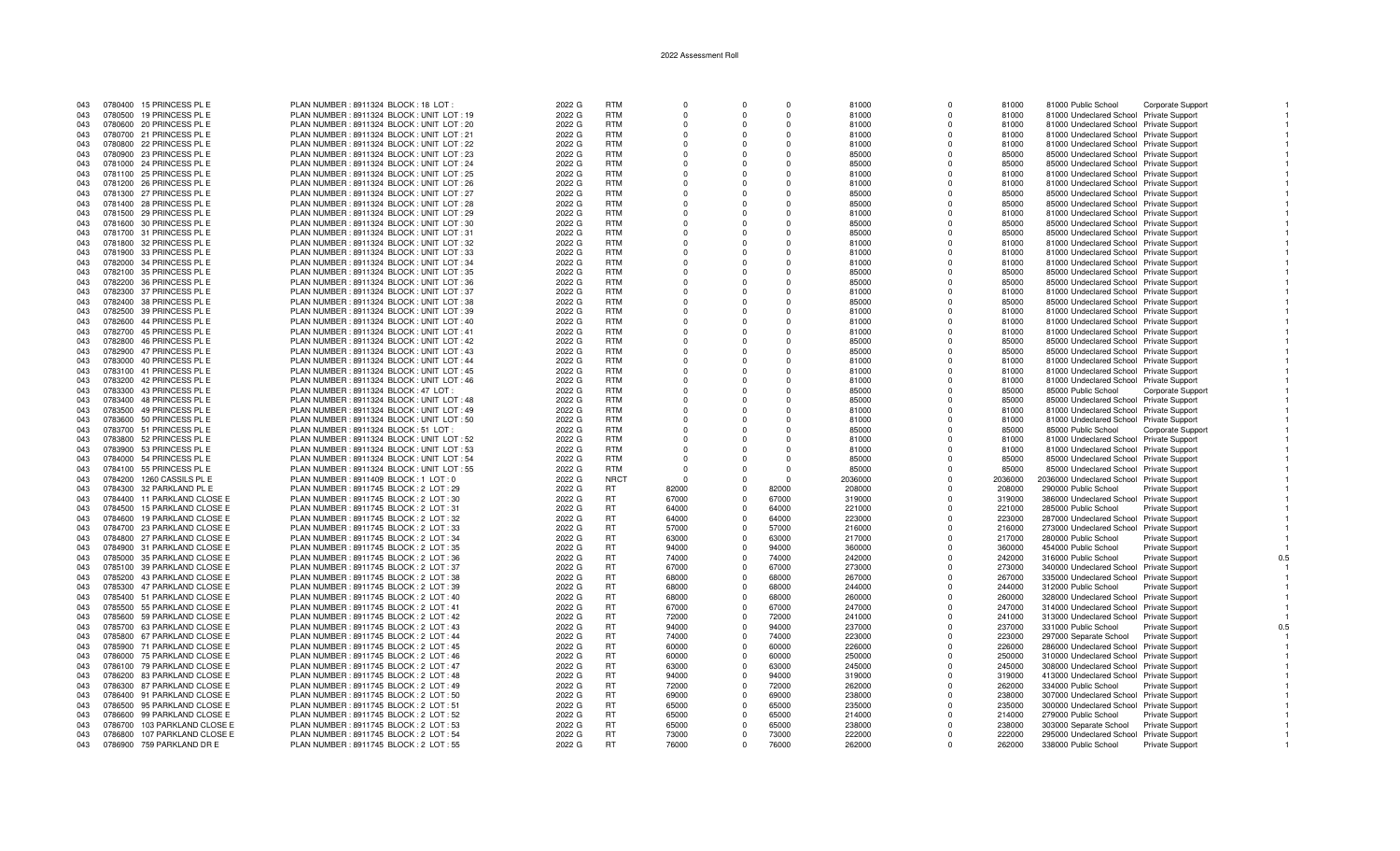| 043        | 0780400 15 PRINCESS PL E                                   | PLAN NUMBER: 8911324 BLOCK: 18 LOT                                                   | 2022 G           | <b>RTM</b>             |          |                         | $\Omega$       | 81000            |          | 81000            | 81000 Public School                                              | Corporate Support        |
|------------|------------------------------------------------------------|--------------------------------------------------------------------------------------|------------------|------------------------|----------|-------------------------|----------------|------------------|----------|------------------|------------------------------------------------------------------|--------------------------|
| 043        | 0780500 19 PRINCESS PL E                                   | PLAN NUMBER: 8911324 BLOCK: UNIT LOT: 19                                             | 2022 G           | <b>RTM</b>             | $\Omega$ | $\Omega$                | $\Omega$       | 81000            | $\Omega$ | 81000            | 81000 Undeclared School Private Support                          |                          |
| 043        | 0780600 20 PRINCESS PL E                                   | PLAN NUMBER: 8911324 BLOCK: UNIT LOT: 20                                             | 2022 G           | <b>RTM</b>             | $\Omega$ | $\Omega$                | $\Omega$       | 81000            | $\Omega$ | 81000            | 81000 Undeclared School Private Support                          |                          |
| 043        | 0780700 21 PRINCESS PL E                                   | PLAN NUMBER: 8911324 BLOCK: UNIT LOT: 21                                             | 2022 G           | <b>RTM</b>             | $\Omega$ | $\Omega$                | $\Omega$       | 81000            | $\Omega$ | 81000            | 81000 Undeclared School Private Support                          |                          |
| 043        | 0780800 22 PRINCESS PL E                                   | PLAN NUMBER : 8911324 BLOCK : UNIT LOT : 22                                          | 2022 G           | <b>RTM</b>             | $\Omega$ | $\Omega$                | $\Omega$       | 81000            | $\Omega$ | 81000            | 81000 Undeclared School Private Support                          |                          |
| 043        | 0780900 23 PRINCESS PL E                                   | PLAN NUMBER: 8911324 BLOCK: UNIT LOT: 23                                             | 2022 G           | <b>RTM</b>             | $\Omega$ | $\Omega$                | $\Omega$       | 85000            | $\Omega$ | 85000            | 85000 Undeclared School Private Support                          |                          |
| 043        | 0781000 24 PRINCESS PL E                                   | PLAN NUMBER: 8911324 BLOCK: UNIT LOT: 24                                             | 2022 G           | <b>RTM</b>             | $\Omega$ | $\Omega$                | $\Omega$       | 85000            | $\Omega$ | 85000            | 85000 Undeclared School Private Support                          |                          |
| 043        | 0781100 25 PRINCESS PL E                                   | PLAN NUMBER: 8911324 BLOCK: UNIT LOT: 25                                             | 2022 G           | <b>RTM</b>             | $\Omega$ | $\Omega$                | $\Omega$       | 81000            | $\Omega$ | 81000            | 81000 Undeclared School Private Support                          |                          |
| 043        | 0781200 26 PRINCESS PL E                                   | PLAN NUMBER: 8911324 BLOCK: UNIT LOT: 26                                             | 2022 G           | <b>RTM</b>             | $\Omega$ | $\Omega$                | $\Omega$       | 81000            |          | 81000            | 81000 Undeclared School Private Support                          |                          |
| 043        | 0781300 27 PRINCESS PL E                                   | PLAN NUMBER: 8911324 BLOCK: UNIT LOT: 27                                             | 2022 G           | <b>RTM</b>             | $\Omega$ | $\Omega$                | $\Omega$       | 85000            | $\Omega$ | 85000            | 85000 Undeclared School Private Support                          |                          |
| 043        | 0781400 28 PRINCESS PL E                                   | PLAN NUMBER: 8911324 BLOCK: UNIT LOT: 28                                             | 2022 G           | <b>RTM</b>             | $\Omega$ | $\Omega$                | $\Omega$       | 85000            |          | 85000            | 85000 Undeclared School Private Support                          |                          |
| 043        | 0781500 29 PRINCESS PL E                                   | PLAN NUMBER: 8911324 BLOCK: UNIT LOT: 29                                             | 2022 G           | <b>RTM</b>             | $\Omega$ | $\Omega$                | $\Omega$       | 81000            | $\Omega$ | 81000            | 81000 Undeclared School Private Support                          |                          |
| 043        | 0781600 30 PRINCESS PL E                                   | PLAN NUMBER : 8911324 BLOCK : UNIT LOT : 30                                          | 2022 G           | <b>RTM</b>             | $\Omega$ | $\Omega$                | $\Omega$       | 85000            | $\Omega$ | 85000            | 85000 Undeclared School Private Support                          |                          |
| 043        | 0781700 31 PRINCESS PL E                                   | PLAN NUMBER: 8911324 BLOCK: UNIT LOT: 31                                             | 2022 G           | <b>RTM</b>             | $\Omega$ | $\Omega$                | $\Omega$       | 85000            | $\Omega$ | 85000            | 85000 Undeclared School Private Support                          |                          |
| 043        | 0781800 32 PRINCESS PL E                                   | PLAN NUMBER : 8911324 BLOCK : UNIT LOT : 32                                          | 2022 G           | <b>RTM</b>             | $\Omega$ | $\Omega$                | $\Omega$       | 81000            | $\Omega$ | 81000            | 81000 Undeclared School Private Support                          |                          |
| 043        | 0781900 33 PRINCESS PL E                                   | PLAN NUMBER: 8911324 BLOCK: UNIT LOT: 33                                             | 2022 G           | <b>RTM</b>             | $\Omega$ | $\Omega$                | $\Omega$       | 81000            | $\cap$   | 81000            | 81000 Undeclared School Private Support                          |                          |
| 043        | 0782000 34 PRINCESS PL E                                   | PLAN NUMBER: 8911324 BLOCK: UNIT LOT: 34                                             | 2022 G           | <b>RTM</b>             | $\Omega$ | $\Omega$                | $\Omega$       | 81000            |          | 81000            | 81000 Undeclared School Private Support                          |                          |
| 043        | 0782100 35 PRINCESS PL E                                   | PLAN NUMBER: 8911324 BLOCK: UNIT LOT: 35                                             | 2022 G           | <b>RTM</b>             | $\Omega$ | $\Omega$                | $\Omega$       | 85000            | $\Omega$ | 85000            | 85000 Undeclared School Private Support                          |                          |
| 043        | 0782200 36 PRINCESS PL E                                   | PLAN NUMBER: 8911324 BLOCK: UNIT LOT: 36                                             | 2022 G           | <b>RTM</b>             | $\Omega$ | $\Omega$                | $\Omega$       | 85000            |          | 85000            |                                                                  |                          |
|            |                                                            |                                                                                      |                  | <b>RTM</b>             | $\Omega$ | $\Omega$                | $\Omega$       |                  | $\Omega$ |                  | 85000 Undeclared School Private Support                          |                          |
| 043        | 0782300 37 PRINCESS PL E                                   | PLAN NUMBER: 8911324 BLOCK: UNIT LOT: 37                                             | 2022 G           |                        |          |                         |                | 81000            |          | 81000            | 81000 Undeclared School Private Support                          |                          |
| 043        | 0782400 38 PRINCESS PL E                                   | PLAN NUMBER : 8911324 BLOCK : UNIT LOT : 38                                          | 2022 G           | <b>RTM</b>             |          | $\Omega$                |                | 85000            |          | 85000            | 85000 Undeclared School Private Support                          |                          |
| 043        | 0782500 39 PRINCESS PL E                                   | PLAN NUMBER: 8911324 BLOCK: UNIT LOT: 39                                             | 2022 G           | <b>RTM</b>             | $\Omega$ | $\Omega$                | $\Omega$       | 81000            | $\Omega$ | 81000            | 81000 Undeclared School Private Support                          |                          |
| 043        | 0782600 44 PRINCESS PL E                                   | PLAN NUMBER : 8911324 BLOCK : UNIT LOT : 40                                          | 2022 G           | <b>RTM</b>             | $\Omega$ | $\Omega$                | $\Omega$       | 81000            | $\Omega$ | 81000            | 81000 Undeclared School Private Support                          |                          |
| 043        | 0782700 45 PRINCESS PL E                                   | PLAN NUMBER: 8911324 BLOCK: UNIT LOT: 41                                             | 2022 G           | <b>RTM</b>             | $\Omega$ | $\Omega$                | $\Omega$       | 81000            | $\cap$   | 81000            | 81000 Undeclared School Private Support                          |                          |
| 043        | 0782800 46 PRINCESS PL E                                   | PLAN NUMBER: 8911324 BLOCK: UNIT LOT: 42                                             | 2022 G           | <b>RTM</b>             | $\Omega$ | $\Omega$                | $\Omega$       | 85000            |          | 85000            | 85000 Undeclared School Private Support                          |                          |
| 043        | 0782900 47 PRINCESS PL E                                   | PLAN NUMBER: 8911324 BLOCK: UNIT LOT: 43                                             | 2022 G           | <b>RTM</b>             | $\Omega$ | $\Omega$                | $\Omega$       | 85000            | $\Omega$ | 85000            | 85000 Undeclared School Private Support                          |                          |
| 043        | 0783000 40 PRINCESS PL E                                   | PLAN NUMBER: 8911324 BLOCK: UNIT LOT: 44                                             | 2022 G           | <b>RTM</b>             | $\Omega$ | $\Omega$                | $\Omega$       | 81000            |          | 81000            | 81000 Undeclared School Private Support                          |                          |
| 043        | 0783100 41 PRINCESS PL E                                   | PLAN NUMBER: 8911324 BLOCK: UNIT LOT: 45                                             | 2022 G           | <b>RTM</b>             | $\Omega$ | $\Omega$                | $\Omega$       | 81000            | $\Omega$ | 81000            | 81000 Undeclared School Private Support                          |                          |
| 043        | 0783200 42 PRINCESS PL E                                   | PLAN NUMBER: 8911324 BLOCK: UNIT LOT: 46                                             | 2022 G           | <b>RTM</b>             |          | $\Omega$                |                | 81000            |          | 81000            | 81000 Undeclared School Private Support                          |                          |
| 043        | 0783300 43 PRINCESS PL E                                   | PLAN NUMBER: 8911324 BLOCK: 47 LOT:                                                  | 2022 G           | <b>RTM</b>             | $\Omega$ | $\Omega$                | $\Omega$       | 85000            | $\Omega$ | 85000            | 85000 Public School                                              | <b>Corporate Support</b> |
| 043        | 0783400 48 PRINCESS PL E                                   | PLAN NUMBER : 8911324 BLOCK : UNIT LOT : 48                                          | 2022 G           | <b>RTM</b>             | $\Omega$ | $\Omega$                | $\Omega$       | 85000            | $\Omega$ | 85000            | 85000 Undeclared School Private Support                          |                          |
| 043        | 0783500 49 PRINCESS PL E                                   | PLAN NUMBER: 8911324 BLOCK: UNIT LOT: 49                                             | 2022 G           | <b>RTM</b>             | $\Omega$ | $\Omega$                | $\Omega$       | 81000            | $\cap$   | 81000            | 81000 Undeclared School Private Support                          |                          |
| 043        | 0783600 50 PRINCESS PL E                                   | PLAN NUMBER : 8911324 BLOCK : UNIT LOT : 50                                          | 2022 G           | <b>RTM</b>             | $\Omega$ | $\Omega$                | $\Omega$       | 81000            |          | 81000            | 81000 Undeclared School Private Support                          |                          |
| 043        | 0783700 51 PRINCESS PL E                                   | PLAN NUMBER: 8911324 BLOCK: 51 LOT                                                   | 2022 G           | <b>RTM</b>             | $\Omega$ | $\Omega$                | $\Omega$       | 85000            | $\Omega$ | 85000            | 85000 Public School                                              | Corporate Support        |
| 043        | 0783800 52 PRINCESS PL E                                   | PLAN NUMBER: 8911324 BLOCK: UNIT LOT: 52                                             | 2022 G           | <b>RTM</b>             | $\Omega$ | $\Omega$                | $\Omega$       | 81000            |          | 81000            | 81000 Undeclared School Private Support                          |                          |
| 043        | 0783900 53 PRINCESS PL E                                   | PLAN NUMBER : 8911324 BLOCK : UNIT LOT : 53                                          | 2022 G           | <b>RTM</b>             | $\Omega$ | $\Omega$                | $\Omega$       | 81000            | $\Omega$ | 81000            | 81000 Undeclared School Private Support                          |                          |
| 043        | 0784000 54 PRINCESS PL E                                   | PLAN NUMBER: 8911324 BLOCK: UNIT LOT: 54                                             | 2022 G           | <b>RTM</b>             | $\Omega$ | $\Omega$                | $\Omega$       | 85000            | $\Omega$ | 85000            | 85000 Undeclared School Private Support                          |                          |
| 043        | 0784100 55 PRINCESS PL E                                   | PLAN NUMBER : 8911324 BLOCK : UNIT LOT : 55                                          | 2022 G           | <b>RTM</b>             | $\Omega$ | $\Omega$                | $\Omega$       | 85000            | $\Omega$ | 85000            | 85000 Undeclared School Private Support                          |                          |
| 043        | 0784200 1260 CASSILS PL E                                  | PLAN NUMBER : 8911409 BLOCK : 1 LOT : 0                                              | 2022 G           | <b>NRCT</b>            | $\Omega$ | $\Omega$                | $\Omega$       | 2036000          | $\Omega$ | 2036000          | 2036000 Undeclared School Private Support                        |                          |
| 043        | 0784300 32 PARKLAND PL E                                   | PLAN NUMBER: 8911745 BLOCK: 2 LOT: 29                                                | 2022 G           | RT.                    | 82000    | $\overline{0}$          | 82000          | 208000           | $\Omega$ | 208000           | 290000 Public School                                             | Private Support          |
| 043        | 0784400 11 PARKLAND CLOSE E                                | PLAN NUMBER : 8911745 BLOCK : 2 LOT : 30                                             | 2022 G           | <b>RT</b>              | 67000    | $\Omega$                | 67000          | 319000           | $\Omega$ | 319000           | 386000 Undeclared School Private Support                         |                          |
| 043        | 0784500 15 PARKLAND CLOSE E                                | PLAN NUMBER: 8911745 BLOCK: 2 LOT: 31                                                | 2022 G           | <b>RT</b>              | 64000    | $\overline{\mathbf{0}}$ | 64000          | 221000           | $\Omega$ | 221000           | 285000 Public School                                             | <b>Private Support</b>   |
| 043        | 0784600 19 PARKLAND CLOSE E                                | PLAN NUMBER : 8911745 BLOCK : 2 LOT : 32                                             | 2022 G           | <b>RT</b>              | 64000    | $\Omega$                | 64000          | 223000           | $\Omega$ | 223000           | 287000 Undeclared School Private Support                         |                          |
| 043        | 0784700 23 PARKLAND CLOSE E                                | PLAN NUMBER : 8911745 BLOCK : 2 LOT : 33                                             | 2022 G           | <b>RT</b>              | 57000    | $\Omega$                | 57000          | 216000           | $\Omega$ | 216000           | 273000 Undeclared School Private Support                         |                          |
| 043        | 0784800 27 PARKLAND CLOSE E                                | PLAN NUMBER : 8911745 BLOCK : 2 LOT : 34                                             | 2022 G           | <b>RT</b>              | 63000    | $\mathbf 0$             | 63000          | 217000           |          | 217000           | 280000 Public School                                             | <b>Private Support</b>   |
| 043        | 0784900 31 PARKLAND CLOSE E                                | PLAN NUMBER : 8911745 BLOCK : 2 LOT : 35                                             | 2022 G           | <b>RT</b>              | 94000    | $\mathbf 0$             | 94000          | 360000           | $\Omega$ | 360000           | 454000 Public School                                             | <b>Private Support</b>   |
| 043        | 0785000 35 PARKLAND CLOSE E                                | PLAN NUMBER : 8911745 BLOCK : 2 LOT : 36                                             | 2022 G           | <b>RT</b>              | 74000    | $\Omega$                | 74000          | 242000           | $\Omega$ | 242000           | 316000 Public School                                             | <b>Private Support</b>   |
| 043        | 0785100 39 PARKLAND CLOSE E                                | PLAN NUMBER: 8911745 BLOCK: 2 LOT: 37                                                | 2022 G           | <b>RT</b>              | 67000    | $\Omega$                | 67000          | 273000           | $\Omega$ | 273000           | 340000 Undeclared School Private Support                         |                          |
| 043        | 0785200 43 PARKLAND CLOSE E                                | PLAN NUMBER : 8911745 BLOCK : 2 LOT : 38                                             | 2022 G           | <b>RT</b>              | 68000    | $\Omega$                | 68000          | 267000           |          | 267000           | 335000 Undeclared School Private Support                         |                          |
| 043        | 0785300 47 PARKLAND CLOSE E                                | PLAN NUMBER : 8911745 BLOCK : 2 LOT : 39                                             | 2022 G           | <b>RT</b>              | 68000    | $\Omega$                | 68000          | 244000           | $\Omega$ | 244000           | 312000 Public School                                             | <b>Private Support</b>   |
| 043        | 0785400 51 PARKLAND CLOSE E                                | PLAN NUMBER : 8911745 BLOCK : 2 LOT : 40                                             | 2022 G           | <b>RT</b>              | 68000    | $\Omega$                | 68000          | 260000           | $\Omega$ | 260000           | 328000 Undeclared School Private Support                         |                          |
| 043        | 0785500 55 PARKLAND CLOSE E                                | PLAN NUMBER : 8911745 BLOCK : 2 LOT : 41                                             | 2022 G           | <b>RT</b>              | 67000    | $\Omega$                | 67000          | 247000           | $\Omega$ | 247000           | 314000 Undeclared School Private Support                         |                          |
| 043        | 0785600 59 PARKLAND CLOSE E                                | PLAN NUMBER : 8911745 BLOCK : 2 LOT : 42                                             | 2022 G           | <b>RT</b>              | 72000    | $\mathbf 0$             | 72000          | 241000           | $\Omega$ | 241000           | 313000 Undeclared School Private Support                         |                          |
| 043        | 0785700 63 PARKLAND CLOSE E                                | PLAN NUMBER : 8911745 BLOCK : 2 LOT : 43                                             | 2022 G           | <b>RT</b>              | 94000    | $\overline{\mathbf{0}}$ | 94000          | 237000           | $\Omega$ | 237000           | 331000 Public School                                             | Private Support          |
| 043        | 0785800 67 PARKLAND CLOSE E                                | PLAN NUMBER : 8911745 BLOCK : 2 LOT : 44                                             | 2022 G           | RT                     | 74000    | $\overline{\mathbf{0}}$ | 74000          | 223000           | $\Omega$ | 223000           | 297000 Separate School                                           | Private Support          |
| 043        | 0785900 71 PARKLAND CLOSE E                                | PLAN NUMBER : 8911745 BLOCK : 2 LOT : 45                                             | 2022 G           | <b>RT</b>              | 60000    | $\Omega$                | 60000          | 226000           | $\Omega$ | 226000           | 286000 Undeclared School Private Support                         |                          |
| 043        | 0786000 75 PARKLAND CLOSE E                                | PLAN NUMBER : 8911745 BLOCK : 2 LOT : 46                                             | 2022 G           | <b>RT</b>              | 60000    | $\Omega$                | 60000          | 250000           |          | 250000           | 310000 Undeclared School Private Support                         |                          |
| 043        | 0786100 79 PARKLAND CLOSE E                                | PLAN NUMBER : 8911745 BLOCK : 2 LOT : 47                                             | 2022 G           | <b>RT</b>              | 63000    | $\mathbf 0$             | 63000          | 245000           | $\Omega$ | 245000           | 308000 Undeclared School Private Support                         |                          |
|            |                                                            |                                                                                      |                  | <b>RT</b>              | 94000    | $\Omega$                |                |                  |          |                  |                                                                  |                          |
| 043<br>043 | 0786200 83 PARKLAND CLOSE E<br>0786300 87 PARKLAND CLOSE E | PLAN NUMBER : 8911745 BLOCK : 2 LOT : 48<br>PLAN NUMBER : 8911745 BLOCK : 2 LOT : 49 | 2022 G<br>2022 G | <b>RT</b>              | 72000    | $\Omega$                | 94000<br>72000 | 319000<br>262000 | $\Omega$ | 319000<br>262000 | 413000 Undeclared School Private Support<br>334000 Public School | <b>Private Support</b>   |
| 043        | 0786400 91 PARKLAND CLOSE E                                | PLAN NUMBER: 8911745 BLOCK: 2 LOT: 50                                                | 2022 G           | <b>RT</b>              | 69000    | $\mathbf 0$             | 69000          | 238000           |          | 238000           | 307000 Undeclared School Private Support                         |                          |
|            |                                                            |                                                                                      |                  |                        |          |                         |                |                  |          |                  |                                                                  |                          |
| 043        | 0786500 95 PARKLAND CLOSE E                                | PLAN NUMBER: 8911745 BLOCK: 2 LOT: 51                                                | 2022 G           | <b>RT</b>              | 65000    | $\mathbf 0$             | 65000          | 235000           | $\Omega$ | 235000           | 300000 Undeclared School Private Support                         |                          |
| 043        | 0786600 99 PARKLAND CLOSE E                                | PLAN NUMBER : 8911745 BLOCK : 2 LOT : 52                                             | 2022 G           | <b>RT</b><br><b>RT</b> | 65000    | $\mathbf 0$<br>$\Omega$ | 65000          | 214000           |          | 214000           | 279000 Public School                                             | Private Support          |
| 043        | 0786700 103 PARKLAND CLOSE E                               | PLAN NUMBER : 8911745 BLOCK : 2 LOT : 53                                             | 2022 G           |                        | 65000    |                         | 65000          | 238000           |          | 238000           | 303000 Separate School                                           | Private Support          |
| 043        | 0786800 107 PARKLAND CLOSE E                               | PLAN NUMBER : 8911745 BLOCK : 2 LOT : 54                                             | 2022 G           | <b>RT</b>              | 73000    | $\Omega$                | 73000          | 222000           |          | 222000           | 295000 Undeclared School Private Support                         |                          |
| 043        | 0786900 759 PARKLAND DR E                                  | PLAN NUMBER : 8911745 BLOCK : 2 LOT : 55                                             | 2022 G           | <b>RT</b>              | 76000    | $\Omega$                | 76000          | 262000           |          | 262000           | 338000 Public School                                             | <b>Private Support</b>   |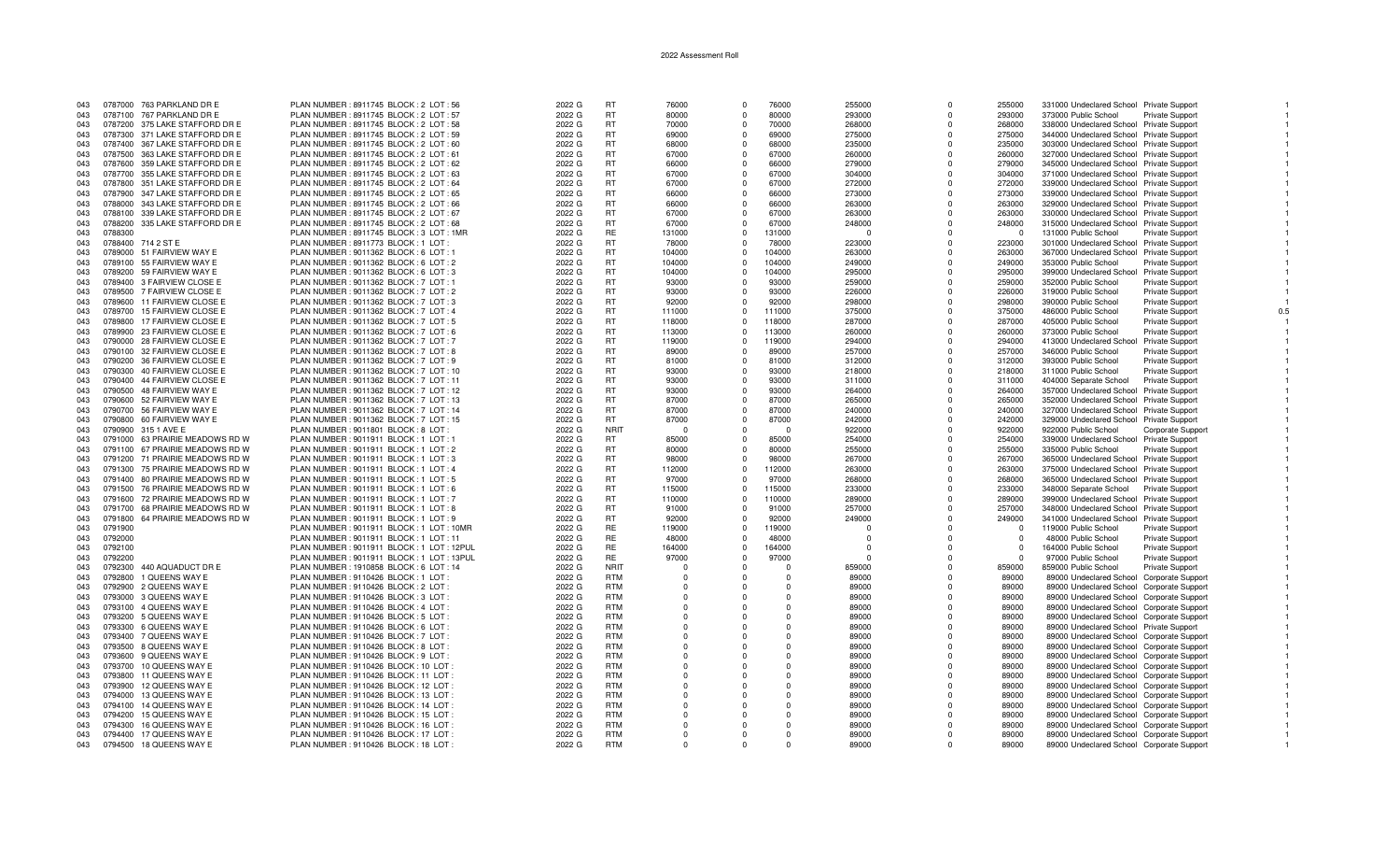| 043 |         | 0787000 763 PARKLAND DR E       | PLAN NUMBER: 8911745 BLOCK: 2 LOT: 56      | 2022 G | <b>RT</b>   | 76000      |          | 76000      | 255000   |              | 255000      | 331000 Undeclared School Private Support  |                        |     |
|-----|---------|---------------------------------|--------------------------------------------|--------|-------------|------------|----------|------------|----------|--------------|-------------|-------------------------------------------|------------------------|-----|
| 043 |         | 0787100 767 PARKLAND DR E       | PLAN NUMBER: 8911745 BLOCK: 2 LOT: 57      | 2022 G | <b>RT</b>   | 80000      | $\cap$   | 80000      | 293000   | $\Omega$     | 293000      | 373000 Public School                      | Private Support        |     |
| 043 |         | 0787200 375 LAKE STAFFORD DR E  | PLAN NUMBER : 8911745 BLOCK : 2 LOT : 58   | 2022 G | <b>RT</b>   | 70000      | $\Omega$ | 70000      | 268000   | $\Omega$     | 268000      | 338000 Undeclared School Private Support  |                        |     |
| 043 |         | 0787300 371 LAKE STAFFORD DR E  | PLAN NUMBER : 8911745 BLOCK : 2 LOT : 59   | 2022 G | <b>RT</b>   | 69000      | $\Omega$ | 69000      | 275000   | $\Omega$     | 275000      | 344000 Undeclared School Private Support  |                        |     |
| 043 |         | 0787400 367 LAKE STAFFORD DR E  | PLAN NUMBER : 8911745 BLOCK : 2 LOT : 60   | 2022 G | <b>RT</b>   | 68000      | $\Omega$ | 68000      | 235000   | $\Omega$     | 235000      | 303000 Undeclared School Private Support  |                        |     |
| 043 |         | 0787500 363 LAKE STAFFORD DR E  | PLAN NUMBER: 8911745 BLOCK: 2 LOT: 61      | 2022 G | <b>RT</b>   | 67000      | $\Omega$ | 67000      | 260000   | $\Omega$     | 260000      | 327000 Undeclared School Private Support  |                        |     |
| 043 |         | 0787600 359 LAKE STAFFORD DR E  | PLAN NUMBER: 8911745 BLOCK: 2 LOT: 62      | 2022 G | <b>RT</b>   | 66000      | $\Omega$ | 66000      | 279000   | $\Omega$     | 279000      | 345000 Undeclared School Private Support  |                        |     |
| 043 |         | 0787700 355 LAKE STAFFORD DR E  | PLAN NUMBER : 8911745 BLOCK : 2 LOT : 63   | 2022 G | <b>RT</b>   | 67000      | $\Omega$ | 67000      | 304000   | $\Omega$     | 304000      | 371000 Undeclared School Private Support  |                        |     |
| 043 |         | 0787800 351 LAKE STAFFORD DR E  | PLAN NUMBER : 8911745 BLOCK : 2 LOT : 64   | 2022 G | <b>RT</b>   | 67000      |          | 67000      | 272000   |              | 272000      | 339000 Undeclared School Private Support  |                        |     |
| 043 |         | 0787900 347 LAKE STAFFORD DR E  | PLAN NUMBER: 8911745 BLOCK: 2 LOT: 65      | 2022 G | <b>RT</b>   | 66000      | $\Omega$ | 66000      | 273000   | $\Omega$     | 273000      | 339000 Undeclared School Private Support  |                        |     |
| 043 |         | 0788000 343 LAKE STAFFORD DR E  | PLAN NUMBER : 8911745 BLOCK : 2 LOT : 66   | 2022 G | <b>RT</b>   | 66000      | $\Omega$ | 66000      | 263000   | $\Omega$     | 263000      | 329000 Undeclared School Private Support  |                        |     |
| 043 |         | 0788100 339 LAKE STAFFORD DR E  | PLAN NUMBER : 8911745 BLOCK : 2 LOT : 67   | 2022 G | <b>RT</b>   | 67000      | $\Omega$ | 67000      | 263000   | $\Omega$     | 263000      | 330000 Undeclared School Private Support  |                        |     |
| 043 | 0788200 | 335 LAKE STAFFORD DR E          | PLAN NUMBER: 8911745 BLOCK: 2 LOT: 68      | 2022 G | <b>RT</b>   | 67000      |          | 67000      | 248000   | $\Omega$     | 248000      | 315000 Undeclared School Private Support  |                        |     |
| 043 | 0788300 |                                 | PLAN NUMBER: 8911745 BLOCK: 3 LOT: 1MR     | 2022 G | <b>RE</b>   | 131000     | $\Omega$ | 131000     | - 0      | $\Omega$     | $\mathbf 0$ | 131000 Public School                      | <b>Private Support</b> |     |
| 043 |         | 0788400 714 2 ST E              | PLAN NUMBER: 8911773 BLOCK: 1 LOT:         | 2022 G | <b>RT</b>   | 78000      | $\Omega$ | 78000      | 223000   | $\Omega$     | 223000      | 301000 Undeclared School Private Support  |                        |     |
| 043 |         | 0789000 51 FAIRVIEW WAY E       | PLAN NUMBER: 9011362 BLOCK: 6 LOT: 1       | 2022 G | <b>RT</b>   | 104000     | $\Omega$ | 104000     | 263000   | $\Omega$     | 263000      | 367000 Undeclared School Private Support  |                        |     |
| 043 |         | 0789100 55 FAIRVIEW WAY E       | PLAN NUMBER : 9011362 BLOCK : 6 LOT : 2    | 2022 G | <b>RT</b>   | 104000     | $\Omega$ | 104000     | 249000   |              | 249000      | 353000 Public School                      | Private Support        |     |
| 043 |         | 0789200 59 FAIRVIEW WAY E       | PLAN NUMBER : 9011362 BLOCK : 6 LOT : 3    |        | <b>RT</b>   | 104000     | $\Omega$ | 104000     |          | $\Omega$     | 295000      |                                           |                        |     |
|     |         |                                 |                                            | 2022 G |             |            | $\Omega$ |            | 295000   | $\Omega$     |             | 399000 Undeclared School Private Support  |                        |     |
| 043 |         | 0789400 3 FAIRVIEW CLOSE E      | PLAN NUMBER : 9011362 BLOCK : 7 LOT : 1    | 2022 G | <b>RT</b>   | 93000      | $\Omega$ | 93000      | 259000   |              | 259000      | 352000 Public School                      | <b>Private Support</b> |     |
| 043 |         | 0789500 7 FAIRVIEW CLOSE E      | PLAN NUMBER : 9011362 BLOCK : 7 LOT : 2    | 2022 G | <b>RT</b>   | 93000      |          | 93000      | 226000   | $\Omega$     | 226000      | 319000 Public School                      | <b>Private Support</b> |     |
| 043 |         | 0789600 11 FAIRVIEW CLOSE E     | PLAN NUMBER : 9011362 BLOCK : 7 LOT : 3    | 2022 G | <b>RT</b>   | 92000      |          | 92000      | 298000   | $\Omega$     | 298000      | 390000 Public School                      | <b>Private Support</b> |     |
| 043 |         | 0789700 15 FAIRVIEW CLOSE E     | PLAN NUMBER: 9011362 BLOCK: 7 LOT: 4       | 2022 G | <b>RT</b>   | 111000     | $\Omega$ | 111000     | 375000   | $\Omega$     | 375000      | 486000 Public School                      | <b>Private Support</b> | 0.5 |
| 043 |         | 0789800 17 FAIRVIEW CLOSE E     | PLAN NUMBER: 9011362 BLOCK: 7 LOT: 5       | 2022 G | <b>RT</b>   | 118000     | $\Omega$ | 118000     | 287000   | $\Omega$     | 287000      | 405000 Public School                      | Private Support        |     |
| 043 |         | 0789900 23 FAIRVIEW CLOSE E     | PLAN NUMBER: 9011362 BLOCK: 7 LOT: 6       | 2022 G | <b>RT</b>   | 113000     | $\Omega$ | 113000     | 260000   | $\Omega$     | 260000      | 373000 Public School                      | Private Support        |     |
| 043 |         | 0790000 28 FAIRVIEW CLOSE E     | PLAN NUMBER : 9011362 BLOCK : 7 LOT : 7    | 2022 G | <b>RT</b>   | 119000     | $\Omega$ | 119000     | 294000   |              | 294000      | 413000 Undeclared School                  | <b>Private Support</b> |     |
| 043 |         | 0790100 32 FAIRVIEW CLOSE E     | PLAN NUMBER : 9011362 BLOCK : 7 LOT : 8    | 2022 G | <b>RT</b>   | 89000      | $\Omega$ | 89000      | 257000   | $\Omega$     | 257000      | 346000 Public School                      | Private Support        |     |
| 043 |         | 0790200 36 FAIRVIEW CLOSE E     | PLAN NUMBER : 9011362 BLOCK : 7 LOT : 9    | 2022 G | <b>RT</b>   | 81000      | $\Omega$ | 81000      | 312000   | $\Omega$     | 312000      | 393000 Public School                      | <b>Private Support</b> |     |
| 043 |         | 0790300 40 FAIRVIEW CLOSE E     | PLAN NUMBER : 9011362 BLOCK : 7 LOT : 10   | 2022 G | <b>RT</b>   | 93000      | $\Omega$ | 93000      | 218000   | $\Omega$     | 218000      | 311000 Public School                      | <b>Private Support</b> |     |
| 043 |         | 0790400 44 FAIRVIEW CLOSE E     | PLAN NUMBER : 9011362 BLOCK : 7 LOT : 11   | 2022 G | <b>RT</b>   | 93000      | $\Omega$ | 93000      | 311000   | $\Omega$     | 311000      | 404000 Separate School                    | <b>Private Support</b> |     |
| 043 |         | 0790500 48 FAIRVIEW WAY E       | PLAN NUMBER : 9011362 BLOCK : 7 LOT : 12   | 2022 G | <b>RT</b>   | 93000      | $\Omega$ | 93000      | 264000   | $\Omega$     | 264000      | 357000 Undeclared School Private Support  |                        |     |
| 043 |         | 0790600 52 FAIRVIEW WAY E       | PLAN NUMBER : 9011362 BLOCK : 7 LOT : 13   | 2022 G | <b>RT</b>   | 87000      | $\Omega$ | 87000      | 265000   | $\Omega$     | 265000      | 352000 Undeclared School Private Support  |                        |     |
| 043 |         | 0790700 56 FAIRVIEW WAY E       | PLAN NUMBER : 9011362 BLOCK : 7 LOT : 14   | 2022 G | <b>RT</b>   | 87000      | $\Omega$ | 87000      | 240000   | $\Omega$     | 240000      | 327000 Undeclared School Private Support  |                        |     |
| 043 |         | 0790800 60 FAIRVIEW WAY E       | PLAN NUMBER: 9011362 BLOCK: 7 LOT: 15      | 2022 G | <b>RT</b>   | 87000      | $\Omega$ | 87000      | 242000   | $\Omega$     | 242000      | 329000 Undeclared School Private Support  |                        |     |
| 043 |         | 0790900 315 1 AVE E             | PLAN NUMBER : 9011801 BLOCK : 8 LOT :      | 2022 G | <b>NRIT</b> | - 0        | $\Omega$ | $\Omega$   | 922000   | <sup>n</sup> | 922000      | 922000 Public School                      | Corporate Support      |     |
| 043 |         | 0791000 63 PRAIRIE MEADOWS RD W | PLAN NUMBER : 9011911 BLOCK : 1 LOT : 1    | 2022 G | RT.         | 85000      | $\Omega$ | 85000      | 254000   | $\Omega$     | 254000      | 339000 Undeclared School Private Support  |                        |     |
| 043 |         | 0791100 67 PRAIRIE MEADOWS RD W | PLAN NUMBER: 9011911 BLOCK: 1 LOT: 2       | 2022 G | <b>RT</b>   | 80000      | $\Omega$ | 80000      | 255000   | $\Omega$     | 255000      | 335000 Public School                      | Private Support        |     |
| 043 |         | 0791200 71 PRAIRIE MEADOWS RD W | PLAN NUMBER : 9011911 BLOCK : 1 LOT : 3    | 2022 G | <b>RT</b>   | 98000      | $\Omega$ | 98000      | 267000   | $\Omega$     | 267000      | 365000 Undeclared School Private Support  |                        |     |
| 043 |         | 0791300 75 PRAIRIE MEADOWS RD W | PLAN NUMBER: 9011911 BLOCK: 1 LOT: 4       | 2022 G | <b>RT</b>   | 112000     | $\Omega$ | 112000     | 263000   | $\Omega$     | 263000      | 375000 Undeclared School Private Support  |                        |     |
| 043 |         | 0791400 80 PRAIRIE MEADOWS RD W | PLAN NUMBER : 9011911 BLOCK : 1 LOT : 5    | 2022 G | <b>RT</b>   | 97000      | $\Omega$ | 97000      | 268000   | $\Omega$     | 268000      | 365000 Undeclared School Private Support  |                        |     |
| 043 |         | 0791500 76 PRAIRIE MEADOWS RD W | PLAN NUMBER: 9011911 BLOCK: 1 LOT: 6       | 2022 G | <b>RT</b>   | 115000     | $\Omega$ | 115000     | 233000   | $\Omega$     | 233000      | 348000 Separate School Private Support    |                        |     |
| 043 |         | 0791600 72 PRAIRIE MEADOWS RD W | PLAN NUMBER : 9011911 BLOCK : 1 LOT : 7    | 2022 G | <b>RT</b>   | 110000     | $\Omega$ | 110000     | 289000   | $\Omega$     | 289000      | 399000 Undeclared School Private Support  |                        |     |
| 043 |         | 0791700 68 PRAIRIE MEADOWS RD W | PLAN NUMBER: 9011911 BLOCK: 1 LOT: 8       | 2022 G | <b>RT</b>   | 91000      | $\Omega$ | 91000      | 257000   | $\Omega$     | 257000      | 348000 Undeclared School Private Support  |                        |     |
| 043 |         | 0791800 64 PRAIRIE MEADOWS RD W | PLAN NUMBER : 9011911 BLOCK : 1 LOT : 9    | 2022 G | <b>RT</b>   | 92000      | $\Omega$ | 92000      | 249000   | $\Omega$     | 249000      | 341000 Undeclared School Private Support  |                        |     |
| 043 | 0791900 |                                 | PLAN NUMBER : 9011911 BLOCK : 1 LOT : 10MR | 2022 G | <b>RE</b>   | 119000     | $\Omega$ | 119000     | n        | $\Omega$     | $\Omega$    | 119000 Public School                      | <b>Private Support</b> |     |
| 043 | 0792000 |                                 | PLAN NUMBER: 9011911 BLOCK: 1 LOT: 11      | 2022 G | <b>RE</b>   | 48000      | $\Omega$ | 48000      | $\Omega$ | $\Omega$     | $\Omega$    | 48000 Public School                       | <b>Private Support</b> |     |
| 043 | 0792100 |                                 | PLAN NUMBER: 9011911 BLOCK: 1 LOT: 12PUL   | 2022 G | <b>RE</b>   | 164000     | $\Omega$ | 164000     | $\Omega$ | $\Omega$     | $\Omega$    | 164000 Public School                      | Private Support        |     |
| 043 | 0792200 |                                 | PLAN NUMBER: 9011911 BLOCK: 1 LOT: 13PUL   | 2022 G | <b>RE</b>   | 97000      | $\Omega$ | 97000      | $\Omega$ | $\Omega$     | $\Omega$    | 97000 Public School                       | Private Support        |     |
| 043 | 0792300 | 440 AQUADUCT DR E               | PLAN NUMBER: 1910858 BLOCK: 6 LOT: 14      | 2022 G | <b>NRIT</b> | $\Omega$   |          | $\Omega$   | 859000   | $\Omega$     | 859000      | 859000 Public School                      | Private Support        |     |
| 043 |         | 0792800 1 QUEENS WAY E          | PLAN NUMBER : 9110426 BLOCK : 1 LOT :      | 2022 G | <b>RTM</b>  | $\Omega$   |          | $\Omega$   | 89000    |              | 89000       | 89000 Undeclared School Corporate Support |                        |     |
| 043 |         | 0792900 2 QUEENS WAY E          | PLAN NUMBER : 9110426 BLOCK : 2 LOT :      | 2022 G | <b>RTM</b>  | $\Omega$   |          | $\Omega$   | 89000    | <sup>0</sup> | 89000       | 89000 Undeclared School Corporate Support |                        |     |
| 043 |         | 0793000 3 QUEENS WAY E          | PLAN NUMBER : 9110426 BLOCK : 3 LOT :      | 2022 G | <b>RTM</b>  | $\Omega$   |          | $\Omega$   | 89000    | $\Omega$     | 89000       | 89000 Undeclared School Corporate Support |                        |     |
| 043 |         | 0793100 4 QUEENS WAY E          | PLAN NUMBER : 9110426 BLOCK : 4 LOT        | 2022 G | <b>RTM</b>  | $\Omega$   |          | $\Omega$   | 89000    | $\Omega$     | 89000       | 89000 Undeclared School Corporate Support |                        |     |
| 043 |         | 0793200 5 QUEENS WAY E          | PLAN NUMBER : 9110426 BLOCK : 5 LOT        | 2022 G | <b>RTM</b>  | $\Omega$   | $\Omega$ | $\Omega$   | 89000    | $\Omega$     | 89000       | 89000 Undeclared School Corporate Support |                        |     |
| 043 |         | 0793300 6 QUEENS WAY E          | PLAN NUMBER : 9110426 BLOCK : 6 LOT        | 2022 G | <b>RTM</b>  | $\Omega$   | $\Omega$ | $\Omega$   | 89000    | $\Omega$     | 89000       | 89000 Undeclared School Private Support   |                        |     |
| 043 |         | 0793400 7 QUEENS WAY E          | PLAN NUMBER : 9110426 BLOCK : 7 LOT        | 2022 G | <b>RTM</b>  | $\Omega$   | $\Omega$ | $\Omega$   | 89000    | $\Omega$     | 89000       | 89000 Undeclared School Corporate Support |                        |     |
| 043 |         | 0793500 8 QUEENS WAY E          | PLAN NUMBER: 9110426 BLOCK: 8 LOT          | 2022 G | <b>RTM</b>  | $\Omega$   |          | $\Omega$   | 89000    | $\Omega$     | 89000       | 89000 Undeclared School Corporate Support |                        |     |
| 043 |         | 0793600 9 QUEENS WAY E          | PLAN NUMBER : 9110426 BLOCK : 9 LOT        | 2022 G | <b>RTM</b>  | $\Omega$   |          | $\Omega$   | 89000    | O            | 89000       | 89000 Undeclared School Corporate Support |                        |     |
| 043 |         | 0793700 10 QUEENS WAY E         | PLAN NUMBER : 9110426 BLOCK : 10 LOT       | 2022 G | <b>RTM</b>  | $\Omega$   |          | $\Omega$   | 89000    | $\Omega$     | 89000       | 89000 Undeclared School Corporate Support |                        |     |
| 043 |         | 0793800 11 QUEENS WAY E         | PLAN NUMBER : 9110426 BLOCK : 11 LOT :     | 2022 G | <b>RTM</b>  | $\Omega$   |          | $\Omega$   | 89000    |              | 89000       | 89000 Undeclared School Corporate Support |                        |     |
| 043 |         | 0793900 12 QUEENS WAY E         | PLAN NUMBER : 9110426 BLOCK : 12 LOT :     | 2022 G | <b>RTM</b>  | $\Omega$   |          | $\Omega$   | 89000    | <sup>n</sup> | 89000       | 89000 Undeclared School Corporate Support |                        |     |
| 043 | 0794000 | 13 QUEENS WAY E                 | PLAN NUMBER: 9110426 BLOCK: 13 LOT:        | 2022 G | <b>RTM</b>  | $\Omega$   | $\Omega$ | $\Omega$   | 89000    | $\Omega$     | 89000       | 89000 Undeclared School Corporate Support |                        |     |
| 043 | 0794100 | 14 QUEENS WAY E                 | PLAN NUMBER: 9110426 BLOCK: 14 LOT:        | 2022 G | <b>RTM</b>  | $\Omega$   | $\Omega$ | $\Omega$   | 89000    | $\Omega$     | 89000       | 89000 Undeclared School Corporate Support |                        |     |
| 043 |         | 0794200 15 QUEENS WAY E         | PLAN NUMBER : 9110426 BLOCK : 15 LOT :     | 2022 G | <b>RTM</b>  | $\Omega$   | $\Omega$ | $\Omega$   | 89000    | $\Omega$     | 89000       | 89000 Undeclared School Corporate Support |                        |     |
| 043 |         | 0794300 16 QUEENS WAY E         | PLAN NUMBER: 9110426 BLOCK: 16 LOT:        | 2022 G | <b>RTM</b>  | $^{\circ}$ |          | $^{\circ}$ | 89000    |              | 89000       | 89000 Undeclared School Corporate Support |                        |     |
| 043 |         | 0794400 17 QUEENS WAY E         | PLAN NUMBER : 9110426 BLOCK : 17 LOT :     | 2022 G | <b>RTM</b>  | $\Omega$   |          | $\Omega$   | 89000    | $\Omega$     | 89000       | 89000 Undeclared School Corporate Support |                        |     |
| 043 |         | 0794500 18 QUEENS WAY E         | PLAN NUMBER : 9110426 BLOCK : 18 LOT :     | 2022 G | <b>RTM</b>  | $\Omega$   |          |            | 89000    | $\Omega$     | 89000       | 89000 Undeclared School Corporate Support |                        |     |
|     |         |                                 |                                            |        |             |            |          |            |          |              |             |                                           |                        |     |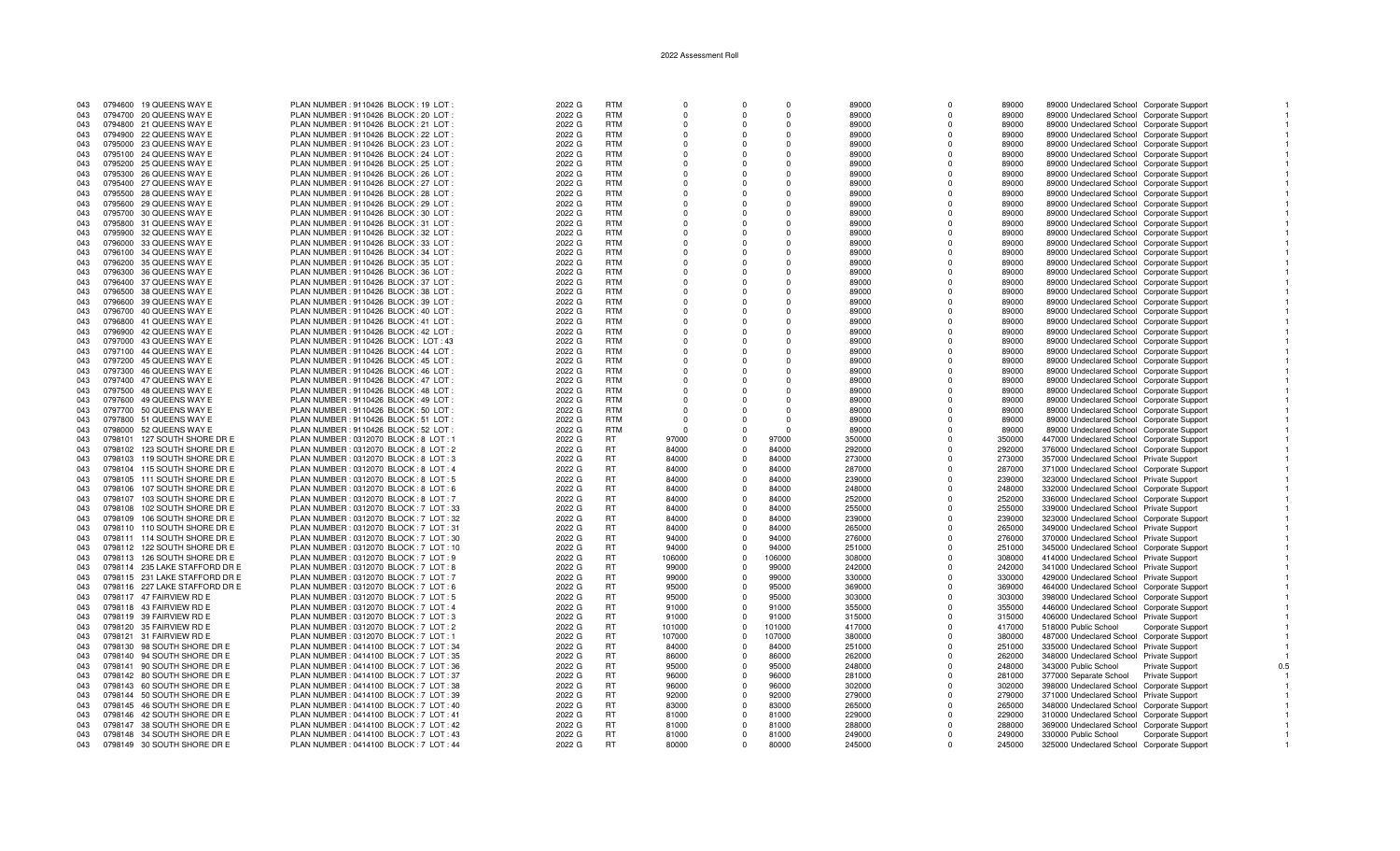| 043 | 0794600 19 QUEENS WAY E         | PLAN NUMBER: 9110426 BLOCK: 19 LOT       | 2022 G | <b>RTM</b> |            |            |          | 89000  |              | 89000  | 89000 Undeclared School Corporate Support        |  |
|-----|---------------------------------|------------------------------------------|--------|------------|------------|------------|----------|--------|--------------|--------|--------------------------------------------------|--|
| 043 | 0794700 20 QUEENS WAY E         | PLAN NUMBER : 9110426 BLOCK : 20 LOT     | 2022 G | <b>RTM</b> | $\Omega$   |            | $\Omega$ | 89000  | $\Omega$     | 89000  | 89000 Undeclared School Corporate Support        |  |
| 043 | 0794800 21 QUEENS WAY E         | PLAN NUMBER : 9110426 BLOCK : 21 LOT :   | 2022 G | <b>RTM</b> | $\Omega$   |            | $\Omega$ | 89000  | $\Omega$     | 89000  | 89000 Undeclared School Corporate Support        |  |
| 043 | 0794900 22 QUEENS WAY E         | PLAN NUMBER : 9110426 BLOCK : 22 LOT     | 2022 G | <b>RTM</b> | $\Omega$   | $\Omega$   | $\Omega$ | 89000  | $\Omega$     | 89000  | 89000 Undeclared School Corporate Support        |  |
|     |                                 |                                          |        |            |            |            |          |        |              |        |                                                  |  |
| 043 | 0795000 23 QUEENS WAY E         | PLAN NUMBER : 9110426 BLOCK : 23 LOT     | 2022 G | <b>RTM</b> |            |            |          | 89000  |              | 89000  | 89000 Undeclared School Corporate Support        |  |
| 043 | 0795100 24 QUEENS WAY E         | PLAN NUMBER : 9110426 BLOCK : 24 LOT     | 2022 G | <b>RTM</b> | $\Omega$   | $\Omega$   | $\Omega$ | 89000  | $\Omega$     | 89000  | 89000 Undeclared School Corporate Support        |  |
| 043 | 0795200 25 QUEENS WAY E         | PLAN NUMBER : 9110426 BLOCK : 25 LOT     | 2022 G | <b>RTM</b> | $\Omega$   | $\Omega$   | $\Omega$ | 89000  | $\Omega$     | 89000  | 89000 Undeclared School Corporate Support        |  |
| 043 | 0795300 26 QUEENS WAY E         | PLAN NUMBER : 9110426 BLOCK : 26 LOT     | 2022 G | <b>RTM</b> | $\Omega$   | $\cap$     | $\Omega$ | 89000  | n            | 89000  | 89000 Undeclared School Corporate Support        |  |
| 043 | 0795400 27 QUEENS WAY E         | PLAN NUMBER : 9110426 BLOCK : 27 LOT     | 2022 G | <b>RTM</b> |            |            |          | 89000  |              | 89000  | 89000 Undeclared School Corporate Support        |  |
| 043 | 0795500 28 QUEENS WAY E         | PLAN NUMBER : 9110426 BLOCK : 28 LOT     | 2022 G | <b>RTM</b> | $\Omega$   |            | $\Omega$ | 89000  | O            | 89000  | 89000 Undeclared School Corporate Support        |  |
|     |                                 |                                          |        |            |            |            |          |        |              |        |                                                  |  |
| 043 | 0795600 29 QUEENS WAY E         | PLAN NUMBER : 9110426 BLOCK : 29 LOT :   | 2022 G | <b>RTM</b> | $\Omega$   |            | $\Omega$ | 89000  | <sup>0</sup> | 89000  | 89000 Undeclared School Corporate Support        |  |
| 043 | 0795700 30 QUEENS WAY E         | PLAN NUMBER : 9110426 BLOCK : 30 LOT     | 2022 G | <b>RTM</b> | $\Omega$   |            | $\Omega$ | 89000  | $\Omega$     | 89000  | 89000 Undeclared School Corporate Support        |  |
| 043 | 0795800 31 QUEENS WAY E         | PLAN NUMBER: 9110426 BLOCK: 31 LOT       | 2022 G | <b>RTM</b> |            |            |          | 89000  | $\Omega$     | 89000  | 89000 Undeclared School Corporate Support        |  |
| 043 | 0795900 32 QUEENS WAY E         | PLAN NUMBER : 9110426 BLOCK : 32 LOT     | 2022 G | <b>RTM</b> | $\Omega$   | $\Omega$   | $\Omega$ | 89000  | $\Omega$     | 89000  | 89000 Undeclared School Corporate Support        |  |
| 043 | 0796000 33 QUEENS WAY E         | PLAN NUMBER : 9110426 BLOCK : 33 LOT     | 2022 G | <b>RTM</b> | $\Omega$   | $\Omega$   | $\Omega$ | 89000  | $\Omega$     | 89000  | 89000 Undeclared School Corporate Support        |  |
|     |                                 |                                          |        | <b>RTM</b> | $\Omega$   | $\Omega$   | $\Omega$ |        | $\Omega$     |        |                                                  |  |
| 043 | 0796100 34 QUEENS WAY E         | PLAN NUMBER : 9110426 BLOCK : 34 LOT     | 2022 G |            |            |            |          | 89000  |              | 89000  | 89000 Undeclared School Corporate Support        |  |
| 043 | 0796200 35 QUEENS WAY E         | PLAN NUMBER : 9110426 BLOCK : 35 LOT     | 2022 G | <b>RTM</b> | $\Omega$   |            | $\Omega$ | 89000  | $\Omega$     | 89000  | 89000 Undeclared School Corporate Support        |  |
| 043 | 0796300 36 QUEENS WAY E         | PLAN NUMBER : 9110426 BLOCK : 36 LOT     | 2022 G | <b>RTM</b> | $\Omega$   |            | $\Omega$ | 89000  | n            | 89000  | 89000 Undeclared School Corporate Support        |  |
| 043 | 0796400 37 QUEENS WAY E         | PLAN NUMBER : 9110426 BLOCK : 37 LOT     | 2022 G | <b>RTM</b> | $\Omega$   |            | $\Omega$ | 89000  | $\Omega$     | 89000  | 89000 Undeclared School Corporate Support        |  |
| 043 | 0796500 38 QUEENS WAY E         | PLAN NUMBER : 9110426 BLOCK : 38 LOT     | 2022 G | <b>RTM</b> | $\Omega$   |            | $\Omega$ | 89000  | $\Omega$     | 89000  | 89000 Undeclared School Corporate Support        |  |
| 043 | 0796600 39 QUEENS WAY E         | PLAN NUMBER: 9110426 BLOCK: 39 LOT       | 2022 G | <b>RTM</b> |            |            |          | 89000  | O            | 89000  | 89000 Undeclared School Corporate Support        |  |
|     |                                 |                                          |        |            |            |            |          |        |              |        |                                                  |  |
| 043 | 0796700 40 QUEENS WAY E         | PLAN NUMBER : 9110426 BLOCK : 40 LOT     | 2022 G | <b>RTM</b> | $\Omega$   | $\Omega$   | $\Omega$ | 89000  | $\Omega$     | 89000  | 89000 Undeclared School Corporate Support        |  |
| 043 | 41 QUEENS WAY E<br>0796800      | PLAN NUMBER : 9110426 BLOCK : 41 LOT     | 2022 G | <b>RTM</b> | $\Omega$   |            | $\Omega$ | 89000  | $\Omega$     | 89000  | 89000 Undeclared School Corporate Support        |  |
| 043 | 0796900 42 QUEENS WAY E         | PLAN NUMBER: 9110426 BLOCK: 42 LOT       | 2022 G | <b>RTM</b> | $\Omega$   | $\Omega$   | $\Omega$ | 89000  | $\Omega$     | 89000  | 89000 Undeclared School Corporate Support        |  |
| 043 | 0797000 43 QUEENS WAY E         | PLAN NUMBER: 9110426 BLOCK: LOT: 43      | 2022 G | <b>RTM</b> | $\Omega$   |            | $\Omega$ | 89000  | n            | 89000  | 89000 Undeclared School Corporate Support        |  |
| 043 | 0797100 44 QUEENS WAY E         | PLAN NUMBER: 9110426 BLOCK: 44 LOT       | 2022 G | <b>RTM</b> |            |            | $\Omega$ | 89000  |              | 89000  | 89000 Undeclared School Corporate Support        |  |
| 043 | 0797200 45 QUEENS WAY E         | PLAN NUMBER: 9110426 BLOCK: 45 LOT       | 2022 G | <b>RTM</b> | $\Omega$   |            | $\Omega$ | 89000  | $\Omega$     | 89000  |                                                  |  |
|     |                                 |                                          |        |            |            |            |          |        |              |        | 89000 Undeclared School Corporate Support        |  |
| 043 | 0797300 46 QUEENS WAY E         | PLAN NUMBER: 9110426 BLOCK: 46 LOT       | 2022 G | <b>RTM</b> | $\Omega$   |            | $\Omega$ | 89000  | $\Omega$     | 89000  | 89000 Undeclared School Corporate Support        |  |
| 043 | 0797400 47 QUEENS WAY E         | PLAN NUMBER: 9110426 BLOCK: 47 LOT       | 2022 G | <b>RTM</b> | $\Omega$   |            |          | 89000  | $\Omega$     | 89000  | 89000 Undeclared School Corporate Support        |  |
| 043 | 0797500 48 QUEENS WAY E         | PLAN NUMBER : 9110426 BLOCK : 48 LOT     | 2022 G | <b>RTM</b> | $\Omega$   | $\Omega$   | $\Omega$ | 89000  | $\Omega$     | 89000  | 89000 Undeclared School Corporate Support        |  |
| 043 | 49 QUEENS WAY E<br>0797600      | PLAN NUMBER : 9110426 BLOCK : 49 LOT     | 2022 G | <b>RTM</b> | $^{\circ}$ |            | $\Omega$ | 89000  | $\Omega$     | 89000  | 89000 Undeclared School Corporate Support        |  |
| 043 | 0797700 50 QUEENS WAY E         | PLAN NUMBER : 9110426 BLOCK : 50 LOT     | 2022 G | <b>RTM</b> | $\Omega$   |            | $\Omega$ | 89000  | $\Omega$     | 89000  | 89000 Undeclared School Corporate Support        |  |
|     |                                 | PLAN NUMBER: 9110426 BLOCK: 51 LOT       |        | <b>RTM</b> | $\Omega$   |            | $\Omega$ |        |              |        |                                                  |  |
| 043 | 0797800 51 QUEENS WAY E         |                                          | 2022 G |            |            |            |          | 89000  |              | 89000  | 89000 Undeclared School Corporate Support        |  |
| 043 | 0798000 52 QUEENS WAY E         | PLAN NUMBER : 9110426 BLOCK : 52 LOT     | 2022 G | <b>RTM</b> |            |            |          | 89000  |              | 89000  | 89000 Undeclared School Corporate Support        |  |
| 043 | 0798101 127 SOUTH SHORE DR E    | PLAN NUMBER : 0312070 BLOCK : 8 LOT : 1  | 2022 G | <b>RT</b>  | 97000      | $\Omega$   | 97000    | 350000 | <sup>n</sup> | 350000 | 447000 Undeclared School Corporate Support       |  |
| 043 | 0798102 123 SOUTH SHORE DR E    | PLAN NUMBER : 0312070 BLOCK : 8 LOT : 2  | 2022 G | <b>RT</b>  | 84000      | $\Omega$   | 84000    | 292000 | $\Omega$     | 292000 | 376000 Undeclared School Corporate Support       |  |
| 043 | 0798103 119 SOUTH SHORE DR E    | PLAN NUMBER : 0312070 BLOCK : 8 LOT : 3  | 2022 G | <b>RT</b>  | 84000      | $\Omega$   | 84000    | 273000 | $\Omega$     | 273000 | 357000 Undeclared School Private Support         |  |
| 043 | 0798104 115 SOUTH SHORE DR E    | PLAN NUMBER : 0312070 BLOCK : 8 LOT : 4  | 2022 G | <b>RT</b>  | 84000      | $\Omega$   | 84000    | 287000 | $\Omega$     | 287000 | 371000 Undeclared School Corporate Support       |  |
|     |                                 |                                          |        |            |            |            |          |        |              |        |                                                  |  |
| 043 | 0798105 111 SOUTH SHORE DR E    | PLAN NUMBER : 0312070 BLOCK : 8 LOT : 5  | 2022 G | <b>RT</b>  | 84000      | $\Omega$   | 84000    | 239000 | $\Omega$     | 239000 | 323000 Undeclared School Private Support         |  |
| 043 | 107 SOUTH SHORE DR E<br>0798106 | PLAN NUMBER : 0312070 BLOCK : 8 LOT : 6  | 2022 G | <b>RT</b>  | 84000      | $\Omega$   | 84000    | 248000 | $\Omega$     | 248000 | 332000 Undeclared School Corporate Support       |  |
| 043 | 103 SOUTH SHORE DR E<br>0798107 | PLAN NUMBER : 0312070 BLOCK : 8 LOT : 7  | 2022 G | <b>RT</b>  | 84000      | $\Omega$   | 84000    | 252000 | $\Omega$     | 252000 | 336000 Undeclared School Corporate Support       |  |
| 043 | 0798108<br>102 SOUTH SHORE DR E | PLAN NUMBER: 0312070 BLOCK: 7 LOT: 33    | 2022 G | <b>RT</b>  | 84000      | $\Omega$   | 84000    | 255000 |              | 255000 | 339000 Undeclared School Private Support         |  |
| 043 | 106 SOUTH SHORE DR E<br>0798109 | PLAN NUMBER : 0312070 BLOCK : 7 LOT : 32 | 2022 G | <b>RT</b>  | 84000      | $\Omega$   | 84000    | 239000 | $\Omega$     | 239000 | 323000 Undeclared School Corporate Support       |  |
| 043 | 0798110 110 SOUTH SHORE DR E    | PLAN NUMBER : 0312070 BLOCK : 7 LOT : 31 | 2022 G | <b>RT</b>  | 84000      | $\Omega$   | 84000    | 265000 | $\Omega$     | 265000 | 349000 Undeclared School Private Support         |  |
|     |                                 |                                          |        |            |            |            |          |        |              |        |                                                  |  |
| 043 | 0798111 114 SOUTH SHORE DR E    | PLAN NUMBER : 0312070 BLOCK : 7 LOT : 30 | 2022 G | <b>RT</b>  | 94000      | $\Omega$   | 94000    | 276000 | $\Omega$     | 276000 | 370000 Undeclared School Private Support         |  |
| 043 | 0798112 122 SOUTH SHORE DR E    | PLAN NUMBER: 0312070 BLOCK: 7 LOT: 10    | 2022 G | <b>RT</b>  | 94000      |            | 94000    | 251000 | $\Omega$     | 251000 | 345000 Undeclared School Corporate Support       |  |
| 043 | 0798113 126 SOUTH SHORE DR E    | PLAN NUMBER : 0312070 BLOCK : 7 LOT : 9  | 2022 G | <b>RT</b>  | 106000     | $\Omega$   | 106000   | 308000 | $\Omega$     | 308000 | 414000 Undeclared School Private Support         |  |
| 043 | 0798114 235 LAKE STAFFORD DR E  | PLAN NUMBER : 0312070 BLOCK : 7 LOT : 8  | 2022 G | <b>RT</b>  | 99000      | $\Omega$   | 99000    | 242000 | $\Omega$     | 242000 | 341000 Undeclared School Private Support         |  |
| 043 | 0798115 231 LAKE STAFFORD DR E  | PLAN NUMBER : 0312070 BLOCK : 7 LOT : 7  | 2022 G | <b>RT</b>  | 99000      | $\Omega$   | 99000    | 330000 | n            | 330000 | 429000 Undeclared School Private Support         |  |
| 043 |                                 |                                          |        | <b>RT</b>  | 95000      | $\Omega$   |          |        | O            |        |                                                  |  |
|     | 0798116 227 LAKE STAFFORD DR E  | PLAN NUMBER : 0312070 BLOCK : 7 LOT : 6  | 2022 G |            |            |            | 95000    | 369000 |              | 369000 | 464000 Undeclared School Corporate Support       |  |
| 043 | 0798117 47 FAIRVIEW RD E        | PLAN NUMBER: 0312070 BLOCK: 7 LOT: 5     | 2022 G | <b>RT</b>  | 95000      | $\Omega$   | 95000    | 303000 | <sup>n</sup> | 303000 | 398000 Undeclared School Corporate Support       |  |
| 043 | 0798118 43 FAIRVIEW RD E        | PLAN NUMBER : 0312070 BLOCK : 7 LOT : 4  | 2022 G | <b>RT</b>  | 91000      | $\Omega$   | 91000    | 355000 | $\Omega$     | 355000 | 446000 Undeclared School Corporate Support       |  |
| 043 | 0798119 39 FAIRVIEW RD E        | PLAN NUMBER : 0312070 BLOCK : 7 LOT : 3  | 2022 G | <b>RT</b>  | 91000      | $\Omega$   | 91000    | 315000 | $\Omega$     | 315000 | 406000 Undeclared School Private Support         |  |
| 043 | 0798120 35 FAIRVIEW RD E        | PLAN NUMBER : 0312070 BLOCK : 7 LOT : 2  | 2022 G | <b>RT</b>  | 101000     | $\Omega$   | 101000   | 417000 | $\Omega$     | 417000 | 518000 Public School<br><b>Corporate Support</b> |  |
| 043 | 0798121 31 FAIRVIEW RD E        | PLAN NUMBER : 0312070 BLOCK : 7 LOT : 1  | 2022 G | <b>RT</b>  | 107000     | $\Omega$   | 107000   | 380000 | $\Omega$     | 380000 | 487000 Undeclared School Corporate Support       |  |
|     |                                 |                                          |        |            |            |            |          |        |              |        |                                                  |  |
| 043 | 0798130 98 SOUTH SHORE DR E     | PLAN NUMBER : 0414100 BLOCK : 7 LOT : 34 | 2022 G | <b>RT</b>  | 84000      | $\Omega$   | 84000    | 251000 | $\Omega$     | 251000 | 335000 Undeclared School Private Support         |  |
| 043 | 0798140 94 SOUTH SHORE DR E     | PLAN NUMBER : 0414100 BLOCK : 7 LOT : 35 | 2022 G | <b>RT</b>  | 86000      | $\Omega$   | 86000    | 262000 | $\Omega$     | 262000 | 348000 Undeclared School Private Support         |  |
| 043 | 0798141 90 SOUTH SHORE DR E     | PLAN NUMBER : 0414100 BLOCK : 7 LOT : 36 | 2022 G | <b>RT</b>  | 95000      | $\Omega$   | 95000    | 248000 |              | 248000 | 343000 Public School<br><b>Private Support</b>   |  |
| 043 | 0798142 80 SOUTH SHORE DR E     | PLAN NUMBER : 0414100 BLOCK : 7 LOT : 37 | 2022 G | <b>RT</b>  | 96000      | $\Omega$   | 96000    | 281000 | $\Omega$     | 281000 | 377000 Separate School<br>Private Support        |  |
| 043 | 0798143<br>60 SOUTH SHORE DR E  | PLAN NUMBER : 0414100 BLOCK : 7 LOT : 38 | 2022 G | <b>RT</b>  | 96000      | $^{\circ}$ | 96000    | 302000 | $\Omega$     | 302000 | 398000 Undeclared School Corporate Support       |  |
| 043 | 0798144 50 SOUTH SHORE DR E     | PLAN NUMBER : 0414100 BLOCK : 7 LOT : 39 | 2022 G | <b>RT</b>  | 92000      | $\Omega$   | 92000    | 279000 | $\Omega$     | 279000 | 371000 Undeclared School Private Support         |  |
|     |                                 |                                          |        |            |            |            |          |        |              |        |                                                  |  |
| 043 | 0798145 46 SOUTH SHORE DR E     | PLAN NUMBER : 0414100 BLOCK : 7 LOT : 40 | 2022 G | <b>RT</b>  | 83000      | $\Omega$   | 83000    | 265000 | <sup>n</sup> | 265000 | 348000 Undeclared School Corporate Support       |  |
| 043 | 0798146 42 SOUTH SHORE DR E     | PLAN NUMBER : 0414100 BLOCK : 7 LOT : 41 | 2022 G | <b>RT</b>  | 81000      | $\Omega$   | 81000    | 229000 | $\Omega$     | 229000 | 310000 Undeclared School Corporate Support       |  |
| 043 | 0798147 38 SOUTH SHORE DR E     | PLAN NUMBER : 0414100 BLOCK : 7 LOT : 42 | 2022 G | <b>RT</b>  | 81000      | $\Omega$   | 81000    | 288000 | $\Omega$     | 288000 | 369000 Undeclared School Corporate Support       |  |
| 043 | 0798148 34 SOUTH SHORE DR E     | PLAN NUMBER : 0414100 BLOCK : 7 LOT : 43 | 2022 G | <b>RT</b>  | 81000      | $\Omega$   | 81000    | 249000 | $\Omega$     | 249000 | 330000 Public School<br>Corporate Support        |  |
| 043 | 0798149 30 SOUTH SHORE DR E     | PLAN NUMBER : 0414100 BLOCK : 7 LOT : 44 | 2022 G | <b>RT</b>  | 80000      | $\Omega$   | 80000    | 245000 | $\Omega$     | 245000 | 325000 Undeclared School Corporate Support       |  |
|     |                                 |                                          |        |            |            |            |          |        |              |        |                                                  |  |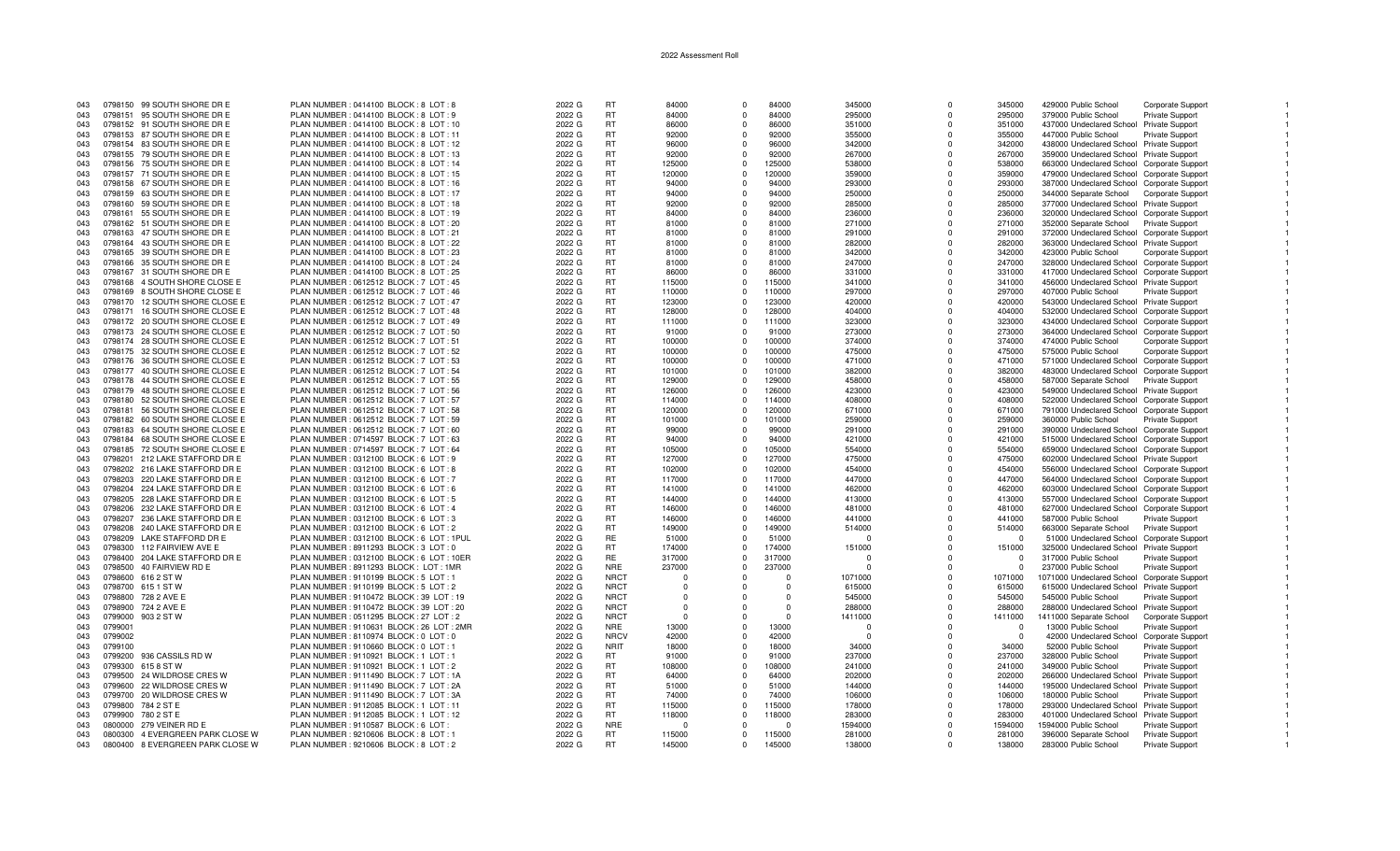| 043 |         | 0798150 99 SOUTH SHORE DR E      | PLAN NUMBER: 0414100 BLOCK: 8 LOT: 8       | 2022 G | <b>RT</b>   | 84000    | $\Omega$     | 84000    | 345000   | $\Omega$     | 345000   | 429000 Public School                       | Corporate Support        |  |
|-----|---------|----------------------------------|--------------------------------------------|--------|-------------|----------|--------------|----------|----------|--------------|----------|--------------------------------------------|--------------------------|--|
| 043 |         | 0798151 95 SOUTH SHORE DR E      | PLAN NUMBER : 0414100 BLOCK : 8 LOT : 9    | 2022 G | RT          | 84000    | $\Omega$     | 84000    | 295000   | $\Omega$     | 295000   | 379000 Public School                       | <b>Private Support</b>   |  |
| 043 |         |                                  |                                            |        | <b>RT</b>   |          | $\Omega$     |          |          |              | 351000   |                                            |                          |  |
|     |         | 0798152 91 SOUTH SHORE DR E      | PLAN NUMBER : 0414100 BLOCK : 8 LOT : 10   | 2022 G |             | 86000    |              | 86000    | 351000   | $\Omega$     |          | 437000 Undeclared School Private Support   |                          |  |
| 043 |         | 0798153 87 SOUTH SHORE DR E      | PLAN NUMBER : 0414100 BLOCK : 8 LOT : 11   | 2022 G | <b>RT</b>   | 92000    | $\Omega$     | 92000    | 355000   | $\Omega$     | 355000   | 447000 Public School                       | <b>Private Support</b>   |  |
| 043 |         | 0798154 83 SOUTH SHORE DR E      | PLAN NUMBER : 0414100 BLOCK : 8 LOT : 12   | 2022 G | <b>RT</b>   | 96000    | $\Omega$     | 96000    | 342000   | $\Omega$     | 342000   | 438000 Undeclared School Private Support   |                          |  |
|     |         |                                  |                                            |        | <b>RT</b>   |          |              | 92000    |          |              |          |                                            |                          |  |
| 043 |         | 0798155 79 SOUTH SHORE DR E      | PLAN NUMBER : 0414100 BLOCK : 8 LOT : 13   | 2022 G |             | 92000    |              |          | 267000   | $\Omega$     | 267000   | 359000 Undeclared School Private Support   |                          |  |
| 043 |         | 0798156 75 SOUTH SHORE DR E      | PLAN NUMBER : 0414100 BLOCK : 8 LOT : 14   | 2022 G | <b>RT</b>   | 125000   | $\Omega$     | 125000   | 538000   | $\Omega$     | 538000   | 663000 Undeclared School Corporate Support |                          |  |
| 043 |         | 0798157 71 SOUTH SHORE DR E      | PLAN NUMBER : 0414100 BLOCK : 8 LOT : 15   | 2022 G | RT          | 120000   | $\Omega$     | 120000   | 359000   | $\Omega$     | 359000   | 479000 Undeclared School Corporate Support |                          |  |
|     |         |                                  |                                            |        | <b>RT</b>   |          | $\Omega$     |          |          | $\Omega$     |          |                                            |                          |  |
| 043 |         | 0798158 67 SOUTH SHORE DR E      | PLAN NUMBER : 0414100 BLOCK : 8 LOT : 16   | 2022 G |             | 94000    |              | 94000    | 293000   |              | 293000   | 387000 Undeclared School Corporate Support |                          |  |
| 043 |         | 0798159 63 SOUTH SHORE DR E      | PLAN NUMBER : 0414100 BLOCK : 8 LOT : 17   | 2022 G | RT          | 94000    | $\Omega$     | 94000    | 250000   | $\Omega$     | 250000   | 344000 Separate School                     | <b>Corporate Support</b> |  |
| 043 |         | 0798160 59 SOUTH SHORE DR E      | PLAN NUMBER : 0414100 BLOCK : 8 LOT : 18   | 2022 G | <b>RT</b>   | 92000    | $\Omega$     | 92000    | 285000   | $\Omega$     | 285000   | 377000 Undeclared School Private Support   |                          |  |
|     |         |                                  |                                            |        |             |          |              |          |          |              |          |                                            |                          |  |
| 043 |         | 0798161 55 SOUTH SHORE DR E      | PLAN NUMBER: 0414100 BLOCK: 8 LOT: 19      | 2022 G | <b>RT</b>   | 84000    | $\Omega$     | 84000    | 236000   | $\Omega$     | 236000   | 320000 Undeclared School Corporate Support |                          |  |
| 043 |         | 0798162 51 SOUTH SHORE DR E      | PLAN NUMBER : 0414100 BLOCK : 8 LOT : 20   | 2022 G | <b>RT</b>   | 81000    | $\Omega$     | 81000    | 271000   | $\Omega$     | 271000   | 352000 Separate School                     | Private Support          |  |
| 043 |         | 0798163 47 SOUTH SHORE DR E      | PLAN NUMBER : 0414100 BLOCK : 8 LOT : 21   | 2022 G | <b>RT</b>   | 81000    | $\Omega$     | 81000    | 291000   | $\Omega$     | 291000   | 372000 Undeclared School Corporate Support |                          |  |
|     |         |                                  |                                            |        | <b>RT</b>   | 81000    | $\Omega$     | 81000    |          | $\Omega$     | 282000   |                                            |                          |  |
| 043 |         | 0798164 43 SOUTH SHORE DR E      | PLAN NUMBER : 0414100 BLOCK : 8 LOT : 22   | 2022 G |             |          |              |          | 282000   |              |          | 363000 Undeclared School Private Support   |                          |  |
| 043 |         | 0798165 39 SOUTH SHORE DR E      | PLAN NUMBER : 0414100 BLOCK : 8 LOT : 23   | 2022 G | <b>RT</b>   | 81000    | $\Omega$     | 81000    | 342000   | $\Omega$     | 342000   | 423000 Public School                       | <b>Corporate Support</b> |  |
| 043 |         | 0798166 35 SOUTH SHORE DR E      | PLAN NUMBER : 0414100 BLOCK : 8 LOT : 24   | 2022 G | <b>RT</b>   | 81000    | $\Omega$     | 81000    | 247000   | $\Omega$     | 247000   | 328000 Undeclared School Corporate Support |                          |  |
|     |         |                                  |                                            |        |             |          | $\Omega$     |          |          |              |          |                                            |                          |  |
| 043 |         | 0798167 31 SOUTH SHORE DR E      | PLAN NUMBER : 0414100 BLOCK : 8 LOT : 25   | 2022 G | <b>RT</b>   | 86000    |              | 86000    | 331000   | $\Omega$     | 331000   | 417000 Undeclared School Corporate Support |                          |  |
| 043 |         | 0798168 4 SOUTH SHORE CLOSE E    | PLAN NUMBER : 0612512 BLOCK : 7 LOT : 45   | 2022 G | <b>RT</b>   | 115000   | $\Omega$     | 115000   | 341000   | $\Omega$     | 341000   | 456000 Undeclared School Private Support   |                          |  |
| 043 |         | 0798169 8 SOUTH SHORE CLOSE E    | PLAN NUMBER : 0612512 BLOCK : 7 LOT : 46   | 2022 G | <b>RT</b>   | 110000   | $\Omega$     | 110000   | 297000   | $\Omega$     | 297000   | 407000 Public School                       | <b>Private Support</b>   |  |
| 043 |         |                                  |                                            |        | <b>RT</b>   |          | $\Omega$     |          |          | $\Omega$     |          |                                            |                          |  |
|     |         | 0798170 12 SOUTH SHORE CLOSE E   | PLAN NUMBER : 0612512 BLOCK : 7 LOT : 47   | 2022 G |             | 123000   |              | 123000   | 420000   |              | 420000   | 543000 Undeclared School Private Support   |                          |  |
| 043 |         | 0798171 16 SOUTH SHORE CLOSE E   | PLAN NUMBER : 0612512 BLOCK : 7 LOT : 48   | 2022 G | <b>RT</b>   | 128000   | <sup>n</sup> | 128000   | 404000   | $\Omega$     | 404000   | 532000 Undeclared School Corporate Support |                          |  |
| 043 |         | 0798172 20 SOUTH SHORE CLOSE E   | PLAN NUMBER : 0612512 BLOCK : 7 LOT : 49   | 2022 G | <b>RT</b>   | 111000   | $\Omega$     | 111000   | 323000   | $\Omega$     | 323000   | 434000 Undeclared School Corporate Support |                          |  |
|     |         |                                  |                                            |        |             |          |              |          |          |              |          |                                            |                          |  |
| 043 |         | 0798173 24 SOUTH SHORE CLOSE E   | PLAN NUMBER : 0612512 BLOCK : 7 LOT : 50   | 2022 G | <b>RT</b>   | 91000    | $\Omega$     | 91000    | 273000   | $\Omega$     | 273000   | 364000 Undeclared School Corporate Support |                          |  |
| 043 |         | 0798174 28 SOUTH SHORE CLOSE E   | PLAN NUMBER : 0612512 BLOCK : 7 LOT : 51   | 2022 G | <b>RT</b>   | 100000   | $\Omega$     | 100000   | 374000   | $\Omega$     | 374000   | 474000 Public School                       | Corporate Support        |  |
| 043 |         | 0798175 32 SOUTH SHORE CLOSE E   | PLAN NUMBER : 0612512 BLOCK : 7 LOT : 52   | 2022 G | <b>RT</b>   | 100000   | $\Omega$     | 100000   | 475000   | $\Omega$     | 475000   | 575000 Public School                       | <b>Corporate Support</b> |  |
|     |         |                                  |                                            |        |             |          |              |          |          |              |          |                                            |                          |  |
| 043 |         | 0798176 36 SOUTH SHORE CLOSE E   | PLAN NUMBER : 0612512 BLOCK : 7 LOT : 53   | 2022 G | <b>RT</b>   | 100000   | $\Omega$     | 100000   | 471000   | $\Omega$     | 471000   | 571000 Undeclared School Corporate Support |                          |  |
| 043 |         | 0798177 40 SOUTH SHORE CLOSE E   | PLAN NUMBER : 0612512 BLOCK : 7 LOT : 54   | 2022 G | <b>RT</b>   | 101000   | $\Omega$     | 101000   | 382000   | $\Omega$     | 382000   | 483000 Undeclared School Corporate Support |                          |  |
| 043 |         | 0798178 44 SOUTH SHORE CLOSE E   | PLAN NUMBER : 0612512 BLOCK : 7 LOT : 55   | 2022 G | <b>RT</b>   | 129000   | $\Omega$     | 129000   | 458000   | $\Omega$     | 458000   | 587000 Separate School                     | Private Support          |  |
|     |         |                                  |                                            |        |             |          |              |          |          |              |          |                                            |                          |  |
| 043 |         | 0798179 48 SOUTH SHORE CLOSE E   | PLAN NUMBER : 0612512 BLOCK : 7 LOT : 56   | 2022 G | <b>RT</b>   | 126000   | $\Omega$     | 126000   | 423000   | $\Omega$     | 423000   | 549000 Undeclared School Private Support   |                          |  |
| 043 |         | 0798180 52 SOUTH SHORE CLOSE E   | PLAN NUMBER : 0612512 BLOCK : 7 LOT : 57   | 2022 G | <b>RT</b>   | 114000   | $\Omega$     | 114000   | 408000   | $\Omega$     | 408000   | 522000 Undeclared School Corporate Support |                          |  |
| 043 | 0798181 | 56 SOUTH SHORE CLOSE E           | PLAN NUMBER : 0612512 BLOCK : 7 LOT : 58   | 2022 G | <b>RT</b>   | 120000   | $\Omega$     | 120000   | 671000   | $\Omega$     | 671000   | 791000 Undeclared School Corporate Support |                          |  |
|     |         |                                  |                                            |        |             |          |              |          |          |              |          |                                            |                          |  |
| 043 |         | 0798182 60 SOUTH SHORE CLOSE E   | PLAN NUMBER : 0612512 BLOCK : 7 LOT : 59   | 2022 G | <b>RT</b>   | 101000   | $\Omega$     | 101000   | 259000   | $\Omega$     | 259000   | 360000 Public School                       | <b>Private Support</b>   |  |
| 043 |         | 0798183 64 SOUTH SHORE CLOSE E   | PLAN NUMBER : 0612512 BLOCK : 7 LOT : 60   | 2022 G | <b>RT</b>   | 99000    | $\Omega$     | 99000    | 291000   | $\Omega$     | 291000   | 390000 Undeclared School Corporate Suppor  |                          |  |
| 043 |         | 0798184 68 SOUTH SHORE CLOSE E   | PLAN NUMBER: 0714597 BLOCK: 7 LOT: 63      | 2022 G | <b>RT</b>   | 94000    | $\Omega$     | 94000    | 421000   | $\Omega$     | 421000   | 515000 Undeclared School Corporate Support |                          |  |
|     |         |                                  |                                            |        |             |          |              |          |          |              |          |                                            |                          |  |
| 043 |         | 0798185 72 SOUTH SHORE CLOSE E   | PLAN NUMBER : 0714597 BLOCK : 7 LOT : 64   | 2022 G | <b>RT</b>   | 105000   | $\Omega$     | 105000   | 554000   | $\mathbf 0$  | 554000   | 659000 Undeclared School Corporate Support |                          |  |
| 043 | 0798201 | 212 LAKE STAFFORD DR E           | PLAN NUMBER : 0312100 BLOCK : 6 LOT : 9    | 2022 G | <b>RT</b>   | 127000   | $\Omega$     | 127000   | 475000   | $\Omega$     | 475000   | 602000 Undeclared School Private Support   |                          |  |
| 043 |         | 0798202 216 LAKE STAFFORD DR E   | PLAN NUMBER : 0312100 BLOCK : 6 LOT : 8    | 2022 G | <b>RT</b>   | 102000   | $\Omega$     | 102000   | 454000   | $\Omega$     | 454000   | 556000 Undeclared School Corporate Support |                          |  |
|     |         |                                  |                                            |        |             |          |              |          |          |              |          |                                            |                          |  |
| 043 |         | 0798203 220 LAKE STAFFORD DR E   | PLAN NUMBER : 0312100 BLOCK : 6 LOT : 7    | 2022 G | <b>RT</b>   | 117000   | $\Omega$     | 117000   | 447000   | $\Omega$     | 447000   | 564000 Undeclared School Corporate Support |                          |  |
| 043 | 0798204 | 224 LAKE STAFFORD DR E           | PLAN NUMBER : 0312100 BLOCK : 6 LOT : 6    | 2022 G | RT          | 141000   | $\Omega$     | 141000   | 462000   | $\Omega$     | 462000   | 603000 Undeclared School Corporate Support |                          |  |
| 043 |         | 0798205 228 LAKE STAFFORD DR E   | PLAN NUMBER : 0312100 BLOCK : 6 LOT : 5    | 2022 G | <b>RT</b>   | 144000   | $\Omega$     | 144000   | 413000   | $\Omega$     | 413000   | 557000 Undeclared School Corporate Support |                          |  |
|     |         |                                  |                                            |        |             |          |              |          |          |              |          |                                            |                          |  |
| 043 |         | 0798206 232 LAKE STAFFORD DR E   | PLAN NUMBER : 0312100 BLOCK : 6 LOT : 4    | 2022 G | <b>RT</b>   | 146000   | $\Omega$     | 146000   | 481000   | $\Omega$     | 481000   | 627000 Undeclared School Corporate Support |                          |  |
| 043 |         | 0798207 236 LAKE STAFFORD DR E   | PLAN NUMBER : 0312100 BLOCK : 6 LOT : 3    | 2022 G | <b>RT</b>   | 146000   | $\Omega$     | 146000   | 441000   | $\Omega$     | 441000   | 587000 Public School                       | <b>Private Support</b>   |  |
| 043 | 0798208 | 240 LAKE STAFFORD DR E           | PLAN NUMBER : 0312100 BLOCK : 6 LOT : 2    | 2022 G | <b>RT</b>   | 149000   | $\Omega$     | 149000   | 514000   | $\mathbf 0$  | 514000   | 663000 Separate School                     | <b>Private Support</b>   |  |
|     |         |                                  |                                            |        | <b>RE</b>   |          | $\Omega$     |          | $\Omega$ | $\Omega$     | $\Omega$ |                                            |                          |  |
| 043 | 0798209 | LAKE STAFFORD DR E               | PLAN NUMBER : 0312100 BLOCK : 6 LOT : 1PUL | 2022 G |             | 51000    |              | 51000    |          |              |          | 51000 Undeclared School Corporate Support  |                          |  |
| 043 | 0798300 | 112 FAIRVIEW AVE E               | PLAN NUMBER: 8911293 BLOCK: 3 LOT: 0       | 2022 G | <b>RT</b>   | 174000   | $\Omega$     | 174000   | 151000   | $\Omega$     | 151000   | 325000 Undeclared School Private Support   |                          |  |
| 043 |         | 0798400 204 LAKE STAFFORD DR E   | PLAN NUMBER : 0312100 BLOCK : 6 LOT : 10EF | 2022 G | <b>RE</b>   | 317000   | $\Omega$     | 317000   | $\Omega$ | $\Omega$     | $\Omega$ | 317000 Public School                       | <b>Private Support</b>   |  |
| 043 | 0798500 | 40 FAIRVIEW RD E                 |                                            |        | <b>NRE</b>  | 237000   | $\Omega$     | 237000   | $\Omega$ | $\Omega$     | $\Omega$ |                                            |                          |  |
|     |         |                                  | PLAN NUMBER: 8911293 BLOCK: LOT: 1MR       | 2022 G |             |          |              |          |          |              |          | 237000 Public School                       | <b>Private Support</b>   |  |
| 043 |         | 0798600 616 2 ST W               | PLAN NUMBER : 9110199 BLOCK : 5 LOT : 1    | 2022 G | <b>NRCT</b> | - 0      | $\Omega$     | $\Omega$ | 1071000  | $\Omega$     | 1071000  | 1071000 Undeclared School Corporate Suppor |                          |  |
| 043 |         | 0798700 615 1 ST W               | PLAN NUMBER : 9110199 BLOCK : 5 LOT : 2    | 2022 G | <b>NRCT</b> | $\Omega$ |              | $\Omega$ | 615000   | $\Omega$     | 615000   | 615000 Undeclared School Private Support   |                          |  |
| 043 |         | 0798800 728 2 AVE E              | PLAN NUMBER : 9110472 BLOCK : 39 LOT : 19  | 2022 G | <b>NRCT</b> | $\Omega$ |              | $\Omega$ | 545000   | $\Omega$     | 545000   | 545000 Public School                       | Private Support          |  |
|     |         |                                  |                                            |        |             |          |              |          |          |              |          |                                            |                          |  |
| 043 |         | 0798900 724 2 AVE E              | PLAN NUMBER : 9110472 BLOCK : 39 LOT : 20  | 2022 G | <b>NRCT</b> | $\Omega$ | $\Omega$     | $\Omega$ | 288000   | $\Omega$     | 288000   | 288000 Undeclared School Private Support   |                          |  |
| 043 |         | 0799000 903 2 ST W               | PLAN NUMBER : 0511295 BLOCK : 27 LOT : 2   | 2022 G | <b>NRCT</b> | $\cap$   | $\Omega$     | $\Omega$ | 1411000  | $\Omega$     | 1411000  | 1411000 Separate School                    | Corporate Support        |  |
| 043 | 0799001 |                                  | PLAN NUMBER: 9110631 BLOCK: 26 LOT: 2MR    | 2022 G | <b>NRE</b>  | 13000    | $\Omega$     | 13000    | $\Omega$ | $\Omega$     | $\Omega$ | 13000 Public School                        | <b>Private Support</b>   |  |
|     |         |                                  |                                            |        |             |          |              |          |          |              |          |                                            |                          |  |
| 043 | 0799002 |                                  | PLAN NUMBER: 8110974 BLOCK: 0 LOT: 0       | 2022 G | <b>NRCV</b> | 42000    | $\Omega$     | 42000    | $\Omega$ | $\Omega$     | $\Omega$ | 42000 Undeclared School Corporate Support  |                          |  |
| 043 | 0799100 |                                  | PLAN NUMBER : 9110660 BLOCK : 0 LOT : 1    | 2022 G | <b>NRIT</b> | 18000    | $\Omega$     | 18000    | 34000    | $\Omega$     | 34000    | 52000 Public School                        | <b>Private Support</b>   |  |
| 043 |         | 0799200 936 CASSILS RD W         | PLAN NUMBER : 9110921 BLOCK : 1 LOT : 1    | 2022 G | <b>RT</b>   | 91000    | $\Omega$     | 91000    | 237000   | $\Omega$     | 237000   | 328000 Public School                       |                          |  |
|     |         |                                  |                                            |        |             |          |              |          |          |              |          |                                            | <b>Private Support</b>   |  |
| 043 |         | 0799300 6158 STW                 | PLAN NUMBER: 9110921 BLOCK: 1 LOT: 2       | 2022 G | <b>RT</b>   | 108000   | $\Omega$     | 108000   | 241000   | <sup>0</sup> | 241000   | 349000 Public School                       | <b>Private Support</b>   |  |
| 043 |         | 0799500 24 WILDROSE CRES W       | PLAN NUMBER: 9111490 BLOCK: 7 LOT: 1A      | 2022 G | <b>RT</b>   | 64000    | $\Omega$     | 64000    | 202000   | $\Omega$     | 202000   | 266000 Undeclared School Private Support   |                          |  |
| 043 |         | 0799600 22 WILDROSE CRES W       | PLAN NUMBER: 9111490 BLOCK: 7 LOT: 2A      | 2022 G | <b>RT</b>   | 51000    | $\Omega$     | 51000    | 144000   | $\Omega$     | 144000   | 195000 Undeclared School Private Support   |                          |  |
|     |         |                                  |                                            |        |             |          |              |          |          |              |          |                                            |                          |  |
| 043 |         | 0799700 20 WILDROSE CRES W       | PLAN NUMBER: 9111490 BLOCK: 7 LOT: 3A      | 2022 G | <b>RT</b>   | 74000    | $\Omega$     | 74000    | 106000   | $\Omega$     | 106000   | 180000 Public School                       | Private Support          |  |
| 043 |         | 0799800 784 2 ST E               | PLAN NUMBER: 9112085 BLOCK: 1 LOT: 11      | 2022 G | <b>RT</b>   | 115000   | $\Omega$     | 115000   | 178000   | $\Omega$     | 178000   | 293000 Undeclared School Private Support   |                          |  |
| 043 |         | 0799900 780 2 ST E               | PLAN NUMBER : 9112085 BLOCK : 1 LOT : 12   | 2022 G | <b>RT</b>   | 118000   | $\Omega$     | 118000   | 283000   | $\Omega$     | 283000   | 401000 Undeclared School Private Support   |                          |  |
|     |         |                                  |                                            |        |             |          |              |          |          |              |          |                                            |                          |  |
| 043 | 0800000 | 279 VEINER RD E                  | PLAN NUMBER : 9110587 BLOCK : 6 LOT        | 2022 G | <b>NRE</b>  | - 0      | $\Omega$     | $\Omega$ | 1594000  | $\Omega$     | 1594000  | 1594000 Public School                      | <b>Private Support</b>   |  |
| 043 |         | 0800300 4 EVERGREEN PARK CLOSE W | PLAN NUMBER : 9210606 BLOCK : 8 LOT : 1    | 2022 G | RT.         | 115000   | $\Omega$     | 115000   | 281000   | $\Omega$     | 281000   | 396000 Separate School                     | Private Support          |  |
| 043 |         | 0800400 8 EVERGREEN PARK CLOSE W | PLAN NUMBER : 9210606 BLOCK : 8 LOT : 2    | 2022 G | RT.         | 145000   | $\Omega$     | 145000   | 138000   | $\Omega$     | 138000   | 283000 Public School                       | <b>Private Support</b>   |  |
|     |         |                                  |                                            |        |             |          |              |          |          |              |          |                                            |                          |  |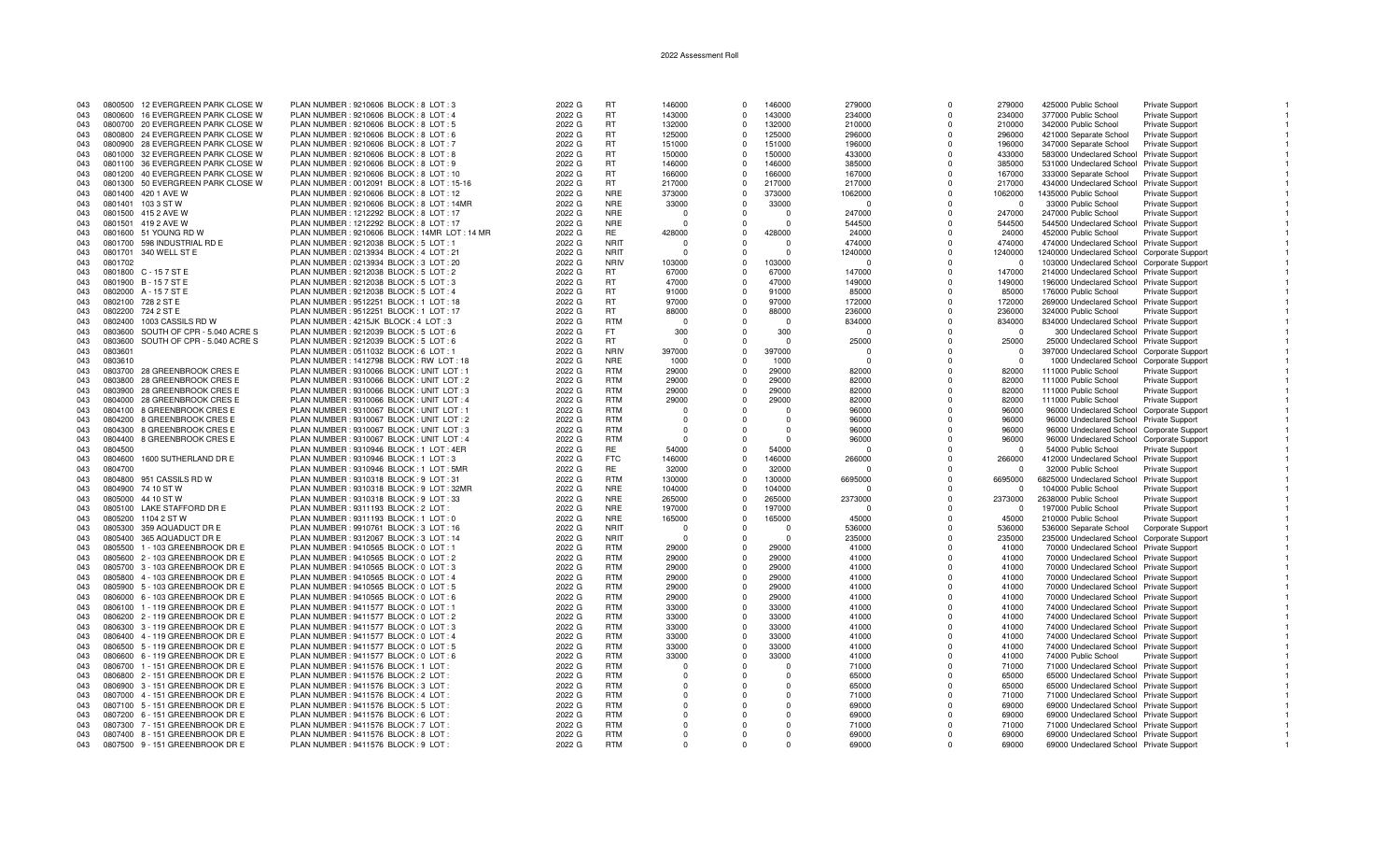| 043        | 0800500 | 12 EVERGREEN PARK CLOSE W         | PLAN NUMBER : 9210606 BLOCK : 8 LOT : 3        | 2022 G | RT              | 146000   | $\Omega$             | 146000   | 279000       | $\Omega$ | 279000         | 425000 Public School                                                                      | Private Support          |  |
|------------|---------|-----------------------------------|------------------------------------------------|--------|-----------------|----------|----------------------|----------|--------------|----------|----------------|-------------------------------------------------------------------------------------------|--------------------------|--|
| 043        | 0800600 | 16 EVERGREEN PARK CLOSE W         | PLAN NUMBER : 9210606 BLOCK : 8 LOT : 4        | 2022 G | <b>RT</b>       | 143000   | $\Omega$             | 143000   | 234000       | O        | 234000         | 377000 Public School                                                                      | Private Support          |  |
| 043        | 0800700 | 20 EVERGREEN PARK CLOSE W         | PLAN NUMBER : 9210606 BLOCK : 8 LOT : 5        | 2022 G | <b>RT</b>       | 132000   | $^{\circ}$           | 132000   | 210000       | $\Omega$ | 210000         | 342000 Public School                                                                      | <b>Private Support</b>   |  |
| 043        |         | 0800800 24 EVERGREEN PARK CLOSE W | PLAN NUMBER : 9210606 BLOCK : 8 LOT : 6        | 2022 G | <b>RT</b>       | 125000   | $\Omega$             | 125000   | 296000       | $\Omega$ | 296000         | 421000 Separate School                                                                    | Private Support          |  |
| 043        |         | 0800900 28 EVERGREEN PARK CLOSE W | PLAN NUMBER : 9210606 BLOCK : 8 LOT : 7        | 2022 G | <b>RT</b>       | 151000   | $\Omega$             | 151000   | 196000       | $\Omega$ | 196000         | 347000 Separate School                                                                    | <b>Private Support</b>   |  |
| 043        |         | 0801000 32 EVERGREEN PARK CLOSE W | PLAN NUMBER : 9210606 BLOCK : 8 LOT : 8        | 2022 G | <b>RT</b>       | 150000   | $\Omega$             | 150000   | 433000       | $\Omega$ | 433000         | 583000 Undeclared School Private Support                                                  |                          |  |
| 043        |         | 0801100 36 EVERGREEN PARK CLOSE W | PLAN NUMBER: 9210606 BLOCK: 8 LOT: 9           | 2022 G | <b>RT</b>       | 146000   | $\Omega$             | 146000   | 385000       | $\Omega$ | 385000         | 531000 Undeclared School Private Support                                                  |                          |  |
| 043        | 0801200 | 40 EVERGREEN PARK CLOSE W         | PLAN NUMBER : 9210606 BLOCK : 8 LOT : 10       | 2022 G | <b>RT</b>       | 166000   | $\Omega$             | 166000   | 167000       | $\Omega$ | 167000         | 333000 Separate School                                                                    | Private Support          |  |
| 043        |         | 0801300 50 EVERGREEN PARK CLOSE W | PLAN NUMBER : 0012091 BLOCK : 8 LOT : 15-16    | 2022 G | RT.             | 217000   | $\Omega$             | 217000   | 217000       | $\Omega$ | 217000         | 434000 Undeclared School Private Support                                                  |                          |  |
| 043        |         | 0801400 420 1 AVE W               | PLAN NUMBER : 9210606 BLOCK : 8 LOT : 12       | 2022 G | <b>NRE</b>      | 373000   | $\Omega$             | 373000   | 1062000      | $\Omega$ | 1062000        | 1435000 Public School                                                                     | Private Support          |  |
| 043        | 0801401 | 103 3 ST W                        | PLAN NUMBER : 9210606 BLOCK : 8 LOT : 14MR     | 2022 G | <b>NRE</b>      | 33000    | $\Omega$             | 33000    | $\Omega$     | $\Omega$ | $\Omega$       | 33000 Public School                                                                       | Private Support          |  |
| 043        |         | 0801500 415 2 AVE W               | PLAN NUMBER : 1212292 BLOCK : 8 LOT : 17       | 2022 G | <b>NRE</b>      | $\Omega$ | $\Omega$             | $\Omega$ | 247000       | $\Omega$ | 247000         | 247000 Public School                                                                      | Private Support          |  |
| 043        |         | 0801501 419 2 AVE W               | PLAN NUMBER : 1212292 BLOCK : 8 LOT : 17       | 2022 G | <b>NRE</b>      | $\Omega$ | O                    |          | 544500       | $\Omega$ | 544500         | 544500 Undeclared School Private Support                                                  |                          |  |
| 043        |         | 0801600 51 YOUNG RD W             | PLAN NUMBER : 9210606 BLOCK : 14MR LOT : 14 MR | 2022 G | RE              | 428000   | $\Omega$             | 428000   | 24000        | $\Omega$ | 24000          | 452000 Public School                                                                      | <b>Private Support</b>   |  |
| 043        |         | 0801700 598 INDUSTRIAL RD E       | PLAN NUMBER : 9212038 BLOCK : 5 LOT : 1        | 2022 G | <b>NRIT</b>     | $\Omega$ |                      | $\Omega$ | 474000       | $\Omega$ | 474000         | 474000 Undeclared School Private Support                                                  |                          |  |
|            |         | 0801701 340 WELL ST E             | PLAN NUMBER : 0213934 BLOCK : 4 LOT : 21       | 2022 G | <b>NRIT</b>     | $\Omega$ |                      | $\Omega$ |              | $\Omega$ | 1240000        |                                                                                           |                          |  |
| 043<br>043 | 0801702 |                                   | PLAN NUMBER : 0213934 BLOCK : 3 LOT : 20       | 2022 G | <b>NRIV</b>     | 103000   | $\Omega$             | 103000   | 1240000<br>n | $\Omega$ | $\Omega$       | 1240000 Undeclared School Corporate Support<br>103000 Undeclared School Corporate Support |                          |  |
|            |         |                                   |                                                |        |                 |          |                      | 67000    |              | $\Omega$ |                |                                                                                           |                          |  |
| 043        |         | 0801800 C - 15 7 ST E             | PLAN NUMBER : 9212038 BLOCK : 5 LOT : 2        | 2022 G | RT<br><b>RT</b> | 67000    | $\Omega$<br>$\Omega$ | 47000    | 147000       | $\Omega$ | 147000         | 214000 Undeclared School Private Support                                                  |                          |  |
| 043        |         | 0801900 B-157 ST E                | PLAN NUMBER : 9212038 BLOCK : 5 LOT : 3        | 2022 G |                 | 47000    | $\Omega$             |          | 149000       |          | 149000         | 196000 Undeclared School Private Support                                                  |                          |  |
| 043        |         | 0802000 A-157 ST E                | PLAN NUMBER : 9212038 BLOCK : 5 LOT : 4        | 2022 G | <b>RT</b>       | 91000    |                      | 91000    | 85000        | $\Omega$ | 85000          | 176000 Public School                                                                      | Private Support          |  |
| 043        |         | 0802100 728 2 ST E                | PLAN NUMBER: 9512251 BLOCK: 1 LOT: 18          | 2022 G | RT.             | 97000    | $\Omega$             | 97000    | 172000       | $\Omega$ | 172000         | 269000 Undeclared School Private Support                                                  |                          |  |
| 043        |         | 0802200 724 2 ST E                | PLAN NUMBER : 9512251 BLOCK : 1 LOT : 17       | 2022 G | RT              | 88000    | $\Omega$             | 88000    | 236000       | $\Omega$ | 236000         | 324000 Public School                                                                      | <b>Private Support</b>   |  |
| 043        | 0802400 | 1003 CASSILS RD W                 | PLAN NUMBER : 4215JK BLOCK : 4 LOT : 3         | 2022 G | <b>RTM</b>      | - 0      | $\Omega$             | $\Omega$ | 834000       | $\Omega$ | 834000         | 834000 Undeclared School Private Support                                                  |                          |  |
| 043        | 0803600 | SOUTH OF CPR - 5.040 ACRE S       | PLAN NUMBER : 9212039 BLOCK : 5 LOT : 6        | 2022 G | FT.             | 300      |                      | 300      | $\Omega$     | $\Omega$ |                | 300 Undeclared School Private Support                                                     |                          |  |
| 043        | 0803600 | SOUTH OF CPR - 5.040 ACRE S       | PLAN NUMBER : 9212039 BLOCK : 5 LOT : 6        | 2022 G | <b>RT</b>       | - 0      | $\Omega$             | $\cap$   | 25000        | $\Omega$ | 25000          | 25000 Undeclared School Private Support                                                   |                          |  |
| 043        | 0803601 |                                   | PLAN NUMBER : 0511032 BLOCK : 6 LOT : 1        | 2022 G | <b>NRIV</b>     | 397000   | $\Omega$             | 397000   | $\Omega$     | $\Omega$ | $^{\circ}$     | 397000 Undeclared School Corporate Support                                                |                          |  |
| 043        | 0803610 |                                   | PLAN NUMBER: 1412798 BLOCK: RW LOT: 18         | 2022 G | <b>NRE</b>      | 1000     | $\Omega$             | 1000     | $\Omega$     | $\Omega$ | $\Omega$       | 1000 Undeclared School Corporate Support                                                  |                          |  |
| 043        |         | 0803700 28 GREENBROOK CRES E      | PLAN NUMBER : 9310066 BLOCK : UNIT LOT : 1     | 2022 G | <b>RTM</b>      | 29000    | $\Omega$             | 29000    | 82000        |          | 82000          | 111000 Public School                                                                      | <b>Private Support</b>   |  |
| 043        | 0803800 | 28 GREENBROOK CRES E              | PLAN NUMBER : 9310066 BLOCK : UNIT LOT : 2     | 2022 G | <b>RTM</b>      | 29000    | $\Omega$             | 29000    | 82000        | n        | 82000          | 111000 Public School                                                                      | <b>Private Support</b>   |  |
| 043        | 0803900 | 28 GREENBROOK CRES E              | PLAN NUMBER : 9310066 BLOCK : UNIT LOT : 3     | 2022 G | <b>RTM</b>      | 29000    | $\Omega$             | 29000    | 82000        | $\Omega$ | 82000          | 111000 Public School                                                                      | <b>Private Support</b>   |  |
| 043        |         | 0804000 28 GREENBROOK CRES E      | PLAN NUMBER : 9310066 BLOCK : UNIT LOT : 4     | 2022 G | <b>RTM</b>      | 29000    | $\Omega$             | 29000    | 82000        | $\Omega$ | 82000          | 111000 Public School                                                                      | Private Support          |  |
| 043        |         | 0804100 8 GREENBROOK CRES E       | PLAN NUMBER : 9310067 BLOCK : UNIT LOT : 1     | 2022 G | <b>RTM</b>      | $\Omega$ | $\Omega$             | $\Omega$ | 96000        | $\Omega$ | 96000          | 96000 Undeclared School Corporate Support                                                 |                          |  |
| 043        |         | 0804200 8 GREENBROOK CRESE        | PLAN NUMBER : 9310067 BLOCK : UNIT LOT : 2     | 2022 G | <b>RTM</b>      | $\Omega$ | n                    | $\Omega$ | 96000        | $\Omega$ | 96000          | 96000 Undeclared School Private Support                                                   |                          |  |
| 043        | 0804300 | 8 GREENBROOK CRES E               | PLAN NUMBER : 9310067 BLOCK : UNIT LOT : 3     | 2022 G | <b>RTM</b>      | $\Omega$ |                      | $\Omega$ | 96000        | O        | 96000          | 96000 Undeclared School Corporate Support                                                 |                          |  |
| 043        | 0804400 | 8 GREENBROOK CRES E               | PLAN NUMBER : 9310067 BLOCK : UNIT LOT : 4     | 2022 G | <b>RTM</b>      | $\Omega$ | $\Omega$             | $\cap$   | 96000        | $\Omega$ | 96000          | 96000 Undeclared School Corporate Support                                                 |                          |  |
| 043        | 0804500 |                                   | PLAN NUMBER: 9310946 BLOCK: 1 LOT: 4ER         | 2022 G | <b>RE</b>       | 54000    | $\Omega$             | 54000    | n            | $\Omega$ | $\Omega$       | 54000 Public School                                                                       | Private Support          |  |
| 043        | 0804600 | 1600 SUTHERLAND DR E              | PLAN NUMBER: 9310946 BLOCK: 1 LOT: 3           | 2022 G | <b>FTC</b>      | 146000   | $\Omega$             | 146000   | 266000       | $\Omega$ | 266000         | 412000 Undeclared School Private Support                                                  |                          |  |
| 043        | 0804700 |                                   | PLAN NUMBER: 9310946 BLOCK: 1 LOT: 5MR         | 2022 G | <b>RE</b>       | 32000    | $\Omega$             | 32000    | n            | $\Omega$ | $\Omega$       | 32000 Public School                                                                       | Private Support          |  |
| 043        | 0804800 | 951 CASSILS RD W                  | PLAN NUMBER : 9310318 BLOCK : 9 LOT : 31       | 2022 G | <b>RTM</b>      | 130000   | $\Omega$             | 130000   | 6695000      | $\Omega$ | 6695000        | 6825000 Undeclared School Private Support                                                 |                          |  |
| 043        | 0804900 | 74 10 ST W                        | PLAN NUMBER : 9310318 BLOCK : 9 LOT : 32MR     | 2022 G | <b>NRE</b>      | 104000   | $\Omega$             | 104000   | <sup>0</sup> | $\Omega$ | $\Omega$       | 104000 Public School                                                                      | Private Support          |  |
| 043        | 0805000 | 44 10 ST W                        | PLAN NUMBER : 9310318 BLOCK : 9 LOT : 33       | 2022 G | <b>NRE</b>      | 265000   | $\Omega$             | 265000   | 2373000      | $\Omega$ | 2373000        | 2638000 Public School                                                                     | <b>Private Support</b>   |  |
| 043        |         | 0805100 LAKE STAFFORD DR E        | PLAN NUMBER: 9311193 BLOCK: 2 LOT              | 2022 G | <b>NRE</b>      | 197000   | $\Omega$             | 197000   | n            | $\Omega$ | $\Omega$       | 197000 Public School                                                                      | <b>Private Support</b>   |  |
| 043        |         | 0805200 1104 2 ST W               | PLAN NUMBER : 9311193 BLOCK : 1 LOT : 0        | 2022 G | <b>NRE</b>      | 165000   | $\Omega$             | 165000   | 45000        | $\Omega$ | 45000          | 210000 Public School                                                                      | Private Support          |  |
| 043        |         | 0805300 359 AQUADUCT DR E         | PLAN NUMBER : 9910761 BLOCK : 3 LOT : 16       | 2022 G | <b>NRIT</b>     | - 0      | $\Omega$             | $\Omega$ | 536000       | $\Omega$ | 536000         | 536000 Separate School                                                                    | <b>Corporate Support</b> |  |
| 043        |         | 0805400 365 AQUADUCT DR E         | PLAN NUMBER : 9312067 BLOCK : 3 LOT : 14       | 2022 G | <b>NRIT</b>     | $\Omega$ | $\Omega$             | $\Omega$ | 235000       | $\Omega$ | 235000         | 235000 Undeclared School Corporate Support                                                |                          |  |
| 043        | 0805500 | 1 - 103 GREENBROOK DR E           | PLAN NUMBER : 9410565 BLOCK : 0 LOT : 1        | 2022 G | <b>RTM</b>      | 29000    | $\Omega$             | 29000    | 41000        | $\Omega$ | 41000          | 70000 Undeclared School Private Support                                                   |                          |  |
| 043        |         | 0805600 2 - 103 GREENBROOK DR E   | PLAN NUMBER : 9410565 BLOCK : 0 LOT : 2        | 2022 G | <b>RTM</b>      | 29000    | $\Omega$             | 29000    | 41000        | $\Omega$ | 41000          | 70000 Undeclared School Private Support                                                   |                          |  |
| 043        |         | 0805700 3 - 103 GREENBROOK DR E   | PLAN NUMBER : 9410565 BLOCK : 0 LOT : 3        | 2022 G | <b>RTM</b>      | 29000    | $^{\circ}$           | 29000    | 41000        | $\Omega$ | 41000          | 70000 Undeclared School Private Support                                                   |                          |  |
| 043        |         | 0805800 4 - 103 GREENBROOK DR E   | PLAN NUMBER : 9410565 BLOCK : 0 LOT : 4        | 2022 G | <b>RTM</b>      | 29000    | $\Omega$             | 29000    | 41000        | $\Omega$ | 41000          | 70000 Undeclared School Private Support                                                   |                          |  |
| 043        |         | 0805900 5 - 103 GREENBROOK DR E   | PLAN NUMBER : 9410565 BLOCK : 0 LOT : 5        | 2022 G | <b>RTM</b>      | 29000    | $\Omega$             | 29000    | 41000        | O        | 41000          | 70000 Undeclared School Private Support                                                   |                          |  |
| 043        |         | 0806000 6 - 103 GREENBROOK DR E   | PLAN NUMBER : 9410565 BLOCK : 0 LOT : 6        | 2022 G | <b>RTM</b>      | 29000    | $\Omega$             | 29000    | 41000        | O        | 41000          | 70000 Undeclared School Private Support                                                   |                          |  |
| 043        |         | 0806100 1 - 119 GREENBROOK DR E   | PLAN NUMBER : 9411577 BLOCK : 0 LOT : 1        | 2022 G | <b>RTM</b>      | 33000    | $\Omega$             | 33000    | 41000        | $\Omega$ | 41000          | 74000 Undeclared School Private Support                                                   |                          |  |
| 043        |         | 0806200 2 - 119 GREENBROOK DR E   |                                                |        | <b>RTM</b>      | 33000    | $\Omega$             | 33000    | 41000        | $\Omega$ | 41000          |                                                                                           |                          |  |
|            |         |                                   | PLAN NUMBER : 9411577 BLOCK : 0 LOT : 2        | 2022 G | <b>RTM</b>      | 33000    | $\Omega$             | 33000    |              | $\Omega$ |                | 74000 Undeclared School Private Support                                                   |                          |  |
| 043        |         | 0806300 3 - 119 GREENBROOK DR E   | PLAN NUMBER : 9411577 BLOCK : 0 LOT : 3        | 2022 G | <b>RTM</b>      | 33000    |                      | 33000    | 41000        | $\Omega$ | 41000<br>41000 | 74000 Undeclared School Private Support                                                   |                          |  |
| 043        |         | 0806400 4 - 119 GREENBROOK DR E   | PLAN NUMBER : 9411577 BLOCK : 0 LOT : 4        | 2022 G |                 |          | $\Omega$             |          | 41000        |          |                | 74000 Undeclared School Private Support                                                   |                          |  |
| 043        |         | 0806500 5 - 119 GREENBROOK DR E   | PLAN NUMBER : 9411577 BLOCK : 0 LOT : 5        | 2022 G | <b>RTM</b>      | 33000    | $\Omega$             | 33000    | 41000        | $\Omega$ | 41000          | 74000 Undeclared School Private Support                                                   |                          |  |
| 043        |         | 0806600 6 - 119 GREENBROOK DR E   | PLAN NUMBER : 9411577 BLOCK : 0 LOT : 6        | 2022 G | <b>RTM</b>      | 33000    | $\Omega$             | 33000    | 41000        | $\Omega$ | 41000          | 74000 Public School                                                                       | <b>Private Support</b>   |  |
| 043        |         | 0806700 1 - 151 GREENBROOK DR E   | PLAN NUMBER : 9411576 BLOCK : 1 LOT            | 2022 G | <b>RTM</b>      | $\Omega$ |                      |          | 71000        |          | 71000          | 71000 Undeclared School Private Support                                                   |                          |  |
| 043        |         | 0806800 2 - 151 GREENBROOK DR E   | PLAN NUMBER : 9411576 BLOCK : 2 LOT            | 2022 G | <b>RTM</b>      | $\Omega$ | n                    | $\Omega$ | 65000        | n        | 65000          | 65000 Undeclared School Private Support                                                   |                          |  |
| 043        |         | 0806900 3 - 151 GREENBROOK DR E   | PLAN NUMBER : 9411576 BLOCK : 3 LOT :          | 2022 G | <b>RTM</b>      |          |                      | $\Omega$ | 65000        | $\Omega$ | 65000          | 65000 Undeclared School Private Support                                                   |                          |  |
| 043        |         | 0807000 4 - 151 GREENBROOK DR E   | PLAN NUMBER : 9411576 BLOCK : 4 LOT            | 2022 G | <b>RTM</b>      | $\Omega$ | $\Omega$             | $\cap$   | 71000        | $\Omega$ | 71000          | 71000 Undeclared School Private Support                                                   |                          |  |
| 043        |         | 0807100 5 - 151 GREENBROOK DR E   | PLAN NUMBER : 9411576 BLOCK : 5 LOT            | 2022 G | <b>RTM</b>      | $\Omega$ | $\Omega$             |          | 69000        |          | 69000          | 69000 Undeclared School Private Support                                                   |                          |  |
| 043        |         | 0807200 6 - 151 GREENBROOK DR E   | PLAN NUMBER: 9411576 BLOCK: 6 LOT              | 2022 G | <b>RTM</b>      | $\Omega$ | $\Omega$             | $\Omega$ | 69000        | $\Omega$ | 69000          | 69000 Undeclared School Private Support                                                   |                          |  |
| 043        |         | 0807300 7 - 151 GREENBROOK DR E   | PLAN NUMBER: 9411576 BLOCK: 7 LOT              | 2022 G | <b>RTM</b>      | $\Omega$ | $\Omega$             | $\Omega$ | 71000        | $\Omega$ | 71000          | 71000 Undeclared School Private Support                                                   |                          |  |
| 043        |         | 0807400 8 - 151 GREENBROOK DR E   | PLAN NUMBER: 9411576 BLOCK: 8 LOT              | 2022 G | <b>RTM</b>      | $\Omega$ | $\Omega$             | $\cap$   | 69000        | $\Omega$ | 69000          | 69000 Undeclared School Private Support                                                   |                          |  |
| 043        |         | 0807500 9 - 151 GREENBROOK DR E   | PLAN NUMBER : 9411576 BLOCK : 9 LOT            | 2022 G | <b>RTM</b>      | $\Omega$ | $\Omega$             | $\cap$   | 69000        | $\Omega$ | 69000          | 69000 Undeclared School Private Support                                                   |                          |  |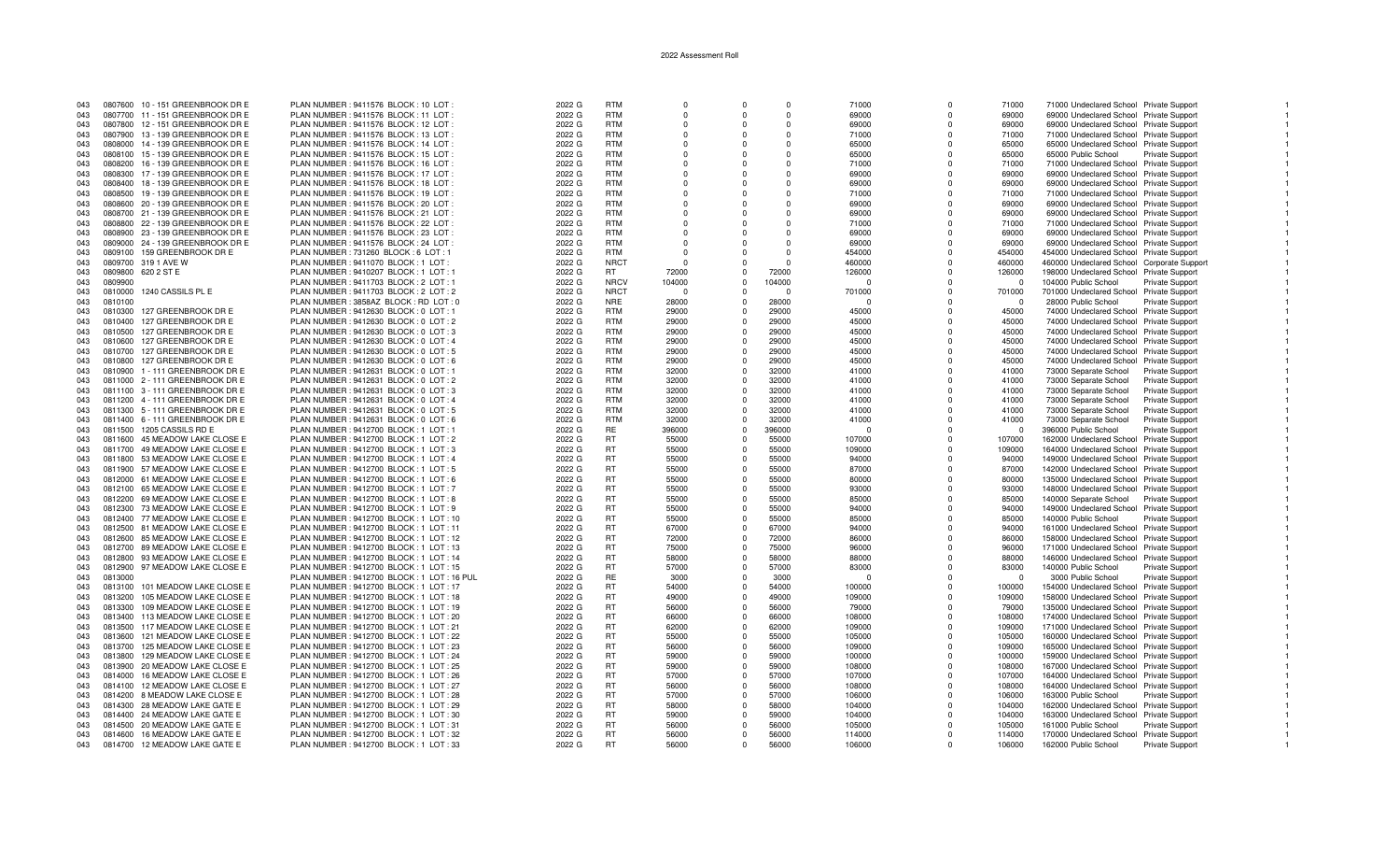| 043 |         | 0807600 10 - 151 GREENBROOK DR E | PLAN NUMBER: 9411576 BLOCK: 10 LOT        | 2022 G | <b>RTM</b>  | $\Omega$     |          | $\Omega$ | 71000              | $\Omega$     | 71000    | 71000 Undeclared School Private Support                                                |                        |  |
|-----|---------|----------------------------------|-------------------------------------------|--------|-------------|--------------|----------|----------|--------------------|--------------|----------|----------------------------------------------------------------------------------------|------------------------|--|
| 043 |         | 0807700 11 - 151 GREENBROOK DR E | PLAN NUMBER: 9411576 BLOCK: 11 LOT:       | 2022 G | <b>RTM</b>  | $\Omega$     |          | $\Omega$ | 69000              | $\Omega$     | 69000    | 69000 Undeclared School Private Support                                                |                        |  |
| 043 |         | 0807800 12 - 151 GREENBROOK DR E | PLAN NUMBER : 9411576 BLOCK : 12 LOT :    | 2022 G | <b>RTM</b>  | $\Omega$     |          | $\Omega$ | 69000              | $\Omega$     | 69000    | 69000 Undeclared School Private Support                                                |                        |  |
| 043 |         | 0807900 13 - 139 GREENBROOK DR E | PLAN NUMBER: 9411576 BLOCK: 13 LOT:       | 2022 G | <b>RTM</b>  | $\Omega$     |          | $\Omega$ | 71000              | $\Omega$     | 71000    | 71000 Undeclared School Private Support                                                |                        |  |
| 043 |         | 0808000 14 - 139 GREENBROOK DR E | PLAN NUMBER : 9411576 BLOCK : 14 LOT :    | 2022 G | <b>RTM</b>  | $\Omega$     |          | $\Omega$ | 65000              | $\Omega$     | 65000    | 65000 Undeclared School Private Support                                                |                        |  |
| 043 |         | 0808100 15 - 139 GREENBROOK DR E | PLAN NUMBER: 9411576 BLOCK: 15 LOT:       | 2022 G | <b>RTM</b>  | $\Omega$     | $\Omega$ | $\Omega$ | 65000              | $\Omega$     | 65000    | 65000 Public School                                                                    | <b>Private Support</b> |  |
| 043 |         | 0808200 16 - 139 GREENBROOK DR E | PLAN NUMBER: 9411576 BLOCK: 16 LOT:       | 2022 G | <b>RTM</b>  | $\Omega$     | $\Omega$ | $\Omega$ | 71000              | $\Omega$     | 71000    | 71000 Undeclared School Private Support                                                |                        |  |
| 043 |         | 0808300 17 - 139 GREENBROOK DR E | PLAN NUMBER : 9411576 BLOCK : 17 LOT      | 2022 G | <b>RTM</b>  | $\Omega$     |          | $\Omega$ | 69000              | $\Omega$     | 69000    | 69000 Undeclared School Private Support                                                |                        |  |
| 043 |         | 0808400 18 - 139 GREENBROOK DR E | PLAN NUMBER: 9411576 BLOCK: 18 LOT:       | 2022 G | <b>RTM</b>  |              |          | $\Omega$ | 69000              |              | 69000    | 69000 Undeclared School Private Support                                                |                        |  |
| 043 |         | 0808500 19 - 139 GREENBROOK DR E | PLAN NUMBER : 9411576 BLOCK : 19 LOT :    | 2022 G | <b>RTM</b>  | <sup>0</sup> |          | $\Omega$ | 71000              | $\Omega$     | 71000    | 71000 Undeclared School Private Support                                                |                        |  |
| 043 |         | 0808600 20 - 139 GREENBROOK DR E | PLAN NUMBER: 9411576 BLOCK: 20 LOT:       | 2022 G | <b>RTM</b>  | $\Omega$     |          | $\Omega$ | 69000              | $\Omega$     | 69000    | 69000 Undeclared School Private Support                                                |                        |  |
| 043 |         | 0808700 21 - 139 GREENBROOK DR E | PLAN NUMBER: 9411576 BLOCK: 21 LOT:       | 2022 G | <b>RTM</b>  | $\Omega$     |          | $\Omega$ | 69000              | $\Omega$     | 69000    | 69000 Undeclared School Private Support                                                |                        |  |
| 043 |         | 0808800 22 - 139 GREENBROOK DR E | PLAN NUMBER : 9411576 BLOCK : 22 LOT :    | 2022 G | <b>RTM</b>  |              |          | $\Omega$ | 71000              | $\Omega$     | 71000    | 71000 Undeclared School Private Support                                                |                        |  |
| 043 |         | 0808900 23 - 139 GREENBROOK DR E | PLAN NUMBER: 9411576 BLOCK: 23 LOT:       | 2022 G | <b>RTM</b>  | $\Omega$     | $\Omega$ | $\Omega$ | 69000              | $\Omega$     | 69000    | 69000 Undeclared School Private Support                                                |                        |  |
| 043 |         | 0809000 24 - 139 GREENBROOK DR E | PLAN NUMBER: 9411576 BLOCK: 24 LOT:       | 2022 G | <b>RTM</b>  | $\Omega$     |          | $\Omega$ | 69000              | $\Omega$     | 69000    | 69000 Undeclared School Private Support                                                |                        |  |
| 043 |         | 0809100 159 GREENBROOK DR E      | PLAN NUMBER: 731260 BLOCK: 6 LOT: 1       | 2022 G | <b>RTM</b>  | $\Omega$     |          | $\Omega$ | 454000             | $\Omega$     | 454000   |                                                                                        |                        |  |
| 043 |         | 0809700 319 1 AVE W              | PLAN NUMBER: 9411070 BLOCK: 1 LOT:        | 2022 G | <b>NRCT</b> | $\Omega$     |          | $\Omega$ | 460000             |              | 460000   | 454000 Undeclared School Private Support<br>460000 Undeclared School Corporate Support |                        |  |
| 043 |         | 0809800 620 2 ST E               | PLAN NUMBER : 9410207 BLOCK : 1 LOT : 1   | 2022 G | <b>RT</b>   | 72000        | $\cap$   | 72000    |                    | $\Omega$     | 126000   |                                                                                        |                        |  |
|     |         |                                  |                                           |        |             |              |          |          | 126000<br>$\Omega$ | $\Omega$     | $\Omega$ | 198000 Undeclared School Private Support                                               |                        |  |
| 043 | 0809900 |                                  | PLAN NUMBER : 9411703 BLOCK : 2 LOT : 1   | 2022 G | <b>NRCV</b> | 104000       |          | 104000   |                    |              |          | 104000 Public School                                                                   | Private Support        |  |
| 043 | 0810000 | 1240 CASSILS PL E                | PLAN NUMBER : 9411703 BLOCK : 2 LOT : 2   | 2022 G | <b>NRCT</b> | $\Omega$     |          | $\Omega$ | 701000             | $\Omega$     | 701000   | 701000 Undeclared School Private Support                                               |                        |  |
| 043 | 0810100 |                                  | PLAN NUMBER : 3858AZ BLOCK : RD LOT : 0   | 2022 G | <b>NRE</b>  | 28000        | $\Omega$ | 28000    | n                  |              | $\Omega$ | 28000 Public School                                                                    | Private Support        |  |
| 043 | 0810300 | 127 GREENBROOK DR E              | PLAN NUMBER : 9412630 BLOCK : 0 LOT : 1   | 2022 G | <b>RTM</b>  | 29000        | $\Omega$ | 29000    | 45000              | $\Omega$     | 45000    | 74000 Undeclared School Private Support                                                |                        |  |
| 043 | 0810400 | 127 GREENBROOK DR E              | PLAN NUMBER : 9412630 BLOCK : 0 LOT : 2   | 2022 G | <b>RTM</b>  | 29000        | $\Omega$ | 29000    | 45000              | $\Omega$     | 45000    | 74000 Undeclared School Private Support                                                |                        |  |
| 043 | 0810500 | 127 GREENBROOK DR E              | PLAN NUMBER : 9412630 BLOCK : 0 LOT : 3   | 2022 G | <b>RTM</b>  | 29000        | $\Omega$ | 29000    | 45000              | $\Omega$     | 45000    | 74000 Undeclared School Private Support                                                |                        |  |
| 043 | 0810600 | 127 GREENBROOK DR E              | PLAN NUMBER : 9412630 BLOCK : 0 LOT : 4   | 2022 G | RTM         | 29000        | $\Omega$ | 29000    | 45000              |              | 45000    | 74000 Undeclared School Private Support                                                |                        |  |
| 043 |         | 0810700 127 GREENBROOK DR E      | PLAN NUMBER : 9412630 BLOCK : 0 LOT : 5   | 2022 G | <b>RTM</b>  | 29000        | $\Omega$ | 29000    | 45000              | $\Omega$     | 45000    | 74000 Undeclared School Private Support                                                |                        |  |
| 043 |         | 0810800 127 GREENBROOK DR E      | PLAN NUMBER : 9412630 BLOCK : 0 LOT : 6   | 2022 G | <b>RTM</b>  | 29000        | $\Omega$ | 29000    | 45000              | $\Omega$     | 45000    | 74000 Undeclared School Private Support                                                |                        |  |
| 043 |         | 0810900 1 - 111 GREENBROOK DR E  | PLAN NUMBER : 9412631 BLOCK : 0 LOT : 1   | 2022 G | <b>RTM</b>  | 32000        | $\Omega$ | 32000    | 41000              | $\Omega$     | 41000    | 73000 Separate School                                                                  | <b>Private Support</b> |  |
| 043 |         | 0811000 2 - 111 GREENBROOK DR E  | PLAN NUMBER : 9412631 BLOCK : 0 LOT : 2   | 2022 G | <b>RTM</b>  | 32000        | $\Omega$ | 32000    | 41000              | $\Omega$     | 41000    | 73000 Separate School                                                                  | <b>Private Support</b> |  |
| 043 |         | 0811100 3 - 111 GREENBROOK DR E  | PLAN NUMBER : 9412631 BLOCK : 0 LOT : 3   | 2022 G | <b>RTM</b>  | 32000        | $\Omega$ | 32000    | 41000              | $\Omega$     | 41000    | 73000 Separate School                                                                  | <b>Private Support</b> |  |
| 043 |         | 0811200 4 - 111 GREENBROOK DR E  | PLAN NUMBER : 9412631 BLOCK : 0 LOT : 4   | 2022 G | <b>RTM</b>  | 32000        | $\Omega$ | 32000    | 41000              | $\Omega$     | 41000    | 73000 Separate School                                                                  | Private Support        |  |
| 043 |         | 0811300 5 - 111 GREENBROOK DR E  | PLAN NUMBER : 9412631 BLOCK : 0 LOT : 5   | 2022 G | <b>RTM</b>  | 32000        | $\Omega$ | 32000    | 41000              | $\Omega$     | 41000    | 73000 Separate School                                                                  | Private Support        |  |
| 043 |         | 0811400 6 - 111 GREENBROOK DR E  | PLAN NUMBER : 9412631 BLOCK : 0 LOT : 6   | 2022 G | <b>RTM</b>  | 32000        | $\Omega$ | 32000    | 41000              | $\Omega$     | 41000    | 73000 Separate School                                                                  | Private Support        |  |
| 043 |         | 0811500 1205 CASSILS RD E        | PLAN NUMBER : 9412700 BLOCK : 1 LOT : 1   | 2022 G | <b>RE</b>   | 396000       | $\Omega$ | 396000   | $\cap$             | O            | $\Omega$ | 396000 Public School                                                                   | <b>Private Support</b> |  |
| 043 |         | 0811600 45 MEADOW LAKE CLOSE E   | PLAN NUMBER : 9412700 BLOCK : 1 LOT : 2   | 2022 G | <b>RT</b>   | 55000        | $\Omega$ | 55000    | 107000             | $\Omega$     | 107000   | 162000 Undeclared School Private Support                                               |                        |  |
| 043 |         | 0811700 49 MEADOW LAKE CLOSE E   | PLAN NUMBER : 9412700 BLOCK : 1 LOT : 3   | 2022 G | <b>RT</b>   | 55000        | $\Omega$ | 55000    | 109000             | $\Omega$     | 109000   | 164000 Undeclared School Private Support                                               |                        |  |
| 043 |         | 0811800 53 MEADOW LAKE CLOSE E   | PLAN NUMBER : 9412700 BLOCK : 1 LOT : 4   | 2022 G | <b>RT</b>   | 55000        | $\Omega$ | 55000    | 94000              | $\Omega$     | 94000    | 149000 Undeclared School Private Support                                               |                        |  |
| 043 |         | 0811900 57 MEADOW LAKE CLOSE E   | PLAN NUMBER : 9412700 BLOCK : 1 LOT : 5   | 2022 G | <b>RT</b>   | 55000        | $\Omega$ | 55000    | 87000              | $\Omega$     | 87000    | 142000 Undeclared School Private Support                                               |                        |  |
| 043 |         | 0812000 61 MEADOW LAKE CLOSE E   | PLAN NUMBER : 9412700 BLOCK : 1 LOT : 6   | 2022 G | <b>RT</b>   | 55000        | $\Omega$ | 55000    | 80000              | $\Omega$     | 80000    | 135000 Undeclared School Private Support                                               |                        |  |
| 043 |         | 0812100 65 MEADOW LAKE CLOSE E   | PLAN NUMBER : 9412700 BLOCK : 1 LOT : 7   | 2022 G | <b>RT</b>   | 55000        | $\Omega$ | 55000    | 93000              | $\Omega$     | 93000    | 148000 Undeclared School Private Support                                               |                        |  |
| 043 |         | 0812200 69 MEADOW LAKE CLOSE E   | PLAN NUMBER : 9412700 BLOCK : 1 LOT : 8   | 2022 G | <b>RT</b>   | 55000        | $\Omega$ | 55000    | 85000              | $\Omega$     | 85000    | 140000 Separate School Private Support                                                 |                        |  |
| 043 |         | 0812300 73 MEADOW LAKE CLOSE E   | PLAN NUMBER: 9412700 BLOCK: 1 LOT: 9      | 2022 G | <b>RT</b>   | 55000        | $\Omega$ | 55000    | 94000              | <sup>0</sup> | 94000    | 149000 Undeclared School Private Support                                               |                        |  |
| 043 |         | 0812400 77 MEADOW LAKE CLOSE E   | PLAN NUMBER : 9412700 BLOCK : 1 LOT : 10  | 2022 G | <b>RT</b>   | 55000        |          | 55000    | 85000              | $\Omega$     | 85000    | 140000 Public School                                                                   | Private Support        |  |
| 043 |         | 0812500 81 MEADOW LAKE CLOSE E   | PLAN NUMBER : 9412700 BLOCK : 1 LOT : 11  | 2022 G | <b>RT</b>   | 67000        | $\Omega$ | 67000    | 94000              | $\Omega$     | 94000    | 161000 Undeclared School Private Support                                               |                        |  |
| 043 |         | 0812600 85 MEADOW LAKE CLOSE E   | PLAN NUMBER : 9412700 BLOCK : 1 LOT : 12  | 2022 G | <b>RT</b>   | 72000        | $\Omega$ | 72000    | 86000              | $\Omega$     | 86000    | 158000 Undeclared School Private Support                                               |                        |  |
| 043 |         | 0812700 89 MEADOW LAKE CLOSE E   | PLAN NUMBER: 9412700 BLOCK: 1 LOT: 13     | 2022 G | <b>RT</b>   | 75000        | $\Omega$ | 75000    | 96000              | $\Omega$     | 96000    | 171000 Undeclared School Private Support                                               |                        |  |
| 043 |         | 0812800 93 MEADOW LAKE CLOSE E   | PLAN NUMBER: 9412700 BLOCK: 1 LOT: 14     | 2022 G | <b>RT</b>   | 58000        | $\Omega$ | 58000    | 88000              | $\Omega$     | 88000    | 146000 Undeclared School Private Support                                               |                        |  |
| 043 |         | 0812900 97 MEADOW LAKE CLOSE E   | PLAN NUMBER : 9412700 BLOCK : 1 LOT : 15  | 2022 G | <b>RT</b>   | 57000        | $\Omega$ | 57000    | 83000              | $\Omega$     | 83000    | 140000 Public School                                                                   | Private Support        |  |
| 043 | 0813000 |                                  | PLAN NUMBER: 9412700 BLOCK: 1 LOT: 16 PUL | 2022 G | <b>RE</b>   | 3000         | $\Omega$ | 3000     | - 0                | $\Omega$     | $\Omega$ | 3000 Public School                                                                     | Private Support        |  |
| 043 | 0813100 | 101 MEADOW LAKE CLOSE E          | PLAN NUMBER: 9412700 BLOCK: 1 LOT: 17     | 2022 G | <b>RT</b>   | 54000        | $\Omega$ | 54000    | 100000             | $\Omega$     | 100000   | 154000 Undeclared School Private Support                                               |                        |  |
| 043 | 0813200 | 105 MEADOW LAKE CLOSE E          | PLAN NUMBER : 9412700 BLOCK : 1 LOT : 18  | 2022 G | <b>RT</b>   | 49000        |          | 49000    | 109000             | $\Omega$     | 109000   | 158000 Undeclared School Private Support                                               |                        |  |
| 043 | 0813300 | 109 MEADOW LAKE CLOSE E          | PLAN NUMBER : 9412700 BLOCK : 1 LOT : 19  | 2022 G | <b>RT</b>   | 56000        | $\cap$   | 56000    | 79000              | $\Omega$     | 79000    | 135000 Undeclared School Private Support                                               |                        |  |
| 043 | 0813400 | 113 MEADOW LAKE CLOSE E          | PLAN NUMBER: 9412700 BLOCK: 1 LOT: 20     | 2022 G | <b>RT</b>   | 66000        | $\Omega$ | 66000    | 108000             | $\Omega$     | 108000   | 174000 Undeclared School Private Support                                               |                        |  |
| 043 | 0813500 | 117 MEADOW LAKE CLOSE E          | PLAN NUMBER: 9412700 BLOCK: 1 LOT: 21     | 2022 G | <b>RT</b>   | 62000        | $\Omega$ | 62000    | 109000             | $\Omega$     | 109000   | 171000 Undeclared School Private Support                                               |                        |  |
| 043 | 0813600 | 121 MEADOW LAKE CLOSE E          | PLAN NUMBER : 9412700 BLOCK : 1 LOT : 22  | 2022 G | <b>RT</b>   | 55000        | $\Omega$ | 55000    | 105000             | $\Omega$     | 105000   | 160000 Undeclared School Private Support                                               |                        |  |
| 043 | 0813700 | 125 MEADOW LAKE CLOSE E          | PLAN NUMBER : 9412700 BLOCK : 1 LOT : 23  | 2022 G | <b>RT</b>   | 56000        | $\Omega$ | 56000    | 109000             | $\Omega$     | 109000   | 165000 Undeclared School Private Support                                               |                        |  |
| 043 | 0813800 | 129 MEADOW LAKE CLOSE E          | PLAN NUMBER : 9412700 BLOCK : 1 LOT : 24  | 2022 G | <b>RT</b>   | 59000        | $\Omega$ | 59000    | 100000             | $\Omega$     | 100000   | 159000 Undeclared School Private Support                                               |                        |  |
| 043 |         | 0813900 20 MEADOW LAKE CLOSE E   | PLAN NUMBER : 9412700 BLOCK : 1 LOT : 25  | 2022 G | <b>RT</b>   | 59000        |          | 59000    | 108000             | $\Omega$     | 108000   | 167000 Undeclared School Private Support                                               |                        |  |
| 043 |         | 0814000 16 MEADOW LAKE CLOSE E   | PLAN NUMBER : 9412700 BLOCK : 1 LOT : 26  | 2022 G | <b>RT</b>   | 57000        | $\Omega$ | 57000    | 107000             | $\Omega$     | 107000   | 164000 Undeclared School Private Support                                               |                        |  |
| 043 |         | 0814100 12 MEADOW LAKE CLOSE E   | PLAN NUMBER : 9412700 BLOCK : 1 LOT : 27  | 2022 G | <b>RT</b>   | 56000        | $\cap$   | 56000    | 108000             | $\Omega$     | 108000   | 164000 Undeclared School Private Support                                               |                        |  |
| 043 |         | 0814200 8 MEADOW LAKE CLOSE E    | PLAN NUMBER: 9412700 BLOCK: 1 LOT: 28     | 2022 G | <b>RT</b>   | 57000        | $\Omega$ | 57000    | 106000             | $\Omega$     | 106000   | 163000 Public School                                                                   | <b>Private Support</b> |  |
| 043 |         | 0814300 28 MEADOW LAKE GATE E    | PLAN NUMBER: 9412700 BLOCK: 1 LOT: 29     | 2022 G | <b>RT</b>   | 58000        | $\Omega$ | 58000    | 104000             | $\Omega$     | 104000   | 162000 Undeclared School Private Support                                               |                        |  |
| 043 |         | 0814400 24 MEADOW LAKE GATE E    | PLAN NUMBER: 9412700 BLOCK: 1 LOT: 30     | 2022 G | <b>RT</b>   | 59000        | $\Omega$ | 59000    | 104000             | $\Omega$     | 104000   | 163000 Undeclared School Private Support                                               |                        |  |
| 043 |         | 0814500 20 MEADOW LAKE GATE E    | PLAN NUMBER : 9412700 BLOCK : 1 LOT : 31  | 2022 G | <b>RT</b>   | 56000        | $\Omega$ | 56000    | 105000             | $\Omega$     | 105000   | 161000 Public School                                                                   | <b>Private Support</b> |  |
| 043 |         | 0814600 16 MEADOW LAKE GATE E    | PLAN NUMBER : 9412700 BLOCK : 1 LOT : 32  | 2022 G | <b>RT</b>   | 56000        | $\Omega$ | 56000    | 114000             | $\Omega$     | 114000   | 170000 Undeclared School Private Support                                               |                        |  |
| 043 |         | 0814700 12 MEADOW LAKE GATE E    | PLAN NUMBER : 9412700 BLOCK : 1 LOT : 33  | 2022 G | <b>RT</b>   | 56000        |          | 56000    | 106000             |              | 106000   | 162000 Public School                                                                   | <b>Private Support</b> |  |
|     |         |                                  |                                           |        |             |              |          |          |                    |              |          |                                                                                        |                        |  |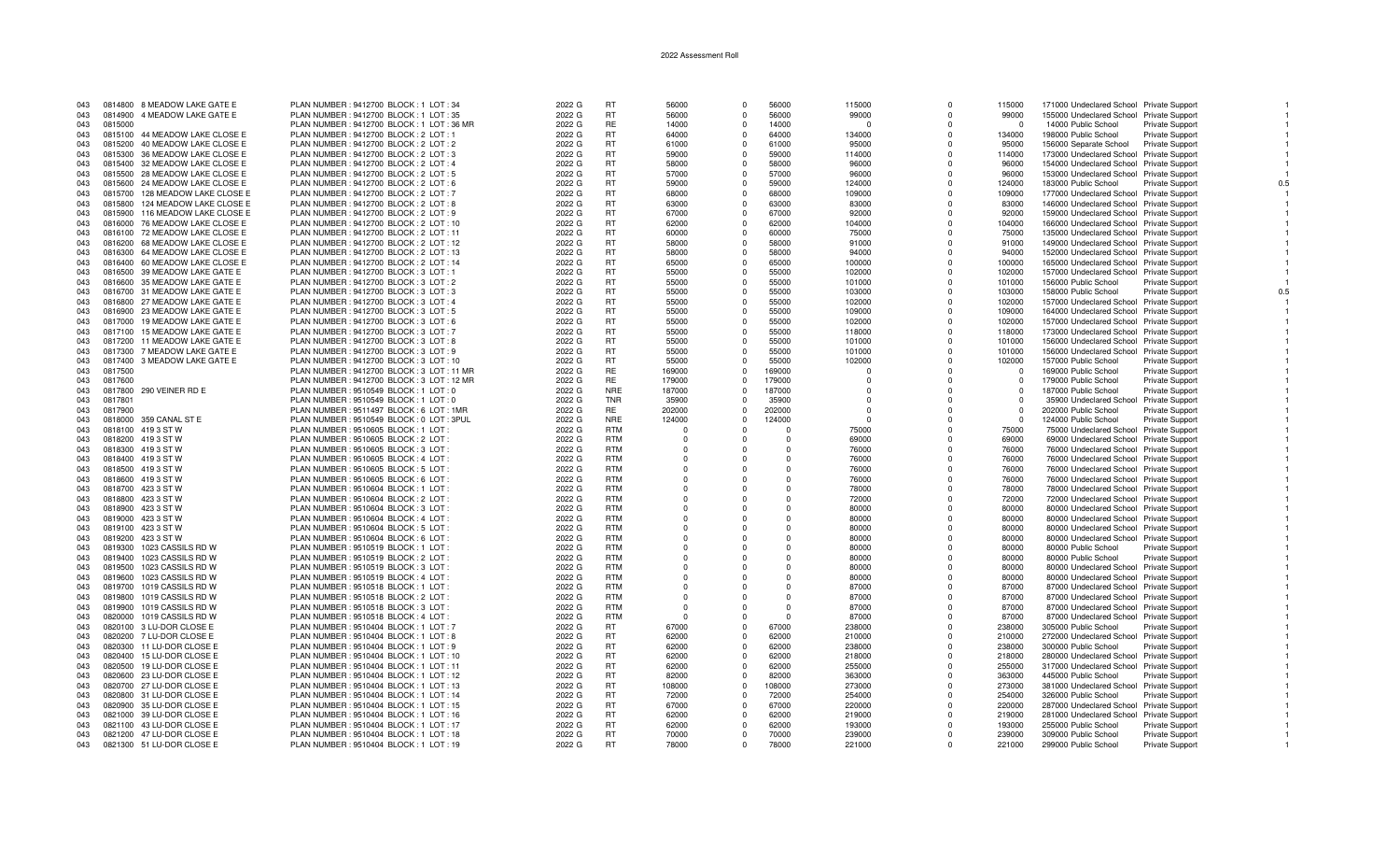| 043        | 0814800 8 MEADOW LAKE GATE E                           | PLAN NUMBER : 9412700 BLOCK : 1 LOT : 34                                          | 2022 G           | <b>RT</b>                | 56000                | $\Omega$             | 56000                | 115000           | $\Omega$             | 115000           | 171000 Undeclared School Private Support                         |                        |  |
|------------|--------------------------------------------------------|-----------------------------------------------------------------------------------|------------------|--------------------------|----------------------|----------------------|----------------------|------------------|----------------------|------------------|------------------------------------------------------------------|------------------------|--|
| 043        | 0814900 4 MEADOW LAKE GATE E                           | PLAN NUMBER : 9412700 BLOCK : 1 LOT : 35                                          | 2022 G           | <b>RT</b>                | 56000                | $\Omega$             | 56000                | 99000            | $\mathbf 0$          | 99000            | 155000 Undeclared School Private Support                         |                        |  |
| 043        | 0815000                                                | PLAN NUMBER: 9412700 BLOCK: 1 LOT: 36 MR                                          | 2022 G           | <b>RE</b>                | 14000                | $\Omega$             | 14000                | $\cap$           | $\Omega$             | $\cap$           | 14000 Public School                                              | Private Support        |  |
| 043        | 0815100 44 MEADOW LAKE CLOSE E                         | PLAN NUMBER : 9412700 BLOCK : 2 LOT : 1                                           | 2022 G           | <b>RT</b>                | 64000                | $\Omega$             | 64000                | 134000           | $\Omega$             | 134000           | 198000 Public School                                             | <b>Private Support</b> |  |
| 043        | 0815200<br>40 MEADOW LAKE CLOSE E                      | PLAN NUMBER : 9412700 BLOCK : 2 LOT : 2                                           | 2022 G           | <b>RT</b>                | 61000                | $\Omega$             | 61000                | 95000            | $\Omega$             | 95000            | 156000 Separate School                                           | <b>Private Support</b> |  |
| 043        | 0815300<br>36 MEADOW LAKE CLOSE E                      | PLAN NUMBER : 9412700 BLOCK : 2 LOT : 3                                           | 2022 G           | <b>RT</b>                | 59000                | $\Omega$             | 59000                | 114000           | $\Omega$             | 114000           | 173000 Undeclared School Private Support                         |                        |  |
| 043        | 0815400 32 MEADOW LAKE CLOSE E                         | PLAN NUMBER : 9412700 BLOCK : 2 LOT : 4                                           | 2022 G           | <b>RT</b>                | 58000                | $\Omega$             | 58000                | 96000            | $\Omega$             | 96000            | 154000 Undeclared School Private Support                         |                        |  |
| 043        | 0815500 28 MEADOW LAKE CLOSE E                         | PLAN NUMBER : 9412700 BLOCK : 2 LOT : 5                                           | 2022 G           | <b>RT</b>                | 57000                | $\Omega$             | 57000                | 96000            | O                    | 96000            | 153000 Undeclared School Private Support                         |                        |  |
| 043        | 0815600 24 MEADOW LAKE CLOSE E                         | PLAN NUMBER : 9412700 BLOCK : 2 LOT : 6                                           | 2022 G           | <b>RT</b>                | 59000                | $\Omega$             | 59000                | 124000           | $\Omega$             | 124000           | 183000 Public School                                             | <b>Private Support</b> |  |
| 043        | 0815700<br>128 MEADOW LAKE CLOSE E                     | PLAN NUMBER : 9412700 BLOCK : 2 LOT : 7                                           | 2022 G           | <b>RT</b>                | 68000                | $\Omega$             | 68000                | 109000           | $\Omega$             | 109000           | 177000 Undeclared School Private Support                         |                        |  |
| 043        | 0815800<br>124 MEADOW LAKE CLOSE E                     | PLAN NUMBER : 9412700 BLOCK : 2 LOT : 8                                           | 2022 G           | <b>RT</b>                | 63000                | $\Omega$             | 63000                | 83000            | $\Omega$             | 83000            | 146000 Undeclared School Private Support                         |                        |  |
| 043        | 116 MEADOW LAKE CLOSE E<br>0815900                     | PLAN NUMBER : 9412700 BLOCK : 2 LOT : 9                                           | 2022 G           | <b>RT</b>                | 67000                | $\Omega$             | 67000                | 92000            | $\Omega$             | 92000            | 159000 Undeclared School Private Support                         |                        |  |
| 043        | 0816000<br>76 MEADOW LAKE CLOSE E                      | PLAN NUMBER : 9412700 BLOCK : 2 LOT : 10                                          | 2022 G           | <b>RT</b>                | 62000                | $\Omega$             | 62000                | 104000           | $\Omega$             | 104000           | 166000 Undeclared School Private Support                         |                        |  |
| 043        | 72 MEADOW LAKE CLOSE E<br>0816100                      | PLAN NUMBER : 9412700 BLOCK : 2 LOT : 11                                          | 2022 G           | <b>RT</b>                | 60000                | $\Omega$             | 60000                | 75000            | $\Omega$             | 75000            | 135000 Undeclared School Private Support                         |                        |  |
| 043        | 0816200<br>68 MEADOW LAKE CLOSE E                      | PLAN NUMBER : 9412700 BLOCK : 2 LOT : 12                                          | 2022 G           | <b>RT</b>                | 58000                | $\Omega$             | 58000                | 91000            | $\Omega$             | 91000            | 149000 Undeclared School Private Support                         |                        |  |
| 043        | 0816300 64 MEADOW LAKE CLOSE E                         | PLAN NUMBER : 9412700 BLOCK : 2 LOT : 13                                          | 2022 G           | <b>RT</b>                | 58000                | $\Omega$             | 58000                | 94000            | O                    | 94000            | 152000 Undeclared School Private Support                         |                        |  |
| 043        | 0816400 60 MEADOW LAKE CLOSE E                         | PLAN NUMBER : 9412700 BLOCK : 2 LOT : 14                                          | 2022 G           | <b>RT</b>                | 65000                | $\Omega$             | 65000                | 100000           | $\Omega$             | 100000           | 165000 Undeclared School Private Support                         |                        |  |
| 043        | 0816500 39 MEADOW LAKE GATE E                          | PLAN NUMBER : 9412700 BLOCK : 3 LOT : 1                                           | 2022 G           | <b>RT</b>                | 55000                | $\Omega$             | 55000                | 102000           | $\Omega$             | 102000           | 157000 Undeclared School Private Support                         |                        |  |
| 043        | 0816600 35 MEADOW LAKE GATE E                          | PLAN NUMBER : 9412700 BLOCK : 3 LOT : 2                                           | 2022 G           | <b>RT</b>                | 55000                | $\Omega$             | 55000                | 101000           | $\Omega$             | 101000           | 156000 Public School                                             | Private Support        |  |
| 043        | 0816700 31 MEADOW LAKE GATE E                          | PLAN NUMBER : 9412700 BLOCK : 3 LOT : 3                                           | 2022 G           | <b>RT</b>                | 55000                | $\Omega$             | 55000                | 103000           | $\Omega$             | 103000           | 158000 Public School                                             | <b>Private Support</b> |  |
| 043        | 0816800 27 MEADOW LAKE GATE E                          | PLAN NUMBER: 9412700 BLOCK: 3 LOT: 4                                              | 2022 G           | <b>RT</b>                | 55000                | $\Omega$             | 55000                | 102000           | $\Omega$             | 102000           | 157000 Undeclared School Private Support                         |                        |  |
| 043        | 23 MEADOW LAKE GATE E<br>0816900                       | PLAN NUMBER : 9412700 BLOCK : 3 LOT : 5                                           | 2022 G           | <b>RT</b>                | 55000                | $\Omega$             | 55000                | 109000           | $\Omega$             | 109000           | 164000 Undeclared School Private Support                         |                        |  |
| 043        | 0817000<br>19 MEADOW LAKE GATE E                       | PLAN NUMBER : 9412700 BLOCK : 3 LOT : 6                                           | 2022 G           | <b>RT</b>                | 55000                | $\Omega$             | 55000                | 102000           | $\Omega$             | 102000           | 157000 Undeclared School Private Support                         |                        |  |
| 043        | 0817100<br>15 MEADOW LAKE GATE E                       | PLAN NUMBER : 9412700 BLOCK : 3 LOT : 7                                           | 2022 G           | <b>RT</b>                | 55000                | $\Omega$             | 55000                | 118000           | 0                    | 118000           | 173000 Undeclared School Private Support                         |                        |  |
| 043        | 0817200<br>11 MEADOW LAKE GATE E                       | PLAN NUMBER: 9412700 BLOCK: 3 LOT: 8                                              | 2022 G           | <b>RT</b>                | 55000                | $\Omega$             | 55000                | 101000           | O                    | 101000           | 156000 Undeclared School Private Support                         |                        |  |
| 043        | 0817300 7 MEADOW LAKE GATE E                           | PLAN NUMBER : 9412700 BLOCK : 3 LOT : 9                                           | 2022 G           | <b>RT</b>                | 55000                | $\Omega$             | 55000                | 101000           | $\Omega$             | 101000           | 156000 Undeclared School Private Support                         |                        |  |
| 043        | 3 MEADOW LAKE GATE E<br>0817400                        | PLAN NUMBER : 9412700 BLOCK : 3 LOT : 10                                          | 2022 G           | <b>RT</b>                | 55000                | $\Omega$             | 55000                | 102000           | $\Omega$             | 102000           | 157000 Public School                                             | Private Support        |  |
| 043        | 0817500                                                | PLAN NUMBER : 9412700 BLOCK : 3 LOT : 11 MR                                       | 2022 G           | <b>RE</b>                | 169000               | $\Omega$             | 169000               | $\Omega$         | $\Omega$             | $\Omega$         | 169000 Public School                                             | <b>Private Support</b> |  |
| 043        | 0817600                                                | PLAN NUMBER : 9412700 BLOCK : 3 LOT : 12 MR                                       | 2022 G           | <b>RE</b>                | 179000               | $\Omega$             | 179000               | $\Omega$         | $\Omega$             | $\Omega$         | 179000 Public School                                             | <b>Private Support</b> |  |
| 043        | 0817800<br>290 VEINER RD E                             | PLAN NUMBER: 9510549 BLOCK: 1 LOT: 0                                              | 2022 G           | <b>NRE</b>               | 187000               | $\Omega$             | 187000               | $\Omega$         | $\Omega$             | $\Omega$         | 187000 Public School                                             | <b>Private Support</b> |  |
| 043        | 0817801                                                | PLAN NUMBER : 9510549 BLOCK : 1 LOT : 0                                           | 2022 G           | <b>TNR</b>               | 35900                | $\Omega$             | 35900                | $\Omega$         | $\Omega$             | $\Omega$         | 35900 Undeclared School Private Support                          |                        |  |
| 043        | 0817900                                                | PLAN NUMBER : 9511497 BLOCK : 6 LOT : 1MR                                         | 2022 G           | RE.                      | 202000               | $\Omega$             | 202000               | $\Omega$         | O                    | $\Omega$         | 202000 Public School                                             | <b>Private Support</b> |  |
| 043        | 0818000 359 CANAL ST E                                 | PLAN NUMBER : 9510549 BLOCK : 0 LOT : 3PUL                                        | 2022 G           | <b>NRE</b>               | 124000               | $\Omega$             | 124000               | $\Omega$         | n                    | $\Omega$         | 124000 Public School                                             | Private Support        |  |
| 043        | 0818100 419 3 ST W                                     | PLAN NUMBER : 9510605 BLOCK : 1 LOT :                                             | 2022 G           | <b>RTM</b>               | $\Omega$             | $\Omega$             | $\Omega$             | 75000            | 0                    | 75000            | 75000 Undeclared School Private Support                          |                        |  |
| 043        | 0818200 419 3 ST W                                     | PLAN NUMBER : 9510605 BLOCK : 2 LOT :                                             | 2022 G           | <b>RTM</b>               | $\Omega$             | $\Omega$             | $\Omega$             | 69000            |                      | 69000            | 69000 Undeclared School Private Support                          |                        |  |
| 043        | 0818300 419 3 ST W                                     | PLAN NUMBER : 9510605 BLOCK : 3 LOT :                                             | 2022 G           | <b>RTM</b>               | $\Omega$             | $\Omega$             | $\Omega$             | 76000            | $\Omega$             | 76000            | 76000 Undeclared School Private Support                          |                        |  |
| 043        | 0818400 419 3 ST W                                     | PLAN NUMBER : 9510605 BLOCK : 4 LOT :                                             | 2022 G           | <b>RTM</b>               | $\Omega$             | $\Omega$             | $\Omega$             | 76000            | $\Omega$             | 76000            | 76000 Undeclared School Private Support                          |                        |  |
| 043        | 419 3 ST W<br>0818500                                  | PLAN NUMBER : 9510605 BLOCK : 5 LOT :                                             | 2022 G           | <b>RTM</b>               | $^{\circ}$           | $\Omega$             | $\Omega$             | 76000            | $\Omega$             | 76000            | 76000 Undeclared School Private Support                          |                        |  |
| 043        | 0818600 419 3 ST W                                     | PLAN NUMBER : 9510605 BLOCK : 6 LOT :                                             | 2022 G           | <b>RTM</b>               | $\Omega$             | $\Omega$             | $\Omega$             | 76000            | $\Omega$             | 76000            | 76000 Undeclared School Private Support                          |                        |  |
| 043        | 0818700 423 3 ST W                                     | PLAN NUMBER : 9510604 BLOCK : 1 LOT :                                             | 2022 G           | <b>RTM</b>               | $\Omega$             | $\Omega$             | $\Omega$             | 78000            | O                    | 78000            | 78000 Undeclared School Private Support                          |                        |  |
| 043        | 0818800 423 3 ST W                                     | PLAN NUMBER : 9510604 BLOCK : 2 LOT :                                             | 2022 G           | <b>RTM</b>               | $\Omega$             | $\Omega$             | $\Omega$             | 72000            | O                    | 72000            | 72000 Undeclared School Private Support                          |                        |  |
| 043        | 0818900 423 3 ST W                                     | PLAN NUMBER : 9510604 BLOCK : 3 LOT :                                             | 2022 G           | <b>RTM</b>               | $\Omega$             |                      | $\Omega$             | 80000            | $\Omega$             | 80000            | 80000 Undeclared School Private Support                          |                        |  |
| 043        | 0819000 423 3 ST W                                     | PLAN NUMBER : 9510604 BLOCK : 4 LOT :                                             | 2022 G           | <b>RTM</b>               | $\Omega$             |                      | $\Omega$             | 80000            | $\Omega$             | 80000            | 80000 Undeclared School Private Support                          |                        |  |
| 043        | 0819100 423 3 ST W                                     | PLAN NUMBER : 9510604 BLOCK : 5 LOT                                               | 2022 G           | <b>RTM</b>               | $\Omega$             | $\Omega$             | $\Omega$             | 80000            | $\Omega$             | 80000            | 80000 Undeclared School Private Support                          |                        |  |
| 043        | 0819200<br>423 3 ST W                                  | PLAN NUMBER : 9510604 BLOCK : 6 LOT                                               | 2022 G           | <b>RTM</b>               | $\Omega$             | $\Omega$             | $\Omega$             | 80000            | $\Omega$             | 80000            | 80000 Undeclared School Private Support                          |                        |  |
| 043        | 1023 CASSILS RD W<br>0819300                           | PLAN NUMBER : 9510519 BLOCK : 1 LOT :                                             | 2022 G           | <b>RTM</b><br><b>RTM</b> | $^{\circ}$           | $\Omega$             | $\Omega$             | 80000            | $\Omega$<br>$\Omega$ | 80000            | 80000 Public School                                              | <b>Private Support</b> |  |
| 043        | 0819400<br>1023 CASSILS RD W                           | PLAN NUMBER : 9510519 BLOCK : 2 LOT :                                             | 2022 G           |                          | $\Omega$             | $\Omega$             | $\Omega$             | 80000            |                      | 80000            | 80000 Public School                                              | Private Support        |  |
| 043        | 1023 CASSILS RD W<br>0819500                           | PLAN NUMBER : 9510519 BLOCK : 3 LOT                                               | 2022 G           | <b>RTM</b><br><b>RTM</b> | $\Omega$             | $\Omega$             | $\Omega$             | 80000            | O                    | 80000            | 80000 Undeclared School Private Support                          |                        |  |
| 043        | 0819600<br>1023 CASSILS RD W                           | PLAN NUMBER : 9510519 BLOCK : 4 LOT :                                             | 2022 G           |                          | $\Omega$             | $\Omega$             | $\Omega$             | 80000            | O                    | 80000            | 80000 Undeclared School Private Support                          |                        |  |
| 043        | 1019 CASSILS RD W<br>0819700                           | PLAN NUMBER: 9510518 BLOCK: 1 LOT:                                                | 2022 G           | <b>RTM</b><br><b>RTM</b> | $\Omega$             |                      | $\Omega$<br>$\Omega$ | 87000            | $\Omega$<br>$\Omega$ | 87000<br>87000   | 87000 Undeclared School Private Support                          |                        |  |
| 043        | 1019 CASSILS RD W<br>0819800                           | PLAN NUMBER : 9510518 BLOCK : 2 LOT :                                             | 2022 G           | <b>RTM</b>               | $\Omega$<br>$\Omega$ |                      | $\Omega$             | 87000            | $\Omega$             |                  | 87000 Undeclared School Private Support                          |                        |  |
| 043        | 0819900<br>1019 CASSILS RD W                           | PLAN NUMBER: 9510518 BLOCK: 3 LOT:                                                | 2022 G           | <b>RTM</b>               | $\Omega$             |                      | $\Omega$             | 87000            | $\Omega$             | 87000            | 87000 Undeclared School Private Support                          |                        |  |
| 043        | 1019 CASSILS RD W<br>0820000                           | PLAN NUMBER : 9510518 BLOCK : 4 LOT :                                             | 2022 G           |                          |                      | $\Omega$             |                      | 87000            |                      | 87000            | 87000 Undeclared School Private Support                          |                        |  |
| 043        | 3 LU-DOR CLOSE E<br>0820100                            | PLAN NUMBER : 9510404 BLOCK : 1 LOT : 7                                           | 2022 G           | <b>RT</b><br><b>RT</b>   | 67000<br>62000       | $^{\circ}$           | 67000<br>62000       | 238000           | $\Omega$<br>$\Omega$ | 238000           | 305000 Public School                                             | <b>Private Support</b> |  |
| 043        | 0820200 7 LU-DOR CLOSE E                               | PLAN NUMBER : 9510404 BLOCK : 1 LOT : 8                                           | 2022 G           |                          |                      | $\Omega$             |                      | 210000           | $\Omega$             | 210000           | 272000 Undeclared School Private Support                         |                        |  |
| 043        | 0820300 11 LU-DOR CLOSE E                              | PLAN NUMBER : 9510404 BLOCK : 1 LOT : 9                                           | 2022 G<br>2022 G | <b>RT</b><br><b>RT</b>   | 62000<br>62000       | $\Omega$<br>$\Omega$ | 62000<br>62000       | 238000           | $\Omega$             | 238000<br>218000 | 300000 Public School                                             | <b>Private Support</b> |  |
| 043        | 0820400 15 LU-DOR CLOSE E                              | PLAN NUMBER : 9510404 BLOCK : 1 LOT : 10                                          |                  | <b>RT</b>                | 62000                |                      | 62000                | 218000<br>255000 | $\Omega$             |                  | 280000 Undeclared School Private Support                         |                        |  |
| 043        | 0820500<br>19 LU-DOR CLOSE E                           | PLAN NUMBER : 9510404 BLOCK : 1 LOT : 11                                          | 2022 G           | <b>RT</b>                | 82000                | $\Omega$<br>$\Omega$ | 82000                |                  | $\Omega$             | 255000           | 317000 Undeclared School Private Support                         |                        |  |
| 043<br>043 | 0820600 23 LU-DOR CLOSE E<br>0820700 27 LU-DOR CLOSE E | PLAN NUMBER : 9510404 BLOCK : 1 LOT : 12<br>PLAN NUMBER: 9510404 BLOCK: 1 LOT: 13 | 2022 G<br>2022 G | <b>RT</b>                | 108000               | $\Omega$             | 108000               | 363000<br>273000 | $\Omega$             | 363000<br>273000 | 445000 Public School<br>381000 Undeclared School Private Support | <b>Private Support</b> |  |
| 043        | 0820800 31 LU-DOR CLOSE E                              | PLAN NUMBER : 9510404 BLOCK : 1 LOT : 14                                          | 2022 G           | <b>RT</b>                | 72000                | $\Omega$             | 72000                | 254000           | $\Omega$             | 254000           | 326000 Public School                                             |                        |  |
| 043        | 0820900 35 LU-DOR CLOSE E                              | PLAN NUMBER : 9510404 BLOCK : 1 LOT : 15                                          | 2022 G           | <b>RT</b>                | 67000                | $\Omega$             | 67000                | 220000           | $\Omega$             | 220000           | 287000 Undeclared School Private Support                         | Private Support        |  |
| 043        | 0821000 39 LU-DOR CLOSE E                              | PLAN NUMBER : 9510404 BLOCK : 1 LOT : 16                                          | 2022 G           | <b>RT</b>                | 62000                | $\Omega$             | 62000                | 219000           | $\Omega$             | 219000           | 281000 Undeclared School Private Support                         |                        |  |
| 043        | 0821100 43 LU-DOR CLOSE E                              | PLAN NUMBER : 9510404 BLOCK : 1 LOT : 17                                          | 2022 G           | RT                       | 62000                | $\Omega$             | 62000                | 193000           | $\Omega$             | 193000           | 255000 Public School                                             | <b>Private Support</b> |  |
| 043        | 0821200 47 LU-DOR CLOSE E                              | PLAN NUMBER : 9510404 BLOCK : 1 LOT : 18                                          | 2022 G           | <b>RT</b>                | 70000                | $\Omega$             | 70000                | 239000           | $\Omega$             | 239000           | 309000 Public School                                             | Private Support        |  |
| 043        | 0821300 51 LU-DOR CLOSE E                              | PLAN NUMBER : 9510404 BLOCK : 1 LOT : 19                                          | 2022 G           | <b>RT</b>                | 78000                | $\Omega$             | 78000                | 221000           |                      | 221000           | 299000 Public School                                             | <b>Private Support</b> |  |
|            |                                                        |                                                                                   |                  |                          |                      |                      |                      |                  |                      |                  |                                                                  |                        |  |

 $\overline{1}$ 

 $\overline{1}$ 

 $\overline{1}$ 

 $\blacksquare$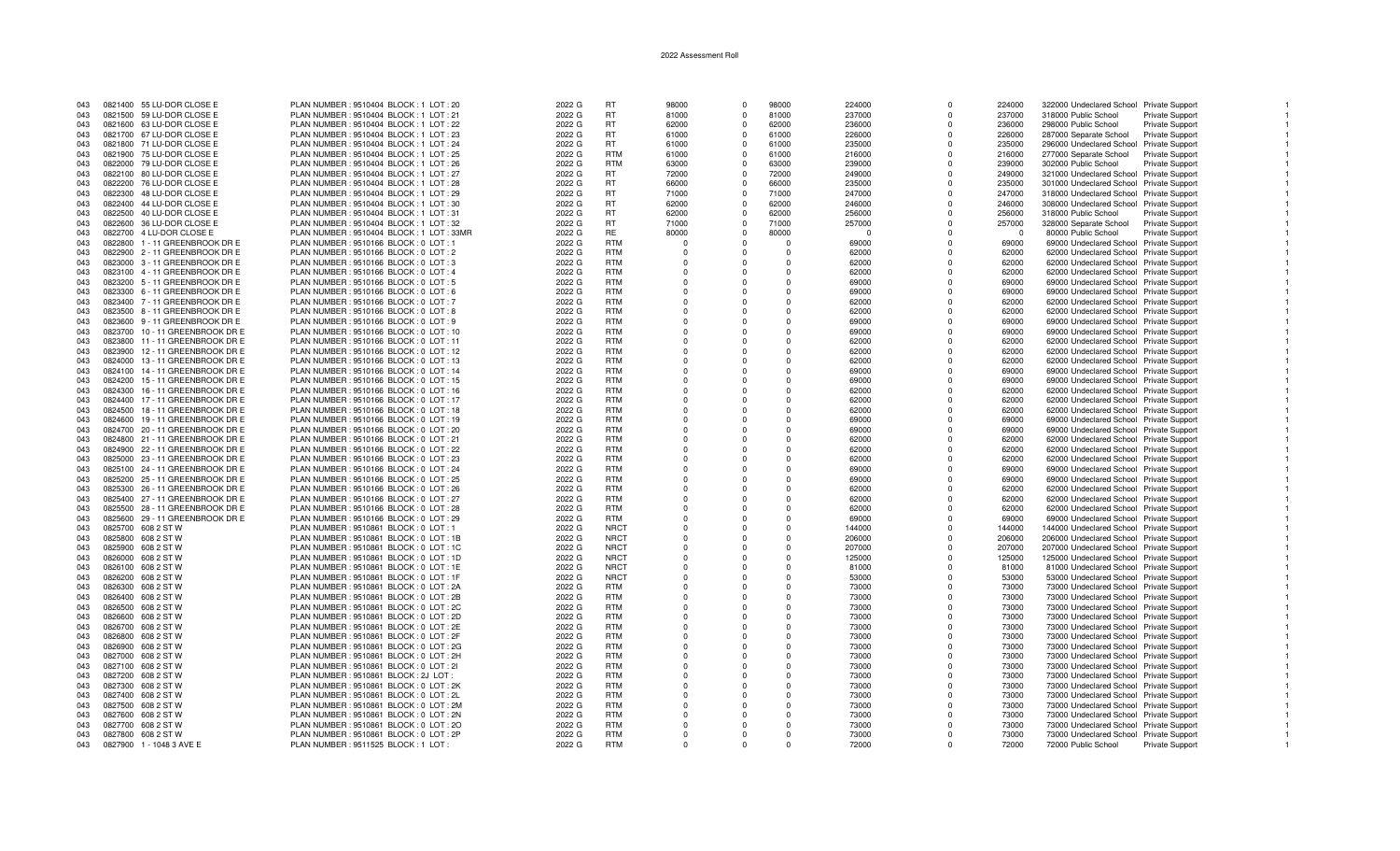| 043 | 0821400 55 LU-DOR CLOSE E       | PLAN NUMBER : 9510404 BLOCK : 1 LOT : 20   | 2022 G | <b>RT</b>   | 98000    | $\Omega$       | 98000    | 224000   | $\Omega$     | 224000   | 322000 Undeclared School Private Support |                        |  |
|-----|---------------------------------|--------------------------------------------|--------|-------------|----------|----------------|----------|----------|--------------|----------|------------------------------------------|------------------------|--|
| 043 | 0821500 59 LU-DOR CLOSE E       | PLAN NUMBER: 9510404 BLOCK: 1 LOT: 21      | 2022 G | <b>RT</b>   | 81000    | $\Omega$       | 81000    | 237000   | $\Omega$     | 237000   | 318000 Public School                     | <b>Private Support</b> |  |
|     |                                 |                                            |        |             |          |                |          |          |              |          |                                          |                        |  |
| 043 | 0821600 63 LU-DOR CLOSE E       | PLAN NUMBER : 9510404 BLOCK : 1 LOT : 22   | 2022 G | <b>RT</b>   | 62000    | $\Omega$       | 62000    | 236000   | $\Omega$     | 236000   | 298000 Public School                     | <b>Private Support</b> |  |
| 043 | 0821700 67 LU-DOR CLOSE E       | PLAN NUMBER : 9510404 BLOCK : 1 LOT : 23   | 2022 G | <b>RT</b>   | 61000    | $\Omega$       | 61000    | 226000   | $\Omega$     | 226000   | 287000 Separate School                   | <b>Private Support</b> |  |
| 043 | 0821800 71 LU-DOR CLOSE E       | PLAN NUMBER: 9510404 BLOCK: 1 LOT: 24      | 2022 G | <b>RT</b>   | 61000    | $\Omega$       | 61000    | 235000   | $\Omega$     | 235000   | 296000 Undeclared School Private Support |                        |  |
| 043 | 0821900 75 LU-DOR CLOSE E       | PLAN NUMBER : 9510404 BLOCK : 1 LOT : 25   | 2022 G | <b>RTM</b>  | 61000    | $\Omega$       | 61000    | 216000   | $\Omega$     | 216000   | 277000 Separate School                   | Private Support        |  |
|     |                                 |                                            |        |             |          |                |          |          |              |          |                                          |                        |  |
| 043 | 0822000 79 LU-DOR CLOSE E       | PLAN NUMBER : 9510404 BLOCK : 1 LOT : 26   | 2022 G | <b>RTM</b>  | 63000    | $\mathbf 0$    | 63000    | 239000   | $\mathbf 0$  | 239000   | 302000 Public School                     | Private Support        |  |
| 043 | 0822100 80 LU-DOR CLOSE E       | PLAN NUMBER : 9510404 BLOCK : 1 LOT : 27   | 2022 G | RT.         | 72000    | $\Omega$       | 72000    | 249000   | $\Omega$     | 249000   | 321000 Undeclared School Private Support |                        |  |
| 043 | 0822200 76 LU-DOR CLOSE E       | PLAN NUMBER : 9510404 BLOCK : 1 LOT : 28   | 2022 G | <b>RT</b>   | 66000    | $\Omega$       | 66000    | 235000   | $\Omega$     | 235000   | 301000 Undeclared School Private Support |                        |  |
| 043 | 0822300 48 LU-DOR CLOSE E       | PLAN NUMBER : 9510404 BLOCK : 1 LOT : 29   | 2022 G | <b>RT</b>   | 71000    | $\Omega$       | 71000    | 247000   | $\Omega$     | 247000   | 318000 Undeclared School Private Support |                        |  |
|     |                                 |                                            |        |             |          |                |          |          |              |          |                                          |                        |  |
| 043 | 0822400 44 LU-DOR CLOSE E       | PLAN NUMBER : 9510404 BLOCK : 1 LOT : 30   | 2022 G | <b>RT</b>   | 62000    | $\mathbf 0$    | 62000    | 246000   | $\Omega$     | 246000   | 308000 Undeclared School Private Support |                        |  |
| 043 | 0822500 40 LU-DOR CLOSE E       | PLAN NUMBER : 9510404 BLOCK : 1 LOT : 31   | 2022 G | <b>RT</b>   | 62000    | $\Omega$       | 62000    | 256000   | $\Omega$     | 256000   | 318000 Public School                     | <b>Private Support</b> |  |
| 043 | 0822600 36 LU-DOR CLOSE E       | PLAN NUMBER : 9510404 BLOCK : 1 LOT : 32   | 2022 G | <b>RT</b>   | 71000    | $\Omega$       | 71000    | 257000   | $\Omega$     | 257000   | 328000 Separate School                   | <b>Private Support</b> |  |
|     |                                 |                                            |        |             |          |                |          |          |              |          |                                          |                        |  |
| 043 | 0822700 4 LU-DOR CLOSE E        | PLAN NUMBER : 9510404 BLOCK : 1 LOT : 33MR | 2022 G | <b>RE</b>   | 80000    | $\Omega$       | 80000    | $\Omega$ | $\Omega$     | $\Omega$ | 80000 Public School                      | Private Support        |  |
| 043 | 0822800 1 - 11 GREENBROOK DR E  | PLAN NUMBER : 9510166 BLOCK : 0 LOT : 1    | 2022 G | <b>RTM</b>  | $\Omega$ | $\Omega$       | $\Omega$ | 69000    | $\Omega$     | 69000    | 69000 Undeclared School Private Support  |                        |  |
| 043 | 0822900 2 - 11 GREENBROOK DR E  | PLAN NUMBER : 9510166 BLOCK : 0 LOT : 2    | 2022 G | <b>RTM</b>  | $\Omega$ | $\Omega$       | $\Omega$ | 62000    | $\Omega$     | 62000    | 62000 Undeclared School Private Support  |                        |  |
| 043 | 0823000 3 - 11 GREENBROOK DR E  | PLAN NUMBER : 9510166 BLOCK : 0 LOT : 3    | 2022 G | <b>RTM</b>  | $\Omega$ | $\Omega$       | $\Omega$ | 62000    | $\Omega$     | 62000    | 62000 Undeclared School Private Support  |                        |  |
|     |                                 |                                            |        |             |          |                |          |          |              |          |                                          |                        |  |
| 043 | 0823100 4 - 11 GREENBROOK DR E  | PLAN NUMBER : 9510166 BLOCK : 0 LOT : 4    | 2022 G | <b>RTM</b>  |          | $\Omega$       | $\Omega$ | 62000    | $\Omega$     | 62000    | 62000 Undeclared School Private Support  |                        |  |
| 043 | 0823200 5 - 11 GREENBROOK DR E  | PLAN NUMBER : 9510166 BLOCK : 0 LOT : 5    | 2022 G | <b>RTM</b>  | $\Omega$ | $\Omega$       | $\cap$   | 69000    | $\Omega$     | 69000    | 69000 Undeclared School Private Support  |                        |  |
| 043 | 0823300 6 - 11 GREENBROOK DR E  | PLAN NUMBER : 9510166 BLOCK : 0 LOT : 6    | 2022 G | <b>RTM</b>  | $\Omega$ | $\Omega$       | $\Omega$ | 69000    | $\Omega$     | 69000    | 69000 Undeclared School Private Support  |                        |  |
|     |                                 |                                            |        |             |          |                | $\Omega$ |          |              |          |                                          |                        |  |
| 043 | 0823400 7 - 11 GREENBROOK DR E  | PLAN NUMBER : 9510166 BLOCK : 0 LOT : 7    | 2022 G | <b>RTM</b>  | $\Omega$ | $\Omega$       |          | 62000    | $\Omega$     | 62000    | 62000 Undeclared School Private Support  |                        |  |
| 043 | 0823500 8 - 11 GREENBROOK DR E  | PLAN NUMBER : 9510166 BLOCK : 0 LOT : 8    | 2022 G | <b>RTM</b>  | $\Omega$ | $\Omega$       | $\Omega$ | 62000    | $\Omega$     | 62000    | 62000 Undeclared School Private Support  |                        |  |
| 043 | 0823600 9 - 11 GREENBROOK DR E  | PLAN NUMBER : 9510166 BLOCK : 0 LOT : 9    | 2022 G | <b>RTM</b>  | $\Omega$ | $\Omega$       | $\Omega$ | 69000    | $\Omega$     | 69000    | 69000 Undeclared School Private Support  |                        |  |
| 043 | 0823700 10 - 11 GREENBROOK DR E | PLAN NUMBER : 9510166 BLOCK : 0 LOT : 10   | 2022 G | <b>RTM</b>  | $\Omega$ | $\Omega$       | $\Omega$ | 69000    | $\Omega$     | 69000    | 69000 Undeclared School Private Support  |                        |  |
|     |                                 |                                            |        |             |          |                |          |          |              |          |                                          |                        |  |
| 043 | 0823800 11 - 11 GREENBROOK DR E | PLAN NUMBER : 9510166 BLOCK : 0 LOT : 11   | 2022 G | <b>RTM</b>  | $\Omega$ | $\Omega$       | $\Omega$ | 62000    | $\Omega$     | 62000    | 62000 Undeclared School Private Support  |                        |  |
| 043 | 0823900 12 - 11 GREENBROOK DR E | PLAN NUMBER : 9510166 BLOCK : 0 LOT : 12   | 2022 G | <b>RTM</b>  | $\Omega$ | $\Omega$       | $\Omega$ | 62000    | $\Omega$     | 62000    | 62000 Undeclared School Private Support  |                        |  |
| 043 | 0824000 13 - 11 GREENBROOK DR E | PLAN NUMBER : 9510166 BLOCK : 0 LOT : 13   | 2022 G | <b>RTM</b>  | $\Omega$ | $\Omega$       | $\Omega$ | 62000    | $\Omega$     | 62000    | 62000 Undeclared School Private Support  |                        |  |
| 043 | 0824100 14 - 11 GREENBROOK DR E | PLAN NUMBER : 9510166 BLOCK : 0 LOT : 14   | 2022 G | <b>RTM</b>  | $\Omega$ | $\Omega$       | $\Omega$ | 69000    | $\Omega$     | 69000    |                                          |                        |  |
|     |                                 |                                            |        |             |          |                |          |          |              |          | 69000 Undeclared School Private Support  |                        |  |
| 043 | 0824200 15 - 11 GREENBROOK DR E | PLAN NUMBER : 9510166 BLOCK : 0 LOT : 15   | 2022 G | <b>RTM</b>  | $\Omega$ | $\Omega$       | $\Omega$ | 69000    | $\Omega$     | 69000    | 69000 Undeclared School Private Support  |                        |  |
| 043 | 0824300 16 - 11 GREENBROOK DR E | PLAN NUMBER : 9510166 BLOCK : 0 LOT : 16   | 2022 G | <b>RTM</b>  | $\Omega$ | $\Omega$       | $\Omega$ | 62000    | $\Omega$     | 62000    | 62000 Undeclared School Private Support  |                        |  |
| 043 | 0824400 17 - 11 GREENBROOK DR E | PLAN NUMBER : 9510166 BLOCK : 0 LOT : 17   | 2022 G | <b>RTM</b>  | $\Omega$ | $\Omega$       | $\Omega$ | 62000    | $\Omega$     | 62000    | 62000 Undeclared School Private Support  |                        |  |
|     |                                 |                                            |        |             |          |                |          |          |              |          |                                          |                        |  |
| 043 | 0824500 18 - 11 GREENBROOK DR E | PLAN NUMBER : 9510166 BLOCK : 0 LOT : 18   | 2022 G | <b>RTM</b>  | $\Omega$ | $\Omega$       | $\Omega$ | 62000    | $\Omega$     | 62000    | 62000 Undeclared School Private Support  |                        |  |
| 043 | 0824600 19 - 11 GREENBROOK DR E | PLAN NUMBER : 9510166 BLOCK : 0 LOT : 19   | 2022 G | <b>RTM</b>  | $\Omega$ | $\Omega$       | $\Omega$ | 69000    | <sup>0</sup> | 69000    | 69000 Undeclared School Private Support  |                        |  |
| 043 | 0824700 20 - 11 GREENBROOK DR E | PLAN NUMBER : 9510166 BLOCK : 0 LOT : 20   | 2022 G | <b>RTM</b>  | $\Omega$ | $\Omega$       | $\Omega$ | 69000    | $\Omega$     | 69000    | 69000 Undeclared School Private Support  |                        |  |
| 043 | 0824800 21 - 11 GREENBROOK DR E | PLAN NUMBER : 9510166 BLOCK : 0 LOT : 21   | 2022 G | <b>RTM</b>  | $\Omega$ | $\Omega$       | $\Omega$ | 62000    | $\Omega$     | 62000    | 62000 Undeclared School Private Support  |                        |  |
|     |                                 |                                            |        |             |          |                |          |          |              |          |                                          |                        |  |
| 043 | 0824900 22 - 11 GREENBROOK DR E | PLAN NUMBER : 9510166 BLOCK : 0 LOT : 22   | 2022 G | <b>RTM</b>  | $\Omega$ | $\Omega$       | $\Omega$ | 62000    | $\Omega$     | 62000    | 62000 Undeclared School Private Support  |                        |  |
| 043 | 0825000 23 - 11 GREENBROOK DR E | PLAN NUMBER : 9510166 BLOCK : 0 LOT : 23   | 2022 G | <b>RTM</b>  | $\Omega$ |                | $\Omega$ | 62000    | $\Omega$     | 62000    | 62000 Undeclared School Private Support  |                        |  |
| 043 | 0825100 24 - 11 GREENBROOK DR E | PLAN NUMBER : 9510166 BLOCK : 0 LOT : 24   | 2022 G | <b>RTM</b>  | $\Omega$ | $\overline{0}$ | $\Omega$ | 69000    | $\Omega$     | 69000    | 69000 Undeclared School Private Support  |                        |  |
|     |                                 |                                            |        | <b>RTM</b>  |          |                |          |          |              |          |                                          |                        |  |
| 043 | 0825200 25 - 11 GREENBROOK DR E | PLAN NUMBER : 9510166 BLOCK : 0 LOT : 25   | 2022 G |             | $\Omega$ | $\Omega$       | $\Omega$ | 69000    | $\Omega$     | 69000    | 69000 Undeclared School Private Support  |                        |  |
| 043 | 0825300 26 - 11 GREENBROOK DR E | PLAN NUMBER : 9510166 BLOCK : 0 LOT : 26   | 2022 G | <b>RTM</b>  | $\Omega$ | $\Omega$       | $\Omega$ | 62000    | $\Omega$     | 62000    | 62000 Undeclared School Private Support  |                        |  |
| 043 | 0825400 27 - 11 GREENBROOK DR E | PLAN NUMBER : 9510166 BLOCK : 0 LOT : 27   | 2022 G | <b>RTM</b>  |          |                |          | 62000    |              | 62000    | 62000 Undeclared School Private Support  |                        |  |
| 043 | 0825500 28 - 11 GREENBROOK DR E | PLAN NUMBER : 9510166 BLOCK : 0 LOT : 28   | 2022 G | <b>RTM</b>  | $\Omega$ | $\Omega$       | $\Omega$ | 62000    | $\Omega$     | 62000    | 62000 Undeclared School Private Support  |                        |  |
|     |                                 |                                            |        |             |          |                |          |          |              |          |                                          |                        |  |
| 043 | 0825600 29 - 11 GREENBROOK DR E | PLAN NUMBER : 9510166 BLOCK : 0 LOT : 29   | 2022 G | <b>RTM</b>  | $\Omega$ |                |          | 69000    | $\Omega$     | 69000    | 69000 Undeclared School Private Support  |                        |  |
| 043 | 0825700 608 2 ST W              | PLAN NUMBER : 9510861 BLOCK : 0 LOT : 1    | 2022 G | <b>NRCT</b> | $\Omega$ | $\Omega$       | $\Omega$ | 144000   | $\Omega$     | 144000   | 144000 Undeclared School Private Support |                        |  |
| 043 | 0825800 608 2 ST W              | PLAN NUMBER: 9510861 BLOCK: 0 LOT: 1B      | 2022 G | <b>NRCT</b> | $\Omega$ | $\Omega$       | $\Omega$ | 206000   | $\Omega$     | 206000   | 206000 Undeclared School Private Support |                        |  |
| 043 | 0825900 608 2 ST W              | PLAN NUMBER : 9510861 BLOCK : 0 LOT : 1C   | 2022 G | <b>NRCT</b> | $\Omega$ | $\Omega$       | $\Omega$ | 207000   | $\Omega$     | 207000   | 207000 Undeclared School Private Support |                        |  |
|     |                                 |                                            |        |             |          |                |          |          |              |          |                                          |                        |  |
| 043 | 0826000 608 2 ST W              | PLAN NUMBER : 9510861 BLOCK : 0 LOT : 1D   | 2022 G | <b>NRCT</b> | $\Omega$ | $\Omega$       | $\Omega$ | 125000   | $\Omega$     | 125000   | 125000 Undeclared School Private Support |                        |  |
| 043 | 0826100 608 2 ST W              | PLAN NUMBER : 9510861 BLOCK : 0 LOT : 1E   | 2022 G | <b>NRCT</b> | $\Omega$ | $\Omega$       | $\Omega$ | 81000    | $\Omega$     | 81000    | 81000 Undeclared School Private Support  |                        |  |
| 043 | 0826200 608 2 ST W              | PLAN NUMBER : 9510861 BLOCK : 0 LOT : 1F   | 2022 G | <b>NRCT</b> | $\Omega$ | $\Omega$       | $\Omega$ | 53000    | $\Omega$     | 53000    | 53000 Undeclared School Private Support  |                        |  |
|     |                                 |                                            |        |             |          |                |          |          |              |          |                                          |                        |  |
| 043 | 0826300 608 2 ST W              | PLAN NUMBER : 9510861 BLOCK : 0 LOT : 2A   | 2022 G | <b>RTM</b>  | $\Omega$ | $\Omega$       | $\Omega$ | 73000    | $\Omega$     | 73000    | 73000 Undeclared School Private Support  |                        |  |
| 043 | 0826400 608 2 ST W              | PLAN NUMBER : 9510861 BLOCK : 0 LOT : 2B   | 2022 G | <b>RTM</b>  | $\Omega$ |                | $\Omega$ | 73000    | $\Omega$     | 73000    | 73000 Undeclared School Private Support  |                        |  |
| 043 | 0826500 608 2 ST W              | PLAN NUMBER : 9510861 BLOCK : 0 LOT : 2C   | 2022 G | <b>RTM</b>  | $\Omega$ | $\Omega$       | $\Omega$ | 73000    | $\Omega$     | 73000    | 73000 Undeclared School Private Support  |                        |  |
| 043 | 0826600 608 2 ST W              | PLAN NUMBER : 9510861 BLOCK : 0 LOT : 2D   | 2022 G | <b>RTM</b>  | $\Omega$ | $\Omega$       |          | 73000    | $\Omega$     | 73000    |                                          |                        |  |
|     |                                 |                                            |        |             |          |                |          |          |              |          | 73000 Undeclared School Private Support  |                        |  |
| 043 | 0826700 608 2 ST W              | PLAN NUMBER : 9510861 BLOCK : 0 LOT : 2E   | 2022 G | <b>RTM</b>  | $\Omega$ | $\Omega$       | $\Omega$ | 73000    | $\Omega$     | 73000    | 73000 Undeclared School Private Support  |                        |  |
| 043 | 0826800<br>608 2 ST W           | PLAN NUMBER : 9510861 BLOCK : 0 LOT : 2F   | 2022 G | <b>RTM</b>  | $\Omega$ | $\Omega$       | $\Omega$ | 73000    | $\Omega$     | 73000    | 73000 Undeclared School Private Support  |                        |  |
| 043 | 0826900 608 2 ST W              | PLAN NUMBER : 9510861 BLOCK : 0 LOT : 2G   | 2022 G | <b>RTM</b>  | $\Omega$ | $\Omega$       | $\Omega$ | 73000    | $\Omega$     | 73000    | 73000 Undeclared School Private Support  |                        |  |
|     |                                 |                                            |        |             |          |                |          |          |              |          |                                          |                        |  |
| 043 | 0827000 608 2 ST W              | PLAN NUMBER : 9510861 BLOCK : 0 LOT : 2H   | 2022 G | <b>RTM</b>  | $\Omega$ | $\Omega$       | $\Omega$ | 73000    | $\Omega$     | 73000    | 73000 Undeclared School Private Support  |                        |  |
| 043 | 0827100 608 2 ST W              | PLAN NUMBER : 9510861 BLOCK : 0 LOT : 21   | 2022 G | <b>RTM</b>  | $\Omega$ | $\Omega$       | $\Omega$ | 73000    | $\Omega$     | 73000    | 73000 Undeclared School Private Support  |                        |  |
| 043 | 0827200 608 2 ST W              | PLAN NUMBER : 9510861 BLOCK : 2J LOT :     | 2022 G | <b>RTM</b>  | $\Omega$ |                |          | 73000    | $\Omega$     | 73000    | 73000 Undeclared School Private Support  |                        |  |
| 043 | 0827300 608 2 ST W              | PLAN NUMBER : 9510861 BLOCK : 0 LOT : 2K   | 2022 G | <b>RTM</b>  | $\Omega$ | $\Omega$       | $\Omega$ | 73000    | $\Omega$     | 73000    | 73000 Undeclared School Private Support  |                        |  |
|     |                                 |                                            |        |             |          |                |          |          |              |          |                                          |                        |  |
| 043 | 0827400 608 2 ST W              | PLAN NUMBER : 9510861 BLOCK : 0 LOT : 2L   | 2022 G | <b>RTM</b>  | $\Omega$ | $\Omega$       | $\Omega$ | 73000    | $\Omega$     | 73000    | 73000 Undeclared School Private Support  |                        |  |
| 043 | 0827500 608 2 ST W              | PLAN NUMBER : 9510861 BLOCK : 0 LOT : 2M   | 2022 G | <b>RTM</b>  | $\Omega$ | $\Omega$       | $\Omega$ | 73000    | $\Omega$     | 73000    | 73000 Undeclared School Private Support  |                        |  |
| 043 | 0827600 608 2 ST W              | PLAN NUMBER : 9510861 BLOCK : 0 LOT : 2N   | 2022 G | <b>RTM</b>  | $\Omega$ | $\Omega$       | $\Omega$ | 73000    | $\Omega$     | 73000    | 73000 Undeclared School Private Support  |                        |  |
| 043 | 0827700 608 2 ST W              | PLAN NUMBER : 9510861 BLOCK : 0 LOT : 20   | 2022 G | <b>RTM</b>  | $\Omega$ | $\Omega$       | $\Omega$ | 73000    | $\Omega$     | 73000    | 73000 Undeclared School Private Support  |                        |  |
|     |                                 |                                            |        |             |          |                |          |          |              |          |                                          |                        |  |
| 043 | 0827800 608 2 ST W              | PLAN NUMBER : 9510861 BLOCK : 0 LOT : 2P   | 2022 G | <b>RTM</b>  | $\Omega$ | $\Omega$       | $\Omega$ | 73000    | $\Omega$     | 73000    | 73000 Undeclared School Private Support  |                        |  |
| 043 | 0827900 1 - 1048 3 AVE E        | PLAN NUMBER: 9511525 BLOCK: 1 LOT:         | 2022 G | <b>RTM</b>  | $\Omega$ |                |          | 72000    | $\Omega$     | 72000    | 72000 Public School                      | <b>Private Support</b> |  |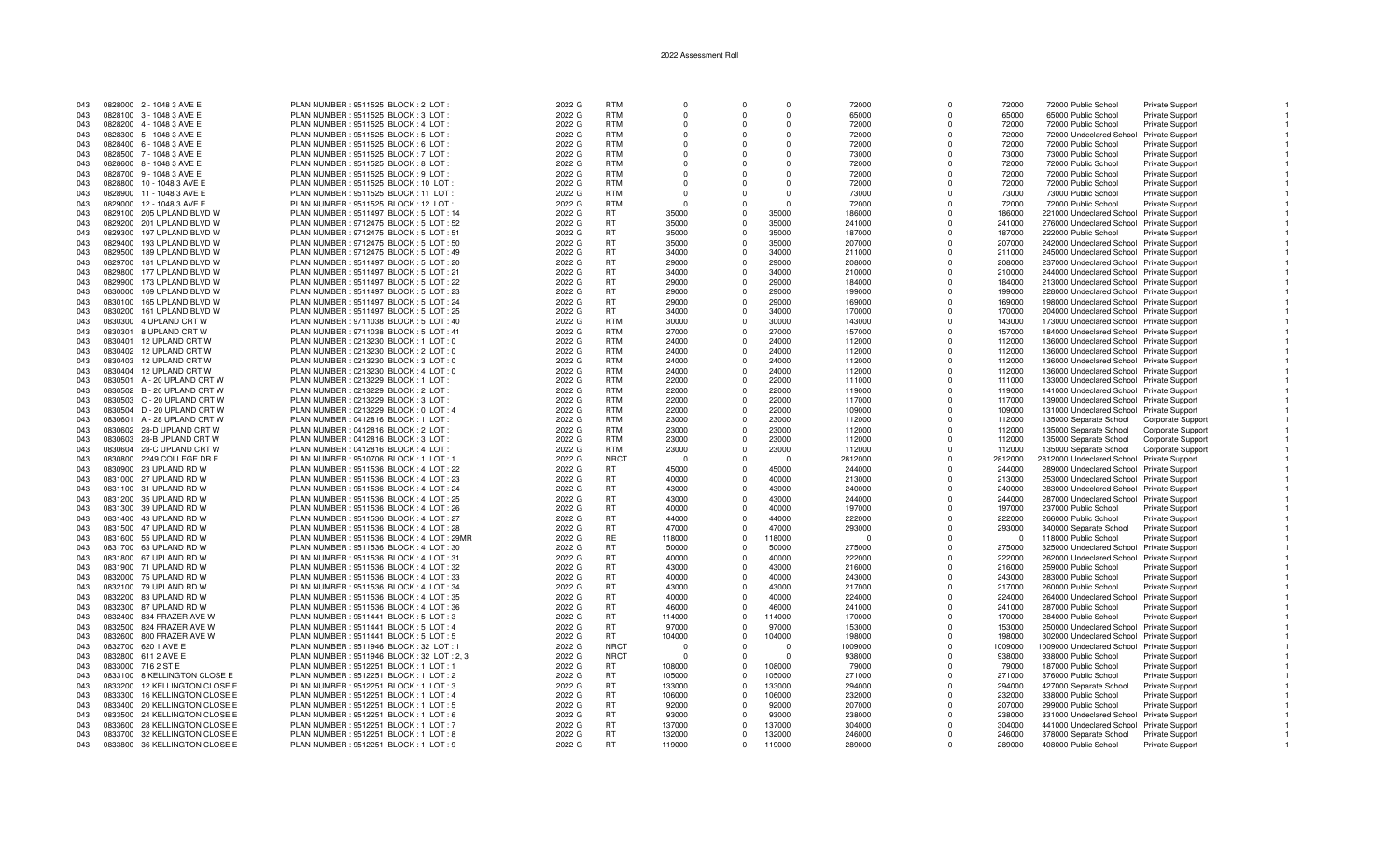| 043        | 0828000 2 - 1048 3 AVE E                                       | PLAN NUMBER : 9511525 BLOCK : 2 LOT :                                        | 2022 G           | <b>RTM</b>             | $\Omega$         |                      | $\Omega$         | 72000            | $\Omega$     | 72000            | 72000 Public School                            | Private Support                           |  |
|------------|----------------------------------------------------------------|------------------------------------------------------------------------------|------------------|------------------------|------------------|----------------------|------------------|------------------|--------------|------------------|------------------------------------------------|-------------------------------------------|--|
| 043        | 0828100 3 - 1048 3 AVE E                                       | PLAN NUMBER: 9511525 BLOCK: 3 LOT                                            | 2022 G           | <b>RTM</b>             | $\Omega$         |                      | $\Omega$         | 65000            | O            | 65000            | 65000 Public School                            | <b>Private Support</b>                    |  |
|            |                                                                |                                                                              |                  |                        |                  |                      |                  |                  |              |                  |                                                |                                           |  |
| 043        | 0828200 4 - 1048 3 AVE E                                       | PLAN NUMBER : 9511525 BLOCK : 4 LOT :                                        | 2022 G           | <b>RTM</b>             | $\Omega$         | $\Omega$             | $\Omega$         | 72000            | O            | 72000            | 72000 Public School                            | Private Support                           |  |
| 043        | 0828300 5 - 1048 3 AVE E                                       | PLAN NUMBER : 9511525 BLOCK : 5 LOT :                                        | 2022 G           | <b>RTM</b>             | $\Omega$         |                      | $\Omega$         | 72000            | 0            | 72000            | 72000 Undeclared School Private Support        |                                           |  |
| 043        | 0828400 6 - 1048 3 AVE E                                       | PLAN NUMBER : 9511525 BLOCK : 6 LOT                                          | 2022 G           | <b>RTM</b>             | $\Omega$         | $\Omega$             | $\Omega$         | 72000            | $\Omega$     | 72000            | 72000 Public School                            | Private Support                           |  |
|            |                                                                |                                                                              |                  |                        |                  |                      |                  |                  |              |                  |                                                |                                           |  |
| 043        | 0828500 7 - 1048 3 AVE E                                       | PLAN NUMBER: 9511525 BLOCK: 7 LOT                                            | 2022 G           | <b>RTM</b>             |                  |                      |                  | 73000            | $\Omega$     | 73000            | 73000 Public School                            | Private Support                           |  |
| 043        | 0828600 8 - 1048 3 AVE E                                       | PLAN NUMBER : 9511525 BLOCK : 8 LOT :                                        | 2022 G           | <b>RTM</b>             | $\Omega$         | $\Omega$             | $\Omega$         | 72000            | $\Omega$     | 72000            | 72000 Public School                            | <b>Private Support</b>                    |  |
| 043        | 0828700 9 - 1048 3 AVE E                                       | PLAN NUMBER : 9511525 BLOCK : 9 LOT                                          | 2022 G           | <b>RTM</b>             | $\Omega$         | $\Omega$             | $\Omega$         | 72000            | $\Omega$     | 72000            | 72000 Public School                            | <b>Private Support</b>                    |  |
|            |                                                                |                                                                              |                  |                        |                  |                      |                  |                  |              |                  |                                                |                                           |  |
| 043        | 0828800 10 - 1048 3 AVE E                                      | PLAN NUMBER : 9511525 BLOCK : 10 LOT                                         | 2022 G           | <b>RTM</b>             | $\Omega$         |                      | $\Omega$         | 72000            | $\Omega$     | 72000            | 72000 Public School                            | <b>Private Support</b>                    |  |
| 043        | 0828900 11 - 1048 3 AVE E                                      | PLAN NUMBER: 9511525 BLOCK: 11 LOT                                           | 2022 G           | <b>RTM</b>             | - 0              |                      | $\Omega$         | 73000            | O            | 73000            | 73000 Public School                            | Private Support                           |  |
| 043        | 0829000 12 - 1048 3 AVE E                                      | PLAN NUMBER: 9511525 BLOCK: 12 LOT:                                          | 2022 G           | <b>RTM</b>             | $\Omega$         |                      | $\Omega$         | 72000            | $\Omega$     | 72000            | 72000 Public School                            | Private Support                           |  |
|            |                                                                |                                                                              |                  |                        |                  |                      |                  |                  |              |                  |                                                |                                           |  |
| 043        | 0829100 205 UPLAND BLVD W                                      | PLAN NUMBER : 9511497 BLOCK : 5 LOT : 14                                     | 2022 G           | RT                     | 35000            | $\Omega$             | 35000            | 186000           | $\Omega$     | 186000           | 221000 Undeclared School Private Support       |                                           |  |
| 043        | 0829200 201 UPLAND BLVD W                                      | PLAN NUMBER : 9712475 BLOCK : 5 LOT : 52                                     | 2022 G           | <b>RT</b>              | 35000            | $\Omega$             | 35000            | 241000           | $\Omega$     | 241000           | 276000 Undeclared School Private Support       |                                           |  |
| 043        | 197 UPLAND BLVD W<br>0829300                                   | PLAN NUMBER : 9712475 BLOCK : 5 LOT : 51                                     | 2022 G           | <b>RT</b>              | 35000            | $\Omega$             | 35000            | 187000           | $\Omega$     | 187000           | 222000 Public School                           | Private Support                           |  |
|            |                                                                |                                                                              |                  |                        |                  |                      |                  |                  |              |                  |                                                |                                           |  |
| 043        | 0829400<br>193 UPLAND BLVD W                                   | PLAN NUMBER : 9712475 BLOCK : 5 LOT : 50                                     | 2022 G           | <b>RT</b>              | 35000            | $\Omega$             | 35000            | 207000           | $\Omega$     | 207000           | 242000 Undeclared School Private Support       |                                           |  |
| 043        | 189 UPLAND BLVD W<br>0829500                                   | PLAN NUMBER: 9712475 BLOCK: 5 LOT: 49                                        | 2022 G           | <b>RT</b>              | 34000            | $\Omega$             | 34000            | 211000           | $\Omega$     | 211000           | 245000 Undeclared School Private Support       |                                           |  |
| 043        | 0829700<br>181 UPLAND BLVD W                                   | PLAN NUMBER : 9511497 BLOCK : 5 LOT : 20                                     | 2022 G           | <b>RT</b>              | 29000            | $\Omega$             | 29000            | 208000           | $\Omega$     | 208000           | 237000 Undeclared School Private Support       |                                           |  |
|            |                                                                |                                                                              |                  |                        |                  |                      |                  |                  |              |                  |                                                |                                           |  |
| 043        | 0829800<br>177 UPLAND BLVD W                                   | PLAN NUMBER: 9511497 BLOCK: 5 LOT: 21                                        | 2022 G           | RT                     | 34000            | $\Omega$             | 34000            | 210000           | $\Omega$     | 210000           | 244000 Undeclared School Private Support       |                                           |  |
| 043        | 0829900 173 UPLAND BLVD W                                      | PLAN NUMBER: 9511497 BLOCK: 5 LOT: 22                                        | 2022 G           | <b>RT</b>              | 29000            | $\Omega$             | 29000            | 184000           | $\Omega$     | 184000           | 213000 Undeclared School Private Support       |                                           |  |
| 043        | 169 UPLAND BLVD W<br>0830000                                   | PLAN NUMBER: 9511497 BLOCK: 5 LOT: 23                                        | 2022 G           | <b>RT</b>              | 29000            | $\Omega$             | 29000            | 199000           | $\Omega$     | 199000           | 228000 Undeclared School Private Support       |                                           |  |
|            |                                                                |                                                                              |                  |                        |                  |                      |                  |                  |              |                  |                                                |                                           |  |
| 043        | 0830100 165 UPLAND BLVD W                                      | PLAN NUMBER : 9511497 BLOCK : 5 LOT : 24                                     | 2022 G           | <b>RT</b>              | 29000            | $\Omega$             | 29000            | 169000           | $\Omega$     | 169000           | 198000 Undeclared School Private Support       |                                           |  |
| 043        | 0830200<br>161 UPLAND BLVD W                                   | PLAN NUMBER : 9511497 BLOCK : 5 LOT : 25                                     | 2022 G           | RT.                    | 34000            | $\Omega$             | 34000            | 170000           | $\Omega$     | 170000           | 204000 Undeclared School Private Support       |                                           |  |
| 043        | 0830300<br>4 UPLAND CRT W                                      | PLAN NUMBER: 9711038 BLOCK: 5 LOT: 40                                        | 2022 G           | <b>RTM</b>             | 30000            | $\Omega$             | 30000            | 143000           | $\Omega$     | 143000           | 173000 Undeclared School Private Support       |                                           |  |
|            |                                                                |                                                                              |                  |                        |                  |                      |                  |                  |              |                  |                                                |                                           |  |
| 043        | 0830301<br>8 UPLAND CRT W                                      | PLAN NUMBER: 9711038 BLOCK: 5 LOT: 41                                        | 2022 G           | <b>RTM</b>             | 27000            | $\Omega$             | 27000            | 157000           | $\Omega$     | 157000           | 184000 Undeclared School Private Support       |                                           |  |
| 043        | 0830401<br>12 UPLAND CRT W                                     | PLAN NUMBER : 0213230 BLOCK : 1 LOT : 0                                      | 2022 G           | <b>RTM</b>             | 24000            | $\Omega$             | 24000            | 112000           | $\Omega$     | 112000           | 136000 Undeclared School Private Support       |                                           |  |
| 043        | 0830402 12 UPLAND CRT W                                        | PLAN NUMBER : 0213230 BLOCK : 2 LOT : 0                                      | 2022 G           | <b>RTM</b>             | 24000            | $\Omega$             | 24000            | 112000           | $\Omega$     | 112000           | 136000 Undeclared School Private Support       |                                           |  |
|            |                                                                |                                                                              |                  |                        |                  |                      |                  |                  |              |                  |                                                |                                           |  |
| 043        | 0830403 12 UPLAND CRT W                                        | PLAN NUMBER : 0213230 BLOCK : 3 LOT : 0                                      | 2022 G           | <b>RTM</b>             | 24000            | $\Omega$             | 24000            | 112000           | $\Omega$     | 112000           | 136000 Undeclared School Private Support       |                                           |  |
| 043        | 0830404 12 UPLAND CRT W                                        | PLAN NUMBER : 0213230 BLOCK : 4 LOT : 0                                      | 2022 G           | <b>RTM</b>             | 24000            | $\Omega$             | 24000            | 112000           | $\Omega$     | 112000           | 136000 Undeclared School Private Support       |                                           |  |
| 043        | 0830501 A - 20 UPLAND CRT W                                    | PLAN NUMBER : 0213229 BLOCK : 1 LOT :                                        | 2022 G           | <b>RTM</b>             | 22000            | $\Omega$             | 22000            | 111000           | $\Omega$     | 111000           | 133000 Undeclared School Private Support       |                                           |  |
|            |                                                                |                                                                              |                  |                        |                  |                      |                  |                  |              |                  |                                                |                                           |  |
| 043        | 0830502 B - 20 UPLAND CRT W                                    | PLAN NUMBER : 0213229 BLOCK : 2 LOT :                                        | 2022 G           | <b>RTM</b>             | 22000            | $\Omega$             | 22000            | 119000           | $\Omega$     | 119000           | 141000 Undeclared School Private Support       |                                           |  |
| 043        | 0830503 C - 20 UPLAND CRT W                                    | PLAN NUMBER : 0213229 BLOCK : 3 LOT :                                        | 2022 G           | <b>RTM</b>             | 22000            | $\Omega$             | 22000            | 117000           | $\Omega$     | 117000           | 139000 Undeclared School Private Support       |                                           |  |
| 043        | 0830504 D - 20 UPLAND CRT W                                    | PLAN NUMBER : 0213229 BLOCK : 0 LOT : 4                                      | 2022 G           | <b>RTM</b>             | 22000            | $\Omega$             | 22000            | 109000           | $\Omega$     | 109000           | 131000 Undeclared School Private Support       |                                           |  |
|            |                                                                |                                                                              |                  |                        |                  |                      |                  |                  |              |                  |                                                |                                           |  |
| 043        | 0830601 A - 28 UPLAND CRT W                                    | PLAN NUMBER : 0412816 BLOCK : 1 LOT :                                        | 2022 G           | <b>RTM</b>             | 23000            | $\Omega$             | 23000            | 112000           | <sup>n</sup> | 112000           | 135000 Separate School                         | Corporate Support                         |  |
| 043        | 0830602 28-D UPLAND CRT W                                      | PLAN NUMBER : 0412816 BLOCK : 2 LOT                                          | 2022 G           | <b>RTM</b>             | 23000            | $\Omega$             | 23000            | 112000           | $\Omega$     | 112000           | 135000 Separate School                         | Corporate Support                         |  |
| 043        | 0830603 28-B UPLAND CRT W                                      | PLAN NUMBER : 0412816 BLOCK : 3 LOT :                                        | 2022 G           | <b>RTM</b>             | 23000            | $\Omega$             | 23000            | 112000           | $\Omega$     | 112000           | 135000 Separate School                         | Corporate Support                         |  |
|            |                                                                |                                                                              |                  |                        |                  | $\Omega$             |                  |                  | $\Omega$     |                  |                                                |                                           |  |
| 043        | 0830604 28-C UPLAND CRT W                                      | PLAN NUMBER : 0412816 BLOCK : 4 LOT :                                        | 2022 G           | <b>RTM</b>             | 23000            |                      | 23000            | 112000           |              | 112000           | 135000 Separate School                         | Corporate Support                         |  |
| 043        | 0830800 2249 COLLEGE DR E                                      | PLAN NUMBER : 9510706 BLOCK : 1 LOT : 1                                      | 2022 G           | <b>NRCT</b>            | - 0              | $\Omega$             | $\Omega$         | 2812000          | $\Omega$     | 2812000          | 2812000 Undeclared School Private Support      |                                           |  |
| 043        | 0830900 23 UPLAND RD W                                         | PLAN NUMBER: 9511536 BLOCK: 4 LOT: 22                                        | 2022 G           | RT.                    | 45000            | $\Omega$             | 45000            | 244000           | $\Omega$     | 244000           | 289000 Undeclared School Private Support       |                                           |  |
|            |                                                                |                                                                              |                  |                        |                  |                      |                  |                  |              |                  |                                                |                                           |  |
| 043        | 0831000 27 UPLAND RD W                                         | PLAN NUMBER: 9511536 BLOCK: 4 LOT: 23                                        | 2022 G           | <b>RT</b>              | 40000            | $\Omega$             | 40000            | 213000           | $\Omega$     | 213000           | 253000 Undeclared School Private Support       |                                           |  |
| 043        | 0831100 31 UPLAND RD W                                         | PLAN NUMBER: 9511536 BLOCK: 4 LOT: 24                                        | 2022 G           | <b>RT</b>              | 43000            | $\Omega$             | 43000            | 240000           | $\Omega$     | 240000           | 283000 Undeclared School Private Support       |                                           |  |
| 043        | 0831200 35 UPLAND RD W                                         | PLAN NUMBER: 9511536 BLOCK: 4 LOT: 25                                        | 2022 G           | <b>RT</b>              | 43000            | $\Omega$             | 43000            | 244000           | $\Omega$     | 244000           | 287000 Undeclared School Private Support       |                                           |  |
| 043        | 0831300 39 UPLAND RD W                                         |                                                                              |                  | <b>RT</b>              | 40000            | $\Omega$             | 40000            |                  | O            | 197000           |                                                |                                           |  |
|            |                                                                | PLAN NUMBER : 9511536 BLOCK : 4 LOT : 26                                     | 2022 G           |                        |                  |                      |                  | 197000           |              |                  | 237000 Public School                           | Private Support                           |  |
| 043        | 0831400 43 UPLAND RD W                                         | PLAN NUMBER : 9511536 BLOCK : 4 LOT : 27                                     | 2022 G           | <b>RT</b>              | 44000            | $\Omega$             | 44000            | 222000           | $\Omega$     | 222000           | 266000 Public School                           | <b>Private Support</b>                    |  |
| 043        | 0831500 47 UPLAND RD W                                         | PLAN NUMBER: 9511536 BLOCK: 4 LOT: 28                                        | 2022 G           | <b>RT</b>              | 47000            | $\Omega$             | 47000            | 293000           | $\Omega$     | 293000           | 340000 Separate School                         | Private Support                           |  |
| 043        | 0831600 55 UPLAND RD W                                         | PLAN NUMBER: 9511536 BLOCK: 4 LOT: 29MF                                      | 2022 G           | <b>RE</b>              | 118000           | $\Omega$             | 118000           | $\Omega$         | $\Omega$     | $\Omega$         | 118000 Public School                           | Private Support                           |  |
|            |                                                                |                                                                              |                  |                        |                  |                      |                  |                  |              |                  |                                                |                                           |  |
| 043        | 0831700 63 UPLAND RD W                                         | PLAN NUMBER: 9511536 BLOCK: 4 LOT: 30                                        | 2022 G           | <b>RT</b>              | 50000            | $\Omega$             | 50000            | 275000           | $\Omega$     | 275000           | 325000 Undeclared School Private Support       |                                           |  |
| 043        | 0831800 67 UPLAND RD W                                         | PLAN NUMBER: 9511536 BLOCK: 4 LOT: 31                                        | 2022 G           | RT                     | 40000            | $\Omega$             | 40000            | 222000           | $\Omega$     | 222000           | 262000 Undeclared School Private Support       |                                           |  |
| 043        | 0831900 71 UPLAND RD W                                         | PLAN NUMBER: 9511536 BLOCK: 4 LOT: 32                                        | 2022 G           | <b>RT</b>              | 43000            | $\Omega$             | 43000            | 216000           | $\Omega$     | 216000           | 259000 Public School                           | <b>Private Support</b>                    |  |
|            |                                                                |                                                                              |                  |                        |                  |                      |                  |                  |              |                  |                                                |                                           |  |
| 043        | 0832000 75 UPLAND RD W                                         | PLAN NUMBER : 9511536 BLOCK : 4 LOT : 33                                     | 2022 G           | <b>RT</b>              | 40000            | $\Omega$             | 40000            | 243000           |              | 243000           | 283000 Public School                           | <b>Private Support</b>                    |  |
| 043        | 0832100 79 UPLAND RD W                                         | PLAN NUMBER: 9511536 BLOCK: 4 LOT: 34                                        | 2022 G           | RT                     | 43000            | $\Omega$             | 43000            | 217000           | <sup>n</sup> | 217000           | 260000 Public School                           | <b>Private Support</b>                    |  |
| 043        | 0832200 83 UPLAND RD W                                         | PLAN NUMBER: 9511536 BLOCK: 4 LOT: 35                                        | 2022 G           | <b>RT</b>              | 40000            | $\Omega$             | 40000            | 224000           | $\Omega$     | 224000           | 264000 Undeclared School Private Support       |                                           |  |
|            |                                                                |                                                                              |                  |                        |                  |                      |                  |                  |              |                  |                                                |                                           |  |
| 043        | 0832300 87 UPLAND RD W                                         | PLAN NUMBER: 9511536 BLOCK: 4 LOT: 36                                        | 2022 G           | <b>RT</b>              | 46000            | $\Omega$             | 46000            | 241000           | $\Omega$     | 241000           | 287000 Public School                           | Private Support                           |  |
| 043        | 0832400 834 FRAZER AVE W                                       | PLAN NUMBER: 9511441 BLOCK: 5 LOT: 3                                         | 2022 G           | RT                     | 114000           | $\Omega$             | 114000           | 170000           | $\Omega$     | 170000           | 284000 Public School                           | <b>Private Support</b>                    |  |
| 043        | 0832500 824 FRAZER AVE W                                       | PLAN NUMBER: 9511441 BLOCK: 5 LOT: 4                                         | 2022 G           | RT.                    | 97000            | $\Omega$             | 97000            | 153000           | $\Omega$     | 153000           | 250000 Undeclared School Private Support       |                                           |  |
|            |                                                                |                                                                              |                  |                        |                  |                      |                  |                  |              |                  |                                                |                                           |  |
| 043        | 0832600 800 FRAZER AVE W                                       | PLAN NUMBER : 9511441 BLOCK : 5 LOT : 5                                      | 2022 G           | RT.                    | 104000           | $\Omega$             | 104000           | 198000           | $\Omega$     | 198000           | 302000 Undeclared School Private Support       |                                           |  |
| 043        | 0832700 620 1 AVE E                                            | PLAN NUMBER : 9511946 BLOCK : 32 LOT : 1                                     | 2022 G           | <b>NRCT</b>            | - 0              |                      | $\cap$           | 1009000          | $\Omega$     | 1009000          | 1009000 Undeclared School Private Support      |                                           |  |
| 043        | 0832800 611 2 AVE E                                            | PLAN NUMBER : 9511946 BLOCK : 32 LOT : 2, 3                                  | 2022 G           | <b>NRCT</b>            | $\mathsf{r}$     | $\Omega$             | $\Omega$         | 938000           | $\Omega$     | 938000           | 938000 Public School                           | Private Support                           |  |
|            |                                                                |                                                                              |                  |                        |                  |                      |                  |                  |              |                  |                                                |                                           |  |
| 043        | 0833000 716 2 ST E                                             | PLAN NUMBER : 9512251 BLOCK : 1 LOT : 1                                      | 2022 G           | <b>RT</b>              | 108000           | $\Omega$             | 108000           | 79000            | $\Omega$     | 79000            | 187000 Public School                           | Private Support                           |  |
| 043        | 0833100 8 KELLINGTON CLOSE E                                   | PLAN NUMBER: 9512251 BLOCK: 1 LOT: 2                                         | 2022 G           | RT                     | 105000           | $\Omega$             | 105000           | 271000           |              | 271000           | 376000 Public School                           | Private Support                           |  |
| 043        | 0833200<br>12 KELLINGTON CLOSE E                               | PLAN NUMBER: 9512251 BLOCK: 1 LOT: 3                                         | 2022 G           | <b>RT</b>              | 133000           | $\Omega$             | 133000           | 294000           | U            | 294000           | 427000 Separate School                         | <b>Private Support</b>                    |  |
| 043        | 16 KELLINGTON CLOSE E<br>0833300                               | PLAN NUMBER : 9512251 BLOCK : 1 LOT : 4                                      | 2022 G           | <b>RT</b>              | 106000           | $\Omega$             | 106000           | 232000           | $\Omega$     | 232000           | 338000 Public School                           | <b>Private Support</b>                    |  |
|            |                                                                |                                                                              |                  |                        |                  |                      |                  |                  |              |                  |                                                |                                           |  |
| 043        | 20 KELLINGTON CLOSE E<br>0833400                               | PLAN NUMBER : 9512251 BLOCK : 1 LOT : 5                                      | 2022 G           | <b>RT</b>              | 92000            | $\Omega$             | 92000            | 207000           | $\Omega$     | 207000           | 299000 Public School                           | <b>Private Support</b>                    |  |
| 043        | 24 KELLINGTON CLOSE E<br>0833500                               | PLAN NUMBER : 9512251 BLOCK : 1 LOT : 6                                      | 2022 G           | <b>RT</b>              | 93000            | $\Omega$             | 93000            | 238000           | $\Omega$     | 238000           | 331000 Undeclared School Private Support       |                                           |  |
| 043        |                                                                |                                                                              |                  |                        |                  |                      |                  |                  |              |                  |                                                |                                           |  |
|            |                                                                |                                                                              |                  |                        |                  |                      |                  |                  |              |                  |                                                |                                           |  |
|            | 0833600 28 KELLINGTON CLOSE E                                  | PLAN NUMBER : 9512251 BLOCK : 1 LOT : 7                                      | 2022 G           | <b>RT</b>              | 137000           | $\Omega$             | 137000           | 304000           | $\Omega$     | 304000           | 441000 Undeclared School Private Support       |                                           |  |
| 043<br>043 | 0833700 32 KELLINGTON CLOSE E<br>0833800 36 KELLINGTON CLOSE E | PLAN NUMBER: 9512251 BLOCK: 1 LOT: 8<br>PLAN NUMBER: 9512251 BLOCK: 1 LOT: 9 | 2022 G<br>2022 G | <b>RT</b><br><b>RT</b> | 132000<br>119000 | $\Omega$<br>$\Omega$ | 132000<br>119000 | 246000<br>289000 |              | 246000<br>289000 | 378000 Separate School<br>408000 Public School | Private Support<br><b>Private Support</b> |  |

 $\blacksquare$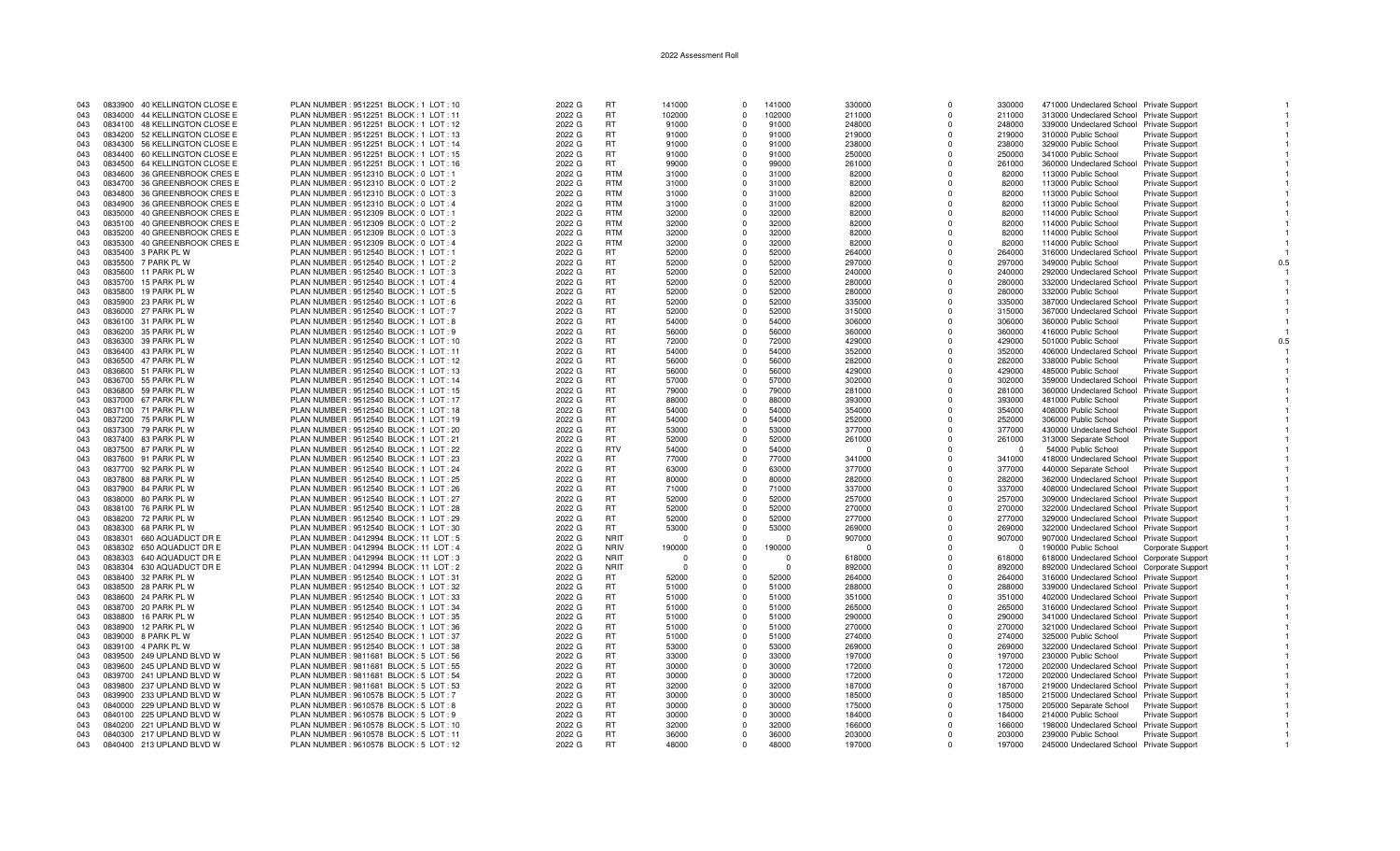| 043        |         | 0833900 40 KELLINGTON CLOSE E | PLAN NUMBER : 9512251 BLOCK : 1 LOT : 10 | 2022 G | <b>RT</b>       | 141000   | $\Omega$       | 141000   | 330000   | $\Omega$     | 330000   | 471000 Undeclared School Private Support   |                          |     |
|------------|---------|-------------------------------|------------------------------------------|--------|-----------------|----------|----------------|----------|----------|--------------|----------|--------------------------------------------|--------------------------|-----|
| 043        |         | 0834000 44 KELLINGTON CLOSE E | PLAN NUMBER: 9512251 BLOCK: 1 LOT: 11    | 2022 G | <b>RT</b>       | 102000   | $\Omega$       | 102000   | 211000   | $\mathbf 0$  | 211000   | 313000 Undeclared School Private Support   |                          |     |
| 043        |         | 0834100 48 KELLINGTON CLOSE E | PLAN NUMBER : 9512251 BLOCK : 1 LOT : 12 | 2022 G | <b>RT</b>       | 91000    | $\Omega$       | 91000    | 248000   | $\Omega$     | 248000   | 339000 Undeclared School Private Support   |                          |     |
| 043        |         | 0834200 52 KELLINGTON CLOSE E | PLAN NUMBER : 9512251 BLOCK : 1 LOT : 13 | 2022 G | <b>RT</b>       | 91000    | $\Omega$       | 91000    | 219000   | $\Omega$     | 219000   | 310000 Public School                       | <b>Private Support</b>   |     |
| 043        |         | 0834300 56 KELLINGTON CLOSE E | PLAN NUMBER : 9512251 BLOCK : 1 LOT : 14 | 2022 G | <b>RT</b>       | 91000    | $\overline{0}$ | 91000    | 238000   | $\Omega$     | 238000   | 329000 Public School                       | <b>Private Support</b>   |     |
| 043        |         | 0834400 60 KELLINGTON CLOSE E | PLAN NUMBER: 9512251 BLOCK: 1 LOT: 15    | 2022 G | <b>RT</b>       | 91000    | $\Omega$       | 91000    | 250000   | $\Omega$     | 250000   | 341000 Public School                       | <b>Private Support</b>   |     |
| 043        |         | 0834500 64 KELLINGTON CLOSE E | PLAN NUMBER: 9512251 BLOCK: 1 LOT: 16    | 2022 G | <b>RT</b>       | 99000    | $\Omega$       | 99000    | 261000   | $\Omega$     | 261000   | 360000 Undeclared School                   | Private Support          |     |
| 043        |         | 0834600 36 GREENBROOK CRES E  | PLAN NUMBER : 9512310 BLOCK : 0 LOT : 1  | 2022 G | <b>RTM</b>      | 31000    | $\Omega$       | 31000    | 82000    | $\Omega$     | 82000    | 113000 Public School                       | Private Support          |     |
| 043        |         | 0834700 36 GREENBROOK CRES E  | PLAN NUMBER : 9512310 BLOCK : 0 LOT : 2  | 2022 G | <b>RTM</b>      | 31000    | $\Omega$       | 31000    | 82000    | $\Omega$     | 82000    | 113000 Public School                       | Private Support          |     |
|            |         |                               |                                          |        | <b>RTM</b>      |          | $\Omega$       |          |          | $\Omega$     |          |                                            |                          |     |
| 043        |         | 0834800 36 GREENBROOK CRES E  | PLAN NUMBER : 9512310 BLOCK : 0 LOT : 3  | 2022 G |                 | 31000    |                | 31000    | 82000    |              | 82000    | 113000 Public School                       | <b>Private Support</b>   |     |
| 043        |         | 0834900 36 GREENBROOK CRES E  | PLAN NUMBER : 9512310 BLOCK : 0 LOT : 4  | 2022 G | <b>RTM</b>      | 31000    | $\Omega$       | 31000    | 82000    | $\Omega$     | 82000    | 113000 Public School                       | Private Support          |     |
| 043        |         | 0835000 40 GREENBROOK CRES E  | PLAN NUMBER : 9512309 BLOCK : 0 LOT : 1  | 2022 G | <b>RTM</b>      | 32000    | $\Omega$       | 32000    | 82000    | $\Omega$     | 82000    | 114000 Public School                       | <b>Private Support</b>   |     |
| 043        |         | 0835100 40 GREENBROOK CRES E  | PLAN NUMBER : 9512309 BLOCK : 0 LOT : 2  | 2022 G | <b>RTM</b>      | 32000    | $\Omega$       | 32000    | 82000    | $\Omega$     | 82000    | 114000 Public School                       | Private Support          |     |
| 043        | 0835200 | 40 GREENBROOK CRES E          | PLAN NUMBER : 9512309 BLOCK : 0 LOT : 3  | 2022 G | <b>RTM</b>      | 32000    | $\Omega$       | 32000    | 82000    | $\Omega$     | 82000    | 114000 Public School                       | <b>Private Support</b>   |     |
| 043        | 0835300 | 40 GREENBROOK CRES E          | PLAN NUMBER : 9512309 BLOCK : 0 LOT : 4  | 2022 G | <b>RTM</b>      | 32000    | $\Omega$       | 32000    | 82000    | $\Omega$     | 82000    | 114000 Public School                       | Private Support          |     |
| 043        |         | 0835400 3 PARK PL W           | PLAN NUMBER : 9512540 BLOCK : 1 LOT : 1  | 2022 G | <b>RT</b>       | 52000    | $\Omega$       | 52000    | 264000   | $\Omega$     | 264000   | 316000 Undeclared School                   | <b>Private Support</b>   |     |
| 043        |         | 0835500 7 PARK PL W           | PLAN NUMBER: 9512540 BLOCK: 1 LOT: 2     | 2022 G | <b>RT</b>       | 52000    | $\Omega$       | 52000    | 297000   | $\Omega$     | 297000   | 349000 Public School                       | Private Support          | 0.5 |
| 043        |         | 0835600 11 PARK PL W          | PLAN NUMBER: 9512540 BLOCK: 1 LOT: 3     | 2022 G | <b>RT</b>       | 52000    | $\Omega$       | 52000    | 240000   | $\Omega$     | 240000   | 292000 Undeclared School Private Support   |                          |     |
| 043        |         | 0835700 15 PARK PL W          | PLAN NUMBER : 9512540 BLOCK : 1 LOT : 4  | 2022 G | <b>RT</b>       | 52000    | $\Omega$       | 52000    | 280000   | $\Omega$     | 280000   | 332000 Undeclared School Private Support   |                          |     |
| 043        |         | 0835800 19 PARK PL W          | PLAN NUMBER : 9512540 BLOCK : 1 LOT : 5  | 2022 G | <b>RT</b>       | 52000    | $\Omega$       | 52000    | 280000   | $\Omega$     | 280000   | 332000 Public School                       | <b>Private Support</b>   |     |
| 043        |         | 0835900 23 PARK PL W          | PLAN NUMBER: 9512540 BLOCK: 1 LOT: 6     | 2022 G | <b>RT</b>       | 52000    | $\Omega$       | 52000    | 335000   | $\Omega$     | 335000   | 387000 Undeclared School Private Support   |                          |     |
| 043        |         | 0836000 27 PARK PL W          | PLAN NUMBER : 9512540 BLOCK : 1 LOT : 7  | 2022 G | <b>RT</b>       | 52000    | $\Omega$       | 52000    | 315000   | $\Omega$     | 315000   | 367000 Undeclared School Private Support   |                          |     |
| 043        |         | 0836100 31 PARK PL W          | PLAN NUMBER: 9512540 BLOCK: 1 LOT: 8     | 2022 G | <b>RT</b>       | 54000    | $\Omega$       | 54000    | 306000   | $\Omega$     | 306000   | 360000 Public School                       | Private Support          |     |
| 043        |         | 0836200 35 PARK PL W          | PLAN NUMBER: 9512540 BLOCK: 1 LOT: 9     | 2022 G | <b>RT</b>       | 56000    | $\Omega$       | 56000    | 360000   | $\Omega$     | 360000   | 416000 Public School                       | <b>Private Support</b>   |     |
| 043        |         | 0836300 39 PARK PL W          | PLAN NUMBER: 9512540 BLOCK: 1 LOT: 10    | 2022 G | <b>RT</b>       | 72000    | $\Omega$       | 72000    | 429000   | <sup>0</sup> | 429000   | 501000 Public School                       | Private Support          |     |
| 043        |         | 0836400 43 PARK PL W          | PLAN NUMBER: 9512540 BLOCK: 1 LOT: 11    | 2022 G | RT              | 54000    | $\Omega$       | 54000    | 352000   | $\Omega$     | 352000   | 406000 Undeclared School Private Support   |                          |     |
| 043        |         | 0836500 47 PARK PL W          |                                          | 2022 G | <b>RT</b>       | 56000    | $\Omega$       | 56000    | 282000   | $\Omega$     | 282000   |                                            |                          |     |
|            |         |                               | PLAN NUMBER : 9512540 BLOCK : 1 LOT : 12 |        |                 |          | $\Omega$       |          |          |              |          | 338000 Public School                       | Private Support          |     |
| 043        |         | 0836600 51 PARK PL W          | PLAN NUMBER : 9512540 BLOCK : 1 LOT : 13 | 2022 G | RT              | 56000    |                | 56000    | 429000   | $\Omega$     | 429000   | 485000 Public School                       | <b>Private Support</b>   |     |
| 043        |         | 0836700 55 PARK PL W          | PLAN NUMBER : 9512540 BLOCK : 1 LOT : 14 | 2022 G | <b>RT</b>       | 57000    | $\Omega$       | 57000    | 302000   | $\Omega$     | 302000   | 359000 Undeclared School Private Support   |                          |     |
| 043        |         | 0836800 59 PARK PL W          | PLAN NUMBER : 9512540 BLOCK : 1 LOT : 15 | 2022 G | <b>RT</b>       | 79000    | $\Omega$       | 79000    | 281000   | $\Omega$     | 281000   | 360000 Undeclared School Private Support   |                          |     |
| 043        |         | 0837000 67 PARK PL W          | PLAN NUMBER: 9512540 BLOCK: 1 LOT: 17    | 2022 G | <b>RT</b>       | 88000    | $\Omega$       | 88000    | 393000   | $\Omega$     | 393000   | 481000 Public School                       | Private Support          |     |
| 043        |         | 0837100 71 PARK PL W          | PLAN NUMBER : 9512540 BLOCK : 1 LOT : 18 | 2022 G | <b>RT</b>       | 54000    | $\Omega$       | 54000    | 354000   | $\Omega$     | 354000   | 408000 Public School                       | <b>Private Support</b>   |     |
| 043        |         | 0837200 75 PARK PL W          | PLAN NUMBER : 9512540 BLOCK : 1 LOT : 19 | 2022 G | <b>RT</b>       | 54000    | $\Omega$       | 54000    | 252000   | $\Omega$     | 252000   | 306000 Public School                       | <b>Private Support</b>   |     |
| 043        |         | 0837300 79 PARK PL W          | PLAN NUMBER : 9512540 BLOCK : 1 LOT : 20 | 2022 G | RT              | 53000    | $\Omega$       | 53000    | 377000   | $\Omega$     | 377000   | 430000 Undeclared School Private Support   |                          |     |
| 043        |         | 0837400 83 PARK PL W          | PLAN NUMBER: 9512540 BLOCK: 1 LOT: 21    | 2022 G | <b>RT</b>       | 52000    | $\Omega$       | 52000    | 261000   | $\Omega$     | 261000   | 313000 Separate School                     | Private Support          |     |
| 043        |         | 0837500 87 PARK PL W          | PLAN NUMBER : 9512540 BLOCK : 1 LOT : 22 | 2022 G | <b>RTV</b>      | 54000    | $\Omega$       | 54000    | $\Omega$ | $\Omega$     | $\Omega$ | 54000 Public School                        | <b>Private Support</b>   |     |
| 043        |         | 0837600 91 PARK PL W          | PLAN NUMBER : 9512540 BLOCK : 1 LOT : 23 | 2022 G | <b>RT</b>       | 77000    | $\Omega$       | 77000    | 341000   | $\Omega$     | 341000   | 418000 Undeclared School Private Support   |                          |     |
| 043        |         | 0837700 92 PARK PL W          | PLAN NUMBER : 9512540 BLOCK : 1 LOT : 24 | 2022 G | RT              | 63000    | $^{\circ}$     | 63000    | 377000   | $\mathbf 0$  | 377000   | 440000 Separate School                     | <b>Private Support</b>   |     |
| 043        |         | 0837800 88 PARK PL W          | PLAN NUMBER: 9512540 BLOCK: 1 LOT: 25    | 2022 G | <b>RT</b>       | 80000    | $\Omega$       | 80000    | 282000   | $\Omega$     | 282000   | 362000 Undeclared School Private Support   |                          |     |
| 043        |         | 0837900 84 PARK PL W          | PLAN NUMBER : 9512540 BLOCK : 1 LOT : 26 | 2022 G | <b>RT</b>       | 71000    | $\Omega$       | 71000    | 337000   | $\Omega$     | 337000   | 408000 Undeclared School Private Support   |                          |     |
| 043        |         | 0838000 80 PARK PL W          | PLAN NUMBER: 9512540 BLOCK: 1 LOT: 27    | 2022 G | <b>RT</b>       | 52000    | $\Omega$       | 52000    | 257000   | $\Omega$     | 257000   | 309000 Undeclared School Private Support   |                          |     |
| 043        |         | 0838100 76 PARK PL W          | PLAN NUMBER : 9512540 BLOCK : 1 LOT : 28 | 2022 G | RT              | 52000    | $\Omega$       | 52000    | 270000   | $\Omega$     | 270000   | 322000 Undeclared School Private Support   |                          |     |
| 043        |         | 0838200 72 PARK PL W          | PLAN NUMBER : 9512540 BLOCK : 1 LOT : 29 | 2022 G | <b>RT</b>       | 52000    | $\Omega$       | 52000    | 277000   | $\Omega$     | 277000   | 329000 Undeclared School Private Support   |                          |     |
| 043        |         | 0838300 68 PARK PL W          | PLAN NUMBER: 9512540 BLOCK: 1 LOT: 30    | 2022 G | <b>RT</b>       | 53000    | $\Omega$       | 53000    | 269000   | $\Omega$     | 269000   | 322000 Undeclared School Private Support   |                          |     |
| 043        | 0838301 | 660 AQUADUCT DR E             | PLAN NUMBER : 0412994 BLOCK : 11 LOT : 5 | 2022 G | <b>NRIT</b>     | $\Omega$ | $\Omega$       | $\Omega$ | 907000   | $\Omega$     | 907000   | 907000 Undeclared School Private Support   |                          |     |
|            | 0838302 | 650 AQUADUCT DR E             | PLAN NUMBER : 0412994 BLOCK : 11 LOT : 4 | 2022 G | <b>NRIV</b>     | 190000   | $^{\circ}$     | 190000   |          | $\mathbf 0$  | $\Omega$ |                                            |                          |     |
| 043<br>043 | 0838303 |                               |                                          | 2022G  | <b>NRIT</b>     | $\Omega$ | $\Omega$       | $\Omega$ | 0        | $\Omega$     | 618000   | 190000 Public School                       | <b>Corporate Support</b> |     |
|            |         | 640 AQUADUCT DR E             | PLAN NUMBER: 0412994 BLOCK: 11 LOT: 3    |        |                 |          |                |          | 618000   |              |          | 618000 Undeclared School Corporate Support |                          |     |
| 043        | 0838304 | 630 AQUADUCT DR E             | PLAN NUMBER : 0412994 BLOCK : 11 LOT : 2 | 2022 G | <b>NRIT</b>     | $\Omega$ | $\Omega$       | $\cap$   | 892000   | $\Omega$     | 892000   | 892000 Undeclared School Corporate Support |                          |     |
| 043        |         | 0838400 32 PARK PL W          | PLAN NUMBER : 9512540 BLOCK : 1 LOT : 31 | 2022 G | <b>RT</b>       | 52000    | $\Omega$       | 52000    | 264000   | $\Omega$     | 264000   | 316000 Undeclared School Private Support   |                          |     |
| 043        |         | 0838500 28 PARK PL W          | PLAN NUMBER : 9512540 BLOCK : 1 LOT : 32 | 2022 G | RT              | 51000    | $\Omega$       | 51000    | 288000   | $\Omega$     | 288000   | 339000 Undeclared School Private Support   |                          |     |
| 043        |         | 0838600 24 PARK PL W          | PLAN NUMBER : 9512540 BLOCK : 1 LOT : 33 | 2022 G | <b>RT</b>       | 51000    | $\Omega$       | 51000    | 351000   | $\Omega$     | 351000   | 402000 Undeclared School Private Support   |                          |     |
| 043        |         | 0838700 20 PARK PL W          | PLAN NUMBER: 9512540 BLOCK: 1 LOT: 34    | 2022 G | <b>RT</b>       | 51000    | $\Omega$       | 51000    | 265000   | $\Omega$     | 265000   | 316000 Undeclared School Private Support   |                          |     |
| 043        | 0838800 | 16 PARK PL W                  | PLAN NUMBER : 9512540 BLOCK : 1 LOT : 35 | 2022 G | <b>RT</b>       | 51000    | $\Omega$       | 51000    | 290000   | $\Omega$     | 290000   | 341000 Undeclared School Private Support   |                          |     |
| 043        | 0838900 | 12 PARK PL W                  | PLAN NUMBER : 9512540 BLOCK : 1 LOT : 36 | 2022 G | RT              | 51000    | $^{\circ}$     | 51000    | 270000   | $\mathbf 0$  | 270000   | 321000 Undeclared School Private Support   |                          |     |
| 043        |         | 0839000 8 PARK PL W           | PLAN NUMBER: 9512540 BLOCK: 1 LOT: 37    | 2022 G | <b>RT</b>       | 51000    | $\Omega$       | 51000    | 274000   | $\Omega$     | 274000   | 325000 Public School                       | Private Support          |     |
| 043        |         | 0839100 4 PARK PL W           | PLAN NUMBER : 9512540 BLOCK : 1 LOT : 38 | 2022 G | RT              | 53000    | $\Omega$       | 53000    | 269000   | $\Omega$     | 269000   | 322000 Undeclared School Private Support   |                          |     |
| 043        |         | 0839500 249 UPLAND BLVD W     | PLAN NUMBER : 9811681 BLOCK : 5 LOT : 56 | 2022 G | <b>RT</b>       | 33000    | $\Omega$       | 33000    | 197000   | $\Omega$     | 197000   | 230000 Public School                       | Private Support          |     |
| 043        |         | 0839600 245 UPLAND BLVD W     | PLAN NUMBER : 9811681 BLOCK : 5 LOT : 55 | 2022 G | <b>RT</b>       | 30000    | $\Omega$       | 30000    | 172000   | $\Omega$     | 172000   | 202000 Undeclared School Private Support   |                          |     |
| 043        |         | 0839700 241 UPLAND BLVD W     | PLAN NUMBER : 9811681 BLOCK : 5 LOT : 54 | 2022 G | <b>RT</b>       | 30000    | $\Omega$       | 30000    | 172000   | $\Omega$     | 172000   | 202000 Undeclared School Private Support   |                          |     |
| 043        |         | 0839800 237 UPLAND BLVD W     | PLAN NUMBER : 9811681 BLOCK : 5 LOT : 53 | 2022 G | <b>RT</b>       | 32000    | $\Omega$       | 32000    | 187000   | $\Omega$     | 187000   | 219000 Undeclared School Private Support   |                          |     |
| 043        |         | 0839900 233 UPLAND BLVD W     | PLAN NUMBER: 9610578 BLOCK: 5 LOT: 7     | 2022 G | <b>RT</b>       | 30000    | $\Omega$       | 30000    | 185000   | $\Omega$     | 185000   | 215000 Undeclared School Private Support   |                          |     |
| 043        | 0840000 | 229 UPLAND BLVD W             | PLAN NUMBER: 9610578 BLOCK: 5 LOT: 8     | 2022 G | RT              | 30000    | $^{\circ}$     | 30000    | 175000   | $\Omega$     | 175000   | 205000 Separate School                     | <b>Private Support</b>   |     |
| 043        |         | 0840100 225 UPLAND BLVD W     | PLAN NUMBER : 9610578 BLOCK : 5 LOT : 9  | 2022 G | <b>RT</b>       | 30000    | $\Omega$       | 30000    | 184000   | $\Omega$     | 184000   | 214000 Public School                       |                          |     |
|            |         |                               |                                          |        |                 |          | $\Omega$       |          |          | $\Omega$     |          |                                            | Private Support          |     |
| 043        |         | 0840200 221 UPLAND BLVD W     | PLAN NUMBER : 9610578 BLOCK : 5 LOT : 10 | 2022 G | RT<br><b>RT</b> | 32000    |                | 32000    | 166000   |              | 166000   | 198000 Undeclared School Private Support   |                          |     |
| 043        |         | 0840300 217 UPLAND BLVD W     | PLAN NUMBER : 9610578 BLOCK : 5 LOT : 11 | 2022 G |                 | 36000    | $\Omega$       | 36000    | 203000   | $\Omega$     | 203000   | 239000 Public School                       | Private Support          |     |
| 043        |         | 0840400 213 UPLAND BLVD W     | PLAN NUMBER : 9610578 BLOCK : 5 LOT : 12 | 2022 G | RT.             | 48000    | $\Omega$       | 48000    | 197000   | $\Omega$     | 197000   | 245000 Undeclared School Private Support   |                          |     |

 $\overline{1}$ 

 $\overline{1}$ 

 $\overline{1}$ 

 $0.5\,$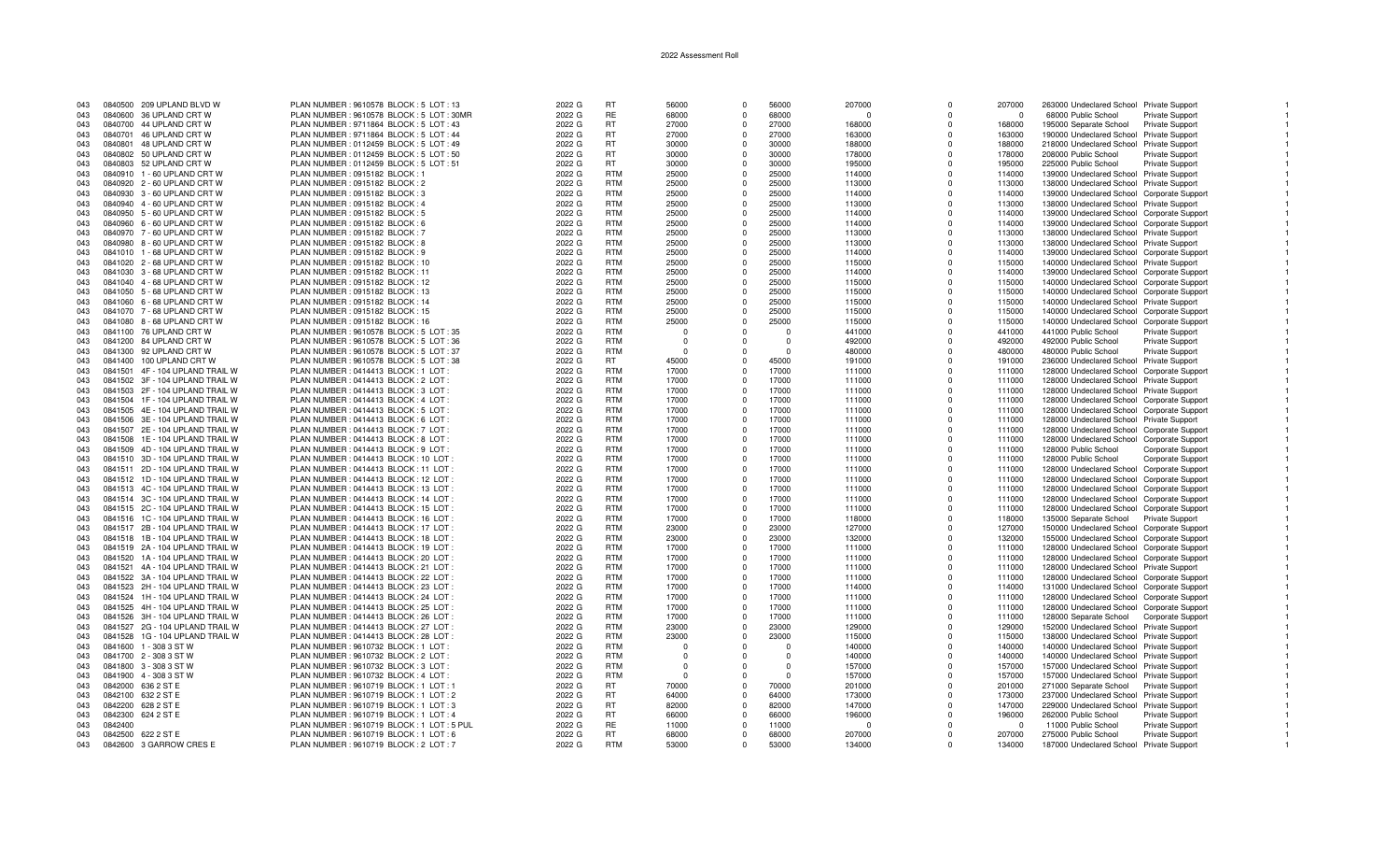| 043 |         | 0840500 209 UPLAND BLVD W        | PLAN NUMBER : 9610578 BLOCK : 5 LOT : 13   | 2022 G | <b>RT</b>  | 56000    | $\Omega$ | 56000    | 207000   | $\Omega$    | 207000   | 263000 Undeclared School Private Support         |  |
|-----|---------|----------------------------------|--------------------------------------------|--------|------------|----------|----------|----------|----------|-------------|----------|--------------------------------------------------|--|
| 043 |         | 0840600 36 UPLAND CRT W          | PLAN NUMBER : 9610578 BLOCK : 5 LOT : 30MF | 2022 G | <b>RE</b>  | 68000    |          | 68000    | $\Omega$ | ŋ           | $\Omega$ | 68000 Public School<br><b>Private Support</b>    |  |
| 043 |         | 0840700 44 UPLAND CRT W          | PLAN NUMBER: 9711864 BLOCK: 5 LOT: 43      | 2022 G | <b>RT</b>  | 27000    | $\Omega$ | 27000    | 168000   | $\Omega$    | 168000   | 195000 Separate School<br><b>Private Support</b> |  |
|     |         |                                  |                                            |        |            |          |          |          |          |             |          |                                                  |  |
| 043 |         | 0840701 46 UPLAND CRT W          | PLAN NUMBER: 9711864 BLOCK: 5 LOT: 44      | 2022 G | RT         | 27000    |          | 27000    | 163000   | $\Omega$    | 163000   | 190000 Undeclared School Private Support         |  |
| 043 |         | 0840801 48 UPLAND CRT W          | PLAN NUMBER: 0112459 BLOCK: 5 LOT: 49      | 2022 G | <b>RT</b>  | 30000    | $\Omega$ | 30000    | 188000   | $\Omega$    | 188000   | 218000 Undeclared School Private Support         |  |
| 043 |         | 0840802 50 UPLAND CRT W          | PLAN NUMBER : 0112459 BLOCK : 5 LOT : 50   | 2022 G | <b>RT</b>  | 30000    |          | 30000    | 178000   | $\Omega$    | 178000   | 208000 Public School<br><b>Private Support</b>   |  |
| 043 |         | 0840803 52 UPLAND CRT W          | PLAN NUMBER : 0112459 BLOCK : 5 LOT : 51   | 2022 G | <b>RT</b>  | 30000    | $\Omega$ | 30000    | 195000   | $\mathbf 0$ | 195000   | 225000 Public School<br>Private Support          |  |
| 043 |         | 0840910 1 - 60 UPLAND CRT W      | PLAN NUMBER : 0915182 BLOCK : 1            | 2022 G | <b>RTM</b> | 25000    | $\Omega$ | 25000    | 114000   | $\Omega$    | 114000   | 139000 Undeclared School Private Support         |  |
| 043 |         | 0840920 2 - 60 UPLAND CRT W      | PLAN NUMBER : 0915182 BLOCK : 2            | 2022 G | <b>RTM</b> | 25000    | $\Omega$ | 25000    | 113000   | $\Omega$    | 113000   | 138000 Undeclared School Private Support         |  |
|     |         |                                  |                                            |        |            |          |          |          |          |             |          |                                                  |  |
| 043 |         | 0840930 3 - 60 UPLAND CRT W      | PLAN NUMBER : 0915182 BLOCK : 3            | 2022 G | <b>RTM</b> | 25000    | $\Omega$ | 25000    | 114000   | 0           | 114000   | 139000 Undeclared School Corporate Support       |  |
| 043 |         | 0840940  4 - 60 UPLAND CRT W     | PLAN NUMBER : 0915182 BLOCK : 4            | 2022 G | <b>RTM</b> | 25000    | $\Omega$ | 25000    | 113000   | $\Omega$    | 113000   | 138000 Undeclared School Private Support         |  |
| 043 |         | 0840950 5 - 60 UPLAND CRT W      | PLAN NUMBER : 0915182 BLOCK : 5            | 2022 G | <b>RTM</b> | 25000    |          | 25000    | 114000   | $\Omega$    | 114000   | 139000 Undeclared School Corporate Support       |  |
| 043 |         | 0840960 6 - 60 UPLAND CRT W      | PLAN NUMBER : 0915182 BLOCK : 6            | 2022 G | <b>RTM</b> | 25000    | $\Omega$ | 25000    | 114000   | $\Omega$    | 114000   | 139000 Undeclared School Corporate Support       |  |
| 043 |         | 0840970 7 - 60 UPLAND CRT W      | PLAN NUMBER : 0915182 BLOCK : 7            | 2022 G | <b>RTM</b> | 25000    | $\Omega$ | 25000    | 113000   | $\Omega$    | 113000   | 138000 Undeclared School Private Support         |  |
|     |         |                                  |                                            |        | <b>RTM</b> |          | $\Omega$ | 25000    |          |             |          |                                                  |  |
| 043 |         | 0840980 8 - 60 UPLAND CRT W      | PLAN NUMBER : 0915182 BLOCK : 8            | 2022 G |            | 25000    |          |          | 113000   | $\Omega$    | 113000   | 138000 Undeclared School Private Support         |  |
| 043 |         | 0841010 1 - 68 UPLAND CRT W      | PLAN NUMBER : 0915182 BLOCK : 9            | 2022 G | <b>RTM</b> | 25000    | $\Omega$ | 25000    | 114000   | $\Omega$    | 114000   | 139000 Undeclared School Corporate Support       |  |
| 043 |         | 0841020 2 - 68 UPLAND CRT W      | PLAN NUMBER : 0915182 BLOCK : 10           | 2022 G | <b>RTM</b> | 25000    | $\Omega$ | 25000    | 115000   | $\Omega$    | 115000   | 140000 Undeclared School Private Support         |  |
| 043 |         | 0841030 3 - 68 UPLAND CRT W      | PLAN NUMBER : 0915182 BLOCK : 11           | 2022 G | <b>RTM</b> | 25000    | $\Omega$ | 25000    | 114000   | 0           | 114000   | 139000 Undeclared School Corporate Support       |  |
| 043 |         | 0841040  4 - 68 UPLAND CRT W     | PLAN NUMBER : 0915182 BLOCK : 12           | 2022 G | <b>RTM</b> | 25000    | $\Omega$ | 25000    | 115000   | $\Omega$    | 115000   | 140000 Undeclared School Corporate Support       |  |
| 043 |         | 0841050 5 - 68 UPLAND CRT W      | PLAN NUMBER : 0915182 BLOCK : 13           | 2022 G | <b>RTM</b> | 25000    |          | 25000    | 115000   | $\Omega$    | 115000   | 140000 Undeclared School Corporate Support       |  |
|     |         |                                  |                                            |        |            |          |          |          |          |             |          |                                                  |  |
| 043 |         | 0841060 6 - 68 UPLAND CRT W      | PLAN NUMBER : 0915182 BLOCK : 14           | 2022 G | <b>RTM</b> | 25000    | $\Omega$ | 25000    | 115000   | $\Omega$    | 115000   | 140000 Undeclared School Private Support         |  |
| 043 |         | 0841070 7 - 68 UPLAND CRT W      | PLAN NUMBER : 0915182 BLOCK : 15           | 2022 G | <b>RTM</b> | 25000    | $\Omega$ | 25000    | 115000   | $\Omega$    | 115000   | 140000 Undeclared School Corporate Support       |  |
| 043 |         | 0841080 8 - 68 UPLAND CRT W      | PLAN NUMBER : 0915182 BLOCK : 16           | 2022 G | <b>RTM</b> | 25000    | $\Omega$ | 25000    | 115000   | $\mathbf 0$ | 115000   | 140000 Undeclared School Corporate Support       |  |
| 043 |         | 0841100 76 UPLAND CRT W          | PLAN NUMBER : 9610578 BLOCK : 5 LOT : 35   | 2022 G | <b>RTM</b> | $\Omega$ | $\Omega$ | $\Omega$ | 441000   | $\Omega$    | 441000   | 441000 Public School<br><b>Private Support</b>   |  |
| 043 |         | 0841200 84 UPLAND CRT W          | PLAN NUMBER : 9610578 BLOCK : 5 LOT : 36   | 2022 G | <b>RTM</b> | $\Omega$ |          | $\Omega$ | 492000   | $\Omega$    | 492000   | 492000 Public School<br>Private Support          |  |
| 043 |         | 0841300 92 UPLAND CRT W          | PLAN NUMBER : 9610578 BLOCK : 5 LOT : 37   | 2022 G | <b>RTM</b> | $\cap$   |          | $\Omega$ | 480000   | O           | 480000   | 480000 Public School<br><b>Private Support</b>   |  |
|     |         |                                  |                                            |        |            |          |          |          |          |             |          |                                                  |  |
| 043 |         | 0841400 100 UPLAND CRT W         | PLAN NUMBER : 9610578 BLOCK : 5 LOT : 38   | 2022 G | RT         | 45000    |          | 45000    | 191000   | $\Omega$    | 191000   | 236000 Undeclared School Private Support         |  |
| 043 |         | 0841501 4F - 104 UPLAND TRAIL W  | PLAN NUMBER : 0414413 BLOCK : 1 LOT :      | 2022 G | <b>RTM</b> | 17000    | $\Omega$ | 17000    | 111000   | $\Omega$    | 111000   | 128000 Undeclared School Corporate Support       |  |
| 043 |         | 0841502 3F - 104 UPLAND TRAIL W  | PLAN NUMBER : 0414413 BLOCK : 2 LOT        | 2022 G | <b>RTM</b> | 17000    |          | 17000    | 111000   | $\Omega$    | 111000   | 128000 Undeclared School Private Support         |  |
| 043 |         | 0841503 2F - 104 UPLAND TRAIL W  | PLAN NUMBER : 0414413 BLOCK : 3 LOT        | 2022 G | <b>RTM</b> | 17000    | $\Omega$ | 17000    | 111000   | $\Omega$    | 111000   | 128000 Undeclared School Private Support         |  |
| 043 |         | 0841504 1F - 104 UPLAND TRAIL W  | PLAN NUMBER : 0414413 BLOCK : 4 LOT        | 2022 G | <b>RTM</b> | 17000    | $\Omega$ | 17000    | 111000   | $\Omega$    | 111000   | 128000 Undeclared School Corporate Support       |  |
|     |         |                                  |                                            |        |            |          |          |          |          |             |          |                                                  |  |
| 043 |         | 0841505 4E - 104 UPLAND TRAIL W  | PLAN NUMBER : 0414413 BLOCK : 5 LOT        | 2022 G | <b>RTM</b> | 17000    | $\Omega$ | 17000    | 111000   | $\Omega$    | 111000   | 128000 Undeclared School Corporate Support       |  |
| 043 |         | 0841506 3E - 104 UPLAND TRAIL W  | PLAN NUMBER : 0414413 BLOCK : 6 LOT        | 2022 G | <b>RTM</b> | 17000    |          | 17000    | 111000   | 0           | 111000   | 128000 Undeclared School Private Support         |  |
| 043 |         | 0841507 2E - 104 UPLAND TRAIL W  | PLAN NUMBER : 0414413 BLOCK : 7 LOT        | 2022 G | <b>RTM</b> | 17000    | $\Omega$ | 17000    | 111000   | 0           | 111000   | 128000 Undeclared School Corporate Support       |  |
| 043 |         | 0841508 1E - 104 UPLAND TRAIL W  | PLAN NUMBER : 0414413 BLOCK : 8 LOT        | 2022 G | <b>RTM</b> | 17000    | $\Omega$ | 17000    | 111000   | $\mathbf 0$ | 111000   | 128000 Undeclared School Corporate Support       |  |
| 043 |         | 0841509 4D - 104 UPLAND TRAIL W  | PLAN NUMBER : 0414413 BLOCK : 9 LOT        | 2022 G | <b>RTM</b> | 17000    | $\Omega$ | 17000    | 111000   | $\Omega$    | 111000   | 128000 Public School<br>Corporate Support        |  |
|     |         |                                  |                                            |        | <b>RTM</b> |          |          | 17000    |          | $\Omega$    |          |                                                  |  |
| 043 |         | 0841510 3D - 104 UPLAND TRAIL W  | PLAN NUMBER : 0414413 BLOCK : 10 LOT       | 2022 G |            | 17000    |          |          | 111000   |             | 111000   | 128000 Public School<br>Corporate Support        |  |
| 043 |         | 0841511 2D - 104 UPLAND TRAIL W  | PLAN NUMBER: 0414413 BLOCK: 11 LOT         | 2022 G | <b>RTM</b> | 17000    | $\Omega$ | 17000    | 111000   | $\Omega$    | 111000   | 128000 Undeclared School Corporate Support       |  |
| 043 |         | 0841512 1D - 104 UPLAND TRAIL W  | PLAN NUMBER : 0414413 BLOCK : 12 LOT       | 2022 G | <b>RTM</b> | 17000    | $\Omega$ | 17000    | 111000   | $\Omega$    | 111000   | 128000 Undeclared School Corporate Support       |  |
| 043 |         | 0841513  4C - 104 UPLAND TRAIL W | PLAN NUMBER : 0414413 BLOCK : 13 LOT       | 2022 G | <b>RTM</b> | 17000    | $\Omega$ | 17000    | 111000   | $\Omega$    | 111000   | 128000 Undeclared School Corporate Support       |  |
| 043 |         | 0841514 3C - 104 UPLAND TRAIL W  | PLAN NUMBER : 0414413 BLOCK : 14 LOT       | 2022 G | <b>RTM</b> | 17000    |          | 17000    | 111000   | 0           | 111000   | 128000 Undeclared School Corporate Support       |  |
| 043 |         | 0841515 2C - 104 UPLAND TRAIL W  | PLAN NUMBER : 0414413 BLOCK : 15 LOT       | 2022 G | <b>RTM</b> | 17000    | $\Omega$ | 17000    | 111000   | $\Omega$    | 111000   | 128000 Undeclared School Corporate Support       |  |
|     |         |                                  |                                            |        |            |          |          |          |          |             |          |                                                  |  |
| 043 |         | 0841516 1C - 104 UPLAND TRAIL W  | PLAN NUMBER : 0414413 BLOCK : 16 LOT       | 2022 G | <b>RTM</b> | 17000    | $\Omega$ | 17000    | 118000   | $\Omega$    | 118000   | 135000 Separate School Private Support           |  |
| 043 |         | 0841517 2B - 104 UPLAND TRAIL W  | PLAN NUMBER: 0414413 BLOCK: 17 LOT         | 2022 G | <b>RTM</b> | 23000    | $\Omega$ | 23000    | 127000   | $\Omega$    | 127000   | 150000 Undeclared School Corporate Support       |  |
| 043 |         | 0841518 1B - 104 UPLAND TRAIL W  | PLAN NUMBER : 0414413 BLOCK : 18 LOT       | 2022 G | <b>RTM</b> | 23000    |          | 23000    | 132000   | $\Omega$    | 132000   | 155000 Undeclared School Corporate Support       |  |
| 043 |         | 0841519 2A - 104 UPLAND TRAIL W  | PLAN NUMBER : 0414413 BLOCK : 19 LOT       | 2022 G | <b>RTM</b> | 17000    | $\Omega$ | 17000    | 111000   | $\Omega$    | 111000   | 128000 Undeclared School Corporate Support       |  |
| 043 |         | 0841520 1A - 104 UPLAND TRAIL W  | PLAN NUMBER: 0414413 BLOCK: 20 LOT         | 2022 G | <b>RTM</b> | 17000    | $\Omega$ | 17000    | 111000   | $\Omega$    | 111000   | 128000 Undeclared School Corporate Support       |  |
| 043 |         | 0841521 4A - 104 UPLAND TRAIL W  |                                            |        | <b>RTM</b> | 17000    | $\Omega$ | 17000    |          | $\Omega$    | 111000   |                                                  |  |
|     |         |                                  | PLAN NUMBER : 0414413 BLOCK : 21 LOT       | 2022 G |            |          |          |          | 111000   |             |          | 128000 Undeclared School Private Support         |  |
| 043 |         | 0841522 3A - 104 UPLAND TRAIL W  | PLAN NUMBER : 0414413 BLOCK : 22 LOT       | 2022 G | <b>RTM</b> | 17000    |          | 17000    | 111000   | O           | 111000   | 128000 Undeclared School Corporate Support       |  |
| 043 |         | 0841523 2H - 104 UPLAND TRAIL W  | PLAN NUMBER : 0414413 BLOCK : 23 LOT       | 2022 G | <b>RTM</b> | 17000    | $\Omega$ | 17000    | 114000   | $\Omega$    | 114000   | 131000 Undeclared School Corporate Support       |  |
| 043 |         | 0841524 1H - 104 UPLAND TRAIL W  | PLAN NUMBER : 0414413 BLOCK : 24 LOT       | 2022 G | <b>RTM</b> | 17000    |          | 17000    | 111000   | $\Omega$    | 111000   | 128000 Undeclared School Corporate Support       |  |
| 043 |         | 0841525 4H - 104 UPLAND TRAIL W  | PLAN NUMBER : 0414413 BLOCK : 25 LOT       | 2022 G | <b>RTM</b> | 17000    | $\Omega$ | 17000    | 111000   | $\Omega$    | 111000   | 128000 Undeclared School Corporate Support       |  |
| 043 |         | 0841526 3H - 104 UPLAND TRAIL W  | PLAN NUMBER : 0414413 BLOCK : 26 LOT       | 2022 G | <b>RTM</b> | 17000    |          | 17000    | 111000   | $\Omega$    | 111000   | 128000 Separate School Corporate Support         |  |
|     |         |                                  |                                            | 2022 G | <b>RTM</b> | 23000    | $\Omega$ | 23000    |          | $\Omega$    |          |                                                  |  |
| 043 |         | 0841527 2G - 104 UPLAND TRAIL W  | PLAN NUMBER : 0414413 BLOCK : 27 LOT       |        |            |          |          |          | 129000   |             | 129000   | 152000 Undeclared School Private Support         |  |
| 043 |         | 0841528 1G - 104 UPLAND TRAIL W  | PLAN NUMBER : 0414413 BLOCK : 28 LOT       | 2022 G | <b>RTM</b> | 23000    | $\Omega$ | 23000    | 115000   | $\Omega$    | 115000   | 138000 Undeclared School Private Support         |  |
| 043 |         | 0841600 1 - 308 3 ST W           | PLAN NUMBER : 9610732 BLOCK : 1 LOT        | 2022 G | <b>RTM</b> | - 0      |          | $\Omega$ | 140000   | $\Omega$    | 140000   | 140000 Undeclared School Private Support         |  |
| 043 |         | 0841700 2 - 308 3 ST W           | PLAN NUMBER : 9610732 BLOCK : 2 LOT        | 2022 G | <b>RTM</b> | $\Omega$ |          | $\Omega$ | 140000   | 0           | 140000   | 140000 Undeclared School Private Support         |  |
| 043 |         | 0841800 3 - 308 3 ST W           | PLAN NUMBER : 9610732 BLOCK : 3 LOT :      | 2022 G | <b>RTM</b> | - 0      |          | $\Omega$ | 157000   | $\Omega$    | 157000   | 157000 Undeclared School Private Support         |  |
| 043 |         | 0841900 4 - 308 3 ST W           | PLAN NUMBER : 9610732 BLOCK : 4 LOT :      | 2022 G | <b>RTM</b> | $\cap$   |          | $\Omega$ | 157000   | $\Omega$    | 157000   | 157000 Undeclared School Private Support         |  |
|     |         |                                  |                                            |        |            |          |          |          |          |             |          |                                                  |  |
| 043 |         | 0842000 636 2 ST E               | PLAN NUMBER : 9610719 BLOCK : 1 LOT : 1    | 2022 G | <b>RT</b>  | 70000    |          | 70000    | 201000   | $\Omega$    | 201000   | 271000 Separate School Private Support           |  |
| 043 |         | 0842100 632 2 ST E               | PLAN NUMBER : 9610719 BLOCK : 1 LOT : 2    | 2022 G | RT.        | 64000    | $\Omega$ | 64000    | 173000   | $\Omega$    | 173000   | 237000 Undeclared School Private Support         |  |
| 043 | 0842200 | 628 2 ST E                       | PLAN NUMBER: 9610719 BLOCK: 1 LOT: 3       | 2022 G | RT         | 82000    | $\Omega$ | 82000    | 147000   | $\Omega$    | 147000   | 229000 Undeclared School Private Support         |  |
| 043 | 0842300 | 624 2 ST E                       | PLAN NUMBER: 9610719 BLOCK: 1 LOT: 4       | 2022 G | <b>RT</b>  | 66000    | $\Omega$ | 66000    | 196000   | $\Omega$    | 196000   | 262000 Public School<br>Private Support          |  |
| 043 | 0842400 |                                  | PLAN NUMBER: 9610719 BLOCK: 1 LOT: 5 PUL   | 2022 G | <b>RE</b>  | 11000    |          | 11000    | $\Omega$ |             | $\Omega$ | 11000 Public School<br><b>Private Support</b>    |  |
|     |         |                                  |                                            |        | <b>RT</b>  |          | $\Omega$ | 68000    |          |             | 207000   |                                                  |  |
| 043 |         | 0842500 622 2 ST E               | PLAN NUMBER : 9610719 BLOCK : 1 LOT : 6    | 2022 G |            | 68000    |          |          | 207000   |             |          | 275000 Public School<br>Private Support          |  |
| 043 |         | 0842600 3 GARROW CRES E          | PLAN NUMBER : 9610719 BLOCK : 2 LOT : 7    | 2022 G | <b>RTM</b> | 53000    |          | 53000    | 134000   |             | 134000   | 187000 Undeclared School Private Support         |  |

 $\blacksquare$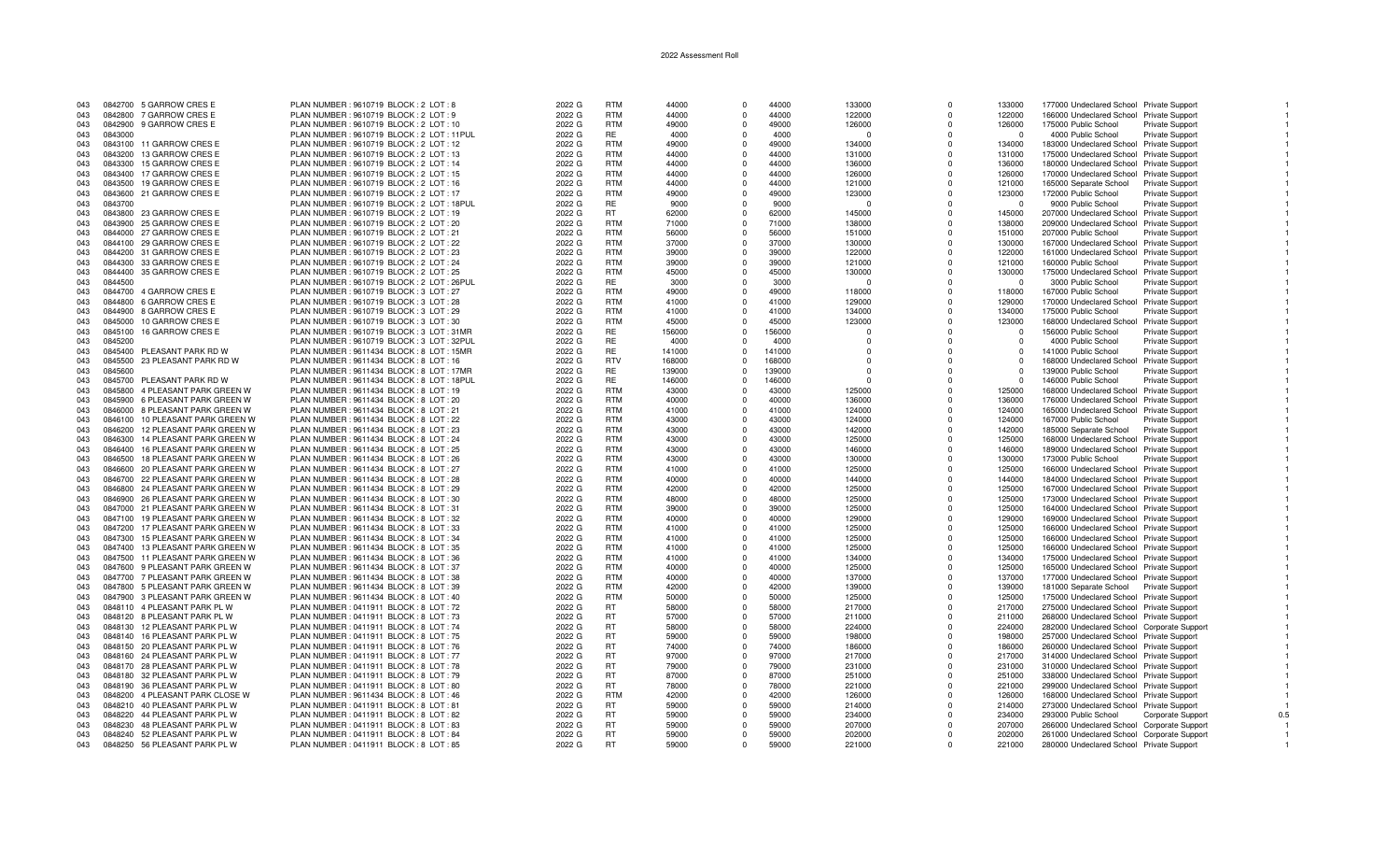| 043 |         | 0842700 5 GARROW CRES E          | PLAN NUMBER : 9610719 BLOCK : 2 LOT : 8     | 2022 G | <b>RTM</b> | 44000  | $\Omega$    | 44000  | 133000   | $\Omega$   | 133000   | 177000 Undeclared School Private Support   |                        |  |
|-----|---------|----------------------------------|---------------------------------------------|--------|------------|--------|-------------|--------|----------|------------|----------|--------------------------------------------|------------------------|--|
| 043 |         | 0842800 7 GARROW CRES E          | PLAN NUMBER : 9610719 BLOCK : 2 LOT : 9     | 2022 G | <b>RTM</b> | 44000  | $\Omega$    | 44000  | 122000   | $\Omega$   | 122000   | 166000 Undeclared School Private Support   |                        |  |
| 043 |         | 0842900 9 GARROW CRES E          | PLAN NUMBER : 9610719 BLOCK : 2 LOT : 10    | 2022 G | <b>RTM</b> | 49000  | $\Omega$    | 49000  | 126000   | $\Omega$   | 126000   | 175000 Public School                       | Private Support        |  |
|     |         |                                  |                                             |        | RE         |        |             |        |          |            |          |                                            |                        |  |
| 043 | 0843000 |                                  | PLAN NUMBER : 9610719 BLOCK : 2 LOT : 11PUL | 2022 G |            | 4000   | $\Omega$    | 4000   | $\Omega$ | $\Omega$   | $\Omega$ | 4000 Public School                         | <b>Private Support</b> |  |
| 043 |         | 0843100 11 GARROW CRES E         | PLAN NUMBER : 9610719 BLOCK : 2 LOT : 12    | 2022 G | <b>RTM</b> | 49000  | $\Omega$    | 49000  | 134000   | $\Omega$   | 134000   | 183000 Undeclared School Private Support   |                        |  |
| 043 | 0843200 | 13 GARROW CRES E                 | PLAN NUMBER : 9610719 BLOCK : 2 LOT : 13    | 2022 G | <b>RTM</b> | 44000  | $\Omega$    | 44000  | 131000   | $\Omega$   | 131000   | 175000 Undeclared School Private Support   |                        |  |
| 043 | 0843300 | 15 GARROW CRES E                 | PLAN NUMBER : 9610719 BLOCK : 2 LOT : 14    | 2022 G | <b>RTM</b> | 44000  | $\mathbf 0$ | 44000  | 136000   | $\Omega$   | 136000   | 180000 Undeclared School Private Support   |                        |  |
| 043 | 0843400 | 17 GARROW CRES E                 | PLAN NUMBER : 9610719 BLOCK : 2 LOT : 15    | 2022 G | <b>RTM</b> | 44000  | $\Omega$    | 44000  | 126000   | $\Omega$   | 126000   | 170000 Undeclared School Private Support   |                        |  |
| 043 | 0843500 | 19 GARROW CRES E                 | PLAN NUMBER : 9610719 BLOCK : 2 LOT : 16    | 2022 G | <b>RTM</b> | 44000  | $\Omega$    | 44000  | 121000   | $\Omega$   | 121000   | 165000 Separate School                     | <b>Private Support</b> |  |
| 043 |         | 0843600 21 GARROW CRES E         | PLAN NUMBER : 9610719 BLOCK : 2 LOT : 17    | 2022 G | <b>RTM</b> | 49000  | $\Omega$    | 49000  | 123000   | $\Omega$   | 123000   | 172000 Public School                       | Private Support        |  |
|     |         |                                  |                                             |        |            |        |             |        |          |            |          |                                            |                        |  |
| 043 | 0843700 |                                  | PLAN NUMBER : 9610719 BLOCK : 2 LOT : 18PUL | 2022 G | RE         | 9000   | $\mathbf 0$ | 9000   | $\Omega$ | $\Omega$   | $\Omega$ | 9000 Public School                         | Private Support        |  |
| 043 |         | 0843800 23 GARROW CRES E         | PLAN NUMBER : 9610719 BLOCK : 2 LOT : 19    | 2022 G | RT.        | 62000  | $\Omega$    | 62000  | 145000   | $\Omega$   | 145000   | 207000 Undeclared School Private Support   |                        |  |
| 043 | 0843900 | 25 GARROW CRES E                 | PLAN NUMBER : 9610719 BLOCK : 2 LOT : 20    | 2022 G | <b>RTM</b> | 71000  | $\Omega$    | 71000  | 138000   | $\Omega$   | 138000   | 209000 Undeclared School Private Support   |                        |  |
| 043 |         | 0844000 27 GARROW CRES E         | PLAN NUMBER : 9610719 BLOCK : 2 LOT : 21    | 2022 G | RTM        | 56000  | $\Omega$    | 56000  | 151000   | $\Omega$   | 151000   | 207000 Public School                       | <b>Private Support</b> |  |
| 043 |         | 0844100 29 GARROW CRES E         | PLAN NUMBER : 9610719 BLOCK : 2 LOT : 22    | 2022 G | <b>RTM</b> | 37000  | 0           | 37000  | 130000   | $\Omega$   | 130000   | 167000 Undeclared School Private Support   |                        |  |
| 043 |         | 0844200 31 GARROW CRES E         | PLAN NUMBER : 9610719 BLOCK : 2 LOT : 23    | 2022 G | <b>RTM</b> | 39000  | $\Omega$    | 39000  | 122000   | $\Omega$   | 122000   | 161000 Undeclared School Private Support   |                        |  |
| 043 |         | 0844300 33 GARROW CRES E         | PLAN NUMBER : 9610719 BLOCK : 2 LOT : 24    | 2022 G | <b>RTM</b> | 39000  | $\Omega$    | 39000  | 121000   | $\Omega$   | 121000   | 160000 Public School                       | <b>Private Support</b> |  |
|     |         |                                  |                                             |        | <b>RTM</b> |        | $\Omega$    |        |          |            |          |                                            |                        |  |
| 043 |         | 0844400 35 GARROW CRES E         | PLAN NUMBER : 9610719 BLOCK : 2 LOT : 25    | 2022 G |            | 45000  |             | 45000  | 130000   | $\Omega$   | 130000   | 175000 Undeclared School Private Support   |                        |  |
| 043 | 0844500 |                                  | PLAN NUMBER : 9610719 BLOCK : 2 LOT : 26PUL | 2022 G | <b>RE</b>  | 3000   | $\Omega$    | 3000   | $\Omega$ | $\Omega$   | $\Omega$ | 3000 Public School                         | <b>Private Support</b> |  |
| 043 |         | 0844700 4 GARROW CRES E          | PLAN NUMBER : 9610719 BLOCK : 3 LOT : 27    | 2022 G | RTM        | 49000  | $\Omega$    | 49000  | 118000   | $\Omega$   | 118000   | 167000 Public School                       | <b>Private Support</b> |  |
| 043 | 0844800 | 6 GARROW CRES E                  | PLAN NUMBER : 9610719 BLOCK : 3 LOT : 28    | 2022 G | <b>RTM</b> | 41000  | $\Omega$    | 41000  | 129000   | $\Omega$   | 129000   | 170000 Undeclared School Private Support   |                        |  |
| 043 | 0844900 | 8 GARROW CRES E                  | PLAN NUMBER : 9610719 BLOCK : 3 LOT : 29    | 2022 G | <b>RTM</b> | 41000  | $\Omega$    | 41000  | 134000   | $\Omega$   | 134000   | 175000 Public School                       | <b>Private Support</b> |  |
| 043 | 0845000 | 10 GARROW CRES E                 | PLAN NUMBER : 9610719 BLOCK : 3 LOT : 30    | 2022 G | <b>RTM</b> | 45000  | $\mathbf 0$ | 45000  | 123000   | $^{\circ}$ | 123000   | 168000 Undeclared School Private Support   |                        |  |
| 043 | 0845100 | 16 GARROW CRES E                 | PLAN NUMBER: 9610719 BLOCK: 3 LOT: 31MR     | 2022 G | <b>RE</b>  | 156000 | $\Omega$    | 156000 | $\Omega$ | $\Omega$   | $\Omega$ | 156000 Public School                       | Private Support        |  |
|     |         |                                  |                                             |        | <b>RE</b>  |        |             | 4000   |          | $\Omega$   |          |                                            |                        |  |
| 043 | 0845200 |                                  | PLAN NUMBER : 9610719 BLOCK : 3 LOT : 32PUI | 2022 G |            | 4000   | $\Omega$    |        | $\Omega$ |            | $\Omega$ | 4000 Public School                         | <b>Private Support</b> |  |
| 043 | 0845400 | PLEASANT PARK RD W               | PLAN NUMBER : 9611434 BLOCK : 8 LOT : 15MR  | 2022 G | <b>RE</b>  | 141000 | $\Omega$    | 141000 | $\Omega$ | $\Omega$   | $\Omega$ | 141000 Public School                       | <b>Private Support</b> |  |
| 043 | 0845500 | 23 PLEASANT PARK RD W            | PLAN NUMBER: 9611434 BLOCK: 8 LOT: 16       | 2022 G | <b>RTV</b> | 168000 | $\mathbf 0$ | 168000 | $\Omega$ | $\Omega$   | $\Omega$ | 168000 Undeclared School Private Support   |                        |  |
| 043 | 0845600 |                                  | PLAN NUMBER: 9611434 BLOCK: 8 LOT: 17MR     | 2022 G | <b>RE</b>  | 139000 | $\Omega$    | 139000 | $\Omega$ | $\Omega$   | $\Omega$ | 139000 Public School                       | Private Support        |  |
| 043 | 0845700 | PLEASANT PARK RD W               | PLAN NUMBER: 9611434 BLOCK: 8 LOT: 18PUI    | 2022 G | <b>RE</b>  | 146000 | $\Omega$    | 146000 | $\Omega$ | $\Omega$   | $\Omega$ | 146000 Public School                       | <b>Private Support</b> |  |
| 043 |         | 0845800 4 PLEASANT PARK GREEN W  | PLAN NUMBER : 9611434 BLOCK : 8 LOT : 19    | 2022 G | <b>RTM</b> | 43000  | $\Omega$    | 43000  | 125000   | $\Omega$   | 125000   | 168000 Undeclared School Private Support   |                        |  |
| 043 | 0845900 | 6 PLEASANT PARK GREEN W          | PLAN NUMBER : 9611434 BLOCK : 8 LOT : 20    | 2022 G | <b>RTM</b> | 40000  | $\Omega$    | 40000  | 136000   | $\Omega$   | 136000   | 176000 Undeclared School Private Support   |                        |  |
|     |         |                                  |                                             |        | <b>RTM</b> |        | $\Omega$    |        |          |            |          |                                            |                        |  |
| 043 |         | 0846000 8 PLEASANT PARK GREEN W  | PLAN NUMBER : 9611434 BLOCK : 8 LOT : 21    | 2022 G |            | 41000  |             | 41000  | 124000   | $\Omega$   | 124000   | 165000 Undeclared School Private Support   |                        |  |
| 043 |         | 0846100 10 PLEASANT PARK GREEN W | PLAN NUMBER : 9611434 BLOCK : 8 LOT : 22    | 2022 G | <b>RTM</b> | 43000  | $\Omega$    | 43000  | 124000   | $\Omega$   | 124000   | 167000 Public School                       | <b>Private Support</b> |  |
| 043 |         | 0846200 12 PLEASANT PARK GREEN W | PLAN NUMBER : 9611434 BLOCK : 8 LOT : 23    | 2022 G | <b>RTM</b> | 43000  | $\Omega$    | 43000  | 142000   | $\Omega$   | 142000   | 185000 Separate School                     | <b>Private Support</b> |  |
| 043 | 0846300 | 14 PLEASANT PARK GREEN W         | PLAN NUMBER : 9611434 BLOCK : 8 LOT : 24    | 2022 G | <b>RTM</b> | 43000  | $\mathbf 0$ | 43000  | 125000   | 0          | 125000   | 168000 Undeclared School Private Support   |                        |  |
| 043 | 0846400 | 16 PLEASANT PARK GREEN W         | PLAN NUMBER : 9611434 BLOCK : 8 LOT : 25    | 2022 G | <b>RTM</b> | 43000  | $\Omega$    | 43000  | 146000   | $\Omega$   | 146000   | 189000 Undeclared School Private Support   |                        |  |
| 043 | 0846500 | 18 PLEASANT PARK GREEN W         | PLAN NUMBER : 9611434 BLOCK : 8 LOT : 26    | 2022 G | <b>RTM</b> | 43000  | $\Omega$    | 43000  | 130000   | $\Omega$   | 130000   | 173000 Public School                       | <b>Private Support</b> |  |
| 043 |         | 0846600 20 PLEASANT PARK GREEN W | PLAN NUMBER: 9611434 BLOCK: 8 LOT: 27       | 2022 G | <b>RTM</b> | 41000  | $\Omega$    | 41000  | 125000   | $\Omega$   | 125000   | 166000 Undeclared School Private Support   |                        |  |
|     |         |                                  |                                             |        | <b>RTM</b> |        |             |        |          |            |          |                                            |                        |  |
| 043 | 0846700 | 22 PLEASANT PARK GREEN W         | PLAN NUMBER : 9611434 BLOCK : 8 LOT : 28    | 2022 G |            | 40000  | $\Omega$    | 40000  | 144000   | $\Omega$   | 144000   | 184000 Undeclared School Private Support   |                        |  |
| 043 |         | 0846800 24 PLEASANT PARK GREEN W | PLAN NUMBER: 9611434 BLOCK: 8 LOT: 29       | 2022 G | <b>RTM</b> | 42000  | $\Omega$    | 42000  | 125000   | $\Omega$   | 125000   | 167000 Undeclared School Private Support   |                        |  |
| 043 |         | 0846900 26 PLEASANT PARK GREEN W | PLAN NUMBER : 9611434 BLOCK : 8 LOT : 30    | 2022 G | <b>RTM</b> | 48000  | $\Omega$    | 48000  | 125000   | $\Omega$   | 125000   | 173000 Undeclared School Private Support   |                        |  |
| 043 |         | 0847000 21 PLEASANT PARK GREEN W | PLAN NUMBER : 9611434 BLOCK : 8 LOT : 31    | 2022 G | <b>RTM</b> | 39000  | $\Omega$    | 39000  | 125000   | $\Omega$   | 125000   | 164000 Undeclared School Private Support   |                        |  |
| 043 |         | 0847100 19 PLEASANT PARK GREEN W | PLAN NUMBER : 9611434 BLOCK : 8 LOT : 32    | 2022 G | <b>RTM</b> | 40000  | $\Omega$    | 40000  | 129000   | $\Omega$   | 129000   | 169000 Undeclared School Private Support   |                        |  |
| 043 | 0847200 | 17 PLEASANT PARK GREEN W         | PLAN NUMBER : 9611434 BLOCK : 8 LOT : 33    | 2022 G | <b>RTM</b> | 41000  | $\Omega$    | 41000  | 125000   | $\Omega$   | 125000   | 166000 Undeclared School Private Support   |                        |  |
| 043 | 0847300 | 15 PLEASANT PARK GREEN W         | PLAN NUMBER : 9611434 BLOCK : 8 LOT : 34    | 2022 G | <b>RTM</b> | 41000  | $\Omega$    | 41000  | 125000   | $\Omega$   | 125000   | 166000 Undeclared School Private Support   |                        |  |
|     | 0847400 | 13 PLEASANT PARK GREEN W         |                                             |        | <b>RTM</b> | 41000  | $\mathbf 0$ | 41000  |          | $\Omega$   | 125000   |                                            |                        |  |
| 043 |         |                                  | PLAN NUMBER : 9611434 BLOCK : 8 LOT : 35    | 2022 G |            |        |             |        | 125000   |            |          | 166000 Undeclared School Private Support   |                        |  |
| 043 | 0847500 | 11 PLEASANT PARK GREEN W         | PLAN NUMBER : 9611434 BLOCK : 8 LOT : 36    | 2022 G | <b>RTM</b> | 41000  | $\Omega$    | 41000  | 134000   | $\Omega$   | 134000   | 175000 Undeclared School Private Support   |                        |  |
| 043 |         | 0847600 9 PLEASANT PARK GREEN W  | PLAN NUMBER : 9611434 BLOCK : 8 LOT : 37    | 2022 G | <b>RTM</b> | 40000  | $\Omega$    | 40000  | 125000   | $\Omega$   | 125000   | 165000 Undeclared School Private Support   |                        |  |
| 043 |         | 0847700 7 PLEASANT PARK GREEN W  | PLAN NUMBER : 9611434 BLOCK : 8 LOT : 38    | 2022 G | <b>RTM</b> | 40000  | $\Omega$    | 40000  | 137000   | $\Omega$   | 137000   | 177000 Undeclared School Private Support   |                        |  |
| 043 |         | 0847800 5 PLEASANT PARK GREEN W  | PLAN NUMBER : 9611434 BLOCK : 8 LOT : 39    | 2022 G | RTM        | 42000  | $\Omega$    | 42000  | 139000   | $\Omega$   | 139000   | 181000 Separate School Private Support     |                        |  |
| 043 |         | 0847900 3 PLEASANT PARK GREEN W  | PLAN NUMBER : 9611434 BLOCK : 8 LOT : 40    | 2022 G | <b>RTM</b> | 50000  | $\Omega$    | 50000  | 125000   | $\Omega$   | 125000   | 175000 Undeclared School Private Support   |                        |  |
| 043 |         | 0848110 4 PLEASANT PARK PL W     | PLAN NUMBER : 0411911 BLOCK : 8 LOT : 72    | 2022 G | <b>RT</b>  | 58000  | $\Omega$    | 58000  | 217000   | $\Omega$   | 217000   | 275000 Undeclared School Private Support   |                        |  |
|     |         |                                  |                                             |        |            |        | $\Omega$    |        |          | $\Omega$   |          |                                            |                        |  |
| 043 |         | 0848120 8 PLEASANT PARK PL W     | PLAN NUMBER : 0411911 BLOCK : 8 LOT : 73    | 2022 G | RT         | 57000  |             | 57000  | 211000   |            | 211000   | 268000 Undeclared School Private Support   |                        |  |
| 043 |         | 0848130 12 PLEASANT PARK PL W    | PLAN NUMBER : 0411911 BLOCK : 8 LOT : 74    | 2022 G | <b>RT</b>  | 58000  | $\Omega$    | 58000  | 224000   | $\Omega$   | 224000   | 282000 Undeclared School Corporate Support |                        |  |
| 043 |         | 0848140 16 PLEASANT PARK PL W    | PLAN NUMBER : 0411911 BLOCK : 8 LOT : 75    | 2022 G | <b>RT</b>  | 59000  | $\Omega$    | 59000  | 198000   | $\Omega$   | 198000   | 257000 Undeclared School Private Support   |                        |  |
| 043 |         | 0848150 20 PLEASANT PARK PL W    | PLAN NUMBER: 0411911 BLOCK: 8 LOT: 76       | 2022 G | <b>RT</b>  | 74000  | $\Omega$    | 74000  | 186000   | $\Omega$   | 186000   | 260000 Undeclared School Private Support   |                        |  |
| 043 |         | 0848160 24 PLEASANT PARK PL W    | PLAN NUMBER: 0411911 BLOCK: 8 LOT: 77       | 2022 G | <b>RT</b>  | 97000  | $\Omega$    | 97000  | 217000   | $\Omega$   | 217000   | 314000 Undeclared School Private Support   |                        |  |
| 043 |         | 0848170 28 PLEASANT PARK PL W    | PLAN NUMBER : 0411911 BLOCK : 8 LOT : 78    | 2022 G | <b>RT</b>  | 79000  | $\mathbf 0$ | 79000  | 231000   | $\Omega$   | 231000   | 310000 Undeclared School Private Support   |                        |  |
| 043 |         | 0848180 32 PLEASANT PARK PL W    | PLAN NUMBER : 0411911 BLOCK : 8 LOT : 79    | 2022 G | RT         | 87000  | $\Omega$    | 87000  | 251000   | $\Omega$   | 251000   | 338000 Undeclared School Private Support   |                        |  |
| 043 |         | 0848190 36 PLEASANT PARK PL W    | PLAN NUMBER : 0411911 BLOCK : 8 LOT : 80    | 2022 G | <b>RT</b>  | 78000  | $\Omega$    | 78000  | 221000   | $\Omega$   | 221000   | 299000 Undeclared School Private Support   |                        |  |
|     |         |                                  |                                             |        |            |        |             |        |          |            |          |                                            |                        |  |
| 043 |         | 0848200 4 PLEASANT PARK CLOSE W  | PLAN NUMBER : 9611434 BLOCK : 8 LOT : 46    | 2022 G | RTM        | 42000  | $\Omega$    | 42000  | 126000   | $\Omega$   | 126000   | 168000 Undeclared School Private Support   |                        |  |
| 043 |         | 0848210 40 PLEASANT PARK PL W    | PLAN NUMBER : 0411911 BLOCK : 8 LOT : 81    | 2022 G | <b>RT</b>  | 59000  | $\mathbf 0$ | 59000  | 214000   | $\Omega$   | 214000   | 273000 Undeclared School Private Support   |                        |  |
| 043 |         | 0848220 44 PLEASANT PARK PL W    | PLAN NUMBER : 0411911 BLOCK : 8 LOT : 82    | 2022 G | <b>RT</b>  | 59000  | $\Omega$    | 59000  | 234000   | $\Omega$   | 234000   | 293000 Public School                       | Corporate Support      |  |
| 043 |         | 0848230 48 PLEASANT PARK PL W    | PLAN NUMBER : 0411911 BLOCK : 8 LOT : 83    | 2022 G | <b>RT</b>  | 59000  | $\mathbf 0$ | 59000  | 207000   | $\Omega$   | 207000   | 266000 Undeclared School Corporate Support |                        |  |
| 043 |         | 0848240 52 PLEASANT PARK PL W    | PLAN NUMBER : 0411911 BLOCK : 8 LOT : 84    | 2022 G | <b>RT</b>  | 59000  | $\Omega$    | 59000  | 202000   | $\Omega$   | 202000   | 261000 Undeclared School Corporate Support |                        |  |
| 043 |         | 0848250 56 PLEASANT PARK PL W    | PLAN NUMBER : 0411911 BLOCK : 8 LOT : 85    | 2022 G | RT.        | 59000  | $\Omega$    | 59000  | 221000   | $\Omega$   | 221000   | 280000 Undeclared School Private Support   |                        |  |
|     |         |                                  |                                             |        |            |        |             |        |          |            |          |                                            |                        |  |

 $\overline{1}$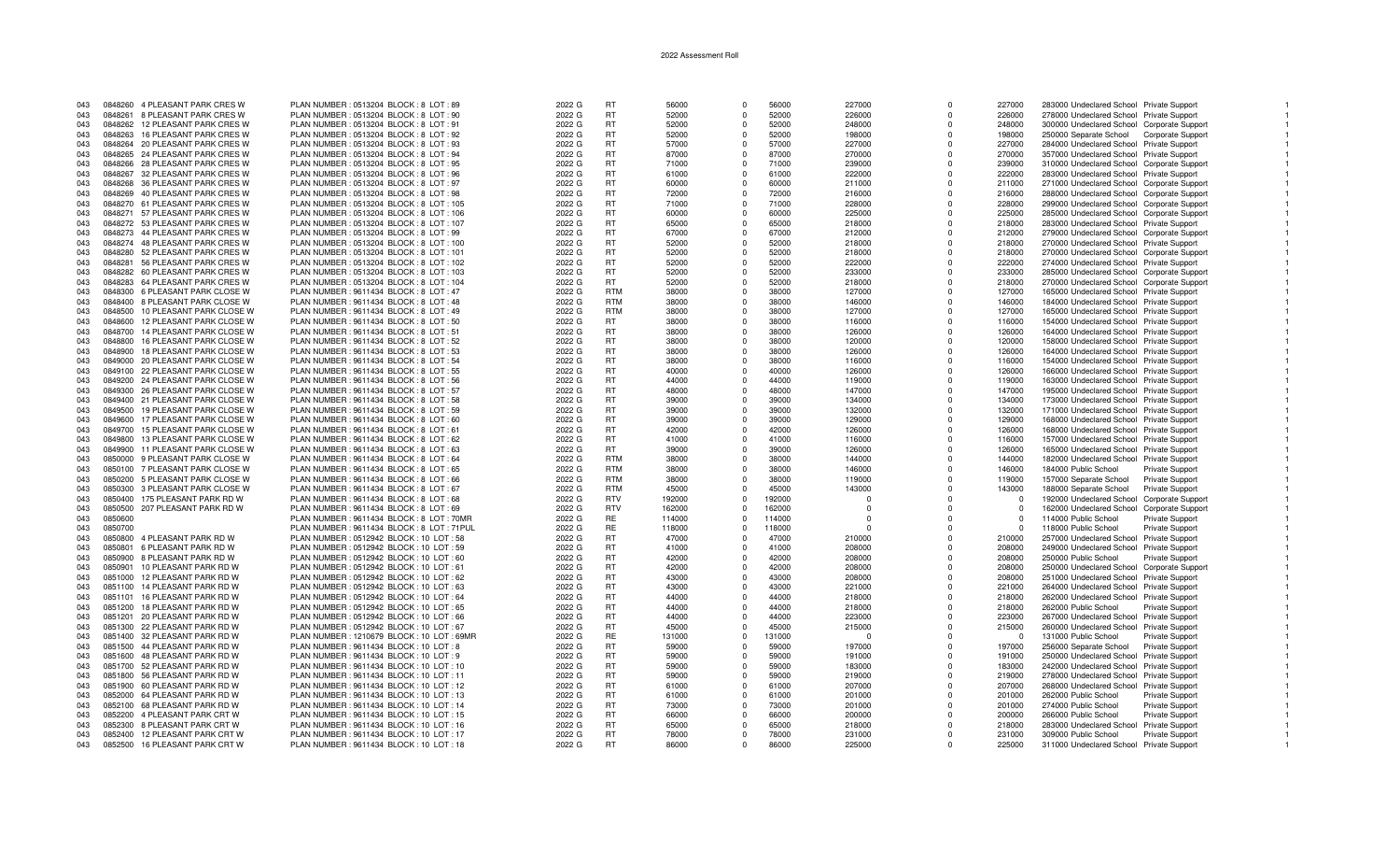| 043 | 0848260 | 4 PLEASANT PARK CRES W           | PLAN NUMBER: 0513204 BLOCK: 8 LOT: 89     | 2022 G | <b>RT</b>  | 56000  | $\Omega$   | 56000  | 227000   | $\Omega$    | 227000   | 283000 Undeclared School Private Support   |                        |
|-----|---------|----------------------------------|-------------------------------------------|--------|------------|--------|------------|--------|----------|-------------|----------|--------------------------------------------|------------------------|
| 043 | 0848261 | 8 PLEASANT PARK CRES W           | PLAN NUMBER : 0513204 BLOCK : 8 LOT : 90  | 2022 G | <b>RT</b>  | 52000  | $\Omega$   | 52000  | 226000   | $\Omega$    | 226000   | 278000 Undeclared School Private Support   |                        |
|     |         |                                  |                                           |        |            |        |            |        |          |             |          |                                            |                        |
| 043 |         | 0848262 12 PLEASANT PARK CRES W  | PLAN NUMBER: 0513204 BLOCK: 8 LOT: 91     | 2022 G | <b>RT</b>  | 52000  | $\Omega$   | 52000  | 248000   | n           | 248000   | 300000 Undeclared School Corporate Support |                        |
| 043 | 0848263 | 16 PLEASANT PARK CRES W          | PLAN NUMBER : 0513204 BLOCK : 8 LOT : 92  | 2022 G | RT         | 52000  | $\Omega$   | 52000  | 198000   | $\Omega$    | 198000   | 250000 Separate School Corporate Support   |                        |
| 043 |         | 0848264 20 PLEASANT PARK CRES W  | PLAN NUMBER : 0513204 BLOCK : 8 LOT : 93  | 2022 G | <b>RT</b>  | 57000  | $\Omega$   | 57000  | 227000   | $\Omega$    | 227000   | 284000 Undeclared School Private Support   |                        |
|     |         |                                  |                                           |        |            |        |            |        |          |             |          |                                            |                        |
| 043 |         | 0848265 24 PLEASANT PARK CRES W  | PLAN NUMBER : 0513204 BLOCK : 8 LOT : 94  | 2022 G | <b>RT</b>  | 87000  | $\Omega$   | 87000  | 270000   | $\Omega$    | 270000   | 357000 Undeclared School Private Support   |                        |
| 043 |         | 0848266 28 PLEASANT PARK CRES W  | PLAN NUMBER : 0513204 BLOCK : 8 LOT : 95  | 2022 G | <b>RT</b>  | 71000  | $^{\circ}$ | 71000  | 239000   | $\mathbf 0$ | 239000   | 310000 Undeclared School Corporate Support |                        |
| 043 | 0848267 | 32 PLEASANT PARK CRES W          | PLAN NUMBER: 0513204 BLOCK: 8 LOT: 96     | 2022 G | RT         | 61000  | $\Omega$   | 61000  | 222000   | $\Omega$    | 222000   | 283000 Undeclared School Private Support   |                        |
| 043 | 0848268 |                                  |                                           |        |            |        | $\Omega$   |        |          | $\Omega$    |          |                                            |                        |
|     |         | 36 PLEASANT PARK CRES W          | PLAN NUMBER : 0513204 BLOCK : 8 LOT : 97  | 2022 G | <b>RT</b>  | 60000  |            | 60000  | 211000   |             | 211000   | 271000 Undeclared School Corporate Support |                        |
| 043 |         | 0848269 40 PLEASANT PARK CRES W  | PLAN NUMBER : 0513204 BLOCK : 8 LOT : 98  | 2022 G | RT.        | 72000  | $\Omega$   | 72000  | 216000   | $\Omega$    | 216000   | 288000 Undeclared School Corporate Support |                        |
| 043 |         | 0848270 61 PLEASANT PARK CRES W  | PLAN NUMBER: 0513204 BLOCK: 8 LOT: 105    | 2022 G | <b>RT</b>  | 71000  | $\Omega$   | 71000  | 228000   | $\Omega$    | 228000   | 299000 Undeclared School Corporate Support |                        |
|     |         |                                  |                                           |        | <b>RT</b>  |        | $\Omega$   | 60000  |          | $\Omega$    |          |                                            |                        |
| 043 |         | 0848271 57 PLEASANT PARK CRES W  | PLAN NUMBER : 0513204 BLOCK : 8 LOT : 106 | 2022 G |            | 60000  |            |        | 225000   |             | 225000   | 285000 Undeclared School Corporate Support |                        |
| 043 |         | 0848272 53 PLEASANT PARK CRES W  | PLAN NUMBER : 0513204 BLOCK : 8 LOT : 107 | 2022 G | <b>RT</b>  | 65000  | $\Omega$   | 65000  | 218000   | $\Omega$    | 218000   | 283000 Undeclared School Private Support   |                        |
| 043 |         | 0848273 44 PLEASANT PARK CRES W  | PLAN NUMBER: 0513204 BLOCK: 8 LOT: 99     | 2022 G | RT         | 67000  | $\Omega$   | 67000  | 212000   | $\Omega$    | 212000   | 279000 Undeclared School Corporate Support |                        |
| 043 |         | 0848274 48 PLEASANT PARK CRES W  | PLAN NUMBER: 0513204 BLOCK: 8 LOT: 100    | 2022 G | <b>RT</b>  | 52000  | $\Omega$   | 52000  | 218000   | $\Omega$    | 218000   | 270000 Undeclared School Private Support   |                        |
|     |         |                                  |                                           |        |            |        |            |        |          |             |          |                                            |                        |
| 043 | 0848280 | 52 PLEASANT PARK CRES W          | PLAN NUMBER : 0513204 BLOCK : 8 LOT : 101 | 2022 G | RT.        | 52000  | $\Omega$   | 52000  | 218000   | $\Omega$    | 218000   | 270000 Undeclared School Corporate Support |                        |
| 043 | 0848281 | 56 PLEASANT PARK CRES W          | PLAN NUMBER : 0513204 BLOCK : 8 LOT : 102 | 2022 G | <b>RT</b>  | 52000  | $\Omega$   | 52000  | 222000   | $\Omega$    | 222000   | 274000 Undeclared School Private Support   |                        |
| 043 |         | 0848282 60 PLEASANT PARK CRES W  | PLAN NUMBER: 0513204 BLOCK: 8 LOT: 103    | 2022 G | <b>RT</b>  | 52000  | $\Omega$   | 52000  | 233000   | $\Omega$    | 233000   | 285000 Undeclared School Corporate Support |                        |
|     |         |                                  |                                           |        |            |        |            |        |          |             |          |                                            |                        |
| 043 |         | 0848283 64 PLEASANT PARK CRES W  | PLAN NUMBER : 0513204 BLOCK : 8 LOT : 104 | 2022 G | <b>RT</b>  | 52000  | $^{\circ}$ | 52000  | 218000   | $\Omega$    | 218000   | 270000 Undeclared School Corporate Support |                        |
| 043 |         | 0848300 6 PLEASANT PARK CLOSE W  | PLAN NUMBER : 9611434 BLOCK : 8 LOT : 47  | 2022 G | <b>RTM</b> | 38000  | $\Omega$   | 38000  | 127000   | $\Omega$    | 127000   | 165000 Undeclared School Private Support   |                        |
| 043 | 0848400 | 8 PLEASANT PARK CLOSE W          | PLAN NUMBER : 9611434 BLOCK : 8 LOT : 48  | 2022 G | <b>RTM</b> | 38000  | $\Omega$   | 38000  | 146000   | $\Omega$    | 146000   | 184000 Undeclared School Private Support   |                        |
|     |         | 10 PLEASANT PARK CLOSE W         | PLAN NUMBER : 9611434 BLOCK : 8 LOT : 49  | 2022 G | <b>RTM</b> | 38000  | $\Omega$   | 38000  |          | $\Omega$    |          |                                            |                        |
| 043 | 0848500 |                                  |                                           |        |            |        |            |        | 127000   |             | 127000   | 165000 Undeclared School Private Support   |                        |
| 043 | 0848600 | 12 PLEASANT PARK CLOSE W         | PLAN NUMBER : 9611434 BLOCK : 8 LOT : 50  | 2022 G | RT         | 38000  | $\Omega$   | 38000  | 116000   | $\Omega$    | 116000   | 154000 Undeclared School Private Support   |                        |
| 043 | 0848700 | 14 PLEASANT PARK CLOSE W         | PLAN NUMBER: 9611434 BLOCK: 8 LOT: 51     | 2022 G | <b>RT</b>  | 38000  | $\Omega$   | 38000  | 126000   | $\Omega$    | 126000   | 164000 Undeclared School Private Support   |                        |
| 043 | 0848800 | 16 PLEASANT PARK CLOSE W         | PLAN NUMBER : 9611434 BLOCK : 8 LOT : 52  | 2022 G | <b>RT</b>  | 38000  | $\Omega$   | 38000  | 120000   | $\Omega$    | 120000   | 158000 Undeclared School Private Support   |                        |
|     |         |                                  |                                           |        |            |        |            |        |          |             |          |                                            |                        |
| 043 | 0848900 | 18 PLEASANT PARK CLOSE W         | PLAN NUMBER : 9611434 BLOCK : 8 LOT : 53  | 2022 G | RT         | 38000  | $\Omega$   | 38000  | 126000   | $\Omega$    | 126000   | 164000 Undeclared School Private Support   |                        |
| 043 |         | 0849000 20 PLEASANT PARK CLOSE W | PLAN NUMBER : 9611434 BLOCK : 8 LOT : 54  | 2022 G | RT         | 38000  | $\Omega$   | 38000  | 116000   | $\Omega$    | 116000   | 154000 Undeclared School Private Support   |                        |
| 043 |         | 0849100 22 PLEASANT PARK CLOSE W | PLAN NUMBER : 9611434 BLOCK : 8 LOT : 55  | 2022 G | RT.        | 40000  | $\Omega$   | 40000  | 126000   | $\Omega$    | 126000   | 166000 Undeclared School Private Support   |                        |
|     |         |                                  |                                           |        |            |        |            |        |          |             |          |                                            |                        |
| 043 |         | 0849200 24 PLEASANT PARK CLOSE W | PLAN NUMBER : 9611434 BLOCK : 8 LOT : 56  | 2022 G | RT         | 44000  | $\Omega$   | 44000  | 119000   | $\Omega$    | 119000   | 163000 Undeclared School Private Support   |                        |
| 043 |         | 0849300 26 PLEASANT PARK CLOSE W | PLAN NUMBER: 9611434 BLOCK: 8 LOT: 57     | 2022 G | <b>RT</b>  | 48000  | $\Omega$   | 48000  | 147000   | $\Omega$    | 147000   | 195000 Undeclared School Private Support   |                        |
| 043 |         | 0849400 21 PLEASANT PARK CLOSE W | PLAN NUMBER : 9611434 BLOCK : 8 LOT : 58  | 2022 G | <b>RT</b>  | 39000  | $^{\circ}$ | 39000  | 134000   | $\Omega$    | 134000   | 173000 Undeclared School Private Support   |                        |
|     |         |                                  |                                           |        |            |        |            |        |          |             |          |                                            |                        |
| 043 | 0849500 | 19 PLEASANT PARK CLOSE W         | PLAN NUMBER: 9611434 BLOCK: 8 LOT: 59     | 2022 G | <b>RT</b>  | 39000  | $\Omega$   | 39000  | 132000   | $\Omega$    | 132000   | 171000 Undeclared School Private Support   |                        |
| 043 | 0849600 | 17 PLEASANT PARK CLOSE W         | PLAN NUMBER : 9611434 BLOCK : 8 LOT : 60  | 2022 G | <b>RT</b>  | 39000  | $\Omega$   | 39000  | 129000   | $\Omega$    | 129000   | 168000 Undeclared School Private Support   |                        |
| 043 |         | 0849700 15 PLEASANT PARK CLOSE W | PLAN NUMBER : 9611434 BLOCK : 8 LOT : 61  | 2022 G | RT.        | 42000  | $\Omega$   | 42000  | 126000   | $\Omega$    | 126000   | 168000 Undeclared School Private Support   |                        |
|     |         |                                  |                                           |        | <b>RT</b>  |        | $\Omega$   |        |          |             |          |                                            |                        |
| 043 |         | 0849800 13 PLEASANT PARK CLOSE W | PLAN NUMBER: 9611434 BLOCK: 8 LOT: 62     | 2022 G |            | 41000  |            | 41000  | 116000   | $\Omega$    | 116000   | 157000 Undeclared School Private Support   |                        |
| 043 | 0849900 | 11 PLEASANT PARK CLOSE W         | PLAN NUMBER : 9611434 BLOCK : 8 LOT : 63  | 2022 G | <b>RT</b>  | 39000  | $\Omega$   | 39000  | 126000   | $\Omega$    | 126000   | 165000 Undeclared School Private Support   |                        |
| 043 | 0850000 | 9 PLEASANT PARK CLOSE W          | PLAN NUMBER : 9611434 BLOCK : 8 LOT : 64  | 2022 G | <b>RTM</b> | 38000  | $\Omega$   | 38000  | 144000   | $\Omega$    | 144000   | 182000 Undeclared School Private Support   |                        |
| 043 | 0850100 | 7 PLEASANT PARK CLOSE W          | PLAN NUMBER : 9611434 BLOCK : 8 LOT : 65  | 2022 G | <b>RTM</b> | 38000  | $\Omega$   | 38000  | 146000   | $\Omega$    | 146000   | 184000 Public School                       |                        |
|     |         |                                  |                                           |        |            |        |            |        |          |             |          |                                            | Private Support        |
| 043 | 0850200 | 5 PLEASANT PARK CLOSE W          | PLAN NUMBER : 9611434 BLOCK : 8 LOT : 66  | 2022 G | <b>RTM</b> | 38000  | $^{\circ}$ | 38000  | 119000   | $\mathbf 0$ | 119000   | 157000 Separate School                     | <b>Private Support</b> |
| 043 | 0850300 | 3 PLEASANT PARK CLOSE W          | PLAN NUMBER : 9611434 BLOCK : 8 LOT : 67  | 2022 G | <b>RTM</b> | 45000  | $\Omega$   | 45000  | 143000   | $\Omega$    | 143000   | 188000 Separate School                     | <b>Private Support</b> |
| 043 | 0850400 | 175 PLEASANT PARK RD W           | PLAN NUMBER : 9611434 BLOCK : 8 LOT : 68  | 2022 G | <b>RTV</b> | 192000 | $\Omega$   | 192000 | $\Omega$ | $\Omega$    | $\Omega$ | 192000 Undeclared School Corporate Support |                        |
|     |         |                                  |                                           |        |            |        |            |        |          |             |          |                                            |                        |
| 043 | 0850500 | 207 PLEASANT PARK RD W           | PLAN NUMBER: 9611434 BLOCK: 8 LOT: 69     | 2022 G | <b>RTV</b> | 162000 | $\Omega$   | 162000 | $\Omega$ | O           | $\Omega$ | 162000 Undeclared School Corporate Support |                        |
| 043 | 0850600 |                                  | PLAN NUMBER: 9611434 BLOCK: 8 LOT: 70MR   | 2022 G | RE         | 114000 | $\Omega$   | 114000 | $\Omega$ | $\Omega$    | $\Omega$ | 114000 Public School                       | Private Support        |
| 043 | 0850700 |                                  | PLAN NUMBER: 9611434 BLOCK: 8 LOT: 71PUL  | 2022 G | <b>RE</b>  | 118000 | $\Omega$   | 118000 | $\Omega$ | $\Omega$    | $\Omega$ | 118000 Public School                       | Private Support        |
| 043 | 0850800 | 4 PLEASANT PARK RD W             | PLAN NUMBER : 0512942 BLOCK : 10 LOT : 58 | 2022 G | RT         | 47000  | $\Omega$   | 47000  | 210000   | $\Omega$    | 210000   |                                            |                        |
|     |         |                                  |                                           |        |            |        |            |        |          |             |          | 257000 Undeclared School Private Support   |                        |
| 043 | 0850801 | 6 PLEASANT PARK RD W             | PLAN NUMBER : 0512942 BLOCK : 10 LOT : 59 | 2022 G | <b>RT</b>  | 41000  | $\Omega$   | 41000  | 208000   | $\Omega$    | 208000   | 249000 Undeclared School Private Support   |                        |
| 043 | 0850900 | 8 PLEASANT PARK RD W             | PLAN NUMBER : 0512942 BLOCK : 10 LOT : 60 | 2022 G | RT.        | 42000  | $\Omega$   | 42000  | 208000   | $\Omega$    | 208000   | 250000 Public School                       | <b>Private Support</b> |
| 043 | 0850901 | 10 PLEASANT PARK RD W            | PLAN NUMBER: 0512942 BLOCK: 10 LOT: 61    | 2022 G | RT.        | 42000  | $\Omega$   | 42000  | 208000   | $\Omega$    | 208000   | 250000 Undeclared School Corporate Support |                        |
|     |         |                                  |                                           |        |            |        |            |        |          |             |          |                                            |                        |
| 043 | 0851000 | 12 PLEASANT PARK RD W            | PLAN NUMBER : 0512942 BLOCK : 10 LOT : 62 | 2022 G | <b>RT</b>  | 43000  | $\Omega$   | 43000  | 208000   | $\Omega$    | 208000   | 251000 Undeclared School Private Support   |                        |
| 043 |         | 0851100 14 PLEASANT PARK RD W    | PLAN NUMBER : 0512942 BLOCK : 10 LOT : 63 | 2022 G | <b>RT</b>  | 43000  | $\Omega$   | 43000  | 221000   | $\Omega$    | 221000   | 264000 Undeclared School Private Support   |                        |
| 043 |         | 0851101 16 PLEASANT PARK RD W    | PLAN NUMBER : 0512942 BLOCK : 10 LOT : 64 | 2022 G | <b>RT</b>  | 44000  | $^{\circ}$ | 44000  | 218000   | $\mathbf 0$ | 218000   | 262000 Undeclared School Private Support   |                        |
| 043 | 0851200 | 18 PLEASANT PARK RD W            | PLAN NUMBER : 0512942 BLOCK : 10 LOT : 65 | 2022 G | <b>RT</b>  | 44000  | $\Omega$   | 44000  | 218000   | $\Omega$    | 218000   | 262000 Public School                       | Private Support        |
|     |         |                                  |                                           |        |            |        |            |        |          |             |          |                                            |                        |
| 043 |         | 0851201 20 PLEASANT PARK RD W    | PLAN NUMBER : 0512942 BLOCK : 10 LOT : 66 | 2022 G | RT.        | 44000  | $\Omega$   | 44000  | 223000   | $\Omega$    | 223000   | 267000 Undeclared School Private Support   |                        |
| 043 | 0851300 | 22 PLEASANT PARK RD W            | PLAN NUMBER : 0512942 BLOCK : 10 LOT : 67 | 2022 G | RT.        | 45000  | $\Omega$   | 45000  | 215000   | $\Omega$    | 215000   | 260000 Undeclared School Private Support   |                        |
| 043 | 0851400 | 32 PLEASANT PARK RD W            | PLAN NUMBER: 1210679 BLOCK: 10 LOT: 69MF  | 2022 G | RE         | 131000 | $\Omega$   | 131000 | $\Omega$ | $\Omega$    | - 0      | 131000 Public School                       | <b>Private Support</b> |
|     |         |                                  |                                           |        |            |        |            |        |          |             |          |                                            |                        |
| 043 | 0851500 | 44 PLEASANT PARK RD W            | PLAN NUMBER : 9611434 BLOCK : 10 LOT : 8  | 2022 G | <b>RT</b>  | 59000  | $\Omega$   | 59000  | 197000   | $\Omega$    | 197000   | 256000 Separate School                     | <b>Private Support</b> |
| 043 |         | 0851600 48 PLEASANT PARK RD W    | PLAN NUMBER : 9611434 BLOCK : 10 LOT : 9  | 2022 G | RT         | 59000  | $\Omega$   | 59000  | 191000   | $\Omega$    | 191000   | 250000 Undeclared School Private Support   |                        |
| 043 |         | 0851700 52 PLEASANT PARK RD W    | PLAN NUMBER : 9611434 BLOCK : 10 LOT : 10 | 2022 G | RT         | 59000  | $^{\circ}$ | 59000  | 183000   | $\Omega$    | 183000   | 242000 Undeclared School Private Support   |                        |
| 043 |         | 0851800 56 PLEASANT PARK RD W    | PLAN NUMBER : 9611434 BLOCK : 10 LOT : 11 | 2022 G | RT         | 59000  | $\Omega$   | 59000  | 219000   | $\Omega$    | 219000   | 278000 Undeclared School Private Support   |                        |
|     |         |                                  |                                           |        |            |        |            |        |          |             |          |                                            |                        |
| 043 |         | 0851900 60 PLEASANT PARK RD W    | PLAN NUMBER : 9611434 BLOCK : 10 LOT : 12 | 2022 G | RT.        | 61000  | $\Omega$   | 61000  | 207000   | $\Omega$    | 207000   | 268000 Undeclared School Private Support   |                        |
| 043 |         | 0852000 64 PLEASANT PARK RD W    | PLAN NUMBER : 9611434 BLOCK : 10 LOT : 13 | 2022 G | RT         | 61000  | $\Omega$   | 61000  | 201000   | $\Omega$    | 201000   | 262000 Public School                       | <b>Private Support</b> |
| 043 |         | 0852100 68 PLEASANT PARK RD W    | PLAN NUMBER : 9611434 BLOCK : 10 LOT : 14 | 2022 G | <b>RT</b>  | 73000  | $^{\circ}$ | 73000  | 201000   | $\Omega$    | 201000   | 274000 Public School                       | <b>Private Support</b> |
|     |         |                                  |                                           |        |            |        |            |        |          |             |          |                                            |                        |
| 043 | 0852200 | 4 PLEASANT PARK CRT W            | PLAN NUMBER: 9611434 BLOCK: 10 LOT: 15    | 2022 G | RT         | 66000  | $\Omega$   | 66000  | 200000   | $\Omega$    | 200000   | 266000 Public School                       | <b>Private Support</b> |
| 043 | 0852300 | 8 PLEASANT PARK CRT W            | PLAN NUMBER : 9611434 BLOCK : 10 LOT : 16 | 2022 G | <b>RT</b>  | 65000  | $\Omega$   | 65000  | 218000   | $\Omega$    | 218000   | 283000 Undeclared School Private Support   |                        |
| 043 |         | 0852400 12 PLEASANT PARK CRT W   | PLAN NUMBER : 9611434 BLOCK : 10 LOT : 17 | 2022 G | RT.        | 78000  | $\Omega$   | 78000  | 231000   |             | 231000   | 309000 Public School                       | <b>Private Support</b> |
| 043 |         | 0852500 16 PLEASANT PARK CRT W   | PLAN NUMBER: 9611434 BLOCK: 10 LOT: 18    | 2022 G | <b>RT</b>  | 86000  | $\Omega$   | 86000  | 225000   | $\Omega$    | 225000   | 311000 Undeclared School Private Support   |                        |
|     |         |                                  |                                           |        |            |        |            |        |          |             |          |                                            |                        |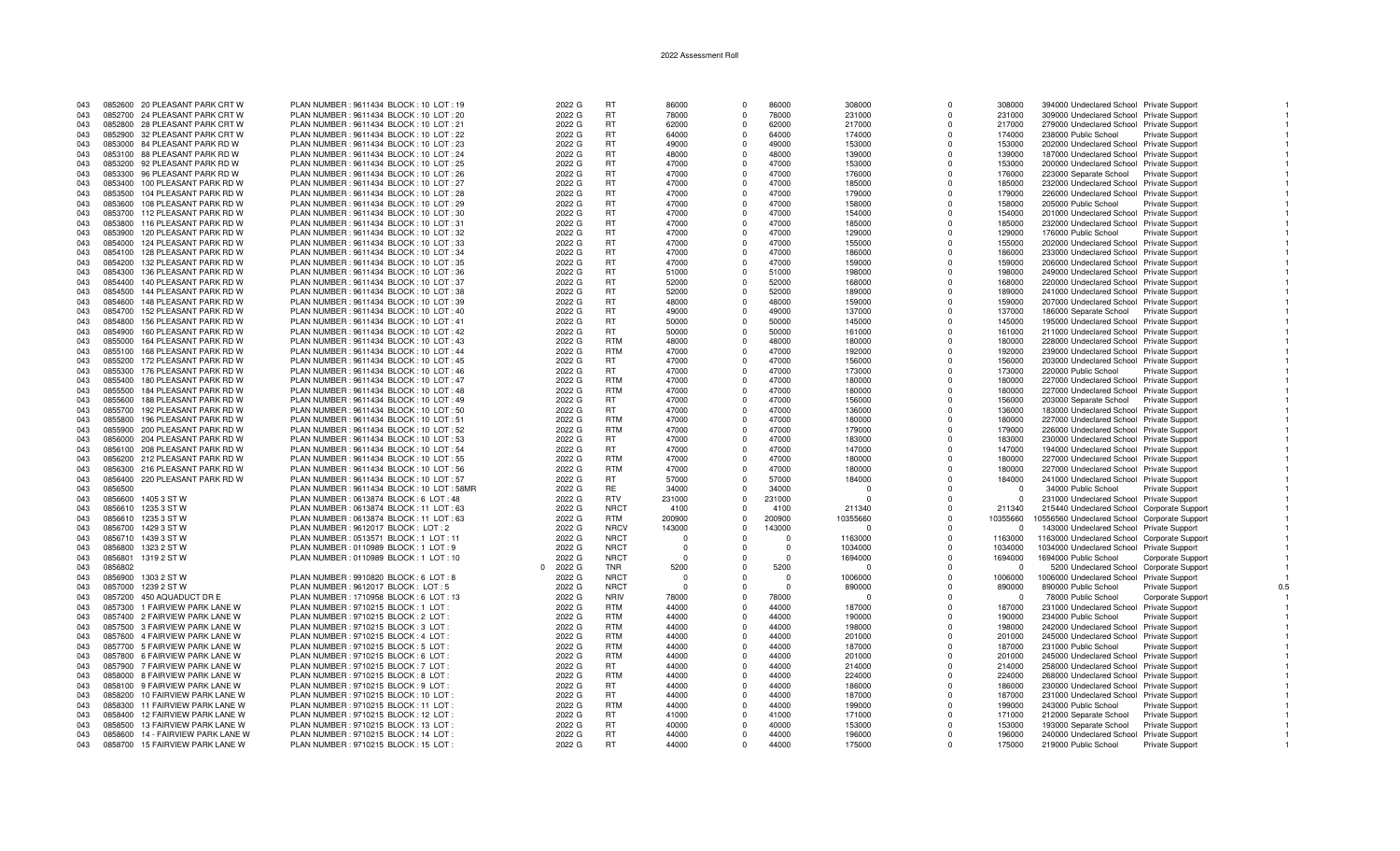| 043 | 0852600 20 PLEASANT PARK CRT W           | PLAN NUMBER: 9611434 BLOCK: 10 LOT: 19    | 2022 G             | <b>RT</b>   | 86000    | $\Omega$ | 86000    | 308000   | $\Omega$     | 308000   | 394000 Undeclared School Private Support     |                        |     |
|-----|------------------------------------------|-------------------------------------------|--------------------|-------------|----------|----------|----------|----------|--------------|----------|----------------------------------------------|------------------------|-----|
| 043 | 0852700 24 PLEASANT PARK CRT W           | PLAN NUMBER : 9611434 BLOCK : 10 LOT : 20 | 2022 G             | <b>RT</b>   | 78000    | $\Omega$ | 78000    | 231000   | <sup>n</sup> | 231000   | 309000 Undeclared School Private Support     |                        |     |
| 043 | 0852800 28 PLEASANT PARK CRT W           | PLAN NUMBER: 9611434 BLOCK: 10 LOT: 21    | 2022 G             | <b>RT</b>   | 62000    | $\Omega$ | 62000    | 217000   | <sup>n</sup> | 217000   | 279000 Undeclared School Private Support     |                        |     |
|     |                                          |                                           |                    |             |          |          |          |          |              |          |                                              |                        |     |
| 043 | 0852900 32 PLEASANT PARK CRT W           | PLAN NUMBER : 9611434 BLOCK : 10 LOT : 22 | 2022 G             | <b>RT</b>   | 64000    | $\Omega$ | 64000    | 174000   | $\Omega$     | 174000   | 238000 Public School                         | <b>Private Support</b> |     |
| 043 | 0853000 84 PLEASANT PARK RD W            | PLAN NUMBER : 9611434 BLOCK : 10 LOT : 23 | 2022 G             | <b>RT</b>   | 49000    | $\Omega$ | 49000    | 153000   | $\Omega$     | 153000   | 202000 Undeclared School Private Support     |                        |     |
| 043 | 0853100 88 PLEASANT PARK RD W            | PLAN NUMBER : 9611434 BLOCK : 10 LOT : 24 | 2022 G             | <b>RT</b>   | 48000    | $\Omega$ | 48000    | 139000   | $\Omega$     | 139000   | 187000 Undeclared School Private Support     |                        |     |
| 043 | 0853200<br>92 PLEASANT PARK RD W         | PLAN NUMBER : 9611434 BLOCK : 10 LOT : 25 | 2022 G             | <b>RT</b>   | 47000    | $\Omega$ | 47000    | 153000   | $\mathbf 0$  | 153000   | 200000 Undeclared School Private Support     |                        |     |
| 043 | 96 PLEASANT PARK RD W<br>0853300         | PLAN NUMBER : 9611434 BLOCK : 10 LOT : 26 | 2022 G             | <b>RT</b>   | 47000    | $\Omega$ | 47000    | 176000   | $\Omega$     | 176000   | 223000 Separate School Private Support       |                        |     |
| 043 | 0853400<br>100 PLEASANT PARK RD W        | PLAN NUMBER: 9611434 BLOCK: 10 LOT: 27    | 2022 G             | <b>RT</b>   | 47000    | $\Omega$ | 47000    | 185000   | $\Omega$     | 185000   | 232000 Undeclared School Private Support     |                        |     |
|     |                                          |                                           |                    |             |          |          |          |          |              |          |                                              |                        |     |
| 043 | 0853500<br>104 PLEASANT PARK RD W        | PLAN NUMBER: 9611434 BLOCK: 10 LOT: 28    | 2022 G             | <b>RT</b>   | 47000    | $\Omega$ | 47000    | 179000   | 0            | 179000   | 226000 Undeclared School Private Support     |                        |     |
| 043 | 108 PLEASANT PARK RD W<br>0853600        | PLAN NUMBER : 9611434 BLOCK : 10 LOT : 29 | 2022 G             | <b>RT</b>   | 47000    | $\Omega$ | 47000    | 158000   | $\Omega$     | 158000   | 205000 Public School                         | Private Support        |     |
| 043 | 0853700<br>112 PLEASANT PARK RD W        | PLAN NUMBER : 9611434 BLOCK : 10 LOT : 30 | 2022 G             | <b>RT</b>   | 47000    | $\Omega$ | 47000    | 154000   | $\Omega$     | 154000   | 201000 Undeclared School Private Support     |                        |     |
| 043 | 0853800<br>116 PLEASANT PARK RD W        | PLAN NUMBER : 9611434 BLOCK : 10 LOT : 31 | 2022 G             | <b>RT</b>   | 47000    | $\Omega$ | 47000    | 185000   | $\Omega$     | 185000   | 232000 Undeclared School Private Support     |                        |     |
| 043 | 120 PLEASANT PARK RD W<br>0853900        | PLAN NUMBER : 9611434 BLOCK : 10 LOT : 32 | 2022 G             | <b>RT</b>   | 47000    | $\Omega$ | 47000    | 129000   | $\Omega$     | 129000   | 176000 Public School                         | <b>Private Support</b> |     |
|     |                                          |                                           |                    |             | 47000    |          | 47000    |          |              |          |                                              |                        |     |
| 043 | 124 PLEASANT PARK RD W<br>0854000        | PLAN NUMBER: 9611434 BLOCK: 10 LOT: 33    | 2022 G             | <b>RT</b>   |          | $\Omega$ |          | 155000   | $\Omega$     | 155000   | 202000 Undeclared School Private Support     |                        |     |
| 043 | 128 PLEASANT PARK RD W<br>0854100        | PLAN NUMBER : 9611434 BLOCK : 10 LOT : 34 | 2022 G             | <b>RT</b>   | 47000    | $\Omega$ | 47000    | 186000   | $\Omega$     | 186000   | 233000 Undeclared School Private Support     |                        |     |
| 043 | 132 PLEASANT PARK RD W<br>0854200        | PLAN NUMBER : 9611434 BLOCK : 10 LOT : 35 | 2022 G             | <b>RT</b>   | 47000    | $\Omega$ | 47000    | 159000   | $\Omega$     | 159000   | 206000 Undeclared School Private Support     |                        |     |
| 043 | 0854300<br>136 PLEASANT PARK RD W        | PLAN NUMBER: 9611434 BLOCK: 10 LOT: 36    | 2022 G             | <b>RT</b>   | 51000    | $\Omega$ | 51000    | 198000   | $\Omega$     | 198000   | 249000 Undeclared School Private Support     |                        |     |
| 043 | 140 PLEASANT PARK RD W<br>0854400        | PLAN NUMBER : 9611434 BLOCK : 10 LOT : 37 | 2022 G             | <b>RT</b>   | 52000    | $\Omega$ | 52000    | 168000   | $\Omega$     | 168000   | 220000 Undeclared School Private Support     |                        |     |
| 043 | 0854500<br>144 PLEASANT PARK RD W        | PLAN NUMBER : 9611434 BLOCK : 10 LOT : 38 | 2022 G             | <b>RT</b>   | 52000    | $\Omega$ | 52000    | 189000   | $\Omega$     | 189000   | 241000 Undeclared School Private Support     |                        |     |
|     |                                          |                                           |                    |             |          |          |          |          |              |          |                                              |                        |     |
| 043 | 0854600<br>148 PLEASANT PARK RD W        | PLAN NUMBER : 9611434 BLOCK : 10 LOT : 39 | 2022 G             | <b>RT</b>   | 48000    | $\Omega$ | 48000    | 159000   | $\Omega$     | 159000   | 207000 Undeclared School Private Support     |                        |     |
| 043 | 0854700<br>152 PLEASANT PARK RD W        | PLAN NUMBER : 9611434 BLOCK : 10 LOT : 40 | 2022 G             | <b>RT</b>   | 49000    | $\Omega$ | 49000    | 137000   | $\Omega$     | 137000   | 186000 Separate School Private Support       |                        |     |
| 043 | 0854800<br>156 PLEASANT PARK RD W        | PLAN NUMBER: 9611434 BLOCK: 10 LOT: 41    | 2022 G             | <b>RT</b>   | 50000    | $\Omega$ | 50000    | 145000   | $\Omega$     | 145000   | 195000 Undeclared School Private Support     |                        |     |
| 043 | 0854900<br>160 PLEASANT PARK RD W        | PLAN NUMBER : 9611434 BLOCK : 10 LOT : 42 | 2022 G             | RT.         | 50000    | $\Omega$ | 50000    | 161000   | $\Omega$     | 161000   | 211000 Undeclared School Private Support     |                        |     |
| 043 | 0855000<br>164 PLEASANT PARK RD W        | PLAN NUMBER: 9611434 BLOCK: 10 LOT: 43    | 2022 G             | <b>RTM</b>  | 48000    | $\Omega$ | 48000    | 180000   | $\Omega$     | 180000   | 228000 Undeclared School Private Support     |                        |     |
| 043 | 168 PLEASANT PARK RD W<br>0855100        | PLAN NUMBER : 9611434 BLOCK : 10 LOT : 44 | 2022 G             | <b>RTM</b>  | 47000    | $\Omega$ | 47000    | 192000   | $\Omega$     | 192000   | 239000 Undeclared School Private Support     |                        |     |
|     |                                          |                                           |                    |             |          |          |          |          |              |          |                                              |                        |     |
| 043 | 0855200<br>172 PLEASANT PARK RD W        | PLAN NUMBER: 9611434 BLOCK: 10 LOT: 45    | 2022 G             | <b>RT</b>   | 47000    | $\Omega$ | 47000    | 156000   | $\Omega$     | 156000   | 203000 Undeclared School Private Support     |                        |     |
| 043 | 0855300<br>176 PLEASANT PARK RD W        | PLAN NUMBER : 9611434 BLOCK : 10 LOT : 46 | 2022 G             | RT.         | 47000    | $\Omega$ | 47000    | 173000   | $\Omega$     | 173000   | 220000 Public School                         | Private Support        |     |
| 043 | 0855400<br>180 PLEASANT PARK RD W        | PLAN NUMBER : 9611434 BLOCK : 10 LOT : 47 | 2022 G             | <b>RTM</b>  | 47000    | $\Omega$ | 47000    | 180000   | $\Omega$     | 180000   | 227000 Undeclared School Private Support     |                        |     |
| 043 | 0855500<br>184 PLEASANT PARK RD W        | PLAN NUMBER: 9611434 BLOCK: 10 LOT: 48    | 2022 G             | <b>RTM</b>  | 47000    | $\Omega$ | 47000    | 180000   | $\Omega$     | 180000   | 227000 Undeclared School Private Support     |                        |     |
| 043 | 188 PLEASANT PARK RD W<br>0855600        | PLAN NUMBER: 9611434 BLOCK: 10 LOT: 49    | 2022 G             | RT.         | 47000    | $\Omega$ | 47000    | 156000   | $\Omega$     | 156000   | 203000 Separate School Private Support       |                        |     |
|     |                                          |                                           |                    |             |          |          |          |          |              |          |                                              |                        |     |
| 043 | 0855700<br>192 PLEASANT PARK RD W        | PLAN NUMBER : 9611434 BLOCK : 10 LOT : 50 | 2022 G             | RT.         | 47000    | $\Omega$ | 47000    | 136000   | $\Omega$     | 136000   | 183000 Undeclared School Private Support     |                        |     |
| 043 | 0855800<br>196 PLEASANT PARK RD W        | PLAN NUMBER: 9611434 BLOCK: 10 LOT: 51    | 2022 G             | <b>RTM</b>  | 47000    | $\Omega$ | 47000    | 180000   | <sup>n</sup> | 180000   | 227000 Undeclared School Private Support     |                        |     |
| 043 | 0855900<br>200 PLEASANT PARK RD W        | PLAN NUMBER: 9611434 BLOCK: 10 LOT: 52    | 2022 G             | <b>RTM</b>  | 47000    | $\Omega$ | 47000    | 179000   | $\Omega$     | 179000   | 226000 Undeclared School Private Support     |                        |     |
| 043 | 204 PLEASANT PARK RD W<br>0856000        | PLAN NUMBER: 9611434 BLOCK: 10 LOT: 53    | 2022 G             | <b>RT</b>   | 47000    | $\Omega$ | 47000    | 183000   | $\Omega$     | 183000   | 230000 Undeclared School Private Support     |                        |     |
| 043 | 0856100 208 PLEASANT PARK RD W           | PLAN NUMBER : 9611434 BLOCK : 10 LOT : 54 | 2022 G             | <b>RT</b>   | 47000    | $\Omega$ | 47000    | 147000   | $\Omega$     | 147000   | 194000 Undeclared School Private Support     |                        |     |
| 043 |                                          |                                           |                    | <b>RTM</b>  | 47000    | $\Omega$ | 47000    | 180000   | $\Omega$     | 180000   |                                              |                        |     |
|     | 0856200 212 PLEASANT PARK RD W           | PLAN NUMBER : 9611434 BLOCK : 10 LOT : 55 | 2022 G             |             |          |          |          |          |              |          | 227000 Undeclared School Private Support     |                        |     |
| 043 | 0856300 216 PLEASANT PARK RD W           | PLAN NUMBER : 9611434 BLOCK : 10 LOT : 56 | 2022 G             | <b>RTM</b>  | 47000    | $\Omega$ | 47000    | 180000   | $\Omega$     | 180000   | 227000 Undeclared School Private Support     |                        |     |
| 043 | 0856400<br>220 PLEASANT PARK RD W        | PLAN NUMBER: 9611434 BLOCK: 10 LOT: 57    | 2022 G             | <b>RT</b>   | 57000    | $\Omega$ | 57000    | 184000   | $\Omega$     | 184000   | 241000 Undeclared School Private Support     |                        |     |
| 043 | 0856500                                  | PLAN NUMBER: 9611434 BLOCK: 10 LOT: 58MF  | 2022 G             | <b>RE</b>   | 34000    | $\Omega$ | 34000    | $\Omega$ | $\Omega$     | $\Omega$ | 34000 Public School                          | Private Support        |     |
| 043 | 0856600<br>1405 3 ST W                   | PLAN NUMBER : 0613874 BLOCK : 6 LOT : 48  | 2022 G             | <b>RTV</b>  | 231000   | $\Omega$ | 231000   |          |              |          | 231000 Undeclared School Private Support     |                        |     |
| 043 | 0856610<br>1235 3 ST W                   | PLAN NUMBER : 0613874 BLOCK : 11 LOT : 63 | 2022 G             | <b>NRCT</b> | 4100     | $\Omega$ | 4100     | 211340   | $\Omega$     | 211340   | 215440 Undeclared School Corporate Support   |                        |     |
| 043 | 0856610<br>1235 3 ST W                   |                                           | 2022 G             | <b>RTM</b>  | 200900   | $\Omega$ | 200900   | 10355660 | $\Omega$     | 10355660 |                                              |                        |     |
|     |                                          | PLAN NUMBER : 0613874 BLOCK : 11 LOT : 63 |                    |             |          |          |          |          |              |          | 10556560 Undeclared School Corporate Support |                        |     |
| 043 | 0856700<br>1429 3 ST W                   | PLAN NUMBER : 9612017 BLOCK : LOT : 2     | 2022 G             | <b>NRCV</b> | 143000   | $\Omega$ | 143000   | $\Omega$ | $\Omega$     | $\Omega$ | 143000 Undeclared School Private Support     |                        |     |
| 043 | 0856710<br>1439 3 ST W                   | PLAN NUMBER: 0513571 BLOCK: 1 LOT: 11     | 2022 G             | <b>NRCT</b> | $\Omega$ | $\Omega$ | $\Omega$ | 1163000  | $\Omega$     | 1163000  | 1163000 Undeclared School Corporate Support  |                        |     |
| 043 | 0856800<br>1323 2 ST W                   | PLAN NUMBER: 0110989 BLOCK: 1 LOT: 9      | 2022 G             | <b>NRCT</b> | $\Omega$ | $\Omega$ | $\Omega$ | 1034000  | $\Omega$     | 1034000  | 1034000 Undeclared School Private Support    |                        |     |
| 043 | 0856801<br>1319 2 ST W                   | PLAN NUMBER : 0110989 BLOCK : 1 LOT : 10  | 2022 G             | <b>NRCT</b> | $\Omega$ | $\Omega$ | $\Omega$ | 1694000  | $\Omega$     | 1694000  | 1694000 Public School                        | Corporate Support      |     |
| 043 | 0856802                                  |                                           | 2022 G<br>$\Omega$ | <b>TNR</b>  | 5200     | $\Omega$ | 5200     | $\cap$   | $\Omega$     | $\Omega$ | 5200 Undeclared School Corporate Support     |                        |     |
| 043 | 0856900<br>1303 2 ST W                   | PLAN NUMBER : 9910820 BLOCK : 6 LOT : 8   | 2022 G             | <b>NRCT</b> | $\Omega$ |          | $\Omega$ | 1006000  | $\Omega$     | 1006000  | 1006000 Undeclared School Private Support    |                        |     |
|     |                                          |                                           |                    |             |          |          |          |          |              |          |                                              |                        |     |
| 043 | 1239 2 ST W<br>0857000                   | PLAN NUMBER: 9612017 BLOCK: LOT: 5        | 2022 G             | <b>NRCT</b> | - 0      | $\Omega$ | $\Omega$ | 890000   | $\Omega$     | 890000   | 890000 Public School                         | <b>Private Support</b> | 0.5 |
| 043 | 0857200<br>450 AQUADUCT DR E             | PLAN NUMBER: 1710958 BLOCK: 6 LOT: 13     | 2022 G             | <b>NRIV</b> | 78000    |          | 78000    | $\Omega$ | $\Omega$     | $\Omega$ | 78000 Public School                          | Corporate Support      |     |
| 043 | 0857300<br>1 FAIRVIEW PARK LANE W        | PLAN NUMBER : 9710215 BLOCK : 1 LOT :     | 2022 G             | <b>RTM</b>  | 44000    | $\Omega$ | 44000    | 187000   | $\Omega$     | 187000   | 231000 Undeclared School Private Support     |                        |     |
| 043 | 2 FAIRVIEW PARK LANE W<br>0857400        | PLAN NUMBER : 9710215 BLOCK : 2 LOT :     | 2022 G             | <b>RTM</b>  | 44000    | $\Omega$ | 44000    | 190000   | $\Omega$     | 190000   | 234000 Public School                         | Private Support        |     |
| 043 | 0857500<br>3 FAIRVIEW PARK LANE W        | PLAN NUMBER : 9710215 BLOCK : 3 LOT :     | 2022 G             | <b>RTM</b>  | 44000    | $\Omega$ | 44000    | 198000   | $\Omega$     | 198000   | 242000 Undeclared School Private Support     |                        |     |
|     |                                          |                                           |                    |             |          | $\Omega$ |          |          | $\Omega$     |          |                                              |                        |     |
| 043 | <b>4 FAIRVIEW PARK LANE W</b><br>0857600 | PLAN NUMBER : 9710215 BLOCK : 4 LOT :     | 2022 G             | <b>RTM</b>  | 44000    |          | 44000    | 201000   |              | 201000   | 245000 Undeclared School Private Support     |                        |     |
| 043 | 0857700 5 FAIRVIEW PARK LANE W           | PLAN NUMBER : 9710215 BLOCK : 5 LOT       | 2022 G             | <b>RTM</b>  | 44000    | $\Omega$ | 44000    | 187000   | $\Omega$     | 187000   | 231000 Public School                         | <b>Private Support</b> |     |
| 043 | 0857800 6 FAIRVIEW PARK LANE W           | PLAN NUMBER : 9710215 BLOCK : 6 LOT       | 2022 G             | <b>RTM</b>  | 44000    | $\Omega$ | 44000    | 201000   | $\Omega$     | 201000   | 245000 Undeclared School Private Support     |                        |     |
| 043 | 0857900 7 FAIRVIEW PARK LANE W           | PLAN NUMBER : 9710215 BLOCK : 7 LOT :     | 2022 G             | <b>RT</b>   | 44000    | $\Omega$ | 44000    | 214000   | $\Omega$     | 214000   | 258000 Undeclared School Private Support     |                        |     |
| 043 | 0858000 8 FAIRVIEW PARK LANE W           | PLAN NUMBER : 9710215 BLOCK : 8 LOT :     | 2022 G             | <b>RTM</b>  | 44000    | $\Omega$ | 44000    | 224000   | $\Omega$     | 224000   | 268000 Undeclared School Private Support     |                        |     |
| 043 | 0858100 9 FAIRVIEW PARK LANE W           | PLAN NUMBER : 9710215 BLOCK : 9 LOT :     | 2022 G             | RT.         | 44000    | $\Omega$ | 44000    | 186000   | $\Omega$     | 186000   | 230000 Undeclared School Private Support     |                        |     |
|     |                                          |                                           |                    |             |          |          |          |          |              |          |                                              |                        |     |
| 043 | 10 FAIRVIEW PARK LANE W<br>0858200       | PLAN NUMBER : 9710215 BLOCK : 10 LOT      | 2022 G             | RT.         | 44000    | $\Omega$ | 44000    | 187000   | $\Omega$     | 187000   | 231000 Undeclared School Private Support     |                        |     |
| 043 | 0858300<br>11 FAIRVIEW PARK LANE W       | PLAN NUMBER: 9710215 BLOCK: 11 LOT        | 2022 G             | <b>RTM</b>  | 44000    | $\Omega$ | 44000    | 199000   | $\Omega$     | 199000   | 243000 Public School                         | Private Support        |     |
| 043 | 0858400<br>12 FAIRVIEW PARK LANE W       | PLAN NUMBER: 9710215 BLOCK: 12 LOT        | 2022 G             | RT.         | 41000    | $\Omega$ | 41000    | 171000   | $\Omega$     | 171000   | 212000 Separate School                       | Private Support        |     |
| 043 | 0858500<br>13 FAIRVIEW PARK LANE W       | PLAN NUMBER: 9710215 BLOCK: 13 LOT        | 2022 G             | <b>RT</b>   | 40000    | $\Omega$ | 40000    | 153000   | $\Omega$     | 153000   | 193000 Separate School                       | <b>Private Support</b> |     |
| 043 | 0858600 14 - FAIRVIEW PARK LANE W        | PLAN NUMBER: 9710215 BLOCK: 14 LOT        | 2022 G             | <b>RT</b>   | 44000    | $\Omega$ | 44000    | 196000   | $\Omega$     | 196000   | 240000 Undeclared School Private Support     |                        |     |
| 043 | 0858700 15 FAIRVIEW PARK LANE W          | PLAN NUMBER : 9710215 BLOCK : 15 LOT :    | 2022 G             | <b>RT</b>   | 44000    | $\Omega$ | 44000    | 175000   | $\Omega$     | 175000   | 219000 Public School                         | <b>Private Support</b> |     |
|     |                                          |                                           |                    |             |          |          |          |          |              |          |                                              |                        |     |

 $0.5\,$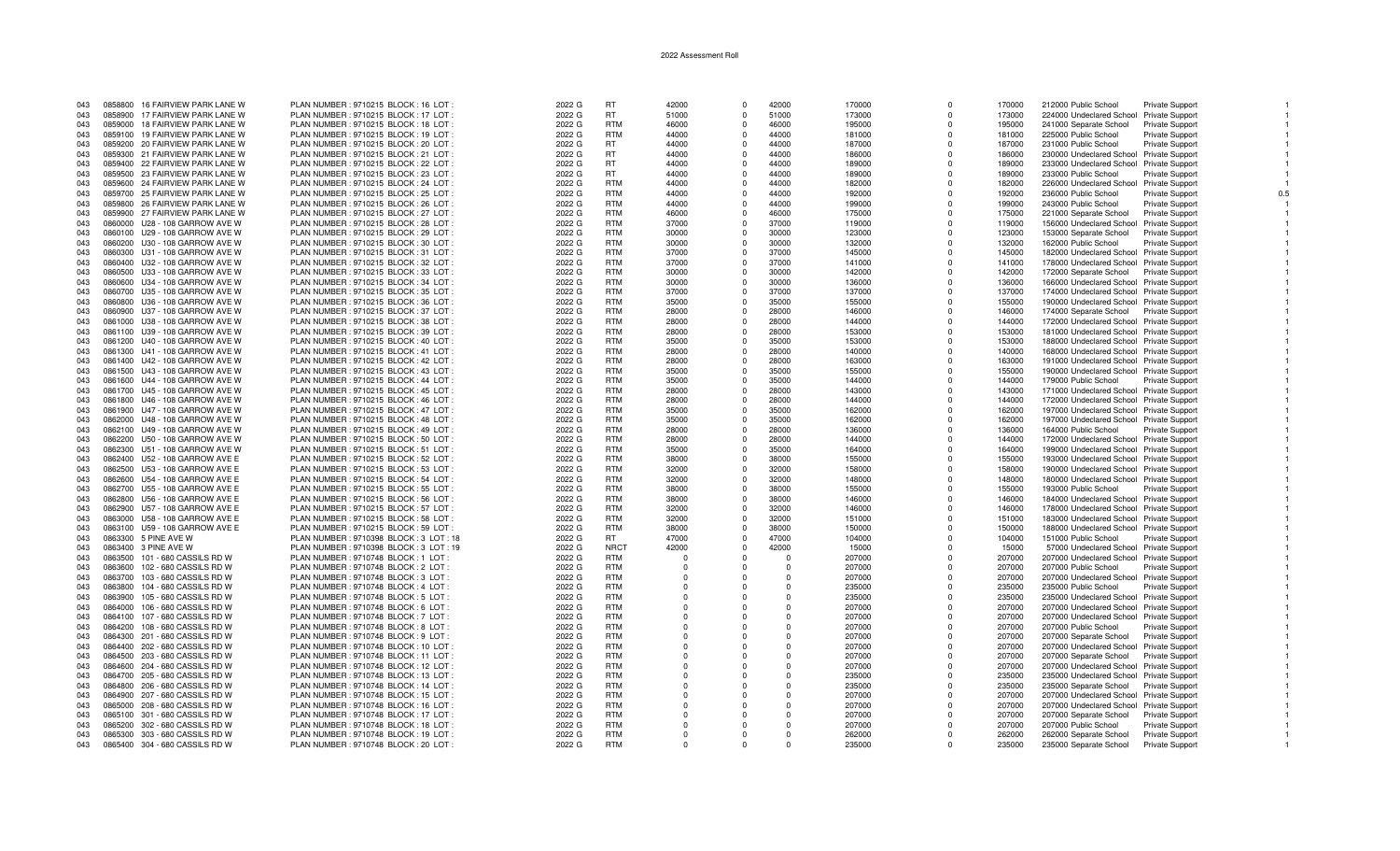| 043 |         | 0858800 16 FAIRVIEW PARK LANE W | PLAN NUMBER: 9710215 BLOCK: 16 LOT       | 2022 G | <b>RT</b>   | 42000    | $\Omega$       | 42000    | 170000 | $\Omega$    | 170000 | 212000 Public School                     | <b>Private Support</b> |  |
|-----|---------|---------------------------------|------------------------------------------|--------|-------------|----------|----------------|----------|--------|-------------|--------|------------------------------------------|------------------------|--|
| 043 |         | 0858900 17 FAIRVIEW PARK LANE W | PLAN NUMBER: 9710215 BLOCK: 17 LOT       | 2022 G | <b>RT</b>   | 51000    | $\Omega$       | 51000    | 173000 | $\Omega$    | 173000 | 224000 Undeclared School Private Support |                        |  |
|     |         |                                 |                                          |        |             |          |                |          |        |             |        |                                          |                        |  |
| 043 | 0859000 | 18 FAIRVIEW PARK LANE W         | PLAN NUMBER: 9710215 BLOCK: 18 LOT       | 2022 G | <b>RTM</b>  | 46000    | $\mathbf 0$    | 46000    | 195000 | $\mathbf 0$ | 195000 | 241000 Separate School                   | Private Support        |  |
| 043 |         | 0859100 19 FAIRVIEW PARK LANE W | PLAN NUMBER: 9710215 BLOCK: 19 LOT:      | 2022 G | <b>RTM</b>  | 44000    | $\Omega$       | 44000    | 181000 | $\Omega$    | 181000 | 225000 Public School                     | Private Support        |  |
| 043 |         | 0859200 20 FAIRVIEW PARK LANE W | PLAN NUMBER : 9710215 BLOCK : 20 LOT     | 2022 G | <b>RT</b>   | 44000    | $\Omega$       | 44000    | 187000 | $\Omega$    | 187000 | 231000 Public School                     | <b>Private Support</b> |  |
|     |         | 0859300 21 FAIRVIEW PARK LANE W | PLAN NUMBER : 9710215 BLOCK : 21 LOT     | 2022 G | <b>RT</b>   | 44000    | $\overline{0}$ | 44000    | 186000 | $\Omega$    | 186000 |                                          |                        |  |
| 043 |         |                                 |                                          |        |             |          |                |          |        |             |        | 230000 Undeclared School Private Support |                        |  |
| 043 |         | 0859400 22 FAIRVIEW PARK LANE W | PLAN NUMBER : 9710215 BLOCK : 22 LOT     | 2022 G | <b>RT</b>   | 44000    | $\Omega$       | 44000    | 189000 | $\Omega$    | 189000 | 233000 Undeclared School Private Support |                        |  |
| 043 |         | 0859500 23 FAIRVIEW PARK LANE W | PLAN NUMBER: 9710215 BLOCK: 23 LOT       | 2022 G | <b>RT</b>   | 44000    | $\Omega$       | 44000    | 189000 | $\Omega$    | 189000 | 233000 Public School                     | Private Support        |  |
| 043 |         | 0859600 24 FAIRVIEW PARK LANE W | PLAN NUMBER: 9710215 BLOCK: 24 LOT       | 2022 G | <b>RTM</b>  | 44000    | $\Omega$       | 44000    | 182000 | $\Omega$    | 182000 | 226000 Undeclared School Private Support |                        |  |
|     |         |                                 |                                          |        |             |          |                |          |        |             |        |                                          |                        |  |
| 043 |         | 0859700 25 FAIRVIEW PARK LANE W | PLAN NUMBER: 9710215 BLOCK: 25 LOT       | 2022 G | <b>RTM</b>  | 44000    | $\Omega$       | 44000    | 192000 | $\Omega$    | 192000 | 236000 Public School                     | <b>Private Support</b> |  |
| 043 |         | 0859800 26 FAIRVIEW PARK LANE W | PLAN NUMBER : 9710215 BLOCK : 26 LOT :   | 2022 G | <b>RTM</b>  | 44000    | $\Omega$       | 44000    | 199000 | $\Omega$    | 199000 | 243000 Public School                     | <b>Private Support</b> |  |
| 043 |         | 0859900 27 FAIRVIEW PARK LANE W | PLAN NUMBER : 9710215 BLOCK : 27 LOT :   | 2022 G | <b>RTM</b>  | 46000    | $\Omega$       | 46000    | 175000 | $\Omega$    | 175000 | 221000 Separate School                   | Private Support        |  |
|     |         |                                 |                                          |        |             |          |                |          |        |             |        |                                          |                        |  |
| 043 |         | 0860000 U28 - 108 GARROW AVE W  | PLAN NUMBER: 9710215 BLOCK: 28 LOT       | 2022 G | <b>RTM</b>  | 37000    | $\Omega$       | 37000    | 119000 | $\mathbf 0$ | 119000 | 156000 Undeclared School Private Support |                        |  |
| 043 |         | 0860100 U29 - 108 GARROW AVE W  | PLAN NUMBER: 9710215 BLOCK: 29 LOT       | 2022 G | <b>RTM</b>  | 30000    | $\Omega$       | 30000    | 123000 | $\Omega$    | 123000 | 153000 Separate School                   | Private Support        |  |
| 043 |         | 0860200 U30 - 108 GARROW AVE W  | PLAN NUMBER : 9710215 BLOCK : 30 LOT     | 2022 G | <b>RTM</b>  | 30000    | $\mathbf{0}$   | 30000    | 132000 | $^{\circ}$  | 132000 | 162000 Public School                     | <b>Private Support</b> |  |
|     |         |                                 |                                          |        |             |          |                |          |        |             |        |                                          |                        |  |
| 043 |         | 0860300 U31 - 108 GARROW AVE W  | PLAN NUMBER : 9710215 BLOCK : 31 LOT     | 2022 G | <b>RTM</b>  | 37000    | $\Omega$       | 37000    | 145000 | $\Omega$    | 145000 | 182000 Undeclared School Private Support |                        |  |
| 043 |         | 0860400 U32 - 108 GARROW AVE W  | PLAN NUMBER: 9710215 BLOCK: 32 LOT       | 2022 G | <b>RTM</b>  | 37000    | $\Omega$       | 37000    | 141000 | $\Omega$    | 141000 | 178000 Undeclared School Private Support |                        |  |
| 043 |         | 0860500 U33 - 108 GARROW AVE W  | PLAN NUMBER : 9710215 BLOCK : 33 LOT     | 2022 G | <b>RTM</b>  | 30000    | $\Omega$       | 30000    | 142000 | $\Omega$    | 142000 | 172000 Separate School                   | <b>Private Support</b> |  |
|     |         |                                 |                                          |        |             |          |                |          |        |             |        |                                          |                        |  |
| 043 |         | 0860600 U34 - 108 GARROW AVE W  | PLAN NUMBER: 9710215 BLOCK: 34 LOT       | 2022 G | <b>RTM</b>  | 30000    | $\Omega$       | 30000    | 136000 | $\Omega$    | 136000 | 166000 Undeclared School Private Support |                        |  |
| 043 |         | 0860700 U35 - 108 GARROW AVE W  | PLAN NUMBER : 9710215 BLOCK : 35 LOT :   | 2022 G | <b>RTM</b>  | 37000    | $\Omega$       | 37000    | 137000 | $\Omega$    | 137000 | 174000 Undeclared School Private Support |                        |  |
| 043 |         | 0860800 U36 - 108 GARROW AVE W  | PLAN NUMBER: 9710215 BLOCK: 36 LOT       | 2022 G | <b>RTM</b>  | 35000    | $\Omega$       | 35000    | 155000 | $\Omega$    | 155000 | 190000 Undeclared School Private Support |                        |  |
|     |         |                                 |                                          |        |             |          |                |          |        |             |        |                                          |                        |  |
| 043 |         | 0860900 U37 - 108 GARROW AVE W  | PLAN NUMBER: 9710215 BLOCK: 37 LOT       | 2022 G | <b>RTM</b>  | 28000    | $\Omega$       | 28000    | 146000 | $\Omega$    | 146000 | 174000 Separate School                   | <b>Private Support</b> |  |
| 043 |         | 0861000 U38 - 108 GARROW AVE W  | PLAN NUMBER : 9710215 BLOCK : 38 LOT     | 2022 G | <b>RTM</b>  | 28000    | $\mathbf{0}$   | 28000    | 144000 | $^{\circ}$  | 144000 | 172000 Undeclared School Private Support |                        |  |
| 043 |         | 0861100 U39 - 108 GARROW AVE W  | PLAN NUMBER: 9710215 BLOCK: 39 LOT       | 2022 G | <b>RTM</b>  | 28000    | $\Omega$       | 28000    | 153000 | $\Omega$    | 153000 | 181000 Undeclared School Private Support |                        |  |
| 043 |         | 0861200 U40 - 108 GARROW AVE W  | PLAN NUMBER : 9710215 BLOCK : 40 LOT     | 2022 G | <b>RTM</b>  | 35000    | $\Omega$       | 35000    | 153000 | $\Omega$    | 153000 | 188000 Undeclared School Private Support |                        |  |
|     |         |                                 |                                          |        |             |          |                |          |        |             |        |                                          |                        |  |
| 043 |         | 0861300 U41 - 108 GARROW AVE W  | PLAN NUMBER: 9710215 BLOCK: 41 LOT       | 2022 G | <b>RTM</b>  | 28000    | $\overline{0}$ | 28000    | 140000 | $\Omega$    | 140000 | 168000 Undeclared School Private Support |                        |  |
| 043 |         | 0861400 U42 - 108 GARROW AVE W  | PLAN NUMBER : 9710215 BLOCK : 42 LOT     | 2022 G | <b>RTM</b>  | 28000    | $\Omega$       | 28000    | 163000 | $\Omega$    | 163000 | 191000 Undeclared School Private Support |                        |  |
| 043 |         | 0861500 U43 - 108 GARROW AVE W  | PLAN NUMBER : 9710215 BLOCK : 43 LOT :   | 2022 G | <b>RTM</b>  | 35000    | $\Omega$       | 35000    | 155000 | $\Omega$    | 155000 | 190000 Undeclared School Private Support |                        |  |
|     |         |                                 |                                          |        |             |          |                |          |        |             |        |                                          |                        |  |
| 043 |         | 0861600 U44 - 108 GARROW AVE W  | PLAN NUMBER : 9710215 BLOCK : 44 LOT     | 2022 G | <b>RTM</b>  | 35000    | $\Omega$       | 35000    | 144000 | $\Omega$    | 144000 | 179000 Public School                     | <b>Private Support</b> |  |
| 043 |         | 0861700 U45 - 108 GARROW AVE W  | PLAN NUMBER : 9710215 BLOCK : 45 LOT     | 2022 G | <b>RTM</b>  | 28000    | $\Omega$       | 28000    | 143000 | $\Omega$    | 143000 | 171000 Undeclared School Private Support |                        |  |
| 043 |         | 0861800 U46 - 108 GARROW AVE W  | PLAN NUMBER: 9710215 BLOCK: 46 LOT       | 2022 G | <b>RTM</b>  | 28000    | $\Omega$       | 28000    | 144000 | $\Omega$    | 144000 | 172000 Undeclared School Private Support |                        |  |
|     |         |                                 |                                          |        |             |          |                |          |        |             |        |                                          |                        |  |
| 043 |         | 0861900 U47 - 108 GARROW AVE W  | PLAN NUMBER : 9710215 BLOCK : 47 LOT     | 2022 G | <b>RTM</b>  | 35000    | $\Omega$       | 35000    | 162000 | $\Omega$    | 162000 | 197000 Undeclared School Private Support |                        |  |
| 043 |         | 0862000 U48 - 108 GARROW AVE W  | PLAN NUMBER : 9710215 BLOCK : 48 LOT     | 2022 G | <b>RTM</b>  | 35000    | $\Omega$       | 35000    | 162000 | $\Omega$    | 162000 | 197000 Undeclared School Private Support |                        |  |
| 043 |         | 0862100 U49 - 108 GARROW AVE W  | PLAN NUMBER: 9710215 BLOCK: 49 LOT       | 2022 G | <b>RTM</b>  | 28000    | $\Omega$       | 28000    | 136000 | $\Omega$    | 136000 | 164000 Public School                     | Private Support        |  |
| 043 |         | 0862200 U50 - 108 GARROW AVE W  | PLAN NUMBER : 9710215 BLOCK : 50 LOT     | 2022 G | <b>RTM</b>  | 28000    | $\mathbf{0}$   | 28000    | 144000 | $\Omega$    | 144000 |                                          |                        |  |
|     |         |                                 |                                          |        |             |          |                |          |        |             |        | 172000 Undeclared School Private Support |                        |  |
| 043 |         | 0862300 U51 - 108 GARROW AVE W  | PLAN NUMBER: 9710215 BLOCK: 51 LOT:      | 2022 G | <b>RTM</b>  | 35000    | $\Omega$       | 35000    | 164000 | $\Omega$    | 164000 | 199000 Undeclared School Private Support |                        |  |
| 043 |         | 0862400 U52 - 108 GARROW AVE E  | PLAN NUMBER : 9710215 BLOCK : 52 LOT     | 2022 G | <b>RTM</b>  | 38000    | $\Omega$       | 38000    | 155000 | $\Omega$    | 155000 | 193000 Undeclared School Private Support |                        |  |
| 043 |         | 0862500 U53 - 108 GARROW AVE E  | PLAN NUMBER: 9710215 BLOCK: 53 LOT       | 2022 G | <b>RTM</b>  | 32000    | $\Omega$       | 32000    | 158000 | $\Omega$    | 158000 | 190000 Undeclared School Private Support |                        |  |
|     |         |                                 |                                          |        |             |          |                |          |        |             |        |                                          |                        |  |
| 043 |         | 0862600 U54 - 108 GARROW AVE E  | PLAN NUMBER : 9710215 BLOCK : 54 LOT     | 2022 G | <b>RTM</b>  | 32000    | $\Omega$       | 32000    | 148000 | $\Omega$    | 148000 | 180000 Undeclared School Private Support |                        |  |
| 043 |         | 0862700 U55 - 108 GARROW AVE E  | PLAN NUMBER : 9710215 BLOCK : 55 LOT     | 2022 G | <b>RTM</b>  | 38000    | $\Omega$       | 38000    | 155000 | $\Omega$    | 155000 | 193000 Public School                     | <b>Private Support</b> |  |
| 043 |         | 0862800 U56 - 108 GARROW AVE E  | PLAN NUMBER: 9710215 BLOCK: 56 LOT       | 2022 G | <b>RTM</b>  | 38000    | $\Omega$       | 38000    | 146000 | $\Omega$    | 146000 | 184000 Undeclared School Private Support |                        |  |
|     |         |                                 |                                          |        |             |          |                |          |        |             |        |                                          |                        |  |
| 043 |         | 0862900 U57 - 108 GARROW AVE E  | PLAN NUMBER: 9710215 BLOCK: 57 LOT       | 2022 G | <b>RTM</b>  | 32000    | $\Omega$       | 32000    | 146000 | $\Omega$    | 146000 | 178000 Undeclared School Private Support |                        |  |
| 043 |         | 0863000 U58 - 108 GARROW AVE E  | PLAN NUMBER : 9710215 BLOCK : 58 LOT     | 2022 G | <b>RTM</b>  | 32000    | $\Omega$       | 32000    | 151000 | $\Omega$    | 151000 | 183000 Undeclared School Private Support |                        |  |
| 043 |         | 0863100 U59 - 108 GARROW AVE E  | PLAN NUMBER : 9710215 BLOCK : 59 LOT :   | 2022 G | <b>RTM</b>  | 38000    | $\Omega$       | 38000    | 150000 | $\Omega$    | 150000 | 188000 Undeclared School Private Support |                        |  |
| 043 |         | 0863300 5 PINE AVE W            | PLAN NUMBER: 9710398 BLOCK: 3 LOT: 18    | 2022 G | <b>RT</b>   | 47000    | $\Omega$       | 47000    | 104000 | $\Omega$    | 104000 |                                          |                        |  |
|     |         |                                 |                                          |        |             |          |                |          |        |             |        | 151000 Public School                     | Private Support        |  |
| 043 |         | 0863400 3 PINE AVE W            | PLAN NUMBER : 9710398 BLOCK : 3 LOT : 19 | 2022 G | <b>NRCT</b> | 42000    | $\Omega$       | 42000    | 15000  | $\Omega$    | 15000  | 57000 Undeclared School Private Support  |                        |  |
| 043 |         | 0863500 101 - 680 CASSILS RD W  | PLAN NUMBER : 9710748 BLOCK : 1 LOT      | 2022 G | <b>RTM</b>  | $\Omega$ | $\Omega$       | $\Omega$ | 207000 | $\Omega$    | 207000 | 207000 Undeclared School Private Support |                        |  |
| 043 | 0863600 | 102 - 680 CASSILS RD W          | PLAN NUMBER : 9710748 BLOCK : 2 LOT      | 2022 G | <b>RTM</b>  | $\Omega$ | $\Omega$       | $\Omega$ | 207000 | $\Omega$    | 207000 | 207000 Public School                     | <b>Private Support</b> |  |
|     |         |                                 |                                          |        |             |          |                |          |        |             |        |                                          |                        |  |
| 043 |         | 0863700 103 - 680 CASSILS RD W  | PLAN NUMBER : 9710748 BLOCK : 3 LOT      | 2022 G | <b>RTM</b>  | $\Omega$ | $\Omega$       | $\cap$   | 207000 | $\Omega$    | 207000 | 207000 Undeclared School Private Support |                        |  |
| 043 |         | 0863800 104 - 680 CASSILS RD W  | PLAN NUMBER : 9710748 BLOCK : 4 LOT      | 2022 G | <b>RTM</b>  | $\Omega$ | $\Omega$       | - 0      | 235000 | $\Omega$    | 235000 | 235000 Public School                     | <b>Private Support</b> |  |
| 043 |         | 0863900 105 - 680 CASSILS RD W  | PLAN NUMBER : 9710748 BLOCK : 5 LOT      | 2022 G | <b>RTM</b>  | $\Omega$ | $\Omega$       | $\Omega$ | 235000 | $\Omega$    | 235000 | 235000 Undeclared School Private Support |                        |  |
|     |         |                                 |                                          |        | <b>RTM</b>  |          |                |          |        |             |        |                                          |                        |  |
| 043 | 0864000 | 106 - 680 CASSILS RD W          | PLAN NUMBER : 9710748 BLOCK : 6 LOT      | 2022 G |             | $\Omega$ | $\Omega$       | $\Omega$ | 207000 | $\Omega$    | 207000 | 207000 Undeclared School Private Support |                        |  |
| 043 |         | 0864100 107 - 680 CASSILS RD W  | PLAN NUMBER: 9710748 BLOCK: 7 LOT        | 2022 G | <b>RTM</b>  | $\Omega$ | $\Omega$       | $\Omega$ | 207000 | $\Omega$    | 207000 | 207000 Undeclared School Private Support |                        |  |
| 043 |         | 0864200 108 - 680 CASSILS RD W  | PLAN NUMBER : 9710748 BLOCK : 8 LOT      | 2022 G | <b>RTM</b>  | $\Omega$ |                | - 0      | 207000 | $\Omega$    | 207000 | 207000 Public School                     | <b>Private Support</b> |  |
| 043 |         | 0864300 201 - 680 CASSILS RD W  | PLAN NUMBER : 9710748 BLOCK : 9 LOT      | 2022 G | <b>RTM</b>  | $\Omega$ | $\Omega$       | $\Omega$ | 207000 | $\Omega$    | 207000 | 207000 Separate School                   | <b>Private Support</b> |  |
|     |         |                                 |                                          |        |             |          |                |          |        |             |        |                                          |                        |  |
| 043 |         | 0864400 202 - 680 CASSILS RD W  | PLAN NUMBER : 9710748 BLOCK : 10 LOT     | 2022 G | <b>RTM</b>  | $\Omega$ | $\Omega$       | $\Omega$ | 207000 | $\Omega$    | 207000 | 207000 Undeclared School Private Support |                        |  |
| 043 |         | 0864500 203 - 680 CASSILS RD W  | PLAN NUMBER : 9710748 BLOCK : 11 LOT     | 2022 G | <b>RTM</b>  | $\Omega$ | $\Omega$       | $\Omega$ | 207000 | $\Omega$    | 207000 | 207000 Separate School                   | Private Support        |  |
| 043 |         | 0864600 204 - 680 CASSILS RD W  | PLAN NUMBER: 9710748 BLOCK: 12 LOT       | 2022 G | <b>RTM</b>  |          |                |          | 207000 | $\Omega$    | 207000 | 207000 Undeclared School Private Support |                        |  |
|     |         |                                 |                                          |        | <b>RTM</b>  |          |                |          |        |             |        |                                          |                        |  |
| 043 |         | 0864700 205 - 680 CASSILS RD W  | PLAN NUMBER: 9710748 BLOCK: 13 LOT       | 2022 G |             | $\Omega$ | $\Omega$       | $\Omega$ | 235000 | $\Omega$    | 235000 | 235000 Undeclared School Private Support |                        |  |
| 043 |         | 0864800 206 - 680 CASSILS RD W  | PLAN NUMBER: 9710748 BLOCK: 14 LOT       | 2022 G | <b>RTM</b>  | $\Omega$ | $\Omega$       | $\Omega$ | 235000 | $^{\circ}$  | 235000 | 235000 Separate School                   | <b>Private Support</b> |  |
| 043 |         | 0864900 207 - 680 CASSILS RD W  | PLAN NUMBER : 9710748 BLOCK : 15 LOT     | 2022 G | <b>RTM</b>  | $\Omega$ | $\Omega$       | $\Omega$ | 207000 | $\Omega$    | 207000 | 207000 Undeclared School Private Support |                        |  |
| 043 |         | 0865000 208 - 680 CASSILS RD W  | PLAN NUMBER : 9710748 BLOCK : 16 LOT     | 2022 G | <b>RTM</b>  | $\Omega$ |                | $\Omega$ | 207000 | $\Omega$    | 207000 | 207000 Undeclared School Private Support |                        |  |
|     |         |                                 |                                          |        |             |          |                |          |        |             |        |                                          |                        |  |
| 043 |         | 0865100 301 - 680 CASSILS RD W  | PLAN NUMBER : 9710748 BLOCK : 17 LOT     | 2022 G | RTM         | $\Omega$ | $\Omega$       | $\Omega$ | 207000 | $\Omega$    | 207000 | 207000 Separate School                   | <b>Private Support</b> |  |
| 043 |         | 0865200 302 - 680 CASSILS RD W  | PLAN NUMBER: 9710748 BLOCK: 18 LOT       | 2022 G | <b>RTM</b>  | $\Omega$ | $\Omega$       | $\Omega$ | 207000 | $\Omega$    | 207000 | 207000 Public School                     | <b>Private Support</b> |  |
| 043 |         | 0865300 303 - 680 CASSILS RD W  | PLAN NUMBER : 9710748 BLOCK : 19 LOT     | 2022 G | <b>RTM</b>  | $\Omega$ | $\Omega$       | $\Omega$ | 262000 | $\Omega$    | 262000 | 262000 Separate School                   | Private Support        |  |
|     |         |                                 |                                          |        | <b>RTM</b>  | $\Omega$ | $\Omega$       | $\Omega$ |        | $\Omega$    |        |                                          |                        |  |
| 043 |         | 0865400 304 - 680 CASSILS RD W  | PLAN NUMBER : 9710748 BLOCK : 20 LOT     | 2022 G |             |          |                |          | 235000 |             | 235000 | 235000 Separate School                   | <b>Private Support</b> |  |

 $\overline{1}$ 

 $\overline{1}$ 

 $\overline{1}$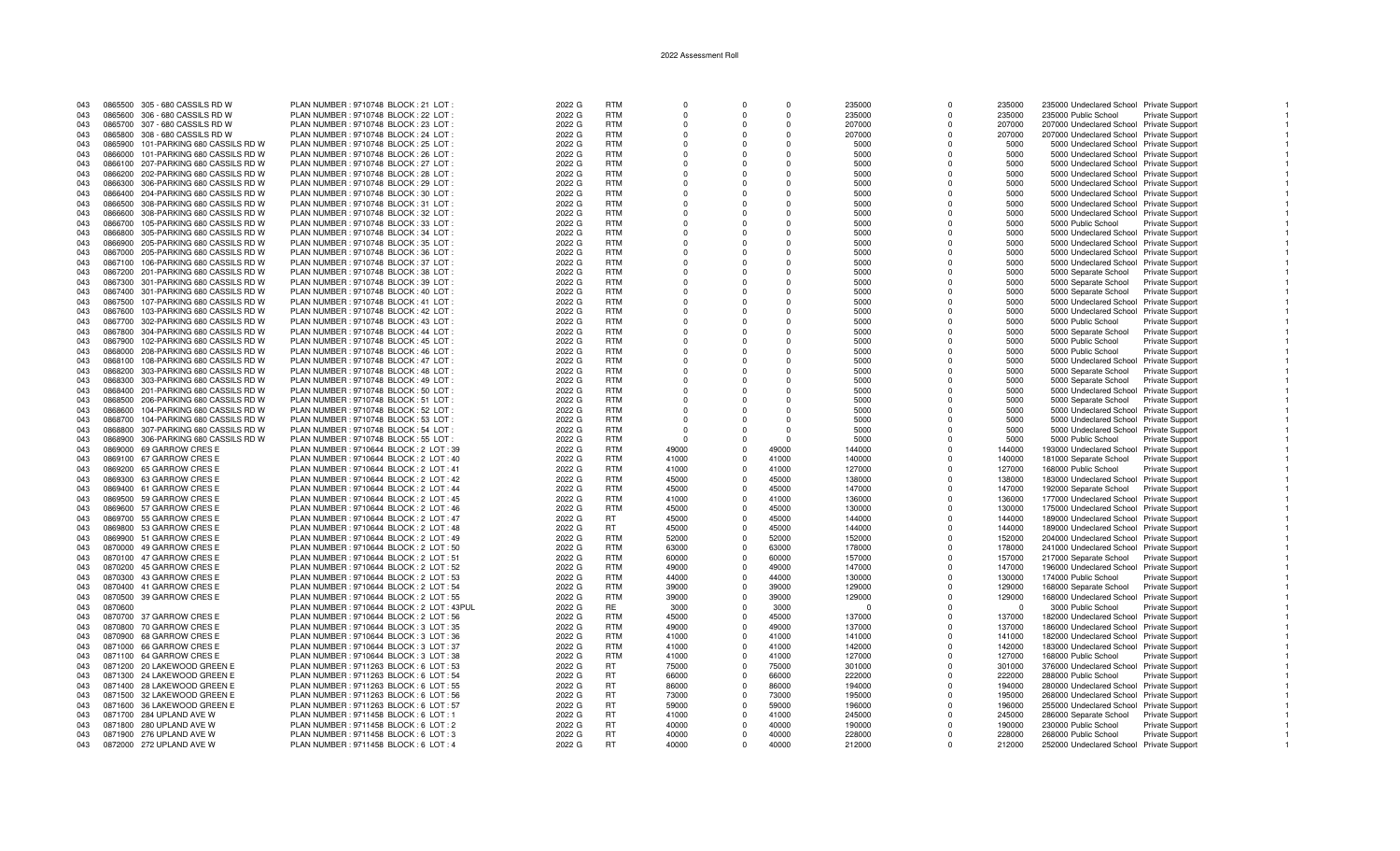| 043 |         | 0865500 305 - 680 CASSILS RD W       | PLAN NUMBER: 9710748 BLOCK: 21 LOT          | 2022 G | <b>RTM</b> | $\Omega$                | $\Omega$ | $\Omega$ | 235000   | $\Omega$     | 235000   | 235000 Undeclared School Private Support |                        |  |
|-----|---------|--------------------------------------|---------------------------------------------|--------|------------|-------------------------|----------|----------|----------|--------------|----------|------------------------------------------|------------------------|--|
| 043 |         | 0865600 306 - 680 CASSILS RD W       | PLAN NUMBER : 9710748 BLOCK : 22 LOT        | 2022 G | <b>RTM</b> | $\Omega$                |          | $\Omega$ | 235000   | <sup>0</sup> | 235000   | 235000 Public School                     | <b>Private Support</b> |  |
|     |         |                                      |                                             |        |            |                         |          |          |          |              |          |                                          |                        |  |
| 043 |         | 0865700 307 - 680 CASSILS RD W       | PLAN NUMBER : 9710748 BLOCK : 23 LOT        | 2022 G | <b>RTM</b> | $\Omega$                |          | $\Omega$ | 207000   | $\Omega$     | 207000   | 207000 Undeclared School Private Support |                        |  |
| 043 |         | 0865800 308 - 680 CASSILS RD W       | PLAN NUMBER : 9710748 BLOCK : 24 LOT        | 2022 G | <b>RTM</b> | $\Omega$                |          | $\Omega$ | 207000   | $\Omega$     | 207000   | 207000 Undeclared School Private Support |                        |  |
| 043 | 0865900 | 101-PARKING 680 CASSILS RD W         | PLAN NUMBER : 9710748 BLOCK : 25 LOT        | 2022 G | <b>RTM</b> | $\Omega$                | $\Omega$ | $\Omega$ | 5000     | $\Omega$     | 5000     | 5000 Undeclared School Private Support   |                        |  |
|     |         |                                      |                                             |        |            |                         |          |          |          |              |          |                                          |                        |  |
| 043 | 0866000 | 101-PARKING 680 CASSILS RD W         | PLAN NUMBER : 9710748 BLOCK : 26 LOT        | 2022 G | <b>RTM</b> | $\Omega$                |          | $\Omega$ | 5000     | $\Omega$     | 5000     | 5000 Undeclared School Private Support   |                        |  |
| 043 | 0866100 | 207-PARKING 680 CASSILS RD W         | PLAN NUMBER : 9710748 BLOCK : 27 LOT        | 2022 G | <b>RTM</b> | $\Omega$                | $\Omega$ | $\Omega$ | 5000     | $\Omega$     | 5000     | 5000 Undeclared School Private Support   |                        |  |
| 043 | 0866200 | 202-PARKING 680 CASSILS RD W         | PLAN NUMBER : 9710748 BLOCK : 28 LOT        | 2022 G | <b>RTM</b> | $\Omega$                | $\Omega$ | $\Omega$ | 5000     | $\Omega$     | 5000     | 5000 Undeclared School Private Support   |                        |  |
|     |         |                                      |                                             |        |            |                         |          |          |          |              |          |                                          |                        |  |
| 043 | 0866300 | 306-PARKING 680 CASSILS RD W         | PLAN NUMBER : 9710748 BLOCK : 29 LOT        | 2022 G | <b>RTM</b> | $\Omega$                | $\Omega$ | $\Omega$ | 5000     | $\Omega$     | 5000     | 5000 Undeclared School Private Support   |                        |  |
| 043 |         | 0866400 204-PARKING 680 CASSILS RD W | PLAN NUMBER : 9710748 BLOCK : 30 LOT        | 2022 G | <b>RTM</b> | $\Omega$                |          | $\Omega$ | 5000     |              | 5000     | 5000 Undeclared School Private Support   |                        |  |
| 043 |         | 0866500 308-PARKING 680 CASSILS RD W | PLAN NUMBER : 9710748 BLOCK : 31 LOT        | 2022 G | <b>RTM</b> | $\Omega$                |          | $\Omega$ | 5000     | <sup>0</sup> | 5000     | 5000 Undeclared School Private Support   |                        |  |
|     |         |                                      |                                             |        |            |                         |          |          |          |              |          |                                          |                        |  |
| 043 | 0866600 | 308-PARKING 680 CASSILS RD W         | PLAN NUMBER : 9710748 BLOCK : 32 LOT :      | 2022 G | <b>RTM</b> | $\Omega$                |          | $\Omega$ | 5000     |              | 5000     | 5000 Undeclared School Private Support   |                        |  |
| 043 | 0866700 | 105-PARKING 680 CASSILS RD W         | PLAN NUMBER : 9710748 BLOCK : 33 LOT        | 2022 G | <b>RTM</b> | $\Omega$                |          | $\Omega$ | 5000     | $\Omega$     | 5000     | 5000 Public School                       | Private Support        |  |
|     |         | 305-PARKING 680 CASSILS RD W         | PLAN NUMBER: 9710748 BLOCK: 34 LOT          | 2022 G | <b>RTM</b> | $\Omega$                |          | $\Omega$ | 5000     |              | 5000     |                                          |                        |  |
| 043 | 0866800 |                                      |                                             |        |            |                         |          |          |          |              |          | 5000 Undeclared School Private Support   |                        |  |
| 043 | 0866900 | 205-PARKING 680 CASSILS RD W         | PLAN NUMBER: 9710748 BLOCK: 35 LOT          | 2022 G | <b>RTM</b> | $\Omega$                | $\Omega$ | $\Omega$ | 5000     | $\Omega$     | 5000     | 5000 Undeclared School Private Support   |                        |  |
| 043 | 0867000 | 205-PARKING 680 CASSILS RD W         | PLAN NUMBER : 9710748 BLOCK : 36 LOT        | 2022 G | <b>RTM</b> | $\Omega$                | $\Omega$ | $\Omega$ | 5000     | $\Omega$     | 5000     | 5000 Undeclared School Private Support   |                        |  |
|     |         |                                      |                                             |        |            | $\Omega$                |          | $\Omega$ |          |              |          |                                          |                        |  |
| 043 | 0867100 | 106-PARKING 680 CASSILS RD W         | PLAN NUMBER : 9710748 BLOCK : 37 LOT        | 2022 G | <b>RTM</b> |                         | $\Omega$ |          | 5000     | $\Omega$     | 5000     | 5000 Undeclared School Private Support   |                        |  |
| 043 |         | 0867200 201-PARKING 680 CASSILS RD W | PLAN NUMBER : 9710748 BLOCK : 38 LOT        | 2022 G | <b>RTM</b> | $\Omega$                |          | $\Omega$ | 5000     |              | 5000     | 5000 Separate School                     | <b>Private Support</b> |  |
| 043 |         | 0867300 301-PARKING 680 CASSILS RD W | PLAN NUMBER: 9710748 BLOCK: 39 LOT          | 2022 G | <b>RTM</b> | $\Omega$                |          | $\Omega$ | 5000     | <sup>0</sup> | 5000     | 5000 Separate School                     | <b>Private Support</b> |  |
|     |         |                                      |                                             |        |            |                         |          |          |          |              |          |                                          |                        |  |
| 043 |         | 0867400 301-PARKING 680 CASSILS RD W | PLAN NUMBER: 9710748 BLOCK: 40 LOT:         | 2022 G | <b>RTM</b> | $\Omega$                |          | $\Omega$ | 5000     | U            | 5000     | 5000 Separate School                     | <b>Private Support</b> |  |
| 043 | 0867500 | 107-PARKING 680 CASSILS RD W         | PLAN NUMBER : 9710748 BLOCK : 41 LOT        | 2022 G | <b>RTM</b> | $\Omega$                |          | $\Omega$ | 5000     |              | 5000     | 5000 Undeclared School Private Support   |                        |  |
| 043 | 0867600 | 103-PARKING 680 CASSILS RD W         | PLAN NUMBER : 9710748 BLOCK : 42 LOT        | 2022 G | <b>RTM</b> | $\Omega$                | $\Omega$ | $\Omega$ | 5000     | U            | 5000     | 5000 Undeclared School Private Support   |                        |  |
|     |         |                                      |                                             |        |            |                         |          |          |          |              |          |                                          |                        |  |
| 043 | 0867700 | 302-PARKING 680 CASSILS RD W         | PLAN NUMBER : 9710748 BLOCK : 43 LOT        | 2022 G | <b>RTM</b> | $\Omega$                | $\Omega$ | $\Omega$ | 5000     | $\Omega$     | 5000     | 5000 Public School                       | Private Support        |  |
| 043 | 0867800 | 304-PARKING 680 CASSILS RD W         | PLAN NUMBER : 9710748 BLOCK : 44 LOT        | 2022 G | <b>RTM</b> | $\Omega$                | $\Omega$ | $\Omega$ | 5000     | $\Omega$     | 5000     | 5000 Separate School                     | Private Support        |  |
|     |         |                                      |                                             |        | <b>RTM</b> | $\Omega$                |          | $\Omega$ | 5000     |              | 5000     |                                          |                        |  |
| 043 | 0867900 | 102-PARKING 680 CASSILS RD W         | PLAN NUMBER : 9710748 BLOCK : 45 LOT        | 2022 G |            |                         |          |          |          |              |          | 5000 Public School                       | <b>Private Support</b> |  |
| 043 |         | 0868000 208-PARKING 680 CASSILS RD W | PLAN NUMBER : 9710748 BLOCK : 46 LOT        | 2022 G | <b>RTM</b> | $\Omega$                |          | $\Omega$ | 5000     |              | 5000     | 5000 Public School                       | <b>Private Support</b> |  |
| 043 | 0868100 | 108-PARKING 680 CASSILS RD W         | PLAN NUMBER: 9710748 BLOCK: 47 LOT          | 2022 G | <b>RTM</b> | $\Omega$                |          | $\Omega$ | 5000     | $\Omega$     | 5000     | 5000 Undeclared School Private Support   |                        |  |
|     |         |                                      |                                             |        |            |                         |          |          |          |              |          |                                          |                        |  |
| 043 |         | 0868200 303-PARKING 680 CASSILS RD W | PLAN NUMBER: 9710748 BLOCK: 48 LOT          | 2022 G | <b>RTM</b> | $\Omega$                |          | $\Omega$ | 5000     | U            | 5000     | 5000 Separate School                     | Private Support        |  |
| 043 |         | 0868300 303-PARKING 680 CASSILS RD W | PLAN NUMBER: 9710748 BLOCK: 49 LOT          | 2022 G | <b>RTM</b> | $\Omega$                |          | $\Omega$ | 5000     |              | 5000     | 5000 Separate School                     | <b>Private Support</b> |  |
| 043 |         | 0868400 201-PARKING 680 CASSILS RD W | PLAN NUMBER: 9710748 BLOCK: 50 LOT          | 2022 G | <b>RTM</b> | $\Omega$                | $\Omega$ | $\Omega$ | 5000     | $\Omega$     | 5000     | 5000 Undeclared School Private Support   |                        |  |
|     |         |                                      |                                             |        |            |                         |          |          |          |              |          |                                          |                        |  |
| 043 | 0868500 | 206-PARKING 680 CASSILS RD W         | PLAN NUMBER: 9710748 BLOCK: 51 LOT          | 2022 G | <b>RTM</b> | $\Omega$                |          | $\Omega$ | 5000     | $\Omega$     | 5000     | 5000 Separate School                     | <b>Private Support</b> |  |
| 043 | 0868600 | 104-PARKING 680 CASSILS RD W         | PLAN NUMBER : 9710748 BLOCK : 52 LOT        | 2022 G | <b>RTM</b> | $\Omega$                |          | $\Omega$ | 5000     | $\Omega$     | 5000     | 5000 Undeclared School Private Support   |                        |  |
| 043 | 0868700 | 104-PARKING 680 CASSILS RD W         | PLAN NUMBER: 9710748 BLOCK: 53 LOT          | 2022 G | <b>RTM</b> | $\Omega$                |          | $\Omega$ | 5000     |              | 5000     | 5000 Undeclared School Private Support   |                        |  |
|     |         |                                      |                                             |        |            |                         |          |          |          |              |          |                                          |                        |  |
| 043 |         | 0868800 307-PARKING 680 CASSILS RD W | PLAN NUMBER: 9710748 BLOCK: 54 LOT          | 2022 G | <b>RTM</b> | $\Omega$                |          | $\Omega$ | 5000     |              | 5000     | 5000 Undeclared School Private Support   |                        |  |
| 043 |         | 0868900 306-PARKING 680 CASSILS RD W | PLAN NUMBER : 9710748 BLOCK : 55 LOT :      | 2022 G | <b>RTM</b> | $\overline{\mathbf{0}}$ |          | 0        | 5000     | $\Omega$     | 5000     | 5000 Public School                       | Private Support        |  |
| 043 |         | 0869000 69 GARROW CRES E             | PLAN NUMBER : 9710644 BLOCK : 2 LOT : 39    | 2022 G | <b>RTM</b> | 49000                   | $\Omega$ | 49000    | 144000   | $\Omega$     | 144000   | 193000 Undeclared School Private Support |                        |  |
|     |         |                                      |                                             |        |            |                         |          |          |          |              |          |                                          |                        |  |
| 043 |         | 0869100 67 GARROW CRES E             | PLAN NUMBER : 9710644 BLOCK : 2 LOT : 40    | 2022 G | <b>RTM</b> | 41000                   |          | 41000    | 140000   |              | 140000   | 181000 Separate School                   | <b>Private Support</b> |  |
| 043 | 0869200 | 65 GARROW CRES E                     | PLAN NUMBER: 9710644 BLOCK: 2 LOT: 41       | 2022 G | <b>RTM</b> | 41000                   | $\Omega$ | 41000    | 127000   | $\Omega$     | 127000   | 168000 Public School                     | <b>Private Support</b> |  |
| 043 | 0869300 | 63 GARROW CRES E                     | PLAN NUMBER : 9710644 BLOCK : 2 LOT : 42    | 2022 G | <b>RTM</b> | 45000                   | $\Omega$ | 45000    | 138000   | $\Omega$     | 138000   | 183000 Undeclared School Private Support |                        |  |
|     |         |                                      |                                             |        |            |                         |          |          |          |              |          |                                          |                        |  |
| 043 |         | 0869400 61 GARROW CRES E             | PLAN NUMBER: 9710644 BLOCK: 2 LOT: 44       | 2022 G | <b>RTM</b> | 45000                   | $\Omega$ | 45000    | 147000   | $\Omega$     | 147000   | 192000 Separate School Private Support   |                        |  |
| 043 |         | 0869500 59 GARROW CRES E             | PLAN NUMBER : 9710644 BLOCK : 2 LOT : 45    | 2022 G | <b>RTM</b> | 41000                   |          | 41000    | 136000   |              | 136000   | 177000 Undeclared School Private Support |                        |  |
|     |         |                                      |                                             | 2022 G | <b>RTM</b> | 45000                   | $\Omega$ | 45000    | 130000   | $\Omega$     | 130000   |                                          |                        |  |
| 043 |         | 0869600 57 GARROW CRES E             | PLAN NUMBER : 9710644 BLOCK : 2 LOT : 46    |        |            |                         |          |          |          |              |          | 175000 Undeclared School Private Support |                        |  |
| 043 |         | 0869700 55 GARROW CRES E             | PLAN NUMBER : 9710644 BLOCK : 2 LOT : 47    | 2022 G | RT.        | 45000                   | $\Omega$ | 45000    | 144000   | $\Omega$     | 144000   | 189000 Undeclared School Private Support |                        |  |
| 043 |         | 0869800 53 GARROW CRES E             | PLAN NUMBER : 9710644 BLOCK : 2 LOT : 48    | 2022 G | RT.        | 45000                   | $\Omega$ | 45000    | 144000   | $\Omega$     | 144000   | 189000 Undeclared School Private Support |                        |  |
|     |         |                                      |                                             |        | <b>RTM</b> |                         |          |          |          | $\Omega$     |          |                                          |                        |  |
| 043 |         | 0869900 51 GARROW CRES E             | PLAN NUMBER : 9710644 BLOCK : 2 LOT : 49    | 2022 G |            | 52000                   |          | 52000    | 152000   |              | 152000   | 204000 Undeclared School Private Support |                        |  |
| 043 |         | 0870000 49 GARROW CRES E             | PLAN NUMBER : 9710644 BLOCK : 2 LOT : 50    | 2022 G | <b>RTM</b> | 63000                   | $\Omega$ | 63000    | 178000   | $\Omega$     | 178000   | 241000 Undeclared School Private Support |                        |  |
| 043 |         | 0870100 47 GARROW CRES E             | PLAN NUMBER: 9710644 BLOCK: 2 LOT: 51       | 2022 G | <b>RTM</b> | 60000                   | $\Omega$ | 60000    | 157000   | $\Omega$     | 157000   | 217000 Separate School                   | <b>Private Support</b> |  |
|     |         |                                      |                                             |        |            |                         | $\Omega$ |          |          | $\Omega$     |          |                                          |                        |  |
| 043 |         | 0870200 45 GARROW CRES E             | PLAN NUMBER : 9710644 BLOCK : 2 LOT : 52    | 2022 G | <b>RTM</b> | 49000                   |          | 49000    | 147000   |              | 147000   | 196000 Undeclared School Private Support |                        |  |
| 043 |         | 0870300 43 GARROW CRES E             | PLAN NUMBER : 9710644 BLOCK : 2 LOT : 53    | 2022 G | <b>RTM</b> | 44000                   | $\Omega$ | 44000    | 130000   |              | 130000   | 174000 Public School                     | <b>Private Support</b> |  |
| 043 |         | 0870400 41 GARROW CRES E             | PLAN NUMBER : 9710644 BLOCK : 2 LOT : 54    | 2022 G | <b>RTM</b> | 39000                   | $\Omega$ | 39000    | 129000   | $\Omega$     | 129000   | 168000 Separate School                   | <b>Private Support</b> |  |
|     |         |                                      |                                             |        |            |                         |          |          |          |              |          |                                          |                        |  |
| 043 |         | 0870500 39 GARROW CRES E             | PLAN NUMBER : 9710644 BLOCK : 2 LOT : 55    | 2022 G | <b>RTM</b> | 39000                   |          | 39000    | 129000   | $\Omega$     | 129000   | 168000 Undeclared School Private Support |                        |  |
| 043 | 0870600 |                                      | PLAN NUMBER : 9710644 BLOCK : 2 LOT : 43PUL | 2022 G | <b>RE</b>  | 3000                    | $\Omega$ | 3000     | $\Omega$ | $\Omega$     | $\Omega$ | 3000 Public School                       | Private Support        |  |
| 043 |         | 0870700 37 GARROW CRES E             | PLAN NUMBER : 9710644 BLOCK : 2 LOT : 56    | 2022 G | <b>RTM</b> | 45000                   |          | 45000    | 137000   | $\Omega$     | 137000   | 182000 Undeclared School Private Support |                        |  |
|     |         |                                      |                                             |        |            |                         |          |          |          |              |          |                                          |                        |  |
| 043 |         | 0870800 70 GARROW CRES E             | PLAN NUMBER : 9710644 BLOCK : 3 LOT : 35    | 2022 G | <b>RTM</b> | 49000                   | $\Omega$ | 49000    | 137000   | $\Omega$     | 137000   | 186000 Undeclared School Private Support |                        |  |
| 043 |         | 0870900 68 GARROW CRES E             | PLAN NUMBER : 9710644 BLOCK : 3 LOT : 36    | 2022 G | <b>RTM</b> | 41000                   | $\Omega$ | 41000    | 141000   | $\Omega$     | 141000   | 182000 Undeclared School Private Support |                        |  |
| 043 |         | 0871000 66 GARROW CRES E             | PLAN NUMBER : 9710644 BLOCK : 3 LOT : 37    | 2022 G | <b>RTM</b> | 41000                   | $\Omega$ | 41000    | 142000   | <sup>0</sup> | 142000   | 183000 Undeclared School Private Support |                        |  |
|     |         |                                      |                                             |        |            |                         |          |          |          |              |          |                                          |                        |  |
| 043 |         | 0871100 64 GARROW CRES E             | PLAN NUMBER: 9710644 BLOCK: 3 LOT: 38       | 2022 G | <b>RTM</b> | 41000                   | $\Omega$ | 41000    | 127000   |              | 127000   | 168000 Public School                     | Private Support        |  |
| 043 |         | 0871200 20 LAKEWOOD GREEN E          | PLAN NUMBER : 9711263 BLOCK : 6 LOT : 53    | 2022 G | <b>RT</b>  | 75000                   | $\Omega$ | 75000    | 301000   | $\Omega$     | 301000   | 376000 Undeclared School Private Support |                        |  |
| 043 |         | 0871300 24 LAKEWOOD GREEN E          | PLAN NUMBER : 9711263 BLOCK : 6 LOT : 54    | 2022 G | RT         | 66000                   |          | 66000    | 222000   | $\Omega$     | 222000   | 288000 Public School                     | <b>Private Support</b> |  |
|     |         |                                      |                                             |        |            |                         |          |          |          |              |          |                                          |                        |  |
| 043 |         | 0871400 28 LAKEWOOD GREEN E          | PLAN NUMBER : 9711263 BLOCK : 6 LOT : 55    | 2022 G | <b>RT</b>  | 86000                   | $\Omega$ | 86000    | 194000   | $\Omega$     | 194000   | 280000 Undeclared School Private Support |                        |  |
| 043 |         | 0871500 32 LAKEWOOD GREEN E          | PLAN NUMBER : 9711263 BLOCK : 6 LOT : 56    | 2022 G | RT         | 73000                   | $\Omega$ | 73000    | 195000   | $\Omega$     | 195000   | 268000 Undeclared School Private Support |                        |  |
| 043 |         | 0871600 36 LAKEWOOD GREEN E          | PLAN NUMBER: 9711263 BLOCK: 6 LOT: 57       | 2022 G | <b>RT</b>  | 59000                   | $\Omega$ | 59000    | 196000   | $\Omega$     | 196000   | 255000 Undeclared School Private Support |                        |  |
|     |         |                                      |                                             |        |            |                         |          |          |          |              |          |                                          |                        |  |
| 043 |         | 0871700 284 UPLAND AVE W             | PLAN NUMBER: 9711458 BLOCK: 6 LOT: 1        | 2022 G | <b>RT</b>  | 41000                   | $\Omega$ | 41000    | 245000   | $\Omega$     | 245000   | 286000 Separate School                   | Private Support        |  |
| 043 |         | 0871800 280 UPLAND AVE W             | PLAN NUMBER : 9711458 BLOCK : 6 LOT : 2     | 2022 G | <b>RT</b>  | 40000                   | $\Omega$ | 40000    | 190000   |              | 190000   | 230000 Public School                     | <b>Private Support</b> |  |
| 043 |         | 0871900 276 UPLAND AVE W             | PLAN NUMBER : 9711458 BLOCK : 6 LOT : 3     | 2022 G | <b>RT</b>  | 40000                   | $\Omega$ | 40000    | 228000   |              | 228000   | 268000 Public School                     | Private Support        |  |
|     |         |                                      |                                             |        |            |                         |          |          |          |              |          |                                          |                        |  |
| 043 |         | 0872000 272 UPLAND AVE W             | PLAN NUMBER : 9711458 BLOCK : 6 LOT : 4     | 2022 G | <b>RT</b>  | 40000                   |          | 40000    | 212000   |              | 212000   | 252000 Undeclared School Private Support |                        |  |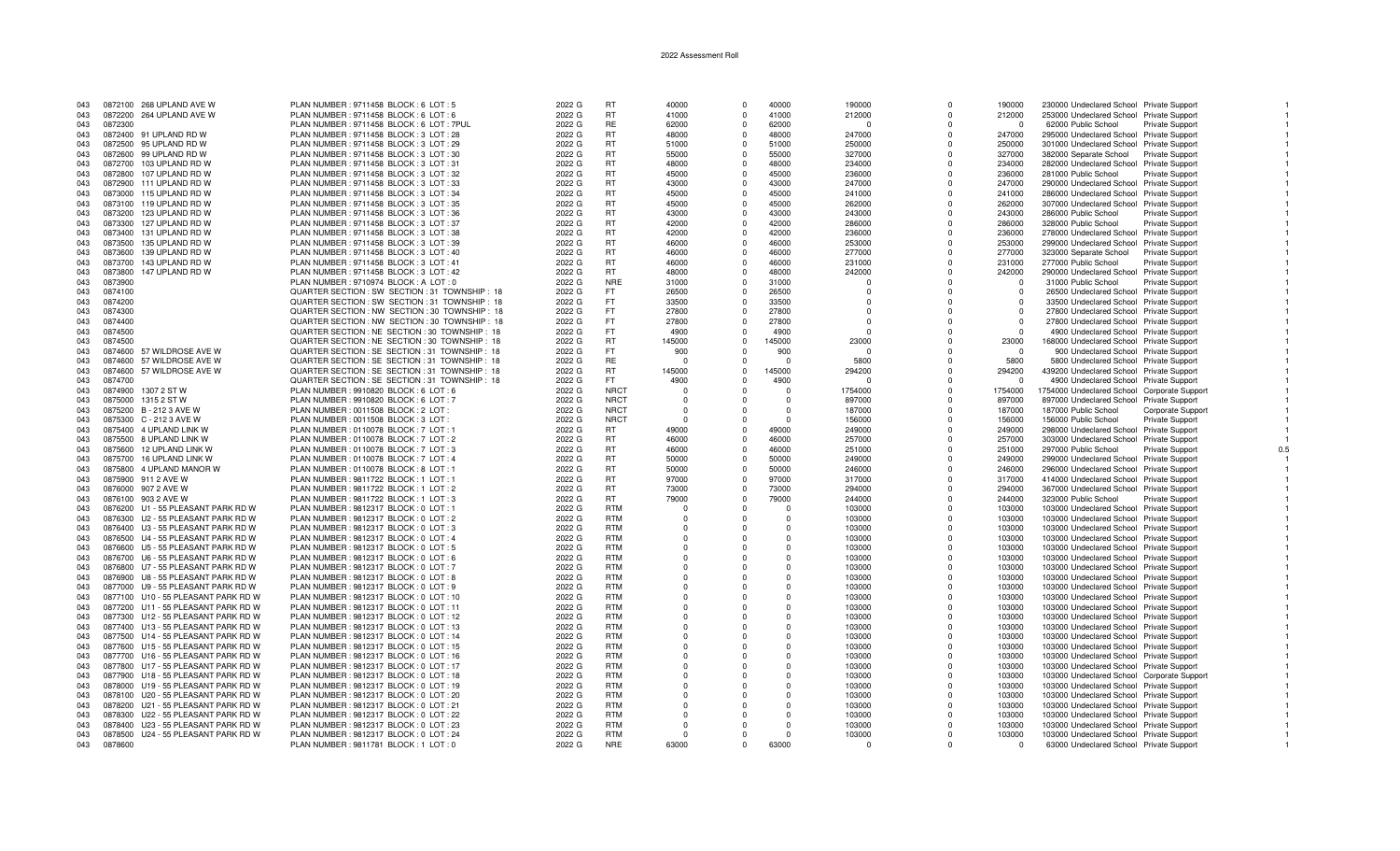| 043        | 0872100 268 UPLAND AVE W                       | PLAN NUMBER: 9711458 BLOCK: 6 LOT: 5                                                | 2022 G           | <b>RT</b>                | 40000             | $\Omega$                 | 40000             | 190000             | $\Omega$             | 190000             | 230000 Undeclared School Private Support                                            |                          |     |
|------------|------------------------------------------------|-------------------------------------------------------------------------------------|------------------|--------------------------|-------------------|--------------------------|-------------------|--------------------|----------------------|--------------------|-------------------------------------------------------------------------------------|--------------------------|-----|
|            |                                                |                                                                                     |                  |                          |                   |                          |                   |                    |                      |                    |                                                                                     |                          |     |
| 043        | 0872200 264 UPLAND AVE W                       | PLAN NUMBER: 9711458 BLOCK: 6 LOT: 6                                                | 2022 G           | <b>RT</b>                | 41000             | $\Omega$                 | 41000             | 212000             | $\Omega$             | 212000             | 253000 Undeclared School Private Support                                            |                          |     |
| 043        | 0872300                                        | PLAN NUMBER: 9711458 BLOCK: 6 LOT: 7PUL                                             | 2022 G           | <b>RE</b>                | 62000             | $\Omega$                 | 62000             | $\Omega$           | $\Omega$             | - 0                | 62000 Public School                                                                 | Private Support          |     |
| 043        | 0872400 91 UPLAND RD W                         | PLAN NUMBER: 9711458 BLOCK: 3 LOT: 28                                               | 2022 G           | <b>RT</b>                | 48000             | $\Omega$                 | 48000             | 247000             | $\Omega$             | 247000             | 295000 Undeclared School Private Support                                            |                          |     |
|            | 95 UPLAND RD W<br>0872500                      | PLAN NUMBER: 9711458 BLOCK: 3 LOT: 29                                               | 2022 G           | <b>RT</b>                | 51000             | $\Omega$                 | 51000             | 250000             | $\Omega$             | 250000             |                                                                                     |                          |     |
| 043        |                                                |                                                                                     |                  |                          |                   |                          |                   |                    |                      |                    | 301000 Undeclared School Private Support                                            |                          |     |
| 043        | 0872600 99 UPLAND RD W                         | PLAN NUMBER : 9711458 BLOCK : 3 LOT : 30                                            | 2022 G           | <b>RT</b>                | 55000             | $\Omega$                 | 55000             | 327000             | $\Omega$             | 327000             | 382000 Separate School                                                              | <b>Private Support</b>   |     |
| 043        | 0872700 103 UPLAND RD W                        | PLAN NUMBER: 9711458 BLOCK: 3 LOT: 31                                               | 2022 G           | <b>RT</b>                | 48000             | $\Omega$                 | 48000             | 234000             | $\Omega$             | 234000             | 282000 Undeclared School Private Support                                            |                          |     |
| 043        | 0872800<br>107 UPLAND RD W                     | PLAN NUMBER: 9711458 BLOCK: 3 LOT: 32                                               | 2022 G           | <b>RT</b>                | 45000             | $\Omega$                 | 45000             | 236000             | $\Omega$             | 236000             | 281000 Public School                                                                | Private Support          |     |
|            |                                                |                                                                                     |                  |                          |                   |                          |                   |                    |                      |                    |                                                                                     |                          |     |
| 043        | 111 UPLAND RD W<br>0872900                     | PLAN NUMBER: 9711458 BLOCK: 3 LOT: 33                                               | 2022 G           | <b>RT</b>                | 43000             | $\Omega$                 | 43000             | 247000             | $\Omega$             | 247000             | 290000 Undeclared School Private Support                                            |                          |     |
| 043        | 0873000 115 UPLAND RD W                        | PLAN NUMBER: 9711458 BLOCK: 3 LOT: 34                                               | 2022 G           | <b>RT</b>                | 45000             | $\Omega$                 | 45000             | 241000             | $\Omega$             | 241000             | 286000 Undeclared School Private Support                                            |                          |     |
| 043        | 0873100 119 UPLAND RD W                        | PLAN NUMBER: 9711458 BLOCK: 3 LOT: 35                                               | 2022 G           | <b>RT</b>                | 45000             | $\Omega$                 | 45000             | 262000             | $\Omega$             | 262000             | 307000 Undeclared School Private Support                                            |                          |     |
| 043        | 0873200<br>123 UPLAND RD W                     | PLAN NUMBER: 9711458 BLOCK: 3 LOT: 36                                               | 2022 G           | <b>RT</b>                | 43000             | $\Omega$                 | 43000             | 243000             | $\Omega$             | 243000             | 286000 Public School                                                                | Private Support          |     |
|            |                                                |                                                                                     |                  |                          |                   |                          |                   |                    |                      |                    |                                                                                     |                          |     |
| 043        | 0873300<br>127 UPLAND RD W                     | PLAN NUMBER: 9711458 BLOCK: 3 LOT: 37                                               | 2022 G           | <b>RT</b>                | 42000             | $^{\circ}$               | 42000             | 286000             | $\Omega$             | 286000             | 328000 Public School                                                                | Private Support          |     |
| 043        | 0873400<br>131 UPLAND RD W                     | PLAN NUMBER: 9711458 BLOCK: 3 LOT: 38                                               | 2022 G           | <b>RT</b>                | 42000             | $\Omega$                 | 42000             | 236000             | $\Omega$             | 236000             | 278000 Undeclared School Private Support                                            |                          |     |
| 043        | 0873500<br>135 UPLAND RD W                     | PLAN NUMBER : 9711458 BLOCK : 3 LOT : 39                                            | 2022 G           | <b>RT</b>                | 46000             | $\Omega$                 | 46000             | 253000             | $\Omega$             | 253000             | 299000 Undeclared School Private Support                                            |                          |     |
|            |                                                |                                                                                     |                  |                          |                   |                          |                   |                    |                      |                    |                                                                                     |                          |     |
| 043        | 139 UPLAND RD W<br>0873600                     | PLAN NUMBER: 9711458 BLOCK: 3 LOT: 40                                               | 2022 G           | <b>RT</b>                | 46000             | $\Omega$                 | 46000             | 277000             | $\Omega$             | 277000             | 323000 Separate School                                                              | Private Support          |     |
| 043        | 143 UPLAND RD W<br>0873700                     | PLAN NUMBER: 9711458 BLOCK: 3 LOT: 41                                               | 2022 G           | <b>RT</b>                | 46000             | $\Omega$                 | 46000             | 231000             | $\Omega$             | 231000             | 277000 Public School                                                                | <b>Private Support</b>   |     |
| 043        | 147 UPLAND RD W<br>0873800                     | PLAN NUMBER: 9711458 BLOCK: 3 LOT: 42                                               | 2022 G           | RT.                      | 48000             | $\Omega$                 | 48000             | 242000             | $\Omega$             | 242000             | 290000 Undeclared School Private Support                                            |                          |     |
| 043        | 0873900                                        | PLAN NUMBER : 9710974 BLOCK : A LOT : 0                                             | 2022 G           | <b>NRE</b>               | 31000             | $\overline{0}$           | 31000             | -0                 | $\Omega$             | $^{\circ}$         | 31000 Public School                                                                 | <b>Private Support</b>   |     |
|            |                                                |                                                                                     |                  |                          |                   |                          |                   |                    |                      |                    |                                                                                     |                          |     |
| 043        | 0874100                                        | QUARTER SECTION : SW SECTION : 31 TOWNSHIP : 18                                     | 2022 G           | FT.                      | 26500             | $\Omega$                 | 26500             | $\Omega$           | $\Omega$             | $\Omega$           | 26500 Undeclared School Private Support                                             |                          |     |
| 043        | 0874200                                        | QUARTER SECTION : SW SECTION : 31 TOWNSHIP : 18                                     | 2022 G           | FT.                      | 33500             | $\Omega$                 | 33500             | $\Omega$           | <sup>n</sup>         | $\Omega$           | 33500 Undeclared School Private Support                                             |                          |     |
| 043        | 0874300                                        | QUARTER SECTION : NW SECTION : 30 TOWNSHIP : 18                                     | 2022 G           | FT.                      | 27800             | $\Omega$                 | 27800             | $\Omega$           | $\Omega$             | $\Omega$           | 27800 Undeclared School Private Support                                             |                          |     |
|            |                                                |                                                                                     |                  |                          |                   |                          |                   |                    |                      |                    |                                                                                     |                          |     |
| 043        | 0874400                                        | QUARTER SECTION : NW SECTION : 30 TOWNSHIP : 18                                     | 2022 G           | FT.                      | 27800             | $\Omega$                 | 27800             | $\Omega$           |                      | $\Omega$           | 27800 Undeclared School Private Support                                             |                          |     |
| 043        | 0874500                                        | QUARTER SECTION : NE SECTION : 30 TOWNSHIP : 18                                     | 2022 G           | <b>FT</b>                | 4900              | $\Omega$                 | 4900              | $\Omega$           | $\Omega$             | $\Omega$           | 4900 Undeclared School Private Support                                              |                          |     |
| 043        | 0874500                                        | QUARTER SECTION : NE SECTION : 30 TOWNSHIP : 18                                     | 2022 G           | <b>RT</b>                | 145000            | $^{\circ}$               | 145000            | 23000              | $\Omega$             | 23000              | 168000 Undeclared School Private Support                                            |                          |     |
| 043        | 0874600<br>57 WILDROSE AVE W                   | QUARTER SECTION : SE SECTION : 31 TOWNSHIP : 18                                     | 2022 G           | FT.                      | 900               | $\Omega$                 | 900               | $\cap$             | $\Omega$             | $\Omega$           | 900 Undeclared School Private Support                                               |                          |     |
|            |                                                |                                                                                     |                  |                          |                   |                          |                   |                    |                      |                    |                                                                                     |                          |     |
| 043        | 0874600 57 WILDROSE AVE W                      | QUARTER SECTION : SE SECTION : 31 TOWNSHIP : 18                                     | 2022 G           | <b>RE</b>                | - 0               | $\Omega$                 | $\Omega$          | 5800               |                      | 5800               | 5800 Undeclared School Private Support                                              |                          |     |
| 043        | 0874600 57 WILDROSE AVE W                      | QUARTER SECTION : SE SECTION : 31 TOWNSHIP : 18                                     | 2022 G           | <b>RT</b>                | 145000            | $\Omega$                 | 145000            | 294200             | <sup>n</sup>         | 294200             | 439200 Undeclared School Private Support                                            |                          |     |
| 043        | 0874700                                        | QUARTER SECTION : SE SECTION : 31 TOWNSHIP : 18                                     | 2022 G           | FT.                      | 4900              |                          | 4900              |                    | 0                    | $\Omega$           | 4900 Undeclared School Private Support                                              |                          |     |
|            |                                                |                                                                                     |                  | <b>NRCT</b>              | $\Omega$          | $\Omega$                 | $\Omega$          |                    | $\Omega$             |                    |                                                                                     |                          |     |
| 043        | 0874900<br>1307 2 ST W                         | PLAN NUMBER : 9910820 BLOCK : 6 LOT : 6                                             | 2022 G           |                          |                   |                          |                   | 1754000            |                      | 1754000            | 1754000 Undeclared School Corporate Support                                         |                          |     |
| 043        | 0875000<br>1315 2 ST W                         | PLAN NUMBER : 9910820 BLOCK : 6 LOT : 7                                             | 2022 G           | <b>NRCT</b>              |                   |                          | $\Omega$          | 897000             | $\Omega$             | 897000             | 897000 Undeclared School Private Support                                            |                          |     |
| 043        | 0875200 B - 212 3 AVE W                        | PLAN NUMBER : 0011508 BLOCK : 2 LOT :                                               | 2022 G           | <b>NRCT</b>              | $\Omega$          | $\Omega$                 | $\Omega$          | 187000             | $\mathbf 0$          | 187000             | 187000 Public School                                                                | <b>Corporate Support</b> |     |
| 043        | 0875300 C - 212 3 AVE W                        | PLAN NUMBER: 0011508 BLOCK: 3 LOT:                                                  | 2022 G           | <b>NRCT</b>              | $\Omega$          | $\Omega$                 | $\Omega$          | 156000             | $\Omega$             | 156000             | 156000 Public School                                                                | Private Support          |     |
|            |                                                |                                                                                     |                  |                          |                   |                          |                   |                    |                      |                    |                                                                                     |                          |     |
| 043        | 0875400 4 UPLAND LINK W                        | PLAN NUMBER : 0110078 BLOCK : 7 LOT : 1                                             | 2022 G           | RT.                      | 49000             | $\Omega$                 | 49000             | 249000             | $\Omega$             | 249000             | 298000 Undeclared School Private Support                                            |                          |     |
| 043        | 0875500 8 UPLAND LINK W                        | PLAN NUMBER : 0110078 BLOCK : 7 LOT : 2                                             | 2022 G           | <b>RT</b>                | 46000             | $\Omega$                 | 46000             | 257000             | 0                    | 257000             | 303000 Undeclared School Private Support                                            |                          |     |
| 043        | 0875600 12 UPLAND LINK W                       | PLAN NUMBER : 0110078 BLOCK : 7 LOT : 3                                             | 2022 G           | <b>RT</b>                | 46000             | $\Omega$                 | 46000             | 251000             | $\Omega$             | 251000             | 297000 Public School                                                                | Private Support          | 0.5 |
|            |                                                |                                                                                     |                  | <b>RT</b>                |                   | $\Omega$                 |                   |                    | $\Omega$             |                    |                                                                                     |                          |     |
| 043        | 0875700 16 UPLAND LINK W                       | PLAN NUMBER : 0110078 BLOCK : 7 LOT : 4                                             | 2022 G           |                          | 50000             |                          | 50000             | 249000             |                      | 249000             | 299000 Undeclared School Private Support                                            |                          |     |
| 043        | 0875800 4 UPLAND MANOR W                       | PLAN NUMBER : 0110078 BLOCK : 8 LOT : 1                                             | 2022 G           | <b>RT</b>                | 50000             | $\Omega$                 | 50000             | 246000             | $\Omega$             | 246000             | 296000 Undeclared School Private Support                                            |                          |     |
| 043        | 0875900 911 2 AVE W                            | PLAN NUMBER : 9811722 BLOCK : 1 LOT : 1                                             | 2022 G           | <b>RT</b>                | 97000             | $\Omega$                 | 97000             | 317000             | $\Omega$             | 317000             | 414000 Undeclared School Private Support                                            |                          |     |
| 043        | 0876000 907 2 AVE W                            | PLAN NUMBER: 9811722 BLOCK: 1 LOT: 2                                                | 2022 G           | <b>RT</b>                | 73000             | $\Omega$                 | 73000             | 294000             | $\Omega$             | 294000             | 367000 Undeclared School Private Support                                            |                          |     |
|            |                                                |                                                                                     |                  |                          |                   |                          |                   |                    |                      |                    |                                                                                     |                          |     |
| 043        | 0876100 903 2 AVE W                            | PLAN NUMBER : 9811722 BLOCK : 1 LOT : 3                                             | 2022 G           | RT.                      | 79000             | $\Omega$                 | 79000             | 244000             | $\Omega$             | 244000             | 323000 Public School                                                                | Private Support          |     |
| 043        | 0876200 U1 - 55 PLEASANT PARK RD W             | PLAN NUMBER : 9812317 BLOCK : 0 LOT : 1                                             | 2022 G           | <b>RTM</b>               | $\Omega$          | $\Omega$                 | - 0               | 103000             | $\Omega$             | 103000             | 103000 Undeclared School Private Support                                            |                          |     |
| 043        | 0876300 U2 - 55 PLEASANT PARK RD W             | PLAN NUMBER : 9812317 BLOCK : 0 LOT : 2                                             | 2022 G           | <b>RTM</b>               | $\Omega$          |                          | $\Omega$          | 103000             | $\Omega$             | 103000             | 103000 Undeclared School Private Support                                            |                          |     |
|            | 0876400 U3 - 55 PLEASANT PARK RD W             |                                                                                     |                  | <b>RTM</b>               | $\Omega$          | $\Omega$                 | $\Omega$          |                    | $\Omega$             |                    |                                                                                     |                          |     |
| 043        |                                                | PLAN NUMBER : 9812317 BLOCK : 0 LOT : 3                                             | 2022 G           |                          |                   |                          |                   | 103000             |                      | 103000             | 103000 Undeclared School Private Support                                            |                          |     |
| 043        | 0876500 U4 - 55 PLEASANT PARK RD W             | PLAN NUMBER : 9812317 BLOCK : 0 LOT : 4                                             | 2022 G           | <b>RTM</b>               | $\Omega$          |                          | $\Omega$          | 103000             | $\Omega$             | 103000             | 103000 Undeclared School Private Support                                            |                          |     |
| 043        | 0876600 U5 - 55 PLEASANT PARK RD W             | PLAN NUMBER : 9812317 BLOCK : 0 LOT : 5                                             | 2022 G           | <b>RTM</b>               | $\Omega$          | $\Omega$                 | $\cap$            | 103000             | $\Omega$             | 103000             | 103000 Undeclared School Private Support                                            |                          |     |
| 043        | 0876700 U6 - 55 PLEASANT PARK RD W             | PLAN NUMBER : 9812317 BLOCK : 0 LOT : 6                                             | 2022 G           | <b>RTM</b>               | $\Omega$          | $\Omega$                 | $\Omega$          | 103000             | $\Omega$             | 103000             | 103000 Undeclared School Private Support                                            |                          |     |
|            |                                                |                                                                                     |                  |                          |                   |                          |                   |                    |                      |                    |                                                                                     |                          |     |
| 043        | 0876800 U7 - 55 PLEASANT PARK RD W             | PLAN NUMBER : 9812317 BLOCK : 0 LOT : 7                                             | 2022 G           | <b>RTM</b>               | $\Omega$          | $\Omega$                 | $\Omega$          | 103000             | $\Omega$             | 103000             | 103000 Undeclared School Private Support                                            |                          |     |
| 043        | 0876900 U8 - 55 PLEASANT PARK RD W             | PLAN NUMBER : 9812317 BLOCK : 0 LOT : 8                                             | 2022 G           | <b>RTM</b>               | $\Omega$          | $\Omega$                 | $\Omega$          | 103000             | $\Omega$             | 103000             | 103000 Undeclared School Private Support                                            |                          |     |
| 043        | 0877000 U9 - 55 PLEASANT PARK RD W             | PLAN NUMBER : 9812317 BLOCK : 0 LOT : 9                                             | 2022 G           | <b>RTM</b>               | $\Omega$          | $\Omega$                 | $\Omega$          | 103000             | $\Omega$             | 103000             | 103000 Undeclared School Private Support                                            |                          |     |
|            |                                                |                                                                                     |                  | <b>RTM</b>               |                   |                          |                   |                    | $\Omega$             |                    |                                                                                     |                          |     |
| 043        | 0877100 U10 - 55 PLEASANT PARK RD W            | PLAN NUMBER : 9812317 BLOCK : 0 LOT : 10                                            | 2022 G           |                          |                   |                          |                   | 103000             |                      | 103000             | 103000 Undeclared School Private Support                                            |                          |     |
| 043        | U11 - 55 PLEASANT PARK RD W<br>0877200         | PLAN NUMBER : 9812317 BLOCK : 0 LOT : 11                                            | 2022 G           | <b>RTM</b>               | $\Omega$          | $\Omega$                 | $\Omega$          | 103000             | $\Omega$             | 103000             | 103000 Undeclared School Private Support                                            |                          |     |
| 043        | 0877300 U12 - 55 PLEASANT PARK RD W            | PLAN NUMBER : 9812317 BLOCK : 0 LOT : 12                                            | 2022 G           | <b>RTM</b>               | $\Omega$          |                          | $\Omega$          | 103000             | $\Omega$             | 103000             | 103000 Undeclared School Private Support                                            |                          |     |
| 043        | 0877400 U13 - 55 PLEASANT PARK RD W            | PLAN NUMBER : 9812317 BLOCK : 0 LOT : 13                                            | 2022 G           | <b>RTM</b>               | $\Omega$          |                          | $\Omega$          | 103000             | $\Omega$             | 103000             | 103000 Undeclared School Private Support                                            |                          |     |
|            |                                                |                                                                                     |                  |                          |                   |                          |                   |                    |                      |                    |                                                                                     |                          |     |
| 043        | 0877500 U14 - 55 PLEASANT PARK RD W            | PLAN NUMBER : 9812317 BLOCK : 0 LOT : 14                                            | 2022 G           | <b>RTM</b>               | $\Omega$          | $\Omega$                 | $\Omega$          | 103000             | $\Omega$             | 103000             | 103000 Undeclared School Private Support                                            |                          |     |
| 043        | U15 - 55 PLEASANT PARK RD W<br>0877600         | PLAN NUMBER : 9812317 BLOCK : 0 LOT : 15                                            | 2022 G           | <b>RTM</b>               | $^{\circ}$        | $\Omega$                 | $\Omega$          | 103000             | $\mathbf 0$          | 103000             | 103000 Undeclared School Private Support                                            |                          |     |
| 043        | 0877700 U16 - 55 PLEASANT PARK RD W            | PLAN NUMBER : 9812317 BLOCK : 0 LOT : 16                                            | 2022 G           | <b>RTM</b>               | $\Omega$          | $\Omega$                 | $\Omega$          | 103000             | $\Omega$             | 103000             | 103000 Undeclared School Private Support                                            |                          |     |
|            | 0877800 U17 - 55 PLEASANT PARK RD W            | PLAN NUMBER : 9812317 BLOCK : 0 LOT : 17                                            | 2022 G           | <b>RTM</b>               | $\Omega$          | $\Omega$                 | $\Omega$          |                    | $\Omega$             | 103000             |                                                                                     |                          |     |
| 043        |                                                |                                                                                     |                  |                          |                   |                          |                   | 103000             |                      |                    | 103000 Undeclared School Private Support                                            |                          |     |
| 043        | 0877900 U18 - 55 PLEASANT PARK RD W            | PLAN NUMBER : 9812317 BLOCK : 0 LOT : 18                                            | 2022 G           | <b>RTM</b>               | $\Omega$          |                          |                   | 103000             | $\Omega$             | 103000             | 103000 Undeclared School Corporate Support                                          |                          |     |
| 043        | U19 - 55 PLEASANT PARK RD W<br>0878000         | PLAN NUMBER : 9812317 BLOCK : 0 LOT : 19                                            | 2022 G           | <b>RTM</b>               | $\Omega$          |                          | $\Omega$          | 103000             | $\Omega$             | 103000             | 103000 Undeclared School Private Support                                            |                          |     |
| 043        | 0878100 U20 - 55 PLEASANT PARK RD W            | PLAN NUMBER : 9812317 BLOCK : 0 LOT : 20                                            | 2022 G           | <b>RTM</b>               | $\Omega$          |                          | $\Omega$          | 103000             | $\Omega$             | 103000             | 103000 Undeclared School Private Support                                            |                          |     |
|            |                                                |                                                                                     |                  |                          |                   |                          |                   |                    |                      |                    |                                                                                     |                          |     |
| 043        | 0878200 U21 - 55 PLEASANT PARK RD W            | PLAN NUMBER : 9812317 BLOCK : 0 LOT : 21                                            | 2022 G           | <b>RTM</b>               | $\Omega$          |                          | $\Omega$          | 103000             | $\Omega$             | 103000             | 103000 Undeclared School Private Support                                            |                          |     |
| 043        | 0878300<br>U22 - 55 PLEASANT PARK RD W         | PLAN NUMBER : 9812317 BLOCK : 0 LOT : 22                                            | 2022 G           | <b>RTM</b>               | $\Omega$          | $\Omega$                 | $\Omega$          | 103000             | $\Omega$             | 103000             | 103000 Undeclared School Private Support                                            |                          |     |
| 043        |                                                |                                                                                     |                  | <b>RTM</b>               |                   |                          |                   |                    | $\Omega$             | 103000             | 103000 Undeclared School Private Support                                            |                          |     |
|            | U23 - 55 PLEASANT PARK RD W<br>0878400         |                                                                                     | 2022 G           |                          | $\mathbf{0}$      |                          | $\Omega$          |                    |                      |                    |                                                                                     |                          |     |
|            |                                                | PLAN NUMBER : 9812317 BLOCK : 0 LOT : 23                                            |                  |                          |                   |                          |                   | 103000             |                      |                    |                                                                                     |                          |     |
| 043<br>043 | 0878500 U24 - 55 PLEASANT PARK RD W<br>0878600 | PLAN NUMBER : 9812317 BLOCK : 0 LOT : 24<br>PLAN NUMBER : 9811781 BLOCK : 1 LOT : 0 | 2022 G<br>2022 G | <b>RTM</b><br><b>NRE</b> | $\Omega$<br>63000 | $\Omega$<br>$\mathbf{0}$ | $\Omega$<br>63000 | 103000<br>$\Omega$ | $\Omega$<br>$\Omega$ | 103000<br>$\Omega$ | 103000 Undeclared School Private Support<br>63000 Undeclared School Private Support |                          |     |

 $0.5$ 

 $\overline{1}$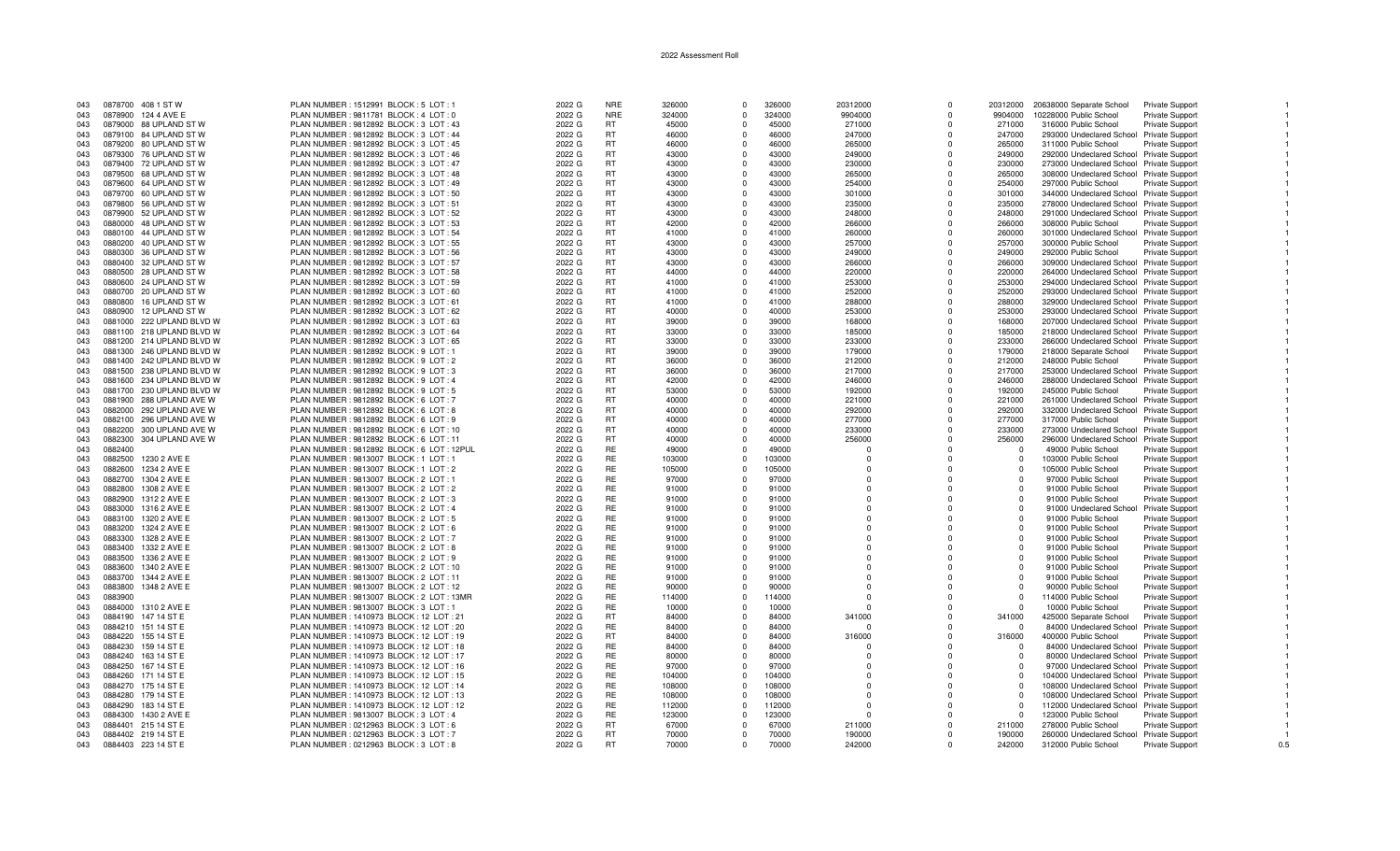| 043 |         | 0878700 408 1 ST W        | PLAN NUMBER: 1512991 BLOCK: 5 LOT: 1        | 2022 G | <b>NRE</b> | 326000 | $\Omega$    | 326000 | 20312000    | $\Omega$     | 20312000 | 20638000 Separate School                 | Private Support        |     |
|-----|---------|---------------------------|---------------------------------------------|--------|------------|--------|-------------|--------|-------------|--------------|----------|------------------------------------------|------------------------|-----|
| 043 |         | 0878900 124 4 AVE E       | PLAN NUMBER : 9811781 BLOCK : 4 LOT : 0     | 2022 G | <b>NRE</b> | 324000 | $\Omega$    | 324000 | 9904000     | $\Omega$     | 9904000  | 10228000 Public School                   | Private Support        |     |
| 043 |         | 0879000 88 UPLAND ST W    | PLAN NUMBER : 9812892 BLOCK : 3 LOT : 43    | 2022 G | RT         | 45000  | $\Omega$    | 45000  | 271000      | $\Omega$     | 271000   | 316000 Public School                     | Private Support        |     |
| 043 |         | 0879100 84 UPLAND ST W    | PLAN NUMBER : 9812892 BLOCK : 3 LOT : 44    | 2022 G | RT         | 46000  | $\Omega$    | 46000  | 247000      | $\Omega$     | 247000   | 293000 Undeclared School Private Support |                        |     |
| 043 |         | 0879200 80 UPLAND ST W    | PLAN NUMBER : 9812892 BLOCK : 3 LOT : 45    | 2022 G | <b>RT</b>  | 46000  | $\Omega$    | 46000  | 265000      | $\Omega$     | 265000   | 311000 Public School                     | Private Support        |     |
|     |         |                           |                                             |        |            |        |             |        |             |              |          |                                          |                        |     |
| 043 |         | 0879300 76 UPLAND ST W    | PLAN NUMBER : 9812892 BLOCK : 3 LOT : 46    | 2022 G | <b>RT</b>  | 43000  | $\Omega$    | 43000  | 249000      | $\Omega$     | 249000   | 292000 Undeclared School Private Support |                        |     |
| 043 |         | 0879400 72 UPLAND ST W    | PLAN NUMBER : 9812892 BLOCK : 3 LOT : 47    | 2022 G | <b>RT</b>  | 43000  | $\Omega$    | 43000  | 230000      | $\Omega$     | 230000   | 273000 Undeclared School Private Support |                        |     |
| 043 |         | 0879500 68 UPLAND ST W    | PLAN NUMBER: 9812892 BLOCK: 3 LOT: 48       | 2022 G | <b>RT</b>  | 43000  | $\Omega$    | 43000  | 265000      | $\Omega$     | 265000   | 308000 Undeclared School Private Support |                        |     |
| 043 |         | 0879600 64 UPLAND ST W    | PLAN NUMBER : 9812892 BLOCK : 3 LOT : 49    | 2022 G | <b>RT</b>  | 43000  | $\Omega$    | 43000  | 254000      | $\Omega$     | 254000   | 297000 Public School                     | Private Support        |     |
| 043 |         | 0879700 60 UPLAND ST W    | PLAN NUMBER: 9812892 BLOCK: 3 LOT: 50       | 2022 G | RT         | 43000  | $\Omega$    | 43000  | 301000      | $\Omega$     | 301000   | 344000 Undeclared School Private Support |                        |     |
| 043 |         | 0879800 56 UPLAND ST W    | PLAN NUMBER: 9812892 BLOCK: 3 LOT: 51       | 2022 G | RT         | 43000  | $\Omega$    | 43000  | 235000      | $\Omega$     | 235000   | 278000 Undeclared School Private Support |                        |     |
|     |         |                           |                                             |        |            |        |             |        |             |              |          |                                          |                        |     |
| 043 |         | 0879900 52 UPLAND ST W    | PLAN NUMBER : 9812892 BLOCK : 3 LOT : 52    | 2022 G | <b>RT</b>  | 43000  | $\Omega$    | 43000  | 248000      | $\Omega$     | 248000   | 291000 Undeclared School Private Support |                        |     |
| 043 |         | 0880000 48 UPLAND ST W    | PLAN NUMBER : 9812892 BLOCK : 3 LOT : 53    | 2022 G | RT         | 42000  | $\Omega$    | 42000  | 266000      | $\Omega$     | 266000   | 308000 Public School                     | Private Support        |     |
| 043 |         | 0880100 44 UPLAND ST W    | PLAN NUMBER : 9812892 BLOCK : 3 LOT : 54    | 2022 G | RT         | 41000  | $\Omega$    | 41000  | 260000      | $\Omega$     | 260000   | 301000 Undeclared School Private Support |                        |     |
| 043 | 0880200 | 40 UPLAND ST W            | PLAN NUMBER : 9812892 BLOCK : 3 LOT : 55    | 2022 G | <b>RT</b>  | 43000  | $\Omega$    | 43000  | 257000      | $\Omega$     | 257000   | 300000 Public School                     | <b>Private Support</b> |     |
| 043 |         | 0880300 36 UPLAND ST W    | PLAN NUMBER : 9812892 BLOCK : 3 LOT : 56    | 2022 G | <b>RT</b>  | 43000  | $\Omega$    | 43000  | 249000      | $\Omega$     | 249000   | 292000 Public School                     | <b>Private Support</b> |     |
|     |         |                           |                                             |        |            |        |             |        |             |              |          |                                          |                        |     |
| 043 |         | 0880400 32 UPLAND ST W    | PLAN NUMBER : 9812892 BLOCK : 3 LOT : 57    | 2022 G | <b>RT</b>  | 43000  | $\Omega$    | 43000  | 266000      | $\Omega$     | 266000   | 309000 Undeclared School Private Support |                        |     |
| 043 |         | 0880500 28 UPLAND ST W    | PLAN NUMBER: 9812892 BLOCK: 3 LOT: 58       | 2022 G | <b>RT</b>  | 44000  | $\Omega$    | 44000  | 220000      | $\Omega$     | 220000   | 264000 Undeclared School Private Support |                        |     |
| 043 | 0880600 | 24 UPLAND ST W            | PLAN NUMBER : 9812892 BLOCK : 3 LOT : 59    | 2022 G | RT         | 41000  | $\Omega$    | 41000  | 253000      | $\Omega$     | 253000   | 294000 Undeclared School Private Support |                        |     |
| 043 |         | 0880700 20 UPLAND ST W    | PLAN NUMBER : 9812892 BLOCK : 3 LOT : 60    | 2022 G | <b>RT</b>  | 41000  | $\Omega$    | 41000  | 252000      | $\Omega$     | 252000   | 293000 Undeclared School Private Support |                        |     |
| 043 |         | 0880800 16 UPLAND ST W    | PLAN NUMBER: 9812892 BLOCK: 3 LOT: 61       | 2022 G | RT         | 41000  |             | 41000  | 288000      | $\Omega$     | 288000   | 329000 Undeclared School Private Support |                        |     |
|     |         |                           | PLAN NUMBER: 9812892 BLOCK: 3 LOT: 62       |        | RT         | 40000  | $\mathbf 0$ | 40000  |             | $\mathbf 0$  |          |                                          |                        |     |
| 043 |         | 0880900 12 UPLAND ST W    |                                             | 2022 G |            |        |             |        | 253000      |              | 253000   | 293000 Undeclared School Private Support |                        |     |
| 043 |         | 0881000 222 UPLAND BLVD W | PLAN NUMBER : 9812892 BLOCK : 3 LOT : 63    | 2022 G | RT         | 39000  | $\Omega$    | 39000  | 168000      | $\Omega$     | 168000   | 207000 Undeclared School Private Support |                        |     |
| 043 |         | 0881100 218 UPLAND BLVD W | PLAN NUMBER : 9812892 BLOCK : 3 LOT : 64    | 2022 G | <b>RT</b>  | 33000  | $\Omega$    | 33000  | 185000      | $\Omega$     | 185000   | 218000 Undeclared School Private Support |                        |     |
| 043 |         | 0881200 214 UPLAND BLVD W | PLAN NUMBER : 9812892 BLOCK : 3 LOT : 65    | 2022 G | <b>RT</b>  | 33000  | $\Omega$    | 33000  | 233000      | $\Omega$     | 233000   | 266000 Undeclared School Private Support |                        |     |
| 043 |         | 0881300 246 UPLAND BLVD W | PLAN NUMBER : 9812892 BLOCK : 9 LOT : 1     | 2022 G | <b>RT</b>  | 39000  | $\Omega$    | 39000  | 179000      | $\Omega$     | 179000   | 218000 Separate School                   | Private Support        |     |
| 043 |         | 0881400 242 UPLAND BLVD W | PLAN NUMBER : 9812892 BLOCK : 9 LOT : 2     | 2022 G | RT         | 36000  | $\Omega$    | 36000  | 212000      | $\Omega$     | 212000   | 248000 Public School                     | <b>Private Support</b> |     |
| 043 |         |                           |                                             |        | <b>RT</b>  | 36000  | $\Omega$    | 36000  |             | $\Omega$     | 217000   |                                          |                        |     |
|     |         | 0881500 238 UPLAND BLVD W | PLAN NUMBER : 9812892 BLOCK : 9 LOT : 3     | 2022 G |            |        |             |        | 217000      |              |          | 253000 Undeclared School Private Support |                        |     |
| 043 |         | 0881600 234 UPLAND BLVD W | PLAN NUMBER : 9812892 BLOCK : 9 LOT : 4     | 2022 G | <b>RT</b>  | 42000  | $\Omega$    | 42000  | 246000      | $\Omega$     | 246000   | 288000 Undeclared School Private Support |                        |     |
| 043 |         | 0881700 230 UPLAND BLVD W | PLAN NUMBER: 9812892 BLOCK: 9 LOT: 5        | 2022 G | <b>RT</b>  | 53000  | $\Omega$    | 53000  | 192000      | $\Omega$     | 192000   | 245000 Public School                     | Private Support        |     |
| 043 |         | 0881900 288 UPLAND AVE W  | PLAN NUMBER : 9812892 BLOCK : 6 LOT : 7     | 2022 G | RT         | 40000  | $\Omega$    | 40000  | 221000      | $\Omega$     | 221000   | 261000 Undeclared School Private Support |                        |     |
| 043 |         | 0882000 292 UPLAND AVE W  | PLAN NUMBER: 9812892 BLOCK: 6 LOT: 8        | 2022 G | <b>RT</b>  | 40000  | $\Omega$    | 40000  | 292000      | $\Omega$     | 292000   | 332000 Undeclared School Private Support |                        |     |
| 043 |         | 0882100 296 UPLAND AVE W  | PLAN NUMBER : 9812892 BLOCK : 6 LOT : 9     | 2022 G | RT         | 40000  | $\Omega$    | 40000  | 277000      | $\Omega$     | 277000   | 317000 Public School                     | Private Support        |     |
| 043 |         | 0882200 300 UPLAND AVE W  |                                             | 2022 G | <b>RT</b>  | 40000  | $\Omega$    | 40000  | 233000      | $\Omega$     | 233000   |                                          |                        |     |
|     |         |                           | PLAN NUMBER : 9812892 BLOCK : 6 LOT : 10    |        |            |        |             |        |             |              |          | 273000 Undeclared School Private Support |                        |     |
| 043 |         | 0882300 304 UPLAND AVE W  | PLAN NUMBER : 9812892 BLOCK : 6 LOT : 11    | 2022 G | <b>RT</b>  | 40000  | $\Omega$    | 40000  | 256000      | $\Omega$     | 256000   | 296000 Undeclared School Private Support |                        |     |
| 043 | 0882400 |                           | PLAN NUMBER : 9812892 BLOCK : 6 LOT : 12PUL | 2022 G | <b>RE</b>  | 49000  | $\Omega$    | 49000  | $\Omega$    | $\Omega$     | $\Omega$ | 49000 Public School                      | Private Support        |     |
| 043 | 0882500 | 1230 2 AVE E              | PLAN NUMBER : 9813007 BLOCK : 1 LOT : 1     | 2022 G | <b>RE</b>  | 103000 | $\Omega$    | 103000 | $\Omega$    | $\Omega$     | $\Omega$ | 103000 Public School                     | <b>Private Support</b> |     |
| 043 | 0882600 | 1234 2 AVE E              | PLAN NUMBER : 9813007 BLOCK : 1 LOT : 2     | 2022 G | <b>RE</b>  | 105000 | $\Omega$    | 105000 | $\Omega$    | $\Omega$     | $\Omega$ | 105000 Public School                     | Private Support        |     |
| 043 | 0882700 | 1304 2 AVE E              | PLAN NUMBER : 9813007 BLOCK : 2 LOT : 1     | 2022 G | RE         | 97000  | $\Omega$    | 97000  | $\Omega$    | $\Omega$     |          | 97000 Public School                      | Private Support        |     |
|     |         |                           |                                             |        |            |        | $\Omega$    |        | $\Omega$    | $\Omega$     | $\Omega$ |                                          |                        |     |
| 043 | 0882800 | 1308 2 AVE E              | PLAN NUMBER : 9813007 BLOCK : 2 LOT : 2     | 2022 G | <b>RE</b>  | 91000  |             | 91000  |             |              |          | 91000 Public School                      | Private Support        |     |
| 043 | 0882900 | 1312 2 AVE E              | PLAN NUMBER : 9813007 BLOCK : 2 LOT : 3     | 2022 G | RE         | 91000  | $\Omega$    | 91000  | $\Omega$    | $\Omega$     |          | 91000 Public School                      | Private Support        |     |
| 043 |         | 0883000 1316 2 AVE E      | PLAN NUMBER : 9813007 BLOCK : 2 LOT : 4     | 2022 G | <b>RE</b>  | 91000  | $\Omega$    | 91000  | $\Omega$    | $\Omega$     | $\Omega$ | 91000 Undeclared School                  | Private Support        |     |
| 043 | 0883100 | 1320 2 AVE E              | PLAN NUMBER : 9813007 BLOCK : 2 LOT : 5     | 2022 G | RE         | 91000  | $^{\circ}$  | 91000  | $\mathbf 0$ | $\Omega$     | $\Omega$ | 91000 Public School                      | <b>Private Support</b> |     |
| 043 | 0883200 | 1324 2 AVE E              | PLAN NUMBER : 9813007 BLOCK : 2 LOT : 6     | 2022 G | <b>RE</b>  | 91000  | $\Omega$    | 91000  | $\Omega$    | $\Omega$     | $\Omega$ | 91000 Public School                      | Private Support        |     |
| 043 | 0883300 | 1328 2 AVE E              | PLAN NUMBER : 9813007 BLOCK : 2 LOT : 7     | 2022 G | <b>RE</b>  | 91000  | $\Omega$    | 91000  | $\Omega$    | $\Omega$     | $\Omega$ | 91000 Public School                      | <b>Private Support</b> |     |
|     |         |                           |                                             |        |            |        |             |        |             |              |          |                                          |                        |     |
| 043 | 0883400 | 1332 2 AVE E              | PLAN NUMBER : 9813007 BLOCK : 2 LOT : 8     | 2022 G | <b>RE</b>  | 91000  | $\Omega$    | 91000  | $\Omega$    | $\Omega$     | $\Omega$ | 91000 Public School                      | Private Support        |     |
| 043 | 0883500 | 1336 2 AVE E              | PLAN NUMBER : 9813007 BLOCK : 2 LOT : 9     | 2022 G | <b>RE</b>  | 91000  | $\Omega$    | 91000  | $\Omega$    | $\Omega$     | $\Omega$ | 91000 Public School                      | <b>Private Support</b> |     |
| 043 | 0883600 | 1340 2 AVE E              | PLAN NUMBER : 9813007 BLOCK : 2 LOT : 10    | 2022 G | <b>RE</b>  | 91000  | $\Omega$    | 91000  | $\Omega$    | $\Omega$     | $\Omega$ | 91000 Public School                      | Private Support        |     |
| 043 | 0883700 | 1344 2 AVE E              | PLAN NUMBER : 9813007 BLOCK : 2 LOT : 11    | 2022 G | RE         | 91000  | $\Omega$    | 91000  | $\Omega$    | $\Omega$     |          | 91000 Public School                      | Private Support        |     |
| 043 | 0883800 | 1348 2 AVE E              | PLAN NUMBER : 9813007 BLOCK : 2 LOT : 12    | 2022 G | <b>RE</b>  | 90000  | $\Omega$    | 90000  | $\Omega$    | $\Omega$     | $\Omega$ | 90000 Public School                      | Private Support        |     |
|     | 0883900 |                           | PLAN NUMBER : 9813007 BLOCK : 2 LOT : 13MR  | 2022 G | RE         | 114000 | $\Omega$    | 114000 | $\Omega$    | $\Omega$     | $\Omega$ | 114000 Public School                     |                        |     |
| 043 |         |                           |                                             |        |            |        |             |        |             |              |          |                                          | Private Support        |     |
| 043 | 0884000 | 1310 2 AVE E              | PLAN NUMBER : 9813007 BLOCK : 3 LOT : 1     | 2022 G | <b>RE</b>  | 10000  | $\Omega$    | 10000  | $\Omega$    | $\Omega$     | $\Omega$ | 10000 Public School                      | Private Support        |     |
| 043 | 0884190 | 147 14 ST E               | PLAN NUMBER: 1410973 BLOCK: 12 LOT: 21      | 2022 G | <b>RT</b>  | 84000  | $\Omega$    | 84000  | 341000      | $\Omega$     | 341000   | 425000 Separate School                   | <b>Private Support</b> |     |
| 043 |         | 0884210 151 14 ST E       | PLAN NUMBER: 1410973 BLOCK: 12 LOT: 20      | 2022 G | <b>RE</b>  | 84000  | $\Omega$    | 84000  | $\Omega$    | $\Omega$     | n        | 84000 Undeclared School Private Support  |                        |     |
| 043 | 0884220 | 155 14 ST E               | PLAN NUMBER: 1410973 BLOCK: 12 LOT: 19      | 2022 G | <b>RT</b>  | 84000  | $\Omega$    | 84000  | 316000      | $\Omega$     | 316000   | 400000 Public School                     | <b>Private Support</b> |     |
| 043 | 0884230 | 159 14 ST E               | PLAN NUMBER: 1410973 BLOCK: 12 LOT: 18      | 2022 G | <b>RE</b>  | 84000  | $\Omega$    | 84000  | $\Omega$    | $\Omega$     | $\Omega$ | 84000 Undeclared School Private Support  |                        |     |
|     |         |                           |                                             |        | <b>RE</b>  |        | $\Omega$    | 80000  |             | $\Omega$     | $\Omega$ |                                          |                        |     |
| 043 |         | 0884240 163 14 ST E       | PLAN NUMBER: 1410973 BLOCK: 12 LOT: 17      | 2022 G |            | 80000  |             |        | $\Omega$    |              |          | 80000 Undeclared School Private Support  |                        |     |
| 043 |         | 0884250 167 14 ST E       | PLAN NUMBER: 1410973 BLOCK: 12 LOT: 16      | 2022 G | <b>RE</b>  | 97000  | $\Omega$    | 97000  | $\Omega$    | $\Omega$     | $\Omega$ | 97000 Undeclared School Private Support  |                        |     |
| 043 |         | 0884260 171 14 ST E       | PLAN NUMBER: 1410973 BLOCK: 12 LOT: 15      | 2022 G | RE         | 104000 | $\Omega$    | 104000 | $\Omega$    | $\Omega$     | $\Omega$ | 104000 Undeclared School Private Support |                        |     |
| 043 |         | 0884270 175 14 ST E       | PLAN NUMBER: 1410973 BLOCK: 12 LOT: 14      | 2022 G | <b>RE</b>  | 108000 | $\Omega$    | 108000 | $\Omega$    | $\Omega$     | $\Omega$ | 108000 Undeclared School Private Support |                        |     |
| 043 | 0884280 | 179 14 ST E               | PLAN NUMBER: 1410973 BLOCK: 12 LOT: 13      | 2022 G | RE         | 108000 | $\Omega$    | 108000 | $\Omega$    | $\Omega$     | $\Omega$ | 108000 Undeclared School Private Support |                        |     |
| 043 |         | 0884290 183 14 ST E       | PLAN NUMBER: 1410973 BLOCK: 12 LOT: 12      | 2022 G | <b>RE</b>  | 112000 | $\Omega$    | 112000 | $\Omega$    |              | $\Omega$ | 112000 Undeclared School Private Support |                        |     |
|     |         |                           |                                             |        |            |        |             |        |             |              |          |                                          |                        |     |
| 043 | 0884300 | 1430 2 AVE E              | PLAN NUMBER : 9813007 BLOCK : 3 LOT : 4     | 2022 G | RE         | 123000 | $^{\circ}$  | 123000 | $\mathbf 0$ | <sup>0</sup> |          | 123000 Public School                     | <b>Private Support</b> |     |
| 043 |         | 0884401 215 14 ST E       | PLAN NUMBER : 0212963 BLOCK : 3 LOT : 6     | 2022 G | RT.        | 67000  | $\Omega$    | 67000  | 211000      | n            | 211000   | 278000 Public School                     | Private Support        |     |
| 043 |         | 0884402 219 14 ST E       | PLAN NUMBER : 0212963 BLOCK : 3 LOT : 7     | 2022 G | <b>RT</b>  | 70000  | $\Omega$    | 70000  | 190000      | $\Omega$     | 190000   | 260000 Undeclared School Private Support |                        |     |
| 043 |         | 0884403 223 14 ST E       | PLAN NUMBER: 0212963 BLOCK: 3 LOT: 8        | 2022 G | <b>RT</b>  | 70000  | $\Omega$    | 70000  | 242000      | $\Omega$     | 242000   | 312000 Public School                     | Private Support        | 0.5 |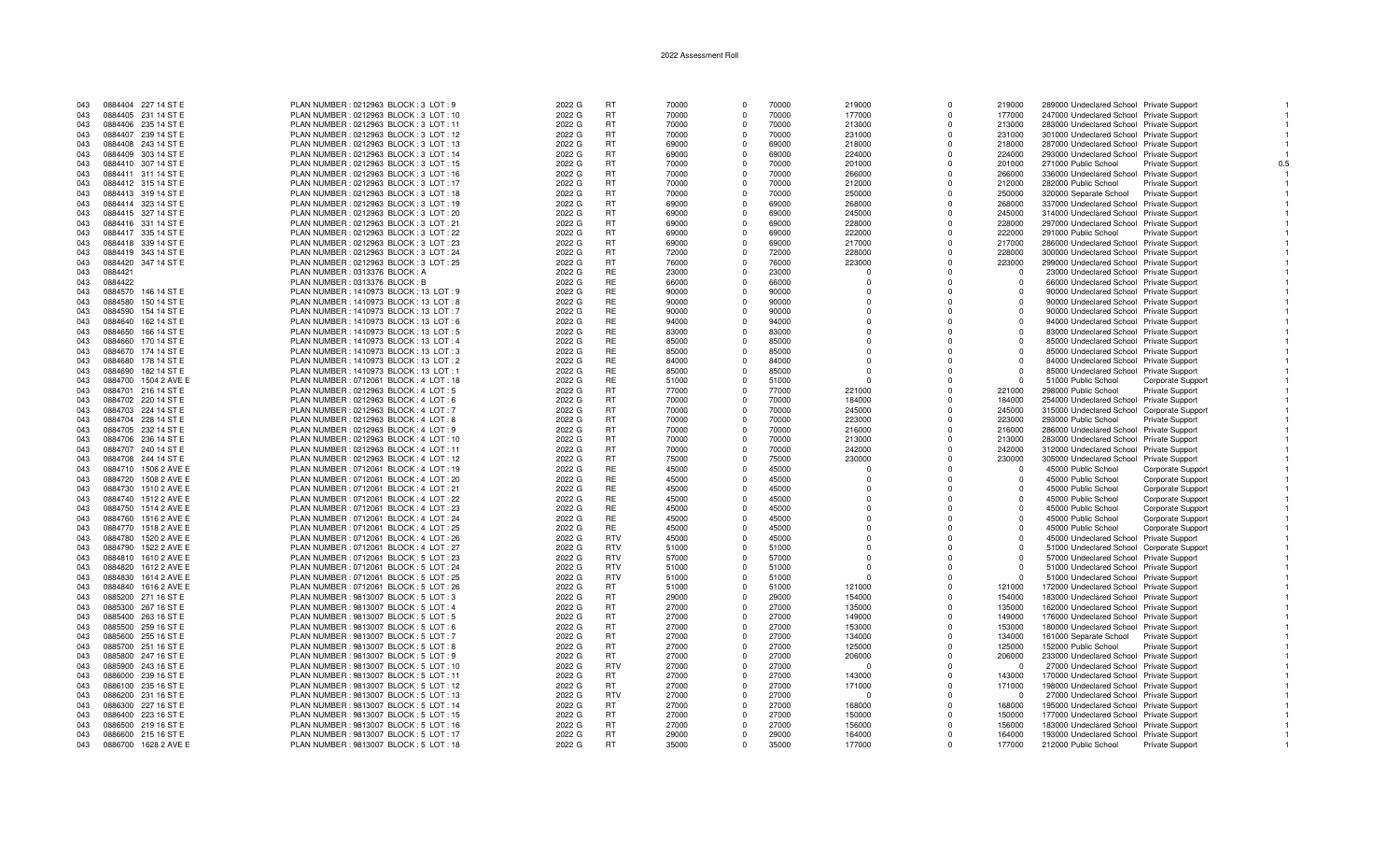| 043 | 0884404 227 14 ST E     | PLAN NUMBER : 0212963 BLOCK : 3 LOT : 9  | 2022 G | <b>RT</b>  | 70000 | $\Omega$    | 70000 | 219000   | $\Omega$    | 219000   | 289000 Undeclared School Private Support   |                          |  |
|-----|-------------------------|------------------------------------------|--------|------------|-------|-------------|-------|----------|-------------|----------|--------------------------------------------|--------------------------|--|
| 043 | 0884405 231 14 ST E     | PLAN NUMBER : 0212963 BLOCK : 3 LOT : 10 | 2022 G | <b>RT</b>  | 70000 | $\Omega$    | 70000 | 177000   | $\Omega$    | 177000   | 247000 Undeclared School Private Support   |                          |  |
| 043 | 0884406 235 14 ST E     | PLAN NUMBER: 0212963 BLOCK: 3 LOT: 11    | 2022 G | <b>RT</b>  | 70000 | $\Omega$    | 70000 | 213000   | $\Omega$    | 213000   | 283000 Undeclared School Private Support   |                          |  |
| 043 | 0884407 239 14 ST E     | PLAN NUMBER : 0212963 BLOCK : 3 LOT : 12 | 2022 G | <b>RT</b>  | 70000 | $\Omega$    | 70000 | 231000   | $\Omega$    | 231000   | 301000 Undeclared School Private Support   |                          |  |
| 043 | 0884408 243 14 ST E     | PLAN NUMBER : 0212963 BLOCK : 3 LOT : 13 | 2022 G | <b>RT</b>  | 69000 | $\Omega$    | 69000 | 218000   | $\Omega$    | 218000   |                                            |                          |  |
|     |                         |                                          |        |            |       |             |       |          |             |          | 287000 Undeclared School Private Support   |                          |  |
| 043 | 0884409 303 14 ST E     | PLAN NUMBER: 0212963 BLOCK: 3 LOT: 14    | 2022 G | <b>RT</b>  | 69000 | $\Omega$    | 69000 | 224000   | $\Omega$    | 224000   | 293000 Undeclared School Private Support   |                          |  |
| 043 | 0884410 307 14 ST E     | PLAN NUMBER : 0212963 BLOCK : 3 LOT : 15 | 2022 G | <b>RT</b>  | 70000 | $\mathbf 0$ | 70000 | 201000   | $\mathbf 0$ | 201000   | 271000 Public School                       | Private Support          |  |
| 043 | 0884411 311 14 ST E     | PLAN NUMBER: 0212963 BLOCK: 3 LOT: 16    | 2022 G | <b>RT</b>  | 70000 | $\Omega$    | 70000 | 266000   | $\Omega$    | 266000   | 336000 Undeclared School Private Support   |                          |  |
| 043 | 0884412 315 14 ST E     | PLAN NUMBER : 0212963 BLOCK : 3 LOT : 17 | 2022 G | <b>RT</b>  | 70000 | $\Omega$    | 70000 | 212000   | $\Omega$    | 212000   | 282000 Public School                       | <b>Private Support</b>   |  |
| 043 | 0884413 319 14 ST E     | PLAN NUMBER : 0212963 BLOCK : 3 LOT : 18 | 2022 G | <b>RT</b>  | 70000 | $\Omega$    | 70000 | 250000   | $\Omega$    | 250000   | 320000 Separate School                     | Private Support          |  |
| 043 | 0884414 323 14 ST E     | PLAN NUMBER: 0212963 BLOCK: 3 LOT: 19    | 2022 G | <b>RT</b>  | 69000 | $^{\circ}$  | 69000 | 268000   | $\Omega$    | 268000   | 337000 Undeclared School Private Support   |                          |  |
| 043 | 0884415 327 14 ST E     | PLAN NUMBER : 0212963 BLOCK : 3 LOT : 20 | 2022 G | <b>RT</b>  | 69000 | $\Omega$    | 69000 | 245000   | $\Omega$    | 245000   | 314000 Undeclared School Private Support   |                          |  |
| 043 | 0884416 331 14 ST E     | PLAN NUMBER : 0212963 BLOCK : 3 LOT : 21 | 2022 G | <b>RT</b>  | 69000 | $\Omega$    | 69000 | 228000   | $\Omega$    | 228000   | 297000 Undeclared School Private Support   |                          |  |
| 043 | 0884417 335 14 ST E     | PLAN NUMBER : 0212963 BLOCK : 3 LOT : 22 | 2022 G | <b>RT</b>  | 69000 | $\Omega$    | 69000 | 222000   | $\Omega$    | 222000   | 291000 Public School                       | Private Support          |  |
|     |                         |                                          |        | <b>RT</b>  |       |             |       |          |             |          |                                            |                          |  |
| 043 | 0884418 339 14 ST E     | PLAN NUMBER : 0212963 BLOCK : 3 LOT : 23 | 2022 G |            | 69000 | $\Omega$    | 69000 | 217000   | $\Omega$    | 217000   | 286000 Undeclared School Private Support   |                          |  |
| 043 | 0884419 343 14 ST E     | PLAN NUMBER : 0212963 BLOCK : 3 LOT : 24 | 2022 G | <b>RT</b>  | 72000 | $\Omega$    | 72000 | 228000   | $\Omega$    | 228000   | 300000 Undeclared School Private Support   |                          |  |
| 043 | 0884420 347 14 ST E     | PLAN NUMBER : 0212963 BLOCK : 3 LOT : 25 | 2022 G | <b>RT</b>  | 76000 | $\Omega$    | 76000 | 223000   | $\Omega$    | 223000   | 299000 Undeclared School Private Support   |                          |  |
| 043 | 0884421                 | PLAN NUMBER : 0313376 BLOCK : A          | 2022 G | <b>RE</b>  | 23000 | $\Omega$    | 23000 | $\Omega$ | $\Omega$    | $\Omega$ | 23000 Undeclared School Private Support    |                          |  |
| 043 | 0884422                 | PLAN NUMBER : 0313376 BLOCK : B          | 2022 G | RE         | 66000 | $\mathbf 0$ | 66000 | $\Omega$ | $\Omega$    | $\Omega$ | 66000 Undeclared School Private Support    |                          |  |
| 043 | 146 14 ST E<br>0884570  | PLAN NUMBER: 1410973 BLOCK: 13 LOT: 9    | 2022 G | <b>RE</b>  | 90000 | $\Omega$    | 90000 | $\Omega$ | $\Omega$    | $\Omega$ | 90000 Undeclared School Private Support    |                          |  |
| 043 | 0884580<br>150 14 ST E  | PLAN NUMBER : 1410973 BLOCK : 13 LOT : 8 | 2022 G | <b>RE</b>  | 90000 | $\Omega$    | 90000 | $\Omega$ | $\Omega$    | $\Omega$ | 90000 Undeclared School Private Support    |                          |  |
| 043 | 0884590<br>154 14 ST E  | PLAN NUMBER: 1410973 BLOCK: 13 LOT: 7    | 2022 G | <b>RE</b>  | 90000 | $\Omega$    | 90000 | $\Omega$ | $\Omega$    | $\Omega$ | 90000 Undeclared School Private Support    |                          |  |
| 043 | 162 14 ST E<br>0884640  | PLAN NUMBER: 1410973 BLOCK: 13 LOT: 6    | 2022 G | RE         | 94000 | $\Omega$    | 94000 | $\Omega$ | $\Omega$    | $\Omega$ | 94000 Undeclared School Private Support    |                          |  |
| 043 | 0884650<br>166 14 ST E  | PLAN NUMBER: 1410973 BLOCK: 13 LOT: 5    | 2022 G | <b>RE</b>  | 83000 | $\Omega$    | 83000 | $\Omega$ | $\Omega$    | $\Omega$ | 83000 Undeclared School Private Support    |                          |  |
| 043 | 0884660 170 14 ST E     | PLAN NUMBER: 1410973 BLOCK: 13 LOT: 4    | 2022 G | RE         | 85000 | $\Omega$    | 85000 | $\Omega$ | $\Omega$    | $\Omega$ |                                            |                          |  |
|     |                         |                                          |        |            |       |             |       |          |             |          | 85000 Undeclared School Private Support    |                          |  |
| 043 | 0884670 174 14 ST E     | PLAN NUMBER: 1410973 BLOCK: 13 LOT: 3    | 2022 G | RE         | 85000 | $\Omega$    | 85000 | $\Omega$ | $\Omega$    | $\Omega$ | 85000 Undeclared School Private Support    |                          |  |
| 043 | 0884680 178 14 ST E     | PLAN NUMBER : 1410973 BLOCK : 13 LOT : 2 | 2022 G | RE         | 84000 | $\Omega$    | 84000 | $\Omega$ | $\Omega$    | $\Omega$ | 84000 Undeclared School Private Support    |                          |  |
| 043 | 0884690 182 14 ST E     | PLAN NUMBER: 1410973 BLOCK: 13 LOT: 1    | 2022 G | <b>RE</b>  | 85000 | $\Omega$    | 85000 | $\Omega$ | $\Omega$    | $\Omega$ | 85000 Undeclared School Private Support    |                          |  |
| 043 | 0884700 1504 2 AVE E    | PLAN NUMBER : 0712061 BLOCK : 4 LOT : 18 | 2022 G | <b>RE</b>  | 51000 | $\Omega$    | 51000 | $\Omega$ | $\Omega$    | $\Omega$ | 51000 Public School                        | <b>Corporate Support</b> |  |
| 043 | 0884701 216 14 ST E     | PLAN NUMBER : 0212963 BLOCK : 4 LOT : 5  | 2022 G | <b>RT</b>  | 77000 | $\Omega$    | 77000 | 221000   | $\Omega$    | 221000   | 298000 Public School                       | <b>Private Support</b>   |  |
| 043 | 0884702 220 14 ST E     | PLAN NUMBER : 0212963 BLOCK : 4 LOT : 6  | 2022 G | <b>RT</b>  | 70000 | $\Omega$    | 70000 | 184000   | $\Omega$    | 184000   | 254000 Undeclared School Private Support   |                          |  |
| 043 | 0884703 224 14 ST E     | PLAN NUMBER : 0212963 BLOCK : 4 LOT : 7  | 2022 G | <b>RT</b>  | 70000 | $\Omega$    | 70000 | 245000   | $\Omega$    | 245000   | 315000 Undeclared School Corporate Support |                          |  |
| 043 | 0884704 228 14 ST E     | PLAN NUMBER : 0212963 BLOCK : 4 LOT : 8  | 2022 G | <b>RT</b>  | 70000 | $\Omega$    | 70000 | 223000   | $\Omega$    | 223000   | 293000 Public School                       | <b>Private Support</b>   |  |
| 043 | 0884705 232 14 ST E     | PLAN NUMBER : 0212963 BLOCK : 4 LOT : 9  | 2022 G | <b>RT</b>  | 70000 | $\Omega$    | 70000 | 216000   | $\Omega$    | 216000   | 286000 Undeclared School Private Support   |                          |  |
| 043 | 0884706 236 14 ST E     | PLAN NUMBER : 0212963 BLOCK : 4 LOT : 10 | 2022 G | <b>RT</b>  | 70000 | $\Omega$    | 70000 | 213000   | $\Omega$    | 213000   | 283000 Undeclared School Private Support   |                          |  |
| 043 | 0884707 240 14 ST E     |                                          |        | <b>RT</b>  | 70000 | $\Omega$    | 70000 | 242000   | $\Omega$    | 242000   |                                            |                          |  |
|     |                         | PLAN NUMBER: 0212963 BLOCK: 4 LOT: 11    | 2022 G |            |       |             |       |          |             |          | 312000 Undeclared School Private Support   |                          |  |
| 043 | 0884708 244 14 ST E     | PLAN NUMBER : 0212963 BLOCK : 4 LOT : 12 | 2022 G | <b>RT</b>  | 75000 | $\Omega$    | 75000 | 230000   | $\Omega$    | 230000   | 305000 Undeclared School Private Support   |                          |  |
| 043 | 0884710 1506 2 AVE E    | PLAN NUMBER : 0712061 BLOCK : 4 LOT : 19 | 2022 G | RE         | 45000 | $^{\circ}$  | 45000 | $\Omega$ | $\mathbf 0$ | $\Omega$ | 45000 Public School                        | Corporate Support        |  |
| 043 | 0884720 1508 2 AVE E    | PLAN NUMBER : 0712061 BLOCK : 4 LOT : 20 | 2022 G | RE         | 45000 | $\Omega$    | 45000 | $\Omega$ | $\Omega$    | $\Omega$ | 45000 Public School                        | Corporate Support        |  |
| 043 | 0884730 1510 2 AVE E    | PLAN NUMBER : 0712061 BLOCK : 4 LOT : 21 | 2022 G | <b>RE</b>  | 45000 | $\Omega$    | 45000 | $\Omega$ | $\Omega$    | $\cap$   | 45000 Public School                        | Corporate Support        |  |
| 043 | 0884740 1512 2 AVE E    | PLAN NUMBER : 0712061 BLOCK : 4 LOT : 22 | 2022 G | <b>RE</b>  | 45000 | $\Omega$    | 45000 | $\Omega$ | $\Omega$    |          | 45000 Public School                        | Corporate Support        |  |
| 043 | 0884750 1514 2 AVE E    | PLAN NUMBER : 0712061 BLOCK : 4 LOT : 23 | 2022 G | RE         | 45000 | $\Omega$    | 45000 | $\Omega$ | $\Omega$    | $\Omega$ | 45000 Public School                        | Corporate Support        |  |
| 043 | 0884760<br>1516 2 AVE E | PLAN NUMBER : 0712061 BLOCK : 4 LOT : 24 | 2022 G | RE         | 45000 | $\Omega$    | 45000 | $\Omega$ | $\Omega$    | $\Omega$ | 45000 Public School                        | Corporate Support        |  |
| 043 | 0884770 1518 2 AVE E    | PLAN NUMBER: 0712061 BLOCK: 4 LOT: 25    | 2022 G | <b>RE</b>  | 45000 | $\Omega$    | 45000 | $\Omega$ | $\Omega$    | $\Omega$ | 45000 Public School                        | Corporate Support        |  |
| 043 | 0884780<br>1520 2 AVE E | PLAN NUMBER : 0712061 BLOCK : 4 LOT : 26 | 2022 G | <b>RTV</b> | 45000 | $\Omega$    | 45000 | $\Omega$ |             |          | 45000 Undeclared School Private Support    |                          |  |
| 043 | 0884790 1522 2 AVE E    | PLAN NUMBER : 0712061 BLOCK : 4 LOT : 27 | 2022 G | <b>RTV</b> | 51000 | $\Omega$    | 51000 | $\Omega$ | $\Omega$    | $\Omega$ | 51000 Undeclared School Corporate Support  |                          |  |
| 043 | 0884810 1610 2 AVE E    | PLAN NUMBER : 0712061 BLOCK : 5 LOT : 23 | 2022 G | <b>RTV</b> | 57000 | $\Omega$    | 57000 | $\Omega$ | $\Omega$    | $\Omega$ | 57000 Undeclared School Private Support    |                          |  |
|     |                         |                                          |        | <b>RTV</b> |       | $\Omega$    |       | $\Omega$ | $\Omega$    | $\cap$   |                                            |                          |  |
| 043 | 0884820 1612 2 AVE E    | PLAN NUMBER : 0712061 BLOCK : 5 LOT : 24 | 2022 G |            | 51000 |             | 51000 |          |             |          | 51000 Undeclared School Private Support    |                          |  |
| 043 | 0884830 1614 2 AVE E    | PLAN NUMBER : 0712061 BLOCK : 5 LOT : 25 | 2022 G | <b>RTV</b> | 51000 | $\Omega$    | 51000 | $\Omega$ | n           | $\Omega$ | 51000 Undeclared School Private Support    |                          |  |
| 043 | 0884840 1616 2 AVE E    | PLAN NUMBER : 0712061 BLOCK : 5 LOT : 26 | 2022 G | <b>RT</b>  | 51000 | $\mathbf 0$ | 51000 | 121000   | $\Omega$    | 121000   | 172000 Undeclared School Private Support   |                          |  |
| 043 | 0885200 271 16 ST E     | PLAN NUMBER : 9813007 BLOCK : 5 LOT : 3  | 2022 G | RT         | 29000 | $\Omega$    | 29000 | 154000   | $\Omega$    | 154000   | 183000 Undeclared School Private Support   |                          |  |
| 043 | 0885300 267 16 ST E     | PLAN NUMBER : 9813007 BLOCK : 5 LOT : 4  | 2022 G | RT         | 27000 | $\Omega$    | 27000 | 135000   | $\Omega$    | 135000   | 162000 Undeclared School Private Support   |                          |  |
| 043 | 0885400 263 16 ST E     | PLAN NUMBER : 9813007 BLOCK : 5 LOT : 5  | 2022 G | <b>RT</b>  | 27000 | $\Omega$    | 27000 | 149000   | $\Omega$    | 149000   | 176000 Undeclared School Private Support   |                          |  |
| 043 | 0885500 259 16 ST E     | PLAN NUMBER : 9813007 BLOCK : 5 LOT : 6  | 2022 G | RT         | 27000 | $\Omega$    | 27000 | 153000   | $\Omega$    | 153000   | 180000 Undeclared School Private Support   |                          |  |
| 043 | 0885600 255 16 ST E     | PLAN NUMBER : 9813007 BLOCK : 5 LOT : 7  | 2022 G | <b>RT</b>  | 27000 | $\Omega$    | 27000 | 134000   | $\Omega$    | 134000   | 161000 Separate School                     | <b>Private Support</b>   |  |
| 043 | 0885700 251 16 ST E     | PLAN NUMBER : 9813007 BLOCK : 5 LOT : 8  | 2022 G | RT         | 27000 | $\Omega$    | 27000 | 125000   | $\Omega$    | 125000   | 152000 Public School                       | Private Support          |  |
| 043 | 0885800 247 16 ST E     | PLAN NUMBER : 9813007 BLOCK : 5 LOT : 9  | 2022 G | <b>RT</b>  | 27000 | $\Omega$    | 27000 | 206000   | $\Omega$    | 206000   | 233000 Undeclared School Private Support   |                          |  |
| 043 | 0885900 243 16 ST E     | PLAN NUMBER : 9813007 BLOCK : 5 LOT : 10 | 2022 G | <b>RTV</b> | 27000 | $\mathbf 0$ | 27000 | $\Omega$ | $\Omega$    | $\Omega$ | 27000 Undeclared School Private Support    |                          |  |
| 043 | 0886000 239 16 ST E     | PLAN NUMBER: 9813007 BLOCK: 5 LOT: 11    | 2022 G | <b>RT</b>  | 27000 | $\Omega$    | 27000 | 143000   | $\Omega$    | 143000   | 170000 Undeclared School Private Support   |                          |  |
|     |                         |                                          |        |            |       | $\Omega$    |       |          |             |          |                                            |                          |  |
| 043 | 0886100 235 16 ST E     | PLAN NUMBER : 9813007 BLOCK : 5 LOT : 12 | 2022 G | <b>RT</b>  | 27000 |             | 27000 | 171000   | $\Omega$    | 171000   | 198000 Undeclared School Private Support   |                          |  |
| 043 | 0886200 231 16 ST E     | PLAN NUMBER : 9813007 BLOCK : 5 LOT : 13 | 2022 G | <b>RTV</b> | 27000 | $\Omega$    | 27000 | $\Omega$ | $\Omega$    | $\Omega$ | 27000 Undeclared School Private Support    |                          |  |
| 043 | 0886300 227 16 ST E     | PLAN NUMBER : 9813007 BLOCK : 5 LOT : 14 | 2022 G | RT         | 27000 | $\mathbf 0$ | 27000 | 168000   | $\Omega$    | 168000   | 195000 Undeclared School Private Support   |                          |  |
| 043 | 0886400 223 16 ST E     | PLAN NUMBER : 9813007 BLOCK : 5 LOT : 15 | 2022 G | <b>RT</b>  | 27000 | $\Omega$    | 27000 | 150000   | $\Omega$    | 150000   | 177000 Undeclared School Private Support   |                          |  |
| 043 | 0886500 219 16 ST E     | PLAN NUMBER : 9813007 BLOCK : 5 LOT : 16 | 2022 G | RT         | 27000 | $\Omega$    | 27000 | 156000   | $\Omega$    | 156000   | 183000 Undeclared School Private Support   |                          |  |
| 043 | 0886600 215 16 ST E     | PLAN NUMBER : 9813007 BLOCK : 5 LOT : 17 | 2022 G | <b>RT</b>  | 29000 | $\Omega$    | 29000 | 164000   | $\Omega$    | 164000   | 193000 Undeclared School Private Support   |                          |  |
| 043 | 0886700 1628 2 AVE E    | PLAN NUMBER : 9813007 BLOCK : 5 LOT : 18 | 2022 G | <b>RT</b>  | 35000 | $\Omega$    | 35000 | 177000   | $\Omega$    | 177000   | 212000 Public School                       | <b>Private Support</b>   |  |

 $\overline{1}$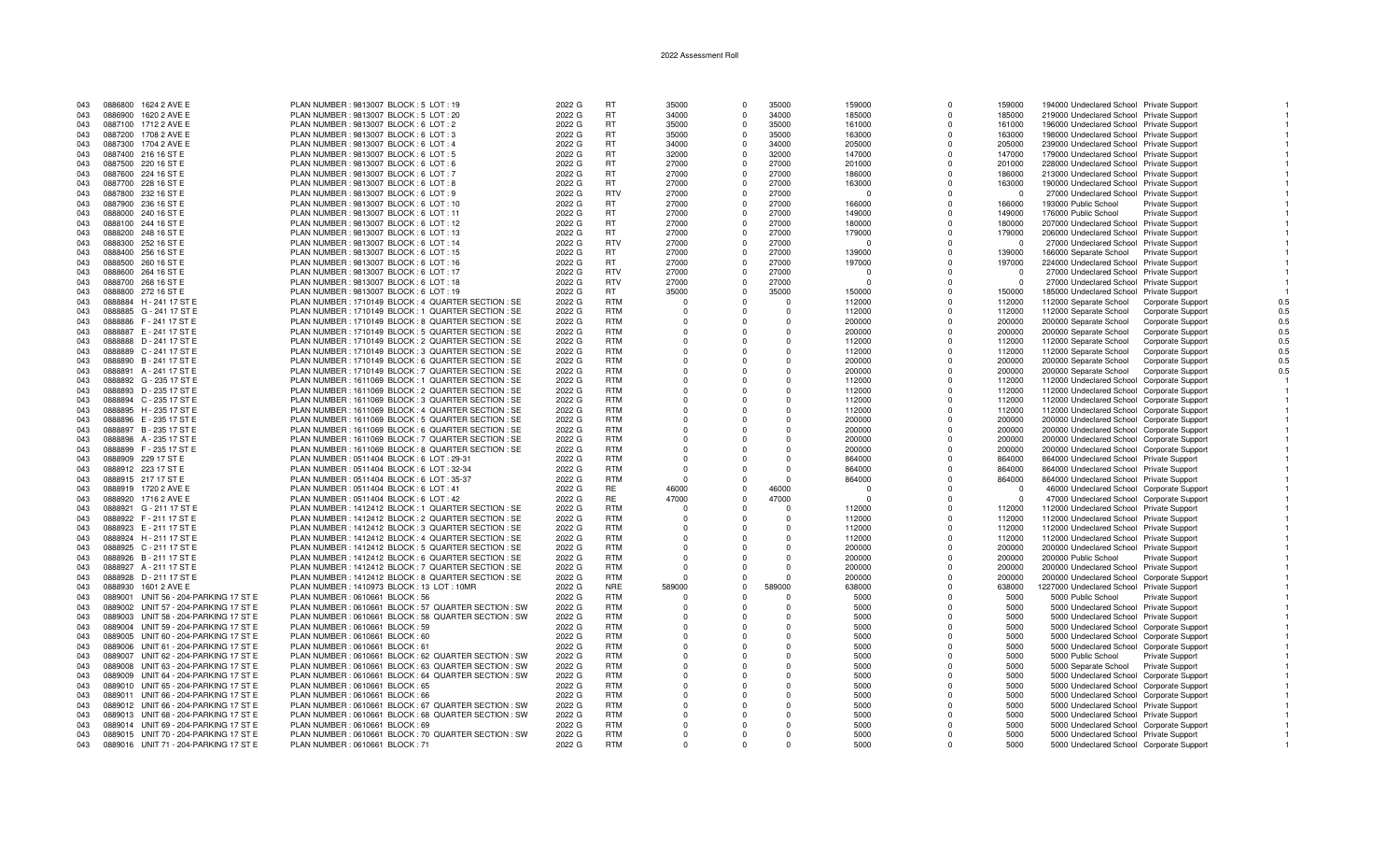| 043 | 0886800 | 1624 2 AVE E                          | PLAN NUMBER : 9813007 BLOCK : 5 LOT : 19              | 2022 G | <b>RT</b>  | 35000        | $\Omega$ | 35000      | 159000   | $\Omega$     | 159000      |                                            |                                 |
|-----|---------|---------------------------------------|-------------------------------------------------------|--------|------------|--------------|----------|------------|----------|--------------|-------------|--------------------------------------------|---------------------------------|
|     |         |                                       |                                                       |        |            |              |          |            |          |              |             | 194000 Undeclared School Private Support   |                                 |
| 043 | 0886900 | 1620 2 AVE E                          | PLAN NUMBER : 9813007 BLOCK : 5 LOT : 20              | 2022 G | RT         | 34000        | $\Omega$ | 34000      | 185000   | $\Omega$     | 185000      | 219000 Undeclared School Private Support   |                                 |
| 043 |         | 0887100 1712 2 AVE E                  | PLAN NUMBER : 9813007 BLOCK : 6 LOT : 2               | 2022 G | <b>RT</b>  | 35000        | $\Omega$ | 35000      | 161000   | $\Omega$     | 161000      | 196000 Undeclared School Private Support   |                                 |
| 043 |         | 0887200 1708 2 AVE E                  | PLAN NUMBER : 9813007 BLOCK : 6 LOT : 3               | 2022 G | <b>RT</b>  | 35000        |          | 35000      | 163000   |              | 163000      | 198000 Undeclared School Private Support   |                                 |
| 043 |         | 0887300 1704 2 AVE E                  | PLAN NUMBER : 9813007 BLOCK : 6 LOT : 4               | 2022 G | <b>RT</b>  | 34000        | $\Omega$ | 34000      | 205000   | $\Omega$     | 205000      | 239000 Undeclared School Private Support   |                                 |
|     |         |                                       |                                                       |        |            |              |          |            |          |              |             |                                            |                                 |
| 043 |         | 0887400 216 16 ST E                   | PLAN NUMBER : 9813007 BLOCK : 6 LOT : 5               | 2022 G | <b>RT</b>  | 32000        | $\Omega$ | 32000      | 147000   | $\Omega$     | 147000      | 179000 Undeclared School Private Support   |                                 |
| 043 |         | 0887500 220 16 ST E                   | PLAN NUMBER : 9813007 BLOCK : 6 LOT : 6               | 2022 G | <b>RT</b>  | 27000        | $\Omega$ | 27000      | 201000   | $\Omega$     | 201000      | 228000 Undeclared School Private Support   |                                 |
| 043 |         | 0887600 224 16 ST E                   | PLAN NUMBER : 9813007 BLOCK : 6 LOT : 7               | 2022 G | <b>RT</b>  | 27000        | $\Omega$ | 27000      | 186000   | $\Omega$     | 186000      | 213000 Undeclared School Private Support   |                                 |
| 043 |         | 0887700 228 16 ST E                   | PLAN NUMBER : 9813007 BLOCK : 6 LOT : 8               | 2022 G | <b>RT</b>  | 27000        | $\Omega$ | 27000      | 163000   | $\Omega$     | 163000      | 190000 Undeclared School Private Support   |                                 |
|     |         |                                       |                                                       |        |            |              |          |            |          |              |             |                                            |                                 |
| 043 |         | 0887800 232 16 ST E                   | PLAN NUMBER : 9813007 BLOCK : 6 LOT : 9               | 2022 G | <b>RTV</b> | 27000        | $\Omega$ | 27000      | $\Omega$ | $\Omega$     | $\Omega$    | 27000 Undeclared School Private Support    |                                 |
| 043 |         | 0887900 236 16 ST E                   | PLAN NUMBER : 9813007 BLOCK : 6 LOT : 10              | 2022 G | <b>RT</b>  | 27000        | $\Omega$ | 27000      | 166000   | $\Omega$     | 166000      | 193000 Public School                       | Private Support                 |
| 043 |         | 0888000 240 16 ST E                   | PLAN NUMBER : 9813007 BLOCK : 6 LOT : 11              | 2022 G | <b>RT</b>  | 27000        | $\Omega$ | 27000      | 149000   |              | 149000      | 176000 Public School                       | Private Support                 |
|     |         |                                       |                                                       |        | <b>RT</b>  | 27000        | $\Omega$ |            |          | $\Omega$     |             |                                            |                                 |
| 043 |         | 0888100 244 16 ST E                   | PLAN NUMBER : 9813007 BLOCK : 6 LOT : 12              | 2022 G |            |              |          | 27000      | 180000   |              | 180000      | 207000 Undeclared School Private Support   |                                 |
| 043 |         | 0888200 248 16 ST E                   | PLAN NUMBER : 9813007 BLOCK : 6 LOT : 13              | 2022 G | <b>RT</b>  | 27000        | $\Omega$ | 27000      | 179000   | $\Omega$     | 179000      | 206000 Undeclared School Private Support   |                                 |
| 043 |         | 0888300 252 16 ST E                   | PLAN NUMBER : 9813007 BLOCK : 6 LOT : 14              | 2022 G | <b>RTV</b> | 27000        |          | 27000      | n        | <sup>n</sup> | $\Omega$    | 27000 Undeclared School Private Support    |                                 |
| 043 |         | 0888400 256 16 ST E                   | PLAN NUMBER : 9813007 BLOCK : 6 LOT : 15              | 2022 G | <b>RT</b>  | 27000        | $\Omega$ | 27000      | 139000   | $\Omega$     | 139000      | 166000 Separate School Private Support     |                                 |
|     |         |                                       |                                                       | 2022 G | <b>RT</b>  | 27000        | $\Omega$ | 27000      |          |              |             |                                            |                                 |
| 043 |         | 0888500 260 16 ST E                   | PLAN NUMBER : 9813007 BLOCK : 6 LOT : 16              |        |            |              |          |            | 197000   | $\mathbf 0$  | 197000      | 224000 Undeclared School Private Support   |                                 |
| 043 |         | 0888600 264 16 ST E                   | PLAN NUMBER : 9813007 BLOCK : 6 LOT : 17              | 2022 G | <b>RTV</b> | 27000        | $\Omega$ | 27000      | $\Omega$ | $\Omega$     | $\Omega$    | 27000 Undeclared School Private Support    |                                 |
| 043 |         | 0888700 268 16 ST E                   | PLAN NUMBER : 9813007 BLOCK : 6 LOT : 18              | 2022 G | <b>RTV</b> | 27000        | $\Omega$ | 27000      | n        | U            | $\Omega$    | 27000 Undeclared School Private Support    |                                 |
| 043 |         | 0888800 272 16 ST E                   | PLAN NUMBER : 9813007 BLOCK : 6 LOT : 19              | 2022 G | RT.        | 35000        | $\Omega$ | 35000      | 150000   |              | 150000      | 185000 Undeclared School Private Support   |                                 |
|     |         |                                       |                                                       |        |            |              |          |            |          |              |             |                                            |                                 |
| 043 |         | 0888884 H - 241 17 ST E               | PLAN NUMBER : 1710149 BLOCK : 4 QUARTER SECTION : SE  | 2022 G | <b>RTM</b> | $\Omega$     |          | $\Omega$   | 112000   | $\Omega$     | 112000      | 112000 Separate School                     | <b>Corporate Support</b><br>0.5 |
| 043 |         | 0888885 G - 241 17 ST E               | PLAN NUMBER : 1710149 BLOCK : 1 QUARTER SECTION : SE  | 2022 G | <b>RTM</b> | $\Omega$     |          | $\Omega$   | 112000   | $\Omega$     | 112000      | 112000 Separate School                     | Corporate Support<br>0.5        |
| 043 |         | 0888886 F-241 17 ST E                 | PLAN NUMBER : 1710149 BLOCK : 8 QUARTER SECTION : SE  | 2022 G | <b>RTM</b> | $\Omega$     |          | $\Omega$   | 200000   | $\Omega$     | 200000      | 200000 Separate School                     | 0.5<br><b>Corporate Support</b> |
| 043 |         | 0888887 E - 241 17 ST E               | PLAN NUMBER: 1710149 BLOCK: 5 QUARTER SECTION: SE     | 2022 G | <b>RTM</b> | $\Omega$     | $\cap$   | $\Omega$   | 200000   | $\Omega$     | 200000      | 200000 Separate School                     | 0.5                             |
|     |         |                                       |                                                       |        |            |              |          |            |          |              |             |                                            | Corporate Support               |
| 043 |         | 0888888 D - 241 17 ST E               | PLAN NUMBER : 1710149 BLOCK : 2 QUARTER SECTION : SE  | 2022 G | <b>RTM</b> | $\Omega$     | $\Omega$ | $\Omega$   | 112000   | $\Omega$     | 112000      | 112000 Separate School                     | 0.5<br>Corporate Support        |
| 043 |         | 0888889 C - 241 17 ST E               | PLAN NUMBER : 1710149 BLOCK : 3 QUARTER SECTION : SE  | 2022 G | <b>RTM</b> | $\Omega$     | $\Omega$ | $\Omega$   | 112000   | $\Omega$     | 112000      | 112000 Separate School                     | Corporate Support<br>0.5        |
| 043 |         | 0888890 B-241 17 ST E                 | PLAN NUMBER: 1710149 BLOCK: 6 QUARTER SECTION: SE     | 2022 G | <b>RTM</b> | $\Omega$     |          | $\Omega$   | 200000   | $\Omega$     | 200000      | 200000 Separate School                     | Corporate Support<br>0.5        |
| 043 |         |                                       | PLAN NUMBER: 1710149 BLOCK: 7 QUARTER SECTION: SE     |        | <b>RTM</b> | $\Omega$     |          | $\Omega$   |          | $\Omega$     |             |                                            | 0.5                             |
|     |         | 0888891 A-241 17 ST E                 |                                                       | 2022 G |            |              |          |            | 200000   |              | 200000      | 200000 Separate School                     | Corporate Support               |
| 043 |         | 0888892 G - 235 17 ST E               | PLAN NUMBER : 1611069 BLOCK : 1 QUARTER SECTION : SE  | 2022 G | <b>RTM</b> | <sup>0</sup> |          | $^{\circ}$ | 112000   | $\mathbf 0$  | 112000      | 112000 Undeclared School Corporate Support |                                 |
| 043 |         | 0888893 D - 235 17 ST E               | PLAN NUMBER : 1611069 BLOCK : 2 QUARTER SECTION : SE  | 2022 G | <b>RTM</b> | $\Omega$     |          | $\Omega$   | 112000   | $\Omega$     | 112000      | 112000 Undeclared School Corporate Support |                                 |
| 043 |         | 0888894 C - 235 17 ST E               | PLAN NUMBER: 1611069 BLOCK: 3 QUARTER SECTION: SE     | 2022 G | <b>RTM</b> | <sup>0</sup> |          | $\Omega$   | 112000   | $\Omega$     | 112000      | 112000 Undeclared School Corporate Support |                                 |
|     |         |                                       |                                                       |        | <b>RTM</b> |              |          |            |          |              |             |                                            |                                 |
| 043 |         | 0888895 H - 235 17 ST E               | PLAN NUMBER : 1611069 BLOCK : 4 QUARTER SECTION : SE  | 2022 G |            | $\Omega$     | $\Omega$ | $\Omega$   | 112000   | $\Omega$     | 112000      | 112000 Undeclared School Corporate Support |                                 |
| 043 |         | 0888896 E - 235 17 ST E               | PLAN NUMBER : 1611069 BLOCK : 5 QUARTER SECTION : SE  | 2022 G | <b>RTM</b> | $\Omega$     |          | $\Omega$   | 200000   | $\Omega$     | 200000      | 200000 Undeclared School Corporate Support |                                 |
| 043 |         | 0888897 B-235 17 ST E                 | PLAN NUMBER : 1611069 BLOCK : 6 QUARTER SECTION : SE  | 2022 G | <b>RTM</b> | $\Omega$     | $\Omega$ | $\Omega$   | 200000   | $\Omega$     | 200000      | 200000 Undeclared School Corporate Support |                                 |
| 043 |         | 0888898 A - 235 17 ST E               | PLAN NUMBER : 1611069 BLOCK : 7 QUARTER SECTION : SE  | 2022 G | <b>RTM</b> | $\Omega$     |          | $\Omega$   | 200000   | $\Omega$     | 200000      | 200000 Undeclared School Corporate Support |                                 |
|     |         |                                       |                                                       |        | <b>RTM</b> |              |          | $\Omega$   |          | $\Omega$     |             |                                            |                                 |
| 043 |         | 0888899 F - 235 17 ST E               | PLAN NUMBER : 1611069 BLOCK : 8 QUARTER SECTION : SE  | 2022 G |            | <sup>0</sup> |          |            | 200000   |              | 200000      | 200000 Undeclared School Corporate Support |                                 |
| 043 |         | 0888909 229 17 ST E                   | PLAN NUMBER : 0511404 BLOCK : 6 LOT : 29-31           | 2022 G | <b>RTM</b> | $\Omega$     |          | $\Omega$   | 864000   | $\Omega$     | 864000      | 864000 Undeclared School Private Support   |                                 |
| 043 |         | 0888912 223 17 ST E                   | PLAN NUMBER : 0511404 BLOCK : 6 LOT : 32-34           | 2022 G | <b>RTM</b> | $\Omega$     |          | $\Omega$   | 864000   | $\Omega$     | 864000      | 864000 Undeclared School Private Support   |                                 |
| 043 |         | 0888915 217 17 ST E                   | PLAN NUMBER : 0511404 BLOCK : 6 LOT : 35-37           | 2022 G | <b>RTM</b> | $\Omega$     |          | $\Omega$   | 864000   | $\Omega$     | 864000      | 864000 Undeclared School Private Support   |                                 |
|     |         |                                       |                                                       |        |            |              |          |            |          |              |             |                                            |                                 |
| 043 |         | 0888919 1720 2 AVE E                  | PLAN NUMBER : 0511404 BLOCK : 6 LOT : 41              | 2022 G | <b>RE</b>  | 46000        | $\Omega$ | 46000      | $\Omega$ | $\Omega$     | $\mathbf 0$ | 46000 Undeclared School Corporate Support  |                                 |
| 043 |         | 0888920 1716 2 AVE E                  | PLAN NUMBER : 0511404 BLOCK : 6 LOT : 42              | 2022 G | <b>RE</b>  | 47000        | $\Omega$ | 47000      | $\Omega$ | $\Omega$     | $\Omega$    | 47000 Undeclared School Corporate Support  |                                 |
| 043 |         | 0888921 G - 211 17 ST E               | PLAN NUMBER : 1412412 BLOCK : 1 QUARTER SECTION : SE  | 2022 G | <b>RTM</b> | $\Omega$     | $\cap$   | $\Omega$   | 112000   | $\Omega$     | 112000      | 112000 Undeclared School Private Support   |                                 |
| 043 |         | 0888922 F-211 17 ST E                 | PLAN NUMBER : 1412412 BLOCK : 2 QUARTER SECTION : SE  | 2022 G | <b>RTM</b> | $\Omega$     |          | $\Omega$   | 112000   | O            | 112000      | 112000 Undeclared School Private Support   |                                 |
|     |         |                                       |                                                       |        |            |              |          |            |          |              |             |                                            |                                 |
| 043 |         | 0888923 E - 211 17 ST E               | PLAN NUMBER: 1412412 BLOCK: 3 QUARTER SECTION: SE     | 2022 G | <b>RTM</b> | $\Omega$     |          | $\Omega$   | 112000   | $\Omega$     | 112000      | 112000 Undeclared School Private Support   |                                 |
| 043 |         | 0888924 H - 211 17 ST E               | PLAN NUMBER : 1412412 BLOCK : 4 QUARTER SECTION : SE  | 2022 G | <b>RTM</b> | $\Omega$     |          | $\Omega$   | 112000   | $\Omega$     | 112000      | 112000 Undeclared School Private Support   |                                 |
| 043 |         | 0888925 C - 211 17 ST E               | PLAN NUMBER : 1412412 BLOCK : 5 QUARTER SECTION : SE  | 2022 G | <b>RTM</b> | $\Omega$     |          | $\Omega$   | 200000   | $\Omega$     | 200000      | 200000 Undeclared School Private Support   |                                 |
| 043 |         | 0888926 B-211 17 ST E                 | PLAN NUMBER : 1412412 BLOCK : 6 QUARTER SECTION : SE  | 2022 G | <b>RTM</b> | $\Omega$     |          | $\Omega$   | 200000   | $\Omega$     | 200000      |                                            |                                 |
|     |         |                                       |                                                       |        |            |              |          |            |          |              |             | 200000 Public School                       | Private Support                 |
| 043 |         | 0888927 A-211 17 ST E                 | PLAN NUMBER : 1412412 BLOCK : 7 QUARTER SECTION : SE  | 2022 G | <b>RTM</b> | $\Omega$     |          | $\Omega$   | 200000   | $\Omega$     | 200000      | 200000 Undeclared School Private Support   |                                 |
| 043 |         | 0888928 D - 211 17 ST E               | PLAN NUMBER : 1412412 BLOCK : 8 QUARTER SECTION : SE  | 2022 G | <b>RTM</b> | $\Omega$     |          | $\Omega$   | 200000   | $\Omega$     | 200000      | 200000 Undeclared School Corporate Support |                                 |
| 043 |         | 0888930 1601 2 AVE E                  | PLAN NUMBER: 1410973 BLOCK: 13 LOT: 10MR              | 2022 G | <b>NRE</b> | 589000       | $\Omega$ | 589000     | 638000   | $\Omega$     | 638000      | 1227000 Undeclared School Private Support  |                                 |
|     |         |                                       |                                                       |        | <b>RTM</b> |              |          |            |          | $\Omega$     |             |                                            |                                 |
| 043 |         | 0889001 UNIT 56 - 204-PARKING 17 ST E | PLAN NUMBER : 0610661 BLOCK : 56                      | 2022 G |            |              |          |            | 5000     |              | 5000        | 5000 Public School                         | Private Support                 |
| 043 |         | 0889002 UNIT 57 - 204-PARKING 17 ST E | PLAN NUMBER : 0610661 BLOCK : 57 QUARTER SECTION : SW | 2022 G | <b>RTM</b> | $\Omega$     |          | $\Omega$   | 5000     | $\Omega$     | 5000        | 5000 Undeclared School Private Support     |                                 |
| 043 |         | 0889003 UNIT 58 - 204-PARKING 17 ST E | PLAN NUMBER : 0610661 BLOCK : 58 QUARTER SECTION : SW | 2022 G | <b>RTM</b> | n            |          | $\Omega$   | 5000     |              | 5000        | 5000 Undeclared School Private Support     |                                 |
| 043 |         | 0889004 UNIT 59 - 204-PARKING 17 ST E | PLAN NUMBER : 0610661 BLOCK : 59                      | 2022 G | <b>RTM</b> | $\Omega$     |          | $\Omega$   | 5000     |              | 5000        | 5000 Undeclared School Corporate Support   |                                 |
|     |         |                                       |                                                       |        |            |              |          |            |          |              |             |                                            |                                 |
| 043 |         | 0889005 UNIT 60 - 204-PARKING 17 ST E | PLAN NUMBER : 0610661 BLOCK : 60                      | 2022 G | <b>RTM</b> | $\Omega$     | $\Omega$ | $\Omega$   | 5000     | O            | 5000        | 5000 Undeclared School Corporate Support   |                                 |
| 043 |         | 0889006 UNIT 61 - 204-PARKING 17 ST E | PLAN NUMBER : 0610661 BLOCK : 61                      | 2022 G | <b>RTM</b> | $\Omega$     |          | $\Omega$   | 5000     | $\Omega$     | 5000        | 5000 Undeclared School Corporate Support   |                                 |
| 043 |         | 0889007 UNIT 62 - 204-PARKING 17 ST E | PLAN NUMBER : 0610661 BLOCK : 62 QUARTER SECTION : SW | 2022 G | <b>RTM</b> | $\Omega$     | $\Omega$ | $\Omega$   | 5000     | $\Omega$     | 5000        | 5000 Public School                         | Private Support                 |
|     |         | 0889008 UNIT 63 - 204-PARKING 17 ST E | PLAN NUMBER : 0610661 BLOCK : 63 QUARTER SECTION : SW | 2022 G | <b>RTM</b> | $\Omega$     |          | $\Omega$   | 5000     |              | 5000        |                                            |                                 |
| 043 |         |                                       |                                                       |        |            |              |          |            |          |              |             | 5000 Separate School                       | <b>Private Support</b>          |
| 043 |         | 0889009 UNIT 64 - 204-PARKING 17 ST E | PLAN NUMBER : 0610661 BLOCK : 64 QUARTER SECTION : SW | 2022 G | <b>RTM</b> |              |          | $\Omega$   | 5000     |              | 5000        | 5000 Undeclared School Corporate Support   |                                 |
| 043 |         | 0889010 UNIT 65 - 204-PARKING 17 ST E | PLAN NUMBER : 0610661 BLOCK : 65                      | 2022 G | RTM        | $\Omega$     |          | $\Omega$   | 5000     | 0            | 5000        | 5000 Undeclared School Corporate Support   |                                 |
| 043 |         | 0889011 UNIT 66 - 204-PARKING 17 ST E | PLAN NUMBER : 0610661 BLOCK : 66                      | 2022 G | <b>RTM</b> | <sup>0</sup> |          | $\Omega$   | 5000     |              | 5000        | 5000 Undeclared School Corporate Support   |                                 |
|     |         | 0889012 UNIT 66 - 204-PARKING 17 ST E | PLAN NUMBER : 0610661 BLOCK : 67 QUARTER SECTION : SW | 2022 G | <b>RTM</b> | $\Omega$     |          | $\Omega$   | 5000     |              | 5000        |                                            |                                 |
| 043 |         |                                       |                                                       |        |            |              |          |            |          |              |             | 5000 Undeclared School Private Support     |                                 |
| 043 |         | 0889013 UNIT 68 - 204-PARKING 17 ST E | PLAN NUMBER : 0610661 BLOCK : 68 QUARTER SECTION : SW | 2022 G | <b>RTM</b> | $\Omega$     | $\Omega$ | $\Omega$   | 5000     |              | 5000        | 5000 Undeclared School Private Support     |                                 |
| 043 |         | 0889014 UNIT 69 - 204-PARKING 17 ST E | PLAN NUMBER : 0610661 BLOCK : 69                      | 2022 G | <b>RTM</b> | $\Omega$     |          | $\Omega$   | 5000     | O            | 5000        | 5000 Undeclared School Corporate Support   |                                 |
| 043 |         | 0889015 UNIT 70 - 204-PARKING 17 ST E | PLAN NUMBER : 0610661 BLOCK : 70 QUARTER SECTION : SW | 2022 G | <b>RTM</b> | $\Omega$     | $\cap$   | $\Omega$   | 5000     | $\Omega$     | 5000        | 5000 Undeclared School Private Support     |                                 |
| 043 |         | 0889016 UNIT 71 - 204-PARKING 17 ST E | PLAN NUMBER : 0610661 BLOCK : 71                      | 2022 G | <b>RTM</b> | $\Omega$     |          | $\Omega$   | 5000     | $\Omega$     | 5000        |                                            |                                 |
|     |         |                                       |                                                       |        |            |              |          |            |          |              |             | 5000 Undeclared School Corporate Support   |                                 |

 $\overline{1}$ 

 $\overline{1}$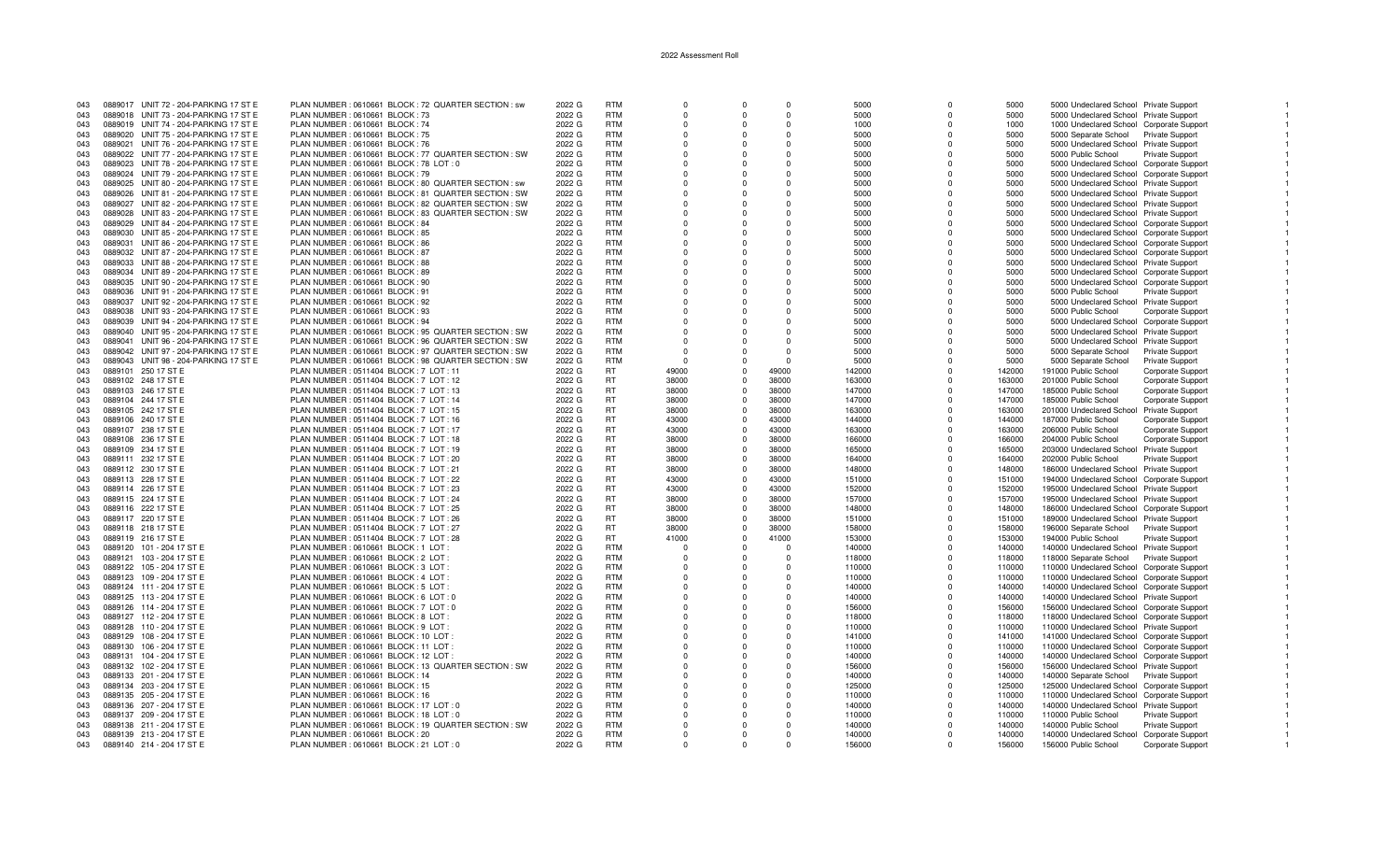| 043 | 0889017 UNIT 72 - 204-PARKING 17 ST E | PLAN NUMBER : 0610661 BLOCK : 72 QUARTER SECTION : sw | 2022 G | <b>RTM</b> | $\Omega$ | $\Omega$       | $\Omega$ | 5000   | $\Omega$ | 5000   | 5000 Undeclared School Private Support           |  |
|-----|---------------------------------------|-------------------------------------------------------|--------|------------|----------|----------------|----------|--------|----------|--------|--------------------------------------------------|--|
| 043 | 0889018 UNIT 73 - 204-PARKING 17 ST E | PLAN NUMBER : 0610661 BLOCK : 73                      | 2022 G | <b>RTM</b> | $\Omega$ | $\Omega$       | $\Omega$ | 5000   | $\Omega$ | 5000   | 5000 Undeclared School Private Support           |  |
| 043 | 0889019 UNIT 74 - 204-PARKING 17 ST E | PLAN NUMBER : 0610661 BLOCK : 74                      | 2022 G | <b>RTM</b> | $\Omega$ | $\Omega$       | $\Omega$ | 1000   |          | 1000   | 1000 Undeclared School Corporate Support         |  |
|     |                                       |                                                       |        | <b>RTM</b> | $\Omega$ | $\Omega$       | $\Omega$ |        |          |        |                                                  |  |
| 043 | 0889020 UNIT 75 - 204-PARKING 17 ST E | PLAN NUMBER : 0610661 BLOCK : 75                      | 2022 G |            |          |                |          | 5000   | $\Omega$ | 5000   | 5000 Separate School Private Support             |  |
| 043 | 0889021 UNIT 76 - 204-PARKING 17 ST E | PLAN NUMBER : 0610661 BLOCK : 76                      | 2022 G | <b>RTM</b> | $\Omega$ | $\Omega$       | $\Omega$ | 5000   | $\Omega$ | 5000   | 5000 Undeclared School Private Support           |  |
| 043 | 0889022 UNIT 77 - 204-PARKING 17 ST E | PLAN NUMBER : 0610661 BLOCK : 77 QUARTER SECTION : SW | 2022 G | <b>RTM</b> | $\Omega$ | $\Omega$       | $\Omega$ | 5000   | $\Omega$ | 5000   | 5000 Public School<br>Private Support            |  |
| 043 | 0889023 UNIT 78 - 204-PARKING 17 ST E | PLAN NUMBER : 0610661 BLOCK : 78 LOT : 0              | 2022 G | <b>RTM</b> | $\Omega$ | $\Omega$       | O        | 5000   |          | 5000   | 5000 Undeclared School Corporate Support         |  |
|     |                                       |                                                       |        |            |          |                |          |        |          |        |                                                  |  |
| 043 | 0889024 UNIT 79 - 204-PARKING 17 ST E | PLAN NUMBER : 0610661 BLOCK : 79                      | 2022 G | <b>RTM</b> | $\Omega$ | $\Omega$       | $\Omega$ | 5000   | $\Omega$ | 5000   | 5000 Undeclared School Corporate Support         |  |
| 043 | 0889025 UNIT 80 - 204-PARKING 17 ST E | PLAN NUMBER : 0610661 BLOCK : 80 QUARTER SECTION : sw | 2022 G | <b>RTM</b> | $\Omega$ | $\Omega$       | $\Omega$ | 5000   |          | 5000   | 5000 Undeclared School Private Support           |  |
| 043 | 0889026 UNIT 81 - 204-PARKING 17 ST E | PLAN NUMBER : 0610661 BLOCK : 81 QUARTER SECTION : SW | 2022 G | <b>RTM</b> | $\Omega$ | $\Omega$       | $\Omega$ | 5000   | $\Omega$ | 5000   | 5000 Undeclared School Private Support           |  |
| 043 | 0889027 UNIT 82 - 204-PARKING 17 ST E | PLAN NUMBER : 0610661 BLOCK : 82 QUARTER SECTION : SW | 2022 G | <b>RTM</b> | $\Omega$ | $\Omega$       | $\Omega$ | 5000   |          | 5000   | 5000 Undeclared School Private Support           |  |
|     |                                       | PLAN NUMBER : 0610661 BLOCK : 83 QUARTER SECTION : SW |        | <b>RTM</b> | $\Omega$ | $\Omega$       | $\Omega$ |        | $\Omega$ |        |                                                  |  |
| 043 | 0889028 UNIT 83 - 204-PARKING 17 ST E |                                                       | 2022 G |            |          |                |          | 5000   |          | 5000   | 5000 Undeclared School Private Support           |  |
| 043 | 0889029 UNIT 84 - 204-PARKING 17 ST E | PLAN NUMBER : 0610661 BLOCK : 84                      | 2022 G | <b>RTM</b> | $\Omega$ | $\Omega$       | $\Omega$ | 5000   |          | 5000   | 5000 Undeclared School Corporate Support         |  |
| 043 | 0889030 UNIT 85 - 204-PARKING 17 ST E | PLAN NUMBER : 0610661 BLOCK : 85                      | 2022 G | <b>RTM</b> | $\Omega$ | $\Omega$       | $\Omega$ | 5000   | $\Omega$ | 5000   | 5000 Undeclared School Corporate Support         |  |
| 043 | 0889031 UNIT 86 - 204-PARKING 17 ST E | PLAN NUMBER : 0610661 BLOCK : 86                      | 2022 G | <b>RTM</b> | $\Omega$ | $\Omega$       | $\Omega$ | 5000   | $\Omega$ | 5000   | 5000 Undeclared School Corporate Support         |  |
|     |                                       |                                                       |        | <b>RTM</b> |          |                |          |        |          |        |                                                  |  |
| 043 | 0889032 UNIT 87 - 204-PARKING 17 ST E | PLAN NUMBER : 0610661 BLOCK : 87                      | 2022 G |            | $\Omega$ | $\mathbf{0}$   | 0        | 5000   | $\Omega$ | 5000   | 5000 Undeclared School Corporate Support         |  |
| 043 | 0889033 UNIT 88 - 204-PARKING 17 ST E | PLAN NUMBER : 0610661 BLOCK : 88                      | 2022 G | <b>RTM</b> | $\Omega$ | $\Omega$       | $\Omega$ | 5000   | $\Omega$ | 5000   | 5000 Undeclared School Private Support           |  |
| 043 | 0889034 UNIT 89 - 204-PARKING 17 ST E | PLAN NUMBER : 0610661 BLOCK : 89                      | 2022 G | <b>RTM</b> | $\Omega$ | $\Omega$       | $\Omega$ | 5000   | $\Omega$ | 5000   | 5000 Undeclared School Corporate Support         |  |
| 043 | 0889035 UNIT 90 - 204-PARKING 17 ST E | PLAN NUMBER : 0610661 BLOCK : 90                      | 2022 G | <b>RTM</b> | $\Omega$ | $\Omega$       | $\Omega$ | 5000   |          | 5000   | 5000 Undeclared School Corporate Support         |  |
| 043 | 0889036 UNIT 91 - 204-PARKING 17 ST E | PLAN NUMBER : 0610661 BLOCK : 91                      | 2022 G | <b>RTM</b> | $\Omega$ | $\Omega$       | $\Omega$ | 5000   | $\Omega$ | 5000   | 5000 Public School<br>Private Support            |  |
|     |                                       |                                                       |        |            |          |                |          |        |          |        |                                                  |  |
| 043 | 0889037 UNIT 92 - 204-PARKING 17 ST E | PLAN NUMBER : 0610661 BLOCK : 92                      | 2022 G | <b>RTM</b> | $\Omega$ | $\Omega$       | $\Omega$ | 5000   | $\Omega$ | 5000   | 5000 Undeclared School Private Support           |  |
| 043 | 0889038 UNIT 93 - 204-PARKING 17 ST E | PLAN NUMBER : 0610661 BLOCK : 93                      | 2022 G | <b>RTM</b> | $\Omega$ | $\Omega$       | $\Omega$ | 5000   |          | 5000   | 5000 Public School<br>Corporate Support          |  |
| 043 | 0889039 UNIT 94 - 204-PARKING 17 ST E | PLAN NUMBER : 0610661 BLOCK : 94                      | 2022 G | <b>RTM</b> | $\Omega$ | $\Omega$       | $\Omega$ | 5000   | $\Omega$ | 5000   | 5000 Undeclared School Corporate Support         |  |
|     |                                       |                                                       |        |            |          |                |          |        |          |        |                                                  |  |
| 043 | 0889040 UNIT 95 - 204-PARKING 17 ST E | PLAN NUMBER : 0610661 BLOCK : 95 QUARTER SECTION : SW | 2022 G | <b>RTM</b> | $\Omega$ | $\Omega$       | $\Omega$ | 5000   | $\Omega$ | 5000   | 5000 Undeclared School Private Support           |  |
| 043 | 0889041 UNIT 96 - 204-PARKING 17 ST E | PLAN NUMBER : 0610661 BLOCK : 96 QUARTER SECTION : SW | 2022 G | <b>RTM</b> | $\Omega$ | $\Omega$       | $\Omega$ | 5000   | $\Omega$ | 5000   | 5000 Undeclared School Private Support           |  |
| 043 | 0889042 UNIT 97 - 204-PARKING 17 ST E | PLAN NUMBER : 0610661 BLOCK : 97 QUARTER SECTION : SW | 2022 G | <b>RTM</b> | $\Omega$ | $\Omega$       | $\Omega$ | 5000   | $\Omega$ | 5000   | 5000 Separate School<br>Private Support          |  |
| 043 | 0889043 UNIT 98 - 204-PARKING 17 ST E | PLAN NUMBER : 0610661 BLOCK : 98 QUARTER SECTION : SW | 2022 G | <b>RTM</b> | $\Omega$ | $\Omega$       | $\Omega$ | 5000   | $\Omega$ | 5000   | 5000 Separate School<br>Private Support          |  |
|     |                                       |                                                       |        |            |          |                |          |        |          |        |                                                  |  |
| 043 | 0889101 250 17 ST E                   | PLAN NUMBER : 0511404 BLOCK : 7 LOT : 11              | 2022 G | <b>RT</b>  | 49000    | $\Omega$       | 49000    | 142000 | $\Omega$ | 142000 | 191000 Public School<br>Corporate Support        |  |
| 043 | 0889102 248 17 ST E                   | PLAN NUMBER : 0511404 BLOCK : 7 LOT : 12              | 2022 G | RT.        | 38000    | $\Omega$       | 38000    | 163000 | $\Omega$ | 163000 | 201000 Public School<br>Corporate Support        |  |
| 043 | 0889103 246 17 ST E                   | PLAN NUMBER : 0511404 BLOCK : 7 LOT : 13              | 2022 G | <b>RT</b>  | 38000    | $\overline{0}$ | 38000    | 147000 | $\Omega$ | 147000 | 185000 Public School<br>Corporate Support        |  |
| 043 | 0889104 244 17 ST E                   | PLAN NUMBER : 0511404 BLOCK : 7 LOT : 14              | 2022 G | <b>RT</b>  | 38000    | $\mathbf 0$    | 38000    | 147000 | $\Omega$ | 147000 | 185000 Public School<br>Corporate Support        |  |
|     |                                       |                                                       |        |            |          |                |          |        |          |        |                                                  |  |
| 043 | 0889105 242 17 ST E                   | PLAN NUMBER : 0511404 BLOCK : 7 LOT : 15              | 2022 G | <b>RT</b>  | 38000    | $\overline{0}$ | 38000    | 163000 | $\Omega$ | 163000 | 201000 Undeclared School Private Support         |  |
| 043 | 0889106 240 17 ST E                   | PLAN NUMBER : 0511404 BLOCK : 7 LOT : 16              | 2022 G | <b>RT</b>  | 43000    | $\Omega$       | 43000    | 144000 | $\Omega$ | 144000 | 187000 Public School<br>Corporate Support        |  |
| 043 | 0889107 238 17 ST E                   | PLAN NUMBER : 0511404 BLOCK : 7 LOT : 17              | 2022 G | <b>RT</b>  | 43000    | $\Omega$       | 43000    | 163000 | $\Omega$ | 163000 | 206000 Public School<br>Corporate Support        |  |
| 043 | 0889108 236 17 ST E                   | PLAN NUMBER : 0511404 BLOCK : 7 LOT : 18              | 2022 G | <b>RT</b>  | 38000    | $\Omega$       | 38000    | 166000 | $\Omega$ | 166000 | 204000 Public School<br>Corporate Support        |  |
|     |                                       |                                                       |        |            |          | $\Omega$       |          |        |          |        |                                                  |  |
| 043 | 0889109 234 17 ST E                   | PLAN NUMBER : 0511404 BLOCK : 7 LOT : 19              | 2022 G | <b>RT</b>  | 38000    |                | 38000    | 165000 | $\Omega$ | 165000 | 203000 Undeclared School Private Support         |  |
| 043 | 0889111 232 17 ST E                   | PLAN NUMBER : 0511404 BLOCK : 7 LOT : 20              | 2022 G | <b>RT</b>  | 38000    | $\Omega$       | 38000    | 164000 | $\Omega$ | 164000 | 202000 Public School<br>Private Support          |  |
| 043 | 0889112 230 17 ST E                   | PLAN NUMBER: 0511404 BLOCK: 7 LOT: 21                 | 2022 G | <b>RT</b>  | 38000    | $\overline{0}$ | 38000    | 148000 | $\Omega$ | 148000 | 186000 Undeclared School Private Support         |  |
| 043 | 0889113 228 17 ST E                   | PLAN NUMBER : 0511404 BLOCK : 7 LOT : 22              | 2022 G | <b>RT</b>  | 43000    | $\mathbf 0$    | 43000    | 151000 | $\Omega$ | 151000 | 194000 Undeclared School Corporate Support       |  |
|     |                                       |                                                       |        |            |          |                |          |        |          |        |                                                  |  |
| 043 | 0889114 226 17 ST E                   | PLAN NUMBER : 0511404 BLOCK : 7 LOT : 23              | 2022 G | <b>RT</b>  | 43000    | $\Omega$       | 43000    | 152000 | $\Omega$ | 152000 | 195000 Undeclared School Private Support         |  |
| 043 | 0889115 224 17 ST E                   | PLAN NUMBER : 0511404 BLOCK : 7 LOT : 24              | 2022 G | <b>RT</b>  | 38000    | $\Omega$       | 38000    | 157000 | $\Omega$ | 157000 | 195000 Undeclared School Private Support         |  |
| 043 | 0889116 222 17 ST E                   | PLAN NUMBER : 0511404 BLOCK : 7 LOT : 25              | 2022 G | RT         | 38000    | $\overline{0}$ | 38000    | 148000 | $\Omega$ | 148000 | 186000 Undeclared School Corporate Support       |  |
| 043 | 0889117 220 17 ST E                   | PLAN NUMBER : 0511404 BLOCK : 7 LOT : 26              | 2022 G | <b>RT</b>  | 38000    | $\mathbf 0$    | 38000    | 151000 | $\Omega$ | 151000 | 189000 Undeclared School Private Support         |  |
|     |                                       |                                                       |        |            |          |                |          |        |          |        |                                                  |  |
| 043 | 0889118 218 17 ST E                   | PLAN NUMBER : 0511404 BLOCK : 7 LOT : 27              | 2022 G | <b>RT</b>  | 38000    | $\Omega$       | 38000    | 158000 | $\Omega$ | 158000 | 196000 Separate School<br><b>Private Support</b> |  |
| 043 | 0889119 216 17 ST E                   | PLAN NUMBER : 0511404 BLOCK : 7 LOT : 28              | 2022 G | <b>RT</b>  | 41000    | $\Omega$       | 41000    | 153000 | $\Omega$ | 153000 | 194000 Public School<br><b>Private Support</b>   |  |
| 043 | 0889120 101 - 204 17 ST E             | PLAN NUMBER : 0610661 BLOCK : 1 LOT :                 | 2022 G | <b>RTM</b> | $\Omega$ | $\Omega$       | $\Omega$ | 140000 | $\Omega$ | 140000 | 140000 Undeclared School Private Support         |  |
| 043 | 0889121 103 - 204 17 ST E             | PLAN NUMBER : 0610661 BLOCK : 2 LOT                   | 2022 G | <b>RTM</b> | $\Omega$ | $\overline{0}$ | $\Omega$ | 118000 | $\Omega$ | 118000 | 118000 Separate School<br>Private Support        |  |
|     |                                       |                                                       |        |            |          |                |          |        |          |        |                                                  |  |
| 043 | 0889122 105 - 204 17 ST E             | PLAN NUMBER : 0610661 BLOCK : 3 LOT :                 | 2022 G | <b>RTM</b> | $\Omega$ | $\Omega$       | $\Omega$ | 110000 | $\Omega$ | 110000 | 110000 Undeclared School Corporate Support       |  |
| 043 | 0889123 109 - 204 17 ST E             | PLAN NUMBER : 0610661 BLOCK : 4 LOT                   | 2022 G | <b>RTM</b> | $\Omega$ | $\Omega$       | $\Omega$ | 110000 | $\Omega$ | 110000 | 110000 Undeclared School Corporate Support       |  |
| 043 | 0889124 111 - 204 17 ST E             | PLAN NUMBER : 0610661 BLOCK : 5 LOT                   | 2022 G | <b>RTM</b> | $\Omega$ | $\Omega$       | O        | 140000 | $\Omega$ | 140000 | 140000 Undeclared School Corporate Support       |  |
| 043 | 0889125 113 - 204 17 ST E             | PLAN NUMBER : 0610661 BLOCK : 6 LOT : 0               | 2022 G | <b>RTM</b> | $\Omega$ | - 0            | $\Omega$ | 140000 | $\Omega$ | 140000 | 140000 Undeclared School Private Support         |  |
|     |                                       |                                                       |        |            |          |                |          |        |          |        |                                                  |  |
| 043 | 0889126 114 - 204 17 ST E             | PLAN NUMBER : 0610661 BLOCK : 7 LOT : 0               | 2022 G | <b>RTM</b> | $\Omega$ | $\Omega$       | $\Omega$ | 156000 | $\Omega$ | 156000 | 156000 Undeclared School Corporate Support       |  |
| 043 | 0889127 112 - 204 17 ST E             | PLAN NUMBER : 0610661 BLOCK : 8 LOT                   | 2022 G | <b>RTM</b> | $\Omega$ | $\Omega$       | $\Omega$ | 118000 | $\Omega$ | 118000 | 118000 Undeclared School Corporate Support       |  |
| 043 | 0889128 110 - 204 17 ST E             | PLAN NUMBER : 0610661 BLOCK : 9 LOT :                 | 2022 G | <b>RTM</b> | $\Omega$ | $\Omega$       | $\Omega$ | 110000 | $\Omega$ | 110000 | 110000 Undeclared School Private Support         |  |
| 043 | 0889129 108 - 204 17 ST E             | PLAN NUMBER: 0610661 BLOCK: 10 LOT:                   | 2022 G | <b>RTM</b> | $\Omega$ | $\Omega$       | $\Omega$ | 141000 | $\Omega$ | 141000 | 141000 Undeclared School Corporate Support       |  |
|     |                                       |                                                       |        |            |          |                |          |        |          |        |                                                  |  |
| 043 | 0889130 106 - 204 17 ST E             | PLAN NUMBER: 0610661 BLOCK: 11 LOT                    | 2022 G | <b>RTM</b> | $\Omega$ | $\Omega$       | $\Omega$ | 110000 | $\Omega$ | 110000 | 110000 Undeclared School Corporate Support       |  |
| 043 | 0889131 104 - 204 17 ST E             | PLAN NUMBER : 0610661 BLOCK : 12 LOT                  | 2022 G | <b>RTM</b> | $\Omega$ | $\Omega$       | $\Omega$ | 140000 | $\Omega$ | 140000 | 140000 Undeclared School Corporate Support       |  |
| 043 | 0889132 102 - 204 17 ST E             | PLAN NUMBER : 0610661 BLOCK : 13 QUARTER SECTION : SW | 2022 G | <b>RTM</b> | $\Omega$ | $\Omega$       | $\Omega$ | 156000 | $\Omega$ | 156000 | 156000 Undeclared School Private Support         |  |
| 043 | 0889133 201 - 204 17 ST E             | PLAN NUMBER : 0610661 BLOCK : 14                      | 2022 G | <b>RTM</b> | $\Omega$ | $\Omega$       | $\Omega$ | 140000 | $\Omega$ | 140000 | 140000 Separate School Private Support           |  |
|     |                                       |                                                       |        | <b>RTM</b> |          |                | $\Omega$ |        |          |        |                                                  |  |
| 043 | 0889134 203 - 204 17 ST E             | PLAN NUMBER : 0610661 BLOCK : 15                      | 2022 G |            | $\Omega$ | $\Omega$       |          | 125000 | $\Omega$ | 125000 | 125000 Undeclared School Corporate Support       |  |
| 043 | 0889135 205 - 204 17 ST E             | PLAN NUMBER : 0610661 BLOCK : 16                      | 2022 G | <b>RTM</b> | $\Omega$ | $\Omega$       | $\Omega$ | 110000 | $\Omega$ | 110000 | 110000 Undeclared School Corporate Support       |  |
| 043 | 0889136 207 - 204 17 ST E             | PLAN NUMBER : 0610661 BLOCK : 17 LOT : 0              | 2022 G | <b>RTM</b> | $\Omega$ | $\Omega$       | $\Omega$ | 140000 | $\Omega$ | 140000 | 140000 Undeclared School Private Support         |  |
| 043 | 0889137 209 - 204 17 ST E             | PLAN NUMBER : 0610661 BLOCK : 18 LOT : 0              | 2022 G | <b>RTM</b> | $\Omega$ | $\Omega$       | $\Omega$ | 110000 | $\Omega$ | 110000 | 110000 Public School<br>Private Support          |  |
| 043 |                                       |                                                       |        | <b>RTM</b> | $\Omega$ | $\Omega$       | $\Omega$ |        | $\Omega$ |        |                                                  |  |
|     | 0889138 211 - 204 17 ST E             | PLAN NUMBER : 0610661 BLOCK : 19 QUARTER SECTION : SW | 2022 G |            |          |                |          | 140000 |          | 140000 | 140000 Public School<br>Private Support          |  |
| 043 | 0889139 213 - 204 17 ST E             | PLAN NUMBER : 0610661 BLOCK : 20                      | 2022 G | <b>RTM</b> | $\Omega$ | $\Omega$       | $\Omega$ | 140000 |          | 140000 | 140000 Undeclared School Corporate Support       |  |
| 043 | 0889140 214 - 204 17 ST E             | PLAN NUMBER : 0610661 BLOCK : 21 LOT : 0              | 2022 G | <b>RTM</b> | $\Omega$ | $\cap$         |          | 156000 |          | 156000 | 156000 Public School<br>Corporate Support        |  |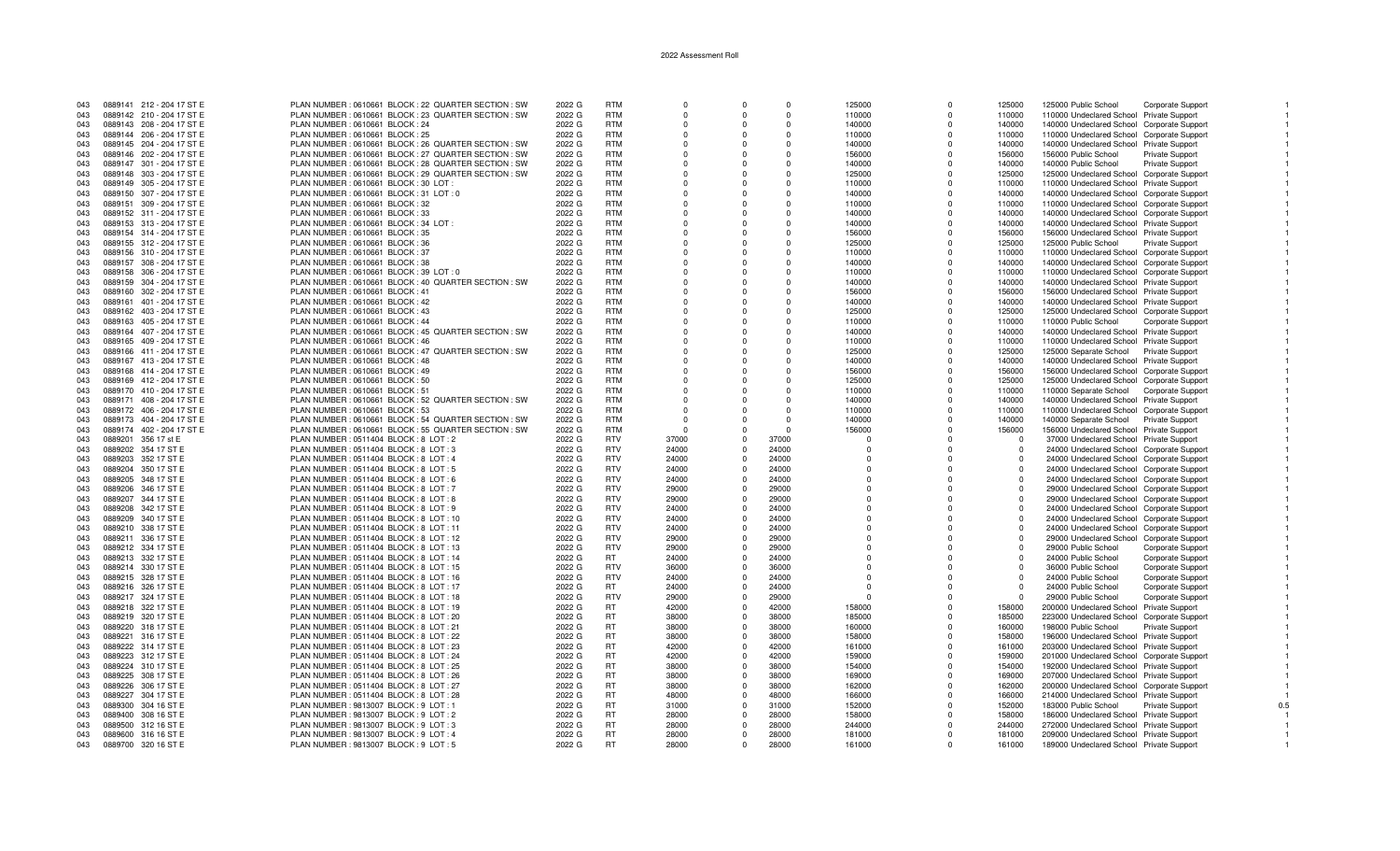| 043 | 0889141 212 - 204 17 ST E | PLAN NUMBER : 0610661 BLOCK : 22 QUARTER SECTION : SW | 2022 G | <b>RTM</b> | $\Omega$   | $\Omega$       | $\Omega$ | 125000     | $\Omega$    | 125000     | 125000 Public School                       | Corporate Support        |
|-----|---------------------------|-------------------------------------------------------|--------|------------|------------|----------------|----------|------------|-------------|------------|--------------------------------------------|--------------------------|
| 043 | 0889142 210 - 204 17 ST E | PLAN NUMBER : 0610661 BLOCK : 23 QUARTER SECTION : SW | 2022 G | <b>RTM</b> | $\Omega$   | $\Omega$       | $\Omega$ | 110000     | $\Omega$    | 110000     | 110000 Undeclared School Private Support   |                          |
| 043 | 0889143 208 - 204 17 ST E | PLAN NUMBER : 0610661 BLOCK : 24                      | 2022 G | RTM        | $\Omega$   | $\Omega$       | $\Omega$ | 140000     | $\Omega$    | 140000     | 140000 Undeclared School Corporate Support |                          |
|     |                           |                                                       |        |            |            |                |          |            |             |            |                                            |                          |
| 043 | 0889144 206 - 204 17 ST E | PLAN NUMBER : 0610661 BLOCK : 25                      | 2022 G | <b>RTM</b> | $\Omega$   | $\Omega$       | $\Omega$ | 110000     | $\Omega$    | 110000     | 110000 Undeclared School Corporate Support |                          |
| 043 | 0889145 204 - 204 17 ST E | PLAN NUMBER : 0610661 BLOCK : 26 QUARTER SECTION : SW | 2022 G | <b>RTM</b> | $\Omega$   | $\Omega$       | $\Omega$ | 140000     | $\Omega$    | 140000     | 140000 Undeclared School Private Support   |                          |
| 043 | 0889146 202 - 204 17 ST E | PLAN NUMBER : 0610661 BLOCK : 27 QUARTER SECTION : SW | 2022 G | <b>RTM</b> | $\Omega$   | $\Omega$       | $\Omega$ | 156000     | $\Omega$    | 156000     | 156000 Public School                       | Private Support          |
|     |                           |                                                       |        | <b>RTM</b> | $\Omega$   | $\Omega$       | $\Omega$ |            | $\Omega$    | 140000     |                                            |                          |
| 043 | 0889147 301 - 204 17 ST E | PLAN NUMBER : 0610661 BLOCK : 28 QUARTER SECTION : SW | 2022 G |            |            |                |          | 140000     |             |            | 140000 Public School                       | Private Support          |
| 043 | 0889148 303 - 204 17 ST E | PLAN NUMBER : 0610661 BLOCK : 29 QUARTER SECTION : SW | 2022 G | <b>RTM</b> | $\Omega$   | $\Omega$       | $\Omega$ | 125000     | $\Omega$    | 125000     | 125000 Undeclared School Corporate Support |                          |
| 043 | 0889149 305 - 204 17 ST E | PLAN NUMBER : 0610661 BLOCK : 30 LOT :                | 2022 G | <b>RTM</b> | $\Omega$   | $\Omega$       | $\Omega$ | 110000     | $\Omega$    | 110000     | 110000 Undeclared School Private Support   |                          |
| 043 | 0889150 307 - 204 17 ST E | PLAN NUMBER : 0610661 BLOCK : 31 LOT : 0              | 2022 G | <b>RTM</b> | $\Omega$   | $\Omega$       | $\Omega$ | 140000     | $\Omega$    | 140000     | 140000 Undeclared School Corporate Support |                          |
|     |                           |                                                       |        |            |            |                |          |            |             |            |                                            |                          |
| 043 | 0889151 309 - 204 17 ST E | PLAN NUMBER : 0610661 BLOCK : 32                      | 2022 G | <b>RTM</b> | $\Omega$   | $\Omega$       | $\Omega$ | 110000     | $\Omega$    | 110000     | 110000 Undeclared School Corporate Support |                          |
| 043 | 0889152 311 - 204 17 ST E | PLAN NUMBER : 0610661 BLOCK : 33                      | 2022 G | <b>RTM</b> | $\Omega$   | $\Omega$       | 0        | 140000     | $\Omega$    | 140000     | 140000 Undeclared School Corporate Support |                          |
| 043 | 0889153 313 - 204 17 ST E | PLAN NUMBER : 0610661 BLOCK : 34 LOT :                | 2022 G | <b>RTM</b> | $\Omega$   | $\Omega$       | $\Omega$ | 140000     | $\Omega$    | 140000     | 140000 Undeclared School Private Support   |                          |
| 043 | 0889154 314 - 204 17 ST E | PLAN NUMBER : 0610661 BLOCK : 35                      | 2022 G | <b>RTM</b> | $\Omega$   | $\Omega$       | $\Omega$ | 156000     | $\Omega$    | 156000     | 156000 Undeclared School Private Support   |                          |
|     |                           |                                                       |        |            |            |                |          |            |             |            |                                            |                          |
| 043 | 0889155 312 - 204 17 ST E | PLAN NUMBER : 0610661 BLOCK : 36                      | 2022 G | <b>RTM</b> | $\Omega$   | $\Omega$       | $\Omega$ | 125000     | $\Omega$    | 125000     | 125000 Public School                       | Private Support          |
| 043 | 0889156 310 - 204 17 ST E | PLAN NUMBER : 0610661 BLOCK : 37                      | 2022 G | <b>RTM</b> | $\Omega$   | $\Omega$       | $\Omega$ | 110000     | $\Omega$    | 110000     | 110000 Undeclared School Corporate Support |                          |
| 043 | 0889157 308 - 204 17 ST E | PLAN NUMBER : 0610661 BLOCK : 38                      | 2022 G | <b>RTM</b> | $\Omega$   | $\Omega$       | $\Omega$ | 140000     | $\Omega$    | 140000     | 140000 Undeclared School Corporate Support |                          |
| 043 | 0889158 306 - 204 17 ST E | PLAN NUMBER : 0610661 BLOCK : 39 LOT : 0              | 2022 G | <b>RTM</b> | $\Omega$   | $\Omega$       | $\Omega$ | 110000     | $\Omega$    | 110000     | 110000 Undeclared School Corporate Support |                          |
|     |                           |                                                       |        |            |            |                |          |            |             |            |                                            |                          |
| 043 | 0889159 304 - 204 17 ST E | PLAN NUMBER : 0610661 BLOCK : 40 QUARTER SECTION : SW | 2022 G | <b>RTM</b> | $\Omega$   | $\Omega$       | $\Omega$ | 140000     | $\Omega$    | 140000     | 140000 Undeclared School Private Support   |                          |
| 043 | 0889160 302 - 204 17 ST E | PLAN NUMBER : 0610661 BLOCK : 41                      | 2022 G | <b>RTM</b> | $\Omega$   | $\Omega$       | $\Omega$ | 156000     | $\Omega$    | 156000     | 156000 Undeclared School Private Support   |                          |
| 043 | 0889161 401 - 204 17 ST E | PLAN NUMBER : 0610661 BLOCK : 42                      | 2022 G | <b>RTM</b> | $\Omega$   | $\Omega$       | $\Omega$ | 140000     | $\Omega$    | 140000     | 140000 Undeclared School Private Support   |                          |
|     |                           |                                                       | 2022 G | <b>RTM</b> | $\Omega$   | $\Omega$       | $\Omega$ |            | $\Omega$    |            |                                            |                          |
| 043 | 0889162 403 - 204 17 ST E | PLAN NUMBER : 0610661 BLOCK : 43                      |        |            |            |                |          | 125000     |             | 125000     | 125000 Undeclared School Corporate Support |                          |
| 043 | 0889163 405 - 204 17 ST E | PLAN NUMBER : 0610661 BLOCK : 44                      | 2022 G | <b>RTM</b> | $^{\circ}$ | $\overline{0}$ | $\Omega$ | 110000     | $\mathbf 0$ | 110000     | 110000 Public School                       | Corporate Support        |
| 043 | 0889164 407 - 204 17 ST E | PLAN NUMBER : 0610661 BLOCK : 45 QUARTER SECTION : SW | 2022 G | <b>RTM</b> | $\Omega$   | $\Omega$       | $\Omega$ | 140000     | $\Omega$    | 140000     | 140000 Undeclared School Private Support   |                          |
| 043 | 0889165 409 - 204 17 ST E | PLAN NUMBER : 0610661 BLOCK : 46                      | 2022 G | <b>RTM</b> | $\Omega$   | $\Omega$       | $\Omega$ | 110000     | $\Omega$    | 110000     | 110000 Undeclared School Private Support   |                          |
|     |                           |                                                       |        |            |            |                |          |            |             |            |                                            |                          |
| 043 | 0889166 411 - 204 17 ST E | PLAN NUMBER : 0610661 BLOCK : 47 QUARTER SECTION : SW | 2022 G | <b>RTM</b> | $\Omega$   | $\Omega$       | $\Omega$ | 125000     | $\Omega$    | 125000     | 125000 Separate School Private Support     |                          |
| 043 | 0889167 413 - 204 17 ST E | PLAN NUMBER : 0610661 BLOCK : 48                      | 2022 G | <b>RTM</b> | $\Omega$   | $\Omega$       | $\Omega$ | 140000     | $\Omega$    | 140000     | 140000 Undeclared School Private Support   |                          |
| 043 | 0889168 414 - 204 17 ST E | PLAN NUMBER : 0610661 BLOCK : 49                      | 2022 G | <b>RTM</b> | $\Omega$   | $\Omega$       | $\Omega$ | 156000     | $\Omega$    | 156000     | 156000 Undeclared School Corporate Support |                          |
| 043 | 0889169 412 - 204 17 ST E | PLAN NUMBER : 0610661 BLOCK : 50                      | 2022 G | <b>RTM</b> | $\Omega$   | $\Omega$       | $\Omega$ | 125000     | $\Omega$    | 125000     | 125000 Undeclared School Corporate Support |                          |
|     |                           |                                                       |        |            |            |                |          |            |             |            |                                            |                          |
| 043 | 0889170 410 - 204 17 ST E | PLAN NUMBER : 0610661 BLOCK : 51                      | 2022 G | <b>RTM</b> | $\Omega$   | $\Omega$       | $\Omega$ | 110000     | $\Omega$    | 110000     | 110000 Separate School Corporate Support   |                          |
| 043 | 0889171 408 - 204 17 ST E | PLAN NUMBER : 0610661 BLOCK : 52 QUARTER SECTION : SW | 2022 G | <b>RTM</b> | $\Omega$   | $\Omega$       | $\Omega$ | 140000     | $\Omega$    | 140000     | 140000 Undeclared School Private Support   |                          |
| 043 | 0889172 406 - 204 17 ST E | PLAN NUMBER : 0610661 BLOCK : 53                      | 2022 G | <b>RTM</b> | $\Omega$   | $\Omega$       | $\Omega$ | 110000     | $\Omega$    | 110000     | 110000 Undeclared School Corporate Support |                          |
|     |                           |                                                       |        | <b>RTM</b> | $\Omega$   |                | $\Omega$ |            | $\Omega$    |            |                                            |                          |
| 043 | 0889173 404 - 204 17 ST E | PLAN NUMBER : 0610661 BLOCK : 54 QUARTER SECTION : SW | 2022 G |            |            | $\Omega$       |          | 140000     |             | 140000     | 140000 Separate School Private Support     |                          |
| 043 | 0889174 402 - 204 17 ST E | PLAN NUMBER : 0610661 BLOCK : 55 QUARTER SECTION : SW | 2022 G | RTM        | $\Omega$   | $\Omega$       | $\Omega$ | 156000     | $\Omega$    | 156000     | 156000 Undeclared School Private Support   |                          |
| 043 | 0889201 356 17 st E       | PLAN NUMBER : 0511404 BLOCK : 8 LOT : 2               | 2022 G | <b>RTV</b> | 37000      | $^{\circ}$     | 37000    | $\Omega$   | $\Omega$    | $^{\circ}$ | 37000 Undeclared School Private Support    |                          |
| 043 | 0889202 354 17 ST E       | PLAN NUMBER : 0511404 BLOCK : 8 LOT : 3               | 2022 G | <b>RTV</b> | 24000      | $\Omega$       | 24000    | $\Omega$   | $\Omega$    | $\Omega$   | 24000 Undeclared School Corporate Support  |                          |
|     |                           |                                                       |        |            |            |                |          |            |             |            |                                            |                          |
| 043 | 0889203 352 17 ST E       | PLAN NUMBER : 0511404 BLOCK : 8 LOT : 4               | 2022 G | <b>RTV</b> | 24000      | $\Omega$       | 24000    | $\Omega$   | $\Omega$    | $\Omega$   | 24000 Undeclared School Corporate Support  |                          |
| 043 | 0889204 350 17 ST E       | PLAN NUMBER : 0511404 BLOCK : 8 LOT : 5               | 2022 G | <b>RTV</b> | 24000      | $\Omega$       | 24000    | $\Omega$   | $\Omega$    | $\Omega$   | 24000 Undeclared School Corporate Support  |                          |
| 043 | 0889205 348 17 ST E       | PLAN NUMBER: 0511404 BLOCK: 8 LOT: 6                  | 2022 G | <b>RTV</b> | 24000      | $\overline{0}$ | 24000    | $\Omega$   | $\Omega$    | $\Omega$   | 24000 Undeclared School Corporate Support  |                          |
| 043 | 0889206 346 17 ST E       | PLAN NUMBER: 0511404 BLOCK: 8 LOT: 7                  | 2022 G | <b>RTV</b> | 29000      | $\Omega$       | 29000    | $\Omega$   | $\Omega$    | $\Omega$   | 29000 Undeclared School Corporate Support  |                          |
|     |                           |                                                       |        |            |            |                |          |            |             |            |                                            |                          |
| 043 | 0889207 344 17 ST E       | PLAN NUMBER : 0511404 BLOCK : 8 LOT : 8               | 2022 G | <b>RTV</b> | 29000      | $\mathbf{0}$   | 29000    | $\Omega$   | $\Omega$    | $\Omega$   | 29000 Undeclared School Corporate Support  |                          |
| 043 | 0889208 342 17 ST E       | PLAN NUMBER : 0511404 BLOCK : 8 LOT : 9               | 2022 G | <b>RTV</b> | 24000      | $\Omega$       | 24000    | $\Omega$   |             | $\Omega$   | 24000 Undeclared School Corporate Support  |                          |
| 043 | 0889209 340 17 ST E       | PLAN NUMBER : 0511404 BLOCK : 8 LOT : 10              | 2022 G | <b>RTV</b> | 24000      | $\Omega$       | 24000    | $\Omega$   | $\Omega$    | $\Omega$   | 24000 Undeclared School Corporate Support  |                          |
| 043 | 0889210 338 17 ST E       | PLAN NUMBER : 0511404 BLOCK : 8 LOT : 11              | 2022 G | <b>RTV</b> | 24000      | $\Omega$       | 24000    | $\Omega$   |             | $\Omega$   | 24000 Undeclared School Corporate Support  |                          |
|     |                           |                                                       |        |            |            |                |          |            |             |            |                                            |                          |
| 043 | 0889211 336 17 ST E       | PLAN NUMBER : 0511404 BLOCK : 8 LOT : 12              | 2022 G | <b>RTV</b> | 29000      | $\Omega$       | 29000    | $\Omega$   |             | $\Omega$   | 29000 Undeclared School Corporate Support  |                          |
| 043 | 0889212 334 17 ST E       | PLAN NUMBER : 0511404 BLOCK : 8 LOT : 13              | 2022 G | <b>RTV</b> | 29000      | $\overline{0}$ | 29000    | $\Omega$   | $\Omega$    | $\Omega$   | 29000 Public School                        | Corporate Support        |
| 043 | 0889213 332 17 ST E       | PLAN NUMBER : 0511404 BLOCK : 8 LOT : 14              | 2022 G | <b>RT</b>  | 24000      | $\overline{0}$ | 24000    | $^{\circ}$ | $\Omega$    | $^{\circ}$ | 24000 Public School                        | Corporate Support        |
| 043 | 0889214 330 17 ST E       | PLAN NUMBER : 0511404 BLOCK : 8 LOT : 15              | 2022 G | <b>RTV</b> | 36000      | $\Omega$       | 36000    | $\Omega$   | $\Omega$    | $\Omega$   | 36000 Public School                        |                          |
|     |                           |                                                       |        |            |            |                |          |            |             |            |                                            | <b>Corporate Support</b> |
| 043 | 0889215 328 17 ST E       | PLAN NUMBER : 0511404 BLOCK : 8 LOT : 16              | 2022 G | <b>RTV</b> | 24000      | $\Omega$       | 24000    | $\Omega$   |             | $\Omega$   | 24000 Public School                        | Corporate Support        |
| 043 | 0889216 326 17 ST E       | PLAN NUMBER: 0511404 BLOCK: 8 LOT: 17                 | 2022 G | <b>RT</b>  | 24000      | $\Omega$       | 24000    | $\Omega$   |             | $\Omega$   | 24000 Public School                        | Corporate Support        |
| 043 | 0889217 324 17 ST E       | PLAN NUMBER : 0511404 BLOCK : 8 LOT : 18              | 2022 G | <b>RTV</b> | 29000      | $\overline{0}$ | 29000    | $\Omega$   | $\Omega$    | $^{\circ}$ | 29000 Public School                        | Corporate Support        |
|     |                           |                                                       |        | <b>RT</b>  | 42000      | $\Omega$       | 42000    |            | $\Omega$    |            |                                            |                          |
| 043 | 0889218 322 17 ST E       | PLAN NUMBER : 0511404 BLOCK : 8 LOT : 19              | 2022 G |            |            |                |          | 158000     |             | 158000     | 200000 Undeclared School Private Support   |                          |
| 043 | 0889219 320 17 ST E       | PLAN NUMBER : 0511404 BLOCK : 8 LOT : 20              | 2022 G | <b>RT</b>  | 38000      | $\overline{0}$ | 38000    | 185000     | $\Omega$    | 185000     | 223000 Undeclared School Corporate Support |                          |
| 043 | 0889220 318 17 ST E       | PLAN NUMBER : 0511404 BLOCK : 8 LOT : 21              | 2022 G | <b>RT</b>  | 38000      | $\Omega$       | 38000    | 160000     | $\Omega$    | 160000     | 198000 Public School                       | Private Support          |
| 043 | 0889221 316 17 ST E       | PLAN NUMBER : 0511404 BLOCK : 8 LOT : 22              | 2022 G | <b>RT</b>  | 38000      | $\overline{0}$ | 38000    | 158000     | $\Omega$    | 158000     | 196000 Undeclared School Private Support   |                          |
|     |                           |                                                       |        |            |            |                |          |            |             |            |                                            |                          |
| 043 | 0889222 314 17 ST E       | PLAN NUMBER: 0511404 BLOCK: 8 LOT: 23                 | 2022 G | <b>RT</b>  | 42000      | $\Omega$       | 42000    | 161000     | $\Omega$    | 161000     | 203000 Undeclared School Private Support   |                          |
| 043 | 0889223 312 17 ST E       | PLAN NUMBER : 0511404 BLOCK : 8 LOT : 24              | 2022 G | <b>RT</b>  | 42000      | $\overline{0}$ | 42000    | 159000     | $\Omega$    | 159000     | 201000 Undeclared School Corporate Support |                          |
| 043 | 0889224 310 17 ST E       | PLAN NUMBER : 0511404 BLOCK : 8 LOT : 25              | 2022 G | <b>RT</b>  | 38000      | $\overline{0}$ | 38000    | 154000     | $\Omega$    | 154000     | 192000 Undeclared School Private Support   |                          |
| 043 | 0889225 308 17 ST E       | PLAN NUMBER : 0511404 BLOCK : 8 LOT : 26              | 2022 G | <b>RT</b>  | 38000      | $\Omega$       | 38000    | 169000     | $\Omega$    | 169000     | 207000 Undeclared School Private Support   |                          |
|     |                           |                                                       |        |            |            |                |          |            |             |            |                                            |                          |
| 043 | 0889226 306 17 ST E       | PLAN NUMBER : 0511404 BLOCK : 8 LOT : 27              | 2022 G | <b>RT</b>  | 38000      | $\Omega$       | 38000    | 162000     | $\Omega$    | 162000     | 200000 Undeclared School Corporate Support |                          |
| 043 | 0889227 304 17 ST E       | PLAN NUMBER : 0511404 BLOCK : 8 LOT : 28              | 2022 G | <b>RT</b>  | 48000      | $\Omega$       | 48000    | 166000     | $\Omega$    | 166000     | 214000 Undeclared School Private Support   |                          |
| 043 | 0889300 304 16 ST E       | PLAN NUMBER: 9813007 BLOCK: 9 LOT: 1                  | 2022 G | <b>RT</b>  | 31000      | $\mathbf 0$    | 31000    | 152000     | $\Omega$    | 152000     | 183000 Public School                       | Private Support<br>0.5   |
| 043 | 0889400 308 16 ST E       | PLAN NUMBER : 9813007 BLOCK : 9 LOT : 2               | 2022 G | <b>RT</b>  | 28000      | $\Omega$       | 28000    | 158000     | $\Omega$    | 158000     | 186000 Undeclared School Private Support   |                          |
|     |                           |                                                       |        |            |            |                |          |            |             |            |                                            |                          |
| 043 | 0889500 312 16 ST E       | PLAN NUMBER : 9813007 BLOCK : 9 LOT : 3               | 2022 G | <b>RT</b>  | 28000      | $\Omega$       | 28000    | 244000     | $\Omega$    | 244000     | 272000 Undeclared School Private Support   |                          |
| 043 | 0889600 316 16 ST E       | PLAN NUMBER : 9813007 BLOCK : 9 LOT : 4               | 2022 G | <b>RT</b>  | 28000      | $\Omega$       | 28000    | 181000     |             | 181000     | 209000 Undeclared School Private Support   |                          |
| 043 | 0889700 320 16 ST E       | PLAN NUMBER : 9813007 BLOCK : 9 LOT : 5               | 2022 G | <b>RT</b>  | 28000      | $\cap$         | 28000    | 161000     |             | 161000     | 189000 Undeclared School Private Support   |                          |
|     |                           |                                                       |        |            |            |                |          |            |             |            |                                            |                          |

## 2022 Assessment Roll

 $\overline{1}$ 

 $\blacksquare$ 

 $\overline{1}$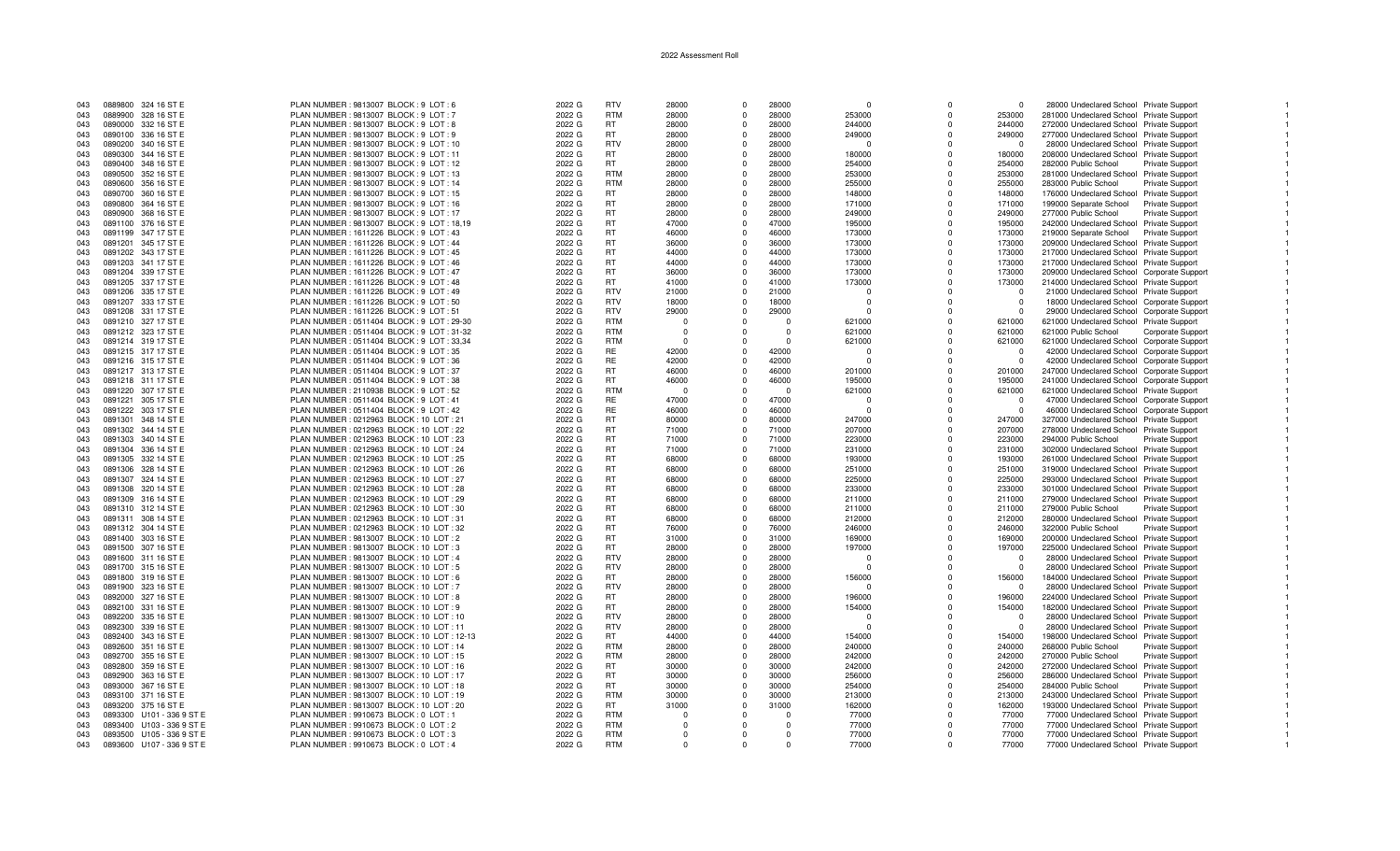| 043<br>043<br>043 |                           | 0889800 324 16 ST E       | PLAN NUMBER : 9813007 BLOCK : 9 LOT : 6                                            | 2022 G |                          |                |                |          |          |             |                |                                            |                        |  |
|-------------------|---------------------------|---------------------------|------------------------------------------------------------------------------------|--------|--------------------------|----------------|----------------|----------|----------|-------------|----------------|--------------------------------------------|------------------------|--|
|                   |                           |                           |                                                                                    |        | <b>RTV</b>               | 28000          | $\Omega$       | 28000    | $\Omega$ | $\Omega$    | $\overline{0}$ | 28000 Undeclared School Private Support    |                        |  |
|                   |                           | 0889900 328 16 ST E       | PLAN NUMBER : 9813007 BLOCK : 9 LOT : 7                                            | 2022 G | <b>RTM</b>               | 28000          | $\Omega$       | 28000    | 253000   | $\Omega$    | 253000         | 281000 Undeclared School Private Support   |                        |  |
|                   |                           |                           |                                                                                    |        |                          |                |                |          |          |             |                |                                            |                        |  |
|                   |                           | 0890000 332 16 ST E       | PLAN NUMBER : 9813007 BLOCK : 9 LOT : 8                                            | 2022 G | RT.                      | 28000          | $\Omega$       | 28000    | 244000   | $\Omega$    | 244000         | 272000 Undeclared School Private Support   |                        |  |
| 043               |                           | 0890100 336 16 ST E       | PLAN NUMBER : 9813007 BLOCK : 9 LOT : 9                                            | 2022 G | <b>RT</b>                | 28000          | $\Omega$       | 28000    | 249000   | $\Omega$    | 249000         | 277000 Undeclared School Private Support   |                        |  |
| 043               |                           | 0890200 340 16 ST E       | PLAN NUMBER: 9813007 BLOCK: 9 LOT: 10                                              | 2022 G | <b>RTV</b>               | 28000          | $\Omega$       | 28000    | $\Omega$ | $\Omega$    | $\Omega$       | 28000 Undeclared School Private Support    |                        |  |
| 043               |                           | 0890300 344 16 ST E       | PLAN NUMBER : 9813007 BLOCK : 9 LOT : 11                                           | 2022 G | RT                       | 28000          | $\Omega$       | 28000    | 180000   | $\Omega$    | 180000         | 208000 Undeclared School Private Support   |                        |  |
|                   |                           |                           |                                                                                    |        |                          |                |                |          |          |             |                |                                            |                        |  |
| 043               |                           | 0890400 348 16 ST E       | PLAN NUMBER : 9813007 BLOCK : 9 LOT : 12                                           | 2022 G | <b>RT</b>                | 28000          | $\mathbf 0$    | 28000    | 254000   | $\mathbf 0$ | 254000         | 282000 Public School                       | Private Support        |  |
| 043               |                           | 0890500 352 16 ST E       | PLAN NUMBER : 9813007 BLOCK : 9 LOT : 13                                           | 2022 G | <b>RTM</b>               | 28000          | $\Omega$       | 28000    | 253000   | $\Omega$    | 253000         | 281000 Undeclared School Private Support   |                        |  |
| 043               |                           | 0890600 356 16 ST E       | PLAN NUMBER : 9813007 BLOCK : 9 LOT : 14                                           | 2022 G | <b>RTM</b>               | 28000          | $\Omega$       | 28000    | 255000   | $\Omega$    | 255000         | 283000 Public School                       | <b>Private Support</b> |  |
|                   |                           |                           |                                                                                    |        | <b>RT</b>                |                | $\Omega$       | 28000    |          |             |                |                                            |                        |  |
| 043               |                           | 0890700 360 16 ST E       | PLAN NUMBER : 9813007 BLOCK : 9 LOT : 15                                           | 2022 G |                          | 28000          |                |          | 148000   | $\Omega$    | 148000         | 176000 Undeclared School Private Support   |                        |  |
| 043               |                           | 0890800 364 16 ST E       | PLAN NUMBER : 9813007 BLOCK : 9 LOT : 16                                           | 2022 G | RT                       | 28000          | $\mathbf 0$    | 28000    | 171000   | $\Omega$    | 171000         | 199000 Separate School                     | Private Support        |  |
| 043               |                           | 0890900 368 16 ST E       | PLAN NUMBER : 9813007 BLOCK : 9 LOT : 17                                           | 2022 G | RT                       | 28000          | $\Omega$       | 28000    | 249000   | $\Omega$    | 249000         | 277000 Public School                       | <b>Private Support</b> |  |
| 043               |                           | 0891100 376 16 ST E       | PLAN NUMBER : 9813007 BLOCK : 9 LOT : 18,19                                        | 2022 G | RT                       | 47000          | $\Omega$       | 47000    | 195000   | $\Omega$    | 195000         | 242000 Undeclared School Private Support   |                        |  |
|                   |                           |                           |                                                                                    |        |                          |                |                |          |          |             |                |                                            |                        |  |
| 043               |                           | 0891199 347 17 ST E       | PLAN NUMBER: 1611226 BLOCK: 9 LOT: 43                                              | 2022 G | <b>RT</b>                | 46000          | $\Omega$       | 46000    | 173000   | $\Omega$    | 173000         | 219000 Separate School                     | Private Support        |  |
| 043               |                           | 0891201 345 17 ST E       | PLAN NUMBER: 1611226 BLOCK: 9 LOT: 44                                              | 2022 G | RT                       | 36000          | $\mathbf{0}$   | 36000    | 173000   | $\Omega$    | 173000         | 209000 Undeclared School Private Support   |                        |  |
| 043               |                           | 0891202 343 17 ST E       | PLAN NUMBER: 1611226 BLOCK: 9 LOT: 45                                              | 2022 G | <b>RT</b>                | 44000          | $\Omega$       | 44000    | 173000   | $\Omega$    | 173000         | 217000 Undeclared School Private Support   |                        |  |
| 043               |                           | 0891203 341 17 ST E       | PLAN NUMBER: 1611226 BLOCK: 9 LOT: 46                                              | 2022 G | <b>RT</b>                | 44000          | $\Omega$       | 44000    | 173000   | $\Omega$    | 173000         | 217000 Undeclared School Private Support   |                        |  |
|                   |                           |                           |                                                                                    |        |                          |                |                |          |          |             |                |                                            |                        |  |
| 043               |                           | 0891204 339 17 ST E       | PLAN NUMBER: 1611226 BLOCK: 9 LOT: 47                                              | 2022 G | <b>RT</b>                | 36000          | $\mathbf 0$    | 36000    | 173000   | $\Omega$    | 173000         | 209000 Undeclared School Corporate Support |                        |  |
| 043               |                           | 0891205 337 17 ST E       | PLAN NUMBER: 1611226 BLOCK: 9 LOT: 48                                              | 2022 G | <b>RT</b>                | 41000          | $\Omega$       | 41000    | 173000   | $\Omega$    | 173000         | 214000 Undeclared School Private Support   |                        |  |
| 043               |                           | 0891206 335 17 ST E       | PLAN NUMBER: 1611226 BLOCK: 9 LOT: 49                                              | 2022 G | <b>RTV</b>               | 21000          | $\Omega$       | 21000    | $\Omega$ | $\Omega$    | $\Omega$       | 21000 Undeclared School Private Support    |                        |  |
|                   |                           |                           |                                                                                    |        |                          |                | $\Omega$       |          |          |             |                |                                            |                        |  |
| 043               |                           | 0891207 333 17 ST E       | PLAN NUMBER: 1611226 BLOCK: 9 LOT: 50                                              | 2022 G | <b>RTV</b>               | 18000          |                | 18000    | $\Omega$ | $\Omega$    | $\Omega$       | 18000 Undeclared School Corporate Support  |                        |  |
| 043               |                           | 0891208 331 17 ST E       | PLAN NUMBER: 1611226 BLOCK: 9 LOT: 51                                              | 2022 G | <b>RTV</b>               | 29000          | $\Omega$       | 29000    | $\Omega$ | $\Omega$    | $\Omega$       | 29000 Undeclared School Corporate Support  |                        |  |
| 043               |                           | 0891210 327 17 ST E       | PLAN NUMBER: 0511404 BLOCK: 9 LOT: 29-30                                           | 2022 G | <b>RTM</b>               | $\Omega$       | $\Omega$       | $\Omega$ | 621000   | $\mathbf 0$ | 621000         | 621000 Undeclared School Private Support   |                        |  |
| 043               |                           | 0891212 323 17 ST E       | PLAN NUMBER: 0511404 BLOCK: 9 LOT: 31-32                                           | 2022 G | <b>RTM</b>               | $\Omega$       | $\Omega$       | $\Omega$ | 621000   | $\Omega$    | 621000         | 621000 Public School                       | Corporate Support      |  |
|                   |                           |                           |                                                                                    |        |                          |                |                |          |          |             |                |                                            |                        |  |
| 043               |                           | 0891214 319 17 ST E       | PLAN NUMBER : 0511404 BLOCK : 9 LOT : 33,34                                        | 2022 G | <b>RTM</b>               | $\sqrt{ }$     | $\Omega$       | $\cap$   | 621000   | $\Omega$    | 621000         | 621000 Undeclared School Corporate Support |                        |  |
| 043               |                           | 0891215 317 17 ST E       | PLAN NUMBER: 0511404 BLOCK: 9 LOT: 35                                              | 2022 G | <b>RE</b>                | 42000          | $\Omega$       | 42000    | $\Omega$ | $\Omega$    | $\Omega$       | 42000 Undeclared School Corporate Support  |                        |  |
| 043               |                           | 0891216 315 17 ST E       | PLAN NUMBER : 0511404 BLOCK : 9 LOT : 36                                           | 2022 G | RE                       | 42000          | $\Omega$       | 42000    | $\Omega$ | $\Omega$    | $\Omega$       | 42000 Undeclared School Corporate Support  |                        |  |
|                   |                           |                           |                                                                                    |        | <b>RT</b>                | 46000          | $\Omega$       | 46000    | 201000   | $\Omega$    |                |                                            |                        |  |
| 043               |                           | 0891217 313 17 ST E       | PLAN NUMBER: 0511404 BLOCK: 9 LOT: 37                                              | 2022 G |                          |                |                |          |          |             | 201000         | 247000 Undeclared School Corporate Support |                        |  |
| 043               |                           | 0891218 311 17 ST E       | PLAN NUMBER : 0511404 BLOCK : 9 LOT : 38                                           | 2022 G | <b>RT</b>                | 46000          | $\Omega$       | 46000    | 195000   | $\Omega$    | 195000         | 241000 Undeclared School Corporate Support |                        |  |
| 043               |                           | 0891220 307 17 ST E       | PLAN NUMBER: 2110938 BLOCK: 9 LOT: 52                                              | 2022 G | <b>RTM</b>               | - 0            | $\Omega$       | $\Omega$ | 621000   | $\Omega$    | 621000         | 621000 Undeclared School Private Support   |                        |  |
| 043               |                           | 0891221 305 17 ST E       | PLAN NUMBER : 0511404 BLOCK : 9 LOT : 41                                           | 2022 G | <b>RE</b>                | 47000          | $\Omega$       | 47000    | $\Omega$ | $\Omega$    | $^{\circ}$     | 47000 Undeclared School Corporate Support  |                        |  |
|                   |                           |                           |                                                                                    |        |                          |                |                |          |          |             |                |                                            |                        |  |
| 043               |                           | 0891222 303 17 ST E       | PLAN NUMBER : 0511404 BLOCK : 9 LOT : 42                                           | 2022 G | <b>RE</b>                | 46000          | $\Omega$       | 46000    | $\Omega$ | $\Omega$    | $\Omega$       | 46000 Undeclared School Corporate Support  |                        |  |
| 043               |                           | 0891301 348 14 ST E       | PLAN NUMBER : 0212963 BLOCK : 10 LOT : 21                                          | 2022 G | <b>RT</b>                | 80000          | $\Omega$       | 80000    | 247000   | $\Omega$    | 247000         | 327000 Undeclared School Private Support   |                        |  |
| 043               |                           | 0891302 344 14 ST E       | PLAN NUMBER: 0212963 BLOCK: 10 LOT: 22                                             | 2022 G | <b>RT</b>                | 71000          | $\Omega$       | 71000    | 207000   | $\Omega$    | 207000         | 278000 Undeclared School Private Support   |                        |  |
|                   |                           |                           | PLAN NUMBER: 0212963 BLOCK: 10 LOT: 23                                             |        | <b>RT</b>                |                | $\mathbf 0$    | 71000    |          | $\Omega$    |                |                                            |                        |  |
| 043               |                           | 0891303 340 14 ST E       |                                                                                    | 2022 G |                          | 71000          |                |          | 223000   |             | 223000         | 294000 Public School                       | Private Support        |  |
| 043               |                           | 0891304 336 14 ST E       | PLAN NUMBER : 0212963 BLOCK : 10 LOT : 24                                          | 2022 G | <b>RT</b>                | 71000          | $\Omega$       | 71000    | 231000   | $\Omega$    | 231000         | 302000 Undeclared School Private Support   |                        |  |
| 043               |                           | 0891305 332 14 ST E       | PLAN NUMBER: 0212963 BLOCK: 10 LOT: 25                                             | 2022 G | <b>RT</b>                | 68000          | $\Omega$       | 68000    | 193000   | $\Omega$    | 193000         | 261000 Undeclared School Private Support   |                        |  |
| 043               |                           | 0891306 328 14 ST E       | PLAN NUMBER: 0212963 BLOCK: 10 LOT: 26                                             | 2022 G | <b>RT</b>                | 68000          | $\Omega$       | 68000    | 251000   | $\Omega$    | 251000         | 319000 Undeclared School Private Support   |                        |  |
|                   |                           |                           |                                                                                    |        |                          |                |                |          |          |             |                |                                            |                        |  |
| 043               |                           | 0891307 324 14 ST E       | PLAN NUMBER: 0212963 BLOCK: 10 LOT: 27                                             | 2022 G | <b>RT</b>                | 68000          | $\Omega$       | 68000    | 225000   | $\Omega$    | 225000         | 293000 Undeclared School Private Support   |                        |  |
| 043               |                           | 0891308 320 14 ST E       | PLAN NUMBER : 0212963 BLOCK : 10 LOT : 28                                          | 2022 G | <b>RT</b>                | 68000          | $\overline{0}$ | 68000    | 233000   | $\Omega$    | 233000         | 301000 Undeclared School Private Support   |                        |  |
| 043               |                           | 0891309 316 14 ST E       | PLAN NUMBER: 0212963 BLOCK: 10 LOT: 29                                             | 2022 G | <b>RT</b>                | 68000          | $\Omega$       | 68000    | 211000   | $\Omega$    | 211000         | 279000 Undeclared School Private Support   |                        |  |
| 043               |                           |                           |                                                                                    |        | <b>RT</b>                | 68000          | $\Omega$       | 68000    |          | $\Omega$    | 211000         |                                            |                        |  |
|                   |                           | 0891310 312 14 ST E       | PLAN NUMBER : 0212963 BLOCK : 10 LOT : 30                                          | 2022 G |                          |                |                |          | 211000   |             |                | 279000 Public School                       | Private Support        |  |
| 043               |                           | 0891311 308 14 ST E       | PLAN NUMBER : 0212963 BLOCK : 10 LOT : 31                                          | 2022 G | <b>RT</b>                | 68000          | $\Omega$       | 68000    | 212000   | $\Omega$    | 212000         | 280000 Undeclared School Private Support   |                        |  |
| 043               |                           | 0891312 304 14 ST E       | PLAN NUMBER: 0212963 BLOCK: 10 LOT: 32                                             | 2022 G | <b>RT</b>                | 76000          | $\Omega$       | 76000    | 246000   | $\Omega$    | 246000         | 322000 Public School                       | Private Support        |  |
| 043               |                           | 0891400 303 16 ST E       | PLAN NUMBER : 9813007 BLOCK : 10 LOT : 2                                           | 2022 G | <b>RT</b>                | 31000          | $\Omega$       | 31000    | 169000   | $\Omega$    | 169000         | 200000 Undeclared School Private Support   |                        |  |
|                   |                           |                           |                                                                                    |        |                          |                |                |          |          |             |                |                                            |                        |  |
| 043               |                           | 0891500 307 16 ST E       | PLAN NUMBER : 9813007 BLOCK : 10 LOT : 3                                           | 2022 G | <b>RT</b>                | 28000          | $\mathbf 0$    | 28000    | 197000   | $\mathbf 0$ | 197000         | 225000 Undeclared School Private Support   |                        |  |
| 043               |                           | 0891600 311 16 ST E       | PLAN NUMBER : 9813007 BLOCK : 10 LOT : 4                                           | 2022 G | <b>RTV</b>               | 28000          | $\Omega$       | 28000    | $\Omega$ | $\Omega$    | $\Omega$       | 28000 Undeclared School Private Support    |                        |  |
| 043               |                           | 0891700 315 16 ST E       | PLAN NUMBER : 9813007 BLOCK : 10 LOT : 5                                           | 2022 G | <b>RTV</b>               | 28000          | $\Omega$       | 28000    | $\Omega$ | $\Omega$    | $\Omega$       | 28000 Undeclared School Private Support    |                        |  |
| 043               |                           | 0891800 319 16 ST E       | PLAN NUMBER : 9813007 BLOCK : 10 LOT : 6                                           | 2022 G | RT.                      | 28000          | $\Omega$       | 28000    | 156000   | $\Omega$    | 156000         | 184000 Undeclared School Private Support   |                        |  |
|                   |                           |                           |                                                                                    |        |                          |                |                |          |          |             |                |                                            |                        |  |
| 043               |                           | 0891900 323 16 ST E       | PLAN NUMBER : 9813007 BLOCK : 10 LOT : 7                                           | 2022 G | <b>RTV</b>               | 28000          | $^{\circ}$     | 28000    | $\Omega$ | $\Omega$    | $\Omega$       | 28000 Undeclared School Private Support    |                        |  |
| 043               |                           | 0892000 327 16 ST E       | PLAN NUMBER : 9813007 BLOCK : 10 LOT : 8                                           | 2022 G | <b>RT</b>                | 28000          | $\Omega$       | 28000    | 196000   | $\Omega$    | 196000         | 224000 Undeclared School Private Support   |                        |  |
| 043               |                           | 0892100 331 16 ST E       | PLAN NUMBER : 9813007 BLOCK : 10 LOT : 9                                           | 2022 G | <b>RT</b>                | 28000          | $\Omega$       | 28000    | 154000   | $\Omega$    | 154000         | 182000 Undeclared School Private Support   |                        |  |
|                   |                           |                           |                                                                                    |        |                          |                |                |          |          |             |                |                                            |                        |  |
| 043               |                           | 0892200 335 16 ST E       | PLAN NUMBER : 9813007 BLOCK : 10 LOT : 10                                          | 2022 G | <b>RTV</b>               | 28000          | $\Omega$       | 28000    | $\Omega$ | $\Omega$    | $\Omega$       | 28000 Undeclared School Private Support    |                        |  |
| 043               |                           | 0892300 339 16 ST E       | PLAN NUMBER: 9813007 BLOCK: 10 LOT: 11                                             | 2022 G | <b>RTV</b>               | 28000          | $\mathbf{0}$   | 28000    | $\Omega$ | $\Omega$    | $\Omega$       | 28000 Undeclared School Private Support    |                        |  |
| 043               |                           | 0892400 343 16 ST E       | PLAN NUMBER : 9813007 BLOCK : 10 LOT : 12-13                                       | 2022 G | RT.                      | 44000          | $\Omega$       | 44000    | 154000   | $\Omega$    | 154000         | 198000 Undeclared School Private Support   |                        |  |
| 043               |                           | 0892600 351 16 ST E       | PLAN NUMBER : 9813007 BLOCK : 10 LOT : 14                                          | 2022 G | <b>RTM</b>               | 28000          | $\Omega$       | 28000    | 240000   | $\Omega$    | 240000         | 268000 Public School                       | Private Support        |  |
|                   |                           |                           |                                                                                    |        |                          |                |                |          |          |             |                |                                            |                        |  |
| 043               |                           | 0892700 355 16 ST E       | PLAN NUMBER : 9813007 BLOCK : 10 LOT : 15                                          | 2022 G | <b>RTM</b>               | 28000          | $\Omega$       | 28000    | 242000   | $\Omega$    | 242000         | 270000 Public School                       | Private Support        |  |
| 043               |                           | 0892800 359 16 ST E       | PLAN NUMBER : 9813007 BLOCK : 10 LOT : 16                                          | 2022 G | <b>RT</b>                | 30000          | $\mathbf 0$    | 30000    | 242000   | $\Omega$    | 242000         | 272000 Undeclared School Private Support   |                        |  |
| 043               |                           | 0892900 363 16 ST E       | PLAN NUMBER : 9813007 BLOCK : 10 LOT : 17                                          | 2022 G | RT                       | 30000          | $\Omega$       | 30000    | 256000   | $\Omega$    | 256000         | 286000 Undeclared School Private Support   |                        |  |
| 043               |                           | 0893000 367 16 ST E       | PLAN NUMBER: 9813007 BLOCK: 10 LOT: 18                                             | 2022 G | RT.                      | 30000          | $\Omega$       | 30000    | 254000   | $\Omega$    | 254000         | 284000 Public School                       | <b>Private Support</b> |  |
|                   |                           |                           |                                                                                    |        |                          |                |                |          |          |             |                |                                            |                        |  |
| 043               |                           | 0893100 371 16 ST E       | PLAN NUMBER : 9813007 BLOCK : 10 LOT : 19                                          | 2022 G | <b>RTM</b>               | 30000          | $\Omega$       | 30000    | 213000   | $\Omega$    | 213000         | 243000 Undeclared School Private Support   |                        |  |
|                   |                           | 0893200 375 16 ST E       | PLAN NUMBER : 9813007 BLOCK : 10 LOT : 20                                          | 2022 G | <b>RT</b>                | 31000          | $\mathbf 0$    | 31000    | 162000   | $\Omega$    | 162000         | 193000 Undeclared School Private Support   |                        |  |
| 043               |                           |                           | PLAN NUMBER : 9910673 BLOCK : 0 LOT : 1                                            | 2022 G | <b>RTM</b>               | $\overline{0}$ | $\Omega$       | $\Omega$ | 77000    | $\Omega$    | 77000          | 77000 Undeclared School Private Support    |                        |  |
|                   |                           |                           |                                                                                    |        |                          |                |                |          |          |             |                |                                            |                        |  |
| 043               | 0893300 U101 - 336 9 ST E |                           |                                                                                    |        |                          |                |                |          |          |             |                |                                            |                        |  |
| 043               |                           | 0893400 U103 - 336 9 ST E | PLAN NUMBER : 9910673 BLOCK : 0 LOT : 2                                            | 2022 G | <b>RTM</b>               | $\Omega$       | $\Omega$       | $\Omega$ | 77000    | $\Omega$    | 77000          | 77000 Undeclared School Private Support    |                        |  |
| 043               |                           | 0893500 U105 - 336 9 ST E | PLAN NUMBER : 9910673 BLOCK : 0 LOT : 3<br>PLAN NUMBER : 9910673 BLOCK : 0 LOT : 4 | 2022 G | <b>RTM</b><br><b>RTM</b> | $\Omega$       | $\Omega$       | $\Omega$ | 77000    | $\Omega$    | 77000<br>77000 | 77000 Undeclared School Private Support    |                        |  |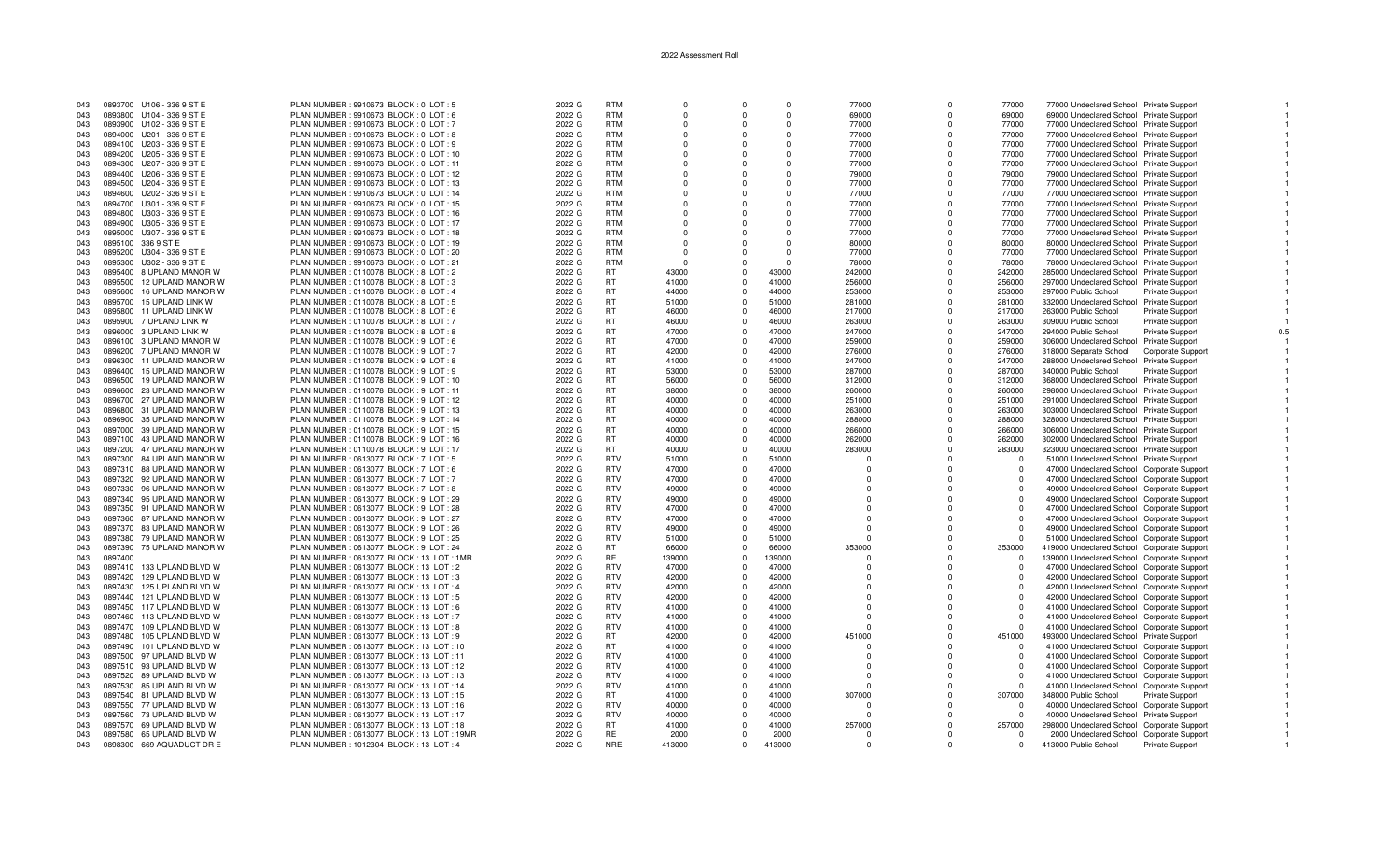| 043 | 0893700 U106 - 336 9 ST E    | PLAN NUMBER : 9910673 BLOCK : 0 LOT : 5     | 2022 G | <b>RTM</b> | $\Omega$ |            | $\Omega$ | 77000        | $\Omega$     | 77000    | 77000 Undeclared School Private Support    |                        |  |
|-----|------------------------------|---------------------------------------------|--------|------------|----------|------------|----------|--------------|--------------|----------|--------------------------------------------|------------------------|--|
| 043 | 0893800 U104 - 336 9 ST E    | PLAN NUMBER : 9910673 BLOCK : 0 LOT : 6     | 2022 G | <b>RTM</b> | $\Omega$ |            | $\Omega$ | 69000        | $\Omega$     | 69000    | 69000 Undeclared School Private Support    |                        |  |
| 043 | 0893900 U102 - 336 9 ST E    | PLAN NUMBER : 9910673 BLOCK : 0 LOT : 7     | 2022 G | <b>RTM</b> | $\Omega$ | $\Omega$   | $\Omega$ | 77000        | $\Omega$     | 77000    | 77000 Undeclared School Private Support    |                        |  |
| 043 | 0894000 U201 - 336 9 ST E    | PLAN NUMBER : 9910673 BLOCK : 0 LOT : 8     | 2022 G | <b>RTM</b> |          |            | $\Omega$ | 77000        | $\Omega$     | 77000    | 77000 Undeclared School Private Support    |                        |  |
| 043 | 0894100 U203 - 336 9 ST E    | PLAN NUMBER : 9910673 BLOCK : 0 LOT : 9     | 2022 G | <b>RTM</b> | $\Omega$ | $\Omega$   | $\Omega$ | 77000        | $\Omega$     | 77000    | 77000 Undeclared School Private Support    |                        |  |
| 043 | 0894200 U205 - 336 9 ST E    | PLAN NUMBER : 9910673 BLOCK : 0 LOT : 10    | 2022 G | <b>RTM</b> | $\Omega$ | $\Omega$   | $\Omega$ | 77000        | $\Omega$     | 77000    | 77000 Undeclared School Private Support    |                        |  |
| 043 | 0894300 U207 - 336 9 ST E    | PLAN NUMBER : 9910673 BLOCK : 0 LOT : 11    | 2022 G | <b>RTM</b> | $\Omega$ | $\cap$     | $\Omega$ | 77000        | $\Omega$     | 77000    | 77000 Undeclared School Private Support    |                        |  |
| 043 | 0894400 U206 - 336 9 ST E    | PLAN NUMBER : 9910673 BLOCK : 0 LOT : 12    | 2022 G | <b>RTM</b> |          |            | $\Omega$ | 79000        |              | 79000    | 79000 Undeclared School Private Support    |                        |  |
| 043 | 0894500 U204 - 336 9 ST E    | PLAN NUMBER : 9910673 BLOCK : 0 LOT : 13    | 2022 G | <b>RTM</b> | n        |            | $\Omega$ | 77000        | O            | 77000    | 77000 Undeclared School Private Support    |                        |  |
| 043 | 0894600 U202 - 336 9 ST E    | PLAN NUMBER : 9910673 BLOCK : 0 LOT : 14    | 2022 G | <b>RTM</b> | $\Omega$ |            | $\Omega$ | 77000        | $\Omega$     | 77000    | 77000 Undeclared School Private Support    |                        |  |
| 043 | 0894700 U301 - 336 9 ST E    | PLAN NUMBER : 9910673 BLOCK : 0 LOT : 15    | 2022 G | <b>RTM</b> | $\Omega$ | $\Omega$   | $\Omega$ | 77000        | $\Omega$     | 77000    | 77000 Undeclared School Private Support    |                        |  |
| 043 | 0894800 U303 - 336 9 ST E    | PLAN NUMBER : 9910673 BLOCK : 0 LOT : 16    | 2022 G | <b>RTM</b> |          |            |          | 77000        | $\Omega$     | 77000    | 77000 Undeclared School Private Support    |                        |  |
| 043 | 0894900 U305 - 336 9 ST E    | PLAN NUMBER : 9910673 BLOCK : 0 LOT : 17    | 2022 G | <b>RTM</b> | $\Omega$ | $\Omega$   | $\Omega$ | 77000        | $\Omega$     | 77000    | 77000 Undeclared School Private Support    |                        |  |
| 043 | 0895000 U307 - 336 9 ST E    | PLAN NUMBER : 9910673 BLOCK : 0 LOT : 18    | 2022 G | <b>RTM</b> | $\Omega$ |            | $\Omega$ | 77000        | $\Omega$     | 77000    | 77000 Undeclared School Private Support    |                        |  |
| 043 | 0895100 336 9 ST E           | PLAN NUMBER : 9910673 BLOCK : 0 LOT : 19    | 2022 G | <b>RTM</b> | $\Omega$ |            | $\Omega$ | 80000        | $\Omega$     | 80000    | 80000 Undeclared School Private Support    |                        |  |
| 043 | 0895200 U304 - 336 9 ST E    | PLAN NUMBER : 9910673 BLOCK : 0 LOT : 20    | 2022 G | <b>RTM</b> |          |            | $\Omega$ | 77000        |              | 77000    | 77000 Undeclared School Private Support    |                        |  |
| 043 | 0895300 U302 - 336 9 ST E    | PLAN NUMBER : 9910673 BLOCK : 0 LOT : 21    | 2022 G | <b>RTM</b> | - 0      |            | $\Omega$ | 78000        | O            | 78000    | 78000 Undeclared School Private Support    |                        |  |
| 043 | 0895400 8 UPLAND MANOR W     | PLAN NUMBER : 0110078 BLOCK : 8 LOT : 2     | 2022 G | RT         | 43000    |            | 43000    | 242000       | <sup>n</sup> | 242000   | 285000 Undeclared School Private Support   |                        |  |
| 043 | 0895500<br>12 UPLAND MANOR W | PLAN NUMBER : 0110078 BLOCK : 8 LOT : 3     | 2022 G | <b>RT</b>  | 41000    | $\Omega$   | 41000    | 256000       | $\Omega$     | 256000   | 297000 Undeclared School Private Support   |                        |  |
| 043 | 0895600<br>16 UPLAND MANOR W | PLAN NUMBER : 0110078 BLOCK : 8 LOT : 4     | 2022 G | <b>RT</b>  | 44000    |            | 44000    | 253000       | $\Omega$     | 253000   | 297000 Public School                       | Private Support        |  |
|     | 15 UPLAND LINK W<br>0895700  |                                             | 2022 G | <b>RT</b>  | 51000    | $\Omega$   | 51000    | 281000       | $\Omega$     | 281000   |                                            |                        |  |
| 043 |                              | PLAN NUMBER : 0110078 BLOCK : 8 LOT : 5     |        |            | 46000    |            |          |              | $\Omega$     |          | 332000 Undeclared School Private Support   |                        |  |
| 043 | 0895800<br>11 UPLAND LINK W  | PLAN NUMBER : 0110078 BLOCK : 8 LOT : 6     | 2022 G | <b>RT</b>  |          | $\Omega$   | 46000    | 217000       | $\Omega$     | 217000   | 263000 Public School                       | Private Support        |  |
| 043 | 0895900 7 UPLAND LINK W      | PLAN NUMBER : 0110078 BLOCK : 8 LOT : 7     | 2022 G | <b>RT</b>  | 46000    | $\Omega$   | 46000    | 263000       |              | 263000   | 309000 Public School                       | Private Support        |  |
| 043 | 0896000 3 UPLAND LINK W      | PLAN NUMBER : 0110078 BLOCK : 8 LOT : 8     | 2022 G | <b>RT</b>  | 47000    | $\Omega$   | 47000    | 247000       |              | 247000   | 294000 Public School                       | Private Support        |  |
| 043 | 0896100 3 UPLAND MANOR W     | PLAN NUMBER : 0110078 BLOCK : 9 LOT : 6     | 2022 G | <b>RT</b>  | 47000    | $\Omega$   | 47000    | 259000       | O            | 259000   | 306000 Undeclared School Private Support   |                        |  |
| 043 | 0896200 7 UPLAND MANOR W     | PLAN NUMBER : 0110078 BLOCK : 9 LOT : 7     | 2022 G | <b>RT</b>  | 42000    | $\Omega$   | 42000    | 276000       | $\Omega$     | 276000   | 318000 Separate School                     | Corporate Support      |  |
| 043 | 0896300<br>11 UPLAND MANOR W | PLAN NUMBER : 0110078 BLOCK : 9 LOT : 8     | 2022 G | <b>RT</b>  | 41000    | $\Omega$   | 41000    | 247000       | $\Omega$     | 247000   | 288000 Undeclared School Private Support   |                        |  |
| 043 | 0896400<br>15 UPLAND MANOR W | PLAN NUMBER : 0110078 BLOCK : 9 LOT : 9     | 2022 G | <b>RT</b>  | 53000    | $\Omega$   | 53000    | 287000       | $\Omega$     | 287000   | 340000 Public School                       | <b>Private Support</b> |  |
| 043 | 0896500<br>19 UPLAND MANOR W | PLAN NUMBER: 0110078 BLOCK: 9 LOT: 10       | 2022 G | <b>RT</b>  | 56000    | $\Omega$   | 56000    | 312000       | $\Omega$     | 312000   | 368000 Undeclared School Private Support   |                        |  |
| 043 | 0896600<br>23 UPLAND MANOR W | PLAN NUMBER: 0110078 BLOCK: 9 LOT: 11       | 2022 G | <b>RT</b>  | 38000    | $\Omega$   | 38000    | 260000       | $\Omega$     | 260000   | 298000 Undeclared School Private Support   |                        |  |
| 043 | 0896700 27 UPLAND MANOR W    | PLAN NUMBER : 0110078 BLOCK : 9 LOT : 12    | 2022 G | <b>RT</b>  | 40000    | $\Omega$   | 40000    | 251000       | $\Omega$     | 251000   | 291000 Undeclared School Private Support   |                        |  |
| 043 | 0896800 31 UPLAND MANOR W    | PLAN NUMBER : 0110078 BLOCK : 9 LOT : 13    | 2022 G | <b>RT</b>  | 40000    | $\Omega$   | 40000    | 263000       | $\Omega$     | 263000   | 303000 Undeclared School Private Support   |                        |  |
| 043 | 0896900 35 UPLAND MANOR W    | PLAN NUMBER : 0110078 BLOCK : 9 LOT : 14    | 2022 G | <b>RT</b>  | 40000    | $\Omega$   | 40000    | 288000       | $\Omega$     | 288000   | 328000 Undeclared School Private Support   |                        |  |
| 043 | 0897000 39 UPLAND MANOR W    | PLAN NUMBER : 0110078 BLOCK : 9 LOT : 15    | 2022 G | <b>RT</b>  | 40000    | $\Omega$   | 40000    | 266000       | <sup>n</sup> | 266000   | 306000 Undeclared School Private Support   |                        |  |
| 043 | 0897100 43 UPLAND MANOR W    | PLAN NUMBER : 0110078 BLOCK : 9 LOT : 16    | 2022 G | <b>RT</b>  | 40000    | $\Omega$   | 40000    | 262000       | $\Omega$     | 262000   | 302000 Undeclared School Private Support   |                        |  |
| 043 | 0897200 47 UPLAND MANOR W    | PLAN NUMBER : 0110078 BLOCK : 9 LOT : 17    | 2022 G | RT.        | 40000    | $\Omega$   | 40000    | 283000       | $\Omega$     | 283000   | 323000 Undeclared School Private Support   |                        |  |
| 043 | 0897300 84 UPLAND MANOR W    | PLAN NUMBER: 0613077 BLOCK: 7 LOT: 5        | 2022 G | <b>RTV</b> | 51000    | $\Omega$   | 51000    | $\Omega$     | $\Omega$     | $\Omega$ | 51000 Undeclared School Private Support    |                        |  |
| 043 | 0897310 88 UPLAND MANOR W    | PLAN NUMBER : 0613077 BLOCK : 7 LOT : 6     | 2022 G | <b>RTV</b> | 47000    | $\Omega$   | 47000    | $\Omega$     | $\Omega$     | $\Omega$ | 47000 Undeclared School Corporate Support  |                        |  |
| 043 | 0897320 92 UPLAND MANOR W    | PLAN NUMBER : 0613077 BLOCK : 7 LOT : 7     | 2022 G | <b>RTV</b> | 47000    | $\Omega$   | 47000    | $\Omega$     | $\Omega$     | $\Omega$ | 47000 Undeclared School Corporate Support  |                        |  |
| 043 | 0897330 96 UPLAND MANOR W    | PLAN NUMBER : 0613077 BLOCK : 7 LOT : 8     | 2022 G | <b>RTV</b> | 49000    | $\Omega$   | 49000    | $\Omega$     |              | $\Omega$ | 49000 Undeclared School Corporate Support  |                        |  |
| 043 | 0897340 95 UPLAND MANOR W    | PLAN NUMBER: 0613077 BLOCK: 9 LOT: 29       | 2022 G | <b>RTV</b> | 49000    | $\Omega$   | 49000    | $\Omega$     | $\Omega$     | $\Omega$ | 49000 Undeclared School Corporate Support  |                        |  |
| 043 | 0897350 91 UPLAND MANOR W    | PLAN NUMBER : 0613077 BLOCK : 9 LOT : 28    | 2022 G | <b>RTV</b> | 47000    | $\Omega$   | 47000    | $\Omega$     | O            | $\Omega$ | 47000 Undeclared School Corporate Support  |                        |  |
| 043 | 0897360 87 UPLAND MANOR W    | PLAN NUMBER : 0613077 BLOCK : 9 LOT : 27    | 2022 G | <b>RTV</b> | 47000    | $\Omega$   | 47000    | $\Omega$     |              | $\Omega$ | 47000 Undeclared School Corporate Support  |                        |  |
| 043 | 0897370 83 UPLAND MANOR W    | PLAN NUMBER : 0613077 BLOCK : 9 LOT : 26    | 2022 G | <b>RTV</b> | 49000    | $\Omega$   | 49000    | $\Omega$     | $\Omega$     | $\Omega$ | 49000 Undeclared School Corporate Support  |                        |  |
| 043 | 0897380 79 UPLAND MANOR W    | PLAN NUMBER : 0613077 BLOCK : 9 LOT : 25    | 2022 G | <b>RTV</b> | 51000    | $\Omega$   | 51000    | $\Omega$     | $\Omega$     | $\Omega$ | 51000 Undeclared School Corporate Support  |                        |  |
| 043 | 75 UPLAND MANOR W<br>0897390 | PLAN NUMBER : 0613077 BLOCK : 9 LOT : 24    | 2022 G | RT.        | 66000    | $\Omega$   | 66000    | 353000       | $\Omega$     | 353000   | 419000 Undeclared School Corporate Support |                        |  |
| 043 | 0897400                      | PLAN NUMBER: 0613077 BLOCK: 13 LOT: 1MR     | 2022 G | <b>RE</b>  | 139000   | $\Omega$   | 139000   | $\Omega$     | n            | $\Omega$ | 139000 Undeclared School Corporate Support |                        |  |
| 043 | 0897410 133 UPLAND BLVD W    | PLAN NUMBER : 0613077 BLOCK : 13 LOT : 2    | 2022 G | <b>RTV</b> | 47000    | $\Omega$   | 47000    | $\Omega$     |              | $\Omega$ | 47000 Undeclared School Corporate Support  |                        |  |
| 043 | 0897420<br>129 UPLAND BLVD W | PLAN NUMBER : 0613077 BLOCK : 13 LOT : 3    | 2022 G | <b>RTV</b> | 42000    | $\Omega$   | 42000    | $\Omega$     | O            | $\Omega$ | 42000 Undeclared School Corporate Support  |                        |  |
| 043 | 0897430<br>125 UPLAND BLVD W | PLAN NUMBER : 0613077 BLOCK : 13 LOT : 4    | 2022 G | <b>RTV</b> | 42000    | $\Omega$   | 42000    | $\Omega$     | O            | $\Omega$ | 42000 Undeclared School Corporate Support  |                        |  |
| 043 | 0897440 121 UPLAND BLVD W    | PLAN NUMBER : 0613077 BLOCK : 13 LOT : 5    | 2022 G | <b>RTV</b> | 42000    | $\Omega$   | 42000    | $\Omega$     |              | $\Omega$ | 42000 Undeclared School Corporate Support  |                        |  |
| 043 | 0897450 117 UPLAND BLVD W    | PLAN NUMBER : 0613077 BLOCK : 13 LOT : 6    | 2022 G | <b>RTV</b> | 41000    | $\Omega$   | 41000    | $\Omega$     |              | $\Omega$ | 41000 Undeclared School Corporate Support  |                        |  |
| 043 | 0897460<br>113 UPLAND BLVD W | PLAN NUMBER : 0613077 BLOCK : 13 LOT : 7    | 2022 G | <b>RTV</b> | 41000    | $\Omega$   | 41000    | $\Omega$     | $\Omega$     | $\Omega$ | 41000 Undeclared School Corporate Support  |                        |  |
| 043 | 0897470<br>109 UPLAND BLVD W | PLAN NUMBER : 0613077 BLOCK : 13 LOT : 8    | 2022 G | <b>RTV</b> | 41000    | $^{\circ}$ | 41000    | $\Omega$     | $\Omega$     | $\Omega$ | 41000 Undeclared School Corporate Support  |                        |  |
| 043 | 0897480<br>105 UPLAND BLVD W | PLAN NUMBER : 0613077 BLOCK : 13 LOT : 9    | 2022 G | RT.        | 42000    | $\Omega$   | 42000    | 451000       | $\Omega$     | 451000   | 493000 Undeclared School Private Support   |                        |  |
| 043 | 0897490 101 UPLAND BLVD W    | PLAN NUMBER : 0613077 BLOCK : 13 LOT : 10   | 2022 G | RT.        | 41000    | $\Omega$   | 41000    |              |              | $\Omega$ | 41000 Undeclared School Corporate Support  |                        |  |
| 043 | 0897500 97 UPLAND BLVD W     | PLAN NUMBER: 0613077 BLOCK: 13 LOT: 11      | 2022 G | <b>RTV</b> | 41000    | $\Omega$   | 41000    | $\Omega$     | O            | $\Omega$ | 41000 Undeclared School Corporate Support  |                        |  |
| 043 | 0897510 93 UPLAND BLVD W     | PLAN NUMBER : 0613077 BLOCK : 13 LOT : 12   | 2022 G | <b>RTV</b> | 41000    | $\Omega$   | 41000    | $\Omega$     |              | $\Omega$ | 41000 Undeclared School Corporate Support  |                        |  |
| 043 | 0897520 89 UPLAND BLVD W     | PLAN NUMBER: 0613077 BLOCK: 13 LOT: 13      | 2022 G | <b>RTV</b> | 41000    | $\Omega$   | 41000    | n            |              | $\Omega$ | 41000 Undeclared School Corporate Support  |                        |  |
| 043 | 0897530 85 UPLAND BLVD W     | PLAN NUMBER : 0613077 BLOCK : 13 LOT : 14   | 2022 G | <b>RTV</b> | 41000    | $\Omega$   | 41000    | $\Omega$     |              | $\cap$   | 41000 Undeclared School Corporate Support  |                        |  |
| 043 | 0897540 81 UPLAND BLVD W     | PLAN NUMBER : 0613077 BLOCK : 13 LOT : 15   | 2022 G | RT.        | 41000    | $\Omega$   | 41000    | 307000       | $\Omega$     | 307000   | 348000 Public School                       | Private Support        |  |
| 043 | 0897550 77 UPLAND BLVD W     | PLAN NUMBER : 0613077 BLOCK : 13 LOT : 16   | 2022 G | <b>RTV</b> | 40000    | $\Omega$   | 40000    | $\Omega$     | $\Omega$     | $\Omega$ | 40000 Undeclared School Corporate Support  |                        |  |
| 043 | 0897560 73 UPLAND BLVD W     | PLAN NUMBER: 0613077 BLOCK: 13 LOT: 17      | 2022 G | <b>RTV</b> | 40000    | $\Omega$   | 40000    | $\Omega$     |              | $\Omega$ | 40000 Undeclared School Private Support    |                        |  |
| 043 | 0897570 69 UPLAND BLVD W     | PLAN NUMBER : 0613077 BLOCK : 13 LOT : 18   | 2022 G | <b>RT</b>  | 41000    |            | 41000    | 257000       |              | 257000   | 298000 Undeclared School Corporate Support |                        |  |
| 043 | 0897580 65 UPLAND BLVD W     | PLAN NUMBER : 0613077 BLOCK : 13 LOT : 19MR | 2022 G | <b>RE</b>  | 2000     | $\Omega$   | 2000     | <sup>0</sup> |              | $\Omega$ | 2000 Undeclared School Corporate Support   |                        |  |
| 043 | 0898300 669 AQUADUCT DR E    | PLAN NUMBER: 1012304 BLOCK: 13 LOT: 4       | 2022 G | <b>NRE</b> | 413000   | $\Omega$   | 413000   | $\Omega$     | $\Omega$     |          | 413000 Public School                       | <b>Private Support</b> |  |
|     |                              |                                             |        |            |          |            |          |              |              |          |                                            |                        |  |

 $\overline{1}$ 

 $\overline{1}$ 

 $\blacksquare$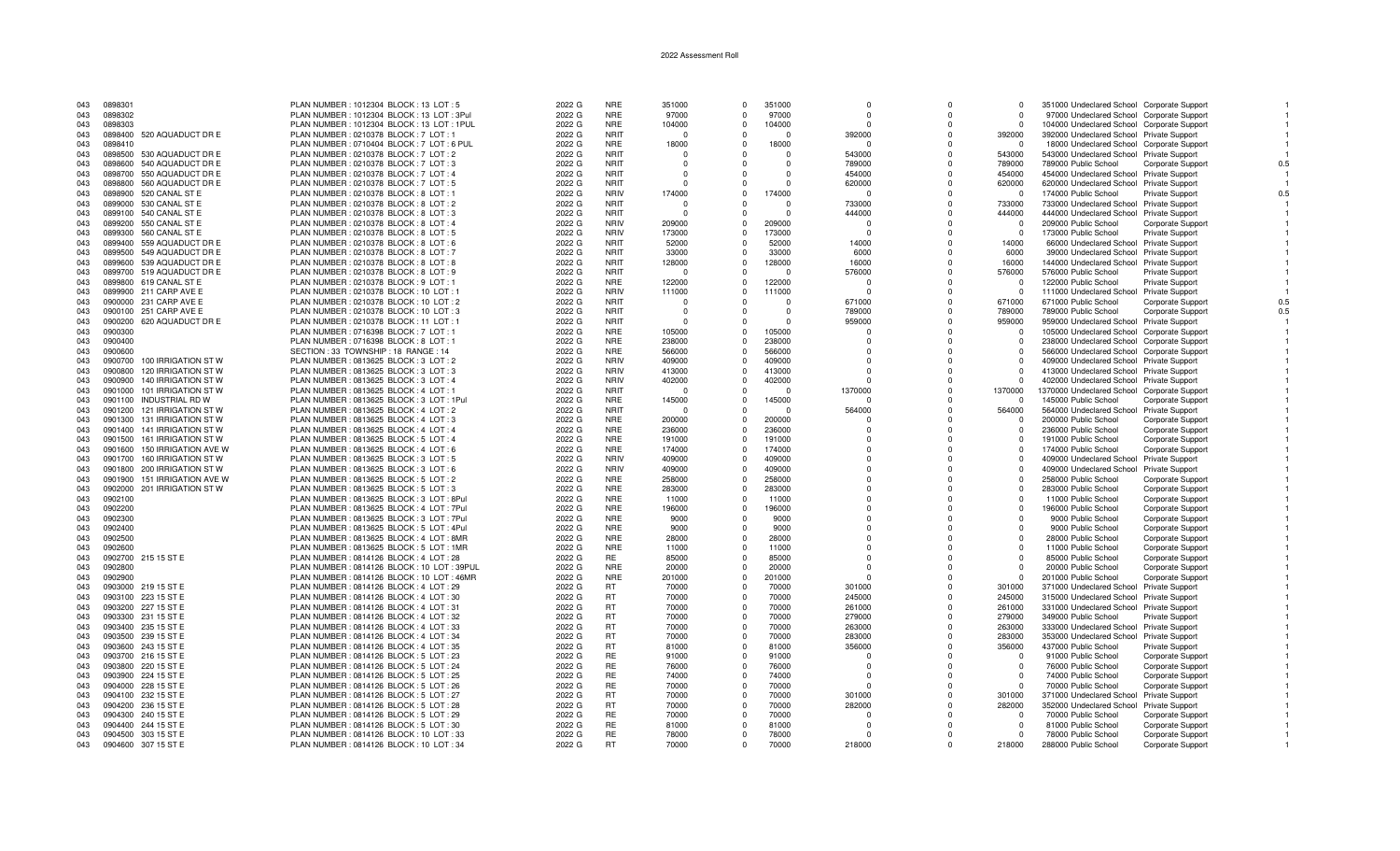| 043 | 0898301                         | PLAN NUMBER : 1012304 BLOCK : 13 LOT : 5     | 2022 G | <b>NRE</b>  | 351000   | $\Omega$ | 351000     | $\Omega$     | $\Omega$     | $\Omega$   | 351000 Undeclared School Corporate Support  |                          |     |
|-----|---------------------------------|----------------------------------------------|--------|-------------|----------|----------|------------|--------------|--------------|------------|---------------------------------------------|--------------------------|-----|
| 043 | 0898302                         | PLAN NUMBER: 1012304 BLOCK: 13 LOT: 3Pul     | 2022 G | <b>NRE</b>  | 97000    | $\Omega$ | 97000      | $\Omega$     |              | $\Omega$   | 97000 Undeclared School Corporate Support   |                          |     |
| 043 | 0898303                         | PLAN NUMBER: 1012304 BLOCK: 13 LOT: 1PUL     | 2022 G | <b>NRE</b>  | 104000   | $\Omega$ | 104000     | $\Omega$     | $\Omega$     | $\Omega$   | 104000 Undeclared School Corporate Support  |                          |     |
| 043 | 0898400 520 AQUADUCT DR E       | PLAN NUMBER : 0210378 BLOCK : 7 LOT : 1      | 2022 G | <b>NRIT</b> | $\Omega$ | $\Omega$ | $\Omega$   | 392000       | $\Omega$     | 392000     | 392000 Undeclared School Private Support    |                          |     |
| 043 | 0898410                         | PLAN NUMBER : 0710404 BLOCK : 7 LOT : 6 PUL  | 2022 G | <b>NRE</b>  | 18000    | $\Omega$ | 18000      |              |              | - 0        | 18000 Undeclared School Corporate Support   |                          |     |
| 043 | 0898500 530 AQUADUCT DR E       | PLAN NUMBER : 0210378 BLOCK : 7 LOT : 2      | 2022 G | <b>NRIT</b> | $\Omega$ | $\Omega$ | $\Omega$   | 543000       | $\Omega$     | 543000     | 543000 Undeclared School Private Support    |                          |     |
|     |                                 |                                              |        |             |          |          |            |              |              |            |                                             |                          |     |
| 043 | 0898600 540 AQUADUCT DR E       | PLAN NUMBER : 0210378 BLOCK : 7 LOT : 3      | 2022 G | <b>NRIT</b> | - 0      | $\Omega$ | $^{\circ}$ | 789000       | $\Omega$     | 789000     | 789000 Public School                        | Corporate Support        | 0.5 |
| 043 | 550 AQUADUCT DR E<br>0898700    | PLAN NUMBER : 0210378 BLOCK : 7 LOT : 4      | 2022 G | <b>NRIT</b> | $\Omega$ |          | $\Omega$   | 454000       | $\Omega$     | 454000     | 454000 Undeclared School Private Support    |                          |     |
| 043 | 0898800 560 AQUADUCT DR E       | PLAN NUMBER : 0210378 BLOCK : 7 LOT : 5      | 2022 G | <b>NRIT</b> | - 0      | $\Omega$ | $\Omega$   | 620000       | $\Omega$     | 620000     | 620000 Undeclared School Private Support    |                          |     |
| 043 | 0898900 520 CANAL ST E          | PLAN NUMBER : 0210378 BLOCK : 8 LOT : 1      | 2022 G | <b>NRIV</b> | 174000   | $\Omega$ | 174000     |              |              | $\Omega$   | 174000 Public School                        | Private Support          |     |
| 043 | 0899000 530 CANAL ST E          | PLAN NUMBER : 0210378 BLOCK : 8 LOT : 2      | 2022 G | <b>NRIT</b> | - 0      |          | $\Omega$   | 733000       | $\Omega$     | 733000     | 733000 Undeclared School Private Support    |                          |     |
| 043 | 0899100 540 CANAL ST E          | PLAN NUMBER : 0210378 BLOCK : 8 LOT : 3      | 2022 G | <b>NRIT</b> | $\Omega$ | $\Omega$ | $\Omega$   | 444000       | $\Omega$     | 444000     | 444000 Undeclared School Private Support    |                          |     |
| 043 | 0899200 550 CANAL ST E          | PLAN NUMBER : 0210378 BLOCK : 8 LOT : 4      | 2022 G | <b>NRIV</b> | 209000   |          | 209000     |              |              | - 0        | 209000 Public School                        | Corporate Support        |     |
| 043 | 0899300 560 CANAL ST E          | PLAN NUMBER : 0210378 BLOCK : 8 LOT : 5      | 2022 G | <b>NRIV</b> | 173000   | $\Omega$ | 173000     | $\Omega$     | $\Omega$     | $\Omega$   | 173000 Public School                        | Private Support          |     |
|     |                                 |                                              |        |             |          |          | 52000      |              | $\Omega$     |            |                                             |                          |     |
| 043 | 0899400 559 AQUADUCT DR E       | PLAN NUMBER : 0210378 BLOCK : 8 LOT : 6      | 2022 G | <b>NRIT</b> | 52000    | $\Omega$ |            | 14000        |              | 14000      | 66000 Undeclared School Private Support     |                          |     |
| 043 | 0899500 549 AQUADUCT DR E       | PLAN NUMBER : 0210378 BLOCK : 8 LOT : 7      | 2022 G | <b>NRIT</b> | 33000    | $\Omega$ | 33000      | 6000         | $\Omega$     | 6000       | 39000 Undeclared School Private Support     |                          |     |
| 043 | 0899600 539 AQUADUCT DR E       | PLAN NUMBER : 0210378 BLOCK : 8 LOT : 8      | 2022 G | <b>NRIT</b> | 128000   | $\Omega$ | 128000     | 16000        |              | 16000      | 144000 Undeclared School Private Support    |                          |     |
| 043 | 0899700 519 AQUADUCT DR E       | PLAN NUMBER : 0210378 BLOCK : 8 LOT : 9      | 2022 G | <b>NRIT</b> | $\Omega$ | $\Omega$ | C          | 576000       |              | 576000     | 576000 Public School                        | <b>Private Support</b>   |     |
| 043 | 0899800 619 CANAL ST E          | PLAN NUMBER : 0210378 BLOCK : 9 LOT : 1      | 2022 G | <b>NRE</b>  | 122000   | $\Omega$ | 122000     | $\Omega$     | $\Omega$     | $\Omega$   | 122000 Public School                        | Private Support          |     |
| 043 | 0899900 211 CARP AVE E          | PLAN NUMBER: 0210378 BLOCK: 10 LOT: 1        | 2022 G | <b>NRIV</b> | 111000   | $\Omega$ | 111000     | $\Omega$     |              | - 0        | 111000 Undeclared School Private Support    |                          |     |
| 043 | 0900000 231 CARP AVE E          | PLAN NUMBER : 0210378 BLOCK : 10 LOT : 2     | 2022 G | <b>NRIT</b> | - 0      |          | $\Omega$   | 671000       |              | 671000     | 671000 Public School                        | Corporate Support        |     |
| 043 | 0900100 251 CARP AVE E          | PLAN NUMBER : 0210378 BLOCK : 10 LOT : 3     | 2022 G | <b>NRIT</b> | $\Omega$ | $\Omega$ | $\Omega$   | 789000       | $\Omega$     | 789000     | 789000 Public School                        | <b>Corporate Support</b> | 0.5 |
|     |                                 |                                              |        |             |          |          |            |              |              |            |                                             |                          |     |
| 043 | 0900200<br>620 AQUADUCT DR E    | PLAN NUMBER : 0210378 BLOCK : 11 LOT : 1     | 2022 G | <b>NRIT</b> | - 0      | $\Omega$ | $\Omega$   | 959000       | $\Omega$     | 959000     | 959000 Undeclared School Private Support    |                          |     |
| 043 | 0900300                         | PLAN NUMBER : 0716398 BLOCK : 7 LOT : 1      | 2022 G | <b>NRE</b>  | 105000   | $\Omega$ | 105000     | $\Omega$     | $\Omega$     | $\Omega$   | 105000 Undeclared School Corporate Support  |                          |     |
| 043 | 0900400                         | PLAN NUMBER : 0716398 BLOCK : 8 LOT : 1      | 2022 G | <b>NRE</b>  | 238000   | $\Omega$ | 238000     |              |              | $\Omega$   | 238000 Undeclared School Corporate Support  |                          |     |
| 043 | 0900600                         | SECTION: 33 TOWNSHIP: 18 RANGE: 14           | 2022 G | <b>NRE</b>  | 566000   | $\Omega$ | 566000     | $\Omega$     |              | $\Omega$   | 566000 Undeclared School Corporate Support  |                          |     |
| 043 | 100 IRRIGATION ST W<br>0900700  | PLAN NUMBER : 0813625 BLOCK : 3 LOT : 2      | 2022 G | <b>NRIV</b> | 409000   | $\Omega$ | 409000     | <sup>0</sup> |              | $\Omega$   | 409000 Undeclared School Private Support    |                          |     |
| 043 | 0900800<br>120 IRRIGATION ST W  | PLAN NUMBER : 0813625 BLOCK : 3 LOT : 3      | 2022 G | <b>NRIV</b> | 413000   | $\Omega$ | 413000     |              |              | $\Omega$   | 413000 Undeclared School Private Support    |                          |     |
| 043 | 0900900<br>140 IRRIGATION ST W  | PLAN NUMBER : 0813625 BLOCK : 3 LOT : 4      | 2022 G | <b>NRIV</b> | 402000   | $\Omega$ | 402000     |              |              | $\Omega$   | 402000 Undeclared School Private Support    |                          |     |
| 043 | 101 IRRIGATION ST W<br>0901000  | PLAN NUMBER: 0813625 BLOCK: 4 LOT: 1         | 2022 G | <b>NRIT</b> | - 0      | $\Omega$ | $\Omega$   | 1370000      | $\Omega$     | 1370000    | 1370000 Undeclared School Corporate Support |                          |     |
|     |                                 |                                              |        |             |          |          |            |              |              |            |                                             |                          |     |
| 043 | 0901100<br>INDUSTRIAL RD W      | PLAN NUMBER: 0813625 BLOCK: 3 LOT: 1Pul      | 2022 G | <b>NRE</b>  | 145000   | $\Omega$ | 145000     |              | $\Omega$     | $\Omega$   | 145000 Public School                        | <b>Corporate Support</b> |     |
| 043 | 0901200 121 IRRIGATION ST W     | PLAN NUMBER : 0813625 BLOCK : 4 LOT : 2      | 2022 G | <b>NRIT</b> | - 0      | $\Omega$ | $\Omega$   | 564000       | $\Omega$     | 564000     | 564000 Undeclared School Private Support    |                          |     |
| 043 | 0901300 131 IRRIGATION ST W     | PLAN NUMBER : 0813625 BLOCK : 4 LOT : 3      | 2022 G | <b>NRE</b>  | 200000   | $\Omega$ | 200000     |              |              | $\Omega$   | 200000 Public School                        | <b>Corporate Support</b> |     |
| 043 | 0901400 141 IRRIGATION ST W     | PLAN NUMBER : 0813625 BLOCK : 4 LOT : 4      | 2022 G | <b>NRE</b>  | 236000   | $\Omega$ | 236000     | <sup>0</sup> | $\Omega$     | $\Omega$   | 236000 Public School                        | <b>Corporate Support</b> |     |
| 043 | 0901500<br>161 IRRIGATION ST W  | PLAN NUMBER : 0813625 BLOCK : 5 LOT : 4      | 2022 G | <b>NRE</b>  | 191000   | $\Omega$ | 191000     | $\Omega$     | <sup>0</sup> | $\Omega$   | 191000 Public School                        | Corporate Support        |     |
| 043 | 0901600 150 IRRIGATION AVE W    | PLAN NUMBER : 0813625 BLOCK : 4 LOT : 6      | 2022 G | <b>NRE</b>  | 174000   | $\Omega$ | 174000     | $\Omega$     |              | $\Omega$   | 174000 Public School                        | <b>Corporate Support</b> |     |
| 043 | 0901700 160 IRRIGATION ST W     | PLAN NUMBER : 0813625 BLOCK : 3 LOT : 5      | 2022 G | <b>NRIV</b> | 409000   |          | 409000     |              |              |            | 409000 Undeclared School Private Support    |                          |     |
| 043 | 0901800 200 IRRIGATION ST W     | PLAN NUMBER : 0813625 BLOCK : 3 LOT : 6      | 2022 G | <b>NRIV</b> | 409000   | $\Omega$ | 409000     | $\Omega$     | $\Omega$     | $\Omega$   | 409000 Undeclared School Private Support    |                          |     |
|     |                                 |                                              |        |             |          |          |            |              |              |            |                                             |                          |     |
| 043 | 151 IRRIGATION AVE W<br>0901900 | PLAN NUMBER : 0813625 BLOCK : 5 LOT : 2      | 2022 G | <b>NRE</b>  | 258000   | $\Omega$ | 258000     | $\Omega$     | $\Omega$     | $\Omega$   | 258000 Public School                        | Corporate Support        |     |
| 043 | 0902000 201 IRRIGATION ST W     | PLAN NUMBER : 0813625 BLOCK : 5 LOT : 3      | 2022 G | <b>NRE</b>  | 283000   | $\Omega$ | 283000     |              |              | $\Omega$   | 283000 Public School                        | Corporate Support        |     |
| 043 | 0902100                         | PLAN NUMBER : 0813625 BLOCK : 3 LOT : 8Pul   | 2022 G | <b>NRE</b>  | 11000    | $\Omega$ | 11000      |              |              | $\Omega$   | 11000 Public School                         | <b>Corporate Support</b> |     |
| 043 | 0902200                         | PLAN NUMBER: 0813625 BLOCK: 4 LOT: 7Pul      | 2022 G | <b>NRE</b>  | 196000   | $\Omega$ | 196000     | <sup>0</sup> |              | $\Omega$   | 196000 Public School                        | Corporate Support        |     |
| 043 | 0902300                         | PLAN NUMBER: 0813625 BLOCK: 3 LOT: 7Pul      | 2022 G | <b>NRE</b>  | 9000     | $\Omega$ | 9000       | $\Omega$     |              | $\Omega$   | 9000 Public School                          | Corporate Support        |     |
| 043 | 0902400                         | PLAN NUMBER : 0813625 BLOCK : 5 LOT : 4Pul   | 2022 G | <b>NRE</b>  | 9000     | $\Omega$ | 9000       | $\Omega$     |              | $\Omega$   | 9000 Public School                          | Corporate Support        |     |
| 043 | 0902500                         | PLAN NUMBER: 0813625 BLOCK: 4 LOT: 8MR       | 2022 G | <b>NRE</b>  | 28000    |          | 28000      |              |              | $\Omega$   | 28000 Public School                         | Corporate Support        |     |
| 043 | 0902600                         | PLAN NUMBER: 0813625 BLOCK: 5 LOT: 1MR       | 2022 G | <b>NRE</b>  | 11000    | $\Omega$ | 11000      | $\Omega$     | $\Omega$     | $\Omega$   | 11000 Public School                         | Corporate Support        |     |
| 043 | 0902700 215 15 ST E             | PLAN NUMBER : 0814126 BLOCK : 4 LOT : 28     | 2022 G | <b>RE</b>   | 85000    | $\Omega$ | 85000      | $\Omega$     | $\Omega$     | $\Omega$   | 85000 Public School                         |                          |     |
|     |                                 |                                              |        |             |          |          |            |              |              |            |                                             | Corporate Support        |     |
| 043 | 0902800                         | PLAN NUMBER : 0814126 BLOCK : 10 LOT : 39PUL | 2022 G | <b>NRE</b>  | 20000    | $\Omega$ | 20000      |              |              | $\Omega$   | 20000 Public School                         | Corporate Support        |     |
| 043 | 0902900                         | PLAN NUMBER : 0814126 BLOCK : 10 LOT : 46MR  | 2022 G | <b>NRE</b>  | 201000   | $\Omega$ | 201000     |              |              | $\Omega$   | 201000 Public School                        | Corporate Support        |     |
| 043 | 0903000 219 15 ST E             | PLAN NUMBER : 0814126 BLOCK : 4 LOT : 29     | 2022 G | <b>RT</b>   | 70000    | $\Omega$ | 70000      | 301000       |              | 301000     | 371000 Undeclared School Private Support    |                          |     |
| 043 | 0903100 223 15 ST E             | PLAN NUMBER : 0814126 BLOCK : 4 LOT : 30     | 2022 G | <b>RT</b>   | 70000    | $\Omega$ | 70000      | 245000       |              | 245000     | 315000 Undeclared School Private Support    |                          |     |
| 043 | 0903200 227 15 ST E             | PLAN NUMBER : 0814126 BLOCK : 4 LOT : 31     | 2022 G | <b>RT</b>   | 70000    | $\Omega$ | 70000      | 261000       | $\Omega$     | 261000     | 331000 Undeclared School Private Support    |                          |     |
| 043 | 0903300 231 15 ST E             | PLAN NUMBER : 0814126 BLOCK : 4 LOT : 32     | 2022 G | <b>RT</b>   | 70000    | $\Omega$ | 70000      | 279000       |              | 279000     | 349000 Public School                        | Private Support          |     |
| 043 | 0903400 235 15 ST E             | PLAN NUMBER : 0814126 BLOCK : 4 LOT : 33     | 2022 G | <b>RT</b>   | 70000    | $\Omega$ | 70000      | 263000       | $\Omega$     | 263000     | 333000 Undeclared School Private Support    |                          |     |
| 043 | 0903500 239 15 ST E             | PLAN NUMBER : 0814126 BLOCK : 4 LOT : 34     | 2022 G | <b>RT</b>   | 70000    | $\Omega$ | 70000      | 283000       | $\Omega$     | 283000     | 353000 Undeclared School Private Support    |                          |     |
|     |                                 |                                              |        |             |          |          |            |              |              |            |                                             |                          |     |
| 043 | 0903600 243 15 ST E             | PLAN NUMBER : 0814126 BLOCK : 4 LOT : 35     | 2022 G | <b>RT</b>   | 81000    | $\Omega$ | 81000      | 356000       | $\Omega$     | 356000     | 437000 Public School                        | Private Support          |     |
| 043 | 0903700 216 15 ST E             | PLAN NUMBER : 0814126 BLOCK : 5 LOT : 23     | 2022 G | <b>RE</b>   | 91000    | $\Omega$ | 91000      |              | $\Omega$     | $\Omega$   | 91000 Public School                         | Corporate Support        |     |
| 043 | 0903800 220 15 ST E             | PLAN NUMBER : 0814126 BLOCK : 5 LOT : 24     | 2022 G | RE          | 76000    | $\Omega$ | 76000      | $\Omega$     | $\Omega$     | $^{\circ}$ | 76000 Public School                         | Corporate Support        |     |
| 043 | 0903900 224 15 ST E             | PLAN NUMBER : 0814126 BLOCK : 5 LOT : 25     | 2022 G | RE.         | 74000    | $\Omega$ | 74000      |              |              | $\Omega$   | 74000 Public School                         | Corporate Support        |     |
| 043 | 0904000 228 15 ST E             | PLAN NUMBER : 0814126 BLOCK : 5 LOT : 26     | 2022 G | RE          | 70000    | $\Omega$ | 70000      |              |              | $\Omega$   | 70000 Public School                         | Corporate Support        |     |
| 043 | 0904100 232 15 ST E             | PLAN NUMBER : 0814126 BLOCK : 5 LOT : 27     | 2022 G | <b>RT</b>   | 70000    | $\Omega$ | 70000      | 301000       |              | 301000     | 371000 Undeclared School Private Support    |                          |     |
| 043 | 0904200 236 15 ST E             | PLAN NUMBER : 0814126 BLOCK : 5 LOT : 28     | 2022 G | <b>RT</b>   | 70000    | $\Omega$ | 70000      | 282000       | $\Omega$     | 282000     | 352000 Undeclared School Private Support    |                          |     |
| 043 | 0904300 240 15 ST E             | PLAN NUMBER : 0814126 BLOCK : 5 LOT : 29     | 2022 G | <b>RE</b>   | 70000    | $\Omega$ | 70000      | $\Omega$     |              | $\Omega$   | 70000 Public School                         | Corporate Support        |     |
|     |                                 |                                              |        | RE          |          | $\Omega$ | 81000      |              |              | $\Omega$   |                                             |                          |     |
| 043 | 0904400 244 15 ST E             | PLAN NUMBER : 0814126 BLOCK : 5 LOT : 30     | 2022 G |             | 81000    |          |            |              |              |            | 81000 Public School                         | <b>Corporate Support</b> |     |
| 043 | 0904500 303 15 ST E             | PLAN NUMBER: 0814126 BLOCK: 10 LOT: 33       | 2022 G | RE          | 78000    | $\Omega$ | 78000      |              |              | $\Omega$   | 78000 Public School                         | Corporate Support        |     |
| 043 | 0904600 307 15 ST E             | PLAN NUMBER : 0814126 BLOCK : 10 LOT : 34    | 2022 G | <b>RT</b>   | 70000    | $\Omega$ | 70000      | 218000       |              | 218000     | 288000 Public School                        | Corporate Support        |     |

 $\overline{1}$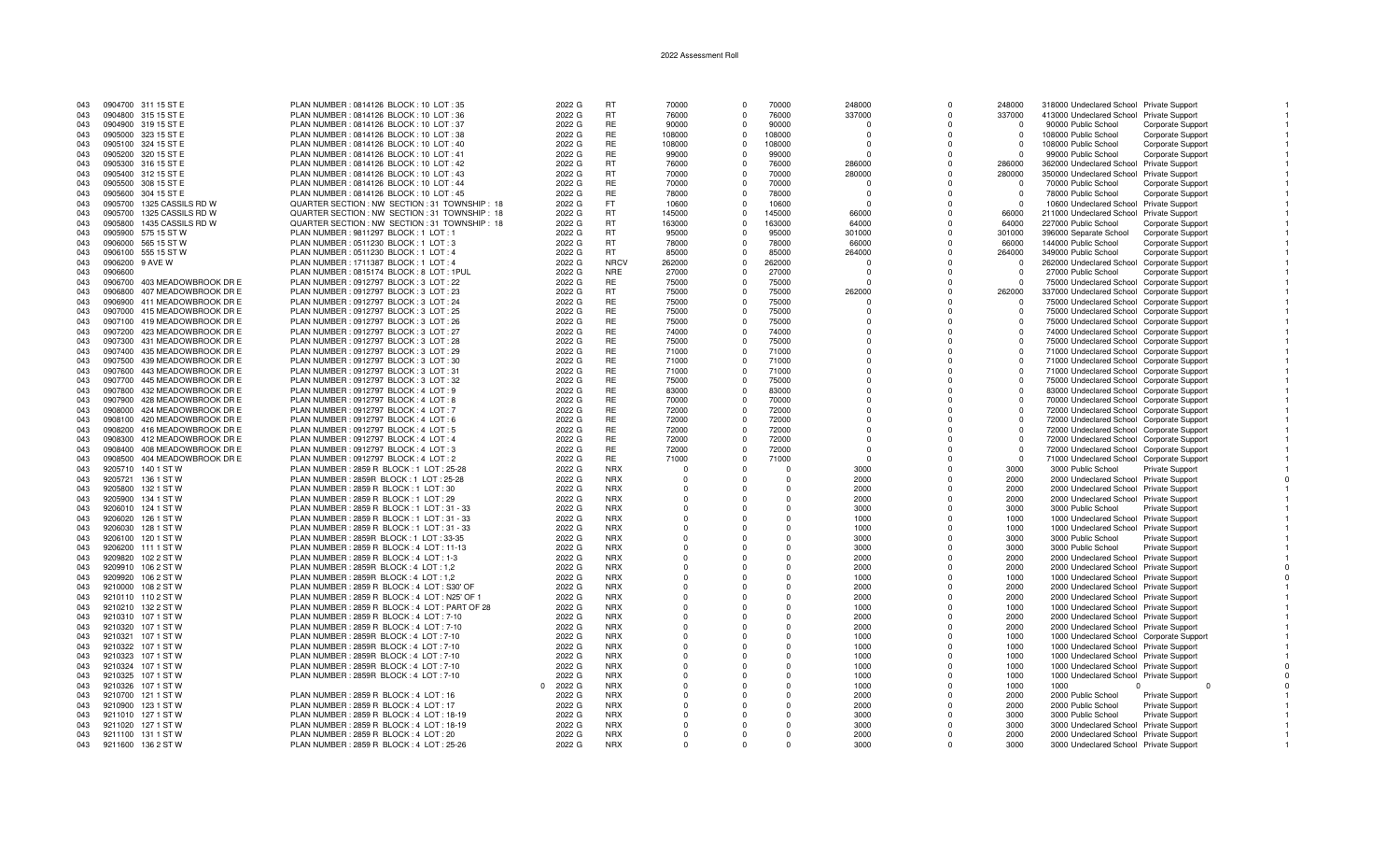| 043 |         | 0904700 311 15 ST E          | PLAN NUMBER: 0814126 BLOCK: 10 LOT: 35          | 2022 G | <b>RT</b>   | 70000    | $\Omega$       | 70000    | 248000   | $\Omega$     | 248000   | 318000 Undeclared School Private Support   |                          |  |
|-----|---------|------------------------------|-------------------------------------------------|--------|-------------|----------|----------------|----------|----------|--------------|----------|--------------------------------------------|--------------------------|--|
| 043 |         | 0904800 315 15 ST E          | PLAN NUMBER : 0814126 BLOCK : 10 LOT : 36       | 2022 G | <b>RT</b>   | 76000    | $\Omega$       | 76000    | 337000   | $\Omega$     | 337000   | 413000 Undeclared School Private Support   |                          |  |
| 043 |         | 0904900 319 15 ST E          | PLAN NUMBER : 0814126 BLOCK : 10 LOT : 37       | 2022 G | <b>RE</b>   | 90000    | $\Omega$       | 90000    |          | $\Omega$     |          | 90000 Public School                        | Corporate Support        |  |
|     |         |                              |                                                 |        |             |          |                |          |          |              |          |                                            |                          |  |
| 043 |         | 0905000 323 15 ST E          | PLAN NUMBER : 0814126 BLOCK : 10 LOT : 38       | 2022 G | RE          | 108000   | $\Omega$       | 108000   | $\Omega$ | $\Omega$     | $\Omega$ | 108000 Public School                       | Corporate Support        |  |
| 043 |         | 0905100 324 15 ST E          | PLAN NUMBER : 0814126 BLOCK : 10 LOT : 40       | 2022 G | <b>RE</b>   | 108000   | $\Omega$       | 108000   | $\Omega$ | $\Omega$     | $\Omega$ | 108000 Public School                       | Corporate Support        |  |
| 043 |         | 0905200 320 15 ST E          | PLAN NUMBER : 0814126 BLOCK : 10 LOT : 41       | 2022 G | <b>RE</b>   | 99000    | $\Omega$       | 99000    | $\Omega$ | $\Omega$     | $\Omega$ | 99000 Public School                        | Corporate Support        |  |
| 043 |         | 0905300 316 15 ST E          | PLAN NUMBER: 0814126 BLOCK: 10 LOT: 42          | 2022 G | <b>RT</b>   | 76000    | $\Omega$       | 76000    | 286000   | $\Omega$     | 286000   | 362000 Undeclared School Private Support   |                          |  |
|     |         |                              |                                                 |        |             |          |                |          |          |              |          |                                            |                          |  |
| 043 |         | 0905400 312 15 ST E          | PLAN NUMBER : 0814126 BLOCK : 10 LOT : 43       | 2022 G | <b>RT</b>   | 70000    | $\Omega$       | 70000    | 280000   | $\Omega$     | 280000   | 350000 Undeclared School Private Support   |                          |  |
| 043 |         | 0905500 308 15 ST E          | PLAN NUMBER : 0814126 BLOCK : 10 LOT : 44       | 2022 G | RE          | 70000    | $\Omega$       | 70000    | $\Omega$ | $\Omega$     | $\Omega$ | 70000 Public School                        | <b>Corporate Support</b> |  |
| 043 |         | 0905600 304 15 ST E          | PLAN NUMBER : 0814126 BLOCK : 10 LOT : 45       | 2022 G | <b>RE</b>   | 78000    | $\Omega$       | 78000    | $\Omega$ | $\Omega$     | $\Omega$ | 78000 Public School                        | Corporate Support        |  |
|     |         |                              |                                                 |        |             |          |                |          |          |              |          |                                            |                          |  |
| 043 |         | 0905700 1325 CASSILS RD W    | QUARTER SECTION : NW SECTION : 31 TOWNSHIP : 18 | 2022 G | FT.         | 10600    | $\Omega$       | 10600    | $\Omega$ |              |          | 10600 Undeclared School Private Support    |                          |  |
| 043 |         | 0905700 1325 CASSILS RD W    | QUARTER SECTION : NW SECTION : 31 TOWNSHIP : 18 | 2022 G | <b>RT</b>   | 145000   | $\Omega$       | 145000   | 66000    | $\Omega$     | 66000    | 211000 Undeclared School Private Support   |                          |  |
| 043 | 0905800 | 1435 CASSILS RD W            | QUARTER SECTION : NW SECTION : 31 TOWNSHIP : 18 | 2022 G | <b>RT</b>   | 163000   | $\Omega$       | 163000   | 64000    | $\Omega$     | 64000    | 227000 Public School                       | Corporate Support        |  |
|     |         |                              |                                                 |        |             |          |                |          |          |              |          |                                            |                          |  |
| 043 |         | 0905900 575 15 ST W          | PLAN NUMBER: 9811297 BLOCK: 1 LOT: 1            | 2022 G | <b>RT</b>   | 95000    | $\Omega$       | 95000    | 301000   | $\Omega$     | 301000   | 396000 Separate School                     | Corporate Support        |  |
| 043 |         | 0906000 565 15 ST W          | PLAN NUMBER: 0511230 BLOCK: 1 LOT: 3            | 2022 G | <b>RT</b>   | 78000    | $\Omega$       | 78000    | 66000    | $\Omega$     | 66000    | 144000 Public School                       | Corporate Support        |  |
| 043 |         | 0906100 555 15 ST W          | PLAN NUMBER : 0511230 BLOCK : 1 LOT : 4         | 2022 G | <b>RT</b>   | 85000    | $\Omega$       | 85000    | 264000   | $^{\circ}$   | 264000   | 349000 Public School                       | Corporate Support        |  |
|     |         |                              |                                                 |        |             |          |                |          | $\Omega$ | $\Omega$     | $\Omega$ |                                            |                          |  |
| 043 | 0906200 | 9 AVE W                      | PLAN NUMBER: 1711387 BLOCK: 1 LOT: 4            | 2022 G | <b>NRCV</b> | 262000   | $\Omega$       | 262000   |          |              |          | 262000 Undeclared School Corporate Support |                          |  |
| 043 | 0906600 |                              | PLAN NUMBER : 0815174 BLOCK : 8 LOT : 1PUL      | 2022 G | <b>NRE</b>  | 27000    | $\Omega$       | 27000    | $\Omega$ | $\Omega$     | $\cap$   | 27000 Public School                        | Corporate Support        |  |
| 043 | 0906700 | 403 MEADOWBROOK DR E         | PLAN NUMBER : 0912797 BLOCK : 3 LOT : 22        | 2022 G | RE.         | 75000    | $\Omega$       | 75000    | $\Omega$ | $\Omega$     | $\Omega$ | 75000 Undeclared School Corporate Support  |                          |  |
|     | 0906800 | 407 MEADOWBROOK DR E         | PLAN NUMBER : 0912797 BLOCK : 3 LOT : 23        | 2022 G | <b>RT</b>   | 75000    | $\overline{0}$ | 75000    | 262000   | $\Omega$     | 262000   |                                            |                          |  |
| 043 |         |                              |                                                 |        |             |          |                |          |          |              |          | 337000 Undeclared School Corporate Support |                          |  |
| 043 | 0906900 | 411 MEADOWBROOK DR E         | PLAN NUMBER : 0912797 BLOCK : 3 LOT : 24        | 2022 G | <b>RE</b>   | 75000    | $\Omega$       | 75000    | $\Omega$ | $\Omega$     | $\Omega$ | 75000 Undeclared School Corporate Support  |                          |  |
| 043 |         | 0907000 415 MEADOWBROOK DR E | PLAN NUMBER : 0912797 BLOCK : 3 LOT : 25        | 2022 G | RE          | 75000    | $\Omega$       | 75000    | $\Omega$ | $\Omega$     | $\Omega$ | 75000 Undeclared School Corporate Support  |                          |  |
| 043 |         | 0907100 419 MEADOWBROOK DR E | PLAN NUMBER : 0912797 BLOCK : 3 LOT : 26        | 2022 G | RE.         | 75000    | $\Omega$       | 75000    | $\Omega$ | $\Omega$     | $\Omega$ |                                            |                          |  |
|     |         |                              |                                                 |        |             |          |                |          |          |              |          | 75000 Undeclared School Corporate Support  |                          |  |
| 043 | 0907200 | 423 MEADOWBROOK DR E         | PLAN NUMBER : 0912797 BLOCK : 3 LOT : 27        | 2022 G | RE          | 74000    | $\Omega$       | 74000    | $\Omega$ | $\Omega$     | - 0      | 74000 Undeclared School Corporate Support  |                          |  |
| 043 | 0907300 | 431 MEADOWBROOK DR E         | PLAN NUMBER : 0912797 BLOCK : 3 LOT : 28        | 2022 G | RE          | 75000    | $\Omega$       | 75000    | $\Omega$ | $\Omega$     | $\Omega$ | 75000 Undeclared School Corporate Support  |                          |  |
| 043 |         | 0907400 435 MEADOWBROOK DR E | PLAN NUMBER : 0912797 BLOCK : 3 LOT : 29        | 2022 G | RE          | 71000    | $\Omega$       | 71000    | $\Omega$ | $\Omega$     | $\Omega$ | 71000 Undeclared School Corporate Support  |                          |  |
|     |         |                              |                                                 |        |             |          |                |          |          |              |          |                                            |                          |  |
| 043 | 0907500 | 439 MEADOWBROOK DR E         | PLAN NUMBER : 0912797 BLOCK : 3 LOT : 30        | 2022 G | <b>RE</b>   | 71000    | $\Omega$       | 71000    | $\Omega$ | $\Omega$     | $\Omega$ | 71000 Undeclared School Corporate Support  |                          |  |
| 043 | 0907600 | 443 MEADOWBROOK DR E         | PLAN NUMBER : 0912797 BLOCK : 3 LOT : 31        | 2022 G | <b>RE</b>   | 71000    | $\Omega$       | 71000    | $\Omega$ | $\Omega$     | $\Omega$ | 71000 Undeclared School Corporate Support  |                          |  |
| 043 | 0907700 | 445 MEADOWBROOK DR E         | PLAN NUMBER : 0912797 BLOCK : 3 LOT : 32        | 2022 G | <b>RE</b>   | 75000    | $\Omega$       | 75000    | $\Omega$ | $\Omega$     | $\Omega$ | 75000 Undeclared School Corporate Support  |                          |  |
|     |         |                              |                                                 |        |             |          |                |          |          |              |          |                                            |                          |  |
| 043 | 0907800 | 432 MEADOWBROOK DR E         | PLAN NUMBER : 0912797 BLOCK : 4 LOT : 9         | 2022 G | <b>RE</b>   | 83000    | $\Omega$       | 83000    | $\Omega$ | $\Omega$     | $\Omega$ | 83000 Undeclared School Corporate Support  |                          |  |
| 043 | 0907900 | 428 MEADOWBROOK DR E         | PLAN NUMBER : 0912797 BLOCK : 4 LOT : 8         | 2022 G | <b>RE</b>   | 70000    | $\Omega$       | 70000    | $\Omega$ | $\Omega$     | $\Omega$ | 70000 Undeclared School Corporate Support  |                          |  |
| 043 | 0908000 | 424 MEADOWBROOK DR E         | PLAN NUMBER : 0912797 BLOCK : 4 LOT : 7         | 2022 G | <b>RE</b>   | 72000    | $\Omega$       | 72000    | $\Omega$ | $\Omega$     | $\Omega$ | 72000 Undeclared School Corporate Support  |                          |  |
|     |         |                              |                                                 |        | <b>RE</b>   |          |                |          |          |              |          |                                            |                          |  |
| 043 |         | 0908100 420 MEADOWBROOK DR E | PLAN NUMBER : 0912797 BLOCK : 4 LOT : 6         | 2022 G |             | 72000    | $\Omega$       | 72000    | $\Omega$ | $\Omega$     | $\cap$   | 72000 Undeclared School Corporate Support  |                          |  |
| 043 |         | 0908200 416 MEADOWBROOK DR E | PLAN NUMBER : 0912797 BLOCK : 4 LOT : 5         | 2022 G | <b>RE</b>   | 72000    | $\Omega$       | 72000    | $\Omega$ | <sup>0</sup> | $\Omega$ | 72000 Undeclared School Corporate Support  |                          |  |
| 043 | 0908300 | 412 MEADOWBROOK DR E         | PLAN NUMBER : 0912797 BLOCK : 4 LOT : 4         | 2022 G | RE.         | 72000    | $\Omega$       | 72000    | $\Omega$ | <sup>0</sup> | $\Omega$ | 72000 Undeclared School Corporate Support  |                          |  |
|     | 0908400 |                              |                                                 |        | RE          |          | $\Omega$       |          | $\Omega$ | $\Omega$     | $\Omega$ |                                            |                          |  |
| 043 |         | 408 MEADOWBROOK DR E         | PLAN NUMBER : 0912797 BLOCK : 4 LOT : 3         | 2022 G |             | 72000    |                | 72000    |          |              |          | 72000 Undeclared School Corporate Support  |                          |  |
| 043 | 0908500 | 404 MEADOWBROOK DR E         | PLAN NUMBER : 0912797 BLOCK : 4 LOT : 2         | 2022 G | <b>RE</b>   | 71000    | $\Omega$       | 71000    | $\Omega$ | $\Omega$     | $\Omega$ | 71000 Undeclared School Corporate Support  |                          |  |
| 043 |         | 9205710 140 1 ST W           | PLAN NUMBER: 2859 R BLOCK: 1 LOT: 25-28         | 2022 G | <b>NRX</b>  |          | $\Omega$       |          | 3000     | $\Omega$     | 3000     | 3000 Public School                         | Private Support          |  |
| 043 | 9205721 | 136 1 ST W                   | PLAN NUMBER: 2859R BLOCK: 1 LOT: 25-28          | 2022 G | <b>NRX</b>  | $\Omega$ | $\Omega$       | $\Omega$ | 2000     | $\Omega$     | 2000     |                                            |                          |  |
|     |         |                              |                                                 |        |             |          |                |          |          |              |          | 2000 Undeclared School Private Support     |                          |  |
| 043 | 9205800 | 132 1 ST W                   | PLAN NUMBER : 2859 R BLOCK : 1 LOT : 30         | 2022 G | <b>NRX</b>  | $\Omega$ | $\Omega$       | $\Omega$ | 2000     | $\Omega$     | 2000     | 2000 Undeclared School Private Support     |                          |  |
| 043 | 9205900 | 134 1 ST W                   | PLAN NUMBER: 2859 R BLOCK: 1 LOT: 29            | 2022 G | <b>NRX</b>  |          | $\Omega$       | $\Omega$ | 2000     | <sup>0</sup> | 2000     | 2000 Undeclared School Private Support     |                          |  |
| 043 |         | 9206010 124 1 ST W           | PLAN NUMBER: 2859 R BLOCK: 1 LOT: 31 - 33       | 2022 G | <b>NRX</b>  |          |                |          | 3000     |              | 3000     | 3000 Public School                         | Private Support          |  |
|     |         |                              |                                                 |        |             |          |                |          |          |              |          |                                            |                          |  |
| 043 |         | 9206020 126 1 ST W           | PLAN NUMBER : 2859 R BLOCK : 1 LOT : 31 - 33    | 2022 G | <b>NRX</b>  | $\Omega$ | $\Omega$       | $\Omega$ | 1000     | $\Omega$     | 1000     | 1000 Undeclared School Private Support     |                          |  |
| 043 |         | 9206030 128 1 ST W           | PLAN NUMBER: 2859 R BLOCK: 1 LOT: 31 - 33       | 2022 G | <b>NRX</b>  |          | $\Omega$       | $\Omega$ | 1000     | $\Omega$     | 1000     | 1000 Undeclared School Private Support     |                          |  |
| 043 |         | 9206100 120 1 ST W           | PLAN NUMBER: 2859R BLOCK: 1 LOT: 33-35          | 2022 G | <b>NRX</b>  |          | $\Omega$       | $\Omega$ | 3000     | $\Omega$     | 3000     | 3000 Public School                         | <b>Private Support</b>   |  |
|     |         |                              |                                                 |        |             |          |                |          |          |              |          |                                            |                          |  |
| 043 | 9206200 | 111 1 ST W                   | PLAN NUMBER: 2859 R BLOCK: 4 LOT: 11-13         | 2022 G | <b>NRX</b>  | $\Omega$ | $\Omega$       | $\Omega$ | 3000     | $\Omega$     | 3000     | 3000 Public School                         | <b>Private Support</b>   |  |
| 043 | 9209820 | 102 2 ST W                   | PLAN NUMBER: 2859 R BLOCK: 4 LOT: 1-3           | 2022 G | <b>NRX</b>  | $\Omega$ | $\Omega$       | $\Omega$ | 2000     | $\Omega$     | 2000     | 2000 Undeclared School Private Support     |                          |  |
| 043 |         | 9209910 106 2 ST W           | PLAN NUMBER: 2859R BLOCK: 4 LOT: 1,2            | 2022 G | <b>NRX</b>  | $\Omega$ | $\Omega$       | $\Omega$ | 2000     | $\Omega$     | 2000     | 2000 Undeclared School Private Support     |                          |  |
|     |         |                              |                                                 |        | <b>NRX</b>  |          | $\Omega$       | $\Omega$ |          | $\Omega$     |          |                                            |                          |  |
| 043 | 9209920 | 106 2 ST W                   | PLAN NUMBER: 2859R BLOCK: 4 LOT: 1,2            | 2022 G |             |          |                |          | 1000     |              | 1000     | 1000 Undeclared School Private Support     |                          |  |
| 043 |         | 9210000 108 2 ST W           | PLAN NUMBER : 2859 R BLOCK : 4 LOT : S30' OF    | 2022 G | <b>NRX</b>  |          | <sup>0</sup>   |          | 2000     |              | 2000     | 2000 Undeclared School Private Support     |                          |  |
| 043 |         | 9210110 110 2 ST W           | PLAN NUMBER: 2859 R BLOCK: 4 LOT: N25' OF 1     | 2022 G | <b>NRX</b>  |          | $\Omega$       | $\Omega$ | 2000     | $\Omega$     | 2000     | 2000 Undeclared School Private Support     |                          |  |
| 043 |         | 9210210 132 2 ST W           | PLAN NUMBER: 2859 R BLOCK: 4 LOT: PART OF 28    | 2022 G | <b>NRX</b>  |          | $\Omega$       | $\Omega$ | 1000     | $\Omega$     | 1000     | 1000 Undeclared School Private Support     |                          |  |
|     |         |                              |                                                 |        |             |          |                |          |          |              |          |                                            |                          |  |
| 043 |         | 9210310 107 1 ST W           | PLAN NUMBER: 2859 R BLOCK: 4 LOT: 7-10          | 2022 G | <b>NRX</b>  |          |                | $\Omega$ | 2000     | $\Omega$     | 2000     | 2000 Undeclared School Private Support     |                          |  |
| 043 |         | 9210320 1071 STW             | PLAN NUMBER: 2859 R BLOCK: 4 LOT: 7-10          | 2022 G | <b>NRX</b>  | $\Omega$ | $\Omega$       | $\Omega$ | 2000     | $\Omega$     | 2000     | 2000 Undeclared School Private Support     |                          |  |
| 043 | 9210321 | 107 1 ST W                   | PLAN NUMBER : 2859R BLOCK : 4 LOT : 7-10        | 2022 G | <b>NRX</b>  | $\Omega$ | $\Omega$       | $\Omega$ | 1000     | $\Omega$     | 1000     | 1000 Undeclared School Corporate Support   |                          |  |
|     |         |                              |                                                 |        |             |          |                |          |          |              |          |                                            |                          |  |
| 043 |         | 9210322 107 1 ST W           | PLAN NUMBER: 2859R BLOCK: 4 LOT: 7-10           | 2022 G | <b>NRX</b>  | $\Omega$ | $\Omega$       | $\Omega$ | 1000     | $\Omega$     | 1000     | 1000 Undeclared School Private Support     |                          |  |
| 043 |         | 9210323 107 1 ST W           | PLAN NUMBER: 2859R BLOCK: 4 LOT: 7-10           | 2022 G | <b>NRX</b>  |          |                | $\Omega$ | 1000     | $\Omega$     | 1000     | 1000 Undeclared School Private Support     |                          |  |
| 043 |         | 9210324 107 1 ST W           | PLAN NUMBER: 2859R BLOCK: 4 LOT: 7-10           | 2022 G | <b>NRX</b>  | $\Omega$ | $\Omega$       | $\Omega$ | 1000     | $\Omega$     | 1000     | 1000 Undeclared School Private Support     |                          |  |
|     |         |                              |                                                 |        |             |          |                |          |          |              |          |                                            |                          |  |
| 043 |         | 9210325 107 1 ST W           | PLAN NUMBER: 2859R BLOCK: 4 LOT: 7-10           | 2022 G | <b>NRX</b>  |          | $\Omega$       | $\Omega$ | 1000     | $\Omega$     | 1000     | 1000 Undeclared School Private Support     |                          |  |
| 043 |         | 9210326 107 1 ST W           |                                                 | 2022 G | <b>NRX</b>  |          | $\Omega$       | $\Omega$ | 1000     | $\Omega$     | 1000     | 1000<br>$\Omega$                           | - 0                      |  |
| 043 |         | 9210700 121 1 ST W           | PLAN NUMBER : 2859 R BLOCK : 4 LOT : 16         | 2022 G | <b>NRX</b>  |          |                |          | 2000     | <sup>0</sup> | 2000     | 2000 Public School                         | <b>Private Support</b>   |  |
| 043 |         | 9210900 123 1 ST W           | PLAN NUMBER: 2859 R BLOCK: 4 LOT: 17            | 2022 G | <b>NRX</b>  | n        | $\Omega$       | $\Omega$ | 2000     | <sup>0</sup> | 2000     | 2000 Public School                         | <b>Private Support</b>   |  |
|     |         |                              |                                                 |        |             |          |                |          |          |              |          |                                            |                          |  |
| 043 |         | 9211010 127 1 ST W           | PLAN NUMBER: 2859 R BLOCK: 4 LOT: 18-19         | 2022 G | <b>NRX</b>  |          | $\Omega$       | $\Omega$ | 3000     | $\Omega$     | 3000     | 3000 Public School                         | Private Support          |  |
| 043 |         | 9211020 127 1 ST W           | PLAN NUMBER: 2859 R BLOCK: 4 LOT: 18-19         | 2022 G | <b>NRX</b>  | $\Omega$ | $\Omega$       | $\Omega$ | 3000     | $\Omega$     | 3000     | 3000 Undeclared School Private Support     |                          |  |
| 043 |         | 9211100 131 1 ST W           | PLAN NUMBER: 2859 R BLOCK: 4 LOT: 20            | 2022 G | <b>NRX</b>  |          | $\Omega$       |          | 2000     |              | 2000     | 2000 Undeclared School Private Support     |                          |  |
|     |         |                              |                                                 |        |             |          | $\Omega$       |          |          |              |          |                                            |                          |  |
| 043 |         | 9211600 136 2 ST W           | PLAN NUMBER: 2859 R BLOCK: 4 LOT: 25-26         | 2022 G | <b>NRX</b>  | $\Omega$ |                |          | 3000     | $\Omega$     | 3000     | 3000 Undeclared School Private Support     |                          |  |

 $\Omega$ 

 $\overline{0}$ 

 $\overline{0}$ 

 $\overline{0}$